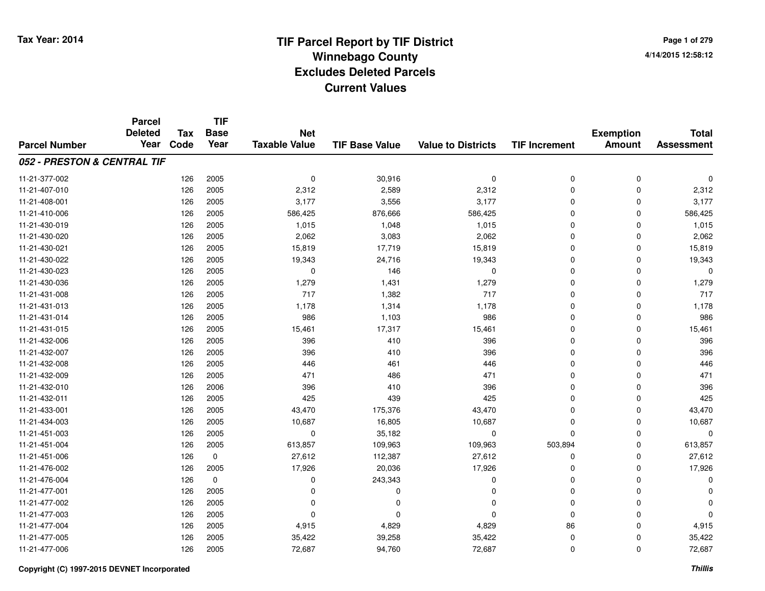**TIF**

**Parcel**

**Page 1 of 2794/14/2015 12:58:12**

|                             | וטט וגי<br><b>Deleted</b><br>Year | <b>Tax</b><br>Code | .<br><b>Base</b><br>Year | <b>Net</b>           |                       |                           |                      | <b>Exemption</b> | <b>Total</b>      |
|-----------------------------|-----------------------------------|--------------------|--------------------------|----------------------|-----------------------|---------------------------|----------------------|------------------|-------------------|
| <b>Parcel Number</b>        |                                   |                    |                          | <b>Taxable Value</b> | <b>TIF Base Value</b> | <b>Value to Districts</b> | <b>TIF Increment</b> | <b>Amount</b>    | <b>Assessment</b> |
| 052 - PRESTON & CENTRAL TIF |                                   |                    |                          |                      |                       |                           |                      |                  |                   |
| 11-21-377-002               |                                   | 126                | 2005                     | 0                    | 30,916                | $\mathbf 0$               | 0                    | $\mathbf 0$      | $\Omega$          |
| 11-21-407-010               |                                   | 126                | 2005                     | 2,312                | 2,589                 | 2,312                     | $\mathbf 0$          | 0                | 2,312             |
| 11-21-408-001               |                                   | 126                | 2005                     | 3,177                | 3,556                 | 3,177                     | 0                    | 0                | 3,177             |
| 11-21-410-006               |                                   | 126                | 2005                     | 586,425              | 876,666               | 586,425                   | 0                    | 0                | 586,425           |
| 11-21-430-019               |                                   | 126                | 2005                     | 1,015                | 1,048                 | 1,015                     | 0                    | 0                | 1,015             |
| 11-21-430-020               |                                   | 126                | 2005                     | 2,062                | 3,083                 | 2,062                     | 0                    | $\Omega$         | 2,062             |
| 11-21-430-021               |                                   | 126                | 2005                     | 15,819               | 17,719                | 15,819                    | 0                    | 0                | 15,819            |
| 11-21-430-022               |                                   | 126                | 2005                     | 19,343               | 24,716                | 19,343                    | 0                    | 0                | 19,343            |
| 11-21-430-023               |                                   | 126                | 2005                     | $\mathbf 0$          | 146                   | 0                         | 0                    | $\Omega$         | $\Omega$          |
| 11-21-430-036               |                                   | 126                | 2005                     | 1,279                | 1,431                 | 1,279                     | 0                    | 0                | 1,279             |
| 11-21-431-008               |                                   | 126                | 2005                     | 717                  | 1,382                 | 717                       | 0                    | $\Omega$         | 717               |
| 11-21-431-013               |                                   | 126                | 2005                     | 1,178                | 1,314                 | 1,178                     | 0                    | $\Omega$         | 1,178             |
| 11-21-431-014               |                                   | 126                | 2005                     | 986                  | 1,103                 | 986                       | 0                    | $\Omega$         | 986               |
| 11-21-431-015               |                                   | 126                | 2005                     | 15,461               | 17,317                | 15,461                    | $\mathbf 0$          | 0                | 15,461            |
| 11-21-432-006               |                                   | 126                | 2005                     | 396                  | 410                   | 396                       | $\mathbf 0$          | $\Omega$         | 396               |
| 11-21-432-007               |                                   | 126                | 2005                     | 396                  | 410                   | 396                       | 0                    | 0                | 396               |
| 11-21-432-008               |                                   | 126                | 2005                     | 446                  | 461                   | 446                       | 0                    | $\Omega$         | 446               |
| 11-21-432-009               |                                   | 126                | 2005                     | 471                  | 486                   | 471                       | 0                    | $\Omega$         | 471               |
| 11-21-432-010               |                                   | 126                | 2006                     | 396                  | 410                   | 396                       | 0                    | $\Omega$         | 396               |
| 11-21-432-011               |                                   | 126                | 2005                     | 425                  | 439                   | 425                       | 0                    | $\Omega$         | 425               |
| 11-21-433-001               |                                   | 126                | 2005                     | 43,470               | 175,376               | 43,470                    | $\Omega$             | 0                | 43,470            |
| 11-21-434-003               |                                   | 126                | 2005                     | 10,687               | 16,805                | 10,687                    | $\mathbf 0$          | $\Omega$         | 10,687            |
| 11-21-451-003               |                                   | 126                | 2005                     | 0                    | 35,182                | 0                         | $\mathbf 0$          | 0                | 0                 |
| 11-21-451-004               |                                   | 126                | 2005                     | 613,857              | 109,963               | 109,963                   | 503,894              | 0                | 613,857           |
| 11-21-451-006               |                                   | 126                | $\mathbf 0$              | 27,612               | 112,387               | 27,612                    | 0                    | 0                | 27,612            |
| 11-21-476-002               |                                   | 126                | 2005                     | 17,926               | 20,036                | 17,926                    | $\mathbf 0$          | 0                | 17,926            |
| 11-21-476-004               |                                   | 126                | $\mathbf 0$              | $\Omega$             | 243,343               | 0                         | 0                    | 0                | 0                 |
| 11-21-477-001               |                                   | 126                | 2005                     | $\Omega$             | $\Omega$              | $\Omega$                  | 0                    | 0                | 0                 |
| 11-21-477-002               |                                   | 126                | 2005                     | O                    | $\Omega$              | $\Omega$                  | $\mathbf 0$          | 0                | $\Omega$          |
| 11-21-477-003               |                                   | 126                | 2005                     | $\Omega$             | $\Omega$              | $\Omega$                  | $\mathbf 0$          | $\Omega$         | $\Omega$          |
| 11-21-477-004               |                                   | 126                | 2005                     | 4,915                | 4,829                 | 4,829                     | 86                   | $\Omega$         | 4,915             |
| 11-21-477-005               |                                   | 126                | 2005                     | 35,422               | 39,258                | 35,422                    | 0                    | 0                | 35,422            |
| 11-21-477-006               |                                   | 126                | 2005                     | 72,687               | 94,760                | 72,687                    | 0                    | $\mathbf 0$      | 72,687            |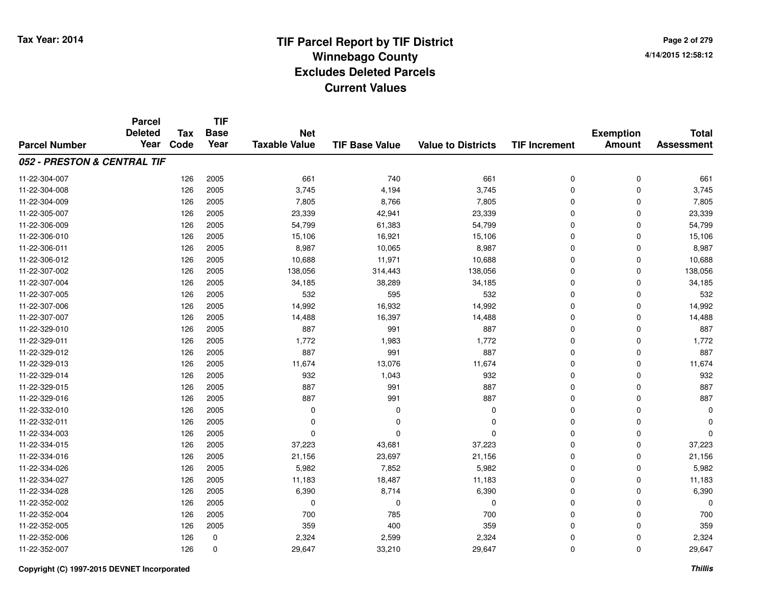**Page 2 of 2794/14/2015 12:58:12**

#### **TIF Base ValueParcel NumberTotal AssessmentExemption Amount Value to Districts TIF IncrementTIF Base YearTax CodeParcel Deleted YearNet Taxable Value052 - PRESTON & CENTRAL TIF**11-22-304-007 <sup>126</sup> <sup>661</sup> <sup>2005</sup> <sup>740</sup> <sup>661</sup> <sup>0</sup> <sup>0</sup> <sup>661</sup> 11-22-304-008 <sup>126</sup> 3,745 <sup>2005</sup> 4,194 3,745 <sup>0</sup> <sup>0</sup> 3,745 11-22-304-0099 126 2005 7,805 8,766 7,805 0 7,805 11-22-305-007 <sup>126</sup> 23,339 <sup>2005</sup> 42,941 23,339 <sup>0</sup> <sup>0</sup> 23,339 11-22-306-0099 126 2005 54,799 61,383 54,799 0 0 54,799 11-22-306-0100 126 2005 15,106 16,921 15,106 0 0 15,106 11-22-306-0111 126 2005 8,987 10,065 8,987 0 0 8,987 11-22-306-0122 126 2005 10,688 11,971 10,688 0 0 10,688 11-22-307-0022 126 2005 138,056 314,443 138,056 0 138,056 11-22-307-004 <sup>126</sup> 34,185 <sup>2005</sup> 38,289 34,185 <sup>0</sup> <sup>0</sup> 34,185 11-22-307-0055 126 2005 532 595 532 0 0 532 11-22-307-0066 126 2005 14,992 16,932 14,992 0 0 14,992 11-22-307-007 <sup>126</sup> 14,488 <sup>2005</sup> 16,397 14,488 <sup>0</sup> <sup>0</sup> 14,488 11-22-329-0100 126 2005 887 991 887 0 0 887 11-22-329-0111 126 2005 1,772 1,983 1,772 0 0 1,772 11-22-329-012 <sup>126</sup> <sup>887</sup> <sup>2005</sup> <sup>991</sup> <sup>887</sup> <sup>0</sup> <sup>0</sup> <sup>887</sup> 11-22-329-013 <sup>126</sup> 11,674 <sup>2005</sup> 13,076 11,674 <sup>0</sup> <sup>0</sup> 11,674 11-22-329-014 <sup>126</sup> <sup>932</sup> <sup>2005</sup> 1,043 <sup>932</sup> <sup>0</sup> <sup>0</sup> <sup>932</sup> 11-22-329-0155 126 2005 887 991 887 0 0 887 11-22-329-0166 126 2005 887 991 887 0 0 887 11-22-332-010 <sup>126</sup> <sup>0</sup> <sup>2005</sup> <sup>0</sup> <sup>0</sup> <sup>0</sup> <sup>0</sup> <sup>0</sup> 11-22-332-011 <sup>126</sup> <sup>0</sup> <sup>2005</sup> <sup>0</sup> <sup>0</sup> <sup>0</sup> <sup>0</sup> <sup>0</sup> 11-22-334-003 <sup>126</sup> <sup>0</sup> <sup>2005</sup> <sup>0</sup> <sup>0</sup> <sup>0</sup> <sup>0</sup> <sup>0</sup> 11-22-334-0155 126 2005 37,223 43,681 37,223 0 0 37,223 11-22-334-016 <sup>126</sup> 21,156 <sup>2005</sup> 23,697 21,156 <sup>0</sup> <sup>0</sup> 21,156 11-22-334-026 <sup>126</sup> 5,982 <sup>2005</sup> 7,852 5,982 <sup>0</sup> <sup>0</sup> 5,982 11-22-334-027 <sup>126</sup> 11,183 <sup>2005</sup> 18,487 11,183 <sup>0</sup> <sup>0</sup> 11,183 11-22-334-028 <sup>126</sup> 6,390 <sup>2005</sup> 8,714 6,390 <sup>0</sup> <sup>0</sup> 6,390 11-22-352-002 <sup>126</sup> <sup>0</sup> <sup>2005</sup> <sup>0</sup> <sup>0</sup> <sup>0</sup> <sup>0</sup> <sup>0</sup> 11-22-352-004 <sup>126</sup> <sup>700</sup> <sup>2005</sup> <sup>785</sup> <sup>700</sup> <sup>0</sup> <sup>0</sup> <sup>700</sup> 11-22-352-005 <sup>126</sup> <sup>359</sup> <sup>2005</sup> <sup>400</sup> <sup>359</sup> <sup>0</sup> <sup>0</sup> <sup>359</sup> 11-22-352-0066 126 0 2,324 2,599 2,324 0 0 2,324 11-22-352-0077 126 0 29,647 33,210 29,647 0 29,647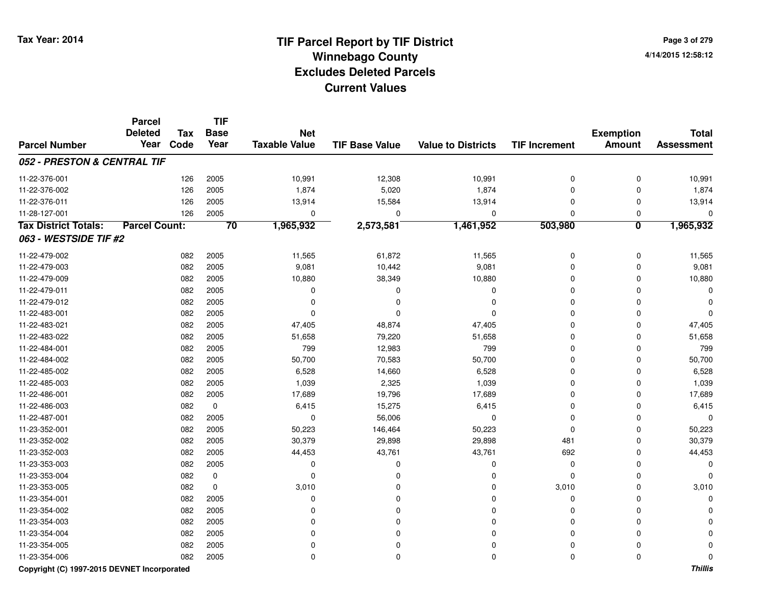**Page 3 of 2794/14/2015 12:58:12**

#### **TIF Base ValueParcel NumberTotal AssessmentExemption Amount Value to Districts TIF IncrementTIF Base YearTax CodeParcel Deleted YearNet Taxable Value052 - PRESTON & CENTRAL TIF**11-22-376-0011 126 2005 10,991 12,308 10,991 0 10,991 11-22-376-0022 126 2005 1,874 5,020 1,874 0 0 1,874 11-22-376-0111 126 2005 13,914 15,584 13,914 0 0 13,914 11-28-127-001 <sup>126</sup> <sup>0</sup> <sup>2005</sup> <sup>0</sup> <sup>0</sup> <sup>0</sup> <sup>0</sup> <sup>0</sup> **Tax District Totals: Parcel Count: <sup>70</sup> 1,965,932 2,573,581 1,461,952 503,980 <sup>0</sup> 1,965,932 063 - WESTSIDE TIF #2**11-22-479-0022 082 2005 11,565 61,872 11,565 0 0 11,565 11-22-479-0033 082 2005 9,081 10,442 9,081 0 0 9,081 11-22-479-0099 082 2005 10,880 38,349 10,880 0 0 10,880 11-22-479-011 <sup>082</sup> <sup>0</sup> <sup>2005</sup> <sup>0</sup> <sup>0</sup> <sup>0</sup> <sup>0</sup> <sup>0</sup> 11-22-479-012 <sup>082</sup> <sup>0</sup> <sup>2005</sup> <sup>0</sup> <sup>0</sup> <sup>0</sup> <sup>0</sup> <sup>0</sup> 11-22-483-001 <sup>082</sup> <sup>0</sup> <sup>2005</sup> <sup>0</sup> <sup>0</sup> <sup>0</sup> <sup>0</sup> <sup>0</sup> 11-22-483-0211 1 2 3 3 3 47,405 47,405 47,405 48,874 48,874 47,405 5 47,405 6 47,405 6 47,405 6 47,405 47,405 47,405 47,405 11-22-483-0222 082 2005 51,658 79,220 51,658 0 0 51,658 11-22-484-0011 082 2005 799 12,983 799 0 0 799 11-22-484-002 <sup>082</sup> 50,700 <sup>2005</sup> 70,583 50,700 <sup>0</sup> <sup>0</sup> 50,700 11-22-485-0022 082 2005 6,528 14,660 6,528 0 0 6,528 11-22-485-0033 082 2005 1,039 2,325 1,039 0 0 1,039 11-22-486-0011 082 2005 17,689 19,796 17,689 0 0 17,689 11-22-486-0033 082 0 6,415 15,275 6,415 0 0 6,415 11-22-487-0011 082 2005 0 56,006 0 0 0 0 11-23-352-0011 082 2005 50,223 146,464 50,223 0 0 50,223 11-23-352-002 <sup>082</sup> 30,379 <sup>2005</sup> 29,898 29,898 <sup>481</sup> <sup>0</sup> 30,379 11-23-352-0033 082 2005 44,453 43,761 43,761 692 0 44,453 11-23-353-003 <sup>082</sup> <sup>0</sup> <sup>2005</sup> <sup>0</sup> <sup>0</sup> <sup>0</sup> <sup>0</sup> <sup>0</sup> 11-23-353-004 <sup>082</sup> <sup>0</sup> <sup>0</sup> <sup>0</sup> <sup>0</sup> <sup>0</sup> <sup>0</sup> <sup>0</sup> 11-23-353-005 <sup>082</sup> 3,010 <sup>0</sup> <sup>0</sup> <sup>0</sup> 3,010 <sup>0</sup> 3,010 11-23-354-001 <sup>082</sup> <sup>0</sup> <sup>2005</sup> <sup>0</sup> <sup>0</sup> <sup>0</sup> <sup>0</sup> <sup>0</sup> 11-23-354-002 <sup>082</sup> <sup>0</sup> <sup>2005</sup> <sup>0</sup> <sup>0</sup> <sup>0</sup> <sup>0</sup> <sup>0</sup> 11-23-354-003 <sup>082</sup> <sup>0</sup> <sup>2005</sup> <sup>0</sup> <sup>0</sup> <sup>0</sup> <sup>0</sup> <sup>0</sup> 11-23-354-004 <sup>082</sup> <sup>0</sup> <sup>2005</sup> <sup>0</sup> <sup>0</sup> <sup>0</sup> <sup>0</sup> <sup>0</sup> 11-23-354-005 <sup>082</sup> <sup>0</sup> <sup>2005</sup> <sup>0</sup> <sup>0</sup> <sup>0</sup> <sup>0</sup> <sup>0</sup> 11-23-354-006<sup>082</sup> <sup>0</sup> <sup>2005</sup> <sup>0</sup> <sup>0</sup> <sup>0</sup> <sup>0</sup> <sup>0</sup>

### **Copyright (C) 1997-2015 DEVNET Incorporated**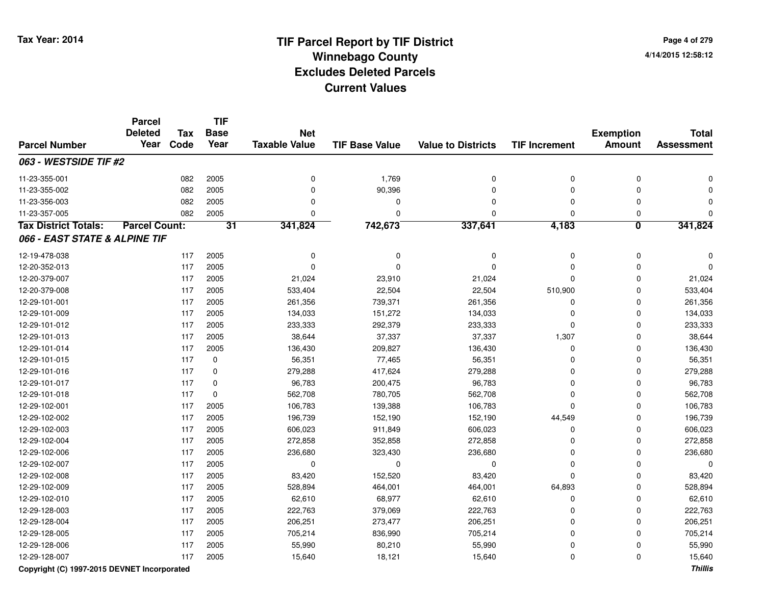#### **TIF Base ValueParcel NumberTotal AssessmentExemption Amount Value to Districts TIF IncrementTIF Base YearTax CodeParcel Deleted YearNet Taxable Value063 - WESTSIDE TIF #2**11-23-355-0011 082 2005 0 1,769 0 0 0 0 11-23-355-002 <sup>082</sup> <sup>0</sup> <sup>2005</sup> 90,396 <sup>0</sup> <sup>0</sup> <sup>0</sup> <sup>0</sup> 11-23-356-003 <sup>082</sup> <sup>0</sup> <sup>2005</sup> <sup>0</sup> <sup>0</sup> <sup>0</sup> <sup>0</sup> <sup>0</sup> 11-23-357-005 <sup>082</sup> <sup>0</sup> <sup>2005</sup> <sup>0</sup> <sup>0</sup> <sup>0</sup> <sup>0</sup> <sup>0</sup> **Tax District Totals: Parcel Count: <sup>31</sup> 341,824 742,673 337,641 4,183 <sup>0</sup> 341,824 066 - EAST STATE & ALPINE TIF**12-19-478-038 <sup>117</sup> <sup>0</sup> <sup>2005</sup> <sup>0</sup> <sup>0</sup> <sup>0</sup> <sup>0</sup> <sup>0</sup> 12-20-352-013 <sup>117</sup> <sup>0</sup> <sup>2005</sup> <sup>0</sup> <sup>0</sup> <sup>0</sup> <sup>0</sup> <sup>0</sup> 12-20-379-007 <sup>117</sup> 21,024 <sup>2005</sup> 23,910 21,024 <sup>0</sup> <sup>0</sup> 21,024 12-20-379-008 <sup>117</sup> 533,404 <sup>2005</sup> 22,504 22,504 510,900 <sup>0</sup> 533,404 12-29-101-0011 117 2005 261,356 739,371 261,356 0 261,356 12-29-101-0099 117 2005 134,033 151,272 134,033 0 0 134,033 12-29-101-012 <sup>117</sup> 233,333 <sup>2005</sup> 292,379 233,333 <sup>0</sup> <sup>0</sup> 233,333 12-29-101-013 <sup>117</sup> 38,644 <sup>2005</sup> 37,337 37,337 1,307 <sup>0</sup> 38,644 12-29-101-014 <sup>117</sup> 136,430 <sup>2005</sup> 209,827 136,430 <sup>0</sup> <sup>0</sup> 136,430 12-29-101-0155 117 0 56,351 77,465 56,351 0 56,351 12-29-101-0166 117 0 279,288 417,624 279,288 0 0 279,288 12-29-101-017 <sup>117</sup> 96,783 <sup>0</sup> 200,475 96,783 <sup>0</sup> <sup>0</sup> 96,783 12-29-101-018 <sup>117</sup> 562,708 <sup>0</sup> 780,705 562,708 <sup>0</sup> <sup>0</sup> 562,708 12-29-102-0011 117 2005 106,783 139,388 106,783 0 0 106,783 12-29-102-002 <sup>117</sup> 196,739 <sup>2005</sup> 152,190 152,190 44,549 <sup>0</sup> 196,739 12-29-102-0033 117 2005 606,023 911,849 606,023 0 606,023 12-29-102-004 <sup>117</sup> 272,858 <sup>2005</sup> 352,858 272,858 <sup>0</sup> <sup>0</sup> 272,858 12-29-102-006 <sup>117</sup> 236,680 <sup>2005</sup> 323,430 236,680 <sup>0</sup> <sup>0</sup> 236,680 12-29-102-007 <sup>117</sup> <sup>0</sup> <sup>2005</sup> <sup>0</sup> <sup>0</sup> <sup>0</sup> <sup>0</sup> <sup>0</sup> 12-29-102-008 <sup>117</sup> 83,420 <sup>2005</sup> 152,520 83,420 <sup>0</sup> <sup>0</sup> 83,420 12-29-102-009 <sup>117</sup> 528,894 <sup>2005</sup> 464,001 464,001 64,893 <sup>0</sup> 528,894 12-29-102-0100 117 2005 62,610 68,977 62,610 0 0 62,610 12-29-128-0033 117 2005 222,763 379,069 222,763 0 222,763 12-29-128-004 <sup>117</sup> 206,251 <sup>2005</sup> 273,477 206,251 <sup>0</sup> <sup>0</sup> 206,251 12-29-128-005 <sup>117</sup> 705,214 <sup>2005</sup> 836,990 705,214 <sup>0</sup> <sup>0</sup> 705,214 12-29-128-006 <sup>117</sup> 55,990 <sup>2005</sup> 80,210 55,990 <sup>0</sup> <sup>0</sup> 55,990 12-29-128-007<sup>117</sup> 15,640 <sup>2005</sup> 18,121 15,640 <sup>0</sup> <sup>0</sup> 15,640

### **Copyright (C) 1997-2015 DEVNET Incorporated**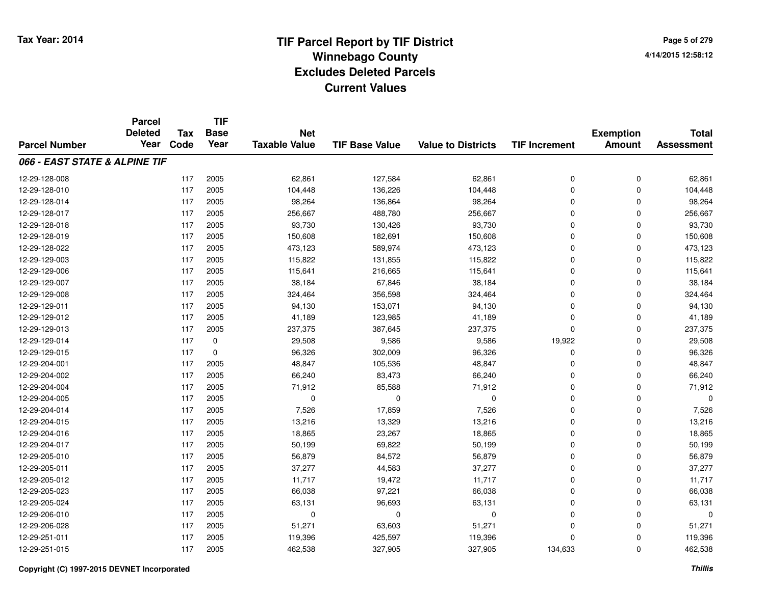|                               | <b>Parcel</b>          |                    | <b>TIF</b>          |                                    |                       |                           |                      |                                   |                                   |
|-------------------------------|------------------------|--------------------|---------------------|------------------------------------|-----------------------|---------------------------|----------------------|-----------------------------------|-----------------------------------|
| <b>Parcel Number</b>          | <b>Deleted</b><br>Year | <b>Tax</b><br>Code | <b>Base</b><br>Year | <b>Net</b><br><b>Taxable Value</b> | <b>TIF Base Value</b> | <b>Value to Districts</b> | <b>TIF Increment</b> | <b>Exemption</b><br><b>Amount</b> | <b>Total</b><br><b>Assessment</b> |
|                               |                        |                    |                     |                                    |                       |                           |                      |                                   |                                   |
| 066 - EAST STATE & ALPINE TIF |                        |                    |                     |                                    |                       |                           |                      |                                   |                                   |
| 12-29-128-008                 |                        | 117                | 2005                | 62,861                             | 127,584               | 62,861                    | 0                    | $\mathbf 0$                       | 62,861                            |
| 12-29-128-010                 |                        | 117                | 2005                | 104,448                            | 136,226               | 104,448                   | $\mathbf 0$          | $\mathbf 0$                       | 104,448                           |
| 12-29-128-014                 |                        | 117                | 2005                | 98,264                             | 136,864               | 98,264                    | $\mathbf 0$          | $\mathbf 0$                       | 98,264                            |
| 12-29-128-017                 |                        | 117                | 2005                | 256,667                            | 488,780               | 256,667                   | $\mathbf 0$          | $\Omega$                          | 256,667                           |
| 12-29-128-018                 |                        | 117                | 2005                | 93,730                             | 130,426               | 93,730                    | 0                    | $\Omega$                          | 93,730                            |
| 12-29-128-019                 |                        | 117                | 2005                | 150,608                            | 182,691               | 150,608                   | $\Omega$             | $\Omega$                          | 150,608                           |
| 12-29-128-022                 |                        | 117                | 2005                | 473,123                            | 589,974               | 473,123                   | $\Omega$             | $\Omega$                          | 473,123                           |
| 12-29-129-003                 |                        | 117                | 2005                | 115,822                            | 131,855               | 115,822                   | 0                    | $\mathbf 0$                       | 115,822                           |
| 12-29-129-006                 |                        | 117                | 2005                | 115,641                            | 216,665               | 115,641                   | $\mathbf 0$          | $\Omega$                          | 115,641                           |
| 12-29-129-007                 |                        | 117                | 2005                | 38,184                             | 67,846                | 38,184                    | $\mathbf 0$          | $\mathbf 0$                       | 38,184                            |
| 12-29-129-008                 |                        | 117                | 2005                | 324,464                            | 356,598               | 324,464                   | $\mathbf 0$          | $\Omega$                          | 324,464                           |
| 12-29-129-011                 |                        | 117                | 2005                | 94,130                             | 153,071               | 94,130                    | $\mathbf 0$          | $\Omega$                          | 94,130                            |
| 12-29-129-012                 |                        | 117                | 2005                | 41,189                             | 123,985               | 41,189                    | $\mathbf 0$          | $\Omega$                          | 41,189                            |
| 12-29-129-013                 |                        | 117                | 2005                | 237,375                            | 387,645               | 237,375                   | $\mathbf 0$          | $\Omega$                          | 237,375                           |
| 12-29-129-014                 |                        | 117                | 0                   | 29,508                             | 9,586                 | 9,586                     | 19,922               | $\Omega$                          | 29,508                            |
| 12-29-129-015                 |                        | 117                | 0                   | 96,326                             | 302,009               | 96,326                    | 0                    | $\mathbf 0$                       | 96,326                            |
| 12-29-204-001                 |                        | 117                | 2005                | 48,847                             | 105,536               | 48,847                    | 0                    | $\Omega$                          | 48,847                            |
| 12-29-204-002                 |                        | 117                | 2005                | 66,240                             | 83,473                | 66,240                    | 0                    | $\mathbf 0$                       | 66,240                            |
| 12-29-204-004                 |                        | 117                | 2005                | 71,912                             | 85,588                | 71,912                    | $\mathbf 0$          | $\mathbf 0$                       | 71,912                            |
| 12-29-204-005                 |                        | 117                | 2005                | 0                                  | $\mathbf 0$           | 0                         | 0                    | $\Omega$                          | $\Omega$                          |
| 12-29-204-014                 |                        | 117                | 2005                | 7,526                              | 17,859                | 7,526                     | 0                    | $\Omega$                          | 7,526                             |
| 12-29-204-015                 |                        | 117                | 2005                | 13,216                             | 13,329                | 13,216                    | 0                    | $\mathbf 0$                       | 13,216                            |
| 12-29-204-016                 |                        | 117                | 2005                | 18,865                             | 23,267                | 18,865                    | $\mathbf 0$          | 0                                 | 18,865                            |
| 12-29-204-017                 |                        | 117                | 2005                | 50,199                             | 69,822                | 50,199                    | $\mathbf 0$          | $\mathbf 0$                       | 50,199                            |
| 12-29-205-010                 |                        | 117                | 2005                | 56,879                             | 84,572                | 56,879                    | $\mathbf 0$          | $\mathbf 0$                       | 56,879                            |
| 12-29-205-011                 |                        | 117                | 2005                | 37,277                             | 44,583                | 37,277                    | $\mathbf 0$          | $\Omega$                          | 37,277                            |
| 12-29-205-012                 |                        | 117                | 2005                | 11,717                             | 19,472                | 11,717                    | 0                    | $\Omega$                          | 11,717                            |
| 12-29-205-023                 |                        | 117                | 2005                | 66,038                             | 97,221                | 66,038                    | 0                    | $\Omega$                          | 66,038                            |
| 12-29-205-024                 |                        | 117                | 2005                | 63,131                             | 96,693                | 63,131                    | $\Omega$             | $\Omega$                          | 63,131                            |
| 12-29-206-010                 |                        | 117                | 2005                | 0                                  | $\mathbf 0$           | 0                         | 0                    | $\Omega$                          | 0                                 |
| 12-29-206-028                 |                        | 117                | 2005                | 51,271                             | 63,603                | 51,271                    | 0                    | $\Omega$                          | 51,271                            |
| 12-29-251-011                 |                        | 117                | 2005                | 119,396                            | 425,597               | 119,396                   | $\mathbf 0$          | $\Omega$                          | 119,396                           |
| 12-29-251-015                 |                        | 117                | 2005                | 462,538                            | 327,905               | 327,905                   | 134,633              | $\Omega$                          | 462,538                           |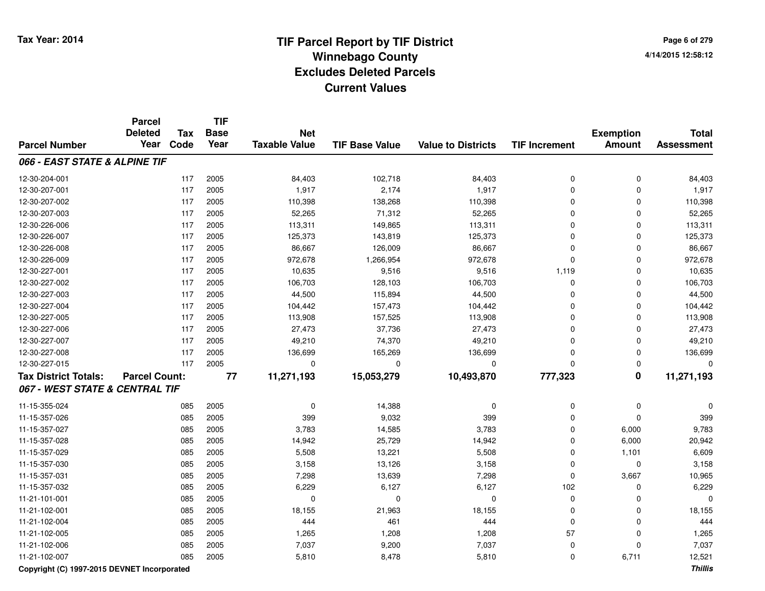**Page 6 of 2794/14/2015 12:58:12**

|                                | <b>Parcel</b><br><b>Deleted</b> | <b>Tax</b> | <b>TIF</b><br><b>Base</b> | <b>Net</b>           |                       |                           |                      | <b>Exemption</b>        | <b>Total</b>      |
|--------------------------------|---------------------------------|------------|---------------------------|----------------------|-----------------------|---------------------------|----------------------|-------------------------|-------------------|
| <b>Parcel Number</b>           | Year                            | Code       | Year                      | <b>Taxable Value</b> | <b>TIF Base Value</b> | <b>Value to Districts</b> | <b>TIF Increment</b> | <b>Amount</b>           | <b>Assessment</b> |
| 066 - EAST STATE & ALPINE TIF  |                                 |            |                           |                      |                       |                           |                      |                         |                   |
| 12-30-204-001                  |                                 | 117        | 2005                      | 84,403               | 102,718               | 84,403                    | 0                    | $\mathbf 0$             | 84,403            |
| 12-30-207-001                  |                                 | 117        | 2005                      | 1,917                | 2,174                 | 1,917                     | $\mathbf 0$          | $\Omega$                | 1,917             |
| 12-30-207-002                  |                                 | 117        | 2005                      | 110,398              | 138,268               | 110,398                   | 0                    | $\Omega$                | 110,398           |
| 12-30-207-003                  |                                 | 117        | 2005                      | 52,265               | 71,312                | 52,265                    | $\mathbf 0$          | 0                       | 52,265            |
| 12-30-226-006                  |                                 | 117        | 2005                      | 113,311              | 149,865               | 113,311                   | 0                    | 0                       | 113,311           |
| 12-30-226-007                  |                                 | 117        | 2005                      | 125,373              | 143,819               | 125,373                   | 0                    | 0                       | 125,373           |
| 12-30-226-008                  |                                 | 117        | 2005                      | 86,667               | 126,009               | 86,667                    | 0                    | 0                       | 86,667            |
| 12-30-226-009                  |                                 | 117        | 2005                      | 972,678              | 1,266,954             | 972,678                   | $\mathbf 0$          | 0                       | 972,678           |
| 12-30-227-001                  |                                 | 117        | 2005                      | 10,635               | 9,516                 | 9,516                     | 1,119                | $\mathbf 0$             | 10,635            |
| 12-30-227-002                  |                                 | 117        | 2005                      | 106,703              | 128,103               | 106,703                   | $\pmb{0}$            | $\mathbf 0$             | 106,703           |
| 12-30-227-003                  |                                 | 117        | 2005                      | 44,500               | 115,894               | 44,500                    | 0                    | $\mathbf 0$             | 44,500            |
| 12-30-227-004                  |                                 | 117        | 2005                      | 104,442              | 157,473               | 104,442                   | 0                    | $\mathbf 0$             | 104,442           |
| 12-30-227-005                  |                                 | 117        | 2005                      | 113,908              | 157,525               | 113,908                   | 0                    | $\mathbf 0$             | 113,908           |
| 12-30-227-006                  |                                 | 117        | 2005                      | 27,473               | 37,736                | 27,473                    | $\mathbf 0$          | $\mathbf 0$             | 27,473            |
| 12-30-227-007                  |                                 | 117        | 2005                      | 49,210               | 74,370                | 49,210                    | $\mathbf 0$          | $\Omega$                | 49,210            |
| 12-30-227-008                  |                                 | 117        | 2005                      | 136,699              | 165,269               | 136,699                   | 0                    | $\mathbf 0$             | 136,699           |
| 12-30-227-015                  |                                 | 117        | 2005                      | $\Omega$             | $\Omega$              | 0                         | $\mathbf 0$          | $\mathbf 0$             | $\Omega$          |
| <b>Tax District Totals:</b>    | <b>Parcel Count:</b>            |            | $\overline{77}$           | 11,271,193           | 15,053,279            | 10,493,870                | 777,323              | $\overline{\mathbf{0}}$ | 11,271,193        |
| 067 - WEST STATE & CENTRAL TIF |                                 |            |                           |                      |                       |                           |                      |                         |                   |
| 11-15-355-024                  |                                 | 085        | 2005                      | $\mathbf 0$          | 14,388                | 0                         | 0                    | $\mathbf 0$             |                   |
| 11-15-357-026                  |                                 | 085        | 2005                      | 399                  | 9,032                 | 399                       | $\mathbf 0$          | $\mathbf 0$             | 399               |
| 11-15-357-027                  |                                 | 085        | 2005                      | 3,783                | 14,585                | 3,783                     | $\mathbf 0$          | 6,000                   | 9,783             |
| 11-15-357-028                  |                                 | 085        | 2005                      | 14,942               | 25,729                | 14,942                    | $\mathbf 0$          | 6,000                   | 20,942            |
| 11-15-357-029                  |                                 | 085        | 2005                      | 5,508                | 13,221                | 5,508                     | 0                    | 1,101                   | 6,609             |
| 11-15-357-030                  |                                 | 085        | 2005                      | 3,158                | 13,126                | 3,158                     | 0                    | $\mathbf 0$             | 3,158             |
| 11-15-357-031                  |                                 | 085        | 2005                      | 7,298                | 13,639                | 7,298                     | $\mathbf 0$          | 3,667                   | 10,965            |
| 11-15-357-032                  |                                 | 085        | 2005                      | 6,229                | 6,127                 | 6,127                     | 102                  | $\mathbf 0$             | 6,229             |
| 11-21-101-001                  |                                 | 085        | 2005                      | $\mathbf 0$          | $\mathbf 0$           | 0                         | $\pmb{0}$            | 0                       | $\Omega$          |
| 11-21-102-001                  |                                 | 085        | 2005                      | 18,155               | 21,963                | 18,155                    | $\mathbf 0$          | $\mathbf 0$             | 18,155            |
| 11-21-102-004                  |                                 | 085        | 2005                      | 444                  | 461                   | 444                       | $\mathbf 0$          | $\Omega$                | 444               |
| 11-21-102-005                  |                                 | 085        | 2005                      | 1,265                | 1,208                 | 1,208                     | 57                   | 0                       | 1,265             |
| 11-21-102-006                  |                                 | 085        | 2005                      | 7,037                | 9,200                 | 7,037                     | 0                    | $\Omega$                | 7,037             |
| 11-21-102-007                  |                                 | 085        | 2005                      | 5,810                | 8,478                 | 5,810                     | $\mathbf 0$          | 6,711                   | 12,521            |

**Copyright (C) 1997-2015 DEVNET Incorporated**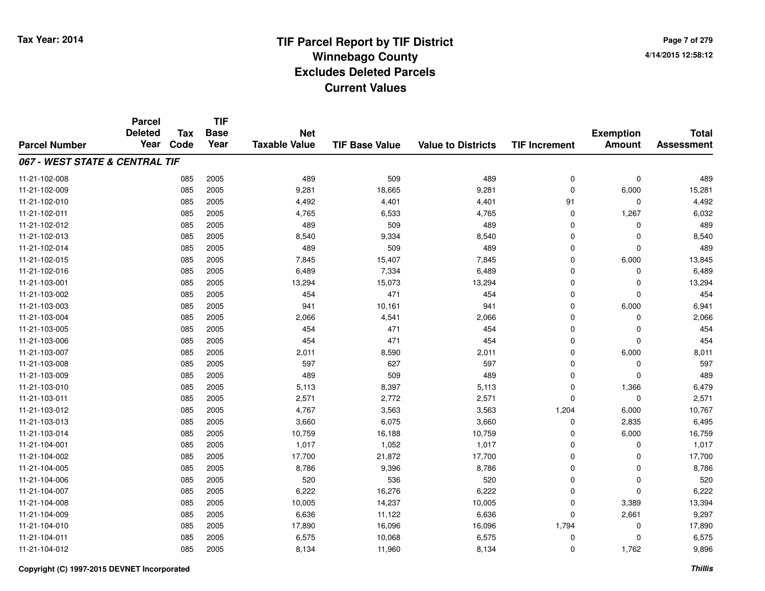**Page 7 of 2794/14/2015 12:58:12**

#### **TIF Base ValueParcel NumberTotal AssessmentExemption Amount Value to Districts TIF IncrementTIF Base YearTax CodeParcel Deleted YearNet Taxable Value067 - WEST STATE & CENTRAL TIF**11-21-102-008 <sup>085</sup> <sup>489</sup> <sup>2005</sup> <sup>509</sup> <sup>489</sup> <sup>0</sup> <sup>0</sup> <sup>489</sup> 11-21-102-0099 085 2005 9,281 18,665 9,281 0 6,000 15,281 11-21-102-0100 085 2005 4,492 4,401 4,401 91 0 4,492 11-21-102-0111 085 2005 4,765 6,533 4,765 0 1,267 6,032 11-21-102-0122 085 2005 489 509 489 0 0 489 11-21-102-0133 2005 2005 1  $8,540$  9,334  $8,540$   $9,334$  8,540 0 0 0  $8,540$ 11-21-102-0144 2005 2005 2006 489 2007 489 509 489 489 0 0 0 489 11-21-102-015 <sup>085</sup> 7,845 <sup>2005</sup> 15,407 7,845 <sup>0</sup> 6,000 13,845 11-21-102-0166 085 2005 6,489 7,334 6,489 0 0 6,489 11-21-103-0011 085 2005 13,294 15,073 13,294 0 0 13,294 11-21-103-0022 085 2005 454 471 454 0 0 454 11-21-103-0033 085 2005 941 10,161 941 0 6,000 6,941 11-21-103-0044 085 2005 2,066 4,541 2,066 0 2,066 11-21-103-005 <sup>085</sup> <sup>454</sup> <sup>2005</sup> <sup>471</sup> <sup>454</sup> <sup>0</sup> <sup>0</sup> <sup>454</sup> 11-21-103-0066 085 2005 454 471 454 0 0 454 11-21-103-0077 085 2005 2,011 8,590 2,011 0 6,000 8,011 11-21-103-008 <sup>085</sup> <sup>597</sup> <sup>2005</sup> <sup>627</sup> <sup>597</sup> <sup>0</sup> <sup>0</sup> <sup>597</sup> 11-21-103-0099 085 2005 489 509 489 0 0 489 11-21-103-010 <sup>085</sup> 5,113 <sup>2005</sup> 8,397 5,113 <sup>0</sup> 1,366 6,479 11-21-103-0111 085 2005 2,571 2,772 2,571 0 0 2,571 11-21-103-0122 085 2005 4,767 3,563 3,563 1,204 6,000 10,767 11-21-103-0133 085 2005 3,660 6,075 3,660 0 2,835 6,495 11-21-103-014 <sup>085</sup> 10,759 <sup>2005</sup> 16,188 10,759 <sup>0</sup> 6,000 16,759 11-21-104-0011 085 2005 1,017 1,052 1,017 0 0 1,017 11-21-104-002 <sup>085</sup> 17,700 <sup>2005</sup> 21,872 17,700 <sup>0</sup> <sup>0</sup> 17,700 11-21-104-0055 085 2005 8,786 9,396 8,786 0 0 8,786 11-21-104-006 <sup>085</sup> <sup>520</sup> <sup>2005</sup> <sup>536</sup> <sup>520</sup> <sup>0</sup> <sup>0</sup> <sup>520</sup> 11-21-104-0077 085 2005 6,222 16,276 6,222 0 0 6,222 11-21-104-0088 085 2005 10,005 14,237 10,005 0 3,389 13,394 11-21-104-0099 085 2005 6,636 11,122 6,636 0 2,661 9,297 11-21-104-0100 085 2005 17,890 16,096 16,096 1,794 0 17,890 11-21-104-0111 085 2005 6,575 10,068 6,575 0 0 6,575 11-21-104-012<sup>085</sup> 8,134 <sup>2005</sup> 11,960 8,134 <sup>0</sup> 1,762 9,896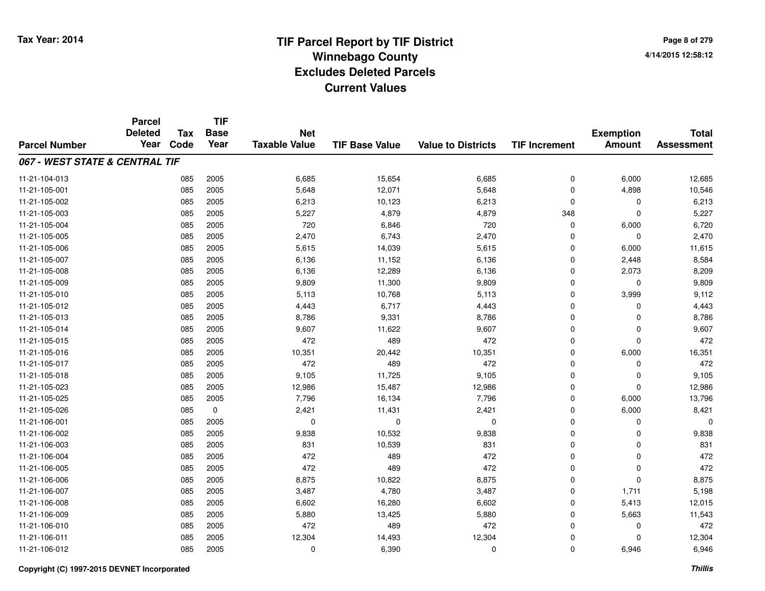**Page 8 of 2794/14/2015 12:58:12**

#### **TIF Base ValueParcel NumberTotal AssessmentExemption Amount Value to Districts TIF IncrementTIF Base YearTax CodeParcel Deleted YearNet Taxable Value067 - WEST STATE & CENTRAL TIF**11-21-104-0133 085 2005 6,685 15,654 6,685 0 6,000 12,685 11-21-105-0011 085 2005 5,648 12,071 5,648 0 4,898 10,546 11-21-105-0022 085 2005 6,213 10,123 6,213 0 0 6,213 11-21-105-003 <sup>085</sup> 5,227 <sup>2005</sup> 4,879 4,879 <sup>348</sup> <sup>0</sup> 5,227 11-21-105-004 <sup>085</sup> <sup>720</sup> <sup>2005</sup> 6,846 <sup>720</sup> <sup>0</sup> 6,000 6,720 11-21-105-005 <sup>085</sup> 2,470 <sup>2005</sup> 6,743 2,470 <sup>0</sup> <sup>0</sup> 2,470 11-21-105-0066 085 2005 5,615 14,039 5,615 0 6,000 11,615 11-21-105-007 <sup>085</sup> 6,136 <sup>2005</sup> 11,152 6,136 <sup>0</sup> 2,448 8,584 11-21-105-008 <sup>085</sup> 6,136 <sup>2005</sup> 12,289 6,136 <sup>0</sup> 2,073 8,209 11-21-105-009 <sup>085</sup> 9,809 <sup>2005</sup> 11,300 9,809 <sup>0</sup> <sup>0</sup> 9,809 11-21-105-0100 085 2005 5,113 10,768 5,113 0 3,999 9,112 11-21-105-0122 085 2005 4,443 6,717 4,443 0 0 4,443 11-21-105-0133 085 2005 8,786 9,331 8,786 0 0 8,786 11-21-105-014 <sup>085</sup> 9,607 <sup>2005</sup> 11,622 9,607 <sup>0</sup> <sup>0</sup> 9,607 11-21-105-015 <sup>085</sup> <sup>472</sup> <sup>2005</sup> <sup>489</sup> <sup>472</sup> <sup>0</sup> <sup>0</sup> <sup>472</sup> 11-21-105-016 <sup>085</sup> 10,351 <sup>2005</sup> 20,442 10,351 <sup>0</sup> 6,000 16,351 11-21-105-017 <sup>085</sup> <sup>472</sup> <sup>2005</sup> <sup>489</sup> <sup>472</sup> <sup>0</sup> <sup>0</sup> <sup>472</sup> 11-21-105-018 <sup>085</sup> 9,105 <sup>2005</sup> 11,725 9,105 <sup>0</sup> <sup>0</sup> 9,105 11-21-105-0233 085 2005 12,986 15,487 12,986 0 0 12,986 11-21-105-025 <sup>085</sup> 7,796 <sup>2005</sup> 16,134 7,796 <sup>0</sup> 6,000 13,796 11-21-105-026 <sup>085</sup> 2,421 <sup>0</sup> 11,431 2,421 <sup>0</sup> 6,000 8,421 11-21-106-001 <sup>085</sup> <sup>0</sup> <sup>2005</sup> <sup>0</sup> <sup>0</sup> <sup>0</sup> <sup>0</sup> <sup>0</sup> 11-21-106-0022 085 2005 9,838 10,532 9,838 0 9,838 11-21-106-0033 085 2005 831 10,539 831 0 831 11-21-106-004 <sup>085</sup> <sup>472</sup> <sup>2005</sup> <sup>489</sup> <sup>472</sup> <sup>0</sup> <sup>0</sup> <sup>472</sup> 11-21-106-005 <sup>085</sup> <sup>472</sup> <sup>2005</sup> <sup>489</sup> <sup>472</sup> <sup>0</sup> <sup>0</sup> <sup>472</sup> 11-21-106-006 <sup>085</sup> 8,875 <sup>2005</sup> 10,822 8,875 <sup>0</sup> <sup>0</sup> 8,875 11-21-106-007 <sup>085</sup> 3,487 <sup>2005</sup> 4,780 3,487 <sup>0</sup> 1,711 5,198 11-21-106-0088 085 2005 6,602 16,280 6,602 0 5,413 12,015 11-21-106-0099 085 2005 5,880 13,425 5,880 0 5,663 11,543 11-21-106-0100 085 2005 472 489 472 0 0 472 11-21-106-0111 085 2005 12,304 14,493 12,304 0 12,304 11-21-106-0122 085 2005 0 6,390 0 0 6,946 6,946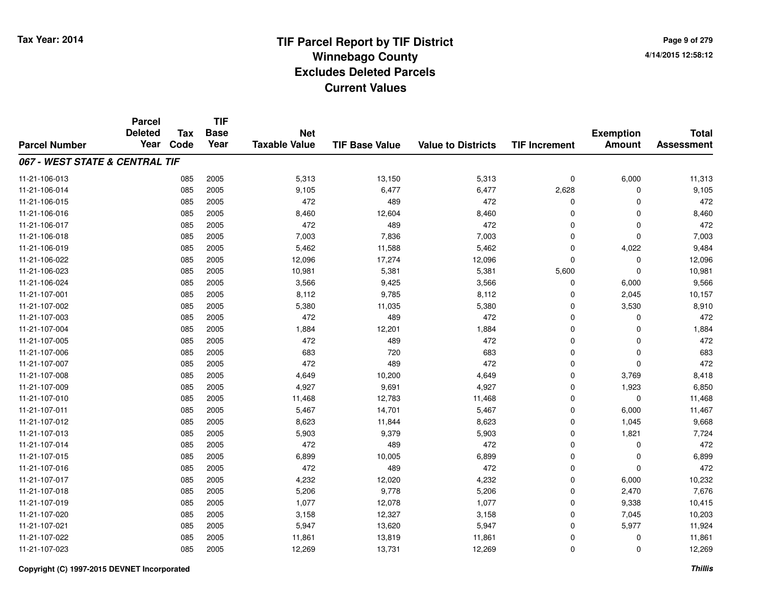**TIF**

**Parcel**

**Page 9 of 2794/14/2015 12:58:12**

#### **TIF Base ValueParcel NumberTotal AssessmentExemption Amount Value to Districts TIF Increment Base YearTax Code Deleted YearNet Taxable Value067 - WEST STATE & CENTRAL TIF**11-21-106-0133 085 2005 5,313 13,150 5,313 0 6,000 11,313 11-21-106-014 <sup>085</sup> 9,105 <sup>2005</sup> 6,477 6,477 2,628 <sup>0</sup> 9,105 11-21-106-015 <sup>085</sup> <sup>472</sup> <sup>2005</sup> <sup>489</sup> <sup>472</sup> <sup>0</sup> <sup>0</sup> <sup>472</sup> 11-21-106-016 <sup>085</sup> 8,460 <sup>2005</sup> 12,604 8,460 <sup>0</sup> <sup>0</sup> 8,460 11-21-106-017 <sup>085</sup> <sup>472</sup> <sup>2005</sup> <sup>489</sup> <sup>472</sup> <sup>0</sup> <sup>0</sup> <sup>472</sup> 11-21-106-018 <sup>085</sup> 7,003 <sup>2005</sup> 7,836 7,003 <sup>0</sup> <sup>0</sup> 7,003 11-21-106-0199 085 2005 5,462 11,588 5,462 0 4,022 9,484 11-21-106-0222 085 2005 12,096 17,274 12,096 0 0 12,096 11-21-106-0233 085 2005 10,981 5,381 5,381 5,600 0 10,981 11-21-106-024 <sup>085</sup> 3,566 <sup>2005</sup> 9,425 3,566 <sup>0</sup> 6,000 9,566 11-21-107-0011 085 2005 8,112 9,785 8,112 0 2,045 10,157 11-21-107-0022 085 2005 5,380 11,035 5,380 0 3,530 8,910 11-21-107-0033 085 2005 472 489 472 0 0 472 11-21-107-0044 085 2005 1,884 12,201 1,884 0 0 1,884 11-21-107-005 <sup>085</sup> <sup>472</sup> <sup>2005</sup> <sup>489</sup> <sup>472</sup> <sup>0</sup> <sup>0</sup> <sup>472</sup> 11-21-107-0066 085 2005 683 720 683 0 0 683 11-21-107-007 <sup>085</sup> <sup>472</sup> <sup>2005</sup> <sup>489</sup> <sup>472</sup> <sup>0</sup> <sup>0</sup> <sup>472</sup> 11-21-107-0088 085 2005 4,649 10,200 4,649 0 3,769 8,418 11-21-107-0099 085 2005 4,927 9,691 4,927 0 1,923 6,850 11-21-107-0100 085 2005 11,468 12,783 11,468 0 0 11,468 11-21-107-0111 085 2005 5,467 14,701 5,467 0 6,000 11,467 11-21-107-0122 085 2005 8,623 11,844 8,623 0 1,045 9,668 11-21-107-013 <sup>085</sup> 5,903 <sup>2005</sup> 9,379 5,903 <sup>0</sup> 1,821 7,724 11-21-107-014 <sup>085</sup> <sup>472</sup> <sup>2005</sup> <sup>489</sup> <sup>472</sup> <sup>0</sup> <sup>0</sup> <sup>472</sup> 11-21-107-015 <sup>085</sup> 6,899 <sup>2005</sup> 10,005 6,899 <sup>0</sup> <sup>0</sup> 6,899 11-21-107-016 <sup>085</sup> <sup>472</sup> <sup>2005</sup> <sup>489</sup> <sup>472</sup> <sup>0</sup> <sup>0</sup> <sup>472</sup> 11-21-107-0177 085 2005 4,232 12,020 4,232 0 6,000 10,232 11-21-107-018 <sup>085</sup> 5,206 <sup>2005</sup> 9,778 5,206 <sup>0</sup> 2,470 7,676 11-21-107-0199 085 2005 1,077 12,078 1,077 0 9,338 10,415 11-21-107-0200 085 2005 3,158 12,327 3,158 0 7,045 10,203 11-21-107-0211 085 2005 5,947 13,620 5,947 0 5,977 11,924 11-21-107-0222 085 2005 11,861 13,819 11,861 0 11,861 11-21-107-0233 085 2005 12,269 13,731 12,269 0 0 12,269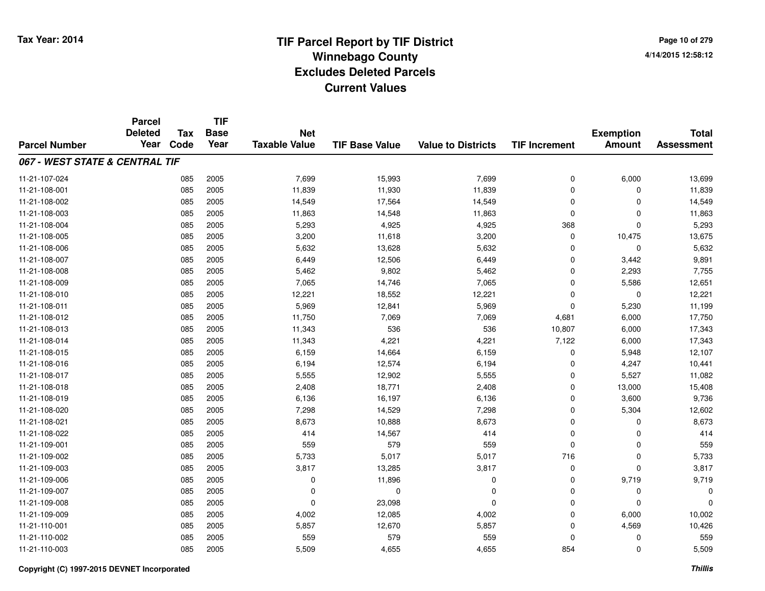**Page 10 of 2794/14/2015 12:58:12**

|                                | <b>Parcel</b>          | <b>TIF</b><br><b>Tax</b><br><b>Base</b> |      |                                    |                       |                           |                      | <b>Total</b>     |                   |
|--------------------------------|------------------------|-----------------------------------------|------|------------------------------------|-----------------------|---------------------------|----------------------|------------------|-------------------|
|                                | <b>Deleted</b><br>Year | Code                                    | Year | <b>Net</b><br><b>Taxable Value</b> |                       |                           |                      | <b>Exemption</b> |                   |
| <b>Parcel Number</b>           |                        |                                         |      |                                    | <b>TIF Base Value</b> | <b>Value to Districts</b> | <b>TIF Increment</b> | <b>Amount</b>    | <b>Assessment</b> |
| 067 - WEST STATE & CENTRAL TIF |                        |                                         |      |                                    |                       |                           |                      |                  |                   |
| 11-21-107-024                  |                        | 085                                     | 2005 | 7,699                              | 15,993                | 7,699                     | 0                    | 6,000            | 13,699            |
| 11-21-108-001                  |                        | 085                                     | 2005 | 11,839                             | 11,930                | 11,839                    | $\mathbf 0$          | $\Omega$         | 11,839            |
| 11-21-108-002                  |                        | 085                                     | 2005 | 14,549                             | 17,564                | 14,549                    | 0                    | $\Omega$         | 14,549            |
| 11-21-108-003                  |                        | 085                                     | 2005 | 11,863                             | 14,548                | 11,863                    | 0                    | $\Omega$         | 11,863            |
| 11-21-108-004                  |                        | 085                                     | 2005 | 5,293                              | 4,925                 | 4,925                     | 368                  | $\Omega$         | 5,293             |
| 11-21-108-005                  |                        | 085                                     | 2005 | 3,200                              | 11,618                | 3,200                     | 0                    | 10,475           | 13,675            |
| 11-21-108-006                  |                        | 085                                     | 2005 | 5,632                              | 13,628                | 5,632                     | 0                    | $\mathbf 0$      | 5,632             |
| 11-21-108-007                  |                        | 085                                     | 2005 | 6,449                              | 12,506                | 6,449                     | $\mathbf 0$          | 3,442            | 9,891             |
| 11-21-108-008                  |                        | 085                                     | 2005 | 5,462                              | 9,802                 | 5,462                     | 0                    | 2,293            | 7,755             |
| 11-21-108-009                  |                        | 085                                     | 2005 | 7,065                              | 14,746                | 7,065                     | $\mathbf 0$          | 5,586            | 12,651            |
| 11-21-108-010                  |                        | 085                                     | 2005 | 12,221                             | 18,552                | 12,221                    | 0                    | $\mathbf 0$      | 12,221            |
| 11-21-108-011                  |                        | 085                                     | 2005 | 5,969                              | 12,841                | 5,969                     | $\mathbf 0$          | 5,230            | 11,199            |
| 11-21-108-012                  |                        | 085                                     | 2005 | 11,750                             | 7,069                 | 7,069                     | 4,681                | 6,000            | 17,750            |
| 11-21-108-013                  |                        | 085                                     | 2005 | 11,343                             | 536                   | 536                       | 10,807               | 6,000            | 17,343            |
| 11-21-108-014                  |                        | 085                                     | 2005 | 11,343                             | 4,221                 | 4,221                     | 7,122                | 6,000            | 17,343            |
| 11-21-108-015                  |                        | 085                                     | 2005 | 6,159                              | 14,664                | 6,159                     | 0                    | 5,948            | 12,107            |
| 11-21-108-016                  |                        | 085                                     | 2005 | 6,194                              | 12,574                | 6,194                     | 0                    | 4,247            | 10,441            |
| 11-21-108-017                  |                        | 085                                     | 2005 | 5,555                              | 12,902                | 5,555                     | 0                    | 5,527            | 11,082            |
| 11-21-108-018                  |                        | 085                                     | 2005 | 2,408                              | 18,771                | 2,408                     | 0                    | 13,000           | 15,408            |
| 11-21-108-019                  |                        | 085                                     | 2005 | 6,136                              | 16,197                | 6,136                     | 0                    | 3,600            | 9,736             |
| 11-21-108-020                  |                        | 085                                     | 2005 | 7,298                              | 14,529                | 7,298                     | 0                    | 5,304            | 12,602            |
| 11-21-108-021                  |                        | 085                                     | 2005 | 8,673                              | 10,888                | 8,673                     | 0                    | 0                | 8,673             |
| 11-21-108-022                  |                        | 085                                     | 2005 | 414                                | 14,567                | 414                       | 0                    | 0                | 414               |
| 11-21-109-001                  |                        | 085                                     | 2005 | 559                                | 579                   | 559                       | $\pmb{0}$            | $\mathbf 0$      | 559               |
| 11-21-109-002                  |                        | 085                                     | 2005 | 5,733                              | 5,017                 | 5,017                     | 716                  | $\mathbf 0$      | 5,733             |
| 11-21-109-003                  |                        | 085                                     | 2005 | 3,817                              | 13,285                | 3,817                     | 0                    | $\Omega$         | 3,817             |
| 11-21-109-006                  |                        | 085                                     | 2005 | $\mathbf 0$                        | 11,896                | 0                         | 0                    | 9,719            | 9,719             |
| 11-21-109-007                  |                        | 085                                     | 2005 | 0                                  | 0                     | 0                         | 0                    | 0                | 0                 |
| 11-21-109-008                  |                        | 085                                     | 2005 | $\mathbf 0$                        | 23,098                | $\Omega$                  | 0                    | $\Omega$         | $\Omega$          |
| 11-21-109-009                  |                        | 085                                     | 2005 | 4,002                              | 12,085                | 4,002                     | 0                    | 6,000            | 10,002            |
| 11-21-110-001                  |                        | 085                                     | 2005 | 5,857                              | 12,670                | 5,857                     | 0                    | 4,569            | 10,426            |
| 11-21-110-002                  |                        | 085                                     | 2005 | 559                                | 579                   | 559                       | 0                    | 0                | 559               |
| 11-21-110-003                  |                        | 085                                     | 2005 | 5,509                              | 4,655                 | 4,655                     | 854                  | $\Omega$         | 5,509             |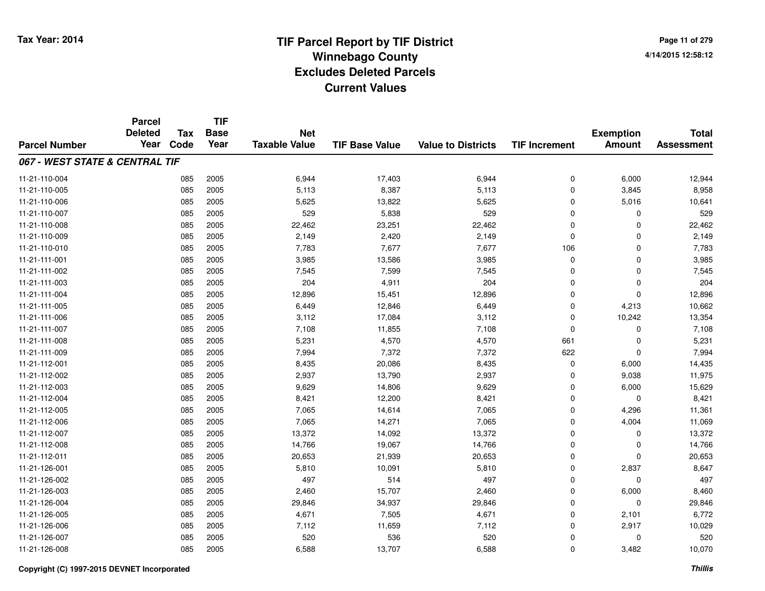**TIF**

**Parcel**

**Page 11 of 2794/14/2015 12:58:12**

#### **TIF Base ValueParcel NumberTotal AssessmentExemption Amount Value to Districts TIF Increment Base YearTax Code Deleted YearNet Taxable Value067 - WEST STATE & CENTRAL TIF**11-21-110-004 <sup>085</sup> 6,944 <sup>2005</sup> 17,403 6,944 <sup>0</sup> 6,000 12,944 11-21-110-005 <sup>085</sup> 5,113 <sup>2005</sup> 8,387 5,113 <sup>0</sup> 3,845 8,958 11-21-110-006 <sup>085</sup> 5,625 <sup>2005</sup> 13,822 5,625 <sup>0</sup> 5,016 10,641 11-21-110-007 <sup>085</sup> <sup>529</sup> <sup>2005</sup> 5,838 <sup>529</sup> <sup>0</sup> <sup>0</sup> <sup>529</sup> 11-21-110-008 <sup>085</sup> 22,462 <sup>2005</sup> 23,251 22,462 <sup>0</sup> <sup>0</sup> 22,462 11-21-110-0099 085 2005 2,149 2,420 2,149 0 0 2,149 11-21-110-010 <sup>085</sup> 7,783 <sup>2005</sup> 7,677 7,677 <sup>106</sup> <sup>0</sup> 7,783 11-21-111-0011 085 2005 3,985 13,586 3,985 0 3,985 11-21-111-0022 085 2005 7<sub>,</sub>545 7,599 7,545 0 0 7,545 11-21-111-0033 085 2005 204 4,911 204 0 204 11-21-111-0044 085 2005 12,896 15,451 12,896 0 12,896 11-21-111-005 <sup>085</sup> 6,449 <sup>2005</sup> 12,846 6,449 <sup>0</sup> 4,213 10,662 11-21-111-006 <sup>085</sup> 3,112 <sup>2005</sup> 17,084 3,112 <sup>0</sup> 10,242 13,354 11-21-111-0077 085 2005 7,108 11,855 7,108 0 7,108 11-21-111-008 <sup>085</sup> 5,231 <sup>2005</sup> 4,570 4,570 <sup>661</sup> <sup>0</sup> 5,231 11-21-111-0099 085 2005 7,994 7,372 7,372 622 0 7,994 11-21-112-0011 085 2005 8,435 20,086 8,435 0 6,000 14,435 11-21-112-0022 2 085 2005 2,937 13,790 2,937 0 9,038 11,975 11-21-112-0033 085 2005 9,629 14,806 9,629 0 6,000 15,629 11-21-112-004 <sup>085</sup> 8,421 <sup>2005</sup> 12,200 8,421 <sup>0</sup> <sup>0</sup> 8,421 11-21-112-005 <sup>085</sup> 7,065 <sup>2005</sup> 14,614 7,065 <sup>0</sup> 4,296 11,361 11-21-112-006 <sup>085</sup> 7,065 <sup>2005</sup> 14,271 7,065 <sup>0</sup> 4,004 11,069 11-21-112-007 <sup>085</sup> 13,372 <sup>2005</sup> 14,092 13,372 <sup>0</sup> <sup>0</sup> 13,372 11-21-112-008 <sup>085</sup> 14,766 <sup>2005</sup> 19,067 14,766 <sup>0</sup> <sup>0</sup> 14,766 11-21-112-0111 085 2005 20,653 21,939 20,653 0 20,653 11-21-126-0011 085 2005 5,810 10,091 5,810 0 2,837 8,647 11-21-126-0022 085 2005 497 514 497 0 0 497 11-21-126-0033 085 2005 2,460 15,707 2,460 0 6,000 8,460 11-21-126-004 <sup>085</sup> 29,846 <sup>2005</sup> 34,937 29,846 <sup>0</sup> <sup>0</sup> 29,846 11-21-126-005 <sup>085</sup> 4,671 <sup>2005</sup> 7,505 4,671 <sup>0</sup> 2,101 6,772 11-21-126-006 <sup>085</sup> 7,112 <sup>2005</sup> 11,659 7,112 <sup>0</sup> 2,917 10,029 11-21-126-007 <sup>085</sup> <sup>520</sup> <sup>2005</sup> <sup>536</sup> <sup>520</sup> <sup>0</sup> <sup>0</sup> <sup>520</sup> 11-21-126-0088 085 2005 6,588 13,707 6,588 0 3,482 10,070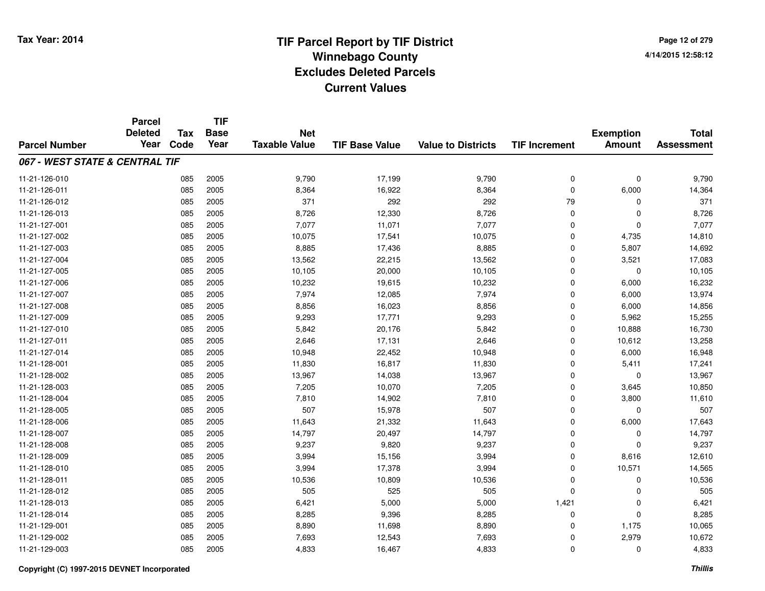**TIF**

**Parcel**

**Page 12 of 2794/14/2015 12:58:12**

#### **TIF Base ValueParcel NumberTotal AssessmentExemption Amount Value to Districts TIF Increment Base YearTax Code Deleted YearNet Taxable Value067 - WEST STATE & CENTRAL TIF**11-21-126-010 <sup>085</sup> 9,790 <sup>2005</sup> 17,199 9,790 <sup>0</sup> <sup>0</sup> 9,790 11-21-126-0111 085 2005 8,364 16,922 8,364 0 6,000 14,364 11-21-126-012 <sup>085</sup> <sup>371</sup> <sup>2005</sup> <sup>292</sup> <sup>292</sup> <sup>79</sup> <sup>0</sup> <sup>371</sup> 11-21-126-0133 085 2005 8,726 12,330 8,726 0 0 8,726 11-21-127-001 <sup>085</sup> 7,077 <sup>2005</sup> 11,071 7,077 <sup>0</sup> <sup>0</sup> 7,077 11-21-127-0022 085 2005 10,075 17,541 10,075 0 4,735 14,810 11-21-127-0033 085 2005 8,885 17,436 8,885 0 5,807 14,692 11-21-127-0044 085 2005 13,562 22,215 13,562 0 3,521 17,083 11-21-127-005 <sup>085</sup> 10,105 <sup>2005</sup> 20,000 10,105 <sup>0</sup> <sup>0</sup> 10,105 11-21-127-0066 085 2005 10,232 19,615 10,232 0 6,000 16,232 11-21-127-007 <sup>085</sup> 7,974 <sup>2005</sup> 12,085 7,974 <sup>0</sup> 6,000 13,974 11-21-127-0088 085 2005 8,856 16,023 8,856 0 6,000 14,856 11-21-127-009 <sup>085</sup> 9,293 <sup>2005</sup> 17,771 9,293 <sup>0</sup> 5,962 15,255 11-21-127-0100 085 2005 5,842 20,176 5,842 0 10,888 16,730 11-21-127-0111 085 2005 2,646 17,131 2,646 0 10,612 13,258 11-21-127-014 <sup>085</sup> 10,948 <sup>2005</sup> 22,452 10,948 <sup>0</sup> 6,000 16,948 11-21-128-0011 085 2005 11,830 16,817 11,830 0 5,411 17,241 11-21-128-0022 085 2005 13,967 14,038 13,967 0 0 13,967 11-21-128-0033 085 2005 7,205 10,070 7,205 0 3,645 10,850 11-21-128-004 <sup>085</sup> 7,810 <sup>2005</sup> 14,902 7,810 <sup>0</sup> 3,800 11,610 11-21-128-005 <sup>085</sup> <sup>507</sup> <sup>2005</sup> 15,978 <sup>507</sup> <sup>0</sup> <sup>0</sup> <sup>507</sup> 11-21-128-0066 085 2005 11,643 21,332 11,643 0 6,000 17,643 11-21-128-007 <sup>085</sup> 14,797 <sup>2005</sup> 20,497 14,797 <sup>0</sup> <sup>0</sup> 14,797 11-21-128-008 <sup>085</sup> 9,237 <sup>2005</sup> 9,820 9,237 <sup>0</sup> <sup>0</sup> 9,237 11-21-128-0099 085 2005 3,994 15,156 3,994 0 8,616 12,610 11-21-128-0100 085 2005 3,994 17,378 3,994 0 10,571 14,565 11-21-128-0111 085 2005 10,536 10,809 10,536 0 0 10,536 11-21-128-012 <sup>085</sup> <sup>505</sup> <sup>2005</sup> <sup>525</sup> <sup>505</sup> <sup>0</sup> <sup>0</sup> <sup>505</sup> 11-21-128-0133 085 2005 6,421 5,000 5,000 1,421 0 6,421 11-21-128-014 <sup>085</sup> 8,285 <sup>2005</sup> 9,396 8,285 <sup>0</sup> <sup>0</sup> 8,285 11-21-129-0011 085 2005 8,890 11,698 8,890 0 1,175 10,065 11-21-129-0022 085 2005 7,693 12,543 7,693 0 2,979 10,672 11-21-129-0033 085 2005 4,833 16,467 4,833 0 4,833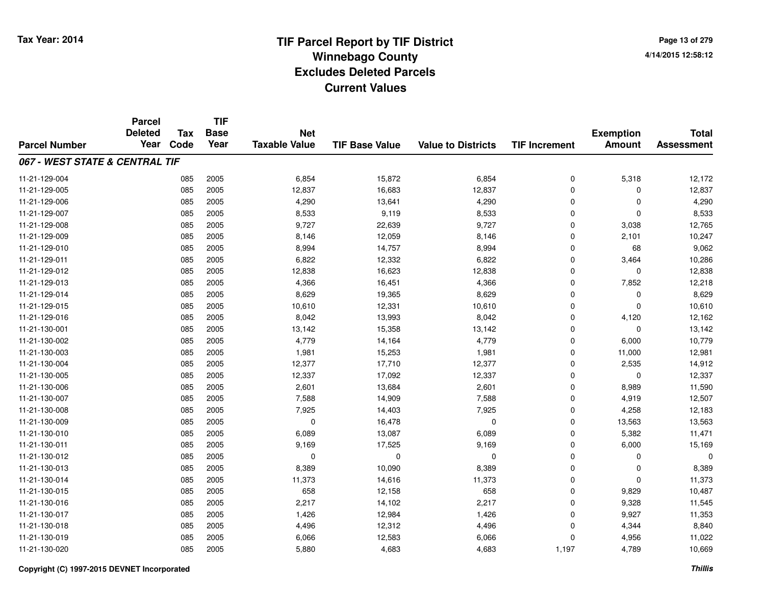**Page 13 of 2794/14/2015 12:58:12**

|                                | <b>Parcel</b>  | <b>Tax</b> | <b>TIF</b>  |                      |                       |                           |                      |                  |                   |
|--------------------------------|----------------|------------|-------------|----------------------|-----------------------|---------------------------|----------------------|------------------|-------------------|
|                                | <b>Deleted</b> |            | <b>Base</b> | <b>Net</b>           |                       |                           |                      | <b>Exemption</b> | <b>Total</b>      |
| <b>Parcel Number</b>           | Year           | Code       | Year        | <b>Taxable Value</b> | <b>TIF Base Value</b> | <b>Value to Districts</b> | <b>TIF Increment</b> | <b>Amount</b>    | <b>Assessment</b> |
| 067 - WEST STATE & CENTRAL TIF |                |            |             |                      |                       |                           |                      |                  |                   |
| 11-21-129-004                  |                | 085        | 2005        | 6,854                | 15,872                | 6,854                     | 0                    | 5,318            | 12,172            |
| 11-21-129-005                  |                | 085        | 2005        | 12,837               | 16,683                | 12,837                    | 0                    | $\Omega$         | 12,837            |
| 11-21-129-006                  |                | 085        | 2005        | 4,290                | 13,641                | 4,290                     | 0                    | $\mathbf 0$      | 4,290             |
| 11-21-129-007                  |                | 085        | 2005        | 8,533                | 9,119                 | 8,533                     | 0                    | $\Omega$         | 8,533             |
| 11-21-129-008                  |                | 085        | 2005        | 9,727                | 22,639                | 9,727                     | 0                    | 3,038            | 12,765            |
| 11-21-129-009                  |                | 085        | 2005        | 8,146                | 12,059                | 8,146                     | 0                    | 2,101            | 10,247            |
| 11-21-129-010                  |                | 085        | 2005        | 8,994                | 14,757                | 8,994                     | 0                    | 68               | 9,062             |
| 11-21-129-011                  |                | 085        | 2005        | 6,822                | 12,332                | 6,822                     | 0                    | 3,464            | 10,286            |
| 11-21-129-012                  |                | 085        | 2005        | 12,838               | 16,623                | 12,838                    | 0                    | $\mathbf 0$      | 12,838            |
| 11-21-129-013                  |                | 085        | 2005        | 4,366                | 16,451                | 4,366                     | 0                    | 7,852            | 12,218            |
| 11-21-129-014                  |                | 085        | 2005        | 8,629                | 19,365                | 8,629                     | 0                    | $\Omega$         | 8,629             |
| 11-21-129-015                  |                | 085        | 2005        | 10,610               | 12,331                | 10,610                    | 0                    | $\mathbf 0$      | 10,610            |
| 11-21-129-016                  |                | 085        | 2005        | 8,042                | 13,993                | 8,042                     | $\mathbf 0$          | 4,120            | 12,162            |
| 11-21-130-001                  |                | 085        | 2005        | 13,142               | 15,358                | 13,142                    | 0                    | 0                | 13,142            |
| 11-21-130-002                  |                | 085        | 2005        | 4,779                | 14,164                | 4,779                     | 0                    | 6,000            | 10,779            |
| 11-21-130-003                  |                | 085        | 2005        | 1,981                | 15,253                | 1,981                     | 0                    | 11,000           | 12,981            |
| 11-21-130-004                  |                | 085        | 2005        | 12,377               | 17,710                | 12,377                    | 0                    | 2,535            | 14,912            |
| 11-21-130-005                  |                | 085        | 2005        | 12,337               | 17,092                | 12,337                    | 0                    | $\mathbf 0$      | 12,337            |
| 11-21-130-006                  |                | 085        | 2005        | 2,601                | 13,684                | 2,601                     | 0                    | 8,989            | 11,590            |
| 11-21-130-007                  |                | 085        | 2005        | 7,588                | 14,909                | 7,588                     | 0                    | 4,919            | 12,507            |
| 11-21-130-008                  |                | 085        | 2005        | 7,925                | 14,403                | 7,925                     | 0                    | 4,258            | 12,183            |
| 11-21-130-009                  |                | 085        | 2005        | $\mathbf 0$          | 16,478                | $\mathbf 0$               | 0                    | 13,563           | 13,563            |
| 11-21-130-010                  |                | 085        | 2005        | 6,089                | 13,087                | 6,089                     | 0                    | 5,382            | 11,471            |
| 11-21-130-011                  |                | 085        | 2005        | 9,169                | 17,525                | 9,169                     | 0                    | 6,000            | 15,169            |
| 11-21-130-012                  |                | 085        | 2005        | 0                    | 0                     | 0                         | 0                    | 0                | 0                 |
| 11-21-130-013                  |                | 085        | 2005        | 8,389                | 10,090                | 8,389                     | 0                    | $\mathbf 0$      | 8,389             |
| 11-21-130-014                  |                | 085        | 2005        | 11,373               | 14,616                | 11,373                    | 0                    | $\Omega$         | 11,373            |
| 11-21-130-015                  |                | 085        | 2005        | 658                  | 12,158                | 658                       | 0                    | 9,829            | 10,487            |
| 11-21-130-016                  |                | 085        | 2005        | 2,217                | 14,102                | 2,217                     | 0                    | 9,328            | 11,545            |
| 11-21-130-017                  |                | 085        | 2005        | 1,426                | 12,984                | 1,426                     | 0                    | 9,927            | 11,353            |
| 11-21-130-018                  |                | 085        | 2005        | 4,496                | 12,312                | 4,496                     | 0                    | 4,344            | 8,840             |
| 11-21-130-019                  |                | 085        | 2005        | 6,066                | 12,583                | 6,066                     | 0                    | 4,956            | 11,022            |
| 11-21-130-020                  |                | 085        | 2005        | 5,880                | 4,683                 | 4,683                     | 1,197                | 4,789            | 10,669            |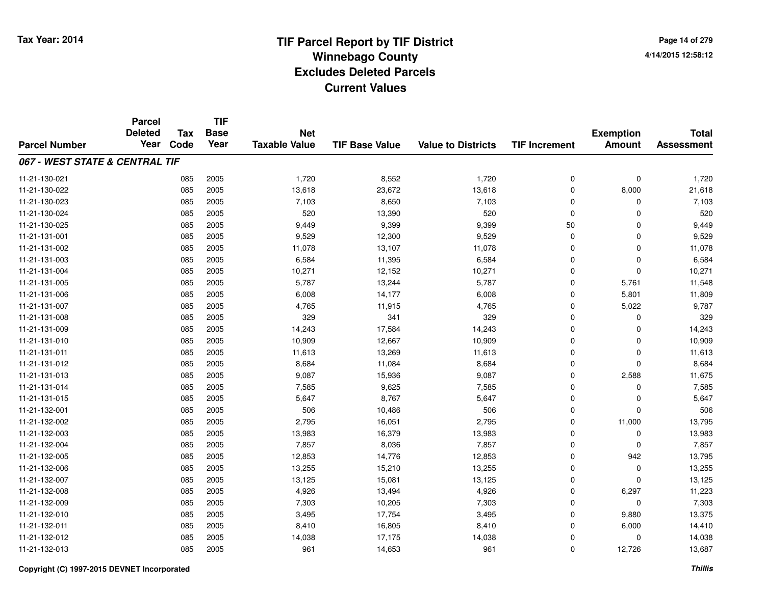**TIF**

**Parcel**

**Page 14 of 2794/14/2015 12:58:12**

#### **TIF Base ValueParcel NumberTotal AssessmentExemption Amount Value to Districts TIF Increment Base YearTax Code Deleted YearNet Taxable Value067 - WEST STATE & CENTRAL TIF**11-21-130-0211 085 2005 1,720 8,552 1,720 0 0 1,720 11-21-130-0222 085 2005 13,618 23,672 13,618 0 8,000 21,618 11-21-130-0233 085 2005 7,103 8,650 7,103 0 0 7,103 11-21-130-024 <sup>085</sup> <sup>520</sup> <sup>2005</sup> 13,390 <sup>520</sup> <sup>0</sup> <sup>0</sup> <sup>520</sup> 11-21-130-025 <sup>085</sup> 9,449 <sup>2005</sup> 9,399 9,399 <sup>50</sup> <sup>0</sup> 9,449 11-21-131-0011 085 2005 9,529 12,300 9,529 0 0 9,529 11-21-131-0022 085 2005 11,078 13,107 11,078 0 11,078 11-21-131-0033 085 2005 6,584 11,395 6,584 0 0 6,584 11-21-131-004 <sup>085</sup> 10,271 <sup>2005</sup> 12,152 10,271 <sup>0</sup> <sup>0</sup> 10,271 11-21-131-0055 085 2005 5,787 13,244 5,787 0 5,761 11,548 11-21-131-0066 085 2005 6,008 14,177 6,008 0 5,801 11,809 11-21-131-007 <sup>085</sup> 4,765 <sup>2005</sup> 11,915 4,765 <sup>0</sup> 5,022 9,787 11-21-131-008 <sup>085</sup> <sup>329</sup> <sup>2005</sup> <sup>341</sup> <sup>329</sup> <sup>0</sup> <sup>0</sup> <sup>329</sup> 11-21-131-0099 085 2005 14,243 17,584 14,243 0 14,243 11-21-131-0100 085 2005 10,909 12,667 10,909 0 0 10,909 11-21-131-0111 085 2005 11,613 13,269 11,613 0 0 11,613 11-21-131-0122 085 2005 8,684 11,084 8,684 0 0 8,684 11-21-131-0133 085 2005 9,087 15,936 9,087 0 2,588 11,675 11-21-131-0144 085 2005 7,585 9,625 7,585 0 7,585 11-21-131-015 <sup>085</sup> 5,647 <sup>2005</sup> 8,767 5,647 <sup>0</sup> <sup>0</sup> 5,647 11-21-132-0011 085 2005 506 10,486 506 0 0 506 11-21-132-002 <sup>085</sup> 2,795 <sup>2005</sup> 16,051 2,795 <sup>0</sup> 11,000 13,795 11-21-132-0033 085 2005 13,983 16,379 13,983 0 0 13,983 11-21-132-004 <sup>085</sup> 7,857 <sup>2005</sup> 8,036 7,857 <sup>0</sup> <sup>0</sup> 7,857 11-21-132-005 <sup>085</sup> 12,853 <sup>2005</sup> 14,776 12,853 <sup>0</sup> <sup>942</sup> 13,795 11-21-132-0066 085 2005 13,255 15,210 13,255 0 0 13,255 11-21-132-007 <sup>085</sup> 13,125 <sup>2005</sup> 15,081 13,125 <sup>0</sup> <sup>0</sup> 13,125 11-21-132-0088 085 2005 4,926 13,494 4,926 0 6,297 11,223 11-21-132-0099 085 2005 7,303 10,205 7,303 0 7,303 11-21-132-0100 085 2005 3,495 17,754 3,495 0 9,880 13,375 11-21-132-0111 085 2005 8,410 16,805 8,410 0 6,000 14,410 11-21-132-0122 085 2005 14,038 17,175 14,038 0 14,038 11-21-132-0133 085 2005 961 14,653 961 0 12,726 13,687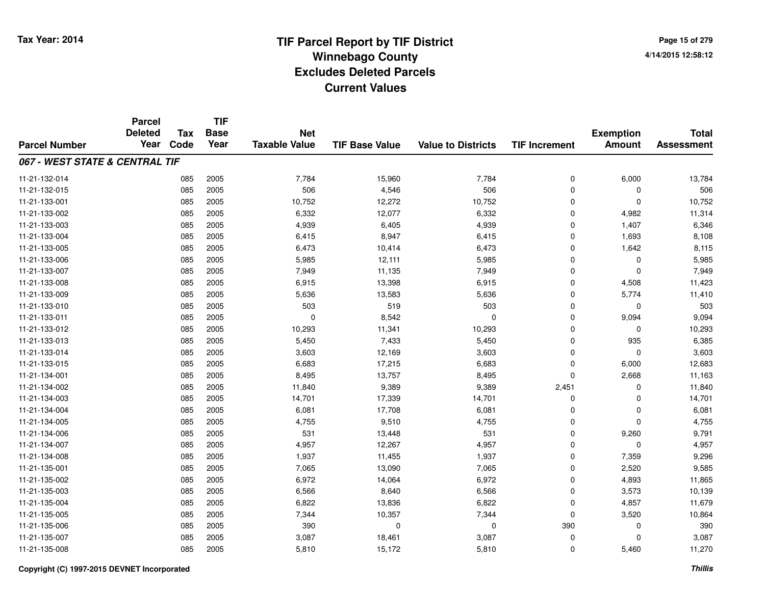**Page 15 of 2794/14/2015 12:58:12**

|                                | <b>Parcel</b><br><b>Deleted</b> | <b>Tax</b> | <b>TIF</b><br><b>Base</b> | <b>Net</b>           |                       |                           |                      |                                   | <b>Total</b>      |
|--------------------------------|---------------------------------|------------|---------------------------|----------------------|-----------------------|---------------------------|----------------------|-----------------------------------|-------------------|
| <b>Parcel Number</b>           | Year                            | Code       | Year                      | <b>Taxable Value</b> | <b>TIF Base Value</b> | <b>Value to Districts</b> | <b>TIF Increment</b> | <b>Exemption</b><br><b>Amount</b> | <b>Assessment</b> |
| 067 - WEST STATE & CENTRAL TIF |                                 |            |                           |                      |                       |                           |                      |                                   |                   |
| 11-21-132-014                  |                                 | 085        | 2005                      | 7,784                | 15,960                | 7,784                     | 0                    | 6,000                             | 13,784            |
| 11-21-132-015                  |                                 | 085        | 2005                      | 506                  | 4,546                 | 506                       | 0                    | 0                                 | 506               |
| 11-21-133-001                  |                                 | 085        | 2005                      | 10,752               | 12,272                | 10,752                    | $\mathbf 0$          | $\mathbf 0$                       | 10,752            |
| 11-21-133-002                  |                                 | 085        | 2005                      | 6,332                | 12,077                | 6,332                     | 0                    | 4,982                             | 11,314            |
| 11-21-133-003                  |                                 | 085        | 2005                      | 4,939                | 6,405                 | 4,939                     | $\mathbf 0$          | 1,407                             | 6,346             |
| 11-21-133-004                  |                                 | 085        | 2005                      | 6,415                | 8,947                 | 6,415                     | $\mathbf 0$          | 1,693                             | 8,108             |
| 11-21-133-005                  |                                 | 085        | 2005                      | 6,473                | 10,414                | 6,473                     | $\mathbf 0$          | 1,642                             | 8,115             |
| 11-21-133-006                  |                                 | 085        | 2005                      | 5,985                | 12,111                | 5,985                     | $\mathbf 0$          | 0                                 | 5,985             |
| 11-21-133-007                  |                                 | 085        | 2005                      | 7,949                | 11,135                | 7,949                     | $\mathbf 0$          | $\mathbf 0$                       | 7,949             |
| 11-21-133-008                  |                                 | 085        | 2005                      | 6,915                | 13,398                | 6,915                     | 0                    | 4,508                             | 11,423            |
| 11-21-133-009                  |                                 | 085        | 2005                      | 5,636                | 13,583                | 5,636                     | $\mathbf 0$          | 5,774                             | 11,410            |
| 11-21-133-010                  |                                 | 085        | 2005                      | 503                  | 519                   | 503                       | 0                    | 0                                 | 503               |
| 11-21-133-011                  |                                 | 085        | 2005                      | $\mathbf 0$          | 8,542                 | 0                         | $\mathbf 0$          | 9,094                             | 9,094             |
| 11-21-133-012                  |                                 | 085        | 2005                      | 10,293               | 11,341                | 10,293                    | 0                    | 0                                 | 10,293            |
| 11-21-133-013                  |                                 | 085        | 2005                      | 5,450                | 7,433                 | 5,450                     | 0                    | 935                               | 6,385             |
| 11-21-133-014                  |                                 | 085        | 2005                      | 3,603                | 12,169                | 3,603                     | $\mathbf 0$          | $\mathbf 0$                       | 3,603             |
| 11-21-133-015                  |                                 | 085        | 2005                      | 6,683                | 17,215                | 6,683                     | $\mathbf 0$          | 6,000                             | 12,683            |
| 11-21-134-001                  |                                 | 085        | 2005                      | 8,495                | 13,757                | 8,495                     | $\mathbf 0$          | 2,668                             | 11,163            |
| 11-21-134-002                  |                                 | 085        | 2005                      | 11,840               | 9,389                 | 9,389                     | 2,451                | 0                                 | 11,840            |
| 11-21-134-003                  |                                 | 085        | 2005                      | 14,701               | 17,339                | 14,701                    | $\mathbf 0$          | 0                                 | 14,701            |
| 11-21-134-004                  |                                 | 085        | 2005                      | 6,081                | 17,708                | 6,081                     | $\mathbf 0$          | 0                                 | 6,081             |
| 11-21-134-005                  |                                 | 085        | 2005                      | 4,755                | 9,510                 | 4,755                     | 0                    | 0                                 | 4,755             |
| 11-21-134-006                  |                                 | 085        | 2005                      | 531                  | 13,448                | 531                       | $\mathbf 0$          | 9,260                             | 9,791             |
| 11-21-134-007                  |                                 | 085        | 2005                      | 4,957                | 12,267                | 4,957                     | $\pmb{0}$            | 0                                 | 4,957             |
| 11-21-134-008                  |                                 | 085        | 2005                      | 1,937                | 11,455                | 1,937                     | $\mathbf 0$          | 7,359                             | 9,296             |
| 11-21-135-001                  |                                 | 085        | 2005                      | 7,065                | 13,090                | 7,065                     | $\mathbf 0$          | 2,520                             | 9,585             |
| 11-21-135-002                  |                                 | 085        | 2005                      | 6,972                | 14,064                | 6,972                     | $\mathbf 0$          | 4,893                             | 11,865            |
| 11-21-135-003                  |                                 | 085        | 2005                      | 6,566                | 8,640                 | 6,566                     | $\mathbf 0$          | 3,573                             | 10,139            |
| 11-21-135-004                  |                                 | 085        | 2005                      | 6,822                | 13,836                | 6,822                     | $\mathbf 0$          | 4,857                             | 11,679            |
| 11-21-135-005                  |                                 | 085        | 2005                      | 7,344                | 10,357                | 7,344                     | 0                    | 3,520                             | 10,864            |
| 11-21-135-006                  |                                 | 085        | 2005                      | 390                  | 0                     | 0                         | 390                  | 0                                 | 390               |
| 11-21-135-007                  |                                 | 085        | 2005                      | 3,087                | 18,461                | 3,087                     | 0                    | 0                                 | 3,087             |
| 11-21-135-008                  |                                 | 085        | 2005                      | 5,810                | 15,172                | 5,810                     | $\mathbf 0$          | 5,460                             | 11,270            |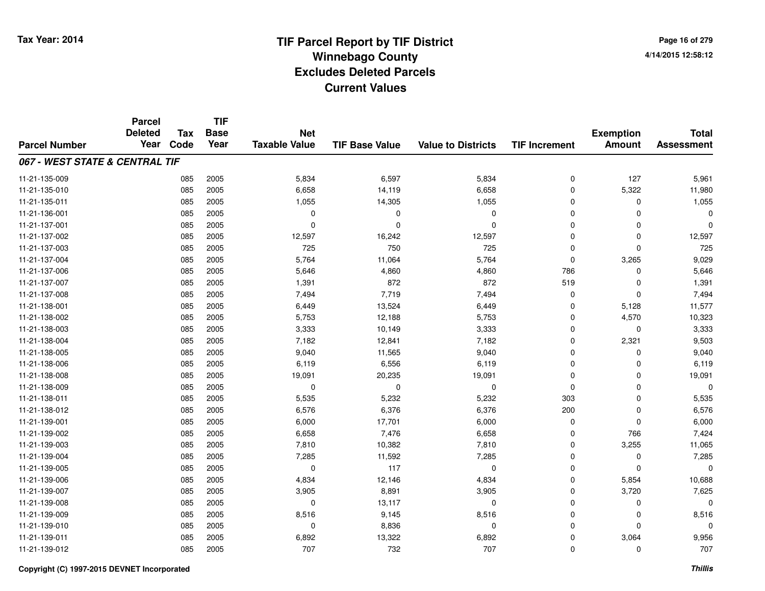**TIF**

**Parcel**

**Page 16 of 2794/14/2015 12:58:12**

#### **TIF Base ValueParcel NumberTotal AssessmentExemption Amount Value to Districts TIF Increment Base YearTax Code Deleted YearNet Taxable Value067 - WEST STATE & CENTRAL TIF**11-21-135-0099 085 2005 5,834 6,597 5,834 0 127 5,961 11-21-135-010 <sup>085</sup> 6,658 <sup>2005</sup> 14,119 6,658 <sup>0</sup> 5,322 11,980 11-21-135-0111 085 2005 1,055 14,305 1,055 0 0 1,055 11-21-136-001 <sup>085</sup> <sup>0</sup> <sup>2005</sup> <sup>0</sup> <sup>0</sup> <sup>0</sup> <sup>0</sup> <sup>0</sup> 11-21-137-001 <sup>085</sup> <sup>0</sup> <sup>2005</sup> <sup>0</sup> <sup>0</sup> <sup>0</sup> <sup>0</sup> <sup>0</sup> 11-21-137-0022 085 2005 12,597 16,242 12,597 0 0 12,597 11-21-137-003 <sup>085</sup> <sup>725</sup> <sup>2005</sup> <sup>750</sup> <sup>725</sup> <sup>0</sup> <sup>0</sup> <sup>725</sup> 11-21-137-004 <sup>085</sup> 5,764 <sup>2005</sup> 11,064 5,764 <sup>0</sup> 3,265 9,029 11-21-137-0066 085 2005 5,646 4,860 4,860 786 0 5,646 11-21-137-007 <sup>085</sup> 1,391 <sup>2005</sup> <sup>872</sup> <sup>872</sup> <sup>519</sup> <sup>0</sup> 1,391 11-21-137-008 <sup>085</sup> 7,494 <sup>2005</sup> 7,719 7,494 <sup>0</sup> <sup>0</sup> 7,494 11-21-138-0011 085 2005 6,449 13,524 6,449 0 5,128 11,577 11-21-138-002 <sup>085</sup> 5,753 <sup>2005</sup> 12,188 5,753 <sup>0</sup> 4,570 10,323 11-21-138-0033 085 2005 3,333 10,149 3,333 0 3,333 11-21-138-004 <sup>085</sup> 7,182 <sup>2005</sup> 12,841 7,182 <sup>0</sup> 2,321 9,503 11-21-138-005 <sup>085</sup> 9,040 <sup>2005</sup> 11,565 9,040 <sup>0</sup> <sup>0</sup> 9,040 11-21-138-0066 085 2005 6,119 6,556 6,119 0 0 6,119 11-21-138-008 <sup>085</sup> 19,091 <sup>2005</sup> 20,235 19,091 <sup>0</sup> <sup>0</sup> 19,091 11-21-138-009 <sup>085</sup> <sup>0</sup> <sup>2005</sup> <sup>0</sup> <sup>0</sup> <sup>0</sup> <sup>0</sup> <sup>0</sup> 11-21-138-0111 085 2005 5,535 5,232 5,232 303 0 5,535 11-21-138-0122 085 2005 6,576 6,376 6,376 200 0 6,576 11-21-139-0011 085 2005 6,000 17,701 6,000 0 6,000 11-21-139-0022 085 2005 6,658 7,476 6,658 0 766 7,424 11-21-139-0033 085 2005 7,810 10,382 7,810 0 3,255 11,065 11-21-139-0044 085 2005 7,285 11,592 7,285 0 7,285 11-21-139-005 <sup>085</sup> <sup>0</sup> <sup>2005</sup> <sup>117</sup> <sup>0</sup> <sup>0</sup> <sup>0</sup> <sup>0</sup> 11-21-139-0066 085 2005 4,834 12,146 4,834 0 5,854 10,688 11-21-139-007 <sup>085</sup> 3,905 <sup>2005</sup> 8,891 3,905 <sup>0</sup> 3,720 7,625 11-21-139-0088 085 2005 0 13,117 0 0 0 0 11-21-139-0099 085 2005 8,516 9,145 8,516 0 0 8,516 11-21-139-010 <sup>085</sup> <sup>0</sup> <sup>2005</sup> 8,836 <sup>0</sup> <sup>0</sup> <sup>0</sup> <sup>0</sup> 11-21-139-0111 085 2005 6,892 13,322 6,892 0 3,064 9,956 11-21-139-012<sup>085</sup> <sup>707</sup> <sup>2005</sup> <sup>732</sup> <sup>707</sup> <sup>0</sup> <sup>0</sup> <sup>707</sup>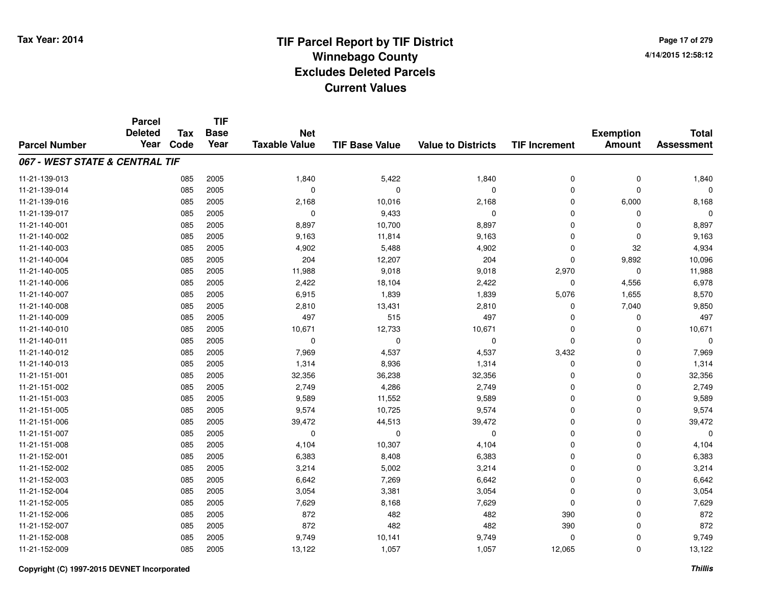**Page 17 of 2794/14/2015 12:58:12**

#### **TIF Base ValueParcel NumberTotal AssessmentExemption Amount Value to Districts TIF IncrementTIF Base YearTax CodeParcel Deleted YearNet Taxable Value067 - WEST STATE & CENTRAL TIF**11-21-139-0133 085 2005 1,840 5,422 1,840 0 0 1,840 11-21-139-014 <sup>085</sup> <sup>0</sup> <sup>2005</sup> <sup>0</sup> <sup>0</sup> <sup>0</sup> <sup>0</sup> <sup>0</sup> 11-21-139-016 <sup>085</sup> 2,168 <sup>2005</sup> 10,016 2,168 <sup>0</sup> 6,000 8,168 11-21-139-017 $7$  085 2005 0 0 9,433 0 0 0 0 0 0 11-21-140-0011 085 2005 8,897 10,700 8,897 0 0 8,897 11-21-140-0022 085 2005 9,163 11,814 9,163 0 0 9,163 11-21-140-0033 085 2005 4,902 5,488 4,902 0 32 4,934 11-21-140-004 <sup>085</sup> <sup>204</sup> <sup>2005</sup> 12,207 <sup>204</sup> <sup>0</sup> 9,892 10,096 11-21-140-005 <sup>085</sup> 11,988 <sup>2005</sup> 9,018 9,018 2,970 <sup>0</sup> 11,988 11-21-140-0066 085 2005 2,422 18,104 2,422 0 4,556 6,978 11-21-140-007 <sup>085</sup> 6,915 <sup>2005</sup> 1,839 1,839 5,076 1,655 8,570 11-21-140-0088 085 2005 2,810 13,431 2,810 0 7,040 9,850 11-21-140-0099 085 2005 497 515 497 0 0 497 11-21-140-0100 085 2005 10,671 12,733 10,671 0 0 10,671 11-21-140-011 <sup>085</sup> <sup>0</sup> <sup>2005</sup> <sup>0</sup> <sup>0</sup> <sup>0</sup> <sup>0</sup> <sup>0</sup> 11-21-140-012 <sup>085</sup> 7,969 <sup>2005</sup> 4,537 4,537 3,432 <sup>0</sup> 7,969 11-21-140-0133 085 2005 1,314 8,936 1,314 0 0 1,314 11-21-151-0011 085 2005 32,356 36,238 32,356 0 32,356 11-21-151-0022 085 2005 2,749 4,286 2,749 0 0 2,749 11-21-151-003 $3$  085 2005 2005 9,589 11,552 9,589 9,589 0 0 0 9,589 11-21-151-005 <sup>085</sup> 9,574 <sup>2005</sup> 10,725 9,574 <sup>0</sup> <sup>0</sup> 9,574 11-21-151-006 <sup>085</sup> 39,472 <sup>2005</sup> 44,513 39,472 <sup>0</sup> <sup>0</sup> 39,472 11-21-151-007 <sup>085</sup> <sup>0</sup> <sup>2005</sup> <sup>0</sup> <sup>0</sup> <sup>0</sup> <sup>0</sup> <sup>0</sup> 11-21-151-0088 085 2005 4,104 10,307 4,104 0 0 4,104 11-21-152-0011 085 2005 6,383 8,408 6,383 0 0 6,383 11-21-152-0022 085 2005 3,214 5,002 3,214 0 0 3,214 11-21-152-0033 085 2005 6,642 7,269 6,642 0 0 6,642 11-21-152-0044 085 2005 3,054 3,381 3,054 0 3,054 11-21-152-0055 085 2005 7,629 8,168 7,629 0 7,629 11-21-152-0066 085 2005 872 482 482 390 0 872 11-21-152-007 <sup>085</sup> <sup>872</sup> <sup>2005</sup> <sup>482</sup> <sup>482</sup> <sup>390</sup> <sup>0</sup> <sup>872</sup> 11-21-152-008 <sup>085</sup> 9,749 <sup>2005</sup> 10,141 9,749 <sup>0</sup> <sup>0</sup> 9,749 11-21-152-009<sup>085</sup> 13,122 <sup>2005</sup> 1,057 1,057 12,065 <sup>0</sup> 13,122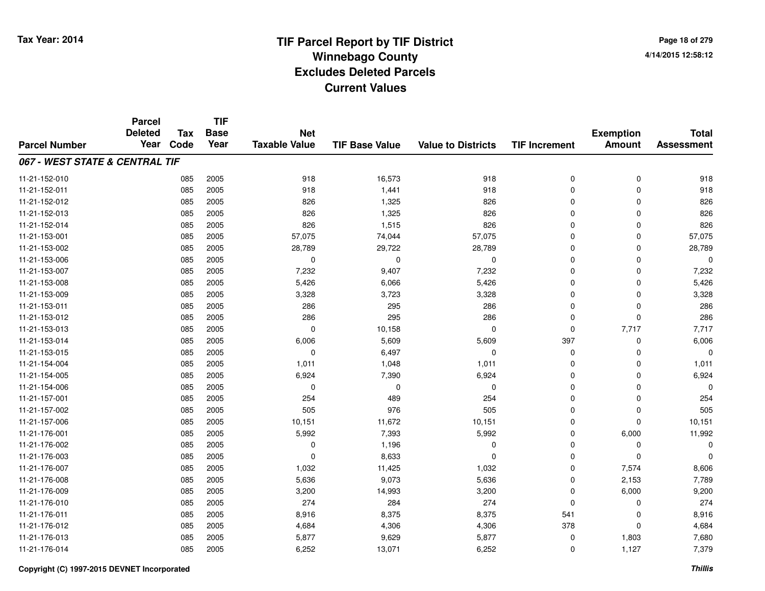**Page 18 of 2794/14/2015 12:58:12**

|                                | <b>Parcel</b><br><b>Deleted</b> | <b>Tax</b> | <b>TIF</b><br><b>Base</b> | <b>Net</b>           |                       |                           |                      | <b>Exemption</b> | <b>Total</b>      |
|--------------------------------|---------------------------------|------------|---------------------------|----------------------|-----------------------|---------------------------|----------------------|------------------|-------------------|
| <b>Parcel Number</b>           | Year                            | Code       | Year                      | <b>Taxable Value</b> | <b>TIF Base Value</b> | <b>Value to Districts</b> | <b>TIF Increment</b> | <b>Amount</b>    | <b>Assessment</b> |
| 067 - WEST STATE & CENTRAL TIF |                                 |            |                           |                      |                       |                           |                      |                  |                   |
| 11-21-152-010                  |                                 | 085        | 2005                      | 918                  | 16,573                | 918                       | 0                    | 0                | 918               |
| 11-21-152-011                  |                                 | 085        | 2005                      | 918                  | 1,441                 | 918                       | 0                    | 0                | 918               |
| 11-21-152-012                  |                                 | 085        | 2005                      | 826                  | 1,325                 | 826                       | 0                    | $\mathbf 0$      | 826               |
| 11-21-152-013                  |                                 | 085        | 2005                      | 826                  | 1,325                 | 826                       | 0                    | $\mathbf 0$      | 826               |
| 11-21-152-014                  |                                 | 085        | 2005                      | 826                  | 1,515                 | 826                       | 0                    | 0                | 826               |
| 11-21-153-001                  |                                 | 085        | 2005                      | 57,075               | 74,044                | 57,075                    | 0                    | $\mathbf 0$      | 57,075            |
| 11-21-153-002                  |                                 | 085        | 2005                      | 28,789               | 29,722                | 28,789                    | 0                    | 0                | 28,789            |
| 11-21-153-006                  |                                 | 085        | 2005                      | 0                    | 0                     | 0                         | 0                    | 0                | $\mathbf 0$       |
| 11-21-153-007                  |                                 | 085        | 2005                      | 7,232                | 9,407                 | 7,232                     | 0                    | $\mathbf 0$      | 7,232             |
| 11-21-153-008                  |                                 | 085        | 2005                      | 5,426                | 6,066                 | 5,426                     | 0                    | $\mathbf 0$      | 5,426             |
| 11-21-153-009                  |                                 | 085        | 2005                      | 3,328                | 3,723                 | 3,328                     | 0                    | 0                | 3,328             |
| 11-21-153-011                  |                                 | 085        | 2005                      | 286                  | 295                   | 286                       | 0                    | $\mathbf 0$      | 286               |
| 11-21-153-012                  |                                 | 085        | 2005                      | 286                  | 295                   | 286                       | $\mathbf 0$          | $\mathbf 0$      | 286               |
| 11-21-153-013                  |                                 | 085        | 2005                      | 0                    | 10,158                | $\mathbf 0$               | 0                    | 7,717            | 7,717             |
| 11-21-153-014                  |                                 | 085        | 2005                      | 6,006                | 5,609                 | 5,609                     | 397                  | 0                | 6,006             |
| 11-21-153-015                  |                                 | 085        | 2005                      | 0                    | 6,497                 | $\mathbf 0$               | 0                    | 0                | $\Omega$          |
| 11-21-154-004                  |                                 | 085        | 2005                      | 1,011                | 1,048                 | 1,011                     | 0                    | 0                | 1,011             |
| 11-21-154-005                  |                                 | 085        | 2005                      | 6,924                | 7,390                 | 6,924                     | 0                    | 0                | 6,924             |
| 11-21-154-006                  |                                 | 085        | 2005                      | 0                    | 0                     | $\mathbf 0$               | 0                    | 0                | $\Omega$          |
| 11-21-157-001                  |                                 | 085        | 2005                      | 254                  | 489                   | 254                       | 0                    | 0                | 254               |
| 11-21-157-002                  |                                 | 085        | 2005                      | 505                  | 976                   | 505                       | 0                    | 0                | 505               |
| 11-21-157-006                  |                                 | 085        | 2005                      | 10,151               | 11,672                | 10,151                    | 0                    | 0                | 10,151            |
| 11-21-176-001                  |                                 | 085        | 2005                      | 5,992                | 7,393                 | 5,992                     | 0                    | 6,000            | 11,992            |
| 11-21-176-002                  |                                 | 085        | 2005                      | 0                    | 1,196                 | 0                         | 0                    | 0                | $\Omega$          |
| 11-21-176-003                  |                                 | 085        | 2005                      | 0                    | 8,633                 | $\mathbf 0$               | 0                    | 0                | $\Omega$          |
| 11-21-176-007                  |                                 | 085        | 2005                      | 1,032                | 11,425                | 1,032                     | 0                    | 7,574            | 8,606             |
| 11-21-176-008                  |                                 | 085        | 2005                      | 5,636                | 9,073                 | 5,636                     | 0                    | 2,153            | 7,789             |
| 11-21-176-009                  |                                 | 085        | 2005                      | 3,200                | 14,993                | 3,200                     | 0                    | 6,000            | 9,200             |
| 11-21-176-010                  |                                 | 085        | 2005                      | 274                  | 284                   | 274                       | 0                    | 0                | 274               |
| 11-21-176-011                  |                                 | 085        | 2005                      | 8,916                | 8,375                 | 8,375                     | 541                  | 0                | 8,916             |
| 11-21-176-012                  |                                 | 085        | 2005                      | 4,684                | 4,306                 | 4,306                     | 378                  | 0                | 4,684             |
| 11-21-176-013                  |                                 | 085        | 2005                      | 5,877                | 9,629                 | 5,877                     | 0                    | 1,803            | 7,680             |
| 11-21-176-014                  |                                 | 085        | 2005                      | 6,252                | 13,071                | 6,252                     | $\mathbf 0$          | 1,127            | 7,379             |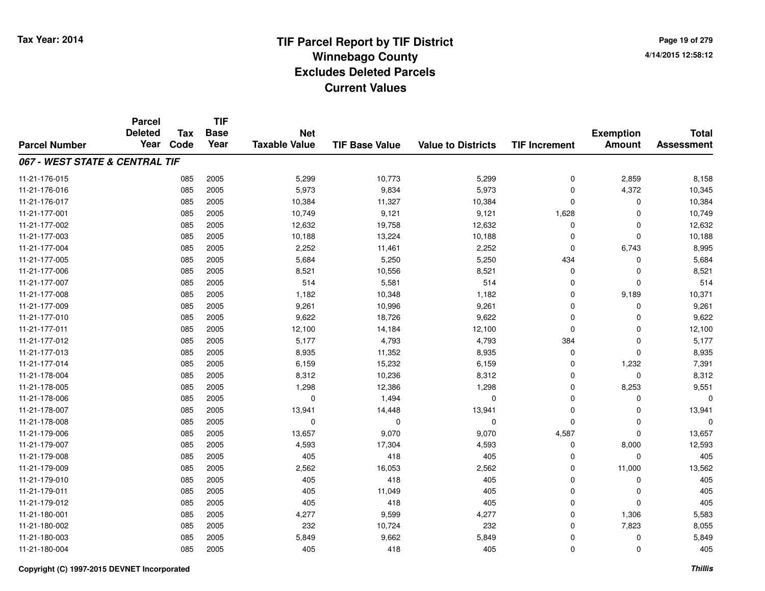|                                | <b>Parcel</b><br><b>Deleted</b> | <b>Tax</b> | <b>TIF</b><br><b>Base</b> | <b>Net</b>           |                       |                           |                      | <b>Exemption</b> | <b>Total</b>      |
|--------------------------------|---------------------------------|------------|---------------------------|----------------------|-----------------------|---------------------------|----------------------|------------------|-------------------|
| <b>Parcel Number</b>           | Year                            | Code       | Year                      | <b>Taxable Value</b> | <b>TIF Base Value</b> | <b>Value to Districts</b> | <b>TIF Increment</b> | <b>Amount</b>    | <b>Assessment</b> |
| 067 - WEST STATE & CENTRAL TIF |                                 |            |                           |                      |                       |                           |                      |                  |                   |
| 11-21-176-015                  |                                 | 085        | 2005                      | 5,299                | 10,773                | 5,299                     | $\mathbf 0$          | 2,859            | 8,158             |
| 11-21-176-016                  |                                 | 085        | 2005                      | 5,973                | 9,834                 | 5,973                     | $\mathbf 0$          | 4,372            | 10,345            |
| 11-21-176-017                  |                                 | 085        | 2005                      | 10,384               | 11,327                | 10,384                    | 0                    | 0                | 10,384            |
| 11-21-177-001                  |                                 | 085        | 2005                      | 10,749               | 9,121                 | 9,121                     | 1,628                | $\Omega$         | 10,749            |
| 11-21-177-002                  |                                 | 085        | 2005                      | 12,632               | 19,758                | 12,632                    | 0                    | 0                | 12,632            |
| 11-21-177-003                  |                                 | 085        | 2005                      | 10,188               | 13,224                | 10,188                    | $\mathbf 0$          | $\mathbf 0$      | 10,188            |
| 11-21-177-004                  |                                 | 085        | 2005                      | 2,252                | 11,461                | 2,252                     | 0                    | 6,743            | 8,995             |
| 11-21-177-005                  |                                 | 085        | 2005                      | 5,684                | 5,250                 | 5,250                     | 434                  | 0                | 5,684             |
| 11-21-177-006                  |                                 | 085        | 2005                      | 8,521                | 10,556                | 8,521                     | 0                    | 0                | 8,521             |
| 11-21-177-007                  |                                 | 085        | 2005                      | 514                  | 5,581                 | 514                       | $\mathbf 0$          | $\mathbf 0$      | 514               |
| 11-21-177-008                  |                                 | 085        | 2005                      | 1,182                | 10,348                | 1,182                     | $\mathbf 0$          | 9,189            | 10,371            |
| 11-21-177-009                  |                                 | 085        | 2005                      | 9,261                | 10,996                | 9,261                     | $\mathbf 0$          | $\mathbf 0$      | 9,261             |
| 11-21-177-010                  |                                 | 085        | 2005                      | 9,622                | 18,726                | 9,622                     | $\mathbf 0$          | $\Omega$         | 9,622             |
| 11-21-177-011                  |                                 | 085        | 2005                      | 12,100               | 14,184                | 12,100                    | 0                    | 0                | 12,100            |
| 11-21-177-012                  |                                 | 085        | 2005                      | 5,177                | 4,793                 | 4,793                     | 384                  | 0                | 5,177             |
| 11-21-177-013                  |                                 | 085        | 2005                      | 8,935                | 11,352                | 8,935                     | 0                    | 0                | 8,935             |
| 11-21-177-014                  |                                 | 085        | 2005                      | 6,159                | 15,232                | 6,159                     | 0                    | 1,232            | 7,391             |
| 11-21-178-004                  |                                 | 085        | 2005                      | 8,312                | 10,236                | 8,312                     | 0                    | 0                | 8,312             |
| 11-21-178-005                  |                                 | 085        | 2005                      | 1,298                | 12,386                | 1,298                     | $\mathbf 0$          | 8,253            | 9,551             |
| 11-21-178-006                  |                                 | 085        | 2005                      | $\mathbf 0$          | 1,494                 | 0                         | $\mathbf 0$          | $\mathbf 0$      | $\Omega$          |
| 11-21-178-007                  |                                 | 085        | 2005                      | 13,941               | 14,448                | 13,941                    | $\mathbf 0$          | $\mathbf 0$      | 13,941            |
| 11-21-178-008                  |                                 | 085        | 2005                      | $\mathbf 0$          | 0                     | $\mathbf 0$               | $\mathbf 0$          | 0                | $\Omega$          |
| 11-21-179-006                  |                                 | 085        | 2005                      | 13,657               | 9,070                 | 9,070                     | 4,587                | 0                | 13,657            |
| 11-21-179-007                  |                                 | 085        | 2005                      | 4,593                | 17,304                | 4,593                     | $\mathbf 0$          | 8,000            | 12,593            |
| 11-21-179-008                  |                                 | 085        | 2005                      | 405                  | 418                   | 405                       | 0                    | 0                | 405               |
| 11-21-179-009                  |                                 | 085        | 2005                      | 2,562                | 16,053                | 2,562                     | $\mathbf 0$          | 11,000           | 13,562            |
| 11-21-179-010                  |                                 | 085        | 2005                      | 405                  | 418                   | 405                       | $\mathbf 0$          | 0                | 405               |
| 11-21-179-011                  |                                 | 085        | 2005                      | 405                  | 11,049                | 405                       | $\mathbf 0$          | 0                | 405               |
| 11-21-179-012                  |                                 | 085        | 2005                      | 405                  | 418                   | 405                       | $\mathbf 0$          | $\Omega$         | 405               |
| 11-21-180-001                  |                                 | 085        | 2005                      | 4,277                | 9,599                 | 4,277                     | $\mathbf 0$          | 1,306            | 5,583             |
| 11-21-180-002                  |                                 | 085        | 2005                      | 232                  | 10,724                | 232                       | $\mathbf 0$          | 7,823            | 8,055             |
| 11-21-180-003                  |                                 | 085        | 2005                      | 5,849                | 9,662                 | 5,849                     | $\mathbf 0$          | $\Omega$         | 5,849             |
| 11-21-180-004                  |                                 | 085        | 2005                      | 405                  | 418                   | 405                       | $\mathbf 0$          | $\Omega$         | 405               |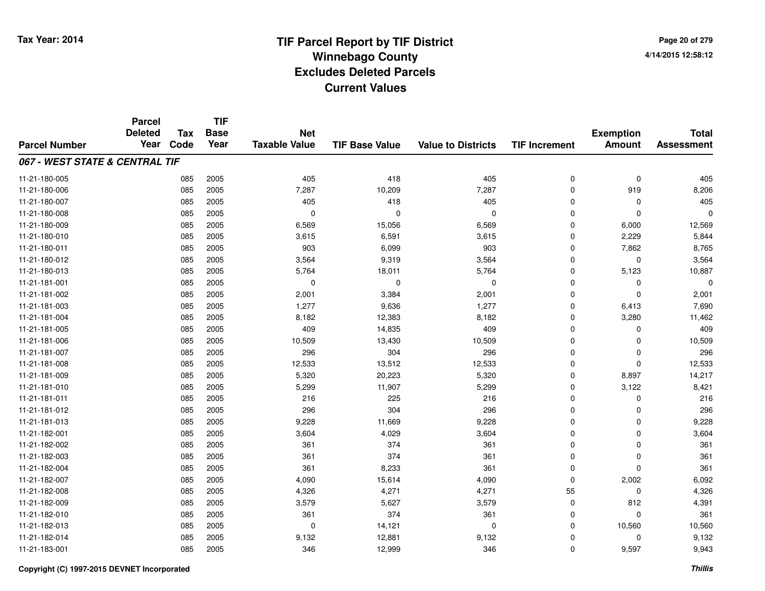**Page 20 of 2794/14/2015 12:58:12**

|                                | <b>Parcel</b><br><b>Deleted</b> | <b>Tax</b> | <b>TIF</b><br><b>Base</b> | <b>Net</b>           |                       |                           |                      |                                   | <b>Total</b>      |
|--------------------------------|---------------------------------|------------|---------------------------|----------------------|-----------------------|---------------------------|----------------------|-----------------------------------|-------------------|
| <b>Parcel Number</b>           | Year                            | Code       | Year                      | <b>Taxable Value</b> | <b>TIF Base Value</b> | <b>Value to Districts</b> | <b>TIF Increment</b> | <b>Exemption</b><br><b>Amount</b> | <b>Assessment</b> |
| 067 - WEST STATE & CENTRAL TIF |                                 |            |                           |                      |                       |                           |                      |                                   |                   |
| 11-21-180-005                  |                                 | 085        | 2005                      | 405                  | 418                   | 405                       | 0                    | $\mathbf 0$                       | 405               |
| 11-21-180-006                  |                                 | 085        | 2005                      | 7,287                | 10,209                | 7,287                     | $\mathbf 0$          | 919                               | 8,206             |
| 11-21-180-007                  |                                 | 085        | 2005                      | 405                  | 418                   | 405                       | $\mathbf 0$          | $\pmb{0}$                         | 405               |
| 11-21-180-008                  |                                 | 085        | 2005                      | $\mathbf 0$          | $\Omega$              | 0                         | $\Omega$             | $\mathbf 0$                       | $\mathbf 0$       |
| 11-21-180-009                  |                                 | 085        | 2005                      | 6,569                | 15,056                | 6,569                     | $\mathbf 0$          | 6,000                             | 12,569            |
| 11-21-180-010                  |                                 | 085        | 2005                      | 3,615                | 6,591                 | 3,615                     | $\Omega$             | 2,229                             | 5,844             |
| 11-21-180-011                  |                                 | 085        | 2005                      | 903                  | 6,099                 | 903                       | $\mathbf 0$          | 7,862                             | 8,765             |
| 11-21-180-012                  |                                 | 085        | 2005                      | 3,564                | 9,319                 | 3,564                     | $\mathbf 0$          | 0                                 | 3,564             |
| 11-21-180-013                  |                                 | 085        | 2005                      | 5,764                | 18,011                | 5,764                     | $\mathbf 0$          | 5,123                             | 10,887            |
| 11-21-181-001                  |                                 | 085        | 2005                      | 0                    | $\mathbf 0$           | 0                         | $\mathbf 0$          | 0                                 | $\Omega$          |
| 11-21-181-002                  |                                 | 085        | 2005                      | 2,001                | 3,384                 | 2,001                     | $\mathbf 0$          | $\mathbf 0$                       | 2,001             |
| 11-21-181-003                  |                                 | 085        | 2005                      | 1,277                | 9,636                 | 1,277                     | $\pmb{0}$            | 6,413                             | 7,690             |
| 11-21-181-004                  |                                 | 085        | 2005                      | 8,182                | 12,383                | 8,182                     | $\mathbf 0$          | 3,280                             | 11,462            |
| 11-21-181-005                  |                                 | 085        | 2005                      | 409                  | 14,835                | 409                       | $\mathbf 0$          | 0                                 | 409               |
| 11-21-181-006                  |                                 | 085        | 2005                      | 10,509               | 13,430                | 10,509                    | $\Omega$             | $\mathbf 0$                       | 10,509            |
| 11-21-181-007                  |                                 | 085        | 2005                      | 296                  | 304                   | 296                       | 0                    | 0                                 | 296               |
| 11-21-181-008                  |                                 | 085        | 2005                      | 12,533               | 13,512                | 12,533                    | $\mathbf 0$          | $\mathbf 0$                       | 12,533            |
| 11-21-181-009                  |                                 | 085        | 2005                      | 5,320                | 20,223                | 5,320                     | $\mathbf 0$          | 8,897                             | 14,217            |
| 11-21-181-010                  |                                 | 085        | 2005                      | 5,299                | 11,907                | 5,299                     | $\pmb{0}$            | 3,122                             | 8,421             |
| 11-21-181-011                  |                                 | 085        | 2005                      | 216                  | 225                   | 216                       | $\mathbf 0$          | 0                                 | 216               |
| 11-21-181-012                  |                                 | 085        | 2005                      | 296                  | 304                   | 296                       | $\mathbf 0$          | 0                                 | 296               |
| 11-21-181-013                  |                                 | 085        | 2005                      | 9,228                | 11,669                | 9,228                     | $\mathbf 0$          | 0                                 | 9,228             |
| 11-21-182-001                  |                                 | 085        | 2005                      | 3,604                | 4,029                 | 3,604                     | 0                    | 0                                 | 3,604             |
| 11-21-182-002                  |                                 | 085        | 2005                      | 361                  | 374                   | 361                       | $\mathbf 0$          | 0                                 | 361               |
| 11-21-182-003                  |                                 | 085        | 2005                      | 361                  | 374                   | 361                       | $\mathbf 0$          | $\pmb{0}$                         | 361               |
| 11-21-182-004                  |                                 | 085        | 2005                      | 361                  | 8,233                 | 361                       | $\mathbf 0$          | $\mathbf 0$                       | 361               |
| 11-21-182-007                  |                                 | 085        | 2005                      | 4,090                | 15,614                | 4,090                     | $\mathbf 0$          | 2,002                             | 6,092             |
| 11-21-182-008                  |                                 | 085        | 2005                      | 4,326                | 4,271                 | 4,271                     | 55                   | $\pmb{0}$                         | 4,326             |
| 11-21-182-009                  |                                 | 085        | 2005                      | 3,579                | 5,627                 | 3,579                     | $\mathbf 0$          | 812                               | 4,391             |
| 11-21-182-010                  |                                 | 085        | 2005                      | 361                  | 374                   | 361                       | $\mathbf 0$          | $\mathbf 0$                       | 361               |
| 11-21-182-013                  |                                 | 085        | 2005                      | 0                    | 14,121                | 0                         | 0                    | 10,560                            | 10,560            |
| 11-21-182-014                  |                                 | 085        | 2005                      | 9,132                | 12,881                | 9,132                     | $\mathbf 0$          | 0                                 | 9,132             |
| 11-21-183-001                  |                                 | 085        | 2005                      | 346                  | 12,999                | 346                       | $\mathbf 0$          | 9,597                             | 9,943             |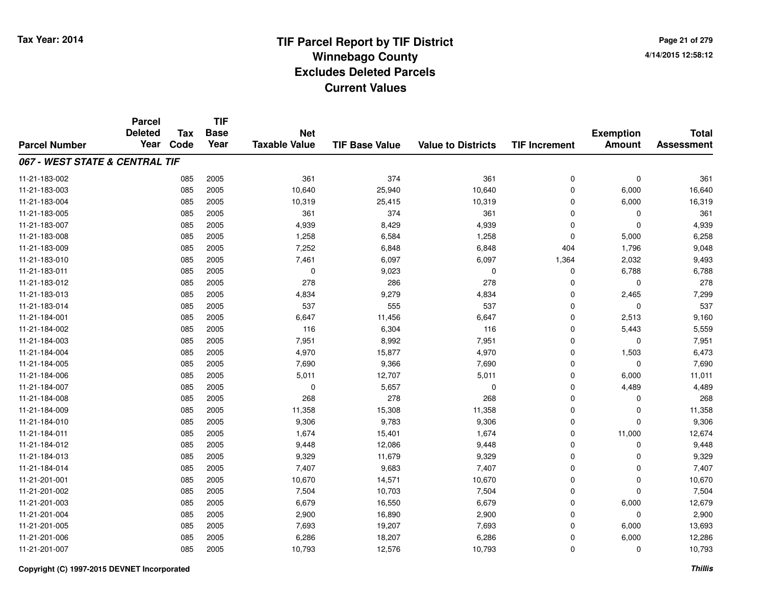**Page 21 of 2794/14/2015 12:58:12**

#### **TIF Base ValueParcel NumberTotal AssessmentExemption Amount Value to Districts TIF IncrementTIF Base YearTax CodeParcel Deleted YearNet Taxable Value067 - WEST STATE & CENTRAL TIF**11-21-183-002 <sup>085</sup> <sup>361</sup> <sup>2005</sup> <sup>374</sup> <sup>361</sup> <sup>0</sup> <sup>0</sup> <sup>361</sup> 11-21-183-0033 085 2005 10,640 25,940 10,640 0 6,000 16,640 11-21-183-004 <sup>085</sup> 10,319 <sup>2005</sup> 25,415 10,319 <sup>0</sup> 6,000 16,319 11-21-183-005 <sup>085</sup> <sup>361</sup> <sup>2005</sup> <sup>374</sup> <sup>361</sup> <sup>0</sup> <sup>0</sup> <sup>361</sup> 11-21-183-007 <sup>085</sup> 4,939 <sup>2005</sup> 8,429 4,939 <sup>0</sup> <sup>0</sup> 4,939 11-21-183-0088 085 2005 1,258 6,584 1,258 0 5,000 6,258 11-21-183-0099 085 2005 7,252 6,848 6,848 404 1,796 9,048 11-21-183-0100 085 2005 7,461 6,097 6,097 1,364 2,032 9,493 11-21-183-0111 085 2005 0 9,023 0 0 6,788 6,788 11-21-183-012 <sup>085</sup> <sup>278</sup> <sup>2005</sup> <sup>286</sup> <sup>278</sup> <sup>0</sup> <sup>0</sup> <sup>278</sup> 11-21-183-0133 085 2005 4,834 9,279 4,834 0 2,465 7,299 11-21-183-014 <sup>085</sup> <sup>537</sup> <sup>2005</sup> <sup>555</sup> <sup>537</sup> <sup>0</sup> <sup>0</sup> <sup>537</sup> 11-21-184-0011 085 2005 6,647 11,456 6,647 0 2,513 9,160 11-21-184-0022 085 2005 116 6,304 116 0 5,443 5,559 11-21-184-0033 085 2005 7,951 8,992 7,951 0 7,951 11-21-184-004 <sup>085</sup> 4,970 <sup>2005</sup> 15,877 4,970 <sup>0</sup> 1,503 6,473 11-21-184-0055 085 2005 7,690 9,366 7,690 0 7,690 11-21-184-006 <sup>085</sup> 5,011 <sup>2005</sup> 12,707 5,011 <sup>0</sup> 6,000 11,011 11-21-184-007 <sup>085</sup> <sup>0</sup> <sup>2005</sup> 5,657 <sup>0</sup> <sup>0</sup> 4,489 4,489 11-21-184-008 <sup>085</sup> <sup>268</sup> <sup>2005</sup> <sup>278</sup> <sup>268</sup> <sup>0</sup> <sup>0</sup> <sup>268</sup> 11-21-184-0099 085 2005 11,358 15,308 11,358 0 11,358 11-21-184-010 <sup>085</sup> 9,306 <sup>2005</sup> 9,783 9,306 <sup>0</sup> <sup>0</sup> 9,306 11-21-184-0111 085 2005 1,674 15,401 1,674 0 11,000 12,674 11-21-184-0122 085 2005 9,448 12,086 9,448 0 0 9,448 11-21-184-013 <sup>085</sup> 9,329 <sup>2005</sup> 11,679 9,329 <sup>0</sup> <sup>0</sup> 9,329 11-21-184-014 <sup>085</sup> 7,407 <sup>2005</sup> 9,683 7,407 <sup>0</sup> <sup>0</sup> 7,407 11-21-201-0011 085 2005 10,670 14,571 10,670 0 0 10,670 11-21-201-0022 085 2005 7,504 10,703 7,504 0 0 7,504 11-21-201-0033 085 2005 6,679 16,550 6,679 0 6,000 12,679 11-21-201-004 $\frac{4}{16,890}$  and  $\frac{1}{2,900}$  and  $\frac{1}{2,900}$  and  $\frac{1}{2,900}$  b  $\frac{2,900}{10,900}$  b  $\frac{2,900}{10,900}$  b  $\frac{2,900}{10,900}$ 11-21-201-005 <sup>085</sup> 7,693 <sup>2005</sup> 19,207 7,693 <sup>0</sup> 6,000 13,693 11-21-201-0066 085 2005 6,286 18,207 6,286 0 6,000 12,286 11-21-201-007<sup>085</sup> 10,793 <sup>2005</sup> 12,576 10,793 <sup>0</sup> <sup>0</sup> 10,793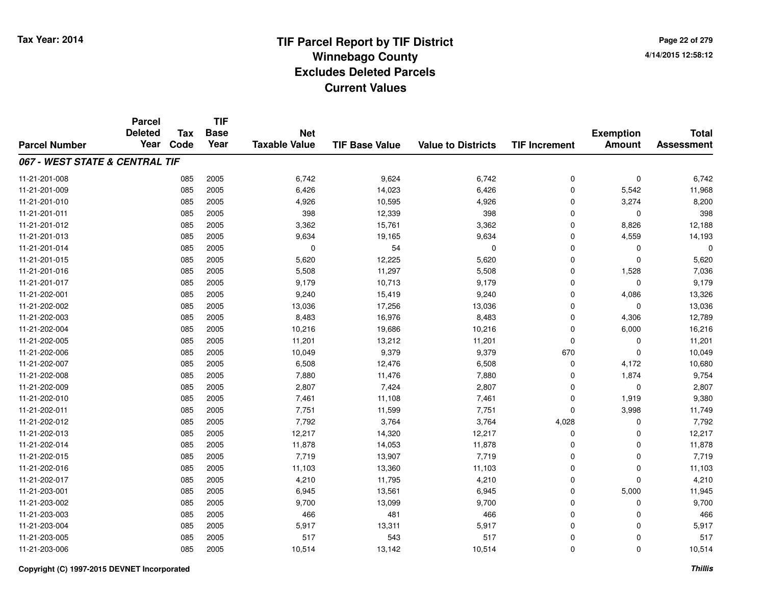**Page 22 of 2794/14/2015 12:58:12**

|                                | <b>Parcel</b>  |            | <b>TIF</b>  |                      |                       |                           |                      |                  |                   |
|--------------------------------|----------------|------------|-------------|----------------------|-----------------------|---------------------------|----------------------|------------------|-------------------|
|                                | <b>Deleted</b> | <b>Tax</b> | <b>Base</b> | <b>Net</b>           |                       |                           |                      | <b>Exemption</b> | <b>Total</b>      |
| <b>Parcel Number</b>           | Year           | Code       | Year        | <b>Taxable Value</b> | <b>TIF Base Value</b> | <b>Value to Districts</b> | <b>TIF Increment</b> | <b>Amount</b>    | <b>Assessment</b> |
| 067 - WEST STATE & CENTRAL TIF |                |            |             |                      |                       |                           |                      |                  |                   |
| 11-21-201-008                  |                | 085        | 2005        | 6,742                | 9,624                 | 6,742                     | 0                    | $\mathbf 0$      | 6,742             |
| 11-21-201-009                  |                | 085        | 2005        | 6,426                | 14,023                | 6,426                     | $\mathbf 0$          | 5,542            | 11,968            |
| 11-21-201-010                  |                | 085        | 2005        | 4,926                | 10,595                | 4,926                     | 0                    | 3,274            | 8,200             |
| 11-21-201-011                  |                | 085        | 2005        | 398                  | 12,339                | 398                       | $\mathbf 0$          | $\Omega$         | 398               |
| 11-21-201-012                  |                | 085        | 2005        | 3,362                | 15,761                | 3,362                     | 0                    | 8,826            | 12,188            |
| 11-21-201-013                  |                | 085        | 2005        | 9,634                | 19,165                | 9,634                     | 0                    | 4,559            | 14,193            |
| 11-21-201-014                  |                | 085        | 2005        | 0                    | 54                    | $\mathbf 0$               | 0                    | $\mathbf 0$      | 0                 |
| 11-21-201-015                  |                | 085        | 2005        | 5,620                | 12,225                | 5,620                     | 0                    | $\Omega$         | 5,620             |
| 11-21-201-016                  |                | 085        | 2005        | 5,508                | 11,297                | 5,508                     | 0                    | 1,528            | 7,036             |
| 11-21-201-017                  |                | 085        | 2005        | 9,179                | 10,713                | 9,179                     | 0                    | $\Omega$         | 9,179             |
| 11-21-202-001                  |                | 085        | 2005        | 9,240                | 15,419                | 9,240                     | 0                    | 4,086            | 13,326            |
| 11-21-202-002                  |                | 085        | 2005        | 13,036               | 17,256                | 13,036                    | 0                    | $\mathbf 0$      | 13,036            |
| 11-21-202-003                  |                | 085        | 2005        | 8,483                | 16,976                | 8,483                     | $\mathbf 0$          | 4,306            | 12,789            |
| 11-21-202-004                  |                | 085        | 2005        | 10,216               | 19,686                | 10,216                    | 0                    | 6,000            | 16,216            |
| 11-21-202-005                  |                | 085        | 2005        | 11,201               | 13,212                | 11,201                    | 0                    | 0                | 11,201            |
| 11-21-202-006                  |                | 085        | 2005        | 10,049               | 9,379                 | 9,379                     | 670                  | $\mathbf 0$      | 10,049            |
| 11-21-202-007                  |                | 085        | 2005        | 6,508                | 12,476                | 6,508                     | 0                    | 4,172            | 10,680            |
| 11-21-202-008                  |                | 085        | 2005        | 7,880                | 11,476                | 7,880                     | 0                    | 1,874            | 9,754             |
| 11-21-202-009                  |                | 085        | 2005        | 2,807                | 7,424                 | 2,807                     | 0                    | $\mathbf 0$      | 2,807             |
| 11-21-202-010                  |                | 085        | 2005        | 7,461                | 11,108                | 7,461                     | 0                    | 1,919            | 9,380             |
| 11-21-202-011                  |                | 085        | 2005        | 7,751                | 11,599                | 7,751                     | 0                    | 3,998            | 11,749            |
| 11-21-202-012                  |                | 085        | 2005        | 7,792                | 3,764                 | 3,764                     | 4,028                | 0                | 7,792             |
| 11-21-202-013                  |                | 085        | 2005        | 12,217               | 14,320                | 12,217                    | 0                    | 0                | 12,217            |
| 11-21-202-014                  |                | 085        | 2005        | 11,878               | 14,053                | 11,878                    | 0                    | $\mathbf 0$      | 11,878            |
| 11-21-202-015                  |                | 085        | 2005        | 7,719                | 13,907                | 7,719                     | 0                    | $\mathbf 0$      | 7,719             |
| 11-21-202-016                  |                | 085        | 2005        | 11,103               | 13,360                | 11,103                    | 0                    | $\mathbf 0$      | 11,103            |
| 11-21-202-017                  |                | 085        | 2005        | 4,210                | 11,795                | 4,210                     | 0                    | $\Omega$         | 4,210             |
| 11-21-203-001                  |                | 085        | 2005        | 6,945                | 13,561                | 6,945                     | 0                    | 5,000            | 11,945            |
| 11-21-203-002                  |                | 085        | 2005        | 9,700                | 13,099                | 9,700                     | 0                    | 0                | 9,700             |
| 11-21-203-003                  |                | 085        | 2005        | 466                  | 481                   | 466                       | 0                    | 0                | 466               |
| 11-21-203-004                  |                | 085        | 2005        | 5,917                | 13,311                | 5,917                     | $\mathbf 0$          | $\Omega$         | 5,917             |
| 11-21-203-005                  |                | 085        | 2005        | 517                  | 543                   | 517                       | 0                    | 0                | 517               |
| 11-21-203-006                  |                | 085        | 2005        | 10,514               | 13,142                | 10,514                    | 0                    | $\Omega$         | 10,514            |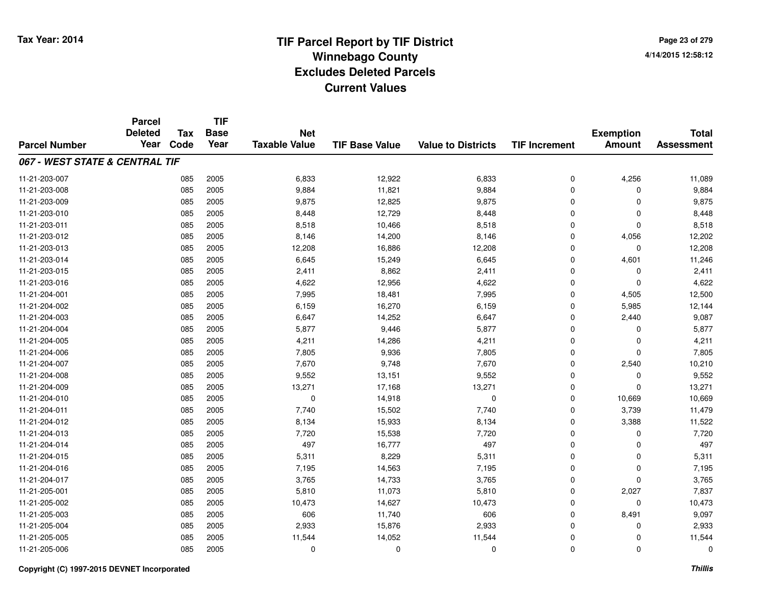**TIF**

**Parcel**

**Page 23 of 2794/14/2015 12:58:12**

| <b>Parcel Number</b>           | <b>Deleted</b><br>Year | Tax<br>Code | <b>Base</b><br>Year | <b>Net</b><br><b>Taxable Value</b> | <b>TIF Base Value</b> | <b>Value to Districts</b> | <b>TIF Increment</b> | <b>Exemption</b><br><b>Amount</b> | <b>Total</b><br><b>Assessment</b> |
|--------------------------------|------------------------|-------------|---------------------|------------------------------------|-----------------------|---------------------------|----------------------|-----------------------------------|-----------------------------------|
| 067 - WEST STATE & CENTRAL TIF |                        |             |                     |                                    |                       |                           |                      |                                   |                                   |
| 11-21-203-007                  |                        | 085         | 2005                | 6,833                              | 12,922                | 6,833                     | 0                    | 4,256                             | 11,089                            |
| 11-21-203-008                  |                        | 085         | 2005                | 9,884                              | 11,821                | 9,884                     | 0                    | $\Omega$                          | 9,884                             |
| 11-21-203-009                  |                        | 085         | 2005                | 9,875                              | 12,825                | 9,875                     | 0                    | $\Omega$                          | 9,875                             |
| 11-21-203-010                  |                        | 085         | 2005                | 8,448                              | 12,729                | 8,448                     | 0                    | $\Omega$                          | 8,448                             |
| 11-21-203-011                  |                        | 085         | 2005                | 8,518                              | 10,466                | 8,518                     | 0                    | $\mathbf 0$                       | 8,518                             |
| 11-21-203-012                  |                        | 085         | 2005                | 8,146                              | 14,200                | 8,146                     | 0                    | 4,056                             | 12,202                            |
| 11-21-203-013                  |                        | 085         | 2005                | 12,208                             | 16,886                | 12,208                    | 0                    | $\mathbf 0$                       | 12,208                            |
| 11-21-203-014                  |                        | 085         | 2005                | 6,645                              | 15,249                | 6,645                     | 0                    | 4,601                             | 11,246                            |
| 11-21-203-015                  |                        | 085         | 2005                | 2,411                              | 8,862                 | 2,411                     | 0                    | 0                                 | 2,411                             |
| 11-21-203-016                  |                        | 085         | 2005                | 4,622                              | 12,956                | 4,622                     | 0                    | $\mathbf 0$                       | 4,622                             |
| 11-21-204-001                  |                        | 085         | 2005                | 7,995                              | 18,481                | 7,995                     | 0                    | 4,505                             | 12,500                            |
| 11-21-204-002                  |                        | 085         | 2005                | 6,159                              | 16,270                | 6,159                     | 0                    | 5,985                             | 12,144                            |
| 11-21-204-003                  |                        | 085         | 2005                | 6,647                              | 14,252                | 6,647                     | 0                    | 2,440                             | 9,087                             |
| 11-21-204-004                  |                        | 085         | 2005                | 5,877                              | 9,446                 | 5,877                     | 0                    | $\mathbf 0$                       | 5,877                             |
| 11-21-204-005                  |                        | 085         | 2005                | 4,211                              | 14,286                | 4,211                     | 0                    | $\mathbf 0$                       | 4,211                             |
| 11-21-204-006                  |                        | 085         | 2005                | 7,805                              | 9,936                 | 7,805                     | 0                    | $\mathbf 0$                       | 7,805                             |
| 11-21-204-007                  |                        | 085         | 2005                | 7,670                              | 9,748                 | 7,670                     | 0                    | 2,540                             | 10,210                            |
| 11-21-204-008                  |                        | 085         | 2005                | 9,552                              | 13,151                | 9,552                     | 0                    | 0                                 | 9,552                             |
| 11-21-204-009                  |                        | 085         | 2005                | 13,271                             | 17,168                | 13,271                    | 0                    | $\mathbf 0$                       | 13,271                            |
| 11-21-204-010                  |                        | 085         | 2005                | 0                                  | 14,918                | 0                         | 0                    | 10,669                            | 10,669                            |
| 11-21-204-011                  |                        | 085         | 2005                | 7,740                              | 15,502                | 7,740                     | 0                    | 3,739                             | 11,479                            |
| 11-21-204-012                  |                        | 085         | 2005                | 8,134                              | 15,933                | 8,134                     | 0                    | 3,388                             | 11,522                            |
| 11-21-204-013                  |                        | 085         | 2005                | 7,720                              | 15,538                | 7,720                     | 0                    | $\Omega$                          | 7,720                             |
| 11-21-204-014                  |                        | 085         | 2005                | 497                                | 16,777                | 497                       | 0                    | $\Omega$                          | 497                               |
| 11-21-204-015                  |                        | 085         | 2005                | 5,311                              | 8,229                 | 5,311                     | 0                    | $\Omega$                          | 5,311                             |
| 11-21-204-016                  |                        | 085         | 2005                | 7,195                              | 14,563                | 7,195                     | 0                    | $\mathbf 0$                       | 7,195                             |
| 11-21-204-017                  |                        | 085         | 2005                | 3,765                              | 14,733                | 3,765                     | 0                    | $\mathbf 0$                       | 3,765                             |
| 11-21-205-001                  |                        | 085         | 2005                | 5,810                              | 11,073                | 5,810                     | 0                    | 2,027                             | 7,837                             |
| 11-21-205-002                  |                        | 085         | 2005                | 10,473                             | 14,627                | 10,473                    | 0                    | 0                                 | 10,473                            |
| 11-21-205-003                  |                        | 085         | 2005                | 606                                | 11,740                | 606                       | 0                    | 8,491                             | 9,097                             |
| 11-21-205-004                  |                        | 085         | 2005                | 2,933                              | 15,876                | 2,933                     | 0                    | $\mathbf 0$                       | 2,933                             |
| 11-21-205-005                  |                        | 085         | 2005                | 11,544                             | 14,052                | 11,544                    | 0                    | $\Omega$                          | 11,544                            |
| 11-21-205-006                  |                        | 085         | 2005                | 0                                  | 0                     | 0                         | 0                    | $\mathbf 0$                       | 0                                 |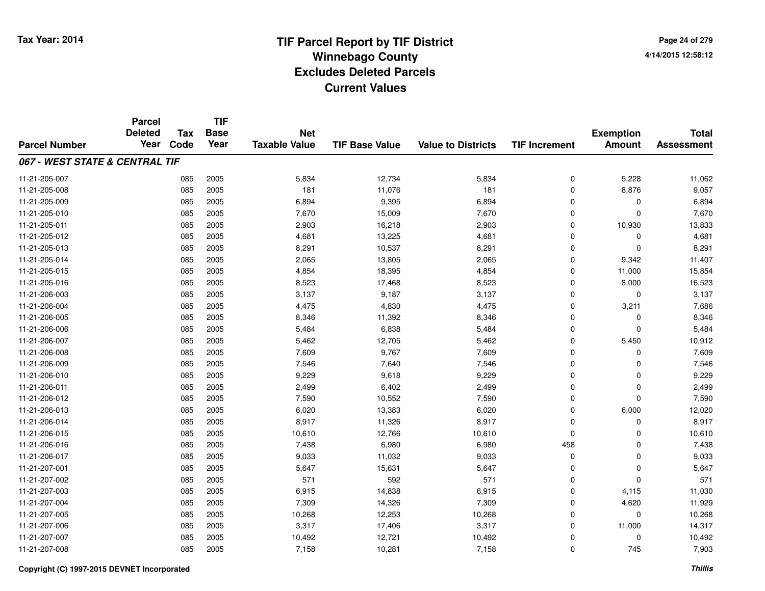**Page 24 of 2794/14/2015 12:58:12**

|                                | <b>Parcel</b>  |            | <b>TIF</b>  |                      |                       |                           |                      |                  |                   |
|--------------------------------|----------------|------------|-------------|----------------------|-----------------------|---------------------------|----------------------|------------------|-------------------|
|                                | <b>Deleted</b> | <b>Tax</b> | <b>Base</b> | <b>Net</b>           |                       |                           |                      | <b>Exemption</b> | <b>Total</b>      |
| <b>Parcel Number</b>           | Year           | Code       | Year        | <b>Taxable Value</b> | <b>TIF Base Value</b> | <b>Value to Districts</b> | <b>TIF Increment</b> | <b>Amount</b>    | <b>Assessment</b> |
| 067 - WEST STATE & CENTRAL TIF |                |            |             |                      |                       |                           |                      |                  |                   |
| 11-21-205-007                  |                | 085        | 2005        | 5,834                | 12,734                | 5,834                     | 0                    | 5,228            | 11,062            |
| 11-21-205-008                  |                | 085        | 2005        | 181                  | 11,076                | 181                       | $\mathbf 0$          | 8,876            | 9,057             |
| 11-21-205-009                  |                | 085        | 2005        | 6,894                | 9,395                 | 6,894                     | 0                    | 0                | 6,894             |
| 11-21-205-010                  |                | 085        | 2005        | 7,670                | 15,009                | 7,670                     | 0                    | $\Omega$         | 7,670             |
| 11-21-205-011                  |                | 085        | 2005        | 2,903                | 16,218                | 2,903                     | 0                    | 10,930           | 13,833            |
| 11-21-205-012                  |                | 085        | 2005        | 4,681                | 13,225                | 4,681                     | 0                    | 0                | 4,681             |
| 11-21-205-013                  |                | 085        | 2005        | 8,291                | 10,537                | 8,291                     | 0                    | $\Omega$         | 8,291             |
| 11-21-205-014                  |                | 085        | 2005        | 2,065                | 13,805                | 2,065                     | 0                    | 9,342            | 11,407            |
| 11-21-205-015                  |                | 085        | 2005        | 4,854                | 18,395                | 4,854                     | 0                    | 11,000           | 15,854            |
| 11-21-205-016                  |                | 085        | 2005        | 8,523                | 17,468                | 8,523                     | 0                    | 8,000            | 16,523            |
| 11-21-206-003                  |                | 085        | 2005        | 3,137                | 9,187                 | 3,137                     | 0                    | $\Omega$         | 3,137             |
| 11-21-206-004                  |                | 085        | 2005        | 4,475                | 4,830                 | 4,475                     | 0                    | 3,211            | 7,686             |
| 11-21-206-005                  |                | 085        | 2005        | 8,346                | 11,392                | 8,346                     | $\mathbf 0$          | 0                | 8,346             |
| 11-21-206-006                  |                | 085        | 2005        | 5,484                | 6,838                 | 5,484                     | 0                    | $\mathbf 0$      | 5,484             |
| 11-21-206-007                  |                | 085        | 2005        | 5,462                | 12,705                | 5,462                     | 0                    | 5,450            | 10,912            |
| 11-21-206-008                  |                | 085        | 2005        | 7,609                | 9,767                 | 7,609                     | 0                    | 0                | 7,609             |
| 11-21-206-009                  |                | 085        | 2005        | 7,546                | 7,640                 | 7,546                     | 0                    | 0                | 7,546             |
| 11-21-206-010                  |                | 085        | 2005        | 9,229                | 9,618                 | 9,229                     | 0                    | $\mathbf 0$      | 9,229             |
| 11-21-206-011                  |                | 085        | 2005        | 2,499                | 6,402                 | 2,499                     | 0                    | 0                | 2,499             |
| 11-21-206-012                  |                | 085        | 2005        | 7,590                | 10,552                | 7,590                     | 0                    | $\mathbf 0$      | 7,590             |
| 11-21-206-013                  |                | 085        | 2005        | 6,020                | 13,383                | 6,020                     | 0                    | 6,000            | 12,020            |
| 11-21-206-014                  |                | 085        | 2005        | 8,917                | 11,326                | 8,917                     | 0                    | $\mathbf 0$      | 8,917             |
| 11-21-206-015                  |                | 085        | 2005        | 10,610               | 12,766                | 10,610                    | 0                    | 0                | 10,610            |
| 11-21-206-016                  |                | 085        | 2005        | 7,438                | 6,980                 | 6,980                     | 458                  | $\mathbf 0$      | 7,438             |
| 11-21-206-017                  |                | 085        | 2005        | 9,033                | 11,032                | 9,033                     | 0                    | $\mathbf 0$      | 9,033             |
| 11-21-207-001                  |                | 085        | 2005        | 5,647                | 15,631                | 5,647                     | 0                    | $\mathbf 0$      | 5,647             |
| 11-21-207-002                  |                | 085        | 2005        | 571                  | 592                   | 571                       | 0                    | $\Omega$         | 571               |
| 11-21-207-003                  |                | 085        | 2005        | 6,915                | 14,838                | 6,915                     | 0                    | 4,115            | 11,030            |
| 11-21-207-004                  |                | 085        | 2005        | 7,309                | 14,326                | 7,309                     | 0                    | 4,620            | 11,929            |
| 11-21-207-005                  |                | 085        | 2005        | 10,268               | 12,253                | 10,268                    | 0                    | 0                | 10,268            |
| 11-21-207-006                  |                | 085        | 2005        | 3,317                | 17,406                | 3,317                     | 0                    | 11,000           | 14,317            |
| 11-21-207-007                  |                | 085        | 2005        | 10,492               | 12,721                | 10,492                    | 0                    | 0                | 10,492            |
| 11-21-207-008                  |                | 085        | 2005        | 7,158                | 10,281                | 7,158                     | 0                    | 745              | 7,903             |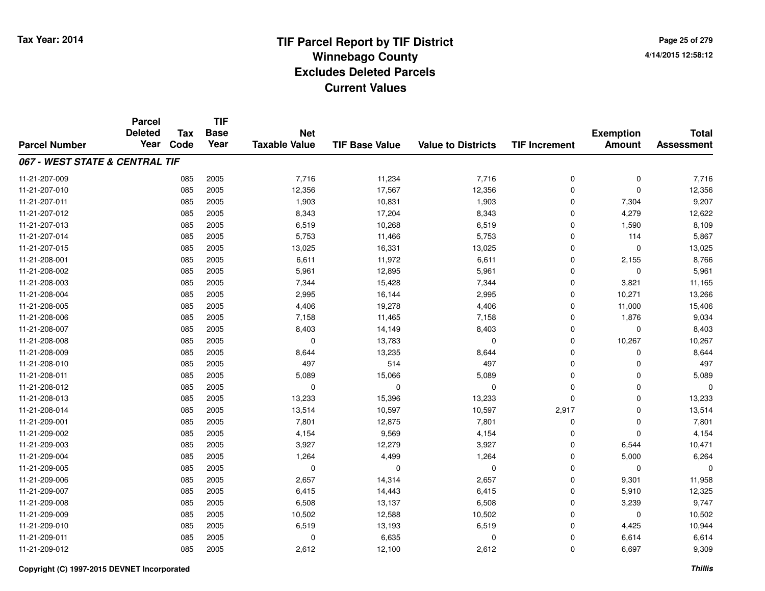**Page 25 of 2794/14/2015 12:58:12**

|                                | <b>Parcel</b>          |      | <b>TIF</b>  |                      |                       |                           |                      |                  |                                   |
|--------------------------------|------------------------|------|-------------|----------------------|-----------------------|---------------------------|----------------------|------------------|-----------------------------------|
|                                | <b>Deleted</b><br>Year | Tax  | <b>Base</b> | <b>Net</b>           | <b>TIF Base Value</b> |                           |                      | <b>Exemption</b> | <b>Total</b><br><b>Assessment</b> |
| <b>Parcel Number</b>           |                        | Code | Year        | <b>Taxable Value</b> |                       | <b>Value to Districts</b> | <b>TIF Increment</b> | <b>Amount</b>    |                                   |
| 067 - WEST STATE & CENTRAL TIF |                        |      |             |                      |                       |                           |                      |                  |                                   |
| 11-21-207-009                  |                        | 085  | 2005        | 7,716                | 11,234                | 7,716                     | 0                    | 0                | 7,716                             |
| 11-21-207-010                  |                        | 085  | 2005        | 12,356               | 17,567                | 12,356                    | $\mathbf 0$          | $\Omega$         | 12,356                            |
| 11-21-207-011                  |                        | 085  | 2005        | 1,903                | 10,831                | 1,903                     | $\mathbf 0$          | 7,304            | 9,207                             |
| 11-21-207-012                  |                        | 085  | 2005        | 8,343                | 17,204                | 8,343                     | $\mathbf 0$          | 4,279            | 12,622                            |
| 11-21-207-013                  |                        | 085  | 2005        | 6,519                | 10,268                | 6,519                     | 0                    | 1,590            | 8,109                             |
| 11-21-207-014                  |                        | 085  | 2005        | 5,753                | 11,466                | 5,753                     | 0                    | 114              | 5,867                             |
| 11-21-207-015                  |                        | 085  | 2005        | 13,025               | 16,331                | 13,025                    | 0                    | $\mathbf 0$      | 13,025                            |
| 11-21-208-001                  |                        | 085  | 2005        | 6,611                | 11,972                | 6,611                     | $\mathbf 0$          | 2,155            | 8,766                             |
| 11-21-208-002                  |                        | 085  | 2005        | 5,961                | 12,895                | 5,961                     | 0                    | $\mathbf 0$      | 5,961                             |
| 11-21-208-003                  |                        | 085  | 2005        | 7,344                | 15,428                | 7,344                     | 0                    | 3,821            | 11,165                            |
| 11-21-208-004                  |                        | 085  | 2005        | 2,995                | 16,144                | 2,995                     | 0                    | 10,271           | 13,266                            |
| 11-21-208-005                  |                        | 085  | 2005        | 4,406                | 19,278                | 4,406                     | 0                    | 11,000           | 15,406                            |
| 11-21-208-006                  |                        | 085  | 2005        | 7,158                | 11,465                | 7,158                     | 0                    | 1,876            | 9,034                             |
| 11-21-208-007                  |                        | 085  | 2005        | 8,403                | 14,149                | 8,403                     | 0                    | $\mathbf 0$      | 8,403                             |
| 11-21-208-008                  |                        | 085  | 2005        | 0                    | 13,783                | $\Omega$                  | 0                    | 10,267           | 10,267                            |
| 11-21-208-009                  |                        | 085  | 2005        | 8,644                | 13,235                | 8,644                     | 0                    | 0                | 8,644                             |
| 11-21-208-010                  |                        | 085  | 2005        | 497                  | 514                   | 497                       | $\mathbf 0$          | 0                | 497                               |
| 11-21-208-011                  |                        | 085  | 2005        | 5,089                | 15,066                | 5,089                     | 0                    | $\mathbf 0$      | 5,089                             |
| 11-21-208-012                  |                        | 085  | 2005        | 0                    | 0                     | 0                         | 0                    | 0                | $\Omega$                          |
| 11-21-208-013                  |                        | 085  | 2005        | 13,233               | 15,396                | 13,233                    | 0                    | 0                | 13,233                            |
| 11-21-208-014                  |                        | 085  | 2005        | 13,514               | 10,597                | 10,597                    | 2,917                | 0                | 13,514                            |
| 11-21-209-001                  |                        | 085  | 2005        | 7,801                | 12,875                | 7,801                     | 0                    | $\mathbf 0$      | 7,801                             |
| 11-21-209-002                  |                        | 085  | 2005        | 4,154                | 9,569                 | 4,154                     | 0                    | $\mathbf 0$      | 4,154                             |
| 11-21-209-003                  |                        | 085  | 2005        | 3,927                | 12,279                | 3,927                     | 0                    | 6,544            | 10,471                            |
| 11-21-209-004                  |                        | 085  | 2005        | 1,264                | 4,499                 | 1,264                     | 0                    | 5,000            | 6,264                             |
| 11-21-209-005                  |                        | 085  | 2005        | 0                    | 0                     | $\mathbf 0$               | 0                    | $\mathbf 0$      | $\Omega$                          |
| 11-21-209-006                  |                        | 085  | 2005        | 2,657                | 14,314                | 2,657                     | 0                    | 9,301            | 11,958                            |
| 11-21-209-007                  |                        | 085  | 2005        | 6,415                | 14,443                | 6,415                     | 0                    | 5,910            | 12,325                            |
| 11-21-209-008                  |                        | 085  | 2005        | 6,508                | 13,137                | 6,508                     | 0                    | 3,239            | 9,747                             |
| 11-21-209-009                  |                        | 085  | 2005        | 10,502               | 12,588                | 10,502                    | 0                    | 0                | 10,502                            |
| 11-21-209-010                  |                        | 085  | 2005        | 6,519                | 13,193                | 6,519                     | $\mathbf 0$          | 4,425            | 10,944                            |
| 11-21-209-011                  |                        | 085  | 2005        | $\Omega$             | 6,635                 | 0                         | 0                    | 6,614            | 6,614                             |
| 11-21-209-012                  |                        | 085  | 2005        | 2,612                | 12,100                | 2,612                     | 0                    | 6,697            | 9,309                             |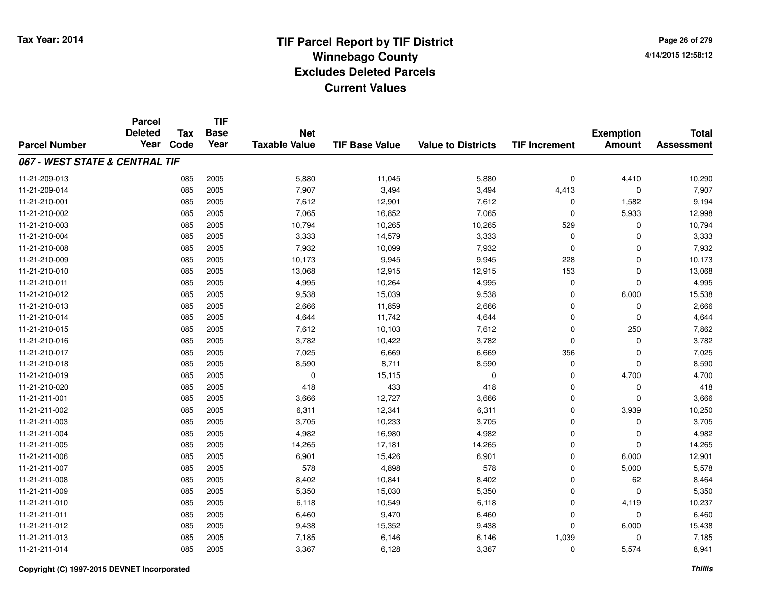**Page 26 of 2794/14/2015 12:58:12**

|                                | <b>Parcel</b>          |                    | <b>TIF</b>          |                                    |                       |                           |                      |                                   |                                   |
|--------------------------------|------------------------|--------------------|---------------------|------------------------------------|-----------------------|---------------------------|----------------------|-----------------------------------|-----------------------------------|
| <b>Parcel Number</b>           | <b>Deleted</b><br>Year | <b>Tax</b><br>Code | <b>Base</b><br>Year | <b>Net</b><br><b>Taxable Value</b> | <b>TIF Base Value</b> | <b>Value to Districts</b> | <b>TIF Increment</b> | <b>Exemption</b><br><b>Amount</b> | <b>Total</b><br><b>Assessment</b> |
|                                |                        |                    |                     |                                    |                       |                           |                      |                                   |                                   |
| 067 - WEST STATE & CENTRAL TIF |                        |                    |                     |                                    |                       |                           |                      |                                   |                                   |
| 11-21-209-013                  |                        | 085                | 2005                | 5,880                              | 11,045                | 5,880                     | 0                    | 4,410                             | 10,290                            |
| 11-21-209-014                  |                        | 085                | 2005                | 7,907                              | 3,494                 | 3,494                     | 4,413                | $\Omega$                          | 7,907                             |
| 11-21-210-001                  |                        | 085                | 2005                | 7,612                              | 12,901                | 7,612                     | 0                    | 1,582                             | 9,194                             |
| 11-21-210-002                  |                        | 085                | 2005                | 7,065                              | 16,852                | 7,065                     | 0                    | 5,933                             | 12,998                            |
| 11-21-210-003                  |                        | 085                | 2005                | 10,794                             | 10,265                | 10,265                    | 529                  | 0                                 | 10,794                            |
| 11-21-210-004                  |                        | 085                | 2005                | 3,333                              | 14,579                | 3,333                     | 0                    | $\Omega$                          | 3,333                             |
| 11-21-210-008                  |                        | 085                | 2005                | 7,932                              | 10,099                | 7,932                     | 0                    | $\Omega$                          | 7,932                             |
| 11-21-210-009                  |                        | 085                | 2005                | 10,173                             | 9,945                 | 9,945                     | 228                  | $\Omega$                          | 10,173                            |
| 11-21-210-010                  |                        | 085                | 2005                | 13,068                             | 12,915                | 12,915                    | 153                  | $\mathbf 0$                       | 13,068                            |
| 11-21-210-011                  |                        | 085                | 2005                | 4,995                              | 10,264                | 4,995                     | 0                    | $\Omega$                          | 4,995                             |
| 11-21-210-012                  |                        | 085                | 2005                | 9,538                              | 15,039                | 9,538                     | 0                    | 6,000                             | 15,538                            |
| 11-21-210-013                  |                        | 085                | 2005                | 2,666                              | 11,859                | 2,666                     | 0                    | 0                                 | 2,666                             |
| 11-21-210-014                  |                        | 085                | 2005                | 4,644                              | 11,742                | 4,644                     | 0                    | $\mathbf 0$                       | 4,644                             |
| 11-21-210-015                  |                        | 085                | 2005                | 7,612                              | 10,103                | 7,612                     | 0                    | 250                               | 7,862                             |
| 11-21-210-016                  |                        | 085                | 2005                | 3,782                              | 10,422                | 3,782                     | 0                    | $\mathbf 0$                       | 3,782                             |
| 11-21-210-017                  |                        | 085                | 2005                | 7,025                              | 6,669                 | 6,669                     | 356                  | 0                                 | 7,025                             |
| 11-21-210-018                  |                        | 085                | 2005                | 8,590                              | 8,711                 | 8,590                     | 0                    | $\mathbf 0$                       | 8,590                             |
| 11-21-210-019                  |                        | 085                | 2005                | 0                                  | 15,115                | 0                         | 0                    | 4,700                             | 4,700                             |
| 11-21-210-020                  |                        | 085                | 2005                | 418                                | 433                   | 418                       | 0                    | 0                                 | 418                               |
| 11-21-211-001                  |                        | 085                | 2005                | 3,666                              | 12,727                | 3,666                     | 0                    | $\mathbf 0$                       | 3,666                             |
| 11-21-211-002                  |                        | 085                | 2005                | 6,311                              | 12,341                | 6,311                     | 0                    | 3,939                             | 10,250                            |
| 11-21-211-003                  |                        | 085                | 2005                | 3,705                              | 10,233                | 3,705                     | 0                    | $\mathbf 0$                       | 3,705                             |
| 11-21-211-004                  |                        | 085                | 2005                | 4,982                              | 16,980                | 4,982                     | 0                    | 0                                 | 4,982                             |
| 11-21-211-005                  |                        | 085                | 2005                | 14,265                             | 17,181                | 14,265                    | 0                    | $\Omega$                          | 14,265                            |
| 11-21-211-006                  |                        | 085                | 2005                | 6,901                              | 15,426                | 6,901                     | 0                    | 6,000                             | 12,901                            |
| 11-21-211-007                  |                        | 085                | 2005                | 578                                | 4,898                 | 578                       | 0                    | 5,000                             | 5,578                             |
| 11-21-211-008                  |                        | 085                | 2005                | 8,402                              | 10,841                | 8,402                     | 0                    | 62                                | 8,464                             |
| 11-21-211-009                  |                        | 085                | 2005                | 5,350                              | 15,030                | 5,350                     | 0                    | $\mathbf 0$                       | 5,350                             |
| 11-21-211-010                  |                        | 085                | 2005                | 6,118                              | 10,549                | 6,118                     | 0                    | 4,119                             | 10,237                            |
| 11-21-211-011                  |                        | 085                | 2005                | 6,460                              | 9,470                 | 6,460                     | 0                    | $\mathbf 0$                       | 6,460                             |
| 11-21-211-012                  |                        | 085                | 2005                | 9,438                              | 15,352                | 9,438                     | 0                    | 6,000                             | 15,438                            |
| 11-21-211-013                  |                        | 085                | 2005                | 7,185                              | 6,146                 | 6,146                     | 1,039                | $\Omega$                          | 7,185                             |
| 11-21-211-014                  |                        | 085                | 2005                | 3,367                              | 6,128                 | 3,367                     | $\mathbf 0$          | 5,574                             | 8,941                             |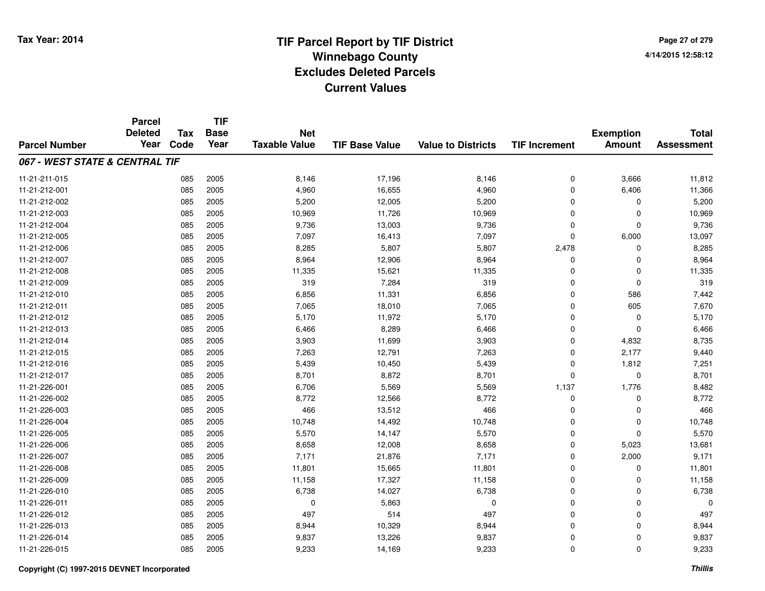**TIF**

**Parcel**

**Page 27 of 2794/14/2015 12:58:12**

#### **TIF Base ValueParcel NumberTotal AssessmentExemption Amount Value to Districts TIF Increment Base YearTax Code Deleted YearNet Taxable Value067 - WEST STATE & CENTRAL TIF**11-21-211-015 <sup>085</sup> 8,146 <sup>2005</sup> 17,196 8,146 <sup>0</sup> 3,666 11,812 11-21-212-0011 085 2005 4,960 16,655 4,960 0 6,406 11,366 11-21-212-002 <sup>085</sup> 5,200 <sup>2005</sup> 12,005 5,200 <sup>0</sup> <sup>0</sup> 5,200 11-21-212-0033 085 2005 10,969 11,726 10,969 0 0 10,969 11-21-212-004 <sup>085</sup> 9,736 <sup>2005</sup> 13,003 9,736 <sup>0</sup> <sup>0</sup> 9,736 11-21-212-005 <sup>085</sup> 7,097 <sup>2005</sup> 16,413 7,097 <sup>0</sup> 6,000 13,097 11-21-212-006 <sup>085</sup> 8,285 <sup>2005</sup> 5,807 5,807 2,478 <sup>0</sup> 8,285 11-21-212-0077 085 2005 8,964 12,906 8,964 0 0 8,964 11-21-212-008 <sup>085</sup> 11,335 <sup>2005</sup> 15,621 11,335 <sup>0</sup> <sup>0</sup> 11,335 11-21-212-0099 085 2005 319 7,284 319 0 0 319 11-21-212-0100 085 2005 6,856 11,331 6,856 0 586 7,442 11-21-212-0111 085 2005 7,065 18,010 7,065 0 605 7,670 11-21-212-0122 085 2005 5,170 11,972 5,170 0 0 5,170 11-21-212-0133 085 2005 6,466 8,289 6,466 0 0 6,466 11-21-212-014 <sup>085</sup> 3,903 <sup>2005</sup> 11,699 3,903 <sup>0</sup> 4,832 8,735 11-21-212-015 <sup>085</sup> 7,263 <sup>2005</sup> 12,791 7,263 <sup>0</sup> 2,177 9,440 11-21-212-016 <sup>085</sup> 5,439 <sup>2005</sup> 10,450 5,439 <sup>0</sup> 1,812 7,251 11-21-212-017 <sup>085</sup> 8,701 <sup>2005</sup> 8,872 8,701 <sup>0</sup> <sup>0</sup> 8,701 11-21-226-0011 085 2005 6,706 5,569 5,569 1,137 1,776 8,482 11-21-226-0022 085 2005 8,772 12,566 8,772 0 0 8,772 11-21-226-0033 085 2005 466 13,512 466 0 0 466 11-21-226-004 <sup>085</sup> 10,748 <sup>2005</sup> 14,492 10,748 <sup>0</sup> <sup>0</sup> 10,748 11-21-226-005 <sup>085</sup> 5,570 <sup>2005</sup> 14,147 5,570 <sup>0</sup> <sup>0</sup> 5,570 11-21-226-0066 085 2005 8,658 12,008 8,658 0 5,023 13,681 11-21-226-007 <sup>085</sup> 7,171 <sup>2005</sup> 21,876 7,171 <sup>0</sup> 2,000 9,171 11-21-226-0088 085 2005 11,801 15,665 11,801 0 11,801 11-21-226-0099 085 2005 11,158 17,327 11,158 0 0 11,158 11-21-226-0100 085 2005 6,738 14,027 6,738 0 0 6,738 11-21-226-0111 085 2005 0 5,863 0 0 0 0 11-21-226-0122 085 2005 497 514 497 0 0 497 11-21-226-013 <sup>085</sup> 8,944 <sup>2005</sup> 10,329 8,944 <sup>0</sup> <sup>0</sup> 8,944 11-21-226-014 <sup>085</sup> 9,837 <sup>2005</sup> 13,226 9,837 <sup>0</sup> <sup>0</sup> 9,837 11-21-226-015<sup>085</sup> 9,233 <sup>2005</sup> 14,169 9,233 <sup>0</sup> <sup>0</sup> 9,233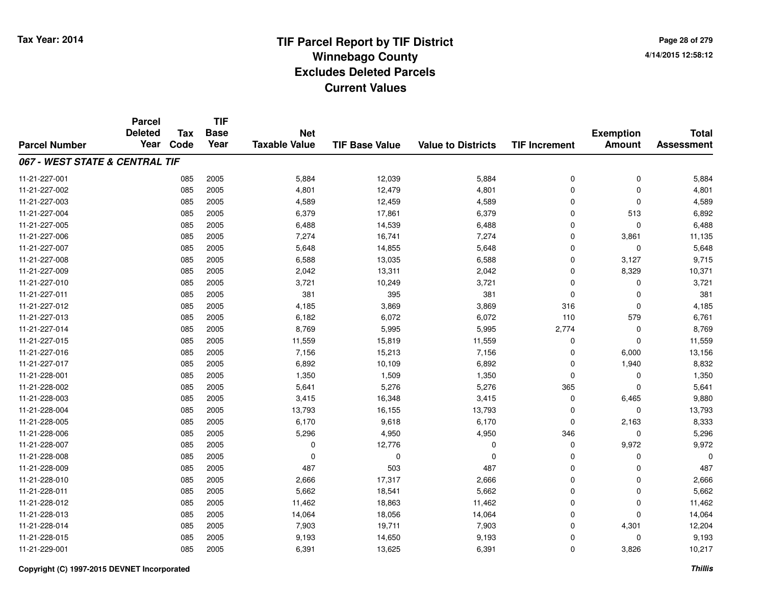**Page 28 of 2794/14/2015 12:58:12**

|                                | <b>Parcel</b>  |            | <b>TIF</b>  |                      |                       |                           |                      |                  |                   |
|--------------------------------|----------------|------------|-------------|----------------------|-----------------------|---------------------------|----------------------|------------------|-------------------|
|                                | <b>Deleted</b> | <b>Tax</b> | <b>Base</b> | <b>Net</b>           |                       |                           |                      | <b>Exemption</b> | <b>Total</b>      |
| <b>Parcel Number</b>           | Year           | Code       | Year        | <b>Taxable Value</b> | <b>TIF Base Value</b> | <b>Value to Districts</b> | <b>TIF Increment</b> | <b>Amount</b>    | <b>Assessment</b> |
| 067 - WEST STATE & CENTRAL TIF |                |            |             |                      |                       |                           |                      |                  |                   |
| 11-21-227-001                  |                | 085        | 2005        | 5,884                | 12,039                | 5,884                     | 0                    | 0                | 5,884             |
| 11-21-227-002                  |                | 085        | 2005        | 4,801                | 12,479                | 4,801                     | $\mathbf 0$          | $\Omega$         | 4,801             |
| 11-21-227-003                  |                | 085        | 2005        | 4,589                | 12,459                | 4,589                     | 0                    | $\Omega$         | 4,589             |
| 11-21-227-004                  |                | 085        | 2005        | 6,379                | 17,861                | 6,379                     | 0                    | 513              | 6,892             |
| 11-21-227-005                  |                | 085        | 2005        | 6,488                | 14,539                | 6,488                     | 0                    | $\mathbf 0$      | 6,488             |
| 11-21-227-006                  |                | 085        | 2005        | 7,274                | 16,741                | 7,274                     | 0                    | 3,861            | 11,135            |
| 11-21-227-007                  |                | 085        | 2005        | 5,648                | 14,855                | 5,648                     | 0                    | $\mathbf 0$      | 5,648             |
| 11-21-227-008                  |                | 085        | 2005        | 6,588                | 13,035                | 6,588                     | $\mathbf 0$          | 3,127            | 9,715             |
| 11-21-227-009                  |                | 085        | 2005        | 2,042                | 13,311                | 2,042                     | 0                    | 8,329            | 10,371            |
| 11-21-227-010                  |                | 085        | 2005        | 3,721                | 10,249                | 3,721                     | 0                    | $\Omega$         | 3,721             |
| 11-21-227-011                  |                | 085        | 2005        | 381                  | 395                   | 381                       | 0                    | $\Omega$         | 381               |
| 11-21-227-012                  |                | 085        | 2005        | 4,185                | 3,869                 | 3,869                     | 316                  | $\mathbf 0$      | 4,185             |
| 11-21-227-013                  |                | 085        | 2005        | 6,182                | 6,072                 | 6,072                     | 110                  | 579              | 6,761             |
| 11-21-227-014                  |                | 085        | 2005        | 8,769                | 5,995                 | 5,995                     | 2,774                | $\mathbf 0$      | 8,769             |
| 11-21-227-015                  |                | 085        | 2005        | 11,559               | 15,819                | 11,559                    | 0                    | $\mathbf 0$      | 11,559            |
| 11-21-227-016                  |                | 085        | 2005        | 7,156                | 15,213                | 7,156                     | 0                    | 6,000            | 13,156            |
| 11-21-227-017                  |                | 085        | 2005        | 6,892                | 10,109                | 6,892                     | 0                    | 1,940            | 8,832             |
| 11-21-228-001                  |                | 085        | 2005        | 1,350                | 1,509                 | 1,350                     | 0                    | 0                | 1,350             |
| 11-21-228-002                  |                | 085        | 2005        | 5,641                | 5,276                 | 5,276                     | 365                  | 0                | 5,641             |
| 11-21-228-003                  |                | 085        | 2005        | 3,415                | 16,348                | 3,415                     | 0                    | 6,465            | 9,880             |
| 11-21-228-004                  |                | 085        | 2005        | 13,793               | 16,155                | 13,793                    | 0                    | $\mathbf 0$      | 13,793            |
| 11-21-228-005                  |                | 085        | 2005        | 6,170                | 9,618                 | 6,170                     | 0                    | 2,163            | 8,333             |
| 11-21-228-006                  |                | 085        | 2005        | 5,296                | 4,950                 | 4,950                     | 346                  | $\mathbf 0$      | 5,296             |
| 11-21-228-007                  |                | 085        | 2005        | 0                    | 12,776                | 0                         | 0                    | 9,972            | 9,972             |
| 11-21-228-008                  |                | 085        | 2005        | 0                    | $\mathbf 0$           | $\Omega$                  | 0                    | 0                | $\Omega$          |
| 11-21-228-009                  |                | 085        | 2005        | 487                  | 503                   | 487                       | 0                    | $\mathbf 0$      | 487               |
| 11-21-228-010                  |                | 085        | 2005        | 2,666                | 17,317                | 2,666                     | 0                    | $\mathbf 0$      | 2,666             |
| 11-21-228-011                  |                | 085        | 2005        | 5,662                | 18,541                | 5,662                     | 0                    | 0                | 5,662             |
| 11-21-228-012                  |                | 085        | 2005        | 11,462               | 18,863                | 11,462                    | 0                    | $\mathbf 0$      | 11,462            |
| 11-21-228-013                  |                | 085        | 2005        | 14,064               | 18,056                | 14,064                    | 0                    | $\Omega$         | 14,064            |
| 11-21-228-014                  |                | 085        | 2005        | 7,903                | 19,711                | 7,903                     | 0                    | 4,301            | 12,204            |
| 11-21-228-015                  |                | 085        | 2005        | 9,193                | 14,650                | 9,193                     | 0                    | $\Omega$         | 9,193             |
| 11-21-229-001                  |                | 085        | 2005        | 6,391                | 13,625                | 6,391                     | 0                    | 3,826            | 10,217            |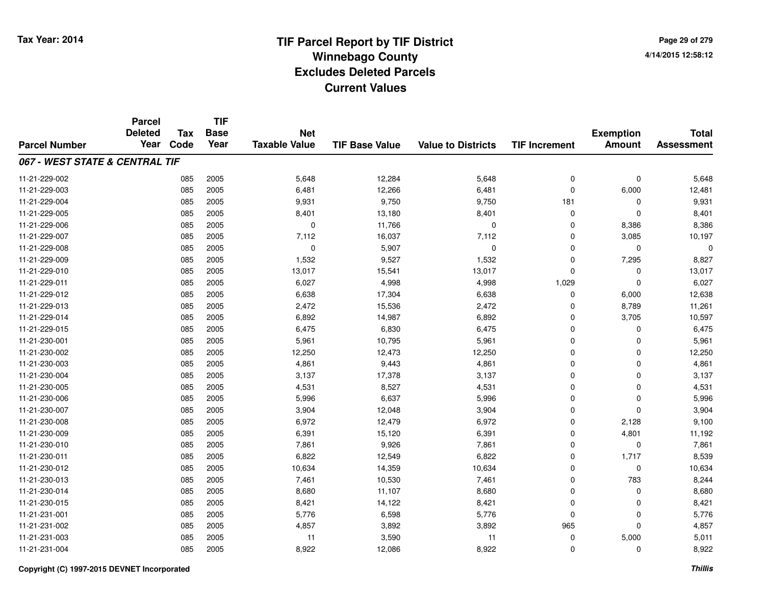|                                | <b>Parcel</b><br><b>Deleted</b> | <b>Tax</b> | <b>TIF</b><br><b>Base</b> | <b>Net</b>           |                       |                           |                      | <b>Exemption</b> | <b>Total</b>      |
|--------------------------------|---------------------------------|------------|---------------------------|----------------------|-----------------------|---------------------------|----------------------|------------------|-------------------|
| <b>Parcel Number</b>           | Year                            | Code       | Year                      | <b>Taxable Value</b> | <b>TIF Base Value</b> | <b>Value to Districts</b> | <b>TIF Increment</b> | <b>Amount</b>    | <b>Assessment</b> |
| 067 - WEST STATE & CENTRAL TIF |                                 |            |                           |                      |                       |                           |                      |                  |                   |
| 11-21-229-002                  |                                 | 085        | 2005                      | 5,648                | 12,284                | 5,648                     | $\mathbf 0$          | $\mathbf 0$      | 5,648             |
| 11-21-229-003                  |                                 | 085        | 2005                      | 6,481                | 12,266                | 6,481                     | $\Omega$             | 6,000            | 12,481            |
| 11-21-229-004                  |                                 | 085        | 2005                      | 9,931                | 9,750                 | 9,750                     | 181                  | 0                | 9,931             |
| 11-21-229-005                  |                                 | 085        | 2005                      | 8,401                | 13,180                | 8,401                     | $\mathbf 0$          | $\mathbf 0$      | 8,401             |
| 11-21-229-006                  |                                 | 085        | 2005                      | $\mathbf 0$          | 11,766                | $\mathbf 0$               | $\mathbf 0$          | 8,386            | 8,386             |
| 11-21-229-007                  |                                 | 085        | 2005                      | 7,112                | 16,037                | 7,112                     | $\Omega$             | 3,085            | 10,197            |
| 11-21-229-008                  |                                 | 085        | 2005                      | $\mathbf 0$          | 5,907                 | $\mathbf 0$               | $\mathbf 0$          | $\mathbf 0$      |                   |
| 11-21-229-009                  |                                 | 085        | 2005                      | 1,532                | 9,527                 | 1,532                     | $\mathbf 0$          | 7,295            | 8,827             |
| 11-21-229-010                  |                                 | 085        | 2005                      | 13,017               | 15,541                | 13,017                    | $\Omega$             | 0                | 13,017            |
| 11-21-229-011                  |                                 | 085        | 2005                      | 6,027                | 4,998                 | 4,998                     | 1,029                | $\mathbf 0$      | 6,027             |
| 11-21-229-012                  |                                 | 085        | 2005                      | 6,638                | 17,304                | 6,638                     | $\Omega$             | 6,000            | 12,638            |
| 11-21-229-013                  |                                 | 085        | 2005                      | 2,472                | 15,536                | 2,472                     | $\mathbf 0$          | 8,789            | 11,261            |
| 11-21-229-014                  |                                 | 085        | 2005                      | 6,892                | 14,987                | 6,892                     | $\Omega$             | 3,705            | 10,597            |
| 11-21-229-015                  |                                 | 085        | 2005                      | 6,475                | 6,830                 | 6,475                     | 0                    | 0                | 6,475             |
| 11-21-230-001                  |                                 | 085        | 2005                      | 5,961                | 10,795                | 5,961                     | $\Omega$             | $\mathbf 0$      | 5,961             |
| 11-21-230-002                  |                                 | 085        | 2005                      | 12,250               | 12,473                | 12,250                    | 0                    | 0                | 12,250            |
| 11-21-230-003                  |                                 | 085        | 2005                      | 4,861                | 9,443                 | 4,861                     | $\Omega$             | $\mathbf 0$      | 4,861             |
| 11-21-230-004                  |                                 | 085        | 2005                      | 3,137                | 17,378                | 3,137                     | $\mathbf 0$          | $\mathbf 0$      | 3,137             |
| 11-21-230-005                  |                                 | 085        | 2005                      | 4,531                | 8,527                 | 4,531                     | $\mathbf 0$          | $\mathbf 0$      | 4,531             |
| 11-21-230-006                  |                                 | 085        | 2005                      | 5,996                | 6,637                 | 5,996                     | $\mathbf 0$          | $\mathbf 0$      | 5,996             |
| 11-21-230-007                  |                                 | 085        | 2005                      | 3,904                | 12,048                | 3,904                     | $\mathbf 0$          | $\mathbf 0$      | 3,904             |
| 11-21-230-008                  |                                 | 085        | 2005                      | 6,972                | 12,479                | 6,972                     | $\mathbf 0$          | 2,128            | 9,100             |
| 11-21-230-009                  |                                 | 085        | 2005                      | 6,391                | 15,120                | 6,391                     | $\mathbf 0$          | 4,801            | 11,192            |
| 11-21-230-010                  |                                 | 085        | 2005                      | 7,861                | 9,926                 | 7,861                     | $\mathbf 0$          | $\mathbf 0$      | 7,861             |
| 11-21-230-011                  |                                 | 085        | 2005                      | 6,822                | 12,549                | 6,822                     | $\mathbf 0$          | 1,717            | 8,539             |
| 11-21-230-012                  |                                 | 085        | 2005                      | 10,634               | 14,359                | 10,634                    | $\mathbf 0$          | $\mathbf 0$      | 10,634            |
| 11-21-230-013                  |                                 | 085        | 2005                      | 7,461                | 10,530                | 7,461                     | $\mathbf 0$          | 783              | 8,244             |
| 11-21-230-014                  |                                 | 085        | 2005                      | 8,680                | 11,107                | 8,680                     | $\mathbf 0$          | $\mathbf 0$      | 8,680             |
| 11-21-230-015                  |                                 | 085        | 2005                      | 8,421                | 14,122                | 8,421                     | $\mathbf 0$          | 0                | 8,421             |
| 11-21-231-001                  |                                 | 085        | 2005                      | 5,776                | 6,598                 | 5,776                     | $\mathbf 0$          | $\mathbf 0$      | 5,776             |
| 11-21-231-002                  |                                 | 085        | 2005                      | 4,857                | 3,892                 | 3,892                     | 965                  | $\mathbf 0$      | 4,857             |
| 11-21-231-003                  |                                 | 085        | 2005                      | 11                   | 3,590                 | 11                        | $\mathbf 0$          | 5,000            | 5,011             |
| 11-21-231-004                  |                                 | 085        | 2005                      | 8,922                | 12,086                | 8,922                     | $\Omega$             | $\mathbf 0$      | 8,922             |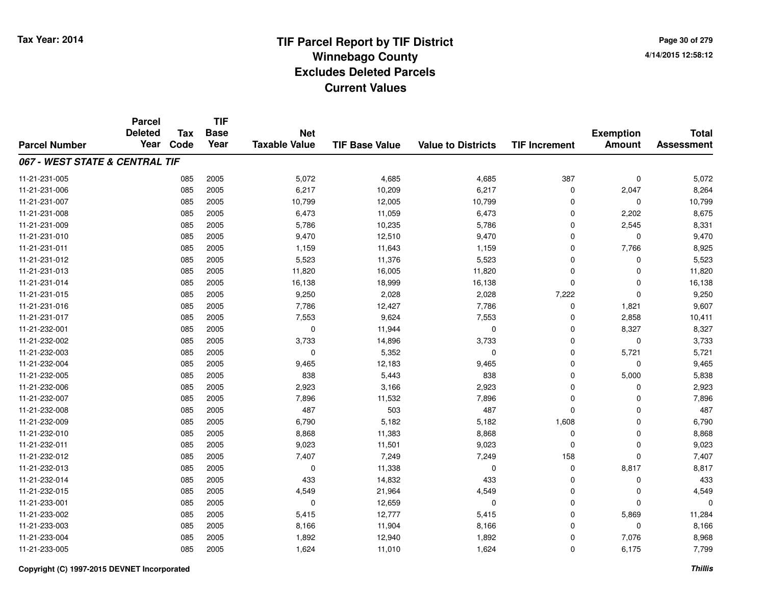**TIF**

**Parcel**

**Page 30 of 2794/14/2015 12:58:12**

| <b>Parcel Number</b>           | <b>Deleted</b><br>Year | Tax<br>Code | <b>Base</b><br>Year | <b>Net</b><br><b>Taxable Value</b> | <b>TIF Base Value</b> | <b>Value to Districts</b> | <b>TIF Increment</b> | <b>Exemption</b><br><b>Amount</b> | <b>Total</b><br><b>Assessment</b> |
|--------------------------------|------------------------|-------------|---------------------|------------------------------------|-----------------------|---------------------------|----------------------|-----------------------------------|-----------------------------------|
| 067 - WEST STATE & CENTRAL TIF |                        |             |                     |                                    |                       |                           |                      |                                   |                                   |
|                                |                        |             |                     |                                    |                       |                           |                      |                                   |                                   |
| 11-21-231-005                  |                        | 085         | 2005                | 5,072                              | 4,685                 | 4,685                     | 387                  | $\mathbf 0$                       | 5,072                             |
| 11-21-231-006                  |                        | 085         | 2005                | 6,217                              | 10,209                | 6,217                     | 0                    | 2,047                             | 8,264                             |
| 11-21-231-007                  |                        | 085         | 2005                | 10,799                             | 12,005                | 10,799                    | 0                    | 0                                 | 10,799                            |
| 11-21-231-008                  |                        | 085         | 2005                | 6,473                              | 11,059                | 6,473                     | 0                    | 2,202                             | 8,675                             |
| 11-21-231-009                  |                        | 085         | 2005                | 5,786                              | 10,235                | 5,786                     | $\mathbf 0$          | 2,545                             | 8,331                             |
| 11-21-231-010                  |                        | 085         | 2005                | 9,470                              | 12,510                | 9,470                     | $\mathbf 0$          | $\Omega$                          | 9,470                             |
| 11-21-231-011                  |                        | 085         | 2005                | 1,159                              | 11,643                | 1,159                     | $\mathbf 0$          | 7,766                             | 8,925                             |
| 11-21-231-012                  |                        | 085         | 2005                | 5,523                              | 11,376                | 5,523                     | $\mathbf 0$          | $\Omega$                          | 5,523                             |
| 11-21-231-013                  |                        | 085         | 2005                | 11,820                             | 16,005                | 11,820                    | 0                    | $\Omega$                          | 11,820                            |
| 11-21-231-014                  |                        | 085         | 2005                | 16,138                             | 18,999                | 16,138                    | 0                    | $\Omega$                          | 16,138                            |
| 11-21-231-015                  |                        | 085         | 2005                | 9,250                              | 2,028                 | 2,028                     | 7,222                | $\Omega$                          | 9,250                             |
| 11-21-231-016                  |                        | 085         | 2005                | 7,786                              | 12,427                | 7,786                     | $\mathbf 0$          | 1,821                             | 9,607                             |
| 11-21-231-017                  |                        | 085         | 2005                | 7,553                              | 9,624                 | 7,553                     | $\mathbf 0$          | 2,858                             | 10,411                            |
| 11-21-232-001                  |                        | 085         | 2005                | 0                                  | 11,944                | $\mathbf 0$               | 0                    | 8,327                             | 8,327                             |
| 11-21-232-002                  |                        | 085         | 2005                | 3,733                              | 14,896                | 3,733                     | 0                    | 0                                 | 3,733                             |
| 11-21-232-003                  |                        | 085         | 2005                | 0                                  | 5,352                 | 0                         | 0                    | 5,721                             | 5,721                             |
| 11-21-232-004                  |                        | 085         | 2005                | 9,465                              | 12,183                | 9,465                     | 0                    | 0                                 | 9,465                             |
| 11-21-232-005                  |                        | 085         | 2005                | 838                                | 5,443                 | 838                       | 0                    | 5,000                             | 5,838                             |
| 11-21-232-006                  |                        | 085         | 2005                | 2,923                              | 3,166                 | 2,923                     | $\mathbf 0$          | $\Omega$                          | 2,923                             |
| 11-21-232-007                  |                        | 085         | 2005                | 7,896                              | 11,532                | 7,896                     | $\mathbf 0$          | $\Omega$                          | 7,896                             |
| 11-21-232-008                  |                        | 085         | 2005                | 487                                | 503                   | 487                       | $\mathbf 0$          | $\Omega$                          | 487                               |
| 11-21-232-009                  |                        | 085         | 2005                | 6,790                              | 5,182                 | 5,182                     | 1,608                | 0                                 | 6,790                             |
| 11-21-232-010                  |                        | 085         | 2005                | 8,868                              | 11,383                | 8,868                     | 0                    | 0                                 | 8,868                             |
| 11-21-232-011                  |                        | 085         | 2005                | 9,023                              | 11,501                | 9,023                     | $\mathbf 0$          | 0                                 | 9,023                             |
| 11-21-232-012                  |                        | 085         | 2005                | 7,407                              | 7,249                 | 7,249                     | 158                  | $\Omega$                          | 7,407                             |
| 11-21-232-013                  |                        | 085         | 2005                | 0                                  | 11,338                | $\Omega$                  | 0                    | 8,817                             | 8,817                             |
| 11-21-232-014                  |                        | 085         | 2005                | 433                                | 14,832                | 433                       | $\mathbf 0$          | $\Omega$                          | 433                               |
| 11-21-232-015                  |                        | 085         | 2005                | 4,549                              | 21,964                | 4,549                     | $\mathbf 0$          | $\Omega$                          | 4,549                             |
| 11-21-233-001                  |                        | 085         | 2005                | 0                                  | 12,659                | 0                         | 0                    | $\Omega$                          | 0                                 |
| 11-21-233-002                  |                        | 085         | 2005                | 5,415                              | 12,777                | 5,415                     | $\mathbf 0$          | 5,869                             | 11,284                            |
| 11-21-233-003                  |                        | 085         | 2005                | 8,166                              | 11,904                | 8,166                     | 0                    | 0                                 | 8,166                             |
| 11-21-233-004                  |                        | 085         | 2005                | 1,892                              | 12,940                | 1,892                     | 0                    | 7,076                             | 8,968                             |
| 11-21-233-005                  |                        | 085         | 2005                | 1,624                              | 11,010                | 1,624                     | 0                    | 6,175                             | 7,799                             |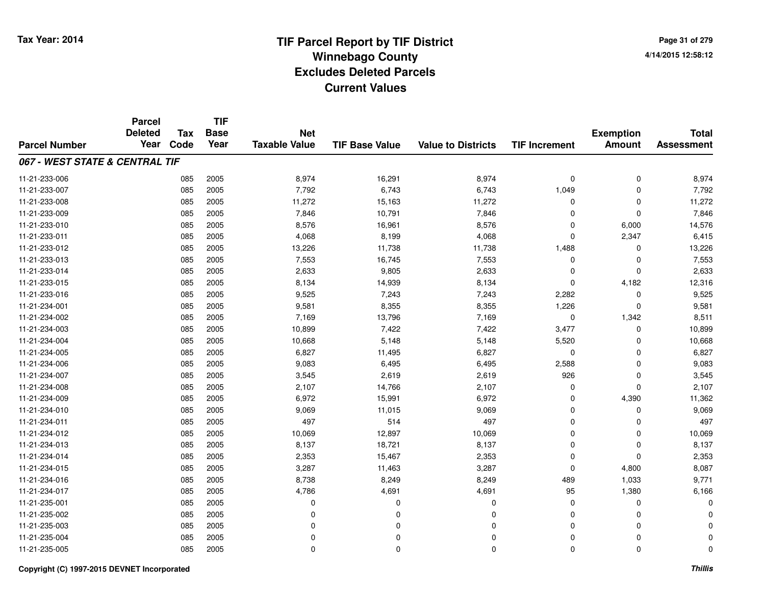**Page 31 of 2794/14/2015 12:58:12**

#### **TIF Base ValueParcel NumberTotal AssessmentExemption Amount Value to Districts TIF IncrementTIF Base YearTax CodeParcel Deleted YearNet Taxable Value067 - WEST STATE & CENTRAL TIF**11-21-233-006 <sup>085</sup> 8,974 <sup>2005</sup> 16,291 8,974 <sup>0</sup> <sup>0</sup> 8,974 11-21-233-007 <sup>085</sup> 7,792 <sup>2005</sup> 6,743 6,743 1,049 <sup>0</sup> 7,792 11-21-233-008 <sup>085</sup> 11,272 <sup>2005</sup> 15,163 11,272 <sup>0</sup> <sup>0</sup> 11,272 11-21-233-0099 085 2005 7,846 10,791 7,846 0 0 7,846 11-21-233-0100 085 2005 8,576 16,961 8,576 0 6,000 14,576 11-21-233-0111 085 2005 4,068 8,199 4,068 0 2,347 6,415 11-21-233-012 <sup>085</sup> 13,226 <sup>2005</sup> 11,738 11,738 1,488 <sup>0</sup> 13,226 11-21-233-0133 085 2005 7,553 16,745 7,553 0 7,553 11-21-233-0144 085 2005 2,633 9,805 2,633 0 2,633 11-21-233-015 <sup>085</sup> 8,134 <sup>2005</sup> 14,939 8,134 <sup>0</sup> 4,182 12,316 11-21-233-0166 085 2005 9,525 7,243 7,243 2,282 0 9,525 11-21-234-0011 085 2005 9,581 8,355 8,355 1,226 0 9,581 11-21-234-0022 085 2005 7,169 13,796 7,169 0 1,342 8,511 11-21-234-003 <sup>085</sup> 10,899 <sup>2005</sup> 7,422 7,422 3,477 <sup>0</sup> 10,899 11-21-234-004 <sup>085</sup> 10,668 <sup>2005</sup> 5,148 5,148 5,520 <sup>0</sup> 10,668 11-21-234-005 <sup>085</sup> 6,827 <sup>2005</sup> 11,495 6,827 <sup>0</sup> <sup>0</sup> 6,827 11-21-234-006 <sup>085</sup> 9,083 <sup>2005</sup> 6,495 6,495 2,588 <sup>0</sup> 9,083 11-21-234-0077 085 2005 3,545 2,619 2,619 926 0 3,545 11-21-234-0088 085 2005 2,107 14,766 2,107 0 0 2,107 11-21-234-0099 085 2005 6,972 15,991 6,972 0 4,390 11,362 11-21-234-010 <sup>085</sup> 9,069 <sup>2005</sup> 11,015 9,069 <sup>0</sup> <sup>0</sup> 9,069 11-21-234-0111 085 2005 497 514 497 0 0 497 11-21-234-0122 085 2005 10,069 12,897 10,069 0 0 10,069 11-21-234-013 <sup>085</sup> 8,137 <sup>2005</sup> 18,721 8,137 <sup>0</sup> <sup>0</sup> 8,137 11-21-234-014 <sup>085</sup> 2,353 <sup>2005</sup> 15,467 2,353 <sup>0</sup> <sup>0</sup> 2,353 11-21-234-015 <sup>085</sup> 3,287 <sup>2005</sup> 11,463 3,287 <sup>0</sup> 4,800 8,087 11-21-234-016 <sup>085</sup> 8,738 <sup>2005</sup> 8,249 8,249 <sup>489</sup> 1,033 9,771 11-21-234-017 <sup>085</sup> 4,786 <sup>2005</sup> 4,691 4,691 <sup>95</sup> 1,380 6,166 11-21-235-001 <sup>085</sup> <sup>0</sup> <sup>2005</sup> <sup>0</sup> <sup>0</sup> <sup>0</sup> <sup>0</sup> <sup>0</sup> 11-21-235-002 <sup>085</sup> <sup>0</sup> <sup>2005</sup> <sup>0</sup> <sup>0</sup> <sup>0</sup> <sup>0</sup> <sup>0</sup> 11-21-235-003 <sup>085</sup> <sup>0</sup> <sup>2005</sup> <sup>0</sup> <sup>0</sup> <sup>0</sup> <sup>0</sup> <sup>0</sup> 11-21-235-004 <sup>085</sup> <sup>0</sup> <sup>2005</sup> <sup>0</sup> <sup>0</sup> <sup>0</sup> <sup>0</sup> <sup>0</sup> 11-21-235-005<sup>085</sup> <sup>0</sup> <sup>2005</sup> <sup>0</sup> <sup>0</sup> <sup>0</sup> <sup>0</sup> <sup>0</sup>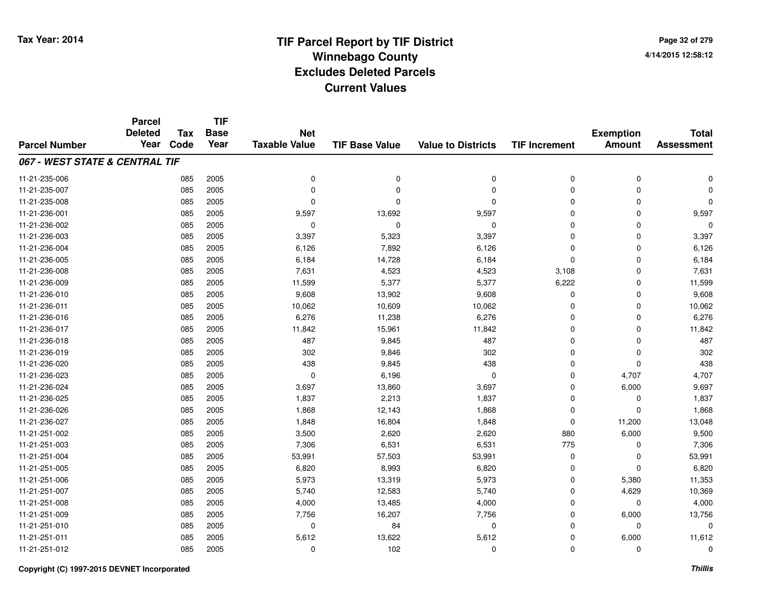**Page 32 of 2794/14/2015 12:58:12**

|                                | <b>Parcel</b><br><b>Deleted</b> | <b>Tax</b> | <b>TIF</b><br><b>Base</b> | <b>Net</b>           |                       |                           |                      | <b>Exemption</b> | <b>Total</b>      |
|--------------------------------|---------------------------------|------------|---------------------------|----------------------|-----------------------|---------------------------|----------------------|------------------|-------------------|
| <b>Parcel Number</b>           | Year                            | Code       | Year                      | <b>Taxable Value</b> | <b>TIF Base Value</b> | <b>Value to Districts</b> | <b>TIF Increment</b> | <b>Amount</b>    | <b>Assessment</b> |
| 067 - WEST STATE & CENTRAL TIF |                                 |            |                           |                      |                       |                           |                      |                  |                   |
| 11-21-235-006                  |                                 | 085        | 2005                      | 0                    | 0                     | $\mathbf 0$               | 0                    | 0                | $\Omega$          |
| 11-21-235-007                  |                                 | 085        | 2005                      | 0                    | $\Omega$              | $\mathbf 0$               | 0                    | 0                | O                 |
| 11-21-235-008                  |                                 | 085        | 2005                      | 0                    | $\Omega$              | $\Omega$                  | 0                    | $\mathbf 0$      | $\Omega$          |
| 11-21-236-001                  |                                 | 085        | 2005                      | 9,597                | 13,692                | 9,597                     | 0                    | $\mathbf 0$      | 9,597             |
| 11-21-236-002                  |                                 | 085        | 2005                      | 0                    | $\mathbf 0$           | 0                         | 0                    | 0                | $\Omega$          |
| 11-21-236-003                  |                                 | 085        | 2005                      | 3,397                | 5,323                 | 3,397                     | 0                    | $\mathbf 0$      | 3,397             |
| 11-21-236-004                  |                                 | 085        | 2005                      | 6,126                | 7,892                 | 6,126                     | 0                    | $\mathbf 0$      | 6,126             |
| 11-21-236-005                  |                                 | 085        | 2005                      | 6,184                | 14,728                | 6,184                     | $\mathbf 0$          | $\mathbf 0$      | 6,184             |
| 11-21-236-008                  |                                 | 085        | 2005                      | 7,631                | 4,523                 | 4,523                     | 3,108                | $\mathbf 0$      | 7,631             |
| 11-21-236-009                  |                                 | 085        | 2005                      | 11,599               | 5,377                 | 5,377                     | 6,222                | $\mathbf 0$      | 11,599            |
| 11-21-236-010                  |                                 | 085        | 2005                      | 9,608                | 13,902                | 9,608                     | 0                    | $\mathbf 0$      | 9,608             |
| 11-21-236-011                  |                                 | 085        | 2005                      | 10,062               | 10,609                | 10,062                    | 0                    | $\mathbf 0$      | 10,062            |
| 11-21-236-016                  |                                 | 085        | 2005                      | 6,276                | 11,238                | 6,276                     | 0                    | $\mathbf 0$      | 6,276             |
| 11-21-236-017                  |                                 | 085        | 2005                      | 11,842               | 15,961                | 11,842                    | 0                    | 0                | 11,842            |
| 11-21-236-018                  |                                 | 085        | 2005                      | 487                  | 9,845                 | 487                       | 0                    | 0                | 487               |
| 11-21-236-019                  |                                 | 085        | 2005                      | 302                  | 9,846                 | 302                       | 0                    | 0                | 302               |
| 11-21-236-020                  |                                 | 085        | 2005                      | 438                  | 9,845                 | 438                       | 0                    | 0                | 438               |
| 11-21-236-023                  |                                 | 085        | 2005                      | 0                    | 6,196                 | 0                         | 0                    | 4,707            | 4,707             |
| 11-21-236-024                  |                                 | 085        | 2005                      | 3,697                | 13,860                | 3,697                     | 0                    | 6,000            | 9,697             |
| 11-21-236-025                  |                                 | 085        | 2005                      | 1,837                | 2,213                 | 1,837                     | 0                    | 0                | 1,837             |
| 11-21-236-026                  |                                 | 085        | 2005                      | 1,868                | 12,143                | 1,868                     | 0                    | 0                | 1,868             |
| 11-21-236-027                  |                                 | 085        | 2005                      | 1,848                | 16,804                | 1,848                     | 0                    | 11,200           | 13,048            |
| 11-21-251-002                  |                                 | 085        | 2005                      | 3,500                | 2,620                 | 2,620                     | 880                  | 6,000            | 9,500             |
| 11-21-251-003                  |                                 | 085        | 2005                      | 7,306                | 6,531                 | 6,531                     | 775                  | 0                | 7,306             |
| 11-21-251-004                  |                                 | 085        | 2005                      | 53,991               | 57,503                | 53,991                    | 0                    | 0                | 53,991            |
| 11-21-251-005                  |                                 | 085        | 2005                      | 6,820                | 8,993                 | 6,820                     | 0                    | $\mathbf 0$      | 6,820             |
| 11-21-251-006                  |                                 | 085        | 2005                      | 5,973                | 13,319                | 5,973                     | 0                    | 5,380            | 11,353            |
| 11-21-251-007                  |                                 | 085        | 2005                      | 5,740                | 12,583                | 5,740                     | 0                    | 4,629            | 10,369            |
| 11-21-251-008                  |                                 | 085        | 2005                      | 4,000                | 13,485                | 4,000                     | 0                    | 0                | 4,000             |
| 11-21-251-009                  |                                 | 085        | 2005                      | 7,756                | 16,207                | 7,756                     | 0                    | 6,000            | 13,756            |
| 11-21-251-010                  |                                 | 085        | 2005                      | 0                    | 84                    | $\mathbf 0$               | 0                    | 0                | $\mathbf 0$       |
| 11-21-251-011                  |                                 | 085        | 2005                      | 5,612                | 13,622                | 5,612                     | 0                    | 6,000            | 11,612            |
| 11-21-251-012                  |                                 | 085        | 2005                      | 0                    | 102                   | $\mathbf{0}$              | 0                    | $\mathbf 0$      | $\mathbf 0$       |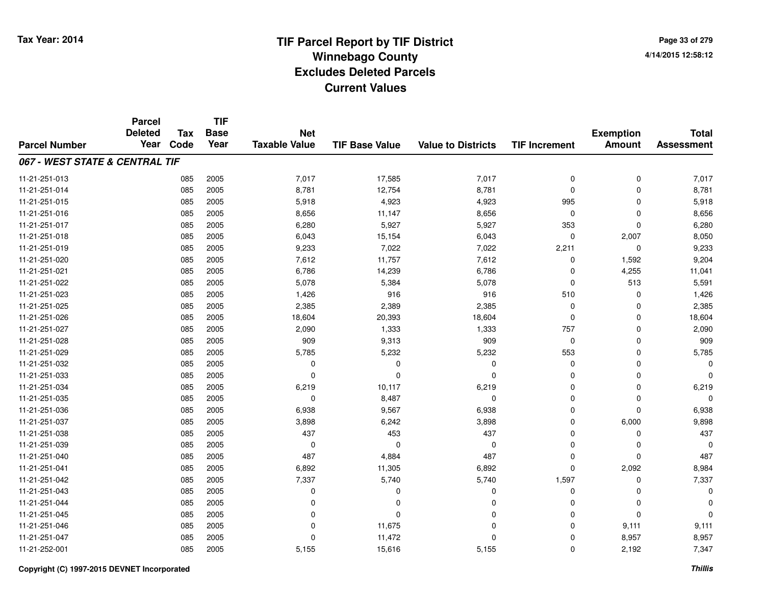|                                | <b>Parcel</b><br><b>Deleted</b> | <b>Tax</b> | <b>TIF</b><br><b>Base</b> | <b>Net</b>           |                       |                           |                      | <b>Exemption</b> | <b>Total</b>      |
|--------------------------------|---------------------------------|------------|---------------------------|----------------------|-----------------------|---------------------------|----------------------|------------------|-------------------|
| <b>Parcel Number</b>           | Year                            | Code       | Year                      | <b>Taxable Value</b> | <b>TIF Base Value</b> | <b>Value to Districts</b> | <b>TIF Increment</b> | <b>Amount</b>    | <b>Assessment</b> |
| 067 - WEST STATE & CENTRAL TIF |                                 |            |                           |                      |                       |                           |                      |                  |                   |
| 11-21-251-013                  |                                 | 085        | 2005                      | 7,017                | 17,585                | 7,017                     | $\mathbf 0$          | $\mathbf 0$      | 7,017             |
| 11-21-251-014                  |                                 | 085        | 2005                      | 8,781                | 12,754                | 8,781                     | $\Omega$             | $\mathbf 0$      | 8,781             |
| 11-21-251-015                  |                                 | 085        | 2005                      | 5,918                | 4,923                 | 4,923                     | 995                  | $\mathbf 0$      | 5,918             |
| 11-21-251-016                  |                                 | 085        | 2005                      | 8,656                | 11,147                | 8,656                     | $\mathbf 0$          | $\mathbf 0$      | 8,656             |
| 11-21-251-017                  |                                 | 085        | 2005                      | 6,280                | 5,927                 | 5,927                     | 353                  | $\mathbf 0$      | 6,280             |
| 11-21-251-018                  |                                 | 085        | 2005                      | 6,043                | 15,154                | 6,043                     | $\mathbf 0$          | 2,007            | 8,050             |
| 11-21-251-019                  |                                 | 085        | 2005                      | 9,233                | 7,022                 | 7,022                     | 2,211                | $\mathbf 0$      | 9,233             |
| 11-21-251-020                  |                                 | 085        | 2005                      | 7,612                | 11,757                | 7,612                     | 0                    | 1,592            | 9,204             |
| 11-21-251-021                  |                                 | 085        | 2005                      | 6,786                | 14,239                | 6,786                     | $\Omega$             | 4,255            | 11,041            |
| 11-21-251-022                  |                                 | 085        | 2005                      | 5,078                | 5,384                 | 5,078                     | $\Omega$             | 513              | 5,591             |
| 11-21-251-023                  |                                 | 085        | 2005                      | 1,426                | 916                   | 916                       | 510                  | $\mathbf 0$      | 1,426             |
| 11-21-251-025                  |                                 | 085        | 2005                      | 2,385                | 2,389                 | 2,385                     | $\mathbf 0$          | $\mathbf 0$      | 2,385             |
| 11-21-251-026                  |                                 | 085        | 2005                      | 18,604               | 20,393                | 18,604                    | $\mathbf 0$          | $\mathbf 0$      | 18,604            |
| 11-21-251-027                  |                                 | 085        | 2005                      | 2,090                | 1,333                 | 1,333                     | 757                  | $\mathbf 0$      | 2,090             |
| 11-21-251-028                  |                                 | 085        | 2005                      | 909                  | 9,313                 | 909                       | $\mathbf 0$          | $\Omega$         | 909               |
| 11-21-251-029                  |                                 | 085        | 2005                      | 5,785                | 5,232                 | 5,232                     | 553                  | $\mathbf 0$      | 5,785             |
| 11-21-251-032                  |                                 | 085        | 2005                      | 0                    | 0                     | $\mathbf 0$               | $\mathbf 0$          | $\mathbf 0$      |                   |
| 11-21-251-033                  |                                 | 085        | 2005                      | 0                    | $\mathbf 0$           | $\mathbf 0$               | $\Omega$             | 0                |                   |
| 11-21-251-034                  |                                 | 085        | 2005                      | 6,219                | 10,117                | 6,219                     | $\mathbf 0$          | $\mathbf 0$      | 6,219             |
| 11-21-251-035                  |                                 | 085        | 2005                      | 0                    | 8,487                 | $\mathbf 0$               | $\mathbf 0$          | 0                |                   |
| 11-21-251-036                  |                                 | 085        | 2005                      | 6,938                | 9,567                 | 6,938                     | $\mathbf 0$          | $\mathbf 0$      | 6,938             |
| 11-21-251-037                  |                                 | 085        | 2005                      | 3,898                | 6,242                 | 3,898                     | $\mathbf 0$          | 6,000            | 9,898             |
| 11-21-251-038                  |                                 | 085        | 2005                      | 437                  | 453                   | 437                       | 0                    | 0                | 437               |
| 11-21-251-039                  |                                 | 085        | 2005                      | $\mathbf 0$          | $\mathbf 0$           | $\mathbf 0$               | $\Omega$             | $\mathbf 0$      | $\Omega$          |
| 11-21-251-040                  |                                 | 085        | 2005                      | 487                  | 4,884                 | 487                       | $\mathbf 0$          | $\mathbf 0$      | 487               |
| 11-21-251-041                  |                                 | 085        | 2005                      | 6,892                | 11,305                | 6,892                     | $\Omega$             | 2,092            | 8,984             |
| 11-21-251-042                  |                                 | 085        | 2005                      | 7,337                | 5,740                 | 5,740                     | 1,597                | $\mathbf 0$      | 7,337             |
| 11-21-251-043                  |                                 | 085        | 2005                      | 0                    | 0                     | 0                         | $\mathbf 0$          | $\mathbf 0$      | $\Omega$          |
| 11-21-251-044                  |                                 | 085        | 2005                      | 0                    | 0                     | $\Omega$                  | $\Omega$             | $\mathbf 0$      |                   |
| 11-21-251-045                  |                                 | 085        | 2005                      | 0                    | $\mathbf 0$           | 0                         | $\mathbf 0$          | $\mathbf 0$      |                   |
| 11-21-251-046                  |                                 | 085        | 2005                      | 0                    | 11,675                | 0                         | $\Omega$             | 9,111            | 9,111             |
| 11-21-251-047                  |                                 | 085        | 2005                      | $\Omega$             | 11,472                | $\mathbf 0$               | $\Omega$             | 8,957            | 8,957             |
| 11-21-252-001                  |                                 | 085        | 2005                      | 5,155                | 15,616                | 5,155                     | $\Omega$             | 2,192            | 7,347             |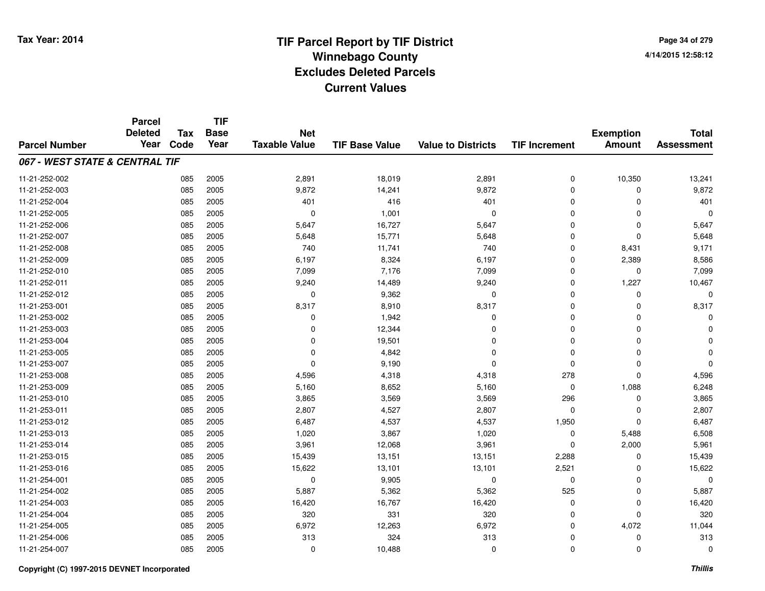**Page 34 of 2794/14/2015 12:58:12**

#### **TIF Base ValueParcel NumberTotal AssessmentExemption Amount Value to Districts TIF IncrementTIF Base YearTax CodeParcel Deleted YearNet Taxable Value067 - WEST STATE & CENTRAL TIF**11-21-252-0022 085 2005 2,891 18,019 2,891 0 10,350 13,241 11-21-252-003 <sup>085</sup> 9,872 <sup>2005</sup> 14,241 9,872 <sup>0</sup> <sup>0</sup> 9,872 11-21-252-004 <sup>085</sup> <sup>401</sup> <sup>2005</sup> <sup>416</sup> <sup>401</sup> <sup>0</sup> <sup>0</sup> <sup>401</sup> 11-21-252-005 <sup>085</sup> <sup>0</sup> <sup>2005</sup> 1,001 <sup>0</sup> <sup>0</sup> <sup>0</sup> <sup>0</sup> 11-21-252-006 <sup>085</sup> 5,647 <sup>2005</sup> 16,727 5,647 <sup>0</sup> <sup>0</sup> 5,647 11-21-252-0077 085 2005 5,648 15,771 5,648 0 5,648 11-21-252-008 <sup>085</sup> <sup>740</sup> <sup>2005</sup> 11,741 <sup>740</sup> <sup>0</sup> 8,431 9,171 11-21-252-0099 085 2005 6,197 8,324 6,197 0 2,389 8,586 11-21-252-010 <sup>085</sup> 7,099 <sup>2005</sup> 7,176 7,099 <sup>0</sup> <sup>0</sup> 7,099 11-21-252-011 <sup>085</sup> 9,240 <sup>2005</sup> 14,489 9,240 <sup>0</sup> 1,227 10,467 11-21-252-012 $2$  085 2005 0 0 9,362 0 0 0 0 0 0 11-21-253-0011 085 2005 8,317 8,910 8,317 0 0 8,317 11-21-253-002 $2$  085 2005 0 0  $1,942$  0 0 0 0 0 11-21-253-0033 085 2005 0 12,344 0 0 0 0 11-21-253-004 <sup>085</sup> <sup>0</sup> <sup>2005</sup> 19,501 <sup>0</sup> <sup>0</sup> <sup>0</sup> <sup>0</sup> 11-21-253-005 <sup>085</sup> <sup>0</sup> <sup>2005</sup> 4,842 <sup>0</sup> <sup>0</sup> <sup>0</sup> <sup>0</sup> 11-21-253-007 $7$  085 2005 0 0 9,190 0 0 0 0 0 0 0 0 11-21-253-008 <sup>085</sup> 4,596 <sup>2005</sup> 4,318 4,318 <sup>278</sup> <sup>0</sup> 4,596 11-21-253-0099 085 2005 5,160 8,652 5,160 0 1,088 6,248 11-21-253-0100 085 2005 3,865 3,569 3,569 296 0 3,865 11-21-253-0111 085 2005 2,807 4,527 2,807 0 0 2,807 11-21-253-0122 085 2005 6,487 4,537 4,537 1,950 0 6,487 11-21-253-0133 085 2005 1,020 3,867 1,020 0 5,488 6,508 11-21-253-014 <sup>085</sup> 3,961 <sup>2005</sup> 12,068 3,961 <sup>0</sup> 2,000 5,961 11-21-253-015 <sup>085</sup> 15,439 <sup>2005</sup> 13,151 13,151 2,288 <sup>0</sup> 15,439 11-21-253-016 <sup>085</sup> 15,622 <sup>2005</sup> 13,101 13,101 2,521 <sup>0</sup> 15,622 11-21-254-0011 085 2005 0 9,905 0 0 0 0 11-21-254-002 <sup>085</sup> 5,887 <sup>2005</sup> 5,362 5,362 <sup>525</sup> <sup>0</sup> 5,887 11-21-254-0033 085 2005 16,420 16,767 16,420 0 0 16,420 11-21-254-0044 20 2005 2005 2007 320 320 331 3320 3320 0 320 0 320 11-21-254-005 <sup>085</sup> 6,972 <sup>2005</sup> 12,263 6,972 <sup>0</sup> 4,072 11,044 11-21-254-006 <sup>085</sup> <sup>313</sup> <sup>2005</sup> <sup>324</sup> <sup>313</sup> <sup>0</sup> <sup>0</sup> <sup>313</sup> 11-21-254-007<sup>085</sup> <sup>0</sup> <sup>2005</sup> 10,488 <sup>0</sup> <sup>0</sup> <sup>0</sup> <sup>0</sup>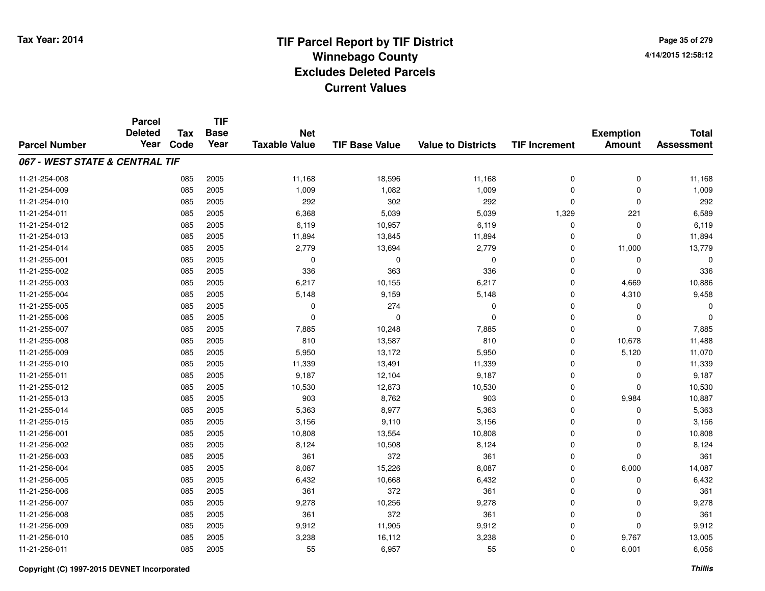**TIF**

**Parcel**

**Page 35 of 2794/14/2015 12:58:12**

#### **TIF Base ValueParcel NumberTotal AssessmentExemption Amount Value to Districts TIF Increment Base YearTax Code Deleted YearNet Taxable Value067 - WEST STATE & CENTRAL TIF**11-21-254-008 <sup>085</sup> 11,168 <sup>2005</sup> 18,596 11,168 <sup>0</sup> <sup>0</sup> 11,168 11-21-254-0099 085 2005 1,009 1,082 1,009 0 0 1,009 11-21-254-0100 085 2005 292 302 292 0 0 292 11-21-254-011 <sup>085</sup> 6,368 <sup>2005</sup> 5,039 5,039 1,329 <sup>221</sup> 6,589 11-21-254-0122 085 2005 6,119 10,957 6,119 0 0 6,119 11-21-254-0133 085 2005 11,894 13,845 11,894 0 11,894 11-21-254-014 <sup>085</sup> 2,779 <sup>2005</sup> 13,694 2,779 <sup>0</sup> 11,000 13,779 11-21-255-001 <sup>085</sup> <sup>0</sup> <sup>2005</sup> <sup>0</sup> <sup>0</sup> <sup>0</sup> <sup>0</sup> <sup>0</sup> 11-21-255-002 <sup>085</sup> <sup>336</sup> <sup>2005</sup> <sup>363</sup> <sup>336</sup> <sup>0</sup> <sup>0</sup> <sup>336</sup> 11-21-255-0033 085 2005 6,217 10,155 6,217 0 4,669 10,886 11-21-255-004 <sup>085</sup> 5,148 <sup>2005</sup> 9,159 5,148 <sup>0</sup> 4,310 9,458 11-21-255-005 <sup>085</sup> <sup>0</sup> <sup>2005</sup> <sup>274</sup> <sup>0</sup> <sup>0</sup> <sup>0</sup> <sup>0</sup> 11-21-255-006 <sup>085</sup> <sup>0</sup> <sup>2005</sup> <sup>0</sup> <sup>0</sup> <sup>0</sup> <sup>0</sup> <sup>0</sup> 11-21-255-0077 085 2005 7,885 10,248 7,885 0 7,885 11-21-255-008 <sup>085</sup> <sup>810</sup> <sup>2005</sup> 13,587 <sup>810</sup> <sup>0</sup> 10,678 11,488 11-21-255-009 <sup>085</sup> 5,950 <sup>2005</sup> 13,172 5,950 <sup>0</sup> 5,120 11,070 11-21-255-0100 085 2005 11,339 13,491 11,339 0 11,339 11-21-255-0111 085 2005 9,187 12,104 9,187 0 0 9,187 11-21-255-0122 085 2005 10,530 12,873 10,530 0 0 10,530 11-21-255-0133 085 2005 903 8,762 903 0 9,984 10,887 11-21-255-014 <sup>085</sup> 5,363 <sup>2005</sup> 8,977 5,363 <sup>0</sup> <sup>0</sup> 5,363 11-21-255-015 <sup>085</sup> 3,156 <sup>2005</sup> 9,110 3,156 <sup>0</sup> <sup>0</sup> 3,156 11-21-256-0011 085 2005 10,808 13,554 10,808 0 0 10,808 11-21-256-0022 085 2005 8,124 10,508 8,124 0 0 8,124 11-21-256-0033 085 2005 361 372 361 0 0 361 11-21-256-004 <sup>085</sup> 8,087 <sup>2005</sup> 15,226 8,087 <sup>0</sup> 6,000 14,087 11-21-256-0055 085 2005 6,432 10,668 6,432 0 0 6,432 11-21-256-0066 085 2005 361 372 361 0 0 361 11-21-256-007 <sup>085</sup> 9,278 <sup>2005</sup> 10,256 9,278 <sup>0</sup> <sup>0</sup> 9,278 11-21-256-008 <sup>085</sup> <sup>361</sup> <sup>2005</sup> <sup>372</sup> <sup>361</sup> <sup>0</sup> <sup>0</sup> <sup>361</sup> 11-21-256-0099 085 2005 9,912 11,905 9,912 0 0 9,912 11-21-256-0100 085 2005 3,238 16,112 3,238 0 9,767 13,005 11-21-256-0111 085 2005 55 6,957 55 0 6,001 6,056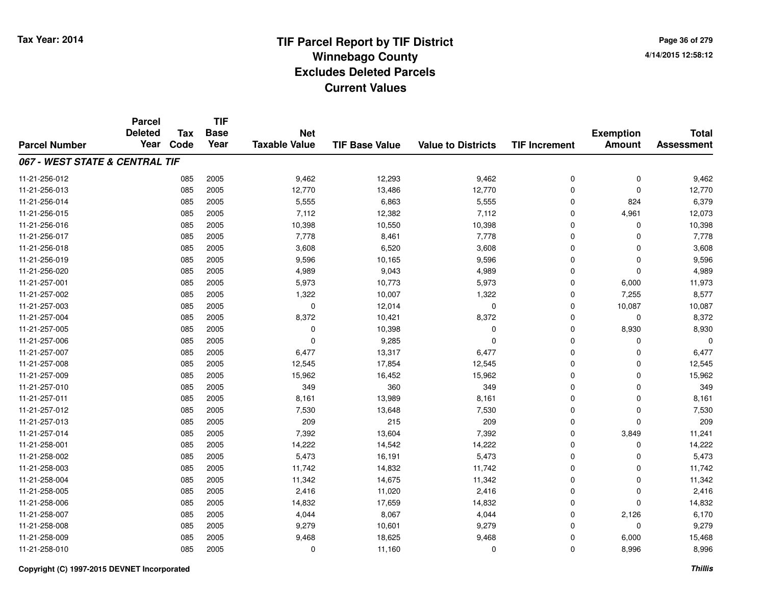**Page 36 of 2794/14/2015 12:58:12**

|                                | <b>Parcel</b>  |            | <b>TIF</b>  |                      |                       |                           |                      |                  |                   |
|--------------------------------|----------------|------------|-------------|----------------------|-----------------------|---------------------------|----------------------|------------------|-------------------|
|                                | <b>Deleted</b> | <b>Tax</b> | <b>Base</b> | <b>Net</b>           |                       |                           |                      | <b>Exemption</b> | <b>Total</b>      |
| <b>Parcel Number</b>           | Year           | Code       | Year        | <b>Taxable Value</b> | <b>TIF Base Value</b> | <b>Value to Districts</b> | <b>TIF Increment</b> | <b>Amount</b>    | <b>Assessment</b> |
| 067 - WEST STATE & CENTRAL TIF |                |            |             |                      |                       |                           |                      |                  |                   |
| 11-21-256-012                  |                | 085        | 2005        | 9,462                | 12,293                | 9,462                     | 0                    | 0                | 9,462             |
| 11-21-256-013                  |                | 085        | 2005        | 12,770               | 13,486                | 12,770                    | 0                    | $\mathbf 0$      | 12,770            |
| 11-21-256-014                  |                | 085        | 2005        | 5,555                | 6,863                 | 5,555                     | 0                    | 824              | 6,379             |
| 11-21-256-015                  |                | 085        | 2005        | 7,112                | 12,382                | 7,112                     | 0                    | 4,961            | 12,073            |
| 11-21-256-016                  |                | 085        | 2005        | 10,398               | 10,550                | 10,398                    | 0                    | 0                | 10,398            |
| 11-21-256-017                  |                | 085        | 2005        | 7,778                | 8,461                 | 7,778                     | 0                    | $\Omega$         | 7,778             |
| 11-21-256-018                  |                | 085        | 2005        | 3,608                | 6,520                 | 3,608                     | 0                    | $\mathbf 0$      | 3,608             |
| 11-21-256-019                  |                | 085        | 2005        | 9,596                | 10,165                | 9,596                     | 0                    | $\mathbf 0$      | 9,596             |
| 11-21-256-020                  |                | 085        | 2005        | 4,989                | 9,043                 | 4,989                     | 0                    | $\mathbf 0$      | 4,989             |
| 11-21-257-001                  |                | 085        | 2005        | 5,973                | 10,773                | 5,973                     | 0                    | 6,000            | 11,973            |
| 11-21-257-002                  |                | 085        | 2005        | 1,322                | 10,007                | 1,322                     | 0                    | 7,255            | 8,577             |
| 11-21-257-003                  |                | 085        | 2005        | 0                    | 12,014                | $\mathbf 0$               | 0                    | 10,087           | 10,087            |
| 11-21-257-004                  |                | 085        | 2005        | 8,372                | 10,421                | 8,372                     | 0                    | 0                | 8,372             |
| 11-21-257-005                  |                | 085        | 2005        | 0                    | 10,398                | 0                         | 0                    | 8,930            | 8,930             |
| 11-21-257-006                  |                | 085        | 2005        | $\mathbf 0$          | 9,285                 | $\Omega$                  | 0                    | 0                | $\Omega$          |
| 11-21-257-007                  |                | 085        | 2005        | 6,477                | 13,317                | 6,477                     | 0                    | 0                | 6,477             |
| 11-21-257-008                  |                | 085        | 2005        | 12,545               | 17,854                | 12,545                    | 0                    | 0                | 12,545            |
| 11-21-257-009                  |                | 085        | 2005        | 15,962               | 16,452                | 15,962                    | 0                    | $\mathbf 0$      | 15,962            |
| 11-21-257-010                  |                | 085        | 2005        | 349                  | 360                   | 349                       | 0                    | 0                | 349               |
| 11-21-257-011                  |                | 085        | 2005        | 8,161                | 13,989                | 8,161                     | 0                    | 0                | 8,161             |
| 11-21-257-012                  |                | 085        | 2005        | 7,530                | 13,648                | 7,530                     | 0                    | 0                | 7,530             |
| 11-21-257-013                  |                | 085        | 2005        | 209                  | 215                   | 209                       | 0                    | $\mathbf 0$      | 209               |
| 11-21-257-014                  |                | 085        | 2005        | 7,392                | 13,604                | 7,392                     | 0                    | 3,849            | 11,241            |
| 11-21-258-001                  |                | 085        | 2005        | 14,222               | 14,542                | 14,222                    | 0                    | $\mathbf 0$      | 14,222            |
| 11-21-258-002                  |                | 085        | 2005        | 5,473                | 16,191                | 5,473                     | 0                    | 0                | 5,473             |
| 11-21-258-003                  |                | 085        | 2005        | 11,742               | 14,832                | 11,742                    | 0                    | $\Omega$         | 11,742            |
| 11-21-258-004                  |                | 085        | 2005        | 11,342               | 14,675                | 11,342                    | 0                    | $\mathbf 0$      | 11,342            |
| 11-21-258-005                  |                | 085        | 2005        | 2,416                | 11,020                | 2,416                     | 0                    | 0                | 2,416             |
| 11-21-258-006                  |                | 085        | 2005        | 14,832               | 17,659                | 14,832                    | 0                    | 0                | 14,832            |
| 11-21-258-007                  |                | 085        | 2005        | 4,044                | 8,067                 | 4,044                     | 0                    | 2,126            | 6,170             |
| 11-21-258-008                  |                | 085        | 2005        | 9,279                | 10,601                | 9,279                     | 0                    | 0                | 9,279             |
| 11-21-258-009                  |                | 085        | 2005        | 9,468                | 18,625                | 9,468                     | 0                    | 6,000            | 15,468            |
| 11-21-258-010                  |                | 085        | 2005        | 0                    | 11,160                | $\Omega$                  | 0                    | 8,996            | 8,996             |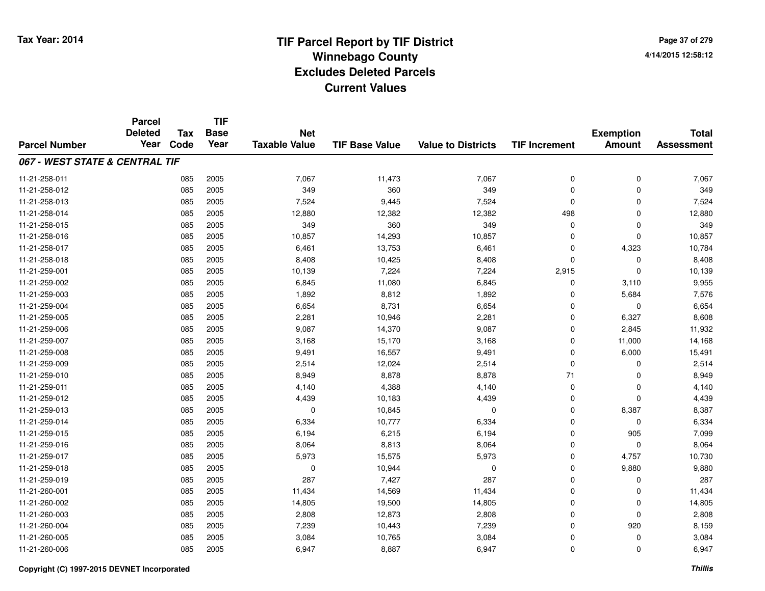**Page 37 of 2794/14/2015 12:58:12**

#### **TIF Base ValueParcel NumberTotal AssessmentExemption Amount Value to Districts TIF IncrementTIF Base YearTax CodeParcel Deleted YearNet Taxable Value067 - WEST STATE & CENTRAL TIF**11-21-258-0111 085 2005 7,067 11,473 7,067 0 0 7,067 11-21-258-012 <sup>085</sup> <sup>349</sup> <sup>2005</sup> <sup>360</sup> <sup>349</sup> <sup>0</sup> <sup>0</sup> <sup>349</sup> 11-21-258-0133 085 2005 7,524 9,445 7,524 0 0 7,524 11-21-258-014 <sup>085</sup> 12,880 <sup>2005</sup> 12,382 12,382 <sup>498</sup> <sup>0</sup> 12,880 11-21-258-015 <sup>085</sup> <sup>349</sup> <sup>2005</sup> <sup>360</sup> <sup>349</sup> <sup>0</sup> <sup>0</sup> <sup>349</sup> 11-21-258-016 <sup>085</sup> 10,857 <sup>2005</sup> 14,293 10,857 <sup>0</sup> <sup>0</sup> 10,857 11-21-258-017 <sup>085</sup> 6,461 <sup>2005</sup> 13,753 6,461 <sup>0</sup> 4,323 10,784 11-21-258-0188 085 2005 8,408 10,425 8,408 0 0 8,408 11-21-259-0011 085 2005 10,139 7,224 7,224 2,915 0 10,139 11-21-259-002 <sup>085</sup> 6,845 <sup>2005</sup> 11,080 6,845 <sup>0</sup> 3,110 9,955 11-21-259-0033 085 2005 1,892 8,812 1,892 0 5,684 7,576 11-21-259-0044 085 2005 6,654 8,731 6,654 0 0 6,654 11-21-259-005 <sup>085</sup> 2,281 <sup>2005</sup> 10,946 2,281 <sup>0</sup> 6,327 8,608 11-21-259-0066 085 2005 9,087 14,370 9,087 0 2,845 11,932 11-21-259-007 <sup>085</sup> 3,168 <sup>2005</sup> 15,170 3,168 <sup>0</sup> 11,000 14,168 11-21-259-008 <sup>085</sup> 9,491 <sup>2005</sup> 16,557 9,491 <sup>0</sup> 6,000 15,491 11-21-259-0099 085 2005 2,514 12,024 2,514 0 0 2,514 11-21-259-0100 085 2005 8,949 8,878 8,878 71 0 8,949 11-21-259-0111 085 2005 4,140 4,388 4,140 0 0 4,140 11-21-259-0122 085 2005 4,439 10,183 4,439 0 0 4,439 11-21-259-013 <sup>085</sup> <sup>0</sup> <sup>2005</sup> 10,845 <sup>0</sup> <sup>0</sup> 8,387 8,387 11-21-259-0144 085 2005 6,334 10,777 6,334 0 0 6,334 11-21-259-015 <sup>085</sup> 6,194 <sup>2005</sup> 6,215 6,194 <sup>0</sup> <sup>905</sup> 7,099 11-21-259-016 <sup>085</sup> 8,064 <sup>2005</sup> 8,813 8,064 <sup>0</sup> <sup>0</sup> 8,064 11-21-259-017 <sup>085</sup> 5,973 <sup>2005</sup> 15,575 5,973 <sup>0</sup> 4,757 10,730 11-21-259-018 <sup>085</sup> <sup>0</sup> <sup>2005</sup> 10,944 <sup>0</sup> <sup>0</sup> 9,880 9,880 11-21-259-0199 085 2005 287 7,427 287 0 0 287 11-21-260-0011 085 2005 11,434 14,569 11,434 0 0 11,434 11-21-260-0022 085 2005 14,805 19,500 14,805 0 14,805 11-21-260-0033 2005 2005 2006 2,808 202,873 2,808 2,808 2,808 2,808 2,808 0 2,808 0 2,808 0 2,808 0 2,808 0 2,808 2,808 2,808 2,808 2,808 2,808 2,808 2,808 2,808 2,808 2,808 2,808 2,808 2,808 2,808 2,808 2,808 2,808 2,808 2,808 2,808 11-21-260-004 <sup>085</sup> 7,239 <sup>2005</sup> 10,443 7,239 <sup>0</sup> <sup>920</sup> 8,159 11-21-260-005 <sup>085</sup> 3,084 <sup>2005</sup> 10,765 3,084 <sup>0</sup> <sup>0</sup> 3,084 11-21-260-006<sup>085</sup> 6,947 <sup>2005</sup> 8,887 6,947 <sup>0</sup> <sup>0</sup> 6,947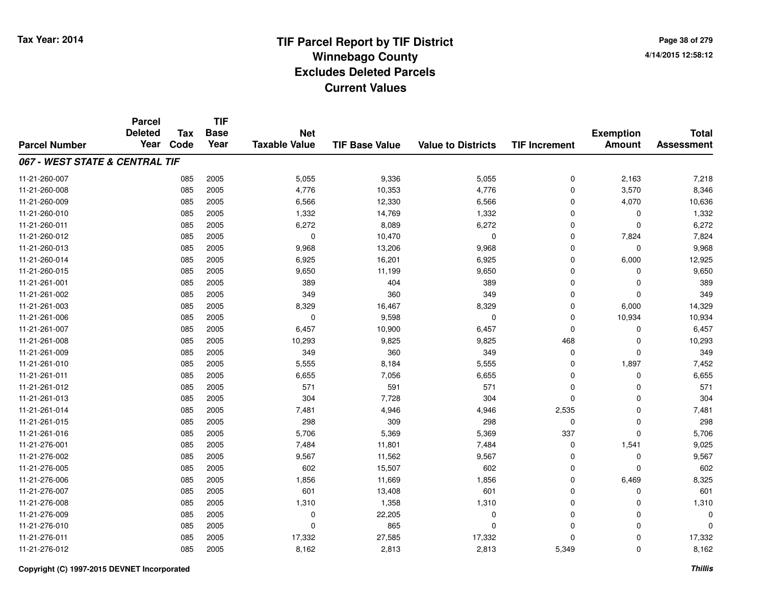**Page 38 of 2794/14/2015 12:58:12**

|                                | <b>Parcel</b>  |            | <b>TIF</b>  |                      |                       |                           |                      |                  |                   |
|--------------------------------|----------------|------------|-------------|----------------------|-----------------------|---------------------------|----------------------|------------------|-------------------|
|                                | <b>Deleted</b> | <b>Tax</b> | <b>Base</b> | <b>Net</b>           |                       |                           |                      | <b>Exemption</b> | <b>Total</b>      |
| <b>Parcel Number</b>           | Year           | Code       | Year        | <b>Taxable Value</b> | <b>TIF Base Value</b> | <b>Value to Districts</b> | <b>TIF Increment</b> | <b>Amount</b>    | <b>Assessment</b> |
| 067 - WEST STATE & CENTRAL TIF |                |            |             |                      |                       |                           |                      |                  |                   |
| 11-21-260-007                  |                | 085        | 2005        | 5,055                | 9,336                 | 5,055                     | 0                    | 2,163            | 7,218             |
| 11-21-260-008                  |                | 085        | 2005        | 4,776                | 10,353                | 4,776                     | 0                    | 3,570            | 8,346             |
| 11-21-260-009                  |                | 085        | 2005        | 6,566                | 12,330                | 6,566                     | 0                    | 4,070            | 10,636            |
| 11-21-260-010                  |                | 085        | 2005        | 1,332                | 14,769                | 1,332                     | 0                    | 0                | 1,332             |
| 11-21-260-011                  |                | 085        | 2005        | 6,272                | 8,089                 | 6,272                     | 0                    | $\Omega$         | 6,272             |
| 11-21-260-012                  |                | 085        | 2005        | $\mathbf 0$          | 10,470                | $\Omega$                  | 0                    | 7,824            | 7,824             |
| 11-21-260-013                  |                | 085        | 2005        | 9,968                | 13,206                | 9,968                     | 0                    | $\Omega$         | 9,968             |
| 11-21-260-014                  |                | 085        | 2005        | 6,925                | 16,201                | 6,925                     | 0                    | 6,000            | 12,925            |
| 11-21-260-015                  |                | 085        | 2005        | 9,650                | 11,199                | 9,650                     | 0                    | 0                | 9,650             |
| 11-21-261-001                  |                | 085        | 2005        | 389                  | 404                   | 389                       | 0                    | $\Omega$         | 389               |
| 11-21-261-002                  |                | 085        | 2005        | 349                  | 360                   | 349                       | 0                    | $\Omega$         | 349               |
| 11-21-261-003                  |                | 085        | 2005        | 8,329                | 16,467                | 8,329                     | 0                    | 6,000            | 14,329            |
| 11-21-261-006                  |                | 085        | 2005        | 0                    | 9,598                 | 0                         | $\mathbf 0$          | 10,934           | 10,934            |
| 11-21-261-007                  |                | 085        | 2005        | 6,457                | 10,900                | 6,457                     | 0                    | 0                | 6,457             |
| 11-21-261-008                  |                | 085        | 2005        | 10,293               | 9,825                 | 9,825                     | 468                  | 0                | 10,293            |
| 11-21-261-009                  |                | 085        | 2005        | 349                  | 360                   | 349                       | 0                    | 0                | 349               |
| 11-21-261-010                  |                | 085        | 2005        | 5,555                | 8,184                 | 5,555                     | 0                    | 1,897            | 7,452             |
| 11-21-261-011                  |                | 085        | 2005        | 6,655                | 7,056                 | 6,655                     | 0                    | $\mathbf 0$      | 6,655             |
| 11-21-261-012                  |                | 085        | 2005        | 571                  | 591                   | 571                       | 0                    | 0                | 571               |
| 11-21-261-013                  |                | 085        | 2005        | 304                  | 7,728                 | 304                       | 0                    | $\mathbf 0$      | 304               |
| 11-21-261-014                  |                | 085        | 2005        | 7,481                | 4,946                 | 4,946                     | 2,535                | 0                | 7,481             |
| 11-21-261-015                  |                | 085        | 2005        | 298                  | 309                   | 298                       | 0                    | $\mathbf 0$      | 298               |
| 11-21-261-016                  |                | 085        | 2005        | 5,706                | 5,369                 | 5,369                     | 337                  | $\mathbf 0$      | 5,706             |
| 11-21-276-001                  |                | 085        | 2005        | 7,484                | 11,801                | 7,484                     | 0                    | 1,541            | 9,025             |
| 11-21-276-002                  |                | 085        | 2005        | 9,567                | 11,562                | 9,567                     | 0                    | 0                | 9,567             |
| 11-21-276-005                  |                | 085        | 2005        | 602                  | 15,507                | 602                       | 0                    | $\Omega$         | 602               |
| 11-21-276-006                  |                | 085        | 2005        | 1,856                | 11,669                | 1,856                     | 0                    | 6,469            | 8,325             |
| 11-21-276-007                  |                | 085        | 2005        | 601                  | 13,408                | 601                       | 0                    | 0                | 601               |
| 11-21-276-008                  |                | 085        | 2005        | 1,310                | 1,358                 | 1,310                     | 0                    | 0                | 1,310             |
| 11-21-276-009                  |                | 085        | 2005        | 0                    | 22,205                | 0                         | 0                    | 0                | 0                 |
| 11-21-276-010                  |                | 085        | 2005        | 0                    | 865                   | $\Omega$                  | 0                    | $\Omega$         | $\Omega$          |
| 11-21-276-011                  |                | 085        | 2005        | 17,332               | 27,585                | 17,332                    | 0                    | 0                | 17,332            |
| 11-21-276-012                  |                | 085        | 2005        | 8,162                | 2,813                 | 2,813                     | 5,349                | $\Omega$         | 8,162             |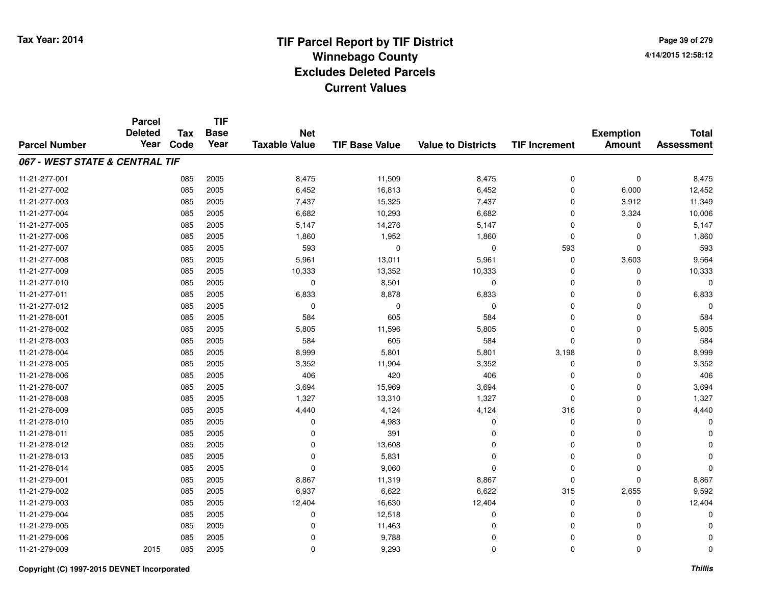**TIF**

**Parcel**

**Page 39 of 2794/14/2015 12:58:12**

| <b>Parcel Number</b>           | <b>Deleted</b><br>Year | <b>Tax</b><br>Code | <b>Base</b><br>Year | <b>Net</b><br><b>Taxable Value</b> | <b>TIF Base Value</b> | <b>Value to Districts</b> | <b>TIF Increment</b> | <b>Exemption</b><br><b>Amount</b> | <b>Total</b><br><b>Assessment</b> |
|--------------------------------|------------------------|--------------------|---------------------|------------------------------------|-----------------------|---------------------------|----------------------|-----------------------------------|-----------------------------------|
|                                |                        |                    |                     |                                    |                       |                           |                      |                                   |                                   |
| 067 - WEST STATE & CENTRAL TIF |                        |                    |                     |                                    |                       |                           |                      |                                   |                                   |
| 11-21-277-001                  |                        | 085                | 2005                | 8,475                              | 11,509                | 8,475                     | 0                    | $\mathbf 0$                       | 8,475                             |
| 11-21-277-002                  |                        | 085                | 2005                | 6,452                              | 16,813                | 6,452                     | 0                    | 6,000                             | 12,452                            |
| 11-21-277-003                  |                        | 085                | 2005                | 7,437                              | 15,325                | 7,437                     | 0                    | 3,912                             | 11,349                            |
| 11-21-277-004                  |                        | 085                | 2005                | 6,682                              | 10,293                | 6,682                     | $\Omega$             | 3,324                             | 10,006                            |
| 11-21-277-005                  |                        | 085                | 2005                | 5,147                              | 14,276                | 5,147                     | $\Omega$             | $\Omega$                          | 5,147                             |
| 11-21-277-006                  |                        | 085                | 2005                | 1,860                              | 1,952                 | 1,860                     | 0                    | $\Omega$                          | 1,860                             |
| 11-21-277-007                  |                        | 085                | 2005                | 593                                | $\mathbf 0$           | 0                         | 593                  | $\Omega$                          | 593                               |
| 11-21-277-008                  |                        | 085                | 2005                | 5,961                              | 13,011                | 5,961                     | 0                    | 3,603                             | 9,564                             |
| 11-21-277-009                  |                        | 085                | 2005                | 10,333                             | 13,352                | 10,333                    | 0                    | $\Omega$                          | 10,333                            |
| 11-21-277-010                  |                        | 085                | 2005                | 0                                  | 8,501                 | 0                         | 0                    | 0                                 | 0                                 |
| 11-21-277-011                  |                        | 085                | 2005                | 6,833                              | 8,878                 | 6,833                     | 0                    | 0                                 | 6,833                             |
| 11-21-277-012                  |                        | 085                | 2005                | $\Omega$                           | $\Omega$              | 0                         | 0                    | $\Omega$                          | $\Omega$                          |
| 11-21-278-001                  |                        | 085                | 2005                | 584                                | 605                   | 584                       | 0                    | 0                                 | 584                               |
| 11-21-278-002                  |                        | 085                | 2005                | 5,805                              | 11,596                | 5,805                     | 0                    | 0                                 | 5,805                             |
| 11-21-278-003                  |                        | 085                | 2005                | 584                                | 605                   | 584                       | $\mathbf 0$          | 0                                 | 584                               |
| 11-21-278-004                  |                        | 085                | 2005                | 8,999                              | 5,801                 | 5,801                     | 3,198                | 0                                 | 8,999                             |
| 11-21-278-005                  |                        | 085                | 2005                | 3,352                              | 11,904                | 3,352                     | 0                    | 0                                 | 3,352                             |
| 11-21-278-006                  |                        | 085                | 2005                | 406                                | 420                   | 406                       | 0                    | 0                                 | 406                               |
| 11-21-278-007                  |                        | 085                | 2005                | 3,694                              | 15,969                | 3,694                     | 0                    | $\Omega$                          | 3,694                             |
| 11-21-278-008                  |                        | 085                | 2005                | 1,327                              | 13,310                | 1,327                     | $\Omega$             | $\Omega$                          | 1,327                             |
| 11-21-278-009                  |                        | 085                | 2005                | 4,440                              | 4,124                 | 4,124                     | 316                  | 0                                 | 4,440                             |
| 11-21-278-010                  |                        | 085                | 2005                | 0                                  | 4,983                 | 0                         | 0                    | 0                                 | 0                                 |
| 11-21-278-011                  |                        | 085                | 2005                | $\Omega$                           | 391                   | 0                         | 0                    | $\Omega$                          |                                   |
| 11-21-278-012                  |                        | 085                | 2005                | $\Omega$                           | 13,608                | 0                         | 0                    | $\Omega$                          |                                   |
| 11-21-278-013                  |                        | 085                | 2005                | $\Omega$                           | 5,831                 | 0                         | 0                    | 0                                 | O                                 |
| 11-21-278-014                  |                        | 085                | 2005                | $\Omega$                           | 9,060                 | $\Omega$                  | $\Omega$             | 0                                 | $\Omega$                          |
| 11-21-279-001                  |                        | 085                | 2005                | 8,867                              | 11,319                | 8,867                     | $\mathbf 0$          | $\Omega$                          | 8,867                             |
| 11-21-279-002                  |                        | 085                | 2005                | 6,937                              | 6,622                 | 6,622                     | 315                  | 2,655                             | 9,592                             |
| 11-21-279-003                  |                        | 085                | 2005                | 12,404                             | 16,630                | 12,404                    | 0                    | $\Omega$                          | 12,404                            |
| 11-21-279-004                  |                        | 085                | 2005                | $\Omega$                           | 12,518                | 0                         | 0                    | $\Omega$                          | $\Omega$                          |
| 11-21-279-005                  |                        | 085                | 2005                | 0                                  | 11,463                | $\Omega$                  | 0                    | $\Omega$                          | n                                 |
| 11-21-279-006                  |                        | 085                | 2005                | $\Omega$                           | 9,788                 | $\Omega$                  | 0                    | 0                                 | $\Omega$                          |
| 11-21-279-009                  | 2015                   | 085                | 2005                | 0                                  | 9,293                 | 0                         | 0                    | 0                                 | 0                                 |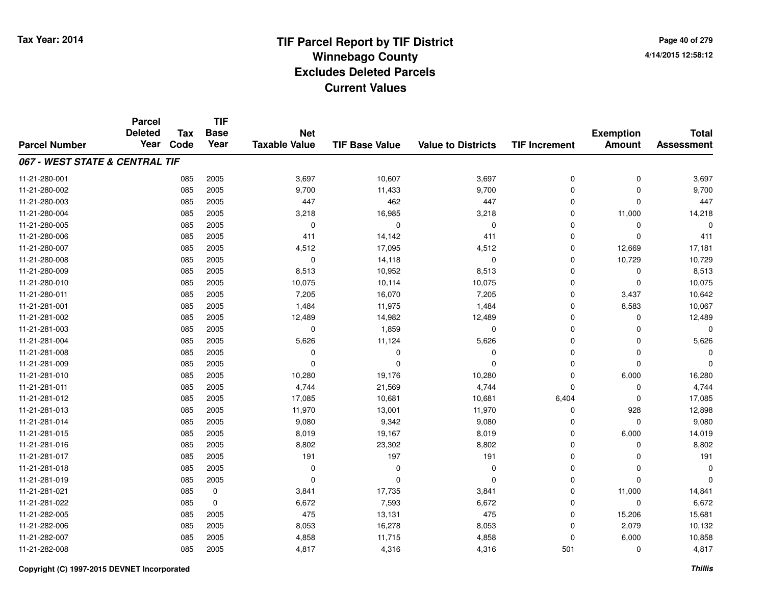**TIF**

**Parcel**

**Page 40 of 2794/14/2015 12:58:12**

| <b>Parcel Number</b>           | <b>Deleted</b><br>Year | <b>Tax</b><br>Code | <b>Base</b><br>Year | <b>Net</b><br><b>Taxable Value</b> | <b>TIF Base Value</b> | <b>Value to Districts</b> | <b>TIF Increment</b> | <b>Exemption</b><br><b>Amount</b> | <b>Total</b><br><b>Assessment</b> |
|--------------------------------|------------------------|--------------------|---------------------|------------------------------------|-----------------------|---------------------------|----------------------|-----------------------------------|-----------------------------------|
| 067 - WEST STATE & CENTRAL TIF |                        |                    |                     |                                    |                       |                           |                      |                                   |                                   |
| 11-21-280-001                  |                        | 085                | 2005                | 3,697                              | 10,607                | 3,697                     | 0                    | 0                                 | 3,697                             |
| 11-21-280-002                  |                        | 085                | 2005                | 9,700                              | 11,433                | 9,700                     | 0                    | $\Omega$                          | 9,700                             |
| 11-21-280-003                  |                        | 085                | 2005                | 447                                | 462                   | 447                       | $\mathbf 0$          | $\Omega$                          | 447                               |
| 11-21-280-004                  |                        | 085                | 2005                | 3,218                              | 16,985                | 3,218                     | 0                    | 11,000                            | 14,218                            |
| 11-21-280-005                  |                        | 085                | 2005                | 0                                  | 0                     | 0                         | 0                    | 0                                 | 0                                 |
| 11-21-280-006                  |                        | 085                | 2005                | 411                                | 14,142                | 411                       | $\mathbf 0$          | $\Omega$                          | 411                               |
| 11-21-280-007                  |                        | 085                | 2005                | 4,512                              | 17,095                | 4,512                     | $\mathbf 0$          | 12,669                            | 17,181                            |
| 11-21-280-008                  |                        | 085                | 2005                | $\mathbf 0$                        | 14,118                | $\mathbf 0$               | $\mathbf 0$          | 10,729                            | 10,729                            |
| 11-21-280-009                  |                        | 085                | 2005                | 8,513                              | 10,952                | 8,513                     | 0                    | 0                                 | 8,513                             |
| 11-21-280-010                  |                        | 085                | 2005                | 10,075                             | 10,114                | 10,075                    | 0                    | $\mathbf 0$                       | 10,075                            |
| 11-21-280-011                  |                        | 085                | 2005                | 7,205                              | 16,070                | 7,205                     | $\mathbf 0$          | 3,437                             | 10,642                            |
| 11-21-281-001                  |                        | 085                | 2005                | 1,484                              | 11,975                | 1,484                     | 0                    | 8,583                             | 10,067                            |
| 11-21-281-002                  |                        | 085                | 2005                | 12,489                             | 14,982                | 12,489                    | 0                    | $\Omega$                          | 12,489                            |
| 11-21-281-003                  |                        | 085                | 2005                | 0                                  | 1,859                 | 0                         | 0                    | $\Omega$                          | $\Omega$                          |
| 11-21-281-004                  |                        | 085                | 2005                | 5,626                              | 11,124                | 5,626                     | $\Omega$             | $\Omega$                          | 5,626                             |
| 11-21-281-008                  |                        | 085                | 2005                | 0                                  | $\Omega$              | 0                         | 0                    | $\Omega$                          | $\Omega$                          |
| 11-21-281-009                  |                        | 085                | 2005                | $\Omega$                           | $\Omega$              | $\mathbf 0$               | 0                    | $\Omega$                          | $\Omega$                          |
| 11-21-281-010                  |                        | 085                | 2005                | 10,280                             | 19,176                | 10,280                    | 0                    | 6,000                             | 16,280                            |
| 11-21-281-011                  |                        | 085                | 2005                | 4,744                              | 21,569                | 4,744                     | $\Omega$             | $\Omega$                          | 4,744                             |
| 11-21-281-012                  |                        | 085                | 2005                | 17,085                             | 10,681                | 10,681                    | 6,404                | $\Omega$                          | 17,085                            |
| 11-21-281-013                  |                        | 085                | 2005                | 11,970                             | 13,001                | 11,970                    | 0                    | 928                               | 12,898                            |
| 11-21-281-014                  |                        | 085                | 2005                | 9,080                              | 9,342                 | 9,080                     | 0                    | 0                                 | 9,080                             |
| 11-21-281-015                  |                        | 085                | 2005                | 8,019                              | 19,167                | 8,019                     | 0                    | 6,000                             | 14,019                            |
| 11-21-281-016                  |                        | 085                | 2005                | 8,802                              | 23,302                | 8,802                     | 0                    | 0                                 | 8,802                             |
| 11-21-281-017                  |                        | 085                | 2005                | 191                                | 197                   | 191                       | $\mathbf 0$          | $\Omega$                          | 191                               |
| 11-21-281-018                  |                        | 085                | 2005                | $\Omega$                           | $\Omega$              | $\Omega$                  | 0                    | $\Omega$                          | $\mathbf 0$                       |
| 11-21-281-019                  |                        | 085                | 2005                | $\Omega$                           | $\Omega$              | $\Omega$                  | $\mathbf 0$          | $\Omega$                          | $\Omega$                          |
| 11-21-281-021                  |                        | 085                | 0                   | 3,841                              | 17,735                | 3,841                     | $\mathbf 0$          | 11,000                            | 14,841                            |
| 11-21-281-022                  |                        | 085                | $\mathbf 0$         | 6,672                              | 7,593                 | 6,672                     | 0                    | 0                                 | 6,672                             |
| 11-21-282-005                  |                        | 085                | 2005                | 475                                | 13,131                | 475                       | $\mathbf 0$          | 15,206                            | 15,681                            |
| 11-21-282-006                  |                        | 085                | 2005                | 8,053                              | 16,278                | 8,053                     | 0                    | 2,079                             | 10,132                            |
| 11-21-282-007                  |                        | 085                | 2005                | 4,858                              | 11,715                | 4,858                     | 0                    | 6,000                             | 10,858                            |
| 11-21-282-008                  |                        | 085                | 2005                | 4,817                              | 4,316                 | 4,316                     | 501                  | 0                                 | 4,817                             |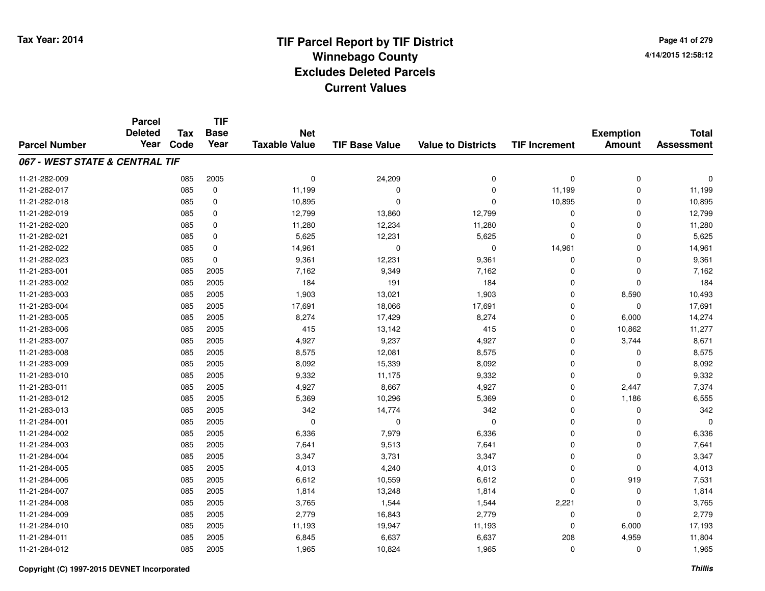**Page 41 of 2794/14/2015 12:58:12**

|                                | <b>Parcel</b><br><b>Deleted</b> | <b>Tax</b> | <b>TIF</b><br><b>Base</b> | <b>Net</b>           |                       |                           |                      | <b>Exemption</b> | <b>Total</b>      |
|--------------------------------|---------------------------------|------------|---------------------------|----------------------|-----------------------|---------------------------|----------------------|------------------|-------------------|
| <b>Parcel Number</b>           | Year                            | Code       | Year                      | <b>Taxable Value</b> | <b>TIF Base Value</b> | <b>Value to Districts</b> | <b>TIF Increment</b> | <b>Amount</b>    | <b>Assessment</b> |
| 067 - WEST STATE & CENTRAL TIF |                                 |            |                           |                      |                       |                           |                      |                  |                   |
| 11-21-282-009                  |                                 | 085        | 2005                      | 0                    | 24,209                | 0                         | $\mathbf 0$          | 0                | $\Omega$          |
| 11-21-282-017                  |                                 | 085        | $\pmb{0}$                 | 11,199               | $\Omega$              | 0                         | 11,199               | 0                | 11,199            |
| 11-21-282-018                  |                                 | 085        | 0                         | 10,895               | $\Omega$              | $\Omega$                  | 10,895               | 0                | 10,895            |
| 11-21-282-019                  |                                 | 085        | 0                         | 12,799               | 13,860                | 12,799                    | 0                    | 0                | 12,799            |
| 11-21-282-020                  |                                 | 085        | 0                         | 11,280               | 12,234                | 11,280                    | $\mathbf 0$          | $\mathbf 0$      | 11,280            |
| 11-21-282-021                  |                                 | 085        | 0                         | 5,625                | 12,231                | 5,625                     | $\mathbf 0$          | 0                | 5,625             |
| 11-21-282-022                  |                                 | 085        | $\mathbf 0$               | 14,961               | $\Omega$              | 0                         | 14,961               | $\mathbf 0$      | 14,961            |
| 11-21-282-023                  |                                 | 085        | 0                         | 9,361                | 12,231                | 9,361                     | 0                    | 0                | 9,361             |
| 11-21-283-001                  |                                 | 085        | 2005                      | 7,162                | 9,349                 | 7,162                     | $\mathbf 0$          | 0                | 7,162             |
| 11-21-283-002                  |                                 | 085        | 2005                      | 184                  | 191                   | 184                       | $\mathbf 0$          | 0                | 184               |
| 11-21-283-003                  |                                 | 085        | 2005                      | 1,903                | 13,021                | 1,903                     | $\mathbf 0$          | 8,590            | 10,493            |
| 11-21-283-004                  |                                 | 085        | 2005                      | 17,691               | 18,066                | 17,691                    | $\mathbf 0$          | 0                | 17,691            |
| 11-21-283-005                  |                                 | 085        | 2005                      | 8,274                | 17,429                | 8,274                     | 0                    | 6,000            | 14,274            |
| 11-21-283-006                  |                                 | 085        | 2005                      | 415                  | 13,142                | 415                       | 0                    | 10,862           | 11,277            |
| 11-21-283-007                  |                                 | 085        | 2005                      | 4,927                | 9,237                 | 4,927                     | 0                    | 3,744            | 8,671             |
| 11-21-283-008                  |                                 | 085        | 2005                      | 8,575                | 12,081                | 8,575                     | 0                    | 0                | 8,575             |
| 11-21-283-009                  |                                 | 085        | 2005                      | 8,092                | 15,339                | 8,092                     | $\mathbf 0$          | 0                | 8,092             |
| 11-21-283-010                  |                                 | 085        | 2005                      | 9,332                | 11,175                | 9,332                     | $\mathbf 0$          | 0                | 9,332             |
| 11-21-283-011                  |                                 | 085        | 2005                      | 4,927                | 8,667                 | 4,927                     | $\mathbf 0$          | 2,447            | 7,374             |
| 11-21-283-012                  |                                 | 085        | 2005                      | 5,369                | 10,296                | 5,369                     | $\mathbf 0$          | 1,186            | 6,555             |
| 11-21-283-013                  |                                 | 085        | 2005                      | 342                  | 14,774                | 342                       | $\mathbf 0$          | 0                | 342               |
| 11-21-284-001                  |                                 | 085        | 2005                      | 0                    | 0                     | 0                         | 0                    | 0                | $\Omega$          |
| 11-21-284-002                  |                                 | 085        | 2005                      | 6,336                | 7,979                 | 6,336                     | $\mathbf 0$          | 0                | 6,336             |
| 11-21-284-003                  |                                 | 085        | 2005                      | 7,641                | 9,513                 | 7,641                     | $\mathbf 0$          | 0                | 7,641             |
| 11-21-284-004                  |                                 | 085        | 2005                      | 3,347                | 3,731                 | 3,347                     | $\mathbf 0$          | $\mathbf 0$      | 3,347             |
| 11-21-284-005                  |                                 | 085        | 2005                      | 4,013                | 4,240                 | 4,013                     | 0                    | 0                | 4,013             |
| 11-21-284-006                  |                                 | 085        | 2005                      | 6,612                | 10,559                | 6,612                     | $\Omega$             | 919              | 7,531             |
| 11-21-284-007                  |                                 | 085        | 2005                      | 1,814                | 13,248                | 1,814                     | $\mathbf 0$          | 0                | 1,814             |
| 11-21-284-008                  |                                 | 085        | 2005                      | 3,765                | 1,544                 | 1,544                     | 2,221                | 0                | 3,765             |
| 11-21-284-009                  |                                 | 085        | 2005                      | 2,779                | 16,843                | 2,779                     | 0                    | 0                | 2,779             |
| 11-21-284-010                  |                                 | 085        | 2005                      | 11,193               | 19,947                | 11,193                    | $\mathbf 0$          | 6,000            | 17,193            |
| 11-21-284-011                  |                                 | 085        | 2005                      | 6,845                | 6,637                 | 6,637                     | 208                  | 4,959            | 11,804            |
| 11-21-284-012                  |                                 | 085        | 2005                      | 1,965                | 10,824                | 1,965                     | $\mathbf 0$          | 0                | 1,965             |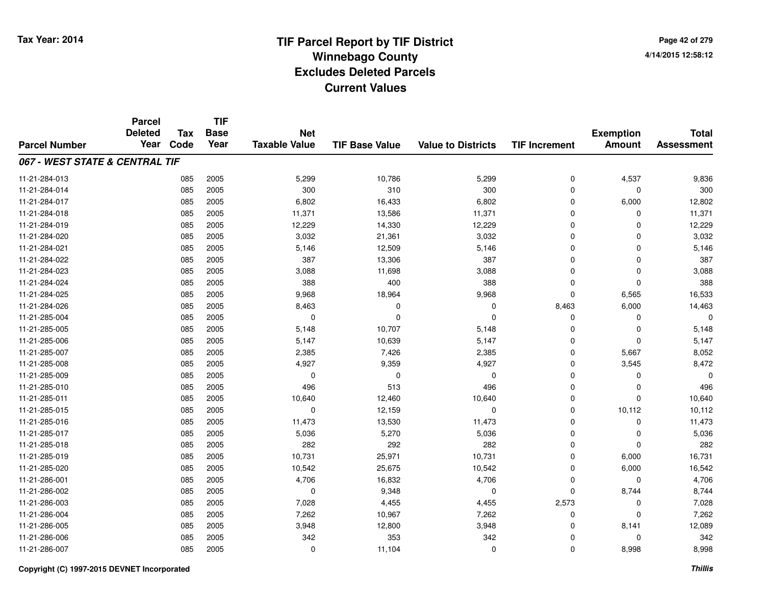**TIF**

**Parcel**

**Page 42 of 2794/14/2015 12:58:12**

| <b>Parcel Number</b>           | <b>Deleted</b><br>Year | <b>Tax</b><br>Code | <b>Base</b><br>Year | <b>Net</b><br><b>Taxable Value</b> | <b>TIF Base Value</b> | <b>Value to Districts</b> | <b>TIF Increment</b> | <b>Exemption</b><br><b>Amount</b> | <b>Total</b><br><b>Assessment</b> |
|--------------------------------|------------------------|--------------------|---------------------|------------------------------------|-----------------------|---------------------------|----------------------|-----------------------------------|-----------------------------------|
| 067 - WEST STATE & CENTRAL TIF |                        |                    |                     |                                    |                       |                           |                      |                                   |                                   |
| 11-21-284-013                  |                        | 085                | 2005                | 5,299                              | 10,786                | 5,299                     | 0                    | 4,537                             | 9,836                             |
| 11-21-284-014                  |                        | 085                | 2005                | 300                                | 310                   | 300                       | 0                    | $\Omega$                          | 300                               |
| 11-21-284-017                  |                        | 085                | 2005                | 6,802                              | 16,433                | 6,802                     | $\mathbf 0$          | 6,000                             | 12,802                            |
| 11-21-284-018                  |                        | 085                | 2005                | 11,371                             | 13,586                | 11,371                    | $\mathbf 0$          | $\Omega$                          | 11,371                            |
| 11-21-284-019                  |                        | 085                | 2005                | 12,229                             | 14,330                | 12,229                    | 0                    | $\Omega$                          | 12,229                            |
| 11-21-284-020                  |                        | 085                | 2005                | 3,032                              | 21,361                | 3,032                     | 0                    | $\Omega$                          | 3,032                             |
| 11-21-284-021                  |                        | 085                | 2005                | 5,146                              | 12,509                | 5,146                     | 0                    | $\Omega$                          | 5,146                             |
| 11-21-284-022                  |                        | 085                | 2005                | 387                                | 13,306                | 387                       | 0                    | $\mathbf 0$                       | 387                               |
| 11-21-284-023                  |                        | 085                | 2005                | 3,088                              | 11,698                | 3,088                     | 0                    | $\Omega$                          | 3,088                             |
| 11-21-284-024                  |                        | 085                | 2005                | 388                                | 400                   | 388                       | 0                    | $\Omega$                          | 388                               |
| 11-21-284-025                  |                        | 085                | 2005                | 9,968                              | 18,964                | 9,968                     | $\mathbf 0$          | 6,565                             | 16,533                            |
| 11-21-284-026                  |                        | 085                | 2005                | 8,463                              | 0                     | 0                         | 8,463                | 6,000                             | 14,463                            |
| 11-21-285-004                  |                        | 085                | 2005                | 0                                  | $\Omega$              | $\Omega$                  | 0                    | 0                                 | $\Omega$                          |
| 11-21-285-005                  |                        | 085                | 2005                | 5,148                              | 10,707                | 5,148                     | 0                    | $\Omega$                          | 5,148                             |
| 11-21-285-006                  |                        | 085                | 2005                | 5,147                              | 10,639                | 5,147                     | 0                    | $\Omega$                          | 5,147                             |
| 11-21-285-007                  |                        | 085                | 2005                | 2,385                              | 7,426                 | 2,385                     | $\mathbf 0$          | 5,667                             | 8,052                             |
| 11-21-285-008                  |                        | 085                | 2005                | 4,927                              | 9,359                 | 4,927                     | 0                    | 3,545                             | 8,472                             |
| 11-21-285-009                  |                        | 085                | 2005                | $\Omega$                           | $\Omega$              | 0                         | 0                    | $\Omega$                          | $\Omega$                          |
| 11-21-285-010                  |                        | 085                | 2005                | 496                                | 513                   | 496                       | 0                    | $\Omega$                          | 496                               |
| 11-21-285-011                  |                        | 085                | 2005                | 10,640                             | 12,460                | 10,640                    | $\mathbf 0$          | $\Omega$                          | 10,640                            |
| 11-21-285-015                  |                        | 085                | 2005                | 0                                  | 12,159                | 0                         | $\mathbf 0$          | 10,112                            | 10,112                            |
| 11-21-285-016                  |                        | 085                | 2005                | 11,473                             | 13,530                | 11,473                    | 0                    | 0                                 | 11,473                            |
| 11-21-285-017                  |                        | 085                | 2005                | 5,036                              | 5,270                 | 5,036                     | 0                    | $\Omega$                          | 5,036                             |
| 11-21-285-018                  |                        | 085                | 2005                | 282                                | 292                   | 282                       | 0                    | $\Omega$                          | 282                               |
| 11-21-285-019                  |                        | 085                | 2005                | 10,731                             | 25,971                | 10,731                    | $\mathbf 0$          | 6,000                             | 16,731                            |
| 11-21-285-020                  |                        | 085                | 2005                | 10,542                             | 25,675                | 10,542                    | 0                    | 6,000                             | 16,542                            |
| 11-21-286-001                  |                        | 085                | 2005                | 4,706                              | 16,832                | 4,706                     | $\mathbf 0$          | $\Omega$                          | 4,706                             |
| 11-21-286-002                  |                        | 085                | 2005                | 0                                  | 9,348                 | 0                         | $\mathbf 0$          | 8,744                             | 8,744                             |
| 11-21-286-003                  |                        | 085                | 2005                | 7,028                              | 4,455                 | 4,455                     | 2,573                | 0                                 | 7,028                             |
| 11-21-286-004                  |                        | 085                | 2005                | 7,262                              | 10,967                | 7,262                     | 0                    | $\Omega$                          | 7,262                             |
| 11-21-286-005                  |                        | 085                | 2005                | 3,948                              | 12,800                | 3,948                     | 0                    | 8,141                             | 12,089                            |
| 11-21-286-006                  |                        | 085                | 2005                | 342                                | 353                   | 342                       | 0                    | $\Omega$                          | 342                               |
| 11-21-286-007                  |                        | 085                | 2005                | 0                                  | 11,104                | 0                         | 0                    | 8,998                             | 8,998                             |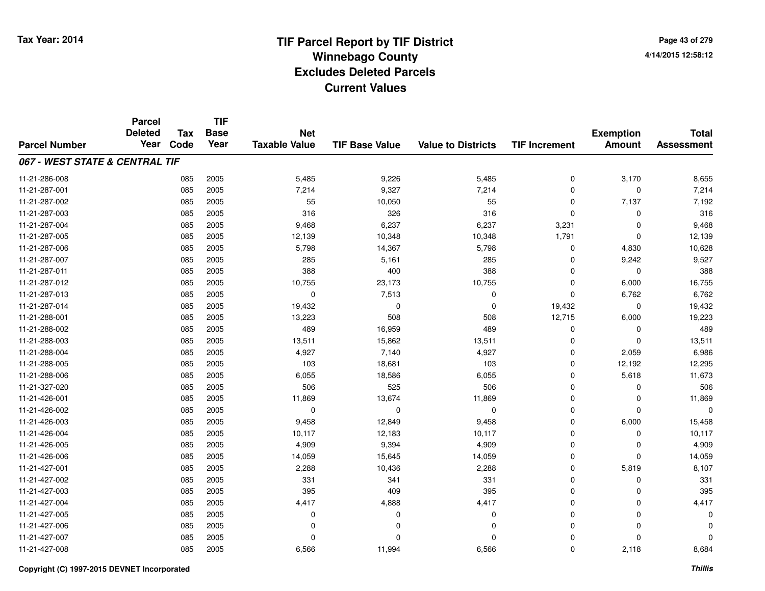|                                | <b>Parcel</b><br><b>Deleted</b> | <b>Tax</b> | <b>TIF</b><br><b>Base</b> | <b>Net</b>           |                       |                           |                      | <b>Exemption</b> | <b>Total</b>      |
|--------------------------------|---------------------------------|------------|---------------------------|----------------------|-----------------------|---------------------------|----------------------|------------------|-------------------|
| <b>Parcel Number</b>           | Year                            | Code       | Year                      | <b>Taxable Value</b> | <b>TIF Base Value</b> | <b>Value to Districts</b> | <b>TIF Increment</b> | <b>Amount</b>    | <b>Assessment</b> |
| 067 - WEST STATE & CENTRAL TIF |                                 |            |                           |                      |                       |                           |                      |                  |                   |
| 11-21-286-008                  |                                 | 085        | 2005                      | 5,485                | 9,226                 | 5,485                     | $\mathbf 0$          | 3,170            | 8,655             |
| 11-21-287-001                  |                                 | 085        | 2005                      | 7,214                | 9,327                 | 7,214                     | $\mathbf 0$          | 0                | 7,214             |
| 11-21-287-002                  |                                 | 085        | 2005                      | 55                   | 10,050                | 55                        | 0                    | 7,137            | 7,192             |
| 11-21-287-003                  |                                 | 085        | 2005                      | 316                  | 326                   | 316                       | $\mathbf 0$          | $\Omega$         | 316               |
| 11-21-287-004                  |                                 | 085        | 2005                      | 9,468                | 6,237                 | 6,237                     | 3,231                | 0                | 9,468             |
| 11-21-287-005                  |                                 | 085        | 2005                      | 12,139               | 10,348                | 10,348                    | 1,791                | $\Omega$         | 12,139            |
| 11-21-287-006                  |                                 | 085        | 2005                      | 5,798                | 14,367                | 5,798                     | 0                    | 4,830            | 10,628            |
| 11-21-287-007                  |                                 | 085        | 2005                      | 285                  | 5,161                 | 285                       | $\mathbf 0$          | 9,242            | 9,527             |
| 11-21-287-011                  |                                 | 085        | 2005                      | 388                  | 400                   | 388                       | $\mathbf 0$          | 0                | 388               |
| 11-21-287-012                  |                                 | 085        | 2005                      | 10,755               | 23,173                | 10,755                    | $\mathbf 0$          | 6,000            | 16,755            |
| 11-21-287-013                  |                                 | 085        | 2005                      | $\mathbf 0$          | 7,513                 | 0                         | $\mathbf 0$          | 6,762            | 6,762             |
| 11-21-287-014                  |                                 | 085        | 2005                      | 19,432               | 0                     | $\mathbf 0$               | 19,432               | $\mathbf 0$      | 19,432            |
| 11-21-288-001                  |                                 | 085        | 2005                      | 13,223               | 508                   | 508                       | 12,715               | 6,000            | 19,223            |
| 11-21-288-002                  |                                 | 085        | 2005                      | 489                  | 16,959                | 489                       | 0                    | 0                | 489               |
| 11-21-288-003                  |                                 | 085        | 2005                      | 13,511               | 15,862                | 13,511                    | $\mathbf 0$          | $\Omega$         | 13,511            |
| 11-21-288-004                  |                                 | 085        | 2005                      | 4,927                | 7,140                 | 4,927                     | $\mathbf 0$          | 2,059            | 6,986             |
| 11-21-288-005                  |                                 | 085        | 2005                      | 103                  | 18,681                | 103                       | $\mathbf 0$          | 12,192           | 12,295            |
| 11-21-288-006                  |                                 | 085        | 2005                      | 6,055                | 18,586                | 6,055                     | $\mathbf 0$          | 5,618            | 11,673            |
| 11-21-327-020                  |                                 | 085        | 2005                      | 506                  | 525                   | 506                       | $\mathbf 0$          | 0                | 506               |
| 11-21-426-001                  |                                 | 085        | 2005                      | 11,869               | 13,674                | 11,869                    | $\mathbf 0$          | 0                | 11,869            |
| 11-21-426-002                  |                                 | 085        | 2005                      | 0                    | 0                     | $\mathbf 0$               | $\mathbf 0$          | 0                | $\Omega$          |
| 11-21-426-003                  |                                 | 085        | 2005                      | 9,458                | 12,849                | 9,458                     | $\mathbf 0$          | 6,000            | 15,458            |
| 11-21-426-004                  |                                 | 085        | 2005                      | 10,117               | 12,183                | 10,117                    | 0                    | 0                | 10,117            |
| 11-21-426-005                  |                                 | 085        | 2005                      | 4,909                | 9,394                 | 4,909                     | $\mathbf 0$          | 0                | 4,909             |
| 11-21-426-006                  |                                 | 085        | 2005                      | 14,059               | 15,645                | 14,059                    | $\mathbf 0$          | 0                | 14,059            |
| 11-21-427-001                  |                                 | 085        | 2005                      | 2,288                | 10,436                | 2,288                     | $\mathbf 0$          | 5,819            | 8,107             |
| 11-21-427-002                  |                                 | 085        | 2005                      | 331                  | 341                   | 331                       | $\mathbf 0$          | 0                | 331               |
| 11-21-427-003                  |                                 | 085        | 2005                      | 395                  | 409                   | 395                       | $\mathbf 0$          | 0                | 395               |
| 11-21-427-004                  |                                 | 085        | 2005                      | 4,417                | 4,888                 | 4,417                     | $\mathbf 0$          | $\Omega$         | 4,417             |
| 11-21-427-005                  |                                 | 085        | 2005                      | 0                    | 0                     | $\mathbf 0$               | $\mathbf 0$          | $\Omega$         | $\Omega$          |
| 11-21-427-006                  |                                 | 085        | 2005                      | $\Omega$             | 0                     | $\Omega$                  | $\mathbf 0$          | $\Omega$         |                   |
| 11-21-427-007                  |                                 | 085        | 2005                      | $\Omega$             | 0                     | $\Omega$                  | $\Omega$             | $\Omega$         | ŋ                 |
| 11-21-427-008                  |                                 | 085        | 2005                      | 6,566                | 11,994                | 6,566                     | $\mathbf 0$          | 2,118            | 8,684             |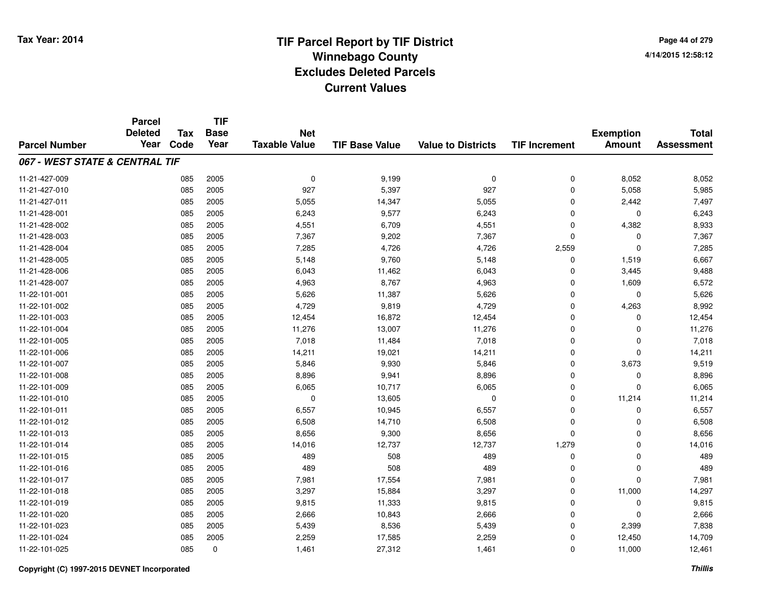**TIF**

**Parcel**

**Page 44 of 2794/14/2015 12:58:12**

| <b>Parcel Number</b>           | <b>urvo</b><br><b>Deleted</b><br>Year | <b>Tax</b><br>Code | <b>Base</b><br>Year | <b>Net</b><br><b>Taxable Value</b> | <b>TIF Base Value</b> | <b>Value to Districts</b> | <b>TIF Increment</b> | <b>Exemption</b><br><b>Amount</b> | <b>Total</b><br><b>Assessment</b> |
|--------------------------------|---------------------------------------|--------------------|---------------------|------------------------------------|-----------------------|---------------------------|----------------------|-----------------------------------|-----------------------------------|
| 067 - WEST STATE & CENTRAL TIF |                                       |                    |                     |                                    |                       |                           |                      |                                   |                                   |
| 11-21-427-009                  |                                       | 085                | 2005                | 0                                  | 9,199                 | $\mathbf 0$               | 0                    | 8,052                             | 8,052                             |
| 11-21-427-010                  |                                       | 085                | 2005                | 927                                | 5,397                 | 927                       | 0                    | 5,058                             | 5,985                             |
| 11-21-427-011                  |                                       | 085                | 2005                | 5,055                              | 14,347                | 5,055                     | $\mathbf 0$          | 2,442                             | 7,497                             |
| 11-21-428-001                  |                                       | 085                | 2005                | 6,243                              | 9,577                 | 6,243                     | 0                    | 0                                 | 6,243                             |
| 11-21-428-002                  |                                       | 085                | 2005                | 4,551                              | 6,709                 | 4,551                     | 0                    | 4,382                             | 8,933                             |
| 11-21-428-003                  |                                       | 085                | 2005                | 7,367                              | 9,202                 | 7,367                     | 0                    | $\Omega$                          | 7,367                             |
| 11-21-428-004                  |                                       | 085                | 2005                | 7,285                              | 4,726                 | 4,726                     | 2,559                | $\Omega$                          | 7,285                             |
| 11-21-428-005                  |                                       | 085                | 2005                | 5,148                              | 9,760                 | 5,148                     | 0                    | 1,519                             | 6,667                             |
| 11-21-428-006                  |                                       | 085                | 2005                | 6,043                              | 11,462                | 6,043                     | $\mathbf 0$          | 3,445                             | 9,488                             |
| 11-21-428-007                  |                                       | 085                | 2005                | 4,963                              | 8,767                 | 4,963                     | 0                    | 1,609                             | 6,572                             |
| 11-22-101-001                  |                                       | 085                | 2005                | 5,626                              | 11,387                | 5,626                     | 0                    | 0                                 | 5,626                             |
| 11-22-101-002                  |                                       | 085                | 2005                | 4,729                              | 9,819                 | 4,729                     | 0                    | 4,263                             | 8,992                             |
| 11-22-101-003                  |                                       | 085                | 2005                | 12,454                             | 16,872                | 12,454                    | 0                    | 0                                 | 12,454                            |
| 11-22-101-004                  |                                       | 085                | 2005                | 11,276                             | 13,007                | 11,276                    | 0                    | $\Omega$                          | 11,276                            |
| 11-22-101-005                  |                                       | 085                | 2005                | 7,018                              | 11,484                | 7,018                     | 0                    | $\Omega$                          | 7,018                             |
| 11-22-101-006                  |                                       | 085                | 2005                | 14,211                             | 19,021                | 14,211                    | $\mathbf 0$          | $\Omega$                          | 14,211                            |
| 11-22-101-007                  |                                       | 085                | 2005                | 5,846                              | 9,930                 | 5,846                     | $\mathbf 0$          | 3,673                             | 9,519                             |
| 11-22-101-008                  |                                       | 085                | 2005                | 8,896                              | 9,941                 | 8,896                     | $\mathbf 0$          | 0                                 | 8,896                             |
| 11-22-101-009                  |                                       | 085                | 2005                | 6,065                              | 10,717                | 6,065                     | $\mathbf 0$          | $\Omega$                          | 6,065                             |
| 11-22-101-010                  |                                       | 085                | 2005                | 0                                  | 13,605                | 0                         | $\mathbf 0$          | 11,214                            | 11,214                            |
| 11-22-101-011                  |                                       | 085                | 2005                | 6,557                              | 10,945                | 6,557                     | 0                    | 0                                 | 6,557                             |
| 11-22-101-012                  |                                       | 085                | 2005                | 6,508                              | 14,710                | 6,508                     | 0                    | $\Omega$                          | 6,508                             |
| 11-22-101-013                  |                                       | 085                | 2005                | 8,656                              | 9,300                 | 8,656                     | 0                    | $\Omega$                          | 8,656                             |
| 11-22-101-014                  |                                       | 085                | 2005                | 14,016                             | 12,737                | 12,737                    | 1,279                | 0                                 | 14,016                            |
| 11-22-101-015                  |                                       | 085                | 2005                | 489                                | 508                   | 489                       | $\mathbf 0$          | $\mathbf 0$                       | 489                               |
| 11-22-101-016                  |                                       | 085                | 2005                | 489                                | 508                   | 489                       | $\mathbf 0$          | $\mathbf 0$                       | 489                               |
| 11-22-101-017                  |                                       | 085                | 2005                | 7,981                              | 17,554                | 7,981                     | $\mathbf 0$          | $\Omega$                          | 7,981                             |
| 11-22-101-018                  |                                       | 085                | 2005                | 3,297                              | 15,884                | 3,297                     | $\mathbf 0$          | 11,000                            | 14,297                            |
| 11-22-101-019                  |                                       | 085                | 2005                | 9,815                              | 11,333                | 9,815                     | 0                    | 0                                 | 9,815                             |
| 11-22-101-020                  |                                       | 085                | 2005                | 2,666                              | 10,843                | 2,666                     | 0                    | $\Omega$                          | 2,666                             |
| 11-22-101-023                  |                                       | 085                | 2005                | 5,439                              | 8,536                 | 5,439                     | 0                    | 2,399                             | 7,838                             |
| 11-22-101-024                  |                                       | 085                | 2005                | 2,259                              | 17,585                | 2,259                     | 0                    | 12,450                            | 14,709                            |
| 11-22-101-025                  |                                       | 085                | 0                   | 1,461                              | 27,312                | 1,461                     | 0                    | 11,000                            | 12,461                            |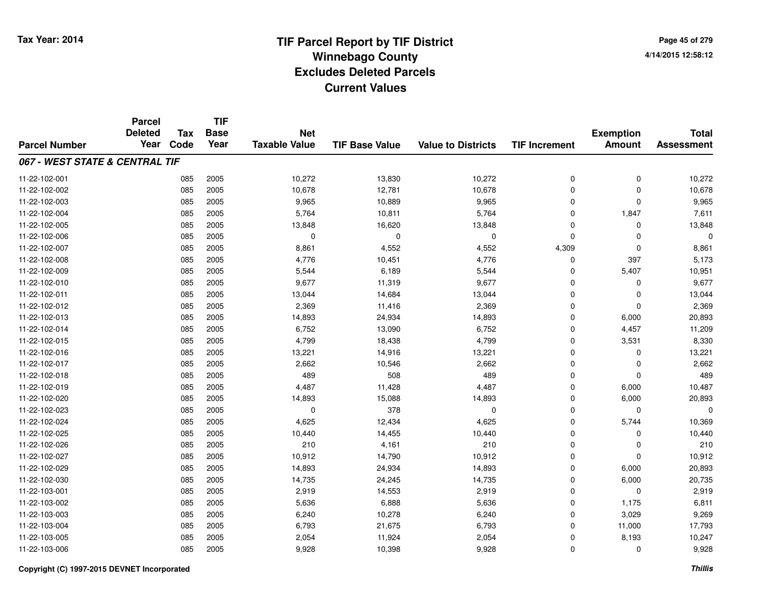|                                | <b>Parcel</b><br><b>Deleted</b> | <b>Tax</b> | <b>TIF</b><br><b>Base</b> | <b>Net</b>           |                       |                           |                      | <b>Exemption</b> | <b>Total</b>      |
|--------------------------------|---------------------------------|------------|---------------------------|----------------------|-----------------------|---------------------------|----------------------|------------------|-------------------|
| <b>Parcel Number</b>           | Year                            | Code       | Year                      | <b>Taxable Value</b> | <b>TIF Base Value</b> | <b>Value to Districts</b> | <b>TIF Increment</b> | <b>Amount</b>    | <b>Assessment</b> |
| 067 - WEST STATE & CENTRAL TIF |                                 |            |                           |                      |                       |                           |                      |                  |                   |
| 11-22-102-001                  |                                 | 085        | 2005                      | 10,272               | 13,830                | 10,272                    | $\mathbf 0$          | $\mathbf 0$      | 10,272            |
| 11-22-102-002                  |                                 | 085        | 2005                      | 10,678               | 12,781                | 10,678                    | $\mathbf 0$          | $\mathbf 0$      | 10,678            |
| 11-22-102-003                  |                                 | 085        | 2005                      | 9,965                | 10,889                | 9,965                     | 0                    | $\mathbf 0$      | 9,965             |
| 11-22-102-004                  |                                 | 085        | 2005                      | 5,764                | 10,811                | 5,764                     | $\Omega$             | 1,847            | 7,611             |
| 11-22-102-005                  |                                 | 085        | 2005                      | 13,848               | 16,620                | 13,848                    | $\mathbf 0$          | 0                | 13,848            |
| 11-22-102-006                  |                                 | 085        | 2005                      | $\mathbf 0$          | $\mathbf 0$           | $\mathbf 0$               | $\Omega$             | $\mathbf 0$      | $\Omega$          |
| 11-22-102-007                  |                                 | 085        | 2005                      | 8,861                | 4,552                 | 4,552                     | 4,309                | $\mathbf 0$      | 8,861             |
| 11-22-102-008                  |                                 | 085        | 2005                      | 4,776                | 10,451                | 4,776                     | $\mathbf 0$          | 397              | 5,173             |
| 11-22-102-009                  |                                 | 085        | 2005                      | 5,544                | 6,189                 | 5,544                     | $\mathbf 0$          | 5,407            | 10,951            |
| 11-22-102-010                  |                                 | 085        | 2005                      | 9,677                | 11,319                | 9,677                     | $\mathbf 0$          | $\mathbf 0$      | 9,677             |
| 11-22-102-011                  |                                 | 085        | 2005                      | 13,044               | 14,684                | 13,044                    | $\Omega$             | $\mathbf 0$      | 13,044            |
| 11-22-102-012                  |                                 | 085        | 2005                      | 2,369                | 11,416                | 2,369                     | $\mathbf 0$          | $\mathbf 0$      | 2,369             |
| 11-22-102-013                  |                                 | 085        | 2005                      | 14,893               | 24,934                | 14,893                    | $\Omega$             | 6,000            | 20,893            |
| 11-22-102-014                  |                                 | 085        | 2005                      | 6,752                | 13,090                | 6,752                     | 0                    | 4,457            | 11,209            |
| 11-22-102-015                  |                                 | 085        | 2005                      | 4,799                | 18,438                | 4,799                     | $\mathbf 0$          | 3,531            | 8,330             |
| 11-22-102-016                  |                                 | 085        | 2005                      | 13,221               | 14,916                | 13,221                    | 0                    | 0                | 13,221            |
| 11-22-102-017                  |                                 | 085        | 2005                      | 2,662                | 10,546                | 2,662                     | $\Omega$             | 0                | 2,662             |
| 11-22-102-018                  |                                 | 085        | 2005                      | 489                  | 508                   | 489                       | $\mathbf 0$          | $\mathbf 0$      | 489               |
| 11-22-102-019                  |                                 | 085        | 2005                      | 4,487                | 11,428                | 4,487                     | $\mathbf 0$          | 6,000            | 10,487            |
| 11-22-102-020                  |                                 | 085        | 2005                      | 14,893               | 15,088                | 14,893                    | $\mathbf 0$          | 6,000            | 20,893            |
| 11-22-102-023                  |                                 | 085        | 2005                      | $\mathbf 0$          | 378                   | $\pmb{0}$                 | $\mathbf 0$          | $\mathbf 0$      | $\Omega$          |
| 11-22-102-024                  |                                 | 085        | 2005                      | 4,625                | 12,434                | 4,625                     | 0                    | 5,744            | 10,369            |
| 11-22-102-025                  |                                 | 085        | 2005                      | 10,440               | 14,455                | 10,440                    | $\mathbf 0$          | 0                | 10,440            |
| 11-22-102-026                  |                                 | 085        | 2005                      | 210                  | 4,161                 | 210                       | $\mathbf 0$          | $\mathbf 0$      | 210               |
| 11-22-102-027                  |                                 | 085        | 2005                      | 10,912               | 14,790                | 10,912                    | $\mathbf 0$          | $\mathbf 0$      | 10,912            |
| 11-22-102-029                  |                                 | 085        | 2005                      | 14,893               | 24,934                | 14,893                    | $\mathbf 0$          | 6,000            | 20,893            |
| 11-22-102-030                  |                                 | 085        | 2005                      | 14,735               | 24,245                | 14,735                    | $\mathbf 0$          | 6,000            | 20,735            |
| 11-22-103-001                  |                                 | 085        | 2005                      | 2,919                | 14,553                | 2,919                     | $\mathbf 0$          | $\mathbf 0$      | 2,919             |
| 11-22-103-002                  |                                 | 085        | 2005                      | 5,636                | 6,888                 | 5,636                     | $\mathbf 0$          | 1,175            | 6,811             |
| 11-22-103-003                  |                                 | 085        | 2005                      | 6,240                | 10,278                | 6,240                     | $\mathbf 0$          | 3,029            | 9,269             |
| 11-22-103-004                  |                                 | 085        | 2005                      | 6,793                | 21,675                | 6,793                     | $\mathbf 0$          | 11,000           | 17,793            |
| 11-22-103-005                  |                                 | 085        | 2005                      | 2,054                | 11,924                | 2,054                     | $\mathbf 0$          | 8,193            | 10,247            |
| 11-22-103-006                  |                                 | 085        | 2005                      | 9,928                | 10,398                | 9,928                     | $\Omega$             | $\mathbf 0$      | 9,928             |

#### **Copyright (C) 1997-2015 DEVNET Incorporated**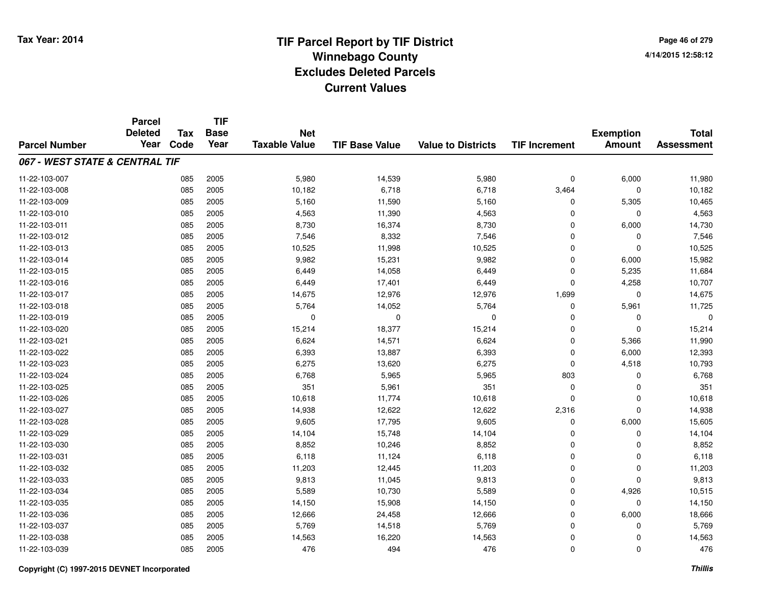**Page 46 of 2794/14/2015 12:58:12**

|                                | <b>Parcel</b>          | <b>Tax</b> |                     | <b>TIF</b>                         |                       |                           |                      |                                   |                                   |  |
|--------------------------------|------------------------|------------|---------------------|------------------------------------|-----------------------|---------------------------|----------------------|-----------------------------------|-----------------------------------|--|
| <b>Parcel Number</b>           | <b>Deleted</b><br>Year | Code       | <b>Base</b><br>Year | <b>Net</b><br><b>Taxable Value</b> | <b>TIF Base Value</b> | <b>Value to Districts</b> | <b>TIF Increment</b> | <b>Exemption</b><br><b>Amount</b> | <b>Total</b><br><b>Assessment</b> |  |
|                                |                        |            |                     |                                    |                       |                           |                      |                                   |                                   |  |
| 067 - WEST STATE & CENTRAL TIF |                        |            |                     |                                    |                       |                           |                      |                                   |                                   |  |
| 11-22-103-007                  |                        | 085        | 2005                | 5,980                              | 14,539                | 5,980                     | $\mathbf 0$          | 6,000                             | 11,980                            |  |
| 11-22-103-008                  |                        | 085        | 2005                | 10,182                             | 6,718                 | 6,718                     | 3,464                | $\Omega$                          | 10,182                            |  |
| 11-22-103-009                  |                        | 085        | 2005                | 5,160                              | 11,590                | 5,160                     | 0                    | 5,305                             | 10,465                            |  |
| 11-22-103-010                  |                        | 085        | 2005                | 4,563                              | 11,390                | 4,563                     | $\Omega$             | $\mathbf 0$                       | 4,563                             |  |
| 11-22-103-011                  |                        | 085        | 2005                | 8,730                              | 16,374                | 8,730                     | $\mathbf 0$          | 6,000                             | 14,730                            |  |
| 11-22-103-012                  |                        | 085        | 2005                | 7,546                              | 8,332                 | 7,546                     | $\Omega$             | 0                                 | 7,546                             |  |
| 11-22-103-013                  |                        | 085        | 2005                | 10,525                             | 11,998                | 10,525                    | $\mathbf 0$          | $\mathbf 0$                       | 10,525                            |  |
| 11-22-103-014                  |                        | 085        | 2005                | 9,982                              | 15,231                | 9,982                     | $\Omega$             | 6,000                             | 15,982                            |  |
| 11-22-103-015                  |                        | 085        | 2005                | 6,449                              | 14,058                | 6,449                     | $\mathbf 0$          | 5,235                             | 11,684                            |  |
| 11-22-103-016                  |                        | 085        | 2005                | 6,449                              | 17,401                | 6,449                     | $\mathbf 0$          | 4,258                             | 10,707                            |  |
| 11-22-103-017                  |                        | 085        | 2005                | 14,675                             | 12,976                | 12,976                    | 1,699                | $\mathbf 0$                       | 14,675                            |  |
| 11-22-103-018                  |                        | 085        | 2005                | 5,764                              | 14,052                | 5,764                     | 0                    | 5,961                             | 11,725                            |  |
| 11-22-103-019                  |                        | 085        | 2005                | 0                                  | $\mathbf 0$           | 0                         | $\Omega$             | 0                                 | $\Omega$                          |  |
| 11-22-103-020                  |                        | 085        | 2005                | 15,214                             | 18,377                | 15,214                    | $\mathbf 0$          | $\mathbf 0$                       | 15,214                            |  |
| 11-22-103-021                  |                        | 085        | 2005                | 6,624                              | 14,571                | 6,624                     | $\Omega$             | 5,366                             | 11,990                            |  |
| 11-22-103-022                  |                        | 085        | 2005                | 6,393                              | 13,887                | 6,393                     | $\mathbf 0$          | 6,000                             | 12,393                            |  |
| 11-22-103-023                  |                        | 085        | 2005                | 6,275                              | 13,620                | 6,275                     | $\mathbf 0$          | 4,518                             | 10,793                            |  |
| 11-22-103-024                  |                        | 085        | 2005                | 6,768                              | 5,965                 | 5,965                     | 803                  | $\mathbf 0$                       | 6,768                             |  |
| 11-22-103-025                  |                        | 085        | 2005                | 351                                | 5,961                 | 351                       | $\mathbf 0$          | $\Omega$                          | 351                               |  |
| 11-22-103-026                  |                        | 085        | 2005                | 10,618                             | 11,774                | 10,618                    | $\mathbf 0$          | $\mathbf 0$                       | 10,618                            |  |
| 11-22-103-027                  |                        | 085        | 2005                | 14,938                             | 12,622                | 12,622                    | 2,316                | $\mathbf 0$                       | 14,938                            |  |
| 11-22-103-028                  |                        | 085        | 2005                | 9,605                              | 17,795                | 9,605                     | $\mathbf 0$          | 6,000                             | 15,605                            |  |
| 11-22-103-029                  |                        | 085        | 2005                | 14,104                             | 15,748                | 14,104                    | 0                    | $\mathbf 0$                       | 14,104                            |  |
| 11-22-103-030                  |                        | 085        | 2005                | 8,852                              | 10,246                | 8,852                     | $\mathbf 0$          | $\Omega$                          | 8,852                             |  |
| 11-22-103-031                  |                        | 085        | 2005                | 6,118                              | 11,124                | 6,118                     | $\mathbf 0$          | $\mathbf 0$                       | 6,118                             |  |
| 11-22-103-032                  |                        | 085        | 2005                | 11,203                             | 12,445                | 11,203                    | $\Omega$             | $\mathbf 0$                       | 11,203                            |  |
| 11-22-103-033                  |                        | 085        | 2005                | 9,813                              | 11,045                | 9,813                     | $\mathbf 0$          | $\mathbf 0$                       | 9,813                             |  |
| 11-22-103-034                  |                        | 085        | 2005                | 5,589                              | 10,730                | 5,589                     | $\mathbf 0$          | 4,926                             | 10,515                            |  |
| 11-22-103-035                  |                        | 085        | 2005                | 14,150                             | 15,908                | 14,150                    | $\mathbf 0$          | $\mathbf 0$                       | 14,150                            |  |
| 11-22-103-036                  |                        | 085        | 2005                | 12,666                             | 24,458                | 12,666                    | $\mathbf 0$          | 6,000                             | 18,666                            |  |
| 11-22-103-037                  |                        | 085        | 2005                | 5,769                              | 14,518                | 5,769                     | $\mathbf 0$          | $\Omega$                          | 5,769                             |  |
| 11-22-103-038                  |                        | 085        | 2005                | 14,563                             | 16,220                | 14,563                    | $\mathbf 0$          | $\Omega$                          | 14,563                            |  |
| 11-22-103-039                  |                        | 085        | 2005                | 476                                | 494                   | 476                       | $\Omega$             | $\Omega$                          | 476                               |  |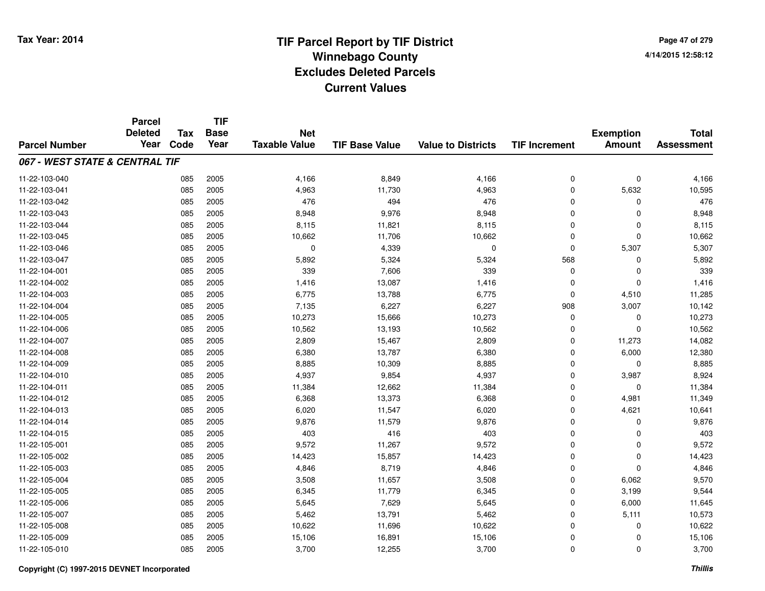**TIF**

**Parcel**

**Page 47 of 2794/14/2015 12:58:12**

#### **TIF Base ValueParcel NumberTotal AssessmentExemption Amount Value to Districts TIF Increment Base YearTax Code Deleted YearNet Taxable Value067 - WEST STATE & CENTRAL TIF**11-22-103-0400 085 2005 4,166 8,849 4,166 0 0 4,166 11-22-103-0411 085 2005 4,963 11,730 4,963 0 5,632 10,595 11-22-103-0422 085 2005 476 494 476 0 0 476 11-22-103-0433 085 2005 8,948 9,976 8,948 0 0 8,948 11-22-103-044 <sup>085</sup> 8,115 <sup>2005</sup> 11,821 8,115 <sup>0</sup> <sup>0</sup> 8,115 11-22-103-0455 10,062 10,662 10,662 10,662 10,662 11-22-103-046 <sup>085</sup> <sup>0</sup> <sup>2005</sup> 4,339 <sup>0</sup> <sup>0</sup> 5,307 5,307 11-22-103-047 <sup>085</sup> 5,892 <sup>2005</sup> 5,324 5,324 <sup>568</sup> <sup>0</sup> 5,892 11-22-104-0011 085 2005 339 7,606 339 0 0 339 11-22-104-0022 085 2005 1,416 13,087 1,416 0 0 1,416 11-22-104-0033 085 2005 6,775 13,788 6,775 0 4,510 11,285 11-22-104-004 <sup>085</sup> 7,135 <sup>2005</sup> 6,227 6,227 <sup>908</sup> 3,007 10,142 11-22-104-005 <sup>085</sup> 10,273 <sup>2005</sup> 15,666 10,273 <sup>0</sup> <sup>0</sup> 10,273 11-22-104-0066 085 2005 10,562 13,193 10,562 0 0 10,562 11-22-104-007 <sup>085</sup> 2,809 <sup>2005</sup> 15,467 2,809 <sup>0</sup> 11,273 14,082 11-22-104-0088 085 2005 6,380 13,787 6,380 0 6,000 12,380 11-22-104-0099 085 2005 8,885 10,309 8,885 0 0 8,885 11-22-104-0100 085 2005 4,937 9,854 4,937 0 3,987 8,924 11-22-104-0111 085 2005 11,384 12,662 11,384 0 0 11,384 11-22-104-012 <sup>085</sup> 6,368 <sup>2005</sup> 13,373 6,368 <sup>0</sup> 4,981 11,349 11-22-104-0133 085 2005 6,020 11,547 6,020 0 4,621 10,641 11-22-104-014 <sup>085</sup> 9,876 <sup>2005</sup> 11,579 9,876 <sup>0</sup> <sup>0</sup> 9,876 11-22-104-015 <sup>085</sup> <sup>403</sup> <sup>2005</sup> <sup>416</sup> <sup>403</sup> <sup>0</sup> <sup>0</sup> <sup>403</sup> 11-22-105-0011 085 2005 9,572 11,267 9,572 0 0 9,572 11-22-105-0022 085 2005 14,423 15,857 14,423 0 0 14,423 11-22-105-0033 085 2005 4,846 8,719 4,846 0 0 4,846 11-22-105-004 <sup>085</sup> 3,508 <sup>2005</sup> 11,657 3,508 <sup>0</sup> 6,062 9,570 11-22-105-005 <sup>085</sup> 6,345 <sup>2005</sup> 11,779 6,345 <sup>0</sup> 3,199 9,544 11-22-105-0066 085 2005 5,645 7,629 5,645 0 6,000 11,645 11-22-105-007 <sup>085</sup> 5,462 <sup>2005</sup> 13,791 5,462 <sup>0</sup> 5,111 10,573 11-22-105-0088 085 2005 10,622 11,696 10,622 0 0 10,622 11-22-105-0099 085 2005 15,106 16,891 15,106 0 0 15,106 11-22-105-0100 085 2005 3,700 12,255 3,700 0 0 3,700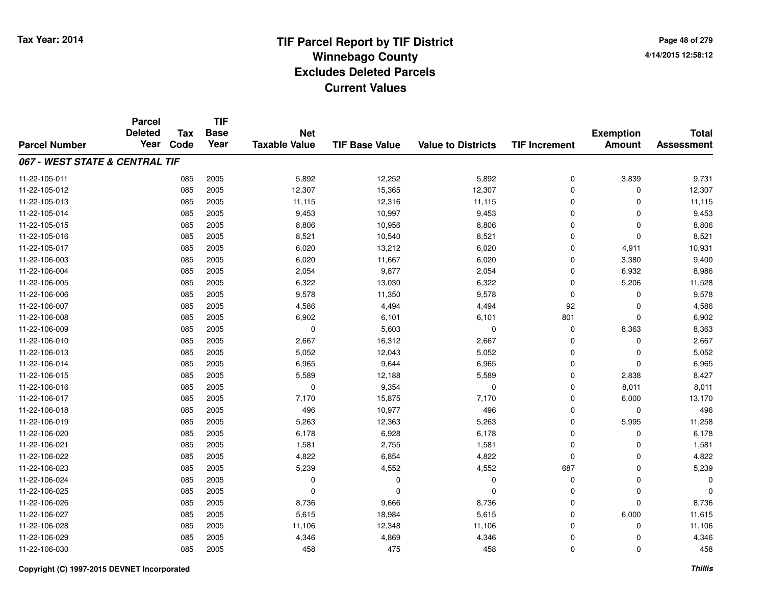|                                | <b>Parcel</b><br><b>Deleted</b> | <b>Tax</b> | <b>TIF</b><br><b>Base</b> | <b>Net</b>           |                       |                           |                      | <b>Exemption</b> | <b>Total</b>      |
|--------------------------------|---------------------------------|------------|---------------------------|----------------------|-----------------------|---------------------------|----------------------|------------------|-------------------|
| <b>Parcel Number</b>           | Year                            | Code       | Year                      | <b>Taxable Value</b> | <b>TIF Base Value</b> | <b>Value to Districts</b> | <b>TIF Increment</b> | <b>Amount</b>    | <b>Assessment</b> |
| 067 - WEST STATE & CENTRAL TIF |                                 |            |                           |                      |                       |                           |                      |                  |                   |
| 11-22-105-011                  |                                 | 085        | 2005                      | 5,892                | 12,252                | 5,892                     | $\mathbf 0$          | 3,839            | 9,731             |
| 11-22-105-012                  |                                 | 085        | 2005                      | 12,307               | 15,365                | 12,307                    | $\mathbf 0$          | 0                | 12,307            |
| 11-22-105-013                  |                                 | 085        | 2005                      | 11,115               | 12,316                | 11,115                    | $\mathbf 0$          | $\mathbf 0$      | 11,115            |
| 11-22-105-014                  |                                 | 085        | 2005                      | 9,453                | 10,997                | 9,453                     | $\mathbf 0$          | $\Omega$         | 9,453             |
| 11-22-105-015                  |                                 | 085        | 2005                      | 8,806                | 10,956                | 8,806                     | $\mathbf 0$          | $\mathbf 0$      | 8,806             |
| 11-22-105-016                  |                                 | 085        | 2005                      | 8,521                | 10,540                | 8,521                     | $\mathbf 0$          | $\mathbf 0$      | 8,521             |
| 11-22-105-017                  |                                 | 085        | 2005                      | 6,020                | 13,212                | 6,020                     | $\mathbf 0$          | 4,911            | 10,931            |
| 11-22-106-003                  |                                 | 085        | 2005                      | 6,020                | 11,667                | 6,020                     | $\mathbf 0$          | 3,380            | 9,400             |
| 11-22-106-004                  |                                 | 085        | 2005                      | 2,054                | 9,877                 | 2,054                     | $\mathbf 0$          | 6,932            | 8,986             |
| 11-22-106-005                  |                                 | 085        | 2005                      | 6,322                | 13,030                | 6,322                     | $\mathbf 0$          | 5,206            | 11,528            |
| 11-22-106-006                  |                                 | 085        | 2005                      | 9,578                | 11,350                | 9,578                     | $\mathbf 0$          | 0                | 9,578             |
| 11-22-106-007                  |                                 | 085        | 2005                      | 4,586                | 4,494                 | 4,494                     | 92                   | $\mathbf 0$      | 4,586             |
| 11-22-106-008                  |                                 | 085        | 2005                      | 6,902                | 6,101                 | 6,101                     | 801                  | $\mathbf 0$      | 6,902             |
| 11-22-106-009                  |                                 | 085        | 2005                      | 0                    | 5,603                 | 0                         | 0                    | 8,363            | 8,363             |
| 11-22-106-010                  |                                 | 085        | 2005                      | 2,667                | 16,312                | 2,667                     | $\mathbf 0$          | $\Omega$         | 2,667             |
| 11-22-106-013                  |                                 | 085        | 2005                      | 5,052                | 12,043                | 5,052                     | 0                    | $\mathbf 0$      | 5,052             |
| 11-22-106-014                  |                                 | 085        | 2005                      | 6,965                | 9,644                 | 6,965                     | $\mathbf 0$          | $\mathbf 0$      | 6,965             |
| 11-22-106-015                  |                                 | 085        | 2005                      | 5,589                | 12,188                | 5,589                     | $\mathbf 0$          | 2,838            | 8,427             |
| 11-22-106-016                  |                                 | 085        | 2005                      | $\mathbf 0$          | 9,354                 | $\mathbf 0$               | $\mathbf 0$          | 8,011            | 8,011             |
| 11-22-106-017                  |                                 | 085        | 2005                      | 7,170                | 15,875                | 7,170                     | $\mathbf 0$          | 6,000            | 13,170            |
| 11-22-106-018                  |                                 | 085        | 2005                      | 496                  | 10,977                | 496                       | $\mathbf 0$          | $\mathbf 0$      | 496               |
| 11-22-106-019                  |                                 | 085        | 2005                      | 5,263                | 12,363                | 5,263                     | $\mathbf 0$          | 5,995            | 11,258            |
| 11-22-106-020                  |                                 | 085        | 2005                      | 6,178                | 6,928                 | 6,178                     | 0                    | $\mathbf 0$      | 6,178             |
| 11-22-106-021                  |                                 | 085        | 2005                      | 1,581                | 2,755                 | 1,581                     | $\mathbf 0$          | $\mathbf 0$      | 1,581             |
| 11-22-106-022                  |                                 | 085        | 2005                      | 4,822                | 6,854                 | 4,822                     | $\mathbf 0$          | $\mathbf 0$      | 4,822             |
| 11-22-106-023                  |                                 | 085        | 2005                      | 5,239                | 4,552                 | 4,552                     | 687                  | $\mathbf 0$      | 5,239             |
| 11-22-106-024                  |                                 | 085        | 2005                      | 0                    | 0                     | 0                         | $\mathbf 0$          | $\mathbf 0$      | n                 |
| 11-22-106-025                  |                                 | 085        | 2005                      | $\mathbf 0$          | 0                     | $\mathbf 0$               | $\mathbf 0$          | $\mathbf 0$      |                   |
| 11-22-106-026                  |                                 | 085        | 2005                      | 8,736                | 9,666                 | 8,736                     | $\mathbf 0$          | $\Omega$         | 8,736             |
| 11-22-106-027                  |                                 | 085        | 2005                      | 5,615                | 18,984                | 5,615                     | $\mathbf 0$          | 6,000            | 11,615            |
| 11-22-106-028                  |                                 | 085        | 2005                      | 11,106               | 12,348                | 11,106                    | $\mathbf 0$          | $\Omega$         | 11,106            |
| 11-22-106-029                  |                                 | 085        | 2005                      | 4,346                | 4,869                 | 4,346                     | $\mathbf 0$          | $\Omega$         | 4,346             |
| 11-22-106-030                  |                                 | 085        | 2005                      | 458                  | 475                   | 458                       | $\mathbf 0$          | $\Omega$         | 458               |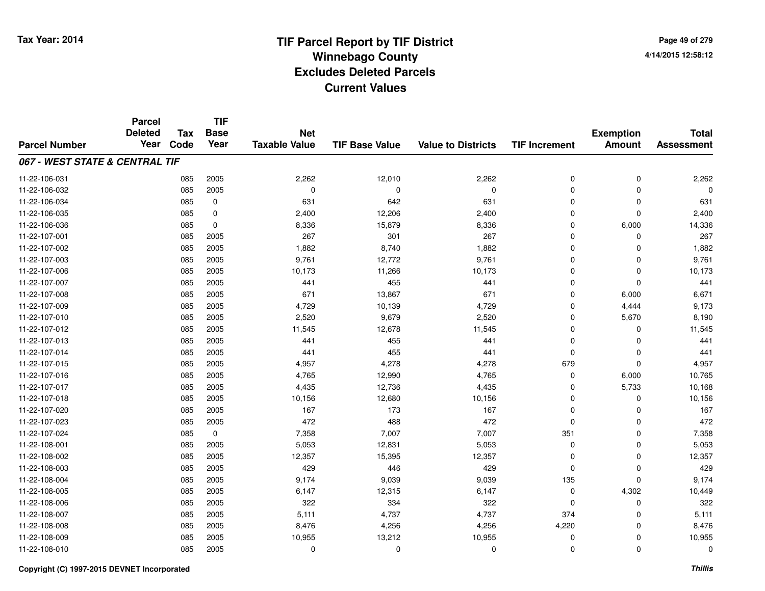**Page 49 of 2794/14/2015 12:58:12**

|                                | <b>Parcel</b>          |                    | <b>TIF</b>          |                                    |                       |                           |                      |                                   |                                   |
|--------------------------------|------------------------|--------------------|---------------------|------------------------------------|-----------------------|---------------------------|----------------------|-----------------------------------|-----------------------------------|
| <b>Parcel Number</b>           | <b>Deleted</b><br>Year | <b>Tax</b><br>Code | <b>Base</b><br>Year | <b>Net</b><br><b>Taxable Value</b> | <b>TIF Base Value</b> | <b>Value to Districts</b> | <b>TIF Increment</b> | <b>Exemption</b><br><b>Amount</b> | <b>Total</b><br><b>Assessment</b> |
|                                |                        |                    |                     |                                    |                       |                           |                      |                                   |                                   |
| 067 - WEST STATE & CENTRAL TIF |                        |                    |                     |                                    |                       |                           |                      |                                   |                                   |
| 11-22-106-031                  |                        | 085                | 2005                | 2,262                              | 12,010                | 2,262                     | 0                    | $\mathbf 0$                       | 2,262                             |
| 11-22-106-032                  |                        | 085                | 2005                | $\mathbf 0$                        | 0                     | $\mathbf 0$               | 0                    | $\mathbf 0$                       |                                   |
| 11-22-106-034                  |                        | 085                | $\mathbf 0$         | 631                                | 642                   | 631                       | 0                    | $\mathbf 0$                       | 631                               |
| 11-22-106-035                  |                        | 085                | 0                   | 2,400                              | 12,206                | 2,400                     | 0                    | $\mathbf 0$                       | 2,400                             |
| 11-22-106-036                  |                        | 085                | $\mathbf 0$         | 8,336                              | 15,879                | 8,336                     | 0                    | 6,000                             | 14,336                            |
| 11-22-107-001                  |                        | 085                | 2005                | 267                                | 301                   | 267                       | 0                    | 0                                 | 267                               |
| 11-22-107-002                  |                        | 085                | 2005                | 1,882                              | 8,740                 | 1,882                     | 0                    | $\Omega$                          | 1,882                             |
| 11-22-107-003                  |                        | 085                | 2005                | 9,761                              | 12,772                | 9,761                     | 0                    | $\Omega$                          | 9,761                             |
| 11-22-107-006                  |                        | 085                | 2005                | 10,173                             | 11,266                | 10,173                    | 0                    | $\mathbf 0$                       | 10,173                            |
| 11-22-107-007                  |                        | 085                | 2005                | 441                                | 455                   | 441                       | 0                    | $\mathbf 0$                       | 441                               |
| 11-22-107-008                  |                        | 085                | 2005                | 671                                | 13,867                | 671                       | 0                    | 6,000                             | 6,671                             |
| 11-22-107-009                  |                        | 085                | 2005                | 4,729                              | 10,139                | 4,729                     | 0                    | 4,444                             | 9,173                             |
| 11-22-107-010                  |                        | 085                | 2005                | 2,520                              | 9,679                 | 2,520                     | 0                    | 5,670                             | 8,190                             |
| 11-22-107-012                  |                        | 085                | 2005                | 11,545                             | 12,678                | 11,545                    | 0                    | 0                                 | 11,545                            |
| 11-22-107-013                  |                        | 085                | 2005                | 441                                | 455                   | 441                       | 0                    | $\mathbf 0$                       | 441                               |
| 11-22-107-014                  |                        | 085                | 2005                | 441                                | 455                   | 441                       | 0                    | 0                                 | 441                               |
| 11-22-107-015                  |                        | 085                | 2005                | 4,957                              | 4,278                 | 4,278                     | 679                  | $\mathbf 0$                       | 4,957                             |
| 11-22-107-016                  |                        | 085                | 2005                | 4,765                              | 12,990                | 4,765                     | 0                    | 6,000                             | 10,765                            |
| 11-22-107-017                  |                        | 085                | 2005                | 4,435                              | 12,736                | 4,435                     | 0                    | 5,733                             | 10,168                            |
| 11-22-107-018                  |                        | 085                | 2005                | 10,156                             | 12,680                | 10,156                    | 0                    | 0                                 | 10,156                            |
| 11-22-107-020                  |                        | 085                | 2005                | 167                                | 173                   | 167                       | 0                    | 0                                 | 167                               |
| 11-22-107-023                  |                        | 085                | 2005                | 472                                | 488                   | 472                       | 0                    | 0                                 | 472                               |
| 11-22-107-024                  |                        | 085                | $\mathbf 0$         | 7,358                              | 7,007                 | 7,007                     | 351                  | $\mathbf 0$                       | 7,358                             |
| 11-22-108-001                  |                        | 085                | 2005                | 5,053                              | 12,831                | 5,053                     | 0                    | $\mathbf 0$                       | 5,053                             |
| 11-22-108-002                  |                        | 085                | 2005                | 12,357                             | 15,395                | 12,357                    | 0                    | $\mathbf 0$                       | 12,357                            |
| 11-22-108-003                  |                        | 085                | 2005                | 429                                | 446                   | 429                       | 0                    | $\mathbf 0$                       | 429                               |
| 11-22-108-004                  |                        | 085                | 2005                | 9,174                              | 9,039                 | 9,039                     | 135                  | $\mathbf 0$                       | 9,174                             |
| 11-22-108-005                  |                        | 085                | 2005                | 6,147                              | 12,315                | 6,147                     | 0                    | 4,302                             | 10,449                            |
| 11-22-108-006                  |                        | 085                | 2005                | 322                                | 334                   | 322                       | 0                    | $\mathbf 0$                       | 322                               |
| 11-22-108-007                  |                        | 085                | 2005                | 5,111                              | 4,737                 | 4,737                     | 374                  | 0                                 | 5,111                             |
| 11-22-108-008                  |                        | 085                | 2005                | 8,476                              | 4,256                 | 4,256                     | 4,220                | 0                                 | 8,476                             |
| 11-22-108-009                  |                        | 085                | 2005                | 10,955                             | 13,212                | 10,955                    | 0                    | 0                                 | 10,955                            |
| 11-22-108-010                  |                        | 085                | 2005                | 0                                  | $\mathbf{0}$          | $\Omega$                  | 0                    | $\Omega$                          | $\mathbf{0}$                      |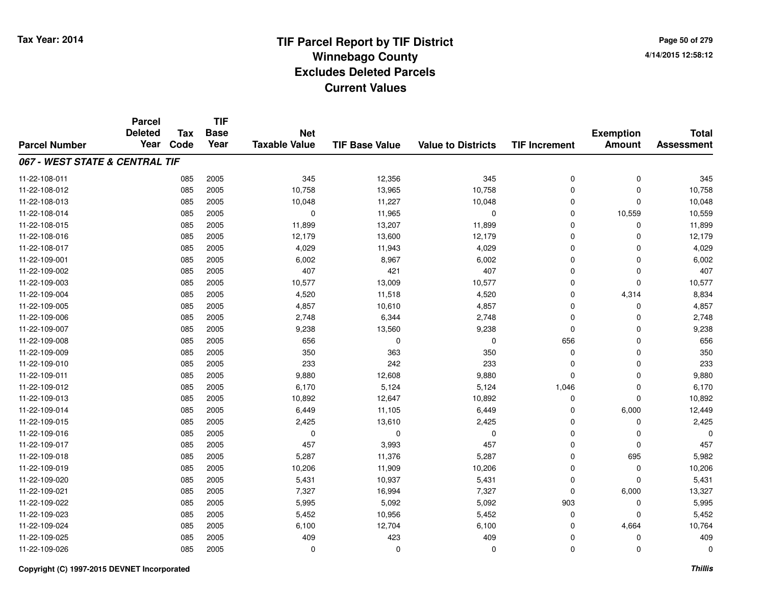**Page 50 of 2794/14/2015 12:58:12**

#### **TIF Base ValueParcel NumberTotal AssessmentExemption Amount Value to Districts TIF IncrementTIF Base YearTax CodeParcel Deleted YearNet Taxable Value067 - WEST STATE & CENTRAL TIF**11-22-108-0111 085 2005 345 12,356 345 0 0 345 11-22-108-0122 085 2005 10,758 13,965 10,758 0 0 10,758 11-22-108-0133 085 2005 10,048 11,227 10,048 0 0 10,048 11-22-108-014 <sup>085</sup> <sup>0</sup> <sup>2005</sup> 11,965 <sup>0</sup> <sup>0</sup> 10,559 10,559 11-22-108-015 <sup>085</sup> 11,899 <sup>2005</sup> 13,207 11,899 <sup>0</sup> <sup>0</sup> 11,899 11-22-108-016 <sup>085</sup> 12,179 <sup>2005</sup> 13,600 12,179 <sup>0</sup> <sup>0</sup> 12,179 11-22-108-017 <sup>085</sup> 4,029 <sup>2005</sup> 11,943 4,029 <sup>0</sup> <sup>0</sup> 4,029 11-22-109-0011 085 2005 6,002 8,967 6,002 0 6,002 11-22-109-0022 085 2005 407 421 407 0 0 407 11-22-109-0033 085 2005 10,577 13,009 10,577 0 0 10,577 11-22-109-004 <sup>085</sup> 4,520 <sup>2005</sup> 11,518 4,520 <sup>0</sup> 4,314 8,834 11-22-109-005 <sup>085</sup> 4,857 <sup>2005</sup> 10,610 4,857 <sup>0</sup> <sup>0</sup> 4,857 11-22-109-006 <sup>085</sup> 2,748 <sup>2005</sup> 6,344 2,748 <sup>0</sup> <sup>0</sup> 2,748 11-22-109-007 <sup>085</sup> 9,238 <sup>2005</sup> 13,560 9,238 <sup>0</sup> <sup>0</sup> 9,238 11-22-109-008 <sup>085</sup> <sup>656</sup> <sup>2005</sup> <sup>0</sup> <sup>0</sup> <sup>656</sup> <sup>0</sup> <sup>656</sup> 11-22-109-009 <sup>085</sup> <sup>350</sup> <sup>2005</sup> <sup>363</sup> <sup>350</sup> <sup>0</sup> <sup>0</sup> <sup>350</sup> 11-22-109-0100 085 2005 233 242 233 0 0 233 11-22-109-0111 085 2005 9,880 12,608 9,880 0 0 9,880 11-22-109-012 <sup>085</sup> 6,170 <sup>2005</sup> 5,124 5,124 1,046 <sup>0</sup> 6,170 11-22-109-0133 085 2005 10,892 12,647 10,892 0 0 10,892 11-22-109-014 <sup>085</sup> 6,449 <sup>2005</sup> 11,105 6,449 <sup>0</sup> 6,000 12,449 11-22-109-0155 085 2005 2,425 13,610 2,425 0 0 2,425 11-22-109-016 <sup>085</sup> <sup>0</sup> <sup>2005</sup> <sup>0</sup> <sup>0</sup> <sup>0</sup> <sup>0</sup> <sup>0</sup> 11-22-109-017 <sup>085</sup> <sup>457</sup> <sup>2005</sup> 3,993 <sup>457</sup> <sup>0</sup> <sup>0</sup> <sup>457</sup> 11-22-109-018 <sup>085</sup> 5,287 <sup>2005</sup> 11,376 5,287 <sup>0</sup> <sup>695</sup> 5,982 11-22-109-0199 085 2005 10,206 11,909 10,206 0 0 10,206 11-22-109-0200 085 2005 5,431 10,937 5,431 0 0 5,431 11-22-109-0211 085 2005 7,327 16,994 7,327 0 6,000 13,327 11-22-109-022 <sup>085</sup> 5,995 <sup>2005</sup> 5,092 5,092 <sup>903</sup> <sup>0</sup> 5,995 11-22-109-0233 085 2005 5,452 10,956 5,452 0 0 5,452 11-22-109-024 <sup>085</sup> 6,100 <sup>2005</sup> 12,704 6,100 <sup>0</sup> 4,664 10,764 11-22-109-025 <sup>085</sup> <sup>409</sup> <sup>2005</sup> <sup>423</sup> <sup>409</sup> <sup>0</sup> <sup>0</sup> <sup>409</sup> 11-22-109-026<sup>085</sup> <sup>0</sup> <sup>2005</sup> <sup>0</sup> <sup>0</sup> <sup>0</sup> <sup>0</sup> <sup>0</sup>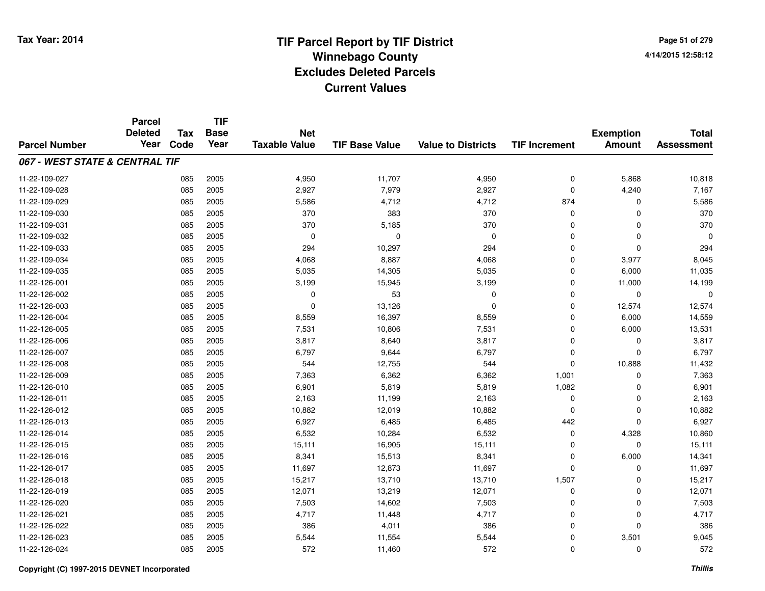#### **TIF Base ValueParcel NumberTotal AssessmentExemption Amount Value to Districts TIF IncrementTIF Base YearTax CodeParcel Deleted YearNet Taxable Value067 - WEST STATE & CENTRAL TIF**11-22-109-027 <sup>085</sup> 4,950 <sup>2005</sup> 11,707 4,950 <sup>0</sup> 5,868 10,818 11-22-109-028 <sup>085</sup> 2,927 <sup>2005</sup> 7,979 2,927 <sup>0</sup> 4,240 7,167 11-22-109-0299 085 2005 5,586 4,712 4,712 874 0 5,586 11-22-109-030 <sup>085</sup> <sup>370</sup> <sup>2005</sup> <sup>383</sup> <sup>370</sup> <sup>0</sup> <sup>0</sup> <sup>370</sup> 11-22-109-0311 085 2005 370 5,185 370 0 0 370 11-22-109-032 <sup>085</sup> <sup>0</sup> <sup>2005</sup> <sup>0</sup> <sup>0</sup> <sup>0</sup> <sup>0</sup> <sup>0</sup> 11-22-109-0333 085 2005 294 10,297 294 0 0 294 11-22-109-034 <sup>085</sup> 4,068 <sup>2005</sup> 8,887 4,068 <sup>0</sup> 3,977 8,045 11-22-109-0355 085 2005 5,035 14,305 5,035 0 6,000 11,035 11-22-126-0011 085 2005 3,199 15,945 3,199 0 11,000 14,199 11-22-126-002 <sup>085</sup> <sup>0</sup> <sup>2005</sup> <sup>53</sup> <sup>0</sup> <sup>0</sup> <sup>0</sup> <sup>0</sup> 11-22-126-0033 085 2005 0 13,126 0 12,574 11-22-126-004 <sup>085</sup> 8,559 <sup>2005</sup> 16,397 8,559 <sup>0</sup> 6,000 14,559 11-22-126-005 <sup>085</sup> 7,531 <sup>2005</sup> 10,806 7,531 <sup>0</sup> 6,000 13,531 11-22-126-006 <sup>085</sup> 3,817 <sup>2005</sup> 8,640 3,817 <sup>0</sup> <sup>0</sup> 3,817 11-22-126-007 <sup>085</sup> 6,797 <sup>2005</sup> 9,644 6,797 <sup>0</sup> <sup>0</sup> 6,797 11-22-126-008 <sup>085</sup> <sup>544</sup> <sup>2005</sup> 12,755 <sup>544</sup> <sup>0</sup> 10,888 11,432 11-22-126-0099 085 2005 7,363 6,362 6,362 1,001 0 7,363 11-22-126-0100 085 2005 6,901 5,819 5,819 1,082 0 6,901 11-22-126-0111 085 2005 2,163 11,199 2,163 0 0 2,163 11-22-126-0122 2 3 10,882 10,882 10,882 12,019 10,882 10,882 0 10,882 0 0 10,882 0 10,882 0 0 10,882 0 0 10,882 1 <mark>1</mark>0,882 10,982 11-22-126-0133 085 2005 6,927 6,485 6,485 442 0 6,927 11-22-126-0144 085 2005 6,532 10,284 6,532 0 4,328 10,860 11-22-126-015 <sup>085</sup> 15,111 <sup>2005</sup> 16,905 15,111 <sup>0</sup> <sup>0</sup> 15,111 11-22-126-016 <sup>085</sup> 8,341 <sup>2005</sup> 15,513 8,341 <sup>0</sup> 6,000 14,341 11-22-126-017 <sup>085</sup> 11,697 <sup>2005</sup> 12,873 11,697 <sup>0</sup> <sup>0</sup> 11,697 11-22-126-018 <sup>085</sup> 15,217 <sup>2005</sup> 13,710 13,710 1,507 <sup>0</sup> 15,217 11-22-126-019 <sup>085</sup> 12,071 <sup>2005</sup> 13,219 12,071 <sup>0</sup> <sup>0</sup> 12,071 11-22-126-0200 085 2005 7,503 14,602 7,503 0 7,503 11-22-126-0211 085 2005 4,717 11,448 4,717 0 0 4,717 11-22-126-0222 085 2005 386 4,011 386 0 0 386 11-22-126-0233 085 2005 5,544 11,554 5,544 0 3,501 9,045 11-22-126-024<sup>085</sup> <sup>572</sup> <sup>2005</sup> 11,460 <sup>572</sup> <sup>0</sup> <sup>0</sup> <sup>572</sup>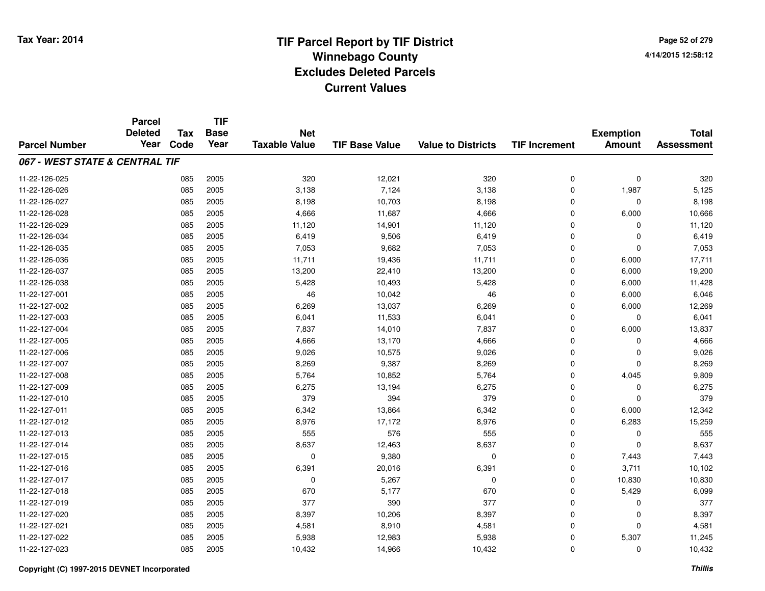**TIF**

**Parcel**

**Page 52 of 2794/14/2015 12:58:12**

| <b>Parcel Number</b>           | <b>urvo</b><br><b>Deleted</b><br>Year | <b>Tax</b><br>Code | <b>Base</b><br>Year | <b>Net</b><br><b>Taxable Value</b> | <b>TIF Base Value</b> | <b>Value to Districts</b> | <b>TIF Increment</b> | <b>Exemption</b><br><b>Amount</b> | <b>Total</b><br><b>Assessment</b> |
|--------------------------------|---------------------------------------|--------------------|---------------------|------------------------------------|-----------------------|---------------------------|----------------------|-----------------------------------|-----------------------------------|
| 067 - WEST STATE & CENTRAL TIF |                                       |                    |                     |                                    |                       |                           |                      |                                   |                                   |
| 11-22-126-025                  |                                       | 085                | 2005                | 320                                | 12,021                | 320                       | 0                    | $\mathbf 0$                       | 320                               |
| 11-22-126-026                  |                                       | 085                | 2005                | 3,138                              | 7,124                 | 3,138                     | 0                    | 1,987                             | 5,125                             |
| 11-22-126-027                  |                                       | 085                | 2005                | 8,198                              | 10,703                | 8,198                     | 0                    | 0                                 | 8,198                             |
| 11-22-126-028                  |                                       | 085                | 2005                | 4,666                              | 11,687                | 4,666                     | 0                    | 6,000                             | 10,666                            |
| 11-22-126-029                  |                                       | 085                | 2005                | 11,120                             | 14,901                | 11,120                    | 0                    | 0                                 | 11,120                            |
| 11-22-126-034                  |                                       | 085                | 2005                | 6,419                              | 9,506                 | 6,419                     | 0                    | $\Omega$                          | 6,419                             |
| 11-22-126-035                  |                                       | 085                | 2005                | 7,053                              | 9,682                 | 7,053                     | 0                    | $\Omega$                          | 7,053                             |
| 11-22-126-036                  |                                       | 085                | 2005                | 11,711                             | 19,436                | 11,711                    | $\mathbf 0$          | 6,000                             | 17,711                            |
| 11-22-126-037                  |                                       | 085                | 2005                | 13,200                             | 22,410                | 13,200                    | $\mathbf 0$          | 6,000                             | 19,200                            |
| 11-22-126-038                  |                                       | 085                | 2005                | 5,428                              | 10,493                | 5,428                     | $\mathbf 0$          | 6,000                             | 11,428                            |
| 11-22-127-001                  |                                       | 085                | 2005                | 46                                 | 10,042                | 46                        | 0                    | 6,000                             | 6,046                             |
| 11-22-127-002                  |                                       | 085                | 2005                | 6,269                              | 13,037                | 6,269                     | 0                    | 6,000                             | 12,269                            |
| 11-22-127-003                  |                                       | 085                | 2005                | 6,041                              | 11,533                | 6,041                     | 0                    | $\mathbf 0$                       | 6,041                             |
| 11-22-127-004                  |                                       | 085                | 2005                | 7,837                              | 14,010                | 7,837                     | 0                    | 6,000                             | 13,837                            |
| 11-22-127-005                  |                                       | 085                | 2005                | 4,666                              | 13,170                | 4,666                     | 0                    | $\Omega$                          | 4,666                             |
| 11-22-127-006                  |                                       | 085                | 2005                | 9,026                              | 10,575                | 9,026                     | $\mathbf 0$          | $\Omega$                          | 9,026                             |
| 11-22-127-007                  |                                       | 085                | 2005                | 8,269                              | 9,387                 | 8,269                     | $\mathbf 0$          | $\Omega$                          | 8,269                             |
| 11-22-127-008                  |                                       | 085                | 2005                | 5,764                              | 10,852                | 5,764                     | $\mathbf 0$          | 4,045                             | 9,809                             |
| 11-22-127-009                  |                                       | 085                | 2005                | 6,275                              | 13,194                | 6,275                     | $\mathbf 0$          | 0                                 | 6,275                             |
| 11-22-127-010                  |                                       | 085                | 2005                | 379                                | 394                   | 379                       | 0                    | $\Omega$                          | 379                               |
| 11-22-127-011                  |                                       | 085                | 2005                | 6,342                              | 13,864                | 6,342                     | 0                    | 6,000                             | 12,342                            |
| 11-22-127-012                  |                                       | 085                | 2005                | 8,976                              | 17,172                | 8,976                     | 0                    | 6,283                             | 15,259                            |
| 11-22-127-013                  |                                       | 085                | 2005                | 555                                | 576                   | 555                       | 0                    | 0                                 | 555                               |
| 11-22-127-014                  |                                       | 085                | 2005                | 8,637                              | 12,463                | 8,637                     | 0                    | $\Omega$                          | 8,637                             |
| 11-22-127-015                  |                                       | 085                | 2005                | $\Omega$                           | 9,380                 | $\mathbf 0$               | $\mathbf 0$          | 7,443                             | 7,443                             |
| 11-22-127-016                  |                                       | 085                | 2005                | 6,391                              | 20,016                | 6,391                     | $\mathbf 0$          | 3,711                             | 10,102                            |
| 11-22-127-017                  |                                       | 085                | 2005                | 0                                  | 5,267                 | $\Omega$                  | $\mathbf 0$          | 10,830                            | 10,830                            |
| 11-22-127-018                  |                                       | 085                | 2005                | 670                                | 5,177                 | 670                       | 0                    | 5,429                             | 6,099                             |
| 11-22-127-019                  |                                       | 085                | 2005                | 377                                | 390                   | 377                       | 0                    | 0                                 | 377                               |
| 11-22-127-020                  |                                       | 085                | 2005                | 8,397                              | 10,206                | 8,397                     | 0                    | 0                                 | 8,397                             |
| 11-22-127-021                  |                                       | 085                | 2005                | 4,581                              | 8,910                 | 4,581                     | 0                    | $\Omega$                          | 4,581                             |
| 11-22-127-022                  |                                       | 085                | 2005                | 5,938                              | 12,983                | 5,938                     | 0                    | 5,307                             | 11,245                            |
| 11-22-127-023                  |                                       | 085                | 2005                | 10,432                             | 14,966                | 10,432                    | 0                    | 0                                 | 10,432                            |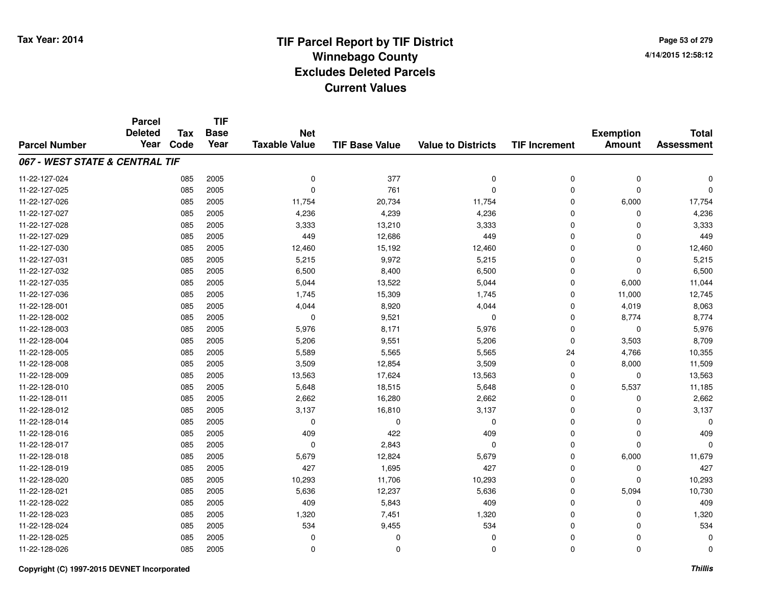**TIF**

**Parcel**

**Page 53 of 2794/14/2015 12:58:12**

| <b>Parcel Number</b>           | arvu<br><b>Deleted</b><br>Year | <b>Tax</b><br>Code | .<br><b>Base</b><br>Year | <b>Net</b><br><b>Taxable Value</b> | <b>TIF Base Value</b> | <b>Value to Districts</b> | <b>TIF Increment</b> | <b>Exemption</b><br><b>Amount</b> | <b>Total</b><br><b>Assessment</b> |
|--------------------------------|--------------------------------|--------------------|--------------------------|------------------------------------|-----------------------|---------------------------|----------------------|-----------------------------------|-----------------------------------|
| 067 - WEST STATE & CENTRAL TIF |                                |                    |                          |                                    |                       |                           |                      |                                   |                                   |
| 11-22-127-024                  |                                | 085                | 2005                     | $\mathbf 0$                        | 377                   | 0                         | 0                    | $\mathbf 0$                       | $\Omega$                          |
| 11-22-127-025                  |                                | 085                | 2005                     | $\Omega$                           | 761                   | $\mathbf 0$               | $\mathbf 0$          | $\mathbf 0$                       | $\Omega$                          |
| 11-22-127-026                  |                                | 085                | 2005                     | 11,754                             | 20,734                | 11,754                    | $\mathbf 0$          | 6,000                             | 17,754                            |
| 11-22-127-027                  |                                | 085                | 2005                     | 4,236                              | 4,239                 | 4,236                     | 0                    | $\Omega$                          | 4,236                             |
| 11-22-127-028                  |                                | 085                | 2005                     | 3,333                              | 13,210                | 3,333                     | 0                    | $\Omega$                          | 3,333                             |
| 11-22-127-029                  |                                | 085                | 2005                     | 449                                | 12,686                | 449                       | 0                    | $\Omega$                          | 449                               |
| 11-22-127-030                  |                                | 085                | 2005                     | 12,460                             | 15,192                | 12,460                    | 0                    | 0                                 | 12,460                            |
| 11-22-127-031                  |                                | 085                | 2005                     | 5,215                              | 9,972                 | 5,215                     | 0                    | $\Omega$                          | 5,215                             |
| 11-22-127-032                  |                                | 085                | 2005                     | 6,500                              | 8,400                 | 6,500                     | $\mathbf 0$          | $\Omega$                          | 6,500                             |
| 11-22-127-035                  |                                | 085                | 2005                     | 5,044                              | 13,522                | 5,044                     | $\mathbf 0$          | 6,000                             | 11,044                            |
| 11-22-127-036                  |                                | 085                | 2005                     | 1,745                              | 15,309                | 1,745                     | $\mathbf 0$          | 11,000                            | 12,745                            |
| 11-22-128-001                  |                                | 085                | 2005                     | 4,044                              | 8,920                 | 4,044                     | $\mathbf 0$          | 4,019                             | 8,063                             |
| 11-22-128-002                  |                                | 085                | 2005                     | $\mathbf 0$                        | 9,521                 | 0                         | $\mathbf 0$          | 8,774                             | 8,774                             |
| 11-22-128-003                  |                                | 085                | 2005                     | 5,976                              | 8,171                 | 5,976                     | $\mathbf 0$          | 0                                 | 5,976                             |
| 11-22-128-004                  |                                | 085                | 2005                     | 5,206                              | 9,551                 | 5,206                     | $\mathbf 0$          | 3,503                             | 8,709                             |
| 11-22-128-005                  |                                | 085                | 2005                     | 5,589                              | 5,565                 | 5,565                     | 24                   | 4,766                             | 10,355                            |
| 11-22-128-008                  |                                | 085                | 2005                     | 3,509                              | 12,854                | 3,509                     | 0                    | 8,000                             | 11,509                            |
| 11-22-128-009                  |                                | 085                | 2005                     | 13,563                             | 17,624                | 13,563                    | 0                    | 0                                 | 13,563                            |
| 11-22-128-010                  |                                | 085                | 2005                     | 5,648                              | 18,515                | 5,648                     | 0                    | 5,537                             | 11,185                            |
| 11-22-128-011                  |                                | 085                | 2005                     | 2,662                              | 16,280                | 2,662                     | 0                    | 0                                 | 2,662                             |
| 11-22-128-012                  |                                | 085                | 2005                     | 3,137                              | 16,810                | 3,137                     | 0                    | $\Omega$                          | 3,137                             |
| 11-22-128-014                  |                                | 085                | 2005                     | $\Omega$                           | $\Omega$              | $\Omega$                  | $\mathbf 0$          | $\Omega$                          | $\Omega$                          |
| 11-22-128-016                  |                                | 085                | 2005                     | 409                                | 422                   | 409                       | $\mathbf 0$          | $\mathbf 0$                       | 409                               |
| 11-22-128-017                  |                                | 085                | 2005                     | $\mathbf 0$                        | 2,843                 | $\Omega$                  | $\mathbf 0$          | $\Omega$                          | $\Omega$                          |
| 11-22-128-018                  |                                | 085                | 2005                     | 5,679                              | 12,824                | 5,679                     | $\mathbf 0$          | 6,000                             | 11,679                            |
| 11-22-128-019                  |                                | 085                | 2005                     | 427                                | 1,695                 | 427                       | $\mathbf 0$          | 0                                 | 427                               |
| 11-22-128-020                  |                                | 085                | 2005                     | 10,293                             | 11,706                | 10,293                    | 0                    | $\Omega$                          | 10,293                            |
| 11-22-128-021                  |                                | 085                | 2005                     | 5,636                              | 12,237                | 5,636                     | 0                    | 5,094                             | 10,730                            |
| 11-22-128-022                  |                                | 085                | 2005                     | 409                                | 5,843                 | 409                       | 0                    | 0                                 | 409                               |
| 11-22-128-023                  |                                | 085                | 2005                     | 1,320                              | 7,451                 | 1,320                     | 0                    | $\Omega$                          | 1,320                             |
| 11-22-128-024                  |                                | 085                | 2005                     | 534                                | 9,455                 | 534                       | 0                    | 0                                 | 534                               |
| 11-22-128-025                  |                                | 085                | 2005                     | 0                                  | 0                     | $\Omega$                  | 0                    | 0                                 | 0                                 |
| 11-22-128-026                  |                                | 085                | 2005                     | 0                                  | $\mathbf 0$           | 0                         | 0                    | $\mathbf 0$                       | 0                                 |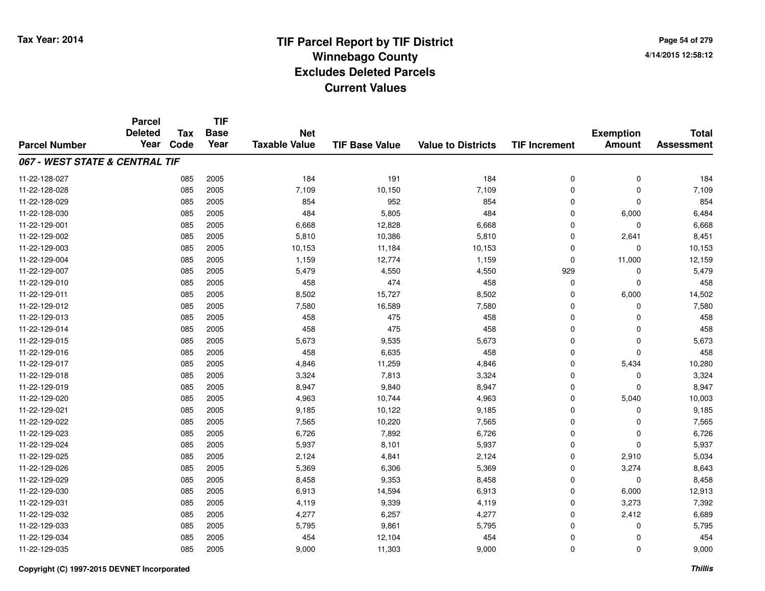**Page 54 of 2794/14/2015 12:58:12**

|                                | <b>Parcel</b><br><b>Deleted</b> | <b>Tax</b> | <b>TIF</b><br><b>Base</b> | <b>Net</b>           |                       |                           |                      | <b>Exemption</b> | <b>Total</b>      |
|--------------------------------|---------------------------------|------------|---------------------------|----------------------|-----------------------|---------------------------|----------------------|------------------|-------------------|
| <b>Parcel Number</b>           | Year                            | Code       | Year                      | <b>Taxable Value</b> | <b>TIF Base Value</b> | <b>Value to Districts</b> | <b>TIF Increment</b> | <b>Amount</b>    | <b>Assessment</b> |
| 067 - WEST STATE & CENTRAL TIF |                                 |            |                           |                      |                       |                           |                      |                  |                   |
| 11-22-128-027                  |                                 | 085        | 2005                      | 184                  | 191                   | 184                       | $\mathbf 0$          | $\mathbf 0$      | 184               |
| 11-22-128-028                  |                                 | 085        | 2005                      | 7,109                | 10,150                | 7,109                     | $\mathbf 0$          | $\mathbf 0$      | 7,109             |
| 11-22-128-029                  |                                 | 085        | 2005                      | 854                  | 952                   | 854                       | $\mathbf 0$          | $\mathbf 0$      | 854               |
| 11-22-128-030                  |                                 | 085        | 2005                      | 484                  | 5,805                 | 484                       | 0                    | 6,000            | 6,484             |
| 11-22-129-001                  |                                 | 085        | 2005                      | 6,668                | 12,828                | 6,668                     | $\mathbf 0$          | $\mathbf{0}$     | 6,668             |
| 11-22-129-002                  |                                 | 085        | 2005                      | 5,810                | 10,386                | 5,810                     | 0                    | 2,641            | 8,451             |
| 11-22-129-003                  |                                 | 085        | 2005                      | 10,153               | 11,184                | 10,153                    | $\mathbf 0$          | 0                | 10,153            |
| 11-22-129-004                  |                                 | 085        | 2005                      | 1,159                | 12,774                | 1,159                     | $\mathbf 0$          | 11,000           | 12,159            |
| 11-22-129-007                  |                                 | 085        | 2005                      | 5,479                | 4,550                 | 4,550                     | 929                  | $\mathbf{0}$     | 5,479             |
| 11-22-129-010                  |                                 | 085        | 2005                      | 458                  | 474                   | 458                       | $\mathbf 0$          | $\mathbf 0$      | 458               |
| 11-22-129-011                  |                                 | 085        | 2005                      | 8,502                | 15,727                | 8,502                     | $\mathbf 0$          | 6,000            | 14,502            |
| 11-22-129-012                  |                                 | 085        | 2005                      | 7,580                | 16,589                | 7,580                     | 0                    | 0                | 7,580             |
| 11-22-129-013                  |                                 | 085        | 2005                      | 458                  | 475                   | 458                       | 0                    | $\Omega$         | 458               |
| 11-22-129-014                  |                                 | 085        | 2005                      | 458                  | 475                   | 458                       | 0                    | 0                | 458               |
| 11-22-129-015                  |                                 | 085        | 2005                      | 5,673                | 9,535                 | 5,673                     | 0                    | 0                | 5,673             |
| 11-22-129-016                  |                                 | 085        | 2005                      | 458                  | 6,635                 | 458                       | 0                    | $\mathbf 0$      | 458               |
| 11-22-129-017                  |                                 | 085        | 2005                      | 4,846                | 11,259                | 4,846                     | $\mathbf 0$          | 5,434            | 10,280            |
| 11-22-129-018                  |                                 | 085        | 2005                      | 3,324                | 7,813                 | 3,324                     | 0                    | 0                | 3,324             |
| 11-22-129-019                  |                                 | 085        | 2005                      | 8,947                | 9,840                 | 8,947                     | $\mathbf 0$          | $\mathbf 0$      | 8,947             |
| 11-22-129-020                  |                                 | 085        | 2005                      | 4,963                | 10,744                | 4,963                     | 0                    | 5,040            | 10,003            |
| 11-22-129-021                  |                                 | 085        | 2005                      | 9,185                | 10,122                | 9,185                     | $\mathbf 0$          | $\mathbf 0$      | 9,185             |
| 11-22-129-022                  |                                 | 085        | 2005                      | 7,565                | 10,220                | 7,565                     | $\mathbf 0$          | 0                | 7,565             |
| 11-22-129-023                  |                                 | 085        | 2005                      | 6,726                | 7,892                 | 6,726                     | $\mathbf 0$          | $\mathbf 0$      | 6,726             |
| 11-22-129-024                  |                                 | 085        | 2005                      | 5,937                | 8,101                 | 5,937                     | $\mathbf 0$          | $\mathbf 0$      | 5,937             |
| 11-22-129-025                  |                                 | 085        | 2005                      | 2,124                | 4,841                 | 2,124                     | $\mathbf 0$          | 2,910            | 5,034             |
| 11-22-129-026                  |                                 | 085        | 2005                      | 5,369                | 6,306                 | 5,369                     | $\mathbf 0$          | 3,274            | 8,643             |
| 11-22-129-029                  |                                 | 085        | 2005                      | 8,458                | 9,353                 | 8,458                     | $\mathbf 0$          | $\mathbf 0$      | 8,458             |
| 11-22-129-030                  |                                 | 085        | 2005                      | 6,913                | 14,594                | 6,913                     | $\mathbf 0$          | 6,000            | 12,913            |
| 11-22-129-031                  |                                 | 085        | 2005                      | 4,119                | 9,339                 | 4,119                     | $\mathbf 0$          | 3,273            | 7,392             |
| 11-22-129-032                  |                                 | 085        | 2005                      | 4,277                | 6,257                 | 4,277                     | 0                    | 2,412            | 6,689             |
| 11-22-129-033                  |                                 | 085        | 2005                      | 5,795                | 9,861                 | 5,795                     | 0                    | $\mathbf 0$      | 5,795             |
| 11-22-129-034                  |                                 | 085        | 2005                      | 454                  | 12,104                | 454                       | $\Omega$             | 0                | 454               |
| 11-22-129-035                  |                                 | 085        | 2005                      | 9,000                | 11,303                | 9,000                     | $\mathbf 0$          | $\mathbf{0}$     | 9,000             |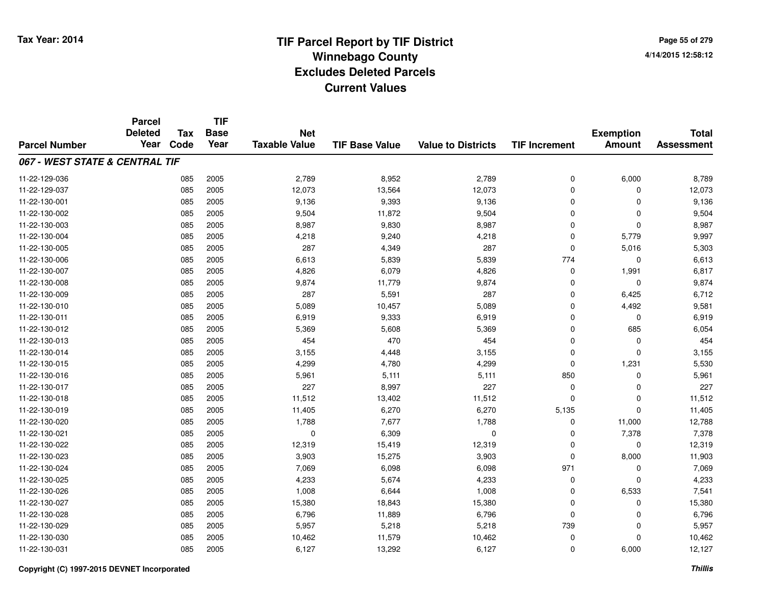|                                | <b>Parcel</b><br><b>Deleted</b> | <b>Tax</b> | <b>TIF</b><br><b>Base</b> | <b>Net</b>           |                       |                           |                      | <b>Exemption</b> | <b>Total</b>      |
|--------------------------------|---------------------------------|------------|---------------------------|----------------------|-----------------------|---------------------------|----------------------|------------------|-------------------|
| <b>Parcel Number</b>           | Year                            | Code       | Year                      | <b>Taxable Value</b> | <b>TIF Base Value</b> | <b>Value to Districts</b> | <b>TIF Increment</b> | <b>Amount</b>    | <b>Assessment</b> |
| 067 - WEST STATE & CENTRAL TIF |                                 |            |                           |                      |                       |                           |                      |                  |                   |
| 11-22-129-036                  |                                 | 085        | 2005                      | 2,789                | 8,952                 | 2,789                     | $\mathbf 0$          | 6,000            | 8,789             |
| 11-22-129-037                  |                                 | 085        | 2005                      | 12,073               | 13,564                | 12,073                    | $\mathbf 0$          | $\mathbf 0$      | 12,073            |
| 11-22-130-001                  |                                 | 085        | 2005                      | 9,136                | 9,393                 | 9,136                     | $\mathbf 0$          | $\mathbf 0$      | 9,136             |
| 11-22-130-002                  |                                 | 085        | 2005                      | 9,504                | 11,872                | 9,504                     | $\mathbf 0$          | $\mathbf{0}$     | 9,504             |
| 11-22-130-003                  |                                 | 085        | 2005                      | 8,987                | 9,830                 | 8,987                     | $\mathbf 0$          | $\mathbf 0$      | 8,987             |
| 11-22-130-004                  |                                 | 085        | 2005                      | 4,218                | 9,240                 | 4,218                     | $\mathbf 0$          | 5,779            | 9,997             |
| 11-22-130-005                  |                                 | 085        | 2005                      | 287                  | 4,349                 | 287                       | $\mathbf 0$          | 5,016            | 5,303             |
| 11-22-130-006                  |                                 | 085        | 2005                      | 6,613                | 5,839                 | 5,839                     | 774                  | $\mathbf 0$      | 6,613             |
| 11-22-130-007                  |                                 | 085        | 2005                      | 4,826                | 6,079                 | 4,826                     | 0                    | 1,991            | 6,817             |
| 11-22-130-008                  |                                 | 085        | 2005                      | 9,874                | 11,779                | 9,874                     | $\mathbf 0$          | $\mathbf{0}$     | 9,874             |
| 11-22-130-009                  |                                 | 085        | 2005                      | 287                  | 5,591                 | 287                       | $\mathbf 0$          | 6,425            | 6,712             |
| 11-22-130-010                  |                                 | 085        | 2005                      | 5,089                | 10,457                | 5,089                     | $\mathbf 0$          | 4,492            | 9,581             |
| 11-22-130-011                  |                                 | 085        | 2005                      | 6,919                | 9,333                 | 6,919                     | $\mathbf 0$          | $\mathbf{0}$     | 6,919             |
| 11-22-130-012                  |                                 | 085        | 2005                      | 5,369                | 5,608                 | 5,369                     | $\mathbf 0$          | 685              | 6,054             |
| 11-22-130-013                  |                                 | 085        | 2005                      | 454                  | 470                   | 454                       | $\mathbf 0$          | $\mathbf 0$      | 454               |
| 11-22-130-014                  |                                 | 085        | 2005                      | 3,155                | 4,448                 | 3,155                     | 0                    | $\mathbf 0$      | 3,155             |
| 11-22-130-015                  |                                 | 085        | 2005                      | 4,299                | 4,780                 | 4,299                     | $\mathbf 0$          | 1,231            | 5,530             |
| 11-22-130-016                  |                                 | 085        | 2005                      | 5,961                | 5,111                 | 5,111                     | 850                  | $\mathbf 0$      | 5,961             |
| 11-22-130-017                  |                                 | 085        | 2005                      | 227                  | 8,997                 | 227                       | $\mathbf 0$          | $\mathbf 0$      | 227               |
| 11-22-130-018                  |                                 | 085        | 2005                      | 11,512               | 13,402                | 11,512                    | $\mathbf 0$          | 0                | 11,512            |
| 11-22-130-019                  |                                 | 085        | 2005                      | 11,405               | 6,270                 | 6,270                     | 5,135                | $\mathbf 0$      | 11,405            |
| 11-22-130-020                  |                                 | 085        | 2005                      | 1,788                | 7,677                 | 1,788                     | 0                    | 11,000           | 12,788            |
| 11-22-130-021                  |                                 | 085        | 2005                      | 0                    | 6,309                 | 0                         | 0                    | 7,378            | 7,378             |
| 11-22-130-022                  |                                 | 085        | 2005                      | 12,319               | 15,419                | 12,319                    | $\mathbf 0$          | $\mathbf 0$      | 12,319            |
| 11-22-130-023                  |                                 | 085        | 2005                      | 3,903                | 15,275                | 3,903                     | $\mathbf 0$          | 8,000            | 11,903            |
| 11-22-130-024                  |                                 | 085        | 2005                      | 7,069                | 6,098                 | 6,098                     | 971                  | $\mathbf 0$      | 7,069             |
| 11-22-130-025                  |                                 | 085        | 2005                      | 4,233                | 5,674                 | 4,233                     | $\mathbf 0$          | $\Omega$         | 4,233             |
| 11-22-130-026                  |                                 | 085        | 2005                      | 1,008                | 6,644                 | 1,008                     | $\mathbf 0$          | 6,533            | 7,541             |
| 11-22-130-027                  |                                 | 085        | 2005                      | 15,380               | 18,843                | 15,380                    | $\mathbf 0$          | $\mathbf 0$      | 15,380            |
| 11-22-130-028                  |                                 | 085        | 2005                      | 6,796                | 11,889                | 6,796                     | $\mathbf 0$          | $\mathbf 0$      | 6,796             |
| 11-22-130-029                  |                                 | 085        | 2005                      | 5,957                | 5,218                 | 5,218                     | 739                  | $\Omega$         | 5,957             |
| 11-22-130-030                  |                                 | 085        | 2005                      | 10,462               | 11,579                | 10,462                    | $\mathbf 0$          | $\Omega$         | 10,462            |
| 11-22-130-031                  |                                 | 085        | 2005                      | 6,127                | 13,292                | 6,127                     | $\mathbf 0$          | 6,000            | 12,127            |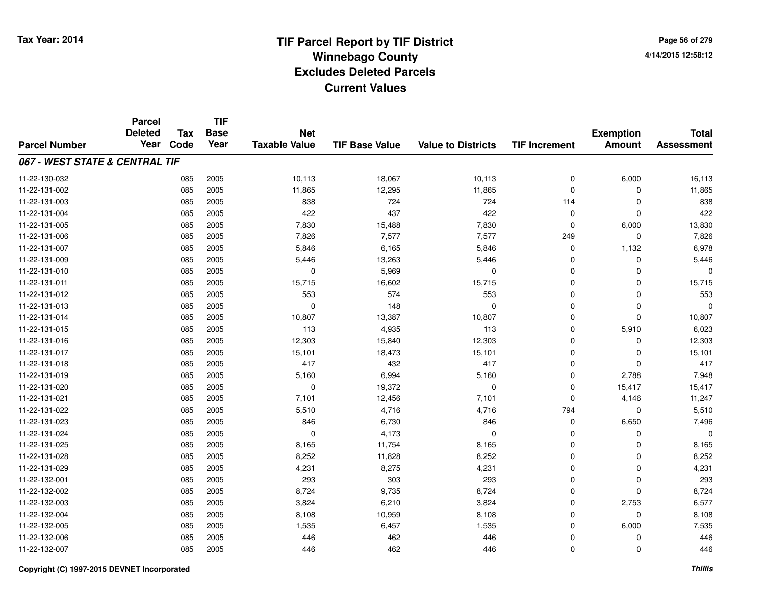**TIF**

**Parcel**

**Page 56 of 2794/14/2015 12:58:12**

#### **TIF Base ValueParcel NumberTotal AssessmentExemption Amount Value to Districts TIF Increment Base YearTax Code Deleted YearNet Taxable Value067 - WEST STATE & CENTRAL TIF**11-22-130-0322 085 2005 10,113 18,067 10,113 0 6,000 16,113 11-22-131-002 <sup>085</sup> 11,865 <sup>2005</sup> 12,295 11,865 <sup>0</sup> <sup>0</sup> 11,865 11-22-131-003 <sup>085</sup> <sup>838</sup> <sup>2005</sup> <sup>724</sup> <sup>724</sup> <sup>114</sup> <sup>0</sup> <sup>838</sup> 11-22-131-004 <sup>085</sup> <sup>422</sup> <sup>2005</sup> <sup>437</sup> <sup>422</sup> <sup>0</sup> <sup>0</sup> <sup>422</sup> 11-22-131-005 <sup>085</sup> 7,830 <sup>2005</sup> 15,488 7,830 <sup>0</sup> 6,000 13,830 11-22-131-0066 085 2005 7,826 7,577 7,577 249 0 7,826 11-22-131-007 <sup>085</sup> 5,846 <sup>2005</sup> 6,165 5,846 <sup>0</sup> 1,132 6,978 11-22-131-0099 085 2005 5,446 13,263 5,446 0 0 5,446 11-22-131-0100 085 2005 0 5,969 0 0 0 0 11-22-131-0111 085 2005 15,715 16,602 15,715 0 0 15,715 11-22-131-012 <sup>085</sup> <sup>553</sup> <sup>2005</sup> <sup>574</sup> <sup>553</sup> <sup>0</sup> <sup>0</sup> <sup>553</sup> 11-22-131-0133 085 2005 0 148 0 0 0 0 11-22-131-0144 2005 2005 10,807 10,807 13,387 10,807 10,007 0 0 0 10,807 11-22-131-015 <sup>085</sup> <sup>113</sup> <sup>2005</sup> 4,935 <sup>113</sup> <sup>0</sup> 5,910 6,023 11-22-131-016 <sup>085</sup> 12,303 <sup>2005</sup> 15,840 12,303 <sup>0</sup> <sup>0</sup> 12,303 11-22-131-017 <sup>085</sup> 15,101 <sup>2005</sup> 18,473 15,101 <sup>0</sup> <sup>0</sup> 15,101 11-22-131-0188 085 2005 417 432 417 0 0 417 11-22-131-0199 085 2005 5,160 6,994 5,160 0 2,788 7,948 11-22-131-0200 085 2005 0 19,372 0 15,417 15,417 11-22-131-0211 085 2005 7,101 12,456 7,101 0 4,146 11,247 11-22-131-0222 085 2005 5,510 4,716 4,716 794 0 5,510 11-22-131-0233 085 2005 846 6,730 846 0 6,650 7,496 11-22-131-024 $\frac{4}{10}$  085 2005 0 0  $\frac{4,173}{100}$  0 0 0 0 0 11-22-131-025 <sup>085</sup> 8,165 <sup>2005</sup> 11,754 8,165 <sup>0</sup> <sup>0</sup> 8,165 11-22-131-0288 085 2005 8,252 11,828 8,252 0 8,252 11-22-131-0299 085 2005 4,231 8,275 4,231 0 4,231 11-22-132-0011 085 2005 293 303 293 0 0 293 11-22-132-0022 085 2005 8,724 9,735 8,724 0 0 8,724 11-22-132-0033 085 2005 3,824 6,210 3,824 0 2,753 6,577 11-22-132-004 <sup>085</sup> 8,108 <sup>2005</sup> 10,959 8,108 <sup>0</sup> <sup>0</sup> 8,108 11-22-132-005 <sup>085</sup> 1,535 <sup>2005</sup> 6,457 1,535 <sup>0</sup> 6,000 7,535 11-22-132-006 <sup>085</sup> <sup>446</sup> <sup>2005</sup> <sup>462</sup> <sup>446</sup> <sup>0</sup> <sup>0</sup> <sup>446</sup> 11-22-132-0077 085 2005 446 462 446 0 0 446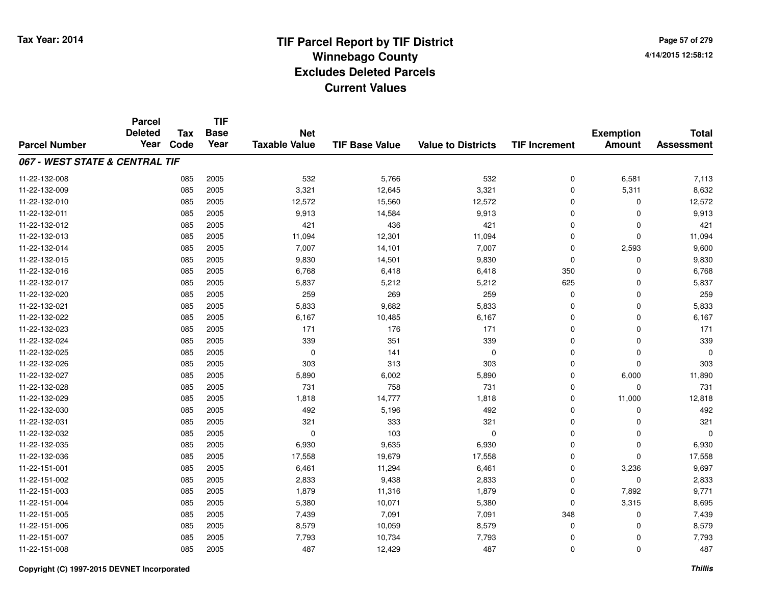**Page 57 of 2794/14/2015 12:58:12**

|                                | <b>Parcel</b>  | <b>Tax</b> | <b>TIF</b>  |                      |                       |                           |                      |                  |                   |
|--------------------------------|----------------|------------|-------------|----------------------|-----------------------|---------------------------|----------------------|------------------|-------------------|
|                                | <b>Deleted</b> |            | <b>Base</b> | <b>Net</b>           |                       |                           |                      | <b>Exemption</b> | <b>Total</b>      |
| <b>Parcel Number</b>           | Year           | Code       | Year        | <b>Taxable Value</b> | <b>TIF Base Value</b> | <b>Value to Districts</b> | <b>TIF Increment</b> | <b>Amount</b>    | <b>Assessment</b> |
| 067 - WEST STATE & CENTRAL TIF |                |            |             |                      |                       |                           |                      |                  |                   |
| 11-22-132-008                  |                | 085        | 2005        | 532                  | 5,766                 | 532                       | 0                    | 6,581            | 7,113             |
| 11-22-132-009                  |                | 085        | 2005        | 3,321                | 12,645                | 3,321                     | 0                    | 5,311            | 8,632             |
| 11-22-132-010                  |                | 085        | 2005        | 12,572               | 15,560                | 12,572                    | 0                    | 0                | 12,572            |
| 11-22-132-011                  |                | 085        | 2005        | 9,913                | 14,584                | 9,913                     | 0                    | $\Omega$         | 9,913             |
| 11-22-132-012                  |                | 085        | 2005        | 421                  | 436                   | 421                       | 0                    | $\Omega$         | 421               |
| 11-22-132-013                  |                | 085        | 2005        | 11,094               | 12,301                | 11,094                    | 0                    | $\Omega$         | 11,094            |
| 11-22-132-014                  |                | 085        | 2005        | 7,007                | 14,101                | 7,007                     | 0                    | 2,593            | 9,600             |
| 11-22-132-015                  |                | 085        | 2005        | 9,830                | 14,501                | 9,830                     | 0                    | $\Omega$         | 9,830             |
| 11-22-132-016                  |                | 085        | 2005        | 6,768                | 6,418                 | 6,418                     | 350                  | $\Omega$         | 6,768             |
| 11-22-132-017                  |                | 085        | 2005        | 5,837                | 5,212                 | 5,212                     | 625                  | $\Omega$         | 5,837             |
| 11-22-132-020                  |                | 085        | 2005        | 259                  | 269                   | 259                       | 0                    | $\Omega$         | 259               |
| 11-22-132-021                  |                | 085        | 2005        | 5,833                | 9,682                 | 5,833                     | 0                    | 0                | 5,833             |
| 11-22-132-022                  |                | 085        | 2005        | 6,167                | 10,485                | 6,167                     | $\mathbf 0$          | $\Omega$         | 6,167             |
| 11-22-132-023                  |                | 085        | 2005        | 171                  | 176                   | 171                       | 0                    | 0                | 171               |
| 11-22-132-024                  |                | 085        | 2005        | 339                  | 351                   | 339                       | 0                    | $\Omega$         | 339               |
| 11-22-132-025                  |                | 085        | 2005        | $\mathbf 0$          | 141                   | 0                         | 0                    | $\mathbf 0$      | $\Omega$          |
| 11-22-132-026                  |                | 085        | 2005        | 303                  | 313                   | 303                       | 0                    | $\mathbf 0$      | 303               |
| 11-22-132-027                  |                | 085        | 2005        | 5,890                | 6,002                 | 5,890                     | 0                    | 6,000            | 11,890            |
| 11-22-132-028                  |                | 085        | 2005        | 731                  | 758                   | 731                       | 0                    | $\mathbf 0$      | 731               |
| 11-22-132-029                  |                | 085        | 2005        | 1,818                | 14,777                | 1,818                     | 0                    | 11,000           | 12,818            |
| 11-22-132-030                  |                | 085        | 2005        | 492                  | 5,196                 | 492                       | 0                    | 0                | 492               |
| 11-22-132-031                  |                | 085        | 2005        | 321                  | 333                   | 321                       | 0                    | $\mathbf 0$      | 321               |
| 11-22-132-032                  |                | 085        | 2005        | 0                    | 103                   | 0                         | 0                    | 0                | $\Omega$          |
| 11-22-132-035                  |                | 085        | 2005        | 6,930                | 9,635                 | 6,930                     | 0                    | $\mathbf 0$      | 6,930             |
| 11-22-132-036                  |                | 085        | 2005        | 17,558               | 19,679                | 17,558                    | 0                    | $\Omega$         | 17,558            |
| 11-22-151-001                  |                | 085        | 2005        | 6,461                | 11,294                | 6,461                     | 0                    | 3,236            | 9,697             |
| 11-22-151-002                  |                | 085        | 2005        | 2,833                | 9,438                 | 2,833                     | 0                    | $\mathbf 0$      | 2,833             |
| 11-22-151-003                  |                | 085        | 2005        | 1,879                | 11,316                | 1,879                     | 0                    | 7,892            | 9,771             |
| 11-22-151-004                  |                | 085        | 2005        | 5,380                | 10,071                | 5,380                     | 0                    | 3,315            | 8,695             |
| 11-22-151-005                  |                | 085        | 2005        | 7,439                | 7,091                 | 7,091                     | 348                  | 0                | 7,439             |
| 11-22-151-006                  |                | 085        | 2005        | 8,579                | 10,059                | 8,579                     | 0                    | $\Omega$         | 8,579             |
| 11-22-151-007                  |                | 085        | 2005        | 7,793                | 10,734                | 7,793                     | 0                    | 0                | 7,793             |
| 11-22-151-008                  |                | 085        | 2005        | 487                  | 12,429                | 487                       | 0                    | $\Omega$         | 487               |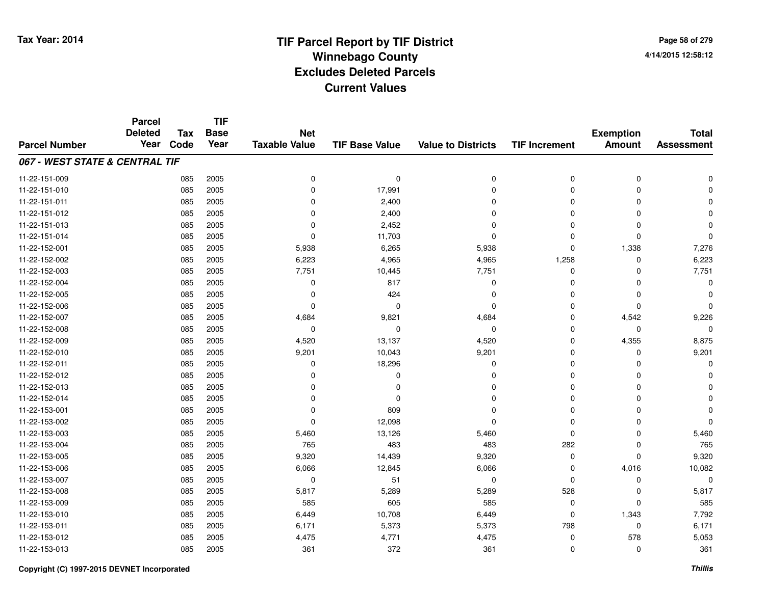**Page 58 of 2794/14/2015 12:58:12**

|                                | <b>Parcel</b><br><b>Deleted</b> | <b>Tax</b> | <b>TIF</b><br><b>Base</b> | <b>Net</b>           |                       |                           |                      | <b>Exemption</b> | <b>Total</b>      |
|--------------------------------|---------------------------------|------------|---------------------------|----------------------|-----------------------|---------------------------|----------------------|------------------|-------------------|
| <b>Parcel Number</b>           | Year                            | Code       | Year                      | <b>Taxable Value</b> | <b>TIF Base Value</b> | <b>Value to Districts</b> | <b>TIF Increment</b> | <b>Amount</b>    | <b>Assessment</b> |
| 067 - WEST STATE & CENTRAL TIF |                                 |            |                           |                      |                       |                           |                      |                  |                   |
| 11-22-151-009                  |                                 | 085        | 2005                      | 0                    | 0                     | 0                         | $\mathbf 0$          | $\pmb{0}$        | $\mathbf 0$       |
| 11-22-151-010                  |                                 | 085        | 2005                      | 0                    | 17,991                | 0                         | 0                    | 0                | $\mathbf 0$       |
| 11-22-151-011                  |                                 | 085        | 2005                      | 0                    | 2,400                 | 0                         | $\Omega$             | 0                | $\mathbf 0$       |
| 11-22-151-012                  |                                 | 085        | 2005                      | $\Omega$             | 2,400                 | 0                         | $\Omega$             | $\mathbf 0$      | $\mathbf 0$       |
| 11-22-151-013                  |                                 | 085        | 2005                      | 0                    | 2,452                 | 0                         | $\Omega$             | $\mathbf 0$      | $\mathbf 0$       |
| 11-22-151-014                  |                                 | 085        | 2005                      | $\Omega$             | 11,703                | 0                         | $\Omega$             | $\mathbf 0$      | $\Omega$          |
| 11-22-152-001                  |                                 | 085        | 2005                      | 5,938                | 6,265                 | 5,938                     | $\mathbf 0$          | 1,338            | 7,276             |
| 11-22-152-002                  |                                 | 085        | 2005                      | 6,223                | 4,965                 | 4,965                     | 1,258                | $\mathbf 0$      | 6,223             |
| 11-22-152-003                  |                                 | 085        | 2005                      | 7,751                | 10,445                | 7,751                     | 0                    | 0                | 7,751             |
| 11-22-152-004                  |                                 | 085        | 2005                      | 0                    | 817                   | 0                         | 0                    | $\mathbf 0$      | $\mathbf 0$       |
| 11-22-152-005                  |                                 | 085        | 2005                      | 0                    | 424                   | 0                         | 0                    | $\mathbf 0$      | $\Omega$          |
| 11-22-152-006                  |                                 | 085        | 2005                      | $\mathbf 0$          | $\mathbf 0$           | 0                         | $\mathbf 0$          | $\mathbf 0$      | $\mathbf 0$       |
| 11-22-152-007                  |                                 | 085        | 2005                      | 4,684                | 9,821                 | 4,684                     | $\mathbf 0$          | 4,542            | 9,226             |
| 11-22-152-008                  |                                 | 085        | 2005                      | 0                    | 0                     | 0                         | 0                    | 0                | 0                 |
| 11-22-152-009                  |                                 | 085        | 2005                      | 4,520                | 13,137                | 4,520                     | $\mathbf 0$          | 4,355            | 8,875             |
| 11-22-152-010                  |                                 | 085        | 2005                      | 9,201                | 10,043                | 9,201                     | 0                    | 0                | 9,201             |
| 11-22-152-011                  |                                 | 085        | 2005                      | 0                    | 18,296                | 0                         | 0                    | $\mathbf 0$      | $\Omega$          |
| 11-22-152-012                  |                                 | 085        | 2005                      | 0                    | 0                     | 0                         | 0                    | 0                | $\Omega$          |
| 11-22-152-013                  |                                 | 085        | 2005                      | 0                    | $\mathbf 0$           | 0                         | 0                    | $\mathbf 0$      | $\mathbf 0$       |
| 11-22-152-014                  |                                 | 085        | 2005                      | 0                    | $\Omega$              | 0                         | 0                    | $\Omega$         | $\Omega$          |
| 11-22-153-001                  |                                 | 085        | 2005                      | $\mathbf 0$          | 809                   | 0                         | $\mathbf 0$          | 0                | $\Omega$          |
| 11-22-153-002                  |                                 | 085        | 2005                      | 0                    | 12,098                | 0                         | 0                    | 0                | $\Omega$          |
| 11-22-153-003                  |                                 | 085        | 2005                      | 5,460                | 13,126                | 5,460                     | 0                    | $\mathbf 0$      | 5,460             |
| 11-22-153-004                  |                                 | 085        | 2005                      | 765                  | 483                   | 483                       | 282                  | $\mathbf 0$      | 765               |
| 11-22-153-005                  |                                 | 085        | 2005                      | 9,320                | 14,439                | 9,320                     | $\mathbf 0$          | $\mathbf 0$      | 9,320             |
| 11-22-153-006                  |                                 | 085        | 2005                      | 6,066                | 12,845                | 6,066                     | $\mathbf 0$          | 4,016            | 10,082            |
| 11-22-153-007                  |                                 | 085        | 2005                      | 0                    | 51                    | 0                         | $\mathbf 0$          | $\mathbf 0$      | $\mathbf 0$       |
| 11-22-153-008                  |                                 | 085        | 2005                      | 5,817                | 5,289                 | 5,289                     | 528                  | $\mathbf 0$      | 5,817             |
| 11-22-153-009                  |                                 | 085        | 2005                      | 585                  | 605                   | 585                       | 0                    | $\mathbf 0$      | 585               |
| 11-22-153-010                  |                                 | 085        | 2005                      | 6,449                | 10,708                | 6,449                     | $\mathbf 0$          | 1,343            | 7,792             |
| 11-22-153-011                  |                                 | 085        | 2005                      | 6,171                | 5,373                 | 5,373                     | 798                  | 0                | 6,171             |
| 11-22-153-012                  |                                 | 085        | 2005                      | 4,475                | 4,771                 | 4,475                     | 0                    | 578              | 5,053             |
| 11-22-153-013                  |                                 | 085        | 2005                      | 361                  | 372                   | 361                       | $\mathbf 0$          | $\mathbf 0$      | 361               |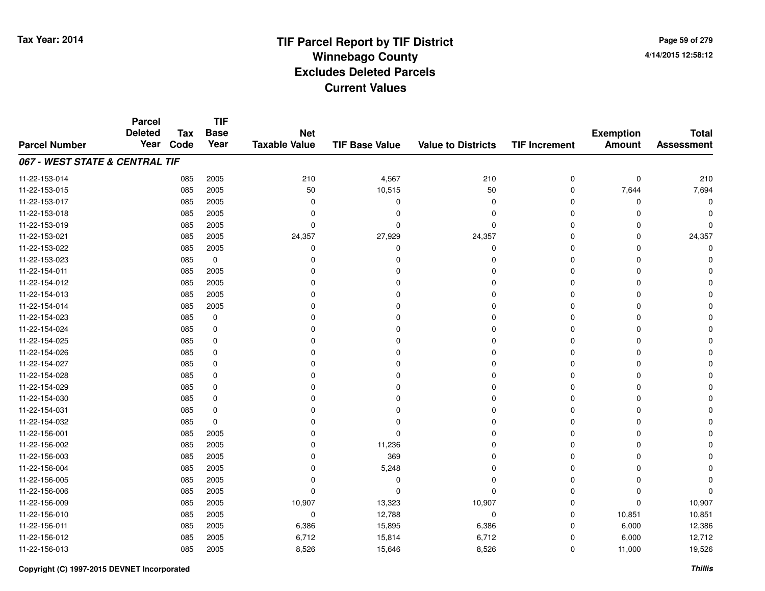**Page 59 of 2794/14/2015 12:58:12**

#### **TIF Base ValueParcel NumberTotal AssessmentExemption Amount Value to Districts TIF IncrementTIF Base YearTax CodeParcel Deleted YearNet Taxable Value067 - WEST STATE & CENTRAL TIF**11-22-153-014 <sup>085</sup> <sup>210</sup> <sup>2005</sup> 4,567 <sup>210</sup> <sup>0</sup> <sup>0</sup> <sup>210</sup> 11-22-153-015 <sup>085</sup> <sup>50</sup> <sup>2005</sup> 10,515 <sup>50</sup> <sup>0</sup> 7,644 7,694 11-22-153-017 <sup>085</sup> <sup>0</sup> <sup>2005</sup> <sup>0</sup> <sup>0</sup> <sup>0</sup> <sup>0</sup> <sup>0</sup> 11-22-153-018 <sup>085</sup> <sup>0</sup> <sup>2005</sup> <sup>0</sup> <sup>0</sup> <sup>0</sup> <sup>0</sup> <sup>0</sup> 11-22-153-019 <sup>085</sup> <sup>0</sup> <sup>2005</sup> <sup>0</sup> <sup>0</sup> <sup>0</sup> <sup>0</sup> <sup>0</sup> 11-22-153-0211 085 2005 24,357 27,929 24,357 0 0 24,357 11-22-153-022 <sup>085</sup> <sup>0</sup> <sup>2005</sup> <sup>0</sup> <sup>0</sup> <sup>0</sup> <sup>0</sup> <sup>0</sup> 11-22-153-023 <sup>085</sup> <sup>0</sup> <sup>0</sup> <sup>0</sup> <sup>0</sup> <sup>0</sup> <sup>0</sup> <sup>0</sup> 11-22-154-011 <sup>085</sup> <sup>0</sup> <sup>2005</sup> <sup>0</sup> <sup>0</sup> <sup>0</sup> <sup>0</sup> <sup>0</sup> 11-22-154-012 <sup>085</sup> <sup>0</sup> <sup>2005</sup> <sup>0</sup> <sup>0</sup> <sup>0</sup> <sup>0</sup> <sup>0</sup> 11-22-154-013 <sup>085</sup> <sup>0</sup> <sup>2005</sup> <sup>0</sup> <sup>0</sup> <sup>0</sup> <sup>0</sup> <sup>0</sup> 11-22-154-014 <sup>085</sup> <sup>0</sup> <sup>2005</sup> <sup>0</sup> <sup>0</sup> <sup>0</sup> <sup>0</sup> <sup>0</sup> 11-22-154-023 <sup>085</sup> <sup>0</sup> <sup>0</sup> <sup>0</sup> <sup>0</sup> <sup>0</sup> <sup>0</sup> <sup>0</sup> 11-22-154-024 <sup>085</sup> <sup>0</sup> <sup>0</sup> <sup>0</sup> <sup>0</sup> <sup>0</sup> <sup>0</sup> <sup>0</sup> 11-22-154-025 <sup>085</sup> <sup>0</sup> <sup>0</sup> <sup>0</sup> <sup>0</sup> <sup>0</sup> <sup>0</sup> <sup>0</sup> 11-22-154-026 <sup>085</sup> <sup>0</sup> <sup>0</sup> <sup>0</sup> <sup>0</sup> <sup>0</sup> <sup>0</sup> <sup>0</sup> 11-22-154-027 <sup>085</sup> <sup>0</sup> <sup>0</sup> <sup>0</sup> <sup>0</sup> <sup>0</sup> <sup>0</sup> <sup>0</sup> 11-22-154-028 <sup>085</sup> <sup>0</sup> <sup>0</sup> <sup>0</sup> <sup>0</sup> <sup>0</sup> <sup>0</sup> <sup>0</sup> 11-22-154-029 <sup>085</sup> <sup>0</sup> <sup>0</sup> <sup>0</sup> <sup>0</sup> <sup>0</sup> <sup>0</sup> <sup>0</sup> 11-22-154-030 <sup>085</sup> <sup>0</sup> <sup>0</sup> <sup>0</sup> <sup>0</sup> <sup>0</sup> <sup>0</sup> <sup>0</sup> 11-22-154-031 <sup>085</sup> <sup>0</sup> <sup>0</sup> <sup>0</sup> <sup>0</sup> <sup>0</sup> <sup>0</sup> <sup>0</sup> 11-22-154-032 <sup>085</sup> <sup>0</sup> <sup>0</sup> <sup>0</sup> <sup>0</sup> <sup>0</sup> <sup>0</sup> <sup>0</sup> 11-22-156-001 <sup>085</sup> <sup>0</sup> <sup>2005</sup> <sup>0</sup> <sup>0</sup> <sup>0</sup> <sup>0</sup> <sup>0</sup> 11-22-156-0022 085 2005 0 11,236 0 0 0 0 11-22-156-0033 085 2005 0 369 0 0 0 0 11-22-156-004 $\frac{4}{10}$  085 2005 0 0 5,248 0 0 0 0 0 0 0 11-22-156-005 <sup>085</sup> <sup>0</sup> <sup>2005</sup> <sup>0</sup> <sup>0</sup> <sup>0</sup> <sup>0</sup> <sup>0</sup> 11-22-156-006 <sup>085</sup> <sup>0</sup> <sup>2005</sup> <sup>0</sup> <sup>0</sup> <sup>0</sup> <sup>0</sup> <sup>0</sup> 11-22-156-0099 085 2005 10,907 13,323 10,907 0 0 10,907 11-22-156-0100 085 2005 0 12,788 0 0 10,851 10,851 11-22-156-0111 085 2005 6,386 15,895 6,386 0 6,000 12,386 11-22-156-0122 085 2005 6,712 15,814 6,712 0 6,000 12,712 11-22-156-0133 085 2005 8,526 15,646 8,526 0 11,000 19,526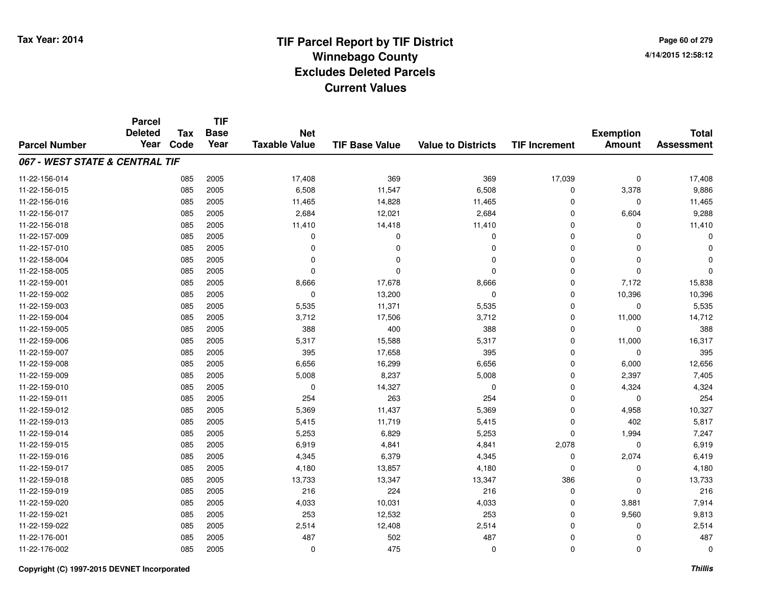|                                | <b>Parcel</b><br><b>Deleted</b> | <b>Tax</b> | <b>TIF</b><br><b>Base</b> | <b>Net</b>           |                       |                           |                      | <b>Exemption</b> | <b>Total</b>      |
|--------------------------------|---------------------------------|------------|---------------------------|----------------------|-----------------------|---------------------------|----------------------|------------------|-------------------|
| <b>Parcel Number</b>           | Year                            | Code       | Year                      | <b>Taxable Value</b> | <b>TIF Base Value</b> | <b>Value to Districts</b> | <b>TIF Increment</b> | <b>Amount</b>    | <b>Assessment</b> |
| 067 - WEST STATE & CENTRAL TIF |                                 |            |                           |                      |                       |                           |                      |                  |                   |
| 11-22-156-014                  |                                 | 085        | 2005                      | 17,408               | 369                   | 369                       | 17,039               | $\mathbf 0$      | 17,408            |
| 11-22-156-015                  |                                 | 085        | 2005                      | 6,508                | 11,547                | 6,508                     | 0                    | 3,378            | 9,886             |
| 11-22-156-016                  |                                 | 085        | 2005                      | 11,465               | 14,828                | 11,465                    | 0                    | 0                | 11,465            |
| 11-22-156-017                  |                                 | 085        | 2005                      | 2,684                | 12,021                | 2,684                     | $\mathbf 0$          | 6,604            | 9,288             |
| 11-22-156-018                  |                                 | 085        | 2005                      | 11,410               | 14,418                | 11,410                    | $\mathbf 0$          | $\mathbf 0$      | 11,410            |
| 11-22-157-009                  |                                 | 085        | 2005                      | $\mathbf 0$          | $\mathbf 0$           | $\mathbf 0$               | $\Omega$             | $\Omega$         |                   |
| 11-22-157-010                  |                                 | 085        | 2005                      | 0                    | 0                     | $\mathbf 0$               | $\mathbf 0$          | $\mathbf 0$      |                   |
| 11-22-158-004                  |                                 | 085        | 2005                      | $\mathbf 0$          | 0                     | $\mathbf 0$               | $\mathbf 0$          | $\mathbf 0$      |                   |
| 11-22-158-005                  |                                 | 085        | 2005                      | $\mathbf 0$          | $\Omega$              | $\mathbf 0$               | $\mathbf 0$          | $\mathbf 0$      |                   |
| 11-22-159-001                  |                                 | 085        | 2005                      | 8,666                | 17,678                | 8,666                     | $\mathbf 0$          | 7,172            | 15,838            |
| 11-22-159-002                  |                                 | 085        | 2005                      | $\mathbf 0$          | 13,200                | $\mathbf 0$               | $\mathbf 0$          | 10,396           | 10,396            |
| 11-22-159-003                  |                                 | 085        | 2005                      | 5,535                | 11,371                | 5,535                     | $\mathbf 0$          | $\mathbf 0$      | 5,535             |
| 11-22-159-004                  |                                 | 085        | 2005                      | 3,712                | 17,506                | 3,712                     | 0                    | 11,000           | 14,712            |
| 11-22-159-005                  |                                 | 085        | 2005                      | 388                  | 400                   | 388                       | 0                    | 0                | 388               |
| 11-22-159-006                  |                                 | 085        | 2005                      | 5,317                | 15,588                | 5,317                     | 0                    | 11,000           | 16,317            |
| 11-22-159-007                  |                                 | 085        | 2005                      | 395                  | 17,658                | 395                       | 0                    | 0                | 395               |
| 11-22-159-008                  |                                 | 085        | 2005                      | 6,656                | 16,299                | 6,656                     | 0                    | 6,000            | 12,656            |
| 11-22-159-009                  |                                 | 085        | 2005                      | 5,008                | 8,237                 | 5,008                     | 0                    | 2,397            | 7,405             |
| 11-22-159-010                  |                                 | 085        | 2005                      | $\mathbf 0$          | 14,327                | $\mathbf 0$               | $\mathbf 0$          | 4,324            | 4,324             |
| 11-22-159-011                  |                                 | 085        | 2005                      | 254                  | 263                   | 254                       | $\mathbf 0$          | 0                | 254               |
| 11-22-159-012                  |                                 | 085        | 2005                      | 5,369                | 11,437                | 5,369                     | $\mathbf 0$          | 4,958            | 10,327            |
| 11-22-159-013                  |                                 | 085        | 2005                      | 5,415                | 11,719                | 5,415                     | $\mathbf 0$          | 402              | 5,817             |
| 11-22-159-014                  |                                 | 085        | 2005                      | 5,253                | 6,829                 | 5,253                     | 0                    | 1,994            | 7,247             |
| 11-22-159-015                  |                                 | 085        | 2005                      | 6,919                | 4,841                 | 4,841                     | 2,078                | $\mathbf 0$      | 6,919             |
| 11-22-159-016                  |                                 | 085        | 2005                      | 4,345                | 6,379                 | 4,345                     | 0                    | 2,074            | 6,419             |
| 11-22-159-017                  |                                 | 085        | 2005                      | 4,180                | 13,857                | 4,180                     | $\Omega$             | $\mathbf 0$      | 4,180             |
| 11-22-159-018                  |                                 | 085        | 2005                      | 13,733               | 13,347                | 13,347                    | 386                  | $\mathbf 0$      | 13,733            |
| 11-22-159-019                  |                                 | 085        | 2005                      | 216                  | 224                   | 216                       | $\mathbf 0$          | $\mathbf 0$      | 216               |
| 11-22-159-020                  |                                 | 085        | 2005                      | 4,033                | 10,031                | 4,033                     | 0                    | 3,881            | 7,914             |
| 11-22-159-021                  |                                 | 085        | 2005                      | 253                  | 12,532                | 253                       | $\mathbf 0$          | 9,560            | 9,813             |
| 11-22-159-022                  |                                 | 085        | 2005                      | 2,514                | 12,408                | 2,514                     | $\mathbf 0$          | 0                | 2,514             |
| 11-22-176-001                  |                                 | 085        | 2005                      | 487                  | 502                   | 487                       | $\mathbf 0$          | $\mathbf 0$      | 487               |
| 11-22-176-002                  |                                 | 085        | 2005                      | $\mathbf 0$          | 475                   | $\mathbf 0$               | $\Omega$             | $\mathbf 0$      | $\Omega$          |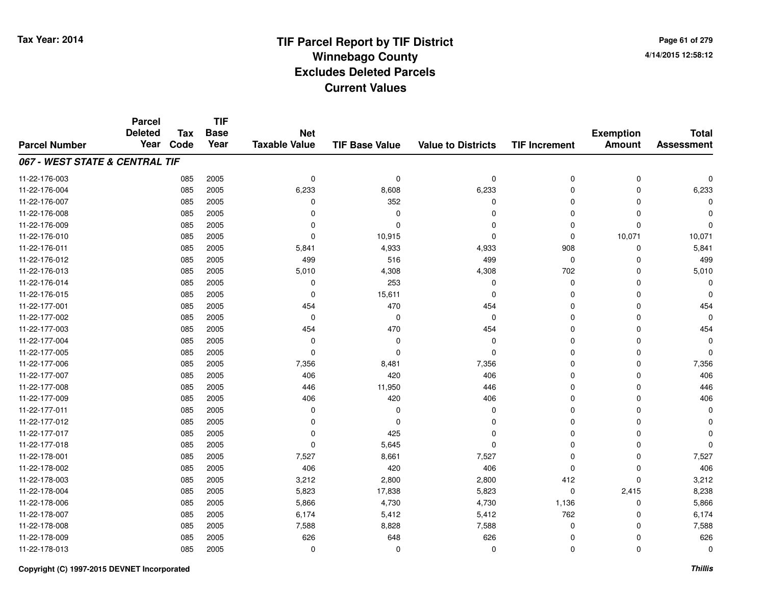**Page 61 of 2794/14/2015 12:58:12**

|                                | <b>Parcel</b><br><b>Deleted</b> | <b>Tax</b> | <b>TIF</b><br><b>Base</b> | <b>Net</b>           |                       |                           |                      | <b>Exemption</b> | <b>Total</b>      |
|--------------------------------|---------------------------------|------------|---------------------------|----------------------|-----------------------|---------------------------|----------------------|------------------|-------------------|
| <b>Parcel Number</b>           | Year                            | Code       | Year                      | <b>Taxable Value</b> | <b>TIF Base Value</b> | <b>Value to Districts</b> | <b>TIF Increment</b> | <b>Amount</b>    | <b>Assessment</b> |
| 067 - WEST STATE & CENTRAL TIF |                                 |            |                           |                      |                       |                           |                      |                  |                   |
| 11-22-176-003                  |                                 | 085        | 2005                      | 0                    | $\mathbf 0$           | 0                         | $\mathbf 0$          | $\mathbf 0$      | $\mathbf 0$       |
| 11-22-176-004                  |                                 | 085        | 2005                      | 6,233                | 8,608                 | 6,233                     | $\mathbf 0$          | $\mathbf 0$      | 6,233             |
| 11-22-176-007                  |                                 | 085        | 2005                      | 0                    | 352                   | 0                         | 0                    | 0                | 0                 |
| 11-22-176-008                  |                                 | 085        | 2005                      | 0                    | $\Omega$              | 0                         | $\mathbf 0$          | 0                | $\Omega$          |
| 11-22-176-009                  |                                 | 085        | 2005                      | 0                    | $\Omega$              | 0                         | $\mathbf 0$          | $\mathbf 0$      | $\Omega$          |
| 11-22-176-010                  |                                 | 085        | 2005                      | $\mathbf 0$          | 10,915                | 0                         | $\mathbf 0$          | 10,071           | 10,071            |
| 11-22-176-011                  |                                 | 085        | 2005                      | 5,841                | 4,933                 | 4,933                     | 908                  | 0                | 5,841             |
| 11-22-176-012                  |                                 | 085        | 2005                      | 499                  | 516                   | 499                       | $\mathbf 0$          | $\mathbf 0$      | 499               |
| 11-22-176-013                  |                                 | 085        | 2005                      | 5,010                | 4,308                 | 4,308                     | 702                  | 0                | 5,010             |
| 11-22-176-014                  |                                 | 085        | 2005                      | 0                    | 253                   | 0                         | $\mathbf 0$          | $\mathbf 0$      | $\Omega$          |
| 11-22-176-015                  |                                 | 085        | 2005                      | 0                    | 15,611                | 0                         | $\mathbf 0$          | $\mathbf 0$      | $\Omega$          |
| 11-22-177-001                  |                                 | 085        | 2005                      | 454                  | 470                   | 454                       | 0                    | $\mathbf 0$      | 454               |
| 11-22-177-002                  |                                 | 085        | 2005                      | $\mathbf 0$          | 0                     | 0                         | $\mathbf 0$          | $\Omega$         | $\Omega$          |
| 11-22-177-003                  |                                 | 085        | 2005                      | 454                  | 470                   | 454                       | 0                    | 0                | 454               |
| 11-22-177-004                  |                                 | 085        | 2005                      | 0                    | 0                     | 0                         | 0                    | $\Omega$         | $\Omega$          |
| 11-22-177-005                  |                                 | 085        | 2005                      | 0                    | 0                     | 0                         | 0                    | 0                | $\Omega$          |
| 11-22-177-006                  |                                 | 085        | 2005                      | 7,356                | 8,481                 | 7,356                     | 0                    | 0                | 7,356             |
| 11-22-177-007                  |                                 | 085        | 2005                      | 406                  | 420                   | 406                       | 0                    | 0                | 406               |
| 11-22-177-008                  |                                 | 085        | 2005                      | 446                  | 11,950                | 446                       | $\mathbf 0$          | 0                | 446               |
| 11-22-177-009                  |                                 | 085        | 2005                      | 406                  | 420                   | 406                       | $\mathbf 0$          | 0                | 406               |
| 11-22-177-011                  |                                 | 085        | 2005                      | 0                    | $\Omega$              | 0                         | $\mathbf 0$          | $\mathbf 0$      | $\Omega$          |
| 11-22-177-012                  |                                 | 085        | 2005                      | 0                    | $\Omega$              | 0                         | $\mathbf 0$          | $\Omega$         | $\Omega$          |
| 11-22-177-017                  |                                 | 085        | 2005                      | 0                    | 425                   | 0                         | 0                    | 0                | $\Omega$          |
| 11-22-177-018                  |                                 | 085        | 2005                      | 0                    | 5,645                 | 0                         | $\Omega$             | $\mathbf 0$      | $\Omega$          |
| 11-22-178-001                  |                                 | 085        | 2005                      | 7,527                | 8,661                 | 7,527                     | $\mathbf 0$          | $\mathbf 0$      | 7,527             |
| 11-22-178-002                  |                                 | 085        | 2005                      | 406                  | 420                   | 406                       | $\mathbf 0$          | $\mathbf 0$      | 406               |
| 11-22-178-003                  |                                 | 085        | 2005                      | 3,212                | 2,800                 | 2,800                     | 412                  | $\mathbf 0$      | 3,212             |
| 11-22-178-004                  |                                 | 085        | 2005                      | 5,823                | 17,838                | 5,823                     | $\mathbf 0$          | 2,415            | 8,238             |
| 11-22-178-006                  |                                 | 085        | 2005                      | 5,866                | 4,730                 | 4,730                     | 1,136                | $\mathbf 0$      | 5,866             |
| 11-22-178-007                  |                                 | 085        | 2005                      | 6,174                | 5,412                 | 5,412                     | 762                  | $\mathbf 0$      | 6,174             |
| 11-22-178-008                  |                                 | 085        | 2005                      | 7,588                | 8,828                 | 7,588                     | 0                    | 0                | 7,588             |
| 11-22-178-009                  |                                 | 085        | 2005                      | 626                  | 648                   | 626                       | $\mathbf 0$          | $\mathbf 0$      | 626               |
| 11-22-178-013                  |                                 | 085        | 2005                      | $\mathbf 0$          | $\Omega$              | 0                         | $\mathbf 0$          | $\mathbf 0$      | $\Omega$          |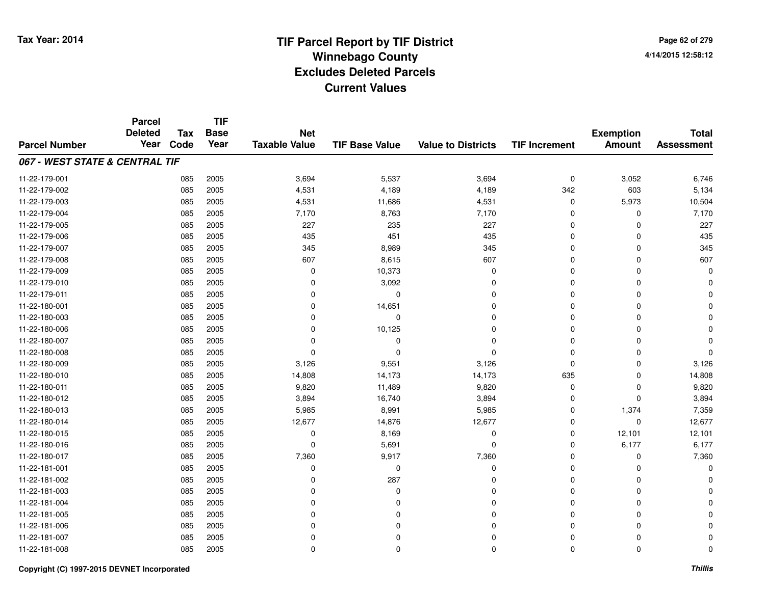#### **TIF Base ValueParcel NumberTotal AssessmentExemption Amount Value to Districts TIF IncrementTIF Base YearTax CodeParcel Deleted YearNet Taxable Value067 - WEST STATE & CENTRAL TIF**11-22-179-0011 085 2005 3,694 5,537 3,694 0 3,052 6,746 11-22-179-002 <sup>085</sup> 4,531 <sup>2005</sup> 4,189 4,189 <sup>342</sup> <sup>603</sup> 5,134 11-22-179-0033 085 2005 4,531 11,686 4,531 0 5,973 10,504 11-22-179-004 <sup>085</sup> 7,170 <sup>2005</sup> 8,763 7,170 <sup>0</sup> <sup>0</sup> 7,170 11-22-179-005 <sup>085</sup> <sup>227</sup> <sup>2005</sup> <sup>235</sup> <sup>227</sup> <sup>0</sup> <sup>0</sup> <sup>227</sup> 11-22-179-0066 085 2005 435 451 435 0 435 11-22-179-0077 085 2005 345 8,989 345 0 0 345 11-22-179-0088 085 2005 607 8,615 607 0 0 607 11-22-179-0099 085 2005 0 10,373 0 0 0 0 11-22-179-010 <sup>085</sup> <sup>0</sup> <sup>2005</sup> 3,092 <sup>0</sup> <sup>0</sup> <sup>0</sup> <sup>0</sup> 11-22-179-011 <sup>085</sup> <sup>0</sup> <sup>2005</sup> <sup>0</sup> <sup>0</sup> <sup>0</sup> <sup>0</sup> <sup>0</sup> 11-22-180-0011 085 2005 0 14,651 0 0 0 0 11-22-180-003 <sup>085</sup> <sup>0</sup> <sup>2005</sup> <sup>0</sup> <sup>0</sup> <sup>0</sup> <sup>0</sup> <sup>0</sup> 11-22-180-0066 085 2005 0 10,125 0 0 0 0 11-22-180-007 <sup>085</sup> <sup>0</sup> <sup>2005</sup> <sup>0</sup> <sup>0</sup> <sup>0</sup> <sup>0</sup> <sup>0</sup> 11-22-180-008 <sup>085</sup> <sup>0</sup> <sup>2005</sup> <sup>0</sup> <sup>0</sup> <sup>0</sup> <sup>0</sup> <sup>0</sup> 11-22-180-0099 085 2005 3,126 9,551 3,126 0 0 3,126 11-22-180-0100 085 2005 14,808 14,173 14,173 635 0 14,808 11-22-180-0111 085 2005 9,820 11,489 9,820 0 0 9,820 11-22-180-0122 085 2005 3,894 16,740 3,894 0 0 3,894 11-22-180-0133 085 2005 5,985 8,991 5,985 0 1,374 7,359 11-22-180-0144 12,677 12,677 12,677 14,876 12,677 13,677 12,677 12,677 0 12,677 0 0 12,677 13,677 13,677 14,677 14,677 12,6 11-22-180-015 <sup>085</sup> <sup>0</sup> <sup>2005</sup> 8,169 <sup>0</sup> <sup>0</sup> 12,101 12,101 11-22-180-016 <sup>085</sup> <sup>0</sup> <sup>2005</sup> 5,691 <sup>0</sup> <sup>0</sup> 6,177 6,177 11-22-180-017 <sup>085</sup> 7,360 <sup>2005</sup> 9,917 7,360 <sup>0</sup> <sup>0</sup> 7,360 11-22-181-001 <sup>085</sup> <sup>0</sup> <sup>2005</sup> <sup>0</sup> <sup>0</sup> <sup>0</sup> <sup>0</sup> <sup>0</sup> 11-22-181-0022 085 2005 0 287 0 0 0 0 11-22-181-003 <sup>085</sup> <sup>0</sup> <sup>2005</sup> <sup>0</sup> <sup>0</sup> <sup>0</sup> <sup>0</sup> <sup>0</sup> 11-22-181-004 <sup>085</sup> <sup>0</sup> <sup>2005</sup> <sup>0</sup> <sup>0</sup> <sup>0</sup> <sup>0</sup> <sup>0</sup> 11-22-181-005 <sup>085</sup> <sup>0</sup> <sup>2005</sup> <sup>0</sup> <sup>0</sup> <sup>0</sup> <sup>0</sup> <sup>0</sup> 11-22-181-006 <sup>085</sup> <sup>0</sup> <sup>2005</sup> <sup>0</sup> <sup>0</sup> <sup>0</sup> <sup>0</sup> <sup>0</sup> 11-22-181-007 <sup>085</sup> <sup>0</sup> <sup>2005</sup> <sup>0</sup> <sup>0</sup> <sup>0</sup> <sup>0</sup> <sup>0</sup> 11-22-181-008<sup>085</sup> <sup>0</sup> <sup>2005</sup> <sup>0</sup> <sup>0</sup> <sup>0</sup> <sup>0</sup> <sup>0</sup>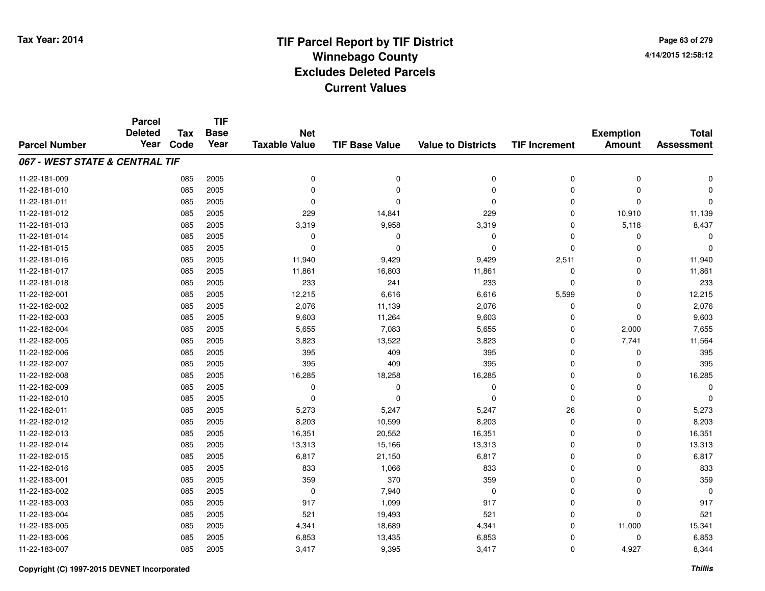**Page 63 of 2794/14/2015 12:58:12**

|                                | <b>Parcel</b><br><b>Deleted</b> | <b>Tax</b> | <b>TIF</b><br><b>Base</b> | <b>Net</b>           |                       |                           |                      | <b>Exemption</b> | <b>Total</b>      |
|--------------------------------|---------------------------------|------------|---------------------------|----------------------|-----------------------|---------------------------|----------------------|------------------|-------------------|
| <b>Parcel Number</b>           | Year                            | Code       | Year                      | <b>Taxable Value</b> | <b>TIF Base Value</b> | <b>Value to Districts</b> | <b>TIF Increment</b> | <b>Amount</b>    | <b>Assessment</b> |
| 067 - WEST STATE & CENTRAL TIF |                                 |            |                           |                      |                       |                           |                      |                  |                   |
| 11-22-181-009                  |                                 | 085        | 2005                      | 0                    | $\pmb{0}$             | 0                         | 0                    | $\pmb{0}$        | $\mathbf 0$       |
| 11-22-181-010                  |                                 | 085        | 2005                      | 0                    | $\Omega$              | 0                         | $\Omega$             | $\mathbf 0$      | 0                 |
| 11-22-181-011                  |                                 | 085        | 2005                      | 0                    | $\Omega$              | 0                         | 0                    | $\mathbf 0$      | $\mathbf 0$       |
| 11-22-181-012                  |                                 | 085        | 2005                      | 229                  | 14,841                | 229                       | $\Omega$             | 10,910           | 11,139            |
| 11-22-181-013                  |                                 | 085        | 2005                      | 3,319                | 9,958                 | 3,319                     | $\Omega$             | 5,118            | 8,437             |
| 11-22-181-014                  |                                 | 085        | 2005                      | $\mathbf 0$          | $\Omega$              | 0                         | $\Omega$             | $\Omega$         | $\Omega$          |
| 11-22-181-015                  |                                 | 085        | 2005                      | 0                    | $\Omega$              | 0                         | $\Omega$             | 0                | $\Omega$          |
| 11-22-181-016                  |                                 | 085        | 2005                      | 11,940               | 9,429                 | 9,429                     | 2,511                | $\mathbf 0$      | 11,940            |
| 11-22-181-017                  |                                 | 085        | 2005                      | 11,861               | 16,803                | 11,861                    | 0                    | 0                | 11,861            |
| 11-22-181-018                  |                                 | 085        | 2005                      | 233                  | 241                   | 233                       | $\mathbf 0$          | $\mathbf 0$      | 233               |
| 11-22-182-001                  |                                 | 085        | 2005                      | 12,215               | 6,616                 | 6,616                     | 5,599                | $\mathbf 0$      | 12,215            |
| 11-22-182-002                  |                                 | 085        | 2005                      | 2,076                | 11,139                | 2,076                     | $\mathbf 0$          | $\mathbf 0$      | 2,076             |
| 11-22-182-003                  |                                 | 085        | 2005                      | 9,603                | 11,264                | 9,603                     | 0                    | $\mathbf 0$      | 9,603             |
| 11-22-182-004                  |                                 | 085        | 2005                      | 5,655                | 7,083                 | 5,655                     | 0                    | 2,000            | 7,655             |
| 11-22-182-005                  |                                 | 085        | 2005                      | 3,823                | 13,522                | 3,823                     | $\mathbf 0$          | 7,741            | 11,564            |
| 11-22-182-006                  |                                 | 085        | 2005                      | 395                  | 409                   | 395                       | 0                    | 0                | 395               |
| 11-22-182-007                  |                                 | 085        | 2005                      | 395                  | 409                   | 395                       | 0                    | 0                | 395               |
| 11-22-182-008                  |                                 | 085        | 2005                      | 16,285               | 18,258                | 16,285                    | 0                    | 0                | 16,285            |
| 11-22-182-009                  |                                 | 085        | 2005                      | 0                    | 0                     | 0                         | $\mathbf 0$          | 0                | $\mathbf 0$       |
| 11-22-182-010                  |                                 | 085        | 2005                      | $\mathbf 0$          | $\Omega$              | 0                         | $\mathbf 0$          | $\mathbf 0$      | $\Omega$          |
| 11-22-182-011                  |                                 | 085        | 2005                      | 5,273                | 5,247                 | 5,247                     | 26                   | $\pmb{0}$        | 5,273             |
| 11-22-182-012                  |                                 | 085        | 2005                      | 8,203                | 10,599                | 8,203                     | $\mathbf 0$          | $\mathbf 0$      | 8,203             |
| 11-22-182-013                  |                                 | 085        | 2005                      | 16,351               | 20,552                | 16,351                    | 0                    | 0                | 16,351            |
| 11-22-182-014                  |                                 | 085        | 2005                      | 13,313               | 15,166                | 13,313                    | $\mathbf 0$          | $\mathbf 0$      | 13,313            |
| 11-22-182-015                  |                                 | 085        | 2005                      | 6,817                | 21,150                | 6,817                     | $\mathbf 0$          | $\mathbf 0$      | 6,817             |
| 11-22-182-016                  |                                 | 085        | 2005                      | 833                  | 1,066                 | 833                       | $\Omega$             | $\mathbf 0$      | 833               |
| 11-22-183-001                  |                                 | 085        | 2005                      | 359                  | 370                   | 359                       | $\Omega$             | $\mathbf 0$      | 359               |
| 11-22-183-002                  |                                 | 085        | 2005                      | 0                    | 7,940                 | 0                         | $\mathbf 0$          | $\mathbf 0$      | $\mathbf 0$       |
| 11-22-183-003                  |                                 | 085        | 2005                      | 917                  | 1,099                 | 917                       | $\mathbf 0$          | $\mathbf 0$      | 917               |
| 11-22-183-004                  |                                 | 085        | 2005                      | 521                  | 19,493                | 521                       | $\mathbf 0$          | $\mathbf 0$      | 521               |
| 11-22-183-005                  |                                 | 085        | 2005                      | 4,341                | 18,689                | 4,341                     | $\Omega$             | 11,000           | 15,341            |
| 11-22-183-006                  |                                 | 085        | 2005                      | 6,853                | 13,435                | 6,853                     | $\Omega$             | $\mathbf 0$      | 6,853             |
| 11-22-183-007                  |                                 | 085        | 2005                      | 3,417                | 9,395                 | 3,417                     | $\mathbf 0$          | 4,927            | 8,344             |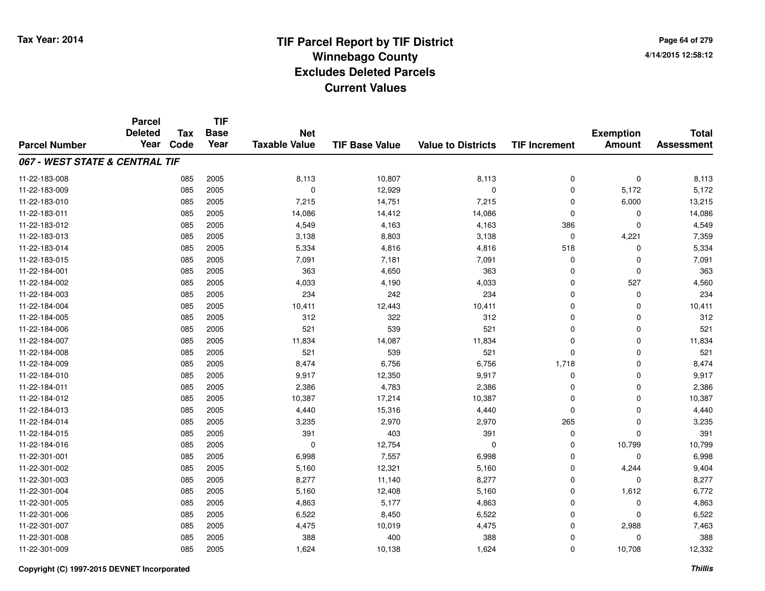|                                | <b>Parcel</b><br><b>Deleted</b> | <b>Tax</b> | <b>TIF</b><br><b>Base</b> | <b>Net</b>           |                       |                           |                      | <b>Exemption</b> | <b>Total</b>      |
|--------------------------------|---------------------------------|------------|---------------------------|----------------------|-----------------------|---------------------------|----------------------|------------------|-------------------|
| <b>Parcel Number</b>           | Year                            | Code       | Year                      | <b>Taxable Value</b> | <b>TIF Base Value</b> | <b>Value to Districts</b> | <b>TIF Increment</b> | <b>Amount</b>    | <b>Assessment</b> |
| 067 - WEST STATE & CENTRAL TIF |                                 |            |                           |                      |                       |                           |                      |                  |                   |
| 11-22-183-008                  |                                 | 085        | 2005                      | 8,113                | 10,807                | 8,113                     | $\mathbf 0$          | $\mathbf 0$      | 8,113             |
| 11-22-183-009                  |                                 | 085        | 2005                      | $\mathbf 0$          | 12,929                | $\mathbf 0$               | 0                    | 5,172            | 5,172             |
| 11-22-183-010                  |                                 | 085        | 2005                      | 7,215                | 14,751                | 7,215                     | 0                    | 6,000            | 13,215            |
| 11-22-183-011                  |                                 | 085        | 2005                      | 14,086               | 14,412                | 14,086                    | $\Omega$             | 0                | 14,086            |
| 11-22-183-012                  |                                 | 085        | 2005                      | 4,549                | 4,163                 | 4,163                     | 386                  | $\mathbf 0$      | 4,549             |
| 11-22-183-013                  |                                 | 085        | 2005                      | 3,138                | 8,803                 | 3,138                     | $\mathbf 0$          | 4,221            | 7,359             |
| 11-22-183-014                  |                                 | 085        | 2005                      | 5,334                | 4,816                 | 4,816                     | 518                  | $\mathbf 0$      | 5,334             |
| 11-22-183-015                  |                                 | 085        | 2005                      | 7,091                | 7,181                 | 7,091                     | $\mathbf 0$          | $\mathbf 0$      | 7,091             |
| 11-22-184-001                  |                                 | 085        | 2005                      | 363                  | 4,650                 | 363                       | $\mathbf 0$          | 0                | 363               |
| 11-22-184-002                  |                                 | 085        | 2005                      | 4,033                | 4,190                 | 4,033                     | $\mathbf 0$          | 527              | 4,560             |
| 11-22-184-003                  |                                 | 085        | 2005                      | 234                  | 242                   | 234                       | $\Omega$             | $\mathbf 0$      | 234               |
| 11-22-184-004                  |                                 | 085        | 2005                      | 10,411               | 12,443                | 10,411                    | $\mathbf 0$          | $\mathbf 0$      | 10,411            |
| 11-22-184-005                  |                                 | 085        | 2005                      | 312                  | 322                   | 312                       | $\Omega$             | $\mathbf 0$      | 312               |
| 11-22-184-006                  |                                 | 085        | 2005                      | 521                  | 539                   | 521                       | $\Omega$             | 0                | 521               |
| 11-22-184-007                  |                                 | 085        | 2005                      | 11,834               | 14,087                | 11,834                    | $\Omega$             | $\mathbf 0$      | 11,834            |
| 11-22-184-008                  |                                 | 085        | 2005                      | 521                  | 539                   | 521                       | $\Omega$             | $\mathbf 0$      | 521               |
| 11-22-184-009                  |                                 | 085        | 2005                      | 8,474                | 6,756                 | 6,756                     | 1,718                | $\mathbf 0$      | 8,474             |
| 11-22-184-010                  |                                 | 085        | 2005                      | 9,917                | 12,350                | 9,917                     | 0                    | $\mathbf 0$      | 9,917             |
| 11-22-184-011                  |                                 | 085        | 2005                      | 2,386                | 4,783                 | 2,386                     | $\mathbf 0$          | $\mathbf 0$      | 2,386             |
| 11-22-184-012                  |                                 | 085        | 2005                      | 10,387               | 17,214                | 10,387                    | $\mathbf 0$          | $\mathbf 0$      | 10,387            |
| 11-22-184-013                  |                                 | 085        | 2005                      | 4,440                | 15,316                | 4,440                     | $\mathbf 0$          | $\mathbf 0$      | 4,440             |
| 11-22-184-014                  |                                 | 085        | 2005                      | 3,235                | 2,970                 | 2,970                     | 265                  | $\mathbf 0$      | 3,235             |
| 11-22-184-015                  |                                 | 085        | 2005                      | 391                  | 403                   | 391                       | 0                    | 0                | 391               |
| 11-22-184-016                  |                                 | 085        | 2005                      | $\mathbf 0$          | 12,754                | 0                         | $\mathbf 0$          | 10,799           | 10,799            |
| 11-22-301-001                  |                                 | 085        | 2005                      | 6,998                | 7,557                 | 6,998                     | $\mathbf 0$          | $\mathbf 0$      | 6,998             |
| 11-22-301-002                  |                                 | 085        | 2005                      | 5,160                | 12,321                | 5,160                     | $\mathbf 0$          | 4,244            | 9,404             |
| 11-22-301-003                  |                                 | 085        | 2005                      | 8,277                | 11,140                | 8,277                     | $\mathbf 0$          | $\mathbf 0$      | 8,277             |
| 11-22-301-004                  |                                 | 085        | 2005                      | 5,160                | 12,408                | 5,160                     | $\mathbf 0$          | 1,612            | 6,772             |
| 11-22-301-005                  |                                 | 085        | 2005                      | 4,863                | 5,177                 | 4,863                     | $\mathbf 0$          | $\mathbf 0$      | 4,863             |
| 11-22-301-006                  |                                 | 085        | 2005                      | 6,522                | 8,450                 | 6,522                     | $\mathbf 0$          | $\mathbf 0$      | 6,522             |
| 11-22-301-007                  |                                 | 085        | 2005                      | 4,475                | 10,019                | 4,475                     | $\Omega$             | 2,988            | 7,463             |
| 11-22-301-008                  |                                 | 085        | 2005                      | 388                  | 400                   | 388                       | $\mathbf 0$          | $\mathbf 0$      | 388               |
| 11-22-301-009                  |                                 | 085        | 2005                      | 1,624                | 10,138                | 1,624                     | $\Omega$             | 10,708           | 12,332            |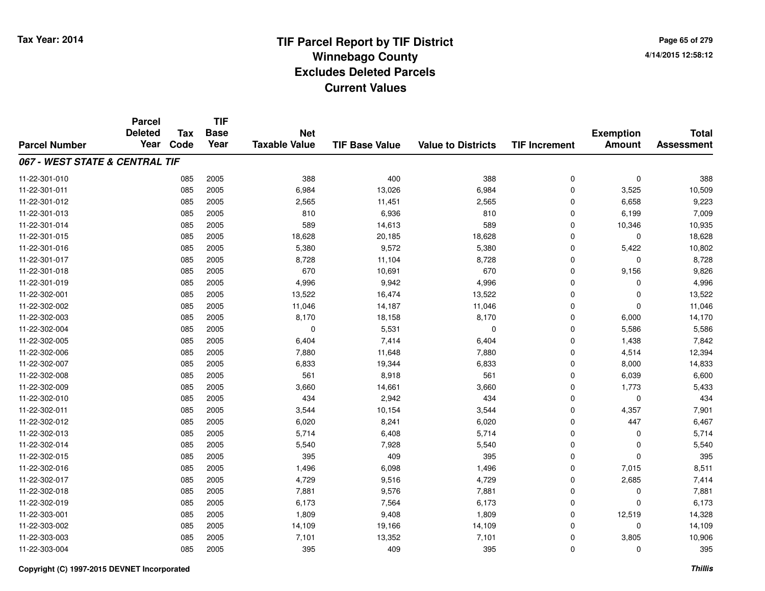**TIF**

**Parcel**

**Page 65 of 2794/14/2015 12:58:12**

| <b>Parcel Number</b>           | <b>Deleted</b><br>Year | <b>Tax</b><br>Code | <b>Base</b><br>Year | <b>Net</b><br><b>Taxable Value</b> | <b>TIF Base Value</b> | <b>Value to Districts</b> | <b>TIF Increment</b> | <b>Exemption</b><br><b>Amount</b> | <b>Total</b><br><b>Assessment</b> |
|--------------------------------|------------------------|--------------------|---------------------|------------------------------------|-----------------------|---------------------------|----------------------|-----------------------------------|-----------------------------------|
| 067 - WEST STATE & CENTRAL TIF |                        |                    |                     |                                    |                       |                           |                      |                                   |                                   |
| 11-22-301-010                  |                        | 085                | 2005                | 388                                | 400                   | 388                       | 0                    | $\mathbf 0$                       | 388                               |
| 11-22-301-011                  |                        | 085                | 2005                | 6,984                              | 13,026                | 6,984                     | 0                    | 3,525                             | 10,509                            |
| 11-22-301-012                  |                        | 085                | 2005                | 2,565                              | 11,451                | 2,565                     | $\mathbf 0$          | 6,658                             | 9,223                             |
| 11-22-301-013                  |                        | 085                | 2005                | 810                                | 6,936                 | 810                       | 0                    | 6,199                             | 7,009                             |
| 11-22-301-014                  |                        | 085                | 2005                | 589                                | 14,613                | 589                       | 0                    | 10,346                            | 10,935                            |
| 11-22-301-015                  |                        | 085                | 2005                | 18,628                             | 20,185                | 18,628                    | $\mathbf 0$          | $\Omega$                          | 18,628                            |
| 11-22-301-016                  |                        | 085                | 2005                | 5,380                              | 9,572                 | 5,380                     | $\mathbf 0$          | 5,422                             | 10,802                            |
| 11-22-301-017                  |                        | 085                | 2005                | 8,728                              | 11,104                | 8,728                     | $\mathbf 0$          | $\Omega$                          | 8,728                             |
| 11-22-301-018                  |                        | 085                | 2005                | 670                                | 10,691                | 670                       | $\mathbf 0$          | 9,156                             | 9,826                             |
| 11-22-301-019                  |                        | 085                | 2005                | 4,996                              | 9,942                 | 4,996                     | $\mathbf 0$          | $\Omega$                          | 4,996                             |
| 11-22-302-001                  |                        | 085                | 2005                | 13,522                             | 16,474                | 13,522                    | 0                    | $\Omega$                          | 13,522                            |
| 11-22-302-002                  |                        | 085                | 2005                | 11,046                             | 14,187                | 11,046                    | 0                    | $\Omega$                          | 11,046                            |
| 11-22-302-003                  |                        | 085                | 2005                | 8,170                              | 18,158                | 8,170                     | 0                    | 6,000                             | 14,170                            |
| 11-22-302-004                  |                        | 085                | 2005                | 0                                  | 5,531                 | 0                         | 0                    | 5,586                             | 5,586                             |
| 11-22-302-005                  |                        | 085                | 2005                | 6,404                              | 7,414                 | 6,404                     | 0                    | 1,438                             | 7,842                             |
| 11-22-302-006                  |                        | 085                | 2005                | 7,880                              | 11,648                | 7,880                     | $\mathbf 0$          | 4,514                             | 12,394                            |
| 11-22-302-007                  |                        | 085                | 2005                | 6,833                              | 19,344                | 6,833                     | $\mathbf 0$          | 8,000                             | 14,833                            |
| 11-22-302-008                  |                        | 085                | 2005                | 561                                | 8,918                 | 561                       | $\mathbf 0$          | 6,039                             | 6,600                             |
| 11-22-302-009                  |                        | 085                | 2005                | 3,660                              | 14,661                | 3,660                     | $\mathbf 0$          | 1,773                             | 5,433                             |
| 11-22-302-010                  |                        | 085                | 2005                | 434                                | 2,942                 | 434                       | $\mathbf 0$          | $\mathbf 0$                       | 434                               |
| 11-22-302-011                  |                        | 085                | 2005                | 3,544                              | 10,154                | 3,544                     | 0                    | 4,357                             | 7,901                             |
| 11-22-302-012                  |                        | 085                | 2005                | 6,020                              | 8,241                 | 6,020                     | 0                    | 447                               | 6,467                             |
| 11-22-302-013                  |                        | 085                | 2005                | 5,714                              | 6,408                 | 5,714                     | 0                    | 0                                 | 5,714                             |
| 11-22-302-014                  |                        | 085                | 2005                | 5,540                              | 7,928                 | 5,540                     | 0                    | 0                                 | 5,540                             |
| 11-22-302-015                  |                        | 085                | 2005                | 395                                | 409                   | 395                       | $\mathbf 0$          | $\Omega$                          | 395                               |
| 11-22-302-016                  |                        | 085                | 2005                | 1,496                              | 6,098                 | 1,496                     | $\mathbf 0$          | 7,015                             | 8,511                             |
| 11-22-302-017                  |                        | 085                | 2005                | 4,729                              | 9,516                 | 4,729                     | $\mathbf 0$          | 2,685                             | 7,414                             |
| 11-22-302-018                  |                        | 085                | 2005                | 7,881                              | 9,576                 | 7,881                     | 0                    | 0                                 | 7,881                             |
| 11-22-302-019                  |                        | 085                | 2005                | 6,173                              | 7,564                 | 6,173                     | 0                    | $\Omega$                          | 6,173                             |
| 11-22-303-001                  |                        | 085                | 2005                | 1,809                              | 9,408                 | 1,809                     | 0                    | 12,519                            | 14,328                            |
| 11-22-303-002                  |                        | 085                | 2005                | 14,109                             | 19,166                | 14,109                    | 0                    | 0                                 | 14,109                            |
| 11-22-303-003                  |                        | 085                | 2005                | 7,101                              | 13,352                | 7,101                     | 0                    | 3,805                             | 10,906                            |
| 11-22-303-004                  |                        | 085                | 2005                | 395                                | 409                   | 395                       | 0                    | 0                                 | 395                               |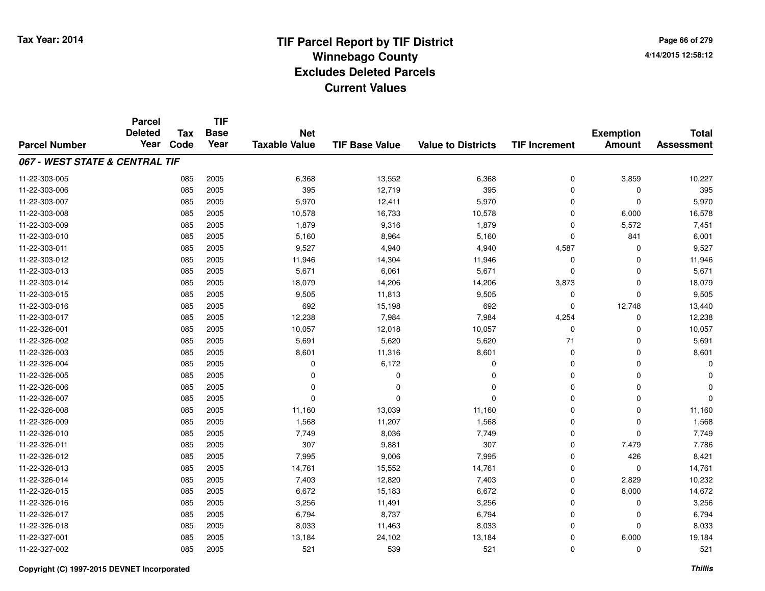**Page 66 of 2794/14/2015 12:58:12**

|                                | <b>Parcel</b>          | <b>Tax</b> | <b>TIF</b>          |                      |                       |                           |                      |                  |                   |
|--------------------------------|------------------------|------------|---------------------|----------------------|-----------------------|---------------------------|----------------------|------------------|-------------------|
|                                | <b>Deleted</b><br>Year | Code       | <b>Base</b><br>Year | <b>Net</b>           |                       |                           |                      | <b>Exemption</b> | <b>Total</b>      |
| <b>Parcel Number</b>           |                        |            |                     | <b>Taxable Value</b> | <b>TIF Base Value</b> | <b>Value to Districts</b> | <b>TIF Increment</b> | <b>Amount</b>    | <b>Assessment</b> |
| 067 - WEST STATE & CENTRAL TIF |                        |            |                     |                      |                       |                           |                      |                  |                   |
| 11-22-303-005                  |                        | 085        | 2005                | 6,368                | 13,552                | 6,368                     | 0                    | 3,859            | 10,227            |
| 11-22-303-006                  |                        | 085        | 2005                | 395                  | 12.719                | 395                       | 0                    | $\Omega$         | 395               |
| 11-22-303-007                  |                        | 085        | 2005                | 5,970                | 12,411                | 5,970                     | 0                    | $\Omega$         | 5,970             |
| 11-22-303-008                  |                        | 085        | 2005                | 10,578               | 16,733                | 10,578                    | 0                    | 6,000            | 16,578            |
| 11-22-303-009                  |                        | 085        | 2005                | 1,879                | 9,316                 | 1,879                     | 0                    | 5,572            | 7,451             |
| 11-22-303-010                  |                        | 085        | 2005                | 5,160                | 8,964                 | 5,160                     | 0                    | 841              | 6,001             |
| 11-22-303-011                  |                        | 085        | 2005                | 9,527                | 4,940                 | 4,940                     | 4,587                | $\Omega$         | 9,527             |
| 11-22-303-012                  |                        | 085        | 2005                | 11,946               | 14,304                | 11,946                    | 0                    | $\Omega$         | 11,946            |
| 11-22-303-013                  |                        | 085        | 2005                | 5,671                | 6,061                 | 5,671                     | 0                    | $\Omega$         | 5,671             |
| 11-22-303-014                  |                        | 085        | 2005                | 18,079               | 14,206                | 14,206                    | 3,873                | $\Omega$         | 18,079            |
| 11-22-303-015                  |                        | 085        | 2005                | 9,505                | 11,813                | 9,505                     | 0                    | $\Omega$         | 9,505             |
| 11-22-303-016                  |                        | 085        | 2005                | 692                  | 15,198                | 692                       | 0                    | 12,748           | 13,440            |
| 11-22-303-017                  |                        | 085        | 2005                | 12,238               | 7,984                 | 7,984                     | 4,254                | $\Omega$         | 12,238            |
| 11-22-326-001                  |                        | 085        | 2005                | 10,057               | 12,018                | 10,057                    | 0                    | 0                | 10,057            |
| 11-22-326-002                  |                        | 085        | 2005                | 5,691                | 5,620                 | 5,620                     | 71                   | $\Omega$         | 5,691             |
| 11-22-326-003                  |                        | 085        | 2005                | 8,601                | 11,316                | 8,601                     | 0                    | 0                | 8,601             |
| 11-22-326-004                  |                        | 085        | 2005                | 0                    | 6,172                 | $\Omega$                  | 0                    | 0                |                   |
| 11-22-326-005                  |                        | 085        | 2005                | $\mathbf 0$          | 0                     | 0                         | 0                    | $\mathbf 0$      |                   |
| 11-22-326-006                  |                        | 085        | 2005                | 0                    | 0                     | $\Omega$                  | 0                    | 0                |                   |
| 11-22-326-007                  |                        | 085        | 2005                | $\mathbf 0$          | $\Omega$              | $\Omega$                  | 0                    | $\mathbf 0$      | $\Omega$          |
| 11-22-326-008                  |                        | 085        | 2005                | 11,160               | 13,039                | 11,160                    | 0                    | $\mathbf 0$      | 11,160            |
| 11-22-326-009                  |                        | 085        | 2005                | 1,568                | 11,207                | 1,568                     | 0                    | $\mathbf 0$      | 1,568             |
| 11-22-326-010                  |                        | 085        | 2005                | 7,749                | 8,036                 | 7,749                     | 0                    | $\Omega$         | 7,749             |
| 11-22-326-011                  |                        | 085        | 2005                | 307                  | 9,881                 | 307                       | 0                    | 7,479            | 7,786             |
| 11-22-326-012                  |                        | 085        | 2005                | 7,995                | 9,006                 | 7,995                     | 0                    | 426              | 8,421             |
| 11-22-326-013                  |                        | 085        | 2005                | 14,761               | 15,552                | 14,761                    | 0                    | $\mathbf 0$      | 14,761            |
| 11-22-326-014                  |                        | 085        | 2005                | 7,403                | 12,820                | 7,403                     | 0                    | 2,829            | 10,232            |
| 11-22-326-015                  |                        | 085        | 2005                | 6,672                | 15,183                | 6,672                     | 0                    | 8,000            | 14,672            |
| 11-22-326-016                  |                        | 085        | 2005                | 3,256                | 11,491                | 3,256                     | 0                    | 0                | 3,256             |
| 11-22-326-017                  |                        | 085        | 2005                | 6,794                | 8,737                 | 6,794                     | 0                    | 0                | 6,794             |
| 11-22-326-018                  |                        | 085        | 2005                | 8,033                | 11,463                | 8,033                     | 0                    | $\Omega$         | 8,033             |
| 11-22-327-001                  |                        | 085        | 2005                | 13,184               | 24,102                | 13,184                    | 0                    | 6,000            | 19,184            |
| 11-22-327-002                  |                        | 085        | 2005                | 521                  | 539                   | 521                       | 0                    | $\Omega$         | 521               |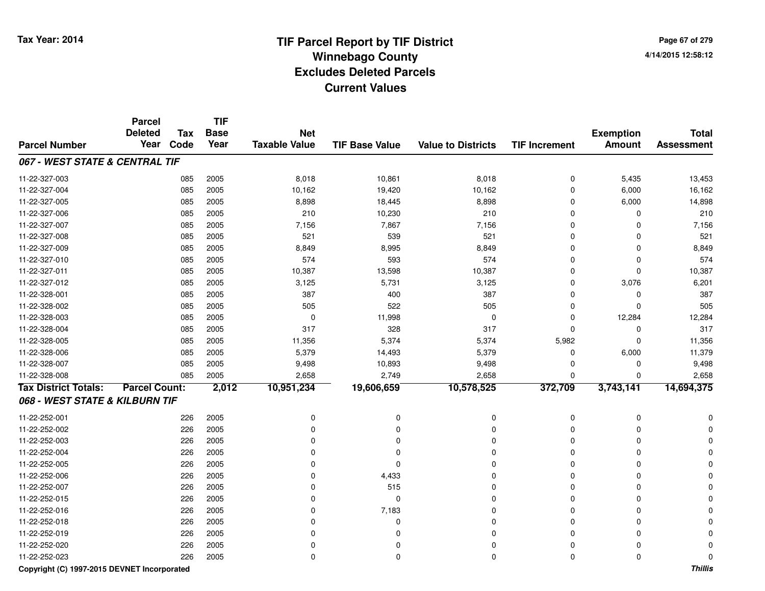**Page 67 of 2794/14/2015 12:58:12**

|                                | <b>Parcel</b><br><b>Deleted</b> | <b>Tax</b> | <b>TIF</b><br><b>Base</b> | <b>Net</b>           |                       |                           |                      |                                   | <b>Total</b>      |
|--------------------------------|---------------------------------|------------|---------------------------|----------------------|-----------------------|---------------------------|----------------------|-----------------------------------|-------------------|
| <b>Parcel Number</b>           | Year                            | Code       | Year                      | <b>Taxable Value</b> | <b>TIF Base Value</b> | <b>Value to Districts</b> | <b>TIF Increment</b> | <b>Exemption</b><br><b>Amount</b> | <b>Assessment</b> |
| 067 - WEST STATE & CENTRAL TIF |                                 |            |                           |                      |                       |                           |                      |                                   |                   |
| 11-22-327-003                  |                                 | 085        | 2005                      | 8,018                | 10,861                | 8,018                     | $\mathbf 0$          | 5,435                             | 13,453            |
| 11-22-327-004                  |                                 | 085        | 2005                      | 10,162               | 19,420                | 10,162                    | $\mathbf 0$          | 6,000                             | 16,162            |
| 11-22-327-005                  |                                 | 085        | 2005                      | 8,898                | 18,445                | 8,898                     | $\mathbf 0$          | 6,000                             | 14,898            |
| 11-22-327-006                  |                                 | 085        | 2005                      | 210                  | 10,230                | 210                       | $\Omega$             | $\Omega$                          | 210               |
| 11-22-327-007                  |                                 | 085        | 2005                      | 7,156                | 7,867                 | 7,156                     | $\Omega$             | 0                                 | 7,156             |
| 11-22-327-008                  |                                 | 085        | 2005                      | 521                  | 539                   | 521                       | $\Omega$             | 0                                 | 521               |
| 11-22-327-009                  |                                 | 085        | 2005                      | 8,849                | 8,995                 | 8,849                     | $\Omega$             | 0                                 | 8,849             |
| 11-22-327-010                  |                                 | 085        | 2005                      | 574                  | 593                   | 574                       | $\Omega$             | 0                                 | 574               |
| 11-22-327-011                  |                                 | 085        | 2005                      | 10,387               | 13,598                | 10,387                    | $\Omega$             | $\mathbf 0$                       | 10,387            |
| 11-22-327-012                  |                                 | 085        | 2005                      | 3,125                | 5,731                 | 3,125                     | $\Omega$             | 3,076                             | 6,201             |
| 11-22-328-001                  |                                 | 085        | 2005                      | 387                  | 400                   | 387                       | $\mathbf 0$          | $\mathbf 0$                       | 387               |
| 11-22-328-002                  |                                 | 085        | 2005                      | 505                  | 522                   | 505                       | $\mathbf 0$          | $\mathbf 0$                       | 505               |
| 11-22-328-003                  |                                 | 085        | 2005                      | $\mathbf 0$          | 11,998                | $\mathbf 0$               | $\mathbf 0$          | 12,284                            | 12,284            |
| 11-22-328-004                  |                                 | 085        | 2005                      | 317                  | 328                   | 317                       | $\Omega$             | 0                                 | 317               |
| 11-22-328-005                  |                                 | 085        | 2005                      | 11,356               | 5,374                 | 5,374                     | 5,982                | $\mathbf 0$                       | 11,356            |
| 11-22-328-006                  |                                 | 085        | 2005                      | 5,379                | 14,493                | 5,379                     | $\mathbf 0$          | 6,000                             | 11,379            |
| 11-22-328-007                  |                                 | 085        | 2005                      | 9,498                | 10,893                | 9,498                     | $\Omega$             | 0                                 | 9,498             |
| 11-22-328-008                  |                                 | 085        | 2005                      | 2,658                | 2,749                 | 2,658                     | $\Omega$             | 0                                 | 2,658             |
| <b>Tax District Totals:</b>    | <b>Parcel Count:</b>            |            | 2,012                     | 10,951,234           | 19,606,659            | 10,578,525                | 372,709              | 3,743,141                         | 14,694,375        |
| 068 - WEST STATE & KILBURN TIF |                                 |            |                           |                      |                       |                           |                      |                                   |                   |
| 11-22-252-001                  |                                 | 226        | 2005                      | 0                    | 0                     | $\mathbf 0$               | 0                    | 0                                 |                   |
| 11-22-252-002                  |                                 | 226        | 2005                      | 0                    | 0                     | 0                         | $\Omega$             | $\Omega$                          |                   |
| 11-22-252-003                  |                                 | 226        | 2005                      | $\Omega$             | $\Omega$              | $\Omega$                  | $\Omega$             | $\Omega$                          |                   |
| 11-22-252-004                  |                                 | 226        | 2005                      | 0                    | $\Omega$              | $\Omega$                  | $\Omega$             | $\Omega$                          |                   |
| 11-22-252-005                  |                                 | 226        | 2005                      | 0                    | $\Omega$              | $\Omega$                  | $\Omega$             | $\Omega$                          |                   |
| 11-22-252-006                  |                                 | 226        | 2005                      | 0                    | 4,433                 | 0                         | 0                    | 0                                 |                   |
| 11-22-252-007                  |                                 | 226        | 2005                      | 0                    | 515                   | $\Omega$                  | 0                    | $\Omega$                          |                   |
| 11-22-252-015                  |                                 | 226        | 2005                      | 0                    | $\mathbf 0$           | 0                         | 0                    | $\Omega$                          |                   |
| 11-22-252-016                  |                                 | 226        | 2005                      | 0                    | 7,183                 | $\mathbf 0$               | $\mathbf 0$          | $\mathbf 0$                       |                   |
| 11-22-252-018                  |                                 | 226        | 2005                      | $\Omega$             | $\mathbf 0$           | $\mathbf 0$               | $\Omega$             | $\mathbf 0$                       |                   |
| 11-22-252-019                  |                                 | 226        | 2005                      | $\Omega$             | $\Omega$              | $\mathbf 0$               | $\Omega$             | $\Omega$                          |                   |
| 11-22-252-020                  |                                 | 226        | 2005                      | 0                    | 0                     | $\mathbf 0$               | $\Omega$             | 0                                 |                   |
| 11-22-252-023                  |                                 | 226        | 2005                      | 0                    | 0                     | $\mathbf 0$               | $\Omega$             | $\mathbf 0$                       | $\Omega$          |

#### **Copyright (C) 1997-2015 DEVNET Incorporated**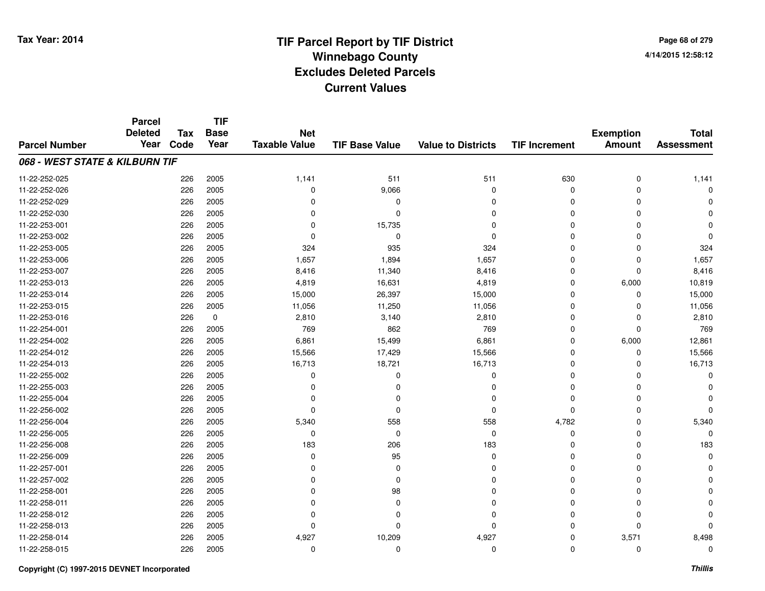**Page 68 of 2794/14/2015 12:58:12**

|                                | <b>Parcel</b><br><b>Deleted</b> | <b>Tax</b> | <b>TIF</b><br><b>Base</b> | <b>Net</b>           |                       |                           |                      | <b>Exemption</b> | <b>Total</b>      |
|--------------------------------|---------------------------------|------------|---------------------------|----------------------|-----------------------|---------------------------|----------------------|------------------|-------------------|
| <b>Parcel Number</b>           | Year                            | Code       | Year                      | <b>Taxable Value</b> | <b>TIF Base Value</b> | <b>Value to Districts</b> | <b>TIF Increment</b> | <b>Amount</b>    | <b>Assessment</b> |
| 068 - WEST STATE & KILBURN TIF |                                 |            |                           |                      |                       |                           |                      |                  |                   |
| 11-22-252-025                  |                                 | 226        | 2005                      | 1,141                | 511                   | 511                       | 630                  | 0                | 1,141             |
| 11-22-252-026                  |                                 | 226        | 2005                      | 0                    | 9,066                 | 0                         | $\Omega$             | $\Omega$         | 0                 |
| 11-22-252-029                  |                                 | 226        | 2005                      | 0                    | 0                     | 0                         | $\Omega$             | $\Omega$         | 0                 |
| 11-22-252-030                  |                                 | 226        | 2005                      | 0                    | $\Omega$              | 0                         | $\Omega$             |                  | $\Omega$          |
| 11-22-253-001                  |                                 | 226        | 2005                      | 0                    | 15,735                | 0                         | $\Omega$             |                  | $\Omega$          |
| 11-22-253-002                  |                                 | 226        | 2005                      | $\Omega$             | $\mathbf 0$           | $\mathbf 0$               | $\Omega$             | $\Omega$         | $\Omega$          |
| 11-22-253-005                  |                                 | 226        | 2005                      | 324                  | 935                   | 324                       | $\Omega$             | $\Omega$         | 324               |
| 11-22-253-006                  |                                 | 226        | 2005                      | 1,657                | 1,894                 | 1,657                     | 0                    | $\mathbf 0$      | 1,657             |
| 11-22-253-007                  |                                 | 226        | 2005                      | 8,416                | 11,340                | 8,416                     | 0                    | $\mathbf 0$      | 8,416             |
| 11-22-253-013                  |                                 | 226        | 2005                      | 4,819                | 16,631                | 4,819                     | 0                    | 6,000            | 10,819            |
| 11-22-253-014                  |                                 | 226        | 2005                      | 15,000               | 26,397                | 15,000                    | $\Omega$             | $\mathbf 0$      | 15,000            |
| 11-22-253-015                  |                                 | 226        | 2005                      | 11,056               | 11,250                | 11,056                    | 0                    | $\mathbf 0$      | 11,056            |
| 11-22-253-016                  |                                 | 226        | $\mathbf 0$               | 2,810                | 3,140                 | 2,810                     | $\mathbf 0$          | $\mathbf 0$      | 2,810             |
| 11-22-254-001                  |                                 | 226        | 2005                      | 769                  | 862                   | 769                       | 0                    | $\mathbf 0$      | 769               |
| 11-22-254-002                  |                                 | 226        | 2005                      | 6,861                | 15,499                | 6,861                     | 0                    | 6,000            | 12,861            |
| 11-22-254-012                  |                                 | 226        | 2005                      | 15,566               | 17,429                | 15,566                    | 0                    | 0                | 15,566            |
| 11-22-254-013                  |                                 | 226        | 2005                      | 16,713               | 18,721                | 16,713                    | 0                    | $\Omega$         | 16,713            |
| 11-22-255-002                  |                                 | 226        | 2005                      | 0                    | $\Omega$              | 0                         | 0                    | O                | 0                 |
| 11-22-255-003                  |                                 | 226        | 2005                      | 0                    | 0                     | 0                         | 0                    |                  | 0                 |
| 11-22-255-004                  |                                 | 226        | 2005                      | $\Omega$             | 0                     | 0                         | 0                    |                  |                   |
| 11-22-256-002                  |                                 | 226        | 2005                      | 0                    | $\mathbf 0$           | 0                         | 0                    | 0                | $\Omega$          |
| 11-22-256-004                  |                                 | 226        | 2005                      | 5,340                | 558                   | 558                       | 4,782                | 0                | 5,340             |
| 11-22-256-005                  |                                 | 226        | 2005                      | 0                    | 0                     | 0                         | 0                    | 0                | $\Omega$          |
| 11-22-256-008                  |                                 | 226        | 2005                      | 183                  | 206                   | 183                       | 0                    | $\Omega$         | 183               |
| 11-22-256-009                  |                                 | 226        | 2005                      | 0                    | 95                    | 0                         | 0                    | 0                | 0                 |
| 11-22-257-001                  |                                 | 226        | 2005                      | 0                    | $\mathbf 0$           | 0                         | $\Omega$             |                  | $\Omega$          |
| 11-22-257-002                  |                                 | 226        | 2005                      | 0                    | 0                     | 0                         | $\Omega$             |                  | O                 |
| 11-22-258-001                  |                                 | 226        | 2005                      | $\Omega$             | 98                    | 0                         | $\Omega$             |                  | 0                 |
| 11-22-258-011                  |                                 | 226        | 2005                      | 0                    | 0                     | 0                         | $\Omega$             | $\Omega$         | 0                 |
| 11-22-258-012                  |                                 | 226        | 2005                      | 0                    | 0                     | 0                         | $\Omega$             | $\Omega$         | 0                 |
| 11-22-258-013                  |                                 | 226        | 2005                      | 0                    | $\Omega$              | 0                         | $\Omega$             | $\Omega$         | $\Omega$          |
| 11-22-258-014                  |                                 | 226        | 2005                      | 4,927                | 10,209                | 4,927                     | $\Omega$             | 3,571            | 8,498             |
| 11-22-258-015                  |                                 | 226        | 2005                      | 0                    | $\Omega$              | $\mathbf 0$               | $\Omega$             | $\Omega$         | 0                 |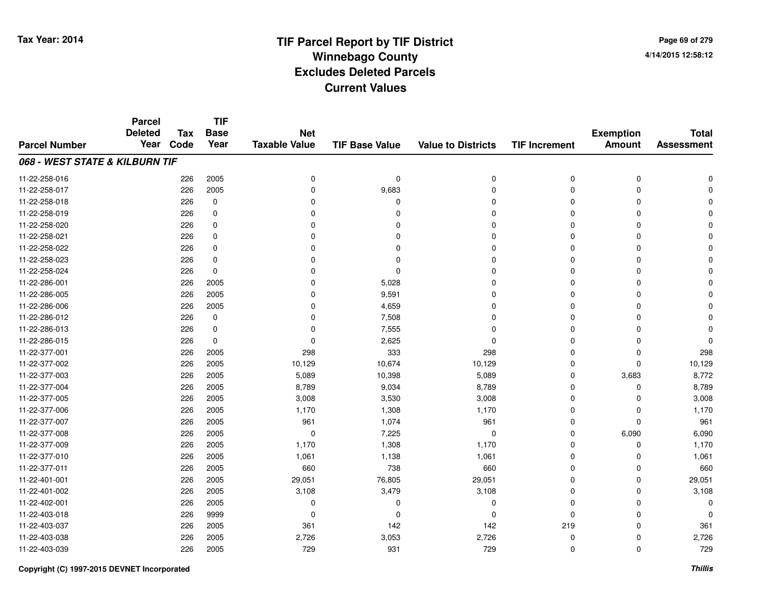**Page 69 of 2794/14/2015 12:58:12**

|                                | <b>Parcel</b>  | <b>Tax</b><br>Code | <b>TIF</b><br><b>Base</b><br>Year | <b>Net</b><br><b>Taxable Value</b> | <b>TIF Base Value</b> | <b>Value to Districts</b> | <b>TIF Increment</b> | <b>Exemption</b><br><b>Amount</b> | <b>Total</b><br><b>Assessment</b> |
|--------------------------------|----------------|--------------------|-----------------------------------|------------------------------------|-----------------------|---------------------------|----------------------|-----------------------------------|-----------------------------------|
| <b>Parcel Number</b>           | <b>Deleted</b> |                    |                                   |                                    |                       |                           |                      |                                   |                                   |
|                                | Year           |                    |                                   |                                    |                       |                           |                      |                                   |                                   |
| 068 - WEST STATE & KILBURN TIF |                |                    |                                   |                                    |                       |                           |                      |                                   |                                   |
| 11-22-258-016                  |                | 226                | 2005                              | 0                                  | 0                     | 0                         | 0                    | 0                                 |                                   |
| 11-22-258-017                  |                | 226                | 2005                              | $\Omega$                           | 9,683                 | $\Omega$                  | $\Omega$             | $\Omega$                          |                                   |
| 11-22-258-018                  |                | 226                | 0                                 | $\Omega$                           | $\Omega$              | $\Omega$                  | 0                    | $\Omega$                          |                                   |
| 11-22-258-019                  |                | 226                | 0                                 | $\Omega$                           | n                     | $\Omega$                  | 0                    | $\Omega$                          |                                   |
| 11-22-258-020                  |                | 226                | 0                                 | $\Omega$                           |                       | $\Omega$                  | 0                    | $\Omega$                          |                                   |
| 11-22-258-021                  |                | 226                | 0                                 | 0                                  |                       | $\Omega$                  | 0                    | $\Omega$                          |                                   |
| 11-22-258-022                  |                | 226                | 0                                 | $\Omega$                           |                       | $\Omega$                  | 0                    | $\Omega$                          |                                   |
| 11-22-258-023                  |                | 226                | $\mathbf 0$                       | $\Omega$                           |                       | $\Omega$                  | 0                    | $\Omega$                          |                                   |
| 11-22-258-024                  |                | 226                | 0                                 | $\Omega$                           | $\Omega$              | $\Omega$                  | 0                    | $\Omega$                          |                                   |
| 11-22-286-001                  |                | 226                | 2005                              | 0                                  | 5,028                 | $\Omega$                  | 0                    | $\Omega$                          |                                   |
| 11-22-286-005                  |                | 226                | 2005                              | $\Omega$                           | 9,591                 | $\Omega$                  | 0                    | $\Omega$                          |                                   |
| 11-22-286-006                  |                | 226                | 2005                              | 0                                  | 4,659                 | 0                         | 0                    | 0                                 |                                   |
| 11-22-286-012                  |                | 226                | 0                                 | 0                                  | 7,508                 | $\Omega$                  | 0                    | $\Omega$                          |                                   |
| 11-22-286-013                  |                | 226                | 0                                 | 0                                  | 7,555                 | 0                         | 0                    | 0                                 |                                   |
| 11-22-286-015                  |                | 226                | $\mathbf 0$                       | $\Omega$                           | 2,625                 | $\Omega$                  | 0                    | $\Omega$                          |                                   |
| 11-22-377-001                  |                | 226                | 2005                              | 298                                | 333                   | 298                       | 0                    | 0                                 | 298                               |
| 11-22-377-002                  |                | 226                | 2005                              | 10,129                             | 10,674                | 10,129                    | 0                    | 0                                 | 10,129                            |
| 11-22-377-003                  |                | 226                | 2005                              | 5,089                              | 10,398                | 5,089                     | 0                    | 3,683                             | 8,772                             |
| 11-22-377-004                  |                | 226                | 2005                              | 8,789                              | 9,034                 | 8,789                     | 0                    | 0                                 | 8,789                             |
| 11-22-377-005                  |                | 226                | 2005                              | 3,008                              | 3,530                 | 3,008                     | 0                    | 0                                 | 3,008                             |
| 11-22-377-006                  |                | 226                | 2005                              | 1,170                              | 1,308                 | 1,170                     | 0                    | 0                                 | 1,170                             |
| 11-22-377-007                  |                | 226                | 2005                              | 961                                | 1,074                 | 961                       | 0                    | $\mathbf 0$                       | 961                               |
| 11-22-377-008                  |                | 226                | 2005                              | 0                                  | 7,225                 | 0                         | 0                    | 6,090                             | 6,090                             |
| 11-22-377-009                  |                | 226                | 2005                              | 1,170                              | 1,308                 | 1,170                     | 0                    | 0                                 | 1,170                             |
| 11-22-377-010                  |                | 226                | 2005                              | 1,061                              | 1,138                 | 1,061                     | 0                    | 0                                 | 1,061                             |
| 11-22-377-011                  |                | 226                | 2005                              | 660                                | 738                   | 660                       | 0                    | $\Omega$                          | 660                               |
| 11-22-401-001                  |                | 226                | 2005                              | 29,051                             | 76,805                | 29,051                    | 0                    | $\mathbf 0$                       | 29,051                            |
| 11-22-401-002                  |                | 226                | 2005                              | 3,108                              | 3,479                 | 3,108                     | 0                    | $\Omega$                          | 3,108                             |
| 11-22-402-001                  |                | 226                | 2005                              | 0                                  | 0                     | 0                         | 0                    | $\Omega$                          | O                                 |
| 11-22-403-018                  |                | 226                | 9999                              | 0                                  | $\Omega$              | $\Omega$                  | 0                    | $\Omega$                          | O                                 |
| 11-22-403-037                  |                | 226                | 2005                              | 361                                | 142                   | 142                       | 219                  | $\Omega$                          | 361                               |
| 11-22-403-038                  |                | 226                | 2005                              | 2,726                              | 3,053                 | 2,726                     | 0                    | 0                                 | 2,726                             |
| 11-22-403-039                  |                | 226                | 2005                              | 729                                | 931                   | 729                       | 0                    | $\mathbf 0$                       | 729                               |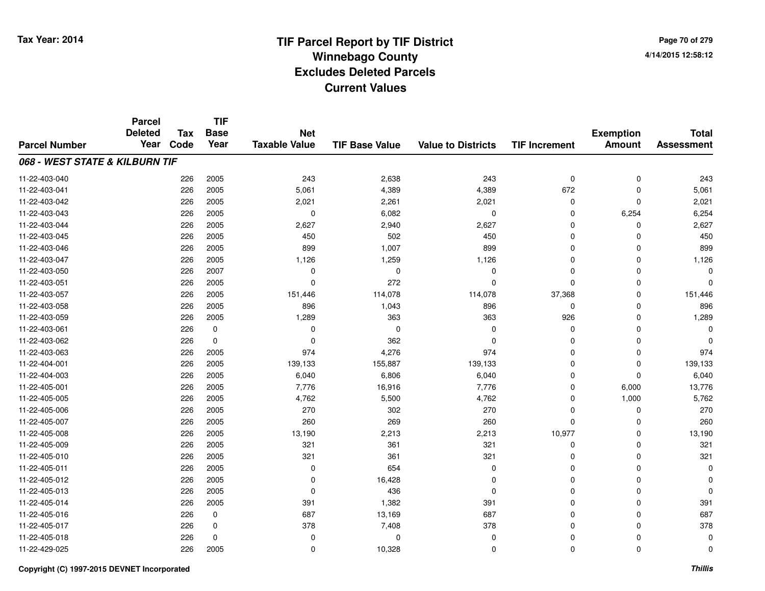**TIF**

**Parcel**

**Page 70 of 2794/14/2015 12:58:12**

#### **TIF Base ValueParcel NumberTotal AssessmentExemption Amount Value to Districts TIF Increment Base YearTax Code Deleted YearNet Taxable Value068 - WEST STATE & KILBURN TIF**11-22-403-0400 226 2005 243 2,638 243 0 0 243 11-22-403-0411 226 2005 5,061 4,389 4,389 672 0 5,061 11-22-403-0422 226 2005 2,021 2,261 2,021 0 2,021 11-22-403-0433 226 2005 0 6,082 0 0 6,254 6,254 11-22-403-0444 226 2005 2,627 2,940 2,627 2,940 2,627 0 0 0 2,627 11-22-403-045 <sup>226</sup> <sup>450</sup> <sup>2005</sup> <sup>502</sup> <sup>450</sup> <sup>0</sup> <sup>0</sup> <sup>450</sup> 11-22-403-046 <sup>226</sup> <sup>899</sup> <sup>2005</sup> 1,007 <sup>899</sup> <sup>0</sup> <sup>0</sup> <sup>899</sup> 11-22-403-047 <sup>226</sup> 1,126 <sup>2005</sup> 1,259 1,126 <sup>0</sup> <sup>0</sup> 1,126 11-22-403-050 <sup>226</sup> <sup>0</sup> <sup>2007</sup> <sup>0</sup> <sup>0</sup> <sup>0</sup> <sup>0</sup> <sup>0</sup> 11-22-403-0511 226 2005 0 272 0 0 0 0 0 0 11-22-403-057 <sup>226</sup> 151,446 <sup>2005</sup> 114,078 114,078 37,368 <sup>0</sup> 151,446 11-22-403-058 <sup>226</sup> <sup>896</sup> <sup>2005</sup> 1,043 <sup>896</sup> <sup>0</sup> <sup>0</sup> <sup>896</sup> 11-22-403-0599 226 2005 1,289 363 363 926 0 1,289 11-22-403-061 <sup>226</sup> <sup>0</sup> <sup>0</sup> <sup>0</sup> <sup>0</sup> <sup>0</sup> <sup>0</sup> <sup>0</sup> 11-22-403-062 <sup>226</sup> <sup>0</sup> <sup>0</sup> <sup>362</sup> <sup>0</sup> <sup>0</sup> <sup>0</sup> <sup>0</sup> 11-22-403-0633 226 2005 974 4,276 974 0 0 974 11-22-404-0011 226 2005 139,133 155,887 139,133 0 139,133 11-22-404-0033 226 2005 6,040 6,806 6,040 0 0 6,040 11-22-405-0011 226 2005 7,776 16,916 7,776 0 6,000 13,776 11-22-405-005 <sup>226</sup> 4,762 <sup>2005</sup> 5,500 4,762 <sup>0</sup> 1,000 5,762 11-22-405-006 <sup>226</sup> <sup>270</sup> <sup>2005</sup> <sup>302</sup> <sup>270</sup> <sup>0</sup> <sup>0</sup> <sup>270</sup> 11-22-405-007 <sup>226</sup> <sup>260</sup> <sup>2005</sup> <sup>269</sup> <sup>260</sup> <sup>0</sup> <sup>0</sup> <sup>260</sup> 11-22-405-008 <sup>226</sup> 13,190 <sup>2005</sup> 2,213 2,213 10,977 <sup>0</sup> 13,190 11-22-405-0099 226 2005 321 361 321 0 0 321 11-22-405-0100 226 2005 321 361 321 0 321 11-22-405-0111 226 2005 0 654 0 0 0 0 11-22-405-0122 226 2005 0 16,428 0 0 0 0 11-22-405-0133 and the contract of the contract of the contract of the contract of the contract of  $\alpha$  of  $\alpha$  of  $\alpha$  of  $\alpha$  of  $\alpha$  of  $\alpha$  of  $\alpha$  of  $\alpha$  of  $\alpha$  of  $\alpha$  of  $\alpha$  of  $\alpha$  of  $\alpha$  of  $\alpha$  of  $\alpha$  of  $\alpha$  of  $\alpha$  of 11-22-405-014 <sup>226</sup> <sup>391</sup> <sup>2005</sup> 1,382 <sup>391</sup> <sup>0</sup> <sup>0</sup> <sup>391</sup> 11-22-405-0166 226 0 687 13,169 687 0 0 687 11-22-405-017 <sup>226</sup> <sup>378</sup> <sup>0</sup> 7,408 <sup>378</sup> <sup>0</sup> <sup>0</sup> <sup>378</sup> 11-22-405-018 <sup>226</sup> <sup>0</sup> <sup>0</sup> <sup>0</sup> <sup>0</sup> <sup>0</sup> <sup>0</sup> <sup>0</sup> 11-22-429-025<sup>226</sup> <sup>0</sup> <sup>2005</sup> 10,328 <sup>0</sup> <sup>0</sup> <sup>0</sup> <sup>0</sup>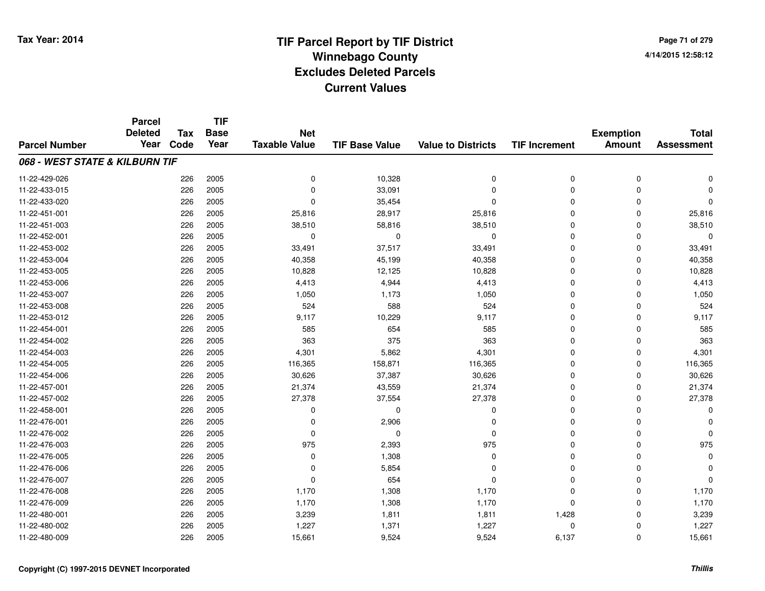**Page 71 of 2794/14/2015 12:58:12**

|                                | <b>Parcel</b>  |            | <b>TIF</b>  |                      |                       |                           |                      |                  |                   |
|--------------------------------|----------------|------------|-------------|----------------------|-----------------------|---------------------------|----------------------|------------------|-------------------|
|                                | <b>Deleted</b> | <b>Tax</b> | <b>Base</b> | <b>Net</b>           |                       |                           |                      | <b>Exemption</b> | <b>Total</b>      |
| <b>Parcel Number</b>           | Year           | Code       | Year        | <b>Taxable Value</b> | <b>TIF Base Value</b> | <b>Value to Districts</b> | <b>TIF Increment</b> | <b>Amount</b>    | <b>Assessment</b> |
| 068 - WEST STATE & KILBURN TIF |                |            |             |                      |                       |                           |                      |                  |                   |
| 11-22-429-026                  |                | 226        | 2005        | $\mathbf 0$          | 10,328                | 0                         | $\mathbf 0$          | $\mathbf 0$      | $\Omega$          |
| 11-22-433-015                  |                | 226        | 2005        | 0                    | 33,091                | 0                         | $\Omega$             | $\mathbf 0$      |                   |
| 11-22-433-020                  |                | 226        | 2005        | $\Omega$             | 35,454                | 0                         | $\Omega$             | $\Omega$         | $\Omega$          |
| 11-22-451-001                  |                | 226        | 2005        | 25,816               | 28,917                | 25,816                    | $\Omega$             | $\Omega$         | 25,816            |
| 11-22-451-003                  |                | 226        | 2005        | 38,510               | 58,816                | 38,510                    | $\Omega$             | $\mathbf 0$      | 38,510            |
| 11-22-452-001                  |                | 226        | 2005        | 0                    | $\mathbf 0$           | 0                         | $\Omega$             | $\Omega$         | $\mathbf 0$       |
| 11-22-453-002                  |                | 226        | 2005        | 33,491               | 37,517                | 33,491                    | $\Omega$             | $\Omega$         | 33,491            |
| 11-22-453-004                  |                | 226        | 2005        | 40,358               | 45,199                | 40,358                    | $\Omega$             | 0                | 40,358            |
| 11-22-453-005                  |                | 226        | 2005        | 10,828               | 12,125                | 10,828                    | $\Omega$             | 0                | 10,828            |
| 11-22-453-006                  |                | 226        | 2005        | 4,413                | 4,944                 | 4,413                     | 0                    | 0                | 4,413             |
| 11-22-453-007                  |                | 226        | 2005        | 1,050                | 1,173                 | 1,050                     | $\Omega$             | 0                | 1,050             |
| 11-22-453-008                  |                | 226        | 2005        | 524                  | 588                   | 524                       | 0                    | 0                | 524               |
| 11-22-453-012                  |                | 226        | 2005        | 9,117                | 10,229                | 9,117                     | 0                    | 0                | 9,117             |
| 11-22-454-001                  |                | 226        | 2005        | 585                  | 654                   | 585                       | 0                    | $\mathbf 0$      | 585               |
| 11-22-454-002                  |                | 226        | 2005        | 363                  | 375                   | 363                       | 0                    | 0                | 363               |
| 11-22-454-003                  |                | 226        | 2005        | 4,301                | 5,862                 | 4,301                     | 0                    | 0                | 4,301             |
| 11-22-454-005                  |                | 226        | 2005        | 116,365              | 158,871               | 116,365                   | 0                    | 0                | 116,365           |
| 11-22-454-006                  |                | 226        | 2005        | 30,626               | 37,387                | 30,626                    | $\Omega$             | 0                | 30,626            |
| 11-22-457-001                  |                | 226        | 2005        | 21,374               | 43,559                | 21,374                    | 0                    | 0                | 21,374            |
| 11-22-457-002                  |                | 226        | 2005        | 27,378               | 37,554                | 27,378                    | 0                    | 0                | 27,378            |
| 11-22-458-001                  |                | 226        | 2005        | $\Omega$             | $\mathbf 0$           | 0                         | $\Omega$             | $\Omega$         | 0                 |
| 11-22-476-001                  |                | 226        | 2005        | 0                    | 2,906                 | 0                         | $\Omega$             | $\Omega$         | $\Omega$          |
| 11-22-476-002                  |                | 226        | 2005        | $\Omega$             | 0                     | 0                         | $\Omega$             | 0                | $\Omega$          |
| 11-22-476-003                  |                | 226        | 2005        | 975                  | 2,393                 | 975                       | $\Omega$             | $\mathbf 0$      | 975               |
| 11-22-476-005                  |                | 226        | 2005        | $\mathbf 0$          | 1,308                 | 0                         | 0                    | $\Omega$         | $\mathbf 0$       |
| 11-22-476-006                  |                | 226        | 2005        | 0                    | 5,854                 | 0                         | $\Omega$             | 0                | $\Omega$          |
| 11-22-476-007                  |                | 226        | 2005        | $\mathbf 0$          | 654                   | 0                         | $\Omega$             | 0                | $\mathbf 0$       |
| 11-22-476-008                  |                | 226        | 2005        | 1,170                | 1,308                 | 1,170                     | $\Omega$             | $\mathbf 0$      | 1,170             |
| 11-22-476-009                  |                | 226        | 2005        | 1,170                | 1,308                 | 1,170                     | $\mathbf 0$          | $\Omega$         | 1,170             |
| 11-22-480-001                  |                | 226        | 2005        | 3,239                | 1,811                 | 1,811                     | 1,428                | $\Omega$         | 3,239             |
| 11-22-480-002                  |                | 226        | 2005        | 1,227                | 1,371                 | 1,227                     | $\Omega$             | $\Omega$         | 1,227             |
| 11-22-480-009                  |                | 226        | 2005        | 15,661               | 9,524                 | 9,524                     | 6,137                | $\mathbf 0$      | 15,661            |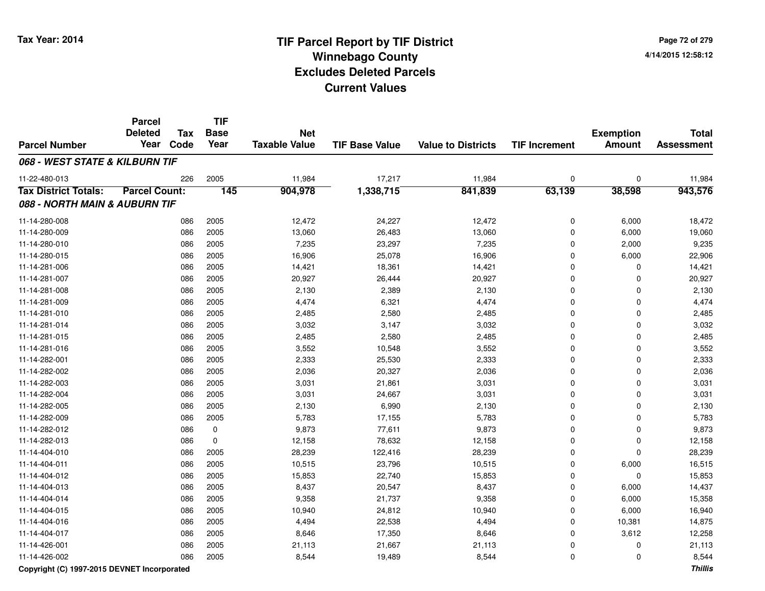**TIF**

**Parcel**

| Page 72 of 279     |  |
|--------------------|--|
| 4/14/2015 12:58:12 |  |

#### **TIF Base ValueParcel NumberTotal AssessmentExemption Amount Value to Districts TIF Increment Base YearTax Code Deleted YearNet Taxable Value068 - WEST STATE & KILBURN TIF**11-22-480-0133 226 2005 11,984 17,217 11,984 0 0 11,984 **Tax District Totals: Parcel Count: <sup>145</sup> 904,978 1,338,715 841,839 63,139 38,598 943,576 088 - NORTH MAIN & AUBURN TIF**11-14-280-008 <sup>086</sup> 12,472 <sup>2005</sup> 24,227 12,472 <sup>0</sup> 6,000 18,472 11-14-280-0099 086 2005 13,060 26,483 13,060 0 6,000 19,060 11-14-280-0100 086 2005 7,235 23,297 7,235 0 2,000 9,235 11-14-280-0155 086 2005 16,906 25,078 16,906 0 6,000 22,906 11-14-281-0066 086 2005 14,421 18,361 14,421 0 14,421 11-14-281-007 <sup>086</sup> 20,927 <sup>2005</sup> 26,444 20,927 <sup>0</sup> <sup>0</sup> 20,927 11-14-281-008 <sup>086</sup> 2,130 <sup>2005</sup> 2,389 2,130 <sup>0</sup> <sup>0</sup> 2,130 11-14-281-0099 086 2005 4,474 6,321 4,474 0 0 4,474 11-14-281-0100 086 2005 2,485 2,580 2,485 0 0 2,485 11-14-281-0144 2005 2005 3,032 3,147 3,032 3,032 3,032 3,032 3,032 3,032 3,032 3,032 3,032 3,032 11-14-281-0155 086 2005 2,485 2,580 2,485 0 2,485 11-14-281-0166 086 2005 3,552 10,548 3,552 0 0 3,552 11-14-282-0011 086 2005 2,333 25,530 2,333 0 2,333 11-14-282-0022 086 2005 2,036 20,327 2,036 0 0 2,036 11-14-282-0033 086 2005 3,031 21,861 3,031 0 0 3,031 11-14-282-004 <sup>086</sup> 3,031 <sup>2005</sup> 24,667 3,031 <sup>0</sup> <sup>0</sup> 3,031 11-14-282-005 <sup>086</sup> 2,130 <sup>2005</sup> 6,990 2,130 <sup>0</sup> <sup>0</sup> 2,130 11-14-282-0099 086 2005 5,783 17,155 5,783 0 0 5,783 11-14-282-012 <sup>086</sup> 9,873 <sup>0</sup> 77,611 9,873 <sup>0</sup> <sup>0</sup> 9,873 11-14-282-0133 086 0 12,158 78,632 12,158 0 0 12,158 11-14-404-0100 086 2005 28,239 122,416 28,239 0 0 28,239 11-14-404-0111 086 2005 10,515 23,796 10,515 0 6,000 16,515 11-14-404-0122 086 2005 15,853 22,740 15,853 0 15,853 11-14-404-0133 086 2005 8,437 20,547 8,437 0 6,000 14,437 11-14-404-014 <sup>086</sup> 9,358 <sup>2005</sup> 21,737 9,358 <sup>0</sup> 6,000 15,358 11-14-404-015 <sup>086</sup> 10,940 <sup>2005</sup> 24,812 10,940 <sup>0</sup> 6,000 16,940 11-14-404-016 <sup>086</sup> 4,494 <sup>2005</sup> 22,538 4,494 <sup>0</sup> 10,381 14,875 11-14-404-017 <sup>086</sup> 8,646 <sup>2005</sup> 17,350 8,646 <sup>0</sup> 3,612 12,258 11-14-426-0011 086 2005 21,113 21,667 21,113 0 0 21,113 11-14-426-0022 086 2005 8,544 19,489 8,544 0 0 8,544

#### **Copyright (C) 1997-2015 DEVNET Incorporated**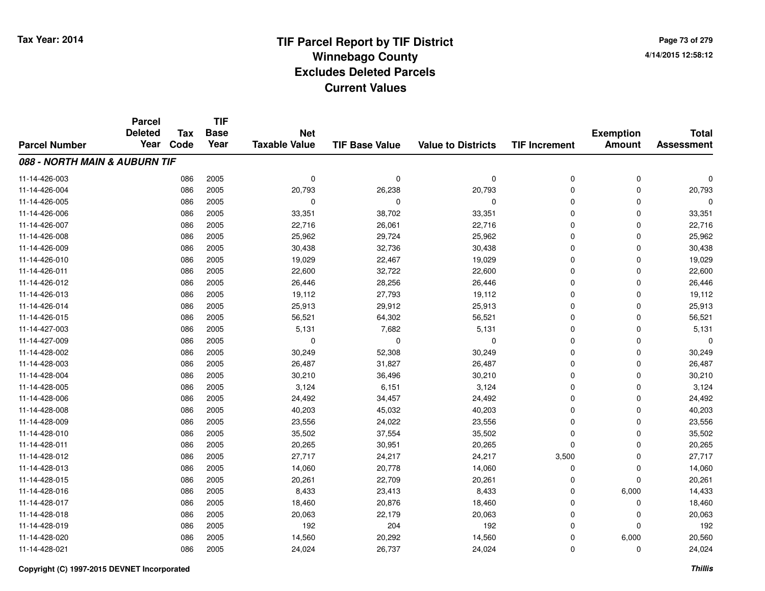**Page 73 of 2794/14/2015 12:58:12**

### **TIF Base ValueParcel NumberTotal AssessmentExemption Amount Value to Districts TIF IncrementTIF Base YearTax CodeParcel Deleted YearNet Taxable Value088 - NORTH MAIN & AUBURN TIF**11-14-426-003 <sup>086</sup> <sup>0</sup> <sup>2005</sup> <sup>0</sup> <sup>0</sup> <sup>0</sup> <sup>0</sup> <sup>0</sup> 11-14-426-0044 20,793 20,793 20,793 26,238 20,793 26,238 20,793 20,793 20,793 20,793 20,793 20,793 20,793 20,793 20,793 20,793 20,793 20,793 20,793 20,793 20,793 20,793 20,793 20,793 20,793 20,793 20,793 20,793 20,793 20,793 20,793 20, 11-14-426-005 <sup>086</sup> <sup>0</sup> <sup>2005</sup> <sup>0</sup> <sup>0</sup> <sup>0</sup> <sup>0</sup> <sup>0</sup> 11-14-426-006 <sup>086</sup> 33,351 <sup>2005</sup> 38,702 33,351 <sup>0</sup> <sup>0</sup> 33,351 11-14-426-007 <sup>086</sup> 22,716 <sup>2005</sup> 26,061 22,716 <sup>0</sup> <sup>0</sup> 22,716 11-14-426-0088 25,962 2005 26,962 26,962 29,724 25,962 26,962 26,962 26,962 26,962 26,962 26,962 26,962 26,962 26,962 26,962 11-14-426-009 <sup>086</sup> 30,438 <sup>2005</sup> 32,736 30,438 <sup>0</sup> <sup>0</sup> 30,438 11-14-426-0100 086 2005 19,029 22,467 19,029 0 0 19,029 11-14-426-0111 086 2005 22,600 32,722 22,600 0 0 22,600 11-14-426-0122 086 2005 26,446 28,256 26,446 0 26,446 11-14-426-0133 086 2005 19,112 27,793 19,112 0 0 19,112 11-14-426-0144 25,913 266 2005 26,913 29,912 29,912 25,913 0 0 0 25,913 11-14-426-015 <sup>086</sup> 56,521 <sup>2005</sup> 64,302 56,521 <sup>0</sup> <sup>0</sup> 56,521 11-14-427-0033 086 2005 5,131 7,682 5,131 0 0 5,131 11-14-427-009 <sup>086</sup> <sup>0</sup> <sup>2005</sup> <sup>0</sup> <sup>0</sup> <sup>0</sup> <sup>0</sup> <sup>0</sup> 11-14-428-0022 086 2005 30,249 52,308 30,249 0 0 30,249 11-14-428-0033 086 2005 26,487 31,827 26,487 0 0 26,487 11-14-428-004 <sup>086</sup> 30,210 <sup>2005</sup> 36,496 30,210 <sup>0</sup> <sup>0</sup> 30,210 11-14-428-005 <sup>086</sup> 3,124 <sup>2005</sup> 6,151 3,124 <sup>0</sup> <sup>0</sup> 3,124 11-14-428-006 <sup>086</sup> 24,492 <sup>2005</sup> 34,457 24,492 <sup>0</sup> <sup>0</sup> 24,492 11-14-428-0088 086 2005 40,203 45,032 40,203 0 0 40,203 11-14-428-0099 086 2005 23,556 24,022 23,556 0 0 23,556 11-14-428-0100 086 2005 35,502 37,554 35,502 0 35,502 11-14-428-0111 086 2005 20,265 30,951 20,265 0 0 20,265 11-14-428-0122 086 2005 27,717 24,217 24,217 3,500 0 27,717 11-14-428-0133 086 2005 14,060 20,778 14,060 0 0 14,060 11-14-428-015 <sup>086</sup> 20,261 <sup>2005</sup> 22,709 20,261 <sup>0</sup> <sup>0</sup> 20,261 11-14-428-016 <sup>086</sup> 8,433 <sup>2005</sup> 23,413 8,433 <sup>0</sup> 6,000 14,433 11-14-428-017 <sup>086</sup> 18,460 <sup>2005</sup> 20,876 18,460 <sup>0</sup> <sup>0</sup> 18,460 11-14-428-018 <sup>086</sup> 20,063 <sup>2005</sup> 22,179 20,063 <sup>0</sup> <sup>0</sup> 20,063 11-14-428-0199 086 2005 192 204 192 0 0 192 11-14-428-0200 086 2005 14,560 20,292 14,560 0 6,000 20,560 11-14-428-0211 086 2005 24,024 26,737 24,024 0 0 24,024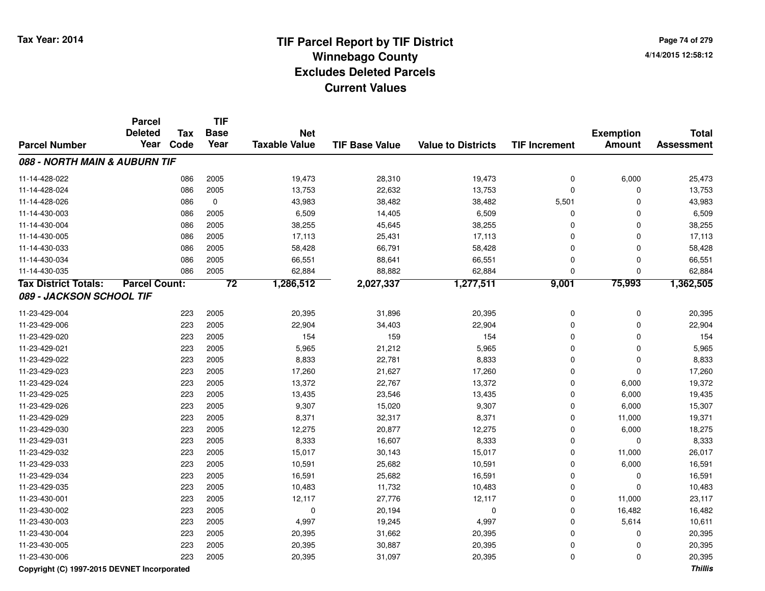**Page 74 of 2794/14/2015 12:58:12**

|                                             | <b>Parcel</b>        |            | <b>TIF</b>      |                      |                       |                           |                      |                  |                   |
|---------------------------------------------|----------------------|------------|-----------------|----------------------|-----------------------|---------------------------|----------------------|------------------|-------------------|
|                                             | <b>Deleted</b>       | <b>Tax</b> | <b>Base</b>     | <b>Net</b>           |                       |                           |                      | <b>Exemption</b> | <b>Total</b>      |
| <b>Parcel Number</b>                        | Year                 | Code       | Year            | <b>Taxable Value</b> | <b>TIF Base Value</b> | <b>Value to Districts</b> | <b>TIF Increment</b> | <b>Amount</b>    | <b>Assessment</b> |
| 088 - NORTH MAIN & AUBURN TIF               |                      |            |                 |                      |                       |                           |                      |                  |                   |
| 11-14-428-022                               |                      | 086        | 2005            | 19,473               | 28,310                | 19,473                    | 0                    | 6,000            | 25,473            |
| 11-14-428-024                               |                      | 086        | 2005            | 13,753               | 22,632                | 13,753                    | 0                    | 0                | 13,753            |
| 11-14-428-026                               |                      | 086        | $\mathbf 0$     | 43,983               | 38,482                | 38,482                    | 5,501                | 0                | 43,983            |
| 11-14-430-003                               |                      | 086        | 2005            | 6,509                | 14,405                | 6,509                     | 0                    | 0                | 6,509             |
| 11-14-430-004                               |                      | 086        | 2005            | 38,255               | 45,645                | 38,255                    | 0                    | 0                | 38,255            |
| 11-14-430-005                               |                      | 086        | 2005            | 17,113               | 25,431                | 17,113                    | 0                    | 0                | 17,113            |
| 11-14-430-033                               |                      | 086        | 2005            | 58,428               | 66,791                | 58,428                    | 0                    | 0                | 58,428            |
| 11-14-430-034                               |                      | 086        | 2005            | 66,551               | 88,641                | 66,551                    | $\overline{0}$       | $\pmb{0}$        | 66,551            |
| 11-14-430-035                               |                      | 086        | 2005            | 62,884               | 88,882                | 62,884                    | $\overline{0}$       | 0                | 62,884            |
| <b>Tax District Totals:</b>                 | <b>Parcel Count:</b> |            | $\overline{72}$ | 1,286,512            | 2,027,337             | 1,277,511                 | 9,001                | 75,993           | 1,362,505         |
| 089 - JACKSON SCHOOL TIF                    |                      |            |                 |                      |                       |                           |                      |                  |                   |
| 11-23-429-004                               |                      | 223        | 2005            | 20,395               | 31,896                | 20,395                    | 0                    | 0                | 20,395            |
| 11-23-429-006                               |                      | 223        | 2005            | 22,904               | 34,403                | 22,904                    | 0                    | 0                | 22,904            |
| 11-23-429-020                               |                      | 223        | 2005            | 154                  | 159                   | 154                       | 0                    | $\pmb{0}$        | 154               |
| 11-23-429-021                               |                      | 223        | 2005            | 5,965                | 21,212                | 5,965                     | $\overline{0}$       | 0                | 5,965             |
| 11-23-429-022                               |                      | 223        | 2005            | 8,833                | 22,781                | 8,833                     | $\overline{0}$       | 0                | 8,833             |
| 11-23-429-023                               |                      | 223        | 2005            | 17,260               | 21,627                | 17,260                    | 0                    | 0                | 17,260            |
| 11-23-429-024                               |                      | 223        | 2005            | 13,372               | 22,767                | 13,372                    | 0                    | 6,000            | 19,372            |
| 11-23-429-025                               |                      | 223        | 2005            | 13,435               | 23,546                | 13,435                    | 0                    | 6,000            | 19,435            |
| 11-23-429-026                               |                      | 223        | 2005            | 9,307                | 15,020                | 9,307                     | 0                    | 6,000            | 15,307            |
| 11-23-429-029                               |                      | 223        | 2005            | 8,371                | 32,317                | 8,371                     | 0                    | 11,000           | 19,371            |
| 11-23-429-030                               |                      | 223        | 2005            | 12,275               | 20,877                | 12,275                    | 0                    | 6,000            | 18,275            |
| 11-23-429-031                               |                      | 223        | 2005            | 8,333                | 16,607                | 8,333                     | 0                    | 0                | 8,333             |
| 11-23-429-032                               |                      | 223        | 2005            | 15,017               | 30,143                | 15,017                    | 0                    | 11,000           | 26,017            |
| 11-23-429-033                               |                      | 223        | 2005            | 10,591               | 25,682                | 10,591                    | 0                    | 6,000            | 16,591            |
| 11-23-429-034                               |                      | 223        | 2005            | 16,591               | 25,682                | 16,591                    | 0                    | 0                | 16,591            |
| 11-23-429-035                               |                      | 223        | 2005            | 10,483               | 11,732                | 10,483                    | 0                    | 0                | 10,483            |
| 11-23-430-001                               |                      | 223        | 2005            | 12,117               | 27,776                | 12,117                    | 0                    | 11,000           | 23,117            |
| 11-23-430-002                               |                      | 223        | 2005            | 0                    | 20,194                | 0                         | 0                    | 16,482           | 16,482            |
| 11-23-430-003                               |                      | 223        | 2005            | 4,997                | 19,245                | 4,997                     | 0                    | 5,614            | 10,611            |
| 11-23-430-004                               |                      | 223        | 2005            | 20,395               | 31,662                | 20,395                    | 0                    | 0                | 20,395            |
| 11-23-430-005                               |                      | 223        | 2005            | 20,395               | 30,887                | 20,395                    | 0                    | 0                | 20,395            |
| 11-23-430-006                               |                      | 223        | 2005            | 20,395               | 31,097                | 20,395                    | 0                    | 0                | 20,395            |
| Copyright (C) 1997-2015 DEVNET Incorporated |                      |            |                 |                      |                       |                           |                      |                  | <b>Thillis</b>    |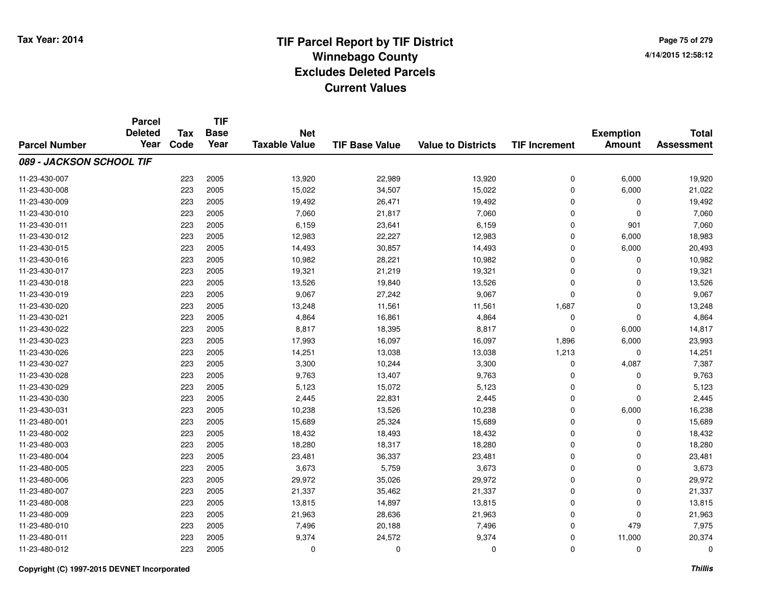**Page 75 of 2794/14/2015 12:58:12**

|                          | <b>Parcel</b>  |            | <b>TIF</b>  |                      |                       |                           |                      |                  |                   |
|--------------------------|----------------|------------|-------------|----------------------|-----------------------|---------------------------|----------------------|------------------|-------------------|
|                          | <b>Deleted</b> | <b>Tax</b> | <b>Base</b> | <b>Net</b>           |                       |                           |                      | <b>Exemption</b> | <b>Total</b>      |
| <b>Parcel Number</b>     | Year           | Code       | Year        | <b>Taxable Value</b> | <b>TIF Base Value</b> | <b>Value to Districts</b> | <b>TIF Increment</b> | <b>Amount</b>    | <b>Assessment</b> |
| 089 - JACKSON SCHOOL TIF |                |            |             |                      |                       |                           |                      |                  |                   |
| 11-23-430-007            |                | 223        | 2005        | 13,920               | 22,989                | 13,920                    | 0                    | 6,000            | 19,920            |
| 11-23-430-008            |                | 223        | 2005        | 15,022               | 34,507                | 15,022                    | 0                    | 6,000            | 21,022            |
| 11-23-430-009            |                | 223        | 2005        | 19,492               | 26,471                | 19,492                    | 0                    | 0                | 19,492            |
| 11-23-430-010            |                | 223        | 2005        | 7,060                | 21,817                | 7,060                     | 0                    | $\Omega$         | 7,060             |
| 11-23-430-011            |                | 223        | 2005        | 6,159                | 23,641                | 6,159                     | 0                    | 901              | 7,060             |
| 11-23-430-012            |                | 223        | 2005        | 12,983               | 22,227                | 12,983                    | 0                    | 6,000            | 18,983            |
| 11-23-430-015            |                | 223        | 2005        | 14,493               | 30,857                | 14,493                    | 0                    | 6,000            | 20,493            |
| 11-23-430-016            |                | 223        | 2005        | 10,982               | 28,221                | 10,982                    | $\mathbf 0$          | $\Omega$         | 10,982            |
| 11-23-430-017            |                | 223        | 2005        | 19,321               | 21,219                | 19,321                    | 0                    | $\Omega$         | 19,321            |
| 11-23-430-018            |                | 223        | 2005        | 13,526               | 19,840                | 13,526                    | $\mathbf 0$          | $\Omega$         | 13,526            |
| 11-23-430-019            |                | 223        | 2005        | 9,067                | 27,242                | 9,067                     | 0                    | $\Omega$         | 9,067             |
| 11-23-430-020            |                | 223        | 2005        | 13,248               | 11,561                | 11,561                    | 1,687                | 0                | 13,248            |
| 11-23-430-021            |                | 223        | 2005        | 4,864                | 16,861                | 4,864                     | 0                    | $\Omega$         | 4,864             |
| 11-23-430-022            |                | 223        | 2005        | 8,817                | 18,395                | 8,817                     | 0                    | 6,000            | 14,817            |
| 11-23-430-023            |                | 223        | 2005        | 17,993               | 16,097                | 16,097                    | 1,896                | 6,000            | 23,993            |
| 11-23-430-026            |                | 223        | 2005        | 14,251               | 13,038                | 13,038                    | 1,213                | 0                | 14,251            |
| 11-23-430-027            |                | 223        | 2005        | 3,300                | 10,244                | 3,300                     | 0                    | 4,087            | 7,387             |
| 11-23-430-028            |                | 223        | 2005        | 9,763                | 13,407                | 9,763                     | 0                    | $\mathbf 0$      | 9,763             |
| 11-23-430-029            |                | 223        | 2005        | 5,123                | 15,072                | 5,123                     | 0                    | 0                | 5,123             |
| 11-23-430-030            |                | 223        | 2005        | 2,445                | 22,831                | 2,445                     | 0                    | $\mathbf 0$      | 2,445             |
| 11-23-430-031            |                | 223        | 2005        | 10,238               | 13,526                | 10,238                    | 0                    | 6,000            | 16,238            |
| 11-23-480-001            |                | 223        | 2005        | 15,689               | 25,324                | 15,689                    | 0                    | $\mathbf 0$      | 15,689            |
| 11-23-480-002            |                | 223        | 2005        | 18,432               | 18,493                | 18,432                    | 0                    | 0                | 18,432            |
| 11-23-480-003            |                | 223        | 2005        | 18,280               | 18,317                | 18,280                    | 0                    | $\mathbf 0$      | 18,280            |
| 11-23-480-004            |                | 223        | 2005        | 23,481               | 36,337                | 23,481                    | 0                    | $\mathbf 0$      | 23,481            |
| 11-23-480-005            |                | 223        | 2005        | 3,673                | 5,759                 | 3,673                     | 0                    | $\Omega$         | 3,673             |
| 11-23-480-006            |                | 223        | 2005        | 29,972               | 35,026                | 29,972                    | 0                    | $\mathbf 0$      | 29,972            |
| 11-23-480-007            |                | 223        | 2005        | 21,337               | 35,462                | 21,337                    | 0                    | 0                | 21,337            |
| 11-23-480-008            |                | 223        | 2005        | 13,815               | 14,897                | 13,815                    | 0                    | $\mathbf 0$      | 13,815            |
| 11-23-480-009            |                | 223        | 2005        | 21,963               | 28,636                | 21,963                    | 0                    | $\Omega$         | 21,963            |
| 11-23-480-010            |                | 223        | 2005        | 7,496                | 20,188                | 7,496                     | 0                    | 479              | 7,975             |
| 11-23-480-011            |                | 223        | 2005        | 9,374                | 24,572                | 9,374                     | 0                    | 11,000           | 20,374            |
| 11-23-480-012            |                | 223        | 2005        | 0                    | 0                     | $\Omega$                  | 0                    | $\Omega$         | 0                 |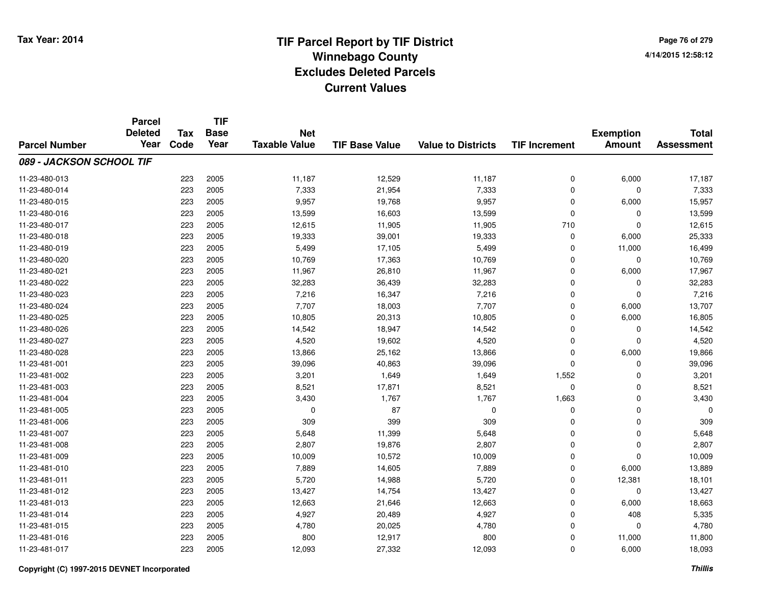**Page 76 of 2794/14/2015 12:58:12**

|                          | <b>Parcel</b>  |            | <b>TIF</b>  |                      |                       |                           |                      |                  |                                   |
|--------------------------|----------------|------------|-------------|----------------------|-----------------------|---------------------------|----------------------|------------------|-----------------------------------|
|                          | <b>Deleted</b> | <b>Tax</b> | <b>Base</b> | <b>Net</b>           |                       |                           |                      | <b>Exemption</b> | <b>Total</b><br><b>Assessment</b> |
| <b>Parcel Number</b>     | Year           | Code       | Year        | <b>Taxable Value</b> | <b>TIF Base Value</b> | <b>Value to Districts</b> | <b>TIF Increment</b> | <b>Amount</b>    |                                   |
| 089 - JACKSON SCHOOL TIF |                |            |             |                      |                       |                           |                      |                  |                                   |
| 11-23-480-013            |                | 223        | 2005        | 11,187               | 12,529                | 11,187                    | 0                    | 6,000            | 17,187                            |
| 11-23-480-014            |                | 223        | 2005        | 7,333                | 21,954                | 7,333                     | 0                    | $\Omega$         | 7,333                             |
| 11-23-480-015            |                | 223        | 2005        | 9,957                | 19,768                | 9,957                     | 0                    | 6,000            | 15,957                            |
| 11-23-480-016            |                | 223        | 2005        | 13,599               | 16,603                | 13,599                    | 0                    | $\Omega$         | 13,599                            |
| 11-23-480-017            |                | 223        | 2005        | 12,615               | 11,905                | 11,905                    | 710                  | $\Omega$         | 12,615                            |
| 11-23-480-018            |                | 223        | 2005        | 19,333               | 39,001                | 19,333                    | 0                    | 6,000            | 25,333                            |
| 11-23-480-019            |                | 223        | 2005        | 5,499                | 17,105                | 5,499                     | 0                    | 11,000           | 16,499                            |
| 11-23-480-020            |                | 223        | 2005        | 10,769               | 17,363                | 10,769                    | 0                    | $\mathbf 0$      | 10,769                            |
| 11-23-480-021            |                | 223        | 2005        | 11,967               | 26,810                | 11,967                    | 0                    | 6,000            | 17,967                            |
| 11-23-480-022            |                | 223        | 2005        | 32,283               | 36,439                | 32,283                    | 0                    | 0                | 32,283                            |
| 11-23-480-023            |                | 223        | 2005        | 7,216                | 16,347                | 7,216                     | 0                    | $\Omega$         | 7,216                             |
| 11-23-480-024            |                | 223        | 2005        | 7,707                | 18,003                | 7,707                     | 0                    | 6,000            | 13,707                            |
| 11-23-480-025            |                | 223        | 2005        | 10,805               | 20,313                | 10,805                    | $\mathbf 0$          | 6,000            | 16,805                            |
| 11-23-480-026            |                | 223        | 2005        | 14,542               | 18,947                | 14,542                    | 0                    | 0                | 14,542                            |
| 11-23-480-027            |                | 223        | 2005        | 4,520                | 19,602                | 4,520                     | 0                    | $\Omega$         | 4,520                             |
| 11-23-480-028            |                | 223        | 2005        | 13,866               | 25,162                | 13,866                    | 0                    | 6,000            | 19,866                            |
| 11-23-481-001            |                | 223        | 2005        | 39,096               | 40,863                | 39,096                    | 0                    | 0                | 39,096                            |
| 11-23-481-002            |                | 223        | 2005        | 3,201                | 1,649                 | 1,649                     | 1,552                | $\mathbf 0$      | 3,201                             |
| 11-23-481-003            |                | 223        | 2005        | 8,521                | 17,871                | 8,521                     | 0                    | 0                | 8,521                             |
| 11-23-481-004            |                | 223        | 2005        | 3,430                | 1,767                 | 1,767                     | 1,663                | $\mathbf 0$      | 3,430                             |
| 11-23-481-005            |                | 223        | 2005        | 0                    | 87                    | 0                         | 0                    | $\mathbf 0$      | n                                 |
| 11-23-481-006            |                | 223        | 2005        | 309                  | 399                   | 309                       | 0                    | $\mathbf 0$      | 309                               |
| 11-23-481-007            |                | 223        | 2005        | 5,648                | 11,399                | 5,648                     | 0                    | $\mathbf 0$      | 5,648                             |
| 11-23-481-008            |                | 223        | 2005        | 2,807                | 19,876                | 2,807                     | 0                    | $\mathbf 0$      | 2,807                             |
| 11-23-481-009            |                | 223        | 2005        | 10,009               | 10,572                | 10,009                    | 0                    | $\mathbf 0$      | 10,009                            |
| 11-23-481-010            |                | 223        | 2005        | 7,889                | 14,605                | 7,889                     | 0                    | 6,000            | 13,889                            |
| 11-23-481-011            |                | 223        | 2005        | 5,720                | 14,988                | 5,720                     | 0                    | 12,381           | 18,101                            |
| 11-23-481-012            |                | 223        | 2005        | 13,427               | 14,754                | 13,427                    | 0                    | 0                | 13,427                            |
| 11-23-481-013            |                | 223        | 2005        | 12,663               | 21,646                | 12,663                    | 0                    | 6,000            | 18,663                            |
| 11-23-481-014            |                | 223        | 2005        | 4,927                | 20,489                | 4,927                     | 0                    | 408              | 5,335                             |
| 11-23-481-015            |                | 223        | 2005        | 4,780                | 20,025                | 4,780                     | 0                    | $\Omega$         | 4,780                             |
| 11-23-481-016            |                | 223        | 2005        | 800                  | 12,917                | 800                       | 0                    | 11,000           | 11,800                            |
| 11-23-481-017            |                | 223        | 2005        | 12,093               | 27,332                | 12,093                    | 0                    | 6,000            | 18,093                            |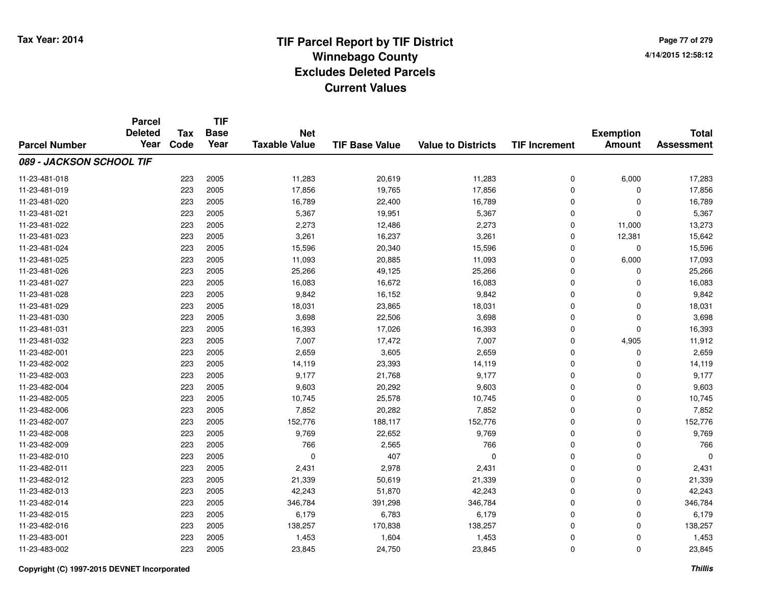**Page 77 of 2794/14/2015 12:58:12**

|                          | <b>Parcel</b><br><b>Deleted</b> |                    | <b>TIF</b>          |                                    |                       |                           |                      |                                   |                                   |
|--------------------------|---------------------------------|--------------------|---------------------|------------------------------------|-----------------------|---------------------------|----------------------|-----------------------------------|-----------------------------------|
| <b>Parcel Number</b>     | Year                            | <b>Tax</b><br>Code | <b>Base</b><br>Year | <b>Net</b><br><b>Taxable Value</b> | <b>TIF Base Value</b> | <b>Value to Districts</b> | <b>TIF Increment</b> | <b>Exemption</b><br><b>Amount</b> | <b>Total</b><br><b>Assessment</b> |
|                          |                                 |                    |                     |                                    |                       |                           |                      |                                   |                                   |
| 089 - JACKSON SCHOOL TIF |                                 |                    |                     |                                    |                       |                           |                      |                                   |                                   |
| 11-23-481-018            |                                 | 223                | 2005                | 11,283                             | 20,619                | 11,283                    | 0                    | 6,000                             | 17,283                            |
| 11-23-481-019            |                                 | 223                | 2005                | 17,856                             | 19,765                | 17,856                    | 0                    | 0                                 | 17,856                            |
| 11-23-481-020            |                                 | 223                | 2005                | 16,789                             | 22,400                | 16,789                    | 0                    | $\Omega$                          | 16,789                            |
| 11-23-481-021            |                                 | 223                | 2005                | 5,367                              | 19,951                | 5,367                     | 0                    | $\Omega$                          | 5,367                             |
| 11-23-481-022            |                                 | 223                | 2005                | 2,273                              | 12,486                | 2,273                     | $\mathbf 0$          | 11,000                            | 13,273                            |
| 11-23-481-023            |                                 | 223                | 2005                | 3,261                              | 16,237                | 3,261                     | 0                    | 12,381                            | 15,642                            |
| 11-23-481-024            |                                 | 223                | 2005                | 15,596                             | 20,340                | 15,596                    | 0                    | $\Omega$                          | 15,596                            |
| 11-23-481-025            |                                 | 223                | 2005                | 11,093                             | 20,885                | 11,093                    | 0                    | 6,000                             | 17,093                            |
| 11-23-481-026            |                                 | 223                | 2005                | 25,266                             | 49,125                | 25,266                    | 0                    | $\Omega$                          | 25,266                            |
| 11-23-481-027            |                                 | 223                | 2005                | 16,083                             | 16,672                | 16,083                    | 0                    | $\Omega$                          | 16,083                            |
| 11-23-481-028            |                                 | 223                | 2005                | 9,842                              | 16,152                | 9,842                     | $\mathbf 0$          | $\Omega$                          | 9,842                             |
| 11-23-481-029            |                                 | 223                | 2005                | 18,031                             | 23,865                | 18,031                    | 0                    | $\Omega$                          | 18,031                            |
| 11-23-481-030            |                                 | 223                | 2005                | 3,698                              | 22,506                | 3,698                     | $\mathbf 0$          | $\Omega$                          | 3,698                             |
| 11-23-481-031            |                                 | 223                | 2005                | 16,393                             | 17,026                | 16,393                    | 0                    | 0                                 | 16,393                            |
| 11-23-481-032            |                                 | 223                | 2005                | 7,007                              | 17,472                | 7,007                     | $\mathbf 0$          | 4,905                             | 11,912                            |
| 11-23-482-001            |                                 | 223                | 2005                | 2,659                              | 3,605                 | 2,659                     | 0                    | 0                                 | 2,659                             |
| 11-23-482-002            |                                 | 223                | 2005                | 14,119                             | 23,393                | 14,119                    | $\mathbf 0$          | $\Omega$                          | 14,119                            |
| 11-23-482-003            |                                 | 223                | 2005                | 9,177                              | 21,768                | 9,177                     | 0                    | 0                                 | 9,177                             |
| 11-23-482-004            |                                 | 223                | 2005                | 9,603                              | 20,292                | 9,603                     | 0                    | $\mathbf 0$                       | 9,603                             |
| 11-23-482-005            |                                 | 223                | 2005                | 10,745                             | 25,578                | 10,745                    | 0                    | 0                                 | 10,745                            |
| 11-23-482-006            |                                 | 223                | 2005                | 7,852                              | 20,282                | 7,852                     | 0                    | 0                                 | 7,852                             |
| 11-23-482-007            |                                 | 223                | 2005                | 152,776                            | 188,117               | 152,776                   | 0                    | 0                                 | 152,776                           |
| 11-23-482-008            |                                 | 223                | 2005                | 9,769                              | 22,652                | 9,769                     | 0                    | 0                                 | 9,769                             |
| 11-23-482-009            |                                 | 223                | 2005                | 766                                | 2,565                 | 766                       | 0                    | $\mathbf 0$                       | 766                               |
| 11-23-482-010            |                                 | 223                | 2005                | $\mathbf 0$                        | 407                   | $\Omega$                  | 0                    | $\Omega$                          | $\Omega$                          |
| 11-23-482-011            |                                 | 223                | 2005                | 2,431                              | 2,978                 | 2,431                     | 0                    | $\mathbf 0$                       | 2,431                             |
| 11-23-482-012            |                                 | 223                | 2005                | 21,339                             | 50,619                | 21,339                    | 0                    | $\mathbf 0$                       | 21,339                            |
| 11-23-482-013            |                                 | 223                | 2005                | 42,243                             | 51,870                | 42,243                    | 0                    | 0                                 | 42,243                            |
| 11-23-482-014            |                                 | 223                | 2005                | 346,784                            | 391,298               | 346,784                   | 0                    | $\Omega$                          | 346,784                           |
| 11-23-482-015            |                                 | 223                | 2005                | 6,179                              | 6,783                 | 6,179                     | 0                    | 0                                 | 6,179                             |
| 11-23-482-016            |                                 | 223                | 2005                | 138,257                            | 170,838               | 138,257                   | 0                    | $\Omega$                          | 138,257                           |
| 11-23-483-001            |                                 | 223                | 2005                | 1,453                              | 1,604                 | 1,453                     | 0                    | 0                                 | 1,453                             |
| 11-23-483-002            |                                 | 223                | 2005                | 23,845                             | 24,750                | 23,845                    | 0                    | $\Omega$                          | 23,845                            |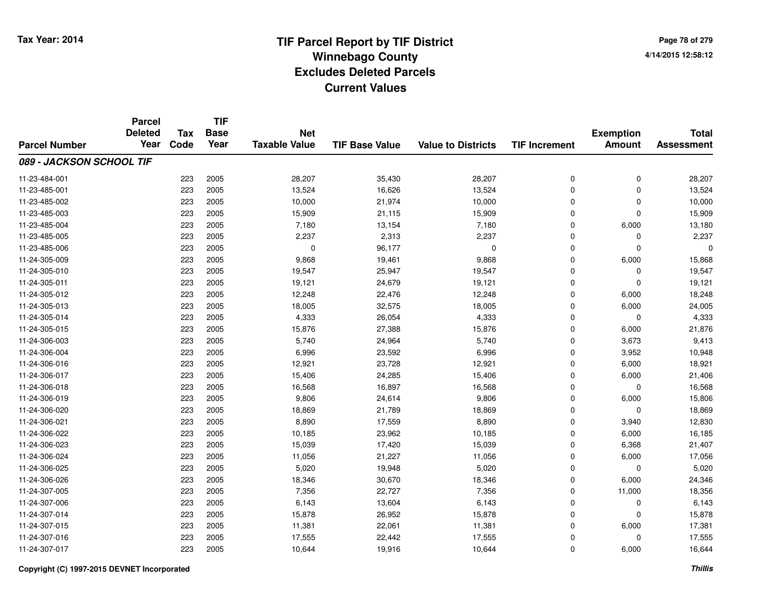|                          | <b>Parcel</b><br><b>Deleted</b> | <b>Tax</b> | <b>TIF</b><br><b>Base</b> | <b>Net</b>           |                       |                           |                      | <b>Exemption</b> | <b>Total</b>      |
|--------------------------|---------------------------------|------------|---------------------------|----------------------|-----------------------|---------------------------|----------------------|------------------|-------------------|
| <b>Parcel Number</b>     | Year                            | Code       | Year                      | <b>Taxable Value</b> | <b>TIF Base Value</b> | <b>Value to Districts</b> | <b>TIF Increment</b> | <b>Amount</b>    | <b>Assessment</b> |
| 089 - JACKSON SCHOOL TIF |                                 |            |                           |                      |                       |                           |                      |                  |                   |
| 11-23-484-001            |                                 | 223        | 2005                      | 28,207               | 35,430                | 28,207                    | $\mathbf 0$          | $\mathbf 0$      | 28,207            |
| 11-23-485-001            |                                 | 223        | 2005                      | 13,524               | 16,626                | 13,524                    | $\mathbf 0$          | $\mathbf 0$      | 13,524            |
| 11-23-485-002            |                                 | 223        | 2005                      | 10,000               | 21,974                | 10,000                    | $\mathbf 0$          | $\mathbf 0$      | 10,000            |
| 11-23-485-003            |                                 | 223        | 2005                      | 15,909               | 21,115                | 15,909                    | $\Omega$             | $\mathbf 0$      | 15,909            |
| 11-23-485-004            |                                 | 223        | 2005                      | 7,180                | 13,154                | 7,180                     | $\mathbf 0$          | 6,000            | 13,180            |
| 11-23-485-005            |                                 | 223        | 2005                      | 2,237                | 2,313                 | 2,237                     | $\Omega$             | $\mathbf 0$      | 2,237             |
| 11-23-485-006            |                                 | 223        | 2005                      | 0                    | 96,177                | $\mathbf 0$               | $\mathbf 0$          | $\mathbf 0$      |                   |
| 11-24-305-009            |                                 | 223        | 2005                      | 9,868                | 19,461                | 9,868                     | $\mathbf 0$          | 6,000            | 15,868            |
| 11-24-305-010            |                                 | 223        | 2005                      | 19,547               | 25,947                | 19,547                    | $\Omega$             | $\mathbf 0$      | 19,547            |
| 11-24-305-011            |                                 | 223        | 2005                      | 19,121               | 24,679                | 19,121                    | $\mathbf 0$          | $\mathbf 0$      | 19,121            |
| 11-24-305-012            |                                 | 223        | 2005                      | 12,248               | 22,476                | 12,248                    | $\mathbf 0$          | 6,000            | 18,248            |
| 11-24-305-013            |                                 | 223        | 2005                      | 18,005               | 32,575                | 18,005                    | $\mathbf 0$          | 6,000            | 24,005            |
| 11-24-305-014            |                                 | 223        | 2005                      | 4,333                | 26,054                | 4,333                     | $\Omega$             | $\mathbf 0$      | 4,333             |
| 11-24-305-015            |                                 | 223        | 2005                      | 15,876               | 27,388                | 15,876                    | $\mathbf 0$          | 6,000            | 21,876            |
| 11-24-306-003            |                                 | 223        | 2005                      | 5,740                | 24,964                | 5,740                     | $\Omega$             | 3,673            | 9,413             |
| 11-24-306-004            |                                 | 223        | 2005                      | 6,996                | 23,592                | 6,996                     | $\mathbf 0$          | 3,952            | 10,948            |
| 11-24-306-016            |                                 | 223        | 2005                      | 12,921               | 23,728                | 12,921                    | $\Omega$             | 6,000            | 18,921            |
| 11-24-306-017            |                                 | 223        | 2005                      | 15,406               | 24,285                | 15,406                    | $\mathbf 0$          | 6,000            | 21,406            |
| 11-24-306-018            |                                 | 223        | 2005                      | 16,568               | 16,897                | 16,568                    | $\mathbf 0$          | $\mathbf 0$      | 16,568            |
| 11-24-306-019            |                                 | 223        | 2005                      | 9,806                | 24,614                | 9,806                     | $\mathbf 0$          | 6,000            | 15,806            |
| 11-24-306-020            |                                 | 223        | 2005                      | 18,869               | 21,789                | 18,869                    | $\mathbf 0$          | $\mathbf 0$      | 18,869            |
| 11-24-306-021            |                                 | 223        | 2005                      | 8,890                | 17,559                | 8,890                     | $\mathbf 0$          | 3,940            | 12,830            |
| 11-24-306-022            |                                 | 223        | 2005                      | 10,185               | 23,962                | 10,185                    | $\mathbf 0$          | 6,000            | 16,185            |
| 11-24-306-023            |                                 | 223        | 2005                      | 15,039               | 17,420                | 15,039                    | $\mathbf 0$          | 6,368            | 21,407            |
| 11-24-306-024            |                                 | 223        | 2005                      | 11,056               | 21,227                | 11,056                    | $\mathbf 0$          | 6,000            | 17,056            |
| 11-24-306-025            |                                 | 223        | 2005                      | 5,020                | 19,948                | 5,020                     | $\mathbf 0$          | $\mathbf 0$      | 5,020             |
| 11-24-306-026            |                                 | 223        | 2005                      | 18,346               | 30,670                | 18,346                    | $\mathbf 0$          | 6,000            | 24,346            |
| 11-24-307-005            |                                 | 223        | 2005                      | 7,356                | 22,727                | 7,356                     | $\mathbf 0$          | 11,000           | 18,356            |
| 11-24-307-006            |                                 | 223        | 2005                      | 6,143                | 13,604                | 6,143                     | $\mathbf 0$          | 0                | 6,143             |
| 11-24-307-014            |                                 | 223        | 2005                      | 15,878               | 26,952                | 15,878                    | $\mathbf 0$          | $\mathbf 0$      | 15,878            |
| 11-24-307-015            |                                 | 223        | 2005                      | 11,381               | 22,061                | 11,381                    | $\Omega$             | 6,000            | 17,381            |
| 11-24-307-016            |                                 | 223        | 2005                      | 17,555               | 22,442                | 17,555                    | $\mathbf 0$          | $\mathbf 0$      | 17,555            |
| 11-24-307-017            |                                 | 223        | 2005                      | 10,644               | 19,916                | 10,644                    | $\Omega$             | 6,000            | 16,644            |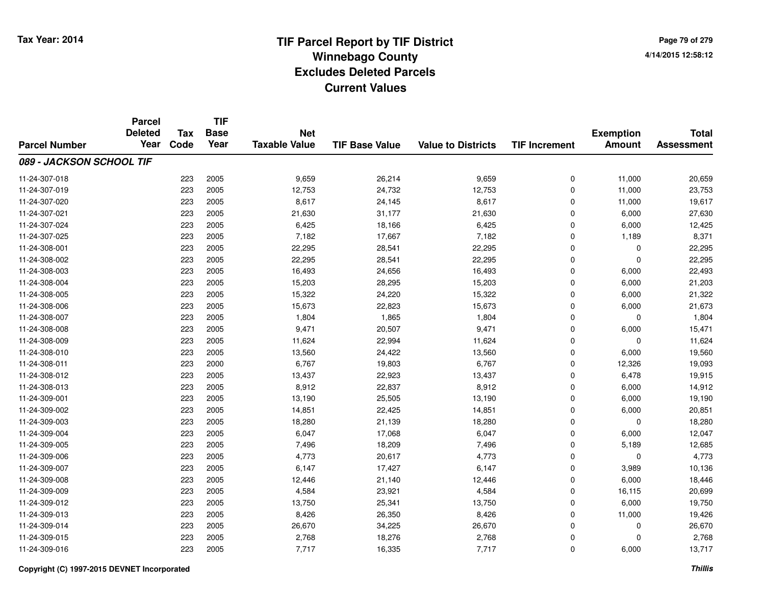|                          | <b>Parcel</b><br><b>Deleted</b> | <b>Tax</b> | <b>TIF</b><br><b>Base</b> |                                    |                       |                           |                      |                                   |                                   |
|--------------------------|---------------------------------|------------|---------------------------|------------------------------------|-----------------------|---------------------------|----------------------|-----------------------------------|-----------------------------------|
| <b>Parcel Number</b>     | Year                            | Code       | Year                      | <b>Net</b><br><b>Taxable Value</b> | <b>TIF Base Value</b> | <b>Value to Districts</b> | <b>TIF Increment</b> | <b>Exemption</b><br><b>Amount</b> | <b>Total</b><br><b>Assessment</b> |
| 089 - JACKSON SCHOOL TIF |                                 |            |                           |                                    |                       |                           |                      |                                   |                                   |
| 11-24-307-018            |                                 | 223        | 2005                      | 9,659                              | 26,214                | 9,659                     | $\mathbf 0$          | 11,000                            | 20,659                            |
| 11-24-307-019            |                                 | 223        | 2005                      | 12,753                             | 24,732                | 12,753                    | $\mathbf 0$          | 11,000                            | 23,753                            |
| 11-24-307-020            |                                 | 223        | 2005                      | 8,617                              | 24,145                | 8,617                     | $\mathbf 0$          | 11,000                            | 19,617                            |
| 11-24-307-021            |                                 | 223        | 2005                      | 21,630                             | 31,177                | 21,630                    | $\mathbf 0$          | 6,000                             | 27,630                            |
| 11-24-307-024            |                                 | 223        | 2005                      | 6,425                              | 18,166                | 6,425                     | $\mathbf 0$          | 6,000                             | 12,425                            |
| 11-24-307-025            |                                 | 223        | 2005                      | 7,182                              | 17,667                | 7,182                     | $\Omega$             | 1,189                             | 8,371                             |
| 11-24-308-001            |                                 | 223        | 2005                      | 22,295                             | 28,541                | 22,295                    | $\mathbf 0$          | $\mathbf 0$                       | 22,295                            |
| 11-24-308-002            |                                 | 223        | 2005                      | 22,295                             | 28,541                | 22,295                    | $\mathbf 0$          | $\mathbf{0}$                      | 22,295                            |
| 11-24-308-003            |                                 | 223        | 2005                      | 16,493                             | 24,656                | 16,493                    | $\Omega$             | 6,000                             | 22,493                            |
| 11-24-308-004            |                                 | 223        | 2005                      | 15,203                             | 28,295                | 15,203                    | $\mathbf 0$          | 6,000                             | 21,203                            |
| 11-24-308-005            |                                 | 223        | 2005                      | 15,322                             | 24,220                | 15,322                    | $\mathbf 0$          | 6,000                             | 21,322                            |
| 11-24-308-006            |                                 | 223        | 2005                      | 15,673                             | 22,823                | 15,673                    | $\mathbf 0$          | 6,000                             | 21,673                            |
| 11-24-308-007            |                                 | 223        | 2005                      | 1,804                              | 1,865                 | 1,804                     | $\Omega$             | $\mathbf{0}$                      | 1,804                             |
| 11-24-308-008            |                                 | 223        | 2005                      | 9,471                              | 20,507                | 9,471                     | $\mathbf 0$          | 6,000                             | 15,471                            |
| 11-24-308-009            |                                 | 223        | 2005                      | 11,624                             | 22,994                | 11,624                    | $\Omega$             | $\mathbf{0}$                      | 11,624                            |
| 11-24-308-010            |                                 | 223        | 2005                      | 13,560                             | 24,422                | 13,560                    | $\mathbf 0$          | 6,000                             | 19,560                            |
| 11-24-308-011            |                                 | 223        | 2000                      | 6,767                              | 19,803                | 6,767                     | $\Omega$             | 12,326                            | 19,093                            |
| 11-24-308-012            |                                 | 223        | 2005                      | 13,437                             | 22,923                | 13,437                    | $\mathbf 0$          | 6,478                             | 19,915                            |
| 11-24-308-013            |                                 | 223        | 2005                      | 8,912                              | 22,837                | 8,912                     | $\mathbf 0$          | 6,000                             | 14,912                            |
| 11-24-309-001            |                                 | 223        | 2005                      | 13,190                             | 25,505                | 13,190                    | $\mathbf 0$          | 6,000                             | 19,190                            |
| 11-24-309-002            |                                 | 223        | 2005                      | 14,851                             | 22,425                | 14,851                    | $\mathbf 0$          | 6,000                             | 20,851                            |
| 11-24-309-003            |                                 | 223        | 2005                      | 18,280                             | 21,139                | 18,280                    | $\mathbf 0$          | $\mathbf 0$                       | 18,280                            |
| 11-24-309-004            |                                 | 223        | 2005                      | 6,047                              | 17,068                | 6,047                     | $\mathbf 0$          | 6,000                             | 12,047                            |
| 11-24-309-005            |                                 | 223        | 2005                      | 7,496                              | 18,209                | 7,496                     | $\mathbf 0$          | 5,189                             | 12,685                            |
| 11-24-309-006            |                                 | 223        | 2005                      | 4,773                              | 20,617                | 4,773                     | $\mathbf 0$          | $\mathbf 0$                       | 4,773                             |
| 11-24-309-007            |                                 | 223        | 2005                      | 6,147                              | 17,427                | 6,147                     | $\mathbf 0$          | 3,989                             | 10,136                            |
| 11-24-309-008            |                                 | 223        | 2005                      | 12,446                             | 21,140                | 12,446                    | $\mathbf 0$          | 6,000                             | 18,446                            |
| 11-24-309-009            |                                 | 223        | 2005                      | 4,584                              | 23,921                | 4,584                     | $\mathbf 0$          | 16,115                            | 20,699                            |
| 11-24-309-012            |                                 | 223        | 2005                      | 13,750                             | 25,341                | 13,750                    | $\mathbf 0$          | 6,000                             | 19,750                            |
| 11-24-309-013            |                                 | 223        | 2005                      | 8,426                              | 26,350                | 8,426                     | $\mathbf 0$          | 11,000                            | 19,426                            |
| 11-24-309-014            |                                 | 223        | 2005                      | 26,670                             | 34,225                | 26,670                    | $\mathbf 0$          | $\mathbf 0$                       | 26,670                            |
| 11-24-309-015            |                                 | 223        | 2005                      | 2,768                              | 18,276                | 2,768                     | $\mathbf 0$          | $\mathbf{0}$                      | 2,768                             |
| 11-24-309-016            |                                 | 223        | 2005                      | 7,717                              | 16,335                | 7,717                     | $\Omega$             | 6,000                             | 13,717                            |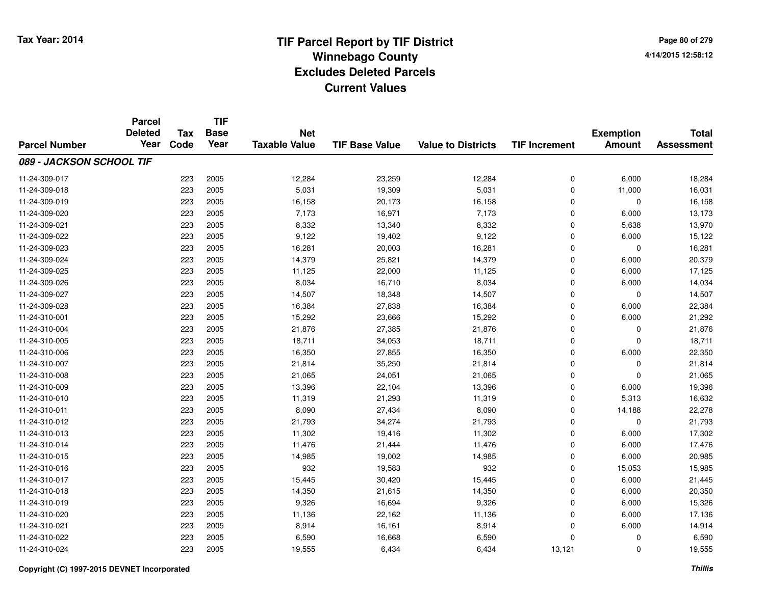**Page 80 of 2794/14/2015 12:58:12**

|                          | <b>Parcel</b>          |                    | <b>TIF</b>          |                                    |                       |                           |                      |                                   |                                   |
|--------------------------|------------------------|--------------------|---------------------|------------------------------------|-----------------------|---------------------------|----------------------|-----------------------------------|-----------------------------------|
| <b>Parcel Number</b>     | <b>Deleted</b><br>Year | <b>Tax</b><br>Code | <b>Base</b><br>Year | <b>Net</b><br><b>Taxable Value</b> | <b>TIF Base Value</b> | <b>Value to Districts</b> | <b>TIF Increment</b> | <b>Exemption</b><br><b>Amount</b> | <b>Total</b><br><b>Assessment</b> |
|                          |                        |                    |                     |                                    |                       |                           |                      |                                   |                                   |
| 089 - JACKSON SCHOOL TIF |                        |                    |                     |                                    |                       |                           |                      |                                   |                                   |
| 11-24-309-017            |                        | 223                | 2005                | 12,284                             | 23,259                | 12,284                    | 0                    | 6,000                             | 18,284                            |
| 11-24-309-018            |                        | 223                | 2005                | 5,031                              | 19,309                | 5,031                     | $\pmb{0}$            | 11,000                            | 16,031                            |
| 11-24-309-019            |                        | 223                | 2005                | 16,158                             | 20,173                | 16,158                    | $\mathbf 0$          | $\mathbf 0$                       | 16,158                            |
| 11-24-309-020            |                        | 223                | 2005                | 7,173                              | 16,971                | 7,173                     | $\mathbf 0$          | 6,000                             | 13,173                            |
| 11-24-309-021            |                        | 223                | 2005                | 8,332                              | 13,340                | 8,332                     | $\mathbf 0$          | 5,638                             | 13,970                            |
| 11-24-309-022            |                        | 223                | 2005                | 9,122                              | 19,402                | 9,122                     | $\mathbf 0$          | 6,000                             | 15,122                            |
| 11-24-309-023            |                        | 223                | 2005                | 16,281                             | 20,003                | 16,281                    | $\mathbf 0$          | $\Omega$                          | 16,281                            |
| 11-24-309-024            |                        | 223                | 2005                | 14,379                             | 25,821                | 14,379                    | $\mathbf 0$          | 6,000                             | 20,379                            |
| 11-24-309-025            |                        | 223                | 2005                | 11,125                             | 22,000                | 11,125                    | $\mathbf 0$          | 6,000                             | 17,125                            |
| 11-24-309-026            |                        | 223                | 2005                | 8,034                              | 16,710                | 8,034                     | $\mathbf 0$          | 6,000                             | 14,034                            |
| 11-24-309-027            |                        | 223                | 2005                | 14,507                             | 18,348                | 14,507                    | $\mathbf 0$          | $\mathbf 0$                       | 14,507                            |
| 11-24-309-028            |                        | 223                | 2005                | 16,384                             | 27,838                | 16,384                    | $\mathbf 0$          | 6,000                             | 22,384                            |
| 11-24-310-001            |                        | 223                | 2005                | 15,292                             | 23,666                | 15,292                    | $\mathbf 0$          | 6,000                             | 21,292                            |
| 11-24-310-004            |                        | 223                | 2005                | 21,876                             | 27,385                | 21,876                    | 0                    | 0                                 | 21,876                            |
| 11-24-310-005            |                        | 223                | 2005                | 18,711                             | 34,053                | 18,711                    | $\mathbf 0$          | $\mathbf 0$                       | 18,711                            |
| 11-24-310-006            |                        | 223                | 2005                | 16,350                             | 27,855                | 16,350                    | $\mathbf 0$          | 6,000                             | 22,350                            |
| 11-24-310-007            |                        | 223                | 2005                | 21,814                             | 35,250                | 21,814                    | 0                    | $\mathbf 0$                       | 21,814                            |
| 11-24-310-008            |                        | 223                | 2005                | 21,065                             | 24,051                | 21,065                    | 0                    | $\mathbf 0$                       | 21,065                            |
| 11-24-310-009            |                        | 223                | 2005                | 13,396                             | 22,104                | 13,396                    | 0                    | 6,000                             | 19,396                            |
| 11-24-310-010            |                        | 223                | 2005                | 11,319                             | 21,293                | 11,319                    | $\pmb{0}$            | 5,313                             | 16,632                            |
| 11-24-310-011            |                        | 223                | 2005                | 8,090                              | 27,434                | 8,090                     | $\mathbf 0$          | 14,188                            | 22,278                            |
| 11-24-310-012            |                        | 223                | 2005                | 21,793                             | 34,274                | 21,793                    | $\mathbf 0$          | $\mathbf 0$                       | 21,793                            |
| 11-24-310-013            |                        | 223                | 2005                | 11,302                             | 19,416                | 11,302                    | 0                    | 6,000                             | 17,302                            |
| 11-24-310-014            |                        | 223                | 2005                | 11,476                             | 21,444                | 11,476                    | $\mathbf 0$          | 6,000                             | 17,476                            |
| 11-24-310-015            |                        | 223                | 2005                | 14,985                             | 19,002                | 14,985                    | 0                    | 6,000                             | 20,985                            |
| 11-24-310-016            |                        | 223                | 2005                | 932                                | 19,583                | 932                       | $\mathbf 0$          | 15,053                            | 15,985                            |
| 11-24-310-017            |                        | 223                | 2005                | 15,445                             | 30,420                | 15,445                    | $\mathbf 0$          | 6,000                             | 21,445                            |
| 11-24-310-018            |                        | 223                | 2005                | 14,350                             | 21,615                | 14,350                    | 0                    | 6,000                             | 20,350                            |
| 11-24-310-019            |                        | 223                | 2005                | 9,326                              | 16,694                | 9,326                     | 0                    | 6,000                             | 15,326                            |
| 11-24-310-020            |                        | 223                | 2005                | 11,136                             | 22,162                | 11,136                    | 0                    | 6,000                             | 17,136                            |
| 11-24-310-021            |                        | 223                | 2005                | 8,914                              | 16,161                | 8,914                     | $\mathbf 0$          | 6,000                             | 14,914                            |
| 11-24-310-022            |                        | 223                | 2005                | 6,590                              | 16,668                | 6,590                     | $\mathbf 0$          | 0                                 | 6,590                             |
| 11-24-310-024            |                        | 223                | 2005                | 19,555                             | 6,434                 | 6,434                     | 13,121               | $\mathbf 0$                       | 19,555                            |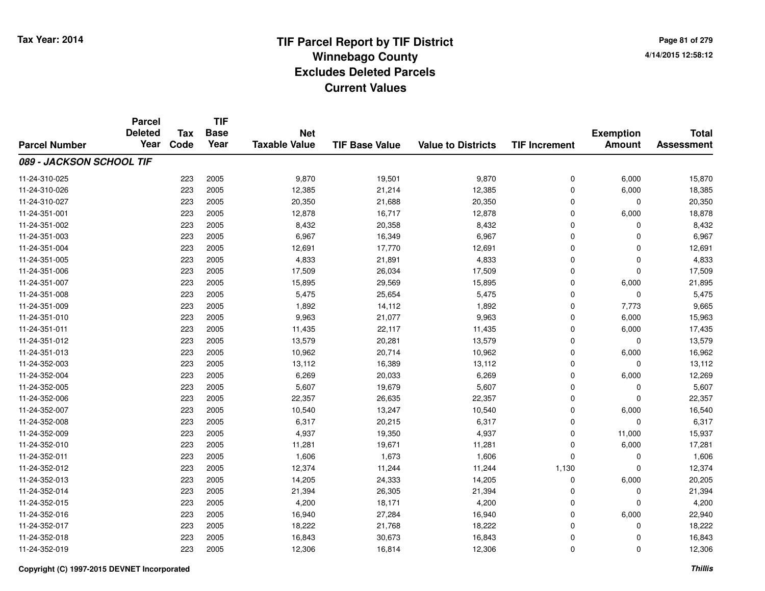**Page 81 of 2794/14/2015 12:58:12**

|                          | <b>Parcel</b>  |            | <b>TIF</b>  |                      |                       |                           |                      |                  |                   |
|--------------------------|----------------|------------|-------------|----------------------|-----------------------|---------------------------|----------------------|------------------|-------------------|
|                          | <b>Deleted</b> | <b>Tax</b> | <b>Base</b> | <b>Net</b>           |                       |                           |                      | <b>Exemption</b> | <b>Total</b>      |
| <b>Parcel Number</b>     | Year           | Code       | Year        | <b>Taxable Value</b> | <b>TIF Base Value</b> | <b>Value to Districts</b> | <b>TIF Increment</b> | <b>Amount</b>    | <b>Assessment</b> |
| 089 - JACKSON SCHOOL TIF |                |            |             |                      |                       |                           |                      |                  |                   |
| 11-24-310-025            |                | 223        | 2005        | 9,870                | 19,501                | 9,870                     | 0                    | 6,000            | 15,870            |
| 11-24-310-026            |                | 223        | 2005        | 12,385               | 21,214                | 12,385                    | 0                    | 6,000            | 18,385            |
| 11-24-310-027            |                | 223        | 2005        | 20,350               | 21,688                | 20,350                    | 0                    | 0                | 20,350            |
| 11-24-351-001            |                | 223        | 2005        | 12,878               | 16,717                | 12,878                    | 0                    | 6,000            | 18,878            |
| 11-24-351-002            |                | 223        | 2005        | 8,432                | 20,358                | 8,432                     | 0                    | $\Omega$         | 8,432             |
| 11-24-351-003            |                | 223        | 2005        | 6,967                | 16,349                | 6,967                     | 0                    | $\Omega$         | 6,967             |
| 11-24-351-004            |                | 223        | 2005        | 12,691               | 17,770                | 12,691                    | 0                    | $\Omega$         | 12,691            |
| 11-24-351-005            |                | 223        | 2005        | 4,833                | 21,891                | 4,833                     | 0                    | $\Omega$         | 4,833             |
| 11-24-351-006            |                | 223        | 2005        | 17,509               | 26,034                | 17,509                    | 0                    | $\mathbf 0$      | 17,509            |
| 11-24-351-007            |                | 223        | 2005        | 15,895               | 29,569                | 15,895                    | 0                    | 6,000            | 21,895            |
| 11-24-351-008            |                | 223        | 2005        | 5,475                | 25,654                | 5,475                     | 0                    | $\Omega$         | 5,475             |
| 11-24-351-009            |                | 223        | 2005        | 1,892                | 14,112                | 1,892                     | 0                    | 7,773            | 9,665             |
| 11-24-351-010            |                | 223        | 2005        | 9,963                | 21,077                | 9,963                     | 0                    | 6,000            | 15,963            |
| 11-24-351-011            |                | 223        | 2005        | 11,435               | 22,117                | 11,435                    | 0                    | 6,000            | 17,435            |
| 11-24-351-012            |                | 223        | 2005        | 13,579               | 20,281                | 13,579                    | 0                    | $\mathbf 0$      | 13,579            |
| 11-24-351-013            |                | 223        | 2005        | 10,962               | 20,714                | 10,962                    | 0                    | 6,000            | 16,962            |
| 11-24-352-003            |                | 223        | 2005        | 13,112               | 16,389                | 13,112                    | 0                    | $\mathbf 0$      | 13,112            |
| 11-24-352-004            |                | 223        | 2005        | 6,269                | 20,033                | 6,269                     | 0                    | 6,000            | 12,269            |
| 11-24-352-005            |                | 223        | 2005        | 5,607                | 19,679                | 5,607                     | 0                    | 0                | 5,607             |
| 11-24-352-006            |                | 223        | 2005        | 22,357               | 26,635                | 22,357                    | 0                    | $\mathbf 0$      | 22,357            |
| 11-24-352-007            |                | 223        | 2005        | 10,540               | 13,247                | 10,540                    | 0                    | 6,000            | 16,540            |
| 11-24-352-008            |                | 223        | 2005        | 6,317                | 20,215                | 6,317                     | 0                    | $\mathbf 0$      | 6,317             |
| 11-24-352-009            |                | 223        | 2005        | 4,937                | 19,350                | 4,937                     | 0                    | 11,000           | 15,937            |
| 11-24-352-010            |                | 223        | 2005        | 11,281               | 19,671                | 11,281                    | 0                    | 6,000            | 17,281            |
| 11-24-352-011            |                | 223        | 2005        | 1,606                | 1,673                 | 1,606                     | 0                    | 0                | 1,606             |
| 11-24-352-012            |                | 223        | 2005        | 12,374               | 11,244                | 11,244                    | 1,130                | $\Omega$         | 12,374            |
| 11-24-352-013            |                | 223        | 2005        | 14,205               | 24,333                | 14,205                    | 0                    | 6,000            | 20,205            |
| 11-24-352-014            |                | 223        | 2005        | 21,394               | 26,305                | 21,394                    | 0                    | 0                | 21,394            |
| 11-24-352-015            |                | 223        | 2005        | 4,200                | 18,171                | 4,200                     | 0                    | $\mathbf 0$      | 4,200             |
| 11-24-352-016            |                | 223        | 2005        | 16,940               | 27,284                | 16,940                    | 0                    | 6,000            | 22,940            |
| 11-24-352-017            |                | 223        | 2005        | 18,222               | 21,768                | 18,222                    | 0                    | 0                | 18,222            |
| 11-24-352-018            |                | 223        | 2005        | 16,843               | 30,673                | 16,843                    | 0                    | 0                | 16,843            |
| 11-24-352-019            |                | 223        | 2005        | 12,306               | 16,814                | 12,306                    | 0                    | $\Omega$         | 12,306            |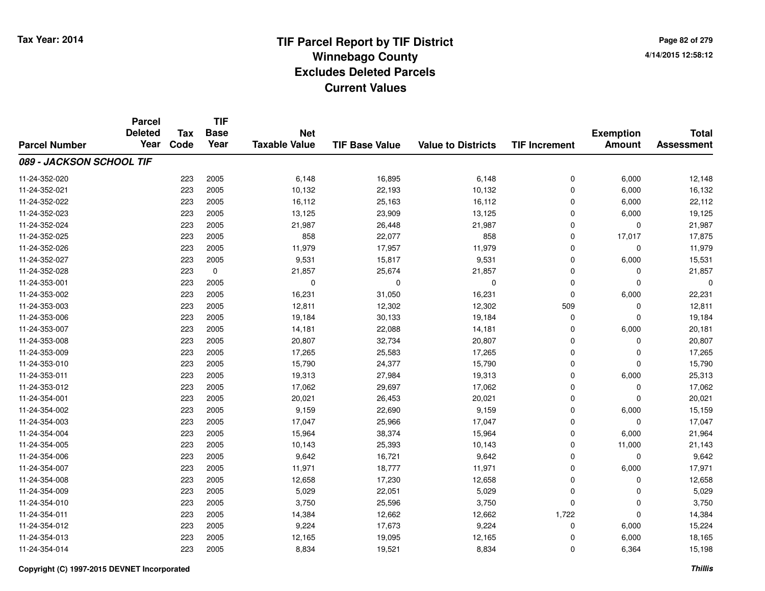|                          | <b>Parcel</b><br><b>Deleted</b><br>Year | <b>Tax</b> | <b>TIF</b><br><b>Base</b> | <b>Net</b>           |                       |                           |                      | <b>Exemption</b> | <b>Total</b>      |
|--------------------------|-----------------------------------------|------------|---------------------------|----------------------|-----------------------|---------------------------|----------------------|------------------|-------------------|
| <b>Parcel Number</b>     |                                         | Code       | Year                      | <b>Taxable Value</b> | <b>TIF Base Value</b> | <b>Value to Districts</b> | <b>TIF Increment</b> | <b>Amount</b>    | <b>Assessment</b> |
| 089 - JACKSON SCHOOL TIF |                                         |            |                           |                      |                       |                           |                      |                  |                   |
| 11-24-352-020            |                                         | 223        | 2005                      | 6,148                | 16,895                | 6,148                     | $\mathbf 0$          | 6,000            | 12,148            |
| 11-24-352-021            |                                         | 223        | 2005                      | 10,132               | 22,193                | 10,132                    | $\mathbf 0$          | 6,000            | 16,132            |
| 11-24-352-022            |                                         | 223        | 2005                      | 16,112               | 25,163                | 16,112                    | 0                    | 6,000            | 22,112            |
| 11-24-352-023            |                                         | 223        | 2005                      | 13,125               | 23,909                | 13,125                    | $\Omega$             | 6,000            | 19,125            |
| 11-24-352-024            |                                         | 223        | 2005                      | 21,987               | 26,448                | 21,987                    | $\mathbf 0$          | $\mathbf 0$      | 21,987            |
| 11-24-352-025            |                                         | 223        | 2005                      | 858                  | 22,077                | 858                       | $\mathbf 0$          | 17,017           | 17,875            |
| 11-24-352-026            |                                         | 223        | 2005                      | 11,979               | 17,957                | 11,979                    | $\mathbf 0$          | $\mathbf 0$      | 11,979            |
| 11-24-352-027            |                                         | 223        | 2005                      | 9,531                | 15,817                | 9,531                     | 0                    | 6,000            | 15,531            |
| 11-24-352-028            |                                         | 223        | $\mathbf 0$               | 21,857               | 25,674                | 21,857                    | $\mathbf 0$          | 0                | 21,857            |
| 11-24-353-001            |                                         | 223        | 2005                      | $\mathbf 0$          | $\mathbf 0$           | 0                         | $\mathbf 0$          | $\mathbf 0$      | $\Omega$          |
| 11-24-353-002            |                                         | 223        | 2005                      | 16,231               | 31,050                | 16,231                    | $\Omega$             | 6,000            | 22,231            |
| 11-24-353-003            |                                         | 223        | 2005                      | 12,811               | 12,302                | 12,302                    | 509                  | $\mathbf 0$      | 12,811            |
| 11-24-353-006            |                                         | 223        | 2005                      | 19,184               | 30,133                | 19,184                    | $\mathbf 0$          | $\Omega$         | 19,184            |
| 11-24-353-007            |                                         | 223        | 2005                      | 14,181               | 22,088                | 14,181                    | $\Omega$             | 6,000            | 20,181            |
| 11-24-353-008            |                                         | 223        | 2005                      | 20,807               | 32,734                | 20,807                    | $\Omega$             | $\mathbf 0$      | 20,807            |
| 11-24-353-009            |                                         | 223        | 2005                      | 17,265               | 25,583                | 17,265                    | 0                    | $\mathbf 0$      | 17,265            |
| 11-24-353-010            |                                         | 223        | 2005                      | 15,790               | 24,377                | 15,790                    | 0                    | $\mathbf 0$      | 15,790            |
| 11-24-353-011            |                                         | 223        | 2005                      | 19,313               | 27,984                | 19,313                    | $\mathbf 0$          | 6,000            | 25,313            |
| 11-24-353-012            |                                         | 223        | 2005                      | 17,062               | 29,697                | 17,062                    | $\mathbf 0$          | $\mathbf 0$      | 17,062            |
| 11-24-354-001            |                                         | 223        | 2005                      | 20,021               | 26,453                | 20,021                    | $\mathbf 0$          | $\mathbf 0$      | 20,021            |
| 11-24-354-002            |                                         | 223        | 2005                      | 9,159                | 22,690                | 9,159                     | $\mathbf 0$          | 6,000            | 15,159            |
| 11-24-354-003            |                                         | 223        | 2005                      | 17,047               | 25,966                | 17,047                    | $\mathbf 0$          | $\mathbf 0$      | 17,047            |
| 11-24-354-004            |                                         | 223        | 2005                      | 15,964               | 38,374                | 15,964                    | 0                    | 6,000            | 21,964            |
| 11-24-354-005            |                                         | 223        | 2005                      | 10,143               | 25,393                | 10,143                    | $\mathbf 0$          | 11,000           | 21,143            |
| 11-24-354-006            |                                         | 223        | 2005                      | 9,642                | 16,721                | 9,642                     | $\mathbf 0$          | $\mathbf 0$      | 9,642             |
| 11-24-354-007            |                                         | 223        | 2005                      | 11,971               | 18,777                | 11,971                    | $\mathbf 0$          | 6,000            | 17,971            |
| 11-24-354-008            |                                         | 223        | 2005                      | 12,658               | 17,230                | 12,658                    | $\mathbf 0$          | 0                | 12,658            |
| 11-24-354-009            |                                         | 223        | 2005                      | 5,029                | 22,051                | 5,029                     | $\mathbf 0$          | $\mathbf 0$      | 5,029             |
| 11-24-354-010            |                                         | 223        | 2005                      | 3,750                | 25,596                | 3,750                     | $\Omega$             | $\mathbf 0$      | 3,750             |
| 11-24-354-011            |                                         | 223        | 2005                      | 14,384               | 12,662                | 12,662                    | 1,722                | $\mathbf 0$      | 14,384            |
| 11-24-354-012            |                                         | 223        | 2005                      | 9,224                | 17,673                | 9,224                     | $\mathbf 0$          | 6,000            | 15,224            |
| 11-24-354-013            |                                         | 223        | 2005                      | 12,165               | 19,095                | 12,165                    | $\mathbf 0$          | 6,000            | 18,165            |
| 11-24-354-014            |                                         | 223        | 2005                      | 8,834                | 19,521                | 8,834                     | $\Omega$             | 6,364            | 15,198            |

## **Copyright (C) 1997-2015 DEVNET Incorporated**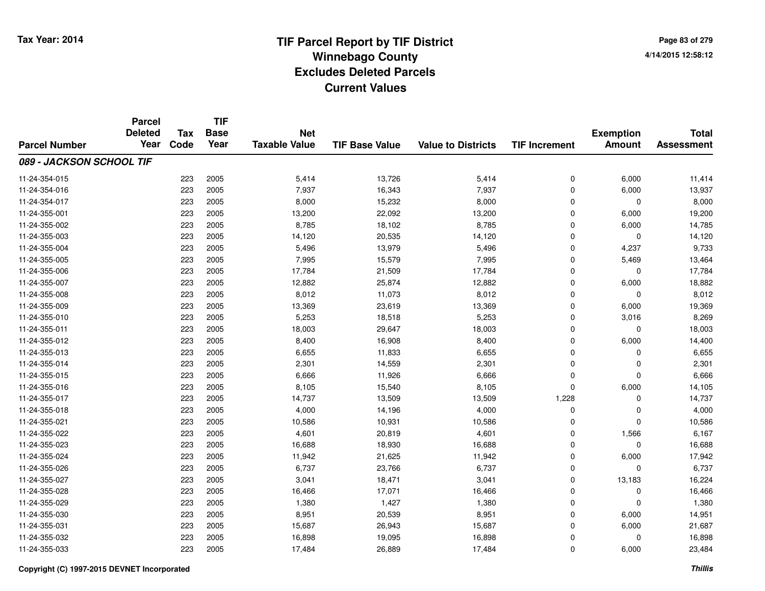**Page 83 of 2794/14/2015 12:58:12**

|                          | <b>Parcel</b>          |                    | <b>TIF</b>          |                                    |                       |                           | <b>Total</b>         |                  |                   |
|--------------------------|------------------------|--------------------|---------------------|------------------------------------|-----------------------|---------------------------|----------------------|------------------|-------------------|
|                          | <b>Deleted</b><br>Year | <b>Tax</b><br>Code | <b>Base</b><br>Year | <b>Net</b><br><b>Taxable Value</b> |                       |                           |                      | <b>Exemption</b> | <b>Assessment</b> |
| <b>Parcel Number</b>     |                        |                    |                     |                                    | <b>TIF Base Value</b> | <b>Value to Districts</b> | <b>TIF Increment</b> | <b>Amount</b>    |                   |
| 089 - JACKSON SCHOOL TIF |                        |                    |                     |                                    |                       |                           |                      |                  |                   |
| 11-24-354-015            |                        | 223                | 2005                | 5,414                              | 13,726                | 5,414                     | 0                    | 6,000            | 11,414            |
| 11-24-354-016            |                        | 223                | 2005                | 7,937                              | 16,343                | 7,937                     | 0                    | 6,000            | 13,937            |
| 11-24-354-017            |                        | 223                | 2005                | 8,000                              | 15,232                | 8,000                     | 0                    | 0                | 8,000             |
| 11-24-355-001            |                        | 223                | 2005                | 13,200                             | 22,092                | 13,200                    | 0                    | 6,000            | 19,200            |
| 11-24-355-002            |                        | 223                | 2005                | 8,785                              | 18,102                | 8,785                     | 0                    | 6,000            | 14,785            |
| 11-24-355-003            |                        | 223                | 2005                | 14,120                             | 20,535                | 14,120                    | 0                    | $\Omega$         | 14,120            |
| 11-24-355-004            |                        | 223                | 2005                | 5,496                              | 13,979                | 5,496                     | 0                    | 4,237            | 9,733             |
| 11-24-355-005            |                        | 223                | 2005                | 7,995                              | 15,579                | 7,995                     | 0                    | 5,469            | 13,464            |
| 11-24-355-006            |                        | 223                | 2005                | 17,784                             | 21,509                | 17,784                    | 0                    | $\mathbf 0$      | 17,784            |
| 11-24-355-007            |                        | 223                | 2005                | 12,882                             | 25,874                | 12,882                    | 0                    | 6,000            | 18,882            |
| 11-24-355-008            |                        | 223                | 2005                | 8,012                              | 11,073                | 8,012                     | 0                    | $\Omega$         | 8,012             |
| 11-24-355-009            |                        | 223                | 2005                | 13,369                             | 23,619                | 13,369                    | 0                    | 6,000            | 19,369            |
| 11-24-355-010            |                        | 223                | 2005                | 5,253                              | 18,518                | 5,253                     | $\mathbf 0$          | 3,016            | 8,269             |
| 11-24-355-011            |                        | 223                | 2005                | 18,003                             | 29,647                | 18,003                    | 0                    | 0                | 18,003            |
| 11-24-355-012            |                        | 223                | 2005                | 8,400                              | 16,908                | 8,400                     | 0                    | 6,000            | 14,400            |
| 11-24-355-013            |                        | 223                | 2005                | 6,655                              | 11,833                | 6,655                     | 0                    | 0                | 6,655             |
| 11-24-355-014            |                        | 223                | 2005                | 2,301                              | 14,559                | 2,301                     | 0                    | 0                | 2,301             |
| 11-24-355-015            |                        | 223                | 2005                | 6,666                              | 11,926                | 6,666                     | 0                    | $\mathbf 0$      | 6,666             |
| 11-24-355-016            |                        | 223                | 2005                | 8,105                              | 15,540                | 8,105                     | 0                    | 6,000            | 14,105            |
| 11-24-355-017            |                        | 223                | 2005                | 14,737                             | 13,509                | 13,509                    | 1,228                | $\mathbf 0$      | 14,737            |
| 11-24-355-018            |                        | 223                | 2005                | 4,000                              | 14,196                | 4,000                     | 0                    | 0                | 4,000             |
| 11-24-355-021            |                        | 223                | 2005                | 10,586                             | 10,931                | 10,586                    | 0                    | $\Omega$         | 10,586            |
| 11-24-355-022            |                        | 223                | 2005                | 4,601                              | 20,819                | 4,601                     | 0                    | 1,566            | 6,167             |
| 11-24-355-023            |                        | 223                | 2005                | 16,688                             | 18,930                | 16,688                    | 0                    | $\mathbf 0$      | 16,688            |
| 11-24-355-024            |                        | 223                | 2005                | 11,942                             | 21,625                | 11,942                    | 0                    | 6,000            | 17,942            |
| 11-24-355-026            |                        | 223                | 2005                | 6,737                              | 23,766                | 6,737                     | 0                    | $\mathbf 0$      | 6,737             |
| 11-24-355-027            |                        | 223                | 2005                | 3,041                              | 18,471                | 3,041                     | 0                    | 13,183           | 16,224            |
| 11-24-355-028            |                        | 223                | 2005                | 16,466                             | 17,071                | 16,466                    | 0                    | 0                | 16,466            |
| 11-24-355-029            |                        | 223                | 2005                | 1,380                              | 1,427                 | 1,380                     | 0                    | $\mathbf 0$      | 1,380             |
| 11-24-355-030            |                        | 223                | 2005                | 8,951                              | 20,539                | 8,951                     | 0                    | 6,000            | 14,951            |
| 11-24-355-031            |                        | 223                | 2005                | 15,687                             | 26,943                | 15,687                    | 0                    | 6,000            | 21,687            |
| 11-24-355-032            |                        | 223                | 2005                | 16,898                             | 19,095                | 16,898                    | 0                    | 0                | 16,898            |
| 11-24-355-033            |                        | 223                | 2005                | 17,484                             | 26,889                | 17,484                    | 0                    | 6,000            | 23,484            |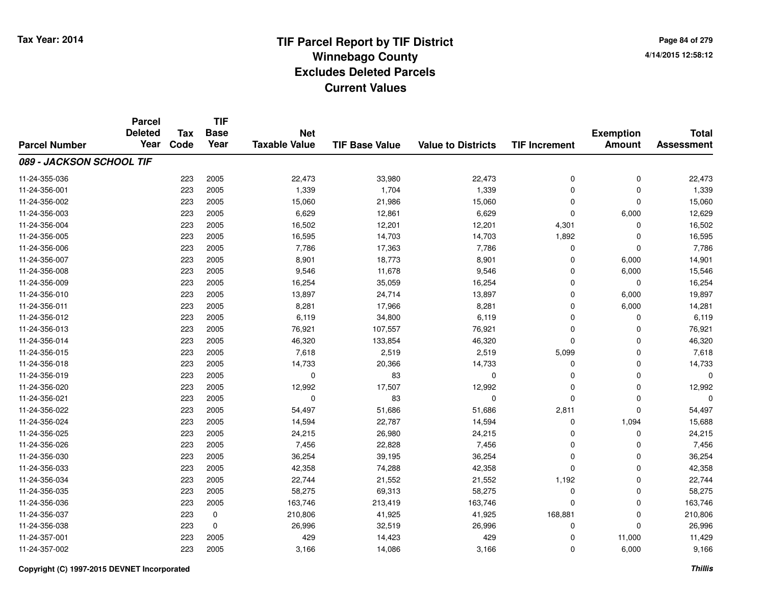**Page 84 of 2794/14/2015 12:58:12**

|                          | <b>Parcel</b>          | <b>Tax</b><br><b>Base</b><br><b>Net</b> | <b>TIF</b>  |                      |                       |                           |                      |                  |                   | <b>Total</b> |
|--------------------------|------------------------|-----------------------------------------|-------------|----------------------|-----------------------|---------------------------|----------------------|------------------|-------------------|--------------|
|                          | <b>Deleted</b><br>Year | Code                                    | Year        | <b>Taxable Value</b> |                       |                           |                      | <b>Exemption</b> | <b>Assessment</b> |              |
| <b>Parcel Number</b>     |                        |                                         |             |                      | <b>TIF Base Value</b> | <b>Value to Districts</b> | <b>TIF Increment</b> | <b>Amount</b>    |                   |              |
| 089 - JACKSON SCHOOL TIF |                        |                                         |             |                      |                       |                           |                      |                  |                   |              |
| 11-24-355-036            |                        | 223                                     | 2005        | 22,473               | 33,980                | 22,473                    | 0                    | 0                | 22,473            |              |
| 11-24-356-001            |                        | 223                                     | 2005        | 1,339                | 1,704                 | 1,339                     | 0                    | $\Omega$         | 1,339             |              |
| 11-24-356-002            |                        | 223                                     | 2005        | 15,060               | 21,986                | 15,060                    | $\mathbf 0$          | $\Omega$         | 15,060            |              |
| 11-24-356-003            |                        | 223                                     | 2005        | 6,629                | 12,861                | 6,629                     | 0                    | 6,000            | 12,629            |              |
| 11-24-356-004            |                        | 223                                     | 2005        | 16,502               | 12,201                | 12,201                    | 4,301                | 0                | 16,502            |              |
| 11-24-356-005            |                        | 223                                     | 2005        | 16,595               | 14,703                | 14,703                    | 1,892                | $\Omega$         | 16,595            |              |
| 11-24-356-006            |                        | 223                                     | 2005        | 7,786                | 17,363                | 7,786                     | 0                    | $\Omega$         | 7,786             |              |
| 11-24-356-007            |                        | 223                                     | 2005        | 8,901                | 18,773                | 8,901                     | $\mathbf 0$          | 6,000            | 14,901            |              |
| 11-24-356-008            |                        | 223                                     | 2005        | 9,546                | 11,678                | 9,546                     | 0                    | 6,000            | 15,546            |              |
| 11-24-356-009            |                        | 223                                     | 2005        | 16,254               | 35,059                | 16,254                    | $\mathbf 0$          | $\Omega$         | 16,254            |              |
| 11-24-356-010            |                        | 223                                     | 2005        | 13,897               | 24,714                | 13,897                    | 0                    | 6,000            | 19,897            |              |
| 11-24-356-011            |                        | 223                                     | 2005        | 8,281                | 17,966                | 8,281                     | 0                    | 6,000            | 14,281            |              |
| 11-24-356-012            |                        | 223                                     | 2005        | 6,119                | 34,800                | 6,119                     | $\mathbf 0$          | $\Omega$         | 6,119             |              |
| 11-24-356-013            |                        | 223                                     | 2005        | 76,921               | 107,557               | 76,921                    | 0                    | 0                | 76,921            |              |
| 11-24-356-014            |                        | 223                                     | 2005        | 46,320               | 133,854               | 46,320                    | 0                    | $\Omega$         | 46,320            |              |
| 11-24-356-015            |                        | 223                                     | 2005        | 7,618                | 2,519                 | 2,519                     | 5,099                | 0                | 7,618             |              |
| 11-24-356-018            |                        | 223                                     | 2005        | 14,733               | 20,366                | 14,733                    | 0                    | 0                | 14,733            |              |
| 11-24-356-019            |                        | 223                                     | 2005        | 0                    | 83                    | 0                         | 0                    | $\mathbf 0$      | 0                 |              |
| 11-24-356-020            |                        | 223                                     | 2005        | 12,992               | 17,507                | 12,992                    | 0                    | 0                | 12,992            |              |
| 11-24-356-021            |                        | 223                                     | 2005        | 0                    | 83                    | $\mathbf 0$               | 0                    | $\mathbf 0$      | $\Omega$          |              |
| 11-24-356-022            |                        | 223                                     | 2005        | 54,497               | 51,686                | 51,686                    | 2,811                | $\mathbf 0$      | 54,497            |              |
| 11-24-356-024            |                        | 223                                     | 2005        | 14,594               | 22,787                | 14,594                    | 0                    | 1,094            | 15,688            |              |
| 11-24-356-025            |                        | 223                                     | 2005        | 24,215               | 26,980                | 24,215                    | 0                    | 0                | 24,215            |              |
| 11-24-356-026            |                        | 223                                     | 2005        | 7,456                | 22,828                | 7,456                     | 0                    | $\mathbf 0$      | 7,456             |              |
| 11-24-356-030            |                        | 223                                     | 2005        | 36,254               | 39,195                | 36,254                    | 0                    | $\mathbf 0$      | 36,254            |              |
| 11-24-356-033            |                        | 223                                     | 2005        | 42,358               | 74,288                | 42,358                    | 0                    | $\Omega$         | 42,358            |              |
| 11-24-356-034            |                        | 223                                     | 2005        | 22,744               | 21,552                | 21,552                    | 1,192                | $\mathbf 0$      | 22,744            |              |
| 11-24-356-035            |                        | 223                                     | 2005        | 58,275               | 69,313                | 58,275                    | 0                    | 0                | 58,275            |              |
| 11-24-356-036            |                        | 223                                     | 2005        | 163,746              | 213,419               | 163,746                   | 0                    | $\mathbf 0$      | 163,746           |              |
| 11-24-356-037            |                        | 223                                     | 0           | 210,806              | 41,925                | 41,925                    | 168,881              | 0                | 210,806           |              |
| 11-24-356-038            |                        | 223                                     | $\mathbf 0$ | 26,996               | 32,519                | 26,996                    | 0                    | $\Omega$         | 26,996            |              |
| 11-24-357-001            |                        | 223                                     | 2005        | 429                  | 14,423                | 429                       | 0                    | 11,000           | 11,429            |              |
| 11-24-357-002            |                        | 223                                     | 2005        | 3,166                | 14,086                | 3,166                     | 0                    | 6,000            | 9,166             |              |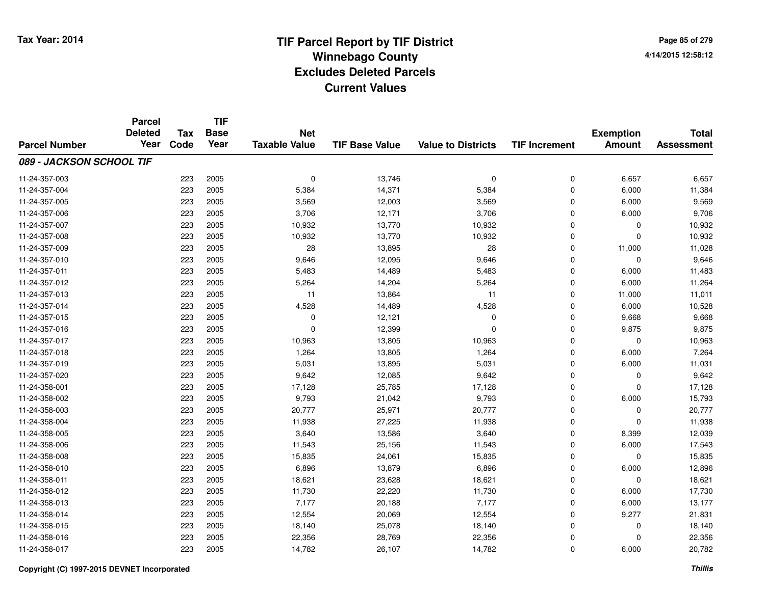**Page 85 of 2794/14/2015 12:58:12**

|                          | <b>Parcel</b><br><b>Deleted</b> | <b>Tax</b> | <b>TIF</b><br><b>Base</b> | <b>Net</b>           |                       |                           |                      |                                   | <b>Total</b>      |
|--------------------------|---------------------------------|------------|---------------------------|----------------------|-----------------------|---------------------------|----------------------|-----------------------------------|-------------------|
| <b>Parcel Number</b>     | Year                            | Code       | Year                      | <b>Taxable Value</b> | <b>TIF Base Value</b> | <b>Value to Districts</b> | <b>TIF Increment</b> | <b>Exemption</b><br><b>Amount</b> | <b>Assessment</b> |
| 089 - JACKSON SCHOOL TIF |                                 |            |                           |                      |                       |                           |                      |                                   |                   |
| 11-24-357-003            |                                 | 223        | 2005                      | 0                    | 13,746                | 0                         | 0                    | 6,657                             | 6,657             |
| 11-24-357-004            |                                 | 223        | 2005                      | 5,384                | 14,371                | 5,384                     | 0                    | 6,000                             | 11,384            |
| 11-24-357-005            |                                 | 223        | 2005                      | 3,569                | 12,003                | 3,569                     | 0                    | 6,000                             | 9,569             |
| 11-24-357-006            |                                 | 223        | 2005                      | 3,706                | 12,171                | 3,706                     | 0                    | 6,000                             | 9,706             |
| 11-24-357-007            |                                 | 223        | 2005                      | 10,932               | 13,770                | 10,932                    | 0                    | 0                                 | 10,932            |
| 11-24-357-008            |                                 | 223        | 2005                      | 10,932               | 13,770                | 10,932                    | 0                    | $\Omega$                          | 10,932            |
| 11-24-357-009            |                                 | 223        | 2005                      | 28                   | 13,895                | 28                        | 0                    | 11,000                            | 11,028            |
| 11-24-357-010            |                                 | 223        | 2005                      | 9,646                | 12,095                | 9,646                     | 0                    | $\Omega$                          | 9,646             |
| 11-24-357-011            |                                 | 223        | 2005                      | 5,483                | 14,489                | 5,483                     | 0                    | 6,000                             | 11,483            |
| 11-24-357-012            |                                 | 223        | 2005                      | 5,264                | 14,204                | 5,264                     | 0                    | 6,000                             | 11,264            |
| 11-24-357-013            |                                 | 223        | 2005                      | 11                   | 13,864                | 11                        | 0                    | 11,000                            | 11,011            |
| 11-24-357-014            |                                 | 223        | 2005                      | 4,528                | 14,489                | 4,528                     | 0                    | 6,000                             | 10,528            |
| 11-24-357-015            |                                 | 223        | 2005                      | 0                    | 12,121                | $\Omega$                  | 0                    | 9,668                             | 9,668             |
| 11-24-357-016            |                                 | 223        | 2005                      | $\mathbf 0$          | 12,399                | $\Omega$                  | 0                    | 9,875                             | 9,875             |
| 11-24-357-017            |                                 | 223        | 2005                      | 10,963               | 13,805                | 10,963                    | 0                    | $\mathbf 0$                       | 10,963            |
| 11-24-357-018            |                                 | 223        | 2005                      | 1,264                | 13,805                | 1,264                     | 0                    | 6,000                             | 7,264             |
| 11-24-357-019            |                                 | 223        | 2005                      | 5,031                | 13,895                | 5,031                     | 0                    | 6,000                             | 11,031            |
| 11-24-357-020            |                                 | 223        | 2005                      | 9,642                | 12,085                | 9,642                     | 0                    | 0                                 | 9,642             |
| 11-24-358-001            |                                 | 223        | 2005                      | 17,128               | 25,785                | 17,128                    | 0                    | $\mathbf 0$                       | 17,128            |
| 11-24-358-002            |                                 | 223        | 2005                      | 9,793                | 21,042                | 9,793                     | 0                    | 6,000                             | 15,793            |
| 11-24-358-003            |                                 | 223        | 2005                      | 20,777               | 25,971                | 20,777                    | 0                    | $\mathbf 0$                       | 20,777            |
| 11-24-358-004            |                                 | 223        | 2005                      | 11,938               | 27,225                | 11,938                    | 0                    | $\Omega$                          | 11,938            |
| 11-24-358-005            |                                 | 223        | 2005                      | 3,640                | 13,586                | 3,640                     | 0                    | 8,399                             | 12,039            |
| 11-24-358-006            |                                 | 223        | 2005                      | 11,543               | 25,156                | 11,543                    | 0                    | 6,000                             | 17,543            |
| 11-24-358-008            |                                 | 223        | 2005                      | 15,835               | 24,061                | 15,835                    | 0                    | 0                                 | 15,835            |
| 11-24-358-010            |                                 | 223        | 2005                      | 6,896                | 13,879                | 6,896                     | 0                    | 6,000                             | 12,896            |
| 11-24-358-011            |                                 | 223        | 2005                      | 18,621               | 23,628                | 18,621                    | 0                    | $\mathbf 0$                       | 18,621            |
| 11-24-358-012            |                                 | 223        | 2005                      | 11,730               | 22,220                | 11,730                    | 0                    | 6,000                             | 17,730            |
| 11-24-358-013            |                                 | 223        | 2005                      | 7,177                | 20,188                | 7,177                     | 0                    | 6,000                             | 13,177            |
| 11-24-358-014            |                                 | 223        | 2005                      | 12,554               | 20,069                | 12,554                    | 0                    | 9,277                             | 21,831            |
| 11-24-358-015            |                                 | 223        | 2005                      | 18,140               | 25,078                | 18,140                    | 0                    | 0                                 | 18,140            |
| 11-24-358-016            |                                 | 223        | 2005                      | 22,356               | 28,769                | 22,356                    | 0                    | $\Omega$                          | 22,356            |
| 11-24-358-017            |                                 | 223        | 2005                      | 14,782               | 26,107                | 14,782                    | 0                    | 6,000                             | 20,782            |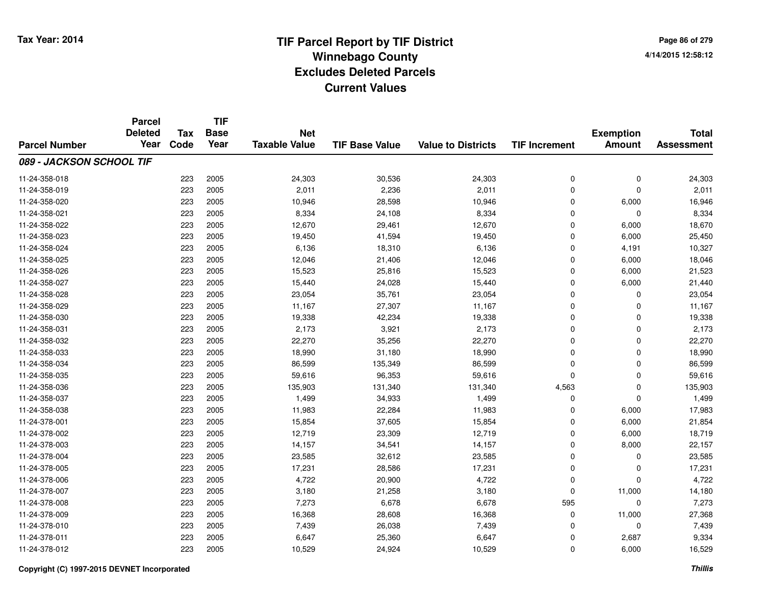**Page 86 of 2794/14/2015 12:58:12**

|                          | <b>Parcel</b>  |            | <b>TIF</b>  |                      |                       |                           |                      |                  |                   |
|--------------------------|----------------|------------|-------------|----------------------|-----------------------|---------------------------|----------------------|------------------|-------------------|
|                          | <b>Deleted</b> | <b>Tax</b> | <b>Base</b> | <b>Net</b>           |                       |                           |                      | <b>Exemption</b> | <b>Total</b>      |
| <b>Parcel Number</b>     | Year           | Code       | Year        | <b>Taxable Value</b> | <b>TIF Base Value</b> | <b>Value to Districts</b> | <b>TIF Increment</b> | <b>Amount</b>    | <b>Assessment</b> |
| 089 - JACKSON SCHOOL TIF |                |            |             |                      |                       |                           |                      |                  |                   |
| 11-24-358-018            |                | 223        | 2005        | 24,303               | 30,536                | 24,303                    | 0                    | 0                | 24,303            |
| 11-24-358-019            |                | 223        | 2005        | 2,011                | 2,236                 | 2,011                     | 0                    | $\Omega$         | 2,011             |
| 11-24-358-020            |                | 223        | 2005        | 10,946               | 28,598                | 10,946                    | 0                    | 6,000            | 16,946            |
| 11-24-358-021            |                | 223        | 2005        | 8,334                | 24,108                | 8,334                     | 0                    | $\Omega$         | 8,334             |
| 11-24-358-022            |                | 223        | 2005        | 12,670               | 29,461                | 12,670                    | 0                    | 6,000            | 18,670            |
| 11-24-358-023            |                | 223        | 2005        | 19,450               | 41,594                | 19,450                    | 0                    | 6,000            | 25,450            |
| 11-24-358-024            |                | 223        | 2005        | 6,136                | 18,310                | 6,136                     | 0                    | 4,191            | 10,327            |
| 11-24-358-025            |                | 223        | 2005        | 12,046               | 21,406                | 12,046                    | 0                    | 6,000            | 18,046            |
| 11-24-358-026            |                | 223        | 2005        | 15,523               | 25,816                | 15,523                    | 0                    | 6,000            | 21,523            |
| 11-24-358-027            |                | 223        | 2005        | 15,440               | 24,028                | 15,440                    | 0                    | 6,000            | 21,440            |
| 11-24-358-028            |                | 223        | 2005        | 23,054               | 35,761                | 23,054                    | 0                    | $\Omega$         | 23,054            |
| 11-24-358-029            |                | 223        | 2005        | 11,167               | 27,307                | 11,167                    | 0                    | 0                | 11,167            |
| 11-24-358-030            |                | 223        | 2005        | 19,338               | 42,234                | 19,338                    | $\mathbf 0$          | $\Omega$         | 19,338            |
| 11-24-358-031            |                | 223        | 2005        | 2,173                | 3,921                 | 2,173                     | 0                    | 0                | 2,173             |
| 11-24-358-032            |                | 223        | 2005        | 22,270               | 35,256                | 22,270                    | 0                    | $\Omega$         | 22,270            |
| 11-24-358-033            |                | 223        | 2005        | 18,990               | 31,180                | 18,990                    | 0                    | $\mathbf 0$      | 18,990            |
| 11-24-358-034            |                | 223        | 2005        | 86,599               | 135,349               | 86,599                    | 0                    | 0                | 86,599            |
| 11-24-358-035            |                | 223        | 2005        | 59,616               | 96,353                | 59,616                    | 0                    | 0                | 59,616            |
| 11-24-358-036            |                | 223        | 2005        | 135,903              | 131,340               | 131,340                   | 4,563                | 0                | 135,903           |
| 11-24-358-037            |                | 223        | 2005        | 1,499                | 34,933                | 1,499                     | 0                    | $\mathbf 0$      | 1,499             |
| 11-24-358-038            |                | 223        | 2005        | 11,983               | 22,284                | 11,983                    | 0                    | 6,000            | 17,983            |
| 11-24-378-001            |                | 223        | 2005        | 15,854               | 37,605                | 15,854                    | 0                    | 6,000            | 21,854            |
| 11-24-378-002            |                | 223        | 2005        | 12,719               | 23,309                | 12,719                    | 0                    | 6,000            | 18,719            |
| 11-24-378-003            |                | 223        | 2005        | 14,157               | 34,541                | 14,157                    | 0                    | 8,000            | 22,157            |
| 11-24-378-004            |                | 223        | 2005        | 23,585               | 32,612                | 23,585                    | 0                    | 0                | 23,585            |
| 11-24-378-005            |                | 223        | 2005        | 17,231               | 28,586                | 17,231                    | 0                    | $\mathbf 0$      | 17,231            |
| 11-24-378-006            |                | 223        | 2005        | 4,722                | 20,900                | 4,722                     | 0                    | $\Omega$         | 4,722             |
| 11-24-378-007            |                | 223        | 2005        | 3,180                | 21,258                | 3,180                     | 0                    | 11,000           | 14,180            |
| 11-24-378-008            |                | 223        | 2005        | 7,273                | 6,678                 | 6,678                     | 595                  | $\mathbf 0$      | 7,273             |
| 11-24-378-009            |                | 223        | 2005        | 16,368               | 28,608                | 16,368                    | 0                    | 11,000           | 27,368            |
| 11-24-378-010            |                | 223        | 2005        | 7,439                | 26,038                | 7,439                     | 0                    | $\Omega$         | 7,439             |
| 11-24-378-011            |                | 223        | 2005        | 6,647                | 25,360                | 6,647                     | 0                    | 2,687            | 9,334             |
| 11-24-378-012            |                | 223        | 2005        | 10,529               | 24,924                | 10,529                    | 0                    | 6,000            | 16,529            |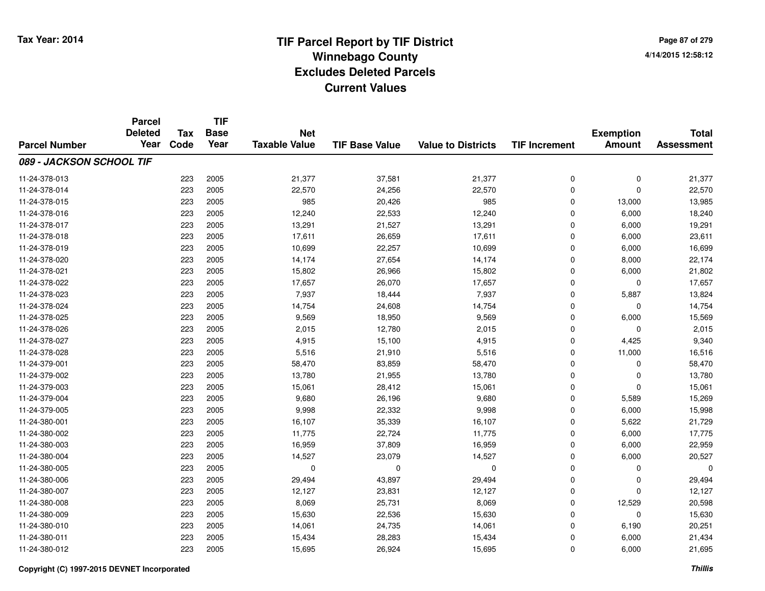**Page 87 of 2794/14/2015 12:58:12**

|                          | <b>Parcel</b><br><b>Deleted</b> | <b>Tax</b> | <b>TIF</b><br><b>Base</b> | <b>Net</b>           |                       |                           |                      | <b>Exemption</b> | <b>Total</b>      |
|--------------------------|---------------------------------|------------|---------------------------|----------------------|-----------------------|---------------------------|----------------------|------------------|-------------------|
| <b>Parcel Number</b>     | Year                            | Code       | Year                      | <b>Taxable Value</b> | <b>TIF Base Value</b> | <b>Value to Districts</b> | <b>TIF Increment</b> | <b>Amount</b>    | <b>Assessment</b> |
| 089 - JACKSON SCHOOL TIF |                                 |            |                           |                      |                       |                           |                      |                  |                   |
| 11-24-378-013            |                                 | 223        | 2005                      | 21,377               | 37,581                | 21,377                    | $\pmb{0}$            | $\mathbf 0$      | 21,377            |
| 11-24-378-014            |                                 | 223        | 2005                      | 22,570               | 24,256                | 22,570                    | $\mathbf 0$          | $\mathbf 0$      | 22,570            |
| 11-24-378-015            |                                 | 223        | 2005                      | 985                  | 20,426                | 985                       | $\mathbf 0$          | 13,000           | 13,985            |
| 11-24-378-016            |                                 | 223        | 2005                      | 12,240               | 22,533                | 12,240                    | 0                    | 6,000            | 18,240            |
| 11-24-378-017            |                                 | 223        | 2005                      | 13,291               | 21,527                | 13,291                    | $\Omega$             | 6,000            | 19,291            |
| 11-24-378-018            |                                 | 223        | 2005                      | 17,611               | 26,659                | 17,611                    | $\mathbf 0$          | 6,000            | 23,611            |
| 11-24-378-019            |                                 | 223        | 2005                      | 10,699               | 22,257                | 10,699                    | $\mathbf 0$          | 6,000            | 16,699            |
| 11-24-378-020            |                                 | 223        | 2005                      | 14,174               | 27,654                | 14,174                    | $\mathbf 0$          | 8,000            | 22,174            |
| 11-24-378-021            |                                 | 223        | 2005                      | 15,802               | 26,966                | 15,802                    | $\mathbf 0$          | 6,000            | 21,802            |
| 11-24-378-022            |                                 | 223        | 2005                      | 17,657               | 26,070                | 17,657                    | $\mathbf 0$          | $\Omega$         | 17,657            |
| 11-24-378-023            |                                 | 223        | 2005                      | 7,937                | 18,444                | 7,937                     | $\mathbf 0$          | 5,887            | 13,824            |
| 11-24-378-024            |                                 | 223        | 2005                      | 14,754               | 24,608                | 14,754                    | $\mathbf 0$          | $\mathbf 0$      | 14,754            |
| 11-24-378-025            |                                 | 223        | 2005                      | 9,569                | 18,950                | 9,569                     | $\mathbf 0$          | 6,000            | 15,569            |
| 11-24-378-026            |                                 | 223        | 2005                      | 2,015                | 12,780                | 2,015                     | 0                    | $\mathbf 0$      | 2,015             |
| 11-24-378-027            |                                 | 223        | 2005                      | 4,915                | 15,100                | 4,915                     | $\mathbf 0$          | 4,425            | 9,340             |
| 11-24-378-028            |                                 | 223        | 2005                      | 5,516                | 21,910                | 5,516                     | $\mathbf 0$          | 11,000           | 16,516            |
| 11-24-379-001            |                                 | 223        | 2005                      | 58,470               | 83,859                | 58,470                    | $\Omega$             | $\mathbf 0$      | 58,470            |
| 11-24-379-002            |                                 | 223        | 2005                      | 13,780               | 21,955                | 13,780                    | 0                    | 0                | 13,780            |
| 11-24-379-003            |                                 | 223        | 2005                      | 15,061               | 28,412                | 15,061                    | 0                    | $\mathbf 0$      | 15,061            |
| 11-24-379-004            |                                 | 223        | 2005                      | 9,680                | 26,196                | 9,680                     | $\mathbf 0$          | 5,589            | 15,269            |
| 11-24-379-005            |                                 | 223        | 2005                      | 9,998                | 22,332                | 9,998                     | $\mathbf 0$          | 6,000            | 15,998            |
| 11-24-380-001            |                                 | 223        | 2005                      | 16,107               | 35,339                | 16,107                    | $\mathbf 0$          | 5,622            | 21,729            |
| 11-24-380-002            |                                 | 223        | 2005                      | 11,775               | 22,724                | 11,775                    | $\mathbf 0$          | 6,000            | 17,775            |
| 11-24-380-003            |                                 | 223        | 2005                      | 16,959               | 37,809                | 16,959                    | 0                    | 6,000            | 22,959            |
| 11-24-380-004            |                                 | 223        | 2005                      | 14,527               | 23,079                | 14,527                    | $\mathbf 0$          | 6,000            | 20,527            |
| 11-24-380-005            |                                 | 223        | 2005                      | 0                    | 0                     | $\mathbf 0$               | 0                    | 0                | 0                 |
| 11-24-380-006            |                                 | 223        | 2005                      | 29,494               | 43,897                | 29,494                    | 0                    | $\Omega$         | 29,494            |
| 11-24-380-007            |                                 | 223        | 2005                      | 12,127               | 23,831                | 12,127                    | 0                    | $\Omega$         | 12,127            |
| 11-24-380-008            |                                 | 223        | 2005                      | 8,069                | 25,731                | 8,069                     | $\mathbf 0$          | 12,529           | 20,598            |
| 11-24-380-009            |                                 | 223        | 2005                      | 15,630               | 22,536                | 15,630                    | 0                    | 0                | 15,630            |
| 11-24-380-010            |                                 | 223        | 2005                      | 14,061               | 24,735                | 14,061                    | $\mathbf 0$          | 6,190            | 20,251            |
| 11-24-380-011            |                                 | 223        | 2005                      | 15,434               | 28,283                | 15,434                    | 0                    | 6,000            | 21,434            |
| 11-24-380-012            |                                 | 223        | 2005                      | 15,695               | 26,924                | 15,695                    | $\mathbf 0$          | 6,000            | 21,695            |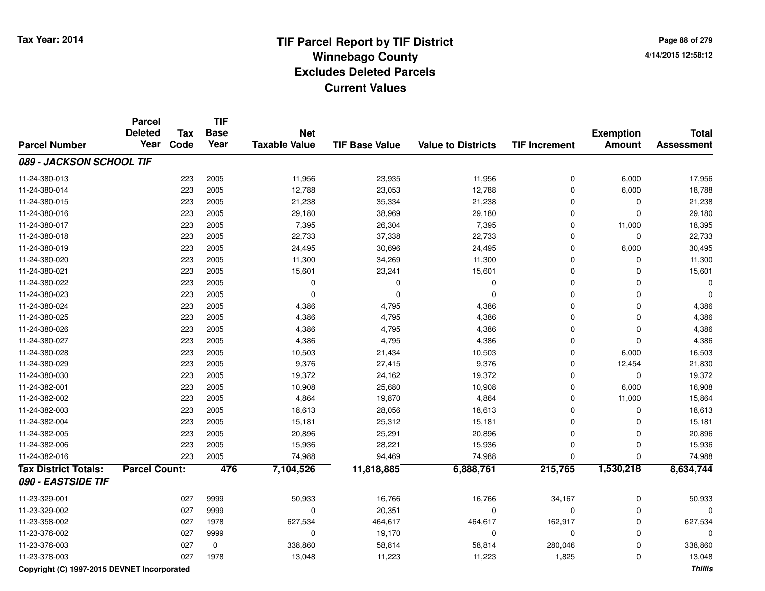**Page 88 of 2794/14/2015 12:58:12**

|                             | <b>Parcel</b><br><b>Deleted</b> | <b>Tax</b> | <b>TIF</b><br><b>Base</b> | <b>Net</b>           |                       |                           |                      | <b>Exemption</b> | <b>Total</b>      |
|-----------------------------|---------------------------------|------------|---------------------------|----------------------|-----------------------|---------------------------|----------------------|------------------|-------------------|
| <b>Parcel Number</b>        | Year                            | Code       | Year                      | <b>Taxable Value</b> | <b>TIF Base Value</b> | <b>Value to Districts</b> | <b>TIF Increment</b> | <b>Amount</b>    | <b>Assessment</b> |
| 089 - JACKSON SCHOOL TIF    |                                 |            |                           |                      |                       |                           |                      |                  |                   |
| 11-24-380-013               |                                 | 223        | 2005                      | 11,956               | 23,935                | 11,956                    | $\mathbf 0$          | 6,000            | 17,956            |
| 11-24-380-014               |                                 | 223        | 2005                      | 12,788               | 23,053                | 12,788                    | 0                    | 6,000            | 18,788            |
| 11-24-380-015               |                                 | 223        | 2005                      | 21,238               | 35,334                | 21,238                    | $\mathbf 0$          | $\mathbf 0$      | 21,238            |
| 11-24-380-016               |                                 | 223        | 2005                      | 29,180               | 38,969                | 29,180                    | $\mathbf 0$          | $\Omega$         | 29,180            |
| 11-24-380-017               |                                 | 223        | 2005                      | 7,395                | 26,304                | 7,395                     | $\mathbf 0$          | 11,000           | 18,395            |
| 11-24-380-018               |                                 | 223        | 2005                      | 22,733               | 37,338                | 22,733                    | $\mathbf 0$          | $\mathbf 0$      | 22,733            |
| 11-24-380-019               |                                 | 223        | 2005                      | 24,495               | 30,696                | 24,495                    | $\mathbf 0$          | 6,000            | 30,495            |
| 11-24-380-020               |                                 | 223        | 2005                      | 11,300               | 34,269                | 11,300                    | $\mathbf 0$          | 0                | 11,300            |
| 11-24-380-021               |                                 | 223        | 2005                      | 15,601               | 23,241                | 15,601                    | 0                    | 0                | 15,601            |
| 11-24-380-022               |                                 | 223        | 2005                      | $\mathbf 0$          | $\Omega$              | 0                         | $\mathbf 0$          | 0                |                   |
| 11-24-380-023               |                                 | 223        | 2005                      | $\mathbf 0$          | 0                     | 0                         | $\mathbf 0$          | 0                |                   |
| 11-24-380-024               |                                 | 223        | 2005                      | 4,386                | 4,795                 | 4,386                     | 0                    | $\mathbf 0$      | 4,386             |
| 11-24-380-025               |                                 | 223        | 2005                      | 4,386                | 4,795                 | 4,386                     | $\mathbf 0$          | $\mathbf 0$      | 4,386             |
| 11-24-380-026               |                                 | 223        | 2005                      | 4,386                | 4,795                 | 4,386                     | 0                    | $\mathbf 0$      | 4,386             |
| 11-24-380-027               |                                 | 223        | 2005                      | 4,386                | 4,795                 | 4,386                     | 0                    | $\mathbf 0$      | 4,386             |
| 11-24-380-028               |                                 | 223        | 2005                      | 10,503               | 21,434                | 10,503                    | 0                    | 6,000            | 16,503            |
| 11-24-380-029               |                                 | 223        | 2005                      | 9,376                | 27,415                | 9,376                     | $\Omega$             | 12,454           | 21,830            |
| 11-24-380-030               |                                 | 223        | 2005                      | 19,372               | 24,162                | 19,372                    | 0                    | $\mathbf 0$      | 19,372            |
| 11-24-382-001               |                                 | 223        | 2005                      | 10,908               | 25,680                | 10,908                    | $\mathbf 0$          | 6,000            | 16,908            |
| 11-24-382-002               |                                 | 223        | 2005                      | 4,864                | 19,870                | 4,864                     | $\mathbf 0$          | 11,000           | 15,864            |
| 11-24-382-003               |                                 | 223        | 2005                      | 18,613               | 28,056                | 18,613                    | 0                    | 0                | 18,613            |
| 11-24-382-004               |                                 | 223        | 2005                      | 15,181               | 25,312                | 15,181                    | 0                    | 0                | 15,181            |
| 11-24-382-005               |                                 | 223        | 2005                      | 20,896               | 25,291                | 20,896                    | $\mathbf 0$          | $\mathbf 0$      | 20,896            |
| 11-24-382-006               |                                 | 223        | 2005                      | 15,936               | 28,221                | 15,936                    | $\mathbf 0$          | $\mathbf 0$      | 15,936            |
| 11-24-382-016               |                                 | 223        | 2005                      | 74,988               | 94,469                | 74,988                    | $\Omega$             | 0                | 74,988            |
| <b>Tax District Totals:</b> | <b>Parcel Count:</b>            |            | 476                       | 7,104,526            | 11,818,885            | 6,888,761                 | 215,765              | 1,530,218        | 8,634,744         |
| 090 - EASTSIDE TIF          |                                 |            |                           |                      |                       |                           |                      |                  |                   |
| 11-23-329-001               |                                 | 027        | 9999                      | 50,933               | 16,766                | 16,766                    | 34,167               | 0                | 50,933            |
| 11-23-329-002               |                                 | 027        | 9999                      | $\Omega$             | 20,351                | 0                         | $\mathbf 0$          | 0                |                   |
| 11-23-358-002               |                                 | 027        | 1978                      | 627,534              | 464,617               | 464,617                   | 162,917              | $\mathbf 0$      | 627,534           |
| 11-23-376-002               |                                 | 027        | 9999                      | $\mathbf 0$          | 19,170                | $\mathbf 0$               | $\mathbf 0$          | $\mathbf{0}$     | $\Omega$          |
| 11-23-376-003               |                                 | 027        | $\pmb{0}$                 | 338,860              | 58,814                | 58,814                    | 280,046              | $\mathbf 0$      | 338,860           |
| 11-23-378-003               |                                 | 027        | 1978                      | 13,048               | 11,223                | 11,223                    | 1,825                | $\mathbf{0}$     | 13,048            |

**Copyright (C) 1997-2015 DEVNET Incorporated**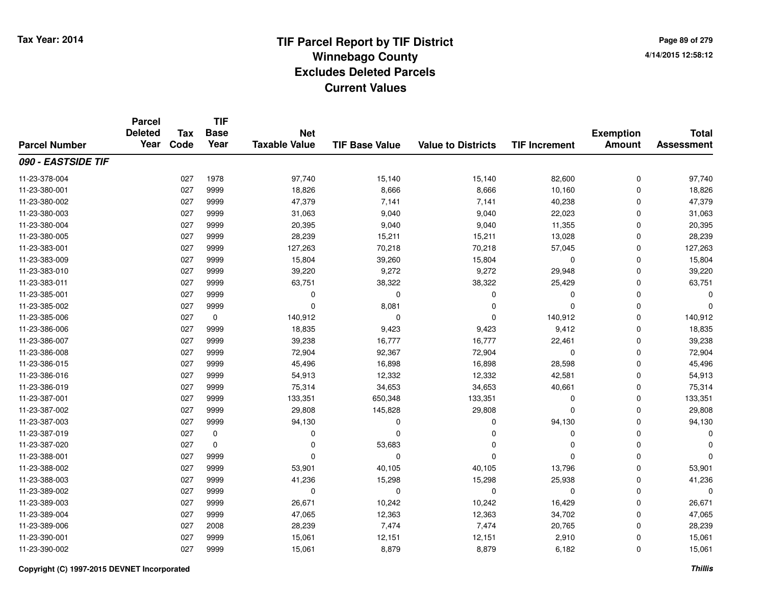|                      | <b>Parcel</b><br><b>Deleted</b> | <b>Tax</b> | <b>TIF</b><br><b>Base</b> | <b>Net</b>           |                       |                           |                      | <b>Exemption</b> | <b>Total</b>      |
|----------------------|---------------------------------|------------|---------------------------|----------------------|-----------------------|---------------------------|----------------------|------------------|-------------------|
| <b>Parcel Number</b> | Year                            | Code       | Year                      | <b>Taxable Value</b> | <b>TIF Base Value</b> | <b>Value to Districts</b> | <b>TIF Increment</b> | <b>Amount</b>    | <b>Assessment</b> |
| 090 - EASTSIDE TIF   |                                 |            |                           |                      |                       |                           |                      |                  |                   |
| 11-23-378-004        |                                 | 027        | 1978                      | 97,740               | 15,140                | 15,140                    | 82,600               | $\mathbf 0$      | 97,740            |
| 11-23-380-001        |                                 | 027        | 9999                      | 18,826               | 8,666                 | 8,666                     | 10,160               | $\mathbf 0$      | 18,826            |
| 11-23-380-002        |                                 | 027        | 9999                      | 47,379               | 7,141                 | 7,141                     | 40,238               | $\mathbf 0$      | 47,379            |
| 11-23-380-003        |                                 | 027        | 9999                      | 31,063               | 9,040                 | 9,040                     | 22,023               | $\mathbf 0$      | 31,063            |
| 11-23-380-004        |                                 | 027        | 9999                      | 20,395               | 9,040                 | 9,040                     | 11,355               | $\mathbf 0$      | 20,395            |
| 11-23-380-005        |                                 | 027        | 9999                      | 28,239               | 15,211                | 15,211                    | 13,028               | $\mathbf 0$      | 28,239            |
| 11-23-383-001        |                                 | 027        | 9999                      | 127,263              | 70,218                | 70,218                    | 57,045               | $\mathbf 0$      | 127,263           |
| 11-23-383-009        |                                 | 027        | 9999                      | 15,804               | 39,260                | 15,804                    | $\mathbf 0$          | $\mathbf 0$      | 15,804            |
| 11-23-383-010        |                                 | 027        | 9999                      | 39,220               | 9,272                 | 9,272                     | 29,948               | $\mathbf 0$      | 39,220            |
| 11-23-383-011        |                                 | 027        | 9999                      | 63,751               | 38,322                | 38,322                    | 25,429               | $\mathbf 0$      | 63,751            |
| 11-23-385-001        |                                 | 027        | 9999                      | 0                    | $\mathbf 0$           | 0                         | $\Omega$             | $\mathbf 0$      |                   |
| 11-23-385-002        |                                 | 027        | 9999                      | 0                    | 8,081                 | $\mathbf 0$               | $\Omega$             | $\mathbf 0$      |                   |
| 11-23-385-006        |                                 | 027        | 0                         | 140,912              | $\mathbf 0$           | $\mathbf{0}$              | 140,912              | $\mathbf 0$      | 140,912           |
| 11-23-386-006        |                                 | 027        | 9999                      | 18,835               | 9,423                 | 9,423                     | 9,412                | $\mathbf 0$      | 18,835            |
| 11-23-386-007        |                                 | 027        | 9999                      | 39,238               | 16,777                | 16,777                    | 22,461               | $\mathbf 0$      | 39,238            |
| 11-23-386-008        |                                 | 027        | 9999                      | 72,904               | 92,367                | 72,904                    | 0                    | $\mathbf 0$      | 72,904            |
| 11-23-386-015        |                                 | 027        | 9999                      | 45,496               | 16,898                | 16,898                    | 28,598               | $\mathbf 0$      | 45,496            |
| 11-23-386-016        |                                 | 027        | 9999                      | 54,913               | 12,332                | 12,332                    | 42,581               | $\mathbf 0$      | 54,913            |
| 11-23-386-019        |                                 | 027        | 9999                      | 75,314               | 34,653                | 34,653                    | 40,661               | $\mathbf 0$      | 75,314            |
| 11-23-387-001        |                                 | 027        | 9999                      | 133,351              | 650,348               | 133,351                   | 0                    | $\mathbf 0$      | 133,351           |
| 11-23-387-002        |                                 | 027        | 9999                      | 29,808               | 145,828               | 29,808                    | $\mathbf 0$          | $\mathbf 0$      | 29,808            |
| 11-23-387-003        |                                 | 027        | 9999                      | 94,130               | 0                     | $\mathbf 0$               | 94,130               | $\mathbf 0$      | 94,130            |
| 11-23-387-019        |                                 | 027        | $\mathbf 0$               | 0                    | 0                     | 0                         | 0                    | $\mathbf 0$      |                   |
| 11-23-387-020        |                                 | 027        | $\mathbf 0$               | $\mathbf 0$          | 53,683                | $\mathbf{0}$              | $\Omega$             | $\mathbf 0$      |                   |
| 11-23-388-001        |                                 | 027        | 9999                      | $\mathbf 0$          | 0                     | $\mathbf{0}$              | $\Omega$             | $\mathbf 0$      |                   |
| 11-23-388-002        |                                 | 027        | 9999                      | 53,901               | 40,105                | 40,105                    | 13,796               | $\mathbf 0$      | 53,901            |
| 11-23-388-003        |                                 | 027        | 9999                      | 41,236               | 15,298                | 15,298                    | 25,938               | $\mathbf 0$      | 41,236            |
| 11-23-389-002        |                                 | 027        | 9999                      | 0                    | 0                     | $\pmb{0}$                 | $\mathbf 0$          | $\mathbf 0$      | 0                 |
| 11-23-389-003        |                                 | 027        | 9999                      | 26,671               | 10,242                | 10,242                    | 16,429               | $\mathbf 0$      | 26,671            |
| 11-23-389-004        |                                 | 027        | 9999                      | 47,065               | 12,363                | 12,363                    | 34,702               | $\mathbf 0$      | 47,065            |
| 11-23-389-006        |                                 | 027        | 2008                      | 28,239               | 7,474                 | 7,474                     | 20,765               | $\mathbf 0$      | 28,239            |
| 11-23-390-001        |                                 | 027        | 9999                      | 15,061               | 12,151                | 12,151                    | 2,910                | $\mathbf 0$      | 15,061            |
| 11-23-390-002        |                                 | 027        | 9999                      | 15,061               | 8,879                 | 8,879                     | 6,182                | $\mathbf 0$      | 15,061            |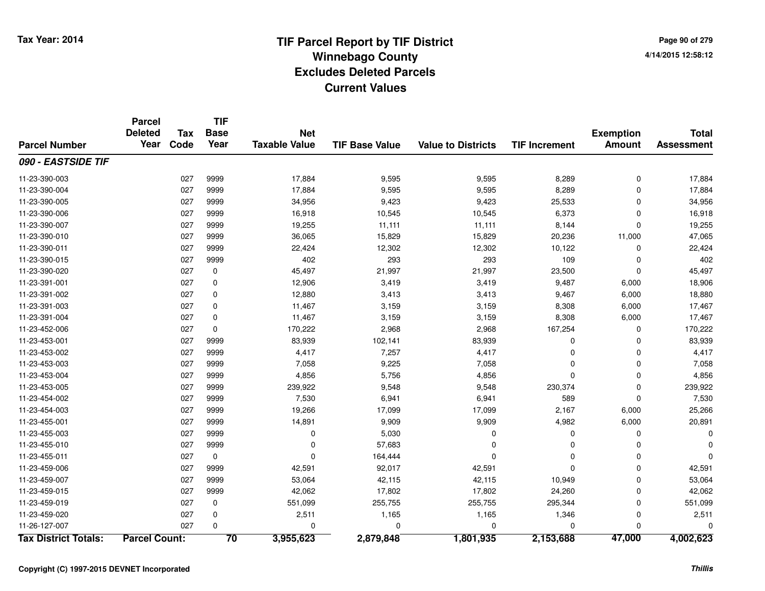|                             | <b>Parcel</b>          |                    | <b>TIF</b>          |                                    |                       |                           |                      |                                   |                                   |
|-----------------------------|------------------------|--------------------|---------------------|------------------------------------|-----------------------|---------------------------|----------------------|-----------------------------------|-----------------------------------|
| <b>Parcel Number</b>        | <b>Deleted</b><br>Year | <b>Tax</b><br>Code | <b>Base</b><br>Year | <b>Net</b><br><b>Taxable Value</b> | <b>TIF Base Value</b> | <b>Value to Districts</b> | <b>TIF Increment</b> | <b>Exemption</b><br><b>Amount</b> | <b>Total</b><br><b>Assessment</b> |
|                             |                        |                    |                     |                                    |                       |                           |                      |                                   |                                   |
| 090 - EASTSIDE TIF          |                        |                    |                     |                                    |                       |                           |                      |                                   |                                   |
| 11-23-390-003               |                        | 027                | 9999                | 17,884                             | 9,595                 | 9,595                     | 8,289                | $\mathbf 0$                       | 17,884                            |
| 11-23-390-004               |                        | 027                | 9999                | 17,884                             | 9,595                 | 9,595                     | 8,289                | $\mathbf 0$                       | 17,884                            |
| 11-23-390-005               |                        | 027                | 9999                | 34,956                             | 9,423                 | 9,423                     | 25,533               | $\mathbf 0$                       | 34,956                            |
| 11-23-390-006               |                        | 027                | 9999                | 16,918                             | 10,545                | 10,545                    | 6,373                | $\mathbf 0$                       | 16,918                            |
| 11-23-390-007               |                        | 027                | 9999                | 19,255                             | 11,111                | 11,111                    | 8,144                | 0                                 | 19,255                            |
| 11-23-390-010               |                        | 027                | 9999                | 36,065                             | 15,829                | 15,829                    | 20,236               | 11,000                            | 47,065                            |
| 11-23-390-011               |                        | 027                | 9999                | 22,424                             | 12,302                | 12,302                    | 10,122               | $\mathbf 0$                       | 22,424                            |
| 11-23-390-015               |                        | 027                | 9999                | 402                                | 293                   | 293                       | 109                  | 0                                 | 402                               |
| 11-23-390-020               |                        | 027                | $\mathbf 0$         | 45,497                             | 21,997                | 21,997                    | 23,500               | $\mathbf{0}$                      | 45,497                            |
| 11-23-391-001               |                        | 027                | 0                   | 12,906                             | 3,419                 | 3,419                     | 9,487                | 6,000                             | 18,906                            |
| 11-23-391-002               |                        | 027                | $\mathbf 0$         | 12,880                             | 3,413                 | 3,413                     | 9,467                | 6,000                             | 18,880                            |
| 11-23-391-003               |                        | 027                | 0                   | 11,467                             | 3,159                 | 3,159                     | 8,308                | 6,000                             | 17,467                            |
| 11-23-391-004               |                        | 027                | 0                   | 11,467                             | 3,159                 | 3,159                     | 8,308                | 6,000                             | 17,467                            |
| 11-23-452-006               |                        | 027                | 0                   | 170,222                            | 2,968                 | 2,968                     | 167,254              | 0                                 | 170,222                           |
| 11-23-453-001               |                        | 027                | 9999                | 83,939                             | 102,141               | 83,939                    | $\mathbf 0$          | 0                                 | 83,939                            |
| 11-23-453-002               |                        | 027                | 9999                | 4,417                              | 7,257                 | 4,417                     | $\mathbf 0$          | 0                                 | 4,417                             |
| 11-23-453-003               |                        | 027                | 9999                | 7,058                              | 9,225                 | 7,058                     | $\Omega$             | $\mathbf{0}$                      | 7,058                             |
| 11-23-453-004               |                        | 027                | 9999                | 4,856                              | 5,756                 | 4,856                     | $\Omega$             | $\mathbf{0}$                      | 4,856                             |
| 11-23-453-005               |                        | 027                | 9999                | 239,922                            | 9,548                 | 9,548                     | 230,374              | $\mathbf 0$                       | 239,922                           |
| 11-23-454-002               |                        | 027                | 9999                | 7,530                              | 6,941                 | 6,941                     | 589                  | $\mathbf 0$                       | 7,530                             |
| 11-23-454-003               |                        | 027                | 9999                | 19,266                             | 17,099                | 17,099                    | 2,167                | 6,000                             | 25,266                            |
| 11-23-455-001               |                        | 027                | 9999                | 14,891                             | 9,909                 | 9,909                     | 4,982                | 6,000                             | 20,891                            |
| 11-23-455-003               |                        | 027                | 9999                | 0                                  | 5,030                 | 0                         | 0                    | $\mathbf 0$                       |                                   |
| 11-23-455-010               |                        | 027                | 9999                | $\mathbf 0$                        | 57,683                | $\Omega$                  | $\Omega$             | 0                                 |                                   |
| 11-23-455-011               |                        | 027                | $\mathbf 0$         | $\Omega$                           | 164,444               | $\Omega$                  | $\Omega$             | 0                                 |                                   |
| 11-23-459-006               |                        | 027                | 9999                | 42,591                             | 92,017                | 42,591                    | $\Omega$             | $\mathbf{0}$                      | 42,591                            |
| 11-23-459-007               |                        | 027                | 9999                | 53,064                             | 42,115                | 42,115                    | 10,949               | 0                                 | 53,064                            |
| 11-23-459-015               |                        | 027                | 9999                | 42,062                             | 17,802                | 17,802                    | 24,260               | 0                                 | 42,062                            |
| 11-23-459-019               |                        | 027                | 0                   | 551,099                            | 255,755               | 255,755                   | 295,344              | $\mathbf 0$                       | 551,099                           |
| 11-23-459-020               |                        | 027                | 0                   | 2,511                              | 1,165                 | 1,165                     | 1,346                | $\mathbf 0$                       | 2,511                             |
| 11-26-127-007               |                        | 027                | $\Omega$            | 0                                  | $\Omega$              | 0                         | 0                    | $\Omega$                          |                                   |
| <b>Tax District Totals:</b> | <b>Parcel Count:</b>   |                    | 70                  | 3,955,623                          | 2,879,848             | 1,801,935                 | 2,153,688            | 47,000                            | 4,002,623                         |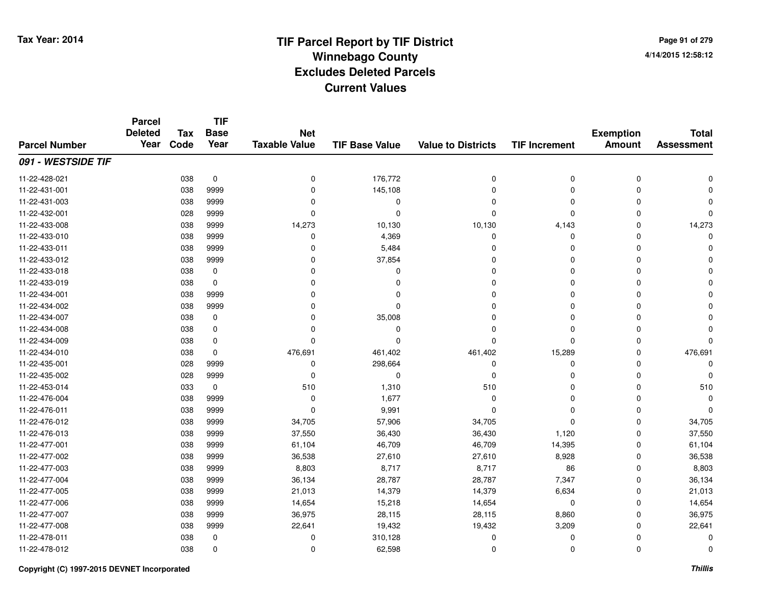**TIF**

**Parcel**

| Page 91 of 279     |
|--------------------|
| 4/14/2015 12:58:12 |

### **TIF Base ValueParcel NumberTotal AssessmentExemption Amount Value to Districts TIF Increment Base YearTax Code Deleted YearNet Taxable Value091 - WESTSIDE TIF**11-22-428-0211 038 0 0 176,772 0 0 11-22-431-0011 038 9999 0 145,108 0 0 0 0 11-22-431-003 <sup>038</sup> <sup>0</sup> <sup>9999</sup> <sup>0</sup> <sup>0</sup> <sup>0</sup> <sup>0</sup> <sup>0</sup> 11-22-432-001 <sup>028</sup> <sup>0</sup> <sup>9999</sup> <sup>0</sup> <sup>0</sup> <sup>0</sup> <sup>0</sup> <sup>0</sup> 11-22-433-008 <sup>038</sup> 14,273 <sup>9999</sup> 10,130 10,130 4,143 <sup>0</sup> 14,273 11-22-433-010 $0$  038 9999  $0$  0 4,369  $0$  0 0 0  $0$ 11-22-433-0111 and the contract of the contract of the contract of the contract of the contract of  $\sim$  0 contract of  $\sim$  0 contract of  $\sim$  0 contract of  $\sim$  0 contract of  $\sim$  0 contract of  $\sim$  0 contract of  $\sim$  0 contract of  $\$ 11-22-433-012 $2$  038 9999 0 0 37,854 0 0 0 0 0 0 0 0 11-22-433-018 <sup>038</sup> <sup>0</sup> <sup>0</sup> <sup>0</sup> <sup>0</sup> <sup>0</sup> <sup>0</sup> <sup>0</sup> 11-22-433-019 <sup>038</sup> <sup>0</sup> <sup>0</sup> <sup>0</sup> <sup>0</sup> <sup>0</sup> <sup>0</sup> <sup>0</sup> 11-22-434-001 <sup>038</sup> <sup>0</sup> <sup>9999</sup> <sup>0</sup> <sup>0</sup> <sup>0</sup> <sup>0</sup> <sup>0</sup> 11-22-434-002 <sup>038</sup> <sup>0</sup> <sup>9999</sup> <sup>0</sup> <sup>0</sup> <sup>0</sup> <sup>0</sup> <sup>0</sup> 11-22-434-007 $7$  038 0 0 0 35,008 0 0 0 0 0 0 11-22-434-008 <sup>038</sup> <sup>0</sup> <sup>0</sup> <sup>0</sup> <sup>0</sup> <sup>0</sup> <sup>0</sup> <sup>0</sup> 11-22-434-009 <sup>038</sup> <sup>0</sup> <sup>0</sup> <sup>0</sup> <sup>0</sup> <sup>0</sup> <sup>0</sup> <sup>0</sup> 11-22-434-010 <sup>038</sup> 476,691 <sup>0</sup> 461,402 461,402 15,289 <sup>0</sup> 476,691 11-22-435-0011 028 9999 0 298,664 0 0 0 0 11-22-435-002 <sup>028</sup> <sup>0</sup> <sup>9999</sup> <sup>0</sup> <sup>0</sup> <sup>0</sup> <sup>0</sup> <sup>0</sup> 11-22-453-0144 510 1,310 510 510 510 510 0 0 510 11-22-476-004 <sup>038</sup> <sup>0</sup> <sup>9999</sup> 1,677 <sup>0</sup> <sup>0</sup> <sup>0</sup> <sup>0</sup> 11-22-476-0111 038 9999 0 9,991 0 0 0 0 11-22-476-012 <sup>038</sup> 34,705 <sup>9999</sup> 57,906 34,705 <sup>0</sup> <sup>0</sup> 34,705 11-22-476-013 <sup>038</sup> 37,550 <sup>9999</sup> 36,430 36,430 1,120 <sup>0</sup> 37,550 11-22-477-0011 038 9999 61,104 46,709 46,709 14,395 0 61,104 11-22-477-002 <sup>038</sup> 36,538 <sup>9999</sup> 27,610 27,610 8,928 <sup>0</sup> 36,538 11-22-477-003 <sup>038</sup> 8,803 <sup>9999</sup> 8,717 8,717 <sup>86</sup> <sup>0</sup> 8,803 11-22-477-004 <sup>038</sup> 36,134 <sup>9999</sup> 28,787 28,787 7,347 <sup>0</sup> 36,134 11-22-477-005 <sup>038</sup> 21,013 <sup>9999</sup> 14,379 14,379 6,634 <sup>0</sup> 21,013 11-22-477-0066 038 9999 14,654 15,218 14,654 0 0 14,654 11-22-477-007 <sup>038</sup> 36,975 <sup>9999</sup> 28,115 28,115 8,860 <sup>0</sup> 36,975 11-22-477-0088 038 9999 22,641 19,432 19,432 3,209 0 22,641 11-22-478-011 <sup>038</sup> <sup>0</sup> <sup>0</sup> 310,128 <sup>0</sup> <sup>0</sup> <sup>0</sup> <sup>0</sup> 11-22-478-012 $2$  038 0 0 0 62,598 0 0 0 0 0 0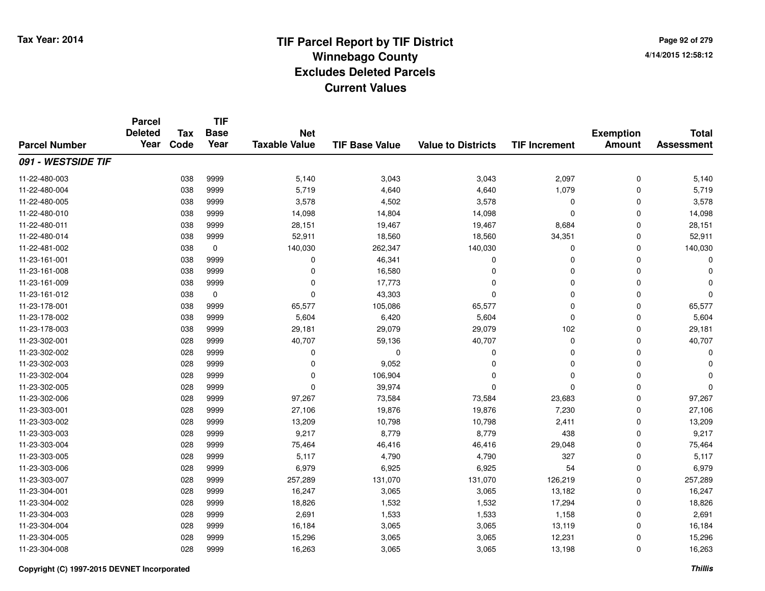**TIF**

**Parcel**

| Page 92 of 279     |  |
|--------------------|--|
| 4/14/2015 12:58:12 |  |

### **TIF Base ValueParcel NumberTotal AssessmentExemption Amount Value to Districts TIF Increment Base YearTax Code Deleted YearNet Taxable Value091 - WESTSIDE TIF**11-22-480-003 <sup>038</sup> 5,140 <sup>9999</sup> 3,043 3,043 2,097 <sup>0</sup> 5,140 11-22-480-004 <sup>038</sup> 5,719 <sup>9999</sup> 4,640 4,640 1,079 <sup>0</sup> 5,719 11-22-480-005 <sup>038</sup> 3,578 <sup>9999</sup> 4,502 3,578 <sup>0</sup> <sup>0</sup> 3,578 11-22-480-0100 038 9999 14,098 14,804 14,098 0 0 14,098 11-22-480-0111 038 9999 28,151 19,467 19,467 8,684 0 28,151 11-22-480-014 <sup>038</sup> 52,911 <sup>9999</sup> 18,560 18,560 34,351 <sup>0</sup> 52,911 11-22-481-0022 038 0 140,030 262,347 140,030 0 140,030 11-23-161-0011 038 9999 0 46,341 0 0 0 0 11-23-161-0088 038 9999 0 16,580 0 0 0 0 11-23-161-009 <sup>038</sup> <sup>0</sup> <sup>9999</sup> 17,773 <sup>0</sup> <sup>0</sup> <sup>0</sup> <sup>0</sup> 11-23-161-0122 038 0 0 43,303 0 0 11-23-178-0011 038 9999 65,577 105,086 65,577 0 0 65,577 11-23-178-0022 038 9999 5,604 6,420 5,604 0 0 5,604 11-23-178-003 <sup>038</sup> 29,181 <sup>9999</sup> 29,079 29,079 <sup>102</sup> <sup>0</sup> 29,181 11-23-302-0011 028 9999 40,707 59,136 40,707 0 0 40,707 11-23-302-002 <sup>028</sup> <sup>0</sup> <sup>9999</sup> <sup>0</sup> <sup>0</sup> <sup>0</sup> <sup>0</sup> <sup>0</sup> 11-23-302-003 $3$  028 9999 0 0 9,052 0 0 0 0 0 0 0 11-23-302-004 <sup>028</sup> <sup>0</sup> <sup>9999</sup> 106,904 <sup>0</sup> <sup>0</sup> <sup>0</sup> <sup>0</sup> 11-23-302-005 <sup>028</sup> <sup>0</sup> <sup>9999</sup> 39,974 <sup>0</sup> <sup>0</sup> <sup>0</sup> <sup>0</sup> 11-23-302-0066 028 9999 97,267 73,584 73,584 23,683 0 97,267 11-23-303-001 <sup>028</sup> 27,106 <sup>9999</sup> 19,876 19,876 7,230 <sup>0</sup> 27,106 11-23-303-002 <sup>028</sup> 13,209 <sup>9999</sup> 10,798 10,798 2,411 <sup>0</sup> 13,209 11-23-303-003 $3$  6 9928 9999 9,217 8,779 8,779 8,779 9,217 8,9217 8,779 9,217 11-23-303-004 <sup>028</sup> 75,464 <sup>9999</sup> 46,416 46,416 29,048 <sup>0</sup> 75,464 11-23-303-005 <sup>028</sup> 5,117 <sup>9999</sup> 4,790 4,790 <sup>327</sup> <sup>0</sup> 5,117 11-23-303-0066 028 9999 6,979 6,925 6,925 54 0 6,979 11-23-303-007 <sup>028</sup> 257,289 <sup>9999</sup> 131,070 131,070 126,219 <sup>0</sup> 257,289 11-23-304-0011 028 9999 16,247 3,065 3,065 13,182 0 16,247 11-23-304-002 <sup>028</sup> 18,826 <sup>9999</sup> 1,532 1,532 17,294 <sup>0</sup> 18,826 11-23-304-0033 028 9999 2,691 1,533 1,533 1,158 0 2,691 11-23-304-004 <sup>028</sup> 16,184 <sup>9999</sup> 3,065 3,065 13,119 <sup>0</sup> 16,184 11-23-304-005 <sup>028</sup> 15,296 <sup>9999</sup> 3,065 3,065 12,231 <sup>0</sup> 15,296 11-23-304-008<sup>028</sup> 16,263 <sup>9999</sup> 3,065 3,065 13,198 <sup>0</sup> 16,263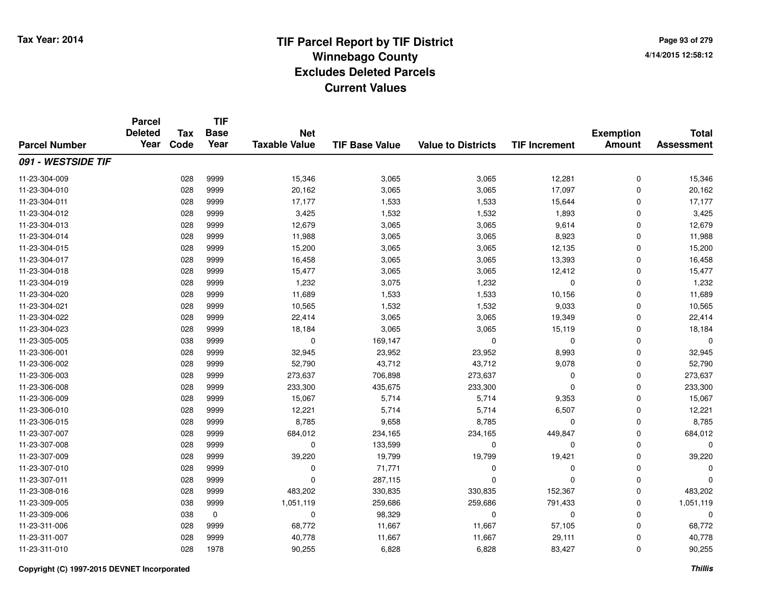|                      | <b>Parcel</b><br><b>Deleted</b><br>Year | <b>Tax</b> | <b>TIF</b><br><b>Base</b> | <b>Net</b>           |                       |                           |                      | <b>Exemption</b> | <b>Total</b>      |
|----------------------|-----------------------------------------|------------|---------------------------|----------------------|-----------------------|---------------------------|----------------------|------------------|-------------------|
| <b>Parcel Number</b> |                                         | Code       | Year                      | <b>Taxable Value</b> | <b>TIF Base Value</b> | <b>Value to Districts</b> | <b>TIF Increment</b> | <b>Amount</b>    | <b>Assessment</b> |
| 091 - WESTSIDE TIF   |                                         |            |                           |                      |                       |                           |                      |                  |                   |
| 11-23-304-009        |                                         | 028        | 9999                      | 15,346               | 3,065                 | 3,065                     | 12,281               | $\pmb{0}$        | 15,346            |
| 11-23-304-010        |                                         | 028        | 9999                      | 20,162               | 3,065                 | 3,065                     | 17,097               | 0                | 20,162            |
| 11-23-304-011        |                                         | 028        | 9999                      | 17,177               | 1,533                 | 1,533                     | 15,644               | 0                | 17,177            |
| 11-23-304-012        |                                         | 028        | 9999                      | 3,425                | 1,532                 | 1,532                     | 1,893                | $\mathbf 0$      | 3,425             |
| 11-23-304-013        |                                         | 028        | 9999                      | 12,679               | 3,065                 | 3,065                     | 9,614                | $\mathbf 0$      | 12,679            |
| 11-23-304-014        |                                         | 028        | 9999                      | 11,988               | 3,065                 | 3,065                     | 8,923                | $\mathbf 0$      | 11,988            |
| 11-23-304-015        |                                         | 028        | 9999                      | 15,200               | 3,065                 | 3,065                     | 12,135               | 0                | 15,200            |
| 11-23-304-017        |                                         | 028        | 9999                      | 16,458               | 3,065                 | 3,065                     | 13,393               | $\mathbf 0$      | 16,458            |
| 11-23-304-018        |                                         | 028        | 9999                      | 15,477               | 3,065                 | 3,065                     | 12,412               | 0                | 15,477            |
| 11-23-304-019        |                                         | 028        | 9999                      | 1,232                | 3,075                 | 1,232                     | $\mathbf 0$          | $\mathbf 0$      | 1,232             |
| 11-23-304-020        |                                         | 028        | 9999                      | 11,689               | 1,533                 | 1,533                     | 10,156               | $\mathbf 0$      | 11,689            |
| 11-23-304-021        |                                         | 028        | 9999                      | 10,565               | 1,532                 | 1,532                     | 9,033                | $\mathbf 0$      | 10,565            |
| 11-23-304-022        |                                         | 028        | 9999                      | 22,414               | 3,065                 | 3,065                     | 19,349               | $\mathbf 0$      | 22,414            |
| 11-23-304-023        |                                         | 028        | 9999                      | 18,184               | 3,065                 | 3,065                     | 15,119               | 0                | 18,184            |
| 11-23-305-005        |                                         | 038        | 9999                      | $\mathbf 0$          | 169,147               | $\mathbf 0$               | $\mathbf 0$          | 0                | $\Omega$          |
| 11-23-306-001        |                                         | 028        | 9999                      | 32,945               | 23,952                | 23,952                    | 8,993                | 0                | 32,945            |
| 11-23-306-002        |                                         | 028        | 9999                      | 52,790               | 43,712                | 43,712                    | 9,078                | 0                | 52,790            |
| 11-23-306-003        |                                         | 028        | 9999                      | 273,637              | 706,898               | 273,637                   | 0                    | 0                | 273,637           |
| 11-23-306-008        |                                         | 028        | 9999                      | 233,300              | 435,675               | 233,300                   | $\mathbf 0$          | $\mathbf 0$      | 233,300           |
| 11-23-306-009        |                                         | 028        | 9999                      | 15,067               | 5,714                 | 5,714                     | 9,353                | $\mathbf 0$      | 15,067            |
| 11-23-306-010        |                                         | 028        | 9999                      | 12,221               | 5,714                 | 5,714                     | 6,507                | $\mathbf 0$      | 12,221            |
| 11-23-306-015        |                                         | 028        | 9999                      | 8,785                | 9,658                 | 8,785                     | $\mathbf 0$          | $\mathbf 0$      | 8,785             |
| 11-23-307-007        |                                         | 028        | 9999                      | 684,012              | 234,165               | 234,165                   | 449,847              | 0                | 684,012           |
| 11-23-307-008        |                                         | 028        | 9999                      | 0                    | 133,599               | $\mathbf 0$               | $\mathbf 0$          | $\mathbf 0$      | $\Omega$          |
| 11-23-307-009        |                                         | 028        | 9999                      | 39,220               | 19,799                | 19,799                    | 19,421               | $\mathbf 0$      | 39,220            |
| 11-23-307-010        |                                         | 028        | 9999                      | 0                    | 71,771                | $\mathbf 0$               | $\mathbf 0$          | $\mathbf 0$      | $\Omega$          |
| 11-23-307-011        |                                         | 028        | 9999                      | $\mathbf 0$          | 287,115               | $\mathbf 0$               | $\Omega$             | $\mathbf 0$      |                   |
| 11-23-308-016        |                                         | 028        | 9999                      | 483,202              | 330,835               | 330,835                   | 152,367              | $\mathbf 0$      | 483,202           |
| 11-23-309-005        |                                         | 038        | 9999                      | 1,051,119            | 259,686               | 259,686                   | 791,433              | 0                | 1,051,119         |
| 11-23-309-006        |                                         | 038        | $\mathbf 0$               | $\pmb{0}$            | 98,329                | $\mathbf 0$               | $\mathbf 0$          | $\mathbf 0$      | $\mathbf 0$       |
| 11-23-311-006        |                                         | 028        | 9999                      | 68,772               | 11,667                | 11,667                    | 57,105               | 0                | 68,772            |
| 11-23-311-007        |                                         | 028        | 9999                      | 40,778               | 11,667                | 11,667                    | 29,111               | $\Omega$         | 40,778            |
| 11-23-311-010        |                                         | 028        | 1978                      | 90,255               | 6,828                 | 6,828                     | 83,427               | $\mathbf 0$      | 90,255            |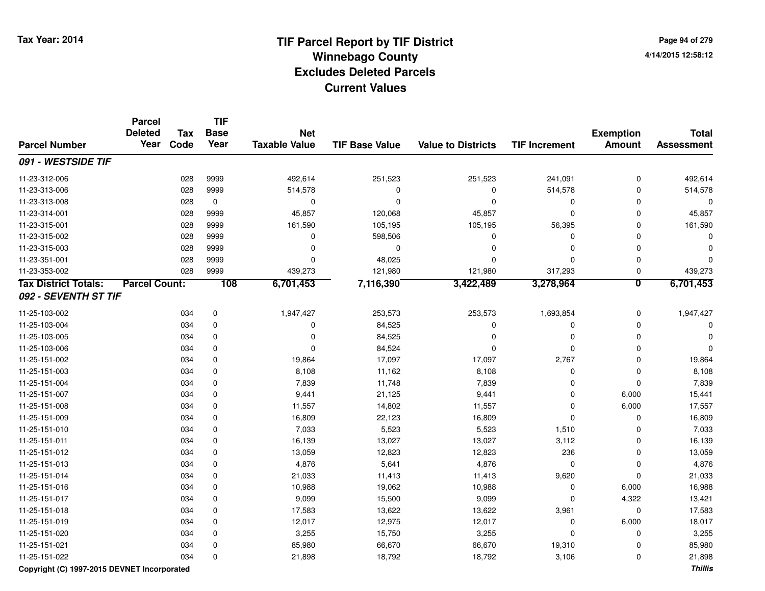# **TIF Parcel Report by TIF District Tax Year: 2014 Winnebago County04/14/2015 12:58:12** PM **Excludes Deleted ParcelsCurrent Values**

**Page 94 of 2794/14/2015 12:58:12**

|                             | <b>Parcel</b><br><b>Deleted</b> | <b>Tax</b> | <b>TIF</b><br><b>Base</b> | <b>Net</b>           |                       |                           |                      | <b>Exemption</b>        | <b>Total</b>      |
|-----------------------------|---------------------------------|------------|---------------------------|----------------------|-----------------------|---------------------------|----------------------|-------------------------|-------------------|
| <b>Parcel Number</b>        | Year                            | Code       | Year                      | <b>Taxable Value</b> | <b>TIF Base Value</b> | <b>Value to Districts</b> | <b>TIF Increment</b> | <b>Amount</b>           | <b>Assessment</b> |
| 091 - WESTSIDE TIF          |                                 |            |                           |                      |                       |                           |                      |                         |                   |
| 11-23-312-006               |                                 | 028        | 9999                      | 492,614              | 251,523               | 251,523                   | 241,091              | $\mathbf 0$             | 492,614           |
| 11-23-313-006               |                                 | 028        | 9999                      | 514,578              | $\Omega$              | $\mathbf{0}$              | 514,578              | $\mathbf 0$             | 514,578           |
| 11-23-313-008               |                                 | 028        | $\mathbf 0$               | 0                    | $\Omega$              | $\Omega$                  | $\Omega$             | $\Omega$                | $\Omega$          |
| 11-23-314-001               |                                 | 028        | 9999                      | 45,857               | 120,068               | 45,857                    | $\Omega$             | $\mathbf 0$             | 45,857            |
| 11-23-315-001               |                                 | 028        | 9999                      | 161,590              | 105,195               | 105,195                   | 56,395               | 0                       | 161,590           |
| 11-23-315-002               |                                 | 028        | 9999                      | 0                    | 598,506               | 0                         | 0                    | $\Omega$                | ∩                 |
| 11-23-315-003               |                                 | 028        | 9999                      | 0                    | $\mathbf 0$           | $\mathbf 0$               | 0                    | $\mathbf 0$             |                   |
| 11-23-351-001               |                                 | 028        | 9999                      | 0                    | 48,025                | $\mathbf{0}$              | $\Omega$             | $\mathbf 0$             |                   |
| 11-23-353-002               |                                 | 028        | 9999                      | 439,273              | 121,980               | 121,980                   | 317,293              | $\mathbf 0$             | 439,273           |
| <b>Tax District Totals:</b> | <b>Parcel Count:</b>            |            | 108                       | 6,701,453            | 7,116,390             | 3,422,489                 | 3,278,964            | $\overline{\mathbf{0}}$ | 6,701,453         |
| 092 - SEVENTH ST TIF        |                                 |            |                           |                      |                       |                           |                      |                         |                   |
| 11-25-103-002               |                                 | 034        | 0                         | 1,947,427            | 253,573               | 253,573                   | 1,693,854            | $\mathbf 0$             | 1,947,427         |
| 11-25-103-004               |                                 | 034        | 0                         | 0                    | 84,525                | $\mathbf 0$               | $\Omega$             | $\mathbf 0$             |                   |
| 11-25-103-005               |                                 | 034        | 0                         | 0                    | 84,525                | $\mathbf 0$               | $\mathbf 0$          | $\mathbf 0$             |                   |
| 11-25-103-006               |                                 | 034        | 0                         | 0                    | 84,524                | $\mathbf 0$               | $\Omega$             | $\mathbf 0$             | $\Omega$          |
| 11-25-151-002               |                                 | 034        | 0                         | 19,864               | 17,097                | 17,097                    | 2,767                | $\mathbf 0$             | 19,864            |
| 11-25-151-003               |                                 | 034        | $\mathbf 0$               | 8,108                | 11,162                | 8,108                     | 0                    | $\mathbf 0$             | 8,108             |
| 11-25-151-004               |                                 | 034        | $\mathbf 0$               | 7,839                | 11,748                | 7,839                     | $\Omega$             | $\mathbf 0$             | 7,839             |
| 11-25-151-007               |                                 | 034        | $\mathbf 0$               | 9,441                | 21,125                | 9,441                     | $\Omega$             | 6,000                   | 15,441            |
| 11-25-151-008               |                                 | 034        | $\mathbf 0$               | 11,557               | 14,802                | 11,557                    | $\mathbf 0$          | 6,000                   | 17,557            |
| 11-25-151-009               |                                 | 034        | 0                         | 16,809               | 22,123                | 16,809                    | $\Omega$             | $\mathbf 0$             | 16,809            |
| 11-25-151-010               |                                 | 034        | 0                         | 7,033                | 5,523                 | 5,523                     | 1,510                | $\Omega$                | 7,033             |
| 11-25-151-011               |                                 | 034        | 0                         | 16,139               | 13,027                | 13,027                    | 3,112                | $\mathbf 0$             | 16,139            |
| 11-25-151-012               |                                 | 034        | 0                         | 13,059               | 12,823                | 12,823                    | 236                  | $\mathbf 0$             | 13,059            |
| 11-25-151-013               |                                 | 034        | 0                         | 4,876                | 5,641                 | 4,876                     | $\mathbf 0$          | $\mathbf 0$             | 4,876             |
| 11-25-151-014               |                                 | 034        | 0                         | 21,033               | 11,413                | 11,413                    | 9,620                | $\mathbf 0$             | 21,033            |
| 11-25-151-016               |                                 | 034        | 0                         | 10,988               | 19,062                | 10,988                    | $\mathbf 0$          | 6,000                   | 16,988            |
| 11-25-151-017               |                                 | 034        | $\mathbf 0$               | 9,099                | 15,500                | 9,099                     | $\mathbf 0$          | 4,322                   | 13,421            |
| 11-25-151-018               |                                 | 034        | 0                         | 17,583               | 13,622                | 13,622                    | 3,961                | $\mathbf 0$             | 17,583            |
| 11-25-151-019               |                                 | 034        | 0                         | 12,017               | 12,975                | 12,017                    | $\mathbf 0$          | 6,000                   | 18,017            |
| 11-25-151-020               |                                 | 034        | $\mathbf 0$               | 3,255                | 15,750                | 3,255                     | $\Omega$             | 0                       | 3,255             |
| 11-25-151-021               |                                 | 034        | 0                         | 85,980               | 66,670                | 66,670                    | 19,310               | $\Omega$                | 85,980            |
| 11-25-151-022               |                                 | 034        | 0                         | 21,898               | 18,792                | 18,792                    | 3,106                | $\Omega$                | 21,898            |

### **Copyright (C) 1997-2015 DEVNET Incorporated**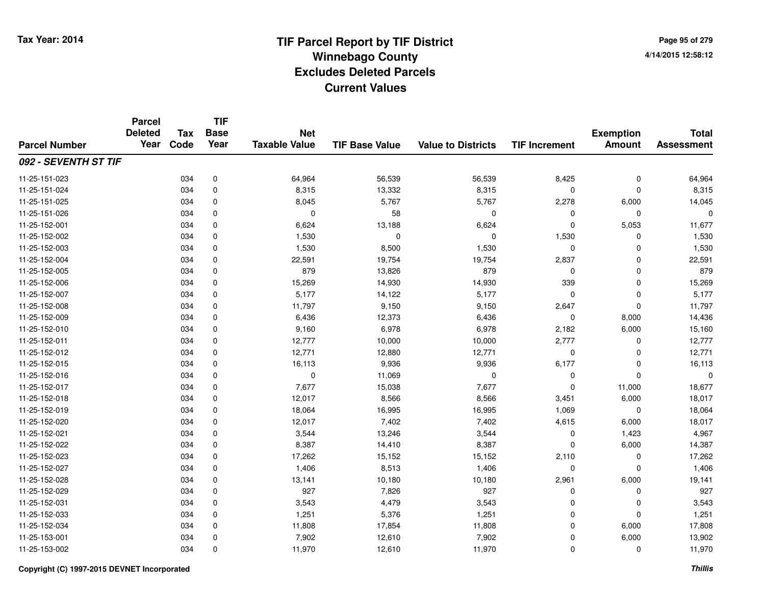**Page 95 of 2794/14/2015 12:58:12**

### **TIF Base ValueParcel NumberTotal AssessmentExemption Amount Value to Districts TIF IncrementTIF Base YearTax CodeParcel Deleted YearNet Taxable Value092 - SEVENTH ST TIF**11-25-151-0233 034 0 64,964 56,539 56,539 8,425 0 64,964 11-25-151-0244 034 0 8,315 13,332 8,315 0 0 8,315 11-25-151-025 <sup>034</sup> 8,045 <sup>0</sup> 5,767 5,767 2,278 6,000 14,045 11-25-151-026 <sup>034</sup> <sup>0</sup> <sup>0</sup> <sup>58</sup> <sup>0</sup> <sup>0</sup> <sup>0</sup> <sup>0</sup> 11-25-152-0011 034 0 6,624 13,188 6,624 0 5,053 11,677 11-25-152-002 <sup>034</sup> 1,530 <sup>0</sup> <sup>0</sup> <sup>0</sup> 1,530 <sup>0</sup> 1,530 11-25-152-0033 034 0 1,530 8,500 1,530 0 0 1,530 11-25-152-0044 034 0 22,591 19,754 19,754 2,837 0 22,591 11-25-152-0055 034 0 879 13,826 879 0 0 879 11-25-152-0066 034 0 15,269 14,930 14,930 339 0 15,269 11-25-152-007 <sup>034</sup> 5,177 <sup>0</sup> 14,122 5,177 <sup>0</sup> <sup>0</sup> 5,177 11-25-152-008 <sup>034</sup> 11,797 <sup>0</sup> 9,150 9,150 2,647 <sup>0</sup> 11,797 11-25-152-0099 034 0 6,436 12,373 6,436 0 8,000 14,436 11-25-152-010 <sup>034</sup> 9,160 <sup>0</sup> 6,978 6,978 2,182 6,000 15,160 11-25-152-0111 1 034 0 12,777 10,000 10,000 2,777 0 12,777 11-25-152-0122 034 0 12,771 12,880 12,771 0 0 12,771 11-25-152-0155 034 0 16,113 9,936 9,936 6,177 0 16,113 11-25-152-0166 034 0 0 11,069 0 0 0 0 11-25-152-017 <sup>034</sup> 7,677 <sup>0</sup> 15,038 7,677 <sup>0</sup> 11,000 18,677 11-25-152-0188 034 0 12,017 8,566 8,566 3,451 6,000 18,017 11-25-152-0199 034 0 18,064 16,995 16,995 1,069 0 18,064 11-25-152-0200 034 0 12,017 7,402 7,402 4,615 6,000 18,017 11-25-152-0211 034 0 3,544 13,246 3,544 0 1,423 4,967 11-25-152-022 <sup>034</sup> 8,387 <sup>0</sup> 14,410 8,387 <sup>0</sup> 6,000 14,387 11-25-152-0233 034 0 17,262 15,152 15,152 2,110 0 17,262 11-25-152-0277 034 0 1,406 8,513 1,406 0 0 1,406 11-25-152-0288 034 0 13,141 10,180 10,180 2,961 6,000 19,141 11-25-152-0299 034 0 927 7,826 927 0 0 927 11-25-152-0311 034 0 3,543 4,479 3,543 0 0 3,543 11-25-152-0333 034 0 1,251 5,376 1,251 0 0 1,251 11-25-152-034 <sup>034</sup> 11,808 <sup>0</sup> 17,854 11,808 <sup>0</sup> 6,000 17,808 11-25-153-0011 034 0 7,902 12,610 7,902 0 6,000 13,902 11-25-153-0022 034 0 11,970 12,610 11,970 0 0 11,970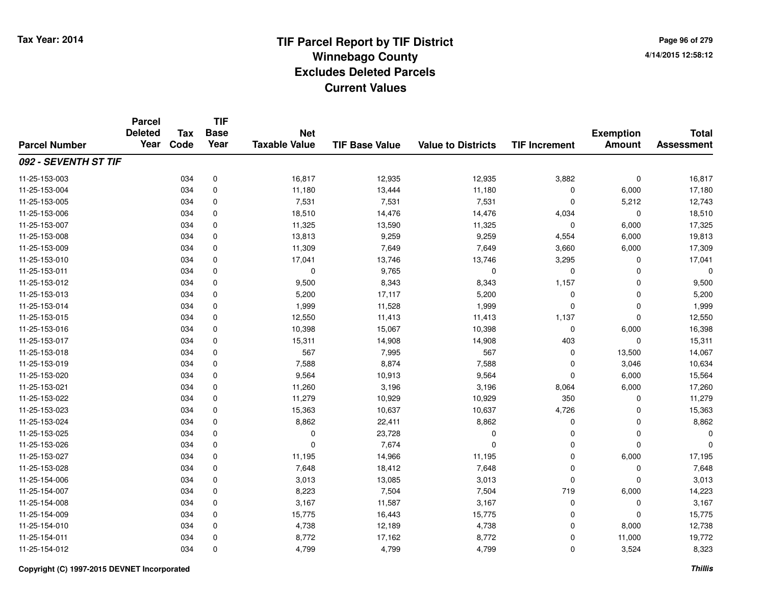**TIF**

**Parcel**

**Page 96 of 2794/14/2015 12:58:12**

| <b>Parcel Number</b> | <b>Deleted</b><br>Year | Tax<br>Code | <b>Base</b><br>Year | <b>Net</b><br><b>Taxable Value</b> | <b>TIF Base Value</b> | <b>Value to Districts</b> | <b>TIF Increment</b> | <b>Exemption</b><br><b>Amount</b> | <b>Total</b><br><b>Assessment</b> |
|----------------------|------------------------|-------------|---------------------|------------------------------------|-----------------------|---------------------------|----------------------|-----------------------------------|-----------------------------------|
| 092 - SEVENTH ST TIF |                        |             |                     |                                    |                       |                           |                      |                                   |                                   |
| 11-25-153-003        |                        | 034         | 0                   | 16,817                             | 12,935                | 12,935                    | 3,882                | $\mathbf 0$                       | 16,817                            |
| 11-25-153-004        |                        | 034         | 0                   | 11,180                             | 13,444                | 11,180                    | 0                    | 6,000                             | 17,180                            |
| 11-25-153-005        |                        | 034         | 0                   | 7,531                              | 7,531                 | 7,531                     | $\Omega$             | 5,212                             | 12,743                            |
| 11-25-153-006        |                        | 034         | 0                   | 18,510                             | 14,476                | 14,476                    | 4,034                | $\mathbf 0$                       | 18,510                            |
| 11-25-153-007        |                        | 034         | 0                   | 11,325                             | 13,590                | 11,325                    | 0                    | 6,000                             | 17,325                            |
| 11-25-153-008        |                        | 034         | $\mathbf 0$         | 13,813                             | 9,259                 | 9,259                     | 4,554                | 6,000                             | 19,813                            |
| 11-25-153-009        |                        | 034         | $\mathbf 0$         | 11,309                             | 7,649                 | 7,649                     | 3,660                | 6,000                             | 17,309                            |
| 11-25-153-010        |                        | 034         | $\mathbf 0$         | 17,041                             | 13,746                | 13,746                    | 3,295                | 0                                 | 17,041                            |
| 11-25-153-011        |                        | 034         | $\mathbf 0$         | 0                                  | 9,765                 | $\mathbf 0$               | $\mathbf 0$          | $\mathbf 0$                       |                                   |
| 11-25-153-012        |                        | 034         | $\mathbf 0$         | 9,500                              | 8,343                 | 8,343                     | 1,157                | $\mathbf 0$                       | 9,500                             |
| 11-25-153-013        |                        | 034         | $\mathbf 0$         | 5,200                              | 17,117                | 5,200                     | 0                    | $\mathbf 0$                       | 5,200                             |
| 11-25-153-014        |                        | 034         | $\mathbf 0$         | 1,999                              | 11,528                | 1,999                     | $\Omega$             | $\mathbf 0$                       | 1,999                             |
| 11-25-153-015        |                        | 034         | 0                   | 12,550                             | 11,413                | 11,413                    | 1,137                | $\mathbf 0$                       | 12,550                            |
| 11-25-153-016        |                        | 034         | 0                   | 10,398                             | 15,067                | 10,398                    | 0                    | 6,000                             | 16,398                            |
| 11-25-153-017        |                        | 034         | 0                   | 15,311                             | 14,908                | 14,908                    | 403                  | 0                                 | 15,311                            |
| 11-25-153-018        |                        | 034         | $\mathbf 0$         | 567                                | 7,995                 | 567                       | 0                    | 13,500                            | 14,067                            |
| 11-25-153-019        |                        | 034         | $\mathbf 0$         | 7,588                              | 8,874                 | 7,588                     | $\Omega$             | 3,046                             | 10,634                            |
| 11-25-153-020        |                        | 034         | $\mathbf 0$         | 9,564                              | 10,913                | 9,564                     | $\Omega$             | 6,000                             | 15,564                            |
| 11-25-153-021        |                        | 034         | $\mathbf 0$         | 11,260                             | 3,196                 | 3,196                     | 8,064                | 6,000                             | 17,260                            |
| 11-25-153-022        |                        | 034         | 0                   | 11,279                             | 10,929                | 10,929                    | 350                  | $\mathbf 0$                       | 11,279                            |
| 11-25-153-023        |                        | 034         | 0                   | 15,363                             | 10,637                | 10,637                    | 4,726                | $\mathbf 0$                       | 15,363                            |
| 11-25-153-024        |                        | 034         | 0                   | 8,862                              | 22,411                | 8,862                     | 0                    | 0                                 | 8,862                             |
| 11-25-153-025        |                        | 034         | 0                   | 0                                  | 23,728                | $\mathbf 0$               | 0                    | 0                                 |                                   |
| 11-25-153-026        |                        | 034         | 0                   | 0                                  | 7,674                 | $\mathbf{0}$              | 0                    | $\mathbf 0$                       |                                   |
| 11-25-153-027        |                        | 034         | $\mathbf 0$         | 11,195                             | 14,966                | 11,195                    | $\mathbf 0$          | 6,000                             | 17,195                            |
| 11-25-153-028        |                        | 034         | $\mathbf 0$         | 7,648                              | 18,412                | 7,648                     | $\Omega$             | $\mathbf 0$                       | 7,648                             |
| 11-25-154-006        |                        | 034         | 0                   | 3,013                              | 13,085                | 3,013                     | $\Omega$             | $\Omega$                          | 3,013                             |
| 11-25-154-007        |                        | 034         | 0                   | 8,223                              | 7,504                 | 7,504                     | 719                  | 6,000                             | 14,223                            |
| 11-25-154-008        |                        | 034         | 0                   | 3,167                              | 11,587                | 3,167                     | 0                    | 0                                 | 3,167                             |
| 11-25-154-009        |                        | 034         | 0                   | 15,775                             | 16,443                | 15,775                    | 0                    | $\mathbf 0$                       | 15,775                            |
| 11-25-154-010        |                        | 034         | 0                   | 4,738                              | 12,189                | 4,738                     | 0                    | 8,000                             | 12,738                            |
| 11-25-154-011        |                        | 034         | $\mathbf 0$         | 8,772                              | 17,162                | 8,772                     | $\mathbf 0$          | 11,000                            | 19,772                            |
| 11-25-154-012        |                        | 034         | 0                   | 4,799                              | 4,799                 | 4,799                     | $\mathbf 0$          | 3,524                             | 8,323                             |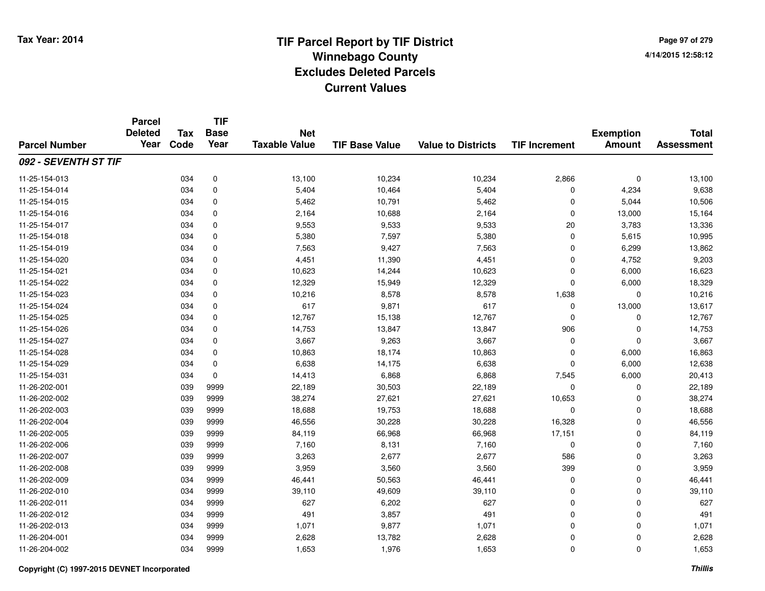**Page 97 of 2794/14/2015 12:58:12**

### **TIF Base ValueParcel NumberTotal AssessmentExemption Amount Value to Districts TIF IncrementTIF Base YearTax CodeParcel Deleted YearNet Taxable Value092 - SEVENTH ST TIF**11-25-154-0133 034 0 13,100 10,234 10,234 2,866 0 13,100 11-25-154-014 <sup>034</sup> 5,404 <sup>0</sup> 10,464 5,404 <sup>0</sup> 4,234 9,638 11-25-154-0155 034 0 5,462 10,791 5,462 0 5,044 10,506 11-25-154-0166 034 0 2,164 10,688 2,164 0 13,000 15,164 11-25-154-017 <sup>034</sup> 9,553 <sup>0</sup> 9,533 9,533 <sup>20</sup> 3,783 13,336 11-25-154-018 <sup>034</sup> 5,380 <sup>0</sup> 7,597 5,380 <sup>0</sup> 5,615 10,995 11-25-154-0199 034 0 7,563 9,427 7,563 0 6,299 13,862 11-25-154-0200 034 0 4,451 11,390 4,451 0 4,752 9,203 11-25-154-0211 034 0 10,623 14,244 10,623 0 6,000 16,623 11-25-154-0222 034 0 12,329 15,949 12,329 0 6,000 18,329 11-25-154-0233 034 0 10,216 8,578 8,578 1,638 0 10,216 11-25-154-024 <sup>034</sup> <sup>617</sup> <sup>0</sup> 9,871 <sup>617</sup> <sup>0</sup> 13,000 13,617 11-25-154-025 <sup>034</sup> 12,767 <sup>0</sup> 15,138 12,767 <sup>0</sup> <sup>0</sup> 12,767 11-25-154-0266 034 0 14,753 13,847 13,847 906 0 14,753 11-25-154-0277 034 0 3,667 9,263 3,667 0 3,667 11-25-154-0288 034 0 10,863 18,174 10,863 0 6,000 16,863 11-25-154-0299 034 0 6,638 14,175 6,638 0 6,000 12,638 11-25-154-0311 034 0 14,413 6,868 6,868 7,545 6,000 20,413 11-26-202-0011 039 9999 22,189 30,503 22,189 0 0 22,189 11-26-202-002 <sup>039</sup> 38,274 <sup>9999</sup> 27,621 27,621 10,653 <sup>0</sup> 38,274 11-26-202-0033 039 9999 18,688 19,753 18,688 0 0 18,688 11-26-202-004 <sup>039</sup> 46,556 <sup>9999</sup> 30,228 30,228 16,328 <sup>0</sup> 46,556 11-26-202-005 <sup>039</sup> 84,119 <sup>9999</sup> 66,968 66,968 17,151 <sup>0</sup> 84,119 11-26-202-006 <sup>039</sup> 7,160 <sup>9999</sup> 8,131 7,160 <sup>0</sup> <sup>0</sup> 7,160 11-26-202-007 <sup>039</sup> 3,263 <sup>9999</sup> 2,677 2,677 <sup>586</sup> <sup>0</sup> 3,263 11-26-202-008 <sup>039</sup> 3,959 <sup>9999</sup> 3,560 3,560 <sup>399</sup> <sup>0</sup> 3,959 11-26-202-0099 034 9999 46,441 50,563 46,441 0 0 46,441 11-26-202-0100 034 9999 39,110 49,609 39,110 0 0 39,110 11-26-202-0111 034 9999 627 6,202 627 0 0 627 11-26-202-0122 034 9999 491 3,857 491 0 0 491 11-26-202-0133 034 9999 1,071 9,877 1,071 0 0 1,071 11-26-204-0011 034 9999 2,628 13,782 2,628 0 0 2,628 11-26-204-002<sup>034</sup> 1,653 <sup>9999</sup> 1,976 1,653 <sup>0</sup> <sup>0</sup> 1,653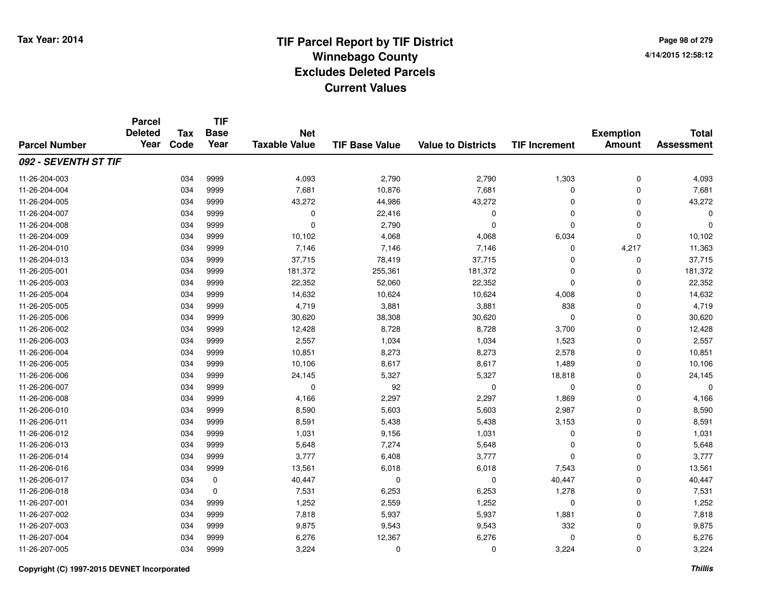**Page 98 of 2794/14/2015 12:58:12**

### **TIF Base ValueParcel NumberTotal AssessmentExemption Amount Value to Districts TIF IncrementTIF Base YearTax CodeParcel Deleted YearNet Taxable Value092 - SEVENTH ST TIF**11-26-204-003 <sup>034</sup> 4,093 <sup>9999</sup> 2,790 2,790 1,303 <sup>0</sup> 4,093 11-26-204-0044 034 9999 7,681 10,876 7,681 0 7,681 11-26-204-005 <sup>034</sup> 43,272 <sup>9999</sup> 44,986 43,272 <sup>0</sup> <sup>0</sup> 43,272 11-26-204-007 <sup>034</sup> <sup>0</sup> <sup>9999</sup> 22,416 <sup>0</sup> <sup>0</sup> <sup>0</sup> <sup>0</sup> 11-26-204-008 <sup>034</sup> <sup>0</sup> <sup>9999</sup> 2,790 <sup>0</sup> <sup>0</sup> <sup>0</sup> <sup>0</sup> 11-26-204-0099 034 9999 10,102 4,068 4,068 6,034 0 10,102 11-26-204-010 <sup>034</sup> 7,146 <sup>9999</sup> 7,146 7,146 <sup>0</sup> 4,217 11,363 11-26-204-0133 034 9999 37,715 78,419 37,715 0 0 37,715 11-26-205-0011 034 9999 181,372 255,361 181,372 0 0 181,372 11-26-205-0033 034 9999 22,352 52,060 22,352 0 22,352 11-26-205-004 <sup>034</sup> 14,632 <sup>9999</sup> 10,624 10,624 4,008 <sup>0</sup> 14,632 11-26-205-0055 034 9999 4,719 3,881 3,881 838 0 4,719 11-26-205-006 <sup>034</sup> 30,620 <sup>9999</sup> 38,308 30,620 <sup>0</sup> <sup>0</sup> 30,620 11-26-206-0022 034 9999 12,428 8,728 8,728 3,700 0 12,428 11-26-206-0033 034 9999 2,557 1,034 1,034 1,523 0 2,557 11-26-206-004 <sup>034</sup> 10,851 <sup>9999</sup> 8,273 8,273 2,578 <sup>0</sup> 10,851 11-26-206-005 <sup>034</sup> 10,106 <sup>9999</sup> 8,617 8,617 1,489 <sup>0</sup> 10,106 11-26-206-006 <sup>034</sup> 24,145 <sup>9999</sup> 5,327 5,327 18,818 <sup>0</sup> 24,145 11-26-206-007 <sup>034</sup> <sup>0</sup> <sup>9999</sup> <sup>92</sup> <sup>0</sup> <sup>0</sup> <sup>0</sup> <sup>0</sup> 11-26-206-008 <sup>034</sup> 4,166 <sup>9999</sup> 2,297 2,297 1,869 <sup>0</sup> 4,166 11-26-206-010 <sup>034</sup> 8,590 <sup>9999</sup> 5,603 5,603 2,987 <sup>0</sup> 8,590 11-26-206-0111 034 9999 8,591 5,438 5,438 3,153 0 8,591 11-26-206-0122 034 9999 1,031 9,156 1,031 0 0 1,031 11-26-206-0133 034 9999 5,648 7,274 5,648 0 0 5,648 11-26-206-0144 3,777 6,408 3,777 6,408 3,777 9 6,408 9999 3,777 9 6,408 9999 3,777 9 3,777 9 4 5 6,408 9 4 5 6,408 9 4 5 6,408 9 5 6,408 9 5 6,408 9 5 6,408 9 5 6,408 9 5 6,408 9 5 6,408 9 5 6,408 9 5 6,408 9 5 6,408 9 5 6 6 6 6 7 6 7 11-26-206-0166 034 9999 13,561 6,018 6,018 7,543 0 13,561 11-26-206-0177 5 634 6 60,447 6 60 61 61 640,447 6 640,447 6 640,447 6 640,447 6 640,447 6 640,447 6 640,447 6 640,447 6 64 11-26-206-0188 034 0 7,531 6,253 6,253 1,278 0 7,531 11-26-207-0011 034 9999 1,252 2,559 1,252 0 0 1,252 11-26-207-002 <sup>034</sup> 7,818 <sup>9999</sup> 5,937 5,937 1,881 <sup>0</sup> 7,818 11-26-207-003 <sup>034</sup> 9,875 <sup>9999</sup> 9,543 9,543 <sup>332</sup> <sup>0</sup> 9,875 11-26-207-004 <sup>034</sup> 6,276 <sup>9999</sup> 12,367 6,276 <sup>0</sup> <sup>0</sup> 6,276 11-26-207-005<sup>034</sup> 3,224 <sup>9999</sup> <sup>0</sup> <sup>0</sup> 3,224 <sup>0</sup> 3,224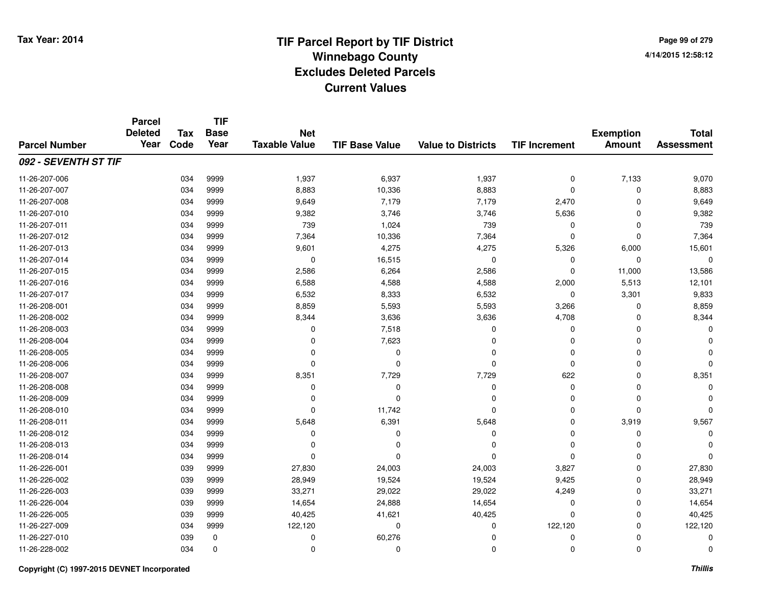### **TIF Base ValueParcel NumberTotal AssessmentExemption Amount Value to Districts TIF IncrementTIF Base YearTax CodeParcel Deleted YearNet Taxable Value092 - SEVENTH ST TIF**11-26-207-006 <sup>034</sup> 1,937 <sup>9999</sup> 6,937 1,937 <sup>0</sup> 7,133 9,070 11-26-207-007 <sup>034</sup> 8,883 <sup>9999</sup> 10,336 8,883 <sup>0</sup> <sup>0</sup> 8,883 11-26-207-008 <sup>034</sup> 9,649 <sup>9999</sup> 7,179 7,179 2,470 <sup>0</sup> 9,649 11-26-207-0100 034 9999 9,382 3,746 3,746 5,636 0 9,382 11-26-207-011 <sup>034</sup> <sup>739</sup> <sup>9999</sup> 1,024 <sup>739</sup> <sup>0</sup> <sup>0</sup> <sup>739</sup> 11-26-207-0122 034 9999 7,364 10,336 7,364 0 0 7,364 11-26-207-0133 034 9999 9,601 4,275 4,275 5,326 6,000 15,601 11-26-207-014 $4$  034 9999 0 0 16,515 0 0 0 0 0 0 0 11-26-207-015 <sup>034</sup> 2,586 <sup>9999</sup> 6,264 2,586 <sup>0</sup> 11,000 13,586 11-26-207-0166 034 9999 6,588 4,588 4,588 2,000 5,513 12,101 11-26-207-017 <sup>034</sup> 6,532 <sup>9999</sup> 8,333 6,532 <sup>0</sup> 3,301 9,833 11-26-208-0011 034 9999 8,859 5,593 5,593 3,266 0 8,859 11-26-208-0022 034 9999 8,344 3,636 3,636 4,708 0 8,344 11-26-208-0033 034 9999 0 7,518 0 0 0 0 11-26-208-004 <sup>034</sup> <sup>0</sup> <sup>9999</sup> 7,623 <sup>0</sup> <sup>0</sup> <sup>0</sup> <sup>0</sup> 11-26-208-005 <sup>034</sup> <sup>0</sup> <sup>9999</sup> <sup>0</sup> <sup>0</sup> <sup>0</sup> <sup>0</sup> <sup>0</sup> 11-26-208-006 <sup>034</sup> <sup>0</sup> <sup>9999</sup> <sup>0</sup> <sup>0</sup> <sup>0</sup> <sup>0</sup> <sup>0</sup> 11-26-208-007 <sup>034</sup> 8,351 <sup>9999</sup> 7,729 7,729 <sup>622</sup> <sup>0</sup> 8,351 11-26-208-008 <sup>034</sup> <sup>0</sup> <sup>9999</sup> <sup>0</sup> <sup>0</sup> <sup>0</sup> <sup>0</sup> <sup>0</sup> 11-26-208-009 <sup>034</sup> <sup>0</sup> <sup>9999</sup> <sup>0</sup> <sup>0</sup> <sup>0</sup> <sup>0</sup> <sup>0</sup> 11-26-208-010 <sup>034</sup> <sup>0</sup> <sup>9999</sup> 11,742 <sup>0</sup> <sup>0</sup> <sup>0</sup> <sup>0</sup> 11-26-208-0111 034 9999 5,648 6,391 5,648 0 3,919 9,567 11-26-208-012 <sup>034</sup> <sup>0</sup> <sup>9999</sup> <sup>0</sup> <sup>0</sup> <sup>0</sup> <sup>0</sup> <sup>0</sup> 11-26-208-013 <sup>034</sup> <sup>0</sup> <sup>9999</sup> <sup>0</sup> <sup>0</sup> <sup>0</sup> <sup>0</sup> <sup>0</sup> 11-26-208-014 <sup>034</sup> <sup>0</sup> <sup>9999</sup> <sup>0</sup> <sup>0</sup> <sup>0</sup> <sup>0</sup> <sup>0</sup> 11-26-226-001 <sup>039</sup> 27,830 <sup>9999</sup> 24,003 24,003 3,827 <sup>0</sup> 27,830 11-26-226-0022 039 9999 28,949 19,524 19,524 9,425 0 28,949 11-26-226-0033 039 9999 33,271 29,022 29,022 4,249 0 33,271 11-26-226-004 <sup>039</sup> 14,654 <sup>9999</sup> 24,888 14,654 <sup>0</sup> <sup>0</sup> 14,654 11-26-226-005 <sup>039</sup> 40,425 <sup>9999</sup> 41,621 40,425 <sup>0</sup> <sup>0</sup> 40,425 11-26-227-009 <sup>034</sup> 122,120 <sup>9999</sup> <sup>0</sup> <sup>0</sup> 122,120 <sup>0</sup> 122,120 11-26-227-010 <sup>039</sup> <sup>0</sup> <sup>0</sup> 60,276 <sup>0</sup> <sup>0</sup> <sup>0</sup> <sup>0</sup> 11-26-228-002<sup>034</sup> <sup>0</sup> <sup>0</sup> <sup>0</sup> <sup>0</sup> <sup>0</sup> <sup>0</sup> <sup>0</sup>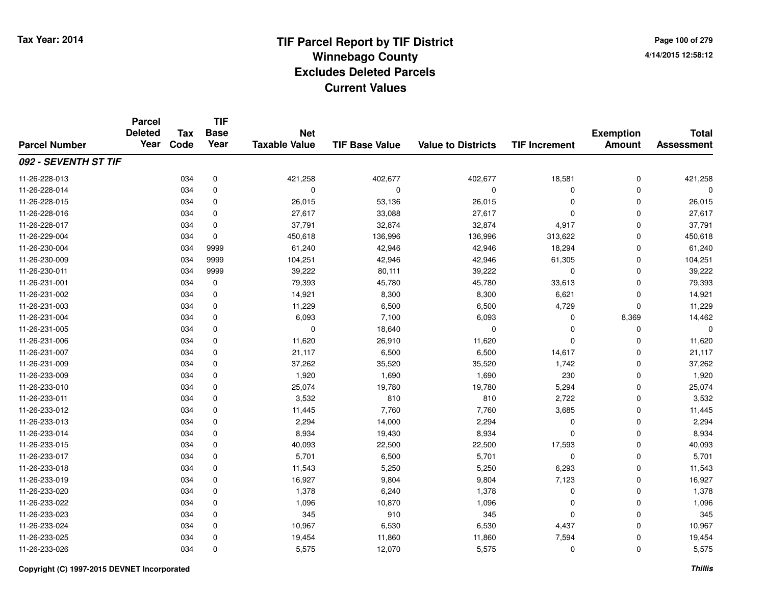**Page 100 of 2794/14/2015 12:58:12**

|                      | <b>Parcel</b><br><b>Deleted</b><br>Year | <b>Tax</b> | <b>TIF</b><br><b>Base</b> | <b>Net</b>           |                       |                           |                      | <b>Exemption</b> | <b>Total</b>      |
|----------------------|-----------------------------------------|------------|---------------------------|----------------------|-----------------------|---------------------------|----------------------|------------------|-------------------|
| <b>Parcel Number</b> |                                         | Code       | Year                      | <b>Taxable Value</b> | <b>TIF Base Value</b> | <b>Value to Districts</b> | <b>TIF Increment</b> | <b>Amount</b>    | <b>Assessment</b> |
| 092 - SEVENTH ST TIF |                                         |            |                           |                      |                       |                           |                      |                  |                   |
| 11-26-228-013        |                                         | 034        | $\pmb{0}$                 | 421,258              | 402,677               | 402,677                   | 18,581               | 0                | 421,258           |
| 11-26-228-014        |                                         | 034        | 0                         | 0                    | $\mathbf 0$           | 0                         | 0                    | 0                | $\Omega$          |
| 11-26-228-015        |                                         | 034        | $\pmb{0}$                 | 26,015               | 53,136                | 26,015                    | 0                    | $\mathbf 0$      | 26,015            |
| 11-26-228-016        |                                         | 034        | 0                         | 27,617               | 33,088                | 27,617                    | 0                    | $\mathbf 0$      | 27,617            |
| 11-26-228-017        |                                         | 034        | 0                         | 37,791               | 32,874                | 32,874                    | 4,917                | 0                | 37,791            |
| 11-26-229-004        |                                         | 034        | $\mathbf 0$               | 450,618              | 136,996               | 136,996                   | 313,622              | $\mathbf 0$      | 450,618           |
| 11-26-230-004        |                                         | 034        | 9999                      | 61,240               | 42,946                | 42,946                    | 18,294               | 0                | 61,240            |
| 11-26-230-009        |                                         | 034        | 9999                      | 104,251              | 42,946                | 42,946                    | 61,305               | 0                | 104,251           |
| 11-26-230-011        |                                         | 034        | 9999                      | 39,222               | 80,111                | 39,222                    | 0                    | 0                | 39,222            |
| 11-26-231-001        |                                         | 034        | $\pmb{0}$                 | 79,393               | 45,780                | 45,780                    | 33,613               | $\mathbf 0$      | 79,393            |
| 11-26-231-002        |                                         | 034        | 0                         | 14,921               | 8,300                 | 8,300                     | 6,621                | $\mathbf 0$      | 14,921            |
| 11-26-231-003        |                                         | 034        | $\pmb{0}$                 | 11,229               | 6,500                 | 6,500                     | 4,729                | $\pmb{0}$        | 11,229            |
| 11-26-231-004        |                                         | 034        | $\mathbf 0$               | 6,093                | 7,100                 | 6,093                     | 0                    | 8,369            | 14,462            |
| 11-26-231-005        |                                         | 034        | 0                         | 0                    | 18,640                | 0                         | 0                    | 0                | $\mathbf 0$       |
| 11-26-231-006        |                                         | 034        | 0                         | 11,620               | 26,910                | 11,620                    | 0                    | $\mathbf 0$      | 11,620            |
| 11-26-231-007        |                                         | 034        | 0                         | 21,117               | 6,500                 | 6,500                     | 14,617               | 0                | 21,117            |
| 11-26-231-009        |                                         | 034        | 0                         | 37,262               | 35,520                | 35,520                    | 1,742                | 0                | 37,262            |
| 11-26-233-009        |                                         | 034        | 0                         | 1,920                | 1,690                 | 1,690                     | 230                  | 0                | 1,920             |
| 11-26-233-010        |                                         | 034        | $\pmb{0}$                 | 25,074               | 19,780                | 19,780                    | 5,294                | $\pmb{0}$        | 25,074            |
| 11-26-233-011        |                                         | 034        | 0                         | 3,532                | 810                   | 810                       | 2,722                | 0                | 3,532             |
| 11-26-233-012        |                                         | 034        | 0                         | 11,445               | 7,760                 | 7,760                     | 3,685                | 0                | 11,445            |
| 11-26-233-013        |                                         | 034        | 0                         | 2,294                | 14,000                | 2,294                     | 0                    | 0                | 2,294             |
| 11-26-233-014        |                                         | 034        | $\pmb{0}$                 | 8,934                | 19,430                | 8,934                     | 0                    | $\pmb{0}$        | 8,934             |
| 11-26-233-015        |                                         | 034        | $\mathbf 0$               | 40,093               | 22,500                | 22,500                    | 17,593               | $\pmb{0}$        | 40,093            |
| 11-26-233-017        |                                         | 034        | 0                         | 5,701                | 6,500                 | 5,701                     | 0                    | $\pmb{0}$        | 5,701             |
| 11-26-233-018        |                                         | 034        | 0                         | 11,543               | 5,250                 | 5,250                     | 6,293                | $\mathbf 0$      | 11,543            |
| 11-26-233-019        |                                         | 034        | $\mathbf 0$               | 16,927               | 9,804                 | 9,804                     | 7,123                | $\mathbf 0$      | 16,927            |
| 11-26-233-020        |                                         | 034        | 0                         | 1,378                | 6,240                 | 1,378                     | 0                    | $\pmb{0}$        | 1,378             |
| 11-26-233-022        |                                         | 034        | 0                         | 1,096                | 10,870                | 1,096                     | 0                    | 0                | 1,096             |
| 11-26-233-023        |                                         | 034        | 0                         | 345                  | 910                   | 345                       | 0                    | 0                | 345               |
| 11-26-233-024        |                                         | 034        | 0                         | 10,967               | 6,530                 | 6,530                     | 4,437                | 0                | 10,967            |
| 11-26-233-025        |                                         | 034        | $\Omega$                  | 19,454               | 11,860                | 11,860                    | 7,594                | $\mathbf 0$      | 19,454            |
| 11-26-233-026        |                                         | 034        | $\Omega$                  | 5,575                | 12,070                | 5,575                     | 0                    | $\mathbf 0$      | 5,575             |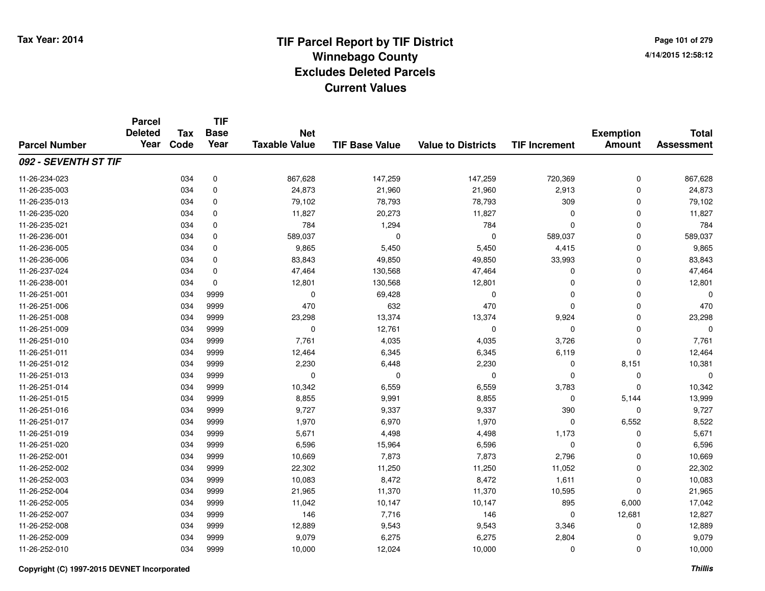**Page 101 of 2794/14/2015 12:58:12**

### **TIF Base ValueParcel NumberTotal AssessmentExemption Amount Value to Districts TIF IncrementTIF Base YearTax CodeParcel Deleted YearNet Taxable Value092 - SEVENTH ST TIF**11-26-234-0233 034 0 867,628 147,259 147,259 720,369 0 867,628 11-26-235-0033 034 0 24,873 21,960 21,960 2,913 0 24,873 11-26-235-0133 034 0 79,102 78,793 78,793 309 0 79,102 11-26-235-0200 034 0 11,827 20,273 11,827 0 0 11,827 11-26-235-0211 034 0 784 1,294 784 0 0 784 11-26-236-0011 034 0 589,037 0 589,037 0 589,037 11-26-236-005 <sup>034</sup> 9,865 <sup>0</sup> 5,450 5,450 4,415 <sup>0</sup> 9,865 11-26-236-0066 034 0 83,843 49,850 49,850 33,993 0 83,843 11-26-237-0244 034 0 47,464 130,568 47,464 0 0 47,464 11-26-238-0011 034 0 12,801 130,568 12,801 0 12,801 11-26-251-0011 034 9999 0 69,428 0 0 0 0 11-26-251-006 <sup>034</sup> <sup>470</sup> <sup>9999</sup> <sup>632</sup> <sup>470</sup> <sup>0</sup> <sup>0</sup> <sup>470</sup> 11-26-251-008 <sup>034</sup> 23,298 <sup>9999</sup> 13,374 13,374 9,924 <sup>0</sup> 23,298 11-26-251-0099 034 9999 0 12,761 0 0 0 0 11-26-251-0100 034 9999 7,761 4,035 4,035 3,726 0 7,761 11-26-251-0111 034 9999 12,464 6,345 6,345 6,119 0 12,464 11-26-251-0122 034 9999 2,230 6,448 2,230 0 8,151 10,381 11-26-251-013 <sup>034</sup> <sup>0</sup> <sup>9999</sup> <sup>0</sup> <sup>0</sup> <sup>0</sup> <sup>0</sup> <sup>0</sup> 11-26-251-014 <sup>034</sup> 10,342 <sup>9999</sup> 6,559 6,559 3,783 <sup>0</sup> 10,342 11-26-251-015 <sup>034</sup> 8,855 <sup>9999</sup> 9,991 8,855 <sup>0</sup> 5,144 13,999 11-26-251-016 <sup>034</sup> 9,727 <sup>9999</sup> 9,337 9,337 <sup>390</sup> <sup>0</sup> 9,727 11-26-251-017 <sup>034</sup> 1,970 <sup>9999</sup> 6,970 1,970 <sup>0</sup> 6,552 8,522 11-26-251-019 <sup>034</sup> 5,671 <sup>9999</sup> 4,498 4,498 1,173 <sup>0</sup> 5,671 11-26-251-0200 034 9999 6,596 15,964 6,596 0 0 6,596 11-26-252-001 <sup>034</sup> 10,669 <sup>9999</sup> 7,873 7,873 2,796 <sup>0</sup> 10,669 11-26-252-002 <sup>034</sup> 22,302 <sup>9999</sup> 11,250 11,250 11,052 <sup>0</sup> 22,302 11-26-252-003 <sup>034</sup> 10,083 <sup>9999</sup> 8,472 8,472 1,611 <sup>0</sup> 10,083 11-26-252-004 <sup>034</sup> 21,965 <sup>9999</sup> 11,370 11,370 10,595 <sup>0</sup> 21,965 11-26-252-005 <sup>034</sup> 11,042 <sup>9999</sup> 10,147 10,147 <sup>895</sup> 6,000 17,042 11-26-252-007 <sup>034</sup> <sup>146</sup> <sup>9999</sup> 7,716 <sup>146</sup> <sup>0</sup> 12,681 12,827 11-26-252-008 <sup>034</sup> 12,889 <sup>9999</sup> 9,543 9,543 3,346 <sup>0</sup> 12,889 11-26-252-009 <sup>034</sup> 9,079 <sup>9999</sup> 6,275 6,275 2,804 <sup>0</sup> 9,079 11-26-252-010<sup>034</sup> 10,000 <sup>9999</sup> 12,024 10,000 <sup>0</sup> <sup>0</sup> 10,000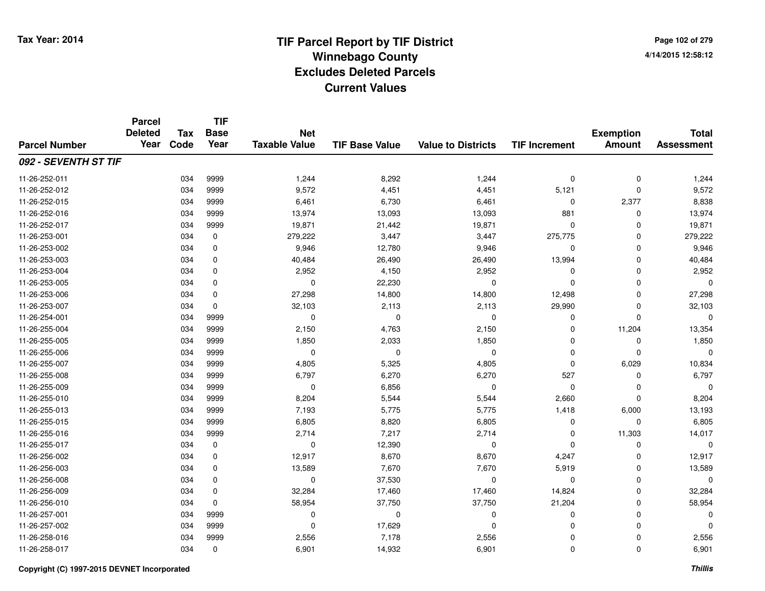**Page 102 of 2794/14/2015 12:58:12**

|                      | <b>Parcel</b><br><b>Deleted</b><br>Year | <b>Tax</b> | <b>TIF</b><br><b>Base</b> | <b>Net</b>           |                       |                           |                      | <b>Exemption</b> | <b>Total</b>      |
|----------------------|-----------------------------------------|------------|---------------------------|----------------------|-----------------------|---------------------------|----------------------|------------------|-------------------|
| <b>Parcel Number</b> |                                         | Code       | Year                      | <b>Taxable Value</b> | <b>TIF Base Value</b> | <b>Value to Districts</b> | <b>TIF Increment</b> | <b>Amount</b>    | <b>Assessment</b> |
| 092 - SEVENTH ST TIF |                                         |            |                           |                      |                       |                           |                      |                  |                   |
| 11-26-252-011        |                                         | 034        | 9999                      | 1,244                | 8,292                 | 1,244                     | 0                    | $\mathbf 0$      | 1,244             |
| 11-26-252-012        |                                         | 034        | 9999                      | 9,572                | 4,451                 | 4,451                     | 5,121                | $\mathbf 0$      | 9,572             |
| 11-26-252-015        |                                         | 034        | 9999                      | 6,461                | 6,730                 | 6,461                     | 0                    | 2,377            | 8,838             |
| 11-26-252-016        |                                         | 034        | 9999                      | 13,974               | 13,093                | 13,093                    | 881                  | 0                | 13,974            |
| 11-26-252-017        |                                         | 034        | 9999                      | 19,871               | 21,442                | 19,871                    | $\mathbf 0$          | $\Omega$         | 19,871            |
| 11-26-253-001        |                                         | 034        | 0                         | 279,222              | 3,447                 | 3,447                     | 275,775              | 0                | 279,222           |
| 11-26-253-002        |                                         | 034        | $\mathbf 0$               | 9,946                | 12,780                | 9,946                     | $\mathbf 0$          | $\mathbf 0$      | 9,946             |
| 11-26-253-003        |                                         | 034        | 0                         | 40,484               | 26,490                | 26,490                    | 13,994               | $\Omega$         | 40,484            |
| 11-26-253-004        |                                         | 034        | $\mathbf 0$               | 2,952                | 4,150                 | 2,952                     | 0                    | $\Omega$         | 2,952             |
| 11-26-253-005        |                                         | 034        | $\mathbf 0$               | $\mathbf 0$          | 22,230                | $\mathbf 0$               | $\mathbf 0$          | $\Omega$         | $\Omega$          |
| 11-26-253-006        |                                         | 034        | $\mathbf 0$               | 27,298               | 14,800                | 14,800                    | 12,498               | $\mathbf 0$      | 27,298            |
| 11-26-253-007        |                                         | 034        | $\mathbf 0$               | 32,103               | 2,113                 | 2,113                     | 29,990               | 0                | 32,103            |
| 11-26-254-001        |                                         | 034        | 9999                      | $\mathbf 0$          | $\mathbf 0$           | $\mathbf 0$               | 0                    | $\Omega$         | $\Omega$          |
| 11-26-255-004        |                                         | 034        | 9999                      | 2,150                | 4,763                 | 2,150                     | 0                    | 11,204           | 13,354            |
| 11-26-255-005        |                                         | 034        | 9999                      | 1,850                | 2,033                 | 1,850                     | $\mathbf 0$          | 0                | 1,850             |
| 11-26-255-006        |                                         | 034        | 9999                      | 0                    | 0                     | 0                         | 0                    | 0                | $\Omega$          |
| 11-26-255-007        |                                         | 034        | 9999                      | 4,805                | 5,325                 | 4,805                     | 0                    | 6,029            | 10,834            |
| 11-26-255-008        |                                         | 034        | 9999                      | 6,797                | 6,270                 | 6,270                     | 527                  | 0                | 6,797             |
| 11-26-255-009        |                                         | 034        | 9999                      | $\mathbf 0$          | 6,856                 | $\mathbf 0$               | 0                    | $\mathbf 0$      | $\Omega$          |
| 11-26-255-010        |                                         | 034        | 9999                      | 8,204                | 5,544                 | 5,544                     | 2,660                | 0                | 8,204             |
| 11-26-255-013        |                                         | 034        | 9999                      | 7,193                | 5,775                 | 5,775                     | 1,418                | 6,000            | 13,193            |
| 11-26-255-015        |                                         | 034        | 9999                      | 6,805                | 8,820                 | 6,805                     | 0                    | 0                | 6,805             |
| 11-26-255-016        |                                         | 034        | 9999                      | 2,714                | 7,217                 | 2,714                     | 0                    | 11,303           | 14,017            |
| 11-26-255-017        |                                         | 034        | 0                         | 0                    | 12,390                | 0                         | 0                    | 0                | $\mathbf 0$       |
| 11-26-256-002        |                                         | 034        | 0                         | 12,917               | 8,670                 | 8,670                     | 4,247                | $\mathbf 0$      | 12,917            |
| 11-26-256-003        |                                         | 034        | 0                         | 13,589               | 7,670                 | 7,670                     | 5,919                | $\mathbf 0$      | 13,589            |
| 11-26-256-008        |                                         | 034        | $\mathbf 0$               | $\mathbf 0$          | 37,530                | $\mathbf 0$               | 0                    | $\mathbf 0$      | 0                 |
| 11-26-256-009        |                                         | 034        | 0                         | 32,284               | 17,460                | 17,460                    | 14,824               | 0                | 32,284            |
| 11-26-256-010        |                                         | 034        | $\Omega$                  | 58,954               | 37,750                | 37,750                    | 21,204               | 0                | 58,954            |
| 11-26-257-001        |                                         | 034        | 9999                      | 0                    | 0                     | 0                         | 0                    | 0                | 0                 |
| 11-26-257-002        |                                         | 034        | 9999                      | $\mathbf 0$          | 17,629                | $\Omega$                  | $\mathbf 0$          | $\Omega$         | $\Omega$          |
| 11-26-258-016        |                                         | 034        | 9999                      | 2,556                | 7,178                 | 2,556                     | 0                    | 0                | 2,556             |
| 11-26-258-017        |                                         | 034        | 0                         | 6,901                | 14,932                | 6,901                     | 0                    | $\Omega$         | 6,901             |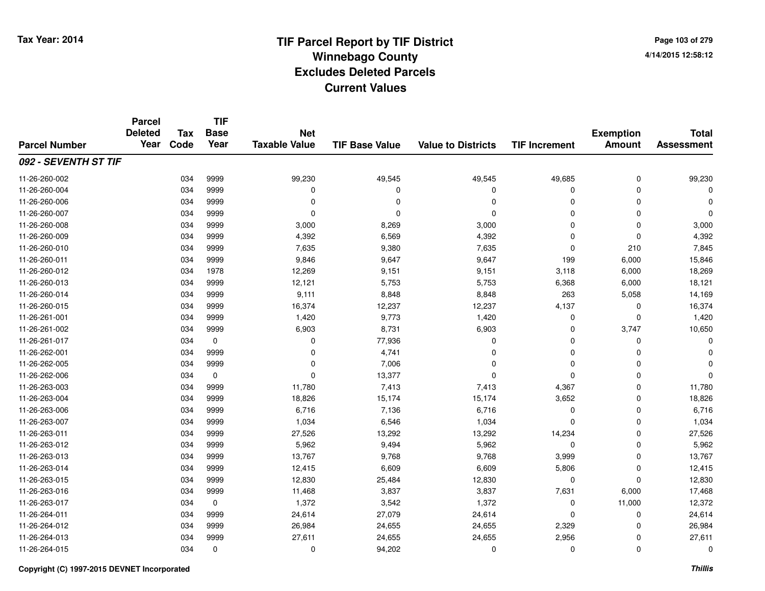**Page 103 of 2794/14/2015 12:58:12**

### **TIF Base ValueParcel NumberTotal AssessmentExemption Amount Value to Districts TIF IncrementTIF Base YearTax CodeParcel Deleted YearNet Taxable Value092 - SEVENTH ST TIF**11-26-260-002 <sup>034</sup> 99,230 <sup>9999</sup> 49,545 49,545 49,685 <sup>0</sup> 99,230 11-26-260-004 <sup>034</sup> <sup>0</sup> <sup>9999</sup> <sup>0</sup> <sup>0</sup> <sup>0</sup> <sup>0</sup> <sup>0</sup> 11-26-260-006 <sup>034</sup> <sup>0</sup> <sup>9999</sup> <sup>0</sup> <sup>0</sup> <sup>0</sup> <sup>0</sup> <sup>0</sup> 11-26-260-007 <sup>034</sup> <sup>0</sup> <sup>9999</sup> <sup>0</sup> <sup>0</sup> <sup>0</sup> <sup>0</sup> <sup>0</sup> 11-26-260-0088 034 9999 3,000 8,269 3,000 0 0 3,000 11-26-260-0099 034 9999 4,392 6,569 4,392 0 0 4,392 11-26-260-0100 034 9999 7,635 9,380 7,635 0 210 7,845 11-26-260-011 <sup>034</sup> 9,846 <sup>9999</sup> 9,647 9,647 <sup>199</sup> 6,000 15,846 11-26-260-012 <sup>034</sup> 12,269 <sup>1978</sup> 9,151 9,151 3,118 6,000 18,269 11-26-260-0133 034 9999 12,121 5,753 5,753 6,368 6,000 18,121 11-26-260-014 <sup>034</sup> 9,111 <sup>9999</sup> 8,848 8,848 <sup>263</sup> 5,058 14,169 11-26-260-015 <sup>034</sup> 16,374 <sup>9999</sup> 12,237 12,237 4,137 <sup>0</sup> 16,374 11-26-261-0011 034 9999 1,420 9,773 1,420 0 0 1,420 11-26-261-002 <sup>034</sup> 6,903 <sup>9999</sup> 8,731 6,903 <sup>0</sup> 3,747 10,650 11-26-261-017 <sup>034</sup> <sup>0</sup> <sup>0</sup> 77,936 <sup>0</sup> <sup>0</sup> <sup>0</sup> <sup>0</sup> 11-26-262-0011 and the contract of the contract of the contract of the contract of the contract of  $\alpha$  of  $\alpha$  of  $\alpha$  of  $\alpha$  of  $\alpha$  of  $\alpha$  of  $\alpha$  of  $\alpha$  of  $\alpha$  of  $\alpha$  of  $\alpha$  of  $\alpha$  of  $\alpha$  of  $\alpha$  of  $\alpha$  of  $\alpha$  of  $\alpha$  of 11-26-262-005 $5$  034 9999 0 0  $7,006$  0 0 0 0 0 11-26-262-006 <sup>034</sup> <sup>0</sup> <sup>0</sup> 13,377 <sup>0</sup> <sup>0</sup> <sup>0</sup> <sup>0</sup> 11-26-263-003 <sup>034</sup> 11,780 <sup>9999</sup> 7,413 7,413 4,367 <sup>0</sup> 11,780 11-26-263-0044 15,174 15,174 15,174 3,652 0 18,826 11-26-263-0066 034 9999 6,716 7,136 6,716 0 0 6,716 11-26-263-0077 034 9999 1,034 6,546 1,034 0 0 1,034 11-26-263-0111 034 9999 27,526 13,292 13,292 14,234 0 27,526 11-26-263-0122 034 5,962 5,962 5,962 5,962 5,962 5,962 5,962 5,962 5,962 5,962 5 0 11-26-263-0133 034 9999 13,767 9,768 9,768 3,999 0 13,767 11-26-263-014 <sup>034</sup> 12,415 <sup>9999</sup> 6,609 6,609 5,806 <sup>0</sup> 12,415 11-26-263-015 <sup>034</sup> 12,830 <sup>9999</sup> 25,484 12,830 <sup>0</sup> <sup>0</sup> 12,830 11-26-263-0166 034 9999 11,468 3,837 3,837 7,631 6,000 17,468 11-26-263-017 <sup>034</sup> 1,372 <sup>0</sup> 3,542 1,372 <sup>0</sup> 11,000 12,372 11-26-264-0111 034 9999 24,614 27,079 24,614 0 0 24,614 11-26-264-012 <sup>034</sup> 26,984 <sup>9999</sup> 24,655 24,655 2,329 <sup>0</sup> 26,984 11-26-264-0133 034 9999 27,611 24,655 24,655 2,956 0 27,611 11-26-264-015 $5$  034 0 0 0 94,202 0 0 0 0 0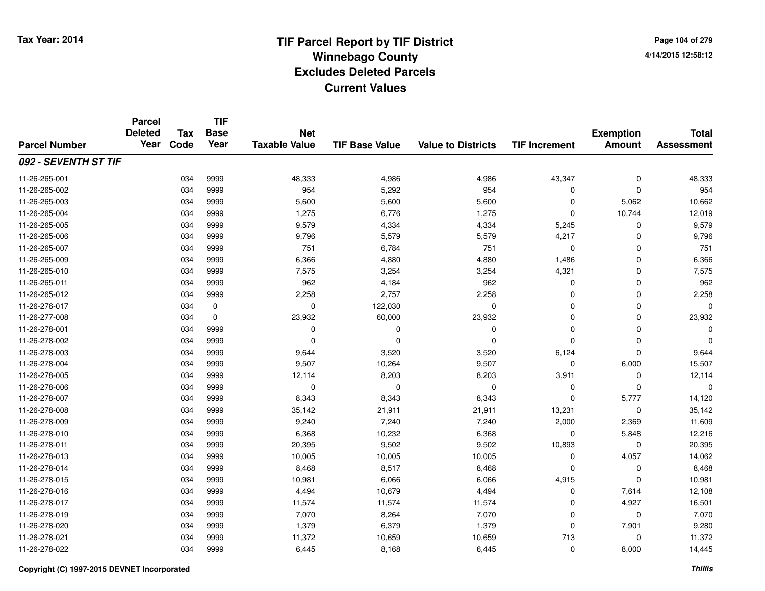**TIF**

**Parcel**

**Page 104 of 2794/14/2015 12:58:12**

| <b>Parcel Number</b> | <b>Deleted</b><br>Year | <b>Tax</b><br>Code | <b>Base</b><br>Year | <b>Net</b><br><b>Taxable Value</b> | <b>TIF Base Value</b> | <b>Value to Districts</b> | <b>TIF Increment</b> | <b>Exemption</b><br><b>Amount</b> | <b>Total</b><br><b>Assessment</b> |
|----------------------|------------------------|--------------------|---------------------|------------------------------------|-----------------------|---------------------------|----------------------|-----------------------------------|-----------------------------------|
| 092 - SEVENTH ST TIF |                        |                    |                     |                                    |                       |                           |                      |                                   |                                   |
| 11-26-265-001        |                        | 034                | 9999                | 48,333                             | 4,986                 | 4,986                     | 43,347               | $\mathbf 0$                       | 48,333                            |
| 11-26-265-002        |                        | 034                | 9999                | 954                                | 5,292                 | 954                       | 0                    | $\Omega$                          | 954                               |
| 11-26-265-003        |                        | 034                | 9999                | 5,600                              | 5,600                 | 5,600                     | $\mathbf 0$          | 5,062                             | 10,662                            |
| 11-26-265-004        |                        | 034                | 9999                | 1,275                              | 6,776                 | 1,275                     | 0                    | 10,744                            | 12,019                            |
| 11-26-265-005        |                        | 034                | 9999                | 9,579                              | 4,334                 | 4,334                     | 5,245                | 0                                 | 9,579                             |
| 11-26-265-006        |                        | 034                | 9999                | 9,796                              | 5,579                 | 5,579                     | 4,217                | $\Omega$                          | 9,796                             |
| 11-26-265-007        |                        | 034                | 9999                | 751                                | 6,784                 | 751                       | $\mathbf 0$          | $\mathbf 0$                       | 751                               |
| 11-26-265-009        |                        | 034                | 9999                | 6,366                              | 4,880                 | 4,880                     | 1,486                | $\mathbf 0$                       | 6,366                             |
| 11-26-265-010        |                        | 034                | 9999                | 7,575                              | 3,254                 | 3,254                     | 4,321                | $\mathbf 0$                       | 7,575                             |
| 11-26-265-011        |                        | 034                | 9999                | 962                                | 4,184                 | 962                       | 0                    | $\mathbf 0$                       | 962                               |
| 11-26-265-012        |                        | 034                | 9999                | 2,258                              | 2,757                 | 2,258                     | 0                    | 0                                 | 2,258                             |
| 11-26-276-017        |                        | 034                | 0                   | 0                                  | 122,030               | 0                         | 0                    | 0                                 | $\Omega$                          |
| 11-26-277-008        |                        | 034                | 0                   | 23,932                             | 60,000                | 23,932                    | 0                    | 0                                 | 23,932                            |
| 11-26-278-001        |                        | 034                | 9999                | 0                                  | 0                     | 0                         | 0                    | 0                                 | 0                                 |
| 11-26-278-002        |                        | 034                | 9999                | $\Omega$                           | $\Omega$              | $\Omega$                  | $\Omega$             | 0                                 | $\Omega$                          |
| 11-26-278-003        |                        | 034                | 9999                | 9,644                              | 3,520                 | 3,520                     | 6,124                | $\Omega$                          | 9,644                             |
| 11-26-278-004        |                        | 034                | 9999                | 9,507                              | 10,264                | 9,507                     | $\mathbf 0$          | 6,000                             | 15,507                            |
| 11-26-278-005        |                        | 034                | 9999                | 12,114                             | 8,203                 | 8,203                     | 3,911                | 0                                 | 12,114                            |
| 11-26-278-006        |                        | 034                | 9999                | 0                                  | $\Omega$              | 0                         | 0                    | $\Omega$                          | $\Omega$                          |
| 11-26-278-007        |                        | 034                | 9999                | 8,343                              | 8,343                 | 8,343                     | $\mathbf 0$          | 5,777                             | 14,120                            |
| 11-26-278-008        |                        | 034                | 9999                | 35,142                             | 21,911                | 21,911                    | 13,231               | 0                                 | 35,142                            |
| 11-26-278-009        |                        | 034                | 9999                | 9,240                              | 7,240                 | 7,240                     | 2,000                | 2,369                             | 11,609                            |
| 11-26-278-010        |                        | 034                | 9999                | 6,368                              | 10,232                | 6,368                     | 0                    | 5,848                             | 12,216                            |
| 11-26-278-011        |                        | 034                | 9999                | 20,395                             | 9,502                 | 9,502                     | 10,893               | 0                                 | 20,395                            |
| 11-26-278-013        |                        | 034                | 9999                | 10,005                             | 10,005                | 10,005                    | $\mathbf 0$          | 4,057                             | 14,062                            |
| 11-26-278-014        |                        | 034                | 9999                | 8,468                              | 8,517                 | 8,468                     | $\mathbf 0$          | $\Omega$                          | 8,468                             |
| 11-26-278-015        |                        | 034                | 9999                | 10,981                             | 6,066                 | 6,066                     | 4,915                | $\Omega$                          | 10,981                            |
| 11-26-278-016        |                        | 034                | 9999                | 4,494                              | 10,679                | 4,494                     | 0                    | 7,614                             | 12,108                            |
| 11-26-278-017        |                        | 034                | 9999                | 11,574                             | 11,574                | 11,574                    | 0                    | 4,927                             | 16,501                            |
| 11-26-278-019        |                        | 034                | 9999                | 7,070                              | 8,264                 | 7,070                     | 0                    | 0                                 | 7,070                             |
| 11-26-278-020        |                        | 034                | 9999                | 1,379                              | 6,379                 | 1,379                     | 0                    | 7,901                             | 9,280                             |
| 11-26-278-021        |                        | 034                | 9999                | 11,372                             | 10,659                | 10,659                    | 713                  | 0                                 | 11,372                            |
| 11-26-278-022        |                        | 034                | 9999                | 6,445                              | 8,168                 | 6,445                     | 0                    | 8,000                             | 14,445                            |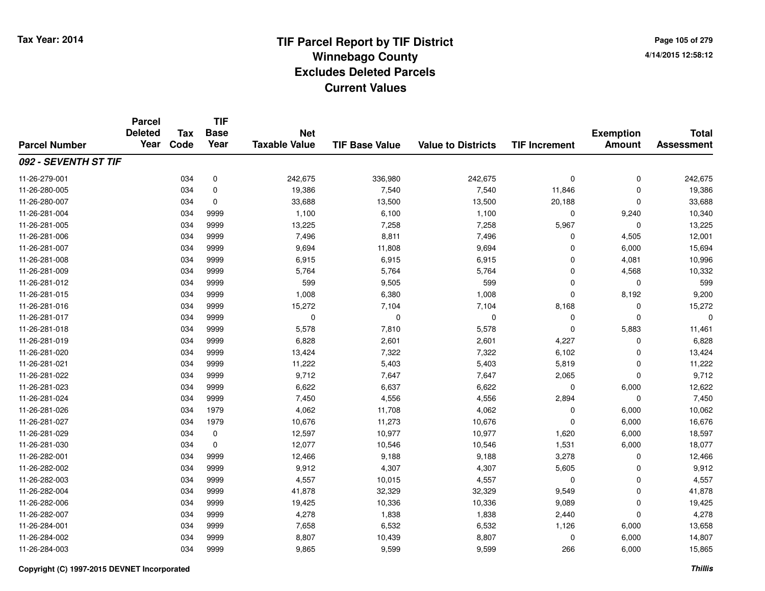**Page 105 of 2794/14/2015 12:58:12**

### **TIF Base ValueParcel NumberTotal AssessmentExemption Amount Value to Districts TIF IncrementTIF Base YearTax CodeParcel Deleted YearNet Taxable Value092 - SEVENTH ST TIF**11-26-279-0011 034 0 242,675 336,980 242,675 0 242,675 11-26-280-005 <sup>034</sup> 19,386 <sup>0</sup> 7,540 7,540 11,846 <sup>0</sup> 19,386 11-26-280-007 <sup>034</sup> 33,688 <sup>0</sup> 13,500 13,500 20,188 <sup>0</sup> 33,688 11-26-281-0044 1,100 10,340 10,340 10,340 1,100 6,100 1,100 1,100 0 9,240 10,340 11-26-281-005 <sup>034</sup> 13,225 <sup>9999</sup> 7,258 7,258 5,967 <sup>0</sup> 13,225 11-26-281-006 <sup>034</sup> 7,496 <sup>9999</sup> 8,811 7,496 <sup>0</sup> 4,505 12,001 11-26-281-007 <sup>034</sup> 9,694 <sup>9999</sup> 11,808 9,694 <sup>0</sup> 6,000 15,694 11-26-281-008 <sup>034</sup> 6,915 <sup>9999</sup> 6,915 6,915 <sup>0</sup> 4,081 10,996 11-26-281-0099 034 9999 5,764 5,764 0 4,568 10,332 11-26-281-012 <sup>034</sup> <sup>599</sup> <sup>9999</sup> 9,505 <sup>599</sup> <sup>0</sup> <sup>0</sup> <sup>599</sup> 11-26-281-015 <sup>034</sup> 1,008 <sup>9999</sup> 6,380 1,008 <sup>0</sup> 8,192 9,200 11-26-281-016 <sup>034</sup> 15,272 <sup>9999</sup> 7,104 7,104 8,168 <sup>0</sup> 15,272 11-26-281-017 <sup>034</sup> <sup>0</sup> <sup>9999</sup> <sup>0</sup> <sup>0</sup> <sup>0</sup> <sup>0</sup> <sup>0</sup> 11-26-281-018 <sup>034</sup> 5,578 <sup>9999</sup> 7,810 5,578 <sup>0</sup> 5,883 11,461 11-26-281-0199 034 9999 6,828 2,601 2,601 4,227 0 6,828 11-26-281-0200 034 9999 13,424 7,322 7,322 6,102 0 13,424 11-26-281-0211 034 9999 11,222 5,403 5,403 5,819 0 11,222 11-26-281-022 <sup>034</sup> 9,712 <sup>9999</sup> 7,647 7,647 2,065 <sup>0</sup> 9,712 11-26-281-0233 034 9999 6,622 6,637 6,622 0 6,000 12,622 11-26-281-024 <sup>034</sup> 7,450 <sup>9999</sup> 4,556 4,556 2,894 <sup>0</sup> 7,450 11-26-281-026 <sup>034</sup> 4,062 <sup>1979</sup> 11,708 4,062 <sup>0</sup> 6,000 10,062 11-26-281-027 <sup>034</sup> 10,676 <sup>1979</sup> 11,273 10,676 <sup>0</sup> 6,000 16,676 11-26-281-029 <sup>034</sup> 12,597 <sup>0</sup> 10,977 10,977 1,620 6,000 18,597 11-26-281-0300 034 0 12,077 10,546 10,546 1,531 6,000 18,077 11-26-282-0011 034 9999 12,466 9,188 9,188 3,278 0 12,466 11-26-282-002 <sup>034</sup> 9,912 <sup>9999</sup> 4,307 4,307 5,605 <sup>0</sup> 9,912 11-26-282-0033 034 9999 4,557 10,015 4,557 0 0 4,557 11-26-282-004 <sup>034</sup> 41,878 <sup>9999</sup> 32,329 32,329 9,549 <sup>0</sup> 41,878 11-26-282-006 <sup>034</sup> 19,425 <sup>9999</sup> 10,336 10,336 9,089 <sup>0</sup> 19,425 11-26-282-007 <sup>034</sup> 4,278 <sup>9999</sup> 1,838 1,838 2,440 <sup>0</sup> 4,278 11-26-284-0011 034 9999 7,658 6,532 6,532 1,126 6,000 13,658 11-26-284-0022 034 9999 8,807 10,439 8,807 0 6,000 14,807 11-26-284-0033 034 9999 9,865 9,599 9,599 266 6,000 15,865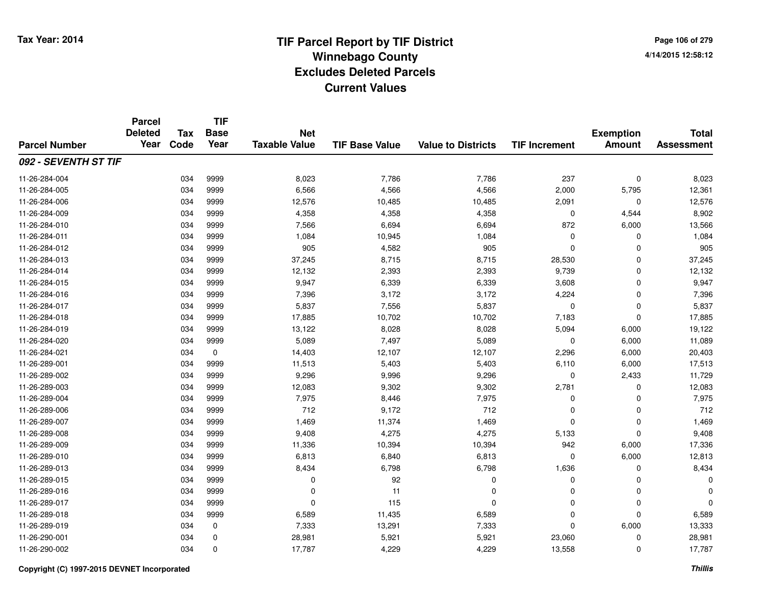**Page 106 of 2794/14/2015 12:58:12**

### **TIF Base ValueParcel NumberTotal AssessmentExemption Amount Value to Districts TIF IncrementTIF Base YearTax CodeParcel Deleted YearNet Taxable Value092 - SEVENTH ST TIF**11-26-284-004 <sup>034</sup> 8,023 <sup>9999</sup> 7,786 7,786 <sup>237</sup> <sup>0</sup> 8,023 11-26-284-005 <sup>034</sup> 6,566 <sup>9999</sup> 4,566 4,566 2,000 5,795 12,361 11-26-284-006 <sup>034</sup> 12,576 <sup>9999</sup> 10,485 10,485 2,091 <sup>0</sup> 12,576 11-26-284-0099 034 9999 4,358 4,358 0 4,544 8,902 11-26-284-0100 034 9999 7,566 6,694 6,694 872 6,000 13,566 11-26-284-0111 034 9999 1,084 10,945 1,084 0 0 1,084 11-26-284-012 <sup>034</sup> <sup>905</sup> <sup>9999</sup> 4,582 <sup>905</sup> <sup>0</sup> <sup>0</sup> <sup>905</sup> 11-26-284-0133 034 9999 37,245 8,715 8,715 28,530 0 37,245 11-26-284-014 <sup>034</sup> 12,132 <sup>9999</sup> 2,393 2,393 9,739 <sup>0</sup> 12,132 11-26-284-015 <sup>034</sup> 9,947 <sup>9999</sup> 6,339 6,339 3,608 <sup>0</sup> 9,947 11-26-284-016 <sup>034</sup> 7,396 <sup>9999</sup> 3,172 3,172 4,224 <sup>0</sup> 7,396 11-26-284-017 <sup>034</sup> 5,837 <sup>9999</sup> 7,556 5,837 <sup>0</sup> <sup>0</sup> 5,837 11-26-284-018 <sup>034</sup> 17,885 <sup>9999</sup> 10,702 10,702 7,183 <sup>0</sup> 17,885 11-26-284-0199 034 9999 13,122 8,028 8,028 5,094 6,000 19,122 11-26-284-020 <sup>034</sup> 5,089 <sup>9999</sup> 7,497 5,089 <sup>0</sup> 6,000 11,089 11-26-284-0211 034 0 14,403 12,107 12,107 2,296 6,000 20,403 11-26-289-0011 034 9999 11,513 5,403 5,403 6,110 6,000 17,513 11-26-289-0022 034 9999 9,296 9,996 9,296 0 2,433 11,729 11-26-289-003 <sup>034</sup> 12,083 <sup>9999</sup> 9,302 9,302 2,781 <sup>0</sup> 12,083 11-26-289-004 <sup>034</sup> 7,975 <sup>9999</sup> 8,446 7,975 <sup>0</sup> <sup>0</sup> 7,975 11-26-289-0066 034 9999 712 9,172 712 0 0 712 11-26-289-0077 034 9999 1,469 11,374 1,469 0 0 1,469 11-26-289-008 <sup>034</sup> 9,408 <sup>9999</sup> 4,275 4,275 5,133 <sup>0</sup> 9,408 11-26-289-009 <sup>034</sup> 11,336 <sup>9999</sup> 10,394 10,394 <sup>942</sup> 6,000 17,336 11-26-289-0100 034 9999 6,813 6,840 6,813 0 6,000 12,813 11-26-289-0133 034 9999 8,434 6,798 6,798 1,636 0 8,434 11-26-289-015 <sup>034</sup> <sup>0</sup> <sup>9999</sup> <sup>92</sup> <sup>0</sup> <sup>0</sup> <sup>0</sup> <sup>0</sup> 11-26-289-016 <sup>034</sup> <sup>0</sup> <sup>9999</sup> <sup>11</sup> <sup>0</sup> <sup>0</sup> <sup>0</sup> <sup>0</sup> 11-26-289-017 <sup>034</sup> <sup>0</sup> <sup>9999</sup> <sup>115</sup> <sup>0</sup> <sup>0</sup> <sup>0</sup> <sup>0</sup> 11-26-289-018 <sup>034</sup> 6,589 <sup>9999</sup> 11,435 6,589 <sup>0</sup> <sup>0</sup> 6,589 11-26-289-0199 034 0 7,333 13,291 7,333 0 6,000 13,333 11-26-290-0011 034 0 28,981 5,921 5,921 23,060 0 28,981 11-26-290-002<sup>034</sup> 17,787 <sup>0</sup> 4,229 4,229 13,558 <sup>0</sup> 17,787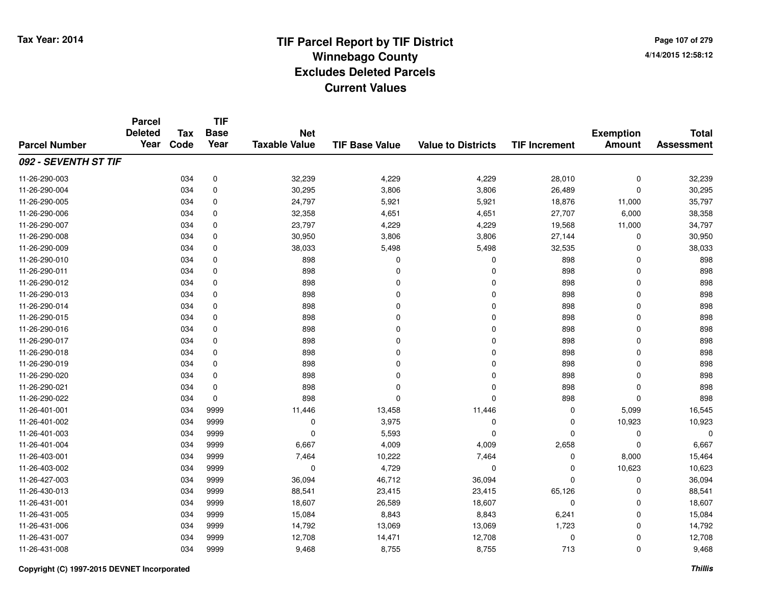**Page 107 of 2794/14/2015 12:58:12**

|                      | <b>Parcel</b><br><b>Deleted</b><br>Year | <b>Tax</b><br>Code | <b>TIF</b><br><b>Base</b><br>Year | <b>Net</b><br><b>Taxable Value</b> | <b>TIF Base Value</b> | <b>Value to Districts</b> | <b>TIF Increment</b> | <b>Exemption</b><br><b>Amount</b> | <b>Total</b><br><b>Assessment</b> |
|----------------------|-----------------------------------------|--------------------|-----------------------------------|------------------------------------|-----------------------|---------------------------|----------------------|-----------------------------------|-----------------------------------|
| <b>Parcel Number</b> |                                         |                    |                                   |                                    |                       |                           |                      |                                   |                                   |
| 092 - SEVENTH ST TIF |                                         |                    |                                   |                                    |                       |                           |                      |                                   |                                   |
| 11-26-290-003        |                                         | 034                | 0                                 | 32,239                             | 4,229                 | 4,229                     | 28,010               | $\pmb{0}$                         | 32,239                            |
| 11-26-290-004        |                                         | 034                | 0                                 | 30,295                             | 3,806                 | 3,806                     | 26,489               | 0                                 | 30,295                            |
| 11-26-290-005        |                                         | 034                | 0                                 | 24,797                             | 5,921                 | 5,921                     | 18,876               | 11,000                            | 35,797                            |
| 11-26-290-006        |                                         | 034                | 0                                 | 32,358                             | 4,651                 | 4,651                     | 27,707               | 6,000                             | 38,358                            |
| 11-26-290-007        |                                         | 034                | 0                                 | 23,797                             | 4,229                 | 4,229                     | 19,568               | 11,000                            | 34,797                            |
| 11-26-290-008        |                                         | 034                | 0                                 | 30,950                             | 3,806                 | 3,806                     | 27,144               | $\mathbf 0$                       | 30,950                            |
| 11-26-290-009        |                                         | 034                | 0                                 | 38,033                             | 5,498                 | 5,498                     | 32,535               | $\mathbf 0$                       | 38,033                            |
| 11-26-290-010        |                                         | 034                | 0                                 | 898                                | $\Omega$              | 0                         | 898                  | $\Omega$                          | 898                               |
| 11-26-290-011        |                                         | 034                | 0                                 | 898                                | $\Omega$              | $\Omega$                  | 898                  | $\mathbf 0$                       | 898                               |
| 11-26-290-012        |                                         | 034                | 0                                 | 898                                | $\Omega$              | $\Omega$                  | 898                  | $\Omega$                          | 898                               |
| 11-26-290-013        |                                         | 034                | 0                                 | 898                                | $\Omega$              | $\Omega$                  | 898                  | $\Omega$                          | 898                               |
| 11-26-290-014        |                                         | 034                | 0                                 | 898                                | $\Omega$              | $\Omega$                  | 898                  | 0                                 | 898                               |
| 11-26-290-015        |                                         | 034                | 0                                 | 898                                | $\Omega$              | $\Omega$                  | 898                  | $\Omega$                          | 898                               |
| 11-26-290-016        |                                         | 034                | 0                                 | 898                                | <sup>0</sup>          | 0                         | 898                  | 0                                 | 898                               |
| 11-26-290-017        |                                         | 034                | $\mathbf 0$                       | 898                                | $\Omega$              | $\mathbf 0$               | 898                  | $\mathbf 0$                       | 898                               |
| 11-26-290-018        |                                         | 034                | $\pmb{0}$                         | 898                                | $\Omega$              | $\mathbf 0$               | 898                  | $\mathbf 0$                       | 898                               |
| 11-26-290-019        |                                         | 034                | $\mathbf 0$                       | 898                                | $\Omega$              | $\mathbf 0$               | 898                  | $\mathbf 0$                       | 898                               |
| 11-26-290-020        |                                         | 034                | 0                                 | 898                                | 0                     | $\mathbf 0$               | 898                  | 0                                 | 898                               |
| 11-26-290-021        |                                         | 034                | 0                                 | 898                                | $\Omega$              | 0                         | 898                  | $\mathbf 0$                       | 898                               |
| 11-26-290-022        |                                         | 034                | 0                                 | 898                                | $\mathbf 0$           | 0                         | 898                  | $\mathbf 0$                       | 898                               |
| 11-26-401-001        |                                         | 034                | 9999                              | 11,446                             | 13,458                | 11,446                    | 0                    | 5,099                             | 16,545                            |
| 11-26-401-002        |                                         | 034                | 9999                              | 0                                  | 3,975                 | 0                         | 0                    | 10,923                            | 10,923                            |
| 11-26-401-003        |                                         | 034                | 9999                              | 0                                  | 5,593                 | 0                         | 0                    | 0                                 | $\mathbf 0$                       |
| 11-26-401-004        |                                         | 034                | 9999                              | 6,667                              | 4,009                 | 4,009                     | 2,658                | $\Omega$                          | 6,667                             |
| 11-26-403-001        |                                         | 034                | 9999                              | 7,464                              | 10,222                | 7,464                     | 0                    | 8,000                             | 15,464                            |
| 11-26-403-002        |                                         | 034                | 9999                              | $\mathbf 0$                        | 4,729                 | 0                         | 0                    | 10,623                            | 10,623                            |
| 11-26-427-003        |                                         | 034                | 9999                              | 36,094                             | 46,712                | 36,094                    | 0                    | 0                                 | 36,094                            |
| 11-26-430-013        |                                         | 034                | 9999                              | 88,541                             | 23,415                | 23,415                    | 65,126               | 0                                 | 88,541                            |
| 11-26-431-001        |                                         | 034                | 9999                              | 18,607                             | 26,589                | 18,607                    | 0                    | 0                                 | 18,607                            |
| 11-26-431-005        |                                         | 034                | 9999                              | 15,084                             | 8,843                 | 8,843                     | 6,241                | 0                                 | 15,084                            |
| 11-26-431-006        |                                         | 034                | 9999                              | 14,792                             | 13,069                | 13,069                    | 1,723                | $\mathbf 0$                       | 14,792                            |
| 11-26-431-007        |                                         | 034                | 9999                              | 12,708                             | 14,471                | 12,708                    | 0                    | 0                                 | 12,708                            |
| 11-26-431-008        |                                         | 034                | 9999                              | 9,468                              | 8,755                 | 8,755                     | 713                  | $\Omega$                          | 9,468                             |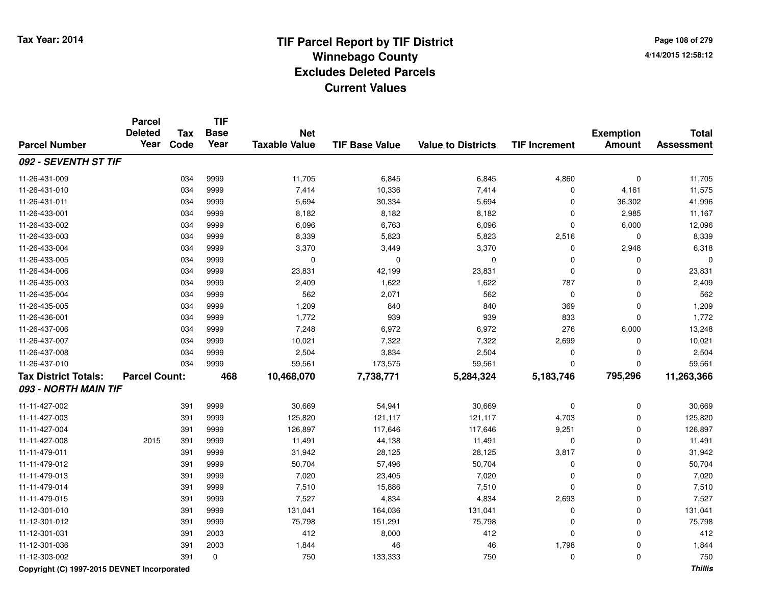**Page 108 of 2794/14/2015 12:58:12**

|                             | <b>Parcel</b><br><b>Deleted</b> | <b>Tax</b> | <b>TIF</b><br><b>Base</b> | <b>Net</b>           |                       |                           |                      | <b>Exemption</b> | <b>Total</b>      |
|-----------------------------|---------------------------------|------------|---------------------------|----------------------|-----------------------|---------------------------|----------------------|------------------|-------------------|
| <b>Parcel Number</b>        | Year                            | Code       | Year                      | <b>Taxable Value</b> | <b>TIF Base Value</b> | <b>Value to Districts</b> | <b>TIF Increment</b> | <b>Amount</b>    | <b>Assessment</b> |
| 092 - SEVENTH ST TIF        |                                 |            |                           |                      |                       |                           |                      |                  |                   |
| 11-26-431-009               |                                 | 034        | 9999                      | 11,705               | 6,845                 | 6,845                     | 4,860                | $\mathbf 0$      | 11,705            |
| 11-26-431-010               |                                 | 034        | 9999                      | 7,414                | 10,336                | 7,414                     | $\mathbf 0$          | 4,161            | 11,575            |
| 11-26-431-011               |                                 | 034        | 9999                      | 5,694                | 30,334                | 5,694                     | $\Omega$             | 36,302           | 41,996            |
| 11-26-433-001               |                                 | 034        | 9999                      | 8,182                | 8,182                 | 8,182                     | $\Omega$             | 2,985            | 11,167            |
| 11-26-433-002               |                                 | 034        | 9999                      | 6,096                | 6,763                 | 6,096                     | $\mathbf 0$          | 6,000            | 12,096            |
| 11-26-433-003               |                                 | 034        | 9999                      | 8,339                | 5,823                 | 5,823                     | 2,516                | 0                | 8,339             |
| 11-26-433-004               |                                 | 034        | 9999                      | 3,370                | 3,449                 | 3,370                     | 0                    | 2,948            | 6,318             |
| 11-26-433-005               |                                 | 034        | 9999                      | 0                    | 0                     | 0                         | 0                    | 0                | O                 |
| 11-26-434-006               |                                 | 034        | 9999                      | 23,831               | 42,199                | 23,831                    | $\mathbf 0$          | 0                | 23,831            |
| 11-26-435-003               |                                 | 034        | 9999                      | 2,409                | 1,622                 | 1,622                     | 787                  | $\mathbf 0$      | 2,409             |
| 11-26-435-004               |                                 | 034        | 9999                      | 562                  | 2,071                 | 562                       | $\mathbf 0$          | $\mathbf 0$      | 562               |
| 11-26-435-005               |                                 | 034        | 9999                      | 1,209                | 840                   | 840                       | 369                  | $\mathbf 0$      | 1,209             |
| 11-26-436-001               |                                 | 034        | 9999                      | 1,772                | 939                   | 939                       | 833                  | $\mathbf{0}$     | 1,772             |
| 11-26-437-006               |                                 | 034        | 9999                      | 7,248                | 6,972                 | 6,972                     | 276                  | 6,000            | 13,248            |
| 11-26-437-007               |                                 | 034        | 9999                      | 10,021               | 7,322                 | 7,322                     | 2,699                | $\mathbf 0$      | 10,021            |
| 11-26-437-008               |                                 | 034        | 9999                      | 2,504                | 3,834                 | 2,504                     | $\mathbf 0$          | $\mathbf{0}$     | 2,504             |
| 11-26-437-010               |                                 | 034        | 9999                      | 59,561               | 173,575               | 59,561                    | $\Omega$             | $\Omega$         | 59,561            |
| <b>Tax District Totals:</b> | <b>Parcel Count:</b>            |            | 468                       | 10,468,070           | 7,738,771             | 5,284,324                 | 5,183,746            | 795,296          | 11,263,366        |
| 093 - NORTH MAIN TIF        |                                 |            |                           |                      |                       |                           |                      |                  |                   |
| 11-11-427-002               |                                 | 391        | 9999                      | 30,669               | 54,941                | 30,669                    | $\mathbf 0$          | $\mathbf 0$      | 30,669            |
| 11-11-427-003               |                                 | 391        | 9999                      | 125,820              | 121,117               | 121,117                   | 4,703                | 0                | 125,820           |
| 11-11-427-004               |                                 | 391        | 9999                      | 126,897              | 117,646               | 117,646                   | 9,251                | $\mathbf{0}$     | 126,897           |
| 11-11-427-008               | 2015                            | 391        | 9999                      | 11,491               | 44,138                | 11,491                    | $\mathbf 0$          | $\Omega$         | 11,491            |
| 11-11-479-011               |                                 | 391        | 9999                      | 31,942               | 28,125                | 28,125                    | 3,817                | 0                | 31,942            |
| 11-11-479-012               |                                 | 391        | 9999                      | 50,704               | 57,496                | 50,704                    | 0                    | 0                | 50,704            |
| 11-11-479-013               |                                 | 391        | 9999                      | 7,020                | 23,405                | 7,020                     | 0                    | $\mathbf 0$      | 7,020             |
| 11-11-479-014               |                                 | 391        | 9999                      | 7,510                | 15,886                | 7,510                     | $\mathbf 0$          | $\mathbf 0$      | 7,510             |
| 11-11-479-015               |                                 | 391        | 9999                      | 7,527                | 4,834                 | 4,834                     | 2,693                | $\mathbf 0$      | 7,527             |
| 11-12-301-010               |                                 | 391        | 9999                      | 131,041              | 164,036               | 131,041                   | $\mathbf 0$          | $\mathbf 0$      | 131,041           |
| 11-12-301-012               |                                 | 391        | 9999                      | 75,798               | 151,291               | 75,798                    | $\mathbf 0$          | $\mathbf 0$      | 75,798            |
| 11-12-301-031               |                                 | 391        | 2003                      | 412                  | 8,000                 | 412                       | $\mathbf 0$          | $\mathbf{0}$     | 412               |
| 11-12-301-036               |                                 | 391        | 2003                      | 1,844                | 46                    | 46                        | 1,798                | $\mathbf 0$      | 1,844             |
| 11-12-303-002               |                                 | 391        | 0                         | 750                  | 133,333               | 750                       | $\Omega$             | $\mathbf{0}$     | 750               |

**Copyright (C) 1997-2015 DEVNET Incorporated**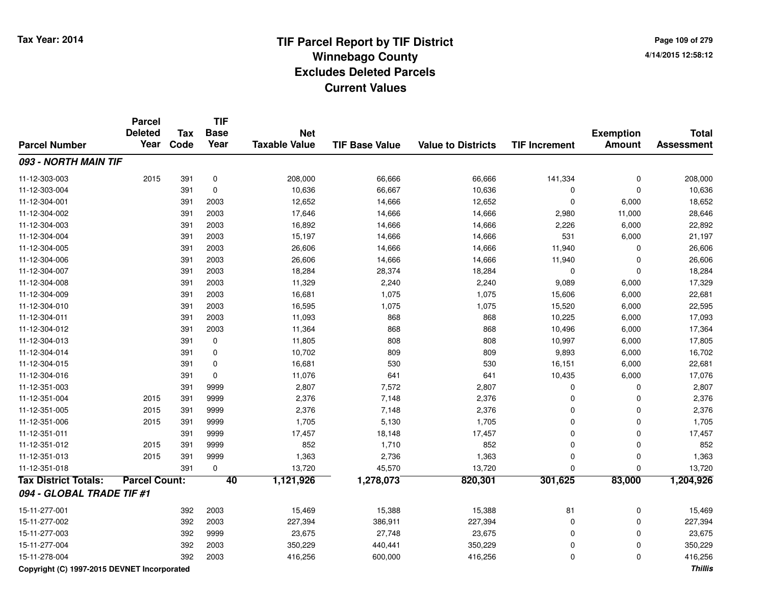**Page 109 of 2794/14/2015 12:58:12**

|                             | <b>Parcel</b><br><b>Deleted</b> | Tax  | <b>TIF</b><br><b>Base</b> | <b>Net</b>           |                       |                           |                      | <b>Exemption</b> | <b>Total</b>      |
|-----------------------------|---------------------------------|------|---------------------------|----------------------|-----------------------|---------------------------|----------------------|------------------|-------------------|
| <b>Parcel Number</b>        | Year                            | Code | Year                      | <b>Taxable Value</b> | <b>TIF Base Value</b> | <b>Value to Districts</b> | <b>TIF Increment</b> | <b>Amount</b>    | <b>Assessment</b> |
| 093 - NORTH MAIN TIF        |                                 |      |                           |                      |                       |                           |                      |                  |                   |
| 11-12-303-003               | 2015                            | 391  | 0                         | 208,000              | 66,666                | 66,666                    | 141,334              | $\mathbf 0$      | 208,000           |
| 11-12-303-004               |                                 | 391  | $\mathbf 0$               | 10,636               | 66,667                | 10,636                    | 0                    | $\mathbf 0$      | 10,636            |
| 11-12-304-001               |                                 | 391  | 2003                      | 12,652               | 14,666                | 12,652                    | $\mathbf 0$          | 6,000            | 18,652            |
| 11-12-304-002               |                                 | 391  | 2003                      | 17,646               | 14,666                | 14,666                    | 2,980                | 11,000           | 28,646            |
| 11-12-304-003               |                                 | 391  | 2003                      | 16,892               | 14,666                | 14,666                    | 2,226                | 6,000            | 22,892            |
| 11-12-304-004               |                                 | 391  | 2003                      | 15,197               | 14,666                | 14,666                    | 531                  | 6,000            | 21,197            |
| 11-12-304-005               |                                 | 391  | 2003                      | 26,606               | 14,666                | 14,666                    | 11,940               | $\mathbf 0$      | 26,606            |
| 11-12-304-006               |                                 | 391  | 2003                      | 26,606               | 14,666                | 14,666                    | 11,940               | $\mathbf 0$      | 26,606            |
| 11-12-304-007               |                                 | 391  | 2003                      | 18,284               | 28,374                | 18,284                    | $\mathbf 0$          | $\mathbf 0$      | 18,284            |
| 11-12-304-008               |                                 | 391  | 2003                      | 11,329               | 2,240                 | 2,240                     | 9,089                | 6,000            | 17,329            |
| 11-12-304-009               |                                 | 391  | 2003                      | 16,681               | 1,075                 | 1,075                     | 15,606               | 6,000            | 22,681            |
| 11-12-304-010               |                                 | 391  | 2003                      | 16,595               | 1,075                 | 1,075                     | 15,520               | 6,000            | 22,595            |
| 11-12-304-011               |                                 | 391  | 2003                      | 11,093               | 868                   | 868                       | 10,225               | 6,000            | 17,093            |
| 11-12-304-012               |                                 | 391  | 2003                      | 11,364               | 868                   | 868                       | 10,496               | 6,000            | 17,364            |
| 11-12-304-013               |                                 | 391  | $\mathbf 0$               | 11,805               | 808                   | 808                       | 10,997               | 6,000            | 17,805            |
| 11-12-304-014               |                                 | 391  | 0                         | 10,702               | 809                   | 809                       | 9,893                | 6,000            | 16,702            |
| 11-12-304-015               |                                 | 391  | $\mathbf 0$               | 16,681               | 530                   | 530                       | 16,151               | 6,000            | 22,681            |
| 11-12-304-016               |                                 | 391  | $\mathbf 0$               | 11,076               | 641                   | 641                       | 10,435               | 6,000            | 17,076            |
| 11-12-351-003               |                                 | 391  | 9999                      | 2,807                | 7,572                 | 2,807                     | $\Omega$             | $\mathbf 0$      | 2,807             |
| 11-12-351-004               | 2015                            | 391  | 9999                      | 2,376                | 7,148                 | 2,376                     | 0                    | $\mathbf 0$      | 2,376             |
| 11-12-351-005               | 2015                            | 391  | 9999                      | 2,376                | 7,148                 | 2,376                     | $\mathbf 0$          | $\mathbf 0$      | 2,376             |
| 11-12-351-006               | 2015                            | 391  | 9999                      | 1,705                | 5,130                 | 1,705                     | $\mathbf 0$          | $\mathbf 0$      | 1,705             |
| 11-12-351-011               |                                 | 391  | 9999                      | 17,457               | 18,148                | 17,457                    | $\mathbf 0$          | $\mathbf 0$      | 17,457            |
| 11-12-351-012               | 2015                            | 391  | 9999                      | 852                  | 1,710                 | 852                       | $\mathbf 0$          | $\mathbf 0$      | 852               |
| 11-12-351-013               | 2015                            | 391  | 9999                      | 1,363                | 2,736                 | 1,363                     | $\mathbf 0$          | $\mathbf 0$      | 1,363             |
| 11-12-351-018               |                                 | 391  | $\mathbf 0$               | 13,720               | 45,570                | 13,720                    | $\Omega$             | $\Omega$         | 13,720            |
| <b>Tax District Totals:</b> | <b>Parcel Count:</b>            |      | 40                        | 1,121,926            | 1,278,073             | 820,301                   | 301,625              | 83,000           | 1,204,926         |
| 094 - GLOBAL TRADE TIF #1   |                                 |      |                           |                      |                       |                           |                      |                  |                   |
| 15-11-277-001               |                                 | 392  | 2003                      | 15,469               | 15,388                | 15,388                    | 81                   | $\mathbf 0$      | 15,469            |
| 15-11-277-002               |                                 | 392  | 2003                      | 227,394              | 386,911               | 227,394                   | $\mathbf 0$          | $\mathbf 0$      | 227,394           |
| 15-11-277-003               |                                 | 392  | 9999                      | 23,675               | 27,748                | 23,675                    | $\mathbf 0$          | $\mathbf 0$      | 23,675            |
| 15-11-277-004               |                                 | 392  | 2003                      | 350,229              | 440,441               | 350,229                   | $\mathbf 0$          | $\mathbf 0$      | 350,229           |
| 15-11-278-004               |                                 | 392  | 2003                      | 416,256              | 600,000               | 416,256                   | $\Omega$             | $\mathbf 0$      | 416,256           |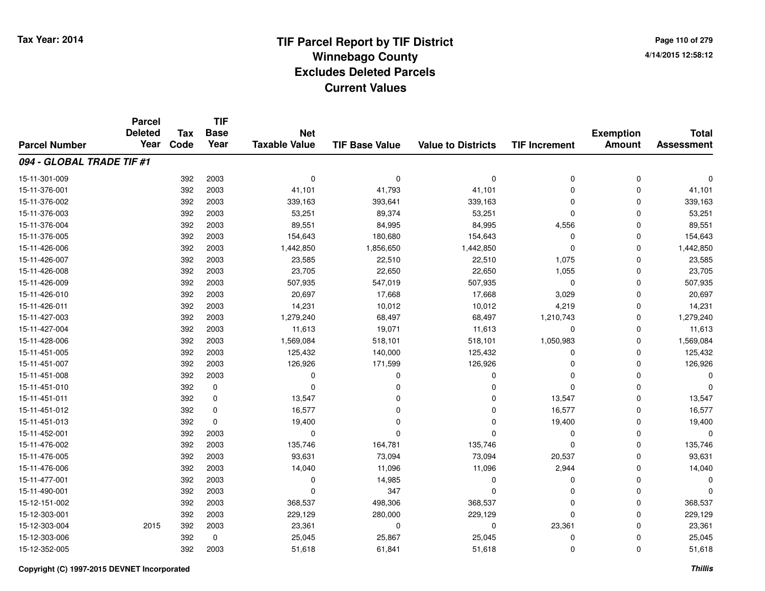**TIF**

**Parcel**

**Page 110 of 2794/14/2015 12:58:12**

| <b>Parcel Number</b>      | <b>Deleted</b><br>Year | <b>Tax</b><br>Code | <b>Base</b><br>Year | <b>Net</b><br><b>Taxable Value</b> | <b>TIF Base Value</b> | <b>Value to Districts</b> | <b>TIF Increment</b> | <b>Exemption</b><br><b>Amount</b> | <b>Total</b><br><b>Assessment</b> |
|---------------------------|------------------------|--------------------|---------------------|------------------------------------|-----------------------|---------------------------|----------------------|-----------------------------------|-----------------------------------|
| 094 - GLOBAL TRADE TIF #1 |                        |                    |                     |                                    |                       |                           |                      |                                   |                                   |
| 15-11-301-009             |                        | 392                | 2003                | $\Omega$                           | $\Omega$              | $\mathbf 0$               | 0                    | 0                                 | 0                                 |
| 15-11-376-001             |                        | 392                | 2003                | 41,101                             | 41,793                | 41,101                    | $\Omega$             | $\mathbf 0$                       | 41,101                            |
| 15-11-376-002             |                        | 392                | 2003                | 339,163                            | 393,641               | 339,163                   | $\Omega$             | $\Omega$                          | 339,163                           |
| 15-11-376-003             |                        | 392                | 2003                | 53,251                             | 89,374                | 53,251                    | 0                    | $\Omega$                          | 53,251                            |
| 15-11-376-004             |                        | 392                | 2003                | 89,551                             | 84,995                | 84,995                    | 4,556                | $\Omega$                          | 89,551                            |
| 15-11-376-005             |                        | 392                | 2003                | 154,643                            | 180,680               | 154,643                   | 0                    | $\Omega$                          | 154,643                           |
| 15-11-426-006             |                        | 392                | 2003                | 1,442,850                          | 1,856,650             | 1,442,850                 | $\Omega$             | $\mathbf 0$                       | 1,442,850                         |
| 15-11-426-007             |                        | 392                | 2003                | 23,585                             | 22,510                | 22,510                    | 1,075                | $\Omega$                          | 23,585                            |
| 15-11-426-008             |                        | 392                | 2003                | 23,705                             | 22,650                | 22,650                    | 1,055                | 0                                 | 23,705                            |
| 15-11-426-009             |                        | 392                | 2003                | 507,935                            | 547,019               | 507,935                   | $\mathbf 0$          | 0                                 | 507,935                           |
| 15-11-426-010             |                        | 392                | 2003                | 20,697                             | 17,668                | 17,668                    | 3,029                | 0                                 | 20,697                            |
| 15-11-426-011             |                        | 392                | 2003                | 14,231                             | 10,012                | 10,012                    | 4,219                | 0                                 | 14,231                            |
| 15-11-427-003             |                        | 392                | 2003                | 1,279,240                          | 68,497                | 68,497                    | 1,210,743            | 0                                 | 1,279,240                         |
| 15-11-427-004             |                        | 392                | 2003                | 11,613                             | 19,071                | 11,613                    | 0                    | 0                                 | 11,613                            |
| 15-11-428-006             |                        | 392                | 2003                | 1,569,084                          | 518,101               | 518,101                   | 1,050,983            | $\Omega$                          | 1,569,084                         |
| 15-11-451-005             |                        | 392                | 2003                | 125,432                            | 140,000               | 125,432                   | 0                    | $\Omega$                          | 125,432                           |
| 15-11-451-007             |                        | 392                | 2003                | 126,926                            | 171,599               | 126,926                   | 0                    | $\Omega$                          | 126,926                           |
| 15-11-451-008             |                        | 392                | 2003                | $\Omega$                           | O                     | $\Omega$                  | n                    | $\Omega$                          | $\Omega$                          |
| 15-11-451-010             |                        | 392                | 0                   | $\Omega$                           | O                     | $\Omega$                  | $\Omega$             | $\Omega$                          | $\Omega$                          |
| 15-11-451-011             |                        | 392                | 0                   | 13,547                             |                       | $\Omega$                  | 13,547               | $\Omega$                          | 13,547                            |
| 15-11-451-012             |                        | 392                | 0                   | 16,577                             | 0                     | $\Omega$                  | 16,577               | $\Omega$                          | 16,577                            |
| 15-11-451-013             |                        | 392                | 0                   | 19,400                             | 0                     | $\Omega$                  | 19,400               | $\Omega$                          | 19,400                            |
| 15-11-452-001             |                        | 392                | 2003                | 0                                  | O                     | $\Omega$                  | 0                    | 0                                 | <sup>0</sup>                      |
| 15-11-476-002             |                        | 392                | 2003                | 135,746                            | 164,781               | 135,746                   | 0                    | 0                                 | 135,746                           |
| 15-11-476-005             |                        | 392                | 2003                | 93,631                             | 73,094                | 73,094                    | 20,537               | $\Omega$                          | 93,631                            |
| 15-11-476-006             |                        | 392                | 2003                | 14,040                             | 11,096                | 11,096                    | 2,944                | $\Omega$                          | 14,040                            |
| 15-11-477-001             |                        | 392                | 2003                | $\Omega$                           | 14,985                | $\mathbf 0$               | 0                    | $\Omega$                          | <sup>0</sup>                      |
| 15-11-490-001             |                        | 392                | 2003                | $\Omega$                           | 347                   | $\Omega$                  | $\Omega$             | $\Omega$                          |                                   |
| 15-12-151-002             |                        | 392                | 2003                | 368,537                            | 498,306               | 368,537                   | 0                    | $\mathbf 0$                       | 368,537                           |
| 15-12-303-001             |                        | 392                | 2003                | 229,129                            | 280,000               | 229,129                   | $\Omega$             | 0                                 | 229,129                           |
| 15-12-303-004             | 2015                   | 392                | 2003                | 23,361                             | $\Omega$              | $\mathbf 0$               | 23,361               | $\Omega$                          | 23,361                            |
| 15-12-303-006             |                        | 392                | 0                   | 25,045                             | 25,867                | 25,045                    | 0                    | $\Omega$                          | 25,045                            |
| 15-12-352-005             |                        | 392                | 2003                | 51,618                             | 61,841                | 51,618                    | 0                    | 0                                 | 51,618                            |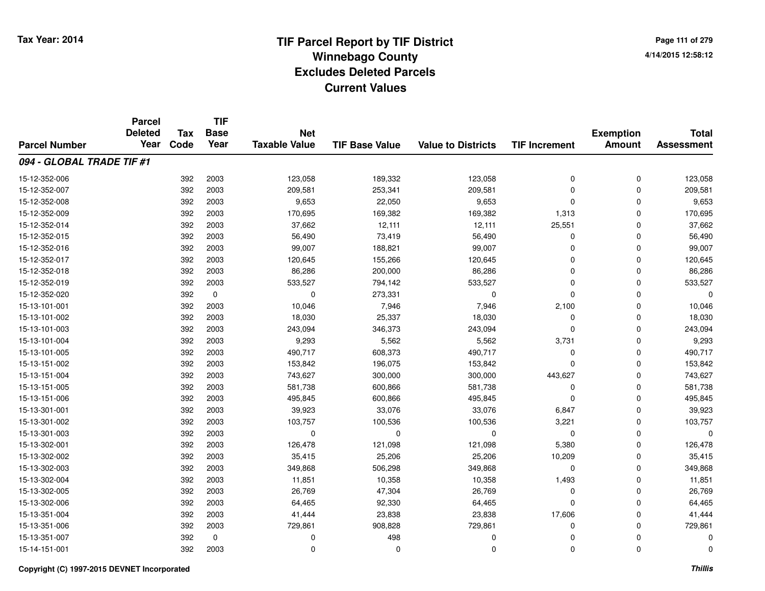**TIF**

**Parcel**

**Page 111 of 2794/14/2015 12:58:12**

| <b>Parcel Number</b>      | <b>Deleted</b><br>Year | <b>Tax</b><br>Code | <b>Base</b><br>Year | <b>Net</b><br><b>Taxable Value</b> | <b>TIF Base Value</b> | <b>Value to Districts</b> | <b>TIF Increment</b> | <b>Exemption</b><br><b>Amount</b> | <b>Total</b><br><b>Assessment</b> |
|---------------------------|------------------------|--------------------|---------------------|------------------------------------|-----------------------|---------------------------|----------------------|-----------------------------------|-----------------------------------|
| 094 - GLOBAL TRADE TIF #1 |                        |                    |                     |                                    |                       |                           |                      |                                   |                                   |
| 15-12-352-006             |                        | 392                | 2003                | 123,058                            | 189,332               | 123,058                   | $\mathbf 0$          | 0                                 | 123,058                           |
| 15-12-352-007             |                        | 392                | 2003                | 209,581                            | 253,341               | 209,581                   | $\mathbf 0$          | 0                                 | 209,581                           |
| 15-12-352-008             |                        | 392                | 2003                | 9,653                              | 22,050                | 9,653                     | $\mathbf 0$          | $\Omega$                          | 9,653                             |
| 15-12-352-009             |                        | 392                | 2003                | 170,695                            | 169,382               | 169,382                   | 1,313                | $\Omega$                          | 170,695                           |
| 15-12-352-014             |                        | 392                | 2003                | 37,662                             | 12,111                | 12,111                    | 25,551               | $\Omega$                          | 37,662                            |
| 15-12-352-015             |                        | 392                | 2003                | 56,490                             | 73,419                | 56,490                    | 0                    | $\Omega$                          | 56,490                            |
| 15-12-352-016             |                        | 392                | 2003                | 99,007                             | 188,821               | 99,007                    | 0                    | 0                                 | 99,007                            |
| 15-12-352-017             |                        | 392                | 2003                | 120,645                            | 155,266               | 120,645                   | U                    | 0                                 | 120,645                           |
| 15-12-352-018             |                        | 392                | 2003                | 86,286                             | 200,000               | 86,286                    | 0                    | 0                                 | 86,286                            |
| 15-12-352-019             |                        | 392                | 2003                | 533,527                            | 794,142               | 533,527                   | 0                    | 0                                 | 533,527                           |
| 15-12-352-020             |                        | 392                | 0                   | 0                                  | 273,331               | 0                         | $\Omega$             | 0                                 | O                                 |
| 15-13-101-001             |                        | 392                | 2003                | 10,046                             | 7,946                 | 7,946                     | 2,100                | 0                                 | 10,046                            |
| 15-13-101-002             |                        | 392                | 2003                | 18,030                             | 25,337                | 18,030                    | 0                    | 0                                 | 18,030                            |
| 15-13-101-003             |                        | 392                | 2003                | 243,094                            | 346,373               | 243,094                   | 0                    | 0                                 | 243,094                           |
| 15-13-101-004             |                        | 392                | 2003                | 9,293                              | 5,562                 | 5,562                     | 3,731                | 0                                 | 9,293                             |
| 15-13-101-005             |                        | 392                | 2003                | 490,717                            | 608,373               | 490,717                   | $\Omega$             | 0                                 | 490,717                           |
| 15-13-151-002             |                        | 392                | 2003                | 153,842                            | 196,075               | 153,842                   | 0                    | $\Omega$                          | 153,842                           |
| 15-13-151-004             |                        | 392                | 2003                | 743,627                            | 300,000               | 300,000                   | 443,627              | $\Omega$                          | 743,627                           |
| 15-13-151-005             |                        | 392                | 2003                | 581,738                            | 600,866               | 581,738                   | 0                    | 0                                 | 581,738                           |
| 15-13-151-006             |                        | 392                | 2003                | 495,845                            | 600,866               | 495,845                   | $\Omega$             | 0                                 | 495,845                           |
| 15-13-301-001             |                        | 392                | 2003                | 39,923                             | 33,076                | 33,076                    | 6,847                | 0                                 | 39,923                            |
| 15-13-301-002             |                        | 392                | 2003                | 103,757                            | 100,536               | 100,536                   | 3,221                | 0                                 | 103,757                           |
| 15-13-301-003             |                        | 392                | 2003                | 0                                  | $\Omega$              | 0                         | 0                    | 0                                 | $\Omega$                          |
| 15-13-302-001             |                        | 392                | 2003                | 126,478                            | 121,098               | 121,098                   | 5,380                | 0                                 | 126,478                           |
| 15-13-302-002             |                        | 392                | 2003                | 35,415                             | 25,206                | 25,206                    | 10,209               | 0                                 | 35,415                            |
| 15-13-302-003             |                        | 392                | 2003                | 349,868                            | 506,298               | 349,868                   | $\mathbf 0$          | 0                                 | 349,868                           |
| 15-13-302-004             |                        | 392                | 2003                | 11,851                             | 10,358                | 10,358                    | 1,493                | 0                                 | 11,851                            |
| 15-13-302-005             |                        | 392                | 2003                | 26,769                             | 47,304                | 26,769                    | 0                    | 0                                 | 26,769                            |
| 15-13-302-006             |                        | 392                | 2003                | 64,465                             | 92,330                | 64,465                    | $\mathbf 0$          | 0                                 | 64,465                            |
| 15-13-351-004             |                        | 392                | 2003                | 41,444                             | 23,838                | 23,838                    | 17,606               | $\Omega$                          | 41,444                            |
| 15-13-351-006             |                        | 392                | 2003                | 729,861                            | 908,828               | 729,861                   | 0                    | $\Omega$                          | 729,861                           |
| 15-13-351-007             |                        | 392                | 0                   | 0                                  | 498                   | 0                         | 0                    | $\Omega$                          | 0                                 |
| 15-14-151-001             |                        | 392                | 2003                | 0                                  | $\Omega$              | 0                         | 0                    | $\mathbf 0$                       | 0                                 |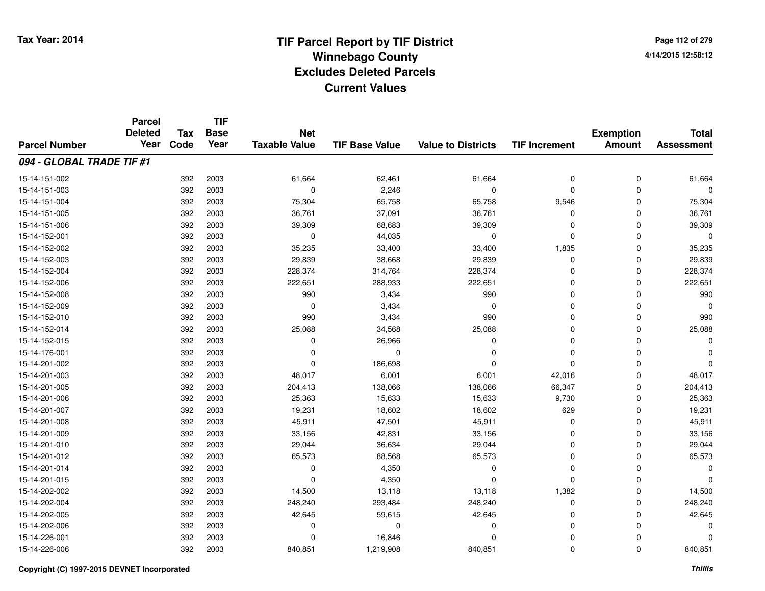**TIF**

**Parcel**

**Page 112 of 2794/14/2015 12:58:12**

|                           | aivu<br><b>Deleted</b> | Tax  | .<br><b>Base</b> | <b>Net</b>           |                       |                           |                      | <b>Exemption</b> | <b>Total</b>      |
|---------------------------|------------------------|------|------------------|----------------------|-----------------------|---------------------------|----------------------|------------------|-------------------|
| <b>Parcel Number</b>      | Year                   | Code | Year             | <b>Taxable Value</b> | <b>TIF Base Value</b> | <b>Value to Districts</b> | <b>TIF Increment</b> | <b>Amount</b>    | <b>Assessment</b> |
| 094 - GLOBAL TRADE TIF #1 |                        |      |                  |                      |                       |                           |                      |                  |                   |
| 15-14-151-002             |                        | 392  | 2003             | 61,664               | 62,461                | 61,664                    | 0                    | 0                | 61,664            |
| 15-14-151-003             |                        | 392  | 2003             | $\Omega$             | 2,246                 | $\mathbf 0$               | $\mathbf 0$          | 0                | n                 |
| 15-14-151-004             |                        | 392  | 2003             | 75,304               | 65,758                | 65,758                    | 9,546                | 0                | 75,304            |
| 15-14-151-005             |                        | 392  | 2003             | 36,761               | 37,091                | 36,761                    | 0                    | 0                | 36,761            |
| 15-14-151-006             |                        | 392  | 2003             | 39,309               | 68,683                | 39,309                    | 0                    | 0                | 39,309            |
| 15-14-152-001             |                        | 392  | 2003             | 0                    | 44,035                | 0                         | 0                    | 0                | $\Omega$          |
| 15-14-152-002             |                        | 392  | 2003             | 35,235               | 33,400                | 33,400                    | 1,835                | 0                | 35,235            |
| 15-14-152-003             |                        | 392  | 2003             | 29,839               | 38,668                | 29,839                    | 0                    | 0                | 29,839            |
| 15-14-152-004             |                        | 392  | 2003             | 228,374              | 314,764               | 228,374                   | 0                    | 0                | 228,374           |
| 15-14-152-006             |                        | 392  | 2003             | 222,651              | 288,933               | 222,651                   | 0                    | 0                | 222,651           |
| 15-14-152-008             |                        | 392  | 2003             | 990                  | 3,434                 | 990                       | 0                    | 0                | 990               |
| 15-14-152-009             |                        | 392  | 2003             | $\mathbf 0$          | 3,434                 | $\mathbf 0$               | 0                    | 0                | $\Omega$          |
| 15-14-152-010             |                        | 392  | 2003             | 990                  | 3,434                 | 990                       | 0                    | 0                | 990               |
| 15-14-152-014             |                        | 392  | 2003             | 25,088               | 34,568                | 25,088                    | 0                    | 0                | 25,088            |
| 15-14-152-015             |                        | 392  | 2003             | $\Omega$             | 26,966                | $\Omega$                  | 0                    | 0                | $\Omega$          |
| 15-14-176-001             |                        | 392  | 2003             | $\Omega$             | $\Omega$              | $\Omega$                  | 0                    | 0                | $\Omega$          |
| 15-14-201-002             |                        | 392  | 2003             | $\Omega$             | 186,698               | $\Omega$                  | $\mathbf 0$          | 0                | $\Omega$          |
| 15-14-201-003             |                        | 392  | 2003             | 48,017               | 6,001                 | 6,001                     | 42,016               | 0                | 48,017            |
| 15-14-201-005             |                        | 392  | 2003             | 204,413              | 138,066               | 138,066                   | 66,347               | 0                | 204,413           |
| 15-14-201-006             |                        | 392  | 2003             | 25,363               | 15,633                | 15,633                    | 9,730                | 0                | 25,363            |
| 15-14-201-007             |                        | 392  | 2003             | 19,231               | 18,602                | 18,602                    | 629                  | 0                | 19,231            |
| 15-14-201-008             |                        | 392  | 2003             | 45,911               | 47,501                | 45,911                    | $\mathbf 0$          | 0                | 45,911            |
| 15-14-201-009             |                        | 392  | 2003             | 33,156               | 42,831                | 33,156                    | 0                    | 0                | 33,156            |
| 15-14-201-010             |                        | 392  | 2003             | 29,044               | 36,634                | 29,044                    | 0                    | 0                | 29,044            |
| 15-14-201-012             |                        | 392  | 2003             | 65,573               | 88,568                | 65,573                    | 0                    | 0                | 65,573            |
| 15-14-201-014             |                        | 392  | 2003             | 0                    | 4,350                 | 0                         | 0                    | 0                | $\Omega$          |
| 15-14-201-015             |                        | 392  | 2003             | $\Omega$             | 4,350                 | $\mathbf 0$               | $\mathbf 0$          | 0                | $\Omega$          |
| 15-14-202-002             |                        | 392  | 2003             | 14,500               | 13,118                | 13,118                    | 1,382                | 0                | 14,500            |
| 15-14-202-004             |                        | 392  | 2003             | 248,240              | 293,484               | 248,240                   | 0                    | 0                | 248,240           |
| 15-14-202-005             |                        | 392  | 2003             | 42,645               | 59,615                | 42,645                    | 0                    | 0                | 42,645            |
| 15-14-202-006             |                        | 392  | 2003             | 0                    | $\Omega$              | 0                         | 0                    | 0                | $\Omega$          |
| 15-14-226-001             |                        | 392  | 2003             | 0                    | 16,846                | $\Omega$                  | 0                    | 0                | 0                 |
| 15-14-226-006             |                        | 392  | 2003             | 840,851              | 1,219,908             | 840,851                   | 0                    | 0                | 840,851           |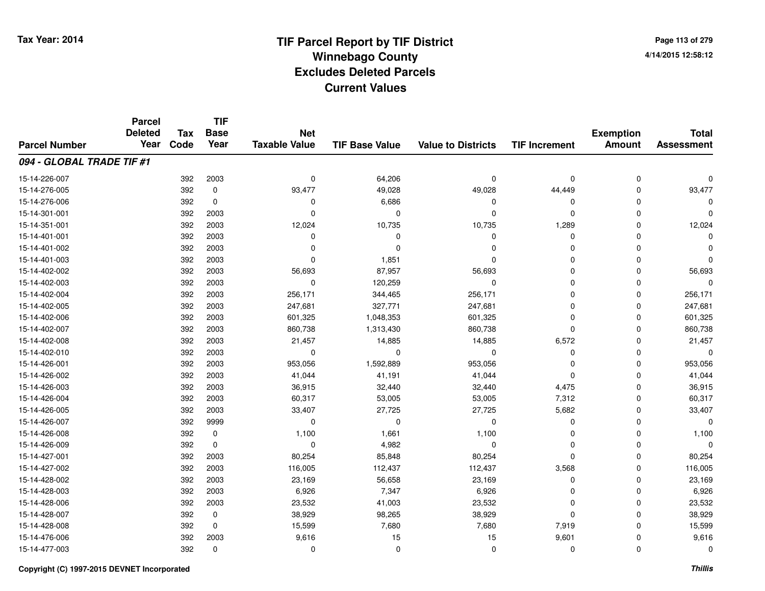**TIF**

**Parcel**

**Page 113 of 2794/14/2015 12:58:12**

| <b>Parcel Number</b>      | <b>Deleted</b><br>Year | <b>Tax</b><br>Code | <b>Base</b><br>Year | <b>Net</b><br><b>Taxable Value</b> | <b>TIF Base Value</b> | <b>Value to Districts</b> | <b>TIF Increment</b> | <b>Exemption</b><br><b>Amount</b> | <b>Total</b><br><b>Assessment</b> |
|---------------------------|------------------------|--------------------|---------------------|------------------------------------|-----------------------|---------------------------|----------------------|-----------------------------------|-----------------------------------|
| 094 - GLOBAL TRADE TIF #1 |                        |                    |                     |                                    |                       |                           |                      |                                   |                                   |
| 15-14-226-007             |                        | 392                | 2003                | $\mathbf 0$                        | 64,206                | $\mathbf 0$               | 0                    | $\mathbf 0$                       |                                   |
| 15-14-276-005             |                        | 392                | 0                   | 93,477                             | 49,028                | 49,028                    | 44,449               | $\mathbf 0$                       | 93,477                            |
| 15-14-276-006             |                        | 392                | 0                   | 0                                  | 6,686                 | $\Omega$                  | 0                    | $\Omega$                          |                                   |
| 15-14-301-001             |                        | 392                | 2003                | $\Omega$                           | $\Omega$              | $\Omega$                  | $\mathbf 0$          | $\Omega$                          | 0                                 |
| 15-14-351-001             |                        | 392                | 2003                | 12,024                             | 10,735                | 10,735                    | 1,289                | $\Omega$                          | 12,024                            |
| 15-14-401-001             |                        | 392                | 2003                | 0                                  | $\Omega$              | $\Omega$                  | $\mathbf 0$          | $\Omega$                          | O                                 |
| 15-14-401-002             |                        | 392                | 2003                | $\Omega$                           | $\Omega$              | $\Omega$                  | $\Omega$             | $\Omega$                          |                                   |
| 15-14-401-003             |                        | 392                | 2003                | $\Omega$                           | 1,851                 | $\Omega$                  | 0                    | $\Omega$                          | 0                                 |
| 15-14-402-002             |                        | 392                | 2003                | 56,693                             | 87,957                | 56,693                    | 0                    | $\Omega$                          | 56,693                            |
| 15-14-402-003             |                        | 392                | 2003                | 0                                  | 120,259               | 0                         | 0                    | $\Omega$                          | $\Omega$                          |
| 15-14-402-004             |                        | 392                | 2003                | 256,171                            | 344,465               | 256,171                   | 0                    | $\Omega$                          | 256,171                           |
| 15-14-402-005             |                        | 392                | 2003                | 247,681                            | 327,771               | 247,681                   | $\Omega$             | $\Omega$                          | 247,681                           |
| 15-14-402-006             |                        | 392                | 2003                | 601,325                            | 1,048,353             | 601,325                   | $\Omega$             | $\Omega$                          | 601,325                           |
| 15-14-402-007             |                        | 392                | 2003                | 860,738                            | 1,313,430             | 860,738                   | $\mathbf 0$          | 0                                 | 860,738                           |
| 15-14-402-008             |                        | 392                | 2003                | 21,457                             | 14,885                | 14,885                    | 6,572                | 0                                 | 21,457                            |
| 15-14-402-010             |                        | 392                | 2003                | 0                                  | $\Omega$              | 0                         | 0                    | 0                                 | $\Omega$                          |
| 15-14-426-001             |                        | 392                | 2003                | 953,056                            | 1,592,889             | 953,056                   | 0                    | 0                                 | 953,056                           |
| 15-14-426-002             |                        | 392                | 2003                | 41,044                             | 41,191                | 41,044                    | 0                    | 0                                 | 41,044                            |
| 15-14-426-003             |                        | 392                | 2003                | 36,915                             | 32,440                | 32,440                    | 4,475                | $\Omega$                          | 36,915                            |
| 15-14-426-004             |                        | 392                | 2003                | 60,317                             | 53,005                | 53,005                    | 7,312                | $\Omega$                          | 60,317                            |
| 15-14-426-005             |                        | 392                | 2003                | 33,407                             | 27,725                | 27,725                    | 5,682                | 0                                 | 33,407                            |
| 15-14-426-007             |                        | 392                | 9999                | 0                                  | $\Omega$              | 0                         | 0                    | 0                                 | $\Omega$                          |
| 15-14-426-008             |                        | 392                | 0                   | 1,100                              | 1,661                 | 1,100                     | 0                    | $\Omega$                          | 1,100                             |
| 15-14-426-009             |                        | 392                | $\mathbf 0$         | 0                                  | 4,982                 | 0                         | 0                    | $\Omega$                          | $\Omega$                          |
| 15-14-427-001             |                        | 392                | 2003                | 80,254                             | 85,848                | 80,254                    | $\mathbf 0$          | 0                                 | 80,254                            |
| 15-14-427-002             |                        | 392                | 2003                | 116,005                            | 112,437               | 112,437                   | 3,568                | $\Omega$                          | 116,005                           |
| 15-14-428-002             |                        | 392                | 2003                | 23,169                             | 56,658                | 23,169                    | $\mathbf 0$          | $\mathbf 0$                       | 23,169                            |
| 15-14-428-003             |                        | 392                | 2003                | 6,926                              | 7,347                 | 6,926                     | $\Omega$             | $\mathbf 0$                       | 6,926                             |
| 15-14-428-006             |                        | 392                | 2003                | 23,532                             | 41,003                | 23,532                    | $\Omega$             | $\mathbf 0$                       | 23,532                            |
| 15-14-428-007             |                        | 392                | 0                   | 38,929                             | 98,265                | 38,929                    | $\mathbf 0$          | $\Omega$                          | 38,929                            |
| 15-14-428-008             |                        | 392                | 0                   | 15,599                             | 7,680                 | 7,680                     | 7,919                | $\Omega$                          | 15,599                            |
| 15-14-476-006             |                        | 392                | 2003                | 9,616                              | 15                    | 15                        | 9,601                | $\Omega$                          | 9,616                             |
| 15-14-477-003             |                        | 392                | 0                   | 0                                  | 0                     | 0                         | 0                    | 0                                 | 0                                 |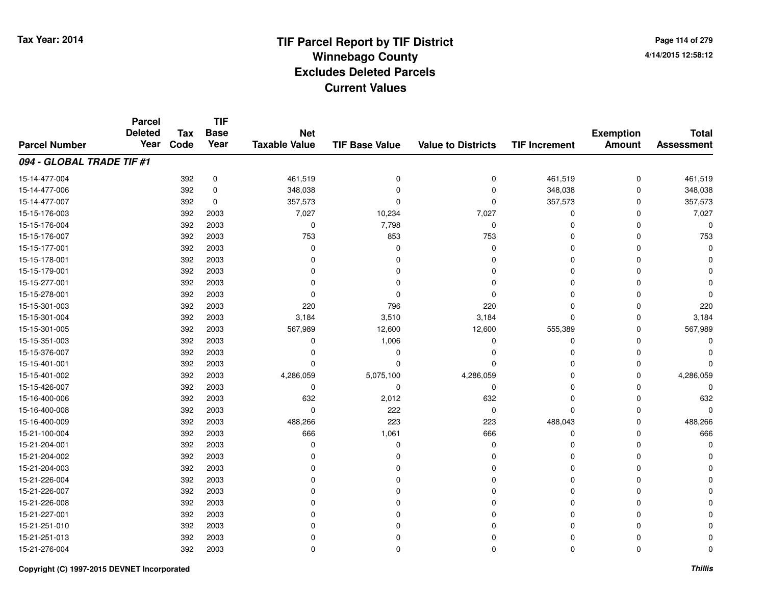**Page 114 of 2794/14/2015 12:58:12**

|                           | <b>Parcel</b><br><b>Deleted</b> | <b>Tax</b> | <b>TIF</b><br><b>Base</b> | <b>Net</b>           |                       |                           |                      | <b>Exemption</b> | <b>Total</b>      |
|---------------------------|---------------------------------|------------|---------------------------|----------------------|-----------------------|---------------------------|----------------------|------------------|-------------------|
| <b>Parcel Number</b>      | Year                            | Code       | Year                      | <b>Taxable Value</b> | <b>TIF Base Value</b> | <b>Value to Districts</b> | <b>TIF Increment</b> | <b>Amount</b>    | <b>Assessment</b> |
| 094 - GLOBAL TRADE TIF #1 |                                 |            |                           |                      |                       |                           |                      |                  |                   |
| 15-14-477-004             |                                 | 392        | $\pmb{0}$                 | 461,519              | $\mathbf 0$           | $\mathbf 0$               | 461,519              | $\mathbf 0$      | 461,519           |
| 15-14-477-006             |                                 | 392        | 0                         | 348,038              | 0                     | $\Omega$                  | 348,038              | $\Omega$         | 348,038           |
| 15-14-477-007             |                                 | 392        | 0                         | 357,573              | $\Omega$              | $\Omega$                  | 357,573              | $\Omega$         | 357,573           |
| 15-15-176-003             |                                 | 392        | 2003                      | 7,027                | 10,234                | 7,027                     | 0                    | 0                | 7,027             |
| 15-15-176-004             |                                 | 392        | 2003                      | 0                    | 7,798                 | $\mathbf 0$               | $\Omega$             | O                | O                 |
| 15-15-176-007             |                                 | 392        | 2003                      | 753                  | 853                   | 753                       | 0                    | $\Omega$         | 753               |
| 15-15-177-001             |                                 | 392        | 2003                      | $\Omega$             | $\Omega$              | $\mathbf 0$               | $\Omega$             | O                |                   |
| 15-15-178-001             |                                 | 392        | 2003                      | $\Omega$             | 0                     | 0                         | 0                    | n                |                   |
| 15-15-179-001             |                                 | 392        | 2003                      | ŋ                    |                       | $\Omega$                  | $\Omega$             |                  |                   |
| 15-15-277-001             |                                 | 392        | 2003                      | ŋ                    |                       | $\Omega$                  | $\Omega$             |                  |                   |
| 15-15-278-001             |                                 | 392        | 2003                      | O                    |                       | $\Omega$                  | $\Omega$             |                  |                   |
| 15-15-301-003             |                                 | 392        | 2003                      | 220                  | 796                   | 220                       | $\Omega$             | $\Omega$         | 220               |
| 15-15-301-004             |                                 | 392        | 2003                      | 3,184                | 3,510                 | 3,184                     | $\mathbf 0$          | $\Omega$         | 3,184             |
| 15-15-301-005             |                                 | 392        | 2003                      | 567,989              | 12,600                | 12,600                    | 555,389              | $\Omega$         | 567,989           |
| 15-15-351-003             |                                 | 392        | 2003                      | 0                    | 1,006                 | 0                         | 0                    | n                |                   |
| 15-15-376-007             |                                 | 392        | 2003                      | 0                    | 0                     | 0                         | 0                    | n                |                   |
| 15-15-401-001             |                                 | 392        | 2003                      | 0                    | $\Omega$              | $\Omega$                  | 0                    | n                |                   |
| 15-15-401-002             |                                 | 392        | 2003                      | 4,286,059            | 5,075,100             | 4,286,059                 | 0                    | <sup>0</sup>     | 4,286,059         |
| 15-15-426-007             |                                 | 392        | 2003                      | $\mathbf 0$          | 0                     | 0                         | 0                    | n                | n                 |
| 15-16-400-006             |                                 | 392        | 2003                      | 632                  | 2,012                 | 632                       | 0                    | 0                | 632               |
| 15-16-400-008             |                                 | 392        | 2003                      | $\mathbf 0$          | 222                   | 0                         | $\mathbf 0$          | 0                | n                 |
| 15-16-400-009             |                                 | 392        | 2003                      | 488,266              | 223                   | 223                       | 488,043              | 0                | 488,266           |
| 15-21-100-004             |                                 | 392        | 2003                      | 666                  | 1,061                 | 666                       | $\mathbf 0$          | 0                | 666               |
| 15-21-204-001             |                                 | 392        | 2003                      | 0                    | $\Omega$              | 0                         | 0                    | O                |                   |
| 15-21-204-002             |                                 | 392        | 2003                      | $\Omega$             | $\Omega$              | $\Omega$                  | $\Omega$             | 0                |                   |
| 15-21-204-003             |                                 | 392        | 2003                      | 0                    |                       | $\Omega$                  | 0                    | 0                |                   |
| 15-21-226-004             |                                 | 392        | 2003                      | 0                    |                       | $\Omega$                  | $\Omega$             |                  |                   |
| 15-21-226-007             |                                 | 392        | 2003                      | 0                    |                       | $\Omega$                  | $\Omega$             |                  |                   |
| 15-21-226-008             |                                 | 392        | 2003                      | 0                    | U                     | $\Omega$                  | $\Omega$             |                  |                   |
| 15-21-227-001             |                                 | 392        | 2003                      | 0                    | 0                     | 0                         | 0                    |                  |                   |
| 15-21-251-010             |                                 | 392        | 2003                      | 0                    | U                     | $\Omega$                  | 0                    |                  |                   |
| 15-21-251-013             |                                 | 392        | 2003                      | 0                    | U                     | 0                         | 0                    |                  |                   |
| 15-21-276-004             |                                 | 392        | 2003                      | $\Omega$             | $\Omega$              | $\Omega$                  | $\mathbf 0$          | $\mathbf 0$      |                   |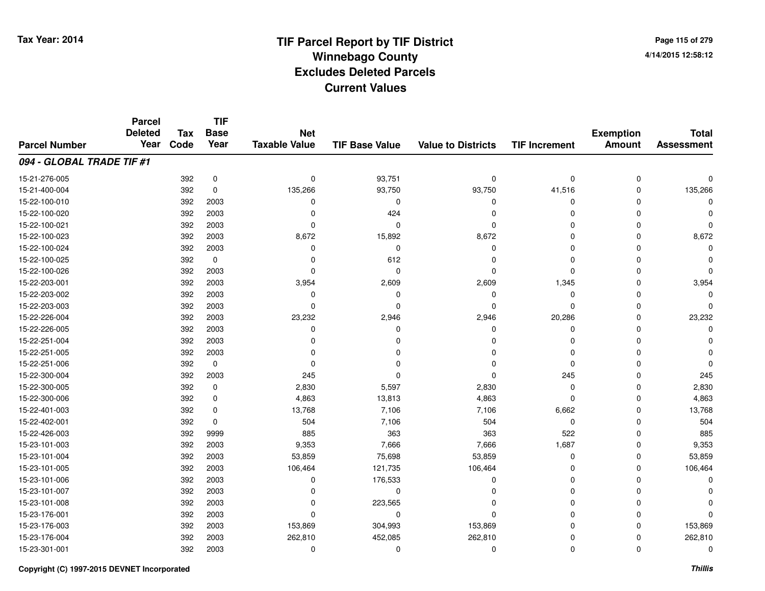**Page 115 of 2794/14/2015 12:58:12**

#### **TIF Base ValueParcel NumberTotal AssessmentExemption Amount Value to Districts TIF IncrementTIF Base YearTax CodeParcel Deleted YearNet Taxable Value094 - GLOBAL TRADE TIF #1**15-21-276-0055 392 0 0 93,751 0 0 15-21-400-004 <sup>392</sup> 135,266 <sup>0</sup> 93,750 93,750 41,516 <sup>0</sup> 135,266 15-22-100-010 <sup>392</sup> <sup>0</sup> <sup>2003</sup> <sup>0</sup> <sup>0</sup> <sup>0</sup> <sup>0</sup> <sup>0</sup> 15-22-100-020 <sup>392</sup> <sup>0</sup> <sup>2003</sup> <sup>424</sup> <sup>0</sup> <sup>0</sup> <sup>0</sup> <sup>0</sup> 15-22-100-021 <sup>392</sup> <sup>0</sup> <sup>2003</sup> <sup>0</sup> <sup>0</sup> <sup>0</sup> <sup>0</sup> <sup>0</sup> 15-22-100-023 <sup>392</sup> 8,672 <sup>2003</sup> 15,892 8,672 <sup>0</sup> <sup>0</sup> 8,672 15-22-100-024 <sup>392</sup> <sup>0</sup> <sup>2003</sup> <sup>0</sup> <sup>0</sup> <sup>0</sup> <sup>0</sup> <sup>0</sup> 15-22-100-025 <sup>392</sup> <sup>0</sup> <sup>0</sup> <sup>612</sup> <sup>0</sup> <sup>0</sup> <sup>0</sup> <sup>0</sup> 15-22-100-026 <sup>392</sup> <sup>0</sup> <sup>2003</sup> <sup>0</sup> <sup>0</sup> <sup>0</sup> <sup>0</sup> <sup>0</sup> 15-22-203-0011 392 2003 3,954 2,609 2,609 1,345 0 3,954 15-22-203-002 <sup>392</sup> <sup>0</sup> <sup>2003</sup> <sup>0</sup> <sup>0</sup> <sup>0</sup> <sup>0</sup> <sup>0</sup> 15-22-203-003 <sup>392</sup> <sup>0</sup> <sup>2003</sup> <sup>0</sup> <sup>0</sup> <sup>0</sup> <sup>0</sup> <sup>0</sup> 15-22-226-004 <sup>392</sup> 23,232 <sup>2003</sup> 2,946 2,946 20,286 <sup>0</sup> 23,232 15-22-226-005 <sup>392</sup> <sup>0</sup> <sup>2003</sup> <sup>0</sup> <sup>0</sup> <sup>0</sup> <sup>0</sup> <sup>0</sup> 15-22-251-004 <sup>392</sup> <sup>0</sup> <sup>2003</sup> <sup>0</sup> <sup>0</sup> <sup>0</sup> <sup>0</sup> <sup>0</sup> 15-22-251-005 <sup>392</sup> <sup>0</sup> <sup>2003</sup> <sup>0</sup> <sup>0</sup> <sup>0</sup> <sup>0</sup> <sup>0</sup> 15-22-251-006 <sup>392</sup> <sup>0</sup> <sup>0</sup> <sup>0</sup> <sup>0</sup> <sup>0</sup> <sup>0</sup> <sup>0</sup> 15-22-300-0044 2392 2003 245 0 2009 245 2009 245 0 245 245 245 245 15-22-300-005 <sup>392</sup> 2,830 <sup>0</sup> 5,597 2,830 <sup>0</sup> <sup>0</sup> 2,830 15-22-300-0066 392 0 4,863 13,813 4,863 0 0 4,863 15-22-401-003 <sup>392</sup> 13,768 <sup>0</sup> 7,106 7,106 6,662 <sup>0</sup> 13,768 15-22-402-0011 392 0 504 7,106 504 0 0 504 15-22-426-003 <sup>392</sup> <sup>885</sup> <sup>9999</sup> <sup>363</sup> <sup>363</sup> <sup>522</sup> <sup>0</sup> <sup>885</sup> 15-23-101-003 <sup>392</sup> 9,353 <sup>2003</sup> 7,666 7,666 1,687 <sup>0</sup> 9,353 15-23-101-004 <sup>392</sup> 53,859 <sup>2003</sup> 75,698 53,859 <sup>0</sup> <sup>0</sup> 53,859 15-23-101-005 <sup>392</sup> 106,464 <sup>2003</sup> 121,735 106,464 <sup>0</sup> <sup>0</sup> 106,464 15-23-101-006 <sup>392</sup> <sup>0</sup> <sup>2003</sup> 176,533 <sup>0</sup> <sup>0</sup> <sup>0</sup> <sup>0</sup> 15-23-101-007 <sup>392</sup> <sup>0</sup> <sup>2003</sup> <sup>0</sup> <sup>0</sup> <sup>0</sup> <sup>0</sup> <sup>0</sup> 15-23-101-0088 392 2003 0 223,565 0 0 0 0 15-23-176-001 <sup>392</sup> <sup>0</sup> <sup>2003</sup> <sup>0</sup> <sup>0</sup> <sup>0</sup> <sup>0</sup> <sup>0</sup> 15-23-176-003 <sup>392</sup> 153,869 <sup>2003</sup> 304,993 153,869 <sup>0</sup> <sup>0</sup> 153,869 15-23-176-004 <sup>392</sup> 262,810 <sup>2003</sup> 452,085 262,810 <sup>0</sup> <sup>0</sup> 262,810 15-23-301-001<sup>392</sup> <sup>0</sup> <sup>2003</sup> <sup>0</sup> <sup>0</sup> <sup>0</sup> <sup>0</sup> <sup>0</sup>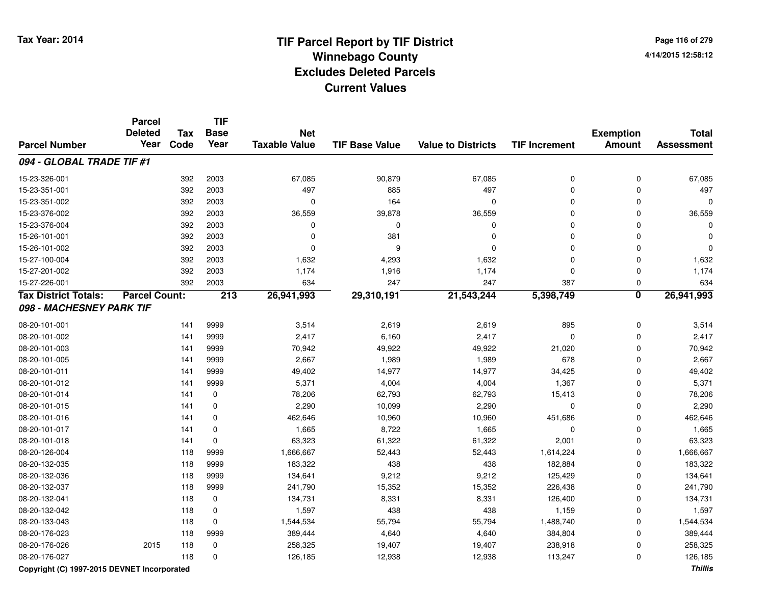# **TIF Parcel Report by TIF District Tax Year: 2014 Winnebago County04/14/2015 12:58:12** PM **Excludes Deleted ParcelsCurrent Values**

**Page 116 of 2794/14/2015 12:58:12**

|                             | <b>Parcel</b><br><b>Deleted</b> | Tax  | <b>TIF</b><br><b>Base</b> | <b>Net</b>           |                       |                           |                      | <b>Exemption</b>        | <b>Total</b>      |
|-----------------------------|---------------------------------|------|---------------------------|----------------------|-----------------------|---------------------------|----------------------|-------------------------|-------------------|
| <b>Parcel Number</b>        | Year                            | Code | Year                      | <b>Taxable Value</b> | <b>TIF Base Value</b> | <b>Value to Districts</b> | <b>TIF Increment</b> | <b>Amount</b>           | <b>Assessment</b> |
| 094 - GLOBAL TRADE TIF #1   |                                 |      |                           |                      |                       |                           |                      |                         |                   |
| 15-23-326-001               |                                 | 392  | 2003                      | 67,085               | 90,879                | 67,085                    | $\mathbf 0$          | $\mathbf 0$             | 67,085            |
| 15-23-351-001               |                                 | 392  | 2003                      | 497                  | 885                   | 497                       | $\mathbf 0$          | $\Omega$                | 497               |
| 15-23-351-002               |                                 | 392  | 2003                      | $\mathbf 0$          | 164                   | $\Omega$                  | 0                    | 0                       | O                 |
| 15-23-376-002               |                                 | 392  | 2003                      | 36,559               | 39,878                | 36,559                    | $\mathbf 0$          | 0                       | 36,559            |
| 15-23-376-004               |                                 | 392  | 2003                      | $\mathbf 0$          | $\Omega$              | $\mathbf 0$               | $\Omega$             | $\mathbf 0$             |                   |
| 15-26-101-001               |                                 | 392  | 2003                      | $\Omega$             | 381                   | $\mathbf 0$               | $\Omega$             | $\mathbf 0$             |                   |
| 15-26-101-002               |                                 | 392  | 2003                      | $\Omega$             | 9                     | $\mathbf 0$               | $\Omega$             | $\mathbf 0$             |                   |
| 15-27-100-004               |                                 | 392  | 2003                      | 1,632                | 4,293                 | 1,632                     | $\mathbf 0$          | $\mathbf 0$             | 1,632             |
| 15-27-201-002               |                                 | 392  | 2003                      | 1,174                | 1,916                 | 1,174                     | $\mathbf 0$          | $\mathbf 0$             | 1,174             |
| 15-27-226-001               |                                 | 392  | 2003                      | 634                  | 247                   | 247                       | 387                  | $\mathbf 0$             | 634               |
| <b>Tax District Totals:</b> | <b>Parcel Count:</b>            |      | 213                       | 26,941,993           | 29,310,191            | 21,543,244                | 5,398,749            | $\overline{\mathbf{0}}$ | 26,941,993        |
| 098 - MACHESNEY PARK TIF    |                                 |      |                           |                      |                       |                           |                      |                         |                   |
| 08-20-101-001               |                                 | 141  | 9999                      | 3,514                | 2,619                 | 2,619                     | 895                  | $\pmb{0}$               | 3,514             |
| 08-20-101-002               |                                 | 141  | 9999                      | 2,417                | 6,160                 | 2,417                     | $\mathbf 0$          | $\mathbf 0$             | 2,417             |
| 08-20-101-003               |                                 | 141  | 9999                      | 70,942               | 49,922                | 49,922                    | 21,020               | $\mathbf 0$             | 70,942            |
| 08-20-101-005               |                                 | 141  | 9999                      | 2,667                | 1,989                 | 1,989                     | 678                  | $\mathbf{0}$            | 2,667             |
| 08-20-101-011               |                                 | 141  | 9999                      | 49,402               | 14,977                | 14,977                    | 34,425               | $\mathbf{0}$            | 49,402            |
| 08-20-101-012               |                                 | 141  | 9999                      | 5,371                | 4,004                 | 4,004                     | 1,367                | $\Omega$                | 5,371             |
| 08-20-101-014               |                                 | 141  | $\mathbf 0$               | 78,206               | 62,793                | 62,793                    | 15,413               | $\Omega$                | 78,206            |
| 08-20-101-015               |                                 | 141  | $\mathbf 0$               | 2,290                | 10,099                | 2,290                     | $\mathbf 0$          | $\mathbf{0}$            | 2,290             |
| 08-20-101-016               |                                 | 141  | $\mathbf 0$               | 462,646              | 10,960                | 10,960                    | 451,686              | $\mathbf{0}$            | 462,646           |
| 08-20-101-017               |                                 | 141  | $\mathbf 0$               | 1,665                | 8,722                 | 1,665                     | $\mathbf 0$          | $\Omega$                | 1,665             |
| 08-20-101-018               |                                 | 141  | $\mathbf 0$               | 63,323               | 61,322                | 61,322                    | 2,001                | 0                       | 63,323            |
| 08-20-126-004               |                                 | 118  | 9999                      | 1,666,667            | 52,443                | 52,443                    | 1,614,224            | 0                       | 1,666,667         |
| 08-20-132-035               |                                 | 118  | 9999                      | 183,322              | 438                   | 438                       | 182,884              | 0                       | 183,322           |
| 08-20-132-036               |                                 | 118  | 9999                      | 134,641              | 9,212                 | 9,212                     | 125,429              | 0                       | 134,641           |
| 08-20-132-037               |                                 | 118  | 9999                      | 241,790              | 15,352                | 15,352                    | 226,438              | 0                       | 241,790           |
| 08-20-132-041               |                                 | 118  | 0                         | 134,731              | 8,331                 | 8,331                     | 126,400              | 0                       | 134,731           |
| 08-20-132-042               |                                 | 118  | $\mathbf 0$               | 1,597                | 438                   | 438                       | 1,159                | $\mathbf 0$             | 1,597             |
| 08-20-133-043               |                                 | 118  | $\mathbf 0$               | 1,544,534            | 55,794                | 55,794                    | 1,488,740            | $\mathbf{0}$            | 1,544,534         |
| 08-20-176-023               |                                 | 118  | 9999                      | 389,444              | 4,640                 | 4,640                     | 384,804              | 0                       | 389,444           |
| 08-20-176-026               | 2015                            | 118  | 0                         | 258,325              | 19,407                | 19,407                    | 238,918              | 0                       | 258,325           |
| 08-20-176-027               |                                 | 118  | 0                         | 126,185              | 12,938                | 12,938                    | 113,247              | $\mathbf 0$             | 126,185           |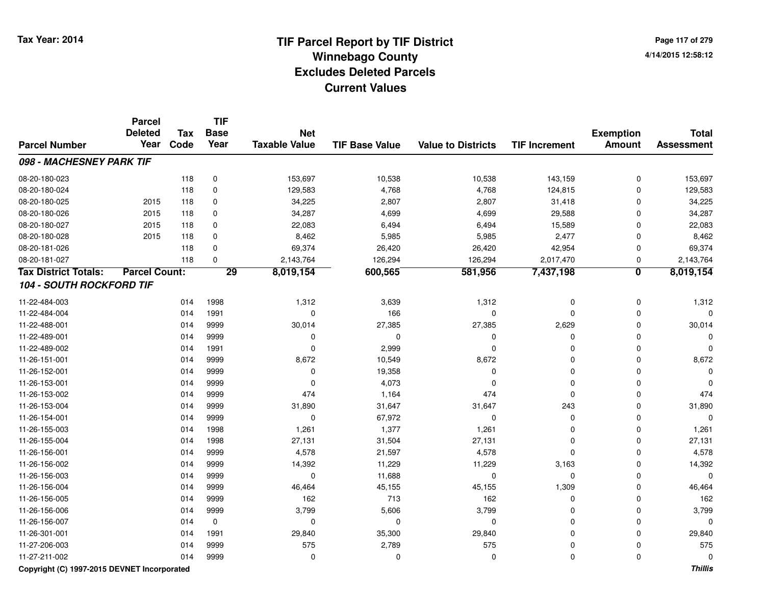**Page 117 of 2794/14/2015 12:58:12**

|                                 | <b>Parcel</b><br><b>Deleted</b> | <b>Tax</b> | <b>TIF</b><br><b>Base</b> | <b>Net</b>           |                       |                           |                      | <b>Exemption</b>        | <b>Total</b>      |
|---------------------------------|---------------------------------|------------|---------------------------|----------------------|-----------------------|---------------------------|----------------------|-------------------------|-------------------|
| <b>Parcel Number</b>            | Year                            | Code       | Year                      | <b>Taxable Value</b> | <b>TIF Base Value</b> | <b>Value to Districts</b> | <b>TIF Increment</b> | <b>Amount</b>           | <b>Assessment</b> |
| 098 - MACHESNEY PARK TIF        |                                 |            |                           |                      |                       |                           |                      |                         |                   |
| 08-20-180-023                   |                                 | 118        | 0                         | 153,697              | 10,538                | 10,538                    | 143,159              | $\mathbf 0$             | 153,697           |
| 08-20-180-024                   |                                 | 118        | 0                         | 129,583              | 4,768                 | 4,768                     | 124,815              | $\mathbf 0$             | 129,583           |
| 08-20-180-025                   | 2015                            | 118        | 0                         | 34,225               | 2,807                 | 2,807                     | 31,418               | $\mathbf 0$             | 34,225            |
| 08-20-180-026                   | 2015                            | 118        | 0                         | 34,287               | 4,699                 | 4,699                     | 29,588               | $\mathbf 0$             | 34,287            |
| 08-20-180-027                   | 2015                            | 118        | 0                         | 22,083               | 6,494                 | 6,494                     | 15,589               | $\Omega$                | 22,083            |
| 08-20-180-028                   | 2015                            | 118        | 0                         | 8,462                | 5,985                 | 5,985                     | 2,477                | 0                       | 8,462             |
| 08-20-181-026                   |                                 | 118        | 0                         | 69,374               | 26,420                | 26,420                    | 42,954               | 0                       | 69,374            |
| 08-20-181-027                   |                                 | 118        | 0                         | 2,143,764            | 126,294               | 126,294                   | 2,017,470            | 0                       | 2,143,764         |
| <b>Tax District Totals:</b>     | <b>Parcel Count:</b>            |            | 29                        | 8,019,154            | 600,565               | 581,956                   | 7,437,198            | $\overline{\mathbf{0}}$ | 8,019,154         |
| <b>104 - SOUTH ROCKFORD TIF</b> |                                 |            |                           |                      |                       |                           |                      |                         |                   |
| 11-22-484-003                   |                                 | 014        | 1998                      | 1,312                | 3,639                 | 1,312                     | 0                    | $\mathbf 0$             | 1,312             |
| 11-22-484-004                   |                                 | 014        | 1991                      | $\mathbf 0$          | 166                   | $\mathbf 0$               | $\Omega$             | 0                       | $\Omega$          |
| 11-22-488-001                   |                                 | 014        | 9999                      | 30,014               | 27,385                | 27,385                    | 2,629                | 0                       | 30,014            |
| 11-22-489-001                   |                                 | 014        | 9999                      | 0                    | 0                     | 0                         | $\mathbf 0$          | 0                       | $\Omega$          |
| 11-22-489-002                   |                                 | 014        | 1991                      | 0                    | 2,999                 | $\mathbf 0$               | $\mathbf 0$          | $\mathbf 0$             | $\Omega$          |
| 11-26-151-001                   |                                 | 014        | 9999                      | 8,672                | 10,549                | 8,672                     | $\mathbf 0$          | $\mathbf 0$             | 8,672             |
| 11-26-152-001                   |                                 | 014        | 9999                      | 0                    | 19,358                | $\mathbf 0$               | $\mathbf 0$          | $\Omega$                |                   |
| 11-26-153-001                   |                                 | 014        | 9999                      | $\mathbf 0$          | 4,073                 | $\mathbf 0$               | $\mathbf 0$          | $\Omega$                | O                 |
| 11-26-153-002                   |                                 | 014        | 9999                      | 474                  | 1,164                 | 474                       | $\mathbf 0$          | $\Omega$                | 474               |
| 11-26-153-004                   |                                 | 014        | 9999                      | 31,890               | 31,647                | 31,647                    | 243                  | $\Omega$                | 31,890            |
| 11-26-154-001                   |                                 | 014        | 9999                      | 0                    | 67,972                | $\mathbf 0$               | 0                    | 0                       | $\Omega$          |
| 11-26-155-003                   |                                 | 014        | 1998                      | 1,261                | 1,377                 | 1,261                     | $\Omega$             | $\mathbf 0$             | 1,261             |
| 11-26-155-004                   |                                 | 014        | 1998                      | 27,131               | 31,504                | 27,131                    | $\Omega$             | $\Omega$                | 27,131            |
| 11-26-156-001                   |                                 | 014        | 9999                      | 4,578                | 21,597                | 4,578                     | $\Omega$             | $\Omega$                | 4,578             |
| 11-26-156-002                   |                                 | 014        | 9999                      | 14,392               | 11,229                | 11,229                    | 3,163                | $\Omega$                | 14,392            |
| 11-26-156-003                   |                                 | 014        | 9999                      | 0                    | 11,688                | 0                         | 0                    | 0                       | $\mathbf{0}$      |
| 11-26-156-004                   |                                 | 014        | 9999                      | 46,464               | 45,155                | 45,155                    | 1,309                | 0                       | 46,464            |
| 11-26-156-005                   |                                 | 014        | 9999                      | 162                  | 713                   | 162                       | $\mathbf 0$          | 0                       | 162               |
| 11-26-156-006                   |                                 | 014        | 9999                      | 3,799                | 5,606                 | 3,799                     | $\mathbf 0$          | 0                       | 3,799             |
| 11-26-156-007                   |                                 | 014        | $\mathbf 0$               | 0                    | 0                     | $\mathbf 0$               | $\Omega$             | $\Omega$                | $\Omega$          |
| 11-26-301-001                   |                                 | 014        | 1991                      | 29,840               | 35,300                | 29,840                    | $\Omega$             | $\mathbf 0$             | 29,840            |
| 11-27-206-003                   |                                 | 014        | 9999                      | 575                  | 2,789                 | 575                       | $\Omega$             | 0                       | 575               |
| 11-27-211-002                   |                                 | 014        | 9999                      | 0                    | 0                     | $\mathbf 0$               | $\mathbf 0$          | $\Omega$                | 0                 |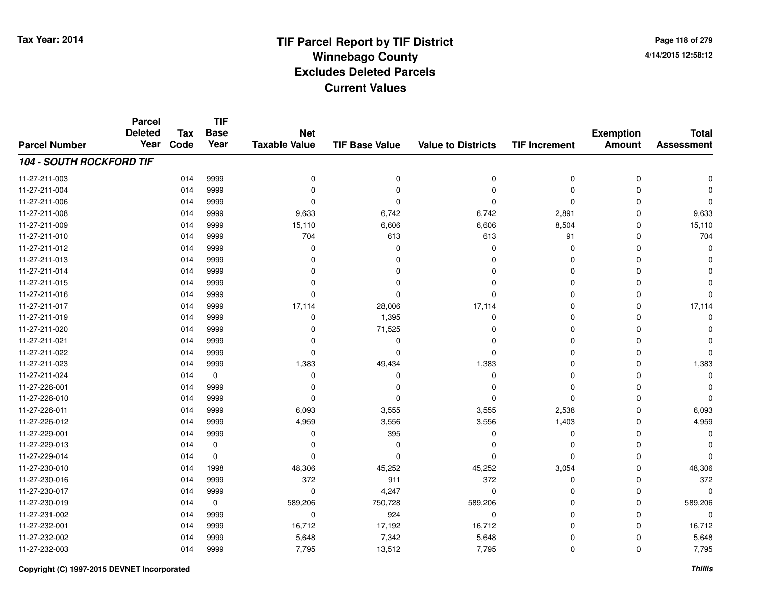**Page 118 of 2794/14/2015 12:58:12**

#### **TIF Base ValueParcel NumberTotal AssessmentExemption Amount Value to Districts TIF IncrementTIF Base YearTax CodeParcel Deleted YearNet Taxable Value104 - SOUTH ROCKFORD TIF**11-27-211-003 <sup>014</sup> <sup>0</sup> <sup>9999</sup> <sup>0</sup> <sup>0</sup> <sup>0</sup> <sup>0</sup> <sup>0</sup> 11-27-211-004 <sup>014</sup> <sup>0</sup> <sup>9999</sup> <sup>0</sup> <sup>0</sup> <sup>0</sup> <sup>0</sup> <sup>0</sup> 11-27-211-006 <sup>014</sup> <sup>0</sup> <sup>9999</sup> <sup>0</sup> <sup>0</sup> <sup>0</sup> <sup>0</sup> <sup>0</sup> 11-27-211-008 <sup>014</sup> 9,633 <sup>9999</sup> 6,742 6,742 2,891 <sup>0</sup> 9,633 11-27-211-0099 014 9999 15,110 6,606 6,606 8,504 0 15,110 11-27-211-0100 014 9999 704 613 613 91 0 704 11-27-211-012 <sup>014</sup> <sup>0</sup> <sup>9999</sup> <sup>0</sup> <sup>0</sup> <sup>0</sup> <sup>0</sup> <sup>0</sup> 11-27-211-013 <sup>014</sup> <sup>0</sup> <sup>9999</sup> <sup>0</sup> <sup>0</sup> <sup>0</sup> <sup>0</sup> <sup>0</sup> 11-27-211-014 <sup>014</sup> <sup>0</sup> <sup>9999</sup> <sup>0</sup> <sup>0</sup> <sup>0</sup> <sup>0</sup> <sup>0</sup> 11-27-211-015 <sup>014</sup> <sup>0</sup> <sup>9999</sup> <sup>0</sup> <sup>0</sup> <sup>0</sup> <sup>0</sup> <sup>0</sup> 11-27-211-016 <sup>014</sup> <sup>0</sup> <sup>9999</sup> <sup>0</sup> <sup>0</sup> <sup>0</sup> <sup>0</sup> <sup>0</sup> 11-27-211-017 <sup>014</sup> 17,114 <sup>9999</sup> 28,006 17,114 <sup>0</sup> <sup>0</sup> 17,114 11-27-211-0199 014 9999 0 1,395 0 0 0 0 11-27-211-0200 014 9999 0 71,525 0 0 0 0 11-27-211-021 <sup>014</sup> <sup>0</sup> <sup>9999</sup> <sup>0</sup> <sup>0</sup> <sup>0</sup> <sup>0</sup> <sup>0</sup> 11-27-211-022 <sup>014</sup> <sup>0</sup> <sup>9999</sup> <sup>0</sup> <sup>0</sup> <sup>0</sup> <sup>0</sup> <sup>0</sup> 11-27-211-0233 014 9999 1,383 49,434 1,383 0 0 1,383 11-27-211-024 <sup>014</sup> <sup>0</sup> <sup>0</sup> <sup>0</sup> <sup>0</sup> <sup>0</sup> <sup>0</sup> <sup>0</sup> 11-27-226-001 <sup>014</sup> <sup>0</sup> <sup>9999</sup> <sup>0</sup> <sup>0</sup> <sup>0</sup> <sup>0</sup> <sup>0</sup> 11-27-226-010 <sup>014</sup> <sup>0</sup> <sup>9999</sup> <sup>0</sup> <sup>0</sup> <sup>0</sup> <sup>0</sup> <sup>0</sup> 11-27-226-0111 014 9999 6,093 3,555 3,555 2,538 0 6,093 11-27-226-0122 014 9999 4,959 3,556 3,556 1,403 0 4,959 11-27-229-0011 014 9999 0 395 0 0 0 0 11-27-229-013 <sup>014</sup> <sup>0</sup> <sup>0</sup> <sup>0</sup> <sup>0</sup> <sup>0</sup> <sup>0</sup> <sup>0</sup> 11-27-229-014 <sup>014</sup> <sup>0</sup> <sup>0</sup> <sup>0</sup> <sup>0</sup> <sup>0</sup> <sup>0</sup> <sup>0</sup> 11-27-230-0100 014 1998 48,306 45,252 45,252 3,054 0 48,306 11-27-230-0166 014 9999 372 911 372 0 0 372 11-27-230-017 $7$  014 9999 0 0 4,247 0 0 0 0 0 0 11-27-230-0199 014 0 589,206 750,728 589,206 0 0 589,206 11-27-231-0022 014 9999 0 924 0 0 0 0 11-27-232-0011 014 9999 16,712 17,192 16,712 0 0 16,712 11-27-232-0022 014 9999 5,648 7,342 5,648 0 0 5,648 11-27-232-0033 014 9999 7,795 13,512 7,795 0 0 7,795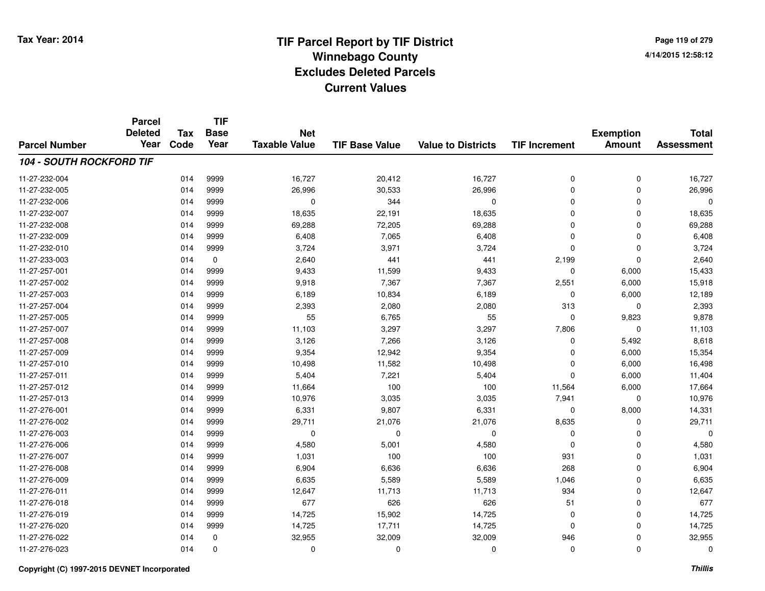**TIF**

**Parcel**

**Page 119 of 2794/14/2015 12:58:12**

| <b>Parcel Number</b>            | <b>Deleted</b><br>Year | <b>Tax</b><br>Code | <b>Base</b><br>Year | <b>Net</b><br><b>Taxable Value</b> | <b>TIF Base Value</b> | <b>Value to Districts</b> | <b>TIF Increment</b> | <b>Exemption</b><br><b>Amount</b> | <b>Total</b><br><b>Assessment</b> |
|---------------------------------|------------------------|--------------------|---------------------|------------------------------------|-----------------------|---------------------------|----------------------|-----------------------------------|-----------------------------------|
| <b>104 - SOUTH ROCKFORD TIF</b> |                        |                    |                     |                                    |                       |                           |                      |                                   |                                   |
| 11-27-232-004                   |                        | 014                | 9999                | 16,727                             | 20,412                | 16,727                    | 0                    | 0                                 | 16,727                            |
| 11-27-232-005                   |                        | 014                | 9999                | 26,996                             | 30,533                | 26,996                    | 0                    | $\mathbf 0$                       | 26,996                            |
| 11-27-232-006                   |                        | 014                | 9999                | 0                                  | 344                   | $\mathbf 0$               | $\mathbf 0$          | $\Omega$                          | 0                                 |
| 11-27-232-007                   |                        | 014                | 9999                | 18,635                             | 22,191                | 18,635                    | $\mathbf 0$          | 0                                 | 18,635                            |
| 11-27-232-008                   |                        | 014                | 9999                | 69,288                             | 72,205                | 69,288                    | $\mathbf 0$          | 0                                 | 69,288                            |
| 11-27-232-009                   |                        | 014                | 9999                | 6,408                              | 7,065                 | 6,408                     | $\Omega$             | $\mathbf 0$                       | 6,408                             |
| 11-27-232-010                   |                        | 014                | 9999                | 3,724                              | 3,971                 | 3,724                     | 0                    | $\mathbf 0$                       | 3,724                             |
| 11-27-233-003                   |                        | 014                | 0                   | 2,640                              | 441                   | 441                       | 2,199                | $\Omega$                          | 2,640                             |
| 11-27-257-001                   |                        | 014                | 9999                | 9,433                              | 11,599                | 9,433                     | $\mathbf 0$          | 6,000                             | 15,433                            |
| 11-27-257-002                   |                        | 014                | 9999                | 9,918                              | 7,367                 | 7,367                     | 2,551                | 6,000                             | 15,918                            |
| 11-27-257-003                   |                        | 014                | 9999                | 6,189                              | 10,834                | 6,189                     | 0                    | 6,000                             | 12,189                            |
| 11-27-257-004                   |                        | 014                | 9999                | 2,393                              | 2,080                 | 2,080                     | 313                  | 0                                 | 2,393                             |
| 11-27-257-005                   |                        | 014                | 9999                | 55                                 | 6,765                 | 55                        | 0                    | 9,823                             | 9,878                             |
| 11-27-257-007                   |                        | 014                | 9999                | 11,103                             | 3,297                 | 3,297                     | 7,806                | 0                                 | 11,103                            |
| 11-27-257-008                   |                        | 014                | 9999                | 3,126                              | 7,266                 | 3,126                     | $\Omega$             | 5,492                             | 8,618                             |
| 11-27-257-009                   |                        | 014                | 9999                | 9,354                              | 12,942                | 9,354                     | $\Omega$             | 6,000                             | 15,354                            |
| 11-27-257-010                   |                        | 014                | 9999                | 10,498                             | 11,582                | 10,498                    | 0                    | 6,000                             | 16,498                            |
| 11-27-257-011                   |                        | 014                | 9999                | 5,404                              | 7,221                 | 5,404                     | $\Omega$             | 6,000                             | 11,404                            |
| 11-27-257-012                   |                        | 014                | 9999                | 11,664                             | 100                   | 100                       | 11,564               | 6,000                             | 17,664                            |
| 11-27-257-013                   |                        | 014                | 9999                | 10,976                             | 3,035                 | 3,035                     | 7,941                | 0                                 | 10,976                            |
| 11-27-276-001                   |                        | 014                | 9999                | 6,331                              | 9,807                 | 6,331                     | 0                    | 8,000                             | 14,331                            |
| 11-27-276-002                   |                        | 014                | 9999                | 29,711                             | 21,076                | 21,076                    | 8,635                | $\Omega$                          | 29,711                            |
| 11-27-276-003                   |                        | 014                | 9999                | 0                                  | 0                     | 0                         | 0                    | 0                                 | 0                                 |
| 11-27-276-006                   |                        | 014                | 9999                | 4,580                              | 5,001                 | 4,580                     | 0                    | 0                                 | 4,580                             |
| 11-27-276-007                   |                        | 014                | 9999                | 1,031                              | 100                   | 100                       | 931                  | $\mathbf 0$                       | 1,031                             |
| 11-27-276-008                   |                        | 014                | 9999                | 6,904                              | 6,636                 | 6,636                     | 268                  | $\mathbf 0$                       | 6,904                             |
| 11-27-276-009                   |                        | 014                | 9999                | 6,635                              | 5,589                 | 5,589                     | 1,046                | $\mathbf 0$                       | 6,635                             |
| 11-27-276-011                   |                        | 014                | 9999                | 12,647                             | 11,713                | 11,713                    | 934                  | $\mathbf 0$                       | 12,647                            |
| 11-27-276-018                   |                        | 014                | 9999                | 677                                | 626                   | 626                       | 51                   | 0                                 | 677                               |
| 11-27-276-019                   |                        | 014                | 9999                | 14,725                             | 15,902                | 14,725                    | 0                    | 0                                 | 14,725                            |
| 11-27-276-020                   |                        | 014                | 9999                | 14,725                             | 17,711                | 14,725                    | 0                    | 0                                 | 14,725                            |
| 11-27-276-022                   |                        | 014                | 0                   | 32,955                             | 32,009                | 32,009                    | 946                  | 0                                 | 32,955                            |
| 11-27-276-023                   |                        | 014                | 0                   | 0                                  | 0                     | 0                         | 0                    | 0                                 | 0                                 |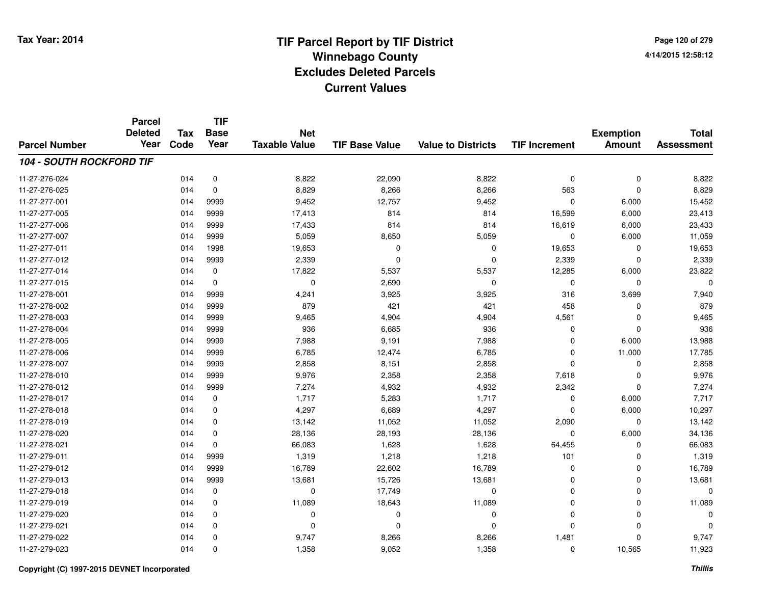**Page 120 of 2794/14/2015 12:58:12**

|                                 | <b>Parcel</b><br><b>Deleted</b> | <b>Tax</b> | <b>TIF</b><br><b>Base</b> | <b>Net</b>           |                       |                           |                      | <b>Exemption</b> | <b>Total</b>      |
|---------------------------------|---------------------------------|------------|---------------------------|----------------------|-----------------------|---------------------------|----------------------|------------------|-------------------|
| <b>Parcel Number</b>            | Year                            | Code       | Year                      | <b>Taxable Value</b> | <b>TIF Base Value</b> | <b>Value to Districts</b> | <b>TIF Increment</b> | <b>Amount</b>    | <b>Assessment</b> |
| <b>104 - SOUTH ROCKFORD TIF</b> |                                 |            |                           |                      |                       |                           |                      |                  |                   |
| 11-27-276-024                   |                                 | 014        | 0                         | 8,822                | 22,090                | 8,822                     | $\mathbf 0$          | $\mathbf 0$      | 8,822             |
| 11-27-276-025                   |                                 | 014        | 0                         | 8,829                | 8,266                 | 8,266                     | 563                  | $\mathbf 0$      | 8,829             |
| 11-27-277-001                   |                                 | 014        | 9999                      | 9,452                | 12,757                | 9,452                     | 0                    | 6,000            | 15,452            |
| 11-27-277-005                   |                                 | 014        | 9999                      | 17,413               | 814                   | 814                       | 16,599               | 6,000            | 23,413            |
| 11-27-277-006                   |                                 | 014        | 9999                      | 17,433               | 814                   | 814                       | 16,619               | 6,000            | 23,433            |
| 11-27-277-007                   |                                 | 014        | 9999                      | 5,059                | 8,650                 | 5,059                     | 0                    | 6,000            | 11,059            |
| 11-27-277-011                   |                                 | 014        | 1998                      | 19,653               | $\mathbf 0$           | $\mathbf 0$               | 19,653               | 0                | 19,653            |
| 11-27-277-012                   |                                 | 014        | 9999                      | 2,339                | $\mathbf 0$           | $\mathbf 0$               | 2,339                | $\mathbf 0$      | 2,339             |
| 11-27-277-014                   |                                 | 014        | $\mathbf 0$               | 17,822               | 5,537                 | 5,537                     | 12,285               | 6,000            | 23,822            |
| 11-27-277-015                   |                                 | 014        | $\mathbf 0$               | 0                    | 2,690                 | $\mathbf 0$               | 0                    | $\Omega$         | 0                 |
| 11-27-278-001                   |                                 | 014        | 9999                      | 4,241                | 3,925                 | 3,925                     | 316                  | 3,699            | 7,940             |
| 11-27-278-002                   |                                 | 014        | 9999                      | 879                  | 421                   | 421                       | 458                  | 0                | 879               |
| 11-27-278-003                   |                                 | 014        | 9999                      | 9,465                | 4,904                 | 4,904                     | 4,561                | $\Omega$         | 9,465             |
| 11-27-278-004                   |                                 | 014        | 9999                      | 936                  | 6,685                 | 936                       | 0                    | $\mathbf 0$      | 936               |
| 11-27-278-005                   |                                 | 014        | 9999                      | 7,988                | 9,191                 | 7,988                     | $\mathbf 0$          | 6,000            | 13,988            |
| 11-27-278-006                   |                                 | 014        | 9999                      | 6,785                | 12,474                | 6,785                     | 0                    | 11,000           | 17,785            |
| 11-27-278-007                   |                                 | 014        | 9999                      | 2,858                | 8,151                 | 2,858                     | 0                    | $\mathbf 0$      | 2,858             |
| 11-27-278-010                   |                                 | 014        | 9999                      | 9,976                | 2,358                 | 2,358                     | 7,618                | 0                | 9,976             |
| 11-27-278-012                   |                                 | 014        | 9999                      | 7,274                | 4,932                 | 4,932                     | 2,342                | $\mathbf 0$      | 7,274             |
| 11-27-278-017                   |                                 | 014        | $\mathbf 0$               | 1,717                | 5,283                 | 1,717                     | 0                    | 6,000            | 7,717             |
| 11-27-278-018                   |                                 | 014        | 0                         | 4,297                | 6,689                 | 4,297                     | 0                    | 6,000            | 10,297            |
| 11-27-278-019                   |                                 | 014        | 0                         | 13,142               | 11,052                | 11,052                    | 2,090                | 0                | 13,142            |
| 11-27-278-020                   |                                 | 014        | $\mathbf 0$               | 28,136               | 28,193                | 28,136                    | 0                    | 6,000            | 34,136            |
| 11-27-278-021                   |                                 | 014        | 0                         | 66,083               | 1,628                 | 1,628                     | 64,455               | 0                | 66,083            |
| 11-27-279-011                   |                                 | 014        | 9999                      | 1,319                | 1,218                 | 1,218                     | 101                  | $\mathbf 0$      | 1,319             |
| 11-27-279-012                   |                                 | 014        | 9999                      | 16,789               | 22,602                | 16,789                    | 0                    | $\mathbf 0$      | 16,789            |
| 11-27-279-013                   |                                 | 014        | 9999                      | 13,681               | 15,726                | 13,681                    | 0                    | $\mathbf 0$      | 13,681            |
| 11-27-279-018                   |                                 | 014        | $\mathbf 0$               | 0                    | 17,749                | $\mathbf 0$               | 0                    | 0                | 0                 |
| 11-27-279-019                   |                                 | 014        | 0                         | 11,089               | 18,643                | 11,089                    | 0                    | $\mathbf 0$      | 11,089            |
| 11-27-279-020                   |                                 | 014        | 0                         | 0                    | 0                     | 0                         | 0                    | 0                | 0                 |
| 11-27-279-021                   |                                 | 014        | $\mathbf 0$               | $\mathbf 0$          | 0                     | $\mathbf 0$               | 0                    | $\Omega$         | $\Omega$          |
| 11-27-279-022                   |                                 | 014        | 0                         | 9,747                | 8,266                 | 8,266                     | 1,481                | $\Omega$         | 9,747             |
| 11-27-279-023                   |                                 | 014        | $\Omega$                  | 1,358                | 9,052                 | 1,358                     | $\mathbf 0$          | 10,565           | 11,923            |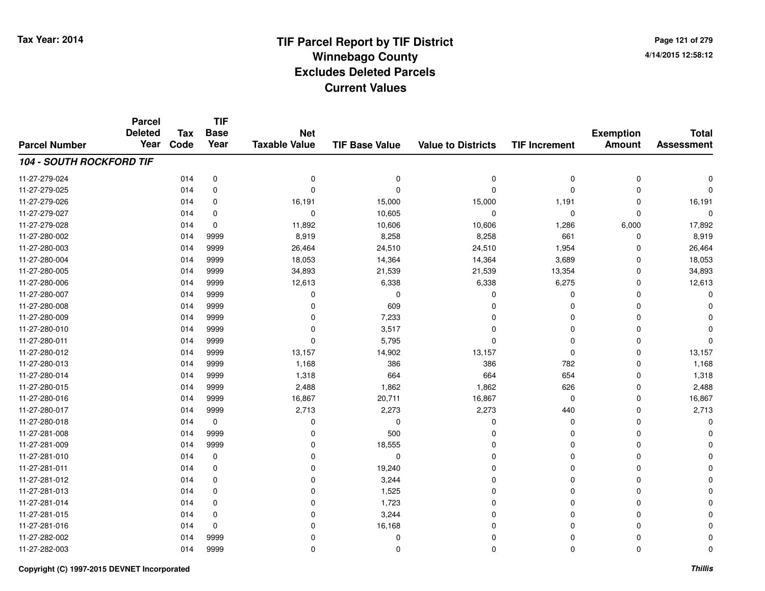# **TIF Parcel Report by TIF District Tax Year: 2014 Winnebago County04/14/2015 12:58:12** PM **Excludes Deleted ParcelsCurrent Values**

**Page 121 of 2794/14/2015 12:58:12**

|                                 | <b>Parcel</b><br><b>Deleted</b> | <b>Tax</b> | <b>TIF</b><br><b>Base</b> | <b>Net</b>           |                       |                           |                      | <b>Exemption</b> | <b>Total</b>      |
|---------------------------------|---------------------------------|------------|---------------------------|----------------------|-----------------------|---------------------------|----------------------|------------------|-------------------|
| <b>Parcel Number</b>            | Year                            | Code       | Year                      | <b>Taxable Value</b> | <b>TIF Base Value</b> | <b>Value to Districts</b> | <b>TIF Increment</b> | <b>Amount</b>    | <b>Assessment</b> |
| <b>104 - SOUTH ROCKFORD TIF</b> |                                 |            |                           |                      |                       |                           |                      |                  |                   |
| 11-27-279-024                   |                                 | 014        | $\mathbf 0$               | 0                    | $\mathbf 0$           | 0                         | 0                    | 0                | 0                 |
| 11-27-279-025                   |                                 | 014        | $\mathbf 0$               | $\Omega$             | $\Omega$              | $\Omega$                  | 0                    | $\mathbf 0$      | $\Omega$          |
| 11-27-279-026                   |                                 | 014        | 0                         | 16,191               | 15,000                | 15,000                    | 1,191                | 0                | 16,191            |
| 11-27-279-027                   |                                 | 014        | $\mathbf 0$               | $\mathbf 0$          | 10,605                | 0                         | 0                    | $\mathbf 0$      | $\Omega$          |
| 11-27-279-028                   |                                 | 014        | 0                         | 11,892               | 10,606                | 10,606                    | 1,286                | 6,000            | 17,892            |
| 11-27-280-002                   |                                 | 014        | 9999                      | 8,919                | 8,258                 | 8,258                     | 661                  | $\mathbf 0$      | 8,919             |
| 11-27-280-003                   |                                 | 014        | 9999                      | 26,464               | 24,510                | 24,510                    | 1,954                | $\mathbf 0$      | 26,464            |
| 11-27-280-004                   |                                 | 014        | 9999                      | 18,053               | 14,364                | 14,364                    | 3,689                | 0                | 18,053            |
| 11-27-280-005                   |                                 | 014        | 9999                      | 34,893               | 21,539                | 21,539                    | 13,354               | 0                | 34,893            |
| 11-27-280-006                   |                                 | 014        | 9999                      | 12,613               | 6,338                 | 6,338                     | 6,275                | 0                | 12,613            |
| 11-27-280-007                   |                                 | 014        | 9999                      | 0                    | $\mathbf 0$           | $\Omega$                  | 0                    | 0                |                   |
| 11-27-280-008                   |                                 | 014        | 9999                      | 0                    | 609                   | $\Omega$                  | 0                    | 0                |                   |
| 11-27-280-009                   |                                 | 014        | 9999                      | 0                    | 7,233                 | $\Omega$                  | 0                    | 0                |                   |
| 11-27-280-010                   |                                 | 014        | 9999                      | 0                    | 3,517                 | 0                         | 0                    | 0                |                   |
| 11-27-280-011                   |                                 | 014        | 9999                      | 0                    | 5,795                 | $\Omega$                  | 0                    | $\mathbf 0$      |                   |
| 11-27-280-012                   |                                 | 014        | 9999                      | 13,157               | 14,902                | 13,157                    | 0                    | $\mathbf 0$      | 13,157            |
| 11-27-280-013                   |                                 | 014        | 9999                      | 1,168                | 386                   | 386                       | 782                  | 0                | 1,168             |
| 11-27-280-014                   |                                 | 014        | 9999                      | 1,318                | 664                   | 664                       | 654                  | 0                | 1,318             |
| 11-27-280-015                   |                                 | 014        | 9999                      | 2,488                | 1,862                 | 1,862                     | 626                  | 0                | 2,488             |
| 11-27-280-016                   |                                 | 014        | 9999                      | 16,867               | 20,711                | 16,867                    | 0                    | 0                | 16,867            |
| 11-27-280-017                   |                                 | 014        | 9999                      | 2,713                | 2,273                 | 2,273                     | 440                  | 0                | 2,713             |
| 11-27-280-018                   |                                 | 014        | $\mathbf 0$               | 0                    | 0                     | 0                         | 0                    | $\Omega$         | $\Omega$          |
| 11-27-281-008                   |                                 | 014        | 9999                      | 0                    | 500                   | 0                         | 0                    | 0                |                   |
| 11-27-281-009                   |                                 | 014        | 9999                      | 0                    | 18,555                | $\Omega$                  | 0                    | 0                |                   |
| 11-27-281-010                   |                                 | 014        | $\mathbf 0$               | 0                    | $\mathbf 0$           | 0                         | 0                    | 0                |                   |
| 11-27-281-011                   |                                 | 014        | 0                         | 0                    | 19,240                | $\Omega$                  | 0                    | $\Omega$         |                   |
| 11-27-281-012                   |                                 | 014        | 0                         | 0                    | 3,244                 | $\mathbf 0$               | 0                    | 0                |                   |
| 11-27-281-013                   |                                 | 014        | 0                         | 0                    | 1,525                 | $\Omega$                  | 0                    | 0                |                   |
| 11-27-281-014                   |                                 | 014        | 0                         | 0                    | 1,723                 | $\mathbf 0$               | 0                    | 0                |                   |
| 11-27-281-015                   |                                 | 014        | 0                         | 0                    | 3,244                 | $\Omega$                  | 0                    | 0                |                   |
| 11-27-281-016                   |                                 | 014        | $\mathbf 0$               | $\mathbf 0$          | 16,168                | $\Omega$                  | 0                    | 0                |                   |
| 11-27-282-002                   |                                 | 014        | 9999                      | 0                    | 0                     | $\Omega$                  | 0                    | 0                |                   |
| 11-27-282-003                   |                                 | 014        | 9999                      | $\mathbf 0$          | 0                     | $\Omega$                  | 0                    | $\mathbf 0$      | $\Omega$          |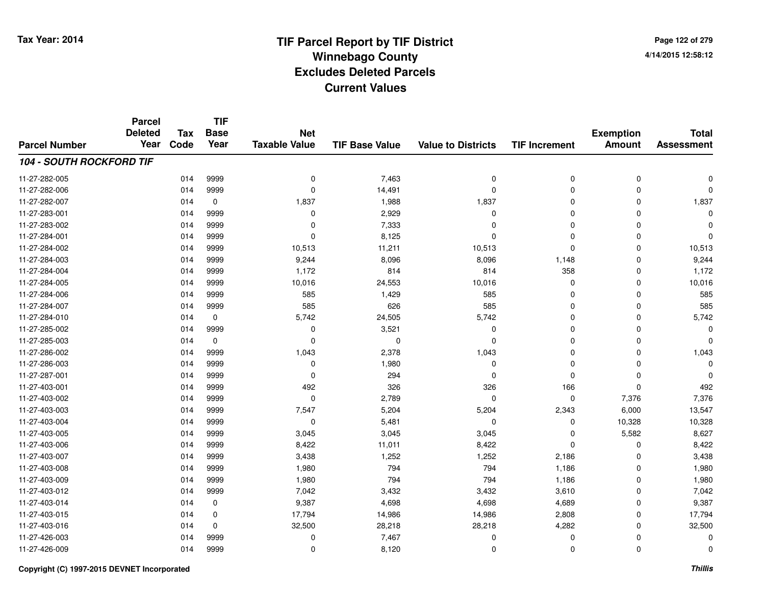**TIF**

**Parcel**

**Page 122 of 2794/14/2015 12:58:12**

| <b>Parcel Number</b>            | <b>Deleted</b><br>Year | <b>Tax</b><br>Code | <b>Base</b><br>Year | <b>Net</b><br><b>Taxable Value</b> | <b>TIF Base Value</b> | <b>Value to Districts</b> | <b>TIF Increment</b> | <b>Exemption</b><br><b>Amount</b> | <b>Total</b><br><b>Assessment</b> |
|---------------------------------|------------------------|--------------------|---------------------|------------------------------------|-----------------------|---------------------------|----------------------|-----------------------------------|-----------------------------------|
| <b>104 - SOUTH ROCKFORD TIF</b> |                        |                    |                     |                                    |                       |                           |                      |                                   |                                   |
| 11-27-282-005                   |                        | 014                | 9999                | 0                                  | 7,463                 | 0                         | 0                    | $\mathbf 0$                       | O                                 |
| 11-27-282-006                   |                        | 014                | 9999                | $\mathbf 0$                        | 14,491                | 0                         | 0                    | 0                                 | 0                                 |
| 11-27-282-007                   |                        | 014                | 0                   | 1,837                              | 1,988                 | 1,837                     | 0                    | $\mathbf 0$                       | 1,837                             |
| 11-27-283-001                   |                        | 014                | 9999                | 0                                  | 2,929                 | 0                         | 0                    | 0                                 | $\Omega$                          |
| 11-27-283-002                   |                        | 014                | 9999                | 0                                  | 7,333                 | 0                         | 0                    | 0                                 | 0                                 |
| 11-27-284-001                   |                        | 014                | 9999                | $\Omega$                           | 8,125                 | $\Omega$                  | $\Omega$             | $\mathbf 0$                       | $\Omega$                          |
| 11-27-284-002                   |                        | 014                | 9999                | 10,513                             | 11,211                | 10,513                    | $\Omega$             | $\mathbf 0$                       | 10,513                            |
| 11-27-284-003                   |                        | 014                | 9999                | 9,244                              | 8,096                 | 8,096                     | 1,148                | $\mathbf 0$                       | 9,244                             |
| 11-27-284-004                   |                        | 014                | 9999                | 1,172                              | 814                   | 814                       | 358                  | $\mathbf 0$                       | 1,172                             |
| 11-27-284-005                   |                        | 014                | 9999                | 10,016                             | 24,553                | 10,016                    | 0                    | $\mathbf 0$                       | 10,016                            |
| 11-27-284-006                   |                        | 014                | 9999                | 585                                | 1,429                 | 585                       | 0                    | $\mathbf 0$                       | 585                               |
| 11-27-284-007                   |                        | 014                | 9999                | 585                                | 626                   | 585                       | 0                    | 0                                 | 585                               |
| 11-27-284-010                   |                        | 014                | 0                   | 5,742                              | 24,505                | 5,742                     | 0                    | 0                                 | 5,742                             |
| 11-27-285-002                   |                        | 014                | 9999                | 0                                  | 3,521                 | 0                         | 0                    | 0                                 | $\Omega$                          |
| 11-27-285-003                   |                        | 014                | $\mathbf 0$         | $\Omega$                           | $\Omega$              | 0                         | 0                    | 0                                 | $\Omega$                          |
| 11-27-286-002                   |                        | 014                | 9999                | 1,043                              | 2,378                 | 1,043                     | 0                    | $\mathbf 0$                       | 1,043                             |
| 11-27-286-003                   |                        | 014                | 9999                | $\mathbf 0$                        | 1,980                 | 0                         | 0                    | $\mathbf 0$                       | $\Omega$                          |
| 11-27-287-001                   |                        | 014                | 9999                | $\Omega$                           | 294                   | $\Omega$                  | $\Omega$             | $\mathbf 0$                       | $\Omega$                          |
| 11-27-403-001                   |                        | 014                | 9999                | 492                                | 326                   | 326                       | 166                  | $\mathbf 0$                       | 492                               |
| 11-27-403-002                   |                        | 014                | 9999                | $\mathbf 0$                        | 2,789                 | $\Omega$                  | 0                    | 7,376                             | 7,376                             |
| 11-27-403-003                   |                        | 014                | 9999                | 7,547                              | 5,204                 | 5,204                     | 2,343                | 6,000                             | 13,547                            |
| 11-27-403-004                   |                        | 014                | 9999                | 0                                  | 5,481                 | 0                         | 0                    | 10,328                            | 10,328                            |
| 11-27-403-005                   |                        | 014                | 9999                | 3,045                              | 3,045                 | 3,045                     | 0                    | 5,582                             | 8,627                             |
| 11-27-403-006                   |                        | 014                | 9999                | 8,422                              | 11,011                | 8,422                     | 0                    | 0                                 | 8,422                             |
| 11-27-403-007                   |                        | 014                | 9999                | 3,438                              | 1,252                 | 1,252                     | 2,186                | $\mathbf 0$                       | 3,438                             |
| 11-27-403-008                   |                        | 014                | 9999                | 1,980                              | 794                   | 794                       | 1,186                | $\mathbf 0$                       | 1,980                             |
| 11-27-403-009                   |                        | 014                | 9999                | 1,980                              | 794                   | 794                       | 1,186                | $\mathbf 0$                       | 1,980                             |
| 11-27-403-012                   |                        | 014                | 9999                | 7,042                              | 3,432                 | 3,432                     | 3,610                | 0                                 | 7,042                             |
| 11-27-403-014                   |                        | 014                | 0                   | 9,387                              | 4,698                 | 4,698                     | 4,689                | 0                                 | 9,387                             |
| 11-27-403-015                   |                        | 014                | 0                   | 17,794                             | 14,986                | 14,986                    | 2,808                | 0                                 | 17,794                            |
| 11-27-403-016                   |                        | 014                | $\mathbf 0$         | 32,500                             | 28,218                | 28,218                    | 4,282                | 0                                 | 32,500                            |
| 11-27-426-003                   |                        | 014                | 9999                | 0                                  | 7,467                 | 0                         | 0                    | 0                                 | $\Omega$                          |
| 11-27-426-009                   |                        | 014                | 9999                | 0                                  | 8,120                 | 0                         | 0                    | 0                                 | 0                                 |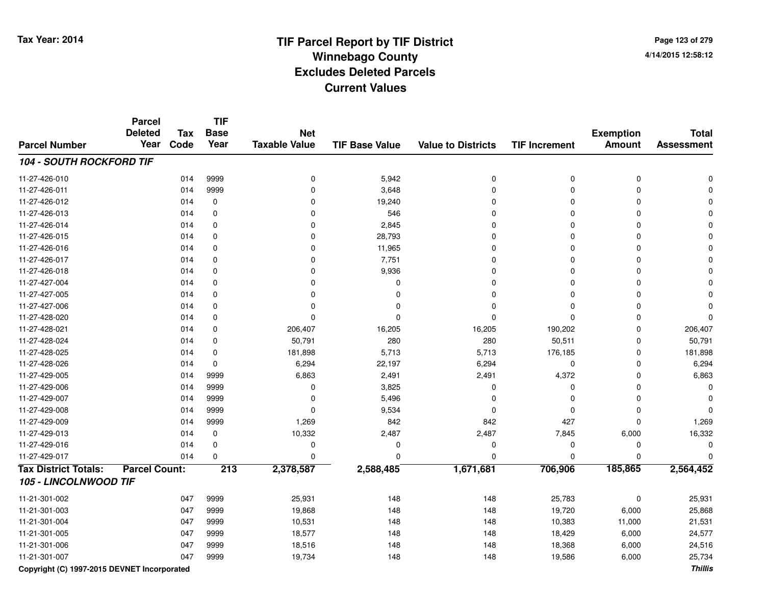**Page 123 of 2794/14/2015 12:58:12**

|                                 | <b>Parcel</b><br><b>Deleted</b> | <b>Tax</b> | <b>TIF</b><br><b>Base</b> | <b>Net</b>           |                       |                           |                      | <b>Exemption</b> | <b>Total</b>      |
|---------------------------------|---------------------------------|------------|---------------------------|----------------------|-----------------------|---------------------------|----------------------|------------------|-------------------|
| <b>Parcel Number</b>            | Year                            | Code       | Year                      | <b>Taxable Value</b> | <b>TIF Base Value</b> | <b>Value to Districts</b> | <b>TIF Increment</b> | <b>Amount</b>    | <b>Assessment</b> |
| <b>104 - SOUTH ROCKFORD TIF</b> |                                 |            |                           |                      |                       |                           |                      |                  |                   |
| 11-27-426-010                   |                                 | 014        | 9999                      | 0                    | 5,942                 | $\pmb{0}$                 | $\pmb{0}$            | $\mathbf 0$      |                   |
| 11-27-426-011                   |                                 | 014        | 9999                      | $\Omega$             | 3,648                 | $\mathbf 0$               | $\Omega$             | $\Omega$         |                   |
| 11-27-426-012                   |                                 | 014        | $\mathbf 0$               | $\Omega$             | 19,240                | $\Omega$                  | $\Omega$             | $\Omega$         |                   |
| 11-27-426-013                   |                                 | 014        | 0                         | $\Omega$             | 546                   | $\mathbf 0$               | $\Omega$             | $\Omega$         |                   |
| 11-27-426-014                   |                                 | 014        | 0                         | $\mathbf 0$          | 2,845                 | $\mathbf 0$               | $\Omega$             | $\Omega$         |                   |
| 11-27-426-015                   |                                 | 014        | $\mathbf 0$               | $\mathbf 0$          | 28,793                | 0                         | $\Omega$             | $\Omega$         |                   |
| 11-27-426-016                   |                                 | 014        | 0                         | 0                    | 11,965                | $\mathbf 0$               | $\Omega$             | $\Omega$         |                   |
| 11-27-426-017                   |                                 | 014        | 0                         | 0                    | 7,751                 | 0                         | $\mathbf 0$          | $\Omega$         |                   |
| 11-27-426-018                   |                                 | 014        | 0                         | $\mathbf 0$          | 9,936                 | 0                         | $\mathbf 0$          | 0                |                   |
| 11-27-427-004                   |                                 | 014        | $\mathbf 0$               | $\Omega$             | 0                     | 0                         | $\Omega$             | $\Omega$         |                   |
| 11-27-427-005                   |                                 | 014        | $\mathbf 0$               | $\Omega$             | $\Omega$              | $\mathbf 0$               | $\Omega$             | $\Omega$         |                   |
| 11-27-427-006                   |                                 | 014        | 0                         | $\Omega$             | 0                     | $\mathbf 0$               | $\Omega$             | $\Omega$         |                   |
| 11-27-428-020                   |                                 | 014        | 0                         | $\Omega$             | 0                     | $\mathbf 0$               | $\Omega$             | $\Omega$         |                   |
| 11-27-428-021                   |                                 | 014        | $\pmb{0}$                 | 206,407              | 16,205                | 16,205                    | 190,202              | $\Omega$         | 206,407           |
| 11-27-428-024                   |                                 | 014        | $\mathbf 0$               | 50,791               | 280                   | 280                       | 50,511               | $\Omega$         | 50,791            |
| 11-27-428-025                   |                                 | 014        | 0                         | 181,898              | 5,713                 | 5,713                     | 176,185              | 0                | 181,898           |
| 11-27-428-026                   |                                 | 014        | $\mathbf 0$               | 6,294                | 22,197                | 6,294                     | $\mathbf 0$          | $\Omega$         | 6,294             |
| 11-27-429-005                   |                                 | 014        | 9999                      | 6,863                | 2,491                 | 2,491                     | 4,372                | $\Omega$         | 6,863             |
| 11-27-429-006                   |                                 | 014        | 9999                      | 0                    | 3,825                 | 0                         | $\Omega$             | $\Omega$         | O                 |
| 11-27-429-007                   |                                 | 014        | 9999                      | $\Omega$             | 5,496                 | 0                         | $\mathbf 0$          | 0                |                   |
| 11-27-429-008                   |                                 | 014        | 9999                      | $\mathbf 0$          | 9,534                 | $\mathbf 0$               | $\Omega$             | $\Omega$         |                   |
| 11-27-429-009                   |                                 | 014        | 9999                      | 1,269                | 842                   | 842                       | 427                  | $\Omega$         | 1,269             |
| 11-27-429-013                   |                                 | 014        | 0                         | 10,332               | 2,487                 | 2,487                     | 7,845                | 6,000            | 16,332            |
| 11-27-429-016                   |                                 | 014        | 0                         | 0                    | $\mathbf 0$           | $\mathbf 0$               | 0                    | $\mathbf 0$      | 0                 |
| 11-27-429-017                   |                                 | 014        | $\mathbf 0$               | $\Omega$             | 0                     | $\mathbf 0$               | $\Omega$             | $\Omega$         |                   |
| <b>Tax District Totals:</b>     | <b>Parcel Count:</b>            |            | $\overline{213}$          | 2,378,587            | 2,588,485             | 1,671,681                 | 706,906              | 185,865          | 2,564,452         |
| 105 - LINCOLNWOOD TIF           |                                 |            |                           |                      |                       |                           |                      |                  |                   |
| 11-21-301-002                   |                                 | 047        | 9999                      | 25,931               | 148                   | 148                       | 25,783               | 0                | 25,931            |
| 11-21-301-003                   |                                 | 047        | 9999                      | 19,868               | 148                   | 148                       | 19,720               | 6,000            | 25,868            |
| 11-21-301-004                   |                                 | 047        | 9999                      | 10,531               | 148                   | 148                       | 10,383               | 11,000           | 21,531            |
| 11-21-301-005                   |                                 | 047        | 9999                      | 18,577               | 148                   | 148                       | 18,429               | 6,000            | 24,577            |
| 11-21-301-006                   |                                 | 047        | 9999                      | 18,516               | 148                   | 148                       | 18,368               | 6,000            | 24,516            |
| 11-21-301-007                   |                                 | 047        | 9999                      | 19,734               | 148                   | 148                       | 19,586               | 6,000            | 25,734            |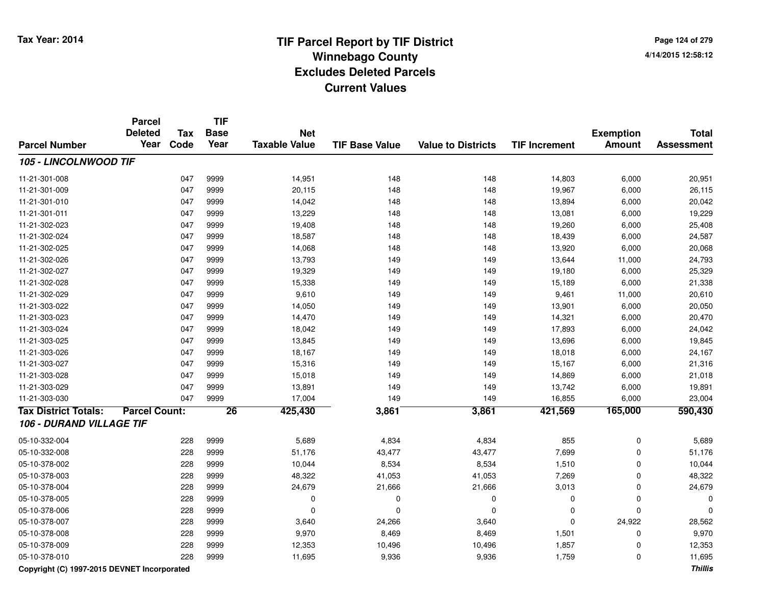**Page 124 of 2794/14/2015 12:58:12**

|                             | Parcel<br><b>Deleted</b> | Tax  | TIF<br><b>Base</b> | <b>Net</b>           |                       |                           |                      | <b>Exemption</b> | <b>Total</b>      |
|-----------------------------|--------------------------|------|--------------------|----------------------|-----------------------|---------------------------|----------------------|------------------|-------------------|
| <b>Parcel Number</b>        | Year                     | Code | Year               | <b>Taxable Value</b> | <b>TIF Base Value</b> | <b>Value to Districts</b> | <b>TIF Increment</b> | <b>Amount</b>    | <b>Assessment</b> |
| 105 - LINCOLNWOOD TIF       |                          |      |                    |                      |                       |                           |                      |                  |                   |
| 11-21-301-008               |                          | 047  | 9999               | 14,951               | 148                   | 148                       | 14,803               | 6,000            | 20,951            |
| 11-21-301-009               |                          | 047  | 9999               | 20,115               | 148                   | 148                       | 19,967               | 6,000            | 26,115            |
| 11-21-301-010               |                          | 047  | 9999               | 14,042               | 148                   | 148                       | 13,894               | 6,000            | 20,042            |
| 11-21-301-011               |                          | 047  | 9999               | 13,229               | 148                   | 148                       | 13,081               | 6,000            | 19,229            |
| 11-21-302-023               |                          | 047  | 9999               | 19,408               | 148                   | 148                       | 19,260               | 6,000            | 25,408            |
| 11-21-302-024               |                          | 047  | 9999               | 18,587               | 148                   | 148                       | 18,439               | 6,000            | 24,587            |
| 11-21-302-025               |                          | 047  | 9999               | 14,068               | 148                   | 148                       | 13,920               | 6,000            | 20,068            |
| 11-21-302-026               |                          | 047  | 9999               | 13,793               | 149                   | 149                       | 13,644               | 11,000           | 24,793            |
| 11-21-302-027               |                          | 047  | 9999               | 19,329               | 149                   | 149                       | 19,180               | 6,000            | 25,329            |
| 11-21-302-028               |                          | 047  | 9999               | 15,338               | 149                   | 149                       | 15,189               | 6,000            | 21,338            |
| 11-21-302-029               |                          | 047  | 9999               | 9,610                | 149                   | 149                       | 9,461                | 11,000           | 20,610            |
| 11-21-303-022               |                          | 047  | 9999               | 14,050               | 149                   | 149                       | 13,901               | 6,000            | 20,050            |
| 11-21-303-023               |                          | 047  | 9999               | 14,470               | 149                   | 149                       | 14,321               | 6,000            | 20,470            |
| 11-21-303-024               |                          | 047  | 9999               | 18,042               | 149                   | 149                       | 17,893               | 6,000            | 24,042            |
| 11-21-303-025               |                          | 047  | 9999               | 13,845               | 149                   | 149                       | 13,696               | 6,000            | 19,845            |
| 11-21-303-026               |                          | 047  | 9999               | 18,167               | 149                   | 149                       | 18,018               | 6,000            | 24,167            |
| 11-21-303-027               |                          | 047  | 9999               | 15,316               | 149                   | 149                       | 15,167               | 6,000            | 21,316            |
| 11-21-303-028               |                          | 047  | 9999               | 15,018               | 149                   | 149                       | 14,869               | 6,000            | 21,018            |
| 11-21-303-029               |                          | 047  | 9999               | 13,891               | 149                   | 149                       | 13,742               | 6,000            | 19,891            |
| 11-21-303-030               |                          | 047  | 9999               | 17,004               | 149                   | 149                       | 16,855               | 6,000            | 23,004            |
| <b>Tax District Totals:</b> | <b>Parcel Count:</b>     |      | $\overline{26}$    | 425,430              | 3,861                 | 3,861                     | 421,569              | 165,000          | 590,430           |
| 106 - DURAND VILLAGE TIF    |                          |      |                    |                      |                       |                           |                      |                  |                   |
| 05-10-332-004               |                          | 228  | 9999               | 5,689                | 4,834                 | 4,834                     | 855                  | $\mathbf 0$      | 5,689             |
| 05-10-332-008               |                          | 228  | 9999               | 51,176               | 43,477                | 43,477                    | 7,699                | $\mathbf 0$      | 51,176            |
| 05-10-378-002               |                          | 228  | 9999               | 10,044               | 8,534                 | 8,534                     | 1,510                | $\mathbf 0$      | 10,044            |
| 05-10-378-003               |                          | 228  | 9999               | 48,322               | 41,053                | 41,053                    | 7,269                | $\mathbf 0$      | 48,322            |
| 05-10-378-004               |                          | 228  | 9999               | 24,679               | 21,666                | 21,666                    | 3,013                | $\mathbf 0$      | 24,679            |
| 05-10-378-005               |                          | 228  | 9999               | 0                    | $\mathbf 0$           | $\mathbf 0$               | 0                    | $\mathbf 0$      | $\Omega$          |
| 05-10-378-006               |                          | 228  | 9999               | 0                    | $\Omega$              | $\mathbf 0$               | $\mathbf 0$          | $\Omega$         | ∩                 |
| 05-10-378-007               |                          | 228  | 9999               | 3,640                | 24,266                | 3,640                     | $\Omega$             | 24,922           | 28,562            |
| 05-10-378-008               |                          | 228  | 9999               | 9,970                | 8,469                 | 8,469                     | 1,501                | $\mathbf 0$      | 9,970             |
| 05-10-378-009               |                          | 228  | 9999               | 12,353               | 10,496                | 10,496                    | 1,857                | $\Omega$         | 12,353            |
| 05-10-378-010               |                          | 228  | 9999               | 11,695               | 9,936                 | 9,936                     | 1,759                | $\mathbf 0$      | 11,695            |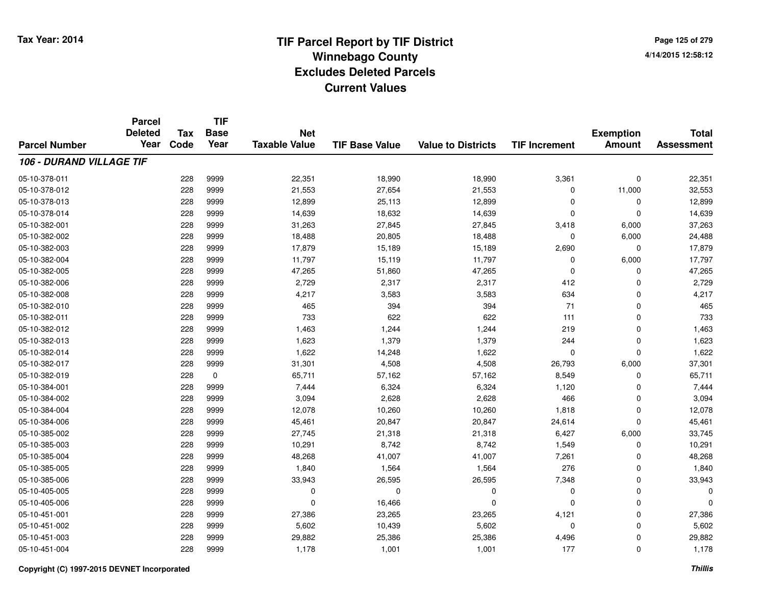**TIF**

**Parcel**

**Page 125 of 2794/14/2015 12:58:12**

| <b>Parcel Number</b>     | <b>Deleted</b><br>Year | Tax<br>Code | <b>Base</b><br>Year | <b>Net</b><br><b>Taxable Value</b> | <b>TIF Base Value</b> | <b>Value to Districts</b> | <b>TIF Increment</b> | <b>Exemption</b><br><b>Amount</b> | <b>Total</b><br><b>Assessment</b> |
|--------------------------|------------------------|-------------|---------------------|------------------------------------|-----------------------|---------------------------|----------------------|-----------------------------------|-----------------------------------|
|                          |                        |             |                     |                                    |                       |                           |                      |                                   |                                   |
| 106 - DURAND VILLAGE TIF |                        |             |                     |                                    |                       |                           |                      |                                   |                                   |
| 05-10-378-011            |                        | 228         | 9999                | 22,351                             | 18,990                | 18,990                    | 3,361                | $\mathbf 0$                       | 22,351                            |
| 05-10-378-012            |                        | 228         | 9999                | 21,553                             | 27,654                | 21,553                    | 0                    | 11,000                            | 32,553                            |
| 05-10-378-013            |                        | 228         | 9999                | 12,899                             | 25,113                | 12,899                    | 0                    | 0                                 | 12,899                            |
| 05-10-378-014            |                        | 228         | 9999                | 14,639                             | 18,632                | 14,639                    | $\mathbf 0$          | $\Omega$                          | 14,639                            |
| 05-10-382-001            |                        | 228         | 9999                | 31,263                             | 27,845                | 27,845                    | 3,418                | 6,000                             | 37,263                            |
| 05-10-382-002            |                        | 228         | 9999                | 18,488                             | 20,805                | 18,488                    | $\mathbf 0$          | 6,000                             | 24,488                            |
| 05-10-382-003            |                        | 228         | 9999                | 17,879                             | 15,189                | 15,189                    | 2,690                | $\mathbf 0$                       | 17,879                            |
| 05-10-382-004            |                        | 228         | 9999                | 11,797                             | 15,119                | 11,797                    | 0                    | 6,000                             | 17,797                            |
| 05-10-382-005            |                        | 228         | 9999                | 47,265                             | 51,860                | 47,265                    | 0                    | $\Omega$                          | 47,265                            |
| 05-10-382-006            |                        | 228         | 9999                | 2,729                              | 2,317                 | 2,317                     | 412                  | $\Omega$                          | 2,729                             |
| 05-10-382-008            |                        | 228         | 9999                | 4,217                              | 3,583                 | 3,583                     | 634                  | $\Omega$                          | 4,217                             |
| 05-10-382-010            |                        | 228         | 9999                | 465                                | 394                   | 394                       | 71                   | $\mathbf 0$                       | 465                               |
| 05-10-382-011            |                        | 228         | 9999                | 733                                | 622                   | 622                       | 111                  | $\mathbf 0$                       | 733                               |
| 05-10-382-012            |                        | 228         | 9999                | 1,463                              | 1,244                 | 1,244                     | 219                  | $\mathbf 0$                       | 1,463                             |
| 05-10-382-013            |                        | 228         | 9999                | 1,623                              | 1,379                 | 1,379                     | 244                  | $\Omega$                          | 1,623                             |
| 05-10-382-014            |                        | 228         | 9999                | 1,622                              | 14,248                | 1,622                     | 0                    | $\Omega$                          | 1,622                             |
| 05-10-382-017            |                        | 228         | 9999                | 31,301                             | 4,508                 | 4,508                     | 26,793               | 6,000                             | 37,301                            |
| 05-10-382-019            |                        | 228         | 0                   | 65,711                             | 57,162                | 57,162                    | 8,549                | 0                                 | 65,711                            |
| 05-10-384-001            |                        | 228         | 9999                | 7,444                              | 6,324                 | 6,324                     | 1,120                | $\Omega$                          | 7,444                             |
| 05-10-384-002            |                        | 228         | 9999                | 3,094                              | 2,628                 | 2,628                     | 466                  | $\mathbf 0$                       | 3,094                             |
| 05-10-384-004            |                        | 228         | 9999                | 12,078                             | 10,260                | 10,260                    | 1,818                | $\mathbf 0$                       | 12,078                            |
| 05-10-384-006            |                        | 228         | 9999                | 45,461                             | 20,847                | 20,847                    | 24,614               | $\Omega$                          | 45,461                            |
| 05-10-385-002            |                        | 228         | 9999                | 27,745                             | 21,318                | 21,318                    | 6,427                | 6,000                             | 33,745                            |
| 05-10-385-003            |                        | 228         | 9999                | 10,291                             | 8,742                 | 8,742                     | 1,549                | 0                                 | 10,291                            |
| 05-10-385-004            |                        | 228         | 9999                | 48,268                             | 41,007                | 41,007                    | 7,261                | $\Omega$                          | 48,268                            |
| 05-10-385-005            |                        | 228         | 9999                | 1,840                              | 1,564                 | 1,564                     | 276                  | 0                                 | 1,840                             |
| 05-10-385-006            |                        | 228         | 9999                | 33,943                             | 26,595                | 26,595                    | 7,348                | $\mathbf 0$                       | 33,943                            |
| 05-10-405-005            |                        | 228         | 9999                | 0                                  | $\Omega$              | 0                         | 0                    | $\mathbf 0$                       | 0                                 |
| 05-10-405-006            |                        | 228         | 9999                | $\Omega$                           | 16,466                | $\Omega$                  | $\mathbf 0$          | 0                                 | 0                                 |
| 05-10-451-001            |                        | 228         | 9999                | 27,386                             | 23,265                | 23,265                    | 4,121                | 0                                 | 27,386                            |
| 05-10-451-002            |                        | 228         | 9999                | 5,602                              | 10,439                | 5,602                     | 0                    | 0                                 | 5,602                             |
| 05-10-451-003            |                        | 228         | 9999                | 29,882                             | 25,386                | 25,386                    | 4,496                | 0                                 | 29,882                            |
| 05-10-451-004            |                        | 228         | 9999                | 1,178                              | 1,001                 | 1,001                     | 177                  | $\Omega$                          | 1,178                             |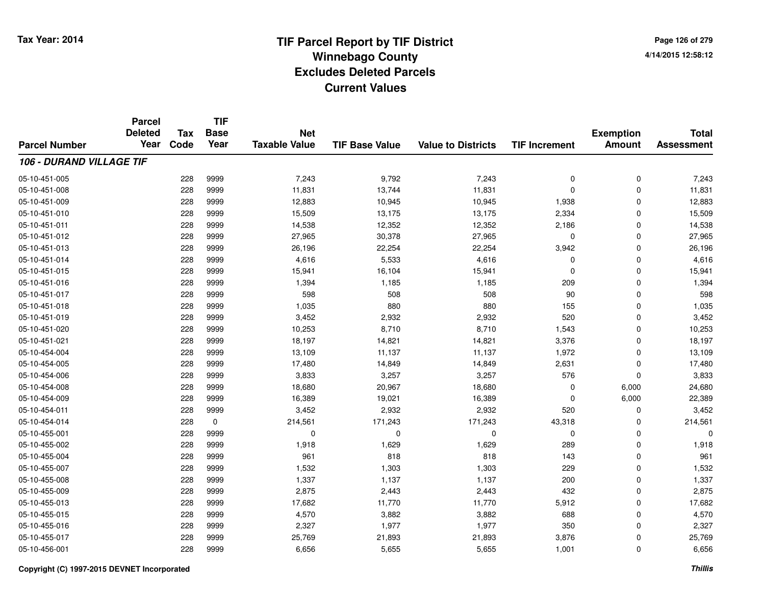**TIF**

**Parcel**

**Page 126 of 2794/14/2015 12:58:12**

|                                 | aivu<br><b>Deleted</b> | <b>Tax</b> | .<br><b>Base</b> | <b>Net</b>           |                       |                           |                      | <b>Exemption</b> | <b>Total</b>      |
|---------------------------------|------------------------|------------|------------------|----------------------|-----------------------|---------------------------|----------------------|------------------|-------------------|
| <b>Parcel Number</b>            | Year                   | Code       | Year             | <b>Taxable Value</b> | <b>TIF Base Value</b> | <b>Value to Districts</b> | <b>TIF Increment</b> | <b>Amount</b>    | <b>Assessment</b> |
| <b>106 - DURAND VILLAGE TIF</b> |                        |            |                  |                      |                       |                           |                      |                  |                   |
| 05-10-451-005                   |                        | 228        | 9999             | 7,243                | 9,792                 | 7,243                     | $\mathbf 0$          | 0                | 7,243             |
| 05-10-451-008                   |                        | 228        | 9999             | 11,831               | 13,744                | 11,831                    | 0                    | 0                | 11,831            |
| 05-10-451-009                   |                        | 228        | 9999             | 12,883               | 10,945                | 10,945                    | 1,938                | 0                | 12,883            |
| 05-10-451-010                   |                        | 228        | 9999             | 15,509               | 13,175                | 13,175                    | 2,334                | 0                | 15,509            |
| 05-10-451-011                   |                        | 228        | 9999             | 14,538               | 12,352                | 12,352                    | 2,186                | 0                | 14,538            |
| 05-10-451-012                   |                        | 228        | 9999             | 27,965               | 30,378                | 27,965                    | 0                    | 0                | 27,965            |
| 05-10-451-013                   |                        | 228        | 9999             | 26,196               | 22,254                | 22,254                    | 3,942                | 0                | 26,196            |
| 05-10-451-014                   |                        | 228        | 9999             | 4,616                | 5,533                 | 4,616                     | 0                    | 0                | 4,616             |
| 05-10-451-015                   |                        | 228        | 9999             | 15,941               | 16,104                | 15,941                    | $\mathbf 0$          | 0                | 15,941            |
| 05-10-451-016                   |                        | 228        | 9999             | 1,394                | 1,185                 | 1,185                     | 209                  | 0                | 1,394             |
| 05-10-451-017                   |                        | 228        | 9999             | 598                  | 508                   | 508                       | 90                   | 0                | 598               |
| 05-10-451-018                   |                        | 228        | 9999             | 1,035                | 880                   | 880                       | 155                  | 0                | 1,035             |
| 05-10-451-019                   |                        | 228        | 9999             | 3,452                | 2,932                 | 2,932                     | 520                  | 0                | 3,452             |
| 05-10-451-020                   |                        | 228        | 9999             | 10,253               | 8,710                 | 8,710                     | 1,543                | 0                | 10,253            |
| 05-10-451-021                   |                        | 228        | 9999             | 18,197               | 14,821                | 14,821                    | 3,376                | 0                | 18,197            |
| 05-10-454-004                   |                        | 228        | 9999             | 13,109               | 11,137                | 11,137                    | 1,972                | 0                | 13,109            |
| 05-10-454-005                   |                        | 228        | 9999             | 17,480               | 14,849                | 14,849                    | 2,631                | 0                | 17,480            |
| 05-10-454-006                   |                        | 228        | 9999             | 3,833                | 3,257                 | 3,257                     | 576                  | 0                | 3,833             |
| 05-10-454-008                   |                        | 228        | 9999             | 18,680               | 20,967                | 18,680                    | 0                    | 6,000            | 24,680            |
| 05-10-454-009                   |                        | 228        | 9999             | 16,389               | 19,021                | 16,389                    | 0                    | 6,000            | 22,389            |
| 05-10-454-011                   |                        | 228        | 9999             | 3,452                | 2,932                 | 2,932                     | 520                  | 0                | 3,452             |
| 05-10-454-014                   |                        | 228        | $\mathbf 0$      | 214,561              | 171,243               | 171,243                   | 43,318               | 0                | 214,561           |
| 05-10-455-001                   |                        | 228        | 9999             | 0                    | $\Omega$              | $\mathbf 0$               | 0                    | 0                | $\Omega$          |
| 05-10-455-002                   |                        | 228        | 9999             | 1,918                | 1,629                 | 1,629                     | 289                  | 0                | 1,918             |
| 05-10-455-004                   |                        | 228        | 9999             | 961                  | 818                   | 818                       | 143                  | 0                | 961               |
| 05-10-455-007                   |                        | 228        | 9999             | 1,532                | 1,303                 | 1,303                     | 229                  | 0                | 1,532             |
| 05-10-455-008                   |                        | 228        | 9999             | 1,337                | 1,137                 | 1,137                     | 200                  | 0                | 1,337             |
| 05-10-455-009                   |                        | 228        | 9999             | 2,875                | 2,443                 | 2,443                     | 432                  | 0                | 2,875             |
| 05-10-455-013                   |                        | 228        | 9999             | 17,682               | 11,770                | 11,770                    | 5,912                | 0                | 17,682            |
| 05-10-455-015                   |                        | 228        | 9999             | 4,570                | 3,882                 | 3,882                     | 688                  | 0                | 4,570             |
| 05-10-455-016                   |                        | 228        | 9999             | 2,327                | 1,977                 | 1,977                     | 350                  | 0                | 2,327             |
| 05-10-455-017                   |                        | 228        | 9999             | 25,769               | 21,893                | 21,893                    | 3,876                | 0                | 25,769            |
| 05-10-456-001                   |                        | 228        | 9999             | 6,656                | 5,655                 | 5,655                     | 1,001                | 0                | 6,656             |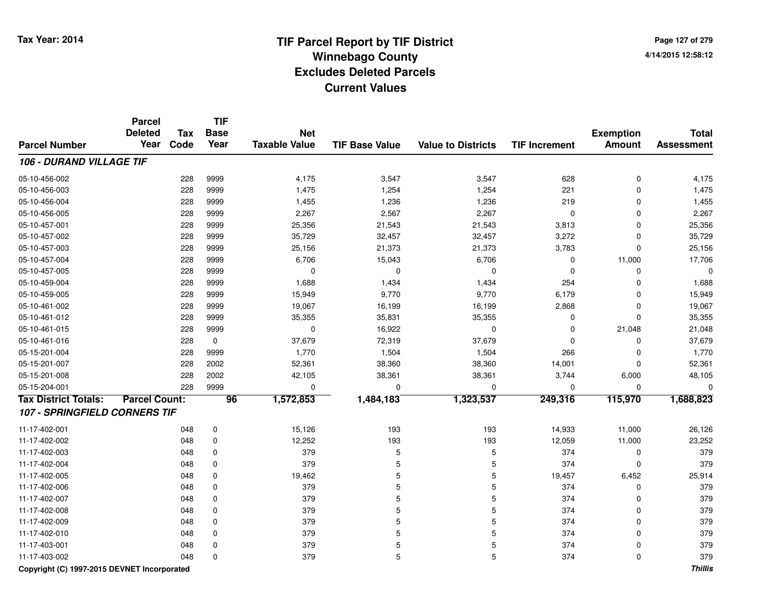**Page 127 of 2794/14/2015 12:58:12**

|                                      | Parcel<br><b>Deleted</b> | <b>Tax</b> | TIF<br><b>Base</b> | <b>Net</b>           |                       |                           |                      | <b>Exemption</b> | <b>Total</b>      |
|--------------------------------------|--------------------------|------------|--------------------|----------------------|-----------------------|---------------------------|----------------------|------------------|-------------------|
| <b>Parcel Number</b>                 | Year                     | Code       | Year               | <b>Taxable Value</b> | <b>TIF Base Value</b> | <b>Value to Districts</b> | <b>TIF Increment</b> | <b>Amount</b>    | <b>Assessment</b> |
| 106 - DURAND VILLAGE TIF             |                          |            |                    |                      |                       |                           |                      |                  |                   |
| 05-10-456-002                        |                          | 228        | 9999               | 4,175                | 3,547                 | 3,547                     | 628                  | $\pmb{0}$        | 4,175             |
| 05-10-456-003                        |                          | 228        | 9999               | 1,475                | 1,254                 | 1,254                     | 221                  | $\mathbf 0$      | 1,475             |
| 05-10-456-004                        |                          | 228        | 9999               | 1,455                | 1,236                 | 1,236                     | 219                  | $\Omega$         | 1,455             |
| 05-10-456-005                        |                          | 228        | 9999               | 2,267                | 2,567                 | 2,267                     | $\mathbf 0$          | $\mathbf 0$      | 2,267             |
| 05-10-457-001                        |                          | 228        | 9999               | 25,356               | 21,543                | 21,543                    | 3,813                | $\mathbf 0$      | 25,356            |
| 05-10-457-002                        |                          | 228        | 9999               | 35,729               | 32,457                | 32,457                    | 3,272                | $\mathbf 0$      | 35,729            |
| 05-10-457-003                        |                          | 228        | 9999               | 25,156               | 21,373                | 21,373                    | 3,783                | $\mathbf 0$      | 25,156            |
| 05-10-457-004                        |                          | 228        | 9999               | 6,706                | 15,043                | 6,706                     | $\mathbf 0$          | 11,000           | 17,706            |
| 05-10-457-005                        |                          | 228        | 9999               | $\Omega$             | $\Omega$              | $\mathbf 0$               | $\Omega$             | $\Omega$         | $\mathbf 0$       |
| 05-10-459-004                        |                          | 228        | 9999               | 1,688                | 1,434                 | 1,434                     | 254                  | 0                | 1,688             |
| 05-10-459-005                        |                          | 228        | 9999               | 15,949               | 9,770                 | 9,770                     | 6,179                | 0                | 15,949            |
| 05-10-461-002                        |                          | 228        | 9999               | 19,067               | 16,199                | 16,199                    | 2,868                | 0                | 19,067            |
| 05-10-461-012                        |                          | 228        | 9999               | 35,355               | 35,831                | 35,355                    | 0                    | $\mathbf 0$      | 35,355            |
| 05-10-461-015                        |                          | 228        | 9999               | 0                    | 16,922                | $\mathbf 0$               | $\Omega$             | 21,048           | 21,048            |
| 05-10-461-016                        |                          | 228        | $\mathbf 0$        | 37,679               | 72,319                | 37,679                    | $\Omega$             | $\Omega$         | 37,679            |
| 05-15-201-004                        |                          | 228        | 9999               | 1,770                | 1,504                 | 1,504                     | 266                  | 0                | 1,770             |
| 05-15-201-007                        |                          | 228        | 2002               | 52,361               | 38,360                | 38,360                    | 14,001               | 0                | 52,361            |
| 05-15-201-008                        |                          | 228        | 2002               | 42,105               | 38,361                | 38,361                    | 3,744                | 6,000            | 48,105            |
| 05-15-204-001                        |                          | 228        | 9999               | $\Omega$             | $\Omega$              | $\mathbf 0$               | $\Omega$             | $\Omega$         | $\Omega$          |
| <b>Tax District Totals:</b>          | <b>Parcel Count:</b>     |            | $\overline{96}$    | 1,572,853            | 1,484,183             | 1,323,537                 | 249,316              | 115,970          | 1,688,823         |
| <b>107 - SPRINGFIELD CORNERS TIF</b> |                          |            |                    |                      |                       |                           |                      |                  |                   |
| 11-17-402-001                        |                          | 048        | 0                  | 15,126               | 193                   | 193                       | 14,933               | 11,000           | 26,126            |
| 11-17-402-002                        |                          | 048        | 0                  | 12,252               | 193                   | 193                       | 12,059               | 11,000           | 23,252            |
| 11-17-402-003                        |                          | 048        | 0                  | 379                  | 5                     | 5                         | 374                  | $\mathbf 0$      | 379               |
| 11-17-402-004                        |                          | 048        | 0                  | 379                  | 5                     | 5                         | 374                  | $\mathbf 0$      | 379               |
| 11-17-402-005                        |                          | 048        | 0                  | 19,462               | 5                     | 5                         | 19,457               | 6,452            | 25,914            |
| 11-17-402-006                        |                          | 048        | $\mathbf 0$        | 379                  | 5                     | 5                         | 374                  | 0                | 379               |
| 11-17-402-007                        |                          | 048        | $\mathbf 0$        | 379                  | 5                     | 5                         | 374                  | 0                | 379               |
| 11-17-402-008                        |                          | 048        | $\mathbf 0$        | 379                  | 5                     | 5                         | 374                  | $\mathbf 0$      | 379               |
| 11-17-402-009                        |                          | 048        | $\mathbf 0$        | 379                  | 5                     | 5                         | 374                  | $\mathbf 0$      | 379               |
| 11-17-402-010                        |                          | 048        | $\mathbf 0$        | 379                  | 5                     | 5                         | 374                  | 0                | 379               |
| 11-17-403-001                        |                          | 048        | 0                  | 379                  | 5                     | 5                         | 374                  | $\Omega$         | 379               |
| 11-17-403-002                        |                          | 048        | $\Omega$           | 379                  | 5                     | 5                         | 374                  | $\Omega$         | 379               |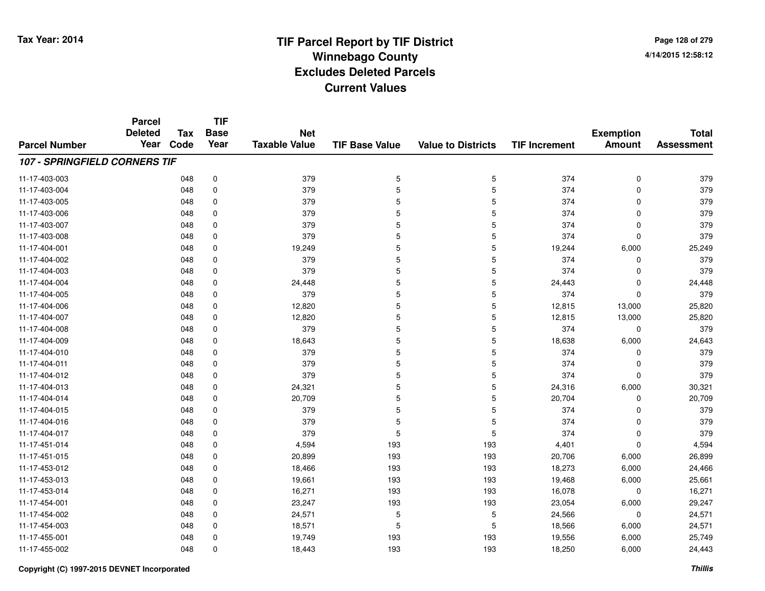**Page 128 of 2794/14/2015 12:58:12**

|                               | <b>Parcel</b><br><b>Deleted</b><br>Year | <b>Tax</b> | <b>TIF</b><br><b>Base</b> | <b>Net</b>           |                       |                           |                      | <b>Exemption</b> | <b>Total</b>      |
|-------------------------------|-----------------------------------------|------------|---------------------------|----------------------|-----------------------|---------------------------|----------------------|------------------|-------------------|
| <b>Parcel Number</b>          |                                         | Code       | Year                      | <b>Taxable Value</b> | <b>TIF Base Value</b> | <b>Value to Districts</b> | <b>TIF Increment</b> | <b>Amount</b>    | <b>Assessment</b> |
| 107 - SPRINGFIELD CORNERS TIF |                                         |            |                           |                      |                       |                           |                      |                  |                   |
| 11-17-403-003                 |                                         | 048        | $\pmb{0}$                 | 379                  | $\mathbf 5$           | 5                         | 374                  | 0                | 379               |
| 11-17-403-004                 |                                         | 048        | 0                         | 379                  | 5                     | 5                         | 374                  | 0                | 379               |
| 11-17-403-005                 |                                         | 048        | $\mathbf 0$               | 379                  | 5                     | 5                         | 374                  | $\mathbf 0$      | 379               |
| 11-17-403-006                 |                                         | 048        | 0                         | 379                  | 5                     | 5                         | 374                  | $\mathbf 0$      | 379               |
| 11-17-403-007                 |                                         | 048        | 0                         | 379                  | 5                     | 5                         | 374                  | 0                | 379               |
| 11-17-403-008                 |                                         | 048        | 0                         | 379                  | 5                     | 5                         | 374                  | $\mathbf 0$      | 379               |
| 11-17-404-001                 |                                         | 048        | 0                         | 19,249               | 5                     | 5                         | 19,244               | 6,000            | 25,249            |
| 11-17-404-002                 |                                         | 048        | $\mathbf 0$               | 379                  | 5                     | 5                         | 374                  | 0                | 379               |
| 11-17-404-003                 |                                         | 048        | 0                         | 379                  | 5                     | 5                         | 374                  | 0                | 379               |
| 11-17-404-004                 |                                         | 048        | $\mathbf 0$               | 24,448               | 5                     | 5                         | 24,443               | $\mathbf 0$      | 24,448            |
| 11-17-404-005                 |                                         | 048        | 0                         | 379                  | 5                     | 5                         | 374                  | $\mathbf 0$      | 379               |
| 11-17-404-006                 |                                         | 048        | $\mathbf 0$               | 12,820               | 5                     | 5                         | 12,815               | 13,000           | 25,820            |
| 11-17-404-007                 |                                         | 048        | 0                         | 12,820               | 5                     | 5                         | 12,815               | 13,000           | 25,820            |
| 11-17-404-008                 |                                         | 048        | 0                         | 379                  | 5                     | 5                         | 374                  | 0                | 379               |
| 11-17-404-009                 |                                         | 048        | 0                         | 18,643               | 5                     | 5                         | 18,638               | 6,000            | 24,643            |
| 11-17-404-010                 |                                         | 048        | 0                         | 379                  | 5                     | 5                         | 374                  | 0                | 379               |
| 11-17-404-011                 |                                         | 048        | 0                         | 379                  | 5                     | 5                         | 374                  | 0                | 379               |
| 11-17-404-012                 |                                         | 048        | 0                         | 379                  | 5                     | 5                         | 374                  | 0                | 379               |
| 11-17-404-013                 |                                         | 048        | 0                         | 24,321               | 5                     | 5                         | 24,316               | 6,000            | 30,321            |
| 11-17-404-014                 |                                         | 048        | 0                         | 20,709               | 5                     | 5                         | 20,704               | 0                | 20,709            |
| 11-17-404-015                 |                                         | 048        | 0                         | 379                  | 5                     | 5                         | 374                  | 0                | 379               |
| 11-17-404-016                 |                                         | 048        | 0                         | 379                  | 5                     | 5                         | 374                  | 0                | 379               |
| 11-17-404-017                 |                                         | 048        | 0                         | 379                  | 5                     | 5                         | 374                  | $\pmb{0}$        | 379               |
| 11-17-451-014                 |                                         | 048        | 0                         | 4,594                | 193                   | 193                       | 4,401                | $\mathbf 0$      | 4,594             |
| 11-17-451-015                 |                                         | 048        | 0                         | 20,899               | 193                   | 193                       | 20,706               | 6,000            | 26,899            |
| 11-17-453-012                 |                                         | 048        | 0                         | 18,466               | 193                   | 193                       | 18,273               | 6,000            | 24,466            |
| 11-17-453-013                 |                                         | 048        | 0                         | 19,661               | 193                   | 193                       | 19,468               | 6,000            | 25,661            |
| 11-17-453-014                 |                                         | 048        | 0                         | 16,271               | 193                   | 193                       | 16,078               | 0                | 16,271            |
| 11-17-454-001                 |                                         | 048        | 0                         | 23,247               | 193                   | 193                       | 23,054               | 6,000            | 29,247            |
| 11-17-454-002                 |                                         | 048        | $\mathbf 0$               | 24,571               | 5                     | 5                         | 24,566               | 0                | 24,571            |
| 11-17-454-003                 |                                         | 048        | 0                         | 18,571               | 5                     | 5                         | 18,566               | 6,000            | 24,571            |
| 11-17-455-001                 |                                         | 048        | 0                         | 19,749               | 193                   | 193                       | 19,556               | 6,000            | 25,749            |
| 11-17-455-002                 |                                         | 048        | $\Omega$                  | 18,443               | 193                   | 193                       | 18,250               | 6,000            | 24,443            |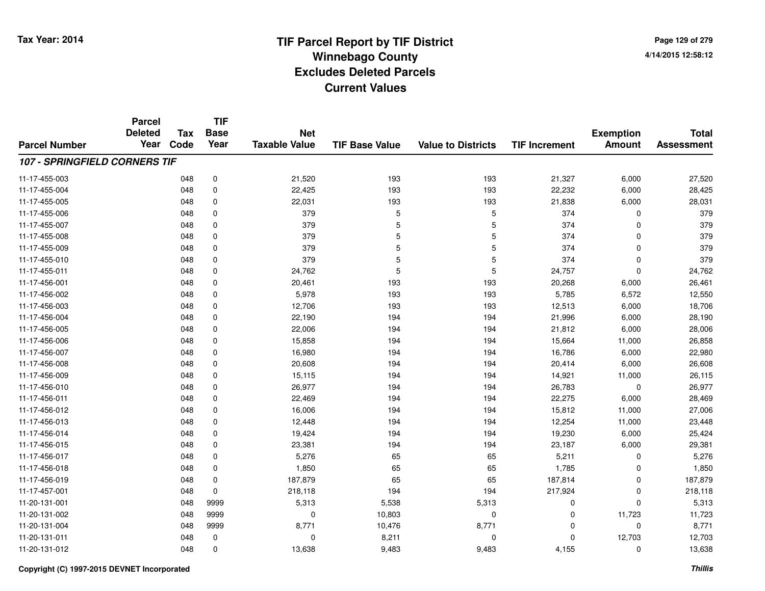**Page 129 of 2794/14/2015 12:58:12**

#### **TIF Base ValueParcel NumberTotal AssessmentExemption Amount Value to Districts TIF IncrementTIF Base YearTax CodeParcel Deleted YearNet Taxable Value107 - SPRINGFIELD CORNERS TIF**11-17-455-0033 048 0 21,520 193 193 21,327 6,000 27,520 11-17-455-0044 048 0 22,425 193 193 22,232 6,000 28,425 11-17-455-005 <sup>048</sup> 22,031 <sup>0</sup> <sup>193</sup> <sup>193</sup> 21,838 6,000 28,031 11-17-455-006 <sup>048</sup> <sup>379</sup> <sup>0</sup> <sup>5</sup> <sup>5</sup> <sup>374</sup> <sup>0</sup> <sup>379</sup> 11-17-455-007 <sup>048</sup> <sup>379</sup> <sup>0</sup> <sup>5</sup> <sup>5</sup> <sup>374</sup> <sup>0</sup> <sup>379</sup> 11-17-455-008 <sup>048</sup> <sup>379</sup> <sup>0</sup> <sup>5</sup> <sup>5</sup> <sup>374</sup> <sup>0</sup> <sup>379</sup> 11-17-455-009 <sup>048</sup> <sup>379</sup> <sup>0</sup> <sup>5</sup> <sup>5</sup> <sup>374</sup> <sup>0</sup> <sup>379</sup> 11-17-455-010 <sup>048</sup> <sup>379</sup> <sup>0</sup> <sup>5</sup> <sup>5</sup> <sup>374</sup> <sup>0</sup> <sup>379</sup> 11-17-455-0111 048 0 24,762 5 5 24,757 0 24,762 11-17-456-0011 048 0 20,461 193 193 20,268 6,000 26,461 11-17-456-002 <sup>048</sup> 5,978 <sup>0</sup> <sup>193</sup> <sup>193</sup> 5,785 6,572 12,550 11-17-456-0033 048 0 12,706 193 193 12,513 6,000 18,706 11-17-456-004 <sup>048</sup> 22,190 <sup>0</sup> <sup>194</sup> <sup>194</sup> 21,996 6,000 28,190 11-17-456-0055 048 0 22,006 194 194 21,812 6,000 28,006 11-17-456-0066 048 0 15,858 194 194 15,664 11,000 26,858 11-17-456-007 <sup>048</sup> 16,980 <sup>0</sup> <sup>194</sup> <sup>194</sup> 16,786 6,000 22,980 11-17-456-008 <sup>048</sup> 20,608 <sup>0</sup> <sup>194</sup> <sup>194</sup> 20,414 6,000 26,608 11-17-456-0099 048 0 15,115 194 194 14,921 11,000 26,115 11-17-456-0100 048 0 26,977 194 194 26,783 0 26,977 11-17-456-0111 048 0 22,469 194 194 22,275 6,000 28,469 11-17-456-012 <sup>048</sup> 16,006 <sup>0</sup> <sup>194</sup> <sup>194</sup> 15,812 11,000 27,006 11-17-456-0133 048 0 12,448 194 194 12,254 11,000 23,448 11-17-456-0144 19,230 6,000 19,424 19,424 194 194 194 194 195,230 6,000 25,424 11-17-456-0155 048 0 23,381 194 194 23,187 6,000 29,381 11-17-456-017 <sup>048</sup> 5,276 <sup>0</sup> <sup>65</sup> <sup>65</sup> 5,211 <sup>0</sup> 5,276 11-17-456-0188 048 0 1,850 65 65 1,785 0 1,850 11-17-456-0199 048 0 187,879 65 65 187,814 0 187,879 11-17-457-0011 048 0 218,118 194 194 217,924 0 218,118 11-20-131-0011 048 9999 5,313 5,538 5,313 0 0 5,313 11-20-131-002 <sup>048</sup> <sup>0</sup> <sup>9999</sup> 10,803 <sup>0</sup> <sup>0</sup> 11,723 11,723 11-20-131-004 <sup>048</sup> 8,771 <sup>9999</sup> 10,476 8,771 <sup>0</sup> <sup>0</sup> 8,771 11-20-131-0111 048 0 0 8,211 0 0 12,703 12,703 11-20-131-0122 048 0 13,638 9,483 9,483 4,155 0 13,638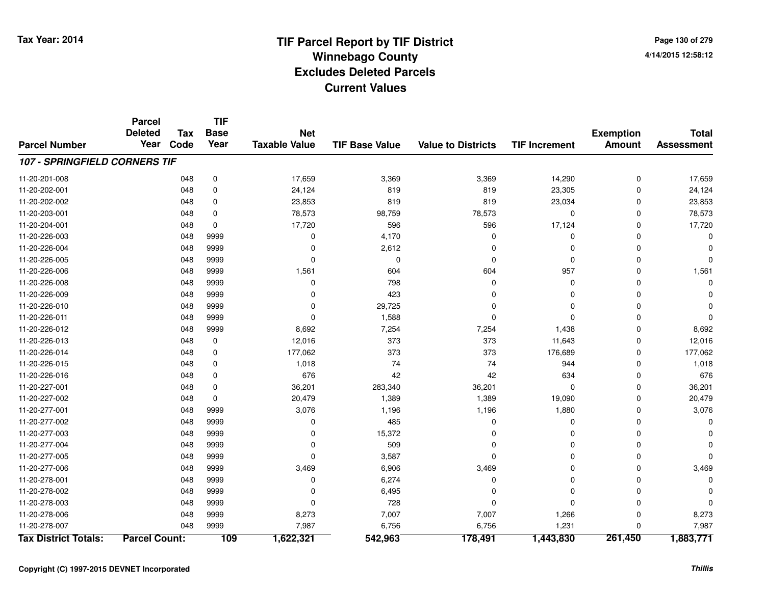**Page 130 of 2794/14/2015 12:58:12**

|                                      | <b>Parcel</b>        |            | <b>TIF</b>  |                      |                       |                           |                      |                  |                   |
|--------------------------------------|----------------------|------------|-------------|----------------------|-----------------------|---------------------------|----------------------|------------------|-------------------|
|                                      | <b>Deleted</b>       | <b>Tax</b> | <b>Base</b> | <b>Net</b>           |                       |                           |                      | <b>Exemption</b> | <b>Total</b>      |
| <b>Parcel Number</b>                 | Year                 | Code       | Year        | <b>Taxable Value</b> | <b>TIF Base Value</b> | <b>Value to Districts</b> | <b>TIF Increment</b> | <b>Amount</b>    | <b>Assessment</b> |
| <b>107 - SPRINGFIELD CORNERS TIF</b> |                      |            |             |                      |                       |                           |                      |                  |                   |
| 11-20-201-008                        |                      | 048        | 0           | 17,659               | 3,369                 | 3,369                     | 14,290               | 0                | 17,659            |
| 11-20-202-001                        |                      | 048        | 0           | 24,124               | 819                   | 819                       | 23,305               | 0                | 24,124            |
| 11-20-202-002                        |                      | 048        | $\mathbf 0$ | 23,853               | 819                   | 819                       | 23,034               | 0                | 23,853            |
| 11-20-203-001                        |                      | 048        | 0           | 78,573               | 98,759                | 78,573                    | 0                    | 0                | 78,573            |
| 11-20-204-001                        |                      | 048        | $\mathbf 0$ | 17,720               | 596                   | 596                       | 17,124               | 0                | 17,720            |
| 11-20-226-003                        |                      | 048        | 9999        | 0                    | 4,170                 | $\Omega$                  | 0                    | 0                | $\Omega$          |
| 11-20-226-004                        |                      | 048        | 9999        | $\Omega$             | 2,612                 | 0                         | $\Omega$             | 0                | O                 |
| 11-20-226-005                        |                      | 048        | 9999        | $\Omega$             | $\mathbf 0$           | 0                         | 0                    | 0                | $\Omega$          |
| 11-20-226-006                        |                      | 048        | 9999        | 1,561                | 604                   | 604                       | 957                  | 0                | 1,561             |
| 11-20-226-008                        |                      | 048        | 9999        | $\Omega$             | 798                   | $\mathbf 0$               | 0                    | 0                | $\Omega$          |
| 11-20-226-009                        |                      | 048        | 9999        | 0                    | 423                   | $\Omega$                  | $\Omega$             | 0                |                   |
| 11-20-226-010                        |                      | 048        | 9999        | 0                    | 29,725                | 0                         | 0                    | 0                |                   |
| 11-20-226-011                        |                      | 048        | 9999        | $\Omega$             | 1,588                 | 0                         | 0                    | 0                | $\Omega$          |
| 11-20-226-012                        |                      | 048        | 9999        | 8,692                | 7,254                 | 7,254                     | 1,438                | 0                | 8,692             |
| 11-20-226-013                        |                      | 048        | $\mathbf 0$ | 12,016               | 373                   | 373                       | 11,643               | 0                | 12,016            |
| 11-20-226-014                        |                      | 048        | $\mathbf 0$ | 177,062              | 373                   | 373                       | 176,689              | 0                | 177,062           |
| 11-20-226-015                        |                      | 048        | $\mathbf 0$ | 1,018                | 74                    | 74                        | 944                  | 0                | 1,018             |
| 11-20-226-016                        |                      | 048        | $\mathbf 0$ | 676                  | 42                    | 42                        | 634                  | 0                | 676               |
| 11-20-227-001                        |                      | 048        | 0           | 36,201               | 283,340               | 36,201                    | 0                    | 0                | 36,201            |
| 11-20-227-002                        |                      | 048        | $\mathbf 0$ | 20,479               | 1,389                 | 1,389                     | 19,090               | 0                | 20,479            |
| 11-20-277-001                        |                      | 048        | 9999        | 3,076                | 1,196                 | 1,196                     | 1,880                | 0                | 3,076             |
| 11-20-277-002                        |                      | 048        | 9999        | 0                    | 485                   | 0                         | 0                    | 0                | 0                 |
| 11-20-277-003                        |                      | 048        | 9999        | $\Omega$             | 15,372                | 0                         | 0                    | 0                |                   |
| 11-20-277-004                        |                      | 048        | 9999        | $\Omega$             | 509                   | 0                         | 0                    | 0                |                   |
| 11-20-277-005                        |                      | 048        | 9999        | $\Omega$             | 3,587                 | $\mathbf 0$               | 0                    | 0                | $\Omega$          |
| 11-20-277-006                        |                      | 048        | 9999        | 3,469                | 6,906                 | 3,469                     | 0                    | 0                | 3,469             |
| 11-20-278-001                        |                      | 048        | 9999        | 0                    | 6,274                 | 0                         | 0                    | 0                | $\Omega$          |
| 11-20-278-002                        |                      | 048        | 9999        | $\Omega$             | 6,495                 | 0                         | 0                    | 0                |                   |
| 11-20-278-003                        |                      | 048        | 9999        | $\Omega$             | 728                   | $\mathbf 0$               | $\overline{0}$       | 0                | $\bigcap$         |
| 11-20-278-006                        |                      | 048        | 9999        | 8,273                | 7,007                 | 7,007                     | 1,266                | 0                | 8,273             |
| 11-20-278-007                        |                      | 048        | 9999        | 7,987                | 6,756                 | 6,756                     | 1,231                | 0                | 7,987             |
| <b>Tax District Totals:</b>          | <b>Parcel Count:</b> |            | 109         | 1,622,321            | 542,963               | 178,491                   | 1,443,830            | 261,450          | 1,883,771         |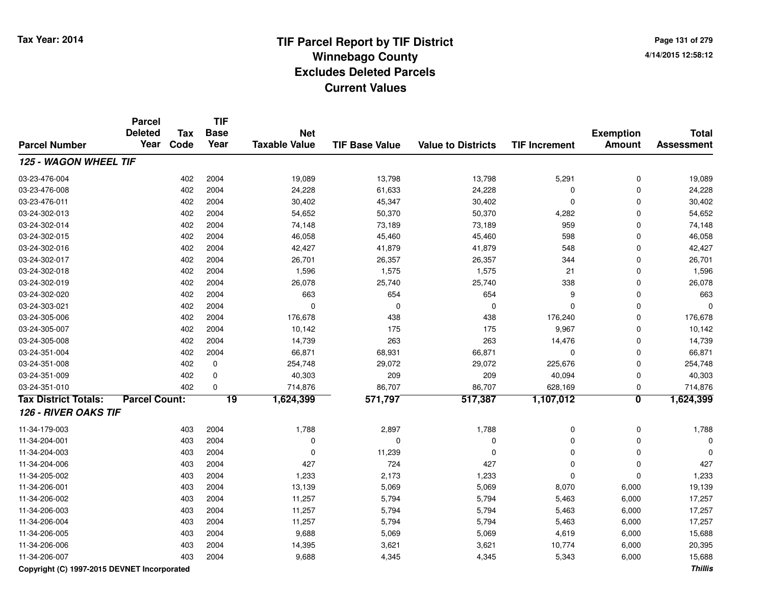|                             | <b>Parcel</b><br><b>Deleted</b> | Tax  | TIF<br><b>Base</b> | <b>Net</b>           |                       |                           |                      |                                   |                                   |
|-----------------------------|---------------------------------|------|--------------------|----------------------|-----------------------|---------------------------|----------------------|-----------------------------------|-----------------------------------|
| <b>Parcel Number</b>        | Year                            | Code | Year               | <b>Taxable Value</b> | <b>TIF Base Value</b> | <b>Value to Districts</b> | <b>TIF Increment</b> | <b>Exemption</b><br><b>Amount</b> | <b>Total</b><br><b>Assessment</b> |
| 125 - WAGON WHEEL TIF       |                                 |      |                    |                      |                       |                           |                      |                                   |                                   |
| 03-23-476-004               |                                 | 402  | 2004               | 19,089               | 13,798                | 13,798                    | 5,291                | 0                                 | 19,089                            |
| 03-23-476-008               |                                 | 402  | 2004               | 24,228               | 61,633                | 24,228                    | 0                    | 0                                 | 24,228                            |
| 03-23-476-011               |                                 | 402  | 2004               | 30,402               | 45,347                | 30,402                    | 0                    | 0                                 | 30,402                            |
| 03-24-302-013               |                                 | 402  | 2004               | 54,652               | 50,370                | 50,370                    | 4,282                | $\mathbf 0$                       | 54,652                            |
| 03-24-302-014               |                                 | 402  | 2004               | 74,148               | 73,189                | 73,189                    | 959                  | 0                                 | 74,148                            |
| 03-24-302-015               |                                 | 402  | 2004               | 46,058               | 45,460                | 45,460                    | 598                  | 0                                 | 46,058                            |
| 03-24-302-016               |                                 | 402  | 2004               | 42,427               | 41,879                | 41,879                    | 548                  | 0                                 | 42,427                            |
| 03-24-302-017               |                                 | 402  | 2004               | 26,701               | 26,357                | 26,357                    | 344                  | $\mathbf 0$                       | 26,701                            |
| 03-24-302-018               |                                 | 402  | 2004               | 1,596                | 1,575                 | 1,575                     | 21                   | $\mathbf 0$                       | 1,596                             |
| 03-24-302-019               |                                 | 402  | 2004               | 26,078               | 25,740                | 25,740                    | 338                  | 0                                 | 26,078                            |
| 03-24-302-020               |                                 | 402  | 2004               | 663                  | 654                   | 654                       | 9                    | 0                                 | 663                               |
| 03-24-303-021               |                                 | 402  | 2004               | $\Omega$             | $\Omega$              | $\mathbf 0$               | $\overline{0}$       | $\mathbf 0$                       | $\Omega$                          |
| 03-24-305-006               |                                 | 402  | 2004               | 176,678              | 438                   | 438                       | 176,240              | $\mathbf 0$                       | 176,678                           |
| 03-24-305-007               |                                 | 402  | 2004               | 10,142               | 175                   | 175                       | 9,967                | $\mathbf 0$                       | 10,142                            |
| 03-24-305-008               |                                 | 402  | 2004               | 14,739               | 263                   | 263                       | 14,476               | $\mathbf 0$                       | 14,739                            |
| 03-24-351-004               |                                 | 402  | 2004               | 66,871               | 68,931                | 66,871                    | 0                    | $\mathbf 0$                       | 66,871                            |
| 03-24-351-008               |                                 | 402  | $\mathbf 0$        | 254,748              | 29,072                | 29,072                    | 225,676              | 0                                 | 254,748                           |
| 03-24-351-009               |                                 | 402  | $\pmb{0}$          | 40,303               | 209                   | 209                       | 40,094               | $\pmb{0}$                         | 40,303                            |
| 03-24-351-010               |                                 | 402  | $\mathbf 0$        | 714,876              | 86,707                | 86,707                    | 628,169              | 0                                 | 714,876                           |
| <b>Tax District Totals:</b> | <b>Parcel Count:</b>            |      | $\overline{19}$    | 1,624,399            | 571,797               | 517,387                   | 1,107,012            | $\overline{\mathbf{0}}$           | 1,624,399                         |
| 126 - RIVER OAKS TIF        |                                 |      |                    |                      |                       |                           |                      |                                   |                                   |
| 11-34-179-003               |                                 | 403  | 2004               | 1,788                | 2,897                 | 1,788                     | 0                    | 0                                 | 1,788                             |
| 11-34-204-001               |                                 | 403  | 2004               | $\Omega$             | $\mathbf 0$           | $\Omega$                  | 0                    | 0                                 | $\Omega$                          |
| 11-34-204-003               |                                 | 403  | 2004               | $\mathbf 0$          | 11,239                | $\Omega$                  | 0                    | $\mathbf 0$                       | $\Omega$                          |
| 11-34-204-006               |                                 | 403  | 2004               | 427                  | 724                   | 427                       | 0                    | $\mathbf 0$                       | 427                               |
| 11-34-205-002               |                                 | 403  | 2004               | 1,233                | 2,173                 | 1,233                     | 0                    | $\pmb{0}$                         | 1,233                             |
| 11-34-206-001               |                                 | 403  | 2004               | 13,139               | 5,069                 | 5,069                     | 8,070                | 6,000                             | 19,139                            |
| 11-34-206-002               |                                 | 403  | 2004               | 11,257               | 5,794                 | 5,794                     | 5,463                | 6,000                             | 17,257                            |
| 11-34-206-003               |                                 | 403  | 2004               | 11,257               | 5,794                 | 5,794                     | 5,463                | 6,000                             | 17,257                            |
| 11-34-206-004               |                                 | 403  | 2004               | 11,257               | 5,794                 | 5,794                     | 5,463                | 6,000                             | 17,257                            |
| 11-34-206-005               |                                 | 403  | 2004               | 9,688                | 5,069                 | 5,069                     | 4,619                | 6,000                             | 15,688                            |
| 11-34-206-006               |                                 | 403  | 2004               | 14,395               | 3,621                 | 3,621                     | 10,774               | 6,000                             | 20,395                            |
| 11-34-206-007               |                                 | 403  | 2004               | 9,688                | 4,345                 | 4,345                     | 5,343                | 6,000                             | 15,688                            |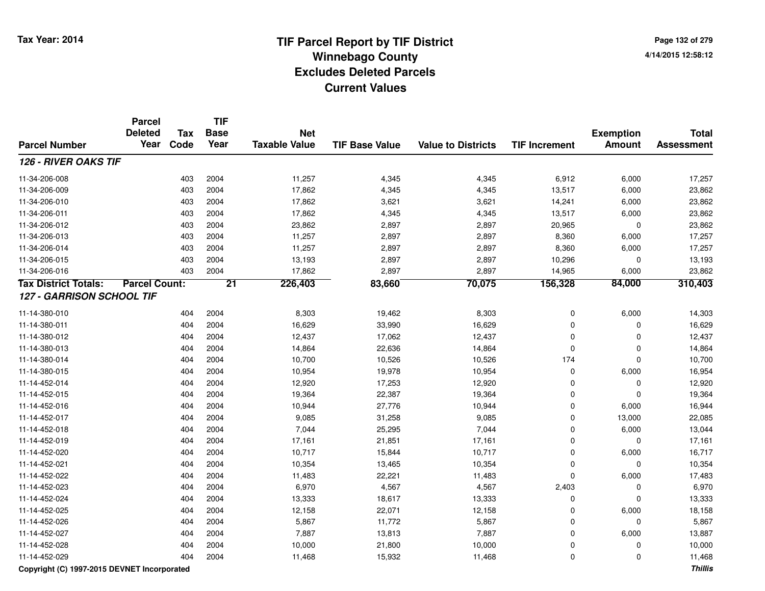**Page 132 of 2794/14/2015 12:58:12**

|                                             | <b>Parcel</b><br><b>Deleted</b> | <b>Tax</b> | <b>TIF</b><br><b>Base</b> | <b>Net</b>           |                       |                           |                      | <b>Exemption</b> | <b>Total</b>      |
|---------------------------------------------|---------------------------------|------------|---------------------------|----------------------|-----------------------|---------------------------|----------------------|------------------|-------------------|
| <b>Parcel Number</b>                        | Year                            | Code       | Year                      | <b>Taxable Value</b> | <b>TIF Base Value</b> | <b>Value to Districts</b> | <b>TIF Increment</b> | <b>Amount</b>    | <b>Assessment</b> |
| <b>126 - RIVER OAKS TIF</b>                 |                                 |            |                           |                      |                       |                           |                      |                  |                   |
| 11-34-206-008                               |                                 | 403        | 2004                      | 11,257               | 4,345                 | 4,345                     | 6,912                | 6,000            | 17,257            |
| 11-34-206-009                               |                                 | 403        | 2004                      | 17,862               | 4,345                 | 4,345                     | 13,517               | 6,000            | 23,862            |
| 11-34-206-010                               |                                 | 403        | 2004                      | 17,862               | 3,621                 | 3,621                     | 14,241               | 6,000            | 23,862            |
| 11-34-206-011                               |                                 | 403        | 2004                      | 17,862               | 4,345                 | 4,345                     | 13,517               | 6,000            | 23,862            |
| 11-34-206-012                               |                                 | 403        | 2004                      | 23,862               | 2,897                 | 2,897                     | 20,965               | 0                | 23,862            |
| 11-34-206-013                               |                                 | 403        | 2004                      | 11,257               | 2,897                 | 2,897                     | 8,360                | 6,000            | 17,257            |
| 11-34-206-014                               |                                 | 403        | 2004                      | 11,257               | 2,897                 | 2,897                     | 8,360                | 6,000            | 17,257            |
| 11-34-206-015                               |                                 | 403        | 2004                      | 13,193               | 2,897                 | 2,897                     | 10,296               | $\mathbf 0$      | 13,193            |
| 11-34-206-016                               |                                 | 403        | 2004                      | 17,862               | 2,897                 | 2,897                     | 14,965               | 6,000            | 23,862            |
| <b>Tax District Totals:</b>                 | <b>Parcel Count:</b>            |            | $\overline{21}$           | 226,403              | 83,660                | 70,075                    | 156,328              | 84,000           | 310,403           |
| <b>127 - GARRISON SCHOOL TIF</b>            |                                 |            |                           |                      |                       |                           |                      |                  |                   |
| 11-14-380-010                               |                                 | 404        | 2004                      | 8,303                | 19,462                | 8,303                     | $\mathbf 0$          | 6,000            | 14,303            |
| 11-14-380-011                               |                                 | 404        | 2004                      | 16,629               | 33,990                | 16,629                    | $\Omega$             | $\mathbf 0$      | 16,629            |
| 11-14-380-012                               |                                 | 404        | 2004                      | 12,437               | 17,062                | 12,437                    | $\mathbf 0$          | $\mathbf 0$      | 12,437            |
| 11-14-380-013                               |                                 | 404        | 2004                      | 14,864               | 22,636                | 14,864                    | $\Omega$             | 0                | 14,864            |
| 11-14-380-014                               |                                 | 404        | 2004                      | 10,700               | 10,526                | 10,526                    | 174                  | $\mathbf 0$      | 10,700            |
| 11-14-380-015                               |                                 | 404        | 2004                      | 10,954               | 19,978                | 10,954                    | $\mathbf 0$          | 6,000            | 16,954            |
| 11-14-452-014                               |                                 | 404        | 2004                      | 12,920               | 17,253                | 12,920                    | $\Omega$             | 0                | 12,920            |
| 11-14-452-015                               |                                 | 404        | 2004                      | 19,364               | 22,387                | 19,364                    | $\Omega$             | $\Omega$         | 19,364            |
| 11-14-452-016                               |                                 | 404        | 2004                      | 10,944               | 27,776                | 10,944                    | $\mathbf 0$          | 6,000            | 16,944            |
| 11-14-452-017                               |                                 | 404        | 2004                      | 9,085                | 31,258                | 9,085                     | $\mathbf 0$          | 13,000           | 22,085            |
| 11-14-452-018                               |                                 | 404        | 2004                      | 7,044                | 25,295                | 7,044                     | 0                    | 6,000            | 13,044            |
| 11-14-452-019                               |                                 | 404        | 2004                      | 17,161               | 21,851                | 17,161                    | $\mathbf 0$          | 0                | 17,161            |
| 11-14-452-020                               |                                 | 404        | 2004                      | 10,717               | 15,844                | 10,717                    | $\mathbf 0$          | 6,000            | 16,717            |
| 11-14-452-021                               |                                 | 404        | 2004                      | 10,354               | 13,465                | 10,354                    | $\mathbf 0$          | $\mathbf 0$      | 10,354            |
| 11-14-452-022                               |                                 | 404        | 2004                      | 11,483               | 22,221                | 11,483                    | $\Omega$             | 6,000            | 17,483            |
| 11-14-452-023                               |                                 | 404        | 2004                      | 6,970                | 4,567                 | 4,567                     | 2,403                | $\mathbf 0$      | 6,970             |
| 11-14-452-024                               |                                 | 404        | 2004                      | 13,333               | 18,617                | 13,333                    | $\Omega$             | $\mathbf 0$      | 13,333            |
| 11-14-452-025                               |                                 | 404        | 2004                      | 12,158               | 22,071                | 12,158                    | $\Omega$             | 6,000            | 18,158            |
| 11-14-452-026                               |                                 | 404        | 2004                      | 5,867                | 11,772                | 5,867                     | $\mathbf 0$          | 0                | 5,867             |
| 11-14-452-027                               |                                 | 404        | 2004                      | 7,887                | 13,813                | 7,887                     | $\Omega$             | 6,000            | 13,887            |
| 11-14-452-028                               |                                 | 404        | 2004                      | 10,000               | 21,800                | 10,000                    | $\mathbf 0$          | 0                | 10,000            |
| 11-14-452-029                               |                                 | 404        | 2004                      | 11,468               | 15,932                | 11,468                    | $\mathbf 0$          | 0                | 11,468            |
| Copyright (C) 1997-2015 DEVNET Incorporated |                                 |            |                           |                      |                       |                           |                      |                  | <b>Thillis</b>    |

**Thillis**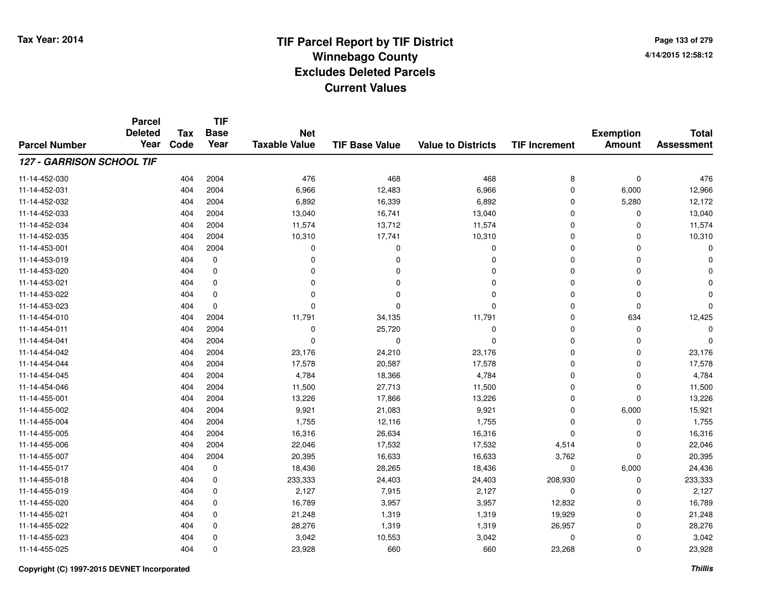# **TIF Parcel Report by TIF District Tax Year: 2014 Winnebago County04/14/2015 12:58:12** PM **Excludes Deleted ParcelsCurrent Values**

**Page 133 of 2794/14/2015 12:58:12**

|                           | <b>Parcel</b><br><b>Deleted</b> | <b>Tax</b> | <b>TIF</b><br><b>Base</b> | <b>Net</b>           |                       |                           |                      | <b>Exemption</b> | <b>Total</b>      |
|---------------------------|---------------------------------|------------|---------------------------|----------------------|-----------------------|---------------------------|----------------------|------------------|-------------------|
| <b>Parcel Number</b>      | Year                            | Code       | Year                      | <b>Taxable Value</b> | <b>TIF Base Value</b> | <b>Value to Districts</b> | <b>TIF Increment</b> | <b>Amount</b>    | <b>Assessment</b> |
| 127 - GARRISON SCHOOL TIF |                                 |            |                           |                      |                       |                           |                      |                  |                   |
| 11-14-452-030             |                                 | 404        | 2004                      | 476                  | 468                   | 468                       | 8                    | $\mathbf 0$      | 476               |
| 11-14-452-031             |                                 | 404        | 2004                      | 6,966                | 12,483                | 6,966                     | 0                    | 6,000            | 12,966            |
| 11-14-452-032             |                                 | 404        | 2004                      | 6,892                | 16,339                | 6,892                     | $\mathbf 0$          | 5,280            | 12,172            |
| 11-14-452-033             |                                 | 404        | 2004                      | 13,040               | 16,741                | 13,040                    | 0                    | 0                | 13,040            |
| 11-14-452-034             |                                 | 404        | 2004                      | 11,574               | 13,712                | 11,574                    | $\mathbf 0$          | $\Omega$         | 11,574            |
| 11-14-452-035             |                                 | 404        | 2004                      | 10,310               | 17,741                | 10,310                    | 0                    | 0                | 10,310            |
| 11-14-453-001             |                                 | 404        | 2004                      | 0                    | $\mathbf 0$           | $\mathbf 0$               | $\mathbf 0$          | $\Omega$         | $\Omega$          |
| 11-14-453-019             |                                 | 404        | $\mathbf 0$               | $\Omega$             | $\mathbf 0$           | 0                         | $\mathbf 0$          | $\Omega$         |                   |
| 11-14-453-020             |                                 | 404        | $\mathbf 0$               | $\Omega$             | $\mathbf 0$           | $\Omega$                  | $\mathbf 0$          | $\Omega$         |                   |
| 11-14-453-021             |                                 | 404        | 0                         | $\Omega$             | 0                     | $\Omega$                  | $\mathbf 0$          | $\Omega$         |                   |
| 11-14-453-022             |                                 | 404        | $\mathbf 0$               | $\Omega$             | $\Omega$              | $\Omega$                  | $\Omega$             | $\Omega$         |                   |
| 11-14-453-023             |                                 | 404        | $\mathbf 0$               | $\Omega$             | $\Omega$              | $\Omega$                  | 0                    | $\mathbf 0$      | 0                 |
| 11-14-454-010             |                                 | 404        | 2004                      | 11,791               | 34,135                | 11,791                    | $\mathbf 0$          | 634              | 12,425            |
| 11-14-454-011             |                                 | 404        | 2004                      | 0                    | 25,720                | $\mathbf 0$               | 0                    | 0                |                   |
| 11-14-454-041             |                                 | 404        | 2004                      | $\mathbf 0$          | $\mathbf 0$           | $\Omega$                  | $\mathbf 0$          | $\Omega$         | $\Omega$          |
| 11-14-454-042             |                                 | 404        | 2004                      | 23,176               | 24,210                | 23,176                    | 0                    | $\Omega$         | 23,176            |
| 11-14-454-044             |                                 | 404        | 2004                      | 17,578               | 20,587                | 17,578                    | $\mathbf 0$          | $\Omega$         | 17,578            |
| 11-14-454-045             |                                 | 404        | 2004                      | 4,784                | 18,366                | 4,784                     | 0                    | 0                | 4,784             |
| 11-14-454-046             |                                 | 404        | 2004                      | 11,500               | 27,713                | 11,500                    | $\mathbf 0$          | 0                | 11,500            |
| 11-14-455-001             |                                 | 404        | 2004                      | 13,226               | 17,866                | 13,226                    | 0                    | 0                | 13,226            |
| 11-14-455-002             |                                 | 404        | 2004                      | 9,921                | 21,083                | 9,921                     | $\mathbf 0$          | 6,000            | 15,921            |
| 11-14-455-004             |                                 | 404        | 2004                      | 1,755                | 12,116                | 1,755                     | 0                    | 0                | 1,755             |
| 11-14-455-005             |                                 | 404        | 2004                      | 16,316               | 26,634                | 16,316                    | $\mathbf 0$          | 0                | 16,316            |
| 11-14-455-006             |                                 | 404        | 2004                      | 22,046               | 17,532                | 17,532                    | 4,514                | 0                | 22,046            |
| 11-14-455-007             |                                 | 404        | 2004                      | 20,395               | 16,633                | 16,633                    | 3,762                | $\Omega$         | 20,395            |
| 11-14-455-017             |                                 | 404        | 0                         | 18,436               | 28,265                | 18,436                    | 0                    | 6,000            | 24,436            |
| 11-14-455-018             |                                 | 404        | $\mathbf 0$               | 233,333              | 24,403                | 24,403                    | 208,930              | $\mathbf 0$      | 233,333           |
| 11-14-455-019             |                                 | 404        | 0                         | 2,127                | 7,915                 | 2,127                     | 0                    | 0                | 2,127             |
| 11-14-455-020             |                                 | 404        | 0                         | 16,789               | 3,957                 | 3,957                     | 12,832               | $\Omega$         | 16,789            |
| 11-14-455-021             |                                 | 404        | 0                         | 21,248               | 1,319                 | 1,319                     | 19,929               | 0                | 21,248            |
| 11-14-455-022             |                                 | 404        | 0                         | 28,276               | 1,319                 | 1,319                     | 26,957               | $\Omega$         | 28,276            |
| 11-14-455-023             |                                 | 404        | 0                         | 3,042                | 10,553                | 3,042                     | 0                    | $\Omega$         | 3,042             |
| 11-14-455-025             |                                 | 404        | $\mathbf 0$               | 23,928               | 660                   | 660                       | 23,268               | $\Omega$         | 23,928            |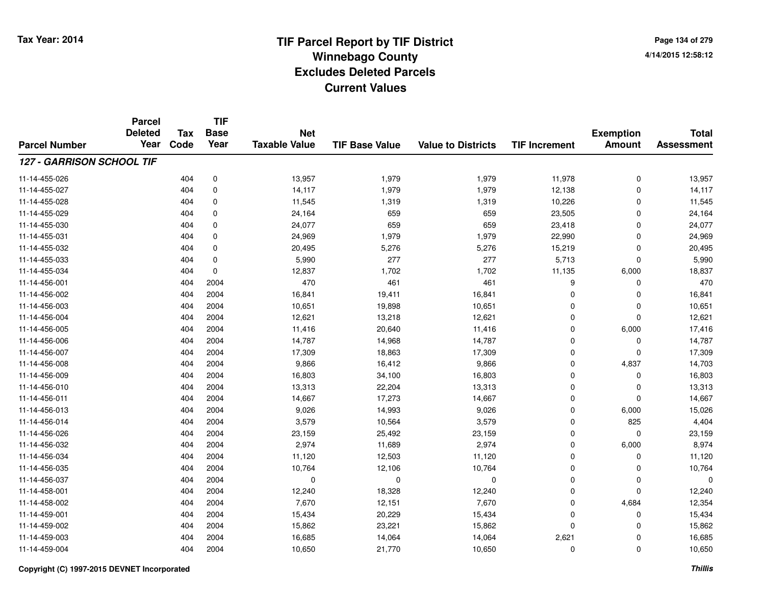**TIF**

**Parcel**

**Page 134 of 2794/14/2015 12:58:12**

| <b>Parcel Number</b>             | uı vu<br><b>Deleted</b><br>Year | <b>Tax</b><br>Code | <b>Base</b><br>Year | <b>Net</b><br><b>Taxable Value</b> | <b>TIF Base Value</b> | <b>Value to Districts</b> | <b>TIF Increment</b> | <b>Exemption</b><br><b>Amount</b> | <b>Total</b><br><b>Assessment</b> |
|----------------------------------|---------------------------------|--------------------|---------------------|------------------------------------|-----------------------|---------------------------|----------------------|-----------------------------------|-----------------------------------|
| <b>127 - GARRISON SCHOOL TIF</b> |                                 |                    |                     |                                    |                       |                           |                      |                                   |                                   |
| 11-14-455-026                    |                                 | 404                | 0                   | 13,957                             | 1,979                 | 1,979                     | 11,978               | 0                                 | 13,957                            |
| 11-14-455-027                    |                                 | 404                | 0                   | 14,117                             | 1,979                 | 1,979                     | 12,138               | $\mathbf 0$                       | 14,117                            |
| 11-14-455-028                    |                                 | 404                | 0                   | 11,545                             | 1,319                 | 1,319                     | 10,226               | 0                                 | 11,545                            |
| 11-14-455-029                    |                                 | 404                | 0                   | 24,164                             | 659                   | 659                       | 23,505               | 0                                 | 24,164                            |
| 11-14-455-030                    |                                 | 404                | 0                   | 24,077                             | 659                   | 659                       | 23,418               | 0                                 | 24,077                            |
| 11-14-455-031                    |                                 | 404                | 0                   | 24,969                             | 1,979                 | 1,979                     | 22,990               | $\mathbf 0$                       | 24,969                            |
| 11-14-455-032                    |                                 | 404                | $\mathbf 0$         | 20,495                             | 5,276                 | 5,276                     | 15,219               | $\mathbf 0$                       | 20,495                            |
| 11-14-455-033                    |                                 | 404                | $\mathbf 0$         | 5,990                              | 277                   | 277                       | 5,713                | $\mathbf 0$                       | 5,990                             |
| 11-14-455-034                    |                                 | 404                | $\mathbf 0$         | 12,837                             | 1,702                 | 1,702                     | 11,135               | 6,000                             | 18,837                            |
| 11-14-456-001                    |                                 | 404                | 2004                | 470                                | 461                   | 461                       | 9                    | 0                                 | 470                               |
| 11-14-456-002                    |                                 | 404                | 2004                | 16,841                             | 19,411                | 16,841                    | 0                    | $\mathbf 0$                       | 16,841                            |
| 11-14-456-003                    |                                 | 404                | 2004                | 10,651                             | 19,898                | 10,651                    | 0                    | 0                                 | 10,651                            |
| 11-14-456-004                    |                                 | 404                | 2004                | 12,621                             | 13,218                | 12,621                    | 0                    | 0                                 | 12,621                            |
| 11-14-456-005                    |                                 | 404                | 2004                | 11,416                             | 20,640                | 11,416                    | 0                    | 6,000                             | 17,416                            |
| 11-14-456-006                    |                                 | 404                | 2004                | 14,787                             | 14,968                | 14,787                    | 0                    | 0                                 | 14,787                            |
| 11-14-456-007                    |                                 | 404                | 2004                | 17,309                             | 18,863                | 17,309                    | 0                    | $\mathbf 0$                       | 17,309                            |
| 11-14-456-008                    |                                 | 404                | 2004                | 9,866                              | 16,412                | 9,866                     | 0                    | 4,837                             | 14,703                            |
| 11-14-456-009                    |                                 | 404                | 2004                | 16,803                             | 34,100                | 16,803                    | 0                    | 0                                 | 16,803                            |
| 11-14-456-010                    |                                 | 404                | 2004                | 13,313                             | 22,204                | 13,313                    | 0                    | $\mathbf 0$                       | 13,313                            |
| 11-14-456-011                    |                                 | 404                | 2004                | 14,667                             | 17,273                | 14,667                    | 0                    | $\mathbf 0$                       | 14,667                            |
| 11-14-456-013                    |                                 | 404                | 2004                | 9,026                              | 14,993                | 9,026                     | 0                    | 6,000                             | 15,026                            |
| 11-14-456-014                    |                                 | 404                | 2004                | 3,579                              | 10,564                | 3,579                     | 0                    | 825                               | 4,404                             |
| 11-14-456-026                    |                                 | 404                | 2004                | 23,159                             | 25,492                | 23,159                    | 0                    | 0                                 | 23,159                            |
| 11-14-456-032                    |                                 | 404                | 2004                | 2,974                              | 11,689                | 2,974                     | 0                    | 6,000                             | 8,974                             |
| 11-14-456-034                    |                                 | 404                | 2004                | 11,120                             | 12,503                | 11,120                    | 0                    | 0                                 | 11,120                            |
| 11-14-456-035                    |                                 | 404                | 2004                | 10,764                             | 12,106                | 10,764                    | 0                    | $\mathbf 0$                       | 10,764                            |
| 11-14-456-037                    |                                 | 404                | 2004                | 0                                  | $\Omega$              | 0                         | 0                    | $\mathbf 0$                       | $\Omega$                          |
| 11-14-458-001                    |                                 | 404                | 2004                | 12,240                             | 18,328                | 12,240                    | 0                    | 0                                 | 12,240                            |
| 11-14-458-002                    |                                 | 404                | 2004                | 7,670                              | 12,151                | 7,670                     | 0                    | 4,684                             | 12,354                            |
| 11-14-459-001                    |                                 | 404                | 2004                | 15,434                             | 20,229                | 15,434                    | 0                    | 0                                 | 15,434                            |
| 11-14-459-002                    |                                 | 404                | 2004                | 15,862                             | 23,221                | 15,862                    | 0                    | 0                                 | 15,862                            |
| 11-14-459-003                    |                                 | 404                | 2004                | 16,685                             | 14,064                | 14,064                    | 2,621                | 0                                 | 16,685                            |
| 11-14-459-004                    |                                 | 404                | 2004                | 10,650                             | 21,770                | 10,650                    | 0                    | 0                                 | 10,650                            |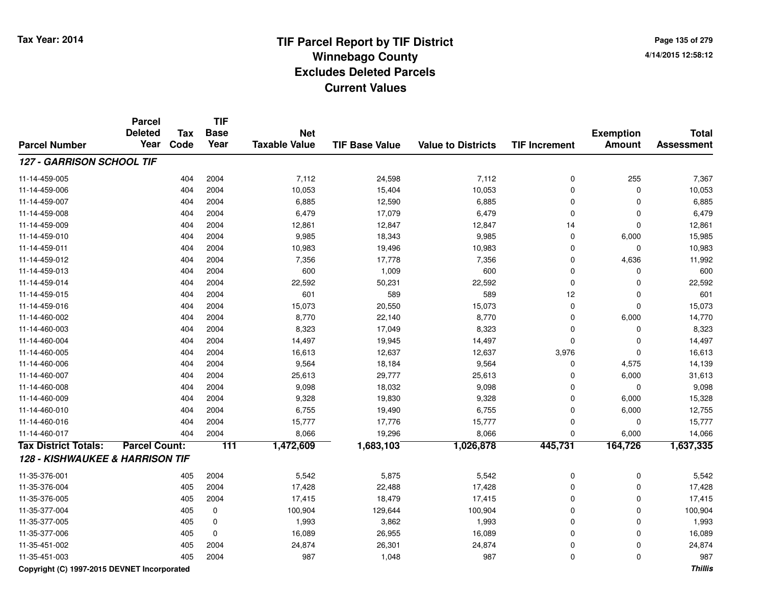**Page 135 of 2794/14/2015 12:58:12**

|                                            | <b>Parcel</b><br><b>Deleted</b> | <b>Tax</b> | <b>TIF</b><br><b>Base</b> | <b>Net</b>           |                       |                           |                      | <b>Exemption</b> | <b>Total</b>      |
|--------------------------------------------|---------------------------------|------------|---------------------------|----------------------|-----------------------|---------------------------|----------------------|------------------|-------------------|
| <b>Parcel Number</b>                       | Year                            | Code       | Year                      | <b>Taxable Value</b> | <b>TIF Base Value</b> | <b>Value to Districts</b> | <b>TIF Increment</b> | <b>Amount</b>    | <b>Assessment</b> |
| 127 - GARRISON SCHOOL TIF                  |                                 |            |                           |                      |                       |                           |                      |                  |                   |
| 11-14-459-005                              |                                 | 404        | 2004                      | 7,112                | 24,598                | 7,112                     | 0                    | 255              | 7,367             |
| 11-14-459-006                              |                                 | 404        | 2004                      | 10,053               | 15,404                | 10,053                    | 0                    | $\mathbf 0$      | 10,053            |
| 11-14-459-007                              |                                 | 404        | 2004                      | 6,885                | 12,590                | 6,885                     | $\mathbf 0$          | $\Omega$         | 6,885             |
| 11-14-459-008                              |                                 | 404        | 2004                      | 6,479                | 17,079                | 6,479                     | 0                    | 0                | 6,479             |
| 11-14-459-009                              |                                 | 404        | 2004                      | 12,861               | 12,847                | 12,847                    | 14                   | $\mathbf 0$      | 12,861            |
| 11-14-459-010                              |                                 | 404        | 2004                      | 9,985                | 18,343                | 9,985                     | 0                    | 6,000            | 15,985            |
| 11-14-459-011                              |                                 | 404        | 2004                      | 10,983               | 19,496                | 10,983                    | 0                    | $\mathbf 0$      | 10,983            |
| 11-14-459-012                              |                                 | 404        | 2004                      | 7,356                | 17,778                | 7,356                     | 0                    | 4,636            | 11,992            |
| 11-14-459-013                              |                                 | 404        | 2004                      | 600                  | 1,009                 | 600                       | 0                    | 0                | 600               |
| 11-14-459-014                              |                                 | 404        | 2004                      | 22,592               | 50,231                | 22,592                    | 0                    | 0                | 22,592            |
| 11-14-459-015                              |                                 | 404        | 2004                      | 601                  | 589                   | 589                       | 12                   | 0                | 601               |
| 11-14-459-016                              |                                 | 404        | 2004                      | 15,073               | 20,550                | 15,073                    | 0                    | $\mathbf 0$      | 15,073            |
| 11-14-460-002                              |                                 | 404        | 2004                      | 8,770                | 22,140                | 8,770                     | 0                    | 6,000            | 14,770            |
| 11-14-460-003                              |                                 | 404        | 2004                      | 8,323                | 17,049                | 8,323                     | 0                    | $\mathbf 0$      | 8,323             |
| 11-14-460-004                              |                                 | 404        | 2004                      | 14,497               | 19,945                | 14,497                    | 0                    | $\mathbf 0$      | 14,497            |
| 11-14-460-005                              |                                 | 404        | 2004                      | 16,613               | 12,637                | 12,637                    | 3,976                | $\Omega$         | 16,613            |
| 11-14-460-006                              |                                 | 404        | 2004                      | 9,564                | 18,184                | 9,564                     | 0                    | 4,575            | 14,139            |
| 11-14-460-007                              |                                 | 404        | 2004                      | 25,613               | 29,777                | 25,613                    | $\mathbf 0$          | 6,000            | 31,613            |
| 11-14-460-008                              |                                 | 404        | 2004                      | 9,098                | 18,032                | 9,098                     | 0                    | $\Omega$         | 9,098             |
| 11-14-460-009                              |                                 | 404        | 2004                      | 9,328                | 19,830                | 9,328                     | $\mathbf 0$          | 6,000            | 15,328            |
| 11-14-460-010                              |                                 | 404        | 2004                      | 6,755                | 19,490                | 6,755                     | $\mathbf 0$          | 6,000            | 12,755            |
| 11-14-460-016                              |                                 | 404        | 2004                      | 15,777               | 17,776                | 15,777                    | 0                    | 0                | 15,777            |
| 11-14-460-017                              |                                 | 404        | 2004                      | 8,066                | 19,296                | 8,066                     | $\mathbf 0$          | 6,000            | 14,066            |
| <b>Tax District Totals:</b>                | <b>Parcel Count:</b>            |            | $\overline{111}$          | 1,472,609            | 1,683,103             | 1,026,878                 | 445,731              | 164,726          | 1,637,335         |
| <b>128 - KISHWAUKEE &amp; HARRISON TIF</b> |                                 |            |                           |                      |                       |                           |                      |                  |                   |
| 11-35-376-001                              |                                 | 405        | 2004                      | 5,542                | 5,875                 | 5,542                     | 0                    | $\mathbf 0$      | 5,542             |
| 11-35-376-004                              |                                 | 405        | 2004                      | 17,428               | 22,488                | 17,428                    | 0                    | 0                | 17,428            |
| 11-35-376-005                              |                                 | 405        | 2004                      | 17,415               | 18,479                | 17,415                    | 0                    | 0                | 17,415            |
| 11-35-377-004                              |                                 | 405        | 0                         | 100,904              | 129,644               | 100,904                   | 0                    | 0                | 100,904           |
| 11-35-377-005                              |                                 | 405        | 0                         | 1,993                | 3,862                 | 1,993                     | 0                    | $\mathbf 0$      | 1,993             |
| 11-35-377-006                              |                                 | 405        | $\mathbf 0$               | 16,089               | 26,955                | 16,089                    | 0                    | $\mathbf 0$      | 16,089            |
| 11-35-451-002                              |                                 | 405        | 2004                      | 24,874               | 26,301                | 24,874                    | 0                    | $\mathbf 0$      | 24,874            |
| 11-35-451-003                              |                                 | 405        | 2004                      | 987                  | 1,048                 | 987                       | 0                    | $\Omega$         | 987               |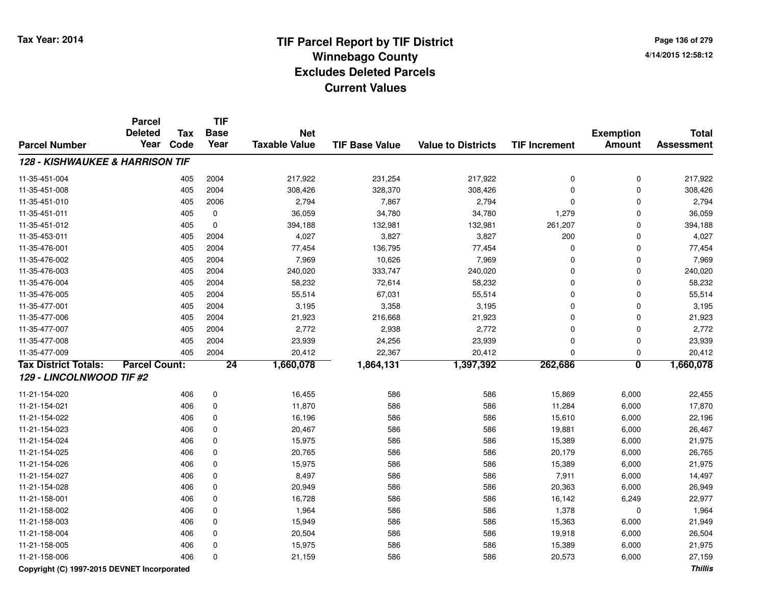**Page 136 of 2794/14/2015 12:58:12**

|                                            | <b>Parcel</b><br><b>Deleted</b> | <b>Tax</b> | <b>TIF</b><br><b>Base</b> |                                    |                       |                           |                      |                                   |                            |
|--------------------------------------------|---------------------------------|------------|---------------------------|------------------------------------|-----------------------|---------------------------|----------------------|-----------------------------------|----------------------------|
| <b>Parcel Number</b>                       | Year                            | Code       | Year                      | <b>Net</b><br><b>Taxable Value</b> | <b>TIF Base Value</b> | <b>Value to Districts</b> | <b>TIF Increment</b> | <b>Exemption</b><br><b>Amount</b> | <b>Total</b><br>Assessment |
| <b>128 - KISHWAUKEE &amp; HARRISON TIF</b> |                                 |            |                           |                                    |                       |                           |                      |                                   |                            |
| 11-35-451-004                              |                                 | 405        | 2004                      | 217,922                            | 231,254               | 217,922                   | 0                    | 0                                 | 217,922                    |
| 11-35-451-008                              |                                 | 405        | 2004                      | 308,426                            | 328,370               | 308,426                   | 0                    | 0                                 | 308,426                    |
| 11-35-451-010                              |                                 | 405        | 2006                      | 2,794                              | 7,867                 | 2,794                     | 0                    | 0                                 | 2,794                      |
| 11-35-451-011                              |                                 | 405        | $\mathbf 0$               | 36,059                             | 34,780                | 34,780                    | 1,279                | 0                                 | 36,059                     |
| 11-35-451-012                              |                                 | 405        | $\mathbf 0$               | 394,188                            | 132,981               | 132,981                   | 261,207              | 0                                 | 394,188                    |
| 11-35-453-011                              |                                 | 405        | 2004                      | 4,027                              | 3,827                 | 3,827                     | 200                  | 0                                 | 4,027                      |
| 11-35-476-001                              |                                 | 405        | 2004                      | 77,454                             | 136,795               | 77,454                    | 0                    | 0                                 | 77,454                     |
| 11-35-476-002                              |                                 | 405        | 2004                      | 7,969                              | 10,626                | 7,969                     | 0                    | 0                                 | 7,969                      |
| 11-35-476-003                              |                                 | 405        | 2004                      | 240,020                            | 333,747               | 240,020                   | 0                    | 0                                 | 240,020                    |
| 11-35-476-004                              |                                 | 405        | 2004                      | 58,232                             | 72,614                | 58,232                    | 0                    | 0                                 | 58,232                     |
| 11-35-476-005                              |                                 | 405        | 2004                      | 55,514                             | 67,031                | 55,514                    | 0                    | 0                                 | 55,514                     |
| 11-35-477-001                              |                                 | 405        | 2004                      | 3,195                              | 3,358                 | 3,195                     | 0                    | 0                                 | 3,195                      |
| 11-35-477-006                              |                                 | 405        | 2004                      | 21,923                             | 216,668               | 21,923                    | 0                    | 0                                 | 21,923                     |
| 11-35-477-007                              |                                 | 405        | 2004                      | 2,772                              | 2,938                 | 2,772                     | 0                    | 0                                 | 2,772                      |
| 11-35-477-008                              |                                 | 405        | 2004                      | 23,939                             | 24,256                | 23,939                    | $\mathbf 0$          | 0                                 | 23,939                     |
| 11-35-477-009                              |                                 | 405        | 2004                      | 20,412                             | 22,367                | 20,412                    | $\Omega$             | 0                                 | 20,412                     |
| <b>Tax District Totals:</b>                | <b>Parcel Count:</b>            |            | 24                        | 1,660,078                          | 1,864,131             | 1,397,392                 | 262,686              | $\overline{\mathbf{0}}$           | 1,660,078                  |
| 129 - LINCOLNWOOD TIF #2                   |                                 |            |                           |                                    |                       |                           |                      |                                   |                            |
| 11-21-154-020                              |                                 | 406        | 0                         | 16,455                             | 586                   | 586                       | 15,869               | 6,000                             | 22,455                     |
| 11-21-154-021                              |                                 | 406        | $\mathbf 0$               | 11,870                             | 586                   | 586                       | 11,284               | 6,000                             | 17,870                     |
| 11-21-154-022                              |                                 | 406        | 0                         | 16,196                             | 586                   | 586                       | 15,610               | 6,000                             | 22,196                     |
| 11-21-154-023                              |                                 | 406        | $\mathbf 0$               | 20,467                             | 586                   | 586                       | 19,881               | 6,000                             | 26,467                     |
| 11-21-154-024                              |                                 | 406        | 0                         | 15,975                             | 586                   | 586                       | 15,389               | 6,000                             | 21,975                     |
| 11-21-154-025                              |                                 | 406        | $\mathbf 0$               | 20,765                             | 586                   | 586                       | 20,179               | 6,000                             | 26,765                     |
| 11-21-154-026                              |                                 | 406        | $\mathbf 0$               | 15,975                             | 586                   | 586                       | 15,389               | 6,000                             | 21,975                     |
| 11-21-154-027                              |                                 | 406        | $\mathbf 0$               | 8,497                              | 586                   | 586                       | 7,911                | 6,000                             | 14,497                     |
| 11-21-154-028                              |                                 | 406        | $\mathbf 0$               | 20,949                             | 586                   | 586                       | 20,363               | 6,000                             | 26,949                     |
| 11-21-158-001                              |                                 | 406        | $\mathbf 0$               | 16,728                             | 586                   | 586                       | 16,142               | 6,249                             | 22,977                     |
| 11-21-158-002                              |                                 | 406        | 0                         | 1,964                              | 586                   | 586                       | 1,378                | 0                                 | 1,964                      |
| 11-21-158-003                              |                                 | 406        | 0                         | 15,949                             | 586                   | 586                       | 15,363               | 6,000                             | 21,949                     |
| 11-21-158-004                              |                                 | 406        | $\mathbf 0$               | 20,504                             | 586                   | 586                       | 19,918               | 6,000                             | 26,504                     |
| 11-21-158-005                              |                                 | 406        | $\Omega$                  | 15,975                             | 586                   | 586                       | 15,389               | 6,000                             | 21,975                     |
| 11-21-158-006                              |                                 | 406        | $\Omega$                  | 21,159                             | 586                   | 586                       | 20,573               | 6,000                             | 27,159                     |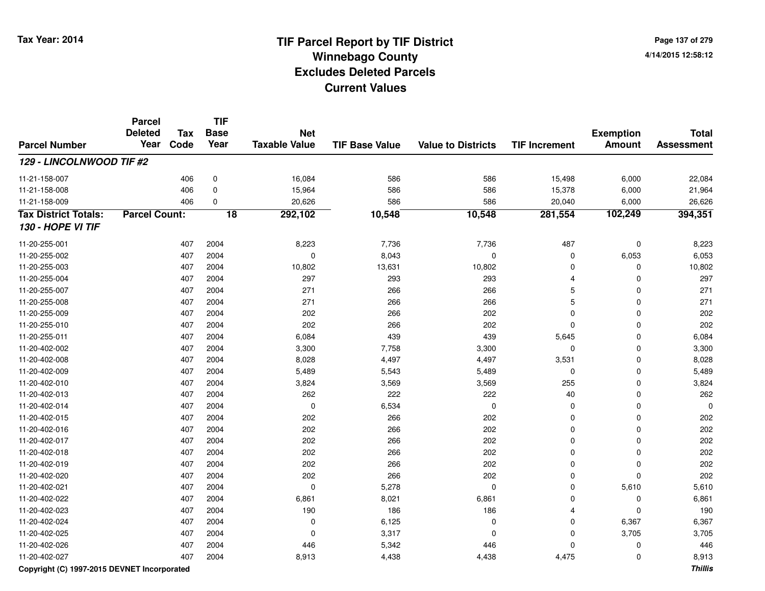**Page 137 of 2794/14/2015 12:58:12**

|                             | <b>Parcel</b><br><b>Deleted</b> | <b>Tax</b> | TIF<br><b>Base</b> | <b>Net</b>           |                       |                           |                      | <b>Exemption</b> | <b>Total</b>      |
|-----------------------------|---------------------------------|------------|--------------------|----------------------|-----------------------|---------------------------|----------------------|------------------|-------------------|
| <b>Parcel Number</b>        | Year                            | Code       | Year               | <b>Taxable Value</b> | <b>TIF Base Value</b> | <b>Value to Districts</b> | <b>TIF Increment</b> | <b>Amount</b>    | <b>Assessment</b> |
| 129 - LINCOLNWOOD TIF #2    |                                 |            |                    |                      |                       |                           |                      |                  |                   |
| 11-21-158-007               |                                 | 406        | $\pmb{0}$          | 16,084               | 586                   | 586                       | 15,498               | 6,000            | 22,084            |
| 11-21-158-008               |                                 | 406        | 0                  | 15,964               | 586                   | 586                       | 15,378               | 6,000            | 21,964            |
| 11-21-158-009               |                                 | 406        | 0                  | 20,626               | 586                   | 586                       | 20,040               | 6,000            | 26,626            |
| <b>Tax District Totals:</b> | <b>Parcel Count:</b>            |            | $\overline{18}$    | 292,102              | 10,548                | 10,548                    | 281,554              | 102,249          | 394,351           |
| 130 - HOPE VI TIF           |                                 |            |                    |                      |                       |                           |                      |                  |                   |
| 11-20-255-001               |                                 | 407        | 2004               | 8,223                | 7,736                 | 7,736                     | 487                  | $\mathbf 0$      | 8,223             |
| 11-20-255-002               |                                 | 407        | 2004               | $\mathbf 0$          | 8,043                 | $\mathbf 0$               | 0                    | 6,053            | 6,053             |
| 11-20-255-003               |                                 | 407        | 2004               | 10,802               | 13,631                | 10,802                    | $\mathbf 0$          | $\mathbf 0$      | 10,802            |
| 11-20-255-004               |                                 | 407        | 2004               | 297                  | 293                   | 293                       | $\overline{4}$       | $\mathbf 0$      | 297               |
| 11-20-255-007               |                                 | 407        | 2004               | 271                  | 266                   | 266                       | 5                    | $\mathbf 0$      | 271               |
| 11-20-255-008               |                                 | 407        | 2004               | 271                  | 266                   | 266                       | 5                    | $\mathbf 0$      | 271               |
| 11-20-255-009               |                                 | 407        | 2004               | 202                  | 266                   | 202                       | $\Omega$             | $\mathbf 0$      | 202               |
| 11-20-255-010               |                                 | 407        | 2004               | 202                  | 266                   | 202                       | $\Omega$             | $\mathbf 0$      | 202               |
| 11-20-255-011               |                                 | 407        | 2004               | 6,084                | 439                   | 439                       | 5,645                | $\mathbf 0$      | 6,084             |
| 11-20-402-002               |                                 | 407        | 2004               | 3,300                | 7,758                 | 3,300                     | $\mathbf 0$          | $\mathbf 0$      | 3,300             |
| 11-20-402-008               |                                 | 407        | 2004               | 8,028                | 4,497                 | 4,497                     | 3,531                | $\mathbf 0$      | 8,028             |
| 11-20-402-009               |                                 | 407        | 2004               | 5,489                | 5,543                 | 5,489                     | 0                    | $\mathbf 0$      | 5,489             |
| 11-20-402-010               |                                 | 407        | 2004               | 3,824                | 3,569                 | 3,569                     | 255                  | $\mathbf 0$      | 3,824             |
| 11-20-402-013               |                                 | 407        | 2004               | 262                  | 222                   | 222                       | 40                   | $\mathbf 0$      | 262               |
| 11-20-402-014               |                                 | 407        | 2004               | $\mathbf 0$          | 6,534                 | $\mathbf 0$               | $\mathbf 0$          | $\mathbf 0$      | $\Omega$          |
| 11-20-402-015               |                                 | 407        | 2004               | 202                  | 266                   | 202                       | $\mathbf 0$          | $\mathbf 0$      | 202               |
| 11-20-402-016               |                                 | 407        | 2004               | 202                  | 266                   | 202                       | 0                    | $\mathbf 0$      | 202               |
| 11-20-402-017               |                                 | 407        | 2004               | 202                  | 266                   | 202                       | $\Omega$             | $\mathbf 0$      | 202               |
| 11-20-402-018               |                                 | 407        | 2004               | 202                  | 266                   | 202                       | $\mathbf 0$          | $\mathbf 0$      | 202               |
| 11-20-402-019               |                                 | 407        | 2004               | 202                  | 266                   | 202                       | $\mathbf 0$          | $\mathbf 0$      | 202               |
| 11-20-402-020               |                                 | 407        | 2004               | 202                  | 266                   | 202                       | $\mathbf 0$          | $\mathbf 0$      | 202               |
| 11-20-402-021               |                                 | 407        | 2004               | $\mathbf 0$          | 5,278                 | $\mathbf 0$               | $\Omega$             | 5,610            | 5,610             |
| 11-20-402-022               |                                 | 407        | 2004               | 6,861                | 8,021                 | 6,861                     | $\mathbf 0$          | $\mathbf 0$      | 6,861             |
| 11-20-402-023               |                                 | 407        | 2004               | 190                  | 186                   | 186                       | $\overline{4}$       | $\mathbf 0$      | 190               |
| 11-20-402-024               |                                 | 407        | 2004               | $\mathbf 0$          | 6,125                 | $\mathbf 0$               | $\mathbf 0$          | 6,367            | 6,367             |
| 11-20-402-025               |                                 | 407        | 2004               | $\mathbf 0$          | 3,317                 | $\mathbf 0$               | $\mathbf 0$          | 3,705            | 3,705             |
| 11-20-402-026               |                                 | 407        | 2004               | 446                  | 5,342                 | 446                       | $\Omega$             | $\mathbf 0$      | 446               |
| 11-20-402-027               |                                 | 407        | 2004               | 8,913                | 4,438                 | 4,438                     | 4,475                | $\mathbf 0$      | 8,913             |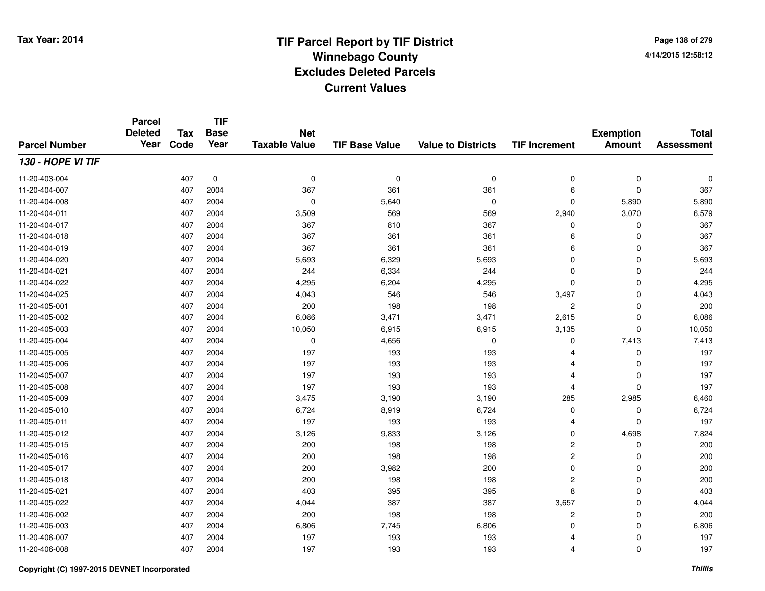**Page 138 of 2794/14/2015 12:58:12**

#### **TIF Base ValueParcel NumberTotal AssessmentExemption Amount Value to Districts TIF IncrementTIF Base YearTax CodeParcel Deleted YearNet Taxable Value130 - HOPE VI TIF**11-20-403-004 <sup>407</sup> <sup>0</sup> <sup>0</sup> <sup>0</sup> <sup>0</sup> <sup>0</sup> <sup>0</sup> <sup>0</sup> 11-20-404-0077 407 2004 367 361 361 6 0 367 11-20-404-0088 407 2004 0 5,640 0 0 5,890 5,890 11-20-404-0111 407 2004 3,509 569 569 2,940 3,070 6,579 11-20-404-017 <sup>407</sup> <sup>367</sup> <sup>2004</sup> <sup>810</sup> <sup>367</sup> <sup>0</sup> <sup>0</sup> <sup>367</sup> 11-20-404-0188 407 2004 367 361 361 6 0 367 11-20-404-0199 407 2004 367 361 361 6 0 367 11-20-404-0200 407 2004 5,693 6,329 5,693 0 0 5,693 11-20-404-0211 407 2004 244 6,334 244 0 0 244 11-20-404-0222 2 407 2004 4,295 6,204 4,295 0 0 4,295 11-20-404-025 <sup>407</sup> 4,043 <sup>2004</sup> <sup>546</sup> <sup>546</sup> 3,497 <sup>0</sup> 4,043 11-20-405-0011 407 2004 200 198 198 2 0 200 11-20-405-0022 407 2004 6,086 3,471 3,471 2,615 0 6,086 11-20-405-0033 407 2004 10,050 6,915 6,915 3,135 0 10,050 11-20-405-0044 407 2004 0 4,656 0 7,413 7,413 11-20-405-005 <sup>407</sup> <sup>197</sup> <sup>2004</sup> <sup>193</sup> <sup>193</sup> <sup>4</sup> <sup>0</sup> <sup>197</sup> 11-20-405-006 <sup>407</sup> <sup>197</sup> <sup>2004</sup> <sup>193</sup> <sup>193</sup> <sup>4</sup> <sup>0</sup> <sup>197</sup> 11-20-405-007 <sup>407</sup> <sup>197</sup> <sup>2004</sup> <sup>193</sup> <sup>193</sup> <sup>4</sup> <sup>0</sup> <sup>197</sup> 11-20-405-008 <sup>407</sup> <sup>197</sup> <sup>2004</sup> <sup>193</sup> <sup>193</sup> <sup>4</sup> <sup>0</sup> <sup>197</sup> 11-20-405-0099 407 2004 3,475 3,190 285 2,985 6,460 11-20-405-0100 407 2004 6,724 8,919 6,724 0 0 6,724 11-20-405-0111 407 2004 197 193 193 4 0 197 11-20-405-0122 3,126 2004 2004 3,126 3,126 3,126 3,126 3,126 0 4,698 7,824 11-20-405-015 <sup>407</sup> <sup>200</sup> <sup>2004</sup> <sup>198</sup> <sup>198</sup> <sup>2</sup> <sup>0</sup> <sup>200</sup> 11-20-405-0166 407 2004 200 198 198 2 0 200 11-20-405-017 <sup>407</sup> <sup>200</sup> <sup>2004</sup> 3,982 <sup>200</sup> <sup>0</sup> <sup>0</sup> <sup>200</sup> 11-20-405-018 <sup>407</sup> <sup>200</sup> <sup>2004</sup> <sup>198</sup> <sup>198</sup> <sup>2</sup> <sup>0</sup> <sup>200</sup> 11-20-405-0211 407 2004 403 395 395 8 0 403 11-20-405-0222 407 2004 4,044 387 387 3,657 0 4,044 11-20-406-0022 407 2004 200 198 198 2 2 0 200 11-20-406-0033 407 2004 6,806 7,745 6,806 0 0 6,806 11-20-406-007 <sup>407</sup> <sup>197</sup> <sup>2004</sup> <sup>193</sup> <sup>193</sup> <sup>4</sup> <sup>0</sup> <sup>197</sup> 11-20-406-008<sup>407</sup> <sup>197</sup> <sup>2004</sup> <sup>193</sup> <sup>193</sup> <sup>4</sup> <sup>0</sup> <sup>197</sup>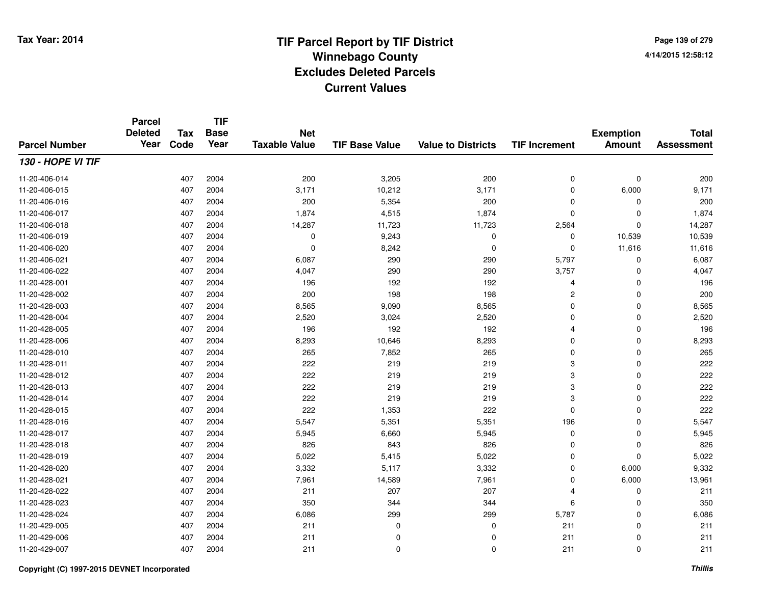**Page 139 of 2794/14/2015 12:58:12**

#### **TIF Base ValueParcel NumberTotal AssessmentExemption Amount Value to Districts TIF IncrementTIF Base YearTax CodeParcel Deleted YearNet Taxable Value130 - HOPE VI TIF**11-20-406-0144 200 200 200 200 3,205 200 200 200 3,200 200 0 0 200 11-20-406-015 <sup>407</sup> 3,171 <sup>2004</sup> 10,212 3,171 <sup>0</sup> 6,000 9,171 11-20-406-016 <sup>407</sup> <sup>200</sup> <sup>2004</sup> 5,354 <sup>200</sup> <sup>0</sup> <sup>0</sup> <sup>200</sup> 11-20-406-017 <sup>407</sup> 1,874 <sup>2004</sup> 4,515 1,874 <sup>0</sup> <sup>0</sup> 1,874 11-20-406-018 <sup>407</sup> 14,287 <sup>2004</sup> 11,723 11,723 2,564 <sup>0</sup> 14,287 11-20-406-0199 407 2004 0 9,243 0 0 10,539 10,539 11-20-406-0200 407 2004 0 8,242 0 0 11,616 11,616 11-20-406-0211 407 2004 6,087 290 290 5,797 0 6,087 11-20-406-0222 20 2004 1,047 2004 4,047 290 290 290 3,757 0 4,047 11-20-428-0011 407 2004 196 192 192 4 0 196 11-20-428-002 <sup>407</sup> <sup>200</sup> <sup>2004</sup> <sup>198</sup> <sup>198</sup> <sup>2</sup> <sup>0</sup> <sup>200</sup> 11-20-428-0033 407 2004 8,565 9,090 8,565 0 0 8,565 11-20-428-0044 407 2004 2,520 3,024 2,520 0 0 2,520 11-20-428-0055 407 2004 196 192 192 4 0 196 11-20-428-006 <sup>407</sup> 8,293 <sup>2004</sup> 10,646 8,293 <sup>0</sup> <sup>0</sup> 8,293 11-20-428-0100 407 2004 265 7,852 265 0 0 265 11-20-428-0111 407 2004 222 219 219 3 0 222 11-20-428-012 <sup>407</sup> <sup>222</sup> <sup>2004</sup> <sup>219</sup> <sup>219</sup> <sup>3</sup> <sup>0</sup> <sup>222</sup> 11-20-428-0133 407 2004 222 219 219 3 0 222 11-20-428-014 <sup>407</sup> <sup>222</sup> <sup>2004</sup> <sup>219</sup> <sup>219</sup> <sup>3</sup> <sup>0</sup> <sup>222</sup> 11-20-428-0155 407 2004 222 1,353 222 0 0 222 11-20-428-0166 407 2004 5,547 5,351 5,351 196 0 5,547 11-20-428-0177 407 2004 5,945 6,660 5,945 0 0 5,945 11-20-428-0188 407 2004 826 843 826 0 0 826 11-20-428-0199 407 2004 5,022 5,415 5,022 0 5,022 11-20-428-0200 407 2004 3,332 5,117 3,332 0 6,000 9,332 11-20-428-0211 407 2004 7,961 14,589 7,961 0 6,000 13,961 11-20-428-022 <sup>407</sup> <sup>211</sup> <sup>2004</sup> <sup>207</sup> <sup>207</sup> <sup>4</sup> <sup>0</sup> <sup>211</sup> 11-20-428-0233 407 2004 350 344 344 6 0 350 11-20-428-024 <sup>407</sup> 6,086 <sup>2004</sup> <sup>299</sup> <sup>299</sup> 5,787 <sup>0</sup> 6,086 11-20-429-005 <sup>407</sup> <sup>211</sup> <sup>2004</sup> <sup>0</sup> <sup>0</sup> <sup>211</sup> <sup>0</sup> <sup>211</sup> 11-20-429-006 <sup>407</sup> <sup>211</sup> <sup>2004</sup> <sup>0</sup> <sup>0</sup> <sup>211</sup> <sup>0</sup> <sup>211</sup> 11-20-429-007<sup>407</sup> <sup>211</sup> <sup>2004</sup> <sup>0</sup> <sup>0</sup> <sup>211</sup> <sup>0</sup> <sup>211</sup>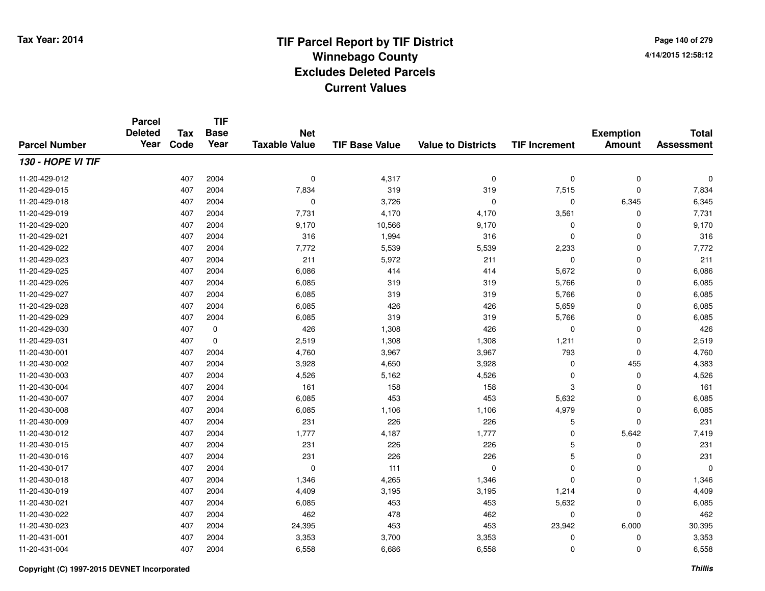**Page 140 of 2794/14/2015 12:58:12**

#### **TIF Base ValueParcel NumberTotal AssessmentExemption Amount Value to Districts TIF IncrementTIF Base YearTax CodeParcel Deleted YearNet Taxable Value130 - HOPE VI TIF**11-20-429-012 $2$  2004 0  $\frac{4}{317}$  0  $\frac{4}{317}$  0 0 0 0 0 0 11-20-429-015 <sup>407</sup> 7,834 <sup>2004</sup> <sup>319</sup> <sup>319</sup> 7,515 <sup>0</sup> 7,834 11-20-429-0188 407 2004 0 3,726 0 0 6,345 6,345 11-20-429-0199 407 2004 7,731 4,170 4,170 3,561 0 7,731 11-20-429-020 $0$  6 2004 2004 9,170 9,166 9,170 9,170 9,170 0 0 9,170 11-20-429-0211 407 2004 316 1,994 316 0 0 316 11-20-429-0222 2 2 3 3 407 2004 2007 7,772 5,539 5,539 5,539 5,539 5,539 5,539 5,539 5,539 5 407 7,772 11-20-429-0233 407 2004 211 5,972 211 0 0 211 11-20-429-025 <sup>407</sup> 6,086 <sup>2004</sup> <sup>414</sup> <sup>414</sup> 5,672 <sup>0</sup> 6,086 11-20-429-0266 407 2004 6,085 319 319 5,766 0 6,085 11-20-429-027 <sup>407</sup> 6,085 <sup>2004</sup> <sup>319</sup> <sup>319</sup> 5,766 <sup>0</sup> 6,085 11-20-429-0288 407 2004 6,085 426 426 5,659 0 6,085 11-20-429-0299 407 2004 6,085 319 319 5,766 0 6,085 11-20-429-0300 407 0 426 1,308 426 0 0 426 11-20-429-0311 407 0 2,519 1,308 1,308 1,211 0 2,519 11-20-430-0011 407 2004 4,760 3,967 3,967 793 0 4,760 11-20-430-0022 2 407 2004 3,928 4,650 3,928 0 455 4,383 11-20-430-0033 407 2004 4,526 5,162 4,526 0 0 4,526 11-20-430-004 <sup>407</sup> <sup>161</sup> <sup>2004</sup> <sup>158</sup> <sup>158</sup> <sup>3</sup> <sup>0</sup> <sup>161</sup> 11-20-430-007 <sup>407</sup> 6,085 <sup>2004</sup> <sup>453</sup> <sup>453</sup> 5,632 <sup>0</sup> 6,085 11-20-430-008 <sup>407</sup> 6,085 <sup>2004</sup> 1,106 1,106 4,979 <sup>0</sup> 6,085 11-20-430-0099 407 2004 231 226 226 5 0 231 11-20-430-0122 407 2004 1,777 4,187 1,777 0 5,642 7,419 11-20-430-015 <sup>407</sup> <sup>231</sup> <sup>2004</sup> <sup>226</sup> <sup>226</sup> <sup>5</sup> <sup>0</sup> <sup>231</sup> 11-20-430-016 <sup>407</sup> <sup>231</sup> <sup>2004</sup> <sup>226</sup> <sup>226</sup> <sup>5</sup> <sup>0</sup> <sup>231</sup> 11-20-430-017 <sup>407</sup> <sup>0</sup> <sup>2004</sup> <sup>111</sup> <sup>0</sup> <sup>0</sup> <sup>0</sup> <sup>0</sup> 11-20-430-0188 407 2004 1,346 4,265 1,346 0 0 1,346 11-20-430-0199 407 2004 4,409 3,195 3,195 1,214 0 4,409 11-20-430-0211 407 2004 6,085 453 453 5,632 0 6,085 11-20-430-0222 407 2004 462 478 462 0 0 462 11-20-430-023 <sup>407</sup> 24,395 <sup>2004</sup> <sup>453</sup> <sup>453</sup> 23,942 6,000 30,395 11-20-431-0011 407 2004 3,353 3,700 3,353 0 0 3,353 11-20-431-0044 407 2004 6,558 6,686 6,558 0 6,558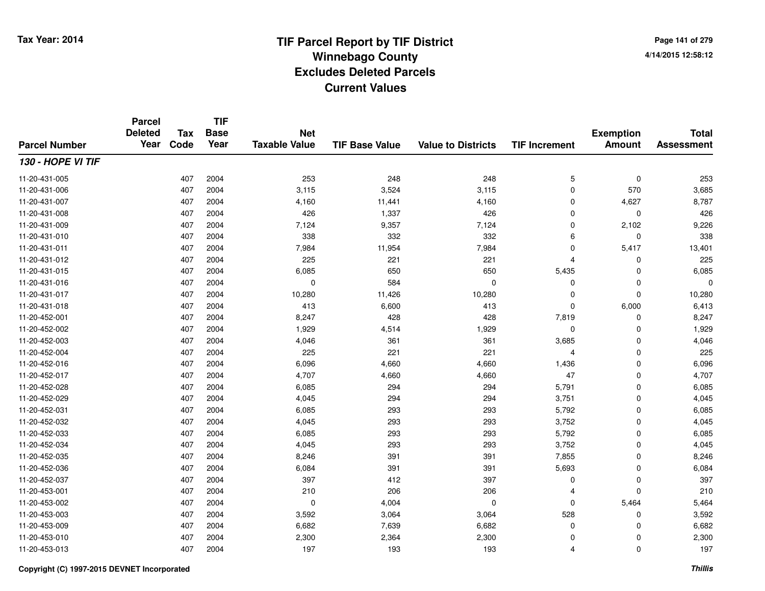**TIF**

**Parcel**

**Page 141 of 2794/14/2015 12:58:12**

| <b>Parcel Number</b> | <b>Deleted</b><br>Year | <b>Tax</b><br>Code | .<br><b>Base</b><br>Year | <b>Net</b><br><b>Taxable Value</b> | <b>TIF Base Value</b> | <b>Value to Districts</b> | <b>TIF Increment</b> | <b>Exemption</b><br><b>Amount</b> | <b>Total</b><br><b>Assessment</b> |
|----------------------|------------------------|--------------------|--------------------------|------------------------------------|-----------------------|---------------------------|----------------------|-----------------------------------|-----------------------------------|
| 130 - HOPE VI TIF    |                        |                    |                          |                                    |                       |                           |                      |                                   |                                   |
| 11-20-431-005        |                        | 407                | 2004                     | 253                                | 248                   | 248                       | $\mathbf 5$          | $\mathbf 0$                       | 253                               |
| 11-20-431-006        |                        | 407                | 2004                     | 3,115                              | 3,524                 | 3,115                     | 0                    | 570                               | 3,685                             |
| 11-20-431-007        |                        | 407                | 2004                     | 4,160                              | 11,441                | 4,160                     | 0                    | 4,627                             | 8,787                             |
| 11-20-431-008        |                        | 407                | 2004                     | 426                                | 1,337                 | 426                       | 0                    | 0                                 | 426                               |
| 11-20-431-009        |                        | 407                | 2004                     | 7,124                              | 9,357                 | 7,124                     | 0                    | 2,102                             | 9,226                             |
| 11-20-431-010        |                        | 407                | 2004                     | 338                                | 332                   | 332                       | 6                    | $\mathbf 0$                       | 338                               |
| 11-20-431-011        |                        | 407                | 2004                     | 7,984                              | 11,954                | 7,984                     | 0                    | 5,417                             | 13,401                            |
| 11-20-431-012        |                        | 407                | 2004                     | 225                                | 221                   | 221                       | 4                    | 0                                 | 225                               |
| 11-20-431-015        |                        | 407                | 2004                     | 6,085                              | 650                   | 650                       | 5,435                | $\Omega$                          | 6,085                             |
| 11-20-431-016        |                        | 407                | 2004                     | 0                                  | 584                   | $\mathbf 0$               | 0                    | $\Omega$                          | $\Omega$                          |
| 11-20-431-017        |                        | 407                | 2004                     | 10,280                             | 11,426                | 10,280                    | 0                    | $\mathbf 0$                       | 10,280                            |
| 11-20-431-018        |                        | 407                | 2004                     | 413                                | 6,600                 | 413                       | 0                    | 6,000                             | 6,413                             |
| 11-20-452-001        |                        | 407                | 2004                     | 8,247                              | 428                   | 428                       | 7,819                | 0                                 | 8,247                             |
| 11-20-452-002        |                        | 407                | 2004                     | 1,929                              | 4,514                 | 1,929                     | 0                    | 0                                 | 1,929                             |
| 11-20-452-003        |                        | 407                | 2004                     | 4,046                              | 361                   | 361                       | 3,685                | 0                                 | 4,046                             |
| 11-20-452-004        |                        | 407                | 2004                     | 225                                | 221                   | 221                       | $\overline{4}$       | $\mathbf 0$                       | 225                               |
| 11-20-452-016        |                        | 407                | 2004                     | 6,096                              | 4,660                 | 4,660                     | 1,436                | $\mathbf 0$                       | 6,096                             |
| 11-20-452-017        |                        | 407                | 2004                     | 4,707                              | 4,660                 | 4,660                     | 47                   | $\mathbf 0$                       | 4,707                             |
| 11-20-452-028        |                        | 407                | 2004                     | 6,085                              | 294                   | 294                       | 5,791                | $\mathbf 0$                       | 6,085                             |
| 11-20-452-029        |                        | 407                | 2004                     | 4,045                              | 294                   | 294                       | 3,751                | 0                                 | 4,045                             |
| 11-20-452-031        |                        | 407                | 2004                     | 6,085                              | 293                   | 293                       | 5,792                | 0                                 | 6,085                             |
| 11-20-452-032        |                        | 407                | 2004                     | 4,045                              | 293                   | 293                       | 3,752                | 0                                 | 4,045                             |
| 11-20-452-033        |                        | 407                | 2004                     | 6,085                              | 293                   | 293                       | 5,792                | 0                                 | 6,085                             |
| 11-20-452-034        |                        | 407                | 2004                     | 4,045                              | 293                   | 293                       | 3,752                | 0                                 | 4,045                             |
| 11-20-452-035        |                        | 407                | 2004                     | 8,246                              | 391                   | 391                       | 7,855                | $\mathbf 0$                       | 8,246                             |
| 11-20-452-036        |                        | 407                | 2004                     | 6,084                              | 391                   | 391                       | 5,693                | 0                                 | 6,084                             |
| 11-20-452-037        |                        | 407                | 2004                     | 397                                | 412                   | 397                       | 0                    | 0                                 | 397                               |
| 11-20-453-001        |                        | 407                | 2004                     | 210                                | 206                   | 206                       | 4                    | $\mathbf 0$                       | 210                               |
| 11-20-453-002        |                        | 407                | 2004                     | 0                                  | 4,004                 | 0                         | 0                    | 5,464                             | 5,464                             |
| 11-20-453-003        |                        | 407                | 2004                     | 3,592                              | 3,064                 | 3,064                     | 528                  | 0                                 | 3,592                             |
| 11-20-453-009        |                        | 407                | 2004                     | 6,682                              | 7,639                 | 6,682                     | 0                    | 0                                 | 6,682                             |
| 11-20-453-010        |                        | 407                | 2004                     | 2,300                              | 2,364                 | 2,300                     | 0                    | 0                                 | 2,300                             |
| 11-20-453-013        |                        | 407                | 2004                     | 197                                | 193                   | 193                       | 4                    | 0                                 | 197                               |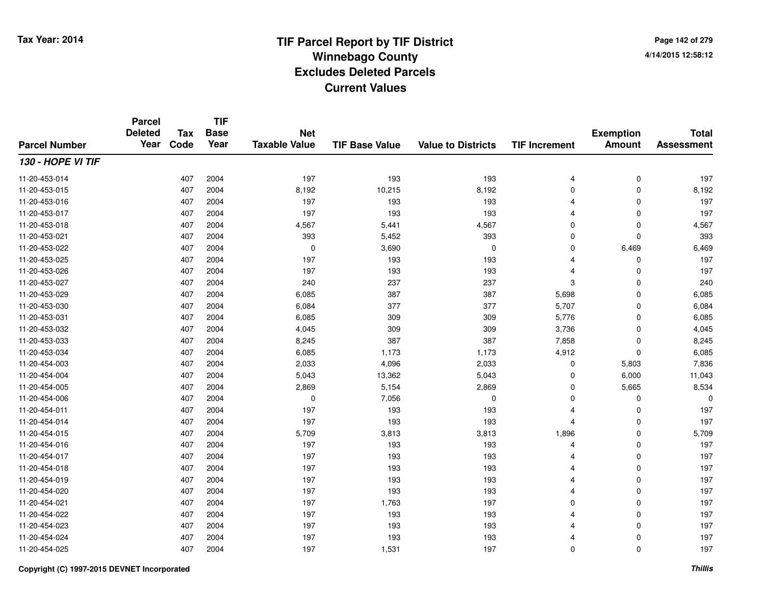**Page 142 of 2794/14/2015 12:58:12**

#### **TIF Base ValueParcel NumberTotal AssessmentExemption Amount Value to Districts TIF IncrementTIF Base YearTax CodeParcel Deleted YearNet Taxable Value130 - HOPE VI TIF**11-20-453-014 <sup>407</sup> <sup>197</sup> <sup>2004</sup> <sup>193</sup> <sup>193</sup> <sup>4</sup> <sup>0</sup> <sup>197</sup> 11-20-453-0155 407 2004 8,192 10,215 8,192 0 0 8,192 11-20-453-016 <sup>407</sup> <sup>197</sup> <sup>2004</sup> <sup>193</sup> <sup>193</sup> <sup>4</sup> <sup>0</sup> <sup>197</sup> 11-20-453-017 <sup>407</sup> <sup>197</sup> <sup>2004</sup> <sup>193</sup> <sup>193</sup> <sup>4</sup> <sup>0</sup> <sup>197</sup> 11-20-453-0188 407 2004 4,567 5,441 4,567 0 0 4,567 11-20-453-0211 407 2004 393 5,452 393 0 0 393 11-20-453-0222 407 2004 0 3,690 0 0 6,469 6,469 11-20-453-025 <sup>407</sup> <sup>197</sup> <sup>2004</sup> <sup>193</sup> <sup>193</sup> <sup>4</sup> <sup>0</sup> <sup>197</sup> 11-20-453-026 <sup>407</sup> <sup>197</sup> <sup>2004</sup> <sup>193</sup> <sup>193</sup> <sup>4</sup> <sup>0</sup> <sup>197</sup> 11-20-453-027 <sup>407</sup> <sup>240</sup> <sup>2004</sup> <sup>237</sup> <sup>237</sup> <sup>3</sup> <sup>0</sup> <sup>240</sup> 11-20-453-0299 407 2004 6,085 387 387 5,698 0 6,085 11-20-453-0300 407 2004 6,084 377 377 5,707 0 6,084 11-20-453-0311 407 2004 6,085 309 309 5,776 0 6,085 11-20-453-0322 407 2004 4,045 309 309 3,736 0 4,045 11-20-453-0333 407 2004 8,245 387 387 7,858 0 8,245 11-20-453-034 <sup>407</sup> 6,085 <sup>2004</sup> 1,173 1,173 4,912 <sup>0</sup> 6,085 11-20-454-0033 407 2004 2,033 4,096 2,033 0 5,803 7,836 11-20-454-0044 407 2004 5,043 13,362 5,043 0 6,000 11,043 11-20-454-005 <sup>407</sup> 2,869 <sup>2004</sup> 5,154 2,869 <sup>0</sup> 5,665 8,534 11-20-454-006 <sup>407</sup> <sup>0</sup> <sup>2004</sup> 7,056 <sup>0</sup> <sup>0</sup> <sup>0</sup> <sup>0</sup> 11-20-454-0111 407 2004 197 193 193 4 0 197 11-20-454-014 <sup>407</sup> <sup>197</sup> <sup>2004</sup> <sup>193</sup> <sup>193</sup> <sup>4</sup> <sup>0</sup> <sup>197</sup> 11-20-454-015 <sup>407</sup> 5,709 <sup>2004</sup> 3,813 3,813 1,896 <sup>0</sup> 5,709 11-20-454-016 <sup>407</sup> <sup>197</sup> <sup>2004</sup> <sup>193</sup> <sup>193</sup> <sup>4</sup> <sup>0</sup> <sup>197</sup> 11-20-454-017 <sup>407</sup> <sup>197</sup> <sup>2004</sup> <sup>193</sup> <sup>193</sup> <sup>4</sup> <sup>0</sup> <sup>197</sup> 11-20-454-018 <sup>407</sup> <sup>197</sup> <sup>2004</sup> <sup>193</sup> <sup>193</sup> <sup>4</sup> <sup>0</sup> <sup>197</sup> 11-20-454-019 <sup>407</sup> <sup>197</sup> <sup>2004</sup> <sup>193</sup> <sup>193</sup> <sup>4</sup> <sup>0</sup> <sup>197</sup> 11-20-454-0200 407 2004 197 193 193 4 0 197 11-20-454-0211 407 2004 197 1,763 197 0 0 197 11-20-454-022 <sup>407</sup> <sup>197</sup> <sup>2004</sup> <sup>193</sup> <sup>193</sup> <sup>4</sup> <sup>0</sup> <sup>197</sup> 11-20-454-0233 407 2004 197 193 193 4 0 197 11-20-454-024 <sup>407</sup> <sup>197</sup> <sup>2004</sup> <sup>193</sup> <sup>193</sup> <sup>4</sup> <sup>0</sup> <sup>197</sup> 11-20-454-025<sup>407</sup> <sup>197</sup> <sup>2004</sup> 1,531 <sup>197</sup> <sup>0</sup> <sup>0</sup> <sup>197</sup>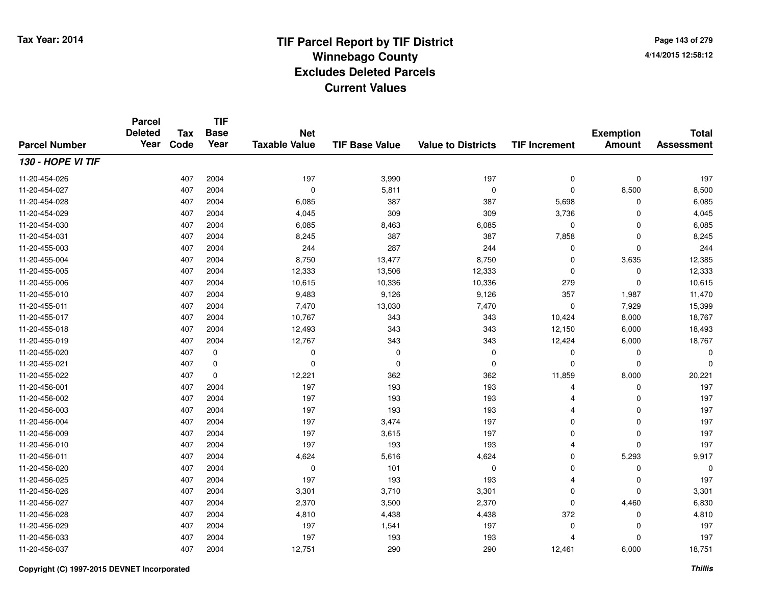**Page 143 of 2794/14/2015 12:58:12**

#### **TIF Base ValueParcel NumberTotal AssessmentExemption Amount Value to Districts TIF IncrementTIF Base YearTax CodeParcel Deleted YearNet Taxable Value130 - HOPE VI TIF**11-20-454-026 <sup>407</sup> <sup>197</sup> <sup>2004</sup> 3,990 <sup>197</sup> <sup>0</sup> <sup>0</sup> <sup>197</sup> 11-20-454-027 <sup>407</sup> <sup>0</sup> <sup>2004</sup> 5,811 <sup>0</sup> <sup>0</sup> 8,500 8,500 11-20-454-0288 407 2004 6,085 387 387 5,698 0 6,085 11-20-454-0299 407 2004 4,045 309 309 3,736 0 4,045 11-20-454-0300 407 2004 6,085 8,463 6,085 0 0 6,085 11-20-454-0311 407 2004 8,245 387 387 7,858 0 8,245 11-20-455-0033 407 2004 244 287 244 0 0 244 11-20-455-004 <sup>407</sup> 8,750 <sup>2004</sup> 13,477 8,750 <sup>0</sup> 3,635 12,385 11-20-455-005 <sup>407</sup> 12,333 <sup>2004</sup> 13,506 12,333 <sup>0</sup> <sup>0</sup> 12,333 11-20-455-0066 407 2004 10,615 10,336 10,336 279 0 10,615 11-20-455-010 <sup>407</sup> 9,483 <sup>2004</sup> 9,126 9,126 <sup>357</sup> 1,987 11,470 11-20-455-0111 407 2004 7,470 13,030 7,470 0 7,929 15,399 11-20-455-017 <sup>407</sup> 10,767 <sup>2004</sup> <sup>343</sup> <sup>343</sup> 10,424 8,000 18,767 11-20-455-018 <sup>407</sup> 12,493 <sup>2004</sup> <sup>343</sup> <sup>343</sup> 12,150 6,000 18,493 11-20-455-019 <sup>407</sup> 12,767 <sup>2004</sup> <sup>343</sup> <sup>343</sup> 12,424 6,000 18,767 11-20-455-020 <sup>407</sup> <sup>0</sup> <sup>0</sup> <sup>0</sup> <sup>0</sup> <sup>0</sup> <sup>0</sup> <sup>0</sup> 11-20-455-021 <sup>407</sup> <sup>0</sup> <sup>0</sup> <sup>0</sup> <sup>0</sup> <sup>0</sup> <sup>0</sup> <sup>0</sup> 11-20-455-0222 407 0 12,221 362 362 11,859 8,000 20,221 11-20-456-0011 407 2004 197 193 193 4 0 197 11-20-456-002 <sup>407</sup> <sup>197</sup> <sup>2004</sup> <sup>193</sup> <sup>193</sup> <sup>4</sup> <sup>0</sup> <sup>197</sup> 11-20-456-0033 407 2004 197 193 193 4 0 197 11-20-456-004 <sup>407</sup> <sup>197</sup> <sup>2004</sup> 3,474 <sup>197</sup> <sup>0</sup> <sup>0</sup> <sup>197</sup> 11-20-456-0099 407 2004 197 3,615 197 0 0 197 11-20-456-0100 407 2004 197 193 193 4 0 197 11-20-456-0111 407 2004 4,624 5,616 4,624 0 5,293 9,917 11-20-456-020 <sup>407</sup> <sup>0</sup> <sup>2004</sup> <sup>101</sup> <sup>0</sup> <sup>0</sup> <sup>0</sup> <sup>0</sup> 11-20-456-025 <sup>407</sup> <sup>197</sup> <sup>2004</sup> <sup>193</sup> <sup>193</sup> <sup>4</sup> <sup>0</sup> <sup>197</sup> 11-20-456-026 <sup>407</sup> 3,301 <sup>2004</sup> 3,710 3,301 <sup>0</sup> <sup>0</sup> 3,301 11-20-456-027 <sup>407</sup> 2,370 <sup>2004</sup> 3,500 2,370 <sup>0</sup> 4,460 6,830 11-20-456-0288 407 2004 4,810 4,438 4,438 372 0 4,810 11-20-456-0299 407 2004 197 1,541 197 0 0 197 11-20-456-0333 407 2004 197 193 193 4 0 197 11-20-456-037<sup>407</sup> 12,751 <sup>2004</sup> <sup>290</sup> <sup>290</sup> 12,461 6,000 18,751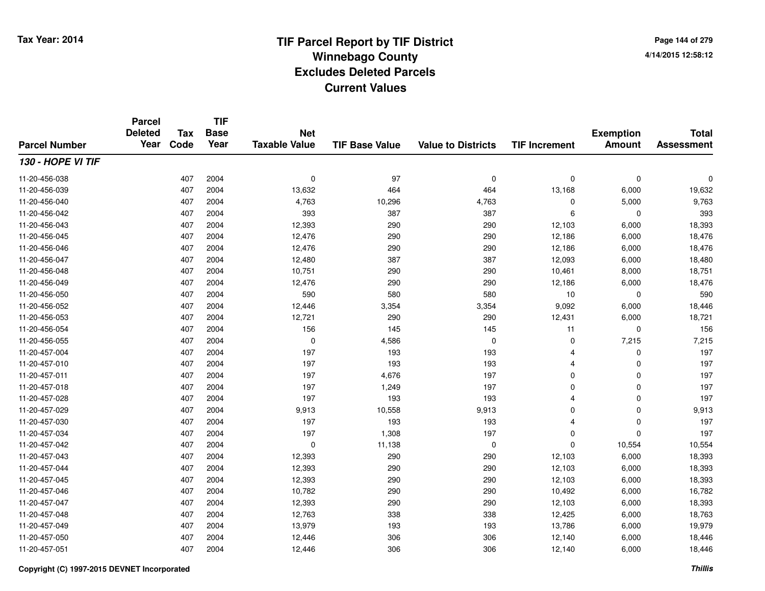**TIF**

**Parcel**

**Page 144 of 2794/14/2015 12:58:12**

| <b>Parcel Number</b> | arvon<br><b>Deleted</b><br>Year | <b>Tax</b><br>Code | .<br><b>Base</b><br>Year | <b>Net</b><br><b>Taxable Value</b> | <b>TIF Base Value</b> | <b>Value to Districts</b> | <b>TIF Increment</b> | <b>Exemption</b><br><b>Amount</b> | <b>Total</b><br><b>Assessment</b> |
|----------------------|---------------------------------|--------------------|--------------------------|------------------------------------|-----------------------|---------------------------|----------------------|-----------------------------------|-----------------------------------|
| 130 - HOPE VI TIF    |                                 |                    |                          |                                    |                       |                           |                      |                                   |                                   |
| 11-20-456-038        |                                 | 407                | 2004                     | $\mathbf 0$                        | 97                    | $\mathbf 0$               | $\mathbf 0$          | $\mathbf 0$                       | $\Omega$                          |
| 11-20-456-039        |                                 | 407                | 2004                     | 13,632                             | 464                   | 464                       | 13,168               | 6,000                             | 19,632                            |
| 11-20-456-040        |                                 | 407                | 2004                     | 4,763                              | 10,296                | 4,763                     | 0                    | 5,000                             | 9,763                             |
| 11-20-456-042        |                                 | 407                | 2004                     | 393                                | 387                   | 387                       | 6                    | $\mathbf 0$                       | 393                               |
| 11-20-456-043        |                                 | 407                | 2004                     | 12,393                             | 290                   | 290                       | 12,103               | 6,000                             | 18,393                            |
| 11-20-456-045        |                                 | 407                | 2004                     | 12,476                             | 290                   | 290                       | 12,186               | 6,000                             | 18,476                            |
| 11-20-456-046        |                                 | 407                | 2004                     | 12,476                             | 290                   | 290                       | 12,186               | 6,000                             | 18,476                            |
| 11-20-456-047        |                                 | 407                | 2004                     | 12,480                             | 387                   | 387                       | 12,093               | 6,000                             | 18,480                            |
| 11-20-456-048        |                                 | 407                | 2004                     | 10,751                             | 290                   | 290                       | 10,461               | 8,000                             | 18,751                            |
| 11-20-456-049        |                                 | 407                | 2004                     | 12,476                             | 290                   | 290                       | 12,186               | 6,000                             | 18,476                            |
| 11-20-456-050        |                                 | 407                | 2004                     | 590                                | 580                   | 580                       | 10                   | $\mathbf 0$                       | 590                               |
| 11-20-456-052        |                                 | 407                | 2004                     | 12,446                             | 3,354                 | 3,354                     | 9,092                | 6,000                             | 18,446                            |
| 11-20-456-053        |                                 | 407                | 2004                     | 12,721                             | 290                   | 290                       | 12,431               | 6,000                             | 18,721                            |
| 11-20-456-054        |                                 | 407                | 2004                     | 156                                | 145                   | 145                       | 11                   | $\mathbf 0$                       | 156                               |
| 11-20-456-055        |                                 | 407                | 2004                     | $\mathbf 0$                        | 4,586                 | $\mathbf 0$               | 0                    | 7,215                             | 7,215                             |
| 11-20-457-004        |                                 | 407                | 2004                     | 197                                | 193                   | 193                       | $\overline{4}$       | $\mathbf 0$                       | 197                               |
| 11-20-457-010        |                                 | 407                | 2004                     | 197                                | 193                   | 193                       | $\overline{4}$       | $\mathbf 0$                       | 197                               |
| 11-20-457-011        |                                 | 407                | 2004                     | 197                                | 4,676                 | 197                       | 0                    | $\mathbf 0$                       | 197                               |
| 11-20-457-018        |                                 | 407                | 2004                     | 197                                | 1,249                 | 197                       | $\mathbf 0$          | $\mathbf 0$                       | 197                               |
| 11-20-457-028        |                                 | 407                | 2004                     | 197                                | 193                   | 193                       | $\overline{4}$       | $\mathbf 0$                       | 197                               |
| 11-20-457-029        |                                 | 407                | 2004                     | 9,913                              | 10,558                | 9,913                     | 0                    | $\mathbf 0$                       | 9,913                             |
| 11-20-457-030        |                                 | 407                | 2004                     | 197                                | 193                   | 193                       | $\overline{4}$       | $\mathbf 0$                       | 197                               |
| 11-20-457-034        |                                 | 407                | 2004                     | 197                                | 1,308                 | 197                       | $\Omega$             | $\Omega$                          | 197                               |
| 11-20-457-042        |                                 | 407                | 2004                     | $\mathbf 0$                        | 11,138                | $\mathbf 0$               | $\Omega$             | 10,554                            | 10,554                            |
| 11-20-457-043        |                                 | 407                | 2004                     | 12,393                             | 290                   | 290                       | 12,103               | 6,000                             | 18,393                            |
| 11-20-457-044        |                                 | 407                | 2004                     | 12,393                             | 290                   | 290                       | 12,103               | 6,000                             | 18,393                            |
| 11-20-457-045        |                                 | 407                | 2004                     | 12,393                             | 290                   | 290                       | 12,103               | 6,000                             | 18,393                            |
| 11-20-457-046        |                                 | 407                | 2004                     | 10,782                             | 290                   | 290                       | 10,492               | 6,000                             | 16,782                            |
| 11-20-457-047        |                                 | 407                | 2004                     | 12,393                             | 290                   | 290                       | 12,103               | 6,000                             | 18,393                            |
| 11-20-457-048        |                                 | 407                | 2004                     | 12,763                             | 338                   | 338                       | 12,425               | 6,000                             | 18,763                            |
| 11-20-457-049        |                                 | 407                | 2004                     | 13,979                             | 193                   | 193                       | 13,786               | 6,000                             | 19,979                            |
| 11-20-457-050        |                                 | 407                | 2004                     | 12,446                             | 306                   | 306                       | 12,140               | 6,000                             | 18,446                            |
| 11-20-457-051        |                                 | 407                | 2004                     | 12,446                             | 306                   | 306                       | 12,140               | 6,000                             | 18,446                            |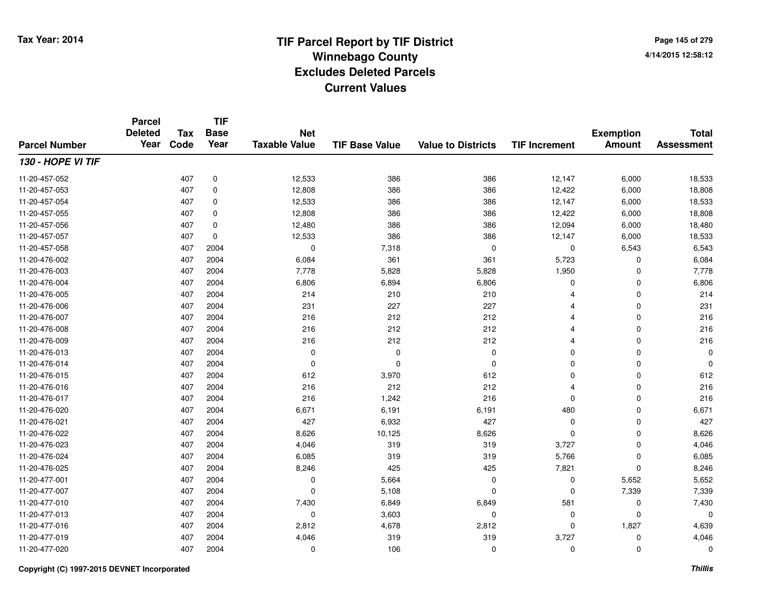**TIF**

**Parcel**

**Page 145 of 2794/14/2015 12:58:12**

| <b>Parcel Number</b> | arvor<br><b>Deleted</b><br>Year | <b>Tax</b><br>Code | .<br><b>Base</b><br>Year | <b>Net</b><br><b>Taxable Value</b> | <b>TIF Base Value</b> | <b>Value to Districts</b> | <b>TIF Increment</b> | <b>Exemption</b><br><b>Amount</b> | <b>Total</b><br><b>Assessment</b> |
|----------------------|---------------------------------|--------------------|--------------------------|------------------------------------|-----------------------|---------------------------|----------------------|-----------------------------------|-----------------------------------|
| 130 - HOPE VI TIF    |                                 |                    |                          |                                    |                       |                           |                      |                                   |                                   |
| 11-20-457-052        |                                 | 407                | 0                        | 12,533                             | 386                   | 386                       | 12,147               | 6,000                             | 18,533                            |
| 11-20-457-053        |                                 | 407                | 0                        | 12,808                             | 386                   | 386                       | 12,422               | 6,000                             | 18,808                            |
| 11-20-457-054        |                                 | 407                | 0                        | 12,533                             | 386                   | 386                       | 12,147               | 6,000                             | 18,533                            |
| 11-20-457-055        |                                 | 407                | 0                        | 12,808                             | 386                   | 386                       | 12,422               | 6,000                             | 18,808                            |
| 11-20-457-056        |                                 | 407                | 0                        | 12,480                             | 386                   | 386                       | 12,094               | 6,000                             | 18,480                            |
| 11-20-457-057        |                                 | 407                | $\mathbf 0$              | 12,533                             | 386                   | 386                       | 12,147               | 6,000                             | 18,533                            |
| 11-20-457-058        |                                 | 407                | 2004                     | 0                                  | 7,318                 | 0                         | 0                    | 6,543                             | 6,543                             |
| 11-20-476-002        |                                 | 407                | 2004                     | 6,084                              | 361                   | 361                       | 5,723                | 0                                 | 6,084                             |
| 11-20-476-003        |                                 | 407                | 2004                     | 7,778                              | 5,828                 | 5,828                     | 1,950                | $\mathbf 0$                       | 7,778                             |
| 11-20-476-004        |                                 | 407                | 2004                     | 6,806                              | 6,894                 | 6,806                     | $\mathbf 0$          | $\mathbf 0$                       | 6,806                             |
| 11-20-476-005        |                                 | 407                | 2004                     | 214                                | 210                   | 210                       | Δ                    | $\mathbf 0$                       | 214                               |
| 11-20-476-006        |                                 | 407                | 2004                     | 231                                | 227                   | 227                       |                      | $\mathbf 0$                       | 231                               |
| 11-20-476-007        |                                 | 407                | 2004                     | 216                                | 212                   | 212                       |                      | $\mathbf 0$                       | 216                               |
| 11-20-476-008        |                                 | 407                | 2004                     | 216                                | 212                   | 212                       |                      | $\mathbf 0$                       | 216                               |
| 11-20-476-009        |                                 | 407                | 2004                     | 216                                | 212                   | 212                       |                      | 0                                 | 216                               |
| 11-20-476-013        |                                 | 407                | 2004                     | $\mathbf 0$                        | 0                     | 0                         | $\mathbf 0$          | 0                                 | 0                                 |
| 11-20-476-014        |                                 | 407                | 2004                     | 0                                  | $\Omega$              | 0                         | $\mathbf 0$          | 0                                 | $\mathbf 0$                       |
| 11-20-476-015        |                                 | 407                | 2004                     | 612                                | 3,970                 | 612                       | 0                    | 0                                 | 612                               |
| 11-20-476-016        |                                 | 407                | 2004                     | 216                                | 212                   | 212                       | 4                    | 0                                 | 216                               |
| 11-20-476-017        |                                 | 407                | 2004                     | 216                                | 1,242                 | 216                       | 0                    | 0                                 | 216                               |
| 11-20-476-020        |                                 | 407                | 2004                     | 6,671                              | 6,191                 | 6,191                     | 480                  | 0                                 | 6,671                             |
| 11-20-476-021        |                                 | 407                | 2004                     | 427                                | 6,932                 | 427                       | 0                    | $\mathbf 0$                       | 427                               |
| 11-20-476-022        |                                 | 407                | 2004                     | 8,626                              | 10,125                | 8,626                     | $\mathbf 0$          | $\mathbf 0$                       | 8,626                             |
| 11-20-476-023        |                                 | 407                | 2004                     | 4,046                              | 319                   | 319                       | 3,727                | $\mathbf 0$                       | 4,046                             |
| 11-20-476-024        |                                 | 407                | 2004                     | 6,085                              | 319                   | 319                       | 5,766                | $\mathbf 0$                       | 6,085                             |
| 11-20-476-025        |                                 | 407                | 2004                     | 8,246                              | 425                   | 425                       | 7,821                | $\Omega$                          | 8,246                             |
| 11-20-477-001        |                                 | 407                | 2004                     | 0                                  | 5,664                 | $\Omega$                  | 0                    | 5,652                             | 5,652                             |
| 11-20-477-007        |                                 | 407                | 2004                     | $\mathbf 0$                        | 5,108                 | $\Omega$                  | 0                    | 7,339                             | 7,339                             |
| 11-20-477-010        |                                 | 407                | 2004                     | 7,430                              | 6,849                 | 6,849                     | 581                  | 0                                 | 7,430                             |
| 11-20-477-013        |                                 | 407                | 2004                     | $\mathbf 0$                        | 3,603                 | 0                         | 0                    | $\mathbf 0$                       | 0                                 |
| 11-20-477-016        |                                 | 407                | 2004                     | 2,812                              | 4,678                 | 2,812                     | 0                    | 1,827                             | 4,639                             |
| 11-20-477-019        |                                 | 407                | 2004                     | 4,046                              | 319                   | 319                       | 3,727                | 0                                 | 4,046                             |
| 11-20-477-020        |                                 | 407                | 2004                     | 0                                  | 106                   | $\Omega$                  | 0                    | $\mathbf 0$                       | 0                                 |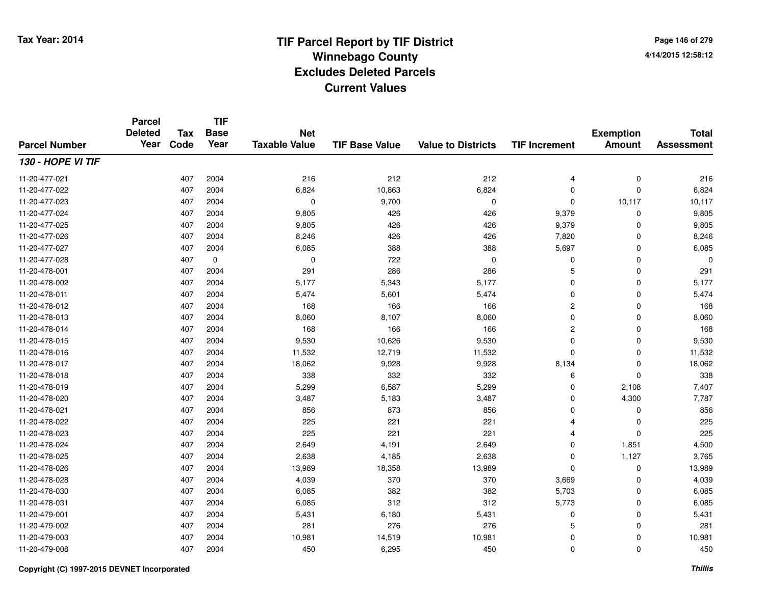**Page 146 of 2794/14/2015 12:58:12**

|                      | <b>Parcel</b><br><b>Deleted</b> | <b>Tax</b> | <b>TIF</b><br><b>Base</b> | <b>Net</b>           |                       |                           |                      | <b>Exemption</b> | <b>Total</b>      |
|----------------------|---------------------------------|------------|---------------------------|----------------------|-----------------------|---------------------------|----------------------|------------------|-------------------|
| <b>Parcel Number</b> | Year                            | Code       | Year                      | <b>Taxable Value</b> | <b>TIF Base Value</b> | <b>Value to Districts</b> | <b>TIF Increment</b> | <b>Amount</b>    | <b>Assessment</b> |
| 130 - HOPE VI TIF    |                                 |            |                           |                      |                       |                           |                      |                  |                   |
| 11-20-477-021        |                                 | 407        | 2004                      | 216                  | 212                   | 212                       | 4                    | $\pmb{0}$        | 216               |
| 11-20-477-022        |                                 | 407        | 2004                      | 6,824                | 10,863                | 6,824                     | $\mathbf 0$          | $\Omega$         | 6,824             |
| 11-20-477-023        |                                 | 407        | 2004                      | 0                    | 9,700                 | 0                         | $\mathbf 0$          | 10,117           | 10,117            |
| 11-20-477-024        |                                 | 407        | 2004                      | 9,805                | 426                   | 426                       | 9,379                | $\mathbf 0$      | 9,805             |
| 11-20-477-025        |                                 | 407        | 2004                      | 9,805                | 426                   | 426                       | 9,379                | $\Omega$         | 9,805             |
| 11-20-477-026        |                                 | 407        | 2004                      | 8,246                | 426                   | 426                       | 7,820                | $\Omega$         | 8,246             |
| 11-20-477-027        |                                 | 407        | 2004                      | 6,085                | 388                   | 388                       | 5,697                | $\mathbf 0$      | 6,085             |
| 11-20-477-028        |                                 | 407        | 0                         | 0                    | 722                   | $\Omega$                  | 0                    | $\Omega$         | $\Omega$          |
| 11-20-478-001        |                                 | 407        | 2004                      | 291                  | 286                   | 286                       | 5                    | $\Omega$         | 291               |
| 11-20-478-002        |                                 | 407        | 2004                      | 5,177                | 5,343                 | 5,177                     | $\mathbf 0$          | $\Omega$         | 5,177             |
| 11-20-478-011        |                                 | 407        | 2004                      | 5,474                | 5,601                 | 5,474                     | 0                    | $\Omega$         | 5,474             |
| 11-20-478-012        |                                 | 407        | 2004                      | 168                  | 166                   | 166                       | $\overline{c}$       | $\Omega$         | 168               |
| 11-20-478-013        |                                 | 407        | 2004                      | 8,060                | 8,107                 | 8,060                     | 0                    | $\mathbf 0$      | 8,060             |
| 11-20-478-014        |                                 | 407        | 2004                      | 168                  | 166                   | 166                       | $\overline{c}$       | 0                | 168               |
| 11-20-478-015        |                                 | 407        | 2004                      | 9,530                | 10,626                | 9,530                     | 0                    | $\mathbf 0$      | 9,530             |
| 11-20-478-016        |                                 | 407        | 2004                      | 11,532               | 12,719                | 11,532                    | 0                    | $\mathbf 0$      | 11,532            |
| 11-20-478-017        |                                 | 407        | 2004                      | 18,062               | 9,928                 | 9,928                     | 8,134                | 0                | 18,062            |
| 11-20-478-018        |                                 | 407        | 2004                      | 338                  | 332                   | 332                       | 6                    | $\mathbf 0$      | 338               |
| 11-20-478-019        |                                 | 407        | 2004                      | 5,299                | 6,587                 | 5,299                     | 0                    | 2,108            | 7,407             |
| 11-20-478-020        |                                 | 407        | 2004                      | 3,487                | 5,183                 | 3,487                     | 0                    | 4,300            | 7,787             |
| 11-20-478-021        |                                 | 407        | 2004                      | 856                  | 873                   | 856                       | 0                    | 0                | 856               |
| 11-20-478-022        |                                 | 407        | 2004                      | 225                  | 221                   | 221                       | 4                    | $\mathbf 0$      | 225               |
| 11-20-478-023        |                                 | 407        | 2004                      | 225                  | 221                   | 221                       | 4                    | $\mathbf 0$      | 225               |
| 11-20-478-024        |                                 | 407        | 2004                      | 2,649                | 4,191                 | 2,649                     | 0                    | 1,851            | 4,500             |
| 11-20-478-025        |                                 | 407        | 2004                      | 2,638                | 4,185                 | 2,638                     | 0                    | 1,127            | 3,765             |
| 11-20-478-026        |                                 | 407        | 2004                      | 13,989               | 18,358                | 13,989                    | 0                    | $\mathbf 0$      | 13,989            |
| 11-20-478-028        |                                 | 407        | 2004                      | 4,039                | 370                   | 370                       | 3,669                | $\mathbf 0$      | 4,039             |
| 11-20-478-030        |                                 | 407        | 2004                      | 6,085                | 382                   | 382                       | 5,703                | 0                | 6,085             |
| 11-20-478-031        |                                 | 407        | 2004                      | 6,085                | 312                   | 312                       | 5,773                | $\mathbf 0$      | 6,085             |
| 11-20-479-001        |                                 | 407        | 2004                      | 5,431                | 6,180                 | 5,431                     | 0                    | 0                | 5,431             |
| 11-20-479-002        |                                 | 407        | 2004                      | 281                  | 276                   | 276                       | 5                    | $\Omega$         | 281               |
| 11-20-479-003        |                                 | 407        | 2004                      | 10,981               | 14,519                | 10,981                    | 0                    | 0                | 10,981            |
| 11-20-479-008        |                                 | 407        | 2004                      | 450                  | 6,295                 | 450                       | 0                    | $\Omega$         | 450               |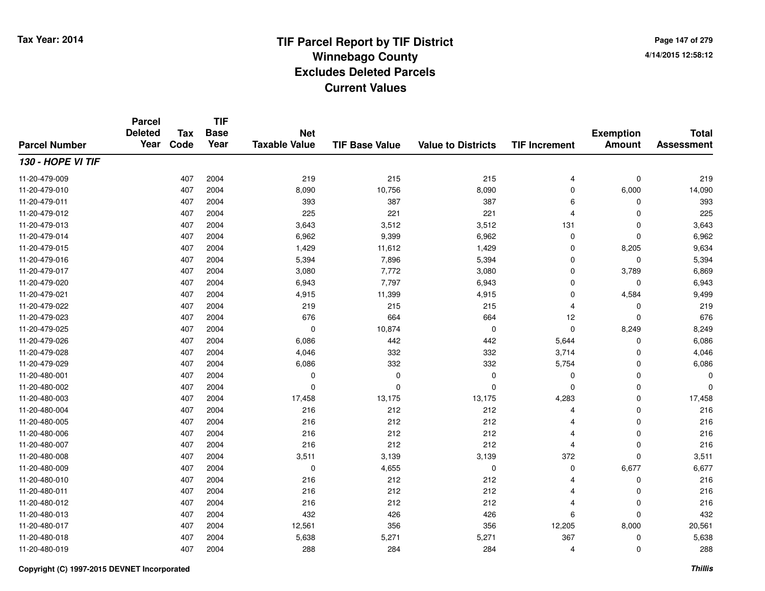**TIF**

**Parcel**

**Page 147 of 2794/14/2015 12:58:12**

| <b>Parcel Number</b> | arvor<br><b>Deleted</b><br>Year | <b>Tax</b><br>Code | .<br><b>Base</b><br>Year | <b>Net</b><br><b>Taxable Value</b> | <b>TIF Base Value</b> | <b>Value to Districts</b> | <b>TIF Increment</b> | <b>Exemption</b><br><b>Amount</b> | <b>Total</b><br><b>Assessment</b> |
|----------------------|---------------------------------|--------------------|--------------------------|------------------------------------|-----------------------|---------------------------|----------------------|-----------------------------------|-----------------------------------|
| 130 - HOPE VI TIF    |                                 |                    |                          |                                    |                       |                           |                      |                                   |                                   |
| 11-20-479-009        |                                 | 407                | 2004                     | 219                                | 215                   | 215                       | $\overline{4}$       | $\mathbf 0$                       | 219                               |
| 11-20-479-010        |                                 | 407                | 2004                     | 8,090                              | 10,756                | 8,090                     | 0                    | 6,000                             | 14,090                            |
| 11-20-479-011        |                                 | 407                | 2004                     | 393                                | 387                   | 387                       | 6                    | 0                                 | 393                               |
| 11-20-479-012        |                                 | 407                | 2004                     | 225                                | 221                   | 221                       | 4                    | $\Omega$                          | 225                               |
| 11-20-479-013        |                                 | 407                | 2004                     | 3,643                              | 3,512                 | 3,512                     | 131                  | $\Omega$                          | 3,643                             |
| 11-20-479-014        |                                 | 407                | 2004                     | 6,962                              | 9,399                 | 6,962                     | 0                    | $\Omega$                          | 6,962                             |
| 11-20-479-015        |                                 | 407                | 2004                     | 1,429                              | 11,612                | 1,429                     | 0                    | 8,205                             | 9,634                             |
| 11-20-479-016        |                                 | 407                | 2004                     | 5,394                              | 7,896                 | 5,394                     | 0                    | 0                                 | 5,394                             |
| 11-20-479-017        |                                 | 407                | 2004                     | 3,080                              | 7,772                 | 3,080                     | $\mathbf 0$          | 3,789                             | 6,869                             |
| 11-20-479-020        |                                 | 407                | 2004                     | 6,943                              | 7,797                 | 6,943                     | $\mathbf 0$          | $\mathbf 0$                       | 6,943                             |
| 11-20-479-021        |                                 | 407                | 2004                     | 4,915                              | 11,399                | 4,915                     | $\mathbf 0$          | 4,584                             | 9,499                             |
| 11-20-479-022        |                                 | 407                | 2004                     | 219                                | 215                   | 215                       | 4                    | 0                                 | 219                               |
| 11-20-479-023        |                                 | 407                | 2004                     | 676                                | 664                   | 664                       | 12                   | $\mathbf 0$                       | 676                               |
| 11-20-479-025        |                                 | 407                | 2004                     | $\mathbf 0$                        | 10,874                | $\mathbf 0$               | 0                    | 8,249                             | 8,249                             |
| 11-20-479-026        |                                 | 407                | 2004                     | 6,086                              | 442                   | 442                       | 5,644                | $\Omega$                          | 6,086                             |
| 11-20-479-028        |                                 | 407                | 2004                     | 4,046                              | 332                   | 332                       | 3,714                | $\Omega$                          | 4,046                             |
| 11-20-479-029        |                                 | 407                | 2004                     | 6,086                              | 332                   | 332                       | 5,754                | 0                                 | 6,086                             |
| 11-20-480-001        |                                 | 407                | 2004                     | 0                                  | 0                     | 0                         | 0                    | 0                                 | 0                                 |
| 11-20-480-002        |                                 | 407                | 2004                     | 0                                  | $\Omega$              | 0                         | 0                    | 0                                 | 0                                 |
| 11-20-480-003        |                                 | 407                | 2004                     | 17,458                             | 13,175                | 13,175                    | 4,283                | 0                                 | 17,458                            |
| 11-20-480-004        |                                 | 407                | 2004                     | 216                                | 212                   | 212                       | 4                    | 0                                 | 216                               |
| 11-20-480-005        |                                 | 407                | 2004                     | 216                                | 212                   | 212                       | 4                    | $\mathbf 0$                       | 216                               |
| 11-20-480-006        |                                 | 407                | 2004                     | 216                                | 212                   | 212                       | 4                    | $\mathbf 0$                       | 216                               |
| 11-20-480-007        |                                 | 407                | 2004                     | 216                                | 212                   | 212                       | 4                    | $\mathbf 0$                       | 216                               |
| 11-20-480-008        |                                 | 407                | 2004                     | 3,511                              | 3,139                 | 3,139                     | 372                  | $\mathbf 0$                       | 3,511                             |
| 11-20-480-009        |                                 | 407                | 2004                     | $\mathbf 0$                        | 4,655                 | 0                         | $\mathbf 0$          | 6,677                             | 6,677                             |
| 11-20-480-010        |                                 | 407                | 2004                     | 216                                | 212                   | 212                       | 4                    | 0                                 | 216                               |
| 11-20-480-011        |                                 | 407                | 2004                     | 216                                | 212                   | 212                       |                      | 0                                 | 216                               |
| 11-20-480-012        |                                 | 407                | 2004                     | 216                                | 212                   | 212                       | 4                    | 0                                 | 216                               |
| 11-20-480-013        |                                 | 407                | 2004                     | 432                                | 426                   | 426                       | 6                    | $\Omega$                          | 432                               |
| 11-20-480-017        |                                 | 407                | 2004                     | 12,561                             | 356                   | 356                       | 12,205               | 8,000                             | 20,561                            |
| 11-20-480-018        |                                 | 407                | 2004                     | 5,638                              | 5,271                 | 5,271                     | 367                  | 0                                 | 5,638                             |
| 11-20-480-019        |                                 | 407                | 2004                     | 288                                | 284                   | 284                       | 4                    | $\mathbf 0$                       | 288                               |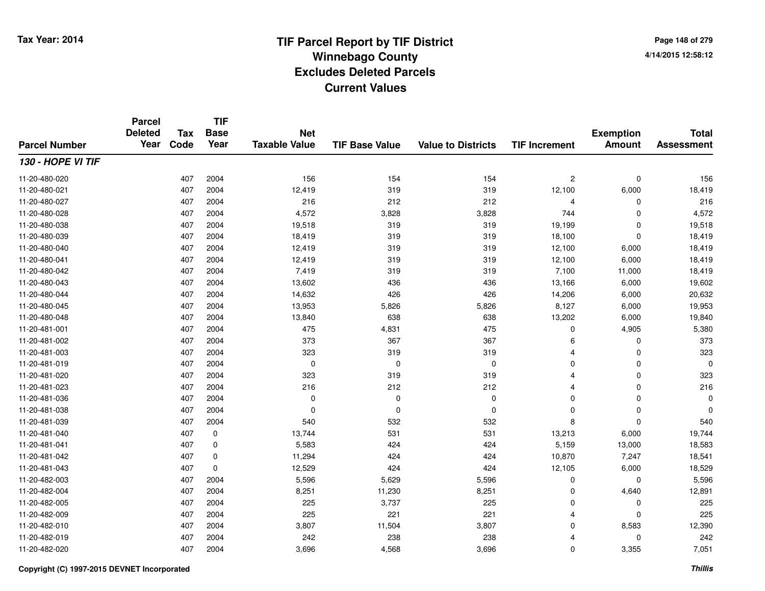**Page 148 of 2794/14/2015 12:58:12**

#### **TIF Base ValueParcel NumberTotal AssessmentExemption Amount Value to Districts TIF IncrementTIF Base YearTax CodeParcel Deleted YearNet Taxable Value130 - HOPE VI TIF**11-20-480-0200 407 2004 156 154 154 2 0 156 11-20-480-0211 407 2004 12,419 319 319 12,100 6,000 18,419 11-20-480-027 <sup>407</sup> <sup>216</sup> <sup>2004</sup> <sup>212</sup> <sup>212</sup> <sup>4</sup> <sup>0</sup> <sup>216</sup> 11-20-480-0288 407 2004 4,572 3,828 3,828 744 0 4,572 11-20-480-038 <sup>407</sup> 19,518 <sup>2004</sup> <sup>319</sup> <sup>319</sup> 19,199 <sup>0</sup> 19,518 11-20-480-039 <sup>407</sup> 18,419 <sup>2004</sup> <sup>319</sup> <sup>319</sup> 18,100 <sup>0</sup> 18,419 11-20-480-0400 407 2004 12,419 319 319 12,100 6,000 18,419 11-20-480-0411 407 2004 12,419 319 319 12,100 6,000 18,419 11-20-480-042 <sup>407</sup> 7,419 <sup>2004</sup> <sup>319</sup> <sup>319</sup> 7,100 11,000 18,419 11-20-480-0433 407 2004 13,602 436 436 13,166 6,000 19,602 11-20-480-044 <sup>407</sup> 14,632 <sup>2004</sup> <sup>426</sup> <sup>426</sup> 14,206 6,000 20,632 11-20-480-0455 3 3 3 3 407 2004 13,953 2005 5,826 5,826 5,826 5,826 5,127 6,000 19,953 11-20-480-0488 407 2004 13,840 638 638 13,202 6,000 19,840 11-20-481-0011 407 2004 475 4,831 475 0 4,905 5,380 11-20-481-002 <sup>407</sup> <sup>373</sup> <sup>2004</sup> <sup>367</sup> <sup>367</sup> <sup>6</sup> <sup>0</sup> <sup>373</sup> 11-20-481-0033 407 2004 323 319 319 4 0 323 11-20-481-019 <sup>407</sup> <sup>0</sup> <sup>2004</sup> <sup>0</sup> <sup>0</sup> <sup>0</sup> <sup>0</sup> <sup>0</sup> 11-20-481-0200 407 2004 323 319 319 4 0 323 11-20-481-0233 407 2004 216 212 212 4 0 216 11-20-481-036 <sup>407</sup> <sup>0</sup> <sup>2004</sup> <sup>0</sup> <sup>0</sup> <sup>0</sup> <sup>0</sup> <sup>0</sup> 11-20-481-038 <sup>407</sup> <sup>0</sup> <sup>2004</sup> <sup>0</sup> <sup>0</sup> <sup>0</sup> <sup>0</sup> <sup>0</sup> 11-20-481-0399 407 2004 540 532 532 8 0 540 11-20-481-0400 407 0 13,744 531 531 13,213 6,000 19,744 11-20-481-0411 407 0 5,583 424 424 5,159 13,000 18,583 11-20-481-042 <sup>407</sup> 11,294 <sup>0</sup> <sup>424</sup> <sup>424</sup> 10,870 7,247 18,541 11-20-481-0433 407 0 12,529 424 424 12,105 6,000 18,529 11-20-482-0033 407 2004 5,596 5,629 5,596 0 0 5,596 11-20-482-004 <sup>407</sup> 8,251 <sup>2004</sup> 11,230 8,251 <sup>0</sup> 4,640 12,891 11-20-482-005 <sup>407</sup> <sup>225</sup> <sup>2004</sup> 3,737 <sup>225</sup> <sup>0</sup> <sup>0</sup> <sup>225</sup> 11-20-482-009 <sup>407</sup> <sup>225</sup> <sup>2004</sup> <sup>221</sup> <sup>221</sup> <sup>4</sup> <sup>0</sup> <sup>225</sup> 11-20-482-0100 407 2004 3,807 11,504 3,807 0 8,583 12,390 11-20-482-019 <sup>407</sup> <sup>242</sup> <sup>2004</sup> <sup>238</sup> <sup>238</sup> <sup>4</sup> <sup>0</sup> <sup>242</sup> 11-20-482-0200 407 2004 3,696 4,568 3,696 0 3,355 7,051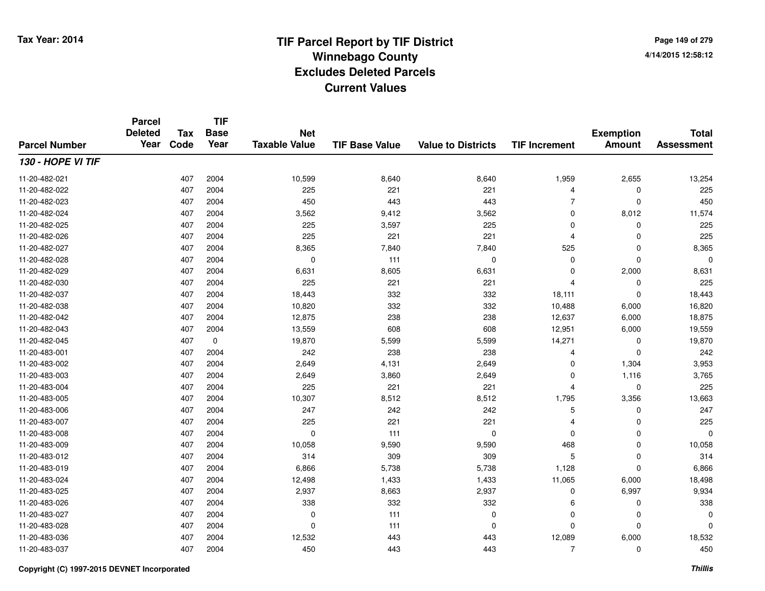**TIF**

**Parcel**

**Page 149 of 2794/14/2015 12:58:12**

| <b>Parcel Number</b> | <b>Deleted</b><br>Year | <b>Tax</b><br>Code | .<br><b>Base</b><br>Year | <b>Net</b><br><b>Taxable Value</b> | <b>TIF Base Value</b> | <b>Value to Districts</b> | <b>TIF Increment</b> | <b>Exemption</b><br><b>Amount</b> | <b>Total</b><br><b>Assessment</b> |
|----------------------|------------------------|--------------------|--------------------------|------------------------------------|-----------------------|---------------------------|----------------------|-----------------------------------|-----------------------------------|
| 130 - HOPE VI TIF    |                        |                    |                          |                                    |                       |                           |                      |                                   |                                   |
| 11-20-482-021        |                        | 407                | 2004                     | 10,599                             | 8,640                 | 8,640                     | 1,959                | 2,655                             | 13,254                            |
| 11-20-482-022        |                        | 407                | 2004                     | 225                                | 221                   | 221                       | 4                    | 0                                 | 225                               |
| 11-20-482-023        |                        | 407                | 2004                     | 450                                | 443                   | 443                       | 7                    | $\Omega$                          | 450                               |
| 11-20-482-024        |                        | 407                | 2004                     | 3,562                              | 9,412                 | 3,562                     | $\mathbf 0$          | 8,012                             | 11,574                            |
| 11-20-482-025        |                        | 407                | 2004                     | 225                                | 3,597                 | 225                       | 0                    | 0                                 | 225                               |
| 11-20-482-026        |                        | 407                | 2004                     | 225                                | 221                   | 221                       | 4                    | $\Omega$                          | 225                               |
| 11-20-482-027        |                        | 407                | 2004                     | 8,365                              | 7,840                 | 7,840                     | 525                  | $\Omega$                          | 8,365                             |
| 11-20-482-028        |                        | 407                | 2004                     | $\mathbf 0$                        | 111                   | $\mathbf 0$               | $\mathbf 0$          | $\Omega$                          | $\Omega$                          |
| 11-20-482-029        |                        | 407                | 2004                     | 6,631                              | 8,605                 | 6,631                     | $\mathbf 0$          | 2,000                             | 8,631                             |
| 11-20-482-030        |                        | 407                | 2004                     | 225                                | 221                   | 221                       | 4                    | 0                                 | 225                               |
| 11-20-482-037        |                        | 407                | 2004                     | 18,443                             | 332                   | 332                       | 18,111               | $\mathbf{0}$                      | 18,443                            |
| 11-20-482-038        |                        | 407                | 2004                     | 10,820                             | 332                   | 332                       | 10,488               | 6,000                             | 16,820                            |
| 11-20-482-042        |                        | 407                | 2004                     | 12,875                             | 238                   | 238                       | 12,637               | 6,000                             | 18,875                            |
| 11-20-482-043        |                        | 407                | 2004                     | 13,559                             | 608                   | 608                       | 12,951               | 6,000                             | 19,559                            |
| 11-20-482-045        |                        | 407                | 0                        | 19,870                             | 5,599                 | 5,599                     | 14,271               | 0                                 | 19,870                            |
| 11-20-483-001        |                        | 407                | 2004                     | 242                                | 238                   | 238                       | 4                    | $\mathbf{0}$                      | 242                               |
| 11-20-483-002        |                        | 407                | 2004                     | 2,649                              | 4,131                 | 2,649                     | $\Omega$             | 1,304                             | 3,953                             |
| 11-20-483-003        |                        | 407                | 2004                     | 2,649                              | 3,860                 | 2,649                     | 0                    | 1,116                             | 3,765                             |
| 11-20-483-004        |                        | 407                | 2004                     | 225                                | 221                   | 221                       | 4                    | $\mathbf 0$                       | 225                               |
| 11-20-483-005        |                        | 407                | 2004                     | 10,307                             | 8,512                 | 8,512                     | 1,795                | 3,356                             | 13,663                            |
| 11-20-483-006        |                        | 407                | 2004                     | 247                                | 242                   | 242                       | 5                    | 0                                 | 247                               |
| 11-20-483-007        |                        | 407                | 2004                     | 225                                | 221                   | 221                       | 4                    | $\Omega$                          | 225                               |
| 11-20-483-008        |                        | 407                | 2004                     | 0                                  | 111                   | $\Omega$                  | 0                    | 0                                 | 0                                 |
| 11-20-483-009        |                        | 407                | 2004                     | 10,058                             | 9,590                 | 9,590                     | 468                  | 0                                 | 10,058                            |
| 11-20-483-012        |                        | 407                | 2004                     | 314                                | 309                   | 309                       | 5                    | $\mathbf 0$                       | 314                               |
| 11-20-483-019        |                        | 407                | 2004                     | 6,866                              | 5,738                 | 5,738                     | 1,128                | $\Omega$                          | 6,866                             |
| 11-20-483-024        |                        | 407                | 2004                     | 12,498                             | 1,433                 | 1,433                     | 11,065               | 6,000                             | 18,498                            |
| 11-20-483-025        |                        | 407                | 2004                     | 2,937                              | 8,663                 | 2,937                     | 0                    | 6,997                             | 9,934                             |
| 11-20-483-026        |                        | 407                | 2004                     | 338                                | 332                   | 332                       | 6                    | 0                                 | 338                               |
| 11-20-483-027        |                        | 407                | 2004                     | 0                                  | 111                   | $\Omega$                  | $\mathbf 0$          | 0                                 | 0                                 |
| 11-20-483-028        |                        | 407                | 2004                     | 0                                  | 111                   | $\Omega$                  | 0                    | $\Omega$                          | $\Omega$                          |
| 11-20-483-036        |                        | 407                | 2004                     | 12,532                             | 443                   | 443                       | 12,089               | 6,000                             | 18,532                            |
| 11-20-483-037        |                        | 407                | 2004                     | 450                                | 443                   | 443                       | 7                    | 0                                 | 450                               |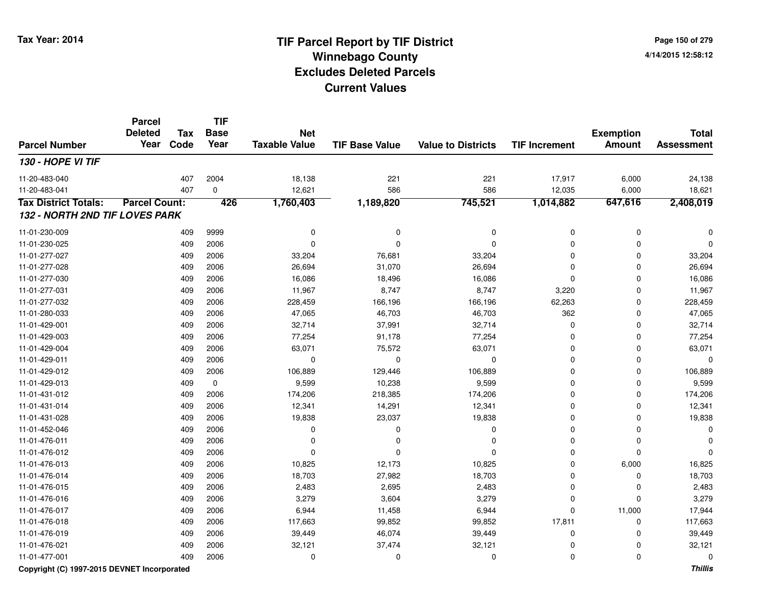**Page 150 of 2794/14/2015 12:58:12**

#### **TIF Base ValueParcel NumberTotal AssessmentExemption Amount Value to Districts TIF IncrementTIF Base YearTax CodeParcel Deleted YearNet Taxable Value130 - HOPE VI TIF**11-20-483-0400 407 2004 18,138 221 221 17,917 6,000 24,138 11-20-483-0411 407 0 12,621 586 586 12,035 6,000 18,621 **Tax District Totals: Parcel Count: <sup>426</sup> 1,760,403 1,189,820 745,521 1,014,882 647,616 2,408,019 132 - NORTH 2ND TIF LOVES PARK**11-01-230-009 <sup>409</sup> <sup>0</sup> <sup>9999</sup> <sup>0</sup> <sup>0</sup> <sup>0</sup> <sup>0</sup> <sup>0</sup> 11-01-230-025 <sup>409</sup> <sup>0</sup> <sup>2006</sup> <sup>0</sup> <sup>0</sup> <sup>0</sup> <sup>0</sup> <sup>0</sup> 11-01-277-0277 409 2006 33,204 76,681 33,204 0 33,204 11-01-277-0288 409 2006 26,694 31,070 26,694 0 0 26,694 11-01-277-0300 409 2006 16,086 18,496 16,086 0 0 16,086 11-01-277-0311 409 2006 11,967 8,747 8,747 3,220 0 11,967 11-01-277-0322 409 2006 228,459 166,196 166,196 62,263 0 228,459 11-01-280-0333 409 2006 47,065 46,703 46,703 362 0 47,065 11-01-429-0011 409 2006 32,714 37,991 32,714 0 32,714 11-01-429-0033 409 2006 77,254 91,178 77,254 0 0 77,254 11-01-429-004 <sup>409</sup> 63,071 <sup>2006</sup> 75,572 63,071 <sup>0</sup> <sup>0</sup> 63,071 11-01-429-011 <sup>409</sup> <sup>0</sup> <sup>2006</sup> <sup>0</sup> <sup>0</sup> <sup>0</sup> <sup>0</sup> <sup>0</sup> 11-01-429-0122 409 2006 106,889 129,446 106,889 0 106,889 11-01-429-013 $3$  6  $409$  0  $9,599$  9,599  $10,238$  9,599  $9,599$  0  $10,238$  9,599  $10,238$  0  $10,238$  0  $10,238$  0  $10,238$  0  $10,238$  0  $10,238$  0  $10,238$  0  $10,238$  0  $10,238$  0  $10,238$  0  $10,238$  0  $10,238$  0  $10,238$  0  $10,238$  0 11-01-431-012 <sup>409</sup> 174,206 <sup>2006</sup> 218,385 174,206 <sup>0</sup> <sup>0</sup> 174,206 11-01-431-014 <sup>409</sup> 12,341 <sup>2006</sup> 14,291 12,341 <sup>0</sup> <sup>0</sup> 12,341 11-01-431-0288 409 2006 19,838 23,037 19,838 0 0 19,838 11-01-452-046 <sup>409</sup> <sup>0</sup> <sup>2006</sup> <sup>0</sup> <sup>0</sup> <sup>0</sup> <sup>0</sup> <sup>0</sup> 11-01-476-011 <sup>409</sup> <sup>0</sup> <sup>2006</sup> <sup>0</sup> <sup>0</sup> <sup>0</sup> <sup>0</sup> <sup>0</sup> 11-01-476-012 <sup>409</sup> <sup>0</sup> <sup>2006</sup> <sup>0</sup> <sup>0</sup> <sup>0</sup> <sup>0</sup> <sup>0</sup> 11-01-476-0133 409 2006 10,825 12,173 10,825 0 6,000 16,825 11-01-476-014 <sup>409</sup> 18,703 <sup>2006</sup> 27,982 18,703 <sup>0</sup> <sup>0</sup> 18,703 11-01-476-0155 409 2006 2,483 2,695 2,483 0 2,483 11-01-476-016 <sup>409</sup> 3,279 <sup>2006</sup> 3,604 3,279 <sup>0</sup> <sup>0</sup> 3,279 11-01-476-017 <sup>409</sup> 6,944 <sup>2006</sup> 11,458 6,944 <sup>0</sup> 11,000 17,944 11-01-476-018 <sup>409</sup> 117,663 <sup>2006</sup> 99,852 99,852 17,811 <sup>0</sup> 117,663 11-01-476-0199 409 2006 39,449 46,074 39,449 0 0 39,449 11-01-476-0211 409 2006 32,121 37,474 32,121 0 0 32,121 11-01-477-001<sup>409</sup> <sup>0</sup> <sup>2006</sup> <sup>0</sup> <sup>0</sup> <sup>0</sup> <sup>0</sup> <sup>0</sup>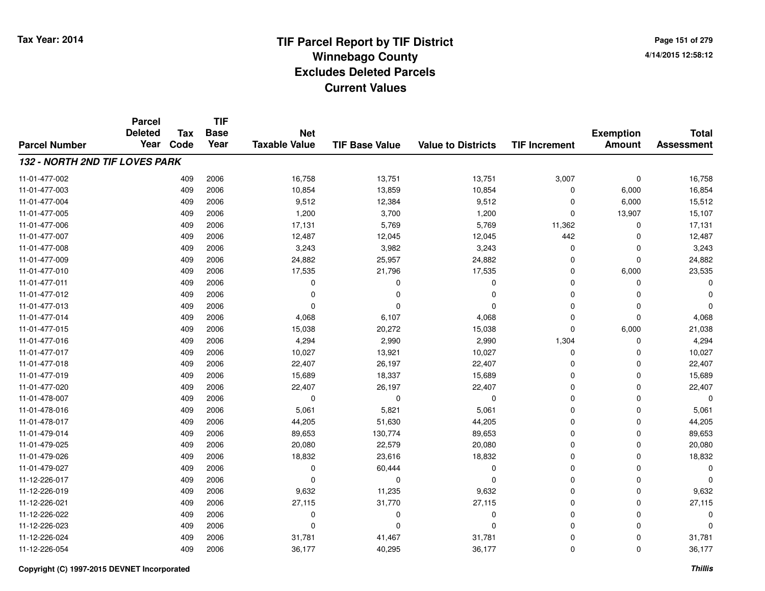**Page 151 of 2794/14/2015 12:58:12**

|                                       | <b>Parcel</b><br><b>Deleted</b> | <b>Tax</b> | <b>TIF</b><br><b>Base</b> | <b>Net</b>           |                       |                           |                      | <b>Exemption</b> | <b>Total</b>      |
|---------------------------------------|---------------------------------|------------|---------------------------|----------------------|-----------------------|---------------------------|----------------------|------------------|-------------------|
| <b>Parcel Number</b>                  | Year                            | Code       | Year                      | <b>Taxable Value</b> | <b>TIF Base Value</b> | <b>Value to Districts</b> | <b>TIF Increment</b> | <b>Amount</b>    | <b>Assessment</b> |
| <b>132 - NORTH 2ND TIF LOVES PARK</b> |                                 |            |                           |                      |                       |                           |                      |                  |                   |
| 11-01-477-002                         |                                 | 409        | 2006                      | 16,758               | 13,751                | 13,751                    | 3,007                | 0                | 16,758            |
| 11-01-477-003                         |                                 | 409        | 2006                      | 10,854               | 13,859                | 10,854                    | $\mathbf 0$          | 6,000            | 16,854            |
| 11-01-477-004                         |                                 | 409        | 2006                      | 9,512                | 12,384                | 9,512                     | 0                    | 6,000            | 15,512            |
| 11-01-477-005                         |                                 | 409        | 2006                      | 1,200                | 3,700                 | 1,200                     | 0                    | 13,907           | 15,107            |
| 11-01-477-006                         |                                 | 409        | 2006                      | 17,131               | 5,769                 | 5,769                     | 11,362               | 0                | 17,131            |
| 11-01-477-007                         |                                 | 409        | 2006                      | 12,487               | 12,045                | 12,045                    | 442                  | $\Omega$         | 12,487            |
| 11-01-477-008                         |                                 | 409        | 2006                      | 3,243                | 3,982                 | 3,243                     | 0                    | $\Omega$         | 3,243             |
| 11-01-477-009                         |                                 | 409        | 2006                      | 24,882               | 25,957                | 24,882                    | $\mathbf 0$          | $\Omega$         | 24,882            |
| 11-01-477-010                         |                                 | 409        | 2006                      | 17,535               | 21,796                | 17,535                    | $\mathbf 0$          | 6,000            | 23,535            |
| 11-01-477-011                         |                                 | 409        | 2006                      | 0                    | $\Omega$              | $\mathbf 0$               | 0                    | $\Omega$         |                   |
| 11-01-477-012                         |                                 | 409        | 2006                      | $\Omega$             | $\Omega$              | $\Omega$                  | $\Omega$             | $\Omega$         |                   |
| 11-01-477-013                         |                                 | 409        | 2006                      | $\Omega$             | $\Omega$              | $\Omega$                  | 0                    | $\Omega$         | O                 |
| 11-01-477-014                         |                                 | 409        | 2006                      | 4,068                | 6,107                 | 4,068                     | $\mathbf 0$          | $\Omega$         | 4,068             |
| 11-01-477-015                         |                                 | 409        | 2006                      | 15,038               | 20,272                | 15,038                    | 0                    | 6,000            | 21,038            |
| 11-01-477-016                         |                                 | 409        | 2006                      | 4,294                | 2,990                 | 2,990                     | 1,304                | $\Omega$         | 4,294             |
| 11-01-477-017                         |                                 | 409        | 2006                      | 10,027               | 13,921                | 10,027                    | 0                    | 0                | 10,027            |
| 11-01-477-018                         |                                 | 409        | 2006                      | 22,407               | 26,197                | 22,407                    | 0                    | 0                | 22,407            |
| 11-01-477-019                         |                                 | 409        | 2006                      | 15,689               | 18,337                | 15,689                    | 0                    | 0                | 15,689            |
| 11-01-477-020                         |                                 | 409        | 2006                      | 22,407               | 26,197                | 22,407                    | 0                    | $\Omega$         | 22,407            |
| 11-01-478-007                         |                                 | 409        | 2006                      | $\mathbf 0$          | $\mathbf 0$           | $\mathbf 0$               | 0                    | 0                | $\Omega$          |
| 11-01-478-016                         |                                 | 409        | 2006                      | 5,061                | 5,821                 | 5,061                     | 0                    | $\mathbf 0$      | 5,061             |
| 11-01-478-017                         |                                 | 409        | 2006                      | 44,205               | 51,630                | 44,205                    | 0                    | $\mathbf 0$      | 44,205            |
| 11-01-479-014                         |                                 | 409        | 2006                      | 89,653               | 130,774               | 89,653                    | 0                    | 0                | 89,653            |
| 11-01-479-025                         |                                 | 409        | 2006                      | 20,080               | 22,579                | 20,080                    | 0                    | $\Omega$         | 20,080            |
| 11-01-479-026                         |                                 | 409        | 2006                      | 18,832               | 23,616                | 18,832                    | 0                    | $\mathbf 0$      | 18,832            |
| 11-01-479-027                         |                                 | 409        | 2006                      | 0                    | 60,444                | $\mathbf 0$               | $\Omega$             | $\Omega$         | $\Omega$          |
| 11-12-226-017                         |                                 | 409        | 2006                      | $\mathbf 0$          | $\mathbf 0$           | $\Omega$                  | 0                    | $\mathbf 0$      |                   |
| 11-12-226-019                         |                                 | 409        | 2006                      | 9,632                | 11,235                | 9,632                     | 0                    | $\Omega$         | 9,632             |
| 11-12-226-021                         |                                 | 409        | 2006                      | 27,115               | 31,770                | 27,115                    | 0                    | $\mathbf 0$      | 27,115            |
| 11-12-226-022                         |                                 | 409        | 2006                      | 0                    | 0                     | 0                         | 0                    | $\Omega$         | $\Omega$          |
| 11-12-226-023                         |                                 | 409        | 2006                      | $\Omega$             | $\Omega$              | $\Omega$                  | $\Omega$             | $\Omega$         | $\Omega$          |
| 11-12-226-024                         |                                 | 409        | 2006                      | 31,781               | 41,467                | 31,781                    | 0                    | $\Omega$         | 31,781            |
| 11-12-226-054                         |                                 | 409        | 2006                      | 36,177               | 40,295                | 36,177                    | 0                    | $\Omega$         | 36,177            |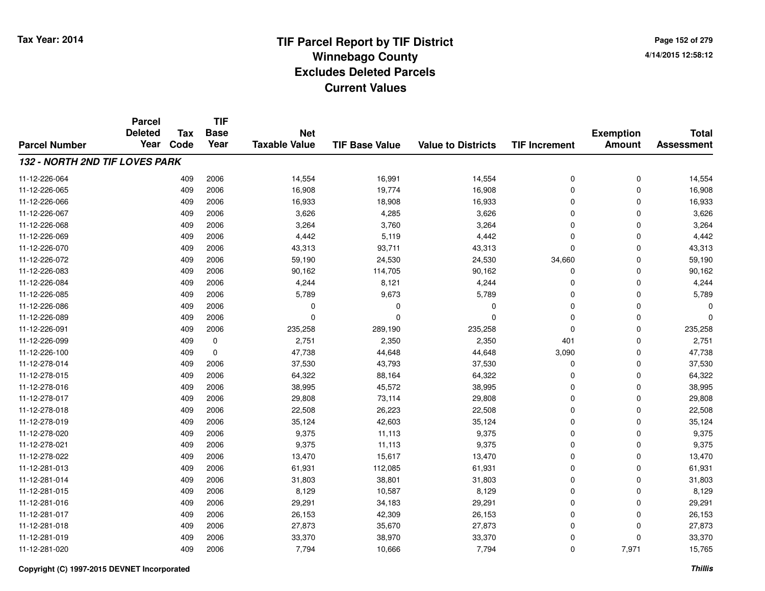**Page 152 of 2794/14/2015 12:58:12**

|                                       | <b>Parcel</b><br><b>Deleted</b> | <b>Tax</b> | <b>TIF</b><br><b>Base</b> | <b>Net</b>           |                       |                           |                      | <b>Exemption</b> | <b>Total</b>      |
|---------------------------------------|---------------------------------|------------|---------------------------|----------------------|-----------------------|---------------------------|----------------------|------------------|-------------------|
| <b>Parcel Number</b>                  | Year                            | Code       | Year                      | <b>Taxable Value</b> | <b>TIF Base Value</b> | <b>Value to Districts</b> | <b>TIF Increment</b> | <b>Amount</b>    | <b>Assessment</b> |
| <b>132 - NORTH 2ND TIF LOVES PARK</b> |                                 |            |                           |                      |                       |                           |                      |                  |                   |
| 11-12-226-064                         |                                 | 409        | 2006                      | 14,554               | 16,991                | 14,554                    | 0                    | 0                | 14,554            |
| 11-12-226-065                         |                                 | 409        | 2006                      | 16,908               | 19,774                | 16,908                    | 0                    | $\mathbf 0$      | 16,908            |
| 11-12-226-066                         |                                 | 409        | 2006                      | 16,933               | 18,908                | 16,933                    | 0                    | 0                | 16,933            |
| 11-12-226-067                         |                                 | 409        | 2006                      | 3,626                | 4,285                 | 3,626                     | 0                    | $\mathbf 0$      | 3,626             |
| 11-12-226-068                         |                                 | 409        | 2006                      | 3,264                | 3,760                 | 3,264                     | 0                    | 0                | 3,264             |
| 11-12-226-069                         |                                 | 409        | 2006                      | 4,442                | 5,119                 | 4,442                     | 0                    | $\mathbf 0$      | 4,442             |
| 11-12-226-070                         |                                 | 409        | 2006                      | 43,313               | 93,711                | 43,313                    | 0                    | $\mathbf 0$      | 43,313            |
| 11-12-226-072                         |                                 | 409        | 2006                      | 59,190               | 24,530                | 24,530                    | 34,660               | $\mathbf 0$      | 59,190            |
| 11-12-226-083                         |                                 | 409        | 2006                      | 90,162               | 114,705               | 90,162                    | 0                    | 0                | 90,162            |
| 11-12-226-084                         |                                 | 409        | 2006                      | 4,244                | 8,121                 | 4,244                     | 0                    | $\mathbf 0$      | 4,244             |
| 11-12-226-085                         |                                 | 409        | 2006                      | 5,789                | 9,673                 | 5,789                     | 0                    | 0                | 5,789             |
| 11-12-226-086                         |                                 | 409        | 2006                      | 0                    | 0                     | 0                         | 0                    | 0                | C                 |
| 11-12-226-089                         |                                 | 409        | 2006                      | $\Omega$             | $\Omega$              | $\Omega$                  | 0                    | $\mathbf 0$      | C                 |
| 11-12-226-091                         |                                 | 409        | 2006                      | 235,258              | 289,190               | 235,258                   | 0                    | 0                | 235,258           |
| 11-12-226-099                         |                                 | 409        | $\mathbf 0$               | 2,751                | 2,350                 | 2,350                     | 401                  | $\mathbf 0$      | 2,751             |
| 11-12-226-100                         |                                 | 409        | $\mathbf 0$               | 47,738               | 44,648                | 44,648                    | 3,090                | $\mathbf 0$      | 47,738            |
| 11-12-278-014                         |                                 | 409        | 2006                      | 37,530               | 43,793                | 37,530                    | 0                    | 0                | 37,530            |
| 11-12-278-015                         |                                 | 409        | 2006                      | 64,322               | 88,164                | 64,322                    | 0                    | 0                | 64,322            |
| 11-12-278-016                         |                                 | 409        | 2006                      | 38,995               | 45,572                | 38,995                    | 0                    | 0                | 38,995            |
| 11-12-278-017                         |                                 | 409        | 2006                      | 29,808               | 73,114                | 29,808                    | 0                    | 0                | 29,808            |
| 11-12-278-018                         |                                 | 409        | 2006                      | 22,508               | 26,223                | 22,508                    | 0                    | 0                | 22,508            |
| 11-12-278-019                         |                                 | 409        | 2006                      | 35,124               | 42,603                | 35,124                    | 0                    | $\mathbf 0$      | 35,124            |
| 11-12-278-020                         |                                 | 409        | 2006                      | 9,375                | 11,113                | 9,375                     | 0                    | $\mathbf 0$      | 9,375             |
| 11-12-278-021                         |                                 | 409        | 2006                      | 9,375                | 11,113                | 9,375                     | 0                    | $\mathbf 0$      | 9,375             |
| 11-12-278-022                         |                                 | 409        | 2006                      | 13,470               | 15,617                | 13,470                    | 0                    | 0                | 13,470            |
| 11-12-281-013                         |                                 | 409        | 2006                      | 61,931               | 112,085               | 61,931                    | 0                    | 0                | 61,931            |
| 11-12-281-014                         |                                 | 409        | 2006                      | 31,803               | 38,801                | 31,803                    | 0                    | 0                | 31,803            |
| 11-12-281-015                         |                                 | 409        | 2006                      | 8,129                | 10,587                | 8,129                     | 0                    | 0                | 8,129             |
| 11-12-281-016                         |                                 | 409        | 2006                      | 29,291               | 34,183                | 29,291                    | 0                    | 0                | 29,291            |
| 11-12-281-017                         |                                 | 409        | 2006                      | 26,153               | 42,309                | 26,153                    | 0                    | 0                | 26,153            |
| 11-12-281-018                         |                                 | 409        | 2006                      | 27,873               | 35,670                | 27,873                    | 0                    | 0                | 27,873            |
| 11-12-281-019                         |                                 | 409        | 2006                      | 33,370               | 38,970                | 33,370                    | 0                    | 0                | 33,370            |
| 11-12-281-020                         |                                 | 409        | 2006                      | 7,794                | 10,666                | 7,794                     | 0                    | 7,971            | 15,765            |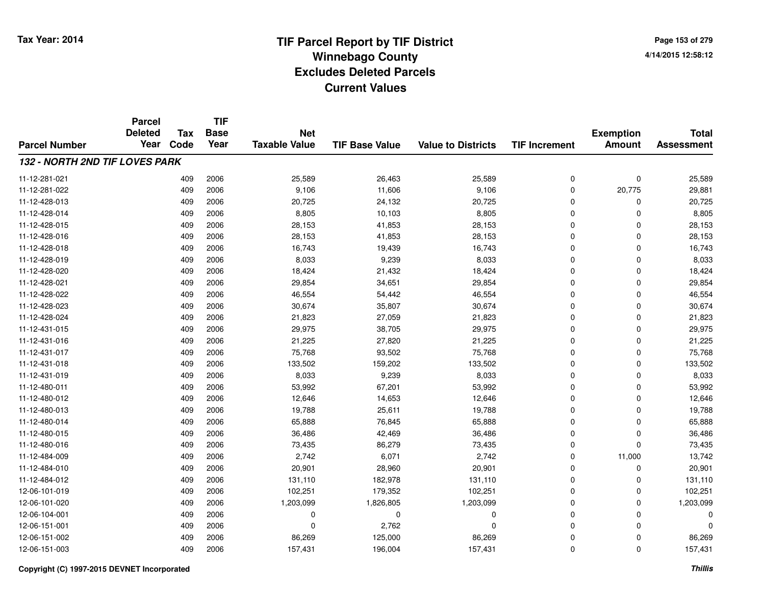**Page 153 of 2794/14/2015 12:58:12**

|                                       | <b>Parcel</b>  |            | <b>TIF</b>  |                      |                       |                           |                      |                  |                   |
|---------------------------------------|----------------|------------|-------------|----------------------|-----------------------|---------------------------|----------------------|------------------|-------------------|
|                                       | <b>Deleted</b> | <b>Tax</b> | <b>Base</b> | <b>Net</b>           |                       |                           |                      | <b>Exemption</b> | <b>Total</b>      |
| <b>Parcel Number</b>                  | Year           | Code       | Year        | <b>Taxable Value</b> | <b>TIF Base Value</b> | <b>Value to Districts</b> | <b>TIF Increment</b> | <b>Amount</b>    | <b>Assessment</b> |
| <b>132 - NORTH 2ND TIF LOVES PARK</b> |                |            |             |                      |                       |                           |                      |                  |                   |
| 11-12-281-021                         |                | 409        | 2006        | 25,589               | 26,463                | 25,589                    | 0                    | 0                | 25,589            |
| 11-12-281-022                         |                | 409        | 2006        | 9,106                | 11,606                | 9,106                     | 0                    | 20,775           | 29,881            |
| 11-12-428-013                         |                | 409        | 2006        | 20,725               | 24,132                | 20,725                    | 0                    | 0                | 20,725            |
| 11-12-428-014                         |                | 409        | 2006        | 8,805                | 10,103                | 8,805                     | 0                    | $\mathbf 0$      | 8,805             |
| 11-12-428-015                         |                | 409        | 2006        | 28,153               | 41,853                | 28,153                    | 0                    | 0                | 28,153            |
| 11-12-428-016                         |                | 409        | 2006        | 28,153               | 41,853                | 28,153                    | 0                    | $\mathbf 0$      | 28,153            |
| 11-12-428-018                         |                | 409        | 2006        | 16,743               | 19,439                | 16,743                    | 0                    | $\mathbf 0$      | 16,743            |
| 11-12-428-019                         |                | 409        | 2006        | 8,033                | 9,239                 | 8,033                     | 0                    | $\mathbf 0$      | 8,033             |
| 11-12-428-020                         |                | 409        | 2006        | 18,424               | 21,432                | 18,424                    | 0                    | 0                | 18,424            |
| 11-12-428-021                         |                | 409        | 2006        | 29,854               | 34,651                | 29,854                    | 0                    | $\mathbf 0$      | 29,854            |
| 11-12-428-022                         |                | 409        | 2006        | 46,554               | 54,442                | 46,554                    | 0                    | 0                | 46,554            |
| 11-12-428-023                         |                | 409        | 2006        | 30,674               | 35,807                | 30,674                    | 0                    | 0                | 30,674            |
| 11-12-428-024                         |                | 409        | 2006        | 21,823               | 27,059                | 21,823                    | 0                    | $\mathbf 0$      | 21,823            |
| 11-12-431-015                         |                | 409        | 2006        | 29,975               | 38,705                | 29,975                    | 0                    | 0                | 29,975            |
| 11-12-431-016                         |                | 409        | 2006        | 21,225               | 27,820                | 21,225                    | 0                    | $\mathbf 0$      | 21,225            |
| 11-12-431-017                         |                | 409        | 2006        | 75,768               | 93,502                | 75,768                    | 0                    | $\mathbf 0$      | 75,768            |
| 11-12-431-018                         |                | 409        | 2006        | 133,502              | 159,202               | 133,502                   | 0                    | 0                | 133,502           |
| 11-12-431-019                         |                | 409        | 2006        | 8,033                | 9,239                 | 8,033                     | 0                    | 0                | 8,033             |
| 11-12-480-011                         |                | 409        | 2006        | 53,992               | 67,201                | 53,992                    | 0                    | 0                | 53,992            |
| 11-12-480-012                         |                | 409        | 2006        | 12,646               | 14,653                | 12,646                    | 0                    | 0                | 12,646            |
| 11-12-480-013                         |                | 409        | 2006        | 19,788               | 25,611                | 19,788                    | 0                    | 0                | 19,788            |
| 11-12-480-014                         |                | 409        | 2006        | 65,888               | 76,845                | 65,888                    | 0                    | 0                | 65,888            |
| 11-12-480-015                         |                | 409        | 2006        | 36,486               | 42,469                | 36,486                    | 0                    | 0                | 36,486            |
| 11-12-480-016                         |                | 409        | 2006        | 73,435               | 86,279                | 73,435                    | 0                    | $\mathbf 0$      | 73,435            |
| 11-12-484-009                         |                | 409        | 2006        | 2,742                | 6,071                 | 2,742                     | 0                    | 11,000           | 13,742            |
| 11-12-484-010                         |                | 409        | 2006        | 20,901               | 28,960                | 20,901                    | 0                    | 0                | 20,901            |
| 11-12-484-012                         |                | 409        | 2006        | 131,110              | 182,978               | 131,110                   | 0                    | 0                | 131,110           |
| 12-06-101-019                         |                | 409        | 2006        | 102,251              | 179,352               | 102,251                   | 0                    | 0                | 102,251           |
| 12-06-101-020                         |                | 409        | 2006        | 1,203,099            | 1,826,805             | 1,203,099                 | 0                    | 0                | 1,203,099         |
| 12-06-104-001                         |                | 409        | 2006        | 0                    | $\mathbf 0$           | 0                         | 0                    | 0                | $\Omega$          |
| 12-06-151-001                         |                | 409        | 2006        | $\mathbf 0$          | 2,762                 | $\Omega$                  | 0                    | $\mathbf 0$      | $\Omega$          |
| 12-06-151-002                         |                | 409        | 2006        | 86,269               | 125,000               | 86,269                    | 0                    | 0                | 86,269            |
| 12-06-151-003                         |                | 409        | 2006        | 157,431              | 196,004               | 157,431                   | 0                    | $\mathbf 0$      | 157,431           |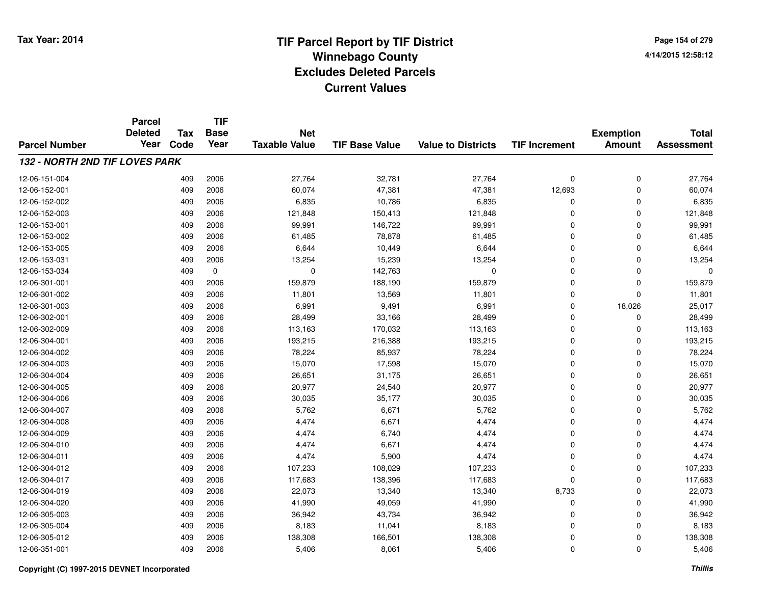**Page 154 of 2794/14/2015 12:58:12**

|                                       | <b>Parcel</b>          |                    | <b>TIF</b>          |                                    |                       |                           |                      |                                   |                                   |
|---------------------------------------|------------------------|--------------------|---------------------|------------------------------------|-----------------------|---------------------------|----------------------|-----------------------------------|-----------------------------------|
| <b>Parcel Number</b>                  | <b>Deleted</b><br>Year | <b>Tax</b><br>Code | <b>Base</b><br>Year | <b>Net</b><br><b>Taxable Value</b> | <b>TIF Base Value</b> | <b>Value to Districts</b> | <b>TIF Increment</b> | <b>Exemption</b><br><b>Amount</b> | <b>Total</b><br><b>Assessment</b> |
|                                       |                        |                    |                     |                                    |                       |                           |                      |                                   |                                   |
| <b>132 - NORTH 2ND TIF LOVES PARK</b> |                        |                    |                     |                                    |                       |                           |                      |                                   |                                   |
| 12-06-151-004                         |                        | 409                | 2006                | 27,764                             | 32,781                | 27,764                    | 0                    | 0                                 | 27,764                            |
| 12-06-152-001                         |                        | 409                | 2006                | 60,074                             | 47,381                | 47,381                    | 12,693               | $\pmb{0}$                         | 60,074                            |
| 12-06-152-002                         |                        | 409                | 2006                | 6,835                              | 10,786                | 6,835                     | 0                    | 0                                 | 6,835                             |
| 12-06-152-003                         |                        | 409                | 2006                | 121,848                            | 150,413               | 121,848                   | 0                    | $\mathbf 0$                       | 121,848                           |
| 12-06-153-001                         |                        | 409                | 2006                | 99,991                             | 146,722               | 99,991                    | 0                    | 0                                 | 99,991                            |
| 12-06-153-002                         |                        | 409                | 2006                | 61,485                             | 78,878                | 61,485                    | 0                    | $\mathbf 0$                       | 61,485                            |
| 12-06-153-005                         |                        | 409                | 2006                | 6,644                              | 10,449                | 6,644                     | 0                    | $\mathbf 0$                       | 6,644                             |
| 12-06-153-031                         |                        | 409                | 2006                | 13,254                             | 15,239                | 13,254                    | 0                    | $\mathbf 0$                       | 13,254                            |
| 12-06-153-034                         |                        | 409                | $\mathbf 0$         | 0                                  | 142,763               | $\Omega$                  | 0                    | 0                                 | $\Omega$                          |
| 12-06-301-001                         |                        | 409                | 2006                | 159,879                            | 188,190               | 159,879                   | 0                    | 0                                 | 159,879                           |
| 12-06-301-002                         |                        | 409                | 2006                | 11,801                             | 13,569                | 11,801                    | 0                    | 0                                 | 11,801                            |
| 12-06-301-003                         |                        | 409                | 2006                | 6,991                              | 9,491                 | 6,991                     | 0                    | 18,026                            | 25,017                            |
| 12-06-302-001                         |                        | 409                | 2006                | 28,499                             | 33,166                | 28,499                    | 0                    | 0                                 | 28,499                            |
| 12-06-302-009                         |                        | 409                | 2006                | 113,163                            | 170,032               | 113,163                   | 0                    | 0                                 | 113,163                           |
| 12-06-304-001                         |                        | 409                | 2006                | 193,215                            | 216,388               | 193,215                   | 0                    | 0                                 | 193,215                           |
| 12-06-304-002                         |                        | 409                | 2006                | 78,224                             | 85,937                | 78,224                    | 0                    | $\mathbf 0$                       | 78,224                            |
| 12-06-304-003                         |                        | 409                | 2006                | 15,070                             | 17,598                | 15,070                    | 0                    | 0                                 | 15,070                            |
| 12-06-304-004                         |                        | 409                | 2006                | 26,651                             | 31,175                | 26,651                    | 0                    | 0                                 | 26,651                            |
| 12-06-304-005                         |                        | 409                | 2006                | 20,977                             | 24,540                | 20,977                    | 0                    | 0                                 | 20,977                            |
| 12-06-304-006                         |                        | 409                | 2006                | 30,035                             | 35,177                | 30,035                    | 0                    | 0                                 | 30,035                            |
| 12-06-304-007                         |                        | 409                | 2006                | 5,762                              | 6,671                 | 5,762                     | 0                    | 0                                 | 5,762                             |
| 12-06-304-008                         |                        | 409                | 2006                | 4,474                              | 6,671                 | 4,474                     | 0                    | $\mathbf 0$                       | 4,474                             |
| 12-06-304-009                         |                        | 409                | 2006                | 4,474                              | 6,740                 | 4,474                     | 0                    | $\pmb{0}$                         | 4,474                             |
| 12-06-304-010                         |                        | 409                | 2006                | 4,474                              | 6,671                 | 4,474                     | 0                    | $\mathbf 0$                       | 4,474                             |
| 12-06-304-011                         |                        | 409                | 2006                | 4,474                              | 5,900                 | 4,474                     | 0                    | 0                                 | 4,474                             |
| 12-06-304-012                         |                        | 409                | 2006                | 107,233                            | 108,029               | 107,233                   | 0                    | 0                                 | 107,233                           |
| 12-06-304-017                         |                        | 409                | 2006                | 117,683                            | 138,396               | 117,683                   | 0                    | $\mathbf 0$                       | 117,683                           |
| 12-06-304-019                         |                        | 409                | 2006                | 22,073                             | 13,340                | 13,340                    | 8,733                | 0                                 | 22,073                            |
| 12-06-304-020                         |                        | 409                | 2006                | 41,990                             | 49,059                | 41,990                    | 0                    | 0                                 | 41,990                            |
| 12-06-305-003                         |                        | 409                | 2006                | 36,942                             | 43,734                | 36,942                    | 0                    | 0                                 | 36,942                            |
| 12-06-305-004                         |                        | 409                | 2006                | 8,183                              | 11,041                | 8,183                     | 0                    | 0                                 | 8,183                             |
| 12-06-305-012                         |                        | 409                | 2006                | 138,308                            | 166,501               | 138,308                   | 0                    | 0                                 | 138,308                           |
| 12-06-351-001                         |                        | 409                | 2006                | 5,406                              | 8,061                 | 5,406                     | 0                    | $\mathbf 0$                       | 5,406                             |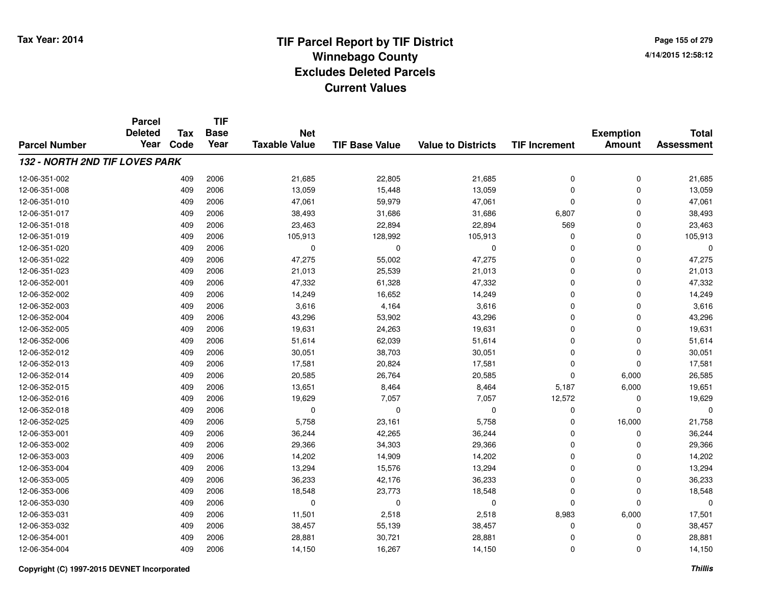# **TIF Parcel Report by TIF District Tax Year: 2014 Winnebago County04/14/2015 12:58:12** PM **Excludes Deleted ParcelsCurrent Values**

**Page 155 of 2794/14/2015 12:58:12**

|                                | <b>Parcel</b><br><b>Deleted</b> | <b>Tax</b> | <b>TIF</b><br><b>Base</b> | <b>Net</b>           |                       |                           |                      | <b>Exemption</b> | <b>Total</b>      |
|--------------------------------|---------------------------------|------------|---------------------------|----------------------|-----------------------|---------------------------|----------------------|------------------|-------------------|
| <b>Parcel Number</b>           | Year                            | Code       | Year                      | <b>Taxable Value</b> | <b>TIF Base Value</b> | <b>Value to Districts</b> | <b>TIF Increment</b> | <b>Amount</b>    | <b>Assessment</b> |
| 132 - NORTH 2ND TIF LOVES PARK |                                 |            |                           |                      |                       |                           |                      |                  |                   |
| 12-06-351-002                  |                                 | 409        | 2006                      | 21,685               | 22,805                | 21,685                    | 0                    | 0                | 21,685            |
| 12-06-351-008                  |                                 | 409        | 2006                      | 13,059               | 15,448                | 13,059                    | 0                    | 0                | 13,059            |
| 12-06-351-010                  |                                 | 409        | 2006                      | 47,061               | 59,979                | 47,061                    | 0                    | $\mathbf 0$      | 47,061            |
| 12-06-351-017                  |                                 | 409        | 2006                      | 38,493               | 31,686                | 31,686                    | 6,807                | 0                | 38,493            |
| 12-06-351-018                  |                                 | 409        | 2006                      | 23,463               | 22,894                | 22,894                    | 569                  | 0                | 23,463            |
| 12-06-351-019                  |                                 | 409        | 2006                      | 105,913              | 128,992               | 105,913                   | 0                    | 0                | 105,913           |
| 12-06-351-020                  |                                 | 409        | 2006                      | 0                    | $\Omega$              | 0                         | 0                    | $\mathbf 0$      | $\mathbf 0$       |
| 12-06-351-022                  |                                 | 409        | 2006                      | 47,275               | 55,002                | 47,275                    | 0                    | $\mathbf 0$      | 47,275            |
| 12-06-351-023                  |                                 | 409        | 2006                      | 21,013               | 25,539                | 21,013                    | 0                    | $\mathbf 0$      | 21,013            |
| 12-06-352-001                  |                                 | 409        | 2006                      | 47,332               | 61,328                | 47,332                    | 0                    | 0                | 47,332            |
| 12-06-352-002                  |                                 | 409        | 2006                      | 14,249               | 16,652                | 14,249                    | 0                    | $\mathbf 0$      | 14,249            |
| 12-06-352-003                  |                                 | 409        | 2006                      | 3,616                | 4,164                 | 3,616                     | 0                    | $\mathbf 0$      | 3,616             |
| 12-06-352-004                  |                                 | 409        | 2006                      | 43,296               | 53,902                | 43,296                    | 0                    | $\mathbf 0$      | 43,296            |
| 12-06-352-005                  |                                 | 409        | 2006                      | 19,631               | 24,263                | 19,631                    | 0                    | 0                | 19,631            |
| 12-06-352-006                  |                                 | 409        | 2006                      | 51,614               | 62,039                | 51,614                    | 0                    | $\mathbf 0$      | 51,614            |
| 12-06-352-012                  |                                 | 409        | 2006                      | 30,051               | 38,703                | 30,051                    | 0                    | 0                | 30,051            |
| 12-06-352-013                  |                                 | 409        | 2006                      | 17,581               | 20,824                | 17,581                    | $\Omega$             | $\mathbf 0$      | 17,581            |
| 12-06-352-014                  |                                 | 409        | 2006                      | 20,585               | 26,764                | 20,585                    | 0                    | 6,000            | 26,585            |
| 12-06-352-015                  |                                 | 409        | 2006                      | 13,651               | 8,464                 | 8,464                     | 5,187                | 6,000            | 19,651            |
| 12-06-352-016                  |                                 | 409        | 2006                      | 19,629               | 7,057                 | 7,057                     | 12,572               | 0                | 19,629            |
| 12-06-352-018                  |                                 | 409        | 2006                      | $\mathbf 0$          | $\mathbf 0$           | 0                         | 0                    | 0                | $\Omega$          |
| 12-06-352-025                  |                                 | 409        | 2006                      | 5,758                | 23,161                | 5,758                     | 0                    | 16,000           | 21,758            |
| 12-06-353-001                  |                                 | 409        | 2006                      | 36,244               | 42,265                | 36,244                    | 0                    | $\mathbf 0$      | 36,244            |
| 12-06-353-002                  |                                 | 409        | 2006                      | 29,366               | 34,303                | 29,366                    | 0                    | 0                | 29,366            |
| 12-06-353-003                  |                                 | 409        | 2006                      | 14,202               | 14,909                | 14,202                    | 0                    | 0                | 14,202            |
| 12-06-353-004                  |                                 | 409        | 2006                      | 13,294               | 15,576                | 13,294                    | 0                    | 0                | 13,294            |
| 12-06-353-005                  |                                 | 409        | 2006                      | 36,233               | 42,176                | 36,233                    | 0                    | 0                | 36,233            |
| 12-06-353-006                  |                                 | 409        | 2006                      | 18,548               | 23,773                | 18,548                    | 0                    | 0                | 18,548            |
| 12-06-353-030                  |                                 | 409        | 2006                      | 0                    | $\mathbf 0$           | 0                         | $\mathbf 0$          | $\mathbf 0$      | $\Omega$          |
| 12-06-353-031                  |                                 | 409        | 2006                      | 11,501               | 2,518                 | 2,518                     | 8,983                | 6,000            | 17,501            |
| 12-06-353-032                  |                                 | 409        | 2006                      | 38,457               | 55,139                | 38,457                    | 0                    | 0                | 38,457            |
| 12-06-354-001                  |                                 | 409        | 2006                      | 28,881               | 30,721                | 28,881                    | 0                    | 0                | 28,881            |
| 12-06-354-004                  |                                 | 409        | 2006                      | 14,150               | 16,267                | 14,150                    | 0                    | $\mathbf 0$      | 14,150            |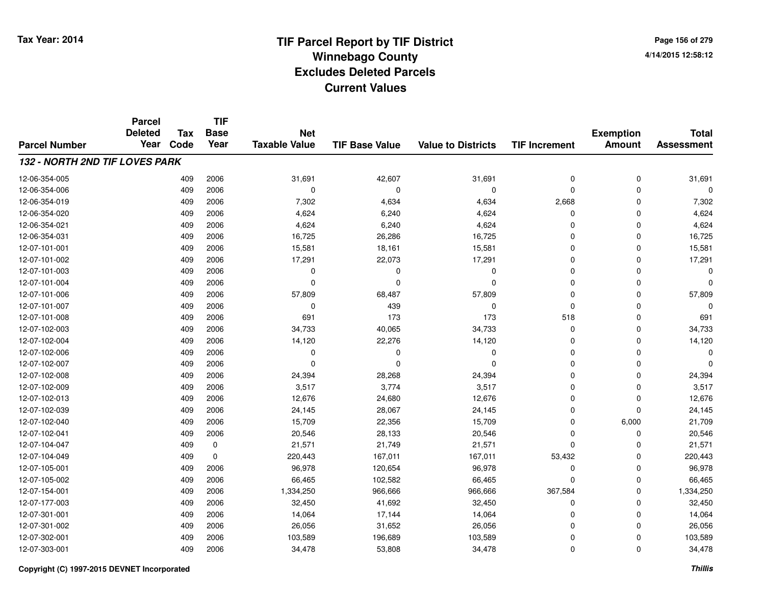**Page 156 of 2794/14/2015 12:58:12**

|                                | <b>Parcel</b>          |                    | <b>TIF</b>          |                                    |                       |                           |                      |                  |                   |
|--------------------------------|------------------------|--------------------|---------------------|------------------------------------|-----------------------|---------------------------|----------------------|------------------|-------------------|
|                                | <b>Deleted</b><br>Year | <b>Tax</b><br>Code | <b>Base</b><br>Year | <b>Net</b><br><b>Taxable Value</b> |                       |                           |                      | <b>Exemption</b> | <b>Total</b>      |
| <b>Parcel Number</b>           |                        |                    |                     |                                    | <b>TIF Base Value</b> | <b>Value to Districts</b> | <b>TIF Increment</b> | <b>Amount</b>    | <b>Assessment</b> |
| 132 - NORTH 2ND TIF LOVES PARK |                        |                    |                     |                                    |                       |                           |                      |                  |                   |
| 12-06-354-005                  |                        | 409                | 2006                | 31,691                             | 42,607                | 31,691                    | $\pmb{0}$            | 0                | 31,691            |
| 12-06-354-006                  |                        | 409                | 2006                | $\mathbf 0$                        | $\Omega$              | 0                         | $\mathbf 0$          | 0                | $\Omega$          |
| 12-06-354-019                  |                        | 409                | 2006                | 7,302                              | 4,634                 | 4,634                     | 2,668                | 0                | 7,302             |
| 12-06-354-020                  |                        | 409                | 2006                | 4,624                              | 6,240                 | 4,624                     | 0                    | 0                | 4,624             |
| 12-06-354-021                  |                        | 409                | 2006                | 4,624                              | 6,240                 | 4,624                     | $\Omega$             | 0                | 4,624             |
| 12-06-354-031                  |                        | 409                | 2006                | 16,725                             | 26,286                | 16,725                    | $\mathbf 0$          | 0                | 16,725            |
| 12-07-101-001                  |                        | 409                | 2006                | 15,581                             | 18,161                | 15,581                    | 0                    | 0                | 15,581            |
| 12-07-101-002                  |                        | 409                | 2006                | 17,291                             | 22,073                | 17,291                    | 0                    | 0                | 17,291            |
| 12-07-101-003                  |                        | 409                | 2006                | 0                                  | 0                     | 0                         | $\mathbf 0$          | 0                | $\Omega$          |
| 12-07-101-004                  |                        | 409                | 2006                | $\Omega$                           | $\Omega$              | 0                         | $\mathbf 0$          | 0                | $\Omega$          |
| 12-07-101-006                  |                        | 409                | 2006                | 57,809                             | 68,487                | 57,809                    | $\mathbf 0$          | 0                | 57,809            |
| 12-07-101-007                  |                        | 409                | 2006                | $\mathbf 0$                        | 439                   | 0                         | $\mathbf 0$          | 0                |                   |
| 12-07-101-008                  |                        | 409                | 2006                | 691                                | 173                   | 173                       | 518                  | 0                | 691               |
| 12-07-102-003                  |                        | 409                | 2006                | 34,733                             | 40,065                | 34,733                    | $\mathbf 0$          | 0                | 34,733            |
| 12-07-102-004                  |                        | 409                | 2006                | 14,120                             | 22,276                | 14,120                    | 0                    | 0                | 14,120            |
| 12-07-102-006                  |                        | 409                | 2006                | 0                                  | $\Omega$              | 0                         | 0                    | 0                | $\Omega$          |
| 12-07-102-007                  |                        | 409                | 2006                | $\Omega$                           | $\Omega$              | $\Omega$                  | 0                    | 0                | $\Omega$          |
| 12-07-102-008                  |                        | 409                | 2006                | 24,394                             | 28,268                | 24,394                    | 0                    | 0                | 24,394            |
| 12-07-102-009                  |                        | 409                | 2006                | 3,517                              | 3,774                 | 3,517                     | 0                    | 0                | 3,517             |
| 12-07-102-013                  |                        | 409                | 2006                | 12,676                             | 24,680                | 12,676                    | $\pmb{0}$            | $\pmb{0}$        | 12,676            |
| 12-07-102-039                  |                        | 409                | 2006                | 24,145                             | 28,067                | 24,145                    | 0                    | 0                | 24,145            |
| 12-07-102-040                  |                        | 409                | 2006                | 15,709                             | 22,356                | 15,709                    | 0                    | 6,000            | 21,709            |
| 12-07-102-041                  |                        | 409                | 2006                | 20,546                             | 28,133                | 20,546                    | $\mathbf 0$          | 0                | 20,546            |
| 12-07-104-047                  |                        | 409                | 0                   | 21,571                             | 21,749                | 21,571                    | 0                    | 0                | 21,571            |
| 12-07-104-049                  |                        | 409                | $\mathbf 0$         | 220,443                            | 167,011               | 167,011                   | 53,432               | 0                | 220,443           |
| 12-07-105-001                  |                        | 409                | 2006                | 96,978                             | 120,654               | 96,978                    | $\mathbf 0$          | 0                | 96,978            |
| 12-07-105-002                  |                        | 409                | 2006                | 66,465                             | 102,582               | 66,465                    | $\mathbf 0$          | 0                | 66,465            |
| 12-07-154-001                  |                        | 409                | 2006                | 1,334,250                          | 966,666               | 966,666                   | 367,584              | 0                | 1,334,250         |
| 12-07-177-003                  |                        | 409                | 2006                | 32,450                             | 41,692                | 32,450                    | $\mathbf 0$          | 0                | 32,450            |
| 12-07-301-001                  |                        | 409                | 2006                | 14,064                             | 17,144                | 14,064                    | 0                    | 0                | 14,064            |
| 12-07-301-002                  |                        | 409                | 2006                | 26,056                             | 31,652                | 26,056                    | $\mathbf 0$          | 0                | 26,056            |
| 12-07-302-001                  |                        | 409                | 2006                | 103,589                            | 196,689               | 103,589                   | $\Omega$             | 0                | 103,589           |
| 12-07-303-001                  |                        | 409                | 2006                | 34,478                             | 53,808                | 34,478                    | $\mathbf 0$          | 0                | 34,478            |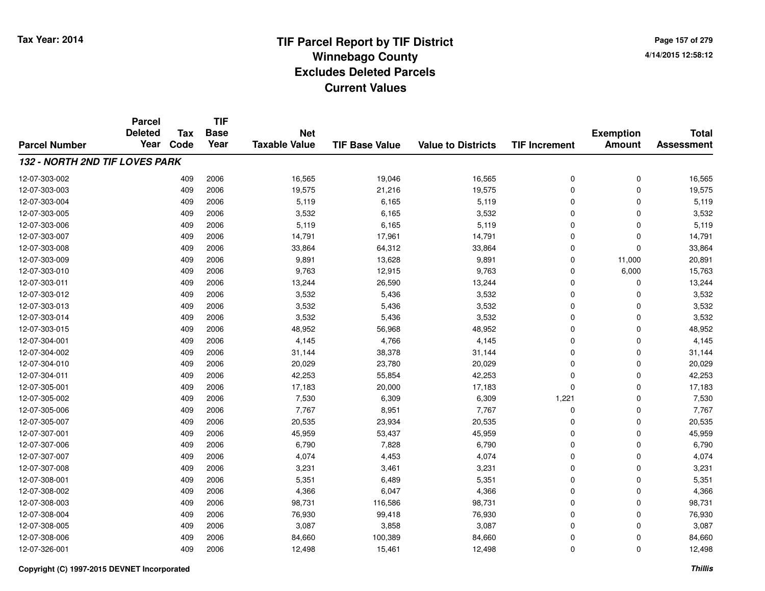**TIF**

**Parcel**

**Page 157 of 2794/14/2015 12:58:12**

#### **TIF Base ValueParcel NumberTotal AssessmentExemption Amount Value to Districts TIF Increment Base YearTax Code Deleted YearNet Taxable Value132 - NORTH 2ND TIF LOVES PARK**12-07-303-0022 409 2006 16,565 19,046 16,565 0 0 16,565 12-07-303-0033 409 2006 19,575 21,216 19,575 0 0 19,575 12-07-303-004 <sup>409</sup> 5,119 <sup>2006</sup> 6,165 5,119 <sup>0</sup> <sup>0</sup> 5,119 12-07-303-005 <sup>409</sup> 3,532 <sup>2006</sup> 6,165 3,532 <sup>0</sup> <sup>0</sup> 3,532 12-07-303-006 <sup>409</sup> 5,119 <sup>2006</sup> 6,165 5,119 <sup>0</sup> <sup>0</sup> 5,119 12-07-303-007 <sup>409</sup> 14,791 <sup>2006</sup> 17,961 14,791 <sup>0</sup> <sup>0</sup> 14,791 12-07-303-0088 409 2006 33,864 64,312 33,864 0 0 33,864 12-07-303-0099 409 2006 9,891 13,628 9,891 0 11,000 20,891 12-07-303-0100 409 2006 9,763 12,915 9,763 0 6,000 15,763 12-07-303-0111 409 2006 13,244 26,590 13,244 0 13,244 12-07-303-0122 409 2006 3,532 5,436 3,532 0 0 3,532 12-07-303-013 $3$  3 2006 2006 3,532 5,436 3,532 3,532 0 0 0  $3,532$ 12-07-303-0144 409 2006 3,532 5,436 3,532 0 0 3,532 12-07-303-015 <sup>409</sup> 48,952 <sup>2006</sup> 56,968 48,952 <sup>0</sup> <sup>0</sup> 48,952 12-07-304-0011 409 2006 4,145 4,766 4,145 0 0 4,145 12-07-304-0022 409 2006 31,144 38,378 31,144 0 0 31,144 12-07-304-0100 409 2006 20,029 23,780 20,029 0 0 20,029 12-07-304-0111 409 2006 42,253 55,854 42,253 0 42,253 12-07-305-001 <sup>409</sup> 17,183 <sup>2006</sup> 20,000 17,183 <sup>0</sup> <sup>0</sup> 17,183 12-07-305-0022 409 2006 7,530 6,309 6,309 1,221 0 7,530 12-07-305-006 <sup>409</sup> 7,767 <sup>2006</sup> 8,951 7,767 <sup>0</sup> <sup>0</sup> 7,767 12-07-305-007 <sup>409</sup> 20,535 <sup>2006</sup> 23,934 20,535 <sup>0</sup> <sup>0</sup> 20,535 12-07-307-0011 409 2006 45,959 53,437 45,959 0 0 45,959 12-07-307-006 <sup>409</sup> 6,790 <sup>2006</sup> 7,828 6,790 <sup>0</sup> <sup>0</sup> 6,790 12-07-307-007 <sup>409</sup> 4,074 <sup>2006</sup> 4,453 4,074 <sup>0</sup> <sup>0</sup> 4,074 12-07-307-0088 409 2006 3,231 3,461 3,231 0 3,231 12-07-308-0011 409 2006 5,351 6,489 5,351 0 0 5,351 12-07-308-0022 409 2006 4,366 6,047 4,366 0 0 4,366 12-07-308-0033 409 2006 98,731 116,586 98,731 0 98,731 12-07-308-004 <sup>409</sup> 76,930 <sup>2006</sup> 99,418 76,930 <sup>0</sup> <sup>0</sup> 76,930 12-07-308-005 <sup>409</sup> 3,087 <sup>2006</sup> 3,858 3,087 <sup>0</sup> <sup>0</sup> 3,087 12-07-308-006 <sup>409</sup> 84,660 <sup>2006</sup> 100,389 84,660 <sup>0</sup> <sup>0</sup> 84,660 12-07-326-0011 409 2006 12,498 15,461 12,498 0 12,498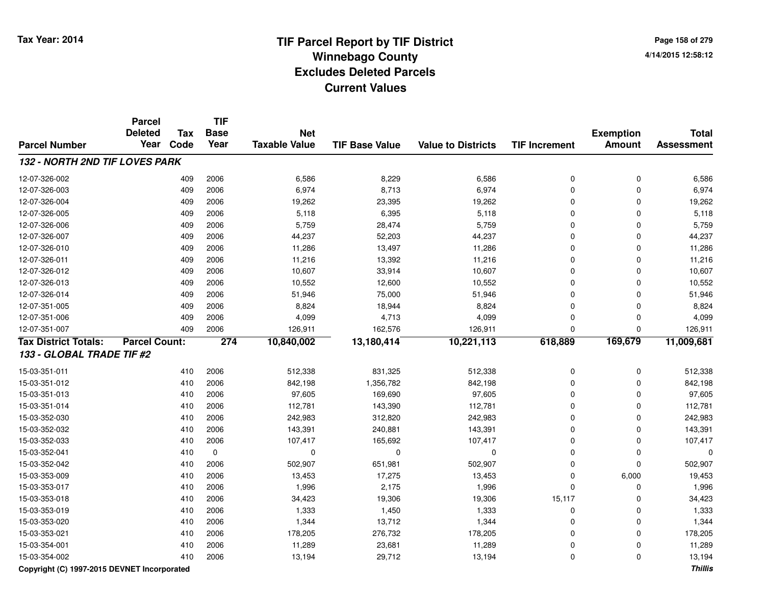**Page 158 of 2794/14/2015 12:58:12**

|                                | <b>Parcel</b><br><b>Deleted</b> | <b>Tax</b> | TIF<br><b>Base</b> | <b>Net</b>           |                       |                           |                      |                                   | <b>Total</b>      |
|--------------------------------|---------------------------------|------------|--------------------|----------------------|-----------------------|---------------------------|----------------------|-----------------------------------|-------------------|
| <b>Parcel Number</b>           | Year                            | Code       | Year               | <b>Taxable Value</b> | <b>TIF Base Value</b> | <b>Value to Districts</b> | <b>TIF Increment</b> | <b>Exemption</b><br><b>Amount</b> | <b>Assessment</b> |
| 132 - NORTH 2ND TIF LOVES PARK |                                 |            |                    |                      |                       |                           |                      |                                   |                   |
| 12-07-326-002                  |                                 | 409        | 2006               | 6,586                | 8,229                 | 6,586                     | 0                    | 0                                 | 6,586             |
| 12-07-326-003                  |                                 | 409        | 2006               | 6,974                | 8,713                 | 6,974                     | 0                    | $\pmb{0}$                         | 6,974             |
| 12-07-326-004                  |                                 | 409        | 2006               | 19,262               | 23,395                | 19,262                    | 0                    | $\mathbf 0$                       | 19,262            |
| 12-07-326-005                  |                                 | 409        | 2006               | 5,118                | 6,395                 | 5,118                     | 0                    | $\mathbf 0$                       | 5,118             |
| 12-07-326-006                  |                                 | 409        | 2006               | 5,759                | 28,474                | 5,759                     | 0                    | $\Omega$                          | 5,759             |
| 12-07-326-007                  |                                 | 409        | 2006               | 44,237               | 52,203                | 44,237                    | 0                    | 0                                 | 44,237            |
| 12-07-326-010                  |                                 | 409        | 2006               | 11,286               | 13,497                | 11,286                    | 0                    | 0                                 | 11,286            |
| 12-07-326-011                  |                                 | 409        | 2006               | 11,216               | 13,392                | 11,216                    | 0                    | $\mathbf 0$                       | 11,216            |
| 12-07-326-012                  |                                 | 409        | 2006               | 10,607               | 33,914                | 10,607                    | 0                    | 0                                 | 10,607            |
| 12-07-326-013                  |                                 | 409        | 2006               | 10,552               | 12,600                | 10,552                    | 0                    | $\Omega$                          | 10,552            |
| 12-07-326-014                  |                                 | 409        | 2006               | 51,946               | 75,000                | 51,946                    | $\Omega$             | $\Omega$                          | 51,946            |
| 12-07-351-005                  |                                 | 409        | 2006               | 8,824                | 18,944                | 8,824                     | $\Omega$             | $\mathbf 0$                       | 8,824             |
| 12-07-351-006                  |                                 | 409        | 2006               | 4,099                | 4,713                 | 4,099                     | 0                    | $\mathbf 0$                       | 4,099             |
| 12-07-351-007                  |                                 | 409        | 2006               | 126,911              | 162,576               | 126,911                   | 0                    | $\mathbf 0$                       | 126,911           |
| <b>Tax District Totals:</b>    | <b>Parcel Count:</b>            |            | 274                | 10,840,002           | 13,180,414            | 10,221,113                | 618,889              | 169,679                           | 11,009,681        |
| 133 - GLOBAL TRADE TIF #2      |                                 |            |                    |                      |                       |                           |                      |                                   |                   |
| 15-03-351-011                  |                                 | 410        | 2006               | 512,338              | 831,325               | 512,338                   | 0                    | 0                                 | 512,338           |
| 15-03-351-012                  |                                 | 410        | 2006               | 842,198              | 1,356,782             | 842,198                   | 0                    | $\mathbf 0$                       | 842,198           |
| 15-03-351-013                  |                                 | 410        | 2006               | 97,605               | 169,690               | 97,605                    | 0                    | $\mathbf 0$                       | 97,605            |
| 15-03-351-014                  |                                 | 410        | 2006               | 112,781              | 143,390               | 112,781                   | $\Omega$             | $\Omega$                          | 112,781           |
| 15-03-352-030                  |                                 | 410        | 2006               | 242,983              | 312,820               | 242,983                   | 0                    | 0                                 | 242,983           |
| 15-03-352-032                  |                                 | 410        | 2006               | 143,391              | 240,881               | 143,391                   | 0                    | 0                                 | 143,391           |
| 15-03-352-033                  |                                 | 410        | 2006               | 107,417              | 165,692               | 107,417                   | 0                    | 0                                 | 107,417           |
| 15-03-352-041                  |                                 | 410        | $\mathbf 0$        | $\mathbf 0$          | $\Omega$              | 0                         | 0                    | 0                                 | $\Omega$          |
| 15-03-352-042                  |                                 | 410        | 2006               | 502,907              | 651,981               | 502,907                   | 0                    | $\mathbf 0$                       | 502,907           |
| 15-03-353-009                  |                                 | 410        | 2006               | 13,453               | 17,275                | 13,453                    | 0                    | 6,000                             | 19,453            |
| 15-03-353-017                  |                                 | 410        | 2006               | 1,996                | 2,175                 | 1,996                     | 0                    | 0                                 | 1,996             |
| 15-03-353-018                  |                                 | 410        | 2006               | 34,423               | 19,306                | 19,306                    | 15,117               | $\mathbf 0$                       | 34,423            |
| 15-03-353-019                  |                                 | 410        | 2006               | 1,333                | 1,450                 | 1,333                     | 0                    | $\mathbf 0$                       | 1,333             |
| 15-03-353-020                  |                                 | 410        | 2006               | 1,344                | 13,712                | 1,344                     | 0                    | $\mathbf 0$                       | 1,344             |
| 15-03-353-021                  |                                 | 410        | 2006               | 178,205              | 276,732               | 178,205                   | 0                    | 0                                 | 178,205           |
| 15-03-354-001                  |                                 | 410        | 2006               | 11,289               | 23,681                | 11,289                    | 0                    | $\Omega$                          | 11,289            |
| 15-03-354-002                  |                                 | 410        | 2006               | 13,194               | 29,712                | 13,194                    | 0                    | $\mathbf 0$                       | 13,194            |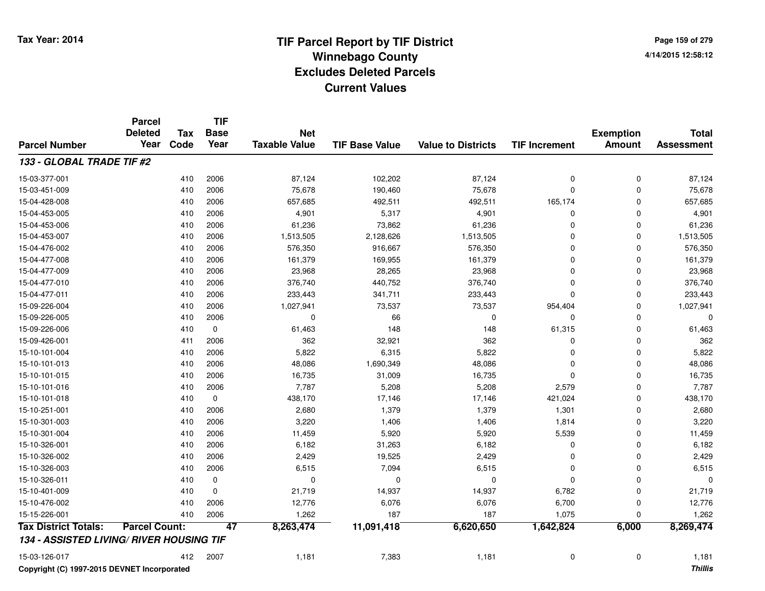**Page 159 of 2794/14/2015 12:58:12**

|                                          | <b>Parcel</b><br><b>Deleted</b> | <b>Tax</b> | TIF<br><b>Base</b><br>Year | <b>Net</b>           |                       |                           |                      | <b>Exemption</b> | <b>Total</b>      |
|------------------------------------------|---------------------------------|------------|----------------------------|----------------------|-----------------------|---------------------------|----------------------|------------------|-------------------|
| <b>Parcel Number</b>                     | Year                            | Code       |                            | <b>Taxable Value</b> | <b>TIF Base Value</b> | <b>Value to Districts</b> | <b>TIF Increment</b> | <b>Amount</b>    | <b>Assessment</b> |
| 133 - GLOBAL TRADE TIF #2                |                                 |            |                            |                      |                       |                           |                      |                  |                   |
| 15-03-377-001                            |                                 | 410        | 2006                       | 87,124               | 102,202               | 87,124                    | 0                    | 0                | 87,124            |
| 15-03-451-009                            |                                 | 410        | 2006                       | 75,678               | 190,460               | 75,678                    | $\mathbf 0$          | 0                | 75,678            |
| 15-04-428-008                            |                                 | 410        | 2006                       | 657,685              | 492,511               | 492,511                   | 165,174              | 0                | 657,685           |
| 15-04-453-005                            |                                 | 410        | 2006                       | 4,901                | 5,317                 | 4,901                     | 0                    | 0                | 4,901             |
| 15-04-453-006                            |                                 | 410        | 2006                       | 61,236               | 73,862                | 61,236                    | $\mathbf 0$          | 0                | 61,236            |
| 15-04-453-007                            |                                 | 410        | 2006                       | 1,513,505            | 2,128,626             | 1,513,505                 | $\mathbf 0$          | 0                | 1,513,505         |
| 15-04-476-002                            |                                 | 410        | 2006                       | 576,350              | 916,667               | 576,350                   | 0                    | 0                | 576,350           |
| 15-04-477-008                            |                                 | 410        | 2006                       | 161,379              | 169,955               | 161,379                   | $\Omega$             | 0                | 161,379           |
| 15-04-477-009                            |                                 | 410        | 2006                       | 23,968               | 28,265                | 23,968                    | $\Omega$             | 0                | 23,968            |
| 15-04-477-010                            |                                 | 410        | 2006                       | 376,740              | 440,752               | 376,740                   | $\Omega$             | $\Omega$         | 376,740           |
| 15-04-477-011                            |                                 | 410        | 2006                       | 233,443              | 341,711               | 233,443                   | $\Omega$             | 0                | 233,443           |
| 15-09-226-004                            |                                 | 410        | 2006                       | 1,027,941            | 73,537                | 73,537                    | 954,404              | 0                | 1,027,941         |
| 15-09-226-005                            |                                 | 410        | 2006                       | $\mathbf 0$          | 66                    | 0                         | 0                    | 0                | $\Omega$          |
| 15-09-226-006                            |                                 | 410        | $\mathbf 0$                | 61,463               | 148                   | 148                       | 61,315               | 0                | 61,463            |
| 15-09-426-001                            |                                 | 411        | 2006                       | 362                  | 32,921                | 362                       | 0                    | 0                | 362               |
| 15-10-101-004                            |                                 | 410        | 2006                       | 5,822                | 6,315                 | 5,822                     | $\Omega$             | 0                | 5,822             |
| 15-10-101-013                            |                                 | 410        | 2006                       | 48,086               | 1,690,349             | 48,086                    | $\Omega$             | 0                | 48,086            |
| 15-10-101-015                            |                                 | 410        | 2006                       | 16,735               | 31,009                | 16,735                    | $\Omega$             | 0                | 16,735            |
| 15-10-101-016                            |                                 | 410        | 2006                       | 7,787                | 5,208                 | 5,208                     | 2,579                | 0                | 7,787             |
| 15-10-101-018                            |                                 | 410        | $\mathbf 0$                | 438,170              | 17,146                | 17,146                    | 421,024              | 0                | 438,170           |
| 15-10-251-001                            |                                 | 410        | 2006                       | 2,680                | 1,379                 | 1,379                     | 1,301                | 0                | 2,680             |
| 15-10-301-003                            |                                 | 410        | 2006                       | 3,220                | 1,406                 | 1,406                     | 1,814                | 0                | 3,220             |
| 15-10-301-004                            |                                 | 410        | 2006                       | 11,459               | 5,920                 | 5,920                     | 5,539                | 0                | 11,459            |
| 15-10-326-001                            |                                 | 410        | 2006                       | 6,182                | 31,263                | 6,182                     | $\mathbf 0$          | 0                | 6,182             |
| 15-10-326-002                            |                                 | 410        | 2006                       | 2,429                | 19,525                | 2,429                     | $\Omega$             | 0                | 2,429             |
| 15-10-326-003                            |                                 | 410        | 2006                       | 6,515                | 7,094                 | 6,515                     | $\Omega$             | 0                | 6,515             |
| 15-10-326-011                            |                                 | 410        | 0                          | $\mathbf 0$          | 0                     | 0                         | $\mathbf 0$          | 0                | $\Omega$          |
| 15-10-401-009                            |                                 | 410        | 0                          | 21,719               | 14,937                | 14,937                    | 6,782                | 0                | 21,719            |
| 15-10-476-002                            |                                 | 410        | 2006                       | 12,776               | 6,076                 | 6,076                     | 6,700                | 0                | 12,776            |
| 15-15-226-001                            |                                 | 410        | 2006                       | 1,262                | 187                   | 187                       | 1,075                | 0                | 1,262             |
| <b>Tax District Totals:</b>              | <b>Parcel Count:</b>            |            | 47                         | 8,263,474            | 11,091,418            | 6,620,650                 | 1,642,824            | 6,000            | 8,269,474         |
| 134 - ASSISTED LIVING/ RIVER HOUSING TIF |                                 |            |                            |                      |                       |                           |                      |                  |                   |
| 15-03-126-017                            |                                 | 412        | 2007                       | 1,181                | 7,383                 | 1,181                     | $\mathbf 0$          | 0                | 1,181             |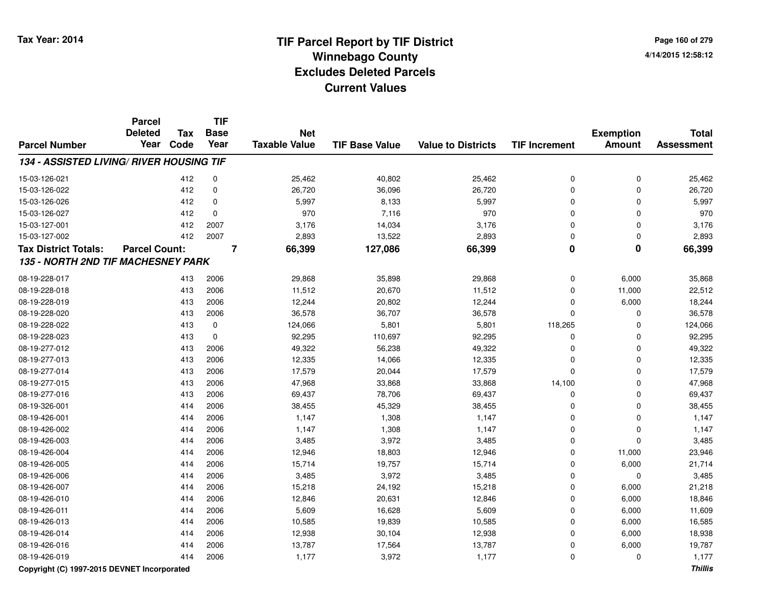**Page 160 of 2794/14/2015 12:58:12**

|                                                 | <b>Parcel</b><br><b>Deleted</b> | <b>Tax</b> | <b>TIF</b><br><b>Base</b> | <b>Net</b>           |                       |                           |                         | <b>Exemption</b>        | <b>Total</b>      |
|-------------------------------------------------|---------------------------------|------------|---------------------------|----------------------|-----------------------|---------------------------|-------------------------|-------------------------|-------------------|
| <b>Parcel Number</b>                            | Year                            | Code       | Year                      | <b>Taxable Value</b> | <b>TIF Base Value</b> | <b>Value to Districts</b> | <b>TIF Increment</b>    | <b>Amount</b>           | <b>Assessment</b> |
| <b>134 - ASSISTED LIVING/ RIVER HOUSING TIF</b> |                                 |            |                           |                      |                       |                           |                         |                         |                   |
| 15-03-126-021                                   |                                 | 412        | $\mathbf 0$               | 25,462               | 40,802                | 25,462                    | 0                       | $\mathbf 0$             | 25,462            |
| 15-03-126-022                                   |                                 | 412        | $\mathbf 0$               | 26,720               | 36,096                | 26,720                    | $\mathbf 0$             | $\mathbf{0}$            | 26,720            |
| 15-03-126-026                                   |                                 | 412        | $\mathbf 0$               | 5,997                | 8,133                 | 5,997                     | $\Omega$                | $\Omega$                | 5,997             |
| 15-03-126-027                                   |                                 | 412        | $\mathbf 0$               | 970                  | 7,116                 | 970                       | $\Omega$                | $\Omega$                | 970               |
| 15-03-127-001                                   |                                 | 412        | 2007                      | 3,176                | 14,034                | 3,176                     | $\Omega$                | $\mathbf{0}$            | 3,176             |
| 15-03-127-002                                   |                                 | 412        | 2007                      | 2,893                | 13,522                | 2,893                     | 0                       | 0                       | 2,893             |
| <b>Tax District Totals:</b>                     | <b>Parcel Count:</b>            |            | $\overline{\mathbf{7}}$   | 66,399               | 127,086               | 66,399                    | $\overline{\mathbf{0}}$ | $\overline{\mathbf{0}}$ | 66,399            |
| 135 - NORTH 2ND TIF MACHESNEY PARK              |                                 |            |                           |                      |                       |                           |                         |                         |                   |
| 08-19-228-017                                   |                                 | 413        | 2006                      | 29,868               | 35,898                | 29,868                    | 0                       | 6,000                   | 35,868            |
| 08-19-228-018                                   |                                 | 413        | 2006                      | 11,512               | 20,670                | 11,512                    | $\Omega$                | 11,000                  | 22,512            |
| 08-19-228-019                                   |                                 | 413        | 2006                      | 12,244               | 20,802                | 12,244                    | $\Omega$                | 6,000                   | 18,244            |
| 08-19-228-020                                   |                                 | 413        | 2006                      | 36,578               | 36,707                | 36,578                    | $\Omega$                | 0                       | 36,578            |
| 08-19-228-022                                   |                                 | 413        | 0                         | 124,066              | 5,801                 | 5,801                     | 118,265                 | 0                       | 124,066           |
| 08-19-228-023                                   |                                 | 413        | $\mathbf 0$               | 92,295               | 110,697               | 92,295                    | 0                       | $\mathbf 0$             | 92,295            |
| 08-19-277-012                                   |                                 | 413        | 2006                      | 49,322               | 56,238                | 49,322                    | $\mathbf 0$             | $\mathbf 0$             | 49,322            |
| 08-19-277-013                                   |                                 | 413        | 2006                      | 12,335               | 14,066                | 12,335                    | $\mathbf 0$             | $\mathbf{0}$            | 12,335            |
| 08-19-277-014                                   |                                 | 413        | 2006                      | 17,579               | 20,044                | 17,579                    | $\Omega$                | $\mathbf{0}$            | 17,579            |
| 08-19-277-015                                   |                                 | 413        | 2006                      | 47,968               | 33,868                | 33,868                    | 14,100                  | $\mathbf{0}$            | 47,968            |
| 08-19-277-016                                   |                                 | 413        | 2006                      | 69,437               | 78,706                | 69,437                    | $\mathbf 0$             | $\Omega$                | 69,437            |
| 08-19-326-001                                   |                                 | 414        | 2006                      | 38,455               | 45,329                | 38,455                    | $\Omega$                | $\Omega$                | 38,455            |
| 08-19-426-001                                   |                                 | 414        | 2006                      | 1,147                | 1,308                 | 1,147                     | $\Omega$                | $\Omega$                | 1,147             |
| 08-19-426-002                                   |                                 | 414        | 2006                      | 1,147                | 1,308                 | 1,147                     | $\Omega$                | $\mathbf{0}$            | 1,147             |
| 08-19-426-003                                   |                                 | 414        | 2006                      | 3,485                | 3,972                 | 3,485                     | $\Omega$                | $\Omega$                | 3,485             |
| 08-19-426-004                                   |                                 | 414        | 2006                      | 12,946               | 18,803                | 12,946                    | $\Omega$                | 11,000                  | 23,946            |
| 08-19-426-005                                   |                                 | 414        | 2006                      | 15,714               | 19,757                | 15,714                    | $\Omega$                | 6,000                   | 21,714            |
| 08-19-426-006                                   |                                 | 414        | 2006                      | 3,485                | 3,972                 | 3,485                     | $\mathbf 0$             | $\mathbf 0$             | 3,485             |
| 08-19-426-007                                   |                                 | 414        | 2006                      | 15,218               | 24,192                | 15,218                    | $\mathbf 0$             | 6,000                   | 21,218            |
| 08-19-426-010                                   |                                 | 414        | 2006                      | 12,846               | 20,631                | 12,846                    | $\mathbf 0$             | 6,000                   | 18,846            |
| 08-19-426-011                                   |                                 | 414        | 2006                      | 5,609                | 16,628                | 5,609                     | $\mathbf 0$             | 6,000                   | 11,609            |
| 08-19-426-013                                   |                                 | 414        | 2006                      | 10,585               | 19,839                | 10,585                    | $\mathbf 0$             | 6,000                   | 16,585            |
| 08-19-426-014                                   |                                 | 414        | 2006                      | 12,938               | 30,104                | 12,938                    | $\mathbf 0$             | 6,000                   | 18,938            |
| 08-19-426-016                                   |                                 | 414        | 2006                      | 13,787               | 17,564                | 13,787                    | $\Omega$                | 6,000                   | 19,787            |
| 08-19-426-019                                   |                                 | 414        | 2006                      | 1,177                | 3,972                 | 1,177                     | $\Omega$                | 0                       | 1,177             |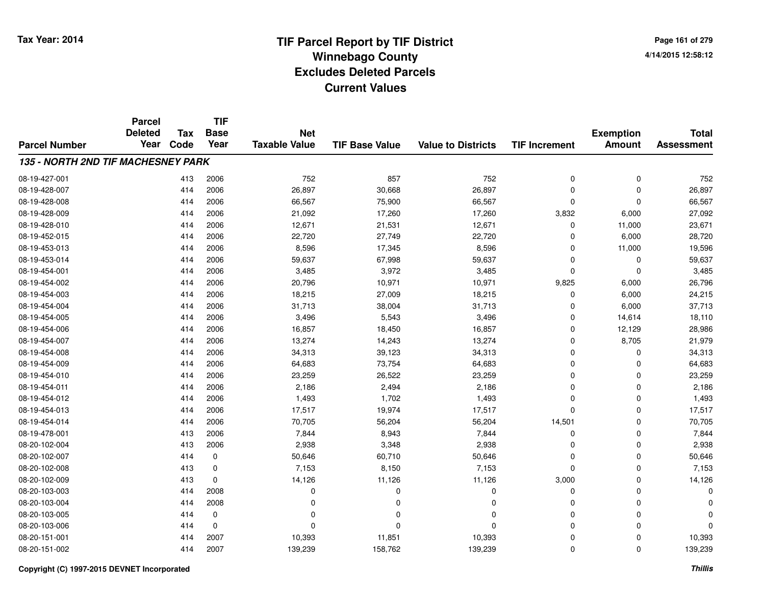**Page 161 of 2794/14/2015 12:58:12**

|                                    | <b>Parcel</b><br><b>Deleted</b> | <b>TIF</b><br>Tax<br><b>Base</b><br><b>Net</b> |             |                      |                       |                           | <b>Exemption</b>     | <b>Total</b>  |                   |
|------------------------------------|---------------------------------|------------------------------------------------|-------------|----------------------|-----------------------|---------------------------|----------------------|---------------|-------------------|
| <b>Parcel Number</b>               | Year                            | Code                                           | Year        | <b>Taxable Value</b> | <b>TIF Base Value</b> | <b>Value to Districts</b> | <b>TIF Increment</b> | <b>Amount</b> | <b>Assessment</b> |
| 135 - NORTH 2ND TIF MACHESNEY PARK |                                 |                                                |             |                      |                       |                           |                      |               |                   |
| 08-19-427-001                      |                                 | 413                                            | 2006        | 752                  | 857                   | 752                       | 0                    | $\pmb{0}$     | 752               |
| 08-19-428-007                      |                                 | 414                                            | 2006        | 26,897               | 30,668                | 26,897                    | 0                    | 0             | 26,897            |
| 08-19-428-008                      |                                 | 414                                            | 2006        | 66,567               | 75,900                | 66,567                    | 0                    | $\mathbf 0$   | 66,567            |
| 08-19-428-009                      |                                 | 414                                            | 2006        | 21,092               | 17,260                | 17,260                    | 3,832                | 6,000         | 27,092            |
| 08-19-428-010                      |                                 | 414                                            | 2006        | 12,671               | 21,531                | 12,671                    | $\mathbf 0$          | 11,000        | 23,671            |
| 08-19-452-015                      |                                 | 414                                            | 2006        | 22,720               | 27,749                | 22,720                    | 0                    | 6,000         | 28,720            |
| 08-19-453-013                      |                                 | 414                                            | 2006        | 8,596                | 17,345                | 8,596                     | 0                    | 11,000        | 19,596            |
| 08-19-453-014                      |                                 | 414                                            | 2006        | 59,637               | 67,998                | 59,637                    | 0                    | 0             | 59,637            |
| 08-19-454-001                      |                                 | 414                                            | 2006        | 3,485                | 3,972                 | 3,485                     | 0                    | $\mathbf 0$   | 3,485             |
| 08-19-454-002                      |                                 | 414                                            | 2006        | 20,796               | 10,971                | 10,971                    | 9,825                | 6,000         | 26,796            |
| 08-19-454-003                      |                                 | 414                                            | 2006        | 18,215               | 27,009                | 18,215                    | $\mathbf 0$          | 6,000         | 24,215            |
| 08-19-454-004                      |                                 | 414                                            | 2006        | 31,713               | 38,004                | 31,713                    | 0                    | 6,000         | 37,713            |
| 08-19-454-005                      |                                 | 414                                            | 2006        | 3,496                | 5,543                 | 3,496                     | 0                    | 14,614        | 18,110            |
| 08-19-454-006                      |                                 | 414                                            | 2006        | 16,857               | 18,450                | 16,857                    | 0                    | 12,129        | 28,986            |
| 08-19-454-007                      |                                 | 414                                            | 2006        | 13,274               | 14,243                | 13,274                    | 0                    | 8,705         | 21,979            |
| 08-19-454-008                      |                                 | 414                                            | 2006        | 34,313               | 39,123                | 34,313                    | 0                    | 0             | 34,313            |
| 08-19-454-009                      |                                 | 414                                            | 2006        | 64,683               | 73,754                | 64,683                    | 0                    | 0             | 64,683            |
| 08-19-454-010                      |                                 | 414                                            | 2006        | 23,259               | 26,522                | 23,259                    | 0                    | 0             | 23,259            |
| 08-19-454-011                      |                                 | 414                                            | 2006        | 2,186                | 2,494                 | 2,186                     | 0                    | 0             | 2,186             |
| 08-19-454-012                      |                                 | 414                                            | 2006        | 1,493                | 1,702                 | 1,493                     | 0                    | 0             | 1,493             |
| 08-19-454-013                      |                                 | 414                                            | 2006        | 17,517               | 19,974                | 17,517                    | 0                    | 0             | 17,517            |
| 08-19-454-014                      |                                 | 414                                            | 2006        | 70,705               | 56,204                | 56,204                    | 14,501               | 0             | 70,705            |
| 08-19-478-001                      |                                 | 413                                            | 2006        | 7,844                | 8,943                 | 7,844                     | 0                    | 0             | 7,844             |
| 08-20-102-004                      |                                 | 413                                            | 2006        | 2,938                | 3,348                 | 2,938                     | 0                    | 0             | 2,938             |
| 08-20-102-007                      |                                 | 414                                            | 0           | 50,646               | 60,710                | 50,646                    | 0                    | $\mathbf 0$   | 50,646            |
| 08-20-102-008                      |                                 | 413                                            | 0           | 7,153                | 8,150                 | 7,153                     | 0                    | 0             | 7,153             |
| 08-20-102-009                      |                                 | 413                                            | $\mathbf 0$ | 14,126               | 11,126                | 11,126                    | 3,000                | 0             | 14,126            |
| 08-20-103-003                      |                                 | 414                                            | 2008        | 0                    | $\Omega$              | 0                         | 0                    | 0             | $\Omega$          |
| 08-20-103-004                      |                                 | 414                                            | 2008        | 0                    | $\Omega$              | 0                         | 0                    | 0             | C                 |
| 08-20-103-005                      |                                 | 414                                            | 0           | 0                    | $\Omega$              | 0                         | 0                    | 0             | O                 |
| 08-20-103-006                      |                                 | 414                                            | $\mathbf 0$ | $\Omega$             | $\Omega$              | $\Omega$                  | 0                    | $\mathbf 0$   | $\Omega$          |
| 08-20-151-001                      |                                 | 414                                            | 2007        | 10,393               | 11,851                | 10,393                    | 0                    | 0             | 10,393            |
| 08-20-151-002                      |                                 | 414                                            | 2007        | 139,239              | 158,762               | 139,239                   | 0                    | $\mathbf 0$   | 139,239           |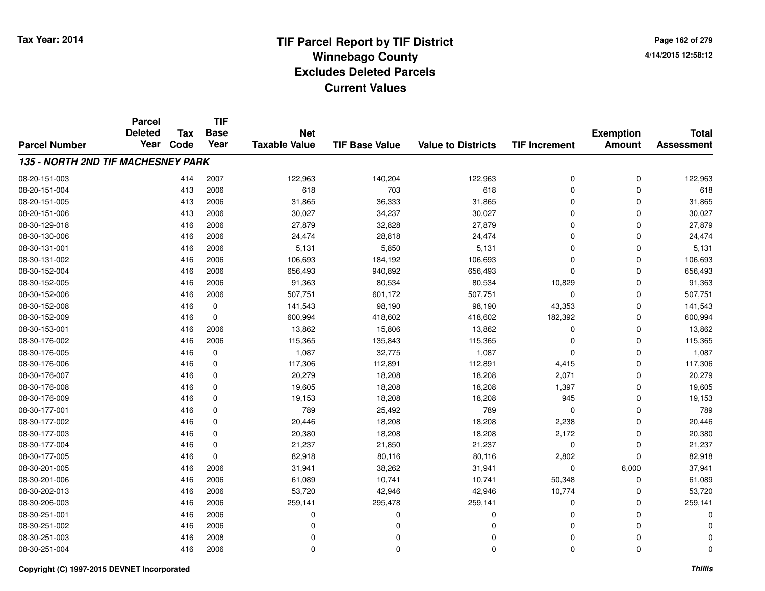**Page 162 of 2794/14/2015 12:58:12**

|                                    | <b>Parcel</b><br><b>Deleted</b> | <b>Tax</b> | <b>TIF</b><br><b>Base</b> | <b>Net</b>           |                       |                           |                      | <b>Exemption</b> | <b>Total</b>      |
|------------------------------------|---------------------------------|------------|---------------------------|----------------------|-----------------------|---------------------------|----------------------|------------------|-------------------|
| <b>Parcel Number</b>               | Year                            | Code       | Year                      | <b>Taxable Value</b> | <b>TIF Base Value</b> | <b>Value to Districts</b> | <b>TIF Increment</b> | <b>Amount</b>    | <b>Assessment</b> |
| 135 - NORTH 2ND TIF MACHESNEY PARK |                                 |            |                           |                      |                       |                           |                      |                  |                   |
| 08-20-151-003                      |                                 | 414        | 2007                      | 122,963              | 140,204               | 122,963                   | 0                    | 0                | 122,963           |
| 08-20-151-004                      |                                 | 413        | 2006                      | 618                  | 703                   | 618                       | 0                    | 0                | 618               |
| 08-20-151-005                      |                                 | 413        | 2006                      | 31,865               | 36,333                | 31,865                    | 0                    | $\mathbf 0$      | 31,865            |
| 08-20-151-006                      |                                 | 413        | 2006                      | 30,027               | 34,237                | 30,027                    | 0                    | 0                | 30,027            |
| 08-30-129-018                      |                                 | 416        | 2006                      | 27,879               | 32,828                | 27,879                    | $\Omega$             | $\mathbf 0$      | 27,879            |
| 08-30-130-006                      |                                 | 416        | 2006                      | 24,474               | 28,818                | 24,474                    | 0                    | 0                | 24,474            |
| 08-30-131-001                      |                                 | 416        | 2006                      | 5,131                | 5,850                 | 5,131                     | $\Omega$             | $\mathbf 0$      | 5,131             |
| 08-30-131-002                      |                                 | 416        | 2006                      | 106,693              | 184,192               | 106,693                   | 0                    | 0                | 106,693           |
| 08-30-152-004                      |                                 | 416        | 2006                      | 656,493              | 940,892               | 656,493                   | 0                    | $\mathbf 0$      | 656,493           |
| 08-30-152-005                      |                                 | 416        | 2006                      | 91,363               | 80,534                | 80,534                    | 10,829               | 0                | 91,363            |
| 08-30-152-006                      |                                 | 416        | 2006                      | 507,751              | 601,172               | 507,751                   | $\mathbf 0$          | $\mathbf 0$      | 507,751           |
| 08-30-152-008                      |                                 | 416        | 0                         | 141,543              | 98,190                | 98,190                    | 43,353               | 0                | 141,543           |
| 08-30-152-009                      |                                 | 416        | $\mathbf 0$               | 600,994              | 418,602               | 418,602                   | 182,392              | $\mathbf 0$      | 600,994           |
| 08-30-153-001                      |                                 | 416        | 2006                      | 13,862               | 15,806                | 13,862                    | 0                    | 0                | 13,862            |
| 08-30-176-002                      |                                 | 416        | 2006                      | 115,365              | 135,843               | 115,365                   | 0                    | $\mathbf 0$      | 115,365           |
| 08-30-176-005                      |                                 | 416        | 0                         | 1,087                | 32,775                | 1,087                     | 0                    | 0                | 1,087             |
| 08-30-176-006                      |                                 | 416        | 0                         | 117,306              | 112,891               | 112,891                   | 4,415                | $\mathbf 0$      | 117,306           |
| 08-30-176-007                      |                                 | 416        | 0                         | 20,279               | 18,208                | 18,208                    | 2,071                | 0                | 20,279            |
| 08-30-176-008                      |                                 | 416        | $\mathbf 0$               | 19,605               | 18,208                | 18,208                    | 1,397                | 0                | 19,605            |
| 08-30-176-009                      |                                 | 416        | 0                         | 19,153               | 18,208                | 18,208                    | 945                  | 0                | 19,153            |
| 08-30-177-001                      |                                 | 416        | 0                         | 789                  | 25,492                | 789                       | 0                    | $\mathbf 0$      | 789               |
| 08-30-177-002                      |                                 | 416        | 0                         | 20,446               | 18,208                | 18,208                    | 2,238                | 0                | 20,446            |
| 08-30-177-003                      |                                 | 416        | 0                         | 20,380               | 18,208                | 18,208                    | 2,172                | 0                | 20,380            |
| 08-30-177-004                      |                                 | 416        | 0                         | 21,237               | 21,850                | 21,237                    | 0                    | 0                | 21,237            |
| 08-30-177-005                      |                                 | 416        | 0                         | 82,918               | 80,116                | 80,116                    | 2,802                | $\mathbf 0$      | 82,918            |
| 08-30-201-005                      |                                 | 416        | 2006                      | 31,941               | 38,262                | 31,941                    | 0                    | 6,000            | 37,941            |
| 08-30-201-006                      |                                 | 416        | 2006                      | 61,089               | 10,741                | 10,741                    | 50,348               | 0                | 61,089            |
| 08-30-202-013                      |                                 | 416        | 2006                      | 53,720               | 42,946                | 42,946                    | 10,774               | 0                | 53,720            |
| 08-30-206-003                      |                                 | 416        | 2006                      | 259,141              | 295,478               | 259,141                   | 0                    | 0                | 259,141           |
| 08-30-251-001                      |                                 | 416        | 2006                      | 0                    | 0                     | 0                         | 0                    | 0                | O                 |
| 08-30-251-002                      |                                 | 416        | 2006                      | 0                    | $\Omega$              | $\Omega$                  | 0                    | 0                | C                 |
| 08-30-251-003                      |                                 | 416        | 2008                      | 0                    | 0                     | $\Omega$                  | 0                    | 0                | $\Omega$          |
| 08-30-251-004                      |                                 | 416        | 2006                      | $\mathbf 0$          | $\Omega$              | $\Omega$                  | 0                    | $\mathbf 0$      | $\Omega$          |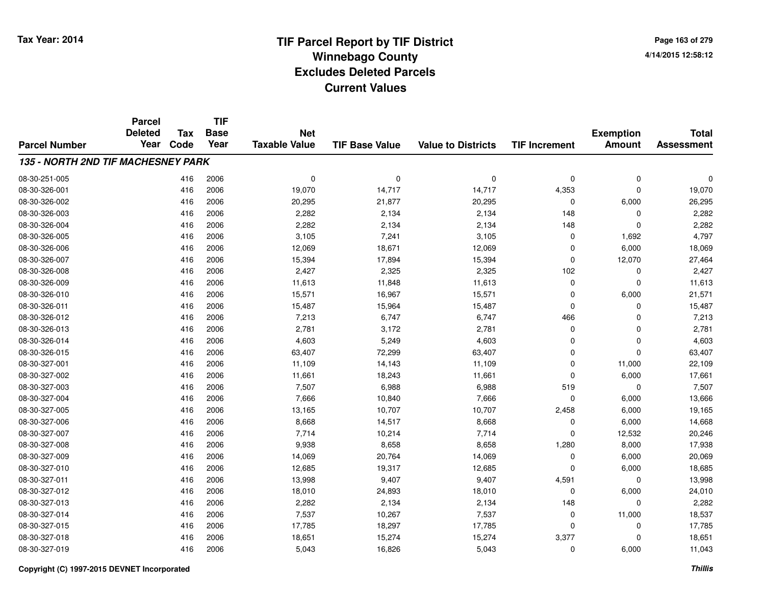**Page 163 of 2794/14/2015 12:58:12**

|                                    | <b>Parcel</b><br><b>Deleted</b> | <b>Tax</b> | <b>TIF</b><br><b>Base</b> | <b>Net</b>           |                       |                           |                      | <b>Exemption</b> | <b>Total</b>      |
|------------------------------------|---------------------------------|------------|---------------------------|----------------------|-----------------------|---------------------------|----------------------|------------------|-------------------|
| <b>Parcel Number</b>               | Year                            | Code       | Year                      | <b>Taxable Value</b> | <b>TIF Base Value</b> | <b>Value to Districts</b> | <b>TIF Increment</b> | <b>Amount</b>    | <b>Assessment</b> |
| 135 - NORTH 2ND TIF MACHESNEY PARK |                                 |            |                           |                      |                       |                           |                      |                  |                   |
| 08-30-251-005                      |                                 | 416        | 2006                      | 0                    | $\mathbf 0$           | $\mathbf 0$               | 0                    | $\pmb{0}$        | $\Omega$          |
| 08-30-326-001                      |                                 | 416        | 2006                      | 19,070               | 14,717                | 14,717                    | 4,353                | $\mathbf 0$      | 19,070            |
| 08-30-326-002                      |                                 | 416        | 2006                      | 20,295               | 21,877                | 20,295                    | 0                    | 6,000            | 26,295            |
| 08-30-326-003                      |                                 | 416        | 2006                      | 2,282                | 2,134                 | 2,134                     | 148                  | 0                | 2,282             |
| 08-30-326-004                      |                                 | 416        | 2006                      | 2,282                | 2,134                 | 2,134                     | 148                  | $\mathbf 0$      | 2,282             |
| 08-30-326-005                      |                                 | 416        | 2006                      | 3,105                | 7,241                 | 3,105                     | 0                    | 1,692            | 4,797             |
| 08-30-326-006                      |                                 | 416        | 2006                      | 12,069               | 18,671                | 12,069                    | 0                    | 6,000            | 18,069            |
| 08-30-326-007                      |                                 | 416        | 2006                      | 15,394               | 17,894                | 15,394                    | 0                    | 12,070           | 27,464            |
| 08-30-326-008                      |                                 | 416        | 2006                      | 2,427                | 2,325                 | 2,325                     | 102                  | $\mathbf 0$      | 2,427             |
| 08-30-326-009                      |                                 | 416        | 2006                      | 11,613               | 11,848                | 11,613                    | 0                    | $\mathbf 0$      | 11,613            |
| 08-30-326-010                      |                                 | 416        | 2006                      | 15,571               | 16,967                | 15,571                    | 0                    | 6,000            | 21,571            |
| 08-30-326-011                      |                                 | 416        | 2006                      | 15,487               | 15,964                | 15,487                    | 0                    | $\Omega$         | 15,487            |
| 08-30-326-012                      |                                 | 416        | 2006                      | 7,213                | 6,747                 | 6,747                     | 466                  | $\Omega$         | 7,213             |
| 08-30-326-013                      |                                 | 416        | 2006                      | 2,781                | 3,172                 | 2,781                     | 0                    | 0                | 2,781             |
| 08-30-326-014                      |                                 | 416        | 2006                      | 4,603                | 5,249                 | 4,603                     | 0                    | $\mathbf 0$      | 4,603             |
| 08-30-326-015                      |                                 | 416        | 2006                      | 63,407               | 72,299                | 63,407                    | 0                    | $\mathbf 0$      | 63,407            |
| 08-30-327-001                      |                                 | 416        | 2006                      | 11,109               | 14,143                | 11,109                    | 0                    | 11,000           | 22,109            |
| 08-30-327-002                      |                                 | 416        | 2006                      | 11,661               | 18,243                | 11,661                    | 0                    | 6,000            | 17,661            |
| 08-30-327-003                      |                                 | 416        | 2006                      | 7,507                | 6,988                 | 6,988                     | 519                  | $\mathbf 0$      | 7,507             |
| 08-30-327-004                      |                                 | 416        | 2006                      | 7,666                | 10,840                | 7,666                     | 0                    | 6,000            | 13,666            |
| 08-30-327-005                      |                                 | 416        | 2006                      | 13,165               | 10,707                | 10,707                    | 2,458                | 6,000            | 19,165            |
| 08-30-327-006                      |                                 | 416        | 2006                      | 8,668                | 14,517                | 8,668                     | 0                    | 6,000            | 14,668            |
| 08-30-327-007                      |                                 | 416        | 2006                      | 7,714                | 10,214                | 7,714                     | 0                    | 12,532           | 20,246            |
| 08-30-327-008                      |                                 | 416        | 2006                      | 9,938                | 8,658                 | 8,658                     | 1,280                | 8,000            | 17,938            |
| 08-30-327-009                      |                                 | 416        | 2006                      | 14,069               | 20,764                | 14,069                    | 0                    | 6,000            | 20,069            |
| 08-30-327-010                      |                                 | 416        | 2006                      | 12,685               | 19,317                | 12,685                    | 0                    | 6,000            | 18,685            |
| 08-30-327-011                      |                                 | 416        | 2006                      | 13,998               | 9,407                 | 9,407                     | 4,591                | $\mathbf 0$      | 13,998            |
| 08-30-327-012                      |                                 | 416        | 2006                      | 18,010               | 24,893                | 18,010                    | 0                    | 6,000            | 24,010            |
| 08-30-327-013                      |                                 | 416        | 2006                      | 2,282                | 2,134                 | 2,134                     | 148                  | $\mathbf 0$      | 2,282             |
| 08-30-327-014                      |                                 | 416        | 2006                      | 7,537                | 10,267                | 7,537                     | 0                    | 11,000           | 18,537            |
| 08-30-327-015                      |                                 | 416        | 2006                      | 17,785               | 18,297                | 17,785                    | 0                    | 0                | 17,785            |
| 08-30-327-018                      |                                 | 416        | 2006                      | 18,651               | 15,274                | 15,274                    | 3,377                | $\Omega$         | 18,651            |
| 08-30-327-019                      |                                 | 416        | 2006                      | 5,043                | 16,826                | 5,043                     | 0                    | 6,000            | 11,043            |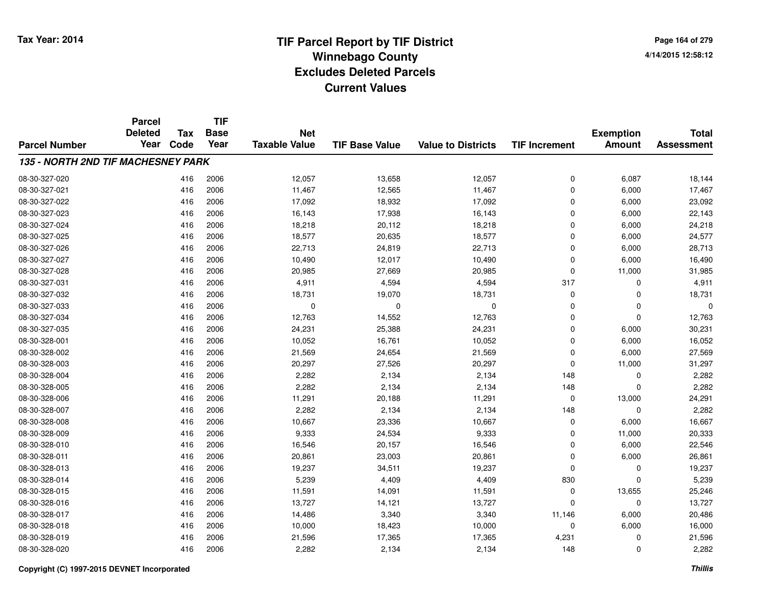# **TIF Parcel Report by TIF District Tax Year: 2014 Winnebago County04/14/2015 12:58:12** PM **Excludes Deleted ParcelsCurrent Values**

**Page 164 of 2794/14/2015 12:58:12**

|                                    | <b>Parcel</b><br><b>Deleted</b> | <b>Tax</b> | <b>TIF</b><br><b>Base</b> | <b>Net</b>           |                       |                           |                      | <b>Exemption</b> | <b>Total</b>      |
|------------------------------------|---------------------------------|------------|---------------------------|----------------------|-----------------------|---------------------------|----------------------|------------------|-------------------|
| <b>Parcel Number</b>               | Year                            | Code       | Year                      | <b>Taxable Value</b> | <b>TIF Base Value</b> | <b>Value to Districts</b> | <b>TIF Increment</b> | <b>Amount</b>    | <b>Assessment</b> |
| 135 - NORTH 2ND TIF MACHESNEY PARK |                                 |            |                           |                      |                       |                           |                      |                  |                   |
| 08-30-327-020                      |                                 | 416        | 2006                      | 12,057               | 13,658                | 12,057                    | 0                    | 6,087            | 18,144            |
| 08-30-327-021                      |                                 | 416        | 2006                      | 11,467               | 12,565                | 11,467                    | 0                    | 6,000            | 17,467            |
| 08-30-327-022                      |                                 | 416        | 2006                      | 17,092               | 18,932                | 17,092                    | 0                    | 6,000            | 23,092            |
| 08-30-327-023                      |                                 | 416        | 2006                      | 16,143               | 17,938                | 16,143                    | 0                    | 6,000            | 22,143            |
| 08-30-327-024                      |                                 | 416        | 2006                      | 18,218               | 20,112                | 18,218                    | 0                    | 6,000            | 24,218            |
| 08-30-327-025                      |                                 | 416        | 2006                      | 18,577               | 20,635                | 18,577                    | 0                    | 6,000            | 24,577            |
| 08-30-327-026                      |                                 | 416        | 2006                      | 22,713               | 24,819                | 22,713                    | 0                    | 6,000            | 28,713            |
| 08-30-327-027                      |                                 | 416        | 2006                      | 10,490               | 12,017                | 10,490                    | 0                    | 6,000            | 16,490            |
| 08-30-327-028                      |                                 | 416        | 2006                      | 20,985               | 27,669                | 20,985                    | 0                    | 11,000           | 31,985            |
| 08-30-327-031                      |                                 | 416        | 2006                      | 4,911                | 4,594                 | 4,594                     | 317                  | 0                | 4,911             |
| 08-30-327-032                      |                                 | 416        | 2006                      | 18,731               | 19,070                | 18,731                    | 0                    | 0                | 18,731            |
| 08-30-327-033                      |                                 | 416        | 2006                      | 0                    | 0                     | 0                         | 0                    | 0                | $\Omega$          |
| 08-30-327-034                      |                                 | 416        | 2006                      | 12,763               | 14,552                | 12,763                    | 0                    | 0                | 12,763            |
| 08-30-327-035                      |                                 | 416        | 2006                      | 24,231               | 25,388                | 24,231                    | 0                    | 6,000            | 30,231            |
| 08-30-328-001                      |                                 | 416        | 2006                      | 10,052               | 16,761                | 10,052                    | 0                    | 6,000            | 16,052            |
| 08-30-328-002                      |                                 | 416        | 2006                      | 21,569               | 24,654                | 21,569                    | 0                    | 6,000            | 27,569            |
| 08-30-328-003                      |                                 | 416        | 2006                      | 20,297               | 27,526                | 20,297                    | 0                    | 11,000           | 31,297            |
| 08-30-328-004                      |                                 | 416        | 2006                      | 2,282                | 2,134                 | 2,134                     | 148                  | 0                | 2,282             |
| 08-30-328-005                      |                                 | 416        | 2006                      | 2,282                | 2,134                 | 2,134                     | 148                  | 0                | 2,282             |
| 08-30-328-006                      |                                 | 416        | 2006                      | 11,291               | 20,188                | 11,291                    | 0                    | 13,000           | 24,291            |
| 08-30-328-007                      |                                 | 416        | 2006                      | 2,282                | 2,134                 | 2,134                     | 148                  | 0                | 2,282             |
| 08-30-328-008                      |                                 | 416        | 2006                      | 10,667               | 23,336                | 10,667                    | 0                    | 6,000            | 16,667            |
| 08-30-328-009                      |                                 | 416        | 2006                      | 9,333                | 24,534                | 9,333                     | 0                    | 11,000           | 20,333            |
| 08-30-328-010                      |                                 | 416        | 2006                      | 16,546               | 20,157                | 16,546                    | 0                    | 6,000            | 22,546            |
| 08-30-328-011                      |                                 | 416        | 2006                      | 20,861               | 23,003                | 20,861                    | 0                    | 6,000            | 26,861            |
| 08-30-328-013                      |                                 | 416        | 2006                      | 19,237               | 34,511                | 19,237                    | 0                    | 0                | 19,237            |
| 08-30-328-014                      |                                 | 416        | 2006                      | 5,239                | 4,409                 | 4,409                     | 830                  | 0                | 5,239             |
| 08-30-328-015                      |                                 | 416        | 2006                      | 11,591               | 14,091                | 11,591                    | $\mathbf 0$          | 13,655           | 25,246            |
| 08-30-328-016                      |                                 | 416        | 2006                      | 13,727               | 14,121                | 13,727                    | 0                    | 0                | 13,727            |
| 08-30-328-017                      |                                 | 416        | 2006                      | 14,486               | 3,340                 | 3,340                     | 11,146               | 6,000            | 20,486            |
| 08-30-328-018                      |                                 | 416        | 2006                      | 10,000               | 18,423                | 10,000                    | 0                    | 6,000            | 16,000            |
| 08-30-328-019                      |                                 | 416        | 2006                      | 21,596               | 17,365                | 17,365                    | 4,231                | 0                | 21,596            |
| 08-30-328-020                      |                                 | 416        | 2006                      | 2,282                | 2,134                 | 2,134                     | 148                  | 0                | 2,282             |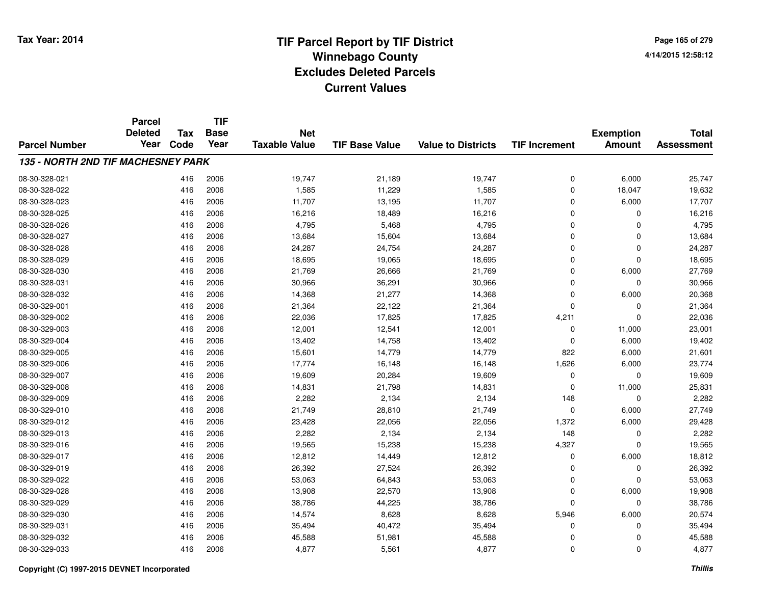**Page 165 of 2794/14/2015 12:58:12**

|                                    | <b>Parcel</b><br><b>Deleted</b> | <b>Tax</b> | <b>TIF</b><br><b>Base</b> | <b>Net</b>           |                       |                           |                      | <b>Exemption</b> | <b>Total</b>      |
|------------------------------------|---------------------------------|------------|---------------------------|----------------------|-----------------------|---------------------------|----------------------|------------------|-------------------|
| <b>Parcel Number</b>               | Year                            | Code       | Year                      | <b>Taxable Value</b> | <b>TIF Base Value</b> | <b>Value to Districts</b> | <b>TIF Increment</b> | <b>Amount</b>    | <b>Assessment</b> |
| 135 - NORTH 2ND TIF MACHESNEY PARK |                                 |            |                           |                      |                       |                           |                      |                  |                   |
| 08-30-328-021                      |                                 | 416        | 2006                      | 19,747               | 21,189                | 19,747                    | 0                    | 6,000            | 25,747            |
| 08-30-328-022                      |                                 | 416        | 2006                      | 1,585                | 11,229                | 1,585                     | 0                    | 18,047           | 19,632            |
| 08-30-328-023                      |                                 | 416        | 2006                      | 11,707               | 13,195                | 11,707                    | 0                    | 6,000            | 17,707            |
| 08-30-328-025                      |                                 | 416        | 2006                      | 16,216               | 18,489                | 16,216                    | 0                    | 0                | 16,216            |
| 08-30-328-026                      |                                 | 416        | 2006                      | 4,795                | 5,468                 | 4,795                     | 0                    | 0                | 4,795             |
| 08-30-328-027                      |                                 | 416        | 2006                      | 13,684               | 15,604                | 13,684                    | 0                    | 0                | 13,684            |
| 08-30-328-028                      |                                 | 416        | 2006                      | 24,287               | 24,754                | 24,287                    | 0                    | 0                | 24,287            |
| 08-30-328-029                      |                                 | 416        | 2006                      | 18,695               | 19,065                | 18,695                    | 0                    | 0                | 18,695            |
| 08-30-328-030                      |                                 | 416        | 2006                      | 21,769               | 26,666                | 21,769                    | 0                    | 6,000            | 27,769            |
| 08-30-328-031                      |                                 | 416        | 2006                      | 30,966               | 36,291                | 30,966                    | 0                    | 0                | 30,966            |
| 08-30-328-032                      |                                 | 416        | 2006                      | 14,368               | 21,277                | 14,368                    | 0                    | 6,000            | 20,368            |
| 08-30-329-001                      |                                 | 416        | 2006                      | 21,364               | 22,122                | 21,364                    | $\mathbf 0$          | 0                | 21,364            |
| 08-30-329-002                      |                                 | 416        | 2006                      | 22,036               | 17,825                | 17,825                    | 4,211                | 0                | 22,036            |
| 08-30-329-003                      |                                 | 416        | 2006                      | 12,001               | 12,541                | 12,001                    | 0                    | 11,000           | 23,001            |
| 08-30-329-004                      |                                 | 416        | 2006                      | 13,402               | 14,758                | 13,402                    | 0                    | 6,000            | 19,402            |
| 08-30-329-005                      |                                 | 416        | 2006                      | 15,601               | 14,779                | 14,779                    | 822                  | 6,000            | 21,601            |
| 08-30-329-006                      |                                 | 416        | 2006                      | 17,774               | 16,148                | 16,148                    | 1,626                | 6,000            | 23,774            |
| 08-30-329-007                      |                                 | 416        | 2006                      | 19,609               | 20,284                | 19,609                    | 0                    | 0                | 19,609            |
| 08-30-329-008                      |                                 | 416        | 2006                      | 14,831               | 21,798                | 14,831                    | 0                    | 11,000           | 25,831            |
| 08-30-329-009                      |                                 | 416        | 2006                      | 2,282                | 2,134                 | 2,134                     | 148                  | 0                | 2,282             |
| 08-30-329-010                      |                                 | 416        | 2006                      | 21,749               | 28,810                | 21,749                    | 0                    | 6,000            | 27,749            |
| 08-30-329-012                      |                                 | 416        | 2006                      | 23,428               | 22,056                | 22,056                    | 1,372                | 6,000            | 29,428            |
| 08-30-329-013                      |                                 | 416        | 2006                      | 2,282                | 2,134                 | 2,134                     | 148                  | 0                | 2,282             |
| 08-30-329-016                      |                                 | 416        | 2006                      | 19,565               | 15,238                | 15,238                    | 4,327                | 0                | 19,565            |
| 08-30-329-017                      |                                 | 416        | 2006                      | 12,812               | 14,449                | 12,812                    | 0                    | 6,000            | 18,812            |
| 08-30-329-019                      |                                 | 416        | 2006                      | 26,392               | 27,524                | 26,392                    | 0                    | 0                | 26,392            |
| 08-30-329-022                      |                                 | 416        | 2006                      | 53,063               | 64,843                | 53,063                    | 0                    | 0                | 53,063            |
| 08-30-329-028                      |                                 | 416        | 2006                      | 13,908               | 22,570                | 13,908                    | 0                    | 6,000            | 19,908            |
| 08-30-329-029                      |                                 | 416        | 2006                      | 38,786               | 44,225                | 38,786                    | $\mathbf 0$          | 0                | 38,786            |
| 08-30-329-030                      |                                 | 416        | 2006                      | 14,574               | 8,628                 | 8,628                     | 5,946                | 6,000            | 20,574            |
| 08-30-329-031                      |                                 | 416        | 2006                      | 35,494               | 40,472                | 35,494                    | 0                    | 0                | 35,494            |
| 08-30-329-032                      |                                 | 416        | 2006                      | 45,588               | 51,981                | 45,588                    | 0                    | 0                | 45,588            |
| 08-30-329-033                      |                                 | 416        | 2006                      | 4,877                | 5,561                 | 4,877                     | 0                    | 0                | 4,877             |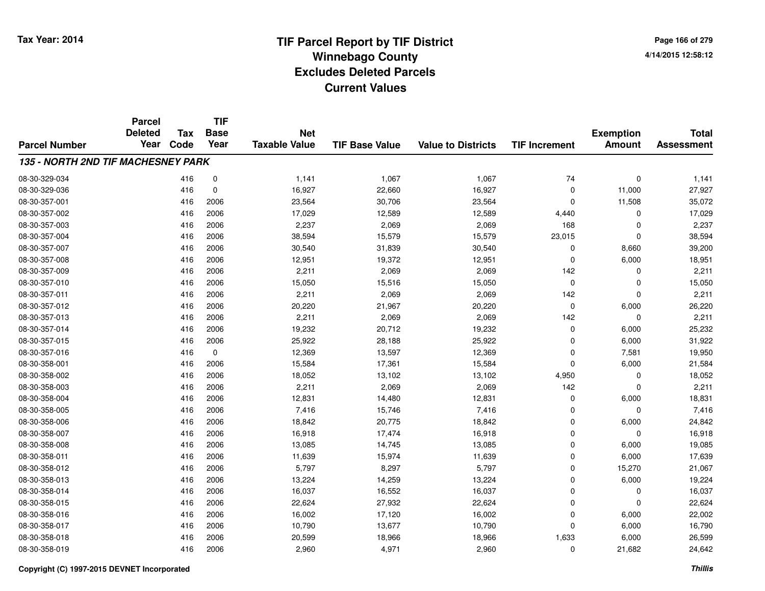**Page 166 of 2794/14/2015 12:58:12**

|                                    | <b>Parcel</b><br><b>Deleted</b> | Tax  | <b>TIF</b><br><b>Base</b> | <b>Net</b>           |                       |                           |                      | <b>Exemption</b> | <b>Total</b>      |
|------------------------------------|---------------------------------|------|---------------------------|----------------------|-----------------------|---------------------------|----------------------|------------------|-------------------|
| <b>Parcel Number</b>               | Year                            | Code | Year                      | <b>Taxable Value</b> | <b>TIF Base Value</b> | <b>Value to Districts</b> | <b>TIF Increment</b> | <b>Amount</b>    | <b>Assessment</b> |
| 135 - NORTH 2ND TIF MACHESNEY PARK |                                 |      |                           |                      |                       |                           |                      |                  |                   |
| 08-30-329-034                      |                                 | 416  | $\pmb{0}$                 | 1,141                | 1,067                 | 1,067                     | 74                   | $\mathbf 0$      | 1,141             |
| 08-30-329-036                      |                                 | 416  | 0                         | 16,927               | 22,660                | 16,927                    | 0                    | 11,000           | 27,927            |
| 08-30-357-001                      |                                 | 416  | 2006                      | 23,564               | 30,706                | 23,564                    | 0                    | 11,508           | 35,072            |
| 08-30-357-002                      |                                 | 416  | 2006                      | 17,029               | 12,589                | 12,589                    | 4,440                | 0                | 17,029            |
| 08-30-357-003                      |                                 | 416  | 2006                      | 2,237                | 2,069                 | 2,069                     | 168                  | 0                | 2,237             |
| 08-30-357-004                      |                                 | 416  | 2006                      | 38,594               | 15,579                | 15,579                    | 23,015               | 0                | 38,594            |
| 08-30-357-007                      |                                 | 416  | 2006                      | 30,540               | 31,839                | 30,540                    | $\mathbf 0$          | 8,660            | 39,200            |
| 08-30-357-008                      |                                 | 416  | 2006                      | 12,951               | 19,372                | 12,951                    | $\mathbf 0$          | 6,000            | 18,951            |
| 08-30-357-009                      |                                 | 416  | 2006                      | 2,211                | 2,069                 | 2,069                     | 142                  | 0                | 2,211             |
| 08-30-357-010                      |                                 | 416  | 2006                      | 15,050               | 15,516                | 15,050                    | 0                    | 0                | 15,050            |
| 08-30-357-011                      |                                 | 416  | 2006                      | 2,211                | 2,069                 | 2,069                     | 142                  | $\mathbf 0$      | 2,211             |
| 08-30-357-012                      |                                 | 416  | 2006                      | 20,220               | 21,967                | 20,220                    | 0                    | 6,000            | 26,220            |
| 08-30-357-013                      |                                 | 416  | 2006                      | 2,211                | 2,069                 | 2,069                     | 142                  | $\mathbf 0$      | 2,211             |
| 08-30-357-014                      |                                 | 416  | 2006                      | 19,232               | 20,712                | 19,232                    | 0                    | 6,000            | 25,232            |
| 08-30-357-015                      |                                 | 416  | 2006                      | 25,922               | 28,188                | 25,922                    | 0                    | 6,000            | 31,922            |
| 08-30-357-016                      |                                 | 416  | 0                         | 12,369               | 13,597                | 12,369                    | 0                    | 7,581            | 19,950            |
| 08-30-358-001                      |                                 | 416  | 2006                      | 15,584               | 17,361                | 15,584                    | 0                    | 6,000            | 21,584            |
| 08-30-358-002                      |                                 | 416  | 2006                      | 18,052               | 13,102                | 13,102                    | 4,950                | 0                | 18,052            |
| 08-30-358-003                      |                                 | 416  | 2006                      | 2,211                | 2,069                 | 2,069                     | 142                  | 0                | 2,211             |
| 08-30-358-004                      |                                 | 416  | 2006                      | 12,831               | 14,480                | 12,831                    | 0                    | 6,000            | 18,831            |
| 08-30-358-005                      |                                 | 416  | 2006                      | 7,416                | 15,746                | 7,416                     | 0                    | 0                | 7,416             |
| 08-30-358-006                      |                                 | 416  | 2006                      | 18,842               | 20,775                | 18,842                    | 0                    | 6,000            | 24,842            |
| 08-30-358-007                      |                                 | 416  | 2006                      | 16,918               | 17,474                | 16,918                    | 0                    | 0                | 16,918            |
| 08-30-358-008                      |                                 | 416  | 2006                      | 13,085               | 14,745                | 13,085                    | 0                    | 6,000            | 19,085            |
| 08-30-358-011                      |                                 | 416  | 2006                      | 11,639               | 15,974                | 11,639                    | 0                    | 6,000            | 17,639            |
| 08-30-358-012                      |                                 | 416  | 2006                      | 5,797                | 8,297                 | 5,797                     | 0                    | 15,270           | 21,067            |
| 08-30-358-013                      |                                 | 416  | 2006                      | 13,224               | 14,259                | 13,224                    | 0                    | 6,000            | 19,224            |
| 08-30-358-014                      |                                 | 416  | 2006                      | 16,037               | 16,552                | 16,037                    | 0                    | 0                | 16,037            |
| 08-30-358-015                      |                                 | 416  | 2006                      | 22,624               | 27,932                | 22,624                    | 0                    | $\mathbf 0$      | 22,624            |
| 08-30-358-016                      |                                 | 416  | 2006                      | 16,002               | 17,120                | 16,002                    | 0                    | 6,000            | 22,002            |
| 08-30-358-017                      |                                 | 416  | 2006                      | 10,790               | 13,677                | 10,790                    | 0                    | 6,000            | 16,790            |
| 08-30-358-018                      |                                 | 416  | 2006                      | 20,599               | 18,966                | 18,966                    | 1,633                | 6,000            | 26,599            |
| 08-30-358-019                      |                                 | 416  | 2006                      | 2,960                | 4,971                 | 2,960                     | $\mathbf 0$          | 21,682           | 24,642            |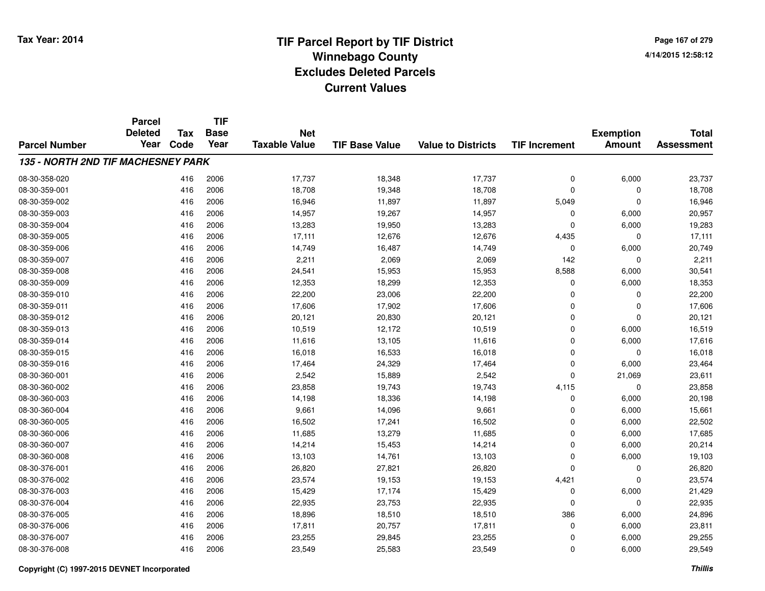**TIF**

**Parcel**

**Page 167 of 2794/14/2015 12:58:12**

| <b>Parcel Number</b>               | <b>Deleted</b><br>Year | Tax<br>Code | <b>Base</b><br>Year | <b>Net</b><br><b>Taxable Value</b> | <b>TIF Base Value</b> | <b>Value to Districts</b> | <b>TIF Increment</b> | <b>Exemption</b><br><b>Amount</b> | <b>Total</b><br><b>Assessment</b> |
|------------------------------------|------------------------|-------------|---------------------|------------------------------------|-----------------------|---------------------------|----------------------|-----------------------------------|-----------------------------------|
| 135 - NORTH 2ND TIF MACHESNEY PARK |                        |             |                     |                                    |                       |                           |                      |                                   |                                   |
| 08-30-358-020                      |                        | 416         | 2006                | 17,737                             | 18,348                | 17,737                    | 0                    | 6,000                             | 23,737                            |
| 08-30-359-001                      |                        | 416         | 2006                | 18,708                             | 19,348                | 18,708                    | 0                    | 0                                 | 18,708                            |
| 08-30-359-002                      |                        | 416         | 2006                | 16,946                             | 11,897                | 11,897                    | 5,049                | $\mathbf 0$                       | 16,946                            |
| 08-30-359-003                      |                        | 416         | 2006                | 14,957                             | 19,267                | 14,957                    | 0                    | 6,000                             | 20,957                            |
| 08-30-359-004                      |                        | 416         | 2006                | 13,283                             | 19,950                | 13,283                    | 0                    | 6,000                             | 19,283                            |
| 08-30-359-005                      |                        | 416         | 2006                | 17,111                             | 12,676                | 12,676                    | 4,435                | $\Omega$                          | 17,111                            |
| 08-30-359-006                      |                        | 416         | 2006                | 14,749                             | 16,487                | 14,749                    | 0                    | 6,000                             | 20,749                            |
| 08-30-359-007                      |                        | 416         | 2006                | 2,211                              | 2,069                 | 2,069                     | 142                  | 0                                 | 2,211                             |
| 08-30-359-008                      |                        | 416         | 2006                | 24,541                             | 15,953                | 15,953                    | 8,588                | 6,000                             | 30,541                            |
| 08-30-359-009                      |                        | 416         | 2006                | 12,353                             | 18,299                | 12,353                    | 0                    | 6,000                             | 18,353                            |
| 08-30-359-010                      |                        | 416         | 2006                | 22,200                             | 23,006                | 22,200                    | $\mathbf 0$          | $\Omega$                          | 22,200                            |
| 08-30-359-011                      |                        | 416         | 2006                | 17,606                             | 17,902                | 17,606                    | $\overline{0}$       | $\Omega$                          | 17,606                            |
| 08-30-359-012                      |                        | 416         | 2006                | 20,121                             | 20,830                | 20,121                    | 0                    | $\Omega$                          | 20,121                            |
| 08-30-359-013                      |                        | 416         | 2006                | 10,519                             | 12,172                | 10,519                    | $\mathbf 0$          | 6,000                             | 16,519                            |
| 08-30-359-014                      |                        | 416         | 2006                | 11,616                             | 13,105                | 11,616                    | 0                    | 6,000                             | 17,616                            |
| 08-30-359-015                      |                        | 416         | 2006                | 16,018                             | 16,533                | 16,018                    | 0                    | 0                                 | 16,018                            |
| 08-30-359-016                      |                        | 416         | 2006                | 17,464                             | 24,329                | 17,464                    | 0                    | 6,000                             | 23,464                            |
| 08-30-360-001                      |                        | 416         | 2006                | 2,542                              | 15,889                | 2,542                     | 0                    | 21,069                            | 23,611                            |
| 08-30-360-002                      |                        | 416         | 2006                | 23,858                             | 19,743                | 19,743                    | 4,115                | $\Omega$                          | 23,858                            |
| 08-30-360-003                      |                        | 416         | 2006                | 14,198                             | 18,336                | 14,198                    | $\mathbf 0$          | 6,000                             | 20,198                            |
| 08-30-360-004                      |                        | 416         | 2006                | 9,661                              | 14,096                | 9,661                     | $\mathbf 0$          | 6,000                             | 15,661                            |
| 08-30-360-005                      |                        | 416         | 2006                | 16,502                             | 17,241                | 16,502                    | 0                    | 6,000                             | 22,502                            |
| 08-30-360-006                      |                        | 416         | 2006                | 11,685                             | 13,279                | 11,685                    | $\mathbf 0$          | 6,000                             | 17,685                            |
| 08-30-360-007                      |                        | 416         | 2006                | 14,214                             | 15,453                | 14,214                    | $\mathbf 0$          | 6,000                             | 20,214                            |
| 08-30-360-008                      |                        | 416         | 2006                | 13,103                             | 14,761                | 13,103                    | 0                    | 6,000                             | 19,103                            |
| 08-30-376-001                      |                        | 416         | 2006                | 26,820                             | 27,821                | 26,820                    | $\Omega$             | $\Omega$                          | 26,820                            |
| 08-30-376-002                      |                        | 416         | 2006                | 23,574                             | 19,153                | 19,153                    | 4,421                | $\Omega$                          | 23,574                            |
| 08-30-376-003                      |                        | 416         | 2006                | 15,429                             | 17,174                | 15,429                    | 0                    | 6,000                             | 21,429                            |
| 08-30-376-004                      |                        | 416         | 2006                | 22,935                             | 23,753                | 22,935                    | 0                    | 0                                 | 22,935                            |
| 08-30-376-005                      |                        | 416         | 2006                | 18,896                             | 18,510                | 18,510                    | 386                  | 6,000                             | 24,896                            |
| 08-30-376-006                      |                        | 416         | 2006                | 17,811                             | 20,757                | 17,811                    | 0                    | 6,000                             | 23,811                            |
| 08-30-376-007                      |                        | 416         | 2006                | 23,255                             | 29,845                | 23,255                    | 0                    | 6,000                             | 29,255                            |
| 08-30-376-008                      |                        | 416         | 2006                | 23,549                             | 25,583                | 23,549                    | 0                    | 6,000                             | 29,549                            |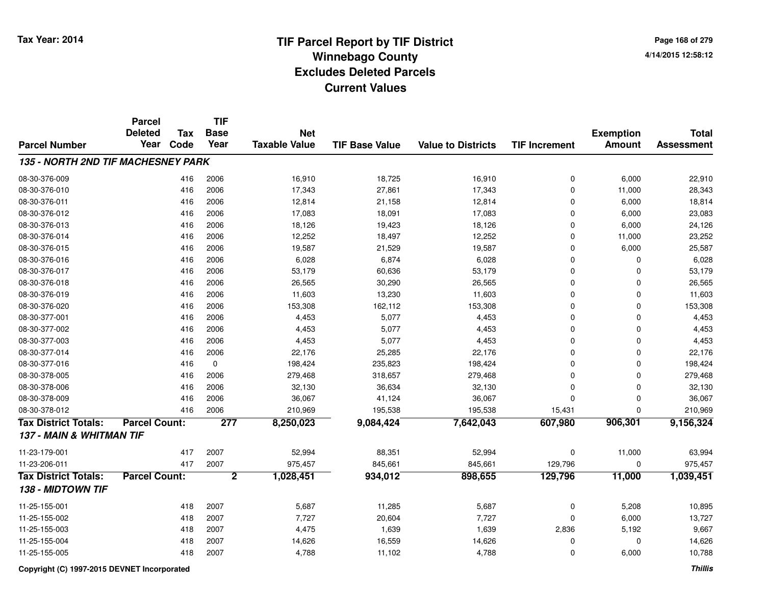**Page 168 of 2794/14/2015 12:58:12**

|                                           | <b>Parcel</b>        |            | <b>TIF</b>     |                      |                       |                           |                      |                  |                   |
|-------------------------------------------|----------------------|------------|----------------|----------------------|-----------------------|---------------------------|----------------------|------------------|-------------------|
|                                           | <b>Deleted</b>       | <b>Tax</b> | <b>Base</b>    | <b>Net</b>           |                       |                           |                      | <b>Exemption</b> | <b>Total</b>      |
| <b>Parcel Number</b>                      | Year                 | Code       | Year           | <b>Taxable Value</b> | <b>TIF Base Value</b> | <b>Value to Districts</b> | <b>TIF Increment</b> | <b>Amount</b>    | <b>Assessment</b> |
| <b>135 - NORTH 2ND TIF MACHESNEY PARK</b> |                      |            |                |                      |                       |                           |                      |                  |                   |
| 08-30-376-009                             |                      | 416        | 2006           | 16,910               | 18,725                | 16,910                    | 0                    | 6,000            | 22,910            |
| 08-30-376-010                             |                      | 416        | 2006           | 17,343               | 27,861                | 17,343                    | $\mathbf 0$          | 11,000           | 28,343            |
| 08-30-376-011                             |                      | 416        | 2006           | 12,814               | 21,158                | 12,814                    | $\Omega$             | 6,000            | 18,814            |
| 08-30-376-012                             |                      | 416        | 2006           | 17,083               | 18,091                | 17,083                    | $\Omega$             | 6,000            | 23,083            |
| 08-30-376-013                             |                      | 416        | 2006           | 18,126               | 19,423                | 18,126                    | $\Omega$             | 6,000            | 24,126            |
| 08-30-376-014                             |                      | 416        | 2006           | 12,252               | 18,497                | 12,252                    | $\mathbf 0$          | 11,000           | 23,252            |
| 08-30-376-015                             |                      | 416        | 2006           | 19,587               | 21,529                | 19,587                    | $\mathbf 0$          | 6,000            | 25,587            |
| 08-30-376-016                             |                      | 416        | 2006           | 6,028                | 6,874                 | 6,028                     | $\mathbf 0$          | $\mathbf 0$      | 6,028             |
| 08-30-376-017                             |                      | 416        | 2006           | 53,179               | 60,636                | 53,179                    | $\Omega$             | $\Omega$         | 53,179            |
| 08-30-376-018                             |                      | 416        | 2006           | 26,565               | 30,290                | 26,565                    | $\Omega$             | $\Omega$         | 26,565            |
| 08-30-376-019                             |                      | 416        | 2006           | 11,603               | 13,230                | 11,603                    | $\Omega$             | 0                | 11,603            |
| 08-30-376-020                             |                      | 416        | 2006           | 153,308              | 162,112               | 153,308                   | $\Omega$             | $\mathbf 0$      | 153,308           |
| 08-30-377-001                             |                      | 416        | 2006           | 4,453                | 5,077                 | 4,453                     | $\mathbf 0$          | $\mathbf 0$      | 4,453             |
| 08-30-377-002                             |                      | 416        | 2006           | 4,453                | 5,077                 | 4,453                     | $\mathbf 0$          | $\mathbf 0$      | 4,453             |
| 08-30-377-003                             |                      | 416        | 2006           | 4,453                | 5,077                 | 4,453                     | $\Omega$             | $\mathbf 0$      | 4,453             |
| 08-30-377-014                             |                      | 416        | 2006           | 22,176               | 25,285                | 22,176                    | $\mathbf 0$          | $\mathbf 0$      | 22,176            |
| 08-30-377-016                             |                      | 416        | $\mathbf 0$    | 198,424              | 235,823               | 198,424                   | $\mathbf 0$          | $\mathbf 0$      | 198,424           |
| 08-30-378-005                             |                      | 416        | 2006           | 279,468              | 318,657               | 279,468                   | $\Omega$             | $\mathbf 0$      | 279,468           |
| 08-30-378-006                             |                      | 416        | 2006           | 32,130               | 36,634                | 32,130                    | $\mathbf 0$          | $\mathbf 0$      | 32,130            |
| 08-30-378-009                             |                      | 416        | 2006           | 36,067               | 41,124                | 36,067                    | $\Omega$             | $\mathbf 0$      | 36,067            |
| 08-30-378-012                             |                      | 416        | 2006           | 210,969              | 195,538               | 195,538                   | 15,431               | $\mathbf 0$      | 210,969           |
| <b>Tax District Totals:</b>               | <b>Parcel Count:</b> |            | 277            | 8,250,023            | 9,084,424             | 7,642,043                 | 607,980              | 906,301          | 9,156,324         |
| 137 - MAIN & WHITMAN TIF                  |                      |            |                |                      |                       |                           |                      |                  |                   |
| 11-23-179-001                             |                      | 417        | 2007           | 52,994               | 88,351                | 52,994                    | $\mathbf 0$          | 11,000           | 63,994            |
| 11-23-206-011                             |                      | 417        | 2007           | 975,457              | 845,661               | 845,661                   | 129,796              | $\mathbf 0$      | 975,457           |
| <b>Tax District Totals:</b>               | <b>Parcel Count:</b> |            | $\overline{2}$ | 1,028,451            | 934,012               | 898,655                   | 129,796              | 11,000           | 1,039,451         |
| 138 - MIDTOWN TIF                         |                      |            |                |                      |                       |                           |                      |                  |                   |
| 11-25-155-001                             |                      | 418        | 2007           | 5,687                | 11,285                | 5,687                     | $\mathbf 0$          | 5,208            | 10,895            |
| 11-25-155-002                             |                      | 418        | 2007           | 7,727                | 20,604                | 7,727                     | $\Omega$             | 6,000            | 13,727            |
| 11-25-155-003                             |                      | 418        | 2007           | 4,475                | 1,639                 | 1,639                     | 2,836                | 5,192            | 9,667             |
| 11-25-155-004                             |                      | 418        | 2007           | 14,626               | 16,559                | 14,626                    | $\Omega$             | 0                | 14,626            |
| 11-25-155-005                             |                      | 418        | 2007           | 4,788                | 11,102                | 4,788                     | $\Omega$             | 6,000            | 10,788            |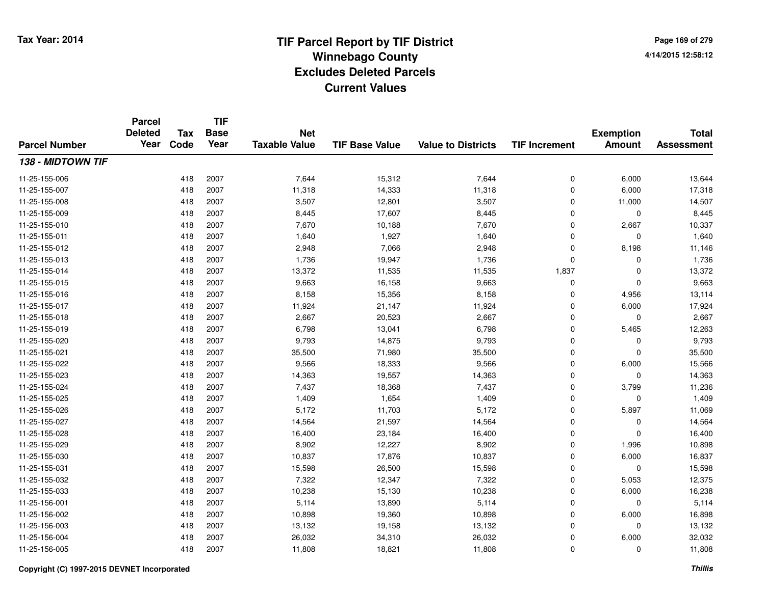**TIF**

**Parcel**

**Page 169 of 2794/14/2015 12:58:12**

| <b>Parcel Number</b> | <b>Deleted</b><br>Year | <b>Tax</b><br>Code | <b>Base</b><br>Year | <b>Net</b><br><b>Taxable Value</b> | <b>TIF Base Value</b> | <b>Value to Districts</b> | <b>TIF Increment</b> | <b>Exemption</b><br><b>Amount</b> | <b>Total</b><br><b>Assessment</b> |
|----------------------|------------------------|--------------------|---------------------|------------------------------------|-----------------------|---------------------------|----------------------|-----------------------------------|-----------------------------------|
| 138 - MIDTOWN TIF    |                        |                    |                     |                                    |                       |                           |                      |                                   |                                   |
| 11-25-155-006        |                        | 418                | 2007                | 7,644                              | 15,312                | 7,644                     | 0                    | 6,000                             | 13,644                            |
| 11-25-155-007        |                        | 418                | 2007                | 11,318                             | 14,333                | 11,318                    | 0                    | 6,000                             | 17,318                            |
| 11-25-155-008        |                        | 418                | 2007                | 3,507                              | 12,801                | 3,507                     | 0                    | 11,000                            | 14,507                            |
| 11-25-155-009        |                        | 418                | 2007                | 8,445                              | 17,607                | 8,445                     | 0                    | $\Omega$                          | 8,445                             |
| 11-25-155-010        |                        | 418                | 2007                | 7,670                              | 10,188                | 7,670                     | 0                    | 2,667                             | 10,337                            |
| 11-25-155-011        |                        | 418                | 2007                | 1,640                              | 1,927                 | 1,640                     | 0                    | $\Omega$                          | 1,640                             |
| 11-25-155-012        |                        | 418                | 2007                | 2,948                              | 7,066                 | 2,948                     | 0                    | 8,198                             | 11,146                            |
| 11-25-155-013        |                        | 418                | 2007                | 1,736                              | 19,947                | 1,736                     | 0                    | 0                                 | 1,736                             |
| 11-25-155-014        |                        | 418                | 2007                | 13,372                             | 11,535                | 11,535                    | 1,837                | $\Omega$                          | 13,372                            |
| 11-25-155-015        |                        | 418                | 2007                | 9,663                              | 16,158                | 9,663                     | 0                    | 0                                 | 9,663                             |
| 11-25-155-016        |                        | 418                | 2007                | 8,158                              | 15,356                | 8,158                     | $\mathbf 0$          | 4,956                             | 13,114                            |
| 11-25-155-017        |                        | 418                | 2007                | 11,924                             | 21,147                | 11,924                    | $\mathbf 0$          | 6,000                             | 17,924                            |
| 11-25-155-018        |                        | 418                | 2007                | 2,667                              | 20,523                | 2,667                     | $\mathbf 0$          | $\Omega$                          | 2,667                             |
| 11-25-155-019        |                        | 418                | 2007                | 6,798                              | 13,041                | 6,798                     | $\mathbf 0$          | 5,465                             | 12,263                            |
| 11-25-155-020        |                        | 418                | 2007                | 9,793                              | 14,875                | 9,793                     | 0                    | 0                                 | 9,793                             |
| 11-25-155-021        |                        | 418                | 2007                | 35,500                             | 71,980                | 35,500                    | 0                    | $\mathbf 0$                       | 35,500                            |
| 11-25-155-022        |                        | 418                | 2007                | 9,566                              | 18,333                | 9,566                     | 0                    | 6,000                             | 15,566                            |
| 11-25-155-023        |                        | 418                | 2007                | 14,363                             | 19,557                | 14,363                    | 0                    | 0                                 | 14,363                            |
| 11-25-155-024        |                        | 418                | 2007                | 7,437                              | 18,368                | 7,437                     | $\mathbf 0$          | 3,799                             | 11,236                            |
| 11-25-155-025        |                        | 418                | 2007                | 1,409                              | 1,654                 | 1,409                     | $\mathbf 0$          | $\mathbf 0$                       | 1,409                             |
| 11-25-155-026        |                        | 418                | 2007                | 5,172                              | 11,703                | 5,172                     | 0                    | 5,897                             | 11,069                            |
| 11-25-155-027        |                        | 418                | 2007                | 14,564                             | 21,597                | 14,564                    | 0                    | 0                                 | 14,564                            |
| 11-25-155-028        |                        | 418                | 2007                | 16,400                             | 23,184                | 16,400                    | 0                    | $\Omega$                          | 16,400                            |
| 11-25-155-029        |                        | 418                | 2007                | 8,902                              | 12,227                | 8,902                     | 0                    | 1,996                             | 10,898                            |
| 11-25-155-030        |                        | 418                | 2007                | 10,837                             | 17,876                | 10,837                    | 0                    | 6,000                             | 16,837                            |
| 11-25-155-031        |                        | 418                | 2007                | 15,598                             | 26,500                | 15,598                    | 0                    | 0                                 | 15,598                            |
| 11-25-155-032        |                        | 418                | 2007                | 7,322                              | 12,347                | 7,322                     | $\mathbf 0$          | 5,053                             | 12,375                            |
| 11-25-155-033        |                        | 418                | 2007                | 10,238                             | 15,130                | 10,238                    | $\mathbf 0$          | 6,000                             | 16,238                            |
| 11-25-156-001        |                        | 418                | 2007                | 5,114                              | 13,890                | 5,114                     | 0                    | 0                                 | 5,114                             |
| 11-25-156-002        |                        | 418                | 2007                | 10,898                             | 19,360                | 10,898                    | 0                    | 6,000                             | 16,898                            |
| 11-25-156-003        |                        | 418                | 2007                | 13,132                             | 19,158                | 13,132                    | 0                    | 0                                 | 13,132                            |
| 11-25-156-004        |                        | 418                | 2007                | 26,032                             | 34,310                | 26,032                    | 0                    | 6,000                             | 32,032                            |
| 11-25-156-005        |                        | 418                | 2007                | 11,808                             | 18,821                | 11,808                    | 0                    | 0                                 | 11,808                            |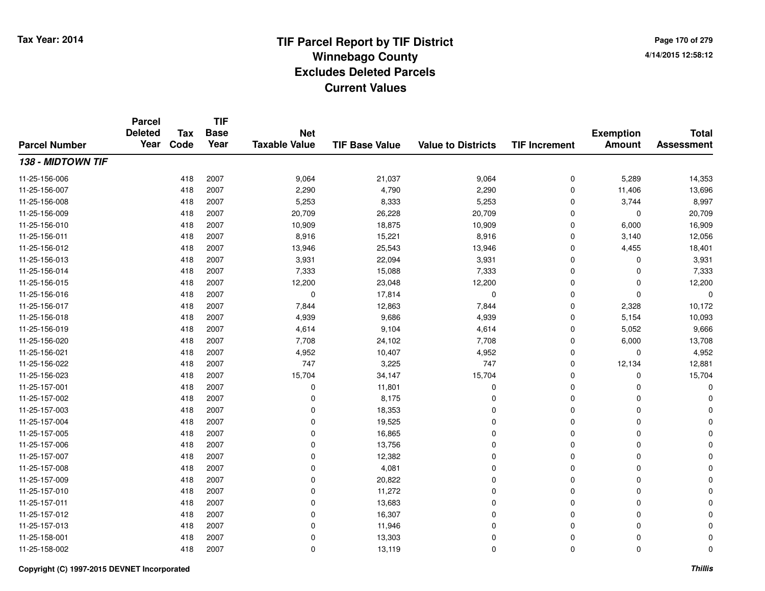**Page 170 of 2794/14/2015 12:58:12**

#### **TIF Base ValueParcel NumberTotal AssessmentExemption Amount Value to Districts TIF IncrementTIF Base YearTax CodeParcel Deleted YearNet Taxable Value138 - MIDTOWN TIF**11-25-156-0066 418 2007 9,064 21,037 9,064 0 5,289 14,353 11-25-156-007 <sup>418</sup> 2,290 <sup>2007</sup> 4,790 2,290 <sup>0</sup> 11,406 13,696 11-25-156-008 <sup>418</sup> 5,253 <sup>2007</sup> 8,333 5,253 <sup>0</sup> 3,744 8,997 11-25-156-009 <sup>418</sup> 20,709 <sup>2007</sup> 26,228 20,709 <sup>0</sup> <sup>0</sup> 20,709 11-25-156-0100 418 2007 10,909 18,875 10,909 0 6,000 16,909 11-25-156-0111 418 2007 8,916 15,221 8,916 0 3,140 12,056 11-25-156-0122 418 2007 13,946 25,543 13,946 0 4,455 18,401 11-25-156-0133 418 2007 3,931 22,094 3,931 0 0 3,931 11-25-156-0144 2007 2007 2007 7,333 2008 15,088 2009 7,333 2009 0 2,333 11-25-156-015 <sup>418</sup> 12,200 <sup>2007</sup> 23,048 12,200 <sup>0</sup> <sup>0</sup> 12,200 11-25-156-016 <sup>418</sup> <sup>0</sup> <sup>2007</sup> 17,814 <sup>0</sup> <sup>0</sup> <sup>0</sup> <sup>0</sup> 11-25-156-017 <sup>418</sup> 7,844 <sup>2007</sup> 12,863 7,844 <sup>0</sup> 2,328 10,172 11-25-156-0188 418 2007 4,939 9,686 4,939 0 5,154 10,093 11-25-156-0199 418 2007 4,614 9,104 4,614 0 5,052 9,666 11-25-156-0200 418 2007 7,708 24,102 7,708 0 6,000 13,708 11-25-156-0211 418 2007 4,952 10,407 4,952 0 0 4,952 11-25-156-0222 418 2007 747 3,225 747 0 12,134 12,881 11-25-156-023 <sup>418</sup> 15,704 <sup>2007</sup> 34,147 15,704 <sup>0</sup> <sup>0</sup> 15,704 11-25-157-0011 418 2007 0 11,801 0 0 0 0 11-25-157-002 <sup>418</sup> <sup>0</sup> <sup>2007</sup> 8,175 <sup>0</sup> <sup>0</sup> <sup>0</sup> <sup>0</sup> 11-25-157-0033 and the set of the contract of the contract of the contract of the contract of  $18,353$  and  $0$  of  $0$  of  $0$  of  $0$  of  $0$  of  $0$  of  $0$  of  $0$  of  $0$  of  $0$  of  $0$  of  $0$  of  $0$  of  $0$  of  $0$  of  $0$  of  $0$  of  $0$  of 11-25-157-004 <sup>418</sup> <sup>0</sup> <sup>2007</sup> 19,525 <sup>0</sup> <sup>0</sup> <sup>0</sup> <sup>0</sup> 11-25-157-005 <sup>418</sup> <sup>0</sup> <sup>2007</sup> 16,865 <sup>0</sup> <sup>0</sup> <sup>0</sup> <sup>0</sup> 11-25-157-0066 418 2007 0 13,756 0 0 0 0 11-25-157-007 $7$  and  $418$  2007 in the contract of the contract of the contract of the contract of  $12,382$  in the contract of  $0$  in the contract of  $0$  in the contract of  $0$  in the contract of  $0$  in the contract of  $0$  in the cont 11-25-157-0088 418 2007 0 4,081 0 0 0 0 11-25-157-009 <sup>418</sup> <sup>0</sup> <sup>2007</sup> 20,822 <sup>0</sup> <sup>0</sup> <sup>0</sup> <sup>0</sup> 11-25-157-010 <sup>418</sup> <sup>0</sup> <sup>2007</sup> 11,272 <sup>0</sup> <sup>0</sup> <sup>0</sup> <sup>0</sup> 11-25-157-0111 418 2007 0 13,683 0 0 0 0 11-25-157-012 <sup>418</sup> <sup>0</sup> <sup>2007</sup> 16,307 <sup>0</sup> <sup>0</sup> <sup>0</sup> <sup>0</sup> 11-25-157-013 <sup>418</sup> <sup>0</sup> <sup>2007</sup> 11,946 <sup>0</sup> <sup>0</sup> <sup>0</sup> <sup>0</sup> 11-25-158-0011 and the contract of the contract of the contract of the contract of the contract of  $13,303$  contract of  $0$  contract of  $0$  contract of  $0$  contract of  $0$  contract of  $0$  contract of  $0$  contract of  $0$  contract of  $0$ 11-25-158-0022 418 2007 0 13,119 0 0 0 0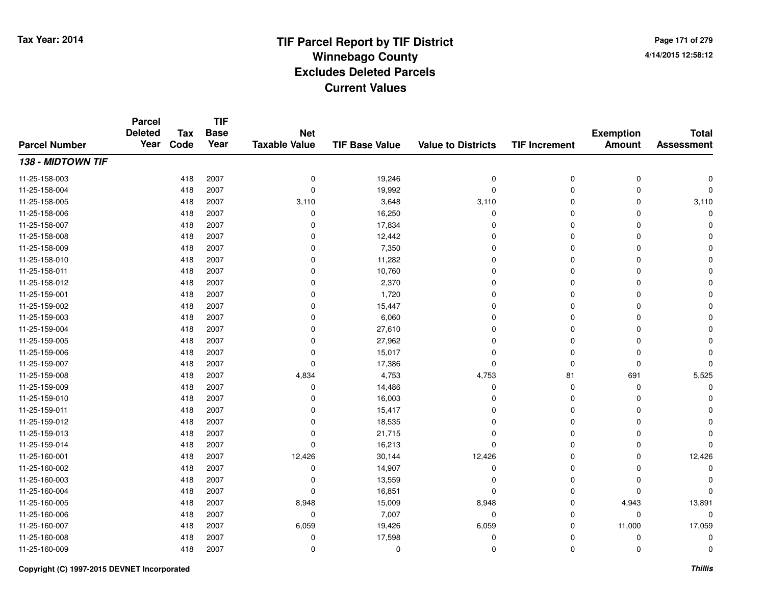**Page 171 of 2794/14/2015 12:58:12**

|                      | <b>Parcel</b><br><b>Deleted</b> | <b>Tax</b> | <b>TIF</b><br><b>Base</b> | <b>Net</b>           |                       |                           |                      | <b>Exemption</b> | <b>Total</b>      |
|----------------------|---------------------------------|------------|---------------------------|----------------------|-----------------------|---------------------------|----------------------|------------------|-------------------|
| <b>Parcel Number</b> | Year                            | Code       | Year                      | <b>Taxable Value</b> | <b>TIF Base Value</b> | <b>Value to Districts</b> | <b>TIF Increment</b> | <b>Amount</b>    | <b>Assessment</b> |
| 138 - MIDTOWN TIF    |                                 |            |                           |                      |                       |                           |                      |                  |                   |
| 11-25-158-003        |                                 | 418        | 2007                      | $\mathbf 0$          | 19,246                | 0                         | 0                    | 0                |                   |
| 11-25-158-004        |                                 | 418        | 2007                      | $\mathbf 0$          | 19,992                | $\mathbf 0$               | $\Omega$             | $\Omega$         | $\Omega$          |
| 11-25-158-005        |                                 | 418        | 2007                      | 3,110                | 3,648                 | 3,110                     | 0                    | $\Omega$         | 3,110             |
| 11-25-158-006        |                                 | 418        | 2007                      | 0                    | 16,250                | 0                         | 0                    | $\Omega$         |                   |
| 11-25-158-007        |                                 | 418        | 2007                      | 0                    | 17,834                | $\Omega$                  | 0                    | 0                |                   |
| 11-25-158-008        |                                 | 418        | 2007                      | $\mathbf 0$          | 12,442                | $\Omega$                  | $\Omega$             | $\Omega$         |                   |
| 11-25-158-009        |                                 | 418        | 2007                      | 0                    | 7,350                 | $\Omega$                  | 0                    | 0                |                   |
| 11-25-158-010        |                                 | 418        | 2007                      | 0                    | 11,282                | $\Omega$                  | 0                    | $\Omega$         |                   |
| 11-25-158-011        |                                 | 418        | 2007                      | 0                    | 10,760                | $\Omega$                  | 0                    | $\Omega$         |                   |
| 11-25-158-012        |                                 | 418        | 2007                      | 0                    | 2,370                 | $\Omega$                  | 0                    | $\Omega$         |                   |
| 11-25-159-001        |                                 | 418        | 2007                      | 0                    | 1,720                 | $\Omega$                  | 0                    | $\Omega$         |                   |
| 11-25-159-002        |                                 | 418        | 2007                      | 0                    | 15,447                | $\Omega$                  | 0                    | 0                |                   |
| 11-25-159-003        |                                 | 418        | 2007                      | 0                    | 6,060                 | 0                         | 0                    | $\Omega$         |                   |
| 11-25-159-004        |                                 | 418        | 2007                      | 0                    | 27,610                | $\Omega$                  | 0                    | 0                |                   |
| 11-25-159-005        |                                 | 418        | 2007                      | $\mathbf 0$          | 27,962                | $\Omega$                  | 0                    | 0                |                   |
| 11-25-159-006        |                                 | 418        | 2007                      | 0                    | 15,017                | 0                         | 0                    | 0                |                   |
| 11-25-159-007        |                                 | 418        | 2007                      | $\mathbf 0$          | 17,386                | $\mathbf 0$               | 0                    | $\mathbf 0$      |                   |
| 11-25-159-008        |                                 | 418        | 2007                      | 4,834                | 4,753                 | 4,753                     | 81                   | 691              | 5,525             |
| 11-25-159-009        |                                 | 418        | 2007                      | 0                    | 14,486                | 0                         | 0                    | 0                |                   |
| 11-25-159-010        |                                 | 418        | 2007                      | 0                    | 16,003                | 0                         | 0                    | 0                |                   |
| 11-25-159-011        |                                 | 418        | 2007                      | 0                    | 15,417                | 0                         | 0                    | $\Omega$         |                   |
| 11-25-159-012        |                                 | 418        | 2007                      | $\mathbf 0$          | 18,535                | $\Omega$                  | 0                    | $\Omega$         |                   |
| 11-25-159-013        |                                 | 418        | 2007                      | 0                    | 21,715                | 0                         | 0                    | 0                |                   |
| 11-25-159-014        |                                 | 418        | 2007                      | 0                    | 16,213                | $\Omega$                  | 0                    | $\Omega$         |                   |
| 11-25-160-001        |                                 | 418        | 2007                      | 12,426               | 30,144                | 12,426                    | 0                    | 0                | 12,426            |
| 11-25-160-002        |                                 | 418        | 2007                      | 0                    | 14,907                | $\mathbf 0$               | 0                    | $\Omega$         |                   |
| 11-25-160-003        |                                 | 418        | 2007                      | 0                    | 13,559                | 0                         | 0                    | $\mathbf 0$      |                   |
| 11-25-160-004        |                                 | 418        | 2007                      | 0                    | 16,851                | $\Omega$                  | 0                    | $\Omega$         |                   |
| 11-25-160-005        |                                 | 418        | 2007                      | 8,948                | 15,009                | 8,948                     | 0                    | 4,943            | 13,891            |
| 11-25-160-006        |                                 | 418        | 2007                      | 0                    | 7,007                 | 0                         | 0                    | 0                | 0                 |
| 11-25-160-007        |                                 | 418        | 2007                      | 6,059                | 19,426                | 6,059                     | 0                    | 11,000           | 17,059            |
| 11-25-160-008        |                                 | 418        | 2007                      | 0                    | 17,598                | $\Omega$                  | 0                    | 0                | $\Omega$          |
| 11-25-160-009        |                                 | 418        | 2007                      | $\mathbf 0$          | $\mathbf 0$           | $\Omega$                  | 0                    | $\mathbf 0$      | 0                 |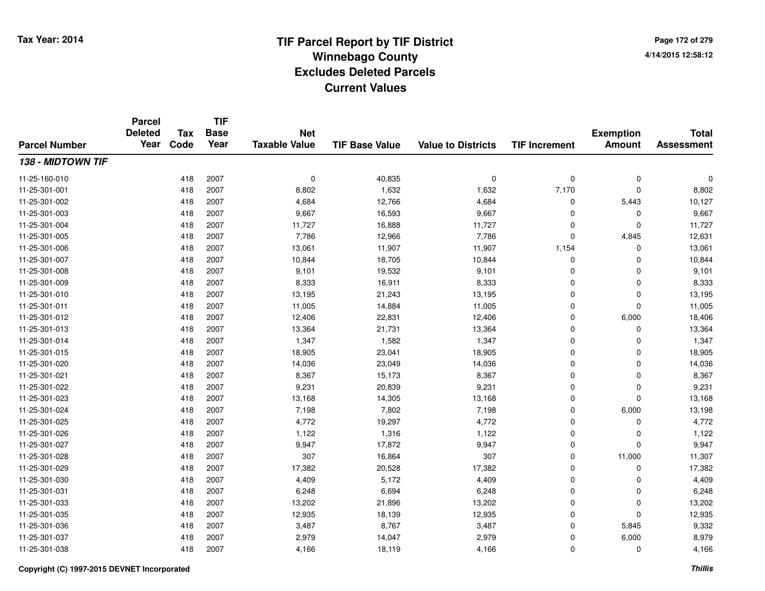**Page 172 of 2794/14/2015 12:58:12**

#### **TIF Base ValueParcel NumberTotal AssessmentExemption Amount Value to Districts TIF IncrementTIF Base YearTax CodeParcel Deleted YearNet Taxable Value138 - MIDTOWN TIF**11-25-160-010 <sup>418</sup> <sup>0</sup> <sup>2007</sup> 40,835 <sup>0</sup> <sup>0</sup> <sup>0</sup> <sup>0</sup> 11-25-301-0011 418 2007 8,802 1,632 1,632 7,170 0 8,802 11-25-301-0022 418 2007 4,684 12,766 4,684 0 5,443 10,127 11-25-301-0033 418 2007 9,667 16,593 9,667 0 0 9,667 11-25-301-004 <sup>418</sup> 11,727 <sup>2007</sup> 16,888 11,727 <sup>0</sup> <sup>0</sup> 11,727 11-25-301-005 <sup>418</sup> 7,786 <sup>2007</sup> 12,966 7,786 <sup>0</sup> 4,845 12,631 11-25-301-006 <sup>418</sup> 13,061 <sup>2007</sup> 11,907 11,907 1,154 <sup>0</sup> 13,061 11-25-301-0077 418 2007 10,844 18,705 10,844 0 0 10,844 11-25-301-008 <sup>418</sup> 9,101 <sup>2007</sup> 19,532 9,101 <sup>0</sup> <sup>0</sup> 9,101 11-25-301-009 <sup>418</sup> 8,333 <sup>2007</sup> 16,911 8,333 <sup>0</sup> <sup>0</sup> 8,333 11-25-301-0100 418 2007 13,195 21,243 13,195 0 0 13,195 11-25-301-0111 418 2007 11,005 14,884 11,005 0 11,005 11-25-301-0122 418 2007 12,406 22,831 12,406 0 6,000 18,406 11-25-301-0133 418 2007 13,364 21,731 13,364 0 0 13,364 11-25-301-014 <sup>418</sup> 1,347 <sup>2007</sup> 1,582 1,347 <sup>0</sup> <sup>0</sup> 1,347 11-25-301-015 <sup>418</sup> 18,905 <sup>2007</sup> 23,041 18,905 <sup>0</sup> <sup>0</sup> 18,905 11-25-301-0200 418 2007 14,036 23,049 14,036 0 0 14,036 11-25-301-0211 418 2007 8,367 15,173 8,367 0 0 8,367 11-25-301-022 <sup>418</sup> 9,231 <sup>2007</sup> 20,839 9,231 <sup>0</sup> <sup>0</sup> 9,231 11-25-301-0233 418 2007 13,168 14,305 13,168 0 13,168 11-25-301-024 <sup>418</sup> 7,198 <sup>2007</sup> 7,802 7,198 <sup>0</sup> 6,000 13,198 11-25-301-0255 418 2007 4,772 19,297 4,772 0 0 4,772 11-25-301-026 <sup>418</sup> 1,122 <sup>2007</sup> 1,316 1,122 <sup>0</sup> <sup>0</sup> 1,122 11-25-301-027 <sup>418</sup> 9,947 <sup>2007</sup> 17,872 9,947 <sup>0</sup> <sup>0</sup> 9,947 11-25-301-028 <sup>418</sup> <sup>307</sup> <sup>2007</sup> 16,864 <sup>307</sup> <sup>0</sup> 11,000 11,307 11-25-301-0299 418 2007 17,382 20,528 17,382 0 0 17,382 11-25-301-0300 418 2007 4,409 5,172 4,409 0 0 4,409 11-25-301-0311 418 2007 6,248 6,694 6,248 0 0 6,248 11-25-301-0333 418 2007 13,202 21,896 13,202 0 0 13,202 11-25-301-0355 23 23 23 2418 2007 2012 12,935 25 26,139 26,139 26,139 26,139 26,139 26,139 26,139 26,139 26,139 26,139 26, 11-25-301-036 <sup>418</sup> 3,487 <sup>2007</sup> 8,767 3,487 <sup>0</sup> 5,845 9,332 11-25-301-037 <sup>418</sup> 2,979 <sup>2007</sup> 14,047 2,979 <sup>0</sup> 6,000 8,979 11-25-301-0388 418 2007 4,166 18,119 4,166 0 0 4,166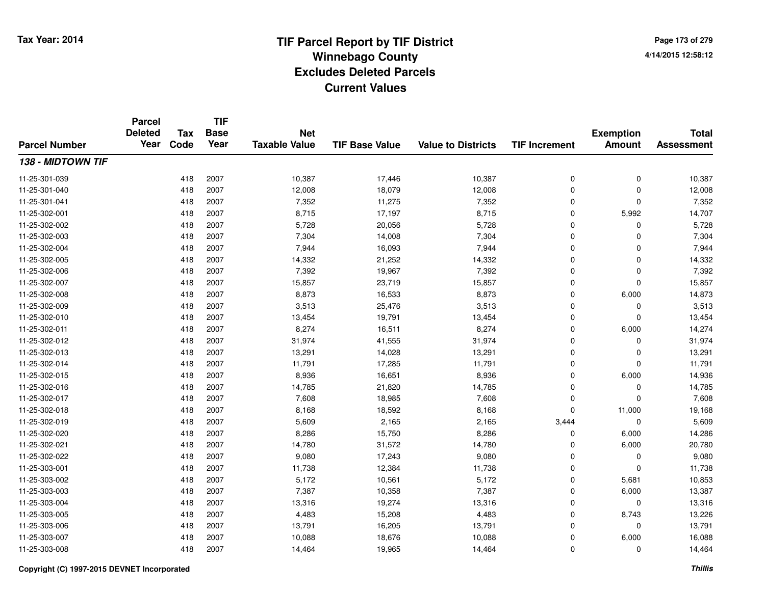**TIF**

**Parcel**

**Page 173 of 2794/14/2015 12:58:12**

| <b>Parcel Number</b> | <b>Deleted</b><br>Year | Tax<br>Code | <b>Base</b><br>Year | <b>Net</b><br><b>Taxable Value</b> | <b>TIF Base Value</b> | <b>Value to Districts</b> | <b>TIF Increment</b> | <b>Exemption</b><br><b>Amount</b> | <b>Total</b><br><b>Assessment</b> |
|----------------------|------------------------|-------------|---------------------|------------------------------------|-----------------------|---------------------------|----------------------|-----------------------------------|-----------------------------------|
| 138 - MIDTOWN TIF    |                        |             |                     |                                    |                       |                           |                      |                                   |                                   |
| 11-25-301-039        |                        | 418         | 2007                | 10,387                             | 17,446                | 10,387                    | 0                    | 0                                 | 10,387                            |
| 11-25-301-040        |                        | 418         | 2007                | 12,008                             | 18,079                | 12,008                    | 0                    | 0                                 | 12,008                            |
| 11-25-301-041        |                        | 418         | 2007                | 7,352                              | 11,275                | 7,352                     | 0                    | 0                                 | 7,352                             |
| 11-25-302-001        |                        | 418         | 2007                | 8,715                              | 17,197                | 8,715                     | 0                    | 5,992                             | 14,707                            |
| 11-25-302-002        |                        | 418         | 2007                | 5,728                              | 20,056                | 5,728                     | 0                    | $\Omega$                          | 5,728                             |
| 11-25-302-003        |                        | 418         | 2007                | 7,304                              | 14,008                | 7,304                     | 0                    | $\mathbf 0$                       | 7,304                             |
| 11-25-302-004        |                        | 418         | 2007                | 7,944                              | 16,093                | 7,944                     | 0                    | $\mathbf 0$                       | 7,944                             |
| 11-25-302-005        |                        | 418         | 2007                | 14,332                             | 21,252                | 14,332                    | 0                    | $\mathbf 0$                       | 14,332                            |
| 11-25-302-006        |                        | 418         | 2007                | 7,392                              | 19,967                | 7,392                     | 0                    | 0                                 | 7,392                             |
| 11-25-302-007        |                        | 418         | 2007                | 15,857                             | 23,719                | 15,857                    | 0                    | 0                                 | 15,857                            |
| 11-25-302-008        |                        | 418         | 2007                | 8,873                              | 16,533                | 8,873                     | 0                    | 6,000                             | 14,873                            |
| 11-25-302-009        |                        | 418         | 2007                | 3,513                              | 25,476                | 3,513                     | 0                    | 0                                 | 3,513                             |
| 11-25-302-010        |                        | 418         | 2007                | 13,454                             | 19,791                | 13,454                    | 0                    | $\mathbf 0$                       | 13,454                            |
| 11-25-302-011        |                        | 418         | 2007                | 8,274                              | 16,511                | 8,274                     | 0                    | 6,000                             | 14,274                            |
| 11-25-302-012        |                        | 418         | 2007                | 31,974                             | 41,555                | 31,974                    | 0                    | 0                                 | 31,974                            |
| 11-25-302-013        |                        | 418         | 2007                | 13,291                             | 14,028                | 13,291                    | 0                    | 0                                 | 13,291                            |
| 11-25-302-014        |                        | 418         | 2007                | 11,791                             | 17,285                | 11,791                    | 0                    | 0                                 | 11,791                            |
| 11-25-302-015        |                        | 418         | 2007                | 8,936                              | 16,651                | 8,936                     | 0                    | 6,000                             | 14,936                            |
| 11-25-302-016        |                        | 418         | 2007                | 14,785                             | 21,820                | 14,785                    | $\Omega$             | $\mathbf 0$                       | 14,785                            |
| 11-25-302-017        |                        | 418         | 2007                | 7,608                              | 18,985                | 7,608                     | 0                    | $\mathbf 0$                       | 7,608                             |
| 11-25-302-018        |                        | 418         | 2007                | 8,168                              | 18,592                | 8,168                     | 0                    | 11,000                            | 19,168                            |
| 11-25-302-019        |                        | 418         | 2007                | 5,609                              | 2,165                 | 2,165                     | 3,444                | 0                                 | 5,609                             |
| 11-25-302-020        |                        | 418         | 2007                | 8,286                              | 15,750                | 8,286                     | 0                    | 6,000                             | 14,286                            |
| 11-25-302-021        |                        | 418         | 2007                | 14,780                             | 31,572                | 14,780                    | 0                    | 6,000                             | 20,780                            |
| 11-25-302-022        |                        | 418         | 2007                | 9,080                              | 17,243                | 9,080                     | 0                    | 0                                 | 9,080                             |
| 11-25-303-001        |                        | 418         | 2007                | 11,738                             | 12,384                | 11,738                    | 0                    | 0                                 | 11,738                            |
| 11-25-303-002        |                        | 418         | 2007                | 5,172                              | 10,561                | 5,172                     | 0                    | 5,681                             | 10,853                            |
| 11-25-303-003        |                        | 418         | 2007                | 7,387                              | 10,358                | 7,387                     | 0                    | 6,000                             | 13,387                            |
| 11-25-303-004        |                        | 418         | 2007                | 13,316                             | 19,274                | 13,316                    | 0                    | 0                                 | 13,316                            |
| 11-25-303-005        |                        | 418         | 2007                | 4,483                              | 15,208                | 4,483                     | 0                    | 8,743                             | 13,226                            |
| 11-25-303-006        |                        | 418         | 2007                | 13,791                             | 16,205                | 13,791                    | 0                    | 0                                 | 13,791                            |
| 11-25-303-007        |                        | 418         | 2007                | 10,088                             | 18,676                | 10,088                    | 0                    | 6,000                             | 16,088                            |
| 11-25-303-008        |                        | 418         | 2007                | 14,464                             | 19,965                | 14,464                    | 0                    | 0                                 | 14,464                            |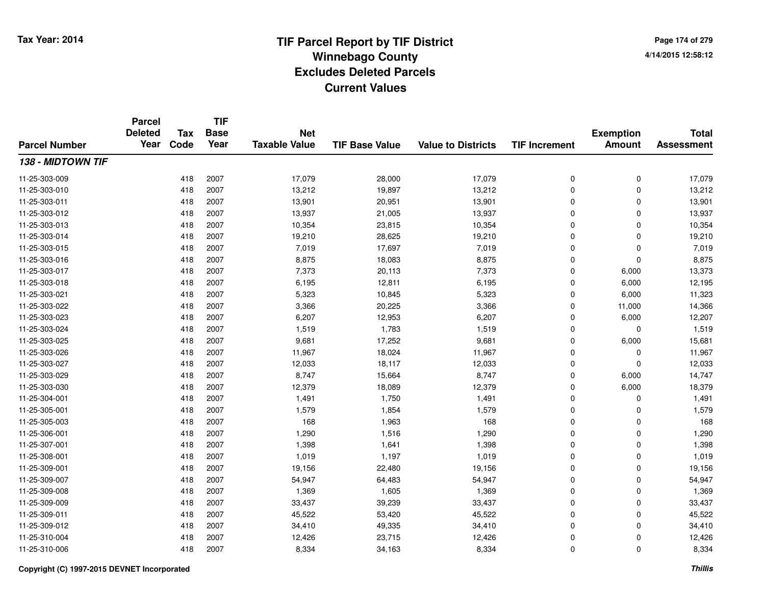**Page 174 of 2794/14/2015 12:58:12**

| <b>Parcel Number</b> | <b>Parcel</b><br><b>Deleted</b><br>Year | <b>Tax</b><br>Code | <b>TIF</b><br><b>Base</b><br>Year | <b>Net</b><br><b>Taxable Value</b> | <b>TIF Base Value</b> | <b>Value to Districts</b> | <b>TIF Increment</b> | <b>Exemption</b><br><b>Amount</b> | <b>Total</b><br><b>Assessment</b> |
|----------------------|-----------------------------------------|--------------------|-----------------------------------|------------------------------------|-----------------------|---------------------------|----------------------|-----------------------------------|-----------------------------------|
|                      |                                         |                    |                                   |                                    |                       |                           |                      |                                   |                                   |
| 11-25-303-009        |                                         | 418                | 2007                              | 17,079                             | 28,000                | 17,079                    | 0                    | 0                                 | 17,079                            |
| 11-25-303-010        |                                         | 418                | 2007                              | 13,212                             | 19,897                | 13,212                    | 0                    | 0                                 | 13,212                            |
| 11-25-303-011        |                                         | 418                | 2007                              | 13,901                             | 20,951                | 13,901                    | 0                    | 0                                 | 13,901                            |
| 11-25-303-012        |                                         | 418                | 2007                              | 13,937                             | 21,005                | 13,937                    | 0                    | 0                                 | 13,937                            |
| 11-25-303-013        |                                         | 418                | 2007                              | 10,354                             | 23,815                | 10,354                    | 0                    | 0                                 | 10,354                            |
| 11-25-303-014        |                                         | 418                | 2007                              | 19,210                             | 28,625                | 19,210                    | 0                    | 0                                 | 19,210                            |
| 11-25-303-015        |                                         | 418                | 2007                              | 7,019                              | 17,697                | 7,019                     | 0                    | 0                                 | 7,019                             |
| 11-25-303-016        |                                         | 418                | 2007                              | 8,875                              | 18,083                | 8,875                     | 0                    | 0                                 | 8,875                             |
| 11-25-303-017        |                                         | 418                | 2007                              | 7,373                              | 20,113                | 7,373                     | 0                    | 6,000                             | 13,373                            |
| 11-25-303-018        |                                         | 418                | 2007                              | 6,195                              | 12,811                | 6,195                     | 0                    | 6,000                             | 12,195                            |
| 11-25-303-021        |                                         | 418                | 2007                              | 5,323                              | 10,845                | 5,323                     | 0                    | 6,000                             | 11,323                            |
| 11-25-303-022        |                                         | 418                | 2007                              | 3,366                              | 20,225                | 3,366                     | 0                    | 11,000                            | 14,366                            |
| 11-25-303-023        |                                         | 418                | 2007                              | 6,207                              | 12,953                | 6,207                     | 0                    | 6,000                             | 12,207                            |
| 11-25-303-024        |                                         | 418                | 2007                              | 1,519                              | 1,783                 | 1,519                     | 0                    | 0                                 | 1,519                             |
| 11-25-303-025        |                                         | 418                | 2007                              | 9,681                              | 17,252                | 9,681                     | 0                    | 6,000                             | 15,681                            |
| 11-25-303-026        |                                         | 418                | 2007                              | 11,967                             | 18,024                | 11,967                    | 0                    | 0                                 | 11,967                            |
| 11-25-303-027        |                                         | 418                | 2007                              | 12,033                             | 18,117                | 12,033                    | 0                    | 0                                 | 12,033                            |
| 11-25-303-029        |                                         | 418                | 2007                              | 8,747                              | 15,664                | 8,747                     | 0                    | 6,000                             | 14,747                            |
| 11-25-303-030        |                                         | 418                | 2007                              | 12,379                             | 18,089                | 12,379                    | 0                    | 6,000                             | 18,379                            |
| 11-25-304-001        |                                         | 418                | 2007                              | 1,491                              | 1,750                 | 1,491                     | 0                    | 0                                 | 1,491                             |
| 11-25-305-001        |                                         | 418                | 2007                              | 1,579                              | 1,854                 | 1,579                     | 0                    | 0                                 | 1,579                             |
| 11-25-305-003        |                                         | 418                | 2007                              | 168                                | 1,963                 | 168                       | 0                    | 0                                 | 168                               |
| 11-25-306-001        |                                         | 418                | 2007                              | 1,290                              | 1,516                 | 1,290                     | 0                    | 0                                 | 1,290                             |
| 11-25-307-001        |                                         | 418                | 2007                              | 1,398                              | 1,641                 | 1,398                     | 0                    | 0                                 | 1,398                             |
| 11-25-308-001        |                                         | 418                | 2007                              | 1,019                              | 1,197                 | 1,019                     | 0                    | 0                                 | 1,019                             |
| 11-25-309-001        |                                         | 418                | 2007                              | 19,156                             | 22,480                | 19,156                    | 0                    | 0                                 | 19,156                            |
| 11-25-309-007        |                                         | 418                | 2007                              | 54,947                             | 64,483                | 54,947                    | 0                    | 0                                 | 54,947                            |
| 11-25-309-008        |                                         | 418                | 2007                              | 1,369                              | 1,605                 | 1,369                     | 0                    | 0                                 | 1,369                             |
| 11-25-309-009        |                                         | 418                | 2007                              | 33,437                             | 39,239                | 33,437                    | 0                    | 0                                 | 33,437                            |
| 11-25-309-011        |                                         | 418                | 2007                              | 45,522                             | 53,420                | 45,522                    | 0                    | 0                                 | 45,522                            |
| 11-25-309-012        |                                         | 418                | 2007                              | 34,410                             | 49,335                | 34,410                    | 0                    | 0                                 | 34,410                            |
| 11-25-310-004        |                                         | 418                | 2007                              | 12,426                             | 23,715                | 12,426                    | 0                    | 0                                 | 12,426                            |
| 11-25-310-006        |                                         | 418                | 2007                              | 8,334                              | 34,163                | 8,334                     | $\overline{0}$       | 0                                 | 8,334                             |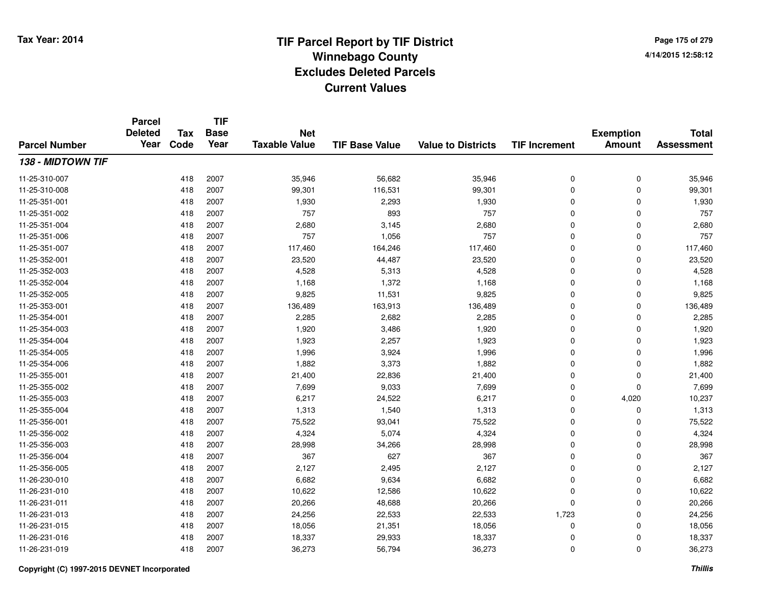**Page 175 of 2794/14/2015 12:58:12**

#### **TIF Base ValueParcel NumberTotal AssessmentExemption Amount Value to Districts TIF IncrementTIF Base YearTax CodeParcel Deleted YearNet Taxable Value138 - MIDTOWN TIF**11-25-310-0077 418 2007 35,946 56,682 35,946 0 0 35,946 11-25-310-008 <sup>418</sup> 99,301 <sup>2007</sup> 116,531 99,301 <sup>0</sup> <sup>0</sup> 99,301 11-25-351-0011 418 2007 1,930 2,293 1,930 0 0 1,930 11-25-351-002 <sup>418</sup> <sup>757</sup> <sup>2007</sup> <sup>893</sup> <sup>757</sup> <sup>0</sup> <sup>0</sup> <sup>757</sup> 11-25-351-0044 2007 2,680 2007 2,680 3,145 2,680 2,680 0 0 2,680 11-25-351-006 <sup>418</sup> <sup>757</sup> <sup>2007</sup> 1,056 <sup>757</sup> <sup>0</sup> <sup>0</sup> <sup>757</sup> 11-25-351-007 <sup>418</sup> 117,460 <sup>2007</sup> 164,246 117,460 <sup>0</sup> <sup>0</sup> 117,460 11-25-352-0011 418 2007 23,520 44,487 23,520 0 0 23,520 11-25-352-0033 418 2007 4,528 5,313 4,528 0 0 4,528 11-25-352-004 <sup>418</sup> 1,168 <sup>2007</sup> 1,372 1,168 <sup>0</sup> <sup>0</sup> 1,168 11-25-352-0055 418 2007 9,825 11,531 9,825 0 0 9,825 11-25-353-0011 418 2007 136,489 163,913 136,489 0 136,489 11-25-354-0011 418 2007 2,285 2,682 2,285 0 0 2,285 11-25-354-003 $3$  3 2007 2007 2009 3,486 3,486 3,480 3,480 3,480 3,480 3,920 41,920 3,920 3,920 3,920 3,920 3,920 3,920 3,920 3,920 3,920 3,920 3,920 3,920 3,920 3,920 3,920 3,920 3,920 3,920 3,920 3,920 3,920 3,920 3,920 3,920 3,920 3 11-25-354-0044 418 2007 1,923 2,257 1,923 0 0 1,923 11-25-354-005 <sup>418</sup> 1,996 <sup>2007</sup> 3,924 1,996 <sup>0</sup> <sup>0</sup> 1,996 11-25-354-0066 418 2007 1,882 3,373 1,882 0 0 1,882 11-25-355-0011 418 2007 21,400 22,836 21,400 0 0 21,400 11-25-355-0022 418 2007 7,699 9,033 7,699 0 7,699 11-25-355-0033 418 2007 6,217 24,522 6,217 0 4,020 10,237 11-25-355-004 <sup>418</sup> 1,313 <sup>2007</sup> 1,540 1,313 <sup>0</sup> <sup>0</sup> 1,313 11-25-356-0011 418 2007 75,522 93,041 75,522 0 75,522 11-25-356-0022 2 418 2007 4,324 5,074 4,324 0 0 4,324 11-25-356-0033 418 2007 28,998 34,266 28,998 0 0 28,998 11-25-356-004 <sup>418</sup> <sup>367</sup> <sup>2007</sup> <sup>627</sup> <sup>367</sup> <sup>0</sup> <sup>0</sup> <sup>367</sup> 11-25-356-005 <sup>418</sup> 2,127 <sup>2007</sup> 2,495 2,127 <sup>0</sup> <sup>0</sup> 2,127 11-26-230-0100 418 2007 6,682 9,634 6,682 0 0 6,682 11-26-231-0100 418 2007 10,622 12,586 10,622 0 0 10,622 11-26-231-0111 418 2007 20,266 48,688 20,266 0 0 20,266 11-26-231-013 <sup>418</sup> 24,256 <sup>2007</sup> 22,533 22,533 1,723 <sup>0</sup> 24,256 11-26-231-015 <sup>418</sup> 18,056 <sup>2007</sup> 21,351 18,056 <sup>0</sup> <sup>0</sup> 18,056 11-26-231-016 <sup>418</sup> 18,337 <sup>2007</sup> 29,933 18,337 <sup>0</sup> <sup>0</sup> 18,337 11-26-231-0199 418 2007 36,273 56,794 36,273 0 0 36,273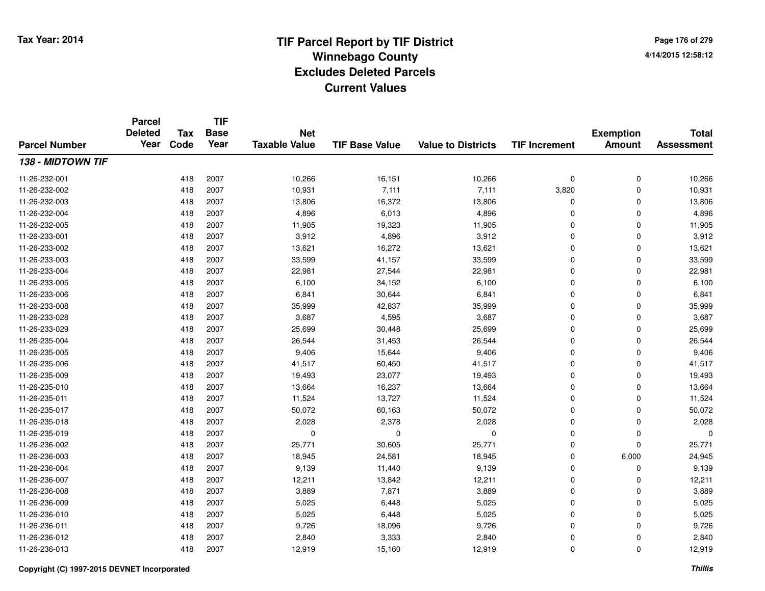**Page 176 of 2794/14/2015 12:58:12**

#### **TIF Base ValueParcel NumberTotal AssessmentExemption Amount Value to Districts TIF IncrementTIF Base YearTax CodeParcel Deleted YearNet Taxable Value138 - MIDTOWN TIF**11-26-232-0011 418 2007 10,266 16,151 10,266 0 0 10,266 11-26-232-002 <sup>418</sup> 10,931 <sup>2007</sup> 7,111 7,111 3,820 <sup>0</sup> 10,931 11-26-232-0033 418 2007 13,806 16,372 13,806 0 0 13,806 11-26-232-0044 418 2007 4,896 6,013 4,896 0 0 4,896 11-26-232-005 <sup>418</sup> 11,905 <sup>2007</sup> 19,323 11,905 <sup>0</sup> <sup>0</sup> 11,905 11-26-233-0011 418 2007 3,912 4,896 3,912 0 0 3,912 11-26-233-0022 418 2007 13,621 16,272 13,621 0 0 13,621 11-26-233-0033 418 2007 33,599 41,157 33,599 0 0 33,599 11-26-233-004 <sup>418</sup> 22,981 <sup>2007</sup> 27,544 22,981 <sup>0</sup> <sup>0</sup> 22,981 11-26-233-005 <sup>418</sup> 6,100 <sup>2007</sup> 34,152 6,100 <sup>0</sup> <sup>0</sup> 6,100 11-26-233-0066 418 2007 6,841 30,644 6,841 0 0 6,841 11-26-233-008 <sup>418</sup> 35,999 <sup>2007</sup> 42,837 35,999 <sup>0</sup> <sup>0</sup> 35,999 11-26-233-0288 418 2007 3,687 4,595 3,687 0 0 3,687 11-26-233-0299 418 2007 25,699 30,448 25,699 0 25,699 11-26-235-0044 26,544 2007 26,544 31,453 26,544 26,544 0 0 0 26,544 11-26-235-005 <sup>418</sup> 9,406 <sup>2007</sup> 15,644 9,406 <sup>0</sup> <sup>0</sup> 9,406 11-26-235-006 <sup>418</sup> 41,517 <sup>2007</sup> 60,450 41,517 <sup>0</sup> <sup>0</sup> 41,517 11-26-235-0099 418 2007 19,493 23,077 19,493 0 0 19,493 11-26-235-0100 418 2007 13,664 16,237 13,664 0 0 13,664 11-26-235-0111 418 2007 11,524 13,727 11,524 0 0 11,524 11-26-235-017 <sup>418</sup> 50,072 <sup>2007</sup> 60,163 50,072 <sup>0</sup> <sup>0</sup> 50,072 11-26-235-0188 418 2007 2,028 2,378 2,028 0 0 2,028 11-26-235-019 <sup>418</sup> <sup>0</sup> <sup>2007</sup> <sup>0</sup> <sup>0</sup> <sup>0</sup> <sup>0</sup> <sup>0</sup> 11-26-236-0022 418 2007 25,771 30,605 25,771 0 0 25,771 11-26-236-0033 418 2007 18,945 24,581 18,945 0 6,000 24,945 11-26-236-004 <sup>418</sup> 9,139 <sup>2007</sup> 11,440 9,139 <sup>0</sup> <sup>0</sup> 9,139 11-26-236-007 <sup>418</sup> 12,211 <sup>2007</sup> 13,842 12,211 <sup>0</sup> <sup>0</sup> 12,211 11-26-236-0088 418 2007 3,889 7,871 3,889 0 0 3,889 11-26-236-0099 418 2007 5,025 6,448 5,025 0 0 5,025 11-26-236-0100 418 2007 5,025 6,448 5,025 0 0 5,025 11-26-236-0111 418 2007 9,726 18,096 9,726 0 0 9,726 11-26-236-0122 418 2007 2,840 3,333 2,840 0 0 2,840 11-26-236-0133 418 2007 12,919 15,160 12,919 0 0 12,919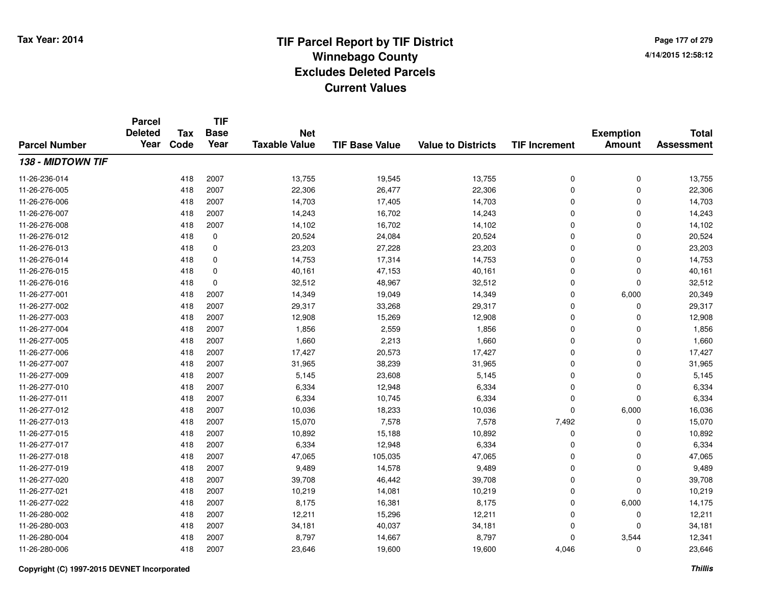**Page 177 of 2794/14/2015 12:58:12**

| <b>Parcel Number</b> | <b>Parcel</b><br><b>Deleted</b><br>Year | <b>Tax</b><br>Code | <b>TIF</b><br><b>Base</b><br>Year | <b>Net</b><br><b>Taxable Value</b> | <b>TIF Base Value</b> | <b>Value to Districts</b> | <b>TIF Increment</b> | <b>Exemption</b><br><b>Amount</b> | <b>Total</b><br><b>Assessment</b> |
|----------------------|-----------------------------------------|--------------------|-----------------------------------|------------------------------------|-----------------------|---------------------------|----------------------|-----------------------------------|-----------------------------------|
|                      |                                         |                    |                                   |                                    |                       |                           |                      |                                   |                                   |
| 11-26-236-014        |                                         | 418                | 2007                              | 13,755                             | 19,545                | 13,755                    | 0                    | 0                                 | 13,755                            |
| 11-26-276-005        |                                         | 418                | 2007                              | 22,306                             | 26,477                | 22,306                    | 0                    | $\mathbf 0$                       | 22,306                            |
| 11-26-276-006        |                                         | 418                | 2007                              | 14,703                             | 17,405                | 14,703                    | 0                    | 0                                 | 14,703                            |
| 11-26-276-007        |                                         | 418                | 2007                              | 14,243                             | 16,702                | 14,243                    | 0                    | $\mathbf 0$                       | 14,243                            |
| 11-26-276-008        |                                         | 418                | 2007                              | 14,102                             | 16,702                | 14,102                    | 0                    | 0                                 | 14,102                            |
| 11-26-276-012        |                                         | 418                | $\mathbf 0$                       | 20,524                             | 24,084                | 20,524                    | 0                    | $\mathbf 0$                       | 20,524                            |
| 11-26-276-013        |                                         | 418                | 0                                 | 23,203                             | 27,228                | 23,203                    | 0                    | $\mathbf 0$                       | 23,203                            |
| 11-26-276-014        |                                         | 418                | $\mathbf 0$                       | 14,753                             | 17,314                | 14,753                    | 0                    | $\mathbf 0$                       | 14,753                            |
| 11-26-276-015        |                                         | 418                | 0                                 | 40,161                             | 47,153                | 40,161                    | 0                    | 0                                 | 40,161                            |
| 11-26-276-016        |                                         | 418                | 0                                 | 32,512                             | 48,967                | 32,512                    | 0                    | 0                                 | 32,512                            |
| 11-26-277-001        |                                         | 418                | 2007                              | 14,349                             | 19,049                | 14,349                    | 0                    | 6,000                             | 20,349                            |
| 11-26-277-002        |                                         | 418                | 2007                              | 29,317                             | 33,268                | 29,317                    | 0                    | 0                                 | 29,317                            |
| 11-26-277-003        |                                         | 418                | 2007                              | 12,908                             | 15,269                | 12,908                    | 0                    | 0                                 | 12,908                            |
| 11-26-277-004        |                                         | 418                | 2007                              | 1,856                              | 2,559                 | 1,856                     | 0                    | 0                                 | 1,856                             |
| 11-26-277-005        |                                         | 418                | 2007                              | 1,660                              | 2,213                 | 1,660                     | 0                    | 0                                 | 1,660                             |
| 11-26-277-006        |                                         | 418                | 2007                              | 17,427                             | 20,573                | 17,427                    | 0                    | $\mathbf 0$                       | 17,427                            |
| 11-26-277-007        |                                         | 418                | 2007                              | 31,965                             | 38,239                | 31,965                    | 0                    | 0                                 | 31,965                            |
| 11-26-277-009        |                                         | 418                | 2007                              | 5,145                              | 23,608                | 5,145                     | 0                    | 0                                 | 5,145                             |
| 11-26-277-010        |                                         | 418                | 2007                              | 6,334                              | 12,948                | 6,334                     | 0                    | 0                                 | 6,334                             |
| 11-26-277-011        |                                         | 418                | 2007                              | 6,334                              | 10,745                | 6,334                     | 0                    | $\mathbf 0$                       | 6,334                             |
| 11-26-277-012        |                                         | 418                | 2007                              | 10,036                             | 18,233                | 10,036                    | 0                    | 6,000                             | 16,036                            |
| 11-26-277-013        |                                         | 418                | 2007                              | 15,070                             | 7,578                 | 7,578                     | 7,492                | 0                                 | 15,070                            |
| 11-26-277-015        |                                         | 418                | 2007                              | 10,892                             | 15,188                | 10,892                    | 0                    | 0                                 | 10,892                            |
| 11-26-277-017        |                                         | 418                | 2007                              | 6,334                              | 12,948                | 6,334                     | 0                    | $\mathbf 0$                       | 6,334                             |
| 11-26-277-018        |                                         | 418                | 2007                              | 47,065                             | 105,035               | 47,065                    | 0                    | $\mathbf 0$                       | 47,065                            |
| 11-26-277-019        |                                         | 418                | 2007                              | 9,489                              | 14,578                | 9,489                     | 0                    | 0                                 | 9,489                             |
| 11-26-277-020        |                                         | 418                | 2007                              | 39,708                             | 46,442                | 39,708                    | 0                    | $\pmb{0}$                         | 39,708                            |
| 11-26-277-021        |                                         | 418                | 2007                              | 10,219                             | 14,081                | 10,219                    | 0                    | $\mathbf 0$                       | 10,219                            |
| 11-26-277-022        |                                         | 418                | 2007                              | 8,175                              | 16,381                | 8,175                     | 0                    | 6,000                             | 14,175                            |
| 11-26-280-002        |                                         | 418                | 2007                              | 12,211                             | 15,296                | 12,211                    | 0                    | 0                                 | 12,211                            |
| 11-26-280-003        |                                         | 418                | 2007                              | 34,181                             | 40,037                | 34,181                    | 0                    | $\mathbf 0$                       | 34,181                            |
| 11-26-280-004        |                                         | 418                | 2007                              | 8,797                              | 14,667                | 8,797                     | $\Omega$             | 3,544                             | 12,341                            |
| 11-26-280-006        |                                         | 418                | 2007                              | 23,646                             | 19,600                | 19,600                    | 4,046                | $\mathbf 0$                       | 23,646                            |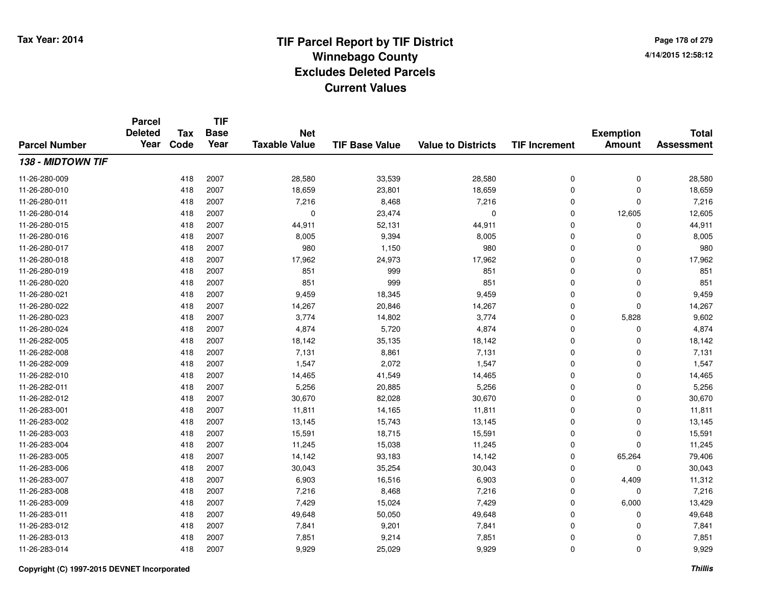**Page 178 of 2794/14/2015 12:58:12**

| <b>Parcel Number</b> | <b>Parcel</b><br><b>Deleted</b><br>Year | <b>Tax</b><br>Code | <b>TIF</b><br><b>Base</b><br>Year | <b>Net</b><br><b>Taxable Value</b> | <b>TIF Base Value</b> | <b>Value to Districts</b> | <b>TIF Increment</b> | <b>Exemption</b><br><b>Amount</b> | <b>Total</b><br><b>Assessment</b> |
|----------------------|-----------------------------------------|--------------------|-----------------------------------|------------------------------------|-----------------------|---------------------------|----------------------|-----------------------------------|-----------------------------------|
|                      |                                         |                    |                                   |                                    |                       |                           |                      |                                   |                                   |
| 11-26-280-009        |                                         | 418                | 2007                              | 28,580                             | 33,539                | 28,580                    | 0                    | 0                                 | 28,580                            |
| 11-26-280-010        |                                         | 418                | 2007                              | 18,659                             | 23,801                | 18,659                    | 0                    | 0                                 | 18,659                            |
| 11-26-280-011        |                                         | 418                | 2007                              | 7,216                              | 8,468                 | 7,216                     | 0                    | 0                                 | 7,216                             |
| 11-26-280-014        |                                         | 418                | 2007                              | $\mathbf 0$                        | 23,474                | $\mathbf 0$               | 0                    | 12,605                            | 12,605                            |
| 11-26-280-015        |                                         | 418                | 2007                              | 44,911                             | 52,131                | 44,911                    | 0                    | 0                                 | 44,911                            |
| 11-26-280-016        |                                         | 418                | 2007                              | 8,005                              | 9,394                 | 8,005                     | 0                    | 0                                 | 8,005                             |
| 11-26-280-017        |                                         | 418                | 2007                              | 980                                | 1,150                 | 980                       | 0                    | 0                                 | 980                               |
| 11-26-280-018        |                                         | 418                | 2007                              | 17,962                             | 24,973                | 17,962                    | 0                    | 0                                 | 17,962                            |
| 11-26-280-019        |                                         | 418                | 2007                              | 851                                | 999                   | 851                       | 0                    | 0                                 | 851                               |
| 11-26-280-020        |                                         | 418                | 2007                              | 851                                | 999                   | 851                       | 0                    | 0                                 | 851                               |
| 11-26-280-021        |                                         | 418                | 2007                              | 9,459                              | 18,345                | 9,459                     | 0                    | 0                                 | 9,459                             |
| 11-26-280-022        |                                         | 418                | 2007                              | 14,267                             | 20,846                | 14,267                    | 0                    | 0                                 | 14,267                            |
| 11-26-280-023        |                                         | 418                | 2007                              | 3,774                              | 14,802                | 3,774                     | 0                    | 5,828                             | 9,602                             |
| 11-26-280-024        |                                         | 418                | 2007                              | 4,874                              | 5,720                 | 4,874                     | 0                    | 0                                 | 4,874                             |
| 11-26-282-005        |                                         | 418                | 2007                              | 18,142                             | 35,135                | 18,142                    | 0                    | 0                                 | 18,142                            |
| 11-26-282-008        |                                         | 418                | 2007                              | 7,131                              | 8,861                 | 7,131                     | 0                    | 0                                 | 7,131                             |
| 11-26-282-009        |                                         | 418                | 2007                              | 1,547                              | 2,072                 | 1,547                     | 0                    | 0                                 | 1,547                             |
| 11-26-282-010        |                                         | 418                | 2007                              | 14,465                             | 41,549                | 14,465                    | 0                    | 0                                 | 14,465                            |
| 11-26-282-011        |                                         | 418                | 2007                              | 5,256                              | 20,885                | 5,256                     | 0                    | 0                                 | 5,256                             |
| 11-26-282-012        |                                         | 418                | 2007                              | 30,670                             | 82,028                | 30,670                    | 0                    | 0                                 | 30,670                            |
| 11-26-283-001        |                                         | 418                | 2007                              | 11,811                             | 14,165                | 11,811                    | 0                    | 0                                 | 11,811                            |
| 11-26-283-002        |                                         | 418                | 2007                              | 13,145                             | 15,743                | 13,145                    | 0                    | 0                                 | 13,145                            |
| 11-26-283-003        |                                         | 418                | 2007                              | 15,591                             | 18,715                | 15,591                    | 0                    | 0                                 | 15,591                            |
| 11-26-283-004        |                                         | 418                | 2007                              | 11,245                             | 15,038                | 11,245                    | 0                    | 0                                 | 11,245                            |
| 11-26-283-005        |                                         | 418                | 2007                              | 14,142                             | 93,183                | 14,142                    | 0                    | 65,264                            | 79,406                            |
| 11-26-283-006        |                                         | 418                | 2007                              | 30,043                             | 35,254                | 30,043                    | 0                    | 0                                 | 30,043                            |
| 11-26-283-007        |                                         | 418                | 2007                              | 6,903                              | 16,516                | 6,903                     | 0                    | 4,409                             | 11,312                            |
| 11-26-283-008        |                                         | 418                | 2007                              | 7,216                              | 8,468                 | 7,216                     | 0                    | 0                                 | 7,216                             |
| 11-26-283-009        |                                         | 418                | 2007                              | 7,429                              | 15,024                | 7,429                     | 0                    | 6,000                             | 13,429                            |
| 11-26-283-011        |                                         | 418                | 2007                              | 49,648                             | 50,050                | 49,648                    | 0                    | 0                                 | 49,648                            |
| 11-26-283-012        |                                         | 418                | 2007                              | 7,841                              | 9,201                 | 7,841                     | 0                    | 0                                 | 7,841                             |
| 11-26-283-013        |                                         | 418                | 2007                              | 7,851                              | 9,214                 | 7,851                     | 0                    | 0                                 | 7,851                             |
| 11-26-283-014        |                                         | 418                | 2007                              | 9,929                              | 25,029                | 9,929                     | $\overline{0}$       | 0                                 | 9,929                             |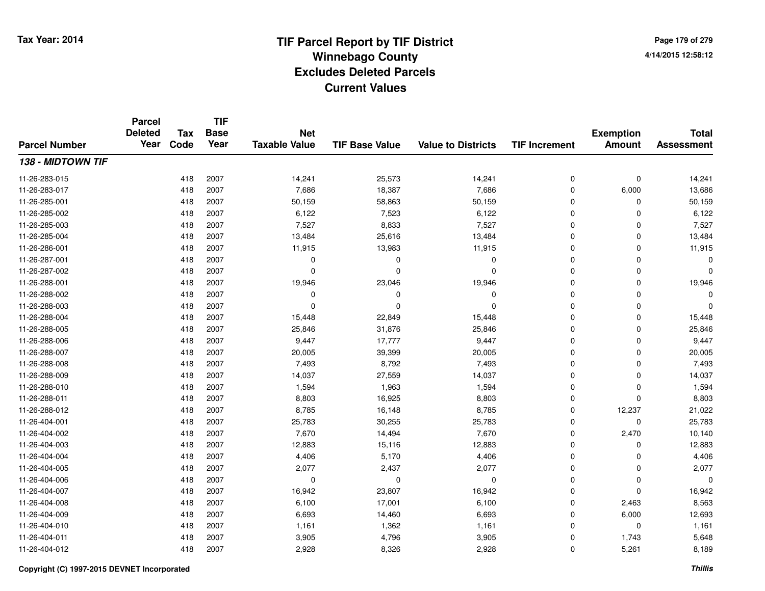**Page 179 of 2794/14/2015 12:58:12**

#### **TIF Base ValueParcel NumberTotal AssessmentExemption Amount Value to Districts TIF IncrementTIF Base YearTax CodeParcel Deleted YearNet Taxable Value138 - MIDTOWN TIF**11-26-283-015 <sup>418</sup> 14,241 <sup>2007</sup> 25,573 14,241 <sup>0</sup> <sup>0</sup> 14,241 11-26-283-017 <sup>418</sup> 7,686 <sup>2007</sup> 18,387 7,686 <sup>0</sup> 6,000 13,686 11-26-285-0011 418 2007 50,159 58,863 50,159 0 0 50,159 11-26-285-0022 418 2007 6,122 7,523 6,122 0 0 6,122 11-26-285-0033 418 2007 7,527 8,833 7,527 0 0 7,527 11-26-285-0044 1 2007 13,484 2007 25,616 13,484 2 2007 2 25,616 13,484 0 0 13,484 11-26-286-0011 418 2007 11,915 13,983 11,915 0 0 11,915 11-26-287-001 <sup>418</sup> <sup>0</sup> <sup>2007</sup> <sup>0</sup> <sup>0</sup> <sup>0</sup> <sup>0</sup> <sup>0</sup> 11-26-287-002 <sup>418</sup> <sup>0</sup> <sup>2007</sup> <sup>0</sup> <sup>0</sup> <sup>0</sup> <sup>0</sup> <sup>0</sup> 11-26-288-0011 418 2007 19,946 23,046 19,946 0 0 19,946 11-26-288-002 <sup>418</sup> <sup>0</sup> <sup>2007</sup> <sup>0</sup> <sup>0</sup> <sup>0</sup> <sup>0</sup> <sup>0</sup> 11-26-288-003 <sup>418</sup> <sup>0</sup> <sup>2007</sup> <sup>0</sup> <sup>0</sup> <sup>0</sup> <sup>0</sup> <sup>0</sup> 11-26-288-004 <sup>418</sup> 15,448 <sup>2007</sup> 22,849 15,448 <sup>0</sup> <sup>0</sup> 15,448 11-26-288-005 <sup>418</sup> 25,846 <sup>2007</sup> 31,876 25,846 <sup>0</sup> <sup>0</sup> 25,846 11-26-288-006 <sup>418</sup> 9,447 <sup>2007</sup> 17,777 9,447 <sup>0</sup> <sup>0</sup> 9,447 11-26-288-007 <sup>418</sup> 20,005 <sup>2007</sup> 39,399 20,005 <sup>0</sup> <sup>0</sup> 20,005 11-26-288-008 <sup>418</sup> 7,493 <sup>2007</sup> 8,792 7,493 <sup>0</sup> <sup>0</sup> 7,493 11-26-288-009 <sup>418</sup> 14,037 <sup>2007</sup> 27,559 14,037 <sup>0</sup> <sup>0</sup> 14,037 11-26-288-0100 418 2007 1,594 1,963 1,594 0 0 1,594 11-26-288-0111 418 2007 8,803 16,925 8,803 0 0 8,803 11-26-288-012 <sup>418</sup> 8,785 <sup>2007</sup> 16,148 8,785 <sup>0</sup> 12,237 21,022 11-26-404-0011 418 2007 25,783 30,255 25,783 0 0 25,783 11-26-404-0022 418 2007 7,670 14,494 7,670 0 2,470 10,140 11-26-404-0033 418 2007 12,883 15,116 12,883 0 12,883 11-26-404-004 <sup>418</sup> 4,406 <sup>2007</sup> 5,170 4,406 <sup>0</sup> <sup>0</sup> 4,406 11-26-404-005 <sup>418</sup> 2,077 <sup>2007</sup> 2,437 2,077 <sup>0</sup> <sup>0</sup> 2,077 11-26-404-006 <sup>418</sup> <sup>0</sup> <sup>2007</sup> <sup>0</sup> <sup>0</sup> <sup>0</sup> <sup>0</sup> <sup>0</sup> 11-26-404-007 <sup>418</sup> 16,942 <sup>2007</sup> 23,807 16,942 <sup>0</sup> <sup>0</sup> 16,942 11-26-404-0088 418 2007 6,100 17,001 6,100 0 2,463 8,563 11-26-404-0099 418 2007 6,693 14,460 6,693 0 6,000 12,693 11-26-404-0100 418 2007 1,161 1,362 1,161 0 0 1,161 11-26-404-0111 418 2007 3,905 4,796 3,905 0 1,743 5,648 11-26-404-0122 418 2007 2,928 8,326 2,928 0 5,261 8,189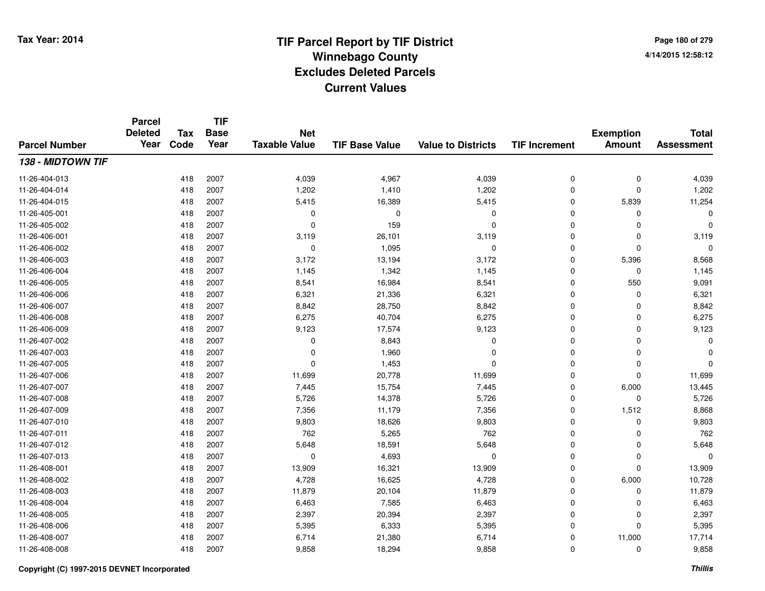**Page 180 of 2794/14/2015 12:58:12**

#### **TIF Base ValueParcel NumberTotal AssessmentExemption Amount Value to Districts TIF IncrementTIF Base YearTax CodeParcel Deleted YearNet Taxable Value138 - MIDTOWN TIF**11-26-404-0133 418 2007 4,039 4,967 4,039 0 0 4,039 11-26-404-014 <sup>418</sup> 1,202 <sup>2007</sup> 1,410 1,202 <sup>0</sup> <sup>0</sup> 1,202 11-26-404-0155 418 2007 5,415 16,389 5,415 0 5,839 11,254 11-26-405-001 <sup>418</sup> <sup>0</sup> <sup>2007</sup> <sup>0</sup> <sup>0</sup> <sup>0</sup> <sup>0</sup> <sup>0</sup> 11-26-405-0022 418 2007 0 159 0 0 0 0 11-26-406-0011 418 2007 3,119 26,101 3,119 0 0 3,119 11-26-406-002 <sup>418</sup> <sup>0</sup> <sup>2007</sup> 1,095 <sup>0</sup> <sup>0</sup> <sup>0</sup> <sup>0</sup> 11-26-406-003 <sup>418</sup> 3,172 <sup>2007</sup> 13,194 3,172 <sup>0</sup> 5,396 8,568 11-26-406-004 <sup>418</sup> 1,145 <sup>2007</sup> 1,342 1,145 <sup>0</sup> <sup>0</sup> 1,145 11-26-406-005 <sup>418</sup> 8,541 <sup>2007</sup> 16,984 8,541 <sup>0</sup> <sup>550</sup> 9,091 11-26-406-0066 418 2007 6,321 21,336 6,321 0 0 6,321 11-26-406-0077 418 2007 8,842 28,750 8,842 0 0 8,842 11-26-406-008 <sup>418</sup> 6,275 <sup>2007</sup> 40,704 6,275 <sup>0</sup> <sup>0</sup> 6,275 11-26-406-009 <sup>418</sup> 9,123 <sup>2007</sup> 17,574 9,123 <sup>0</sup> <sup>0</sup> 9,123 11-26-407-002 <sup>418</sup> <sup>0</sup> <sup>2007</sup> 8,843 <sup>0</sup> <sup>0</sup> <sup>0</sup> <sup>0</sup> 11-26-407-003 <sup>418</sup> <sup>0</sup> <sup>2007</sup> 1,960 <sup>0</sup> <sup>0</sup> <sup>0</sup> <sup>0</sup> 11-26-407-005 <sup>418</sup> <sup>0</sup> <sup>2007</sup> 1,453 <sup>0</sup> <sup>0</sup> <sup>0</sup> <sup>0</sup> 11-26-407-0066 418 2007 11,699 20,778 11,699 0 0 11,699 11-26-407-007 <sup>418</sup> 7,445 <sup>2007</sup> 15,754 7,445 <sup>0</sup> 6,000 13,445 11-26-407-008 <sup>418</sup> 5,726 <sup>2007</sup> 14,378 5,726 <sup>0</sup> <sup>0</sup> 5,726 11-26-407-0099 418 2007 7,356 11,179 7,356 0 1,512 8,868 11-26-407-0100 418 2007 9,803 18,626 9,803 0 0 9,803 11-26-407-0111 418 2007 762 5,265 762 0 0 762 11-26-407-0122 418 2007 5,648 18,591 5,648 0 0 5,648 11-26-407-013 <sup>418</sup> <sup>0</sup> <sup>2007</sup> 4,693 <sup>0</sup> <sup>0</sup> <sup>0</sup> <sup>0</sup> 11-26-408-0011 418 2007 13,909 16,321 13,909 0 0 13,909 11-26-408-0022 418 2007 4,728 16,625 4,728 0 6,000 10,728 11-26-408-0033 418 2007 11,879 20,104 11,879 0 0 11,879 11-26-408-0044 418 2007 6,463 7,585 6,463 0 6,463 11-26-408-005 <sup>418</sup> 2,397 <sup>2007</sup> 20,394 2,397 <sup>0</sup> <sup>0</sup> 2,397 11-26-408-006 <sup>418</sup> 5,395 <sup>2007</sup> 6,333 5,395 <sup>0</sup> <sup>0</sup> 5,395 11-26-408-007 <sup>418</sup> 6,714 <sup>2007</sup> 21,380 6,714 <sup>0</sup> 11,000 17,714 11-26-408-008<sup>418</sup> 9,858 <sup>2007</sup> 18,294 9,858 <sup>0</sup> <sup>0</sup> 9,858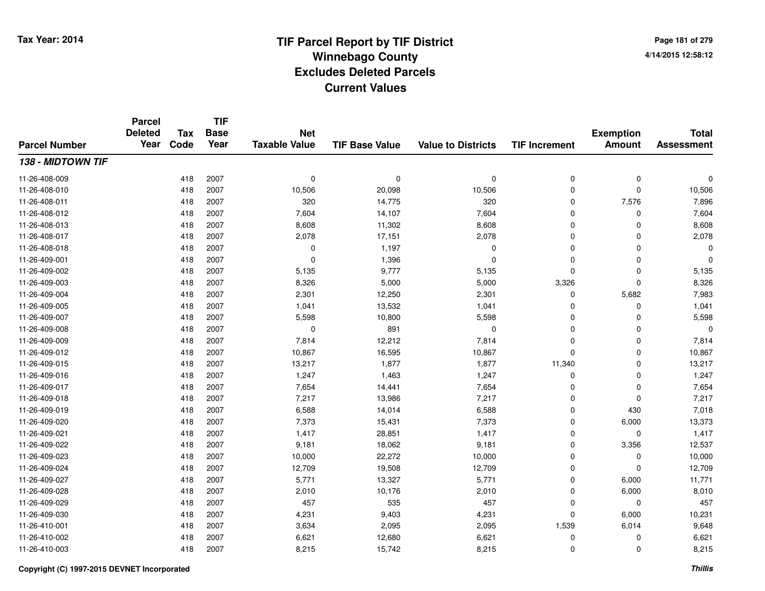**Page 181 of 2794/14/2015 12:58:12**

#### **TIF Base ValueParcel NumberTotal AssessmentExemption Amount Value to Districts TIF IncrementTIF Base YearTax CodeParcel Deleted YearNet Taxable Value138 - MIDTOWN TIF**11-26-408-009 <sup>418</sup> <sup>0</sup> <sup>2007</sup> <sup>0</sup> <sup>0</sup> <sup>0</sup> <sup>0</sup> <sup>0</sup> 11-26-408-0100 418 2007 10,506 20,098 10,506 0 0 10,506 11-26-408-0111 418 2007 320 14,775 320 0 7,576 7,896 11-26-408-0122 418 2007 7,604 14,107 7,604 0 0 7,604 11-26-408-013 $3$  2007 2007 8,608 11,302 8,608 8,608 0 0 0 8,608 11-26-408-017 <sup>418</sup> 2,078 <sup>2007</sup> 17,151 2,078 <sup>0</sup> <sup>0</sup> 2,078 11-26-408-0188 418 2007 0 1,197 0 0 0 0 11-26-409-0011 and the contract of the contract of the contract of the contract of the contract of  $1,396$  and  $0$  of  $0$  of  $0$  of  $0$  of  $0$  of  $0$  of  $0$  of  $0$  of  $0$  of  $0$  of  $0$  of  $0$  of  $0$  of  $0$  of  $0$  of  $0$  of  $0$  of  $0$  11-26-409-0022 418 2007 5,135 9,777 5,135 0 0 5,135 11-26-409-0033 418 2007 8,326 5,000 5,000 3,326 0 8,326 11-26-409-0044 2007 2,301 12,250 2,301 2,301 3,000 2,301 2,301 2,300 2,301 2,303 2,983 11-26-409-005 <sup>418</sup> 1,041 <sup>2007</sup> 13,532 1,041 <sup>0</sup> <sup>0</sup> 1,041 11-26-409-007 <sup>418</sup> 5,598 <sup>2007</sup> 10,800 5,598 <sup>0</sup> <sup>0</sup> 5,598 11-26-409-0088 418 2007 0 891 0 0 0 0 11-26-409-0099 418 2007 7,814 12,212 7,814 0 0 7,814 11-26-409-0122 2 418 2007 10,867 16,595 10,867 0 0 10,867 11-26-409-015 <sup>418</sup> 13,217 <sup>2007</sup> 1,877 1,877 11,340 <sup>0</sup> 13,217 11-26-409-016 <sup>418</sup> 1,247 <sup>2007</sup> 1,463 1,247 <sup>0</sup> <sup>0</sup> 1,247 11-26-409-0177 418 2007 7,654 14,441 7,654 0 0 7,654 11-26-409-018 <sup>418</sup> 7,217 <sup>2007</sup> 13,986 7,217 <sup>0</sup> <sup>0</sup> 7,217 11-26-409-0199 418 2007 6,588 14,014 6,588 0 430 7,018 11-26-409-0200 418 2007 7,373 15,431 7,373 0 6,000 13,373 11-26-409-0211 418 2007 1,417 28,851 1,417 0 0 1,417 11-26-409-022 <sup>418</sup> 9,181 <sup>2007</sup> 18,062 9,181 <sup>0</sup> 3,356 12,537 11-26-409-0233 418 2007 10,000 22,272 10,000 0 0 10,000 11-26-409-024 <sup>418</sup> 12,709 <sup>2007</sup> 19,508 12,709 <sup>0</sup> <sup>0</sup> 12,709 11-26-409-027 <sup>418</sup> 5,771 <sup>2007</sup> 13,327 5,771 <sup>0</sup> 6,000 11,771 11-26-409-028 <sup>418</sup> 2,010 <sup>2007</sup> 10,176 2,010 <sup>0</sup> 6,000 8,010 11-26-409-029 <sup>418</sup> <sup>457</sup> <sup>2007</sup> <sup>535</sup> <sup>457</sup> <sup>0</sup> <sup>0</sup> <sup>457</sup> 11-26-409-0300 418 2007 4,231 9,403 4,231 0 6,000 10,231 11-26-410-0011 418 2007 3,634 2,095 2,095 1,539 6,014 9,648 11-26-410-0022 418 2007 6,621 12,680 6,621 0 0 6,621 11-26-410-0033 418 2007 8,215 15,742 8,215 0 0 8,215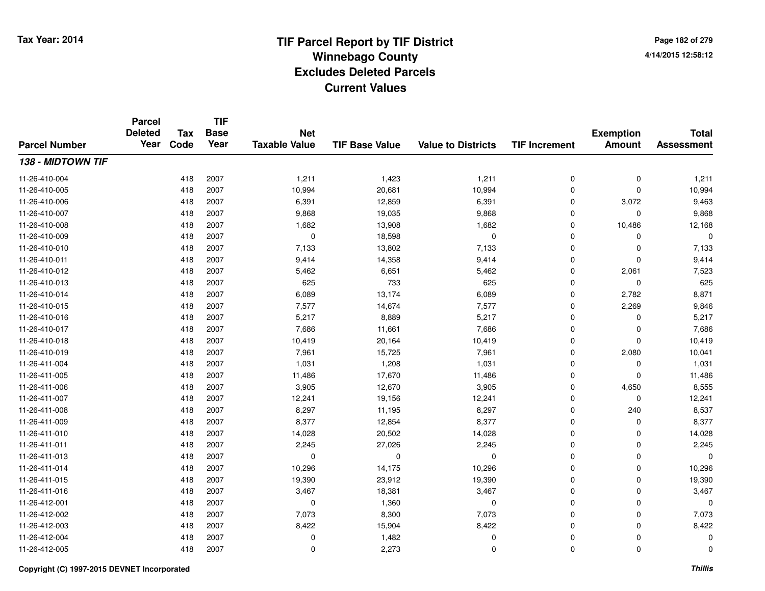**TIF**

**Parcel**

**Page 182 of 2794/14/2015 12:58:12**

| <b>Parcel Number</b> | <b>Deleted</b><br>Year | Tax<br>Code | <b>Base</b><br>Year | <b>Net</b><br><b>Taxable Value</b> | <b>TIF Base Value</b> | <b>Value to Districts</b> | <b>TIF Increment</b> | <b>Exemption</b><br><b>Amount</b> | <b>Total</b><br><b>Assessment</b> |
|----------------------|------------------------|-------------|---------------------|------------------------------------|-----------------------|---------------------------|----------------------|-----------------------------------|-----------------------------------|
| 138 - MIDTOWN TIF    |                        |             |                     |                                    |                       |                           |                      |                                   |                                   |
| 11-26-410-004        |                        | 418         | 2007                | 1,211                              | 1,423                 | 1,211                     | 0                    | 0                                 | 1,211                             |
| 11-26-410-005        |                        | 418         | 2007                | 10,994                             | 20,681                | 10,994                    | 0                    | 0                                 | 10,994                            |
| 11-26-410-006        |                        | 418         | 2007                | 6,391                              | 12,859                | 6,391                     | 0                    | 3,072                             | 9,463                             |
| 11-26-410-007        |                        | 418         | 2007                | 9,868                              | 19,035                | 9,868                     | 0                    | 0                                 | 9,868                             |
| 11-26-410-008        |                        | 418         | 2007                | 1,682                              | 13,908                | 1,682                     | 0                    | 10,486                            | 12,168                            |
| 11-26-410-009        |                        | 418         | 2007                | $\mathbf 0$                        | 18,598                | $\mathbf 0$               | 0                    | 0                                 | $\Omega$                          |
| 11-26-410-010        |                        | 418         | 2007                | 7,133                              | 13,802                | 7,133                     | 0                    | 0                                 | 7,133                             |
| 11-26-410-011        |                        | 418         | 2007                | 9,414                              | 14,358                | 9,414                     | 0                    | 0                                 | 9,414                             |
| 11-26-410-012        |                        | 418         | 2007                | 5,462                              | 6,651                 | 5,462                     | 0                    | 2,061                             | 7,523                             |
| 11-26-410-013        |                        | 418         | 2007                | 625                                | 733                   | 625                       | 0                    | 0                                 | 625                               |
| 11-26-410-014        |                        | 418         | 2007                | 6,089                              | 13,174                | 6,089                     | 0                    | 2,782                             | 8,871                             |
| 11-26-410-015        |                        | 418         | 2007                | 7,577                              | 14,674                | 7,577                     | 0                    | 2,269                             | 9,846                             |
| 11-26-410-016        |                        | 418         | 2007                | 5,217                              | 8,889                 | 5,217                     | 0                    | 0                                 | 5,217                             |
| 11-26-410-017        |                        | 418         | 2007                | 7,686                              | 11,661                | 7,686                     | 0                    | 0                                 | 7,686                             |
| 11-26-410-018        |                        | 418         | 2007                | 10,419                             | 20,164                | 10,419                    | 0                    | 0                                 | 10,419                            |
| 11-26-410-019        |                        | 418         | 2007                | 7,961                              | 15,725                | 7,961                     | 0                    | 2,080                             | 10,041                            |
| 11-26-411-004        |                        | 418         | 2007                | 1,031                              | 1,208                 | 1,031                     | 0                    | 0                                 | 1,031                             |
| 11-26-411-005        |                        | 418         | 2007                | 11,486                             | 17,670                | 11,486                    | 0                    | 0                                 | 11,486                            |
| 11-26-411-006        |                        | 418         | 2007                | 3,905                              | 12,670                | 3,905                     | 0                    | 4,650                             | 8,555                             |
| 11-26-411-007        |                        | 418         | 2007                | 12,241                             | 19,156                | 12,241                    | 0                    | 0                                 | 12,241                            |
| 11-26-411-008        |                        | 418         | 2007                | 8,297                              | 11,195                | 8,297                     | 0                    | 240                               | 8,537                             |
| 11-26-411-009        |                        | 418         | 2007                | 8,377                              | 12,854                | 8,377                     | 0                    | 0                                 | 8,377                             |
| 11-26-411-010        |                        | 418         | 2007                | 14,028                             | 20,502                | 14,028                    | 0                    | 0                                 | 14,028                            |
| 11-26-411-011        |                        | 418         | 2007                | 2,245                              | 27,026                | 2,245                     | 0                    | 0                                 | 2,245                             |
| 11-26-411-013        |                        | 418         | 2007                | 0                                  | 0                     | 0                         | 0                    | 0                                 | $\Omega$                          |
| 11-26-411-014        |                        | 418         | 2007                | 10,296                             | 14,175                | 10,296                    | 0                    | 0                                 | 10,296                            |
| 11-26-411-015        |                        | 418         | 2007                | 19,390                             | 23,912                | 19,390                    | 0                    | 0                                 | 19,390                            |
| 11-26-411-016        |                        | 418         | 2007                | 3,467                              | 18,381                | 3,467                     | 0                    | 0                                 | 3,467                             |
| 11-26-412-001        |                        | 418         | 2007                | 0                                  | 1,360                 | 0                         | 0                    | 0                                 | $\mathbf 0$                       |
| 11-26-412-002        |                        | 418         | 2007                | 7,073                              | 8,300                 | 7,073                     | 0                    | 0                                 | 7,073                             |
| 11-26-412-003        |                        | 418         | 2007                | 8,422                              | 15,904                | 8,422                     | 0                    | 0                                 | 8,422                             |
| 11-26-412-004        |                        | 418         | 2007                | 0                                  | 1,482                 | 0                         | 0                    | 0                                 | $\Omega$                          |
| 11-26-412-005        |                        | 418         | 2007                | 0                                  | 2,273                 | 0                         | 0                    | 0                                 | 0                                 |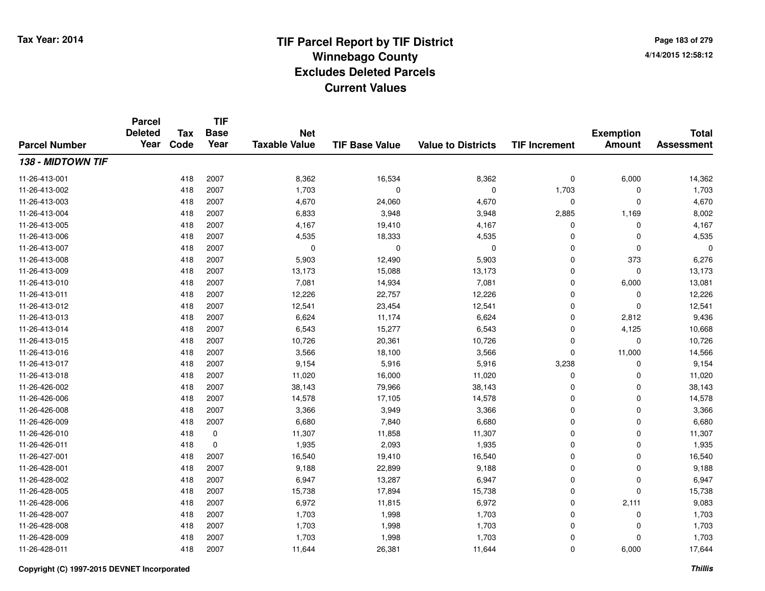**Page 183 of 2794/14/2015 12:58:12**

#### **TIF Base ValueParcel NumberTotal AssessmentExemption Amount Value to Districts TIF IncrementTIF Base YearTax CodeParcel Deleted YearNet Taxable Value138 - MIDTOWN TIF**11-26-413-0011 418 2007 8,362 16,534 8,362 0 6,000 14,362 11-26-413-002 <sup>418</sup> 1,703 <sup>2007</sup> <sup>0</sup> <sup>0</sup> 1,703 <sup>0</sup> 1,703 11-26-413-0033 418 2007 4,670 24,060 4,670 0 0 4,670 11-26-413-0044 2,885 2007 6,833 3,948 3,948 2,885 1,169 8,002 11-26-413-005 <sup>418</sup> 4,167 <sup>2007</sup> 19,410 4,167 <sup>0</sup> <sup>0</sup> 4,167 11-26-413-0066 418 2007 4,535 18,333 4,535 0 0 4,535 11-26-413-007 <sup>418</sup> <sup>0</sup> <sup>2007</sup> <sup>0</sup> <sup>0</sup> <sup>0</sup> <sup>0</sup> <sup>0</sup> 11-26-413-008 <sup>418</sup> 5,903 <sup>2007</sup> 12,490 5,903 <sup>0</sup> <sup>373</sup> 6,276 11-26-413-009 <sup>418</sup> 13,173 <sup>2007</sup> 15,088 13,173 <sup>0</sup> <sup>0</sup> 13,173 11-26-413-0100 418 2007 7,081 14,934 7,081 0 6,000 13,081 11-26-413-0111 418 2007 12,226 22,757 12,226 0 0 12,226 11-26-413-0122 418 2007 12,541 23,454 12,541 0 0 12,541 11-26-413-0133 418 2007 6,624 11,174 6,624 0 2,812 9,436 11-26-413-014 <sup>418</sup> 6,543 <sup>2007</sup> 15,277 6,543 <sup>0</sup> 4,125 10,668 11-26-413-015 <sup>418</sup> 10,726 <sup>2007</sup> 20,361 10,726 <sup>0</sup> <sup>0</sup> 10,726 11-26-413-0166 418 2007 3,566 18,100 3,566 0 11,000 14,566 11-26-413-017 <sup>418</sup> 9,154 <sup>2007</sup> 5,916 5,916 3,238 <sup>0</sup> 9,154 11-26-413-018 <sup>418</sup> 11,020 <sup>2007</sup> 16,000 11,020 <sup>0</sup> <sup>0</sup> 11,020 11-26-426-0022 418 2007 38,143 79,966 38,143 0 0 38,143 11-26-426-0066 418 2007 14,578 17,105 14,578 0 0 14,578 11-26-426-0088 418 2007 3,366 3,949 3,366 0 0 3,366 11-26-426-0099 418 2007 6,680 7,840 6,680 0 0 6,680 11-26-426-0100 418 0 11,307 11,858 11,307 0 0 11,307 11-26-426-0111 418 0 1,935 2,093 1,935 0 0 1,935 11-26-427-0011 418 2007 16,540 19,410 16,540 0 0 16,540 11-26-428-0011 418 2007 9,188 22,899 9,188 0 0 9,188 11-26-428-0022 418 2007 6,947 13,287 6,947 0 0 6,947 11-26-428-005 <sup>418</sup> 15,738 <sup>2007</sup> 17,894 15,738 <sup>0</sup> <sup>0</sup> 15,738 11-26-428-0066 418 2007 6,972 11,815 6,972 0 2,111 9,083 11-26-428-007 <sup>418</sup> 1,703 <sup>2007</sup> 1,998 1,703 <sup>0</sup> <sup>0</sup> 1,703 11-26-428-008 <sup>418</sup> 1,703 <sup>2007</sup> 1,998 1,703 <sup>0</sup> <sup>0</sup> 1,703 11-26-428-009 <sup>418</sup> 1,703 <sup>2007</sup> 1,998 1,703 <sup>0</sup> <sup>0</sup> 1,703 11-26-428-0111 418 2007 11,644 26,381 11,644 0 6,000 17,644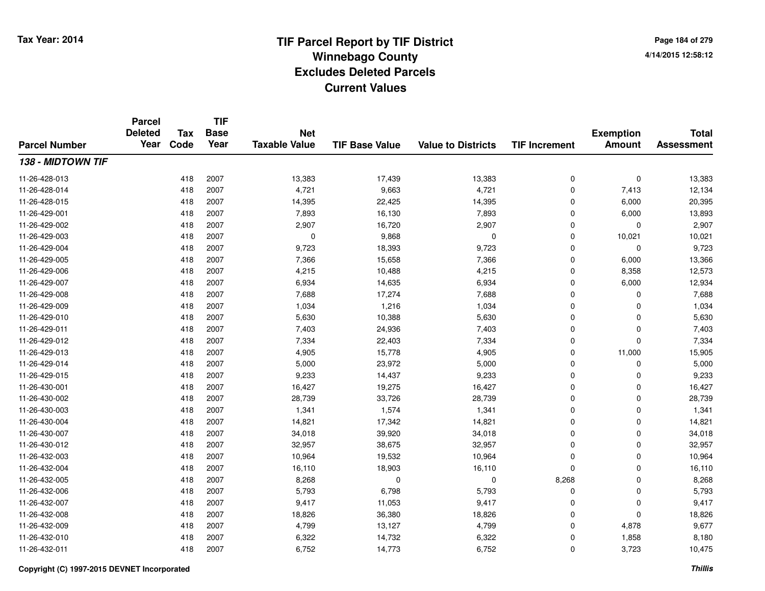**Page 184 of 2794/14/2015 12:58:12**

|                      | <b>Parcel</b><br><b>Deleted</b> | <b>Tax</b> | <b>TIF</b><br><b>Base</b> | <b>Net</b>           |                       |                           |                      | <b>Exemption</b> | <b>Total</b>      |
|----------------------|---------------------------------|------------|---------------------------|----------------------|-----------------------|---------------------------|----------------------|------------------|-------------------|
| <b>Parcel Number</b> | Year                            | Code       | Year                      | <b>Taxable Value</b> | <b>TIF Base Value</b> | <b>Value to Districts</b> | <b>TIF Increment</b> | <b>Amount</b>    | <b>Assessment</b> |
| 138 - MIDTOWN TIF    |                                 |            |                           |                      |                       |                           |                      |                  |                   |
| 11-26-428-013        |                                 | 418        | 2007                      | 13,383               | 17,439                | 13,383                    | 0                    | 0                | 13,383            |
| 11-26-428-014        |                                 | 418        | 2007                      | 4,721                | 9,663                 | 4,721                     | 0                    | 7,413            | 12,134            |
| 11-26-428-015        |                                 | 418        | 2007                      | 14,395               | 22,425                | 14,395                    | 0                    | 6,000            | 20,395            |
| 11-26-429-001        |                                 | 418        | 2007                      | 7,893                | 16,130                | 7,893                     | 0                    | 6,000            | 13,893            |
| 11-26-429-002        |                                 | 418        | 2007                      | 2,907                | 16,720                | 2,907                     | 0                    | 0                | 2,907             |
| 11-26-429-003        |                                 | 418        | 2007                      | 0                    | 9,868                 | $\mathbf 0$               | 0                    | 10,021           | 10,021            |
| 11-26-429-004        |                                 | 418        | 2007                      | 9,723                | 18,393                | 9,723                     | 0                    | 0                | 9,723             |
| 11-26-429-005        |                                 | 418        | 2007                      | 7,366                | 15,658                | 7,366                     | 0                    | 6,000            | 13,366            |
| 11-26-429-006        |                                 | 418        | 2007                      | 4,215                | 10,488                | 4,215                     | 0                    | 8,358            | 12,573            |
| 11-26-429-007        |                                 | 418        | 2007                      | 6,934                | 14,635                | 6,934                     | 0                    | 6,000            | 12,934            |
| 11-26-429-008        |                                 | 418        | 2007                      | 7,688                | 17,274                | 7,688                     | 0                    | 0                | 7,688             |
| 11-26-429-009        |                                 | 418        | 2007                      | 1,034                | 1,216                 | 1,034                     | 0                    | 0                | 1,034             |
| 11-26-429-010        |                                 | 418        | 2007                      | 5,630                | 10,388                | 5,630                     | 0                    | 0                | 5,630             |
| 11-26-429-011        |                                 | 418        | 2007                      | 7,403                | 24,936                | 7,403                     | 0                    | 0                | 7,403             |
| 11-26-429-012        |                                 | 418        | 2007                      | 7,334                | 22,403                | 7,334                     | 0                    | 0                | 7,334             |
| 11-26-429-013        |                                 | 418        | 2007                      | 4,905                | 15,778                | 4,905                     | 0                    | 11,000           | 15,905            |
| 11-26-429-014        |                                 | 418        | 2007                      | 5,000                | 23,972                | 5,000                     | 0                    | 0                | 5,000             |
| 11-26-429-015        |                                 | 418        | 2007                      | 9,233                | 14,437                | 9,233                     | 0                    | 0                | 9,233             |
| 11-26-430-001        |                                 | 418        | 2007                      | 16,427               | 19,275                | 16,427                    | 0                    | 0                | 16,427            |
| 11-26-430-002        |                                 | 418        | 2007                      | 28,739               | 33,726                | 28,739                    | 0                    | 0                | 28,739            |
| 11-26-430-003        |                                 | 418        | 2007                      | 1,341                | 1,574                 | 1,341                     | 0                    | 0                | 1,341             |
| 11-26-430-004        |                                 | 418        | 2007                      | 14,821               | 17,342                | 14,821                    | 0                    | 0                | 14,821            |
| 11-26-430-007        |                                 | 418        | 2007                      | 34,018               | 39,920                | 34,018                    | 0                    | 0                | 34,018            |
| 11-26-430-012        |                                 | 418        | 2007                      | 32,957               | 38,675                | 32,957                    | 0                    | 0                | 32,957            |
| 11-26-432-003        |                                 | 418        | 2007                      | 10,964               | 19,532                | 10,964                    | 0                    | 0                | 10,964            |
| 11-26-432-004        |                                 | 418        | 2007                      | 16,110               | 18,903                | 16,110                    | 0                    | 0                | 16,110            |
| 11-26-432-005        |                                 | 418        | 2007                      | 8,268                | 0                     | $\pmb{0}$                 | 8,268                | 0                | 8,268             |
| 11-26-432-006        |                                 | 418        | 2007                      | 5,793                | 6,798                 | 5,793                     | 0                    | 0                | 5,793             |
| 11-26-432-007        |                                 | 418        | 2007                      | 9,417                | 11,053                | 9,417                     | 0                    | 0                | 9,417             |
| 11-26-432-008        |                                 | 418        | 2007                      | 18,826               | 36,380                | 18,826                    | 0                    | 0                | 18,826            |
| 11-26-432-009        |                                 | 418        | 2007                      | 4,799                | 13,127                | 4,799                     | 0                    | 4,878            | 9,677             |
| 11-26-432-010        |                                 | 418        | 2007                      | 6,322                | 14,732                | 6,322                     | 0                    | 1,858            | 8,180             |
| 11-26-432-011        |                                 | 418        | 2007                      | 6,752                | 14,773                | 6,752                     | 0                    | 3,723            | 10,475            |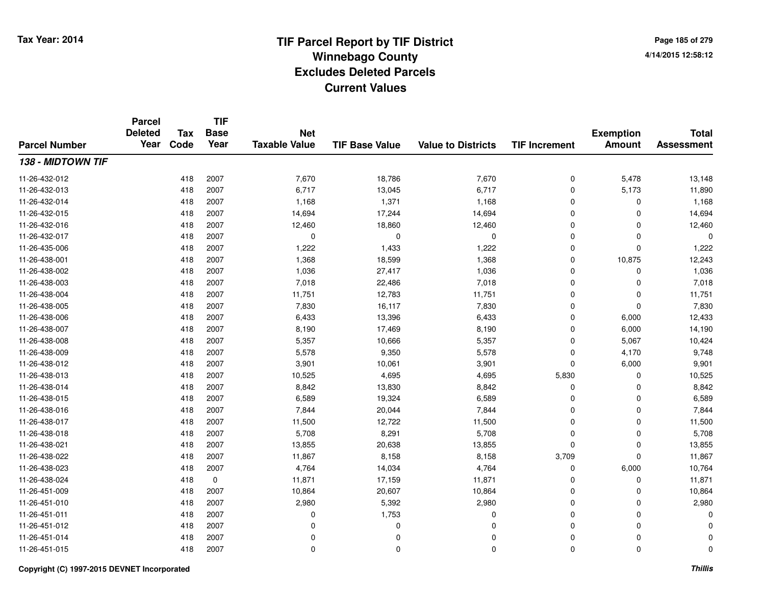**TIF**

**Parcel**

**Page 185 of 2794/14/2015 12:58:12**

| <b>Parcel Number</b> | <b>Deleted</b><br>Year | <b>Tax</b><br>Code | .<br><b>Base</b><br>Year | <b>Net</b><br><b>Taxable Value</b> | <b>TIF Base Value</b> | <b>Value to Districts</b> | <b>TIF Increment</b> | <b>Exemption</b><br><b>Amount</b> | <b>Total</b><br><b>Assessment</b> |
|----------------------|------------------------|--------------------|--------------------------|------------------------------------|-----------------------|---------------------------|----------------------|-----------------------------------|-----------------------------------|
| 138 - MIDTOWN TIF    |                        |                    |                          |                                    |                       |                           |                      |                                   |                                   |
| 11-26-432-012        |                        | 418                | 2007                     | 7,670                              | 18,786                | 7,670                     | 0                    | 5,478                             | 13,148                            |
| 11-26-432-013        |                        | 418                | 2007                     | 6,717                              | 13,045                | 6,717                     | 0                    | 5,173                             | 11,890                            |
| 11-26-432-014        |                        | 418                | 2007                     | 1,168                              | 1,371                 | 1,168                     | 0                    | 0                                 | 1,168                             |
| 11-26-432-015        |                        | 418                | 2007                     | 14,694                             | 17,244                | 14,694                    | 0                    | 0                                 | 14,694                            |
| 11-26-432-016        |                        | 418                | 2007                     | 12,460                             | 18,860                | 12,460                    | 0                    | 0                                 | 12,460                            |
| 11-26-432-017        |                        | 418                | 2007                     | $\mathbf 0$                        | $\Omega$              | $\mathbf 0$               | 0                    | 0                                 | $\Omega$                          |
| 11-26-435-006        |                        | 418                | 2007                     | 1,222                              | 1,433                 | 1,222                     | 0                    | 0                                 | 1,222                             |
| 11-26-438-001        |                        | 418                | 2007                     | 1,368                              | 18,599                | 1,368                     | 0                    | 10,875                            | 12,243                            |
| 11-26-438-002        |                        | 418                | 2007                     | 1,036                              | 27,417                | 1,036                     | 0                    | 0                                 | 1,036                             |
| 11-26-438-003        |                        | 418                | 2007                     | 7,018                              | 22,486                | 7,018                     | 0                    | 0                                 | 7,018                             |
| 11-26-438-004        |                        | 418                | 2007                     | 11,751                             | 12,783                | 11,751                    | 0                    | 0                                 | 11,751                            |
| 11-26-438-005        |                        | 418                | 2007                     | 7,830                              | 16,117                | 7,830                     | 0                    | 0                                 | 7,830                             |
| 11-26-438-006        |                        | 418                | 2007                     | 6,433                              | 13,396                | 6,433                     | 0                    | 6,000                             | 12,433                            |
| 11-26-438-007        |                        | 418                | 2007                     | 8,190                              | 17,469                | 8,190                     | 0                    | 6,000                             | 14,190                            |
| 11-26-438-008        |                        | 418                | 2007                     | 5,357                              | 10,666                | 5,357                     | 0                    | 5,067                             | 10,424                            |
| 11-26-438-009        |                        | 418                | 2007                     | 5,578                              | 9,350                 | 5,578                     | 0                    | 4,170                             | 9,748                             |
| 11-26-438-012        |                        | 418                | 2007                     | 3,901                              | 10,061                | 3,901                     | $\mathbf 0$          | 6,000                             | 9,901                             |
| 11-26-438-013        |                        | 418                | 2007                     | 10,525                             | 4,695                 | 4,695                     | 5,830                | 0                                 | 10,525                            |
| 11-26-438-014        |                        | 418                | 2007                     | 8,842                              | 13,830                | 8,842                     | 0                    | 0                                 | 8,842                             |
| 11-26-438-015        |                        | 418                | 2007                     | 6,589                              | 19,324                | 6,589                     | 0                    | 0                                 | 6,589                             |
| 11-26-438-016        |                        | 418                | 2007                     | 7,844                              | 20,044                | 7,844                     | 0                    | 0                                 | 7,844                             |
| 11-26-438-017        |                        | 418                | 2007                     | 11,500                             | 12,722                | 11,500                    | 0                    | 0                                 | 11,500                            |
| 11-26-438-018        |                        | 418                | 2007                     | 5,708                              | 8,291                 | 5,708                     | 0                    | 0                                 | 5,708                             |
| 11-26-438-021        |                        | 418                | 2007                     | 13,855                             | 20,638                | 13,855                    | 0                    | 0                                 | 13,855                            |
| 11-26-438-022        |                        | 418                | 2007                     | 11,867                             | 8,158                 | 8,158                     | 3,709                | 0                                 | 11,867                            |
| 11-26-438-023        |                        | 418                | 2007                     | 4,764                              | 14,034                | 4,764                     | $\mathbf 0$          | 6,000                             | 10,764                            |
| 11-26-438-024        |                        | 418                | $\mathbf 0$              | 11,871                             | 17,159                | 11,871                    | 0                    | 0                                 | 11,871                            |
| 11-26-451-009        |                        | 418                | 2007                     | 10,864                             | 20,607                | 10,864                    | 0                    | 0                                 | 10,864                            |
| 11-26-451-010        |                        | 418                | 2007                     | 2,980                              | 5,392                 | 2,980                     | 0                    | 0                                 | 2,980                             |
| 11-26-451-011        |                        | 418                | 2007                     | $\Omega$                           | 1,753                 | 0                         | 0                    | 0                                 | $\Omega$                          |
| 11-26-451-012        |                        | 418                | 2007                     | $\Omega$                           | $\Omega$              | 0                         | 0                    | 0                                 | ∩                                 |
| 11-26-451-014        |                        | 418                | 2007                     | $\Omega$                           | 0                     | 0                         | 0                    | 0                                 | $\Omega$                          |
| 11-26-451-015        |                        | 418                | 2007                     | 0                                  | $\mathbf 0$           | 0                         | 0                    | 0                                 | 0                                 |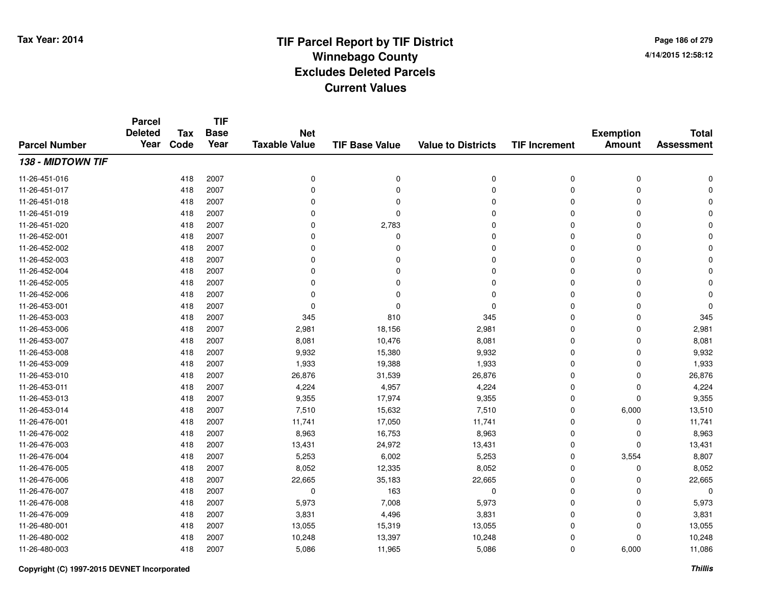#### **TIF Base ValueParcel NumberTotal AssessmentExemption Amount Value to Districts TIF IncrementTIF Base YearTax CodeParcel Deleted YearNet Taxable Value138 - MIDTOWN TIF**11-26-451-016 <sup>418</sup> <sup>0</sup> <sup>2007</sup> <sup>0</sup> <sup>0</sup> <sup>0</sup> <sup>0</sup> <sup>0</sup> 11-26-451-017 <sup>418</sup> <sup>0</sup> <sup>2007</sup> <sup>0</sup> <sup>0</sup> <sup>0</sup> <sup>0</sup> <sup>0</sup> 11-26-451-018 <sup>418</sup> <sup>0</sup> <sup>2007</sup> <sup>0</sup> <sup>0</sup> <sup>0</sup> <sup>0</sup> <sup>0</sup> 11-26-451-019 <sup>418</sup> <sup>0</sup> <sup>2007</sup> <sup>0</sup> <sup>0</sup> <sup>0</sup> <sup>0</sup> <sup>0</sup> 11-26-451-020 <sup>418</sup> <sup>0</sup> <sup>2007</sup> 2,783 <sup>0</sup> <sup>0</sup> <sup>0</sup> <sup>0</sup> 11-26-452-001 <sup>418</sup> <sup>0</sup> <sup>2007</sup> <sup>0</sup> <sup>0</sup> <sup>0</sup> <sup>0</sup> <sup>0</sup> 11-26-452-002 <sup>418</sup> <sup>0</sup> <sup>2007</sup> <sup>0</sup> <sup>0</sup> <sup>0</sup> <sup>0</sup> <sup>0</sup> 11-26-452-003 <sup>418</sup> <sup>0</sup> <sup>2007</sup> <sup>0</sup> <sup>0</sup> <sup>0</sup> <sup>0</sup> <sup>0</sup> 11-26-452-004 <sup>418</sup> <sup>0</sup> <sup>2007</sup> <sup>0</sup> <sup>0</sup> <sup>0</sup> <sup>0</sup> <sup>0</sup> 11-26-452-005 <sup>418</sup> <sup>0</sup> <sup>2007</sup> <sup>0</sup> <sup>0</sup> <sup>0</sup> <sup>0</sup> <sup>0</sup> 11-26-452-006 <sup>418</sup> <sup>0</sup> <sup>2007</sup> <sup>0</sup> <sup>0</sup> <sup>0</sup> <sup>0</sup> <sup>0</sup> 11-26-453-001 <sup>418</sup> <sup>0</sup> <sup>2007</sup> <sup>0</sup> <sup>0</sup> <sup>0</sup> <sup>0</sup> <sup>0</sup> 11-26-453-0033 418 2007 345 810 345 0 0 345 11-26-453-0066 418 2007 2,981 18,156 2,981 0 2,981 11-26-453-0077 418 2007 8,081 10,476 8,081 0 0 8,081 11-26-453-008 <sup>418</sup> 9,932 <sup>2007</sup> 15,380 9,932 <sup>0</sup> <sup>0</sup> 9,932 11-26-453-0099 418 2007 1,933 19,388 1,933 0 0 1,933 11-26-453-0100 418 2007 26,876 31,539 26,876 0 0 26,876 11-26-453-0111 418 2007 4,224 4,957 4,224 0 4,224 11-26-453-0133 418 2007 9,355 17,974 9,355 0 0 9,355 11-26-453-014 <sup>418</sup> 7,510 <sup>2007</sup> 15,632 7,510 <sup>0</sup> 6,000 13,510 11-26-476-0011 418 2007 11,741 17,050 11,741 0 0 11,741 11-26-476-0022 418 2007 8,963 16,753 8,963 0 0 8,963 11-26-476-0033 418 2007 13,431 24,972 13,431 0 0 13,431 11-26-476-004 <sup>418</sup> 5,253 <sup>2007</sup> 6,002 5,253 <sup>0</sup> 3,554 8,807 11-26-476-005 <sup>418</sup> 8,052 <sup>2007</sup> 12,335 8,052 <sup>0</sup> <sup>0</sup> 8,052 11-26-476-0066 418 2007 22,665 35,183 22,665 0 22,665 11-26-476-0077 418 2007 0 163 0 0 0 0 11-26-476-008 <sup>418</sup> 5,973 <sup>2007</sup> 7,008 5,973 <sup>0</sup> <sup>0</sup> 5,973 11-26-476-0099 418 2007 3,831 4,496 3,831 0 0 3,831 11-26-480-0011 418 2007 13,055 15,319 13,055 0 0 13,055 11-26-480-0022 2 2 2 2 3 418 2007 10,248 13,397 13,397 10,248 0 0 0 10,248 11-26-480-0033 418 2007 5,086 11,965 5,086 0 6,000 11,086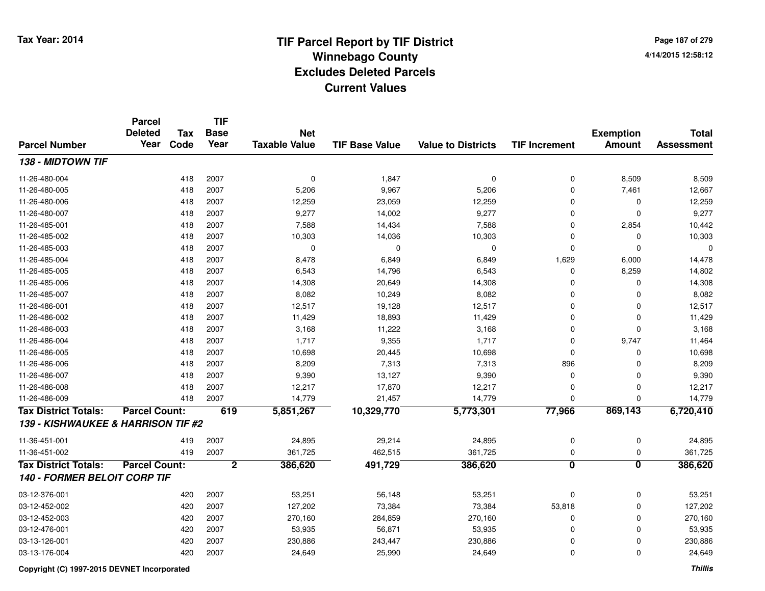**Page 187 of 2794/14/2015 12:58:12**

|                                     | <b>Parcel</b><br><b>Deleted</b> | <b>Tax</b> | <b>TIF</b><br><b>Base</b> | <b>Net</b>           |                       |                           |                         | <b>Exemption</b>        | <b>Total</b>      |
|-------------------------------------|---------------------------------|------------|---------------------------|----------------------|-----------------------|---------------------------|-------------------------|-------------------------|-------------------|
| <b>Parcel Number</b>                | Year                            | Code       | Year                      | <b>Taxable Value</b> | <b>TIF Base Value</b> | <b>Value to Districts</b> | <b>TIF Increment</b>    | <b>Amount</b>           | <b>Assessment</b> |
| 138 - MIDTOWN TIF                   |                                 |            |                           |                      |                       |                           |                         |                         |                   |
| 11-26-480-004                       |                                 | 418        | 2007                      | $\mathbf 0$          | 1,847                 | $\mathbf 0$               | 0                       | 8,509                   | 8,509             |
| 11-26-480-005                       |                                 | 418        | 2007                      | 5,206                | 9,967                 | 5,206                     | 0                       | 7,461                   | 12,667            |
| 11-26-480-006                       |                                 | 418        | 2007                      | 12,259               | 23,059                | 12,259                    | 0                       | $\mathbf 0$             | 12,259            |
| 11-26-480-007                       |                                 | 418        | 2007                      | 9,277                | 14,002                | 9,277                     | 0                       | $\mathbf 0$             | 9,277             |
| 11-26-485-001                       |                                 | 418        | 2007                      | 7,588                | 14,434                | 7,588                     | $\mathbf 0$             | 2,854                   | 10,442            |
| 11-26-485-002                       |                                 | 418        | 2007                      | 10,303               | 14,036                | 10,303                    | 0                       | $\Omega$                | 10,303            |
| 11-26-485-003                       |                                 | 418        | 2007                      | $\mathbf 0$          | 0                     | $\mathbf 0$               | 0                       | $\Omega$                | 0                 |
| 11-26-485-004                       |                                 | 418        | 2007                      | 8,478                | 6,849                 | 6,849                     | 1,629                   | 6,000                   | 14,478            |
| 11-26-485-005                       |                                 | 418        | 2007                      | 6,543                | 14,796                | 6,543                     | 0                       | 8,259                   | 14,802            |
| 11-26-485-006                       |                                 | 418        | 2007                      | 14,308               | 20,649                | 14,308                    | 0                       | $\Omega$                | 14,308            |
| 11-26-485-007                       |                                 | 418        | 2007                      | 8,082                | 10,249                | 8,082                     | 0                       | $\Omega$                | 8,082             |
| 11-26-486-001                       |                                 | 418        | 2007                      | 12,517               | 19,128                | 12,517                    | 0                       | 0                       | 12,517            |
| 11-26-486-002                       |                                 | 418        | 2007                      | 11,429               | 18,893                | 11,429                    | 0                       | $\mathbf 0$             | 11,429            |
| 11-26-486-003                       |                                 | 418        | 2007                      | 3,168                | 11,222                | 3,168                     | 0                       | $\mathbf 0$             | 3,168             |
| 11-26-486-004                       |                                 | 418        | 2007                      | 1,717                | 9,355                 | 1,717                     | 0                       | 9,747                   | 11,464            |
| 11-26-486-005                       |                                 | 418        | 2007                      | 10,698               | 20,445                | 10,698                    | 0                       | 0                       | 10,698            |
| 11-26-486-006                       |                                 | 418        | 2007                      | 8,209                | 7,313                 | 7,313                     | 896                     | $\Omega$                | 8,209             |
| 11-26-486-007                       |                                 | 418        | 2007                      | 9,390                | 13,127                | 9,390                     | 0                       | $\Omega$                | 9,390             |
| 11-26-486-008                       |                                 | 418        | 2007                      | 12,217               | 17,870                | 12,217                    | 0                       | 0                       | 12,217            |
| 11-26-486-009                       |                                 | 418        | 2007                      | 14,779               | 21,457                | 14,779                    | 0                       | $\Omega$                | 14,779            |
| <b>Tax District Totals:</b>         | <b>Parcel Count:</b>            |            | 619                       | 5,851,267            | 10,329,770            | 5,773,301                 | 77,966                  | 869,143                 | 6,720,410         |
| 139 - KISHWAUKEE & HARRISON TIF #2  |                                 |            |                           |                      |                       |                           |                         |                         |                   |
| 11-36-451-001                       |                                 | 419        | 2007                      | 24,895               | 29,214                | 24,895                    | 0                       | 0                       | 24,895            |
| 11-36-451-002                       |                                 | 419        | 2007                      | 361,725              | 462,515               | 361,725                   | 0                       | 0                       | 361,725           |
| <b>Tax District Totals:</b>         | <b>Parcel Count:</b>            |            | $\overline{2}$            | 386,620              | 491,729               | 386,620                   | $\overline{\mathbf{0}}$ | $\overline{\mathbf{0}}$ | 386,620           |
| <b>140 - FORMER BELOIT CORP TIF</b> |                                 |            |                           |                      |                       |                           |                         |                         |                   |
| 03-12-376-001                       |                                 | 420        | 2007                      | 53,251               | 56,148                | 53,251                    | 0                       | 0                       | 53,251            |
| 03-12-452-002                       |                                 | 420        | 2007                      | 127,202              | 73,384                | 73,384                    | 53,818                  | $\mathbf 0$             | 127,202           |
| 03-12-452-003                       |                                 | 420        | 2007                      | 270,160              | 284,859               | 270,160                   | 0                       | $\mathbf 0$             | 270,160           |
| 03-12-476-001                       |                                 | 420        | 2007                      | 53,935               | 56,871                | 53,935                    | 0                       | 0                       | 53,935            |
| 03-13-126-001                       |                                 | 420        | 2007                      | 230,886              | 243,447               | 230,886                   | 0                       | $\Omega$                | 230,886           |
| 03-13-176-004                       |                                 | 420        | 2007                      | 24,649               | 25,990                | 24,649                    | $\mathbf 0$             | $\Omega$                | 24,649            |

**Copyright (C) 1997-2015 DEVNET Incorporated**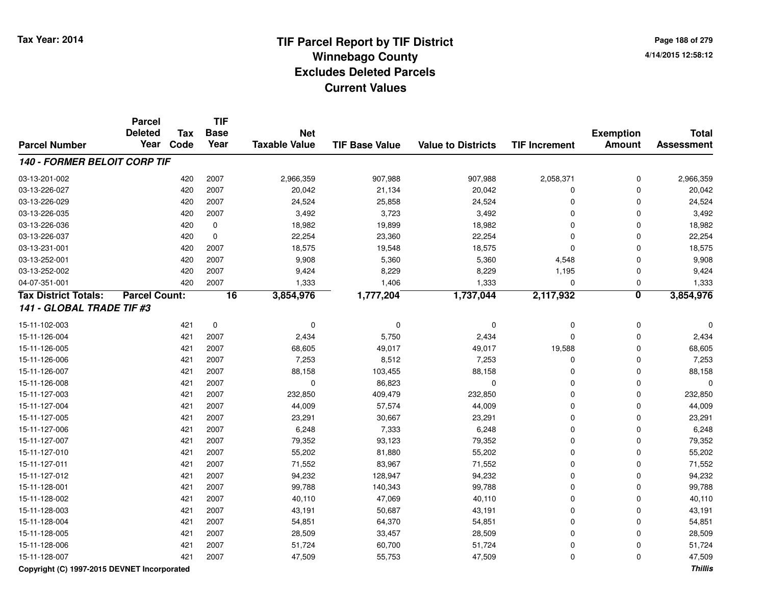**Page 188 of 2794/14/2015 12:58:12**

|                              | <b>Parcel</b><br><b>Deleted</b> | <b>Tax</b> | <b>TIF</b><br><b>Base</b> | <b>Net</b>           |                       |                           |                      | <b>Exemption</b>        | <b>Total</b>      |
|------------------------------|---------------------------------|------------|---------------------------|----------------------|-----------------------|---------------------------|----------------------|-------------------------|-------------------|
| <b>Parcel Number</b>         | Year                            | Code       | Year                      | <b>Taxable Value</b> | <b>TIF Base Value</b> | <b>Value to Districts</b> | <b>TIF Increment</b> | <b>Amount</b>           | <b>Assessment</b> |
| 140 - FORMER BELOIT CORP TIF |                                 |            |                           |                      |                       |                           |                      |                         |                   |
| 03-13-201-002                |                                 | 420        | 2007                      | 2,966,359            | 907,988               | 907,988                   | 2,058,371            | 0                       | 2,966,359         |
| 03-13-226-027                |                                 | 420        | 2007                      | 20,042               | 21,134                | 20,042                    | $\Omega$             | $\Omega$                | 20,042            |
| 03-13-226-029                |                                 | 420        | 2007                      | 24,524               | 25,858                | 24,524                    | $\Omega$             | $\Omega$                | 24,524            |
| 03-13-226-035                |                                 | 420        | 2007                      | 3,492                | 3,723                 | 3,492                     | $\Omega$             | $\Omega$                | 3,492             |
| 03-13-226-036                |                                 | 420        | 0                         | 18,982               | 19,899                | 18,982                    | $\Omega$             | $\Omega$                | 18,982            |
| 03-13-226-037                |                                 | 420        | 0                         | 22,254               | 23,360                | 22,254                    | $\Omega$             | $\Omega$                | 22,254            |
| 03-13-231-001                |                                 | 420        | 2007                      | 18,575               | 19,548                | 18,575                    | $\mathbf 0$          | $\Omega$                | 18,575            |
| 03-13-252-001                |                                 | 420        | 2007                      | 9,908                | 5,360                 | 5,360                     | 4,548                | $\mathbf 0$             | 9,908             |
| 03-13-252-002                |                                 | 420        | 2007                      | 9,424                | 8,229                 | 8,229                     | 1,195                | $\mathbf 0$             | 9,424             |
| 04-07-351-001                |                                 | 420        | 2007                      | 1,333                | 1,406                 | 1,333                     | $\mathbf 0$          | $\mathbf 0$             | 1,333             |
| <b>Tax District Totals:</b>  | <b>Parcel Count:</b>            |            | $\overline{16}$           | 3,854,976            | 1,777,204             | 1,737,044                 | 2,117,932            | $\overline{\mathbf{0}}$ | 3,854,976         |
| 141 - GLOBAL TRADE TIF #3    |                                 |            |                           |                      |                       |                           |                      |                         |                   |
| 15-11-102-003                |                                 | 421        | $\mathbf 0$               | $\mathbf 0$          | 0                     | $\mathbf 0$               | $\mathbf 0$          | $\pmb{0}$               |                   |
| 15-11-126-004                |                                 | 421        | 2007                      | 2,434                | 5,750                 | 2,434                     | $\Omega$             | $\mathbf 0$             | 2,434             |
| 15-11-126-005                |                                 | 421        | 2007                      | 68,605               | 49,017                | 49,017                    | 19,588               | $\mathbf 0$             | 68,605            |
| 15-11-126-006                |                                 | 421        | 2007                      | 7,253                | 8,512                 | 7,253                     | 0                    | $\mathbf 0$             | 7,253             |
| 15-11-126-007                |                                 | 421        | 2007                      | 88,158               | 103,455               | 88,158                    | 0                    | 0                       | 88,158            |
| 15-11-126-008                |                                 | 421        | 2007                      | $\mathbf 0$          | 86,823                | $\mathbf 0$               | $\mathbf 0$          | $\mathbf 0$             | $\mathbf 0$       |
| 15-11-127-003                |                                 | 421        | 2007                      | 232,850              | 409,479               | 232,850                   | $\mathbf 0$          | $\mathbf 0$             | 232,850           |
| 15-11-127-004                |                                 | 421        | 2007                      | 44,009               | 57,574                | 44,009                    | $\mathbf 0$          | $\mathbf 0$             | 44,009            |
| 15-11-127-005                |                                 | 421        | 2007                      | 23,291               | 30,667                | 23,291                    | $\Omega$             | $\mathbf 0$             | 23,291            |
| 15-11-127-006                |                                 | 421        | 2007                      | 6,248                | 7,333                 | 6,248                     | $\Omega$             | $\Omega$                | 6,248             |
| 15-11-127-007                |                                 | 421        | 2007                      | 79,352               | 93,123                | 79,352                    | $\Omega$             | $\Omega$                | 79,352            |
| 15-11-127-010                |                                 | 421        | 2007                      | 55,202               | 81,880                | 55,202                    | $\Omega$             | $\Omega$                | 55,202            |
| 15-11-127-011                |                                 | 421        | 2007                      | 71,552               | 83,967                | 71,552                    | $\Omega$             | $\Omega$                | 71,552            |
| 15-11-127-012                |                                 | 421        | 2007                      | 94,232               | 128,947               | 94,232                    | $\Omega$             | $\mathbf 0$             | 94,232            |
| 15-11-128-001                |                                 | 421        | 2007                      | 99,788               | 140,343               | 99,788                    | $\mathbf 0$          | $\mathbf 0$             | 99,788            |
| 15-11-128-002                |                                 | 421        | 2007                      | 40,110               | 47,069                | 40,110                    | $\mathbf 0$          | $\mathbf 0$             | 40,110            |
| 15-11-128-003                |                                 | 421        | 2007                      | 43,191               | 50,687                | 43,191                    | $\mathbf 0$          | $\mathbf 0$             | 43,191            |
| 15-11-128-004                |                                 | 421        | 2007                      | 54,851               | 64,370                | 54,851                    | $\Omega$             | $\Omega$                | 54,851            |
| 15-11-128-005                |                                 | 421        | 2007                      | 28,509               | 33,457                | 28,509                    | $\Omega$             | $\Omega$                | 28,509            |
| 15-11-128-006                |                                 | 421        | 2007                      | 51,724               | 60,700                | 51,724                    | $\Omega$             | $\Omega$                | 51,724            |
| 15-11-128-007                |                                 | 421        | 2007                      | 47,509               | 55,753                | 47,509                    | $\Omega$             | 0                       | 47,509            |

### **Copyright (C) 1997-2015 DEVNET Incorporated**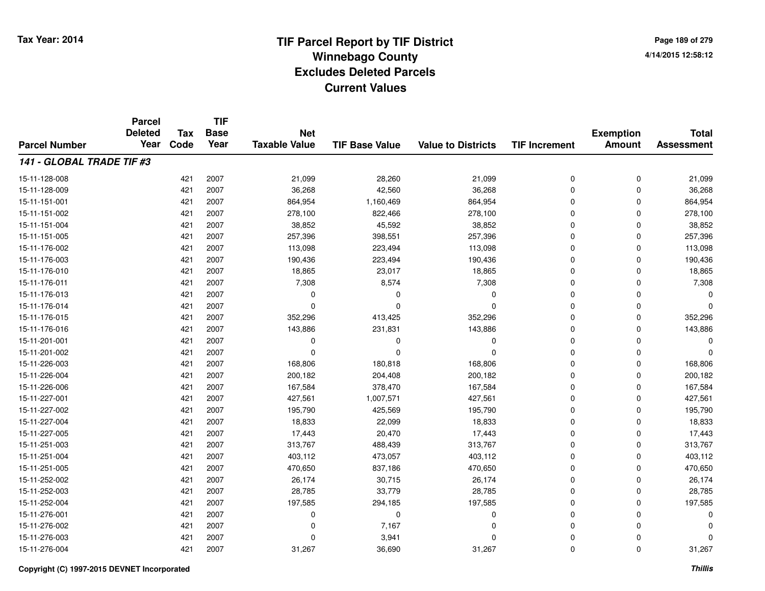**TIF**

**Parcel**

**Page 189 of 2794/14/2015 12:58:12**

|                           | aivu<br><b>Deleted</b> | <b>Tax</b> | .<br><b>Base</b> | <b>Net</b>           |                       |                           |                      | <b>Exemption</b> | <b>Total</b>      |
|---------------------------|------------------------|------------|------------------|----------------------|-----------------------|---------------------------|----------------------|------------------|-------------------|
| <b>Parcel Number</b>      | Year                   | Code       | Year             | <b>Taxable Value</b> | <b>TIF Base Value</b> | <b>Value to Districts</b> | <b>TIF Increment</b> | Amount           | <b>Assessment</b> |
| 141 - GLOBAL TRADE TIF #3 |                        |            |                  |                      |                       |                           |                      |                  |                   |
| 15-11-128-008             |                        | 421        | 2007             | 21,099               | 28,260                | 21,099                    | 0                    | 0                | 21,099            |
| 15-11-128-009             |                        | 421        | 2007             | 36,268               | 42,560                | 36,268                    | $\mathbf 0$          | 0                | 36,268            |
| 15-11-151-001             |                        | 421        | 2007             | 864,954              | 1,160,469             | 864,954                   | $\Omega$             | 0                | 864,954           |
| 15-11-151-002             |                        | 421        | 2007             | 278,100              | 822,466               | 278,100                   | $\Omega$             | 0                | 278,100           |
| 15-11-151-004             |                        | 421        | 2007             | 38,852               | 45,592                | 38,852                    | $\Omega$             | 0                | 38,852            |
| 15-11-151-005             |                        | 421        | 2007             | 257,396              | 398,551               | 257,396                   | $\Omega$             | 0                | 257,396           |
| 15-11-176-002             |                        | 421        | 2007             | 113,098              | 223,494               | 113,098                   | $\Omega$             | 0                | 113,098           |
| 15-11-176-003             |                        | 421        | 2007             | 190,436              | 223,494               | 190,436                   | $\Omega$             | 0                | 190,436           |
| 15-11-176-010             |                        | 421        | 2007             | 18,865               | 23,017                | 18,865                    | $\Omega$             | 0                | 18,865            |
| 15-11-176-011             |                        | 421        | 2007             | 7,308                | 8,574                 | 7,308                     | $\Omega$             | 0                | 7,308             |
| 15-11-176-013             |                        | 421        | 2007             | $\Omega$             | $\Omega$              | 0                         | $\Omega$             | 0                | $\Omega$          |
| 15-11-176-014             |                        | 421        | 2007             | $\Omega$             | $\Omega$              | 0                         | $\Omega$             | 0                | $\Omega$          |
| 15-11-176-015             |                        | 421        | 2007             | 352,296              | 413,425               | 352,296                   | $\Omega$             | 0                | 352,296           |
| 15-11-176-016             |                        | 421        | 2007             | 143,886              | 231,831               | 143,886                   | $\Omega$             | 0                | 143,886           |
| 15-11-201-001             |                        | 421        | 2007             | 0                    | $\Omega$              | 0                         | $\Omega$             | 0                | 0                 |
| 15-11-201-002             |                        | 421        | 2007             | $\Omega$             | $\Omega$              | 0                         | $\Omega$             | 0                | $\Omega$          |
| 15-11-226-003             |                        | 421        | 2007             | 168,806              | 180,818               | 168,806                   | $\Omega$             | 0                | 168,806           |
| 15-11-226-004             |                        | 421        | 2007             | 200,182              | 204,408               | 200,182                   | $\Omega$             | 0                | 200,182           |
| 15-11-226-006             |                        | 421        | 2007             | 167,584              | 378,470               | 167,584                   | $\Omega$             | 0                | 167,584           |
| 15-11-227-001             |                        | 421        | 2007             | 427,561              | 1,007,571             | 427,561                   | $\Omega$             | 0                | 427,561           |
| 15-11-227-002             |                        | 421        | 2007             | 195,790              | 425,569               | 195,790                   | $\Omega$             | 0                | 195,790           |
| 15-11-227-004             |                        | 421        | 2007             | 18,833               | 22,099                | 18,833                    | $\Omega$             | 0                | 18,833            |
| 15-11-227-005             |                        | 421        | 2007             | 17,443               | 20,470                | 17,443                    | $\Omega$             | 0                | 17,443            |
| 15-11-251-003             |                        | 421        | 2007             | 313,767              | 488,439               | 313,767                   | $\Omega$             | 0                | 313,767           |
| 15-11-251-004             |                        | 421        | 2007             | 403,112              | 473,057               | 403,112                   | $\Omega$             | 0                | 403,112           |
| 15-11-251-005             |                        | 421        | 2007             | 470,650              | 837,186               | 470,650                   | $\Omega$             | 0                | 470,650           |
| 15-11-252-002             |                        | 421        | 2007             | 26,174               | 30,715                | 26,174                    | $\mathbf 0$          | 0                | 26,174            |
| 15-11-252-003             |                        | 421        | 2007             | 28,785               | 33,779                | 28,785                    | $\mathbf 0$          | 0                | 28,785            |
| 15-11-252-004             |                        | 421        | 2007             | 197,585              | 294,185               | 197,585                   | $\mathbf 0$          | 0                | 197,585           |
| 15-11-276-001             |                        | 421        | 2007             | 0                    | 0                     | 0                         | $\Omega$             | 0                | 0                 |
| 15-11-276-002             |                        | 421        | 2007             | $\Omega$             | 7,167                 | 0                         | $\Omega$             | 0                | O                 |
| 15-11-276-003             |                        | 421        | 2007             | $\Omega$             | 3,941                 | 0                         | $\Omega$             | 0                | 0                 |
| 15-11-276-004             |                        | 421        | 2007             | 31,267               | 36,690                | 31,267                    | 0                    | 0                | 31,267            |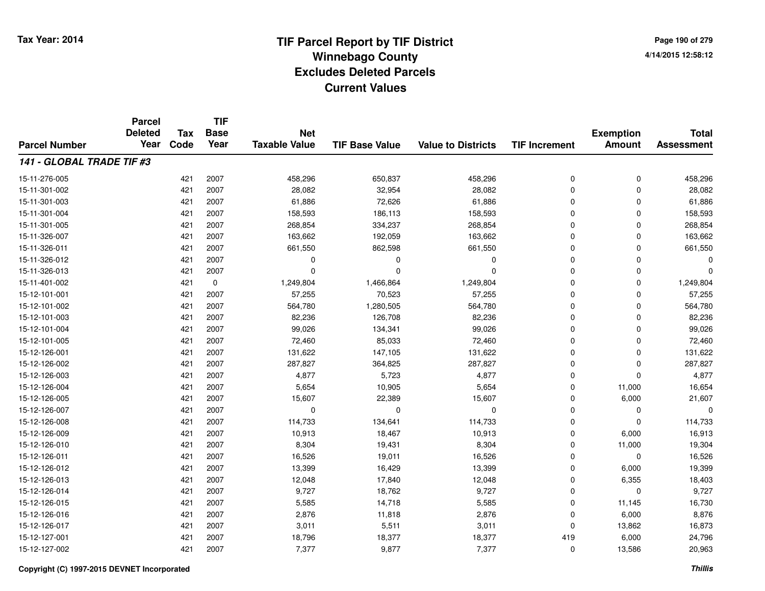**Page 190 of 2794/14/2015 12:58:12**

|                           | <b>Parcel</b><br><b>Deleted</b> | <b>Tax</b> | <b>TIF</b><br><b>Base</b> | <b>Net</b>           |                       |                           |                      | <b>Exemption</b> | <b>Total</b>      |
|---------------------------|---------------------------------|------------|---------------------------|----------------------|-----------------------|---------------------------|----------------------|------------------|-------------------|
| <b>Parcel Number</b>      | Year                            | Code       | Year                      | <b>Taxable Value</b> | <b>TIF Base Value</b> | <b>Value to Districts</b> | <b>TIF Increment</b> | <b>Amount</b>    | <b>Assessment</b> |
| 141 - GLOBAL TRADE TIF #3 |                                 |            |                           |                      |                       |                           |                      |                  |                   |
| 15-11-276-005             |                                 | 421        | 2007                      | 458,296              | 650,837               | 458,296                   | 0                    | $\mathbf 0$      | 458,296           |
| 15-11-301-002             |                                 | 421        | 2007                      | 28,082               | 32,954                | 28,082                    | 0                    | $\mathbf 0$      | 28,082            |
| 15-11-301-003             |                                 | 421        | 2007                      | 61,886               | 72,626                | 61,886                    | 0                    | 0                | 61,886            |
| 15-11-301-004             |                                 | 421        | 2007                      | 158,593              | 186,113               | 158,593                   | 0                    | 0                | 158,593           |
| 15-11-301-005             |                                 | 421        | 2007                      | 268,854              | 334,237               | 268,854                   | 0                    | 0                | 268,854           |
| 15-11-326-007             |                                 | 421        | 2007                      | 163,662              | 192,059               | 163,662                   | 0                    | 0                | 163,662           |
| 15-11-326-011             |                                 | 421        | 2007                      | 661,550              | 862,598               | 661,550                   | 0                    | $\Omega$         | 661,550           |
| 15-11-326-012             |                                 | 421        | 2007                      | 0                    | 0                     | 0                         | 0                    | $\Omega$         |                   |
| 15-11-326-013             |                                 | 421        | 2007                      | $\Omega$             | $\Omega$              | $\Omega$                  | 0                    | $\Omega$         | $\Omega$          |
| 15-11-401-002             |                                 | 421        | 0                         | 1,249,804            | 1,466,864             | 1,249,804                 | 0                    | $\mathbf 0$      | 1,249,804         |
| 15-12-101-001             |                                 | 421        | 2007                      | 57,255               | 70,523                | 57,255                    | 0                    | $\mathbf 0$      | 57,255            |
| 15-12-101-002             |                                 | 421        | 2007                      | 564,780              | 1,280,505             | 564,780                   | 0                    | $\mathbf 0$      | 564,780           |
| 15-12-101-003             |                                 | 421        | 2007                      | 82,236               | 126,708               | 82,236                    | 0                    | $\mathbf 0$      | 82,236            |
| 15-12-101-004             |                                 | 421        | 2007                      | 99,026               | 134,341               | 99,026                    | 0                    | $\mathbf 0$      | 99,026            |
| 15-12-101-005             |                                 | 421        | 2007                      | 72,460               | 85,033                | 72,460                    | 0                    | $\mathbf 0$      | 72,460            |
| 15-12-126-001             |                                 | 421        | 2007                      | 131,622              | 147,105               | 131,622                   | 0                    | 0                | 131,622           |
| 15-12-126-002             |                                 | 421        | 2007                      | 287,827              | 364,825               | 287,827                   | 0                    | $\mathbf 0$      | 287,827           |
| 15-12-126-003             |                                 | 421        | 2007                      | 4,877                | 5,723                 | 4,877                     | 0                    | $\mathbf 0$      | 4,877             |
| 15-12-126-004             |                                 | 421        | 2007                      | 5,654                | 10,905                | 5,654                     | 0                    | 11,000           | 16,654            |
| 15-12-126-005             |                                 | 421        | 2007                      | 15,607               | 22,389                | 15,607                    | 0                    | 6,000            | 21,607            |
| 15-12-126-007             |                                 | 421        | 2007                      | $\mathbf 0$          | $\Omega$              | 0                         | 0                    | $\mathbf 0$      | $\Omega$          |
| 15-12-126-008             |                                 | 421        | 2007                      | 114,733              | 134,641               | 114,733                   | 0                    | $\mathbf 0$      | 114,733           |
| 15-12-126-009             |                                 | 421        | 2007                      | 10,913               | 18,467                | 10,913                    | 0                    | 6,000            | 16,913            |
| 15-12-126-010             |                                 | 421        | 2007                      | 8,304                | 19,431                | 8,304                     | 0                    | 11,000           | 19,304            |
| 15-12-126-011             |                                 | 421        | 2007                      | 16,526               | 19,011                | 16,526                    | 0                    | $\mathbf 0$      | 16,526            |
| 15-12-126-012             |                                 | 421        | 2007                      | 13,399               | 16,429                | 13,399                    | 0                    | 6,000            | 19,399            |
| 15-12-126-013             |                                 | 421        | 2007                      | 12,048               | 17,840                | 12,048                    | 0                    | 6,355            | 18,403            |
| 15-12-126-014             |                                 | 421        | 2007                      | 9,727                | 18,762                | 9,727                     | 0                    | $\mathbf 0$      | 9,727             |
| 15-12-126-015             |                                 | 421        | 2007                      | 5,585                | 14,718                | 5,585                     | 0                    | 11,145           | 16,730            |
| 15-12-126-016             |                                 | 421        | 2007                      | 2,876                | 11,818                | 2,876                     | 0                    | 6,000            | 8,876             |
| 15-12-126-017             |                                 | 421        | 2007                      | 3,011                | 5,511                 | 3,011                     | 0                    | 13,862           | 16,873            |
| 15-12-127-001             |                                 | 421        | 2007                      | 18,796               | 18,377                | 18,377                    | 419                  | 6,000            | 24,796            |
| 15-12-127-002             |                                 | 421        | 2007                      | 7,377                | 9,877                 | 7,377                     | 0                    | 13,586           | 20,963            |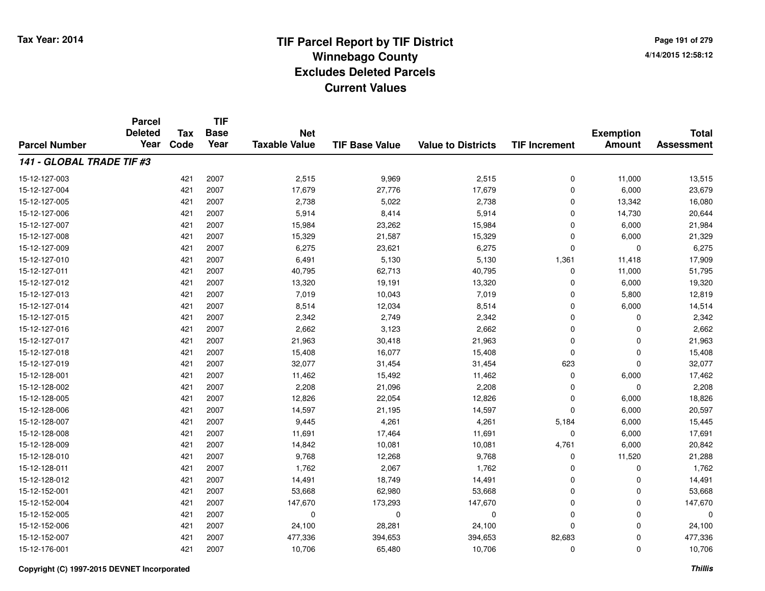**TIF**

**Parcel**

**Page 191 of 2794/14/2015 12:58:12**

| <b>Parcel Number</b>      | <b>Deleted</b><br>Year | <b>Tax</b><br>Code | <b>Base</b><br>Year | <b>Net</b><br><b>Taxable Value</b> | <b>TIF Base Value</b> | <b>Value to Districts</b> | <b>TIF Increment</b> | <b>Exemption</b><br><b>Amount</b> | <b>Total</b><br><b>Assessment</b> |
|---------------------------|------------------------|--------------------|---------------------|------------------------------------|-----------------------|---------------------------|----------------------|-----------------------------------|-----------------------------------|
| 141 - GLOBAL TRADE TIF #3 |                        |                    |                     |                                    |                       |                           |                      |                                   |                                   |
| 15-12-127-003             |                        | 421                | 2007                | 2,515                              | 9,969                 | 2,515                     | 0                    | 11,000                            | 13,515                            |
| 15-12-127-004             |                        | 421                | 2007                | 17,679                             | 27,776                | 17,679                    | 0                    | 6,000                             | 23,679                            |
| 15-12-127-005             |                        | 421                | 2007                | 2,738                              | 5,022                 | 2,738                     | 0                    | 13,342                            | 16,080                            |
| 15-12-127-006             |                        | 421                | 2007                | 5,914                              | 8,414                 | 5,914                     | 0                    | 14,730                            | 20,644                            |
| 15-12-127-007             |                        | 421                | 2007                | 15,984                             | 23,262                | 15,984                    | 0                    | 6,000                             | 21,984                            |
| 15-12-127-008             |                        | 421                | 2007                | 15,329                             | 21,587                | 15,329                    | $\mathbf 0$          | 6,000                             | 21,329                            |
| 15-12-127-009             |                        | 421                | 2007                | 6,275                              | 23,621                | 6,275                     | 0                    | $\Omega$                          | 6,275                             |
| 15-12-127-010             |                        | 421                | 2007                | 6,491                              | 5,130                 | 5,130                     | 1,361                | 11,418                            | 17,909                            |
| 15-12-127-011             |                        | 421                | 2007                | 40,795                             | 62,713                | 40,795                    | 0                    | 11,000                            | 51,795                            |
| 15-12-127-012             |                        | 421                | 2007                | 13,320                             | 19,191                | 13,320                    | 0                    | 6,000                             | 19,320                            |
| 15-12-127-013             |                        | 421                | 2007                | 7,019                              | 10,043                | 7,019                     | 0                    | 5,800                             | 12,819                            |
| 15-12-127-014             |                        | 421                | 2007                | 8,514                              | 12,034                | 8,514                     | $\Omega$             | 6,000                             | 14,514                            |
| 15-12-127-015             |                        | 421                | 2007                | 2,342                              | 2,749                 | 2,342                     | $\mathbf 0$          | 0                                 | 2,342                             |
| 15-12-127-016             |                        | 421                | 2007                | 2,662                              | 3,123                 | 2,662                     | $\mathbf 0$          | $\Omega$                          | 2,662                             |
| 15-12-127-017             |                        | 421                | 2007                | 21,963                             | 30,418                | 21,963                    | $\mathbf 0$          | 0                                 | 21,963                            |
| 15-12-127-018             |                        | 421                | 2007                | 15,408                             | 16,077                | 15,408                    | $\mathbf 0$          | 0                                 | 15,408                            |
| 15-12-127-019             |                        | 421                | 2007                | 32,077                             | 31,454                | 31,454                    | 623                  | $\Omega$                          | 32,077                            |
| 15-12-128-001             |                        | 421                | 2007                | 11,462                             | 15,492                | 11,462                    | 0                    | 6,000                             | 17,462                            |
| 15-12-128-002             |                        | 421                | 2007                | 2,208                              | 21,096                | 2,208                     | $\Omega$             | $\Omega$                          | 2,208                             |
| 15-12-128-005             |                        | 421                | 2007                | 12,826                             | 22,054                | 12,826                    | $\Omega$             | 6,000                             | 18,826                            |
| 15-12-128-006             |                        | 421                | 2007                | 14,597                             | 21,195                | 14,597                    | $\mathbf 0$          | 6,000                             | 20,597                            |
| 15-12-128-007             |                        | 421                | 2007                | 9,445                              | 4,261                 | 4,261                     | 5,184                | 6,000                             | 15,445                            |
| 15-12-128-008             |                        | 421                | 2007                | 11,691                             | 17,464                | 11,691                    | 0                    | 6,000                             | 17,691                            |
| 15-12-128-009             |                        | 421                | 2007                | 14,842                             | 10,081                | 10,081                    | 4,761                | 6,000                             | 20,842                            |
| 15-12-128-010             |                        | 421                | 2007                | 9,768                              | 12,268                | 9,768                     | 0                    | 11,520                            | 21,288                            |
| 15-12-128-011             |                        | 421                | 2007                | 1,762                              | 2,067                 | 1,762                     | 0                    | $\Omega$                          | 1,762                             |
| 15-12-128-012             |                        | 421                | 2007                | 14,491                             | 18,749                | 14,491                    | $\mathbf 0$          | $\Omega$                          | 14,491                            |
| 15-12-152-001             |                        | 421                | 2007                | 53,668                             | 62,980                | 53,668                    | $\mathbf 0$          | 0                                 | 53,668                            |
| 15-12-152-004             |                        | 421                | 2007                | 147,670                            | 173,293               | 147,670                   | $\mathbf 0$          | $\mathbf 0$                       | 147,670                           |
| 15-12-152-005             |                        | 421                | 2007                | 0                                  | 0                     | 0                         | $\mathbf 0$          | 0                                 | 0                                 |
| 15-12-152-006             |                        | 421                | 2007                | 24,100                             | 28,281                | 24,100                    | $\mathbf 0$          | 0                                 | 24,100                            |
| 15-12-152-007             |                        | 421                | 2007                | 477,336                            | 394,653               | 394,653                   | 82,683               | 0                                 | 477,336                           |
| 15-12-176-001             |                        | 421                | 2007                | 10,706                             | 65,480                | 10,706                    | 0                    | 0                                 | 10,706                            |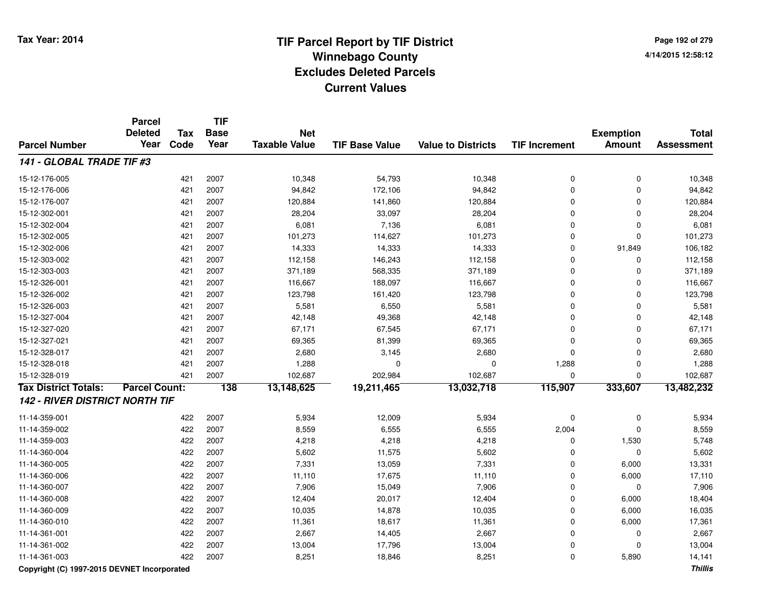**Page 192 of 2794/14/2015 12:58:12**

|                                             | <b>Parcel</b><br><b>Deleted</b> | <b>Tax</b> | <b>TIF</b><br><b>Base</b> | <b>Net</b>           |                       |                           |                      | <b>Exemption</b> | <b>Total</b>      |
|---------------------------------------------|---------------------------------|------------|---------------------------|----------------------|-----------------------|---------------------------|----------------------|------------------|-------------------|
| <b>Parcel Number</b>                        | Year                            | Code       | Year                      | <b>Taxable Value</b> | <b>TIF Base Value</b> | <b>Value to Districts</b> | <b>TIF Increment</b> | <b>Amount</b>    | <b>Assessment</b> |
| 141 - GLOBAL TRADE TIF #3                   |                                 |            |                           |                      |                       |                           |                      |                  |                   |
| 15-12-176-005                               |                                 | 421        | 2007                      | 10,348               | 54,793                | 10,348                    | 0                    | $\pmb{0}$        | 10,348            |
| 15-12-176-006                               |                                 | 421        | 2007                      | 94,842               | 172,106               | 94,842                    | 0                    | 0                | 94,842            |
| 15-12-176-007                               |                                 | 421        | 2007                      | 120,884              | 141,860               | 120,884                   | 0                    | $\Omega$         | 120,884           |
| 15-12-302-001                               |                                 | 421        | 2007                      | 28,204               | 33,097                | 28,204                    | 0                    | $\Omega$         | 28,204            |
| 15-12-302-004                               |                                 | 421        | 2007                      | 6,081                | 7,136                 | 6,081                     | 0                    | 0                | 6,081             |
| 15-12-302-005                               |                                 | 421        | 2007                      | 101,273              | 114,627               | 101,273                   | 0                    | $\mathbf 0$      | 101,273           |
| 15-12-302-006                               |                                 | 421        | 2007                      | 14,333               | 14,333                | 14,333                    | 0                    | 91,849           | 106,182           |
| 15-12-303-002                               |                                 | 421        | 2007                      | 112,158              | 146,243               | 112,158                   | 0                    | 0                | 112,158           |
| 15-12-303-003                               |                                 | 421        | 2007                      | 371,189              | 568,335               | 371,189                   | 0                    | $\Omega$         | 371,189           |
| 15-12-326-001                               |                                 | 421        | 2007                      | 116,667              | 188,097               | 116,667                   | 0                    | $\Omega$         | 116,667           |
| 15-12-326-002                               |                                 | 421        | 2007                      | 123,798              | 161,420               | 123,798                   | 0                    | $\Omega$         | 123,798           |
| 15-12-326-003                               |                                 | 421        | 2007                      | 5,581                | 6,550                 | 5,581                     | 0                    | $\Omega$         | 5,581             |
| 15-12-327-004                               |                                 | 421        | 2007                      | 42,148               | 49,368                | 42,148                    | $\Omega$             | $\Omega$         | 42,148            |
| 15-12-327-020                               |                                 | 421        | 2007                      | 67,171               | 67,545                | 67,171                    | 0                    | 0                | 67,171            |
| 15-12-327-021                               |                                 | 421        | 2007                      | 69,365               | 81,399                | 69,365                    | 0                    | 0                | 69,365            |
| 15-12-328-017                               |                                 | 421        | 2007                      | 2,680                | 3,145                 | 2,680                     | 0                    | 0                | 2,680             |
| 15-12-328-018                               |                                 | 421        | 2007                      | 1,288                | $\Omega$              | $\mathbf 0$               | 1,288                | $\mathbf 0$      | 1,288             |
| 15-12-328-019                               |                                 | 421        | 2007                      | 102,687              | 202,984               | 102,687                   | 0                    | $\Omega$         | 102,687           |
| <b>Tax District Totals:</b>                 | <b>Parcel Count:</b>            |            | 138                       | 13,148,625           | 19,211,465            | 13,032,718                | 115,907              | 333,607          | 13,482,232        |
| <b>142 - RIVER DISTRICT NORTH TIF</b>       |                                 |            |                           |                      |                       |                           |                      |                  |                   |
| 11-14-359-001                               |                                 | 422        | 2007                      | 5,934                | 12,009                | 5,934                     | 0                    | 0                | 5,934             |
| 11-14-359-002                               |                                 | 422        | 2007                      | 8,559                | 6,555                 | 6,555                     | 2,004                | $\Omega$         | 8,559             |
| 11-14-359-003                               |                                 | 422        | 2007                      | 4,218                | 4,218                 | 4,218                     | 0                    | 1,530            | 5,748             |
| 11-14-360-004                               |                                 | 422        | 2007                      | 5,602                | 11,575                | 5,602                     | 0                    | $\Omega$         | 5,602             |
| 11-14-360-005                               |                                 | 422        | 2007                      | 7,331                | 13,059                | 7,331                     | 0                    | 6,000            | 13,331            |
| 11-14-360-006                               |                                 | 422        | 2007                      | 11,110               | 17,675                | 11,110                    | 0                    | 6,000            | 17,110            |
| 11-14-360-007                               |                                 | 422        | 2007                      | 7,906                | 15,049                | 7,906                     | 0                    | 0                | 7,906             |
| 11-14-360-008                               |                                 | 422        | 2007                      | 12,404               | 20,017                | 12,404                    | 0                    | 6,000            | 18,404            |
| 11-14-360-009                               |                                 | 422        | 2007                      | 10,035               | 14,878                | 10,035                    | 0                    | 6,000            | 16,035            |
| 11-14-360-010                               |                                 | 422        | 2007                      | 11,361               | 18,617                | 11,361                    | 0                    | 6,000            | 17,361            |
| 11-14-361-001                               |                                 | 422        | 2007                      | 2,667                | 14,405                | 2,667                     | 0                    | $\mathbf 0$      | 2,667             |
| 11-14-361-002                               |                                 | 422        | 2007                      | 13,004               | 17,796                | 13,004                    | 0                    | $\mathbf 0$      | 13,004            |
| 11-14-361-003                               |                                 | 422        | 2007                      | 8,251                | 18,846                | 8,251                     | 0                    | 5,890            | 14,141            |
| Convright (C) 1997-2015 DEVNET Incorporated |                                 |            |                           |                      |                       |                           |                      |                  | <b>Thillis</b>    |

**Copyright (C) 1997-2015 DEVNET Incorporated**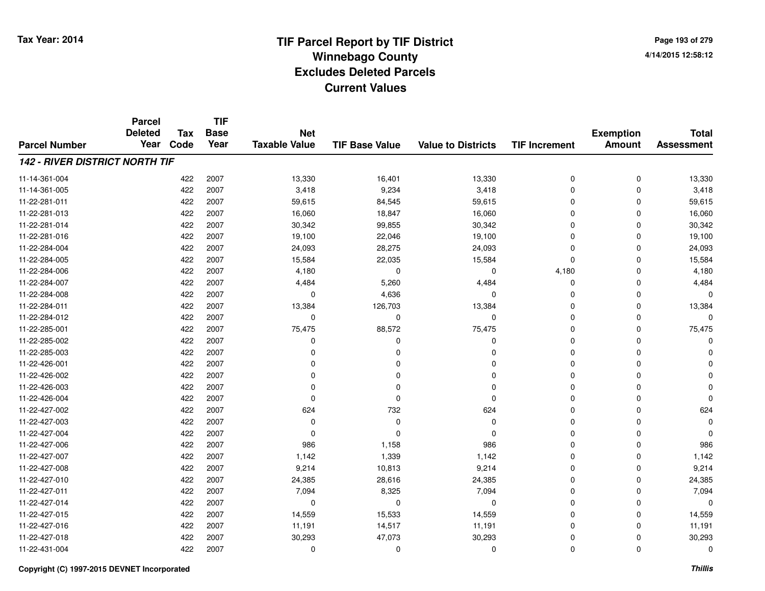**Page 193 of 2794/14/2015 12:58:12**

|                                       | <b>Parcel</b>          |                    | <b>TIF</b>          |                                    |                       |                           |                      |                                   |                                   |
|---------------------------------------|------------------------|--------------------|---------------------|------------------------------------|-----------------------|---------------------------|----------------------|-----------------------------------|-----------------------------------|
| <b>Parcel Number</b>                  | <b>Deleted</b><br>Year | <b>Tax</b><br>Code | <b>Base</b><br>Year | <b>Net</b><br><b>Taxable Value</b> | <b>TIF Base Value</b> | <b>Value to Districts</b> | <b>TIF Increment</b> | <b>Exemption</b><br><b>Amount</b> | <b>Total</b><br><b>Assessment</b> |
|                                       |                        |                    |                     |                                    |                       |                           |                      |                                   |                                   |
| <b>142 - RIVER DISTRICT NORTH TIF</b> |                        |                    |                     |                                    |                       |                           |                      |                                   |                                   |
| 11-14-361-004                         |                        | 422                | 2007                | 13,330                             | 16,401                | 13,330                    | 0                    | 0                                 | 13,330                            |
| 11-14-361-005                         |                        | 422                | 2007                | 3,418                              | 9,234                 | 3,418                     | 0                    | 0                                 | 3,418                             |
| 11-22-281-011                         |                        | 422                | 2007                | 59,615                             | 84,545                | 59,615                    | 0                    | $\mathbf 0$                       | 59,615                            |
| 11-22-281-013                         |                        | 422                | 2007                | 16,060                             | 18,847                | 16,060                    | 0                    | 0                                 | 16,060                            |
| 11-22-281-014                         |                        | 422                | 2007                | 30,342                             | 99,855                | 30,342                    | 0                    | $\mathbf 0$                       | 30,342                            |
| 11-22-281-016                         |                        | 422                | 2007                | 19,100                             | 22,046                | 19,100                    | 0                    | 0                                 | 19,100                            |
| 11-22-284-004                         |                        | 422                | 2007                | 24,093                             | 28,275                | 24,093                    | 0                    | $\mathbf 0$                       | 24,093                            |
| 11-22-284-005                         |                        | 422                | 2007                | 15,584                             | 22,035                | 15,584                    | 0                    | $\mathbf 0$                       | 15,584                            |
| 11-22-284-006                         |                        | 422                | 2007                | 4,180                              | $\mathbf 0$           | 0                         | 4,180                | $\mathbf 0$                       | 4,180                             |
| 11-22-284-007                         |                        | 422                | 2007                | 4,484                              | 5,260                 | 4,484                     | 0                    | $\mathbf 0$                       | 4,484                             |
| 11-22-284-008                         |                        | 422                | 2007                | $\mathbf 0$                        | 4,636                 | $\Omega$                  | 0                    | $\mathbf 0$                       | $\Omega$                          |
| 11-22-284-011                         |                        | 422                | 2007                | 13,384                             | 126,703               | 13,384                    | 0                    | 0                                 | 13,384                            |
| 11-22-284-012                         |                        | 422                | 2007                | $\mathbf 0$                        | $\mathbf 0$           | 0                         | 0                    | $\Omega$                          | $\Omega$                          |
| 11-22-285-001                         |                        | 422                | 2007                | 75,475                             | 88,572                | 75,475                    | 0                    | 0                                 | 75,475                            |
| 11-22-285-002                         |                        | 422                | 2007                | 0                                  | $\Omega$              | $\Omega$                  | 0                    | 0                                 | O                                 |
| 11-22-285-003                         |                        | 422                | 2007                | 0                                  | 0                     | 0                         | 0                    | 0                                 |                                   |
| 11-22-426-001                         |                        | 422                | 2007                | $\mathbf 0$                        | O                     | $\Omega$                  | 0                    | 0                                 |                                   |
| 11-22-426-002                         |                        | 422                | 2007                | 0                                  | O                     | 0                         | 0                    | 0                                 |                                   |
| 11-22-426-003                         |                        | 422                | 2007                | 0                                  | 0                     | $\Omega$                  | 0                    | 0                                 |                                   |
| 11-22-426-004                         |                        | 422                | 2007                | 0                                  | $\Omega$              | 0                         | 0                    | 0                                 | O                                 |
| 11-22-427-002                         |                        | 422                | 2007                | 624                                | 732                   | 624                       | 0                    | $\mathbf 0$                       | 624                               |
| 11-22-427-003                         |                        | 422                | 2007                | 0                                  | 0                     | 0                         | 0                    | 0                                 | $\Omega$                          |
| 11-22-427-004                         |                        | 422                | 2007                | $\mathbf 0$                        | $\Omega$              | $\Omega$                  | 0                    | 0                                 | $\Omega$                          |
| 11-22-427-006                         |                        | 422                | 2007                | 986                                | 1,158                 | 986                       | 0                    | 0                                 | 986                               |
| 11-22-427-007                         |                        | 422                | 2007                | 1,142                              | 1,339                 | 1,142                     | 0                    | $\mathbf 0$                       | 1,142                             |
| 11-22-427-008                         |                        | 422                | 2007                | 9,214                              | 10,813                | 9,214                     | 0                    | 0                                 | 9,214                             |
| 11-22-427-010                         |                        | 422                | 2007                | 24,385                             | 28,616                | 24,385                    | 0                    | $\mathbf 0$                       | 24,385                            |
| 11-22-427-011                         |                        | 422                | 2007                | 7,094                              | 8,325                 | 7,094                     | 0                    | 0                                 | 7,094                             |
| 11-22-427-014                         |                        | 422                | 2007                | 0                                  | 0                     | 0                         | 0                    | $\mathbf 0$                       | $\Omega$                          |
| 11-22-427-015                         |                        | 422                | 2007                | 14,559                             | 15,533                | 14,559                    | 0                    | 0                                 | 14,559                            |
| 11-22-427-016                         |                        | 422                | 2007                | 11,191                             | 14,517                | 11,191                    | 0                    | 0                                 | 11,191                            |
| 11-22-427-018                         |                        | 422                | 2007                | 30,293                             | 47,073                | 30,293                    | 0                    | 0                                 | 30,293                            |
| 11-22-431-004                         |                        | 422                | 2007                | 0                                  | 0                     | $\Omega$                  | 0                    | $\mathbf 0$                       | $\Omega$                          |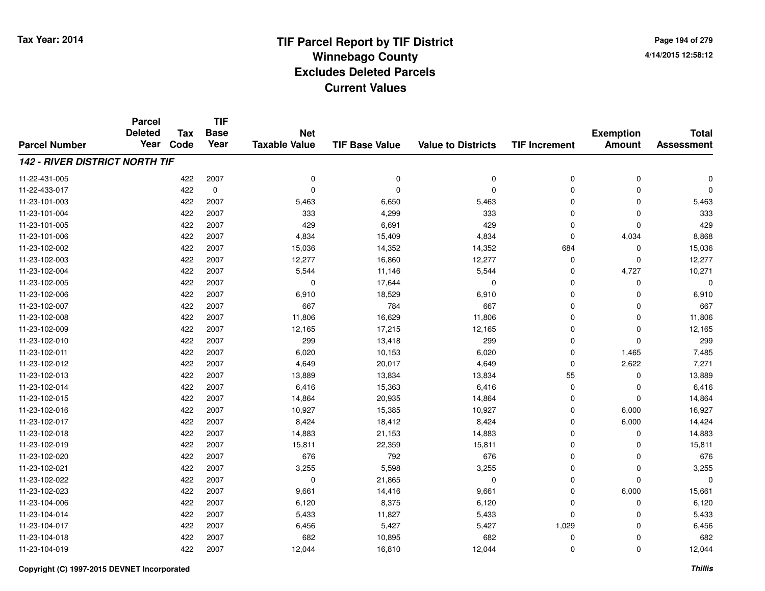**TIF**

**Parcel**

**Page 194 of 2794/14/2015 12:58:12**

| <b>Parcel Number</b>                  | <b>Deleted</b><br>Year | <b>Tax</b><br>Code | <b>Base</b><br>Year | <b>Net</b><br><b>Taxable Value</b> | <b>TIF Base Value</b> | <b>Value to Districts</b> | <b>TIF Increment</b> | <b>Exemption</b><br><b>Amount</b> | <b>Total</b><br><b>Assessment</b> |
|---------------------------------------|------------------------|--------------------|---------------------|------------------------------------|-----------------------|---------------------------|----------------------|-----------------------------------|-----------------------------------|
| <b>142 - RIVER DISTRICT NORTH TIF</b> |                        |                    |                     |                                    |                       |                           |                      |                                   |                                   |
| 11-22-431-005                         |                        | 422                | 2007                | $\mathbf 0$                        | $\mathbf 0$           | 0                         | 0                    | 0                                 | $\Omega$                          |
| 11-22-433-017                         |                        | 422                | $\mathbf 0$         | $\mathbf 0$                        | $\Omega$              | $\mathbf 0$               | 0                    | 0                                 | $\Omega$                          |
| 11-23-101-003                         |                        | 422                | 2007                | 5,463                              | 6,650                 | 5,463                     | 0                    | 0                                 | 5,463                             |
| 11-23-101-004                         |                        | 422                | 2007                | 333                                | 4,299                 | 333                       | 0                    | 0                                 | 333                               |
| 11-23-101-005                         |                        | 422                | 2007                | 429                                | 6,691                 | 429                       | 0                    | 0                                 | 429                               |
| 11-23-101-006                         |                        | 422                | 2007                | 4,834                              | 15,409                | 4,834                     | 0                    | 4,034                             | 8,868                             |
| 11-23-102-002                         |                        | 422                | 2007                | 15,036                             | 14,352                | 14,352                    | 684                  | $\mathbf 0$                       | 15,036                            |
| 11-23-102-003                         |                        | 422                | 2007                | 12,277                             | 16,860                | 12,277                    | 0                    | 0                                 | 12,277                            |
| 11-23-102-004                         |                        | 422                | 2007                | 5,544                              | 11,146                | 5,544                     | 0                    | 4,727                             | 10,271                            |
| 11-23-102-005                         |                        | 422                | 2007                | $\mathbf 0$                        | 17,644                | 0                         | 0                    | 0                                 | $\Omega$                          |
| 11-23-102-006                         |                        | 422                | 2007                | 6,910                              | 18,529                | 6,910                     | 0                    | $\mathbf 0$                       | 6,910                             |
| 11-23-102-007                         |                        | 422                | 2007                | 667                                | 784                   | 667                       | 0                    | 0                                 | 667                               |
| 11-23-102-008                         |                        | 422                | 2007                | 11,806                             | 16,629                | 11,806                    | 0                    | 0                                 | 11,806                            |
| 11-23-102-009                         |                        | 422                | 2007                | 12,165                             | 17,215                | 12,165                    | 0                    | 0                                 | 12,165                            |
| 11-23-102-010                         |                        | 422                | 2007                | 299                                | 13,418                | 299                       | 0                    | $\mathbf 0$                       | 299                               |
| 11-23-102-011                         |                        | 422                | 2007                | 6,020                              | 10,153                | 6,020                     | 0                    | 1,465                             | 7,485                             |
| 11-23-102-012                         |                        | 422                | 2007                | 4,649                              | 20,017                | 4,649                     | 0                    | 2,622                             | 7,271                             |
| 11-23-102-013                         |                        | 422                | 2007                | 13,889                             | 13,834                | 13,834                    | 55                   | $\mathbf 0$                       | 13,889                            |
| 11-23-102-014                         |                        | 422                | 2007                | 6,416                              | 15,363                | 6,416                     | 0                    | $\mathbf 0$                       | 6,416                             |
| 11-23-102-015                         |                        | 422                | 2007                | 14,864                             | 20,935                | 14,864                    | 0                    | 0                                 | 14,864                            |
| 11-23-102-016                         |                        | 422                | 2007                | 10,927                             | 15,385                | 10,927                    | 0                    | 6,000                             | 16,927                            |
| 11-23-102-017                         |                        | 422                | 2007                | 8,424                              | 18,412                | 8,424                     | 0                    | 6,000                             | 14,424                            |
| 11-23-102-018                         |                        | 422                | 2007                | 14,883                             | 21,153                | 14,883                    | 0                    | 0                                 | 14,883                            |
| 11-23-102-019                         |                        | 422                | 2007                | 15,811                             | 22,359                | 15,811                    | 0                    | 0                                 | 15,811                            |
| 11-23-102-020                         |                        | 422                | 2007                | 676                                | 792                   | 676                       | 0                    | $\mathbf 0$                       | 676                               |
| 11-23-102-021                         |                        | 422                | 2007                | 3,255                              | 5,598                 | 3,255                     | 0                    | $\mathbf 0$                       | 3,255                             |
| 11-23-102-022                         |                        | 422                | 2007                | $\mathbf 0$                        | 21,865                | $\mathbf 0$               | 0                    | $\mathbf 0$                       | $\Omega$                          |
| 11-23-102-023                         |                        | 422                | 2007                | 9,661                              | 14,416                | 9,661                     | 0                    | 6,000                             | 15,661                            |
| 11-23-104-006                         |                        | 422                | 2007                | 6,120                              | 8,375                 | 6,120                     | 0                    | 0                                 | 6,120                             |
| 11-23-104-014                         |                        | 422                | 2007                | 5,433                              | 11,827                | 5,433                     | 0                    | 0                                 | 5,433                             |
| 11-23-104-017                         |                        | 422                | 2007                | 6,456                              | 5,427                 | 5,427                     | 1,029                | 0                                 | 6,456                             |
| 11-23-104-018                         |                        | 422                | 2007                | 682                                | 10,895                | 682                       | 0                    | 0                                 | 682                               |
| 11-23-104-019                         |                        | 422                | 2007                | 12,044                             | 16,810                | 12,044                    | 0                    | 0                                 | 12,044                            |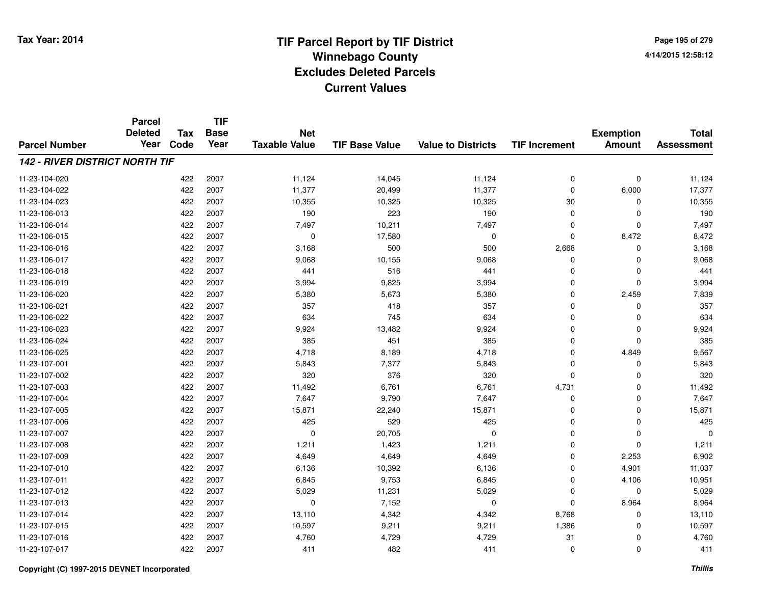**TIF**

**Parcel**

**Page 195 of 2794/14/2015 12:58:12**

| <b>Parcel Number</b>                  | <b>urvo</b><br><b>Deleted</b><br>Year | <b>Tax</b><br>Code | <b>Base</b><br>Year | <b>Net</b><br><b>Taxable Value</b> | <b>TIF Base Value</b> | <b>Value to Districts</b> | <b>TIF Increment</b> | <b>Exemption</b><br><b>Amount</b> | <b>Total</b><br><b>Assessment</b> |
|---------------------------------------|---------------------------------------|--------------------|---------------------|------------------------------------|-----------------------|---------------------------|----------------------|-----------------------------------|-----------------------------------|
| <b>142 - RIVER DISTRICT NORTH TIF</b> |                                       |                    |                     |                                    |                       |                           |                      |                                   |                                   |
| 11-23-104-020                         |                                       | 422                | 2007                | 11,124                             | 14,045                | 11,124                    | 0                    | $\pmb{0}$                         | 11,124                            |
| 11-23-104-022                         |                                       | 422                | 2007                | 11,377                             | 20,499                | 11,377                    | 0                    | 6,000                             | 17,377                            |
| 11-23-104-023                         |                                       | 422                | 2007                | 10,355                             | 10,325                | 10,325                    | 30                   | 0                                 | 10,355                            |
| 11-23-106-013                         |                                       | 422                | 2007                | 190                                | 223                   | 190                       | 0                    | 0                                 | 190                               |
| 11-23-106-014                         |                                       | 422                | 2007                | 7,497                              | 10,211                | 7,497                     | 0                    | 0                                 | 7,497                             |
| 11-23-106-015                         |                                       | 422                | 2007                | 0                                  | 17,580                | 0                         | 0                    | 8,472                             | 8,472                             |
| 11-23-106-016                         |                                       | 422                | 2007                | 3,168                              | 500                   | 500                       | 2,668                | $\mathbf 0$                       | 3,168                             |
| 11-23-106-017                         |                                       | 422                | 2007                | 9,068                              | 10,155                | 9,068                     | 0                    | $\mathbf 0$                       | 9,068                             |
| 11-23-106-018                         |                                       | 422                | 2007                | 441                                | 516                   | 441                       | 0                    | $\mathbf 0$                       | 441                               |
| 11-23-106-019                         |                                       | 422                | 2007                | 3,994                              | 9,825                 | 3,994                     | 0                    | $\mathbf 0$                       | 3,994                             |
| 11-23-106-020                         |                                       | 422                | 2007                | 5,380                              | 5,673                 | 5,380                     | 0                    | 2,459                             | 7,839                             |
| 11-23-106-021                         |                                       | 422                | 2007                | 357                                | 418                   | 357                       | 0                    | 0                                 | 357                               |
| 11-23-106-022                         |                                       | 422                | 2007                | 634                                | 745                   | 634                       | 0                    | 0                                 | 634                               |
| 11-23-106-023                         |                                       | 422                | 2007                | 9,924                              | 13,482                | 9,924                     | 0                    | 0                                 | 9,924                             |
| 11-23-106-024                         |                                       | 422                | 2007                | 385                                | 451                   | 385                       | 0                    | 0                                 | 385                               |
| 11-23-106-025                         |                                       | 422                | 2007                | 4,718                              | 8,189                 | 4,718                     | $\Omega$             | 4,849                             | 9,567                             |
| 11-23-107-001                         |                                       | 422                | 2007                | 5,843                              | 7,377                 | 5,843                     | $\Omega$             | $\mathbf 0$                       | 5,843                             |
| 11-23-107-002                         |                                       | 422                | 2007                | 320                                | 376                   | 320                       | 0                    | $\mathbf 0$                       | 320                               |
| 11-23-107-003                         |                                       | 422                | 2007                | 11,492                             | 6,761                 | 6,761                     | 4,731                | 0                                 | 11,492                            |
| 11-23-107-004                         |                                       | 422                | 2007                | 7,647                              | 9,790                 | 7,647                     | 0                    | 0                                 | 7,647                             |
| 11-23-107-005                         |                                       | 422                | 2007                | 15,871                             | 22,240                | 15,871                    | 0                    | 0                                 | 15,871                            |
| 11-23-107-006                         |                                       | 422                | 2007                | 425                                | 529                   | 425                       | 0                    | 0                                 | 425                               |
| 11-23-107-007                         |                                       | 422                | 2007                | 0                                  | 20,705                | 0                         | 0                    | 0                                 | $\Omega$                          |
| 11-23-107-008                         |                                       | 422                | 2007                | 1,211                              | 1,423                 | 1,211                     | 0                    | 0                                 | 1,211                             |
| 11-23-107-009                         |                                       | 422                | 2007                | 4,649                              | 4,649                 | 4,649                     | 0                    | 2,253                             | 6,902                             |
| 11-23-107-010                         |                                       | 422                | 2007                | 6,136                              | 10,392                | 6,136                     | 0                    | 4,901                             | 11,037                            |
| 11-23-107-011                         |                                       | 422                | 2007                | 6,845                              | 9,753                 | 6,845                     | 0                    | 4,106                             | 10,951                            |
| 11-23-107-012                         |                                       | 422                | 2007                | 5,029                              | 11,231                | 5,029                     | $\Omega$             | 0                                 | 5,029                             |
| 11-23-107-013                         |                                       | 422                | 2007                | 0                                  | 7,152                 | 0                         | 0                    | 8,964                             | 8,964                             |
| 11-23-107-014                         |                                       | 422                | 2007                | 13,110                             | 4,342                 | 4,342                     | 8,768                | 0                                 | 13,110                            |
| 11-23-107-015                         |                                       | 422                | 2007                | 10,597                             | 9,211                 | 9,211                     | 1,386                | 0                                 | 10,597                            |
| 11-23-107-016                         |                                       | 422                | 2007                | 4,760                              | 4,729                 | 4,729                     | 31                   | 0                                 | 4,760                             |
| 11-23-107-017                         |                                       | 422                | 2007                | 411                                | 482                   | 411                       | 0                    | 0                                 | 411                               |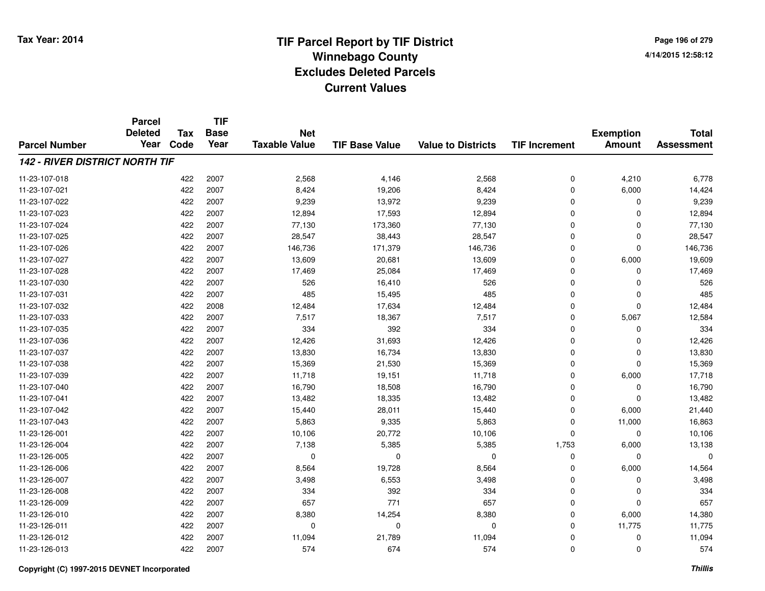**Page 196 of 2794/14/2015 12:58:12**

|                                       | <b>Parcel</b><br><b>Deleted</b> | <b>Tax</b> | <b>TIF</b><br><b>Base</b> | <b>Net</b>           |                       |                           |                      | <b>Exemption</b> | <b>Total</b>      |
|---------------------------------------|---------------------------------|------------|---------------------------|----------------------|-----------------------|---------------------------|----------------------|------------------|-------------------|
| <b>Parcel Number</b>                  | Year                            | Code       | Year                      | <b>Taxable Value</b> | <b>TIF Base Value</b> | <b>Value to Districts</b> | <b>TIF Increment</b> | <b>Amount</b>    | <b>Assessment</b> |
| <b>142 - RIVER DISTRICT NORTH TIF</b> |                                 |            |                           |                      |                       |                           |                      |                  |                   |
| 11-23-107-018                         |                                 | 422        | 2007                      | 2,568                | 4,146                 | 2,568                     | 0                    | 4,210            | 6,778             |
| 11-23-107-021                         |                                 | 422        | 2007                      | 8,424                | 19,206                | 8,424                     | 0                    | 6,000            | 14,424            |
| 11-23-107-022                         |                                 | 422        | 2007                      | 9,239                | 13,972                | 9,239                     | 0                    | 0                | 9,239             |
| 11-23-107-023                         |                                 | 422        | 2007                      | 12,894               | 17,593                | 12,894                    | 0                    | 0                | 12,894            |
| 11-23-107-024                         |                                 | 422        | 2007                      | 77,130               | 173,360               | 77,130                    | 0                    | $\mathbf 0$      | 77,130            |
| 11-23-107-025                         |                                 | 422        | 2007                      | 28,547               | 38,443                | 28,547                    | 0                    | 0                | 28,547            |
| 11-23-107-026                         |                                 | 422        | 2007                      | 146,736              | 171,379               | 146,736                   | 0                    | $\mathbf 0$      | 146,736           |
| 11-23-107-027                         |                                 | 422        | 2007                      | 13,609               | 20,681                | 13,609                    | 0                    | 6,000            | 19,609            |
| 11-23-107-028                         |                                 | 422        | 2007                      | 17,469               | 25,084                | 17,469                    | 0                    | $\mathbf 0$      | 17,469            |
| 11-23-107-030                         |                                 | 422        | 2007                      | 526                  | 16,410                | 526                       | 0                    | $\mathbf 0$      | 526               |
| 11-23-107-031                         |                                 | 422        | 2007                      | 485                  | 15,495                | 485                       | 0                    | $\mathbf 0$      | 485               |
| 11-23-107-032                         |                                 | 422        | 2008                      | 12,484               | 17,634                | 12,484                    | 0                    | 0                | 12,484            |
| 11-23-107-033                         |                                 | 422        | 2007                      | 7,517                | 18,367                | 7,517                     | 0                    | 5,067            | 12,584            |
| 11-23-107-035                         |                                 | 422        | 2007                      | 334                  | 392                   | 334                       | 0                    | 0                | 334               |
| 11-23-107-036                         |                                 | 422        | 2007                      | 12,426               | 31,693                | 12,426                    | 0                    | 0                | 12,426            |
| 11-23-107-037                         |                                 | 422        | 2007                      | 13,830               | 16,734                | 13,830                    | 0                    | 0                | 13,830            |
| 11-23-107-038                         |                                 | 422        | 2007                      | 15,369               | 21,530                | 15,369                    | 0                    | $\mathbf 0$      | 15,369            |
| 11-23-107-039                         |                                 | 422        | 2007                      | 11,718               | 19,151                | 11,718                    | 0                    | 6,000            | 17,718            |
| 11-23-107-040                         |                                 | 422        | 2007                      | 16,790               | 18,508                | 16,790                    | 0                    | 0                | 16,790            |
| 11-23-107-041                         |                                 | 422        | 2007                      | 13,482               | 18,335                | 13,482                    | 0                    | 0                | 13,482            |
| 11-23-107-042                         |                                 | 422        | 2007                      | 15,440               | 28,011                | 15,440                    | 0                    | 6,000            | 21,440            |
| 11-23-107-043                         |                                 | 422        | 2007                      | 5,863                | 9,335                 | 5,863                     | 0                    | 11,000           | 16,863            |
| 11-23-126-001                         |                                 | 422        | 2007                      | 10,106               | 20,772                | 10,106                    | 0                    | 0                | 10,106            |
| 11-23-126-004                         |                                 | 422        | 2007                      | 7,138                | 5,385                 | 5,385                     | 1,753                | 6,000            | 13,138            |
| 11-23-126-005                         |                                 | 422        | 2007                      | 0                    | $\mathbf 0$           | 0                         | 0                    | 0                | $\Omega$          |
| 11-23-126-006                         |                                 | 422        | 2007                      | 8,564                | 19,728                | 8,564                     | 0                    | 6,000            | 14,564            |
| 11-23-126-007                         |                                 | 422        | 2007                      | 3,498                | 6,553                 | 3,498                     | 0                    | 0                | 3,498             |
| 11-23-126-008                         |                                 | 422        | 2007                      | 334                  | 392                   | 334                       | 0                    | 0                | 334               |
| 11-23-126-009                         |                                 | 422        | 2007                      | 657                  | 771                   | 657                       | 0                    | $\mathbf 0$      | 657               |
| 11-23-126-010                         |                                 | 422        | 2007                      | 8,380                | 14,254                | 8,380                     | 0                    | 6,000            | 14,380            |
| 11-23-126-011                         |                                 | 422        | 2007                      | $\mathbf 0$          | $\mathbf 0$           | $\mathbf 0$               | 0                    | 11,775           | 11,775            |
| 11-23-126-012                         |                                 | 422        | 2007                      | 11,094               | 21,789                | 11,094                    | 0                    | 0                | 11,094            |
| 11-23-126-013                         |                                 | 422        | 2007                      | 574                  | 674                   | 574                       | 0                    | $\mathbf 0$      | 574               |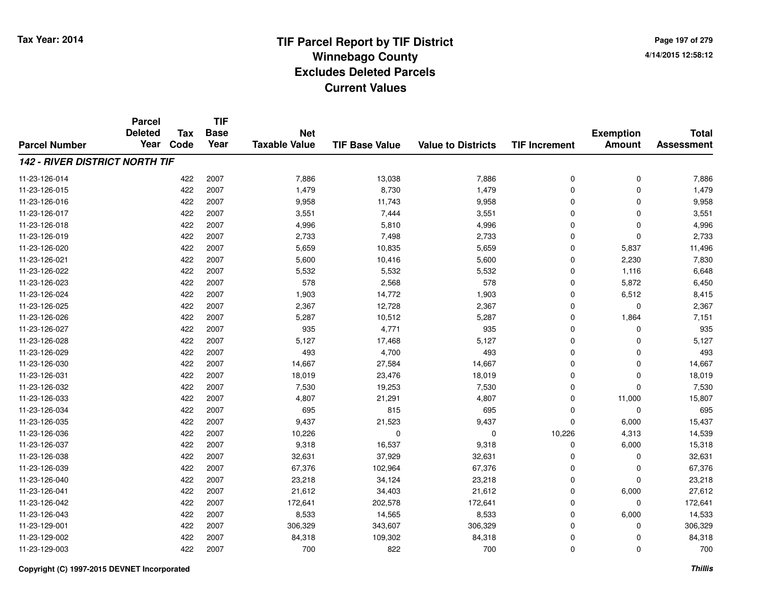**Page 197 of 2794/14/2015 12:58:12**

|                                       | <b>Parcel</b>          |                    | <b>TIF</b>          |                                    |                       |                           |                      |                                   |                                   |
|---------------------------------------|------------------------|--------------------|---------------------|------------------------------------|-----------------------|---------------------------|----------------------|-----------------------------------|-----------------------------------|
| <b>Parcel Number</b>                  | <b>Deleted</b><br>Year | <b>Tax</b><br>Code | <b>Base</b><br>Year | <b>Net</b><br><b>Taxable Value</b> | <b>TIF Base Value</b> | <b>Value to Districts</b> | <b>TIF Increment</b> | <b>Exemption</b><br><b>Amount</b> | <b>Total</b><br><b>Assessment</b> |
| <b>142 - RIVER DISTRICT NORTH TIF</b> |                        |                    |                     |                                    |                       |                           |                      |                                   |                                   |
|                                       |                        |                    |                     |                                    |                       |                           |                      |                                   |                                   |
| 11-23-126-014                         |                        | 422                | 2007                | 7,886                              | 13,038                | 7,886                     | 0                    | 0                                 | 7,886                             |
| 11-23-126-015                         |                        | 422                | 2007                | 1,479                              | 8,730                 | 1,479                     | 0                    | 0                                 | 1,479                             |
| 11-23-126-016                         |                        | 422                | 2007                | 9,958                              | 11,743                | 9,958                     | 0                    | $\mathbf 0$                       | 9,958                             |
| 11-23-126-017                         |                        | 422                | 2007                | 3,551                              | 7,444                 | 3,551                     | 0                    | 0                                 | 3,551                             |
| 11-23-126-018                         |                        | 422                | 2007                | 4,996                              | 5,810                 | 4,996                     | 0                    | $\mathbf 0$                       | 4,996                             |
| 11-23-126-019                         |                        | 422                | 2007                | 2,733                              | 7,498                 | 2,733                     | 0                    | 0                                 | 2,733                             |
| 11-23-126-020                         |                        | 422                | 2007                | 5,659                              | 10,835                | 5,659                     | 0                    | 5,837                             | 11,496                            |
| 11-23-126-021                         |                        | 422                | 2007                | 5,600                              | 10,416                | 5,600                     | 0                    | 2,230                             | 7,830                             |
| 11-23-126-022                         |                        | 422                | 2007                | 5,532                              | 5,532                 | 5,532                     | 0                    | 1,116                             | 6,648                             |
| 11-23-126-023                         |                        | 422                | 2007                | 578                                | 2,568                 | 578                       | 0                    | 5,872                             | 6,450                             |
| 11-23-126-024                         |                        | 422                | 2007                | 1,903                              | 14,772                | 1,903                     | 0                    | 6,512                             | 8,415                             |
| 11-23-126-025                         |                        | 422                | 2007                | 2,367                              | 12,728                | 2,367                     | 0                    | 0                                 | 2,367                             |
| 11-23-126-026                         |                        | 422                | 2007                | 5,287                              | 10,512                | 5,287                     | 0                    | 1,864                             | 7,151                             |
| 11-23-126-027                         |                        | 422                | 2007                | 935                                | 4,771                 | 935                       | 0                    | 0                                 | 935                               |
| 11-23-126-028                         |                        | 422                | 2007                | 5,127                              | 17,468                | 5,127                     | 0                    | 0                                 | 5,127                             |
| 11-23-126-029                         |                        | 422                | 2007                | 493                                | 4,700                 | 493                       | 0                    | 0                                 | 493                               |
| 11-23-126-030                         |                        | 422                | 2007                | 14,667                             | 27,584                | 14,667                    | 0                    | $\mathbf 0$                       | 14,667                            |
| 11-23-126-031                         |                        | 422                | 2007                | 18,019                             | 23,476                | 18,019                    | 0                    | 0                                 | 18,019                            |
| 11-23-126-032                         |                        | 422                | 2007                | 7,530                              | 19,253                | 7,530                     | 0                    | $\mathbf 0$                       | 7,530                             |
| 11-23-126-033                         |                        | 422                | 2007                | 4,807                              | 21,291                | 4,807                     | 0                    | 11,000                            | 15,807                            |
| 11-23-126-034                         |                        | 422                | 2007                | 695                                | 815                   | 695                       | 0                    | 0                                 | 695                               |
| 11-23-126-035                         |                        | 422                | 2007                | 9,437                              | 21,523                | 9,437                     | 0                    | 6,000                             | 15,437                            |
| 11-23-126-036                         |                        | 422                | 2007                | 10,226                             | $\mathbf{0}$          | $\mathbf 0$               | 10,226               | 4,313                             | 14,539                            |
| 11-23-126-037                         |                        | 422                | 2007                | 9,318                              | 16,537                | 9,318                     | 0                    | 6,000                             | 15,318                            |
| 11-23-126-038                         |                        | 422                | 2007                | 32,631                             | 37,929                | 32,631                    | 0                    | 0                                 | 32,631                            |
| 11-23-126-039                         |                        | 422                | 2007                | 67,376                             | 102,964               | 67,376                    | 0                    | 0                                 | 67,376                            |
| 11-23-126-040                         |                        | 422                | 2007                | 23,218                             | 34,124                | 23,218                    | 0                    | $\mathbf 0$                       | 23,218                            |
| 11-23-126-041                         |                        | 422                | 2007                | 21,612                             | 34,403                | 21,612                    | 0                    | 6,000                             | 27,612                            |
| 11-23-126-042                         |                        | 422                | 2007                | 172,641                            | 202,578               | 172,641                   | 0                    | 0                                 | 172,641                           |
| 11-23-126-043                         |                        | 422                | 2007                | 8,533                              | 14,565                | 8,533                     | 0                    | 6,000                             | 14,533                            |
| 11-23-129-001                         |                        | 422                | 2007                | 306,329                            | 343,607               | 306,329                   | 0                    | 0                                 | 306,329                           |
| 11-23-129-002                         |                        | 422                | 2007                | 84,318                             | 109,302               | 84,318                    | 0                    | 0                                 | 84,318                            |
| 11-23-129-003                         |                        | 422                | 2007                | 700                                | 822                   | 700                       | 0                    | $\mathbf 0$                       | 700                               |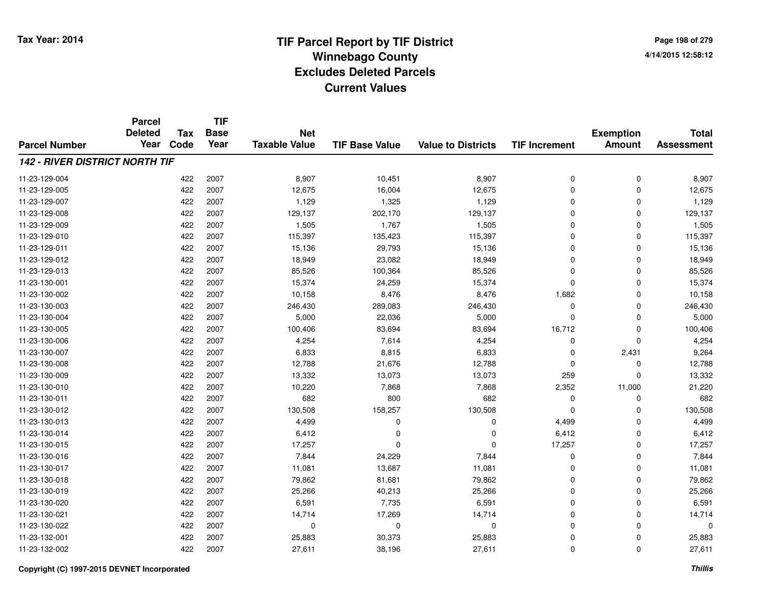**Page 198 of 2794/14/2015 12:58:12**

|                                       | <b>Parcel</b>          |                    | <b>TIF</b>          |                                    |                       |                           |                      |                                   |                                   |
|---------------------------------------|------------------------|--------------------|---------------------|------------------------------------|-----------------------|---------------------------|----------------------|-----------------------------------|-----------------------------------|
| <b>Parcel Number</b>                  | <b>Deleted</b><br>Year | <b>Tax</b><br>Code | <b>Base</b><br>Year | <b>Net</b><br><b>Taxable Value</b> | <b>TIF Base Value</b> | <b>Value to Districts</b> | <b>TIF Increment</b> | <b>Exemption</b><br><b>Amount</b> | <b>Total</b><br><b>Assessment</b> |
|                                       |                        |                    |                     |                                    |                       |                           |                      |                                   |                                   |
| <b>142 - RIVER DISTRICT NORTH TIF</b> |                        |                    |                     |                                    |                       |                           |                      |                                   |                                   |
| 11-23-129-004                         |                        | 422                | 2007                | 8,907                              | 10,451                | 8,907                     | 0                    | 0                                 | 8,907                             |
| 11-23-129-005                         |                        | 422                | 2007                | 12,675                             | 16,004                | 12,675                    | 0                    | 0                                 | 12,675                            |
| 11-23-129-007                         |                        | 422                | 2007                | 1,129                              | 1,325                 | 1,129                     | 0                    | 0                                 | 1,129                             |
| 11-23-129-008                         |                        | 422                | 2007                | 129,137                            | 202,170               | 129,137                   | 0                    | 0                                 | 129,137                           |
| 11-23-129-009                         |                        | 422                | 2007                | 1,505                              | 1,767                 | 1,505                     | 0                    | 0                                 | 1,505                             |
| 11-23-129-010                         |                        | 422                | 2007                | 115,397                            | 135,423               | 115,397                   | 0                    | 0                                 | 115,397                           |
| 11-23-129-011                         |                        | 422                | 2007                | 15,136                             | 29,793                | 15,136                    | 0                    | 0                                 | 15,136                            |
| 11-23-129-012                         |                        | 422                | 2007                | 18,949                             | 23,082                | 18,949                    | 0                    | 0                                 | 18,949                            |
| 11-23-129-013                         |                        | 422                | 2007                | 85,526                             | 100,364               | 85,526                    | $\overline{0}$       | 0                                 | 85,526                            |
| 11-23-130-001                         |                        | 422                | 2007                | 15,374                             | 24,259                | 15,374                    | $\mathbf 0$          | 0                                 | 15,374                            |
| 11-23-130-002                         |                        | 422                | 2007                | 10,158                             | 8,476                 | 8,476                     | 1,682                | 0                                 | 10,158                            |
| 11-23-130-003                         |                        | 422                | 2007                | 246,430                            | 289,083               | 246,430                   | 0                    | 0                                 | 246,430                           |
| 11-23-130-004                         |                        | 422                | 2007                | 5,000                              | 22,036                | 5,000                     | $\mathbf 0$          | 0                                 | 5,000                             |
| 11-23-130-005                         |                        | 422                | 2007                | 100,406                            | 83,694                | 83,694                    | 16,712               | 0                                 | 100,406                           |
| 11-23-130-006                         |                        | 422                | 2007                | 4,254                              | 7,614                 | 4,254                     | 0                    | 0                                 | 4,254                             |
| 11-23-130-007                         |                        | 422                | 2007                | 6,833                              | 8,815                 | 6,833                     | 0                    | 2,431                             | 9,264                             |
| 11-23-130-008                         |                        | 422                | 2007                | 12,788                             | 21,676                | 12,788                    | 0                    | 0                                 | 12,788                            |
| 11-23-130-009                         |                        | 422                | 2007                | 13,332                             | 13,073                | 13,073                    | 259                  | 0                                 | 13,332                            |
| 11-23-130-010                         |                        | 422                | 2007                | 10,220                             | 7,868                 | 7,868                     | 2,352                | 11,000                            | 21,220                            |
| 11-23-130-011                         |                        | 422                | 2007                | 682                                | 800                   | 682                       | 0                    | 0                                 | 682                               |
| 11-23-130-012                         |                        | 422                | 2007                | 130,508                            | 158,257               | 130,508                   | 0                    | 0                                 | 130,508                           |
| 11-23-130-013                         |                        | 422                | 2007                | 4,499                              | 0                     | 0                         | 4,499                | 0                                 | 4,499                             |
| 11-23-130-014                         |                        | 422                | 2007                | 6,412                              | $\Omega$              | 0                         | 6,412                | 0                                 | 6,412                             |
| 11-23-130-015                         |                        | 422                | 2007                | 17,257                             | $\Omega$              | 0                         | 17,257               | 0                                 | 17,257                            |
| 11-23-130-016                         |                        | 422                | 2007                | 7,844                              | 24,229                | 7,844                     | 0                    | 0                                 | 7,844                             |
| 11-23-130-017                         |                        | 422                | 2007                | 11,081                             | 13,687                | 11,081                    | 0                    | 0                                 | 11,081                            |
| 11-23-130-018                         |                        | 422                | 2007                | 79,862                             | 81,681                | 79,862                    | 0                    | 0                                 | 79,862                            |
| 11-23-130-019                         |                        | 422                | 2007                | 25,266                             | 40,213                | 25,266                    | 0                    | 0                                 | 25,266                            |
| 11-23-130-020                         |                        | 422                | 2007                | 6,591                              | 7,735                 | 6,591                     | 0                    | 0                                 | 6,591                             |
| 11-23-130-021                         |                        | 422                | 2007                | 14,714                             | 17,269                | 14,714                    | 0                    | 0                                 | 14,714                            |
| 11-23-130-022                         |                        | 422                | 2007                | $\mathbf 0$                        | 0                     | 0                         | 0                    | 0                                 | $\mathbf 0$                       |
| 11-23-132-001                         |                        | 422                | 2007                | 25,883                             | 30,373                | 25,883                    | 0                    | 0                                 | 25,883                            |
| 11-23-132-002                         |                        | 422                | 2007                | 27,611                             | 38,196                | 27,611                    | $\overline{0}$       | 0                                 | 27,611                            |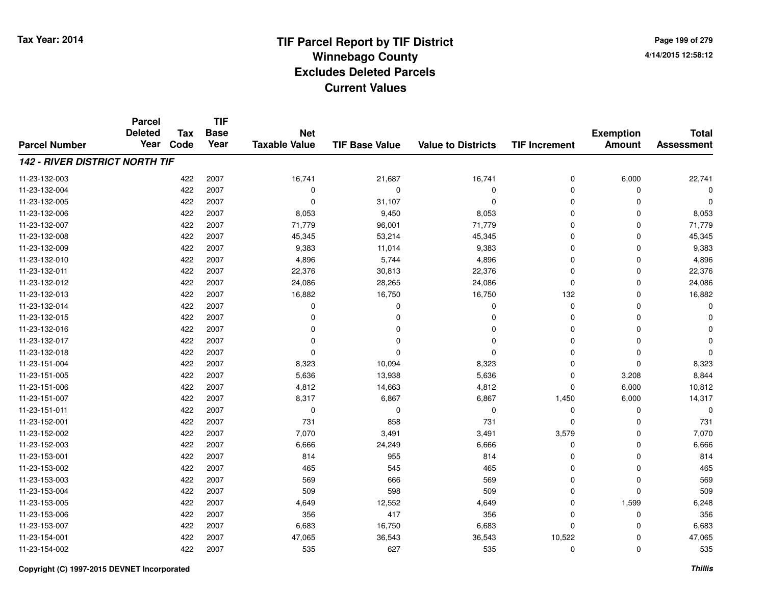**Page 199 of 2794/14/2015 12:58:12**

#### **TIF Base ValueParcel NumberTotal AssessmentExemption Amount Value to Districts TIF IncrementTIF Base YearTax CodeParcel Deleted YearNet Taxable Value142 - RIVER DISTRICT NORTH TIF**11-23-132-0033 422 2007 16,741 21,687 16,741 0 6,000 22,741 11-23-132-004 <sup>422</sup> <sup>0</sup> <sup>2007</sup> <sup>0</sup> <sup>0</sup> <sup>0</sup> <sup>0</sup> <sup>0</sup> 11-23-132-005 <sup>422</sup> <sup>0</sup> <sup>2007</sup> 31,107 <sup>0</sup> <sup>0</sup> <sup>0</sup> <sup>0</sup> 11-23-132-006 <sup>422</sup> 8,053 <sup>2007</sup> 9,450 8,053 <sup>0</sup> <sup>0</sup> 8,053 11-23-132-007 <sup>422</sup> 71,779 <sup>2007</sup> 96,001 71,779 <sup>0</sup> <sup>0</sup> 71,779 11-23-132-008 <sup>422</sup> 45,345 <sup>2007</sup> 53,214 45,345 <sup>0</sup> <sup>0</sup> 45,345 11-23-132-0099 422 2007 9,383 11,014 9,383 0 0 9,383 11-23-132-0100 422 2007 4,896 5,744 4,896 0 0 4,896 11-23-132-0111 422 2007 22,376 30,813 22,376 0 0 22,376 11-23-132-0122 422 2007 24,086 28,265 24,086 0 0 24,086 11-23-132-0133 422 2007 16,882 16,750 16,750 132 0 16,882 11-23-132-014 <sup>422</sup> <sup>0</sup> <sup>2007</sup> <sup>0</sup> <sup>0</sup> <sup>0</sup> <sup>0</sup> <sup>0</sup> 11-23-132-015 <sup>422</sup> <sup>0</sup> <sup>2007</sup> <sup>0</sup> <sup>0</sup> <sup>0</sup> <sup>0</sup> <sup>0</sup> 11-23-132-016 <sup>422</sup> <sup>0</sup> <sup>2007</sup> <sup>0</sup> <sup>0</sup> <sup>0</sup> <sup>0</sup> <sup>0</sup> 11-23-132-017 <sup>422</sup> <sup>0</sup> <sup>2007</sup> <sup>0</sup> <sup>0</sup> <sup>0</sup> <sup>0</sup> <sup>0</sup> 11-23-132-018 <sup>422</sup> <sup>0</sup> <sup>2007</sup> <sup>0</sup> <sup>0</sup> <sup>0</sup> <sup>0</sup> <sup>0</sup> 11-23-151-0044 22 2007 8,323 10,094 8,323 8,323 0 0 0 8,323 11-23-151-0055 422 2007 5,636 13,938 5,636 0 3,208 8,844 11-23-151-0066 422 2007 4,812 14,663 4,812 0 6,000 10,812 11-23-151-007 <sup>422</sup> 8,317 <sup>2007</sup> 6,867 6,867 1,450 6,000 14,317 11-23-151-011 <sup>422</sup> <sup>0</sup> <sup>2007</sup> <sup>0</sup> <sup>0</sup> <sup>0</sup> <sup>0</sup> <sup>0</sup> 11-23-152-0011 422 2007 731 858 731 0 731 11-23-152-002 <sup>422</sup> 7,070 <sup>2007</sup> 3,491 3,491 3,579 <sup>0</sup> 7,070 11-23-152-0033 422 2007 6,666 24,249 6,666 0 0 6,666 11-23-153-0011 422 2007 814 955 814 0 0 814 11-23-153-002 <sup>422</sup> <sup>465</sup> <sup>2007</sup> <sup>545</sup> <sup>465</sup> <sup>0</sup> <sup>0</sup> <sup>465</sup> 11-23-153-003 <sup>422</sup> <sup>569</sup> <sup>2007</sup> <sup>666</sup> <sup>569</sup> <sup>0</sup> <sup>0</sup> <sup>569</sup> 11-23-153-004 <sup>422</sup> <sup>509</sup> <sup>2007</sup> <sup>598</sup> <sup>509</sup> <sup>0</sup> <sup>0</sup> <sup>509</sup> 11-23-153-0055 422 2007 4,649 1,599 6,248 11-23-153-0066 422 2007 356 417 356 0 0 356 11-23-153-0077 422 2007 6,683 16,750 6,683 0 0 6,683 11-23-154-0011 422 2007 47,065 36,543 36,543 10,522 0 47,065 11-23-154-002<sup>422</sup> <sup>535</sup> <sup>2007</sup> <sup>627</sup> <sup>535</sup> <sup>0</sup> <sup>0</sup> <sup>535</sup>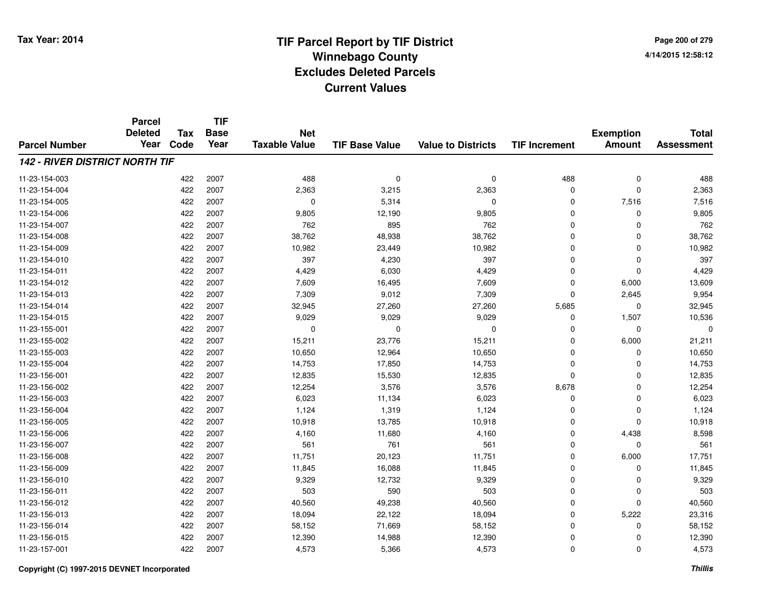**Page 200 of 2794/14/2015 12:58:12**

|                                       | <b>Parcel</b><br><b>Deleted</b> | <b>Tax</b> | <b>TIF</b><br><b>Base</b> | <b>Net</b>           |                       |                           |                      | <b>Exemption</b> | <b>Total</b>      |
|---------------------------------------|---------------------------------|------------|---------------------------|----------------------|-----------------------|---------------------------|----------------------|------------------|-------------------|
| <b>Parcel Number</b>                  | Year                            | Code       | Year                      | <b>Taxable Value</b> | <b>TIF Base Value</b> | <b>Value to Districts</b> | <b>TIF Increment</b> | <b>Amount</b>    | <b>Assessment</b> |
| <b>142 - RIVER DISTRICT NORTH TIF</b> |                                 |            |                           |                      |                       |                           |                      |                  |                   |
| 11-23-154-003                         |                                 | 422        | 2007                      | 488                  | $\mathbf 0$           | $\mathbf 0$               | 488                  | $\pmb{0}$        | 488               |
| 11-23-154-004                         |                                 | 422        | 2007                      | 2,363                | 3,215                 | 2,363                     | 0                    | $\mathbf 0$      | 2,363             |
| 11-23-154-005                         |                                 | 422        | 2007                      | 0                    | 5,314                 | 0                         | 0                    | 7,516            | 7,516             |
| 11-23-154-006                         |                                 | 422        | 2007                      | 9,805                | 12,190                | 9,805                     | 0                    | 0                | 9,805             |
| 11-23-154-007                         |                                 | 422        | 2007                      | 762                  | 895                   | 762                       | 0                    | $\mathbf 0$      | 762               |
| 11-23-154-008                         |                                 | 422        | 2007                      | 38,762               | 48,938                | 38,762                    | 0                    | 0                | 38,762            |
| 11-23-154-009                         |                                 | 422        | 2007                      | 10,982               | 23,449                | 10,982                    | 0                    | $\mathbf 0$      | 10,982            |
| 11-23-154-010                         |                                 | 422        | 2007                      | 397                  | 4,230                 | 397                       | 0                    | 0                | 397               |
| 11-23-154-011                         |                                 | 422        | 2007                      | 4,429                | 6,030                 | 4,429                     | 0                    | $\mathbf 0$      | 4,429             |
| 11-23-154-012                         |                                 | 422        | 2007                      | 7,609                | 16,495                | 7,609                     | 0                    | 6,000            | 13,609            |
| 11-23-154-013                         |                                 | 422        | 2007                      | 7,309                | 9,012                 | 7,309                     | 0                    | 2,645            | 9,954             |
| 11-23-154-014                         |                                 | 422        | 2007                      | 32,945               | 27,260                | 27,260                    | 5,685                | 0                | 32,945            |
| 11-23-154-015                         |                                 | 422        | 2007                      | 9,029                | 9,029                 | 9,029                     | 0                    | 1,507            | 10,536            |
| 11-23-155-001                         |                                 | 422        | 2007                      | 0                    | 0                     | 0                         | 0                    | 0                | $\Omega$          |
| 11-23-155-002                         |                                 | 422        | 2007                      | 15,211               | 23,776                | 15,211                    | 0                    | 6,000            | 21,211            |
| 11-23-155-003                         |                                 | 422        | 2007                      | 10,650               | 12,964                | 10,650                    | 0                    | 0                | 10,650            |
| 11-23-155-004                         |                                 | 422        | 2007                      | 14,753               | 17,850                | 14,753                    | 0                    | 0                | 14,753            |
| 11-23-156-001                         |                                 | 422        | 2007                      | 12,835               | 15,530                | 12,835                    | 0                    | 0                | 12,835            |
| 11-23-156-002                         |                                 | 422        | 2007                      | 12,254               | 3,576                 | 3,576                     | 8,678                | 0                | 12,254            |
| 11-23-156-003                         |                                 | 422        | 2007                      | 6,023                | 11,134                | 6,023                     | 0                    | 0                | 6,023             |
| 11-23-156-004                         |                                 | 422        | 2007                      | 1,124                | 1,319                 | 1,124                     | 0                    | 0                | 1,124             |
| 11-23-156-005                         |                                 | 422        | 2007                      | 10,918               | 13,785                | 10,918                    | 0                    | 0                | 10,918            |
| 11-23-156-006                         |                                 | 422        | 2007                      | 4,160                | 11,680                | 4,160                     | 0                    | 4,438            | 8,598             |
| 11-23-156-007                         |                                 | 422        | 2007                      | 561                  | 761                   | 561                       | 0                    | 0                | 561               |
| 11-23-156-008                         |                                 | 422        | 2007                      | 11,751               | 20,123                | 11,751                    | 0                    | 6,000            | 17,751            |
| 11-23-156-009                         |                                 | 422        | 2007                      | 11,845               | 16,088                | 11,845                    | 0                    | 0                | 11,845            |
| 11-23-156-010                         |                                 | 422        | 2007                      | 9,329                | 12,732                | 9,329                     | 0                    | 0                | 9,329             |
| 11-23-156-011                         |                                 | 422        | 2007                      | 503                  | 590                   | 503                       | 0                    | 0                | 503               |
| 11-23-156-012                         |                                 | 422        | 2007                      | 40,560               | 49,238                | 40,560                    | 0                    | 0                | 40,560            |
| 11-23-156-013                         |                                 | 422        | 2007                      | 18,094               | 22,122                | 18,094                    | 0                    | 5,222            | 23,316            |
| 11-23-156-014                         |                                 | 422        | 2007                      | 58,152               | 71,669                | 58,152                    | 0                    | 0                | 58,152            |
| 11-23-156-015                         |                                 | 422        | 2007                      | 12,390               | 14,988                | 12,390                    | 0                    | 0                | 12,390            |
| 11-23-157-001                         |                                 | 422        | 2007                      | 4,573                | 5,366                 | 4,573                     | 0                    | $\mathbf 0$      | 4,573             |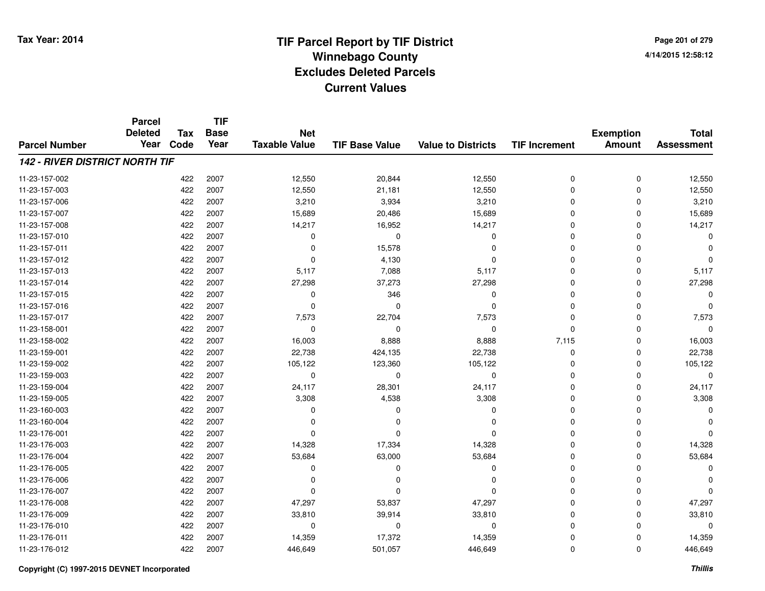**TIF**

**Parcel**

**Page 201 of 2794/14/2015 12:58:12**

| <b>Parcel Number</b>                  | ui vu<br><b>Deleted</b><br>Year | <b>Tax</b><br>Code | <b>Base</b><br>Year | <b>Net</b><br><b>Taxable Value</b> | <b>TIF Base Value</b> | <b>Value to Districts</b> | <b>TIF Increment</b> | <b>Exemption</b><br><b>Amount</b> | <b>Total</b><br><b>Assessment</b> |
|---------------------------------------|---------------------------------|--------------------|---------------------|------------------------------------|-----------------------|---------------------------|----------------------|-----------------------------------|-----------------------------------|
| <b>142 - RIVER DISTRICT NORTH TIF</b> |                                 |                    |                     |                                    |                       |                           |                      |                                   |                                   |
| 11-23-157-002                         |                                 | 422                | 2007                | 12,550                             | 20,844                | 12,550                    | 0                    | 0                                 | 12,550                            |
| 11-23-157-003                         |                                 | 422                | 2007                | 12,550                             | 21,181                | 12,550                    | 0                    | $\mathbf 0$                       | 12,550                            |
| 11-23-157-006                         |                                 | 422                | 2007                | 3,210                              | 3,934                 | 3,210                     | 0                    | 0                                 | 3,210                             |
| 11-23-157-007                         |                                 | 422                | 2007                | 15,689                             | 20,486                | 15,689                    | 0                    | 0                                 | 15,689                            |
| 11-23-157-008                         |                                 | 422                | 2007                | 14,217                             | 16,952                | 14,217                    | 0                    | 0                                 | 14,217                            |
| 11-23-157-010                         |                                 | 422                | 2007                | 0                                  | $\Omega$              | 0                         | $\Omega$             | 0                                 | $\Omega$                          |
| 11-23-157-011                         |                                 | 422                | 2007                | 0                                  | 15,578                | $\Omega$                  | 0                    | $\Omega$                          | ∩                                 |
| 11-23-157-012                         |                                 | 422                | 2007                | 0                                  | 4,130                 | $\Omega$                  | 0                    | $\Omega$                          | ∩                                 |
| 11-23-157-013                         |                                 | 422                | 2007                | 5,117                              | 7,088                 | 5,117                     | 0                    | $\mathbf 0$                       | 5,117                             |
| 11-23-157-014                         |                                 | 422                | 2007                | 27,298                             | 37,273                | 27,298                    | 0                    | 0                                 | 27,298                            |
| 11-23-157-015                         |                                 | 422                | 2007                | 0                                  | 346                   | 0                         | 0                    | 0                                 | $\Omega$                          |
| 11-23-157-016                         |                                 | 422                | 2007                | 0                                  | $\Omega$              | 0                         | 0                    | 0                                 | $\Omega$                          |
| 11-23-157-017                         |                                 | 422                | 2007                | 7,573                              | 22,704                | 7,573                     | 0                    | 0                                 | 7,573                             |
| 11-23-158-001                         |                                 | 422                | 2007                | 0                                  | $\Omega$              | 0                         | 0                    | 0                                 | $\Omega$                          |
| 11-23-158-002                         |                                 | 422                | 2007                | 16,003                             | 8,888                 | 8,888                     | 7,115                | 0                                 | 16,003                            |
| 11-23-159-001                         |                                 | 422                | 2007                | 22,738                             | 424,135               | 22,738                    | 0                    | $\mathbf 0$                       | 22,738                            |
| 11-23-159-002                         |                                 | 422                | 2007                | 105,122                            | 123,360               | 105,122                   | $\Omega$             | $\mathbf 0$                       | 105,122                           |
| 11-23-159-003                         |                                 | 422                | 2007                | 0                                  | $\Omega$              | 0                         | $\Omega$             | 0                                 | $\mathbf 0$                       |
| 11-23-159-004                         |                                 | 422                | 2007                | 24,117                             | 28,301                | 24,117                    | 0                    | 0                                 | 24,117                            |
| 11-23-159-005                         |                                 | 422                | 2007                | 3,308                              | 4,538                 | 3,308                     | 0                    | 0                                 | 3,308                             |
| 11-23-160-003                         |                                 | 422                | 2007                | 0                                  | 0                     | 0                         | 0                    | 0                                 | $\Omega$                          |
| 11-23-160-004                         |                                 | 422                | 2007                | O                                  | <sup>0</sup>          | $\Omega$                  | 0                    | 0                                 | <sup>0</sup>                      |
| 11-23-176-001                         |                                 | 422                | 2007                | 0                                  | $\Omega$              | $\Omega$                  | 0                    | 0                                 | $\Omega$                          |
| 11-23-176-003                         |                                 | 422                | 2007                | 14,328                             | 17,334                | 14,328                    | 0                    | 0                                 | 14,328                            |
| 11-23-176-004                         |                                 | 422                | 2007                | 53,684                             | 63,000                | 53,684                    | $\Omega$             | $\Omega$                          | 53,684                            |
| 11-23-176-005                         |                                 | 422                | 2007                | 0                                  | $\Omega$              | 0                         | $\Omega$             | $\Omega$                          | $\Omega$                          |
| 11-23-176-006                         |                                 | 422                | 2007                | $\Omega$                           | <sup>0</sup>          | $\Omega$                  | $\Omega$             | 0                                 | ∩                                 |
| 11-23-176-007                         |                                 | 422                | 2007                | 0                                  | $\Omega$              | $\Omega$                  | 0                    | $\mathbf 0$                       | $\Omega$                          |
| 11-23-176-008                         |                                 | 422                | 2007                | 47,297                             | 53,837                | 47,297                    | 0                    | $\mathbf 0$                       | 47,297                            |
| 11-23-176-009                         |                                 | 422                | 2007                | 33,810                             | 39,914                | 33,810                    | 0                    | 0                                 | 33,810                            |
| 11-23-176-010                         |                                 | 422                | 2007                | 0                                  | 0                     | 0                         | 0                    | 0                                 | $\Omega$                          |
| 11-23-176-011                         |                                 | 422                | 2007                | 14,359                             | 17,372                | 14,359                    | 0                    | 0                                 | 14,359                            |
| 11-23-176-012                         |                                 | 422                | 2007                | 446,649                            | 501,057               | 446,649                   | 0                    | 0                                 | 446,649                           |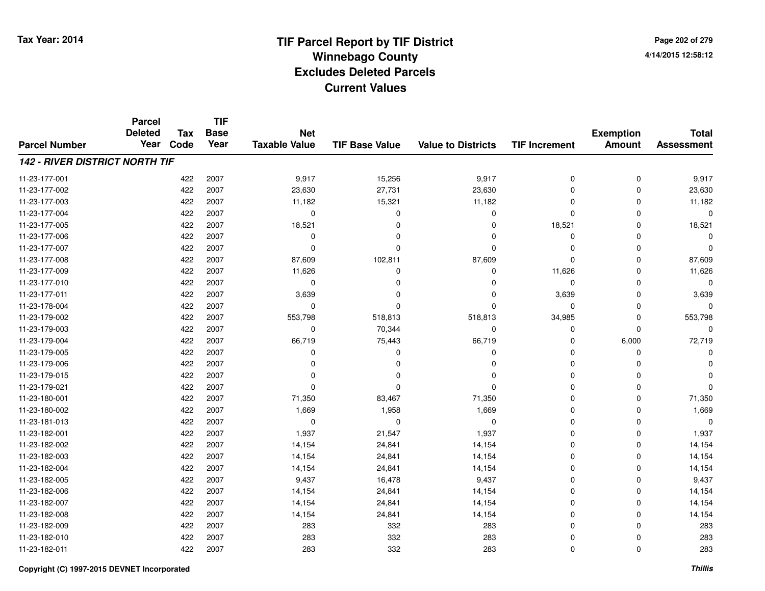**Page 202 of 2794/14/2015 12:58:12**

|                                       | <b>Parcel</b>  |            | <b>TIF</b>  |                      |                       |                           |                      |                  |                   |
|---------------------------------------|----------------|------------|-------------|----------------------|-----------------------|---------------------------|----------------------|------------------|-------------------|
|                                       | <b>Deleted</b> | <b>Tax</b> | <b>Base</b> | <b>Net</b>           |                       |                           |                      | <b>Exemption</b> | <b>Total</b>      |
| <b>Parcel Number</b>                  | Year           | Code       | Year        | <b>Taxable Value</b> | <b>TIF Base Value</b> | <b>Value to Districts</b> | <b>TIF Increment</b> | <b>Amount</b>    | <b>Assessment</b> |
| <b>142 - RIVER DISTRICT NORTH TIF</b> |                |            |             |                      |                       |                           |                      |                  |                   |
| 11-23-177-001                         |                | 422        | 2007        | 9,917                | 15,256                | 9,917                     | 0                    | 0                | 9,917             |
| 11-23-177-002                         |                | 422        | 2007        | 23,630               | 27,731                | 23,630                    | $\mathbf 0$          | $\mathbf 0$      | 23,630            |
| 11-23-177-003                         |                | 422        | 2007        | 11,182               | 15,321                | 11,182                    | 0                    | 0                | 11,182            |
| 11-23-177-004                         |                | 422        | 2007        | 0                    | $\Omega$              | $\mathbf 0$               | $\Omega$             | $\Omega$         | 0                 |
| 11-23-177-005                         |                | 422        | 2007        | 18,521               | $\Omega$              | $\Omega$                  | 18,521               | $\Omega$         | 18,521            |
| 11-23-177-006                         |                | 422        | 2007        | 0                    |                       | $\Omega$                  | $\mathbf 0$          | $\Omega$         | $\Omega$          |
| 11-23-177-007                         |                | 422        | 2007        | $\mathbf 0$          | $\Omega$              | $\Omega$                  | $\mathbf 0$          | $\Omega$         | $\Omega$          |
| 11-23-177-008                         |                | 422        | 2007        | 87,609               | 102,811               | 87,609                    | $\Omega$             | $\Omega$         | 87,609            |
| 11-23-177-009                         |                | 422        | 2007        | 11,626               | $\Omega$              | 0                         | 11,626               | $\Omega$         | 11,626            |
| 11-23-177-010                         |                | 422        | 2007        | 0                    | 0                     | $\Omega$                  | 0                    | $\Omega$         | 0                 |
| 11-23-177-011                         |                | 422        | 2007        | 3,639                |                       | $\Omega$                  | 3,639                | $\Omega$         | 3,639             |
| 11-23-178-004                         |                | 422        | 2007        | 0                    | O                     | $\Omega$                  | 0                    | $\Omega$         | U                 |
| 11-23-179-002                         |                | 422        | 2007        | 553,798              | 518,813               | 518,813                   | 34,985               | $\Omega$         | 553,798           |
| 11-23-179-003                         |                | 422        | 2007        | 0                    | 70,344                | $\Omega$                  | 0                    | $\Omega$         | 0                 |
| 11-23-179-004                         |                | 422        | 2007        | 66,719               | 75,443                | 66,719                    | $\mathbf 0$          | 6,000            | 72,719            |
| 11-23-179-005                         |                | 422        | 2007        | 0                    | O                     | 0                         | 0                    | 0                |                   |
| 11-23-179-006                         |                | 422        | 2007        | $\Omega$             | $\Omega$              | 0                         | $\mathbf 0$          | 0                |                   |
| 11-23-179-015                         |                | 422        | 2007        | $\Omega$             | 0                     | 0                         | 0                    | 0                |                   |
| 11-23-179-021                         |                | 422        | 2007        | $\Omega$             | n                     | 0                         | 0                    | 0                |                   |
| 11-23-180-001                         |                | 422        | 2007        | 71,350               | 83,467                | 71,350                    | 0                    | $\mathbf 0$      | 71,350            |
| 11-23-180-002                         |                | 422        | 2007        | 1,669                | 1,958                 | 1,669                     | 0                    | 0                | 1,669             |
| 11-23-181-013                         |                | 422        | 2007        | $\mathbf 0$          | $\mathbf 0$           | $\mathbf 0$               | $\mathbf 0$          | $\Omega$         | $\Omega$          |
| 11-23-182-001                         |                | 422        | 2007        | 1,937                | 21,547                | 1,937                     | 0                    | $\mathbf 0$      | 1,937             |
| 11-23-182-002                         |                | 422        | 2007        | 14,154               | 24,841                | 14,154                    | 0                    | $\Omega$         | 14,154            |
| 11-23-182-003                         |                | 422        | 2007        | 14,154               | 24,841                | 14,154                    | 0                    | $\mathbf 0$      | 14,154            |
| 11-23-182-004                         |                | 422        | 2007        | 14,154               | 24,841                | 14,154                    | 0                    | $\Omega$         | 14,154            |
| 11-23-182-005                         |                | 422        | 2007        | 9,437                | 16,478                | 9,437                     | 0                    | $\Omega$         | 9,437             |
| 11-23-182-006                         |                | 422        | 2007        | 14,154               | 24,841                | 14,154                    | 0                    | $\Omega$         | 14,154            |
| 11-23-182-007                         |                | 422        | 2007        | 14,154               | 24,841                | 14,154                    | 0                    | 0                | 14,154            |
| 11-23-182-008                         |                | 422        | 2007        | 14,154               | 24,841                | 14,154                    | 0                    | $\Omega$         | 14,154            |
| 11-23-182-009                         |                | 422        | 2007        | 283                  | 332                   | 283                       | $\mathbf 0$          | $\Omega$         | 283               |
| 11-23-182-010                         |                | 422        | 2007        | 283                  | 332                   | 283                       | 0                    | $\Omega$         | 283               |
| 11-23-182-011                         |                | 422        | 2007        | 283                  | 332                   | 283                       | 0                    | $\Omega$         | 283               |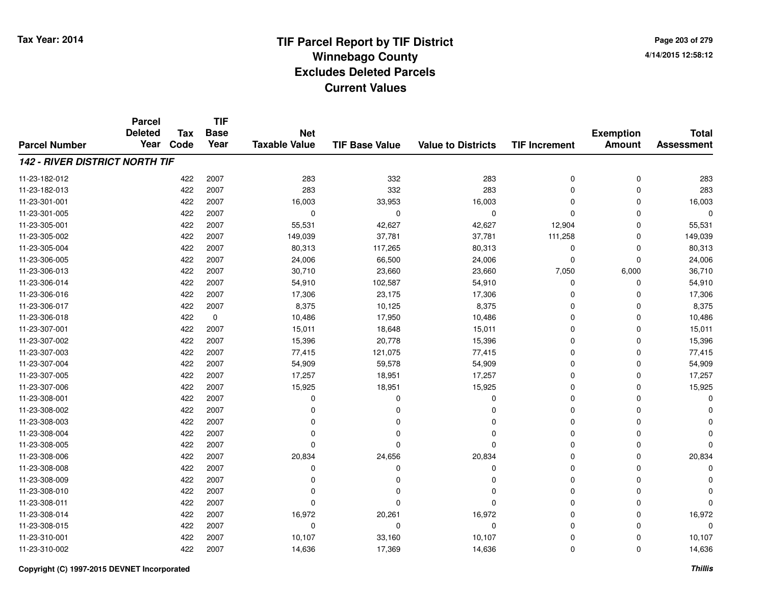**Page 203 of 2794/14/2015 12:58:12**

|                                       | <b>Parcel</b><br><b>Deleted</b> |                    | <b>TIF</b>          |                                    |                       |                           |                      |                                   |                                   |
|---------------------------------------|---------------------------------|--------------------|---------------------|------------------------------------|-----------------------|---------------------------|----------------------|-----------------------------------|-----------------------------------|
| <b>Parcel Number</b>                  | Year                            | <b>Tax</b><br>Code | <b>Base</b><br>Year | <b>Net</b><br><b>Taxable Value</b> | <b>TIF Base Value</b> | <b>Value to Districts</b> | <b>TIF Increment</b> | <b>Exemption</b><br><b>Amount</b> | <b>Total</b><br><b>Assessment</b> |
|                                       |                                 |                    |                     |                                    |                       |                           |                      |                                   |                                   |
| <b>142 - RIVER DISTRICT NORTH TIF</b> |                                 |                    |                     |                                    |                       |                           |                      |                                   |                                   |
| 11-23-182-012                         |                                 | 422                | 2007                | 283                                | 332                   | 283                       | 0                    | 0                                 | 283                               |
| 11-23-182-013                         |                                 | 422                | 2007                | 283                                | 332                   | 283                       | 0                    | 0                                 | 283                               |
| 11-23-301-001                         |                                 | 422                | 2007                | 16,003                             | 33,953                | 16,003                    | $\Omega$             | $\mathbf 0$                       | 16,003                            |
| 11-23-301-005                         |                                 | 422                | 2007                | 0                                  | 0                     | 0                         | 0                    | 0                                 | $\mathbf 0$                       |
| 11-23-305-001                         |                                 | 422                | 2007                | 55,531                             | 42,627                | 42,627                    | 12,904               | $\mathbf 0$                       | 55,531                            |
| 11-23-305-002                         |                                 | 422                | 2007                | 149,039                            | 37,781                | 37,781                    | 111,258              | 0                                 | 149,039                           |
| 11-23-305-004                         |                                 | 422                | 2007                | 80,313                             | 117,265               | 80,313                    | 0                    | $\mathbf 0$                       | 80,313                            |
| 11-23-306-005                         |                                 | 422                | 2007                | 24,006                             | 66,500                | 24,006                    | 0                    | 0                                 | 24,006                            |
| 11-23-306-013                         |                                 | 422                | 2007                | 30,710                             | 23,660                | 23,660                    | 7,050                | 6,000                             | 36,710                            |
| 11-23-306-014                         |                                 | 422                | 2007                | 54,910                             | 102,587               | 54,910                    | 0                    | 0                                 | 54,910                            |
| 11-23-306-016                         |                                 | 422                | 2007                | 17,306                             | 23,175                | 17,306                    | 0                    | $\mathbf 0$                       | 17,306                            |
| 11-23-306-017                         |                                 | 422                | 2007                | 8,375                              | 10,125                | 8,375                     | 0                    | 0                                 | 8,375                             |
| 11-23-306-018                         |                                 | 422                | $\pmb{0}$           | 10,486                             | 17,950                | 10,486                    | 0                    | $\mathbf 0$                       | 10,486                            |
| 11-23-307-001                         |                                 | 422                | 2007                | 15,011                             | 18,648                | 15,011                    | 0                    | 0                                 | 15,011                            |
| 11-23-307-002                         |                                 | 422                | 2007                | 15,396                             | 20,778                | 15,396                    | 0                    | 0                                 | 15,396                            |
| 11-23-307-003                         |                                 | 422                | 2007                | 77,415                             | 121,075               | 77,415                    | 0                    | 0                                 | 77,415                            |
| 11-23-307-004                         |                                 | 422                | 2007                | 54,909                             | 59,578                | 54,909                    | 0                    | $\mathbf 0$                       | 54,909                            |
| 11-23-307-005                         |                                 | 422                | 2007                | 17,257                             | 18,951                | 17,257                    | 0                    | 0                                 | 17,257                            |
| 11-23-307-006                         |                                 | 422                | 2007                | 15,925                             | 18,951                | 15,925                    | 0                    | $\mathbf 0$                       | 15,925                            |
| 11-23-308-001                         |                                 | 422                | 2007                | 0                                  | 0                     | 0                         | 0                    | 0                                 | O                                 |
| 11-23-308-002                         |                                 | 422                | 2007                | 0                                  | 0                     | 0                         | 0                    | 0                                 |                                   |
| 11-23-308-003                         |                                 | 422                | 2007                | 0                                  | 0                     | 0                         | 0                    | 0                                 |                                   |
| 11-23-308-004                         |                                 | 422                | 2007                | 0                                  | 0                     | $\Omega$                  | 0                    | 0                                 |                                   |
| 11-23-308-005                         |                                 | 422                | 2007                | 0                                  |                       | $\Omega$                  | 0                    | 0                                 |                                   |
| 11-23-308-006                         |                                 | 422                | 2007                | 20,834                             | 24,656                | 20,834                    | 0                    | $\mathbf 0$                       | 20,834                            |
| 11-23-308-008                         |                                 | 422                | 2007                | 0                                  | 0                     | 0                         | 0                    | 0                                 | O                                 |
| 11-23-308-009                         |                                 | 422                | 2007                | $\Omega$                           | 0                     | $\Omega$                  | 0                    | 0                                 |                                   |
| 11-23-308-010                         |                                 | 422                | 2007                | 0                                  |                       | $\Omega$                  | 0                    | 0                                 |                                   |
| 11-23-308-011                         |                                 | 422                | 2007                | $\Omega$                           | O                     | $\Omega$                  | 0                    | 0                                 | $\Omega$                          |
| 11-23-308-014                         |                                 | 422                | 2007                | 16,972                             | 20,261                | 16,972                    | 0                    | 0                                 | 16,972                            |
| 11-23-308-015                         |                                 | 422                | 2007                | 0                                  | 0                     | $\mathbf 0$               | 0                    | 0                                 | $\Omega$                          |
| 11-23-310-001                         |                                 | 422                | 2007                | 10,107                             | 33,160                | 10,107                    | 0                    | 0                                 | 10,107                            |
| 11-23-310-002                         |                                 | 422                | 2007                | 14,636                             | 17,369                | 14,636                    | 0                    | $\mathbf 0$                       | 14,636                            |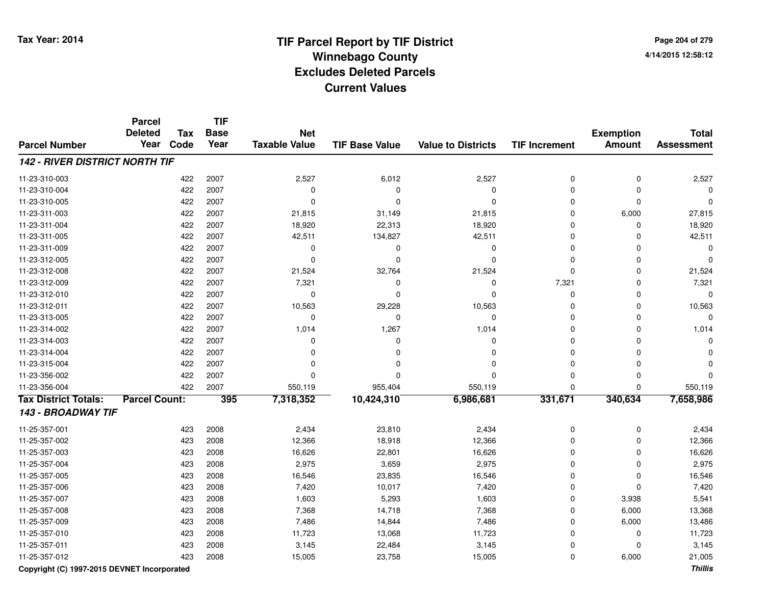**Page 204 of 2794/14/2015 12:58:12**

|                                       | <b>Parcel</b><br><b>Deleted</b> | <b>Tax</b> | <b>TIF</b><br><b>Base</b> | <b>Net</b>           |                       |                           |                      | <b>Exemption</b> | <b>Total</b>      |
|---------------------------------------|---------------------------------|------------|---------------------------|----------------------|-----------------------|---------------------------|----------------------|------------------|-------------------|
| <b>Parcel Number</b>                  | Year                            | Code       | Year                      | <b>Taxable Value</b> | <b>TIF Base Value</b> | <b>Value to Districts</b> | <b>TIF Increment</b> | <b>Amount</b>    | <b>Assessment</b> |
| <b>142 - RIVER DISTRICT NORTH TIF</b> |                                 |            |                           |                      |                       |                           |                      |                  |                   |
| 11-23-310-003                         |                                 | 422        | 2007                      | 2,527                | 6,012                 | 2,527                     | 0                    | 0                | 2,527             |
| 11-23-310-004                         |                                 | 422        | 2007                      | $\mathbf 0$          | $\mathbf 0$           | $\mathbf 0$               | $\Omega$             | $\mathbf 0$      |                   |
| 11-23-310-005                         |                                 | 422        | 2007                      | $\Omega$             | $\Omega$              | $\Omega$                  | $\Omega$             | $\Omega$         |                   |
| 11-23-311-003                         |                                 | 422        | 2007                      | 21,815               | 31,149                | 21,815                    | $\mathbf 0$          | 6,000            | 27,815            |
| 11-23-311-004                         |                                 | 422        | 2007                      | 18,920               | 22,313                | 18,920                    | $\Omega$             | $\mathbf 0$      | 18,920            |
| 11-23-311-005                         |                                 | 422        | 2007                      | 42,511               | 134,827               | 42,511                    | $\Omega$             | $\Omega$         | 42,511            |
| 11-23-311-009                         |                                 | 422        | 2007                      | 0                    | 0                     | $\mathbf 0$               | $\Omega$             | $\Omega$         |                   |
| 11-23-312-005                         |                                 | 422        | 2007                      | $\mathbf 0$          | 0                     | $\mathbf 0$               | $\Omega$             | 0                |                   |
| 11-23-312-008                         |                                 | 422        | 2007                      | 21,524               | 32,764                | 21,524                    | $\Omega$             | $\mathbf 0$      | 21,524            |
| 11-23-312-009                         |                                 | 422        | 2007                      | 7,321                | $\mathbf 0$           | $\mathbf 0$               | 7,321                | $\mathbf 0$      | 7,321             |
| 11-23-312-010                         |                                 | 422        | 2007                      | $\mathbf 0$          | $\Omega$              | $\mathbf 0$               | $\mathbf 0$          | $\mathbf 0$      | $\Omega$          |
| 11-23-312-011                         |                                 | 422        | 2007                      | 10,563               | 29,228                | 10,563                    | $\mathbf 0$          | $\mathbf 0$      | 10,563            |
| 11-23-313-005                         |                                 | 422        | 2007                      | 0                    | $\mathbf 0$           | $\pmb{0}$                 | $\mathbf 0$          | $\mathbf 0$      | $\Omega$          |
| 11-23-314-002                         |                                 | 422        | 2007                      | 1,014                | 1,267                 | 1,014                     | $\mathbf 0$          | $\mathbf 0$      | 1,014             |
| 11-23-314-003                         |                                 | 422        | 2007                      | 0                    | $\Omega$              | $\mathbf 0$               | $\Omega$             | $\Omega$         |                   |
| 11-23-314-004                         |                                 | 422        | 2007                      | $\Omega$             | $\Omega$              | 0                         | $\Omega$             | $\Omega$         |                   |
| 11-23-315-004                         |                                 | 422        | 2007                      | $\Omega$             | $\Omega$              | $\Omega$                  | $\Omega$             | $\Omega$         |                   |
| 11-23-356-002                         |                                 | 422        | 2007                      | $\Omega$             | $\Omega$              | $\Omega$                  | $\Omega$             | $\mathbf 0$      |                   |
| 11-23-356-004                         |                                 | 422        | 2007                      | 550,119              | 955,404               | 550,119                   | $\Omega$             | $\Omega$         | 550,119           |
| <b>Tax District Totals:</b>           | <b>Parcel Count:</b>            |            | 395                       | 7,318,352            | 10,424,310            | 6,986,681                 | 331,671              | 340,634          | 7,658,986         |
| 143 - BROADWAY TIF                    |                                 |            |                           |                      |                       |                           |                      |                  |                   |
| 11-25-357-001                         |                                 | 423        | 2008                      | 2,434                | 23,810                | 2,434                     | 0                    | $\pmb{0}$        | 2,434             |
| 11-25-357-002                         |                                 | 423        | 2008                      | 12,366               | 18,918                | 12,366                    | $\Omega$             | $\mathbf 0$      | 12,366            |
| 11-25-357-003                         |                                 | 423        | 2008                      | 16,626               | 22,801                | 16,626                    | $\Omega$             | $\mathbf 0$      | 16,626            |
| 11-25-357-004                         |                                 | 423        | 2008                      | 2,975                | 3,659                 | 2,975                     | $\Omega$             | $\mathbf 0$      | 2,975             |
| 11-25-357-005                         |                                 | 423        | 2008                      | 16,546               | 23,835                | 16,546                    | $\Omega$             | 0                | 16,546            |
| 11-25-357-006                         |                                 | 423        | 2008                      | 7,420                | 10,017                | 7,420                     | $\Omega$             | $\mathbf 0$      | 7,420             |
| 11-25-357-007                         |                                 | 423        | 2008                      | 1,603                | 5,293                 | 1,603                     | $\Omega$             | 3,938            | 5,541             |
| 11-25-357-008                         |                                 | 423        | 2008                      | 7,368                | 14,718                | 7,368                     | $\mathbf 0$          | 6,000            | 13,368            |
| 11-25-357-009                         |                                 | 423        | 2008                      | 7,486                | 14,844                | 7,486                     | $\mathbf 0$          | 6,000            | 13,486            |
| 11-25-357-010                         |                                 | 423        | 2008                      | 11,723               | 13,068                | 11,723                    | $\Omega$             | $\mathbf 0$      | 11,723            |
| 11-25-357-011                         |                                 | 423        | 2008                      | 3,145                | 22,484                | 3,145                     | $\Omega$             | $\Omega$         | 3,145             |
| 11-25-357-012                         |                                 | 423        | 2008                      | 15,005               | 23,758                | 15,005                    | $\Omega$             | 6,000            | 21,005            |

**Copyright (C) 1997-2015 DEVNET Incorporated**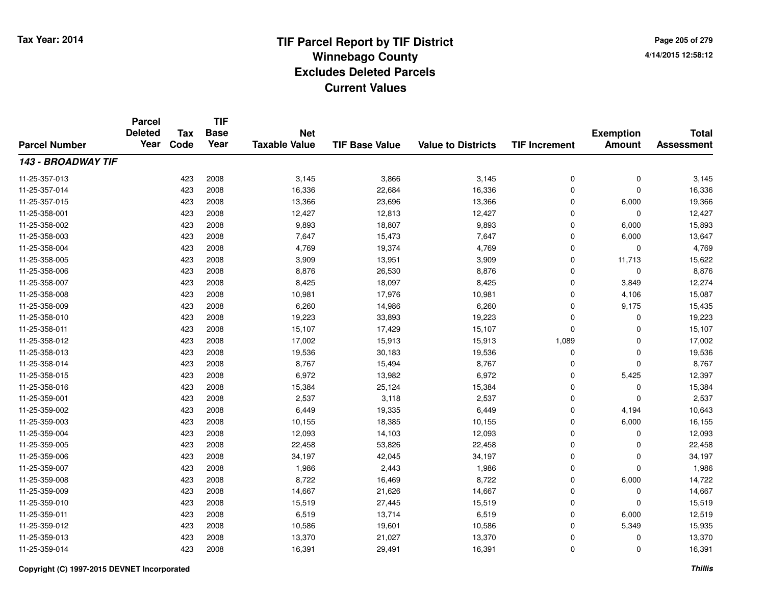# **TIF Parcel Report by TIF District Tax Year: 2014 Winnebago County04/14/2015 12:58:12** PM **Excludes Deleted ParcelsCurrent Values**

**Page 205 of 2794/14/2015 12:58:12**

|                      | <b>Parcel</b><br><b>Deleted</b> | <b>Tax</b> | <b>TIF</b><br><b>Base</b> | <b>Net</b>           |                       |                           |                      | <b>Exemption</b> | <b>Total</b>      |
|----------------------|---------------------------------|------------|---------------------------|----------------------|-----------------------|---------------------------|----------------------|------------------|-------------------|
| <b>Parcel Number</b> | Year                            | Code       | Year                      | <b>Taxable Value</b> | <b>TIF Base Value</b> | <b>Value to Districts</b> | <b>TIF Increment</b> | <b>Amount</b>    | <b>Assessment</b> |
| 143 - BROADWAY TIF   |                                 |            |                           |                      |                       |                           |                      |                  |                   |
| 11-25-357-013        |                                 | 423        | 2008                      | 3,145                | 3,866                 | 3,145                     | 0                    | $\pmb{0}$        | 3,145             |
| 11-25-357-014        |                                 | 423        | 2008                      | 16,336               | 22,684                | 16,336                    | 0                    | $\mathbf 0$      | 16,336            |
| 11-25-357-015        |                                 | 423        | 2008                      | 13,366               | 23,696                | 13,366                    | 0                    | 6,000            | 19,366            |
| 11-25-358-001        |                                 | 423        | 2008                      | 12,427               | 12,813                | 12,427                    | 0                    | 0                | 12,427            |
| 11-25-358-002        |                                 | 423        | 2008                      | 9,893                | 18,807                | 9,893                     | 0                    | 6,000            | 15,893            |
| 11-25-358-003        |                                 | 423        | 2008                      | 7,647                | 15,473                | 7,647                     | 0                    | 6,000            | 13,647            |
| 11-25-358-004        |                                 | 423        | 2008                      | 4,769                | 19,374                | 4,769                     | 0                    | $\mathbf 0$      | 4,769             |
| 11-25-358-005        |                                 | 423        | 2008                      | 3,909                | 13,951                | 3,909                     | 0                    | 11,713           | 15,622            |
| 11-25-358-006        |                                 | 423        | 2008                      | 8,876                | 26,530                | 8,876                     | 0                    | $\mathbf 0$      | 8,876             |
| 11-25-358-007        |                                 | 423        | 2008                      | 8,425                | 18,097                | 8,425                     | 0                    | 3,849            | 12,274            |
| 11-25-358-008        |                                 | 423        | 2008                      | 10,981               | 17,976                | 10,981                    | 0                    | 4,106            | 15,087            |
| 11-25-358-009        |                                 | 423        | 2008                      | 6,260                | 14,986                | 6,260                     | 0                    | 9,175            | 15,435            |
| 11-25-358-010        |                                 | 423        | 2008                      | 19,223               | 33,893                | 19,223                    | 0                    | 0                | 19,223            |
| 11-25-358-011        |                                 | 423        | 2008                      | 15,107               | 17,429                | 15,107                    | 0                    | 0                | 15,107            |
| 11-25-358-012        |                                 | 423        | 2008                      | 17,002               | 15,913                | 15,913                    | 1,089                | 0                | 17,002            |
| 11-25-358-013        |                                 | 423        | 2008                      | 19,536               | 30,183                | 19,536                    | 0                    | 0                | 19,536            |
| 11-25-358-014        |                                 | 423        | 2008                      | 8,767                | 15,494                | 8,767                     | 0                    | $\mathbf 0$      | 8,767             |
| 11-25-358-015        |                                 | 423        | 2008                      | 6,972                | 13,982                | 6,972                     | 0                    | 5,425            | 12,397            |
| 11-25-358-016        |                                 | 423        | 2008                      | 15,384               | 25,124                | 15,384                    | 0                    | 0                | 15,384            |
| 11-25-359-001        |                                 | 423        | 2008                      | 2,537                | 3,118                 | 2,537                     | 0                    | 0                | 2,537             |
| 11-25-359-002        |                                 | 423        | 2008                      | 6,449                | 19,335                | 6,449                     | 0                    | 4,194            | 10,643            |
| 11-25-359-003        |                                 | 423        | 2008                      | 10,155               | 18,385                | 10,155                    | 0                    | 6,000            | 16,155            |
| 11-25-359-004        |                                 | 423        | 2008                      | 12,093               | 14,103                | 12,093                    | 0                    | 0                | 12,093            |
| 11-25-359-005        |                                 | 423        | 2008                      | 22,458               | 53,826                | 22,458                    | 0                    | 0                | 22,458            |
| 11-25-359-006        |                                 | 423        | 2008                      | 34,197               | 42,045                | 34,197                    | 0                    | $\pmb{0}$        | 34,197            |
| 11-25-359-007        |                                 | 423        | 2008                      | 1,986                | 2,443                 | 1,986                     | 0                    | $\mathbf 0$      | 1,986             |
| 11-25-359-008        |                                 | 423        | 2008                      | 8,722                | 16,469                | 8,722                     | 0                    | 6,000            | 14,722            |
| 11-25-359-009        |                                 | 423        | 2008                      | 14,667               | 21,626                | 14,667                    | 0                    | 0                | 14,667            |
| 11-25-359-010        |                                 | 423        | 2008                      | 15,519               | 27,445                | 15,519                    | 0                    | 0                | 15,519            |
| 11-25-359-011        |                                 | 423        | 2008                      | 6,519                | 13,714                | 6,519                     | 0                    | 6,000            | 12,519            |
| 11-25-359-012        |                                 | 423        | 2008                      | 10,586               | 19,601                | 10,586                    | 0                    | 5,349            | 15,935            |
| 11-25-359-013        |                                 | 423        | 2008                      | 13,370               | 21,027                | 13,370                    | 0                    | 0                | 13,370            |
| 11-25-359-014        |                                 | 423        | 2008                      | 16,391               | 29,491                | 16,391                    | 0                    | $\mathbf 0$      | 16,391            |

### **Copyright (C) 1997-2015 DEVNET Incorporated**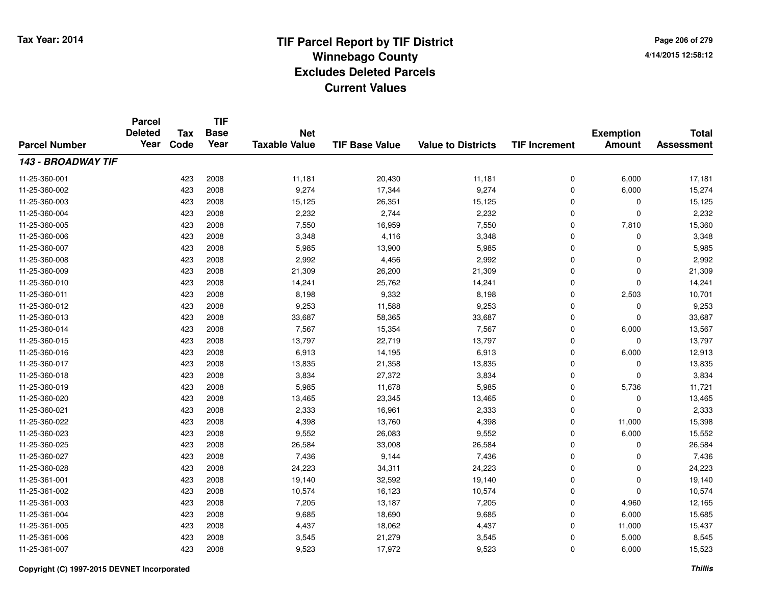**TIF**

**Parcel**

**Page 206 of 2794/14/2015 12:58:12**

| <b>Parcel Number</b> | <b>Deleted</b><br>Year | Tax<br>Code | <b>Base</b><br>Year | <b>Net</b><br><b>Taxable Value</b> | <b>TIF Base Value</b> | <b>Value to Districts</b> | <b>TIF Increment</b> | <b>Exemption</b><br><b>Amount</b> | <b>Total</b><br><b>Assessment</b> |
|----------------------|------------------------|-------------|---------------------|------------------------------------|-----------------------|---------------------------|----------------------|-----------------------------------|-----------------------------------|
| 143 - BROADWAY TIF   |                        |             |                     |                                    |                       |                           |                      |                                   |                                   |
| 11-25-360-001        |                        | 423         | 2008                | 11,181                             | 20,430                | 11,181                    | 0                    | 6,000                             | 17,181                            |
| 11-25-360-002        |                        | 423         | 2008                | 9,274                              | 17,344                | 9,274                     | 0                    | 6,000                             | 15,274                            |
| 11-25-360-003        |                        | 423         | 2008                | 15,125                             | 26,351                | 15,125                    | 0                    | 0                                 | 15,125                            |
| 11-25-360-004        |                        | 423         | 2008                | 2,232                              | 2,744                 | 2,232                     | 0                    | 0                                 | 2,232                             |
| 11-25-360-005        |                        | 423         | 2008                | 7,550                              | 16,959                | 7,550                     | 0                    | 7,810                             | 15,360                            |
| 11-25-360-006        |                        | 423         | 2008                | 3,348                              | 4,116                 | 3,348                     | 0                    | 0                                 | 3,348                             |
| 11-25-360-007        |                        | 423         | 2008                | 5,985                              | 13,900                | 5,985                     | 0                    | 0                                 | 5,985                             |
| 11-25-360-008        |                        | 423         | 2008                | 2,992                              | 4,456                 | 2,992                     | 0                    | 0                                 | 2,992                             |
| 11-25-360-009        |                        | 423         | 2008                | 21,309                             | 26,200                | 21,309                    | 0                    | 0                                 | 21,309                            |
| 11-25-360-010        |                        | 423         | 2008                | 14,241                             | 25,762                | 14,241                    | 0                    | 0                                 | 14,241                            |
| 11-25-360-011        |                        | 423         | 2008                | 8,198                              | 9,332                 | 8,198                     | 0                    | 2,503                             | 10,701                            |
| 11-25-360-012        |                        | 423         | 2008                | 9,253                              | 11,588                | 9,253                     | 0                    | 0                                 | 9,253                             |
| 11-25-360-013        |                        | 423         | 2008                | 33,687                             | 58,365                | 33,687                    | 0                    | 0                                 | 33,687                            |
| 11-25-360-014        |                        | 423         | 2008                | 7,567                              | 15,354                | 7,567                     | 0                    | 6,000                             | 13,567                            |
| 11-25-360-015        |                        | 423         | 2008                | 13,797                             | 22,719                | 13,797                    | 0                    | 0                                 | 13,797                            |
| 11-25-360-016        |                        | 423         | 2008                | 6,913                              | 14,195                | 6,913                     | 0                    | 6,000                             | 12,913                            |
| 11-25-360-017        |                        | 423         | 2008                | 13,835                             | 21,358                | 13,835                    | 0                    | 0                                 | 13,835                            |
| 11-25-360-018        |                        | 423         | 2008                | 3,834                              | 27,372                | 3,834                     | 0                    | 0                                 | 3,834                             |
| 11-25-360-019        |                        | 423         | 2008                | 5,985                              | 11,678                | 5,985                     | 0                    | 5,736                             | 11,721                            |
| 11-25-360-020        |                        | 423         | 2008                | 13,465                             | 23,345                | 13,465                    | 0                    | 0                                 | 13,465                            |
| 11-25-360-021        |                        | 423         | 2008                | 2,333                              | 16,961                | 2,333                     | 0                    | 0                                 | 2,333                             |
| 11-25-360-022        |                        | 423         | 2008                | 4,398                              | 13,760                | 4,398                     | 0                    | 11,000                            | 15,398                            |
| 11-25-360-023        |                        | 423         | 2008                | 9,552                              | 26,083                | 9,552                     | 0                    | 6,000                             | 15,552                            |
| 11-25-360-025        |                        | 423         | 2008                | 26,584                             | 33,008                | 26,584                    | 0                    | 0                                 | 26,584                            |
| 11-25-360-027        |                        | 423         | 2008                | 7,436                              | 9,144                 | 7,436                     | 0                    | 0                                 | 7,436                             |
| 11-25-360-028        |                        | 423         | 2008                | 24,223                             | 34,311                | 24,223                    | 0                    | 0                                 | 24,223                            |
| 11-25-361-001        |                        | 423         | 2008                | 19,140                             | 32,592                | 19,140                    | 0                    | 0                                 | 19,140                            |
| 11-25-361-002        |                        | 423         | 2008                | 10,574                             | 16,123                | 10,574                    | 0                    | 0                                 | 10,574                            |
| 11-25-361-003        |                        | 423         | 2008                | 7,205                              | 13,187                | 7,205                     | 0                    | 4,960                             | 12,165                            |
| 11-25-361-004        |                        | 423         | 2008                | 9,685                              | 18,690                | 9,685                     | 0                    | 6,000                             | 15,685                            |
| 11-25-361-005        |                        | 423         | 2008                | 4,437                              | 18,062                | 4,437                     | 0                    | 11,000                            | 15,437                            |
| 11-25-361-006        |                        | 423         | 2008                | 3,545                              | 21,279                | 3,545                     | 0                    | 5,000                             | 8,545                             |
| 11-25-361-007        |                        | 423         | 2008                | 9,523                              | 17,972                | 9,523                     | 0                    | 6,000                             | 15,523                            |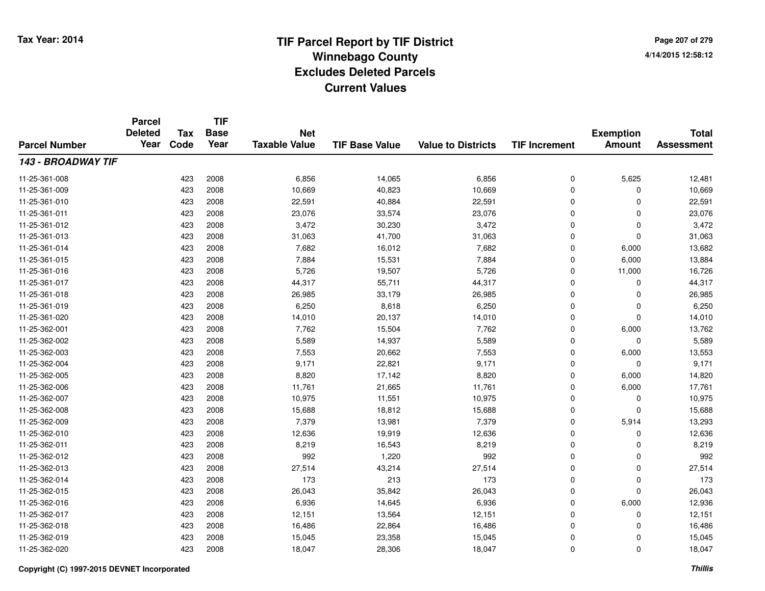**TIF**

**Parcel**

**Page 207 of 2794/14/2015 12:58:12**

|                      | <b>Deleted</b> | Tax  | <b>Base</b> | <b>Net</b>           |                       |                           |                      | <b>Exemption</b> | <b>Total</b>      |
|----------------------|----------------|------|-------------|----------------------|-----------------------|---------------------------|----------------------|------------------|-------------------|
| <b>Parcel Number</b> | Year           | Code | Year        | <b>Taxable Value</b> | <b>TIF Base Value</b> | <b>Value to Districts</b> | <b>TIF Increment</b> | <b>Amount</b>    | <b>Assessment</b> |
| 143 - BROADWAY TIF   |                |      |             |                      |                       |                           |                      |                  |                   |
| 11-25-361-008        |                | 423  | 2008        | 6,856                | 14,065                | 6,856                     | 0                    | 5,625            | 12,481            |
| 11-25-361-009        |                | 423  | 2008        | 10,669               | 40,823                | 10,669                    | 0                    | 0                | 10,669            |
| 11-25-361-010        |                | 423  | 2008        | 22,591               | 40,884                | 22,591                    | 0                    | 0                | 22,591            |
| 11-25-361-011        |                | 423  | 2008        | 23,076               | 33,574                | 23,076                    | 0                    | 0                | 23,076            |
| 11-25-361-012        |                | 423  | 2008        | 3,472                | 30,230                | 3,472                     | 0                    | 0                | 3,472             |
| 11-25-361-013        |                | 423  | 2008        | 31,063               | 41,700                | 31,063                    | 0                    | 0                | 31,063            |
| 11-25-361-014        |                | 423  | 2008        | 7,682                | 16,012                | 7,682                     | 0                    | 6,000            | 13,682            |
| 11-25-361-015        |                | 423  | 2008        | 7,884                | 15,531                | 7,884                     | $\mathbf 0$          | 6,000            | 13,884            |
| 11-25-361-016        |                | 423  | 2008        | 5,726                | 19,507                | 5,726                     | $\mathbf 0$          | 11,000           | 16,726            |
| 11-25-361-017        |                | 423  | 2008        | 44,317               | 55,711                | 44,317                    | 0                    | 0                | 44,317            |
| 11-25-361-018        |                | 423  | 2008        | 26,985               | 33,179                | 26,985                    | 0                    | 0                | 26,985            |
| 11-25-361-019        |                | 423  | 2008        | 6,250                | 8,618                 | 6,250                     | 0                    | 0                | 6,250             |
| 11-25-361-020        |                | 423  | 2008        | 14,010               | 20,137                | 14,010                    | 0                    | 0                | 14,010            |
| 11-25-362-001        |                | 423  | 2008        | 7,762                | 15,504                | 7,762                     | 0                    | 6,000            | 13,762            |
| 11-25-362-002        |                | 423  | 2008        | 5,589                | 14,937                | 5,589                     | 0                    | 0                | 5,589             |
| 11-25-362-003        |                | 423  | 2008        | 7,553                | 20,662                | 7,553                     | $\mathbf 0$          | 6,000            | 13,553            |
| 11-25-362-004        |                | 423  | 2008        | 9,171                | 22,821                | 9,171                     | 0                    | 0                | 9,171             |
| 11-25-362-005        |                | 423  | 2008        | 8,820                | 17,142                | 8,820                     | 0                    | 6,000            | 14,820            |
| 11-25-362-006        |                | 423  | 2008        | 11,761               | 21,665                | 11,761                    | 0                    | 6,000            | 17,761            |
| 11-25-362-007        |                | 423  | 2008        | 10,975               | 11,551                | 10,975                    | 0                    | 0                | 10,975            |
| 11-25-362-008        |                | 423  | 2008        | 15,688               | 18,812                | 15,688                    | 0                    | 0                | 15,688            |
| 11-25-362-009        |                | 423  | 2008        | 7,379                | 13,981                | 7,379                     | 0                    | 5,914            | 13,293            |
| 11-25-362-010        |                | 423  | 2008        | 12,636               | 19,919                | 12,636                    | 0                    | 0                | 12,636            |
| 11-25-362-011        |                | 423  | 2008        | 8,219                | 16,543                | 8,219                     | 0                    | 0                | 8,219             |
| 11-25-362-012        |                | 423  | 2008        | 992                  | 1,220                 | 992                       | $\mathbf 0$          | 0                | 992               |
| 11-25-362-013        |                | 423  | 2008        | 27,514               | 43,214                | 27,514                    | $\mathbf 0$          | 0                | 27,514            |
| 11-25-362-014        |                | 423  | 2008        | 173                  | 213                   | 173                       | $\mathbf 0$          | 0                | 173               |
| 11-25-362-015        |                | 423  | 2008        | 26,043               | 35,842                | 26,043                    | 0                    | 0                | 26,043            |
| 11-25-362-016        |                | 423  | 2008        | 6,936                | 14,645                | 6,936                     | 0                    | 6,000            | 12,936            |
| 11-25-362-017        |                | 423  | 2008        | 12,151               | 13,564                | 12,151                    | 0                    | 0                | 12,151            |
| 11-25-362-018        |                | 423  | 2008        | 16,486               | 22,864                | 16,486                    | 0                    | 0                | 16,486            |
| 11-25-362-019        |                | 423  | 2008        | 15,045               | 23,358                | 15,045                    | 0                    | 0                | 15,045            |
| 11-25-362-020        |                | 423  | 2008        | 18,047               | 28,306                | 18,047                    | 0                    | 0                | 18,047            |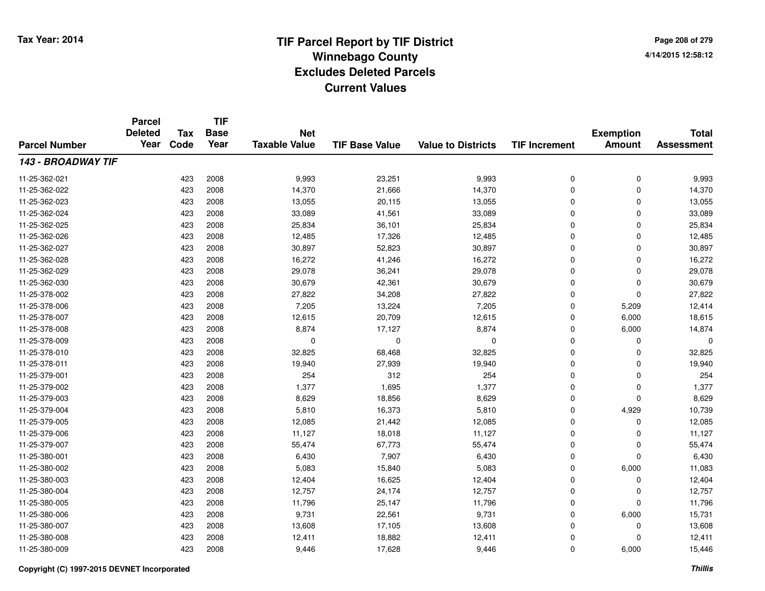**Page 208 of 2794/14/2015 12:58:12**

|                      | <b>Parcel</b><br><b>Deleted</b> | <b>Tax</b> | <b>TIF</b><br><b>Base</b> | <b>Net</b>           |                       |                           |                      | <b>Exemption</b> | <b>Total</b>      |
|----------------------|---------------------------------|------------|---------------------------|----------------------|-----------------------|---------------------------|----------------------|------------------|-------------------|
| <b>Parcel Number</b> | Year                            | Code       | Year                      | <b>Taxable Value</b> | <b>TIF Base Value</b> | <b>Value to Districts</b> | <b>TIF Increment</b> | <b>Amount</b>    | <b>Assessment</b> |
| 143 - BROADWAY TIF   |                                 |            |                           |                      |                       |                           |                      |                  |                   |
| 11-25-362-021        |                                 | 423        | 2008                      | 9,993                | 23,251                | 9,993                     | 0                    | 0                | 9,993             |
| 11-25-362-022        |                                 | 423        | 2008                      | 14,370               | 21,666                | 14,370                    | 0                    | 0                | 14,370            |
| 11-25-362-023        |                                 | 423        | 2008                      | 13,055               | 20,115                | 13,055                    | 0                    | 0                | 13,055            |
| 11-25-362-024        |                                 | 423        | 2008                      | 33,089               | 41,561                | 33,089                    | 0                    | 0                | 33,089            |
| 11-25-362-025        |                                 | 423        | 2008                      | 25,834               | 36,101                | 25,834                    | 0                    | 0                | 25,834            |
| 11-25-362-026        |                                 | 423        | 2008                      | 12,485               | 17,326                | 12,485                    | 0                    | 0                | 12,485            |
| 11-25-362-027        |                                 | 423        | 2008                      | 30,897               | 52,823                | 30,897                    | 0                    | 0                | 30,897            |
| 11-25-362-028        |                                 | 423        | 2008                      | 16,272               | 41,246                | 16,272                    | 0                    | 0                | 16,272            |
| 11-25-362-029        |                                 | 423        | 2008                      | 29,078               | 36,241                | 29,078                    | 0                    | 0                | 29,078            |
| 11-25-362-030        |                                 | 423        | 2008                      | 30,679               | 42,361                | 30,679                    | 0                    | 0                | 30,679            |
| 11-25-378-002        |                                 | 423        | 2008                      | 27,822               | 34,208                | 27,822                    | 0                    | 0                | 27,822            |
| 11-25-378-006        |                                 | 423        | 2008                      | 7,205                | 13,224                | 7,205                     | 0                    | 5,209            | 12,414            |
| 11-25-378-007        |                                 | 423        | 2008                      | 12,615               | 20,709                | 12,615                    | 0                    | 6,000            | 18,615            |
| 11-25-378-008        |                                 | 423        | 2008                      | 8,874                | 17,127                | 8,874                     | 0                    | 6,000            | 14,874            |
| 11-25-378-009        |                                 | 423        | 2008                      | $\mathbf 0$          | $\Omega$              | $\mathbf 0$               | 0                    | 0                | $\Omega$          |
| 11-25-378-010        |                                 | 423        | 2008                      | 32,825               | 68,468                | 32,825                    | 0                    | 0                | 32,825            |
| 11-25-378-011        |                                 | 423        | 2008                      | 19,940               | 27,939                | 19,940                    | 0                    | 0                | 19,940            |
| 11-25-379-001        |                                 | 423        | 2008                      | 254                  | 312                   | 254                       | 0                    | 0                | 254               |
| 11-25-379-002        |                                 | 423        | 2008                      | 1,377                | 1,695                 | 1,377                     | 0                    | 0                | 1,377             |
| 11-25-379-003        |                                 | 423        | 2008                      | 8,629                | 18,856                | 8,629                     | 0                    | 0                | 8,629             |
| 11-25-379-004        |                                 | 423        | 2008                      | 5,810                | 16,373                | 5,810                     | 0                    | 4,929            | 10,739            |
| 11-25-379-005        |                                 | 423        | 2008                      | 12,085               | 21,442                | 12,085                    | 0                    | 0                | 12,085            |
| 11-25-379-006        |                                 | 423        | 2008                      | 11,127               | 18,018                | 11,127                    | 0                    | 0                | 11,127            |
| 11-25-379-007        |                                 | 423        | 2008                      | 55,474               | 67,773                | 55,474                    | 0                    | 0                | 55,474            |
| 11-25-380-001        |                                 | 423        | 2008                      | 6,430                | 7,907                 | 6,430                     | 0                    | 0                | 6,430             |
| 11-25-380-002        |                                 | 423        | 2008                      | 5,083                | 15,840                | 5,083                     | 0                    | 6,000            | 11,083            |
| 11-25-380-003        |                                 | 423        | 2008                      | 12,404               | 16,625                | 12,404                    | 0                    | 0                | 12,404            |
| 11-25-380-004        |                                 | 423        | 2008                      | 12,757               | 24,174                | 12,757                    | 0                    | 0                | 12,757            |
| 11-25-380-005        |                                 | 423        | 2008                      | 11,796               | 25,147                | 11,796                    | 0                    | 0                | 11,796            |
| 11-25-380-006        |                                 | 423        | 2008                      | 9,731                | 22,561                | 9,731                     | 0                    | 6,000            | 15,731            |
| 11-25-380-007        |                                 | 423        | 2008                      | 13,608               | 17,105                | 13,608                    | 0                    | 0                | 13,608            |
| 11-25-380-008        |                                 | 423        | 2008                      | 12,411               | 18,882                | 12,411                    | 0                    | 0                | 12,411            |
| 11-25-380-009        |                                 | 423        | 2008                      | 9,446                | 17,628                | 9,446                     | 0                    | 6,000            | 15,446            |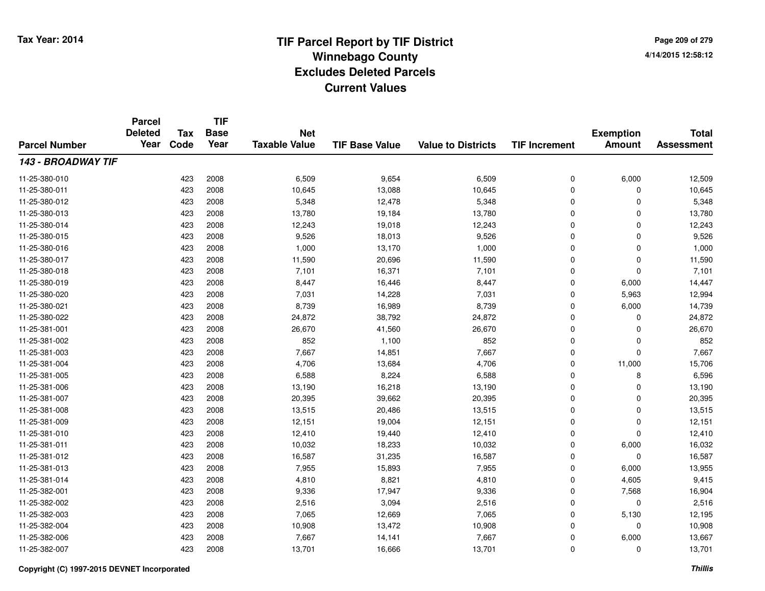**TIF**

**Parcel**

**Page 209 of 2794/14/2015 12:58:12**

| <b>Parcel Number</b> | <b>Deleted</b><br>Year | <b>Tax</b><br>Code | <b>Base</b><br>Year | <b>Net</b><br><b>Taxable Value</b> | <b>TIF Base Value</b> | <b>Value to Districts</b> | <b>TIF Increment</b> | <b>Exemption</b><br><b>Amount</b> | <b>Total</b><br><b>Assessment</b> |
|----------------------|------------------------|--------------------|---------------------|------------------------------------|-----------------------|---------------------------|----------------------|-----------------------------------|-----------------------------------|
| 143 - BROADWAY TIF   |                        |                    |                     |                                    |                       |                           |                      |                                   |                                   |
| 11-25-380-010        |                        | 423                | 2008                | 6,509                              | 9,654                 | 6,509                     | 0                    | 6,000                             | 12,509                            |
| 11-25-380-011        |                        | 423                | 2008                | 10,645                             | 13,088                | 10,645                    | 0                    | $\Omega$                          | 10,645                            |
| 11-25-380-012        |                        | 423                | 2008                | 5,348                              | 12,478                | 5,348                     | 0                    | $\Omega$                          | 5,348                             |
| 11-25-380-013        |                        | 423                | 2008                | 13,780                             | 19,184                | 13,780                    | 0                    | $\Omega$                          | 13,780                            |
| 11-25-380-014        |                        | 423                | 2008                | 12,243                             | 19,018                | 12,243                    | 0                    | 0                                 | 12,243                            |
| 11-25-380-015        |                        | 423                | 2008                | 9,526                              | 18,013                | 9,526                     | 0                    | $\mathbf 0$                       | 9,526                             |
| 11-25-380-016        |                        | 423                | 2008                | 1,000                              | 13,170                | 1,000                     | $\mathbf 0$          | $\mathbf 0$                       | 1,000                             |
| 11-25-380-017        |                        | 423                | 2008                | 11,590                             | 20,696                | 11,590                    | $\mathbf 0$          | $\mathbf 0$                       | 11,590                            |
| 11-25-380-018        |                        | 423                | 2008                | 7,101                              | 16,371                | 7,101                     | $\mathbf 0$          | $\Omega$                          | 7,101                             |
| 11-25-380-019        |                        | 423                | 2008                | 8,447                              | 16,446                | 8,447                     | $\mathbf 0$          | 6,000                             | 14,447                            |
| 11-25-380-020        |                        | 423                | 2008                | 7,031                              | 14,228                | 7,031                     | $\mathbf 0$          | 5,963                             | 12,994                            |
| 11-25-380-021        |                        | 423                | 2008                | 8,739                              | 16,989                | 8,739                     | $\mathbf 0$          | 6,000                             | 14,739                            |
| 11-25-380-022        |                        | 423                | 2008                | 24,872                             | 38,792                | 24,872                    | 0                    | 0                                 | 24,872                            |
| 11-25-381-001        |                        | 423                | 2008                | 26,670                             | 41,560                | 26,670                    | 0                    | $\Omega$                          | 26,670                            |
| 11-25-381-002        |                        | 423                | 2008                | 852                                | 1,100                 | 852                       | 0                    | $\Omega$                          | 852                               |
| 11-25-381-003        |                        | 423                | 2008                | 7,667                              | 14,851                | 7,667                     | $\mathbf 0$          | $\Omega$                          | 7,667                             |
| 11-25-381-004        |                        | 423                | 2008                | 4,706                              | 13,684                | 4,706                     | $\mathbf 0$          | 11,000                            | 15,706                            |
| 11-25-381-005        |                        | 423                | 2008                | 6,588                              | 8,224                 | 6,588                     | $\mathbf 0$          | 8                                 | 6,596                             |
| 11-25-381-006        |                        | 423                | 2008                | 13,190                             | 16,218                | 13,190                    | $\mathbf 0$          | $\Omega$                          | 13,190                            |
| 11-25-381-007        |                        | 423                | 2008                | 20,395                             | 39,662                | 20,395                    | $\mathbf 0$          | $\Omega$                          | 20,395                            |
| 11-25-381-008        |                        | 423                | 2008                | 13,515                             | 20,486                | 13,515                    | 0                    | 0                                 | 13,515                            |
| 11-25-381-009        |                        | 423                | 2008                | 12,151                             | 19,004                | 12,151                    | 0                    | 0                                 | 12,151                            |
| 11-25-381-010        |                        | 423                | 2008                | 12,410                             | 19,440                | 12,410                    | 0                    | $\Omega$                          | 12,410                            |
| 11-25-381-011        |                        | 423                | 2008                | 10,032                             | 18,233                | 10,032                    | 0                    | 6,000                             | 16,032                            |
| 11-25-381-012        |                        | 423                | 2008                | 16,587                             | 31,235                | 16,587                    | $\mathbf 0$          | $\Omega$                          | 16,587                            |
| 11-25-381-013        |                        | 423                | 2008                | 7,955                              | 15,893                | 7,955                     | $\mathbf 0$          | 6,000                             | 13,955                            |
| 11-25-381-014        |                        | 423                | 2008                | 4,810                              | 8,821                 | 4,810                     | $\mathbf 0$          | 4,605                             | 9,415                             |
| 11-25-382-001        |                        | 423                | 2008                | 9,336                              | 17,947                | 9,336                     | $\mathbf 0$          | 7,568                             | 16,904                            |
| 11-25-382-002        |                        | 423                | 2008                | 2,516                              | 3,094                 | 2,516                     | 0                    | 0                                 | 2,516                             |
| 11-25-382-003        |                        | 423                | 2008                | 7,065                              | 12,669                | 7,065                     | 0                    | 5,130                             | 12,195                            |
| 11-25-382-004        |                        | 423                | 2008                | 10,908                             | 13,472                | 10,908                    | 0                    | 0                                 | 10,908                            |
| 11-25-382-006        |                        | 423                | 2008                | 7,667                              | 14,141                | 7,667                     | 0                    | 6,000                             | 13,667                            |
| 11-25-382-007        |                        | 423                | 2008                | 13,701                             | 16,666                | 13,701                    | 0                    | 0                                 | 13,701                            |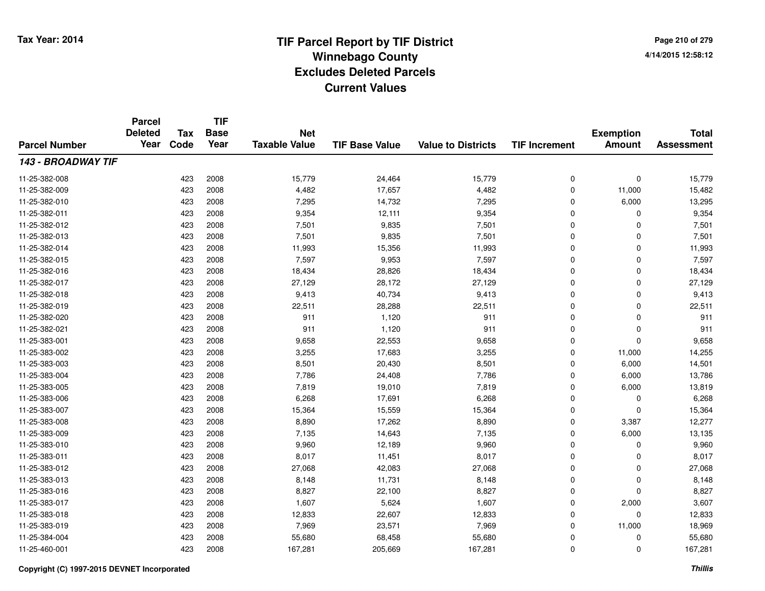**TIF**

**Parcel**

**Page 210 of 2794/14/2015 12:58:12**

| <b>Parcel Number</b> | <b>Deleted</b><br>Year | Tax<br>Code | <b>Base</b><br>Year | <b>Net</b><br><b>Taxable Value</b> | <b>TIF Base Value</b> | <b>Value to Districts</b> | <b>TIF Increment</b> | <b>Exemption</b><br><b>Amount</b> | <b>Total</b><br><b>Assessment</b> |
|----------------------|------------------------|-------------|---------------------|------------------------------------|-----------------------|---------------------------|----------------------|-----------------------------------|-----------------------------------|
| 143 - BROADWAY TIF   |                        |             |                     |                                    |                       |                           |                      |                                   |                                   |
| 11-25-382-008        |                        | 423         | 2008                | 15,779                             | 24,464                | 15,779                    | 0                    | 0                                 | 15,779                            |
| 11-25-382-009        |                        | 423         | 2008                | 4,482                              | 17,657                | 4,482                     | 0                    | 11,000                            | 15,482                            |
| 11-25-382-010        |                        | 423         | 2008                | 7,295                              | 14,732                | 7,295                     | 0                    | 6,000                             | 13,295                            |
| 11-25-382-011        |                        | 423         | 2008                | 9,354                              | 12,111                | 9,354                     | 0                    | 0                                 | 9,354                             |
| 11-25-382-012        |                        | 423         | 2008                | 7,501                              | 9,835                 | 7,501                     | 0                    | 0                                 | 7,501                             |
| 11-25-382-013        |                        | 423         | 2008                | 7,501                              | 9,835                 | 7,501                     | 0                    | 0                                 | 7,501                             |
| 11-25-382-014        |                        | 423         | 2008                | 11,993                             | 15,356                | 11,993                    | 0                    | 0                                 | 11,993                            |
| 11-25-382-015        |                        | 423         | 2008                | 7,597                              | 9,953                 | 7,597                     | 0                    | 0                                 | 7,597                             |
| 11-25-382-016        |                        | 423         | 2008                | 18,434                             | 28,826                | 18,434                    | 0                    | 0                                 | 18,434                            |
| 11-25-382-017        |                        | 423         | 2008                | 27,129                             | 28,172                | 27,129                    | 0                    | 0                                 | 27,129                            |
| 11-25-382-018        |                        | 423         | 2008                | 9,413                              | 40,734                | 9,413                     | 0                    | 0                                 | 9,413                             |
| 11-25-382-019        |                        | 423         | 2008                | 22,511                             | 28,288                | 22,511                    | 0                    | 0                                 | 22,511                            |
| 11-25-382-020        |                        | 423         | 2008                | 911                                | 1,120                 | 911                       | 0                    | 0                                 | 911                               |
| 11-25-382-021        |                        | 423         | 2008                | 911                                | 1,120                 | 911                       | 0                    | 0                                 | 911                               |
| 11-25-383-001        |                        | 423         | 2008                | 9,658                              | 22,553                | 9,658                     | 0                    | 0                                 | 9,658                             |
| 11-25-383-002        |                        | 423         | 2008                | 3,255                              | 17,683                | 3,255                     | 0                    | 11,000                            | 14,255                            |
| 11-25-383-003        |                        | 423         | 2008                | 8,501                              | 20,430                | 8,501                     | 0                    | 6,000                             | 14,501                            |
| 11-25-383-004        |                        | 423         | 2008                | 7,786                              | 24,408                | 7,786                     | 0                    | 6,000                             | 13,786                            |
| 11-25-383-005        |                        | 423         | 2008                | 7,819                              | 19,010                | 7,819                     | 0                    | 6,000                             | 13,819                            |
| 11-25-383-006        |                        | 423         | 2008                | 6,268                              | 17,691                | 6,268                     | 0                    | 0                                 | 6,268                             |
| 11-25-383-007        |                        | 423         | 2008                | 15,364                             | 15,559                | 15,364                    | 0                    | 0                                 | 15,364                            |
| 11-25-383-008        |                        | 423         | 2008                | 8,890                              | 17,262                | 8,890                     | 0                    | 3,387                             | 12,277                            |
| 11-25-383-009        |                        | 423         | 2008                | 7,135                              | 14,643                | 7,135                     | 0                    | 6,000                             | 13,135                            |
| 11-25-383-010        |                        | 423         | 2008                | 9,960                              | 12,189                | 9,960                     | 0                    | 0                                 | 9,960                             |
| 11-25-383-011        |                        | 423         | 2008                | 8,017                              | 11,451                | 8,017                     | 0                    | 0                                 | 8,017                             |
| 11-25-383-012        |                        | 423         | 2008                | 27,068                             | 42,083                | 27,068                    | 0                    | 0                                 | 27,068                            |
| 11-25-383-013        |                        | 423         | 2008                | 8,148                              | 11,731                | 8,148                     | 0                    | 0                                 | 8,148                             |
| 11-25-383-016        |                        | 423         | 2008                | 8,827                              | 22,100                | 8,827                     | 0                    | 0                                 | 8,827                             |
| 11-25-383-017        |                        | 423         | 2008                | 1,607                              | 5,624                 | 1,607                     | 0                    | 2,000                             | 3,607                             |
| 11-25-383-018        |                        | 423         | 2008                | 12,833                             | 22,607                | 12,833                    | 0                    | 0                                 | 12,833                            |
| 11-25-383-019        |                        | 423         | 2008                | 7,969                              | 23,571                | 7,969                     | 0                    | 11,000                            | 18,969                            |
| 11-25-384-004        |                        | 423         | 2008                | 55,680                             | 68,458                | 55,680                    | 0                    | 0                                 | 55,680                            |
| 11-25-460-001        |                        | 423         | 2008                | 167,281                            | 205,669               | 167,281                   | 0                    | 0                                 | 167,281                           |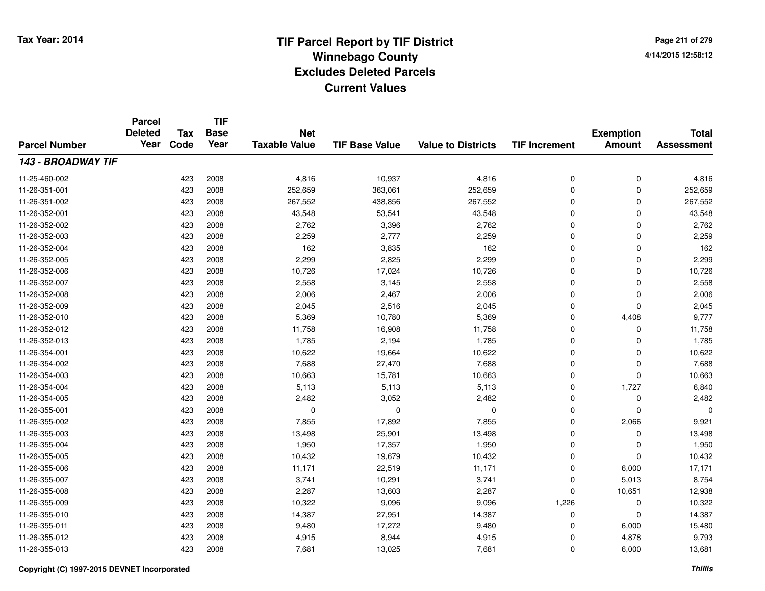**Page 211 of 2794/14/2015 12:58:12**

#### **TIF Base ValueParcel NumberTotal AssessmentExemption Amount Value to Districts TIF IncrementTIF Base YearTax CodeParcel Deleted YearNet Taxable Value143 - BROADWAY TIF**11-25-460-0022 423 2008 4,816 10,937 4,816 0 0 4,816 11-26-351-0011 423 2008 252,659 363,061 252,659 0 252,659 11-26-351-002 <sup>423</sup> 267,552 <sup>2008</sup> 438,856 267,552 <sup>0</sup> <sup>0</sup> 267,552 11-26-352-0011 423 2008 43,548 53,541 43,548 0 0 43,548 11-26-352-0022 423 2008 2,762 3,396 2,762 0 0 2,762 11-26-352-0033 2008 2,259 2,259 2,277 2,259 2,259 2,259 0 0 2,259 11-26-352-004 <sup>423</sup> <sup>162</sup> <sup>2008</sup> 3,835 <sup>162</sup> <sup>0</sup> <sup>0</sup> <sup>162</sup> 11-26-352-0055 423 2008 2,299 2,825 2,299 0 0 2,299 11-26-352-006 <sup>423</sup> 10,726 <sup>2008</sup> 17,024 10,726 <sup>0</sup> <sup>0</sup> 10,726 11-26-352-007 <sup>423</sup> 2,558 <sup>2008</sup> 3,145 2,558 <sup>0</sup> <sup>0</sup> 2,558 11-26-352-0088 423 2008 2,006 2,467 2,006 0 2,006 11-26-352-0099 423 2008 2,045 2,516 2,045 0 0 2,045 11-26-352-0100 423 2008 5,369 10,780 5,369 0 4,408 9,777 11-26-352-0122 423 2008 11,758 16,908 11,758 0 0 11,758 11-26-352-0133 423 2008 1,785 2,194 1,785 0 0 1,785 11-26-354-0011 423 2008 10,622 19,664 10,622 0 0 10,622 11-26-354-0022 423 2008 7,688 27,470 7,688 0 0 7,688 11-26-354-0033 423 2008 10,663 15,781 10,663 0 10,663 11-26-354-004 <sup>423</sup> 5,113 <sup>2008</sup> 5,113 5,113 <sup>0</sup> 1,727 6,840 11-26-354-005 <sup>423</sup> 2,482 <sup>2008</sup> 3,052 2,482 <sup>0</sup> <sup>0</sup> 2,482 11-26-355-001 <sup>423</sup> <sup>0</sup> <sup>2008</sup> <sup>0</sup> <sup>0</sup> <sup>0</sup> <sup>0</sup> <sup>0</sup> 11-26-355-0022 423 2008 7,855 17,892 7,855 0 2,066 9,921 11-26-355-0033 423 2008 13,498 25,901 13,498 0 0 13,498 11-26-355-004 <sup>423</sup> 1,950 <sup>2008</sup> 17,357 1,950 <sup>0</sup> <sup>0</sup> 1,950 11-26-355-005 <sup>423</sup> 10,432 <sup>2008</sup> 19,679 10,432 <sup>0</sup> <sup>0</sup> 10,432 11-26-355-006 <sup>423</sup> 11,171 <sup>2008</sup> 22,519 11,171 <sup>0</sup> 6,000 17,171 11-26-355-007 <sup>423</sup> 3,741 <sup>2008</sup> 10,291 3,741 <sup>0</sup> 5,013 8,754 11-26-355-008 <sup>423</sup> 2,287 <sup>2008</sup> 13,603 2,287 <sup>0</sup> 10,651 12,938 11-26-355-0099 423 2008 10,322 9,096 9,096 1,226 0 10,322 11-26-355-0100 423 2008 14,387 27,951 14,387 0 0 14,387 11-26-355-0111 423 2008 9,480 17,272 9,480 0 6,000 15,480 11-26-355-0122 423 2008 4,915 8,944 4,915 0 4,878 9,793 11-26-355-0133 423 2008 7,681 13,025 7,681 0 6,000 13,681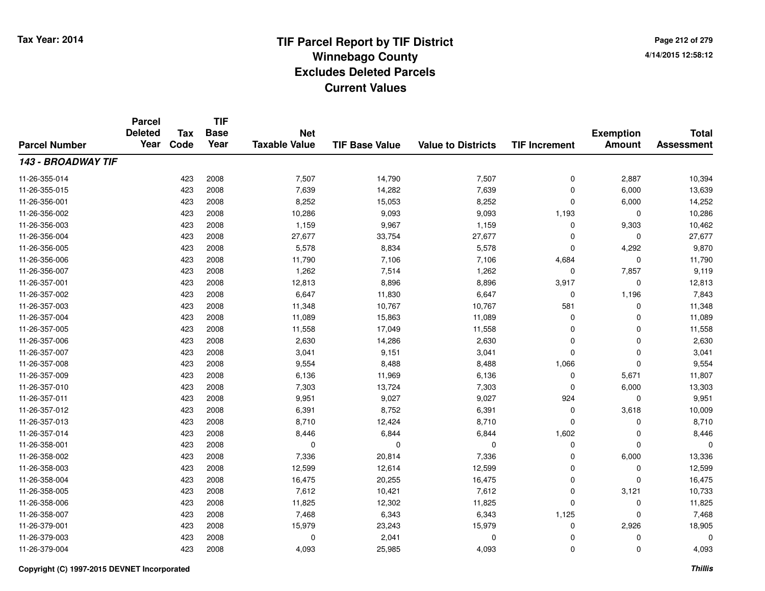**TIF**

**Parcel**

**Page 212 of 2794/14/2015 12:58:12**

| <b>Parcel Number</b> | <b>Deleted</b><br>Year | <b>Tax</b><br>Code | .<br><b>Base</b><br>Year | <b>Net</b><br><b>Taxable Value</b> | <b>TIF Base Value</b> | <b>Value to Districts</b> | <b>TIF Increment</b> | <b>Exemption</b><br><b>Amount</b> | <b>Total</b><br><b>Assessment</b> |
|----------------------|------------------------|--------------------|--------------------------|------------------------------------|-----------------------|---------------------------|----------------------|-----------------------------------|-----------------------------------|
| 143 - BROADWAY TIF   |                        |                    |                          |                                    |                       |                           |                      |                                   |                                   |
| 11-26-355-014        |                        | 423                | 2008                     | 7,507                              | 14,790                | 7,507                     | 0                    | 2,887                             | 10,394                            |
| 11-26-355-015        |                        | 423                | 2008                     | 7,639                              | 14,282                | 7,639                     | 0                    | 6,000                             | 13,639                            |
| 11-26-356-001        |                        | 423                | 2008                     | 8,252                              | 15,053                | 8,252                     | 0                    | 6,000                             | 14,252                            |
| 11-26-356-002        |                        | 423                | 2008                     | 10,286                             | 9,093                 | 9,093                     | 1,193                | 0                                 | 10,286                            |
| 11-26-356-003        |                        | 423                | 2008                     | 1,159                              | 9,967                 | 1,159                     | 0                    | 9,303                             | 10,462                            |
| 11-26-356-004        |                        | 423                | 2008                     | 27,677                             | 33,754                | 27,677                    | 0                    | $\Omega$                          | 27,677                            |
| 11-26-356-005        |                        | 423                | 2008                     | 5,578                              | 8,834                 | 5,578                     | 0                    | 4,292                             | 9,870                             |
| 11-26-356-006        |                        | 423                | 2008                     | 11,790                             | 7,106                 | 7,106                     | 4,684                | $\Omega$                          | 11,790                            |
| 11-26-356-007        |                        | 423                | 2008                     | 1,262                              | 7,514                 | 1,262                     | $\mathbf 0$          | 7,857                             | 9,119                             |
| 11-26-357-001        |                        | 423                | 2008                     | 12,813                             | 8,896                 | 8,896                     | 3,917                | $\mathbf 0$                       | 12,813                            |
| 11-26-357-002        |                        | 423                | 2008                     | 6,647                              | 11,830                | 6,647                     | 0                    | 1,196                             | 7,843                             |
| 11-26-357-003        |                        | 423                | 2008                     | 11,348                             | 10,767                | 10,767                    | 581                  | 0                                 | 11,348                            |
| 11-26-357-004        |                        | 423                | 2008                     | 11,089                             | 15,863                | 11,089                    | 0                    | $\Omega$                          | 11,089                            |
| 11-26-357-005        |                        | 423                | 2008                     | 11,558                             | 17,049                | 11,558                    | 0                    | 0                                 | 11,558                            |
| 11-26-357-006        |                        | 423                | 2008                     | 2,630                              | 14,286                | 2,630                     | $\Omega$             | 0                                 | 2,630                             |
| 11-26-357-007        |                        | 423                | 2008                     | 3,041                              | 9,151                 | 3,041                     | 0                    | $\Omega$                          | 3,041                             |
| 11-26-357-008        |                        | 423                | 2008                     | 9,554                              | 8,488                 | 8,488                     | 1,066                | $\Omega$                          | 9,554                             |
| 11-26-357-009        |                        | 423                | 2008                     | 6,136                              | 11,969                | 6,136                     | $\mathbf 0$          | 5,671                             | 11,807                            |
| 11-26-357-010        |                        | 423                | 2008                     | 7,303                              | 13,724                | 7,303                     | $\mathbf 0$          | 6,000                             | 13,303                            |
| 11-26-357-011        |                        | 423                | 2008                     | 9,951                              | 9,027                 | 9,027                     | 924                  | 0                                 | 9,951                             |
| 11-26-357-012        |                        | 423                | 2008                     | 6,391                              | 8,752                 | 6,391                     | 0                    | 3,618                             | 10,009                            |
| 11-26-357-013        |                        | 423                | 2008                     | 8,710                              | 12,424                | 8,710                     | 0                    | 0                                 | 8,710                             |
| 11-26-357-014        |                        | 423                | 2008                     | 8,446                              | 6,844                 | 6,844                     | 1,602                | 0                                 | 8,446                             |
| 11-26-358-001        |                        | 423                | 2008                     | 0                                  | 0                     | 0                         | 0                    | 0                                 | 0                                 |
| 11-26-358-002        |                        | 423                | 2008                     | 7,336                              | 20,814                | 7,336                     | $\Omega$             | 6,000                             | 13,336                            |
| 11-26-358-003        |                        | 423                | 2008                     | 12,599                             | 12,614                | 12,599                    | $\mathbf 0$          | $\Omega$                          | 12,599                            |
| 11-26-358-004        |                        | 423                | 2008                     | 16,475                             | 20,255                | 16,475                    | $\mathbf 0$          | $\Omega$                          | 16,475                            |
| 11-26-358-005        |                        | 423                | 2008                     | 7,612                              | 10,421                | 7,612                     | $\mathbf 0$          | 3,121                             | 10,733                            |
| 11-26-358-006        |                        | 423                | 2008                     | 11,825                             | 12,302                | 11,825                    | 0                    | 0                                 | 11,825                            |
| 11-26-358-007        |                        | 423                | 2008                     | 7,468                              | 6,343                 | 6,343                     | 1,125                | $\Omega$                          | 7,468                             |
| 11-26-379-001        |                        | 423                | 2008                     | 15,979                             | 23,243                | 15,979                    | 0                    | 2,926                             | 18,905                            |
| 11-26-379-003        |                        | 423                | 2008                     | $\Omega$                           | 2,041                 | 0                         | 0                    | 0                                 | 0                                 |
| 11-26-379-004        |                        | 423                | 2008                     | 4,093                              | 25,985                | 4,093                     | 0                    | 0                                 | 4,093                             |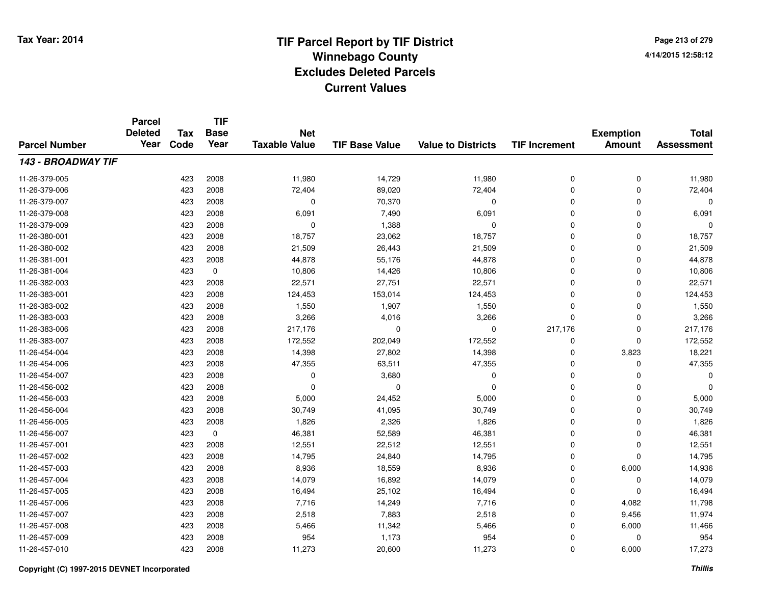**TIF**

**Parcel**

**Page 213 of 2794/14/2015 12:58:12**

| <b>Parcel Number</b> | <b>Deleted</b><br>Year | <b>Tax</b><br>Code | <b>Base</b><br>Year | <b>Net</b><br><b>Taxable Value</b> | <b>TIF Base Value</b> | <b>Value to Districts</b> | <b>TIF Increment</b> | <b>Exemption</b><br><b>Amount</b> | <b>Total</b><br><b>Assessment</b> |
|----------------------|------------------------|--------------------|---------------------|------------------------------------|-----------------------|---------------------------|----------------------|-----------------------------------|-----------------------------------|
| 143 - BROADWAY TIF   |                        |                    |                     |                                    |                       |                           |                      |                                   |                                   |
| 11-26-379-005        |                        | 423                | 2008                | 11,980                             | 14,729                | 11,980                    | 0                    | 0                                 | 11,980                            |
| 11-26-379-006        |                        | 423                | 2008                | 72,404                             | 89,020                | 72,404                    | 0                    | 0                                 | 72,404                            |
| 11-26-379-007        |                        | 423                | 2008                | $\mathbf 0$                        | 70,370                | $\mathbf 0$               | 0                    | 0                                 | 0                                 |
| 11-26-379-008        |                        | 423                | 2008                | 6,091                              | 7,490                 | 6,091                     | 0                    | $\Omega$                          | 6,091                             |
| 11-26-379-009        |                        | 423                | 2008                | $\Omega$                           | 1,388                 | $\mathbf 0$               | 0                    | 0                                 | $\Omega$                          |
| 11-26-380-001        |                        | 423                | 2008                | 18,757                             | 23,062                | 18,757                    | 0                    | 0                                 | 18,757                            |
| 11-26-380-002        |                        | 423                | 2008                | 21,509                             | 26,443                | 21,509                    | 0                    | 0                                 | 21,509                            |
| 11-26-381-001        |                        | 423                | 2008                | 44,878                             | 55,176                | 44,878                    | 0                    | 0                                 | 44,878                            |
| 11-26-381-004        |                        | 423                | $\mathbf 0$         | 10,806                             | 14,426                | 10,806                    | 0                    | 0                                 | 10,806                            |
| 11-26-382-003        |                        | 423                | 2008                | 22,571                             | 27,751                | 22,571                    | 0                    | 0                                 | 22,571                            |
| 11-26-383-001        |                        | 423                | 2008                | 124,453                            | 153,014               | 124,453                   | 0                    | $\Omega$                          | 124,453                           |
| 11-26-383-002        |                        | 423                | 2008                | 1,550                              | 1,907                 | 1,550                     | 0                    | 0                                 | 1,550                             |
| 11-26-383-003        |                        | 423                | 2008                | 3,266                              | 4,016                 | 3,266                     | $\mathbf 0$          | 0                                 | 3,266                             |
| 11-26-383-006        |                        | 423                | 2008                | 217,176                            | $\mathbf 0$           | $\mathbf 0$               | 217,176              | 0                                 | 217,176                           |
| 11-26-383-007        |                        | 423                | 2008                | 172,552                            | 202,049               | 172,552                   | 0                    | 0                                 | 172,552                           |
| 11-26-454-004        |                        | 423                | 2008                | 14,398                             | 27,802                | 14,398                    | 0                    | 3,823                             | 18,221                            |
| 11-26-454-006        |                        | 423                | 2008                | 47,355                             | 63,511                | 47,355                    | 0                    | 0                                 | 47,355                            |
| 11-26-454-007        |                        | 423                | 2008                | 0                                  | 3,680                 | 0                         | 0                    | 0                                 | 0                                 |
| 11-26-456-002        |                        | 423                | 2008                | $\Omega$                           | $\Omega$              | $\Omega$                  | 0                    | $\Omega$                          | $\Omega$                          |
| 11-26-456-003        |                        | 423                | 2008                | 5,000                              | 24,452                | 5,000                     | 0                    | 0                                 | 5,000                             |
| 11-26-456-004        |                        | 423                | 2008                | 30,749                             | 41,095                | 30,749                    | 0                    | 0                                 | 30,749                            |
| 11-26-456-005        |                        | 423                | 2008                | 1,826                              | 2,326                 | 1,826                     | 0                    | 0                                 | 1,826                             |
| 11-26-456-007        |                        | 423                | $\mathbf 0$         | 46,381                             | 52,589                | 46,381                    | 0                    | 0                                 | 46,381                            |
| 11-26-457-001        |                        | 423                | 2008                | 12,551                             | 22,512                | 12,551                    | 0                    | 0                                 | 12,551                            |
| 11-26-457-002        |                        | 423                | 2008                | 14,795                             | 24,840                | 14,795                    | 0                    | 0                                 | 14,795                            |
| 11-26-457-003        |                        | 423                | 2008                | 8,936                              | 18,559                | 8,936                     | 0                    | 6,000                             | 14,936                            |
| 11-26-457-004        |                        | 423                | 2008                | 14,079                             | 16,892                | 14,079                    | 0                    | 0                                 | 14,079                            |
| 11-26-457-005        |                        | 423                | 2008                | 16,494                             | 25,102                | 16,494                    | 0                    | 0                                 | 16,494                            |
| 11-26-457-006        |                        | 423                | 2008                | 7,716                              | 14,249                | 7,716                     | 0                    | 4,082                             | 11,798                            |
| 11-26-457-007        |                        | 423                | 2008                | 2,518                              | 7,883                 | 2,518                     | 0                    | 9,456                             | 11,974                            |
| 11-26-457-008        |                        | 423                | 2008                | 5,466                              | 11,342                | 5,466                     | 0                    | 6,000                             | 11,466                            |
| 11-26-457-009        |                        | 423                | 2008                | 954                                | 1,173                 | 954                       | 0                    | 0                                 | 954                               |
| 11-26-457-010        |                        | 423                | 2008                | 11,273                             | 20,600                | 11,273                    | 0                    | 6,000                             | 17,273                            |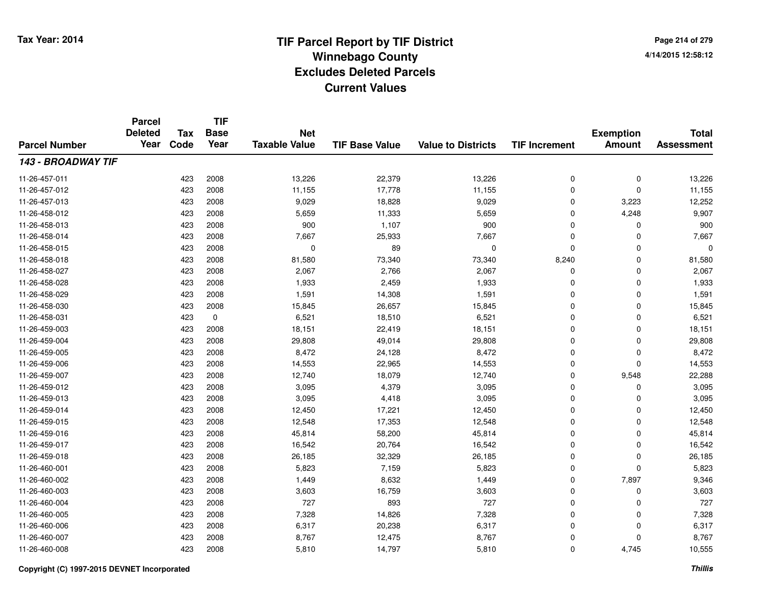**Page 214 of 2794/14/2015 12:58:12**

| <b>Parcel Number</b>      | <b>Parcel</b><br><b>Deleted</b><br>Year | Tax  | <b>TIF</b><br><b>Base</b> | <b>Net</b>           |                       |                           | <b>TIF Increment</b> | <b>Exemption</b><br><b>Amount</b> | <b>Total</b><br><b>Assessment</b> |
|---------------------------|-----------------------------------------|------|---------------------------|----------------------|-----------------------|---------------------------|----------------------|-----------------------------------|-----------------------------------|
|                           |                                         | Code | Year                      | <b>Taxable Value</b> | <b>TIF Base Value</b> | <b>Value to Districts</b> |                      |                                   |                                   |
| <b>143 - BROADWAY TIF</b> |                                         |      |                           |                      |                       |                           |                      |                                   |                                   |
| 11-26-457-011             |                                         | 423  | 2008                      | 13,226               | 22,379                | 13,226                    | 0                    | 0                                 | 13,226                            |
| 11-26-457-012             |                                         | 423  | 2008                      | 11,155               | 17,778                | 11,155                    | $\mathbf 0$          | $\mathbf 0$                       | 11,155                            |
| 11-26-457-013             |                                         | 423  | 2008                      | 9,029                | 18,828                | 9,029                     | 0                    | 3,223                             | 12,252                            |
| 11-26-458-012             |                                         | 423  | 2008                      | 5,659                | 11,333                | 5,659                     | 0                    | 4,248                             | 9,907                             |
| 11-26-458-013             |                                         | 423  | 2008                      | 900                  | 1,107                 | 900                       | 0                    | 0                                 | 900                               |
| 11-26-458-014             |                                         | 423  | 2008                      | 7,667                | 25,933                | 7,667                     | 0                    | $\Omega$                          | 7,667                             |
| 11-26-458-015             |                                         | 423  | 2008                      | $\mathbf 0$          | 89                    | $\mathbf 0$               | 0                    | $\Omega$                          | 0                                 |
| 11-26-458-018             |                                         | 423  | 2008                      | 81,580               | 73,340                | 73,340                    | 8,240                | $\Omega$                          | 81,580                            |
| 11-26-458-027             |                                         | 423  | 2008                      | 2,067                | 2,766                 | 2,067                     | 0                    | $\Omega$                          | 2,067                             |
| 11-26-458-028             |                                         | 423  | 2008                      | 1,933                | 2,459                 | 1,933                     | $\mathbf 0$          | $\Omega$                          | 1,933                             |
| 11-26-458-029             |                                         | 423  | 2008                      | 1,591                | 14,308                | 1,591                     | 0                    | $\Omega$                          | 1,591                             |
| 11-26-458-030             |                                         | 423  | 2008                      | 15,845               | 26,657                | 15,845                    | 0                    | $\Omega$                          | 15,845                            |
| 11-26-458-031             |                                         | 423  | 0                         | 6,521                | 18,510                | 6,521                     | $\mathbf 0$          | $\Omega$                          | 6,521                             |
| 11-26-459-003             |                                         | 423  | 2008                      | 18,151               | 22,419                | 18,151                    | 0                    | 0                                 | 18,151                            |
| 11-26-459-004             |                                         | 423  | 2008                      | 29,808               | 49,014                | 29,808                    | 0                    | 0                                 | 29,808                            |
| 11-26-459-005             |                                         | 423  | 2008                      | 8,472                | 24,128                | 8,472                     | 0                    | 0                                 | 8,472                             |
| 11-26-459-006             |                                         | 423  | 2008                      | 14,553               | 22,965                | 14,553                    | 0                    | $\mathbf 0$                       | 14,553                            |
| 11-26-459-007             |                                         | 423  | 2008                      | 12,740               | 18,079                | 12,740                    | 0                    | 9,548                             | 22,288                            |
| 11-26-459-012             |                                         | 423  | 2008                      | 3,095                | 4,379                 | 3,095                     | 0                    | 0                                 | 3,095                             |
| 11-26-459-013             |                                         | 423  | 2008                      | 3,095                | 4,418                 | 3,095                     | 0                    | 0                                 | 3,095                             |
| 11-26-459-014             |                                         | 423  | 2008                      | 12,450               | 17,221                | 12,450                    | 0                    | 0                                 | 12,450                            |
| 11-26-459-015             |                                         | 423  | 2008                      | 12,548               | 17,353                | 12,548                    | 0                    | $\mathbf 0$                       | 12,548                            |
| 11-26-459-016             |                                         | 423  | 2008                      | 45,814               | 58,200                | 45,814                    | 0                    | $\mathbf 0$                       | 45,814                            |
| 11-26-459-017             |                                         | 423  | 2008                      | 16,542               | 20,764                | 16,542                    | 0                    | $\mathbf 0$                       | 16,542                            |
| 11-26-459-018             |                                         | 423  | 2008                      | 26,185               | 32,329                | 26,185                    | 0                    | 0                                 | 26,185                            |
| 11-26-460-001             |                                         | 423  | 2008                      | 5,823                | 7,159                 | 5,823                     | 0                    | $\Omega$                          | 5,823                             |
| 11-26-460-002             |                                         | 423  | 2008                      | 1,449                | 8,632                 | 1,449                     | 0                    | 7,897                             | 9,346                             |
| 11-26-460-003             |                                         | 423  | 2008                      | 3,603                | 16,759                | 3,603                     | 0                    | 0                                 | 3,603                             |
| 11-26-460-004             |                                         | 423  | 2008                      | 727                  | 893                   | 727                       | 0                    | $\mathbf 0$                       | 727                               |
| 11-26-460-005             |                                         | 423  | 2008                      | 7,328                | 14,826                | 7,328                     | 0                    | 0                                 | 7,328                             |
| 11-26-460-006             |                                         | 423  | 2008                      | 6,317                | 20,238                | 6,317                     | $\mathbf 0$          | $\Omega$                          | 6,317                             |
| 11-26-460-007             |                                         | 423  | 2008                      | 8,767                | 12,475                | 8,767                     | 0                    | $\Omega$                          | 8,767                             |
| 11-26-460-008             |                                         | 423  | 2008                      | 5,810                | 14,797                | 5,810                     | 0                    | 4,745                             | 10,555                            |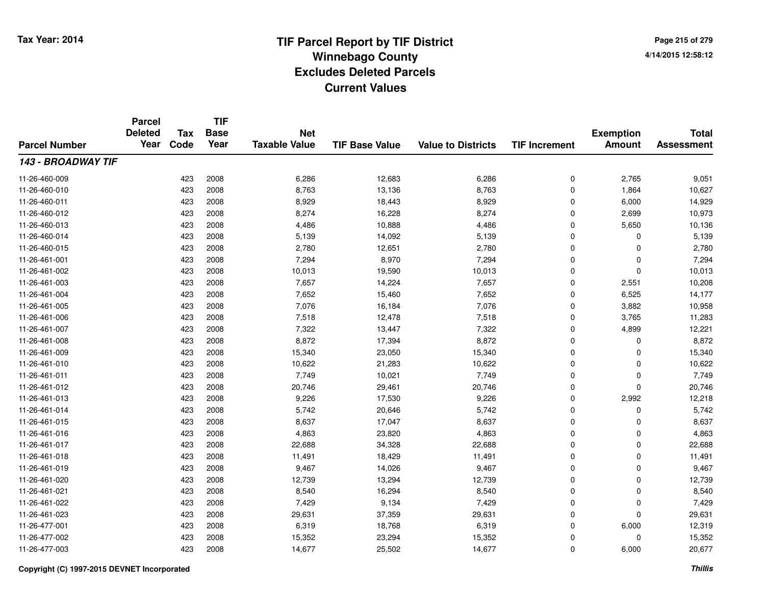**Page 215 of 2794/14/2015 12:58:12**

| <b>Parcel Number</b>      | <b>Parcel</b><br><b>Deleted</b><br>Year | <b>Tax</b> | <b>TIF</b><br><b>Base</b> | <b>Net</b><br><b>Taxable Value</b><br><b>TIF Base Value</b><br><b>Value to Districts</b> |        | <b>Exemption</b> | <b>Total</b>         |               |                   |
|---------------------------|-----------------------------------------|------------|---------------------------|------------------------------------------------------------------------------------------|--------|------------------|----------------------|---------------|-------------------|
|                           |                                         | Code       | Year                      |                                                                                          |        |                  | <b>TIF Increment</b> | <b>Amount</b> | <b>Assessment</b> |
| <b>143 - BROADWAY TIF</b> |                                         |            |                           |                                                                                          |        |                  |                      |               |                   |
| 11-26-460-009             |                                         | 423        | 2008                      | 6,286                                                                                    | 12,683 | 6,286            | 0                    | 2,765         | 9,051             |
| 11-26-460-010             |                                         | 423        | 2008                      | 8,763                                                                                    | 13,136 | 8,763            | 0                    | 1,864         | 10,627            |
| 11-26-460-011             |                                         | 423        | 2008                      | 8,929                                                                                    | 18,443 | 8,929            | 0                    | 6,000         | 14,929            |
| 11-26-460-012             |                                         | 423        | 2008                      | 8,274                                                                                    | 16,228 | 8,274            | 0                    | 2,699         | 10,973            |
| 11-26-460-013             |                                         | 423        | 2008                      | 4,486                                                                                    | 10,888 | 4,486            | 0                    | 5,650         | 10,136            |
| 11-26-460-014             |                                         | 423        | 2008                      | 5,139                                                                                    | 14,092 | 5,139            | 0                    | 0             | 5,139             |
| 11-26-460-015             |                                         | 423        | 2008                      | 2,780                                                                                    | 12,651 | 2,780            | 0                    | 0             | 2,780             |
| 11-26-461-001             |                                         | 423        | 2008                      | 7,294                                                                                    | 8,970  | 7,294            | 0                    | 0             | 7,294             |
| 11-26-461-002             |                                         | 423        | 2008                      | 10,013                                                                                   | 19,590 | 10,013           | 0                    | 0             | 10,013            |
| 11-26-461-003             |                                         | 423        | 2008                      | 7,657                                                                                    | 14,224 | 7,657            | 0                    | 2,551         | 10,208            |
| 11-26-461-004             |                                         | 423        | 2008                      | 7,652                                                                                    | 15,460 | 7,652            | 0                    | 6,525         | 14,177            |
| 11-26-461-005             |                                         | 423        | 2008                      | 7,076                                                                                    | 16,184 | 7,076            | 0                    | 3,882         | 10,958            |
| 11-26-461-006             |                                         | 423        | 2008                      | 7,518                                                                                    | 12,478 | 7,518            | 0                    | 3,765         | 11,283            |
| 11-26-461-007             |                                         | 423        | 2008                      | 7,322                                                                                    | 13,447 | 7,322            | 0                    | 4,899         | 12,221            |
| 11-26-461-008             |                                         | 423        | 2008                      | 8,872                                                                                    | 17,394 | 8,872            | 0                    | 0             | 8,872             |
| 11-26-461-009             |                                         | 423        | 2008                      | 15,340                                                                                   | 23,050 | 15,340           | 0                    | 0             | 15,340            |
| 11-26-461-010             |                                         | 423        | 2008                      | 10,622                                                                                   | 21,283 | 10,622           | 0                    | 0             | 10,622            |
| 11-26-461-011             |                                         | 423        | 2008                      | 7,749                                                                                    | 10,021 | 7,749            | 0                    | 0             | 7,749             |
| 11-26-461-012             |                                         | 423        | 2008                      | 20,746                                                                                   | 29,461 | 20,746           | 0                    | 0             | 20,746            |
| 11-26-461-013             |                                         | 423        | 2008                      | 9,226                                                                                    | 17,530 | 9,226            | 0                    | 2,992         | 12,218            |
| 11-26-461-014             |                                         | 423        | 2008                      | 5,742                                                                                    | 20,646 | 5,742            | 0                    | 0             | 5,742             |
| 11-26-461-015             |                                         | 423        | 2008                      | 8,637                                                                                    | 17,047 | 8,637            | 0                    | 0             | 8,637             |
| 11-26-461-016             |                                         | 423        | 2008                      | 4,863                                                                                    | 23,820 | 4,863            | 0                    | 0             | 4,863             |
| 11-26-461-017             |                                         | 423        | 2008                      | 22,688                                                                                   | 34,328 | 22,688           | 0                    | 0             | 22,688            |
| 11-26-461-018             |                                         | 423        | 2008                      | 11,491                                                                                   | 18,429 | 11,491           | 0                    | 0             | 11,491            |
| 11-26-461-019             |                                         | 423        | 2008                      | 9,467                                                                                    | 14,026 | 9,467            | 0                    | 0             | 9,467             |
| 11-26-461-020             |                                         | 423        | 2008                      | 12,739                                                                                   | 13,294 | 12,739           | 0                    | 0             | 12,739            |
| 11-26-461-021             |                                         | 423        | 2008                      | 8,540                                                                                    | 16,294 | 8,540            | 0                    | 0             | 8,540             |
| 11-26-461-022             |                                         | 423        | 2008                      | 7,429                                                                                    | 9,134  | 7,429            | 0                    | 0             | 7,429             |
| 11-26-461-023             |                                         | 423        | 2008                      | 29,631                                                                                   | 37,359 | 29,631           | 0                    | 0             | 29,631            |
| 11-26-477-001             |                                         | 423        | 2008                      | 6,319                                                                                    | 18,768 | 6,319            | 0                    | 6,000         | 12,319            |
| 11-26-477-002             |                                         | 423        | 2008                      | 15,352                                                                                   | 23,294 | 15,352           | 0                    | 0             | 15,352            |
| 11-26-477-003             |                                         | 423        | 2008                      | 14,677                                                                                   | 25,502 | 14,677           | 0                    | 6,000         | 20,677            |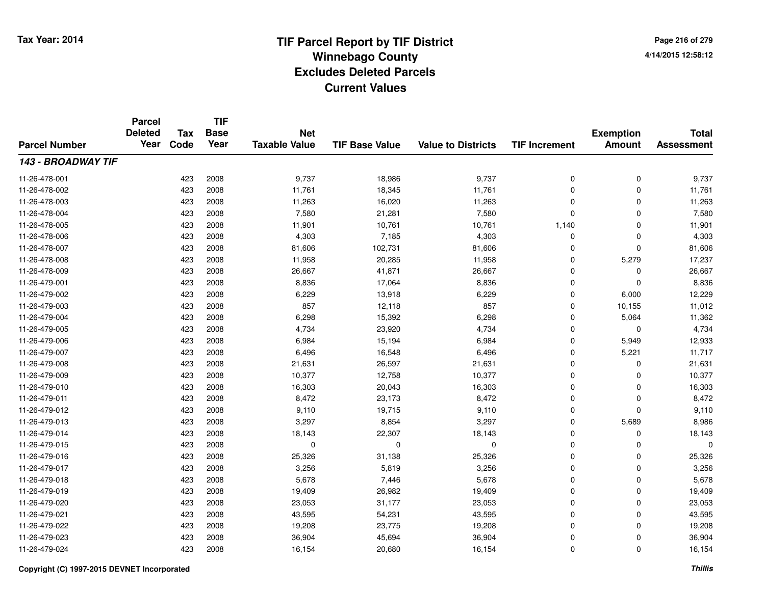**TIF**

**Parcel**

**Page 216 of 2794/14/2015 12:58:12**

| <b>Parcel Number</b> | <b>Deleted</b><br>Year | Tax<br>Code | <b>Base</b><br>Year | <b>Net</b><br><b>Taxable Value</b> | <b>TIF Base Value</b> | <b>Value to Districts</b> | <b>TIF Increment</b> | <b>Exemption</b><br><b>Amount</b> | <b>Total</b><br><b>Assessment</b> |
|----------------------|------------------------|-------------|---------------------|------------------------------------|-----------------------|---------------------------|----------------------|-----------------------------------|-----------------------------------|
| 143 - BROADWAY TIF   |                        |             |                     |                                    |                       |                           |                      |                                   |                                   |
| 11-26-478-001        |                        | 423         | 2008                | 9,737                              | 18,986                | 9,737                     | 0                    | $\mathbf 0$                       | 9,737                             |
| 11-26-478-002        |                        | 423         | 2008                | 11,761                             | 18,345                | 11,761                    | $\mathbf 0$          | 0                                 | 11,761                            |
| 11-26-478-003        |                        | 423         | 2008                | 11,263                             | 16,020                | 11,263                    | 0                    | $\Omega$                          | 11,263                            |
| 11-26-478-004        |                        | 423         | 2008                | 7,580                              | 21,281                | 7,580                     | $\mathbf 0$          | $\Omega$                          | 7,580                             |
| 11-26-478-005        |                        | 423         | 2008                | 11,901                             | 10,761                | 10,761                    | 1,140                | $\Omega$                          | 11,901                            |
| 11-26-478-006        |                        | 423         | 2008                | 4,303                              | 7,185                 | 4,303                     | $\mathbf 0$          | $\Omega$                          | 4,303                             |
| 11-26-478-007        |                        | 423         | 2008                | 81,606                             | 102,731               | 81,606                    | $\mathbf 0$          | $\Omega$                          | 81,606                            |
| 11-26-478-008        |                        | 423         | 2008                | 11,958                             | 20,285                | 11,958                    | $\mathbf 0$          | 5,279                             | 17,237                            |
| 11-26-478-009        |                        | 423         | 2008                | 26,667                             | 41,871                | 26,667                    | 0                    | 0                                 | 26,667                            |
| 11-26-479-001        |                        | 423         | 2008                | 8,836                              | 17,064                | 8,836                     | 0                    | $\Omega$                          | 8,836                             |
| 11-26-479-002        |                        | 423         | 2008                | 6,229                              | 13,918                | 6,229                     | $\Omega$             | 6,000                             | 12,229                            |
| 11-26-479-003        |                        | 423         | 2008                | 857                                | 12,118                | 857                       | $\Omega$             | 10,155                            | 11,012                            |
| 11-26-479-004        |                        | 423         | 2008                | 6,298                              | 15,392                | 6,298                     | $\mathbf 0$          | 5,064                             | 11,362                            |
| 11-26-479-005        |                        | 423         | 2008                | 4,734                              | 23,920                | 4,734                     | 0                    | 0                                 | 4,734                             |
| 11-26-479-006        |                        | 423         | 2008                | 6,984                              | 15,194                | 6,984                     | 0                    | 5,949                             | 12,933                            |
| 11-26-479-007        |                        | 423         | 2008                | 6,496                              | 16,548                | 6,496                     | 0                    | 5,221                             | 11,717                            |
| 11-26-479-008        |                        | 423         | 2008                | 21,631                             | 26,597                | 21,631                    | 0                    | 0                                 | 21,631                            |
| 11-26-479-009        |                        | 423         | 2008                | 10,377                             | 12,758                | 10,377                    | 0                    | $\Omega$                          | 10,377                            |
| 11-26-479-010        |                        | 423         | 2008                | 16,303                             | 20,043                | 16,303                    | $\mathbf 0$          | $\Omega$                          | 16,303                            |
| 11-26-479-011        |                        | 423         | 2008                | 8,472                              | 23,173                | 8,472                     | $\mathbf 0$          | 0                                 | 8,472                             |
| 11-26-479-012        |                        | 423         | 2008                | 9,110                              | 19,715                | 9,110                     | $\mathbf 0$          | $\Omega$                          | 9,110                             |
| 11-26-479-013        |                        | 423         | 2008                | 3,297                              | 8,854                 | 3,297                     | $\mathbf 0$          | 5,689                             | 8,986                             |
| 11-26-479-014        |                        | 423         | 2008                | 18,143                             | 22,307                | 18,143                    | 0                    | 0                                 | 18,143                            |
| 11-26-479-015        |                        | 423         | 2008                | $\mathbf 0$                        | 0                     | 0                         | 0                    | $\Omega$                          | 0                                 |
| 11-26-479-016        |                        | 423         | 2008                | 25,326                             | 31,138                | 25,326                    | 0                    | 0                                 | 25,326                            |
| 11-26-479-017        |                        | 423         | 2008                | 3,256                              | 5,819                 | 3,256                     | 0                    | 0                                 | 3,256                             |
| 11-26-479-018        |                        | 423         | 2008                | 5,678                              | 7,446                 | 5,678                     | $\mathbf 0$          | 0                                 | 5,678                             |
| 11-26-479-019        |                        | 423         | 2008                | 19,409                             | 26,982                | 19,409                    | $\mathbf 0$          | 0                                 | 19,409                            |
| 11-26-479-020        |                        | 423         | 2008                | 23,053                             | 31,177                | 23,053                    | $\mathbf 0$          | 0                                 | 23,053                            |
| 11-26-479-021        |                        | 423         | 2008                | 43,595                             | 54,231                | 43,595                    | $\mathbf 0$          | 0                                 | 43,595                            |
| 11-26-479-022        |                        | 423         | 2008                | 19,208                             | 23,775                | 19,208                    | 0                    | 0                                 | 19,208                            |
| 11-26-479-023        |                        | 423         | 2008                | 36,904                             | 45,694                | 36,904                    | 0                    | 0                                 | 36,904                            |
| 11-26-479-024        |                        | 423         | 2008                | 16,154                             | 20,680                | 16,154                    | 0                    | 0                                 | 16,154                            |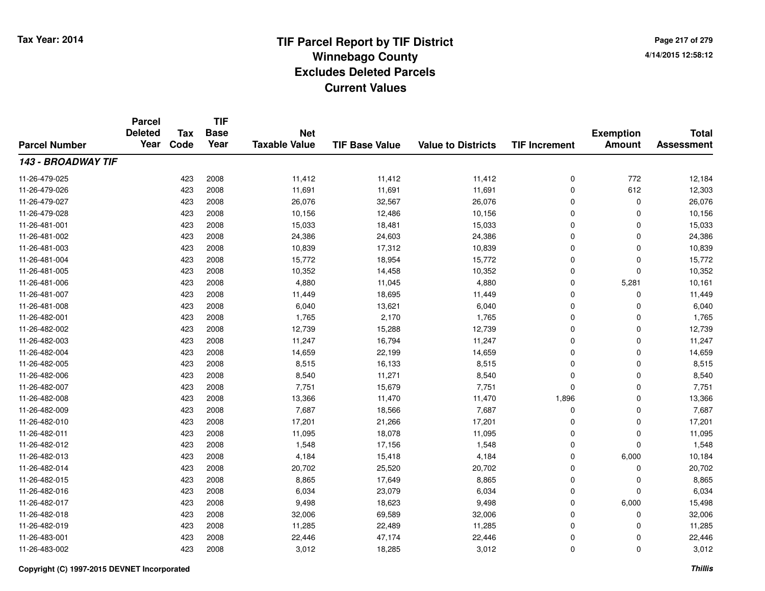**TIF**

**Parcel**

**Page 217 of 2794/14/2015 12:58:12**

| <b>Parcel Number</b> | <b>Deleted</b><br>Year | <b>Tax</b><br>Code | .<br><b>Base</b><br>Year | <b>Net</b><br><b>Taxable Value</b> | <b>TIF Base Value</b> | <b>Value to Districts</b> | <b>TIF Increment</b> | <b>Exemption</b><br><b>Amount</b> | <b>Total</b><br><b>Assessment</b> |
|----------------------|------------------------|--------------------|--------------------------|------------------------------------|-----------------------|---------------------------|----------------------|-----------------------------------|-----------------------------------|
| 143 - BROADWAY TIF   |                        |                    |                          |                                    |                       |                           |                      |                                   |                                   |
| 11-26-479-025        |                        | 423                | 2008                     | 11,412                             | 11,412                | 11,412                    | 0                    | 772                               | 12,184                            |
| 11-26-479-026        |                        | 423                | 2008                     | 11,691                             | 11,691                | 11,691                    | 0                    | 612                               | 12,303                            |
| 11-26-479-027        |                        | 423                | 2008                     | 26,076                             | 32,567                | 26,076                    | 0                    | 0                                 | 26,076                            |
| 11-26-479-028        |                        | 423                | 2008                     | 10,156                             | 12,486                | 10,156                    | 0                    | 0                                 | 10,156                            |
| 11-26-481-001        |                        | 423                | 2008                     | 15,033                             | 18,481                | 15,033                    | 0                    | 0                                 | 15,033                            |
| 11-26-481-002        |                        | 423                | 2008                     | 24,386                             | 24,603                | 24,386                    | 0                    | 0                                 | 24,386                            |
| 11-26-481-003        |                        | 423                | 2008                     | 10,839                             | 17,312                | 10,839                    | 0                    | 0                                 | 10,839                            |
| 11-26-481-004        |                        | 423                | 2008                     | 15,772                             | 18,954                | 15,772                    | 0                    | 0                                 | 15,772                            |
| 11-26-481-005        |                        | 423                | 2008                     | 10,352                             | 14,458                | 10,352                    | 0                    | 0                                 | 10,352                            |
| 11-26-481-006        |                        | 423                | 2008                     | 4,880                              | 11,045                | 4,880                     | 0                    | 5,281                             | 10,161                            |
| 11-26-481-007        |                        | 423                | 2008                     | 11,449                             | 18,695                | 11,449                    | 0                    | 0                                 | 11,449                            |
| 11-26-481-008        |                        | 423                | 2008                     | 6,040                              | 13,621                | 6,040                     | 0                    | 0                                 | 6,040                             |
| 11-26-482-001        |                        | 423                | 2008                     | 1,765                              | 2,170                 | 1,765                     | 0                    | 0                                 | 1,765                             |
| 11-26-482-002        |                        | 423                | 2008                     | 12,739                             | 15,288                | 12,739                    | 0                    | 0                                 | 12,739                            |
| 11-26-482-003        |                        | 423                | 2008                     | 11,247                             | 16,794                | 11,247                    | 0                    | 0                                 | 11,247                            |
| 11-26-482-004        |                        | 423                | 2008                     | 14,659                             | 22,199                | 14,659                    | 0                    | 0                                 | 14,659                            |
| 11-26-482-005        |                        | 423                | 2008                     | 8,515                              | 16,133                | 8,515                     | 0                    | 0                                 | 8,515                             |
| 11-26-482-006        |                        | 423                | 2008                     | 8,540                              | 11,271                | 8,540                     | 0                    | 0                                 | 8,540                             |
| 11-26-482-007        |                        | 423                | 2008                     | 7,751                              | 15,679                | 7,751                     | $\mathbf 0$          | 0                                 | 7,751                             |
| 11-26-482-008        |                        | 423                | 2008                     | 13,366                             | 11,470                | 11,470                    | 1,896                | 0                                 | 13,366                            |
| 11-26-482-009        |                        | 423                | 2008                     | 7,687                              | 18,566                | 7,687                     | 0                    | 0                                 | 7,687                             |
| 11-26-482-010        |                        | 423                | 2008                     | 17,201                             | 21,266                | 17,201                    | 0                    | 0                                 | 17,201                            |
| 11-26-482-011        |                        | 423                | 2008                     | 11,095                             | 18,078                | 11,095                    | 0                    | 0                                 | 11,095                            |
| 11-26-482-012        |                        | 423                | 2008                     | 1,548                              | 17,156                | 1,548                     | 0                    | 0                                 | 1,548                             |
| 11-26-482-013        |                        | 423                | 2008                     | 4,184                              | 15,418                | 4,184                     | 0                    | 6,000                             | 10,184                            |
| 11-26-482-014        |                        | 423                | 2008                     | 20,702                             | 25,520                | 20,702                    | 0                    | 0                                 | 20,702                            |
| 11-26-482-015        |                        | 423                | 2008                     | 8,865                              | 17,649                | 8,865                     | 0                    | 0                                 | 8,865                             |
| 11-26-482-016        |                        | 423                | 2008                     | 6,034                              | 23,079                | 6,034                     | 0                    | 0                                 | 6,034                             |
| 11-26-482-017        |                        | 423                | 2008                     | 9,498                              | 18,623                | 9,498                     | $\mathbf 0$          | 6,000                             | 15,498                            |
| 11-26-482-018        |                        | 423                | 2008                     | 32,006                             | 69,589                | 32,006                    | 0                    | 0                                 | 32,006                            |
| 11-26-482-019        |                        | 423                | 2008                     | 11,285                             | 22,489                | 11,285                    | 0                    | 0                                 | 11,285                            |
| 11-26-483-001        |                        | 423                | 2008                     | 22,446                             | 47,174                | 22,446                    | 0                    | 0                                 | 22,446                            |
| 11-26-483-002        |                        | 423                | 2008                     | 3,012                              | 18,285                | 3,012                     | 0                    | 0                                 | 3,012                             |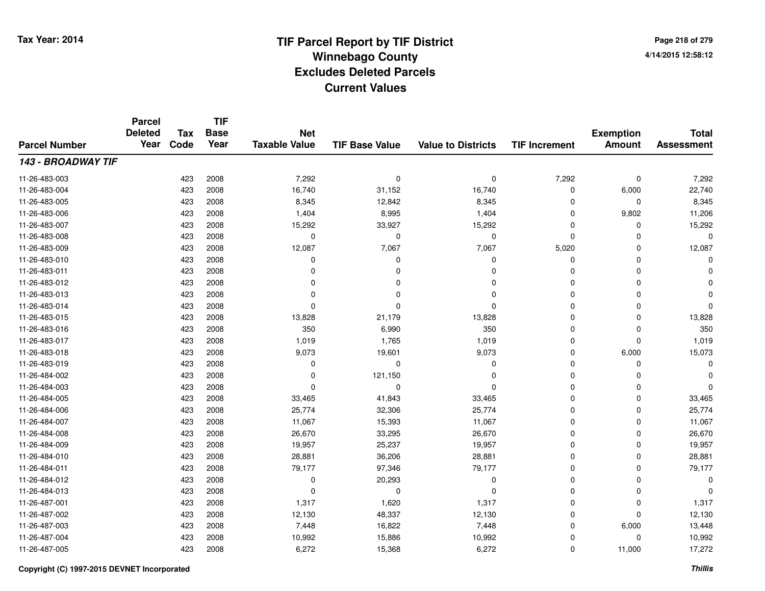**Page 218 of 2794/14/2015 12:58:12**

|                      | <b>Parcel</b><br><b>Deleted</b> | <b>Tax</b> | <b>TIF</b><br><b>Base</b> | <b>Net</b>           |                       |                           |                      | <b>Exemption</b> | <b>Total</b>      |
|----------------------|---------------------------------|------------|---------------------------|----------------------|-----------------------|---------------------------|----------------------|------------------|-------------------|
| <b>Parcel Number</b> | Year                            | Code       | Year                      | <b>Taxable Value</b> | <b>TIF Base Value</b> | <b>Value to Districts</b> | <b>TIF Increment</b> | <b>Amount</b>    | <b>Assessment</b> |
| 143 - BROADWAY TIF   |                                 |            |                           |                      |                       |                           |                      |                  |                   |
| 11-26-483-003        |                                 | 423        | 2008                      | 7,292                | 0                     | 0                         | 7,292                | $\mathbf 0$      | 7,292             |
| 11-26-483-004        |                                 | 423        | 2008                      | 16,740               | 31,152                | 16,740                    | 0                    | 6,000            | 22,740            |
| 11-26-483-005        |                                 | 423        | 2008                      | 8,345                | 12,842                | 8,345                     | 0                    | $\mathbf 0$      | 8,345             |
| 11-26-483-006        |                                 | 423        | 2008                      | 1,404                | 8,995                 | 1,404                     | 0                    | 9,802            | 11,206            |
| 11-26-483-007        |                                 | 423        | 2008                      | 15,292               | 33,927                | 15,292                    | 0                    | 0                | 15,292            |
| 11-26-483-008        |                                 | 423        | 2008                      | 0                    | $\mathbf 0$           | 0                         | 0                    | $\Omega$         | $\Omega$          |
| 11-26-483-009        |                                 | 423        | 2008                      | 12,087               | 7,067                 | 7,067                     | 5,020                | $\Omega$         | 12,087            |
| 11-26-483-010        |                                 | 423        | 2008                      | 0                    | $\Omega$              | $\Omega$                  | 0                    | $\Omega$         |                   |
| 11-26-483-011        |                                 | 423        | 2008                      | $\Omega$             | $\Omega$              | $\Omega$                  | 0                    | $\Omega$         |                   |
| 11-26-483-012        |                                 | 423        | 2008                      | 0                    |                       | $\Omega$                  | 0                    | $\Omega$         |                   |
| 11-26-483-013        |                                 | 423        | 2008                      | 0                    |                       | $\Omega$                  | $\Omega$             | $\Omega$         |                   |
| 11-26-483-014        |                                 | 423        | 2008                      | 0                    | O                     | $\Omega$                  | 0                    | $\mathbf 0$      |                   |
| 11-26-483-015        |                                 | 423        | 2008                      | 13,828               | 21,179                | 13,828                    | 0                    | $\mathbf 0$      | 13,828            |
| 11-26-483-016        |                                 | 423        | 2008                      | 350                  | 6,990                 | 350                       | 0                    | 0                | 350               |
| 11-26-483-017        |                                 | 423        | 2008                      | 1,019                | 1,765                 | 1,019                     | 0                    | $\mathbf 0$      | 1,019             |
| 11-26-483-018        |                                 | 423        | 2008                      | 9,073                | 19,601                | 9,073                     | 0                    | 6,000            | 15,073            |
| 11-26-483-019        |                                 | 423        | 2008                      | 0                    | 0                     | 0                         | 0                    | 0                | O                 |
| 11-26-484-002        |                                 | 423        | 2008                      | 0                    | 121,150               | 0                         | 0                    | $\mathbf 0$      |                   |
| 11-26-484-003        |                                 | 423        | 2008                      | 0                    | 0                     | $\Omega$                  | 0                    | $\Omega$         |                   |
| 11-26-484-005        |                                 | 423        | 2008                      | 33,465               | 41,843                | 33,465                    | 0                    | $\mathbf 0$      | 33,465            |
| 11-26-484-006        |                                 | 423        | 2008                      | 25,774               | 32,306                | 25,774                    | 0                    | 0                | 25,774            |
| 11-26-484-007        |                                 | 423        | 2008                      | 11,067               | 15,393                | 11,067                    | 0                    | $\Omega$         | 11,067            |
| 11-26-484-008        |                                 | 423        | 2008                      | 26,670               | 33,295                | 26,670                    | 0                    | $\mathbf 0$      | 26,670            |
| 11-26-484-009        |                                 | 423        | 2008                      | 19,957               | 25,237                | 19,957                    | 0                    | $\Omega$         | 19,957            |
| 11-26-484-010        |                                 | 423        | 2008                      | 28,881               | 36,206                | 28,881                    | 0                    | $\mathbf 0$      | 28,881            |
| 11-26-484-011        |                                 | 423        | 2008                      | 79,177               | 97,346                | 79,177                    | 0                    | $\Omega$         | 79,177            |
| 11-26-484-012        |                                 | 423        | 2008                      | 0                    | 20,293                | 0                         | 0                    | $\Omega$         | $\mathbf 0$       |
| 11-26-484-013        |                                 | 423        | 2008                      | $\mathbf 0$          | 0                     | $\Omega$                  | 0                    | $\Omega$         | $\Omega$          |
| 11-26-487-001        |                                 | 423        | 2008                      | 1,317                | 1,620                 | 1,317                     | 0                    | $\mathbf 0$      | 1,317             |
| 11-26-487-002        |                                 | 423        | 2008                      | 12,130               | 48,337                | 12,130                    | 0                    | $\mathbf 0$      | 12,130            |
| 11-26-487-003        |                                 | 423        | 2008                      | 7,448                | 16,822                | 7,448                     | 0                    | 6,000            | 13,448            |
| 11-26-487-004        |                                 | 423        | 2008                      | 10,992               | 15,886                | 10,992                    | 0                    | 0                | 10,992            |
| 11-26-487-005        |                                 | 423        | 2008                      | 6,272                | 15,368                | 6,272                     | 0                    | 11,000           | 17,272            |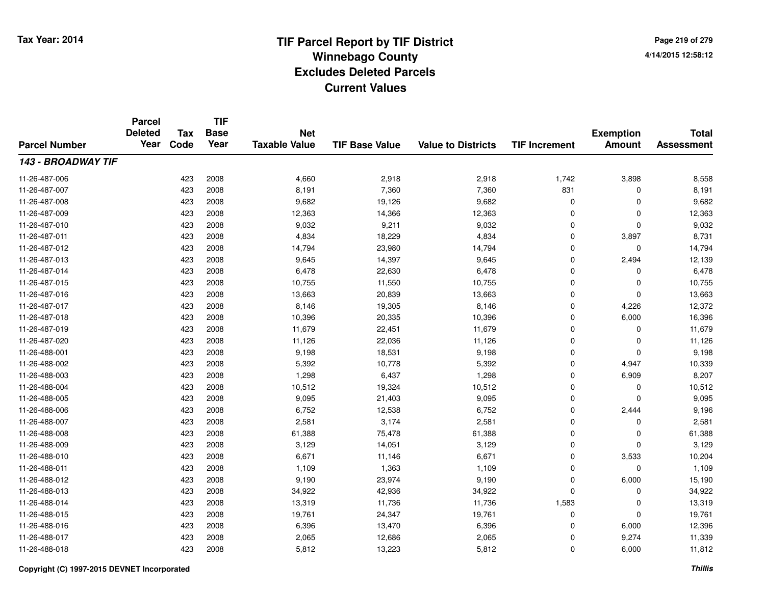**Page 219 of 2794/14/2015 12:58:12**

#### **TIF Base ValueParcel NumberTotal AssessmentExemption Amount Value to Districts TIF IncrementTIF Base YearTax CodeParcel Deleted YearNet Taxable Value143 - BROADWAY TIF**11-26-487-006 <sup>423</sup> 4,660 <sup>2008</sup> 2,918 2,918 1,742 3,898 8,558 11-26-487-007 <sup>423</sup> 8,191 <sup>2008</sup> 7,360 7,360 <sup>831</sup> <sup>0</sup> 8,191 11-26-487-0088 423 2008 9,682 19,126 9,682 0 0 9,682 11-26-487-0099 423 2008 12,363 14,366 12,363 0 0 12,363 11-26-487-0100 423 2008 9,032 9,211 9,032 0 0 9,032 11-26-487-0111 423 2008 4,834 18,229 4,834 0 3,897 8,731 11-26-487-0122 423 2008 14,794 23,980 14,794 0 0 14,794 11-26-487-0133 423 2008 9,645 14,397 9,645 0 2,494 12,139 11-26-487-014423 2008 6,478 22,630 6,478 6,478 0 0 0 6,478 11-26-487-015 <sup>423</sup> 10,755 <sup>2008</sup> 11,550 10,755 <sup>0</sup> <sup>0</sup> 10,755 11-26-487-016 <sup>423</sup> 13,663 <sup>2008</sup> 20,839 13,663 <sup>0</sup> <sup>0</sup> 13,663 11-26-487-017 <sup>423</sup> 8,146 <sup>2008</sup> 19,305 8,146 <sup>0</sup> 4,226 12,372 11-26-487-018 <sup>423</sup> 10,396 <sup>2008</sup> 20,335 10,396 <sup>0</sup> 6,000 16,396 11-26-487-0199 423 2008 11,679 22,451 11,679 0 0 11,679 11-26-487-0200 423 2008 11,126 22,036 11,126 0 0 11,126 11-26-488-0011 423 2008 9,198 18,531 9,198 0 0 9,198 11-26-488-0022 2 2 3 3 3 3 423 2008 2 5,392 5,392 5,392 5,392 5,392 5,392 5 4,947 10,339 11-26-488-0033 423 2008 1,298 6,437 1,298 0 6,909 8,207 11-26-488-004 <sup>423</sup> 10,512 <sup>2008</sup> 19,324 10,512 <sup>0</sup> <sup>0</sup> 10,512 11-26-488-005 <sup>423</sup> 9,095 <sup>2008</sup> 21,403 9,095 <sup>0</sup> <sup>0</sup> 9,095 11-26-488-0066 423 2008 6,752 12,538 6,752 0 2,444 9,196 11-26-488-007 <sup>423</sup> 2,581 <sup>2008</sup> 3,174 2,581 <sup>0</sup> <sup>0</sup> 2,581 11-26-488-0088 423 2008 61,388 75,478 61,388 0 0 61,388 11-26-488-0099 423 2008 3,129 14,051 3,129 0 0 3,129 11-26-488-0100 423 2008 6,671 11,146 6,671 0 3,533 10,204 11-26-488-0111 423 2008 1,109 1,363 1,109 0 0 1,109 11-26-488-012 <sup>423</sup> 9,190 <sup>2008</sup> 23,974 9,190 <sup>0</sup> 6,000 15,190 11-26-488-0133 423 2008 34,922 42,936 34,922 0 0 34,922 11-26-488-014 <sup>423</sup> 13,319 <sup>2008</sup> 11,736 11,736 1,583 <sup>0</sup> 13,319 11-26-488-015 <sup>423</sup> 19,761 <sup>2008</sup> 24,347 19,761 <sup>0</sup> <sup>0</sup> 19,761 11-26-488-0166 423 2008 6,396 13,470 6,396 0 6,000 12,396 11-26-488-017 <sup>423</sup> 2,065 <sup>2008</sup> 12,686 2,065 <sup>0</sup> 9,274 11,339 11-26-488-018<sup>423</sup> 5,812 <sup>2008</sup> 13,223 5,812 <sup>0</sup> 6,000 11,812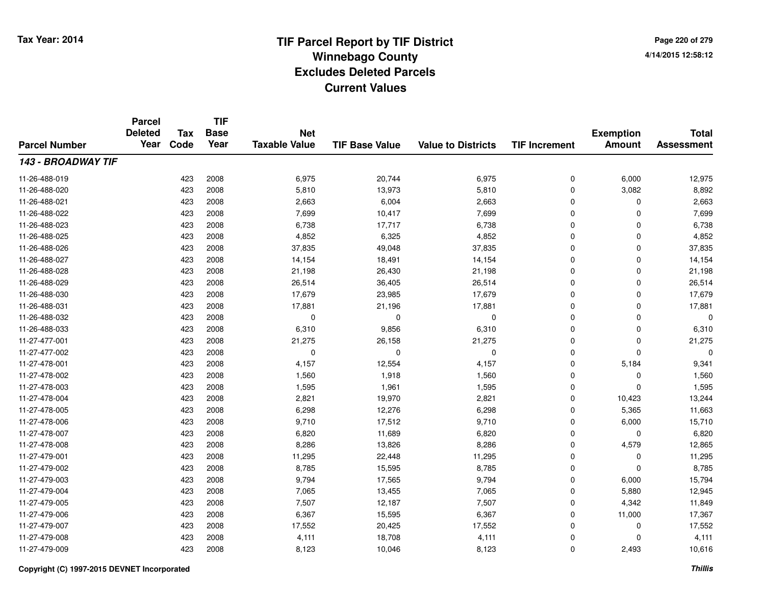|                      | <b>Parcel</b><br><b>Deleted</b> | <b>Tax</b> | <b>TIF</b><br><b>Base</b> | <b>Net</b>           |                       |                           |                      | <b>Exemption</b> | <b>Total</b>      |
|----------------------|---------------------------------|------------|---------------------------|----------------------|-----------------------|---------------------------|----------------------|------------------|-------------------|
| <b>Parcel Number</b> | Year                            | Code       | Year                      | <b>Taxable Value</b> | <b>TIF Base Value</b> | <b>Value to Districts</b> | <b>TIF Increment</b> | <b>Amount</b>    | <b>Assessment</b> |
| 143 - BROADWAY TIF   |                                 |            |                           |                      |                       |                           |                      |                  |                   |
| 11-26-488-019        |                                 | 423        | 2008                      | 6,975                | 20,744                | 6,975                     | 0                    | 6,000            | 12,975            |
| 11-26-488-020        |                                 | 423        | 2008                      | 5,810                | 13,973                | 5,810                     | 0                    | 3,082            | 8,892             |
| 11-26-488-021        |                                 | 423        | 2008                      | 2,663                | 6,004                 | 2,663                     | 0                    | 0                | 2,663             |
| 11-26-488-022        |                                 | 423        | 2008                      | 7,699                | 10,417                | 7,699                     | 0                    | $\Omega$         | 7,699             |
| 11-26-488-023        |                                 | 423        | 2008                      | 6,738                | 17,717                | 6,738                     | 0                    | $\mathbf 0$      | 6,738             |
| 11-26-488-025        |                                 | 423        | 2008                      | 4,852                | 6,325                 | 4,852                     | $\mathbf 0$          | $\mathbf 0$      | 4,852             |
| 11-26-488-026        |                                 | 423        | 2008                      | 37,835               | 49,048                | 37,835                    | 0                    | 0                | 37,835            |
| 11-26-488-027        |                                 | 423        | 2008                      | 14,154               | 18,491                | 14,154                    | 0                    | 0                | 14,154            |
| 11-26-488-028        |                                 | 423        | 2008                      | 21,198               | 26,430                | 21,198                    | 0                    | 0                | 21,198            |
| 11-26-488-029        |                                 | 423        | 2008                      | 26,514               | 36,405                | 26,514                    | 0                    | 0                | 26,514            |
| 11-26-488-030        |                                 | 423        | 2008                      | 17,679               | 23,985                | 17,679                    | 0                    | $\Omega$         | 17,679            |
| 11-26-488-031        |                                 | 423        | 2008                      | 17,881               | 21,196                | 17,881                    | 0                    | $\Omega$         | 17,881            |
| 11-26-488-032        |                                 | 423        | 2008                      | $\mathbf 0$          | $\Omega$              | $\mathbf 0$               | $\mathbf 0$          | $\mathbf 0$      | 0                 |
| 11-26-488-033        |                                 | 423        | 2008                      | 6,310                | 9,856                 | 6,310                     | 0                    | $\Omega$         | 6,310             |
| 11-27-477-001        |                                 | 423        | 2008                      | 21,275               | 26,158                | 21,275                    | $\mathbf 0$          | 0                | 21,275            |
| 11-27-477-002        |                                 | 423        | 2008                      | 0                    | 0                     | 0                         | 0                    | 0                | 0                 |
| 11-27-478-001        |                                 | 423        | 2008                      | 4,157                | 12,554                | 4,157                     | 0                    | 5,184            | 9,341             |
| 11-27-478-002        |                                 | 423        | 2008                      | 1,560                | 1,918                 | 1,560                     | 0                    | 0                | 1,560             |
| 11-27-478-003        |                                 | 423        | 2008                      | 1,595                | 1,961                 | 1,595                     | 0                    | $\mathbf 0$      | 1,595             |
| 11-27-478-004        |                                 | 423        | 2008                      | 2,821                | 19,970                | 2,821                     | 0                    | 10,423           | 13,244            |
| 11-27-478-005        |                                 | 423        | 2008                      | 6,298                | 12,276                | 6,298                     | 0                    | 5,365            | 11,663            |
| 11-27-478-006        |                                 | 423        | 2008                      | 9,710                | 17,512                | 9,710                     | 0                    | 6,000            | 15,710            |
| 11-27-478-007        |                                 | 423        | 2008                      | 6,820                | 11,689                | 6,820                     | 0                    | $\mathbf 0$      | 6,820             |
| 11-27-478-008        |                                 | 423        | 2008                      | 8,286                | 13,826                | 8,286                     | 0                    | 4,579            | 12,865            |
| 11-27-479-001        |                                 | 423        | 2008                      | 11,295               | 22,448                | 11,295                    | 0                    | 0                | 11,295            |
| 11-27-479-002        |                                 | 423        | 2008                      | 8,785                | 15,595                | 8,785                     | 0                    | $\Omega$         | 8,785             |
| 11-27-479-003        |                                 | 423        | 2008                      | 9,794                | 17,565                | 9,794                     | 0                    | 6,000            | 15,794            |
| 11-27-479-004        |                                 | 423        | 2008                      | 7,065                | 13,455                | 7,065                     | 0                    | 5,880            | 12,945            |
| 11-27-479-005        |                                 | 423        | 2008                      | 7,507                | 12,187                | 7,507                     | 0                    | 4,342            | 11,849            |
| 11-27-479-006        |                                 | 423        | 2008                      | 6,367                | 15,595                | 6,367                     | 0                    | 11,000           | 17,367            |
| 11-27-479-007        |                                 | 423        | 2008                      | 17,552               | 20,425                | 17,552                    | 0                    | 0                | 17,552            |
| 11-27-479-008        |                                 | 423        | 2008                      | 4,111                | 18,708                | 4,111                     | 0                    | $\Omega$         | 4,111             |
| 11-27-479-009        |                                 | 423        | 2008                      | 8,123                | 10,046                | 8,123                     | 0                    | 2,493            | 10,616            |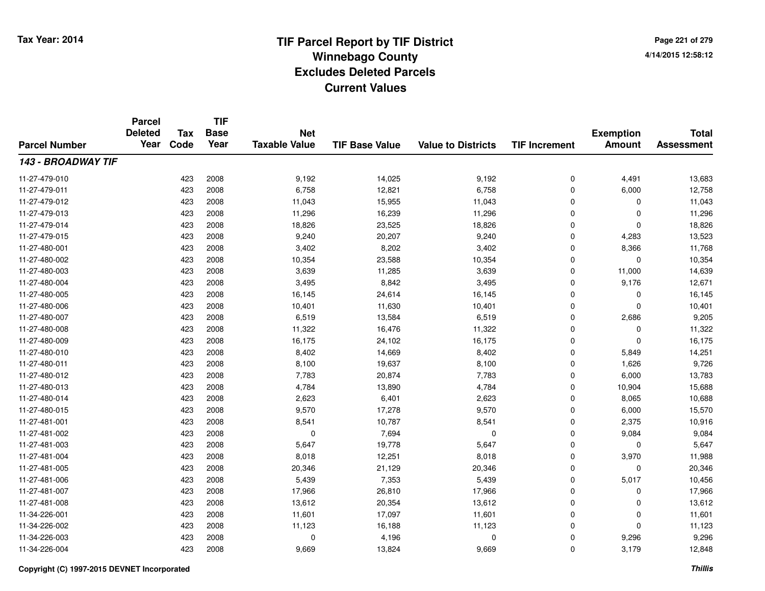**TIF**

**Parcel**

**Page 221 of 2794/14/2015 12:58:12**

| <b>Parcel Number</b> | <b>Deleted</b><br>Year | Tax<br>Code | <b>Base</b><br>Year | <b>Net</b><br><b>Taxable Value</b> | <b>TIF Base Value</b> | <b>Value to Districts</b> | <b>TIF Increment</b> | <b>Exemption</b><br><b>Amount</b> | <b>Total</b><br><b>Assessment</b> |
|----------------------|------------------------|-------------|---------------------|------------------------------------|-----------------------|---------------------------|----------------------|-----------------------------------|-----------------------------------|
| 143 - BROADWAY TIF   |                        |             |                     |                                    |                       |                           |                      |                                   |                                   |
| 11-27-479-010        |                        | 423         | 2008                | 9,192                              | 14,025                | 9,192                     | 0                    | 4,491                             | 13,683                            |
| 11-27-479-011        |                        | 423         | 2008                | 6,758                              | 12,821                | 6,758                     | 0                    | 6,000                             | 12,758                            |
| 11-27-479-012        |                        | 423         | 2008                | 11,043                             | 15,955                | 11,043                    | 0                    | 0                                 | 11,043                            |
| 11-27-479-013        |                        | 423         | 2008                | 11,296                             | 16,239                | 11,296                    | 0                    | $\Omega$                          | 11,296                            |
| 11-27-479-014        |                        | 423         | 2008                | 18,826                             | 23,525                | 18,826                    | $\mathbf 0$          | $\Omega$                          | 18,826                            |
| 11-27-479-015        |                        | 423         | 2008                | 9,240                              | 20,207                | 9,240                     | $\mathbf 0$          | 4,283                             | 13,523                            |
| 11-27-480-001        |                        | 423         | 2008                | 3,402                              | 8,202                 | 3,402                     | $\mathbf 0$          | 8,366                             | 11,768                            |
| 11-27-480-002        |                        | 423         | 2008                | 10,354                             | 23,588                | 10,354                    | $\mathbf 0$          | $\Omega$                          | 10,354                            |
| 11-27-480-003        |                        | 423         | 2008                | 3,639                              | 11,285                | 3,639                     | $\mathbf 0$          | 11,000                            | 14,639                            |
| 11-27-480-004        |                        | 423         | 2008                | 3,495                              | 8,842                 | 3,495                     | 0                    | 9,176                             | 12,671                            |
| 11-27-480-005        |                        | 423         | 2008                | 16,145                             | 24,614                | 16,145                    | 0                    | 0                                 | 16,145                            |
| 11-27-480-006        |                        | 423         | 2008                | 10,401                             | 11,630                | 10,401                    | $\mathbf 0$          | $\Omega$                          | 10,401                            |
| 11-27-480-007        |                        | 423         | 2008                | 6,519                              | 13,584                | 6,519                     | $\mathbf 0$          | 2,686                             | 9,205                             |
| 11-27-480-008        |                        | 423         | 2008                | 11,322                             | 16,476                | 11,322                    | 0                    | 0                                 | 11,322                            |
| 11-27-480-009        |                        | 423         | 2008                | 16,175                             | 24,102                | 16,175                    | 0                    | $\Omega$                          | 16,175                            |
| 11-27-480-010        |                        | 423         | 2008                | 8,402                              | 14,669                | 8,402                     | 0                    | 5,849                             | 14,251                            |
| 11-27-480-011        |                        | 423         | 2008                | 8,100                              | 19,637                | 8,100                     | 0                    | 1,626                             | 9,726                             |
| 11-27-480-012        |                        | 423         | 2008                | 7,783                              | 20,874                | 7,783                     | 0                    | 6,000                             | 13,783                            |
| 11-27-480-013        |                        | 423         | 2008                | 4,784                              | 13,890                | 4,784                     | $\Omega$             | 10,904                            | 15,688                            |
| 11-27-480-014        |                        | 423         | 2008                | 2,623                              | 6,401                 | 2,623                     | $\mathbf 0$          | 8,065                             | 10,688                            |
| 11-27-480-015        |                        | 423         | 2008                | 9,570                              | 17,278                | 9,570                     | $\mathbf 0$          | 6,000                             | 15,570                            |
| 11-27-481-001        |                        | 423         | 2008                | 8,541                              | 10,787                | 8,541                     | $\mathbf 0$          | 2,375                             | 10,916                            |
| 11-27-481-002        |                        | 423         | 2008                | 0                                  | 7,694                 | 0                         | 0                    | 9,084                             | 9,084                             |
| 11-27-481-003        |                        | 423         | 2008                | 5,647                              | 19,778                | 5,647                     | 0                    | 0                                 | 5,647                             |
| 11-27-481-004        |                        | 423         | 2008                | 8,018                              | 12,251                | 8,018                     | 0                    | 3,970                             | 11,988                            |
| 11-27-481-005        |                        | 423         | 2008                | 20,346                             | 21,129                | 20,346                    | 0                    | $\Omega$                          | 20,346                            |
| 11-27-481-006        |                        | 423         | 2008                | 5,439                              | 7,353                 | 5,439                     | $\mathbf 0$          | 5,017                             | 10,456                            |
| 11-27-481-007        |                        | 423         | 2008                | 17,966                             | 26,810                | 17,966                    | $\mathbf 0$          | 0                                 | 17,966                            |
| 11-27-481-008        |                        | 423         | 2008                | 13,612                             | 20,354                | 13,612                    | $\mathbf 0$          | $\Omega$                          | 13,612                            |
| 11-34-226-001        |                        | 423         | 2008                | 11,601                             | 17,097                | 11,601                    | $\mathbf 0$          | 0                                 | 11,601                            |
| 11-34-226-002        |                        | 423         | 2008                | 11,123                             | 16,188                | 11,123                    | $\mathbf 0$          | $\Omega$                          | 11,123                            |
| 11-34-226-003        |                        | 423         | 2008                | 0                                  | 4,196                 | $\mathbf 0$               | 0                    | 9,296                             | 9,296                             |
| 11-34-226-004        |                        | 423         | 2008                | 9,669                              | 13,824                | 9,669                     | 0                    | 3,179                             | 12,848                            |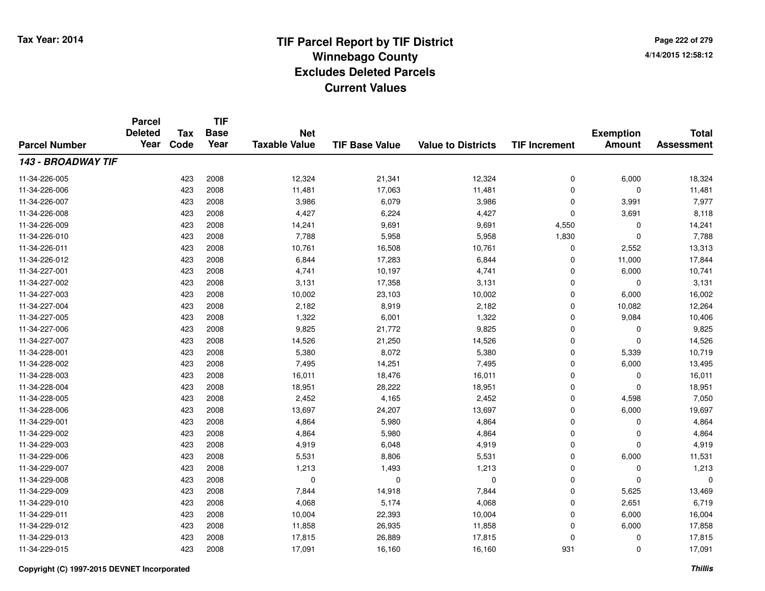**TIF**

**Parcel**

**Page 222 of 2794/14/2015 12:58:12**

| <b>Parcel Number</b> | <b>Deleted</b><br>Year | Tax<br>Code | <b>Base</b><br>Year | <b>Net</b><br><b>Taxable Value</b> | <b>TIF Base Value</b> | <b>Value to Districts</b> | <b>TIF Increment</b> | <b>Exemption</b><br><b>Amount</b> | <b>Total</b><br><b>Assessment</b> |
|----------------------|------------------------|-------------|---------------------|------------------------------------|-----------------------|---------------------------|----------------------|-----------------------------------|-----------------------------------|
| 143 - BROADWAY TIF   |                        |             |                     |                                    |                       |                           |                      |                                   |                                   |
| 11-34-226-005        |                        | 423         | 2008                | 12,324                             | 21,341                | 12,324                    | 0                    | 6,000                             | 18,324                            |
| 11-34-226-006        |                        | 423         | 2008                | 11,481                             | 17,063                | 11,481                    | 0                    | $\mathbf 0$                       | 11,481                            |
| 11-34-226-007        |                        | 423         | 2008                | 3,986                              | 6,079                 | 3,986                     | 0                    | 3,991                             | 7,977                             |
| 11-34-226-008        |                        | 423         | 2008                | 4,427                              | 6,224                 | 4,427                     | $\mathbf 0$          | 3,691                             | 8,118                             |
| 11-34-226-009        |                        | 423         | 2008                | 14,241                             | 9,691                 | 9,691                     | 4,550                | $\Omega$                          | 14,241                            |
| 11-34-226-010        |                        | 423         | 2008                | 7,788                              | 5,958                 | 5,958                     | 1,830                | $\Omega$                          | 7,788                             |
| 11-34-226-011        |                        | 423         | 2008                | 10,761                             | 16,508                | 10,761                    | 0                    | 2,552                             | 13,313                            |
| 11-34-226-012        |                        | 423         | 2008                | 6,844                              | 17,283                | 6,844                     | 0                    | 11,000                            | 17,844                            |
| 11-34-227-001        |                        | 423         | 2008                | 4,741                              | 10,197                | 4,741                     | 0                    | 6,000                             | 10,741                            |
| 11-34-227-002        |                        | 423         | 2008                | 3,131                              | 17,358                | 3,131                     | 0                    | 0                                 | 3,131                             |
| 11-34-227-003        |                        | 423         | 2008                | 10,002                             | 23,103                | 10,002                    | $\mathbf 0$          | 6,000                             | 16,002                            |
| 11-34-227-004        |                        | 423         | 2008                | 2,182                              | 8,919                 | 2,182                     | 0                    | 10,082                            | 12,264                            |
| 11-34-227-005        |                        | 423         | 2008                | 1,322                              | 6,001                 | 1,322                     | 0                    | 9,084                             | 10,406                            |
| 11-34-227-006        |                        | 423         | 2008                | 9,825                              | 21,772                | 9,825                     | $\mathbf 0$          | 0                                 | 9,825                             |
| 11-34-227-007        |                        | 423         | 2008                | 14,526                             | 21,250                | 14,526                    | $\mathbf 0$          | $\mathbf 0$                       | 14,526                            |
| 11-34-228-001        |                        | 423         | 2008                | 5,380                              | 8,072                 | 5,380                     | $\mathbf 0$          | 5,339                             | 10,719                            |
| 11-34-228-002        |                        | 423         | 2008                | 7,495                              | 14,251                | 7,495                     | 0                    | 6,000                             | 13,495                            |
| 11-34-228-003        |                        | 423         | 2008                | 16,011                             | 18,476                | 16,011                    | 0                    | 0                                 | 16,011                            |
| 11-34-228-004        |                        | 423         | 2008                | 18,951                             | 28,222                | 18,951                    | $\mathbf 0$          | $\Omega$                          | 18,951                            |
| 11-34-228-005        |                        | 423         | 2008                | 2,452                              | 4,165                 | 2,452                     | $\mathbf 0$          | 4,598                             | 7,050                             |
| 11-34-228-006        |                        | 423         | 2008                | 13,697                             | 24,207                | 13,697                    | $\mathbf 0$          | 6,000                             | 19,697                            |
| 11-34-229-001        |                        | 423         | 2008                | 4,864                              | 5,980                 | 4,864                     | 0                    | $\Omega$                          | 4,864                             |
| 11-34-229-002        |                        | 423         | 2008                | 4,864                              | 5,980                 | 4,864                     | 0                    | 0                                 | 4,864                             |
| 11-34-229-003        |                        | 423         | 2008                | 4,919                              | 6,048                 | 4,919                     | 0                    | $\Omega$                          | 4,919                             |
| 11-34-229-006        |                        | 423         | 2008                | 5,531                              | 8,806                 | 5,531                     | 0                    | 6,000                             | 11,531                            |
| 11-34-229-007        |                        | 423         | 2008                | 1,213                              | 1,493                 | 1,213                     | 0                    | $\Omega$                          | 1,213                             |
| 11-34-229-008        |                        | 423         | 2008                | $\mathbf 0$                        | $\Omega$              | $\mathbf 0$               | $\mathbf 0$          | $\Omega$                          | $\Omega$                          |
| 11-34-229-009        |                        | 423         | 2008                | 7,844                              | 14,918                | 7,844                     | $\mathbf 0$          | 5,625                             | 13,469                            |
| 11-34-229-010        |                        | 423         | 2008                | 4,068                              | 5,174                 | 4,068                     | $\mathbf 0$          | 2,651                             | 6,719                             |
| 11-34-229-011        |                        | 423         | 2008                | 10,004                             | 22,393                | 10,004                    | $\mathbf 0$          | 6,000                             | 16,004                            |
| 11-34-229-012        |                        | 423         | 2008                | 11,858                             | 26,935                | 11,858                    | $\mathbf 0$          | 6,000                             | 17,858                            |
| 11-34-229-013        |                        | 423         | 2008                | 17,815                             | 26,889                | 17,815                    | 0                    | 0                                 | 17,815                            |
| 11-34-229-015        |                        | 423         | 2008                | 17,091                             | 16,160                | 16,160                    | 931                  | 0                                 | 17,091                            |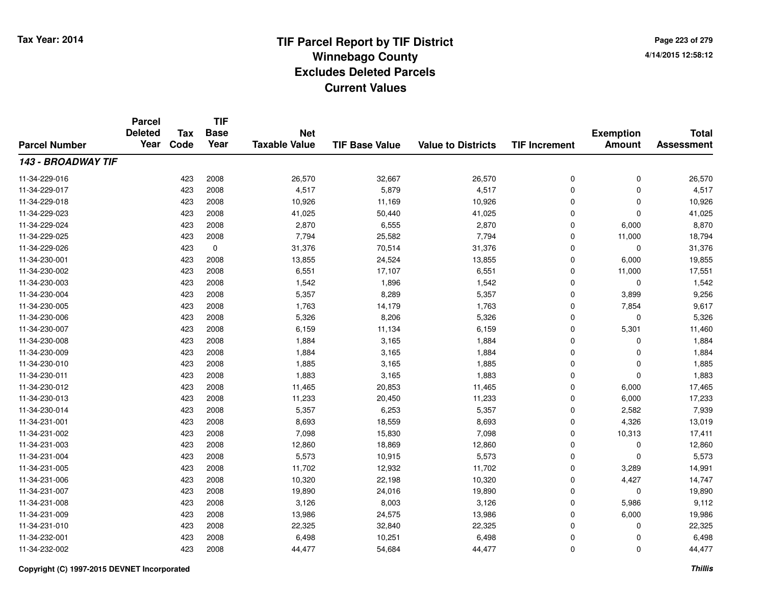**TIF**

**Parcel**

**Page 223 of 2794/14/2015 12:58:12**

| <b>Parcel Number</b> | <b>Deleted</b><br>Year | Tax<br>Code | <b>Base</b><br>Year | <b>Net</b><br><b>Taxable Value</b> | <b>TIF Base Value</b> | <b>Value to Districts</b> | <b>TIF Increment</b> | <b>Exemption</b><br><b>Amount</b> | <b>Total</b><br><b>Assessment</b> |
|----------------------|------------------------|-------------|---------------------|------------------------------------|-----------------------|---------------------------|----------------------|-----------------------------------|-----------------------------------|
| 143 - BROADWAY TIF   |                        |             |                     |                                    |                       |                           |                      |                                   |                                   |
| 11-34-229-016        |                        | 423         | 2008                | 26,570                             | 32,667                | 26,570                    | 0                    | 0                                 | 26,570                            |
| 11-34-229-017        |                        | 423         | 2008                | 4,517                              | 5,879                 | 4,517                     | 0                    | 0                                 | 4,517                             |
| 11-34-229-018        |                        | 423         | 2008                | 10,926                             | 11,169                | 10,926                    | 0                    | 0                                 | 10,926                            |
| 11-34-229-023        |                        | 423         | 2008                | 41,025                             | 50,440                | 41,025                    | 0                    | 0                                 | 41,025                            |
| 11-34-229-024        |                        | 423         | 2008                | 2,870                              | 6,555                 | 2,870                     | 0                    | 6,000                             | 8,870                             |
| 11-34-229-025        |                        | 423         | 2008                | 7,794                              | 25,582                | 7,794                     | 0                    | 11,000                            | 18,794                            |
| 11-34-229-026        |                        | 423         | $\mathbf 0$         | 31,376                             | 70,514                | 31,376                    | 0                    | $\mathbf 0$                       | 31,376                            |
| 11-34-230-001        |                        | 423         | 2008                | 13,855                             | 24,524                | 13,855                    | 0                    | 6,000                             | 19,855                            |
| 11-34-230-002        |                        | 423         | 2008                | 6,551                              | 17,107                | 6,551                     | 0                    | 11,000                            | 17,551                            |
| 11-34-230-003        |                        | 423         | 2008                | 1,542                              | 1,896                 | 1,542                     | 0                    | 0                                 | 1,542                             |
| 11-34-230-004        |                        | 423         | 2008                | 5,357                              | 8,289                 | 5,357                     | 0                    | 3,899                             | 9,256                             |
| 11-34-230-005        |                        | 423         | 2008                | 1,763                              | 14,179                | 1,763                     | 0                    | 7,854                             | 9,617                             |
| 11-34-230-006        |                        | 423         | 2008                | 5,326                              | 8,206                 | 5,326                     | 0                    | 0                                 | 5,326                             |
| 11-34-230-007        |                        | 423         | 2008                | 6,159                              | 11,134                | 6,159                     | 0                    | 5,301                             | 11,460                            |
| 11-34-230-008        |                        | 423         | 2008                | 1,884                              | 3,165                 | 1,884                     | 0                    | 0                                 | 1,884                             |
| 11-34-230-009        |                        | 423         | 2008                | 1,884                              | 3,165                 | 1,884                     | 0                    | $\mathbf 0$                       | 1,884                             |
| 11-34-230-010        |                        | 423         | 2008                | 1,885                              | 3,165                 | 1,885                     | 0                    | $\mathbf 0$                       | 1,885                             |
| 11-34-230-011        |                        | 423         | 2008                | 1,883                              | 3,165                 | 1,883                     | 0                    | $\mathbf 0$                       | 1,883                             |
| 11-34-230-012        |                        | 423         | 2008                | 11,465                             | 20,853                | 11,465                    | 0                    | 6,000                             | 17,465                            |
| 11-34-230-013        |                        | 423         | 2008                | 11,233                             | 20,450                | 11,233                    | 0                    | 6,000                             | 17,233                            |
| 11-34-230-014        |                        | 423         | 2008                | 5,357                              | 6,253                 | 5,357                     | 0                    | 2,582                             | 7,939                             |
| 11-34-231-001        |                        | 423         | 2008                | 8,693                              | 18,559                | 8,693                     | 0                    | 4,326                             | 13,019                            |
| 11-34-231-002        |                        | 423         | 2008                | 7,098                              | 15,830                | 7,098                     | 0                    | 10,313                            | 17,411                            |
| 11-34-231-003        |                        | 423         | 2008                | 12,860                             | 18,869                | 12,860                    | 0                    | 0                                 | 12,860                            |
| 11-34-231-004        |                        | 423         | 2008                | 5,573                              | 10,915                | 5,573                     | 0                    | $\mathbf 0$                       | 5,573                             |
| 11-34-231-005        |                        | 423         | 2008                | 11,702                             | 12,932                | 11,702                    | 0                    | 3,289                             | 14,991                            |
| 11-34-231-006        |                        | 423         | 2008                | 10,320                             | 22,198                | 10,320                    | 0                    | 4,427                             | 14,747                            |
| 11-34-231-007        |                        | 423         | 2008                | 19,890                             | 24,016                | 19,890                    | 0                    | 0                                 | 19,890                            |
| 11-34-231-008        |                        | 423         | 2008                | 3,126                              | 8,003                 | 3,126                     | 0                    | 5,986                             | 9,112                             |
| 11-34-231-009        |                        | 423         | 2008                | 13,986                             | 24,575                | 13,986                    | 0                    | 6,000                             | 19,986                            |
| 11-34-231-010        |                        | 423         | 2008                | 22,325                             | 32,840                | 22,325                    | 0                    | $\Omega$                          | 22,325                            |
| 11-34-232-001        |                        | 423         | 2008                | 6,498                              | 10,251                | 6,498                     | 0                    | $\Omega$                          | 6,498                             |
| 11-34-232-002        |                        | 423         | 2008                | 44,477                             | 54,684                | 44,477                    | 0                    | 0                                 | 44,477                            |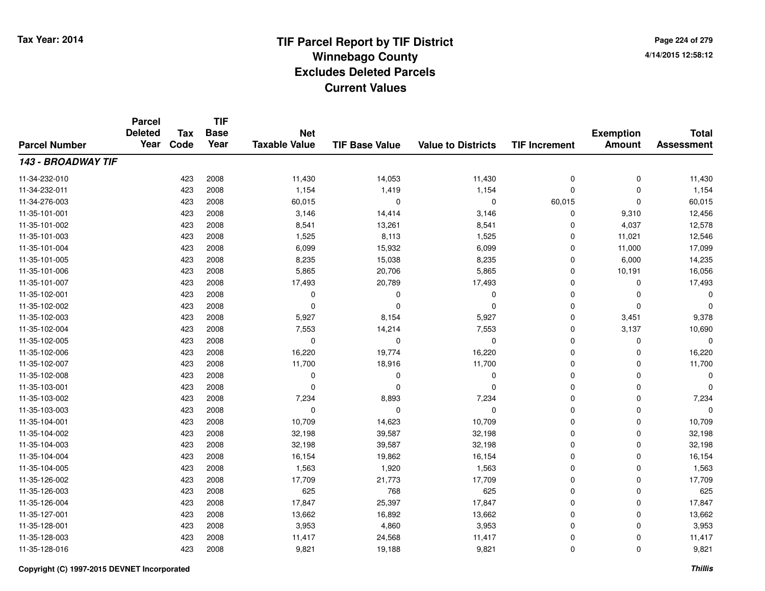**Page 224 of 2794/14/2015 12:58:12**

|                      | <b>Parcel</b><br><b>Deleted</b> | <b>Tax</b> | <b>TIF</b><br><b>Base</b> | <b>Net</b>           |                       |                           |                      | <b>Exemption</b> | <b>Total</b>      |
|----------------------|---------------------------------|------------|---------------------------|----------------------|-----------------------|---------------------------|----------------------|------------------|-------------------|
| <b>Parcel Number</b> | Year                            | Code       | Year                      | <b>Taxable Value</b> | <b>TIF Base Value</b> | <b>Value to Districts</b> | <b>TIF Increment</b> | <b>Amount</b>    | <b>Assessment</b> |
| 143 - BROADWAY TIF   |                                 |            |                           |                      |                       |                           |                      |                  |                   |
| 11-34-232-010        |                                 | 423        | 2008                      | 11,430               | 14,053                | 11,430                    | 0                    | 0                | 11,430            |
| 11-34-232-011        |                                 | 423        | 2008                      | 1,154                | 1,419                 | 1,154                     | 0                    | 0                | 1,154             |
| 11-34-276-003        |                                 | 423        | 2008                      | 60,015               | $\mathbf 0$           | 0                         | 60,015               | $\Omega$         | 60,015            |
| 11-35-101-001        |                                 | 423        | 2008                      | 3,146                | 14,414                | 3,146                     | $\mathbf 0$          | 9,310            | 12,456            |
| 11-35-101-002        |                                 | 423        | 2008                      | 8,541                | 13,261                | 8,541                     | 0                    | 4,037            | 12,578            |
| 11-35-101-003        |                                 | 423        | 2008                      | 1,525                | 8,113                 | 1,525                     | 0                    | 11,021           | 12,546            |
| 11-35-101-004        |                                 | 423        | 2008                      | 6,099                | 15,932                | 6,099                     | 0                    | 11,000           | 17,099            |
| 11-35-101-005        |                                 | 423        | 2008                      | 8,235                | 15,038                | 8,235                     | 0                    | 6,000            | 14,235            |
| 11-35-101-006        |                                 | 423        | 2008                      | 5,865                | 20,706                | 5,865                     | 0                    | 10,191           | 16,056            |
| 11-35-101-007        |                                 | 423        | 2008                      | 17,493               | 20,789                | 17,493                    | $\mathbf 0$          | 0                | 17,493            |
| 11-35-102-001        |                                 | 423        | 2008                      | 0                    | $\Omega$              | 0                         | 0                    | $\Omega$         | ŋ                 |
| 11-35-102-002        |                                 | 423        | 2008                      | 0                    | $\Omega$              | 0                         | 0                    | $\Omega$         | O                 |
| 11-35-102-003        |                                 | 423        | 2008                      | 5,927                | 8,154                 | 5,927                     | $\mathbf 0$          | 3,451            | 9,378             |
| 11-35-102-004        |                                 | 423        | 2008                      | 7,553                | 14,214                | 7,553                     | 0                    | 3,137            | 10,690            |
| 11-35-102-005        |                                 | 423        | 2008                      | $\mathbf 0$          | 0                     | 0                         | 0                    | 0                | 0                 |
| 11-35-102-006        |                                 | 423        | 2008                      | 16,220               | 19,774                | 16,220                    | 0                    | 0                | 16,220            |
| 11-35-102-007        |                                 | 423        | 2008                      | 11,700               | 18,916                | 11,700                    | $\mathbf 0$          | $\mathbf 0$      | 11,700            |
| 11-35-102-008        |                                 | 423        | 2008                      | 0                    | $\Omega$              | 0                         | 0                    | $\mathbf 0$      | $\Omega$          |
| 11-35-103-001        |                                 | 423        | 2008                      | $\mathbf 0$          | 0                     | $\mathbf 0$               | 0                    | 0                | ∩                 |
| 11-35-103-002        |                                 | 423        | 2008                      | 7,234                | 8,893                 | 7,234                     | 0                    | 0                | 7,234             |
| 11-35-103-003        |                                 | 423        | 2008                      | 0                    | 0                     | $\mathbf 0$               | 0                    | 0                | $\Omega$          |
| 11-35-104-001        |                                 | 423        | 2008                      | 10,709               | 14,623                | 10,709                    | 0                    | 0                | 10,709            |
| 11-35-104-002        |                                 | 423        | 2008                      | 32,198               | 39,587                | 32,198                    | 0                    | $\mathbf 0$      | 32,198            |
| 11-35-104-003        |                                 | 423        | 2008                      | 32,198               | 39,587                | 32,198                    | 0                    | $\mathbf 0$      | 32,198            |
| 11-35-104-004        |                                 | 423        | 2008                      | 16,154               | 19,862                | 16,154                    | 0                    | $\mathbf 0$      | 16,154            |
| 11-35-104-005        |                                 | 423        | 2008                      | 1,563                | 1,920                 | 1,563                     | 0                    | $\mathbf 0$      | 1,563             |
| 11-35-126-002        |                                 | 423        | 2008                      | 17,709               | 21,773                | 17,709                    | 0                    | $\mathbf 0$      | 17,709            |
| 11-35-126-003        |                                 | 423        | 2008                      | 625                  | 768                   | 625                       | 0                    | 0                | 625               |
| 11-35-126-004        |                                 | 423        | 2008                      | 17,847               | 25,397                | 17,847                    | 0                    | $\mathbf 0$      | 17,847            |
| 11-35-127-001        |                                 | 423        | 2008                      | 13,662               | 16,892                | 13,662                    | 0                    | 0                | 13,662            |
| 11-35-128-001        |                                 | 423        | 2008                      | 3,953                | 4,860                 | 3,953                     | $\mathbf 0$          | $\Omega$         | 3,953             |
| 11-35-128-003        |                                 | 423        | 2008                      | 11,417               | 24,568                | 11,417                    | 0                    | 0                | 11,417            |
| 11-35-128-016        |                                 | 423        | 2008                      | 9,821                | 19,188                | 9,821                     | 0                    | $\Omega$         | 9,821             |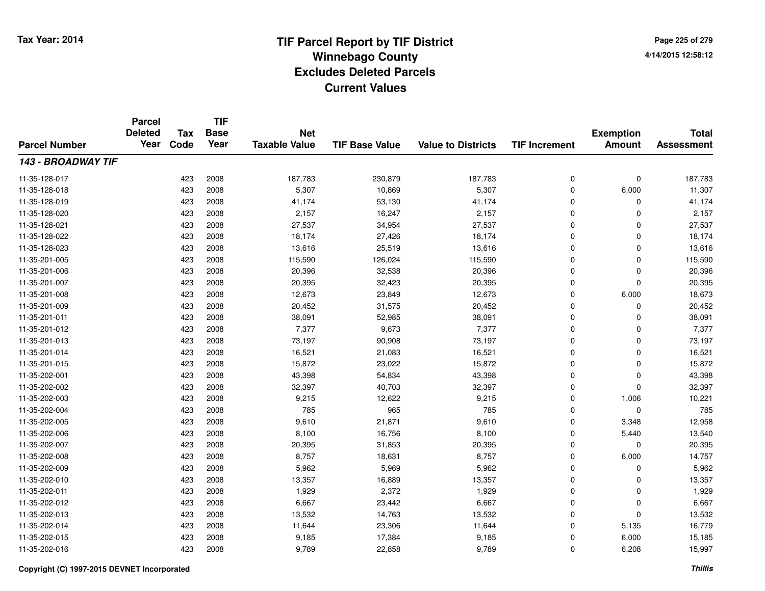**TIF**

**Parcel**

**Page 225 of 2794/14/2015 12:58:12**

| <b>Parcel Number</b> | uivu<br><b>Deleted</b><br>Year | Tax<br>Code | <b>Base</b><br>Year | <b>Net</b><br><b>Taxable Value</b> | <b>TIF Base Value</b> | <b>Value to Districts</b> | <b>TIF Increment</b> | <b>Exemption</b><br><b>Amount</b> | <b>Total</b><br><b>Assessment</b> |
|----------------------|--------------------------------|-------------|---------------------|------------------------------------|-----------------------|---------------------------|----------------------|-----------------------------------|-----------------------------------|
| 143 - BROADWAY TIF   |                                |             |                     |                                    |                       |                           |                      |                                   |                                   |
| 11-35-128-017        |                                | 423         | 2008                | 187,783                            | 230,879               | 187,783                   | 0                    | $\pmb{0}$                         | 187,783                           |
| 11-35-128-018        |                                | 423         | 2008                | 5,307                              | 10,869                | 5,307                     | 0                    | 6,000                             | 11,307                            |
| 11-35-128-019        |                                | 423         | 2008                | 41,174                             | 53,130                | 41,174                    | 0                    | $\Omega$                          | 41,174                            |
| 11-35-128-020        |                                | 423         | 2008                | 2,157                              | 16,247                | 2,157                     | 0                    | $\Omega$                          | 2,157                             |
| 11-35-128-021        |                                | 423         | 2008                | 27,537                             | 34,954                | 27,537                    | 0                    | $\Omega$                          | 27,537                            |
| 11-35-128-022        |                                | 423         | 2008                | 18,174                             | 27,426                | 18,174                    | $\Omega$             | $\Omega$                          | 18,174                            |
| 11-35-128-023        |                                | 423         | 2008                | 13,616                             | 25,519                | 13,616                    | $\Omega$             | 0                                 | 13,616                            |
| 11-35-201-005        |                                | 423         | 2008                | 115,590                            | 126,024               | 115,590                   | $\Omega$             | $\mathbf 0$                       | 115,590                           |
| 11-35-201-006        |                                | 423         | 2008                | 20,396                             | 32,538                | 20,396                    | 0                    | $\mathbf 0$                       | 20,396                            |
| 11-35-201-007        |                                | 423         | 2008                | 20,395                             | 32,423                | 20,395                    | 0                    | $\mathbf 0$                       | 20,395                            |
| 11-35-201-008        |                                | 423         | 2008                | 12,673                             | 23,849                | 12,673                    | 0                    | 6,000                             | 18,673                            |
| 11-35-201-009        |                                | 423         | 2008                | 20,452                             | 31,575                | 20,452                    | 0                    | 0                                 | 20,452                            |
| 11-35-201-011        |                                | 423         | 2008                | 38,091                             | 52,985                | 38,091                    | 0                    | $\Omega$                          | 38,091                            |
| 11-35-201-012        |                                | 423         | 2008                | 7,377                              | 9,673                 | 7,377                     | 0                    | $\Omega$                          | 7,377                             |
| 11-35-201-013        |                                | 423         | 2008                | 73,197                             | 90,908                | 73,197                    | 0                    | $\Omega$                          | 73,197                            |
| 11-35-201-014        |                                | 423         | 2008                | 16,521                             | 21,083                | 16,521                    | 0                    | 0                                 | 16,521                            |
| 11-35-201-015        |                                | 423         | 2008                | 15,872                             | 23,022                | 15,872                    | 0                    | $\mathbf 0$                       | 15,872                            |
| 11-35-202-001        |                                | 423         | 2008                | 43,398                             | 54,834                | 43,398                    | 0                    | $\mathbf 0$                       | 43,398                            |
| 11-35-202-002        |                                | 423         | 2008                | 32,397                             | 40,703                | 32,397                    | 0                    | $\mathbf 0$                       | 32,397                            |
| 11-35-202-003        |                                | 423         | 2008                | 9,215                              | 12,622                | 9,215                     | 0                    | 1,006                             | 10,221                            |
| 11-35-202-004        |                                | 423         | 2008                | 785                                | 965                   | 785                       | 0                    | $\mathbf 0$                       | 785                               |
| 11-35-202-005        |                                | 423         | 2008                | 9,610                              | 21,871                | 9,610                     | 0                    | 3,348                             | 12,958                            |
| 11-35-202-006        |                                | 423         | 2008                | 8,100                              | 16,756                | 8,100                     | 0                    | 5,440                             | 13,540                            |
| 11-35-202-007        |                                | 423         | 2008                | 20,395                             | 31,853                | 20,395                    | 0                    | 0                                 | 20,395                            |
| 11-35-202-008        |                                | 423         | 2008                | 8,757                              | 18,631                | 8,757                     | 0                    | 6,000                             | 14,757                            |
| 11-35-202-009        |                                | 423         | 2008                | 5,962                              | 5,969                 | 5,962                     | 0                    | $\Omega$                          | 5,962                             |
| 11-35-202-010        |                                | 423         | 2008                | 13,357                             | 16,889                | 13,357                    | 0                    | $\Omega$                          | 13,357                            |
| 11-35-202-011        |                                | 423         | 2008                | 1,929                              | 2,372                 | 1,929                     | 0                    | $\mathbf 0$                       | 1,929                             |
| 11-35-202-012        |                                | 423         | 2008                | 6,667                              | 23,442                | 6,667                     | 0                    | $\mathbf 0$                       | 6,667                             |
| 11-35-202-013        |                                | 423         | 2008                | 13,532                             | 14,763                | 13,532                    | 0                    | $\mathbf 0$                       | 13,532                            |
| 11-35-202-014        |                                | 423         | 2008                | 11,644                             | 23,306                | 11,644                    | 0                    | 5,135                             | 16,779                            |
| 11-35-202-015        |                                | 423         | 2008                | 9,185                              | 17,384                | 9,185                     | 0                    | 6,000                             | 15,185                            |
| 11-35-202-016        |                                | 423         | 2008                | 9,789                              | 22,858                | 9,789                     | 0                    | 6,208                             | 15,997                            |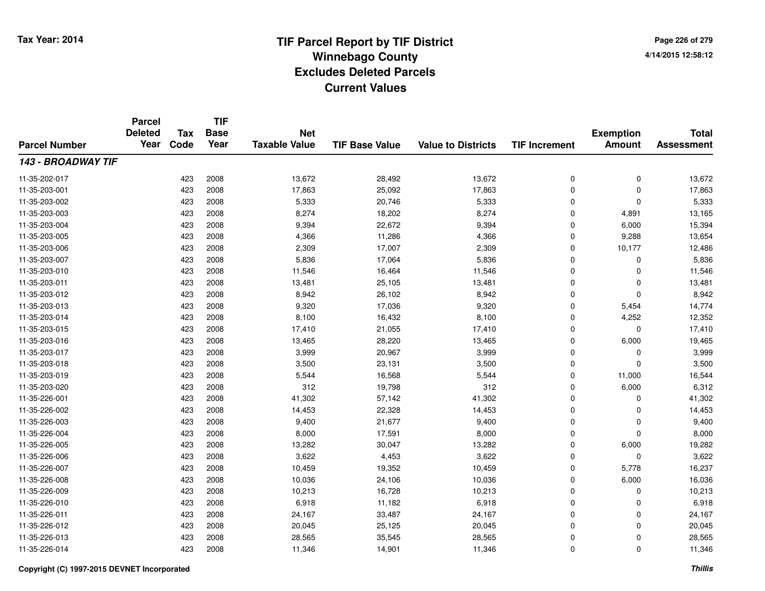**Page 226 of 2794/14/2015 12:58:12**

|                           | <b>Parcel</b><br><b>Deleted</b> | Tax  | <b>TIF</b><br><b>Base</b> | <b>Net</b>           |                       |                           |                      | <b>Exemption</b> | <b>Total</b>      |
|---------------------------|---------------------------------|------|---------------------------|----------------------|-----------------------|---------------------------|----------------------|------------------|-------------------|
| <b>Parcel Number</b>      | Year                            | Code | Year                      | <b>Taxable Value</b> | <b>TIF Base Value</b> | <b>Value to Districts</b> | <b>TIF Increment</b> | <b>Amount</b>    | <b>Assessment</b> |
| <b>143 - BROADWAY TIF</b> |                                 |      |                           |                      |                       |                           |                      |                  |                   |
| 11-35-202-017             |                                 | 423  | 2008                      | 13,672               | 28,492                | 13,672                    | 0                    | 0                | 13,672            |
| 11-35-203-001             |                                 | 423  | 2008                      | 17,863               | 25,092                | 17,863                    | 0                    | $\pmb{0}$        | 17,863            |
| 11-35-203-002             |                                 | 423  | 2008                      | 5,333                | 20,746                | 5,333                     | 0                    | $\mathbf 0$      | 5,333             |
| 11-35-203-003             |                                 | 423  | 2008                      | 8,274                | 18,202                | 8,274                     | 0                    | 4,891            | 13,165            |
| 11-35-203-004             |                                 | 423  | 2008                      | 9,394                | 22,672                | 9,394                     | 0                    | 6,000            | 15,394            |
| 11-35-203-005             |                                 | 423  | 2008                      | 4,366                | 11,286                | 4,366                     | 0                    | 9,288            | 13,654            |
| 11-35-203-006             |                                 | 423  | 2008                      | 2,309                | 17,007                | 2,309                     | 0                    | 10,177           | 12,486            |
| 11-35-203-007             |                                 | 423  | 2008                      | 5,836                | 17,064                | 5,836                     | 0                    | 0                | 5,836             |
| 11-35-203-010             |                                 | 423  | 2008                      | 11,546               | 16,464                | 11,546                    | 0                    | 0                | 11,546            |
| 11-35-203-011             |                                 | 423  | 2008                      | 13,481               | 25,105                | 13,481                    | 0                    | 0                | 13,481            |
| 11-35-203-012             |                                 | 423  | 2008                      | 8,942                | 26,102                | 8,942                     | 0                    | 0                | 8,942             |
| 11-35-203-013             |                                 | 423  | 2008                      | 9,320                | 17,036                | 9,320                     | 0                    | 5,454            | 14,774            |
| 11-35-203-014             |                                 | 423  | 2008                      | 8,100                | 16,432                | 8,100                     | 0                    | 4,252            | 12,352            |
| 11-35-203-015             |                                 | 423  | 2008                      | 17,410               | 21,055                | 17,410                    | 0                    | 0                | 17,410            |
| 11-35-203-016             |                                 | 423  | 2008                      | 13,465               | 28,220                | 13,465                    | 0                    | 6,000            | 19,465            |
| 11-35-203-017             |                                 | 423  | 2008                      | 3,999                | 20,967                | 3,999                     | 0                    | 0                | 3,999             |
| 11-35-203-018             |                                 | 423  | 2008                      | 3,500                | 23,131                | 3,500                     | 0                    | 0                | 3,500             |
| 11-35-203-019             |                                 | 423  | 2008                      | 5,544                | 16,568                | 5,544                     | 0                    | 11,000           | 16,544            |
| 11-35-203-020             |                                 | 423  | 2008                      | 312                  | 19,798                | 312                       | 0                    | 6,000            | 6,312             |
| 11-35-226-001             |                                 | 423  | 2008                      | 41,302               | 57,142                | 41,302                    | 0                    | 0                | 41,302            |
| 11-35-226-002             |                                 | 423  | 2008                      | 14,453               | 22,328                | 14,453                    | 0                    | 0                | 14,453            |
| 11-35-226-003             |                                 | 423  | 2008                      | 9,400                | 21,677                | 9,400                     | 0                    | $\mathbf 0$      | 9,400             |
| 11-35-226-004             |                                 | 423  | 2008                      | 8,000                | 17,591                | 8,000                     | 0                    | $\mathbf 0$      | 8,000             |
| 11-35-226-005             |                                 | 423  | 2008                      | 13,282               | 30,047                | 13,282                    | 0                    | 6,000            | 19,282            |
| 11-35-226-006             |                                 | 423  | 2008                      | 3,622                | 4,453                 | 3,622                     | 0                    | 0                | 3,622             |
| 11-35-226-007             |                                 | 423  | 2008                      | 10,459               | 19,352                | 10,459                    | 0                    | 5,778            | 16,237            |
| 11-35-226-008             |                                 | 423  | 2008                      | 10,036               | 24,106                | 10,036                    | 0                    | 6,000            | 16,036            |
| 11-35-226-009             |                                 | 423  | 2008                      | 10,213               | 16,728                | 10,213                    | 0                    | 0                | 10,213            |
| 11-35-226-010             |                                 | 423  | 2008                      | 6,918                | 11,182                | 6,918                     | 0                    | 0                | 6,918             |
| 11-35-226-011             |                                 | 423  | 2008                      | 24,167               | 33,487                | 24,167                    | 0                    | 0                | 24,167            |
| 11-35-226-012             |                                 | 423  | 2008                      | 20,045               | 25,125                | 20,045                    | 0                    | $\mathbf 0$      | 20,045            |
| 11-35-226-013             |                                 | 423  | 2008                      | 28,565               | 35,545                | 28,565                    | 0                    | $\mathbf 0$      | 28,565            |
| 11-35-226-014             |                                 | 423  | 2008                      | 11,346               | 14,901                | 11,346                    | 0                    | $\mathbf 0$      | 11,346            |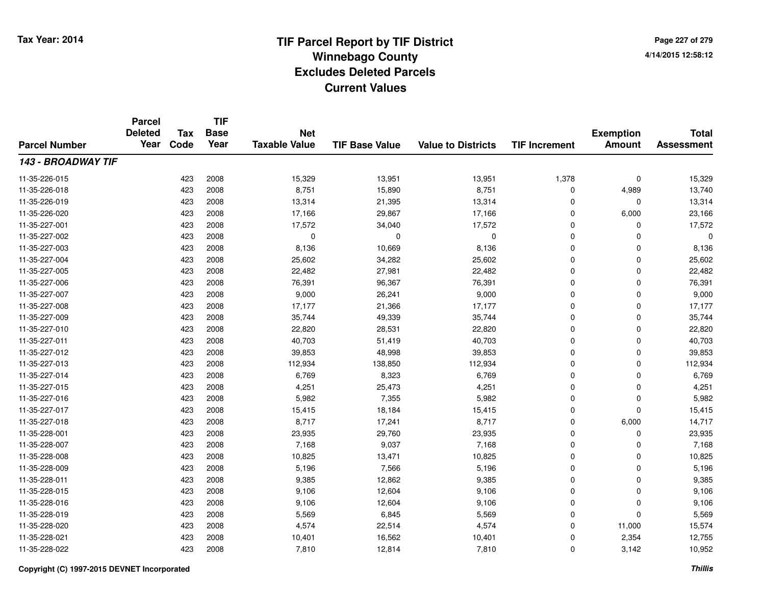**Page 227 of 2794/14/2015 12:58:12**

|                           | <b>Parcel</b><br><b>Deleted</b> | Tax  | <b>TIF</b><br><b>Base</b> | <b>Net</b>           |                       |                           |                      | <b>Exemption</b> | <b>Total</b>      |
|---------------------------|---------------------------------|------|---------------------------|----------------------|-----------------------|---------------------------|----------------------|------------------|-------------------|
| <b>Parcel Number</b>      | Year                            | Code | Year                      | <b>Taxable Value</b> | <b>TIF Base Value</b> | <b>Value to Districts</b> | <b>TIF Increment</b> | <b>Amount</b>    | <b>Assessment</b> |
| <b>143 - BROADWAY TIF</b> |                                 |      |                           |                      |                       |                           |                      |                  |                   |
| 11-35-226-015             |                                 | 423  | 2008                      | 15,329               | 13,951                | 13,951                    | 1,378                | 0                | 15,329            |
| 11-35-226-018             |                                 | 423  | 2008                      | 8,751                | 15,890                | 8,751                     | 0                    | 4,989            | 13,740            |
| 11-35-226-019             |                                 | 423  | 2008                      | 13,314               | 21,395                | 13,314                    | 0                    | 0                | 13,314            |
| 11-35-226-020             |                                 | 423  | 2008                      | 17,166               | 29,867                | 17,166                    | 0                    | 6,000            | 23,166            |
| 11-35-227-001             |                                 | 423  | 2008                      | 17,572               | 34,040                | 17,572                    | 0                    | 0                | 17,572            |
| 11-35-227-002             |                                 | 423  | 2008                      | $\mathbf 0$          | $\Omega$              | 0                         | 0                    | $\Omega$         | $\mathbf 0$       |
| 11-35-227-003             |                                 | 423  | 2008                      | 8,136                | 10,669                | 8,136                     | 0                    | $\Omega$         | 8,136             |
| 11-35-227-004             |                                 | 423  | 2008                      | 25,602               | 34,282                | 25,602                    | 0                    | $\mathbf 0$      | 25,602            |
| 11-35-227-005             |                                 | 423  | 2008                      | 22,482               | 27,981                | 22,482                    | 0                    | 0                | 22,482            |
| 11-35-227-006             |                                 | 423  | 2008                      | 76,391               | 96,367                | 76,391                    | 0                    | 0                | 76,391            |
| 11-35-227-007             |                                 | 423  | 2008                      | 9,000                | 26,241                | 9,000                     | 0                    | 0                | 9,000             |
| 11-35-227-008             |                                 | 423  | 2008                      | 17,177               | 21,366                | 17,177                    | 0                    | 0                | 17,177            |
| 11-35-227-009             |                                 | 423  | 2008                      | 35,744               | 49,339                | 35,744                    | 0                    | $\mathbf 0$      | 35,744            |
| 11-35-227-010             |                                 | 423  | 2008                      | 22,820               | 28,531                | 22,820                    | 0                    | 0                | 22,820            |
| 11-35-227-011             |                                 | 423  | 2008                      | 40,703               | 51,419                | 40,703                    | 0                    | $\mathbf 0$      | 40,703            |
| 11-35-227-012             |                                 | 423  | 2008                      | 39,853               | 48,998                | 39,853                    | 0                    | $\mathbf 0$      | 39,853            |
| 11-35-227-013             |                                 | 423  | 2008                      | 112,934              | 138,850               | 112,934                   | 0                    | 0                | 112,934           |
| 11-35-227-014             |                                 | 423  | 2008                      | 6,769                | 8,323                 | 6,769                     | 0                    | 0                | 6,769             |
| 11-35-227-015             |                                 | 423  | 2008                      | 4,251                | 25,473                | 4,251                     | 0                    | 0                | 4,251             |
| 11-35-227-016             |                                 | 423  | 2008                      | 5,982                | 7,355                 | 5,982                     | 0                    | 0                | 5,982             |
| 11-35-227-017             |                                 | 423  | 2008                      | 15,415               | 18,184                | 15,415                    | 0                    | $\mathbf 0$      | 15,415            |
| 11-35-227-018             |                                 | 423  | 2008                      | 8,717                | 17,241                | 8,717                     | 0                    | 6,000            | 14,717            |
| 11-35-228-001             |                                 | 423  | 2008                      | 23,935               | 29,760                | 23,935                    | 0                    | 0                | 23,935            |
| 11-35-228-007             |                                 | 423  | 2008                      | 7,168                | 9,037                 | 7,168                     | 0                    | $\mathbf 0$      | 7,168             |
| 11-35-228-008             |                                 | 423  | 2008                      | 10,825               | 13,471                | 10,825                    | 0                    | $\mathbf 0$      | 10,825            |
| 11-35-228-009             |                                 | 423  | 2008                      | 5,196                | 7,566                 | 5,196                     | 0                    | $\mathbf 0$      | 5,196             |
| 11-35-228-011             |                                 | 423  | 2008                      | 9,385                | 12,862                | 9,385                     | 0                    | $\mathbf 0$      | 9,385             |
| 11-35-228-015             |                                 | 423  | 2008                      | 9,106                | 12,604                | 9,106                     | 0                    | 0                | 9,106             |
| 11-35-228-016             |                                 | 423  | 2008                      | 9,106                | 12,604                | 9,106                     | 0                    | 0                | 9,106             |
| 11-35-228-019             |                                 | 423  | 2008                      | 5,569                | 6,845                 | 5,569                     | 0                    | $\mathbf 0$      | 5,569             |
| 11-35-228-020             |                                 | 423  | 2008                      | 4,574                | 22,514                | 4,574                     | 0                    | 11,000           | 15,574            |
| 11-35-228-021             |                                 | 423  | 2008                      | 10,401               | 16,562                | 10,401                    | 0                    | 2,354            | 12,755            |
| 11-35-228-022             |                                 | 423  | 2008                      | 7,810                | 12,814                | 7,810                     | 0                    | 3,142            | 10,952            |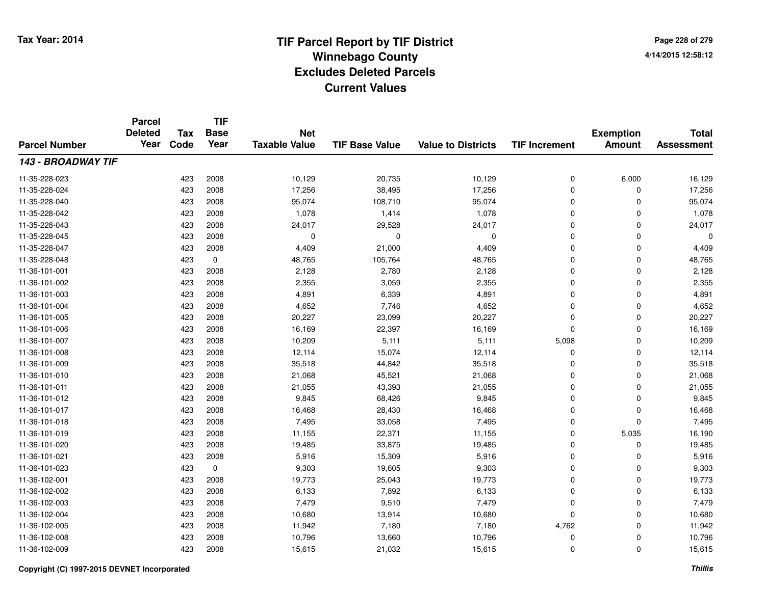**TIF**

**Parcel**

**Page 228 of 2794/14/2015 12:58:12**

| <b>Parcel Number</b> | <b>Deleted</b><br>Year | Tax<br>Code | <b>Base</b><br>Year | <b>Net</b><br><b>Taxable Value</b> | <b>TIF Base Value</b> | <b>Value to Districts</b> | <b>TIF Increment</b> | <b>Exemption</b><br><b>Amount</b> | <b>Total</b><br><b>Assessment</b> |
|----------------------|------------------------|-------------|---------------------|------------------------------------|-----------------------|---------------------------|----------------------|-----------------------------------|-----------------------------------|
| 143 - BROADWAY TIF   |                        |             |                     |                                    |                       |                           |                      |                                   |                                   |
| 11-35-228-023        |                        | 423         | 2008                | 10,129                             | 20,735                | 10,129                    | 0                    | 6,000                             | 16,129                            |
| 11-35-228-024        |                        | 423         | 2008                | 17,256                             | 38,495                | 17,256                    | 0                    | 0                                 | 17,256                            |
| 11-35-228-040        |                        | 423         | 2008                | 95,074                             | 108,710               | 95,074                    | 0                    | 0                                 | 95,074                            |
| 11-35-228-042        |                        | 423         | 2008                | 1,078                              | 1,414                 | 1,078                     | 0                    | $\Omega$                          | 1,078                             |
| 11-35-228-043        |                        | 423         | 2008                | 24,017                             | 29,528                | 24,017                    | 0                    | $\Omega$                          | 24,017                            |
| 11-35-228-045        |                        | 423         | 2008                | $\mathbf 0$                        | $\Omega$              | $\Omega$                  | 0                    | $\Omega$                          | $\Omega$                          |
| 11-35-228-047        |                        | 423         | 2008                | 4,409                              | 21,000                | 4,409                     | 0                    | $\mathbf 0$                       | 4,409                             |
| 11-35-228-048        |                        | 423         | 0                   | 48,765                             | 105,764               | 48,765                    | 0                    | $\Omega$                          | 48,765                            |
| 11-36-101-001        |                        | 423         | 2008                | 2,128                              | 2,780                 | 2,128                     | 0                    | $\mathbf 0$                       | 2,128                             |
| 11-36-101-002        |                        | 423         | 2008                | 2,355                              | 3,059                 | 2,355                     | 0                    | 0                                 | 2,355                             |
| 11-36-101-003        |                        | 423         | 2008                | 4,891                              | 6,339                 | 4,891                     | 0                    | $\mathbf 0$                       | 4,891                             |
| 11-36-101-004        |                        | 423         | 2008                | 4,652                              | 7,746                 | 4,652                     | 0                    | $\mathbf 0$                       | 4,652                             |
| 11-36-101-005        |                        | 423         | 2008                | 20,227                             | 23,099                | 20,227                    | 0                    | $\mathbf 0$                       | 20,227                            |
| 11-36-101-006        |                        | 423         | 2008                | 16,169                             | 22,397                | 16,169                    | 0                    | $\mathbf 0$                       | 16,169                            |
| 11-36-101-007        |                        | 423         | 2008                | 10,209                             | 5,111                 | 5,111                     | 5,098                | $\mathbf 0$                       | 10,209                            |
| 11-36-101-008        |                        | 423         | 2008                | 12,114                             | 15,074                | 12,114                    | 0                    | 0                                 | 12,114                            |
| 11-36-101-009        |                        | 423         | 2008                | 35,518                             | 44,842                | 35,518                    | 0                    | 0                                 | 35,518                            |
| 11-36-101-010        |                        | 423         | 2008                | 21,068                             | 45,521                | 21,068                    | 0                    | 0                                 | 21,068                            |
| 11-36-101-011        |                        | 423         | 2008                | 21,055                             | 43,393                | 21,055                    | 0                    | $\mathbf 0$                       | 21,055                            |
| 11-36-101-012        |                        | 423         | 2008                | 9,845                              | 68,426                | 9,845                     | 0                    | $\mathbf 0$                       | 9,845                             |
| 11-36-101-017        |                        | 423         | 2008                | 16,468                             | 28,430                | 16,468                    | 0                    | $\mathbf 0$                       | 16,468                            |
| 11-36-101-018        |                        | 423         | 2008                | 7,495                              | 33,058                | 7,495                     | 0                    | 0                                 | 7,495                             |
| 11-36-101-019        |                        | 423         | 2008                | 11,155                             | 22,371                | 11,155                    | 0                    | 5,035                             | 16,190                            |
| 11-36-101-020        |                        | 423         | 2008                | 19,485                             | 33,875                | 19,485                    | 0                    | 0                                 | 19,485                            |
| 11-36-101-021        |                        | 423         | 2008                | 5,916                              | 15,309                | 5,916                     | 0                    | $\Omega$                          | 5,916                             |
| 11-36-101-023        |                        | 423         | 0                   | 9,303                              | 19,605                | 9,303                     | 0                    | $\Omega$                          | 9,303                             |
| 11-36-102-001        |                        | 423         | 2008                | 19,773                             | 25,043                | 19,773                    | 0                    | 0                                 | 19,773                            |
| 11-36-102-002        |                        | 423         | 2008                | 6,133                              | 7,892                 | 6,133                     | 0                    | $\mathbf 0$                       | 6,133                             |
| 11-36-102-003        |                        | 423         | 2008                | 7,479                              | 9,510                 | 7,479                     | 0                    | $\mathbf 0$                       | 7,479                             |
| 11-36-102-004        |                        | 423         | 2008                | 10,680                             | 13,914                | 10,680                    | 0                    | $\mathbf 0$                       | 10,680                            |
| 11-36-102-005        |                        | 423         | 2008                | 11,942                             | 7,180                 | 7,180                     | 4,762                | $\mathbf 0$                       | 11,942                            |
| 11-36-102-008        |                        | 423         | 2008                | 10,796                             | 13,660                | 10,796                    | 0                    | 0                                 | 10,796                            |
| 11-36-102-009        |                        | 423         | 2008                | 15,615                             | 21,032                | 15,615                    | 0                    | 0                                 | 15,615                            |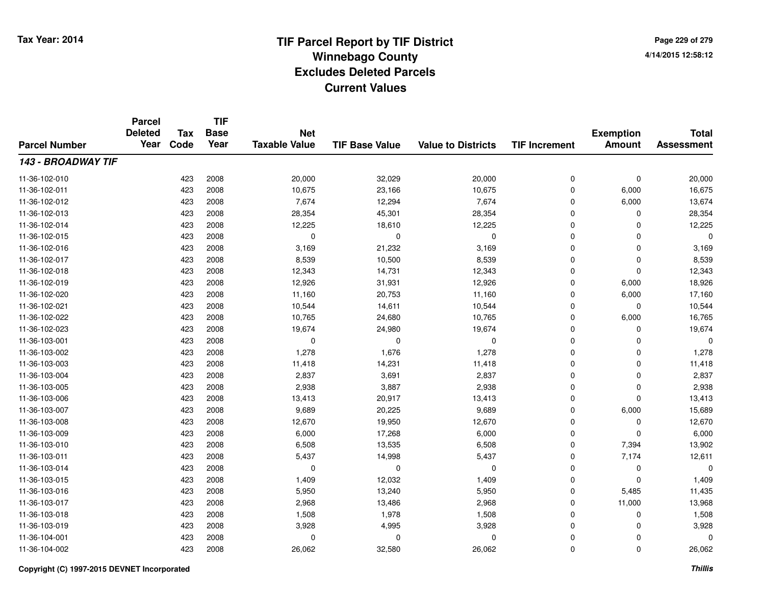**TIF**

**Parcel**

**Page 229 of 2794/14/2015 12:58:12**

| <b>Parcel Number</b> | <b>Deleted</b><br>Year | <b>Tax</b><br>Code | <b>Base</b><br>Year | <b>Net</b><br><b>Taxable Value</b> | <b>TIF Base Value</b> | <b>Value to Districts</b> | <b>TIF Increment</b> | <b>Exemption</b><br><b>Amount</b> | <b>Total</b><br><b>Assessment</b> |
|----------------------|------------------------|--------------------|---------------------|------------------------------------|-----------------------|---------------------------|----------------------|-----------------------------------|-----------------------------------|
| 143 - BROADWAY TIF   |                        |                    |                     |                                    |                       |                           |                      |                                   |                                   |
| 11-36-102-010        |                        | 423                | 2008                | 20,000                             | 32,029                | 20,000                    | 0                    | $\pmb{0}$                         | 20,000                            |
| 11-36-102-011        |                        | 423                | 2008                | 10,675                             | 23,166                | 10,675                    | 0                    | 6,000                             | 16,675                            |
| 11-36-102-012        |                        | 423                | 2008                | 7,674                              | 12,294                | 7,674                     | 0                    | 6,000                             | 13,674                            |
| 11-36-102-013        |                        | 423                | 2008                | 28,354                             | 45,301                | 28,354                    | 0                    | $\Omega$                          | 28,354                            |
| 11-36-102-014        |                        | 423                | 2008                | 12,225                             | 18,610                | 12,225                    | 0                    | $\Omega$                          | 12,225                            |
| 11-36-102-015        |                        | 423                | 2008                | $\mathbf 0$                        | $\Omega$              | $\mathbf 0$               | 0                    | $\Omega$                          | $\Omega$                          |
| 11-36-102-016        |                        | 423                | 2008                | 3,169                              | 21,232                | 3,169                     | $\mathbf 0$          | $\Omega$                          | 3,169                             |
| 11-36-102-017        |                        | 423                | 2008                | 8,539                              | 10,500                | 8,539                     | 0                    | $\Omega$                          | 8,539                             |
| 11-36-102-018        |                        | 423                | 2008                | 12,343                             | 14,731                | 12,343                    | 0                    | $\mathbf 0$                       | 12,343                            |
| 11-36-102-019        |                        | 423                | 2008                | 12,926                             | 31,931                | 12,926                    | 0                    | 6,000                             | 18,926                            |
| 11-36-102-020        |                        | 423                | 2008                | 11,160                             | 20,753                | 11,160                    | $\mathbf 0$          | 6,000                             | 17,160                            |
| 11-36-102-021        |                        | 423                | 2008                | 10,544                             | 14,611                | 10,544                    | $\mathbf 0$          | $\Omega$                          | 10,544                            |
| 11-36-102-022        |                        | 423                | 2008                | 10,765                             | 24,680                | 10,765                    | $\mathbf 0$          | 6,000                             | 16,765                            |
| 11-36-102-023        |                        | 423                | 2008                | 19,674                             | 24,980                | 19,674                    | $\mathbf 0$          | 0                                 | 19,674                            |
| 11-36-103-001        |                        | 423                | 2008                | 0                                  | $\Omega$              | 0                         | $\mathbf 0$          | $\Omega$                          | $\Omega$                          |
| 11-36-103-002        |                        | 423                | 2008                | 1,278                              | 1,676                 | 1,278                     | 0                    | 0                                 | 1,278                             |
| 11-36-103-003        |                        | 423                | 2008                | 11,418                             | 14,231                | 11,418                    | 0                    | 0                                 | 11,418                            |
| 11-36-103-004        |                        | 423                | 2008                | 2,837                              | 3,691                 | 2,837                     | 0                    | 0                                 | 2,837                             |
| 11-36-103-005        |                        | 423                | 2008                | 2,938                              | 3,887                 | 2,938                     | $\mathbf 0$          | $\Omega$                          | 2,938                             |
| 11-36-103-006        |                        | 423                | 2008                | 13,413                             | 20,917                | 13,413                    | $\mathbf 0$          | $\Omega$                          | 13,413                            |
| 11-36-103-007        |                        | 423                | 2008                | 9,689                              | 20,225                | 9,689                     | $\mathbf 0$          | 6,000                             | 15,689                            |
| 11-36-103-008        |                        | 423                | 2008                | 12,670                             | 19,950                | 12,670                    | 0                    | 0                                 | 12,670                            |
| 11-36-103-009        |                        | 423                | 2008                | 6,000                              | 17,268                | 6,000                     | 0                    | $\Omega$                          | 6,000                             |
| 11-36-103-010        |                        | 423                | 2008                | 6,508                              | 13,535                | 6,508                     | 0                    | 7,394                             | 13,902                            |
| 11-36-103-011        |                        | 423                | 2008                | 5,437                              | 14,998                | 5,437                     | 0                    | 7,174                             | 12,611                            |
| 11-36-103-014        |                        | 423                | 2008                | $\Omega$                           | $\Omega$              | 0                         | 0                    | 0                                 | $\Omega$                          |
| 11-36-103-015        |                        | 423                | 2008                | 1,409                              | 12,032                | 1,409                     | $\mathbf 0$          | $\Omega$                          | 1,409                             |
| 11-36-103-016        |                        | 423                | 2008                | 5,950                              | 13,240                | 5,950                     | $\mathbf 0$          | 5,485                             | 11,435                            |
| 11-36-103-017        |                        | 423                | 2008                | 2,968                              | 13,486                | 2,968                     | $\mathbf 0$          | 11,000                            | 13,968                            |
| 11-36-103-018        |                        | 423                | 2008                | 1,508                              | 1,978                 | 1,508                     | 0                    | 0                                 | 1,508                             |
| 11-36-103-019        |                        | 423                | 2008                | 3,928                              | 4,995                 | 3,928                     | 0                    | 0                                 | 3,928                             |
| 11-36-104-001        |                        | 423                | 2008                | $\Omega$                           | $\Omega$              | 0                         | 0                    | 0                                 | 0                                 |
| 11-36-104-002        |                        | 423                | 2008                | 26,062                             | 32,580                | 26,062                    | 0                    | 0                                 | 26,062                            |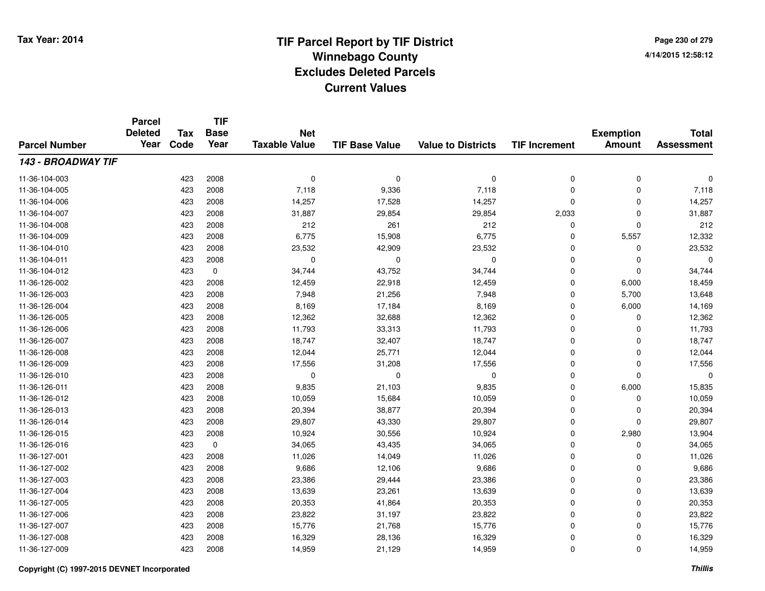**TIF**

**Parcel**

**Page 230 of 2794/14/2015 12:58:12**

| <b>Parcel Number</b> | <b>Deleted</b><br>Year | <b>Tax</b><br>Code | <b>Base</b><br>Year | <b>Net</b><br><b>Taxable Value</b> | <b>TIF Base Value</b> | <b>Value to Districts</b> | <b>TIF Increment</b> | <b>Exemption</b><br><b>Amount</b> | <b>Total</b><br><b>Assessment</b> |
|----------------------|------------------------|--------------------|---------------------|------------------------------------|-----------------------|---------------------------|----------------------|-----------------------------------|-----------------------------------|
| 143 - BROADWAY TIF   |                        |                    |                     |                                    |                       |                           |                      |                                   |                                   |
| 11-36-104-003        |                        | 423                | 2008                | $\mathbf 0$                        | $\mathbf 0$           | 0                         | 0                    | 0                                 | 0                                 |
| 11-36-104-005        |                        | 423                | 2008                | 7,118                              | 9,336                 | 7,118                     | 0                    | $\Omega$                          | 7,118                             |
| 11-36-104-006        |                        | 423                | 2008                | 14,257                             | 17,528                | 14,257                    | 0                    | $\Omega$                          | 14,257                            |
| 11-36-104-007        |                        | 423                | 2008                | 31,887                             | 29,854                | 29,854                    | 2,033                | $\Omega$                          | 31,887                            |
| 11-36-104-008        |                        | 423                | 2008                | 212                                | 261                   | 212                       | 0                    | 0                                 | 212                               |
| 11-36-104-009        |                        | 423                | 2008                | 6,775                              | 15,908                | 6,775                     | $\mathbf 0$          | 5,557                             | 12,332                            |
| 11-36-104-010        |                        | 423                | 2008                | 23,532                             | 42,909                | 23,532                    | 0                    | 0                                 | 23,532                            |
| 11-36-104-011        |                        | 423                | 2008                | $\mathbf 0$                        | $\Omega$              | $\mathbf 0$               | 0                    | $\Omega$                          | $\Omega$                          |
| 11-36-104-012        |                        | 423                | $\mathbf 0$         | 34,744                             | 43,752                | 34,744                    | 0                    | $\Omega$                          | 34,744                            |
| 11-36-126-002        |                        | 423                | 2008                | 12,459                             | 22,918                | 12,459                    | 0                    | 6,000                             | 18,459                            |
| 11-36-126-003        |                        | 423                | 2008                | 7,948                              | 21,256                | 7,948                     | 0                    | 5,700                             | 13,648                            |
| 11-36-126-004        |                        | 423                | 2008                | 8,169                              | 17,184                | 8,169                     | 0                    | 6,000                             | 14,169                            |
| 11-36-126-005        |                        | 423                | 2008                | 12,362                             | 32,688                | 12,362                    | 0                    | 0                                 | 12,362                            |
| 11-36-126-006        |                        | 423                | 2008                | 11,793                             | 33,313                | 11,793                    | 0                    | $\Omega$                          | 11,793                            |
| 11-36-126-007        |                        | 423                | 2008                | 18,747                             | 32,407                | 18,747                    | 0                    | $\Omega$                          | 18,747                            |
| 11-36-126-008        |                        | 423                | 2008                | 12,044                             | 25,771                | 12,044                    | $\mathbf 0$          | $\mathbf 0$                       | 12,044                            |
| 11-36-126-009        |                        | 423                | 2008                | 17,556                             | 31,208                | 17,556                    | 0                    | $\Omega$                          | 17,556                            |
| 11-36-126-010        |                        | 423                | 2008                | 0                                  | $\Omega$              | $\mathbf 0$               | 0                    | $\Omega$                          | $\Omega$                          |
| 11-36-126-011        |                        | 423                | 2008                | 9,835                              | 21,103                | 9,835                     | 0                    | 6,000                             | 15,835                            |
| 11-36-126-012        |                        | 423                | 2008                | 10,059                             | 15,684                | 10,059                    | 0                    | $\Omega$                          | 10,059                            |
| 11-36-126-013        |                        | 423                | 2008                | 20,394                             | 38,877                | 20,394                    | 0                    | $\Omega$                          | 20,394                            |
| 11-36-126-014        |                        | 423                | 2008                | 29,807                             | 43,330                | 29,807                    | 0                    | $\Omega$                          | 29,807                            |
| 11-36-126-015        |                        | 423                | 2008                | 10,924                             | 30,556                | 10,924                    | 0                    | 2,980                             | 13,904                            |
| 11-36-126-016        |                        | 423                | 0                   | 34,065                             | 43,435                | 34,065                    | 0                    | 0                                 | 34,065                            |
| 11-36-127-001        |                        | 423                | 2008                | 11,026                             | 14,049                | 11,026                    | $\mathbf 0$          | $\Omega$                          | 11,026                            |
| 11-36-127-002        |                        | 423                | 2008                | 9,686                              | 12,106                | 9,686                     | $\mathbf 0$          | $\Omega$                          | 9,686                             |
| 11-36-127-003        |                        | 423                | 2008                | 23,386                             | 29,444                | 23,386                    | $\mathbf 0$          | $\mathbf 0$                       | 23,386                            |
| 11-36-127-004        |                        | 423                | 2008                | 13,639                             | 23,261                | 13,639                    | $\mathbf 0$          | $\mathbf 0$                       | 13,639                            |
| 11-36-127-005        |                        | 423                | 2008                | 20,353                             | 41,864                | 20,353                    | $\mathbf 0$          | $\mathbf 0$                       | 20,353                            |
| 11-36-127-006        |                        | 423                | 2008                | 23,822                             | 31,197                | 23,822                    | 0                    | 0                                 | 23,822                            |
| 11-36-127-007        |                        | 423                | 2008                | 15,776                             | 21,768                | 15,776                    | 0                    | 0                                 | 15,776                            |
| 11-36-127-008        |                        | 423                | 2008                | 16,329                             | 28,136                | 16,329                    | 0                    | 0                                 | 16,329                            |
| 11-36-127-009        |                        | 423                | 2008                | 14,959                             | 21,129                | 14,959                    | 0                    | $\mathbf 0$                       | 14,959                            |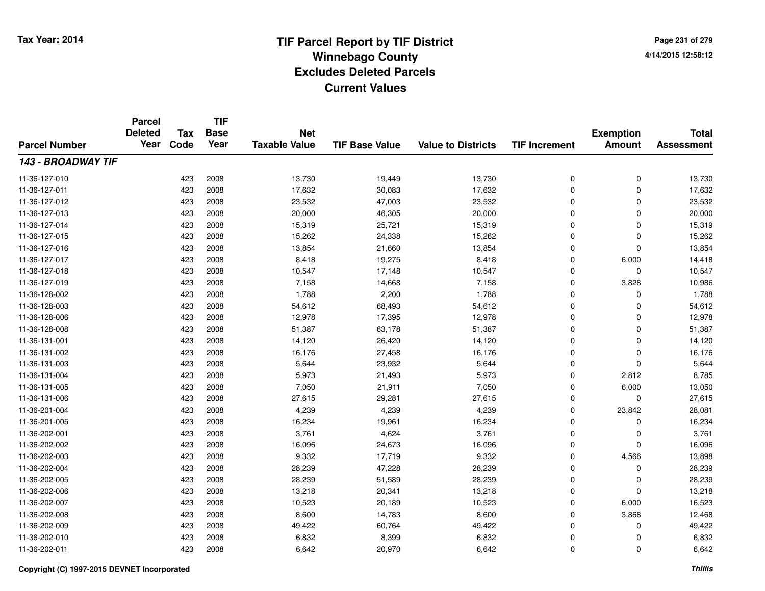**TIF**

**Parcel**

**Page 231 of 2794/14/2015 12:58:12**

#### **TIF Base ValueParcel NumberTotal AssessmentExemption Amount Value to Districts TIF Increment Base YearTax Code Deleted YearNet Taxable Value143 - BROADWAY TIF**11-36-127-0100 423 2008 13,730 19,449 13,730 0 0 13,730 11-36-127-0111 423 2008 17,632 30,083 17,632 0 0 17,632 11-36-127-0122 423 2008 23,532 47,003 23,532 0 0 23,532 11-36-127-013 $3$  20  $423$  2008  $20,000$   $46,305$  20,000  $0$  0  $0$  20,000 11-36-127-014 <sup>423</sup> 15,319 <sup>2008</sup> 25,721 15,319 <sup>0</sup> <sup>0</sup> 15,319 11-36-127-0155 423 2008 15,262 24,338 15,262 0 0 15,262 11-36-127-0166 423 2008 13,854 21,660 13,854 0 0 13,854 11-36-127-017 <sup>423</sup> 8,418 <sup>2008</sup> 19,275 8,418 <sup>0</sup> 6,000 14,418 11-36-127-018 <sup>423</sup> 10,547 <sup>2008</sup> 17,148 10,547 <sup>0</sup> <sup>0</sup> 10,547 11-36-127-019 <sup>423</sup> 7,158 <sup>2008</sup> 14,668 7,158 <sup>0</sup> 3,828 10,986 11-36-128-0022 423 2008 1,788 2,200 1,788 0 0 1,788 11-36-128-0033 423 2008 54,612 68,493 54,612 0 0 54,612 11-36-128-006 <sup>423</sup> 12,978 <sup>2008</sup> 17,395 12,978 <sup>0</sup> <sup>0</sup> 12,978 11-36-128-008 <sup>423</sup> 51,387 <sup>2008</sup> 63,178 51,387 <sup>0</sup> <sup>0</sup> 51,387 11-36-131-0011 423 2008 14,120 26,420 14,120 0 0 14,120 11-36-131-0022 423 2008 16,176 27,458 16,176 0 0 16,176 11-36-131-003 $3$  6,644  $423$  2008 5,644  $23,932$  5,644 5,644 0  $0$  5,644 11-36-131-004 <sup>423</sup> 5,973 <sup>2008</sup> 21,493 5,973 <sup>0</sup> 2,812 8,785 11-36-131-005 <sup>423</sup> 7,050 <sup>2008</sup> 21,911 7,050 <sup>0</sup> 6,000 13,050 11-36-131-0066 423 2008 27,615 29,281 27,615 0 0 27,615 11-36-201-0044 423 2008 4,239 4,239 23,842 28,081 11-36-201-0055 423 2008 16,234 19,961 16,234 0 0 16,234 11-36-202-0011 423 2008 3,761 4,624 3,761 0 0 3,761 11-36-202-0022 423 2008 16,096 24,673 16,096 0 0 16,096 11-36-202-0033 423 2008 9,332 17,719 9,332 0 4,566 13,898 11-36-202-004423 2008 28,239 2008 28,239 47,228 28,239 28,239 0 0 0 28,239 11-36-202-0055 423 2008 28,239 51,589 28,239 0 0 28,239 11-36-202-0066 423 2008 13,218 20,341 13,218 0 0 13,218 11-36-202-007 <sup>423</sup> 10,523 <sup>2008</sup> 20,189 10,523 <sup>0</sup> 6,000 16,523 11-36-202-0088 423 2008 8,600 14,783 8,600 0 3,868 12,468 11-36-202-0099 423 2008 49,422 60,764 49,422 0 0 49,422 11-36-202-0100 423 2008 6,832 8,399 6,832 0 0 6,832 11-36-202-0111 423 2008 6,642 20,970 6,642 0 0 6,642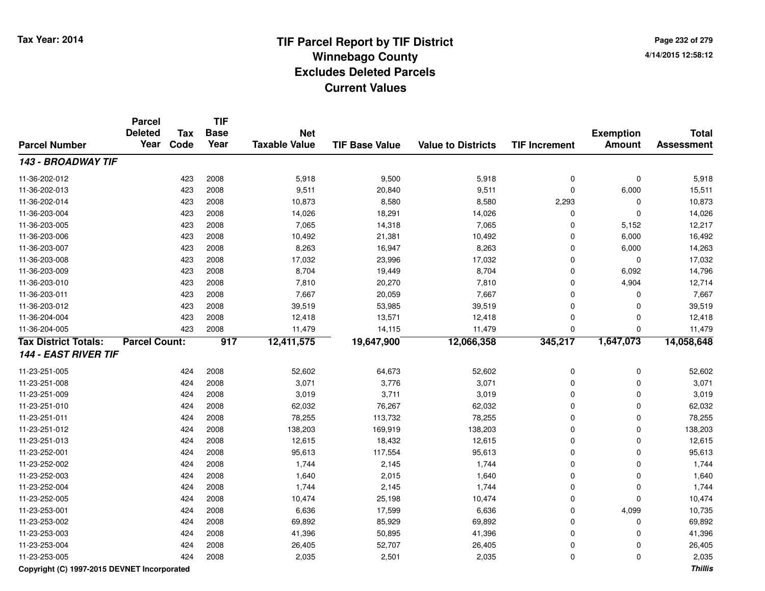**Page 232 of 2794/14/2015 12:58:12**

#### **TIF Base ValueParcel NumberTotal AssessmentExemption Amount Value to Districts TIF IncrementTIF Base YearTax CodeParcel Deleted YearNet Taxable Value143 - BROADWAY TIF**11-36-202-0122 423 2008 5,918 9,500 5,918 0 0 5,918 11-36-202-013 <sup>423</sup> 9,511 <sup>2008</sup> 20,840 9,511 <sup>0</sup> 6,000 15,511 11-36-202-014 <sup>423</sup> 10,873 <sup>2008</sup> 8,580 8,580 2,293 <sup>0</sup> 10,873 11-36-203-0044 423 2008 14,026 18,291 14,026 0 0 14,026 11-36-203-005 <sup>423</sup> 7,065 <sup>2008</sup> 14,318 7,065 <sup>0</sup> 5,152 12,217 11-36-203-006 <sup>423</sup> 10,492 <sup>2008</sup> 21,381 10,492 <sup>0</sup> 6,000 16,492 11-36-203-007 <sup>423</sup> 8,263 <sup>2008</sup> 16,947 8,263 <sup>0</sup> 6,000 14,263 11-36-203-008 <sup>423</sup> 17,032 <sup>2008</sup> 23,996 17,032 <sup>0</sup> <sup>0</sup> 17,032 11-36-203-0099 423 2008 8,704 19,449 8,704 0 6,092 14,796 11-36-203-0100 423 2008 7,810 20,270 7,810 0 4,904 12,714 11-36-203-0111 423 2008 7,667 20,059 7,667 0 0 7,667 11-36-203-0122 423 2008 39,519 53,985 39,519 0 0 39,519 11-36-204-004 <sup>423</sup> 12,418 <sup>2008</sup> 13,571 12,418 <sup>0</sup> <sup>0</sup> 12,418 11-36-204-005 <sup>423</sup> 11,479 <sup>2008</sup> 14,115 11,479 <sup>0</sup> <sup>0</sup> 11,479 **Tax District Totals: Parcel Count: <sup>917</sup> 12,411,575 19,647,900 12,066,358 345,217 1,647,073 14,058,648 144 - EAST RIVER TIF**11-23-251-005 <sup>424</sup> 52,602 <sup>2008</sup> 64,673 52,602 <sup>0</sup> <sup>0</sup> 52,602 11-23-251-0088 424 2008 3,071 3,776 3,071 0 0 3,071 11-23-251-0099 424 2008 3,019 3,711 3,019 0 0 3,019 11-23-251-0100 424 2008 62,032 76,267 62,032 0 0 62,032 11-23-251-0111 424 2008 78,255 113,732 78,255 0 0 78,255 11-23-251-0122 424 2008 138,203 169,919 138,203 0 138,203 11-23-251-0133 424 2008 12,615 18,432 12,615 0 0 12,615 11-23-252-0011 424 2008 95,613 117,554 95,613 0 0 95,613 11-23-252-0022 424 2008 1,744 2,145 1,744 0 0 1,744 11-23-252-0033 424 2008 1,640 2,015 1,640 0 0 1,640 11-23-252-0044 2008 1,744 2.145 1,744 2.145 1,744 0 0 0 1,744 11-23-252-005 <sup>424</sup> 10,474 <sup>2008</sup> 25,198 10,474 <sup>0</sup> <sup>0</sup> 10,474 11-23-253-0011 424 2008 6,636 17,599 6,636 0 4,099 10,735 11-23-253-0022 2 2 2008 69,892 85,929 69,892 85,929 869,892 0 0 0 69,892 11-23-253-0033 424 2008 41,396 50,895 41,396 0 0 41,396 11-23-253-004 <sup>424</sup> 26,405 <sup>2008</sup> 52,707 26,405 <sup>0</sup> <sup>0</sup> 26,405 11-23-253-0055 424 2008 2,035 2,501 2,035 0 2,035

#### **Copyright (C) 1997-2015 DEVNET Incorporated**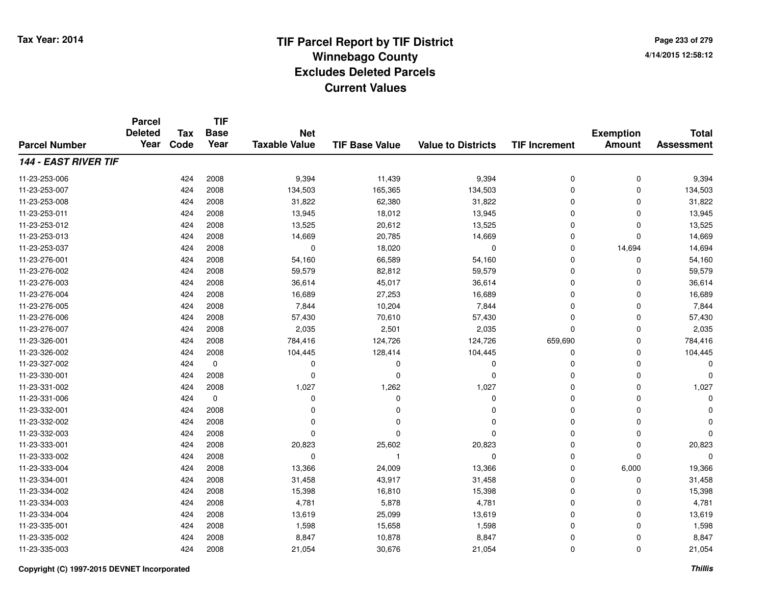**TIF**

**Parcel**

**Page 233 of 2794/14/2015 12:58:12**

| <b>Parcel Number</b>        | <b>Deleted</b><br>Year | <b>Tax</b><br>Code | <b>Base</b><br>Year | <b>Net</b><br><b>Taxable Value</b> | <b>TIF Base Value</b> | <b>Value to Districts</b> | <b>TIF Increment</b> | <b>Exemption</b><br><b>Amount</b> | <b>Total</b><br><b>Assessment</b> |
|-----------------------------|------------------------|--------------------|---------------------|------------------------------------|-----------------------|---------------------------|----------------------|-----------------------------------|-----------------------------------|
|                             |                        |                    |                     |                                    |                       |                           |                      |                                   |                                   |
| <b>144 - EAST RIVER TIF</b> |                        |                    |                     |                                    |                       |                           |                      |                                   |                                   |
| 11-23-253-006               |                        | 424                | 2008                | 9,394                              | 11,439                | 9,394                     | 0                    | $\mathbf 0$                       | 9,394                             |
| 11-23-253-007               |                        | 424                | 2008                | 134,503                            | 165,365               | 134,503                   | 0                    | 0                                 | 134,503                           |
| 11-23-253-008               |                        | 424                | 2008                | 31,822                             | 62,380                | 31,822                    | 0                    | $\Omega$                          | 31,822                            |
| 11-23-253-011               |                        | 424                | 2008                | 13,945                             | 18,012                | 13,945                    | $\Omega$             | $\Omega$                          | 13,945                            |
| 11-23-253-012               |                        | 424                | 2008                | 13,525                             | 20,612                | 13,525                    | 0                    | $\Omega$                          | 13,525                            |
| 11-23-253-013               |                        | 424                | 2008                | 14,669                             | 20,785                | 14,669                    | $\mathbf 0$          | $\Omega$                          | 14,669                            |
| 11-23-253-037               |                        | 424                | 2008                | 0                                  | 18,020                | $\mathbf 0$               | $\mathbf 0$          | 14,694                            | 14,694                            |
| 11-23-276-001               |                        | 424                | 2008                | 54,160                             | 66,589                | 54,160                    | $\mathbf 0$          | $\Omega$                          | 54,160                            |
| 11-23-276-002               |                        | 424                | 2008                | 59,579                             | 82,812                | 59,579                    | $\mathbf 0$          | $\Omega$                          | 59,579                            |
| 11-23-276-003               |                        | 424                | 2008                | 36,614                             | 45,017                | 36,614                    | $\mathbf 0$          | $\Omega$                          | 36,614                            |
| 11-23-276-004               |                        | 424                | 2008                | 16,689                             | 27,253                | 16,689                    | 0                    | $\Omega$                          | 16,689                            |
| 11-23-276-005               |                        | 424                | 2008                | 7,844                              | 10,204                | 7,844                     | $\Omega$             | $\Omega$                          | 7,844                             |
| 11-23-276-006               |                        | 424                | 2008                | 57,430                             | 70,610                | 57,430                    | $\Omega$             | $\mathbf 0$                       | 57,430                            |
| 11-23-276-007               |                        | 424                | 2008                | 2,035                              | 2,501                 | 2,035                     | 0                    | 0                                 | 2,035                             |
| 11-23-326-001               |                        | 424                | 2008                | 784,416                            | 124,726               | 124,726                   | 659,690              | 0                                 | 784,416                           |
| 11-23-326-002               |                        | 424                | 2008                | 104,445                            | 128,414               | 104,445                   | 0                    | 0                                 | 104,445                           |
| 11-23-327-002               |                        | 424                | 0                   | 0                                  | 0                     | 0                         | 0                    | 0                                 | $\Omega$                          |
| 11-23-330-001               |                        | 424                | 2008                | 0                                  | $\Omega$              | 0                         | 0                    | 0                                 | 0                                 |
| 11-23-331-002               |                        | 424                | 2008                | 1,027                              | 1,262                 | 1,027                     | $\Omega$             | $\Omega$                          | 1,027                             |
| 11-23-331-006               |                        | 424                | $\mathbf 0$         | 0                                  | $\Omega$              | 0                         | 0                    | $\Omega$                          | $\Omega$                          |
| 11-23-332-001               |                        | 424                | 2008                | O                                  | 0                     | $\Omega$                  | 0                    | 0                                 | 0                                 |
| 11-23-332-002               |                        | 424                | 2008                | O                                  | n                     | $\Omega$                  | 0                    | $\Omega$                          | $\Omega$                          |
| 11-23-332-003               |                        | 424                | 2008                | O                                  | O                     | $\Omega$                  | 0                    | $\Omega$                          | $\Omega$                          |
| 11-23-333-001               |                        | 424                | 2008                | 20,823                             | 25,602                | 20,823                    | 0                    | $\Omega$                          | 20,823                            |
| 11-23-333-002               |                        | 424                | 2008                | 0                                  | -1                    | 0                         | 0                    | $\Omega$                          | $\Omega$                          |
| 11-23-333-004               |                        | 424                | 2008                | 13,366                             | 24,009                | 13,366                    | 0                    | 6,000                             | 19,366                            |
| 11-23-334-001               |                        | 424                | 2008                | 31,458                             | 43,917                | 31,458                    | $\mathbf 0$          | $\Omega$                          | 31,458                            |
| 11-23-334-002               |                        | 424                | 2008                | 15,398                             | 16,810                | 15,398                    | $\mathbf 0$          | $\Omega$                          | 15,398                            |
| 11-23-334-003               |                        | 424                | 2008                | 4,781                              | 5,878                 | 4,781                     | $\mathbf 0$          | $\Omega$                          | 4,781                             |
| 11-23-334-004               |                        | 424                | 2008                | 13,619                             | 25,099                | 13,619                    | 0                    | $\Omega$                          | 13,619                            |
| 11-23-335-001               |                        | 424                | 2008                | 1,598                              | 15,658                | 1,598                     | 0                    | $\Omega$                          | 1,598                             |
| 11-23-335-002               |                        | 424                | 2008                | 8,847                              | 10,878                | 8,847                     | 0                    | $\Omega$                          | 8,847                             |
| 11-23-335-003               |                        | 424                | 2008                | 21,054                             | 30,676                | 21,054                    | 0                    | $\mathbf 0$                       | 21,054                            |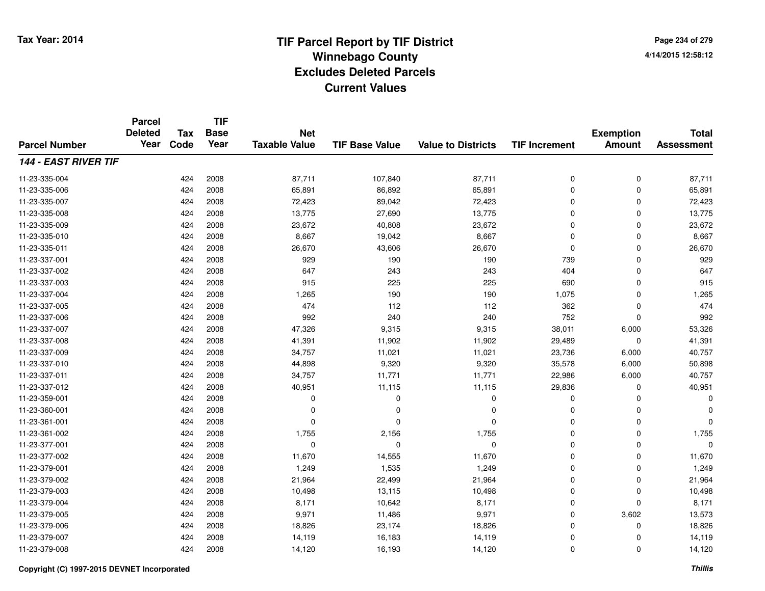**Page 234 of 2794/14/2015 12:58:12**

|                             | <b>Parcel</b><br><b>Deleted</b> | <b>Tax</b> | <b>TIF</b><br><b>Base</b> | <b>Net</b>           |                       |                           |                      | <b>Exemption</b> | <b>Total</b>      |
|-----------------------------|---------------------------------|------------|---------------------------|----------------------|-----------------------|---------------------------|----------------------|------------------|-------------------|
| <b>Parcel Number</b>        | Year                            | Code       | Year                      | <b>Taxable Value</b> | <b>TIF Base Value</b> | <b>Value to Districts</b> | <b>TIF Increment</b> | <b>Amount</b>    | <b>Assessment</b> |
| <b>144 - EAST RIVER TIF</b> |                                 |            |                           |                      |                       |                           |                      |                  |                   |
| 11-23-335-004               |                                 | 424        | 2008                      | 87,711               | 107,840               | 87,711                    | 0                    | 0                | 87,711            |
| 11-23-335-006               |                                 | 424        | 2008                      | 65,891               | 86,892                | 65,891                    | $\mathbf 0$          | $\mathbf 0$      | 65,891            |
| 11-23-335-007               |                                 | 424        | 2008                      | 72,423               | 89,042                | 72,423                    | $\mathbf 0$          | 0                | 72,423            |
| 11-23-335-008               |                                 | 424        | 2008                      | 13,775               | 27,690                | 13,775                    | 0                    | $\mathbf 0$      | 13,775            |
| 11-23-335-009               |                                 | 424        | 2008                      | 23,672               | 40,808                | 23,672                    | 0                    | $\Omega$         | 23,672            |
| 11-23-335-010               |                                 | 424        | 2008                      | 8,667                | 19,042                | 8,667                     | 0                    | $\Omega$         | 8,667             |
| 11-23-335-011               |                                 | 424        | 2008                      | 26,670               | 43,606                | 26,670                    | 0                    | $\Omega$         | 26,670            |
| 11-23-337-001               |                                 | 424        | 2008                      | 929                  | 190                   | 190                       | 739                  | $\Omega$         | 929               |
| 11-23-337-002               |                                 | 424        | 2008                      | 647                  | 243                   | 243                       | 404                  | $\Omega$         | 647               |
| 11-23-337-003               |                                 | 424        | 2008                      | 915                  | 225                   | 225                       | 690                  | $\Omega$         | 915               |
| 11-23-337-004               |                                 | 424        | 2008                      | 1,265                | 190                   | 190                       | 1,075                | $\Omega$         | 1,265             |
| 11-23-337-005               |                                 | 424        | 2008                      | 474                  | 112                   | 112                       | 362                  | 0                | 474               |
| 11-23-337-006               |                                 | 424        | 2008                      | 992                  | 240                   | 240                       | 752                  | $\Omega$         | 992               |
| 11-23-337-007               |                                 | 424        | 2008                      | 47,326               | 9,315                 | 9,315                     | 38,011               | 6,000            | 53,326            |
| 11-23-337-008               |                                 | 424        | 2008                      | 41,391               | 11,902                | 11,902                    | 29,489               | $\mathbf 0$      | 41,391            |
| 11-23-337-009               |                                 | 424        | 2008                      | 34,757               | 11,021                | 11,021                    | 23,736               | 6,000            | 40,757            |
| 11-23-337-010               |                                 | 424        | 2008                      | 44,898               | 9,320                 | 9,320                     | 35,578               | 6,000            | 50,898            |
| 11-23-337-011               |                                 | 424        | 2008                      | 34,757               | 11,771                | 11,771                    | 22,986               | 6,000            | 40,757            |
| 11-23-337-012               |                                 | 424        | 2008                      | 40,951               | 11,115                | 11,115                    | 29,836               | 0                | 40,951            |
| 11-23-359-001               |                                 | 424        | 2008                      | 0                    | 0                     | 0                         | 0                    | $\mathbf 0$      | $\Omega$          |
| 11-23-360-001               |                                 | 424        | 2008                      | 0                    | 0                     | 0                         | 0                    | 0                |                   |
| 11-23-361-001               |                                 | 424        | 2008                      | 0                    | $\Omega$              | $\mathbf 0$               | 0                    | $\mathbf 0$      |                   |
| 11-23-361-002               |                                 | 424        | 2008                      | 1,755                | 2,156                 | 1,755                     | 0                    | $\mathbf 0$      | 1,755             |
| 11-23-377-001               |                                 | 424        | 2008                      | $\mathbf 0$          | $\mathbf 0$           | 0                         | 0                    | $\mathbf 0$      | $\Omega$          |
| 11-23-377-002               |                                 | 424        | 2008                      | 11,670               | 14,555                | 11,670                    | 0                    | $\mathbf 0$      | 11,670            |
| 11-23-379-001               |                                 | 424        | 2008                      | 1,249                | 1,535                 | 1,249                     | 0                    | $\mathbf 0$      | 1,249             |
| 11-23-379-002               |                                 | 424        | 2008                      | 21,964               | 22,499                | 21,964                    | 0                    | $\mathbf 0$      | 21,964            |
| 11-23-379-003               |                                 | 424        | 2008                      | 10,498               | 13,115                | 10,498                    | 0                    | 0                | 10,498            |
| 11-23-379-004               |                                 | 424        | 2008                      | 8,171                | 10,642                | 8,171                     | 0                    | $\mathbf 0$      | 8,171             |
| 11-23-379-005               |                                 | 424        | 2008                      | 9,971                | 11,486                | 9,971                     | 0                    | 3,602            | 13,573            |
| 11-23-379-006               |                                 | 424        | 2008                      | 18,826               | 23,174                | 18,826                    | 0                    | 0                | 18,826            |
| 11-23-379-007               |                                 | 424        | 2008                      | 14,119               | 16,183                | 14,119                    | 0                    | $\Omega$         | 14,119            |
| 11-23-379-008               |                                 | 424        | 2008                      | 14,120               | 16,193                | 14,120                    | 0                    | $\Omega$         | 14,120            |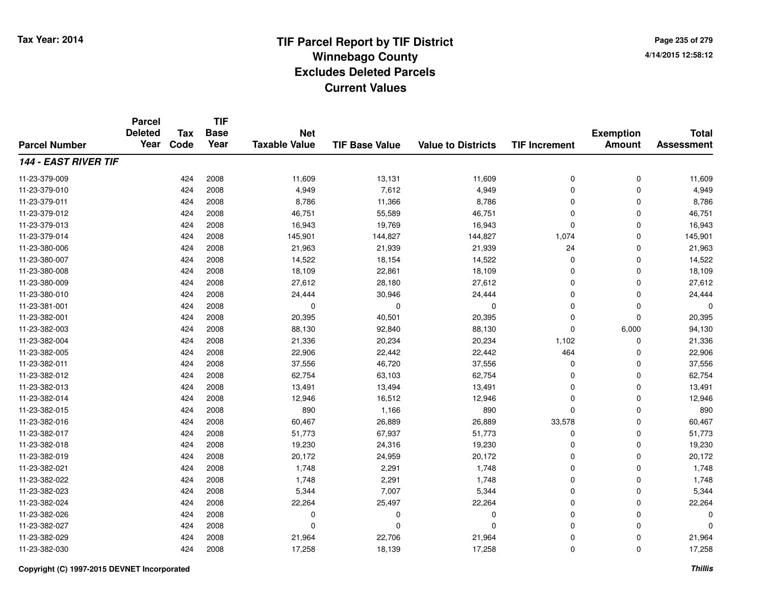**TIF**

**Parcel**

**Page 235 of 2794/14/2015 12:58:12**

| <b>Parcel Number</b>        | <b>Deleted</b><br>Year | <b>Tax</b><br>Code | .<br><b>Base</b><br>Year | <b>Net</b><br><b>Taxable Value</b> | <b>TIF Base Value</b> | <b>Value to Districts</b> | <b>TIF Increment</b> | <b>Exemption</b><br><b>Amount</b> | <b>Total</b><br><b>Assessment</b> |
|-----------------------------|------------------------|--------------------|--------------------------|------------------------------------|-----------------------|---------------------------|----------------------|-----------------------------------|-----------------------------------|
| <b>144 - EAST RIVER TIF</b> |                        |                    |                          |                                    |                       |                           |                      |                                   |                                   |
| 11-23-379-009               |                        | 424                | 2008                     | 11,609                             | 13,131                | 11,609                    | 0                    | 0                                 | 11,609                            |
| 11-23-379-010               |                        | 424                | 2008                     | 4,949                              | 7,612                 | 4,949                     | 0                    | 0                                 | 4,949                             |
| 11-23-379-011               |                        | 424                | 2008                     | 8,786                              | 11,366                | 8,786                     | 0                    | 0                                 | 8,786                             |
| 11-23-379-012               |                        | 424                | 2008                     | 46,751                             | 55,589                | 46,751                    | 0                    | 0                                 | 46,751                            |
| 11-23-379-013               |                        | 424                | 2008                     | 16,943                             | 19,769                | 16,943                    | 0                    | 0                                 | 16,943                            |
| 11-23-379-014               |                        | 424                | 2008                     | 145,901                            | 144,827               | 144,827                   | 1,074                | 0                                 | 145,901                           |
| 11-23-380-006               |                        | 424                | 2008                     | 21,963                             | 21,939                | 21,939                    | 24                   | 0                                 | 21,963                            |
| 11-23-380-007               |                        | 424                | 2008                     | 14,522                             | 18,154                | 14,522                    | $\mathbf 0$          | 0                                 | 14,522                            |
| 11-23-380-008               |                        | 424                | 2008                     | 18,109                             | 22,861                | 18,109                    | 0                    | 0                                 | 18,109                            |
| 11-23-380-009               |                        | 424                | 2008                     | 27,612                             | 28,180                | 27,612                    | 0                    | 0                                 | 27,612                            |
| 11-23-380-010               |                        | 424                | 2008                     | 24,444                             | 30,946                | 24,444                    | 0                    | 0                                 | 24,444                            |
| 11-23-381-001               |                        | 424                | 2008                     | 0                                  | $\mathbf 0$           | $\mathbf 0$               | 0                    | 0                                 | 0                                 |
| 11-23-382-001               |                        | 424                | 2008                     | 20,395                             | 40,501                | 20,395                    | 0                    | 0                                 | 20,395                            |
| 11-23-382-003               |                        | 424                | 2008                     | 88,130                             | 92,840                | 88,130                    | $\mathbf 0$          | 6,000                             | 94,130                            |
| 11-23-382-004               |                        | 424                | 2008                     | 21,336                             | 20,234                | 20,234                    | 1,102                | 0                                 | 21,336                            |
| 11-23-382-005               |                        | 424                | 2008                     | 22,906                             | 22,442                | 22,442                    | 464                  | 0                                 | 22,906                            |
| 11-23-382-011               |                        | 424                | 2008                     | 37,556                             | 46,720                | 37,556                    | 0                    | 0                                 | 37,556                            |
| 11-23-382-012               |                        | 424                | 2008                     | 62,754                             | 63,103                | 62,754                    | 0                    | 0                                 | 62,754                            |
| 11-23-382-013               |                        | 424                | 2008                     | 13,491                             | 13,494                | 13,491                    | 0                    | 0                                 | 13,491                            |
| 11-23-382-014               |                        | 424                | 2008                     | 12,946                             | 16,512                | 12,946                    | 0                    | 0                                 | 12,946                            |
| 11-23-382-015               |                        | 424                | 2008                     | 890                                | 1,166                 | 890                       | 0                    | 0                                 | 890                               |
| 11-23-382-016               |                        | 424                | 2008                     | 60,467                             | 26,889                | 26,889                    | 33,578               | 0                                 | 60,467                            |
| 11-23-382-017               |                        | 424                | 2008                     | 51,773                             | 67,937                | 51,773                    | 0                    | 0                                 | 51,773                            |
| 11-23-382-018               |                        | 424                | 2008                     | 19,230                             | 24,316                | 19,230                    | 0                    | 0                                 | 19,230                            |
| 11-23-382-019               |                        | 424                | 2008                     | 20,172                             | 24,959                | 20,172                    | 0                    | 0                                 | 20,172                            |
| 11-23-382-021               |                        | 424                | 2008                     | 1,748                              | 2,291                 | 1,748                     | 0                    | 0                                 | 1,748                             |
| 11-23-382-022               |                        | 424                | 2008                     | 1,748                              | 2,291                 | 1,748                     | 0                    | 0                                 | 1,748                             |
| 11-23-382-023               |                        | 424                | 2008                     | 5,344                              | 7,007                 | 5,344                     | 0                    | 0                                 | 5,344                             |
| 11-23-382-024               |                        | 424                | 2008                     | 22,264                             | 25,497                | 22,264                    | 0                    | 0                                 | 22,264                            |
| 11-23-382-026               |                        | 424                | 2008                     | $\Omega$                           | $\Omega$              | 0                         | 0                    | 0                                 | 0                                 |
| 11-23-382-027               |                        | 424                | 2008                     | $\Omega$                           | $\Omega$              | $\mathbf 0$               | 0                    | 0                                 | $\Omega$                          |
| 11-23-382-029               |                        | 424                | 2008                     | 21,964                             | 22,706                | 21,964                    | 0                    | 0                                 | 21,964                            |
| 11-23-382-030               |                        | 424                | 2008                     | 17,258                             | 18,139                | 17,258                    | 0                    | 0                                 | 17,258                            |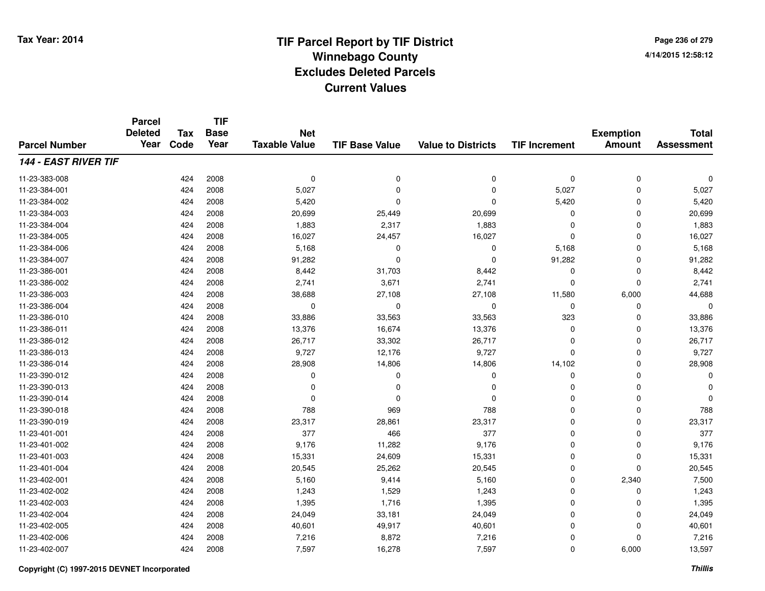# **TIF Parcel Report by TIF District Tax Year: 2014 Winnebago County04/14/2015 12:58:12** PM **Excludes Deleted ParcelsCurrent Values**

**Page 236 of 2794/14/2015 12:58:12**

|                      | <b>Parcel</b><br><b>Deleted</b> | <b>Tax</b> | <b>TIF</b><br><b>Base</b> | <b>Net</b>           |                       |                           |                      | <b>Exemption</b> | <b>Total</b>      |
|----------------------|---------------------------------|------------|---------------------------|----------------------|-----------------------|---------------------------|----------------------|------------------|-------------------|
| <b>Parcel Number</b> | Year                            | Code       | Year                      | <b>Taxable Value</b> | <b>TIF Base Value</b> | <b>Value to Districts</b> | <b>TIF Increment</b> | <b>Amount</b>    | <b>Assessment</b> |
| 144 - EAST RIVER TIF |                                 |            |                           |                      |                       |                           |                      |                  |                   |
| 11-23-383-008        |                                 | 424        | 2008                      | $\mathbf 0$          | $\pmb{0}$             | $\mathbf 0$               | $\mathbf 0$          | $\mathbf 0$      | 0                 |
| 11-23-384-001        |                                 | 424        | 2008                      | 5,027                | $\Omega$              | $\Omega$                  | 5,027                | $\mathbf 0$      | 5,027             |
| 11-23-384-002        |                                 | 424        | 2008                      | 5,420                | $\Omega$              | $\Omega$                  | 5,420                | $\Omega$         | 5,420             |
| 11-23-384-003        |                                 | 424        | 2008                      | 20,699               | 25,449                | 20,699                    | 0                    | $\Omega$         | 20,699            |
| 11-23-384-004        |                                 | 424        | 2008                      | 1,883                | 2,317                 | 1,883                     | $\Omega$             | $\Omega$         | 1,883             |
| 11-23-384-005        |                                 | 424        | 2008                      | 16,027               | 24,457                | 16,027                    | $\mathbf 0$          | $\Omega$         | 16,027            |
| 11-23-384-006        |                                 | 424        | 2008                      | 5,168                | $\Omega$              | $\mathbf 0$               | 5,168                | $\Omega$         | 5,168             |
| 11-23-384-007        |                                 | 424        | 2008                      | 91,282               | $\mathbf 0$           | $\mathbf 0$               | 91,282               | $\Omega$         | 91,282            |
| 11-23-386-001        |                                 | 424        | 2008                      | 8,442                | 31,703                | 8,442                     | 0                    | $\Omega$         | 8,442             |
| 11-23-386-002        |                                 | 424        | 2008                      | 2,741                | 3,671                 | 2,741                     | $\mathbf 0$          | $\Omega$         | 2,741             |
| 11-23-386-003        |                                 | 424        | 2008                      | 38,688               | 27,108                | 27,108                    | 11,580               | 6,000            | 44,688            |
| 11-23-386-004        |                                 | 424        | 2008                      | 0                    | 0                     | 0                         | 0                    | 0                | 0                 |
| 11-23-386-010        |                                 | 424        | 2008                      | 33,886               | 33,563                | 33,563                    | 323                  | $\Omega$         | 33,886            |
| 11-23-386-011        |                                 | 424        | 2008                      | 13,376               | 16,674                | 13,376                    | 0                    | $\Omega$         | 13,376            |
| 11-23-386-012        |                                 | 424        | 2008                      | 26,717               | 33,302                | 26,717                    | $\mathbf 0$          | $\Omega$         | 26,717            |
| 11-23-386-013        |                                 | 424        | 2008                      | 9,727                | 12,176                | 9,727                     | $\mathbf 0$          | $\Omega$         | 9,727             |
| 11-23-386-014        |                                 | 424        | 2008                      | 28,908               | 14,806                | 14,806                    | 14,102               | 0                | 28,908            |
| 11-23-390-012        |                                 | 424        | 2008                      | 0                    | 0                     | 0                         | 0                    | 0                | O                 |
| 11-23-390-013        |                                 | 424        | 2008                      | 0                    | $\Omega$              | 0                         | $\mathbf 0$          | $\Omega$         |                   |
| 11-23-390-014        |                                 | 424        | 2008                      | 0                    | $\Omega$              | $\Omega$                  | 0                    | 0                |                   |
| 11-23-390-018        |                                 | 424        | 2008                      | 788                  | 969                   | 788                       | $\mathbf 0$          | $\Omega$         | 788               |
| 11-23-390-019        |                                 | 424        | 2008                      | 23,317               | 28,861                | 23,317                    | 0                    | 0                | 23,317            |
| 11-23-401-001        |                                 | 424        | 2008                      | 377                  | 466                   | 377                       | 0                    | $\mathbf 0$      | 377               |
| 11-23-401-002        |                                 | 424        | 2008                      | 9,176                | 11,282                | 9,176                     | 0                    | 0                | 9,176             |
| 11-23-401-003        |                                 | 424        | 2008                      | 15,331               | 24,609                | 15,331                    | 0                    | $\mathbf 0$      | 15,331            |
| 11-23-401-004        |                                 | 424        | 2008                      | 20,545               | 25,262                | 20,545                    | 0                    | $\Omega$         | 20,545            |
| 11-23-402-001        |                                 | 424        | 2008                      | 5,160                | 9,414                 | 5,160                     | 0                    | 2,340            | 7,500             |
| 11-23-402-002        |                                 | 424        | 2008                      | 1,243                | 1,529                 | 1,243                     | 0                    | 0                | 1,243             |
| 11-23-402-003        |                                 | 424        | 2008                      | 1,395                | 1,716                 | 1,395                     | $\mathbf 0$          | $\Omega$         | 1,395             |
| 11-23-402-004        |                                 | 424        | 2008                      | 24,049               | 33,181                | 24,049                    | 0                    | 0                | 24,049            |
| 11-23-402-005        |                                 | 424        | 2008                      | 40,601               | 49,917                | 40,601                    | $\Omega$             | $\Omega$         | 40,601            |
| 11-23-402-006        |                                 | 424        | 2008                      | 7,216                | 8,872                 | 7,216                     | 0                    | $\Omega$         | 7,216             |
| 11-23-402-007        |                                 | 424        | 2008                      | 7,597                | 16,278                | 7,597                     | 0                    | 6,000            | 13,597            |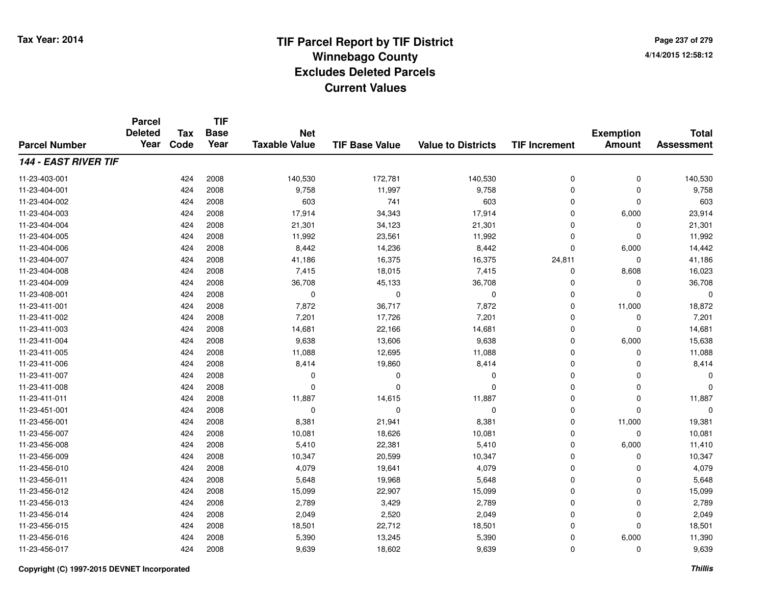**TIF**

**Parcel**

**Page 237 of 2794/14/2015 12:58:12**

| <b>Parcel Number</b>        | <b>Deleted</b><br>Year | <b>Tax</b><br>Code | <b>Base</b><br>Year | <b>Net</b><br><b>Taxable Value</b> | <b>TIF Base Value</b> | <b>Value to Districts</b> | <b>TIF Increment</b> | <b>Exemption</b><br><b>Amount</b> | <b>Total</b><br><b>Assessment</b> |
|-----------------------------|------------------------|--------------------|---------------------|------------------------------------|-----------------------|---------------------------|----------------------|-----------------------------------|-----------------------------------|
| <b>144 - EAST RIVER TIF</b> |                        |                    |                     |                                    |                       |                           |                      |                                   |                                   |
| 11-23-403-001               |                        | 424                | 2008                | 140,530                            | 172,781               | 140,530                   | 0                    | $\mathbf 0$                       | 140,530                           |
| 11-23-404-001               |                        | 424                | 2008                | 9,758                              | 11,997                | 9,758                     | 0                    | 0                                 | 9,758                             |
| 11-23-404-002               |                        | 424                | 2008                | 603                                | 741                   | 603                       | 0                    | 0                                 | 603                               |
| 11-23-404-003               |                        | 424                | 2008                | 17,914                             | 34,343                | 17,914                    | $\Omega$             | 6,000                             | 23,914                            |
| 11-23-404-004               |                        | 424                | 2008                | 21,301                             | 34,123                | 21,301                    | 0                    | $\Omega$                          | 21,301                            |
| 11-23-404-005               |                        | 424                | 2008                | 11,992                             | 23,561                | 11,992                    | $\mathbf 0$          | $\Omega$                          | 11,992                            |
| 11-23-404-006               |                        | 424                | 2008                | 8,442                              | 14,236                | 8,442                     | 0                    | 6,000                             | 14,442                            |
| 11-23-404-007               |                        | 424                | 2008                | 41,186                             | 16,375                | 16,375                    | 24,811               | $\Omega$                          | 41,186                            |
| 11-23-404-008               |                        | 424                | 2008                | 7,415                              | 18,015                | 7,415                     | 0                    | 8,608                             | 16,023                            |
| 11-23-404-009               |                        | 424                | 2008                | 36,708                             | 45,133                | 36,708                    | 0                    | 0                                 | 36,708                            |
| 11-23-408-001               |                        | 424                | 2008                | 0                                  | $\Omega$              | 0                         | 0                    | $\Omega$                          | $\Omega$                          |
| 11-23-411-001               |                        | 424                | 2008                | 7,872                              | 36,717                | 7,872                     | $\mathbf 0$          | 11,000                            | 18,872                            |
| 11-23-411-002               |                        | 424                | 2008                | 7,201                              | 17,726                | 7,201                     | $\mathbf 0$          | $\Omega$                          | 7,201                             |
| 11-23-411-003               |                        | 424                | 2008                | 14,681                             | 22,166                | 14,681                    | $\mathbf 0$          | $\Omega$                          | 14,681                            |
| 11-23-411-004               |                        | 424                | 2008                | 9,638                              | 13,606                | 9,638                     | $\mathbf 0$          | 6,000                             | 15,638                            |
| 11-23-411-005               |                        | 424                | 2008                | 11,088                             | 12,695                | 11,088                    | 0                    | 0                                 | 11,088                            |
| 11-23-411-006               |                        | 424                | 2008                | 8,414                              | 19,860                | 8,414                     | 0                    | $\Omega$                          | 8,414                             |
| 11-23-411-007               |                        | 424                | 2008                | 0                                  | 0                     | 0                         | 0                    | $\Omega$                          | 0                                 |
| 11-23-411-008               |                        | 424                | 2008                | $\Omega$                           | $\Omega$              | $\mathbf 0$               | $\mathbf 0$          | $\mathbf 0$                       | $\Omega$                          |
| 11-23-411-011               |                        | 424                | 2008                | 11,887                             | 14,615                | 11,887                    | $\mathbf 0$          | $\mathbf 0$                       | 11,887                            |
| 11-23-451-001               |                        | 424                | 2008                | 0                                  | $\Omega$              | $\mathbf 0$               | $\mathbf 0$          | $\Omega$                          | $\Omega$                          |
| 11-23-456-001               |                        | 424                | 2008                | 8,381                              | 21,941                | 8,381                     | $\mathbf 0$          | 11,000                            | 19,381                            |
| 11-23-456-007               |                        | 424                | 2008                | 10,081                             | 18,626                | 10,081                    | 0                    | 0                                 | 10,081                            |
| 11-23-456-008               |                        | 424                | 2008                | 5,410                              | 22,381                | 5,410                     | 0                    | 6,000                             | 11,410                            |
| 11-23-456-009               |                        | 424                | 2008                | 10,347                             | 20,599                | 10,347                    | 0                    | $\Omega$                          | 10,347                            |
| 11-23-456-010               |                        | 424                | 2008                | 4,079                              | 19,641                | 4,079                     | 0                    | $\Omega$                          | 4,079                             |
| 11-23-456-011               |                        | 424                | 2008                | 5,648                              | 19,968                | 5,648                     | $\mathbf 0$          | $\Omega$                          | 5,648                             |
| 11-23-456-012               |                        | 424                | 2008                | 15,099                             | 22,907                | 15,099                    | $\mathbf 0$          | $\mathbf 0$                       | 15,099                            |
| 11-23-456-013               |                        | 424                | 2008                | 2,789                              | 3,429                 | 2,789                     | $\mathbf 0$          | $\mathbf 0$                       | 2,789                             |
| 11-23-456-014               |                        | 424                | 2008                | 2,049                              | 2,520                 | 2,049                     | $\mathbf 0$          | $\Omega$                          | 2,049                             |
| 11-23-456-015               |                        | 424                | 2008                | 18,501                             | 22,712                | 18,501                    | 0                    | $\mathbf 0$                       | 18,501                            |
| 11-23-456-016               |                        | 424                | 2008                | 5,390                              | 13,245                | 5,390                     | 0                    | 6,000                             | 11,390                            |
| 11-23-456-017               |                        | 424                | 2008                | 9,639                              | 18,602                | 9,639                     | 0                    | 0                                 | 9,639                             |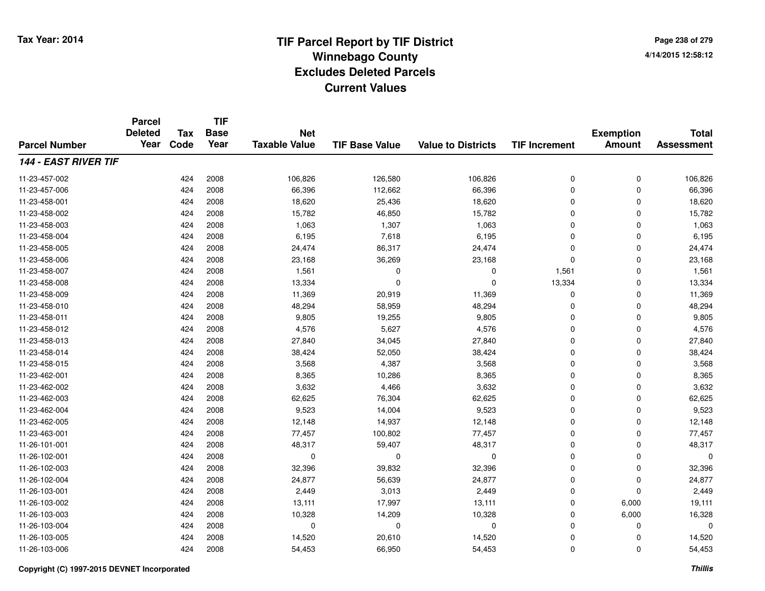**Page 238 of 2794/14/2015 12:58:12**

|                             | <b>Parcel</b><br><b>Deleted</b> | <b>Tax</b> | <b>TIF</b><br><b>Base</b> | <b>Net</b>           |                       |                           |                      | <b>Exemption</b> | <b>Total</b>      |
|-----------------------------|---------------------------------|------------|---------------------------|----------------------|-----------------------|---------------------------|----------------------|------------------|-------------------|
| <b>Parcel Number</b>        | Year                            | Code       | Year                      | <b>Taxable Value</b> | <b>TIF Base Value</b> | <b>Value to Districts</b> | <b>TIF Increment</b> | <b>Amount</b>    | <b>Assessment</b> |
| <b>144 - EAST RIVER TIF</b> |                                 |            |                           |                      |                       |                           |                      |                  |                   |
| 11-23-457-002               |                                 | 424        | 2008                      | 106,826              | 126,580               | 106,826                   | 0                    | 0                | 106,826           |
| 11-23-457-006               |                                 | 424        | 2008                      | 66,396               | 112,662               | 66,396                    | 0                    | $\mathbf 0$      | 66,396            |
| 11-23-458-001               |                                 | 424        | 2008                      | 18,620               | 25,436                | 18,620                    | $\mathbf 0$          | $\mathbf 0$      | 18,620            |
| 11-23-458-002               |                                 | 424        | 2008                      | 15,782               | 46,850                | 15,782                    | 0                    | $\Omega$         | 15,782            |
| 11-23-458-003               |                                 | 424        | 2008                      | 1,063                | 1,307                 | 1,063                     | 0                    | $\Omega$         | 1,063             |
| 11-23-458-004               |                                 | 424        | 2008                      | 6,195                | 7,618                 | 6,195                     | 0                    | $\Omega$         | 6,195             |
| 11-23-458-005               |                                 | 424        | 2008                      | 24,474               | 86,317                | 24,474                    | 0                    | $\Omega$         | 24,474            |
| 11-23-458-006               |                                 | 424        | 2008                      | 23,168               | 36,269                | 23,168                    | 0                    | $\Omega$         | 23,168            |
| 11-23-458-007               |                                 | 424        | 2008                      | 1,561                | 0                     | $\mathbf 0$               | 1,561                | $\Omega$         | 1,561             |
| 11-23-458-008               |                                 | 424        | 2008                      | 13,334               | $\Omega$              | $\mathbf 0$               | 13,334               | $\Omega$         | 13,334            |
| 11-23-458-009               |                                 | 424        | 2008                      | 11,369               | 20,919                | 11,369                    | 0                    | $\Omega$         | 11,369            |
| 11-23-458-010               |                                 | 424        | 2008                      | 48,294               | 58,959                | 48,294                    | 0                    | 0                | 48,294            |
| 11-23-458-011               |                                 | 424        | 2008                      | 9,805                | 19,255                | 9,805                     | $\mathbf 0$          | $\Omega$         | 9,805             |
| 11-23-458-012               |                                 | 424        | 2008                      | 4,576                | 5,627                 | 4,576                     | 0                    | 0                | 4,576             |
| 11-23-458-013               |                                 | 424        | 2008                      | 27,840               | 34,045                | 27,840                    | 0                    | $\Omega$         | 27,840            |
| 11-23-458-014               |                                 | 424        | 2008                      | 38,424               | 52,050                | 38,424                    | 0                    | 0                | 38,424            |
| 11-23-458-015               |                                 | 424        | 2008                      | 3,568                | 4,387                 | 3,568                     | 0                    | $\mathbf 0$      | 3,568             |
| 11-23-462-001               |                                 | 424        | 2008                      | 8,365                | 10,286                | 8,365                     | 0                    | $\mathbf 0$      | 8,365             |
| 11-23-462-002               |                                 | 424        | 2008                      | 3,632                | 4,466                 | 3,632                     | 0                    | 0                | 3,632             |
| 11-23-462-003               |                                 | 424        | 2008                      | 62,625               | 76,304                | 62,625                    | 0                    | 0                | 62,625            |
| 11-23-462-004               |                                 | 424        | 2008                      | 9,523                | 14,004                | 9,523                     | 0                    | 0                | 9,523             |
| 11-23-462-005               |                                 | 424        | 2008                      | 12,148               | 14,937                | 12,148                    | 0                    | $\mathbf 0$      | 12,148            |
| 11-23-463-001               |                                 | 424        | 2008                      | 77,457               | 100,802               | 77,457                    | 0                    | $\mathbf 0$      | 77,457            |
| 11-26-101-001               |                                 | 424        | 2008                      | 48,317               | 59,407                | 48,317                    | 0                    | $\mathbf 0$      | 48,317            |
| 11-26-102-001               |                                 | 424        | 2008                      | 0                    | 0                     | 0                         | 0                    | $\mathbf 0$      | 0                 |
| 11-26-102-003               |                                 | 424        | 2008                      | 32,396               | 39,832                | 32,396                    | 0                    | $\mathbf 0$      | 32,396            |
| 11-26-102-004               |                                 | 424        | 2008                      | 24,877               | 56,639                | 24,877                    | 0                    | $\mathbf 0$      | 24,877            |
| 11-26-103-001               |                                 | 424        | 2008                      | 2,449                | 3,013                 | 2,449                     | 0                    | $\Omega$         | 2,449             |
| 11-26-103-002               |                                 | 424        | 2008                      | 13,111               | 17,997                | 13,111                    | 0                    | 6,000            | 19,111            |
| 11-26-103-003               |                                 | 424        | 2008                      | 10,328               | 14,209                | 10,328                    | 0                    | 6,000            | 16,328            |
| 11-26-103-004               |                                 | 424        | 2008                      | 0                    | 0                     | $\mathbf 0$               | $\mathbf 0$          | $\Omega$         | 0                 |
| 11-26-103-005               |                                 | 424        | 2008                      | 14,520               | 20,610                | 14,520                    | 0                    | 0                | 14,520            |
| 11-26-103-006               |                                 | 424        | 2008                      | 54,453               | 66,950                | 54,453                    | 0                    | $\Omega$         | 54,453            |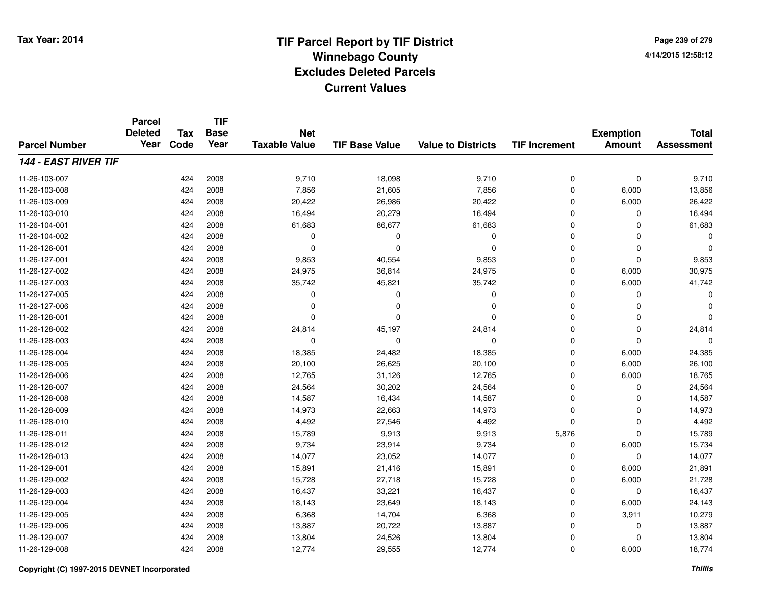**TIF**

**Parcel**

**Page 239 of 2794/14/2015 12:58:12**

| <b>Parcel Number</b>        | <b>Deleted</b><br>Year | Tax<br>Code | <b>Base</b><br>Year | <b>Net</b><br><b>Taxable Value</b> | <b>TIF Base Value</b> | <b>Value to Districts</b> | <b>TIF Increment</b> | <b>Exemption</b><br><b>Amount</b> | <b>Total</b><br><b>Assessment</b> |
|-----------------------------|------------------------|-------------|---------------------|------------------------------------|-----------------------|---------------------------|----------------------|-----------------------------------|-----------------------------------|
| <b>144 - EAST RIVER TIF</b> |                        |             |                     |                                    |                       |                           |                      |                                   |                                   |
| 11-26-103-007               |                        | 424         | 2008                | 9,710                              | 18,098                | 9,710                     | 0                    | $\pmb{0}$                         | 9,710                             |
| 11-26-103-008               |                        | 424         | 2008                | 7,856                              | 21,605                | 7,856                     | 0                    | 6,000                             | 13,856                            |
| 11-26-103-009               |                        | 424         | 2008                | 20,422                             | 26,986                | 20,422                    | 0                    | 6,000                             | 26,422                            |
| 11-26-103-010               |                        | 424         | 2008                | 16,494                             | 20,279                | 16,494                    | $\mathbf 0$          | $\Omega$                          | 16,494                            |
| 11-26-104-001               |                        | 424         | 2008                | 61,683                             | 86,677                | 61,683                    | 0                    | $\Omega$                          | 61,683                            |
| 11-26-104-002               |                        | 424         | 2008                | $\mathbf 0$                        | 0                     | $\Omega$                  | $\mathbf 0$          | $\Omega$                          | $\Omega$                          |
| 11-26-126-001               |                        | 424         | 2008                | $\mathbf 0$                        | $\Omega$              | $\Omega$                  | $\mathbf 0$          | $\Omega$                          | $\Omega$                          |
| 11-26-127-001               |                        | 424         | 2008                | 9,853                              | 40,554                | 9,853                     | 0                    | $\Omega$                          | 9,853                             |
| 11-26-127-002               |                        | 424         | 2008                | 24,975                             | 36,814                | 24,975                    | 0                    | 6,000                             | 30,975                            |
| 11-26-127-003               |                        | 424         | 2008                | 35,742                             | 45,821                | 35,742                    | 0                    | 6,000                             | 41,742                            |
| 11-26-127-005               |                        | 424         | 2008                | $\Omega$                           | 0                     | 0                         | $\mathbf 0$          | $\Omega$                          | 0                                 |
| 11-26-127-006               |                        | 424         | 2008                | $\Omega$                           | $\Omega$              | $\Omega$                  | $\mathbf 0$          | $\Omega$                          | $\Omega$                          |
| 11-26-128-001               |                        | 424         | 2008                | $\Omega$                           | $\Omega$              | $\Omega$                  | $\mathbf 0$          | $\Omega$                          | $\Omega$                          |
| 11-26-128-002               |                        | 424         | 2008                | 24,814                             | 45,197                | 24,814                    | 0                    | $\mathbf 0$                       | 24,814                            |
| 11-26-128-003               |                        | 424         | 2008                | $\mathbf 0$                        | $\Omega$              | 0                         | $\mathbf 0$          | $\Omega$                          | O                                 |
| 11-26-128-004               |                        | 424         | 2008                | 18,385                             | 24,482                | 18,385                    | $\mathbf 0$          | 6,000                             | 24,385                            |
| 11-26-128-005               |                        | 424         | 2008                | 20,100                             | 26,625                | 20,100                    | 0                    | 6,000                             | 26,100                            |
| 11-26-128-006               |                        | 424         | 2008                | 12,765                             | 31,126                | 12,765                    | 0                    | 6,000                             | 18,765                            |
| 11-26-128-007               |                        | 424         | 2008                | 24,564                             | 30,202                | 24,564                    | 0                    | 0                                 | 24,564                            |
| 11-26-128-008               |                        | 424         | 2008                | 14,587                             | 16,434                | 14,587                    | 0                    | $\Omega$                          | 14,587                            |
| 11-26-128-009               |                        | 424         | 2008                | 14,973                             | 22,663                | 14,973                    | 0                    | $\Omega$                          | 14,973                            |
| 11-26-128-010               |                        | 424         | 2008                | 4,492                              | 27,546                | 4,492                     | $\mathbf 0$          | $\Omega$                          | 4,492                             |
| 11-26-128-011               |                        | 424         | 2008                | 15,789                             | 9,913                 | 9,913                     | 5,876                | $\Omega$                          | 15,789                            |
| 11-26-128-012               |                        | 424         | 2008                | 9,734                              | 23,914                | 9,734                     | 0                    | 6,000                             | 15,734                            |
| 11-26-128-013               |                        | 424         | 2008                | 14,077                             | 23,052                | 14,077                    | 0                    | 0                                 | 14,077                            |
| 11-26-129-001               |                        | 424         | 2008                | 15,891                             | 21,416                | 15,891                    | 0                    | 6,000                             | 21,891                            |
| 11-26-129-002               |                        | 424         | 2008                | 15,728                             | 27,718                | 15,728                    | $\mathbf 0$          | 6,000                             | 21,728                            |
| 11-26-129-003               |                        | 424         | 2008                | 16,437                             | 33,221                | 16,437                    | $\mathbf 0$          | $\mathbf 0$                       | 16,437                            |
| 11-26-129-004               |                        | 424         | 2008                | 18,143                             | 23,649                | 18,143                    | $\mathbf 0$          | 6,000                             | 24,143                            |
| 11-26-129-005               |                        | 424         | 2008                | 6,368                              | 14,704                | 6,368                     | 0                    | 3,911                             | 10,279                            |
| 11-26-129-006               |                        | 424         | 2008                | 13,887                             | 20,722                | 13,887                    | 0                    | 0                                 | 13,887                            |
| 11-26-129-007               |                        | 424         | 2008                | 13,804                             | 24,526                | 13,804                    | 0                    | $\Omega$                          | 13,804                            |
| 11-26-129-008               |                        | 424         | 2008                | 12,774                             | 29,555                | 12,774                    | 0                    | 6,000                             | 18,774                            |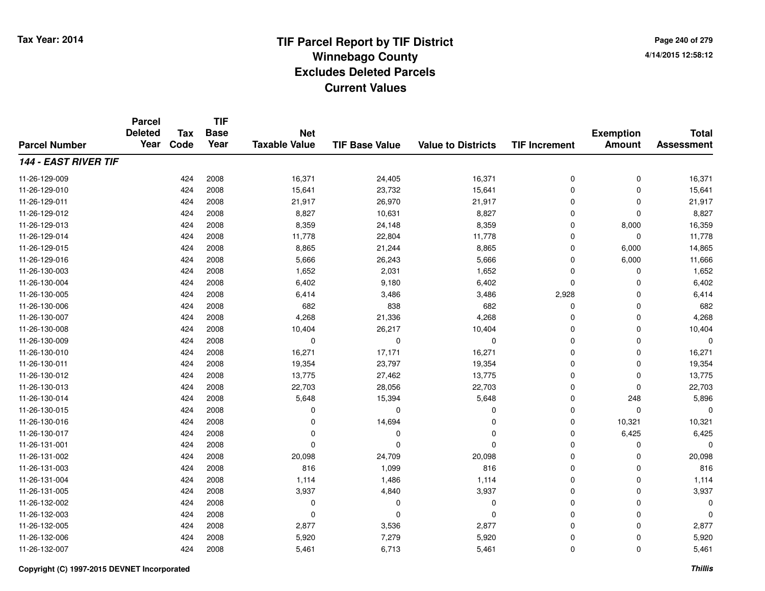**TIF**

**Parcel**

**Page 240 of 2794/14/2015 12:58:12**

| <b>Parcel Number</b>        | <b>Deleted</b><br>Year | <b>Tax</b><br>Code | <b>Base</b><br>Year | <b>Net</b><br><b>Taxable Value</b> | <b>TIF Base Value</b> | <b>Value to Districts</b> | <b>TIF Increment</b> | <b>Exemption</b><br><b>Amount</b> | <b>Total</b><br><b>Assessment</b> |
|-----------------------------|------------------------|--------------------|---------------------|------------------------------------|-----------------------|---------------------------|----------------------|-----------------------------------|-----------------------------------|
| <b>144 - EAST RIVER TIF</b> |                        |                    |                     |                                    |                       |                           |                      |                                   |                                   |
| 11-26-129-009               |                        | 424                | 2008                | 16,371                             | 24,405                | 16,371                    | 0                    | 0                                 | 16,371                            |
| 11-26-129-010               |                        | 424                | 2008                | 15,641                             | 23,732                | 15,641                    | 0                    | $\mathbf 0$                       | 15,641                            |
| 11-26-129-011               |                        | 424                | 2008                | 21,917                             | 26,970                | 21,917                    | $\mathbf 0$          | $\Omega$                          | 21,917                            |
| 11-26-129-012               |                        | 424                | 2008                | 8,827                              | 10,631                | 8,827                     | 0                    | $\Omega$                          | 8,827                             |
| 11-26-129-013               |                        | 424                | 2008                | 8,359                              | 24,148                | 8,359                     | $\mathbf 0$          | 8,000                             | 16,359                            |
| 11-26-129-014               |                        | 424                | 2008                | 11,778                             | 22,804                | 11,778                    | 0                    | $\Omega$                          | 11,778                            |
| 11-26-129-015               |                        | 424                | 2008                | 8,865                              | 21,244                | 8,865                     | 0                    | 6,000                             | 14,865                            |
| 11-26-129-016               |                        | 424                | 2008                | 5,666                              | 26,243                | 5,666                     | 0                    | 6,000                             | 11,666                            |
| 11-26-130-003               |                        | 424                | 2008                | 1,652                              | 2,031                 | 1,652                     | 0                    | 0                                 | 1,652                             |
| 11-26-130-004               |                        | 424                | 2008                | 6,402                              | 9,180                 | 6,402                     | 0                    | $\Omega$                          | 6,402                             |
| 11-26-130-005               |                        | 424                | 2008                | 6,414                              | 3,486                 | 3,486                     | 2,928                | 0                                 | 6,414                             |
| 11-26-130-006               |                        | 424                | 2008                | 682                                | 838                   | 682                       | 0                    | 0                                 | 682                               |
| 11-26-130-007               |                        | 424                | 2008                | 4,268                              | 21,336                | 4,268                     | 0                    | 0                                 | 4,268                             |
| 11-26-130-008               |                        | 424                | 2008                | 10,404                             | 26,217                | 10,404                    | 0                    | 0                                 | 10,404                            |
| 11-26-130-009               |                        | 424                | 2008                | 0                                  | $\Omega$              | 0                         | $\Omega$             | $\Omega$                          | $\Omega$                          |
| 11-26-130-010               |                        | 424                | 2008                | 16,271                             | 17,171                | 16,271                    | $\mathbf 0$          | $\mathbf 0$                       | 16,271                            |
| 11-26-130-011               |                        | 424                | 2008                | 19,354                             | 23,797                | 19,354                    | $\mathbf 0$          | 0                                 | 19,354                            |
| 11-26-130-012               |                        | 424                | 2008                | 13,775                             | 27,462                | 13,775                    | 0                    | $\Omega$                          | 13,775                            |
| 11-26-130-013               |                        | 424                | 2008                | 22,703                             | 28,056                | 22,703                    | $\mathbf 0$          | $\Omega$                          | 22,703                            |
| 11-26-130-014               |                        | 424                | 2008                | 5,648                              | 15,394                | 5,648                     | $\mathbf 0$          | 248                               | 5,896                             |
| 11-26-130-015               |                        | 424                | 2008                | 0                                  | $\Omega$              | 0                         | 0                    | $\mathbf 0$                       | $\Omega$                          |
| 11-26-130-016               |                        | 424                | 2008                | 0                                  | 14,694                | $\Omega$                  | 0                    | 10,321                            | 10,321                            |
| 11-26-130-017               |                        | 424                | 2008                | 0                                  | 0                     | $\Omega$                  | 0                    | 6,425                             | 6,425                             |
| 11-26-131-001               |                        | 424                | 2008                | $\Omega$                           | $\Omega$              | $\Omega$                  | 0                    | 0                                 | $\Omega$                          |
| 11-26-131-002               |                        | 424                | 2008                | 20,098                             | 24,709                | 20,098                    | $\mathbf 0$          | $\mathbf 0$                       | 20,098                            |
| 11-26-131-003               |                        | 424                | 2008                | 816                                | 1,099                 | 816                       | $\mathbf 0$          | $\Omega$                          | 816                               |
| 11-26-131-004               |                        | 424                | 2008                | 1,114                              | 1,486                 | 1,114                     | $\mathbf 0$          | $\mathbf 0$                       | 1,114                             |
| 11-26-131-005               |                        | 424                | 2008                | 3,937                              | 4,840                 | 3,937                     | $\mathbf 0$          | 0                                 | 3,937                             |
| 11-26-132-002               |                        | 424                | 2008                | 0                                  | 0                     | 0                         | $\mathbf 0$          | $\mathbf 0$                       | 0                                 |
| 11-26-132-003               |                        | 424                | 2008                | 0                                  | $\Omega$              | $\Omega$                  | $\mathbf 0$          | $\mathbf 0$                       | $\Omega$                          |
| 11-26-132-005               |                        | 424                | 2008                | 2,877                              | 3,536                 | 2,877                     | 0                    | $\Omega$                          | 2,877                             |
| 11-26-132-006               |                        | 424                | 2008                | 5,920                              | 7,279                 | 5,920                     | 0                    | $\Omega$                          | 5,920                             |
| 11-26-132-007               |                        | 424                | 2008                | 5,461                              | 6,713                 | 5,461                     | 0                    | $\mathbf 0$                       | 5,461                             |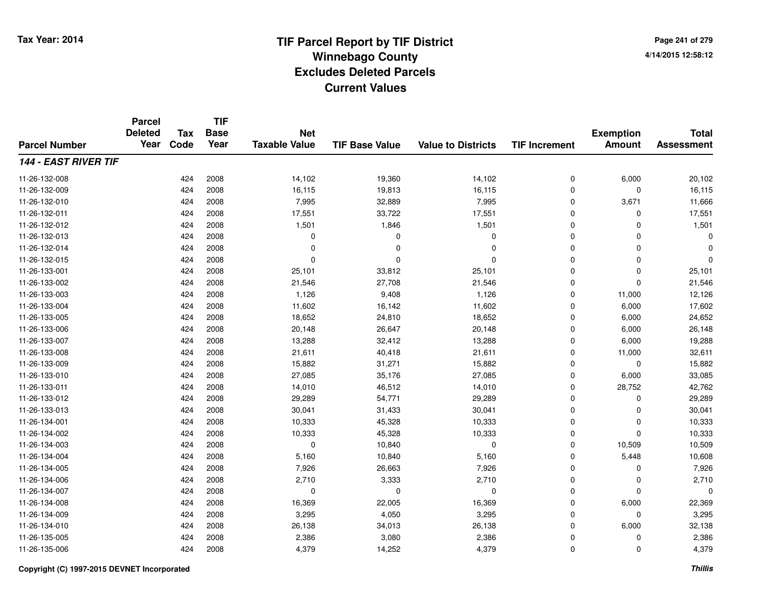**TIF**

**Parcel**

**Page 241 of 2794/14/2015 12:58:12**

| <b>Parcel Number</b>        | <b>Deleted</b><br>Year | Tax<br>Code | <b>Base</b><br>Year | <b>Net</b><br><b>Taxable Value</b> | <b>TIF Base Value</b> | <b>Value to Districts</b> | <b>TIF Increment</b> | <b>Exemption</b><br><b>Amount</b> | <b>Total</b><br><b>Assessment</b> |
|-----------------------------|------------------------|-------------|---------------------|------------------------------------|-----------------------|---------------------------|----------------------|-----------------------------------|-----------------------------------|
| <b>144 - EAST RIVER TIF</b> |                        |             |                     |                                    |                       |                           |                      |                                   |                                   |
| 11-26-132-008               |                        | 424         | 2008                | 14,102                             | 19,360                | 14,102                    | 0                    | 6,000                             | 20,102                            |
| 11-26-132-009               |                        | 424         | 2008                | 16,115                             | 19,813                | 16,115                    | 0                    | 0                                 | 16,115                            |
| 11-26-132-010               |                        | 424         | 2008                | 7,995                              | 32,889                | 7,995                     | 0                    | 3,671                             | 11,666                            |
| 11-26-132-011               |                        | 424         | 2008                | 17,551                             | 33,722                | 17,551                    | 0                    | 0                                 | 17,551                            |
| 11-26-132-012               |                        | 424         | 2008                | 1,501                              | 1,846                 | 1,501                     | 0                    | $\Omega$                          | 1,501                             |
| 11-26-132-013               |                        | 424         | 2008                | $\Omega$                           | $\Omega$              | $\Omega$                  | 0                    | $\Omega$                          | $\Omega$                          |
| 11-26-132-014               |                        | 424         | 2008                | $\Omega$                           | $\Omega$              | $\Omega$                  | 0                    | $\Omega$                          | 0                                 |
| 11-26-132-015               |                        | 424         | 2008                | $\Omega$                           | $\Omega$              | $\Omega$                  | 0                    | $\mathbf 0$                       | $\Omega$                          |
| 11-26-133-001               |                        | 424         | 2008                | 25,101                             | 33,812                | 25,101                    | 0                    | $\mathbf 0$                       | 25,101                            |
| 11-26-133-002               |                        | 424         | 2008                | 21,546                             | 27,708                | 21,546                    | 0                    | 0                                 | 21,546                            |
| 11-26-133-003               |                        | 424         | 2008                | 1,126                              | 9,408                 | 1,126                     | 0                    | 11,000                            | 12,126                            |
| 11-26-133-004               |                        | 424         | 2008                | 11,602                             | 16,142                | 11,602                    | 0                    | 6,000                             | 17,602                            |
| 11-26-133-005               |                        | 424         | 2008                | 18,652                             | 24,810                | 18,652                    | 0                    | 6,000                             | 24,652                            |
| 11-26-133-006               |                        | 424         | 2008                | 20,148                             | 26,647                | 20,148                    | 0                    | 6,000                             | 26,148                            |
| 11-26-133-007               |                        | 424         | 2008                | 13,288                             | 32,412                | 13,288                    | 0                    | 6,000                             | 19,288                            |
| 11-26-133-008               |                        | 424         | 2008                | 21,611                             | 40,418                | 21,611                    | 0                    | 11,000                            | 32,611                            |
| 11-26-133-009               |                        | 424         | 2008                | 15,882                             | 31,271                | 15,882                    | 0                    | 0                                 | 15,882                            |
| 11-26-133-010               |                        | 424         | 2008                | 27,085                             | 35,176                | 27,085                    | 0                    | 6,000                             | 33,085                            |
| 11-26-133-011               |                        | 424         | 2008                | 14,010                             | 46,512                | 14,010                    | $\Omega$             | 28,752                            | 42,762                            |
| 11-26-133-012               |                        | 424         | 2008                | 29,289                             | 54,771                | 29,289                    | 0                    | 0                                 | 29,289                            |
| 11-26-133-013               |                        | 424         | 2008                | 30,041                             | 31,433                | 30,041                    | 0                    | $\mathbf 0$                       | 30,041                            |
| 11-26-134-001               |                        | 424         | 2008                | 10,333                             | 45,328                | 10,333                    | 0                    | 0                                 | 10,333                            |
| 11-26-134-002               |                        | 424         | 2008                | 10,333                             | 45,328                | 10,333                    | 0                    | $\mathbf 0$                       | 10,333                            |
| 11-26-134-003               |                        | 424         | 2008                | 0                                  | 10,840                | 0                         | 0                    | 10,509                            | 10,509                            |
| 11-26-134-004               |                        | 424         | 2008                | 5,160                              | 10,840                | 5,160                     | 0                    | 5,448                             | 10,608                            |
| 11-26-134-005               |                        | 424         | 2008                | 7,926                              | 26,663                | 7,926                     | 0                    | $\Omega$                          | 7,926                             |
| 11-26-134-006               |                        | 424         | 2008                | 2,710                              | 3,333                 | 2,710                     | 0                    | $\mathbf 0$                       | 2,710                             |
| 11-26-134-007               |                        | 424         | 2008                | $\mathbf 0$                        | 0                     | 0                         | 0                    | $\mathbf 0$                       | $\Omega$                          |
| 11-26-134-008               |                        | 424         | 2008                | 16,369                             | 22,005                | 16,369                    | 0                    | 6,000                             | 22,369                            |
| 11-26-134-009               |                        | 424         | 2008                | 3,295                              | 4,050                 | 3,295                     | 0                    | 0                                 | 3,295                             |
| 11-26-134-010               |                        | 424         | 2008                | 26,138                             | 34,013                | 26,138                    | 0                    | 6,000                             | 32,138                            |
| 11-26-135-005               |                        | 424         | 2008                | 2,386                              | 3,080                 | 2,386                     | 0                    | 0                                 | 2,386                             |
| 11-26-135-006               |                        | 424         | 2008                | 4,379                              | 14,252                | 4,379                     | 0                    | 0                                 | 4,379                             |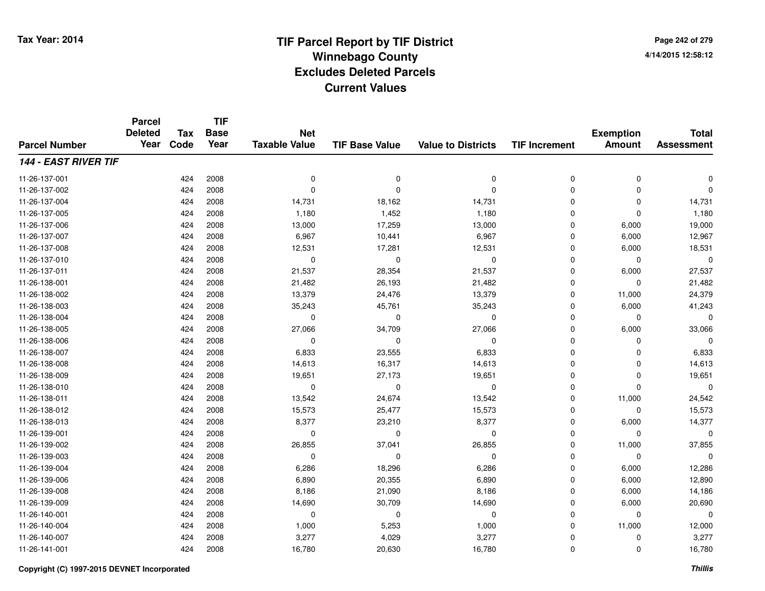**Page 242 of 2794/14/2015 12:58:12**

|                      | <b>Parcel</b><br><b>Deleted</b> | <b>Tax</b> | <b>TIF</b><br><b>Base</b> | <b>Net</b>           |                       |                           |                      | <b>Exemption</b> | <b>Total</b>      |
|----------------------|---------------------------------|------------|---------------------------|----------------------|-----------------------|---------------------------|----------------------|------------------|-------------------|
| <b>Parcel Number</b> | Year                            | Code       | Year                      | <b>Taxable Value</b> | <b>TIF Base Value</b> | <b>Value to Districts</b> | <b>TIF Increment</b> | <b>Amount</b>    | <b>Assessment</b> |
| 144 - EAST RIVER TIF |                                 |            |                           |                      |                       |                           |                      |                  |                   |
| 11-26-137-001        |                                 | 424        | 2008                      | $\mathbf 0$          | 0                     | $\mathbf 0$               | 0                    | 0                | $\mathbf 0$       |
| 11-26-137-002        |                                 | 424        | 2008                      | $\mathbf 0$          | $\Omega$              | $\Omega$                  | 0                    | 0                | $\mathbf 0$       |
| 11-26-137-004        |                                 | 424        | 2008                      | 14,731               | 18,162                | 14,731                    | 0                    | 0                | 14,731            |
| 11-26-137-005        |                                 | 424        | 2008                      | 1,180                | 1,452                 | 1,180                     | 0                    | $\mathbf 0$      | 1,180             |
| 11-26-137-006        |                                 | 424        | 2008                      | 13,000               | 17,259                | 13,000                    | 0                    | 6,000            | 19,000            |
| 11-26-137-007        |                                 | 424        | 2008                      | 6,967                | 10,441                | 6,967                     | 0                    | 6,000            | 12,967            |
| 11-26-137-008        |                                 | 424        | 2008                      | 12,531               | 17,281                | 12,531                    | 0                    | 6,000            | 18,531            |
| 11-26-137-010        |                                 | 424        | 2008                      | 0                    | $\mathbf 0$           | 0                         | 0                    | 0                | $\mathbf 0$       |
| 11-26-137-011        |                                 | 424        | 2008                      | 21,537               | 28,354                | 21,537                    | 0                    | 6,000            | 27,537            |
| 11-26-138-001        |                                 | 424        | 2008                      | 21,482               | 26,193                | 21,482                    | 0                    | 0                | 21,482            |
| 11-26-138-002        |                                 | 424        | 2008                      | 13,379               | 24,476                | 13,379                    | 0                    | 11,000           | 24,379            |
| 11-26-138-003        |                                 | 424        | 2008                      | 35,243               | 45,761                | 35,243                    | 0                    | 6,000            | 41,243            |
| 11-26-138-004        |                                 | 424        | 2008                      | $\mathbf 0$          | $\mathbf 0$           | 0                         | 0                    | 0                | $\mathbf 0$       |
| 11-26-138-005        |                                 | 424        | 2008                      | 27,066               | 34,709                | 27,066                    | 0                    | 6,000            | 33,066            |
| 11-26-138-006        |                                 | 424        | 2008                      | $\mathbf 0$          | $\mathbf 0$           | $\mathbf 0$               | 0                    | 0                | $\Omega$          |
| 11-26-138-007        |                                 | 424        | 2008                      | 6,833                | 23,555                | 6,833                     | 0                    | 0                | 6,833             |
| 11-26-138-008        |                                 | 424        | 2008                      | 14,613               | 16,317                | 14,613                    | 0                    | 0                | 14,613            |
| 11-26-138-009        |                                 | 424        | 2008                      | 19,651               | 27,173                | 19,651                    | 0                    | 0                | 19,651            |
| 11-26-138-010        |                                 | 424        | 2008                      | $\mathbf 0$          | $\mathbf 0$           | 0                         | 0                    | 0                | $\mathbf 0$       |
| 11-26-138-011        |                                 | 424        | 2008                      | 13,542               | 24,674                | 13,542                    | 0                    | 11,000           | 24,542            |
| 11-26-138-012        |                                 | 424        | 2008                      | 15,573               | 25,477                | 15,573                    | 0                    | 0                | 15,573            |
| 11-26-138-013        |                                 | 424        | 2008                      | 8,377                | 23,210                | 8,377                     | 0                    | 6,000            | 14,377            |
| 11-26-139-001        |                                 | 424        | 2008                      | $\mathbf 0$          | $\mathbf 0$           | 0                         | 0                    | 0                | $\mathbf 0$       |
| 11-26-139-002        |                                 | 424        | 2008                      | 26,855               | 37,041                | 26,855                    | 0                    | 11,000           | 37,855            |
| 11-26-139-003        |                                 | 424        | 2008                      | 0                    | $\mathbf 0$           | 0                         | 0                    | 0                | $\mathbf 0$       |
| 11-26-139-004        |                                 | 424        | 2008                      | 6,286                | 18,296                | 6,286                     | 0                    | 6,000            | 12,286            |
| 11-26-139-006        |                                 | 424        | 2008                      | 6,890                | 20,355                | 6,890                     | 0                    | 6,000            | 12,890            |
| 11-26-139-008        |                                 | 424        | 2008                      | 8,186                | 21,090                | 8,186                     | 0                    | 6,000            | 14,186            |
| 11-26-139-009        |                                 | 424        | 2008                      | 14,690               | 30,709                | 14,690                    | 0                    | 6,000            | 20,690            |
| 11-26-140-001        |                                 | 424        | 2008                      | 0                    | 0                     | 0                         | 0                    | 0                | 0                 |
| 11-26-140-004        |                                 | 424        | 2008                      | 1,000                | 5,253                 | 1,000                     | 0                    | 11,000           | 12,000            |
| 11-26-140-007        |                                 | 424        | 2008                      | 3,277                | 4,029                 | 3,277                     | 0                    | 0                | 3,277             |
| 11-26-141-001        |                                 | 424        | 2008                      | 16,780               | 20,630                | 16,780                    | 0                    | 0                | 16,780            |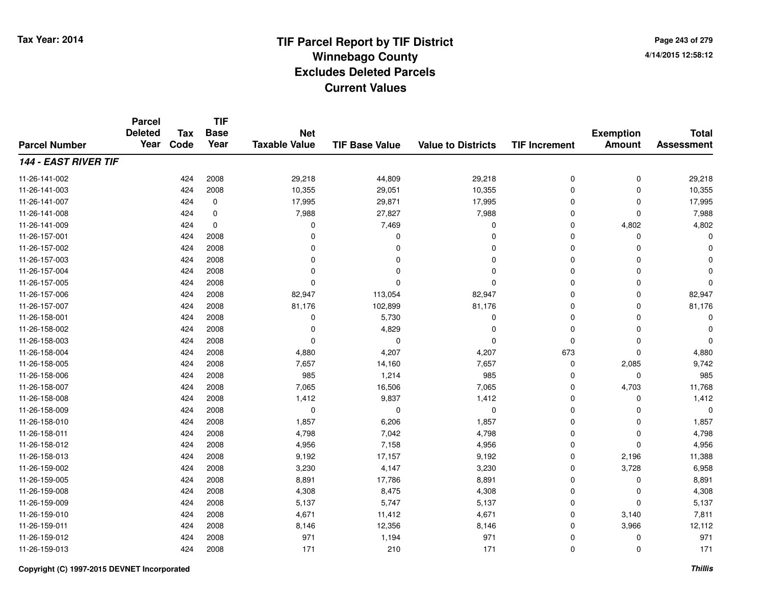**Page 243 of 2794/14/2015 12:58:12**

|                             | <b>Parcel</b><br><b>Deleted</b> | <b>Tax</b> | <b>TIF</b><br><b>Base</b> | <b>Net</b>           |                       |                           |                      | <b>Exemption</b> | <b>Total</b>      |
|-----------------------------|---------------------------------|------------|---------------------------|----------------------|-----------------------|---------------------------|----------------------|------------------|-------------------|
| <b>Parcel Number</b>        | Year                            | Code       | Year                      | <b>Taxable Value</b> | <b>TIF Base Value</b> | <b>Value to Districts</b> | <b>TIF Increment</b> | <b>Amount</b>    | <b>Assessment</b> |
| <b>144 - EAST RIVER TIF</b> |                                 |            |                           |                      |                       |                           |                      |                  |                   |
| 11-26-141-002               |                                 | 424        | 2008                      | 29,218               | 44,809                | 29,218                    | 0                    | 0                | 29,218            |
| 11-26-141-003               |                                 | 424        | 2008                      | 10,355               | 29,051                | 10,355                    | $\mathbf 0$          | $\mathbf 0$      | 10,355            |
| 11-26-141-007               |                                 | 424        | 0                         | 17,995               | 29,871                | 17,995                    | 0                    | 0                | 17,995            |
| 11-26-141-008               |                                 | 424        | $\mathbf 0$               | 7,988                | 27,827                | 7,988                     | $\mathbf 0$          | $\mathbf 0$      | 7,988             |
| 11-26-141-009               |                                 | 424        | $\mathbf 0$               | 0                    | 7,469                 | 0                         | 0                    | 4,802            | 4,802             |
| 11-26-157-001               |                                 | 424        | 2008                      | $\Omega$             | $\Omega$              | $\Omega$                  | 0                    | $\Omega$         | $\Omega$          |
| 11-26-157-002               |                                 | 424        | 2008                      | 0                    | 0                     | $\Omega$                  | 0                    | $\Omega$         |                   |
| 11-26-157-003               |                                 | 424        | 2008                      | 0                    | 0                     | $\Omega$                  | $\mathbf 0$          | $\Omega$         |                   |
| 11-26-157-004               |                                 | 424        | 2008                      | $\Omega$             |                       | $\Omega$                  | 0                    | $\Omega$         |                   |
| 11-26-157-005               |                                 | 424        | 2008                      | 0                    | O                     | $\Omega$                  | $\mathbf 0$          | $\Omega$         | $\Omega$          |
| 11-26-157-006               |                                 | 424        | 2008                      | 82,947               | 113,054               | 82,947                    | 0                    | $\Omega$         | 82,947            |
| 11-26-157-007               |                                 | 424        | 2008                      | 81,176               | 102,899               | 81,176                    | 0                    | $\Omega$         | 81,176            |
| 11-26-158-001               |                                 | 424        | 2008                      | 0                    | 5,730                 | $\Omega$                  | $\mathbf 0$          | $\Omega$         | ŋ                 |
| 11-26-158-002               |                                 | 424        | 2008                      | 0                    | 4,829                 | $\Omega$                  | 0                    | 0                |                   |
| 11-26-158-003               |                                 | 424        | 2008                      | $\mathbf 0$          | $\Omega$              | $\Omega$                  | 0                    | $\Omega$         | $\Omega$          |
| 11-26-158-004               |                                 | 424        | 2008                      | 4,880                | 4,207                 | 4,207                     | 673                  | $\mathbf 0$      | 4,880             |
| 11-26-158-005               |                                 | 424        | 2008                      | 7,657                | 14,160                | 7,657                     | 0                    | 2,085            | 9,742             |
| 11-26-158-006               |                                 | 424        | 2008                      | 985                  | 1,214                 | 985                       | 0                    | $\mathbf 0$      | 985               |
| 11-26-158-007               |                                 | 424        | 2008                      | 7,065                | 16,506                | 7,065                     | 0                    | 4,703            | 11,768            |
| 11-26-158-008               |                                 | 424        | 2008                      | 1,412                | 9,837                 | 1,412                     | 0                    | $\mathbf 0$      | 1,412             |
| 11-26-158-009               |                                 | 424        | 2008                      | 0                    | 0                     | $\mathbf 0$               | 0                    | 0                | $\Omega$          |
| 11-26-158-010               |                                 | 424        | 2008                      | 1,857                | 6,206                 | 1,857                     | 0                    | $\mathbf 0$      | 1,857             |
| 11-26-158-011               |                                 | 424        | 2008                      | 4,798                | 7,042                 | 4,798                     | 0                    | $\mathbf 0$      | 4,798             |
| 11-26-158-012               |                                 | 424        | 2008                      | 4,956                | 7,158                 | 4,956                     | 0                    | $\Omega$         | 4,956             |
| 11-26-158-013               |                                 | 424        | 2008                      | 9,192                | 17,157                | 9,192                     | 0                    | 2,196            | 11,388            |
| 11-26-159-002               |                                 | 424        | 2008                      | 3,230                | 4,147                 | 3,230                     | 0                    | 3,728            | 6,958             |
| 11-26-159-005               |                                 | 424        | 2008                      | 8,891                | 17,786                | 8,891                     | 0                    | $\mathbf 0$      | 8,891             |
| 11-26-159-008               |                                 | 424        | 2008                      | 4,308                | 8,475                 | 4,308                     | 0                    | 0                | 4,308             |
| 11-26-159-009               |                                 | 424        | 2008                      | 5,137                | 5,747                 | 5,137                     | 0                    | $\Omega$         | 5,137             |
| 11-26-159-010               |                                 | 424        | 2008                      | 4,671                | 11,412                | 4,671                     | 0                    | 3,140            | 7,811             |
| 11-26-159-011               |                                 | 424        | 2008                      | 8,146                | 12,356                | 8,146                     | $\mathbf 0$          | 3,966            | 12,112            |
| 11-26-159-012               |                                 | 424        | 2008                      | 971                  | 1,194                 | 971                       | 0                    | 0                | 971               |
| 11-26-159-013               |                                 | 424        | 2008                      | 171                  | 210                   | 171                       | 0                    | $\Omega$         | 171               |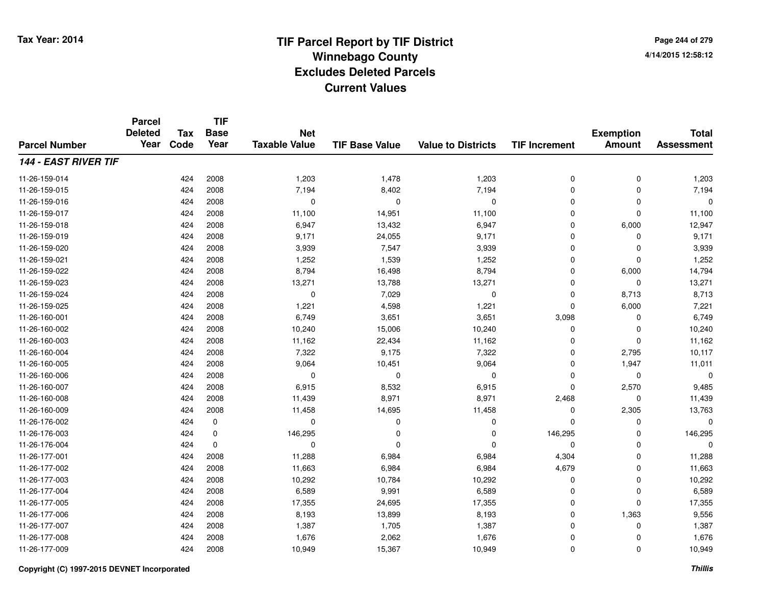**Page 244 of 2794/14/2015 12:58:12**

| <b>Parcel Number</b>        | <b>Parcel</b><br><b>Deleted</b><br>Year | <b>Tax</b> | <b>TIF</b><br><b>Base</b> | <b>Net</b>           |                       |                           |                      | <b>Exemption</b> | <b>Total</b>      |
|-----------------------------|-----------------------------------------|------------|---------------------------|----------------------|-----------------------|---------------------------|----------------------|------------------|-------------------|
|                             |                                         | Code       | Year                      | <b>Taxable Value</b> | <b>TIF Base Value</b> | <b>Value to Districts</b> | <b>TIF Increment</b> | <b>Amount</b>    | <b>Assessment</b> |
| <b>144 - EAST RIVER TIF</b> |                                         |            |                           |                      |                       |                           |                      |                  |                   |
| 11-26-159-014               |                                         | 424        | 2008                      | 1,203                | 1,478                 | 1,203                     | 0                    | 0                | 1,203             |
| 11-26-159-015               |                                         | 424        | 2008                      | 7,194                | 8,402                 | 7,194                     | $\mathbf 0$          | $\mathbf 0$      | 7,194             |
| 11-26-159-016               |                                         | 424        | 2008                      | 0                    | 0                     | $\mathbf 0$               | $\mathbf 0$          | $\mathbf 0$      | 0                 |
| 11-26-159-017               |                                         | 424        | 2008                      | 11,100               | 14,951                | 11,100                    | 0                    | $\Omega$         | 11,100            |
| 11-26-159-018               |                                         | 424        | 2008                      | 6,947                | 13,432                | 6,947                     | 0                    | 6,000            | 12,947            |
| 11-26-159-019               |                                         | 424        | 2008                      | 9,171                | 24,055                | 9,171                     | 0                    | $\Omega$         | 9,171             |
| 11-26-159-020               |                                         | 424        | 2008                      | 3,939                | 7,547                 | 3,939                     | 0                    | $\mathbf 0$      | 3,939             |
| 11-26-159-021               |                                         | 424        | 2008                      | 1,252                | 1,539                 | 1,252                     | $\mathbf 0$          | $\Omega$         | 1,252             |
| 11-26-159-022               |                                         | 424        | 2008                      | 8,794                | 16,498                | 8,794                     | 0                    | 6,000            | 14,794            |
| 11-26-159-023               |                                         | 424        | 2008                      | 13,271               | 13,788                | 13,271                    | 0                    | $\mathbf 0$      | 13,271            |
| 11-26-159-024               |                                         | 424        | 2008                      | 0                    | 7,029                 | 0                         | 0                    | 8,713            | 8,713             |
| 11-26-159-025               |                                         | 424        | 2008                      | 1,221                | 4,598                 | 1,221                     | 0                    | 6,000            | 7,221             |
| 11-26-160-001               |                                         | 424        | 2008                      | 6,749                | 3,651                 | 3,651                     | 3,098                | 0                | 6,749             |
| 11-26-160-002               |                                         | 424        | 2008                      | 10,240               | 15,006                | 10,240                    | 0                    | 0                | 10,240            |
| 11-26-160-003               |                                         | 424        | 2008                      | 11,162               | 22,434                | 11,162                    | 0                    | $\Omega$         | 11,162            |
| 11-26-160-004               |                                         | 424        | 2008                      | 7,322                | 9,175                 | 7,322                     | 0                    | 2,795            | 10,117            |
| 11-26-160-005               |                                         | 424        | 2008                      | 9,064                | 10,451                | 9,064                     | 0                    | 1,947            | 11,011            |
| 11-26-160-006               |                                         | 424        | 2008                      | 0                    | 0                     | $\pmb{0}$                 | 0                    | $\mathbf 0$      | $\mathbf 0$       |
| 11-26-160-007               |                                         | 424        | 2008                      | 6,915                | 8,532                 | 6,915                     | 0                    | 2,570            | 9,485             |
| 11-26-160-008               |                                         | 424        | 2008                      | 11,439               | 8,971                 | 8,971                     | 2,468                | $\mathbf 0$      | 11,439            |
| 11-26-160-009               |                                         | 424        | 2008                      | 11,458               | 14,695                | 11,458                    | 0                    | 2,305            | 13,763            |
| 11-26-176-002               |                                         | 424        | 0                         | 0                    | 0                     | 0                         | 0                    | $\mathbf 0$      | $\Omega$          |
| 11-26-176-003               |                                         | 424        | 0                         | 146,295              | 0                     | 0                         | 146,295              | 0                | 146,295           |
| 11-26-176-004               |                                         | 424        | $\mathbf 0$               | 0                    | $\Omega$              | $\Omega$                  | 0                    | $\mathbf 0$      | 0                 |
| 11-26-177-001               |                                         | 424        | 2008                      | 11,288               | 6,984                 | 6,984                     | 4,304                | $\mathbf 0$      | 11,288            |
| 11-26-177-002               |                                         | 424        | 2008                      | 11,663               | 6,984                 | 6,984                     | 4,679                | $\mathbf 0$      | 11,663            |
| 11-26-177-003               |                                         | 424        | 2008                      | 10,292               | 10,784                | 10,292                    | 0                    | $\mathbf 0$      | 10,292            |
| 11-26-177-004               |                                         | 424        | 2008                      | 6,589                | 9,991                 | 6,589                     | 0                    | 0                | 6,589             |
| 11-26-177-005               |                                         | 424        | 2008                      | 17,355               | 24,695                | 17,355                    | 0                    | $\mathbf 0$      | 17,355            |
| 11-26-177-006               |                                         | 424        | 2008                      | 8,193                | 13,899                | 8,193                     | 0                    | 1,363            | 9,556             |
| 11-26-177-007               |                                         | 424        | 2008                      | 1,387                | 1,705                 | 1,387                     | 0                    | 0                | 1,387             |
| 11-26-177-008               |                                         | 424        | 2008                      | 1,676                | 2,062                 | 1,676                     | 0                    | $\Omega$         | 1,676             |
| 11-26-177-009               |                                         | 424        | 2008                      | 10,949               | 15,367                | 10,949                    | 0                    | $\Omega$         | 10,949            |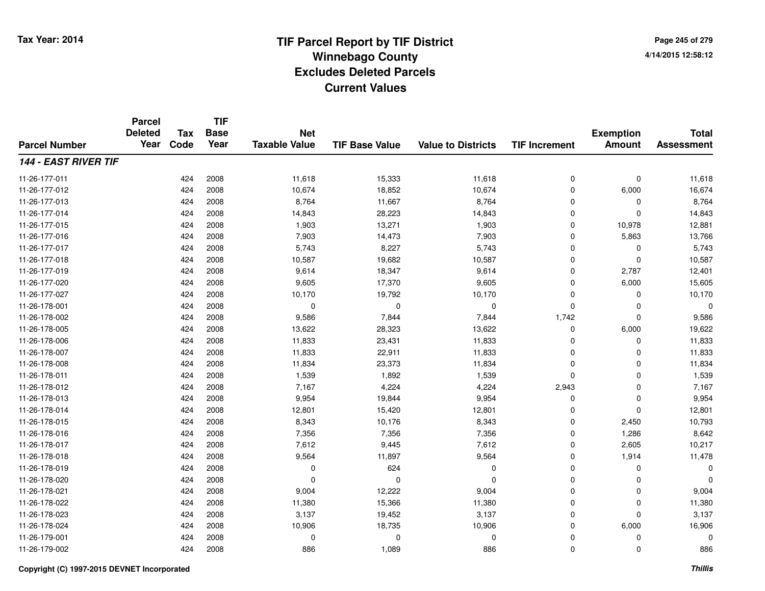**TIF**

**Parcel**

**Page 245 of 2794/14/2015 12:58:12**

| <b>Parcel Number</b>        | <b>Deleted</b><br>Year | Tax<br>Code | <b>Base</b><br>Year | <b>Net</b><br><b>Taxable Value</b> | <b>TIF Base Value</b> | <b>Value to Districts</b> | <b>TIF Increment</b> | <b>Exemption</b><br><b>Amount</b> | <b>Total</b><br><b>Assessment</b> |
|-----------------------------|------------------------|-------------|---------------------|------------------------------------|-----------------------|---------------------------|----------------------|-----------------------------------|-----------------------------------|
| <b>144 - EAST RIVER TIF</b> |                        |             |                     |                                    |                       |                           |                      |                                   |                                   |
| 11-26-177-011               |                        | 424         | 2008                | 11,618                             | 15,333                | 11,618                    | 0                    | $\pmb{0}$                         | 11,618                            |
| 11-26-177-012               |                        | 424         | 2008                | 10,674                             | 18,852                | 10,674                    | 0                    | 6,000                             | 16,674                            |
| 11-26-177-013               |                        | 424         | 2008                | 8,764                              | 11,667                | 8,764                     | 0                    | 0                                 | 8,764                             |
| 11-26-177-014               |                        | 424         | 2008                | 14,843                             | 28,223                | 14,843                    | $\mathbf 0$          | $\Omega$                          | 14,843                            |
| 11-26-177-015               |                        | 424         | 2008                | 1,903                              | 13,271                | 1,903                     | 0                    | 10,978                            | 12,881                            |
| 11-26-177-016               |                        | 424         | 2008                | 7,903                              | 14,473                | 7,903                     | $\mathbf 0$          | 5,863                             | 13,766                            |
| 11-26-177-017               |                        | 424         | 2008                | 5,743                              | 8,227                 | 5,743                     | $\mathbf 0$          | 0                                 | 5,743                             |
| 11-26-177-018               |                        | 424         | 2008                | 10,587                             | 19,682                | 10,587                    | $\mathbf 0$          | $\mathbf 0$                       | 10,587                            |
| 11-26-177-019               |                        | 424         | 2008                | 9,614                              | 18,347                | 9,614                     | $\mathbf 0$          | 2,787                             | 12,401                            |
| 11-26-177-020               |                        | 424         | 2008                | 9,605                              | 17,370                | 9,605                     | $\mathbf 0$          | 6,000                             | 15,605                            |
| 11-26-177-027               |                        | 424         | 2008                | 10,170                             | 19,792                | 10,170                    | $\mathbf 0$          | $\Omega$                          | 10,170                            |
| 11-26-178-001               |                        | 424         | 2008                | $\mathbf 0$                        | $\Omega$              | $\mathbf 0$               | 0                    | $\Omega$                          | $\Omega$                          |
| 11-26-178-002               |                        | 424         | 2008                | 9,586                              | 7,844                 | 7,844                     | 1,742                | $\Omega$                          | 9,586                             |
| 11-26-178-005               |                        | 424         | 2008                | 13,622                             | 28,323                | 13,622                    | $\mathbf 0$          | 6,000                             | 19,622                            |
| 11-26-178-006               |                        | 424         | 2008                | 11,833                             | 23,431                | 11,833                    | 0                    | 0                                 | 11,833                            |
| 11-26-178-007               |                        | 424         | 2008                | 11,833                             | 22,911                | 11,833                    | 0                    | 0                                 | 11,833                            |
| 11-26-178-008               |                        | 424         | 2008                | 11,834                             | 23,373                | 11,834                    | 0                    | 0                                 | 11,834                            |
| 11-26-178-011               |                        | 424         | 2008                | 1,539                              | 1,892                 | 1,539                     | $\mathbf 0$          | 0                                 | 1,539                             |
| 11-26-178-012               |                        | 424         | 2008                | 7,167                              | 4,224                 | 4,224                     | 2,943                | $\mathbf 0$                       | 7,167                             |
| 11-26-178-013               |                        | 424         | 2008                | 9,954                              | 19,844                | 9,954                     | $\mathbf 0$          | $\mathbf 0$                       | 9,954                             |
| 11-26-178-014               |                        | 424         | 2008                | 12,801                             | 15,420                | 12,801                    | $\mathbf 0$          | $\Omega$                          | 12,801                            |
| 11-26-178-015               |                        | 424         | 2008                | 8,343                              | 10,176                | 8,343                     | 0                    | 2,450                             | 10,793                            |
| 11-26-178-016               |                        | 424         | 2008                | 7,356                              | 7,356                 | 7,356                     | 0                    | 1,286                             | 8,642                             |
| 11-26-178-017               |                        | 424         | 2008                | 7,612                              | 9,445                 | 7,612                     | 0                    | 2,605                             | 10,217                            |
| 11-26-178-018               |                        | 424         | 2008                | 9,564                              | 11,897                | 9,564                     | 0                    | 1,914                             | 11,478                            |
| 11-26-178-019               |                        | 424         | 2008                | $\Omega$                           | 624                   | 0                         | 0                    | $\Omega$                          | $\Omega$                          |
| 11-26-178-020               |                        | 424         | 2008                | $\Omega$                           | $\Omega$              | $\Omega$                  | $\mathbf 0$          | $\Omega$                          | $\Omega$                          |
| 11-26-178-021               |                        | 424         | 2008                | 9,004                              | 12,222                | 9,004                     | $\mathbf 0$          | $\mathbf 0$                       | 9,004                             |
| 11-26-178-022               |                        | 424         | 2008                | 11,380                             | 15,366                | 11,380                    | $\mathbf 0$          | $\Omega$                          | 11,380                            |
| 11-26-178-023               |                        | 424         | 2008                | 3,137                              | 19,452                | 3,137                     | $\mathbf 0$          | $\Omega$                          | 3,137                             |
| 11-26-178-024               |                        | 424         | 2008                | 10,906                             | 18,735                | 10,906                    | $\mathbf 0$          | 6,000                             | 16,906                            |
| 11-26-179-001               |                        | 424         | 2008                | 0                                  | 0                     | 0                         | 0                    | 0                                 | 0                                 |
| 11-26-179-002               |                        | 424         | 2008                | 886                                | 1,089                 | 886                       | 0                    | $\mathbf 0$                       | 886                               |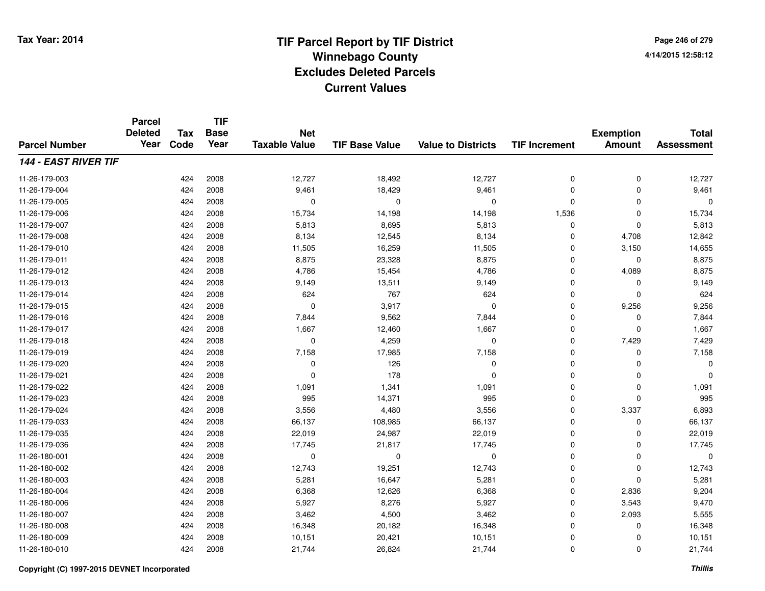**Page 246 of 2794/14/2015 12:58:12**

|                             | <b>Parcel</b><br><b>Deleted</b><br>Year | <b>Tax</b> | <b>TIF</b><br><b>Base</b> | <b>Net</b>           |                       |                           |                      | <b>Exemption</b> | <b>Total</b>      |
|-----------------------------|-----------------------------------------|------------|---------------------------|----------------------|-----------------------|---------------------------|----------------------|------------------|-------------------|
| <b>Parcel Number</b>        |                                         | Code       | Year                      | <b>Taxable Value</b> | <b>TIF Base Value</b> | <b>Value to Districts</b> | <b>TIF Increment</b> | <b>Amount</b>    | <b>Assessment</b> |
| <b>144 - EAST RIVER TIF</b> |                                         |            |                           |                      |                       |                           |                      |                  |                   |
| 11-26-179-003               |                                         | 424        | 2008                      | 12,727               | 18,492                | 12,727                    | 0                    | 0                | 12,727            |
| 11-26-179-004               |                                         | 424        | 2008                      | 9,461                | 18,429                | 9,461                     | 0                    | $\mathbf 0$      | 9,461             |
| 11-26-179-005               |                                         | 424        | 2008                      | 0                    | 0                     | 0                         | $\mathbf 0$          | $\Omega$         | $\Omega$          |
| 11-26-179-006               |                                         | 424        | 2008                      | 15,734               | 14,198                | 14,198                    | 1,536                | $\Omega$         | 15,734            |
| 11-26-179-007               |                                         | 424        | 2008                      | 5,813                | 8,695                 | 5,813                     | 0                    | $\mathbf 0$      | 5,813             |
| 11-26-179-008               |                                         | 424        | 2008                      | 8,134                | 12,545                | 8,134                     | 0                    | 4,708            | 12,842            |
| 11-26-179-010               |                                         | 424        | 2008                      | 11,505               | 16,259                | 11,505                    | 0                    | 3,150            | 14,655            |
| 11-26-179-011               |                                         | 424        | 2008                      | 8,875                | 23,328                | 8,875                     | $\mathbf 0$          | $\Omega$         | 8,875             |
| 11-26-179-012               |                                         | 424        | 2008                      | 4,786                | 15,454                | 4,786                     | 0                    | 4,089            | 8,875             |
| 11-26-179-013               |                                         | 424        | 2008                      | 9,149                | 13,511                | 9,149                     | 0                    | $\Omega$         | 9,149             |
| 11-26-179-014               |                                         | 424        | 2008                      | 624                  | 767                   | 624                       | 0                    | $\mathbf 0$      | 624               |
| 11-26-179-015               |                                         | 424        | 2008                      | 0                    | 3,917                 | 0                         | 0                    | 9,256            | 9,256             |
| 11-26-179-016               |                                         | 424        | 2008                      | 7,844                | 9,562                 | 7,844                     | $\mathbf 0$          | $\Omega$         | 7,844             |
| 11-26-179-017               |                                         | 424        | 2008                      | 1,667                | 12,460                | 1,667                     | 0                    | $\mathbf 0$      | 1,667             |
| 11-26-179-018               |                                         | 424        | 2008                      | $\mathbf 0$          | 4,259                 | $\mathbf 0$               | 0                    | 7,429            | 7,429             |
| 11-26-179-019               |                                         | 424        | 2008                      | 7,158                | 17,985                | 7,158                     | 0                    | 0                | 7,158             |
| 11-26-179-020               |                                         | 424        | 2008                      | $\mathbf 0$          | 126                   | 0                         | 0                    | 0                | $\Omega$          |
| 11-26-179-021               |                                         | 424        | 2008                      | 0                    | 178                   | 0                         | 0                    | 0                | $\Omega$          |
| 11-26-179-022               |                                         | 424        | 2008                      | 1,091                | 1,341                 | 1,091                     | 0                    | 0                | 1,091             |
| 11-26-179-023               |                                         | 424        | 2008                      | 995                  | 14,371                | 995                       | 0                    | $\mathbf 0$      | 995               |
| 11-26-179-024               |                                         | 424        | 2008                      | 3,556                | 4,480                 | 3,556                     | 0                    | 3,337            | 6,893             |
| 11-26-179-033               |                                         | 424        | 2008                      | 66,137               | 108,985               | 66,137                    | 0                    | 0                | 66,137            |
| 11-26-179-035               |                                         | 424        | 2008                      | 22,019               | 24,987                | 22,019                    | 0                    | 0                | 22,019            |
| 11-26-179-036               |                                         | 424        | 2008                      | 17,745               | 21,817                | 17,745                    | 0                    | $\mathbf 0$      | 17,745            |
| 11-26-180-001               |                                         | 424        | 2008                      | 0                    | 0                     | 0                         | 0                    | $\mathbf 0$      | 0                 |
| 11-26-180-002               |                                         | 424        | 2008                      | 12,743               | 19,251                | 12,743                    | 0                    | $\mathbf 0$      | 12,743            |
| 11-26-180-003               |                                         | 424        | 2008                      | 5,281                | 16,647                | 5,281                     | 0                    | $\Omega$         | 5,281             |
| 11-26-180-004               |                                         | 424        | 2008                      | 6,368                | 12,626                | 6,368                     | 0                    | 2,836            | 9,204             |
| 11-26-180-006               |                                         | 424        | 2008                      | 5,927                | 8,276                 | 5,927                     | 0                    | 3,543            | 9,470             |
| 11-26-180-007               |                                         | 424        | 2008                      | 3,462                | 4,500                 | 3,462                     | 0                    | 2,093            | 5,555             |
| 11-26-180-008               |                                         | 424        | 2008                      | 16,348               | 20,182                | 16,348                    | 0                    | 0                | 16,348            |
| 11-26-180-009               |                                         | 424        | 2008                      | 10,151               | 20,421                | 10,151                    | 0                    | 0                | 10,151            |
| 11-26-180-010               |                                         | 424        | 2008                      | 21,744               | 26,824                | 21,744                    | 0                    | $\Omega$         | 21,744            |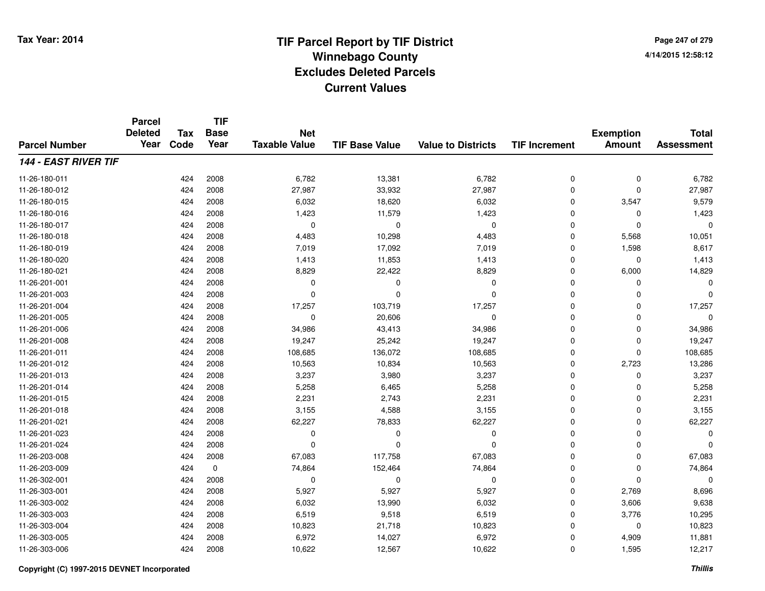**Page 247 of 2794/14/2015 12:58:12**

|                             | <b>Parcel</b><br><b>Deleted</b><br>Year | Tax  | <b>TIF</b><br><b>Base</b> | <b>Net</b>           |                       |                           |                      | <b>Exemption</b> | <b>Total</b>      |
|-----------------------------|-----------------------------------------|------|---------------------------|----------------------|-----------------------|---------------------------|----------------------|------------------|-------------------|
| <b>Parcel Number</b>        |                                         | Code | Year                      | <b>Taxable Value</b> | <b>TIF Base Value</b> | <b>Value to Districts</b> | <b>TIF Increment</b> | <b>Amount</b>    | <b>Assessment</b> |
| <b>144 - EAST RIVER TIF</b> |                                         |      |                           |                      |                       |                           |                      |                  |                   |
| 11-26-180-011               |                                         | 424  | 2008                      | 6,782                | 13,381                | 6,782                     | 0                    | 0                | 6,782             |
| 11-26-180-012               |                                         | 424  | 2008                      | 27,987               | 33,932                | 27,987                    | $\mathbf 0$          | $\Omega$         | 27,987            |
| 11-26-180-015               |                                         | 424  | 2008                      | 6,032                | 18,620                | 6,032                     | 0                    | 3,547            | 9,579             |
| 11-26-180-016               |                                         | 424  | 2008                      | 1,423                | 11,579                | 1,423                     | $\mathbf 0$          | $\Omega$         | 1,423             |
| 11-26-180-017               |                                         | 424  | 2008                      | 0                    | 0                     | 0                         | 0                    | $\Omega$         | 0                 |
| 11-26-180-018               |                                         | 424  | 2008                      | 4,483                | 10,298                | 4,483                     | 0                    | 5,568            | 10,051            |
| 11-26-180-019               |                                         | 424  | 2008                      | 7,019                | 17,092                | 7,019                     | 0                    | 1,598            | 8,617             |
| 11-26-180-020               |                                         | 424  | 2008                      | 1,413                | 11,853                | 1,413                     | 0                    | $\Omega$         | 1,413             |
| 11-26-180-021               |                                         | 424  | 2008                      | 8,829                | 22,422                | 8,829                     | 0                    | 6,000            | 14,829            |
| 11-26-201-001               |                                         | 424  | 2008                      | 0                    | $\Omega$              | 0                         | $\mathbf 0$          | $\Omega$         | $\Omega$          |
| 11-26-201-003               |                                         | 424  | 2008                      | $\Omega$             | $\Omega$              | $\Omega$                  | $\Omega$             | $\Omega$         | $\Omega$          |
| 11-26-201-004               |                                         | 424  | 2008                      | 17,257               | 103,719               | 17,257                    | 0                    | $\Omega$         | 17,257            |
| 11-26-201-005               |                                         | 424  | 2008                      | $\mathbf 0$          | 20,606                | 0                         | $\mathbf 0$          | $\Omega$         | $\Omega$          |
| 11-26-201-006               |                                         | 424  | 2008                      | 34,986               | 43,413                | 34,986                    | 0                    | 0                | 34,986            |
| 11-26-201-008               |                                         | 424  | 2008                      | 19,247               | 25,242                | 19,247                    | $\mathbf 0$          | 0                | 19,247            |
| 11-26-201-011               |                                         | 424  | 2008                      | 108,685              | 136,072               | 108,685                   | 0                    | $\mathbf 0$      | 108,685           |
| 11-26-201-012               |                                         | 424  | 2008                      | 10,563               | 10,834                | 10,563                    | 0                    | 2,723            | 13,286            |
| 11-26-201-013               |                                         | 424  | 2008                      | 3,237                | 3,980                 | 3,237                     | 0                    | 0                | 3,237             |
| 11-26-201-014               |                                         | 424  | 2008                      | 5,258                | 6,465                 | 5,258                     | 0                    | 0                | 5,258             |
| 11-26-201-015               |                                         | 424  | 2008                      | 2,231                | 2,743                 | 2,231                     | 0                    | 0                | 2,231             |
| 11-26-201-018               |                                         | 424  | 2008                      | 3,155                | 4,588                 | 3,155                     | 0                    | 0                | 3,155             |
| 11-26-201-021               |                                         | 424  | 2008                      | 62,227               | 78,833                | 62,227                    | 0                    | 0                | 62,227            |
| 11-26-201-023               |                                         | 424  | 2008                      | 0                    | $\Omega$              | 0                         | 0                    | 0                | $\Omega$          |
| 11-26-201-024               |                                         | 424  | 2008                      | $\mathbf 0$          | $\Omega$              | $\Omega$                  | $\overline{0}$       | $\Omega$         |                   |
| 11-26-203-008               |                                         | 424  | 2008                      | 67,083               | 117,758               | 67,083                    | 0                    | $\mathbf 0$      | 67,083            |
| 11-26-203-009               |                                         | 424  | $\mathbf 0$               | 74,864               | 152,464               | 74,864                    | 0                    | $\mathbf 0$      | 74,864            |
| 11-26-302-001               |                                         | 424  | 2008                      | 0                    | 0                     | 0                         | 0                    | $\Omega$         | 0                 |
| 11-26-303-001               |                                         | 424  | 2008                      | 5,927                | 5,927                 | 5,927                     | 0                    | 2,769            | 8,696             |
| 11-26-303-002               |                                         | 424  | 2008                      | 6,032                | 13,990                | 6,032                     | 0                    | 3,606            | 9,638             |
| 11-26-303-003               |                                         | 424  | 2008                      | 6,519                | 9,518                 | 6,519                     | 0                    | 3,776            | 10,295            |
| 11-26-303-004               |                                         | 424  | 2008                      | 10,823               | 21,718                | 10,823                    | 0                    | $\Omega$         | 10,823            |
| 11-26-303-005               |                                         | 424  | 2008                      | 6,972                | 14,027                | 6,972                     | 0                    | 4,909            | 11,881            |
| 11-26-303-006               |                                         | 424  | 2008                      | 10,622               | 12,567                | 10,622                    | 0                    | 1,595            | 12,217            |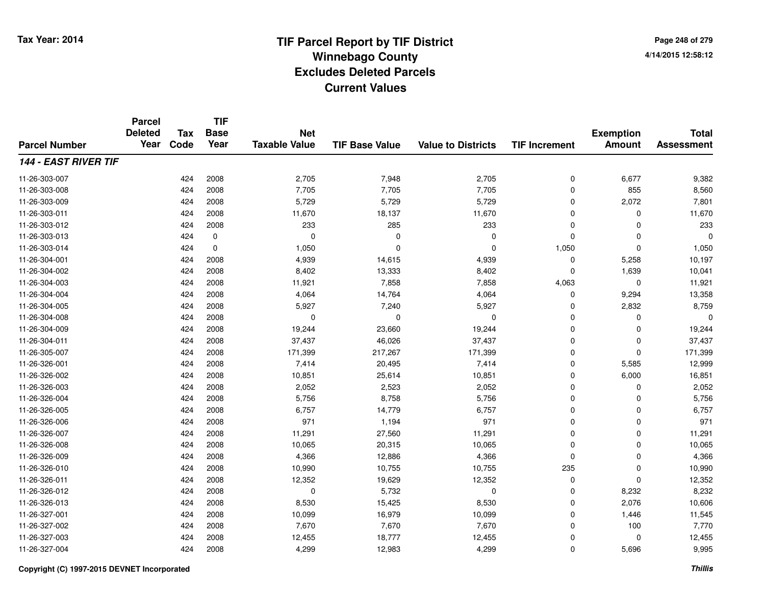**Page 248 of 2794/14/2015 12:58:12**

|                             | <b>Parcel</b><br><b>Deleted</b><br>Year | <b>Tax</b> | <b>TIF</b><br><b>Base</b> | <b>Net</b>           |                       |                           |                      | <b>Exemption</b> | <b>Total</b>      |
|-----------------------------|-----------------------------------------|------------|---------------------------|----------------------|-----------------------|---------------------------|----------------------|------------------|-------------------|
| <b>Parcel Number</b>        |                                         | Code       | Year                      | <b>Taxable Value</b> | <b>TIF Base Value</b> | <b>Value to Districts</b> | <b>TIF Increment</b> | <b>Amount</b>    | <b>Assessment</b> |
| <b>144 - EAST RIVER TIF</b> |                                         |            |                           |                      |                       |                           |                      |                  |                   |
| 11-26-303-007               |                                         | 424        | 2008                      | 2,705                | 7,948                 | 2,705                     | 0                    | 6,677            | 9,382             |
| 11-26-303-008               |                                         | 424        | 2008                      | 7,705                | 7,705                 | 7,705                     | 0                    | 855              | 8,560             |
| 11-26-303-009               |                                         | 424        | 2008                      | 5,729                | 5,729                 | 5,729                     | 0                    | 2,072            | 7,801             |
| 11-26-303-011               |                                         | 424        | 2008                      | 11,670               | 18,137                | 11,670                    | 0                    | $\Omega$         | 11,670            |
| 11-26-303-012               |                                         | 424        | 2008                      | 233                  | 285                   | 233                       | 0                    | $\Omega$         | 233               |
| 11-26-303-013               |                                         | 424        | $\mathbf 0$               | $\mathbf 0$          | $\Omega$              | $\Omega$                  | 0                    | $\Omega$         | $\Omega$          |
| 11-26-303-014               |                                         | 424        | $\mathbf 0$               | 1,050                | $\Omega$              | $\Omega$                  | 1,050                | $\Omega$         | 1,050             |
| 11-26-304-001               |                                         | 424        | 2008                      | 4,939                | 14,615                | 4,939                     | 0                    | 5,258            | 10,197            |
| 11-26-304-002               |                                         | 424        | 2008                      | 8,402                | 13,333                | 8,402                     | 0                    | 1,639            | 10,041            |
| 11-26-304-003               |                                         | 424        | 2008                      | 11,921               | 7,858                 | 7,858                     | 4,063                | $\mathbf{0}$     | 11,921            |
| 11-26-304-004               |                                         | 424        | 2008                      | 4,064                | 14,764                | 4,064                     | 0                    | 9,294            | 13,358            |
| 11-26-304-005               |                                         | 424        | 2008                      | 5,927                | 7,240                 | 5,927                     | 0                    | 2,832            | 8,759             |
| 11-26-304-008               |                                         | 424        | 2008                      | 0                    | $\Omega$              | 0                         | $\mathbf 0$          | $\Omega$         | $\Omega$          |
| 11-26-304-009               |                                         | 424        | 2008                      | 19,244               | 23,660                | 19,244                    | 0                    | 0                | 19,244            |
| 11-26-304-011               |                                         | 424        | 2008                      | 37,437               | 46,026                | 37,437                    | 0                    | $\mathbf 0$      | 37,437            |
| 11-26-305-007               |                                         | 424        | 2008                      | 171,399              | 217,267               | 171,399                   | 0                    | $\mathbf 0$      | 171,399           |
| 11-26-326-001               |                                         | 424        | 2008                      | 7,414                | 20,495                | 7,414                     | 0                    | 5,585            | 12,999            |
| 11-26-326-002               |                                         | 424        | 2008                      | 10,851               | 25,614                | 10,851                    | 0                    | 6,000            | 16,851            |
| 11-26-326-003               |                                         | 424        | 2008                      | 2,052                | 2,523                 | 2,052                     | 0                    | 0                | 2,052             |
| 11-26-326-004               |                                         | 424        | 2008                      | 5,756                | 8,758                 | 5,756                     | 0                    | $\mathbf 0$      | 5,756             |
| 11-26-326-005               |                                         | 424        | 2008                      | 6,757                | 14,779                | 6,757                     | 0                    | 0                | 6,757             |
| 11-26-326-006               |                                         | 424        | 2008                      | 971                  | 1,194                 | 971                       | 0                    | $\mathbf 0$      | 971               |
| 11-26-326-007               |                                         | 424        | 2008                      | 11,291               | 27,560                | 11,291                    | 0                    | $\mathbf 0$      | 11,291            |
| 11-26-326-008               |                                         | 424        | 2008                      | 10,065               | 20,315                | 10,065                    | 0                    | $\mathbf 0$      | 10,065            |
| 11-26-326-009               |                                         | 424        | 2008                      | 4,366                | 12,886                | 4,366                     | 0                    | $\mathbf 0$      | 4,366             |
| 11-26-326-010               |                                         | 424        | 2008                      | 10,990               | 10,755                | 10,755                    | 235                  | $\mathbf 0$      | 10,990            |
| 11-26-326-011               |                                         | 424        | 2008                      | 12,352               | 19,629                | 12,352                    | 0                    | $\Omega$         | 12,352            |
| 11-26-326-012               |                                         | 424        | 2008                      | 0                    | 5,732                 | 0                         | 0                    | 8,232            | 8,232             |
| 11-26-326-013               |                                         | 424        | 2008                      | 8,530                | 15,425                | 8,530                     | 0                    | 2,076            | 10,606            |
| 11-26-327-001               |                                         | 424        | 2008                      | 10,099               | 16,979                | 10,099                    | 0                    | 1,446            | 11,545            |
| 11-26-327-002               |                                         | 424        | 2008                      | 7,670                | 7,670                 | 7,670                     | $\mathbf 0$          | 100              | 7,770             |
| 11-26-327-003               |                                         | 424        | 2008                      | 12,455               | 18,777                | 12,455                    | 0                    | $\Omega$         | 12,455            |
| 11-26-327-004               |                                         | 424        | 2008                      | 4,299                | 12,983                | 4,299                     | 0                    | 5,696            | 9,995             |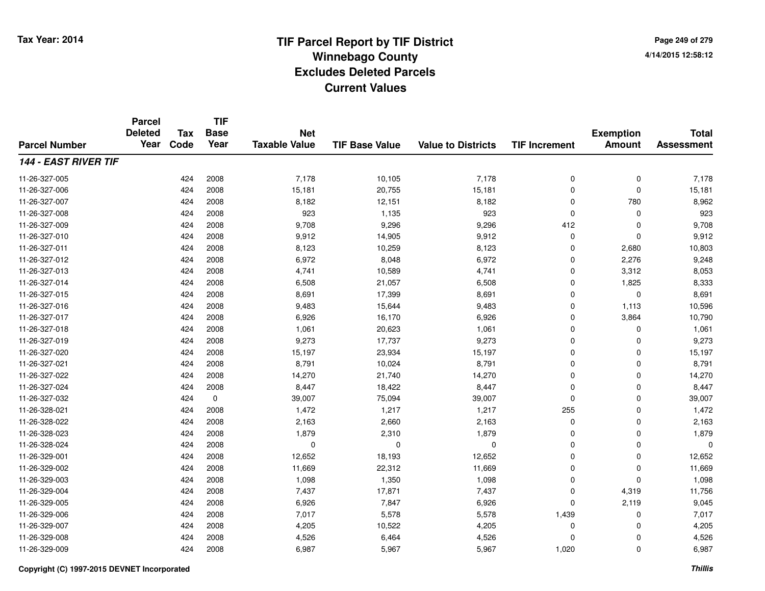**Page 249 of 2794/14/2015 12:58:12**

#### **TIF Base ValueParcel NumberTotal AssessmentExemption Amount Value to Districts TIF IncrementTIF Base YearTax CodeParcel Deleted YearNet Taxable Value144 - EAST RIVER TIF**11-26-327-005 <sup>424</sup> 7,178 <sup>2008</sup> 10,105 7,178 <sup>0</sup> <sup>0</sup> 7,178 11-26-327-006 <sup>424</sup> 15,181 <sup>2008</sup> 20,755 15,181 <sup>0</sup> <sup>0</sup> 15,181 11-26-327-007 <sup>424</sup> 8,182 <sup>2008</sup> 12,151 8,182 <sup>0</sup> <sup>780</sup> 8,962 11-26-327-008 <sup>424</sup> <sup>923</sup> <sup>2008</sup> 1,135 <sup>923</sup> <sup>0</sup> <sup>0</sup> <sup>923</sup> 11-26-327-009 <sup>424</sup> 9,708 <sup>2008</sup> 9,296 9,296 <sup>412</sup> <sup>0</sup> 9,708 11-26-327-010 <sup>424</sup> 9,912 <sup>2008</sup> 14,905 9,912 <sup>0</sup> <sup>0</sup> 9,912 11-26-327-0111 424 2008 8,123 10,259 8,123 0 2,680 10,803 11-26-327-0122 424 2008 6,972 8,048 6,972 0 2,276 9,248 11-26-327-0133 424 2008 4,741 10,589 4,741 0 3,312 8,053 11-26-327-014 <sup>424</sup> 6,508 <sup>2008</sup> 21,057 6,508 <sup>0</sup> 1,825 8,333 11-26-327-015 <sup>424</sup> 8,691 <sup>2008</sup> 17,399 8,691 <sup>0</sup> <sup>0</sup> 8,691 11-26-327-0166 424 2008 9,483 15,644 9,483 0 1,113 10,596 11-26-327-017 <sup>424</sup> 6,926 <sup>2008</sup> 16,170 6,926 <sup>0</sup> 3,864 10,790 11-26-327-0188 424 2008 1,061 20,623 1,061 0 0 1,061 11-26-327-019 <sup>424</sup> 9,273 <sup>2008</sup> 17,737 9,273 <sup>0</sup> <sup>0</sup> 9,273 11-26-327-0200 424 2008 15,197 23,934 15,197 0 0 15,197 11-26-327-0211 424 2008 8,791 10,024 8,791 0 0 8,791 11-26-327-0222 424 2008 14,270 21,740 14,270 0 0 14,270 11-26-327-0244 2008 12,447 18,422 3,447 3,447 3,447 3,447 3,447 4 3,447 3,447 11-26-327-0322 424 0 39,007 75,094 39,007 0 0 39,007 11-26-328-0211 1 255 0 3,472 1,472 1,217 1,217 1,217 255 0 1,472 11-26-328-0222 424 2008 2,163 2,660 2,163 0 0 2,163 11-26-328-0233 424 2008 1,879 2,310 1,879 0 0 1,879 11-26-328-024 <sup>424</sup> <sup>0</sup> <sup>2008</sup> <sup>0</sup> <sup>0</sup> <sup>0</sup> <sup>0</sup> <sup>0</sup> 11-26-329-0011 424 2008 12,652 18,193 12,652 0 0 12,652 11-26-329-0022 424 2008 11,669 22,312 11,669 0 0 11,669 11-26-329-0033 424 2008 1,098 1,350 1,098 0 1,098 11-26-329-004 <sup>424</sup> 7,437 <sup>2008</sup> 17,871 7,437 <sup>0</sup> 4,319 11,756 11-26-329-005 <sup>424</sup> 6,926 <sup>2008</sup> 7,847 6,926 <sup>0</sup> 2,119 9,045 11-26-329-006 <sup>424</sup> 7,017 <sup>2008</sup> 5,578 5,578 1,439 <sup>0</sup> 7,017 11-26-329-0077 424 2008 4,205 10,522 4,205 0 0 4,205 11-26-329-0088 424 2008 4,526 6,464 4,526 0 0 4,526 11-26-329-009<sup>424</sup> 6,987 <sup>2008</sup> 5,967 5,967 1,020 <sup>0</sup> 6,987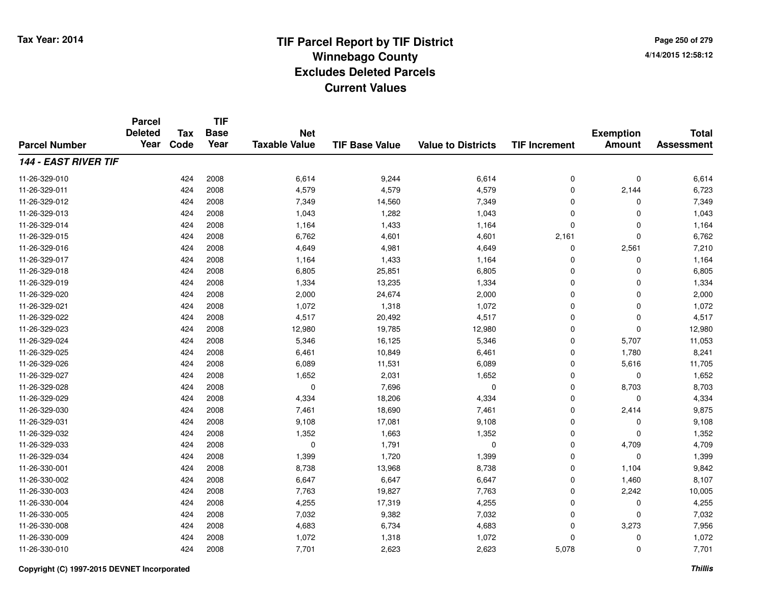**Page 250 of 2794/14/2015 12:58:12**

|                             | <b>Parcel</b><br><b>Deleted</b><br>Year | <b>Tax</b> | <b>TIF</b><br><b>Base</b> | <b>Net</b>           |                       |                           |                      | <b>Exemption</b> | <b>Total</b>      |
|-----------------------------|-----------------------------------------|------------|---------------------------|----------------------|-----------------------|---------------------------|----------------------|------------------|-------------------|
| <b>Parcel Number</b>        |                                         | Code       | Year                      | <b>Taxable Value</b> | <b>TIF Base Value</b> | <b>Value to Districts</b> | <b>TIF Increment</b> | <b>Amount</b>    | <b>Assessment</b> |
| <b>144 - EAST RIVER TIF</b> |                                         |            |                           |                      |                       |                           |                      |                  |                   |
| 11-26-329-010               |                                         | 424        | 2008                      | 6,614                | 9,244                 | 6,614                     | 0                    | 0                | 6,614             |
| 11-26-329-011               |                                         | 424        | 2008                      | 4,579                | 4,579                 | 4,579                     | 0                    | 2,144            | 6,723             |
| 11-26-329-012               |                                         | 424        | 2008                      | 7,349                | 14,560                | 7,349                     | 0                    | 0                | 7,349             |
| 11-26-329-013               |                                         | 424        | 2008                      | 1,043                | 1,282                 | 1,043                     | 0                    | $\mathbf 0$      | 1,043             |
| 11-26-329-014               |                                         | 424        | 2008                      | 1,164                | 1,433                 | 1,164                     | 0                    | 0                | 1,164             |
| 11-26-329-015               |                                         | 424        | 2008                      | 6,762                | 4,601                 | 4,601                     | 2,161                | $\mathbf 0$      | 6,762             |
| 11-26-329-016               |                                         | 424        | 2008                      | 4,649                | 4,981                 | 4,649                     | 0                    | 2,561            | 7,210             |
| 11-26-329-017               |                                         | 424        | 2008                      | 1,164                | 1,433                 | 1,164                     | 0                    | $\mathbf 0$      | 1,164             |
| 11-26-329-018               |                                         | 424        | 2008                      | 6,805                | 25,851                | 6,805                     | 0                    | $\mathbf 0$      | 6,805             |
| 11-26-329-019               |                                         | 424        | 2008                      | 1,334                | 13,235                | 1,334                     | 0                    | 0                | 1,334             |
| 11-26-329-020               |                                         | 424        | 2008                      | 2,000                | 24,674                | 2,000                     | 0                    | 0                | 2,000             |
| 11-26-329-021               |                                         | 424        | 2008                      | 1,072                | 1,318                 | 1,072                     | 0                    | 0                | 1,072             |
| 11-26-329-022               |                                         | 424        | 2008                      | 4,517                | 20,492                | 4,517                     | 0                    | 0                | 4,517             |
| 11-26-329-023               |                                         | 424        | 2008                      | 12,980               | 19,785                | 12,980                    | 0                    | $\mathbf 0$      | 12,980            |
| 11-26-329-024               |                                         | 424        | 2008                      | 5,346                | 16,125                | 5,346                     | 0                    | 5,707            | 11,053            |
| 11-26-329-025               |                                         | 424        | 2008                      | 6,461                | 10,849                | 6,461                     | 0                    | 1,780            | 8,241             |
| 11-26-329-026               |                                         | 424        | 2008                      | 6,089                | 11,531                | 6,089                     | 0                    | 5,616            | 11,705            |
| 11-26-329-027               |                                         | 424        | 2008                      | 1,652                | 2,031                 | 1,652                     | 0                    | 0                | 1,652             |
| 11-26-329-028               |                                         | 424        | 2008                      | $\mathbf 0$          | 7,696                 | 0                         | 0                    | 8,703            | 8,703             |
| 11-26-329-029               |                                         | 424        | 2008                      | 4,334                | 18,206                | 4,334                     | 0                    | 0                | 4,334             |
| 11-26-329-030               |                                         | 424        | 2008                      | 7,461                | 18,690                | 7,461                     | 0                    | 2,414            | 9,875             |
| 11-26-329-031               |                                         | 424        | 2008                      | 9,108                | 17,081                | 9,108                     | 0                    | 0                | 9,108             |
| 11-26-329-032               |                                         | 424        | 2008                      | 1,352                | 1,663                 | 1,352                     | 0                    | 0                | 1,352             |
| 11-26-329-033               |                                         | 424        | 2008                      | 0                    | 1,791                 | 0                         | 0                    | 4,709            | 4,709             |
| 11-26-329-034               |                                         | 424        | 2008                      | 1,399                | 1,720                 | 1,399                     | 0                    | 0                | 1,399             |
| 11-26-330-001               |                                         | 424        | 2008                      | 8,738                | 13,968                | 8,738                     | 0                    | 1,104            | 9,842             |
| 11-26-330-002               |                                         | 424        | 2008                      | 6,647                | 6,647                 | 6,647                     | 0                    | 1,460            | 8,107             |
| 11-26-330-003               |                                         | 424        | 2008                      | 7,763                | 19,827                | 7,763                     | 0                    | 2,242            | 10,005            |
| 11-26-330-004               |                                         | 424        | 2008                      | 4,255                | 17,319                | 4,255                     | 0                    | 0                | 4,255             |
| 11-26-330-005               |                                         | 424        | 2008                      | 7,032                | 9,382                 | 7,032                     | 0                    | 0                | 7,032             |
| 11-26-330-008               |                                         | 424        | 2008                      | 4,683                | 6,734                 | 4,683                     | 0                    | 3,273            | 7,956             |
| 11-26-330-009               |                                         | 424        | 2008                      | 1,072                | 1,318                 | 1,072                     | 0                    | 0                | 1,072             |
| 11-26-330-010               |                                         | 424        | 2008                      | 7,701                | 2,623                 | 2,623                     | 5,078                | $\mathbf 0$      | 7,701             |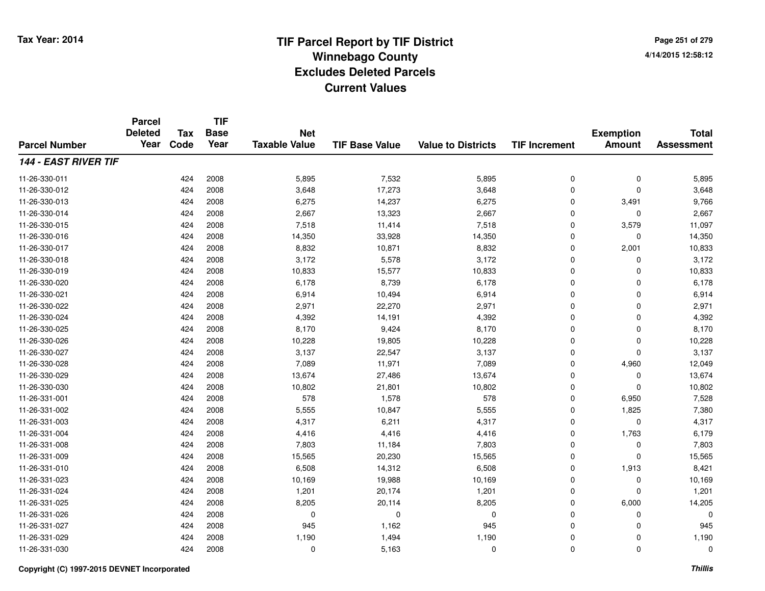**Page 251 of 2794/14/2015 12:58:12**

#### **TIF Base ValueParcel NumberTotal AssessmentExemption Amount Value to Districts TIF IncrementTIF Base YearTax CodeParcel Deleted YearNet Taxable Value144 - EAST RIVER TIF**11-26-330-0111 424 2008 5,895 7,532 5,895 0 0 5,895 11-26-330-0122 424 2008 3,648 17,273 3,648 0 0 3,648 11-26-330-0133 424 2008 6,275 14,237 6,275 0 3,491 9,766 11-26-330-0144 424 2008 2,667 13,323 2,667 0 0 2,667 11-26-330-015 <sup>424</sup> 7,518 <sup>2008</sup> 11,414 7,518 <sup>0</sup> 3,579 11,097 11-26-330-016 <sup>424</sup> 14,350 <sup>2008</sup> 33,928 14,350 <sup>0</sup> <sup>0</sup> 14,350 11-26-330-017 <sup>424</sup> 8,832 <sup>2008</sup> 10,871 8,832 <sup>0</sup> 2,001 10,833 11-26-330-018 <sup>424</sup> 3,172 <sup>2008</sup> 5,578 3,172 <sup>0</sup> <sup>0</sup> 3,172 11-26-330-0199 424 2008 10,833 15,577 10,833 0 0 10,833 11-26-330-0200 424 2008 6,178 8,739 6,178 0 0 6,178 11-26-330-0211 424 2008 6,914 10,494 6,914 0 0 6,914 11-26-330-0222 424 2008 2,971 22,270 2,971 0 0 2,971 11-26-330-0244 2008 4,392 14,191 4,392 4,392 6 4,392 6 6 6 4,392 6 6 6 4,392 11-26-330-025 <sup>424</sup> 8,170 <sup>2008</sup> 9,424 8,170 <sup>0</sup> <sup>0</sup> 8,170 11-26-330-0266 424 2008 10,228 19,805 10,228 0 0 10,228 11-26-330-027 <sup>424</sup> 3,137 <sup>2008</sup> 22,547 3,137 <sup>0</sup> <sup>0</sup> 3,137 11-26-330-028 <sup>424</sup> 7,089 <sup>2008</sup> 11,971 7,089 <sup>0</sup> 4,960 12,049 11-26-330-0299 424 2008 13,674 27,486 13,674 0 0 13,674 11-26-330-0300 424 2008 10,802 21,801 10,802 0 0 10,802 11-26-331-0011 424 2008 578 1,578 578 0 6,950 7,528 11-26-331-002 <sup>424</sup> 5,555 <sup>2008</sup> 10,847 5,555 <sup>0</sup> 1,825 7,380 11-26-331-0033 424 2008 4,317 6,211 4,317 0 0 4,317 11-26-331-004 <sup>424</sup> 4,416 <sup>2008</sup> 4,416 4,416 <sup>0</sup> 1,763 6,179 11-26-331-008 <sup>424</sup> 7,803 <sup>2008</sup> 11,184 7,803 <sup>0</sup> <sup>0</sup> 7,803 11-26-331-0099 424 2008 15,565 20,230 15,565 0 0 15,565 11-26-331-0100 424 2008 6,508 14,312 6,508 0 1,913 8,421 11-26-331-0233 424 2008 10,169 19,988 10,169 0 0 10,169 11-26-331-024 <sup>424</sup> 1,201 <sup>2008</sup> 20,174 1,201 <sup>0</sup> <sup>0</sup> 1,201 11-26-331-025 <sup>424</sup> 8,205 <sup>2008</sup> 20,114 8,205 <sup>0</sup> 6,000 14,205 11-26-331-026 <sup>424</sup> <sup>0</sup> <sup>2008</sup> <sup>0</sup> <sup>0</sup> <sup>0</sup> <sup>0</sup> <sup>0</sup> 11-26-331-0277 424 2008 945 1,162 945 0 0 945 11-26-331-0299 424 2008 1,190 1,494 1,190 0 0 1,190 11-26-331-030<sup>424</sup> <sup>0</sup> <sup>2008</sup> 5,163 <sup>0</sup> <sup>0</sup> <sup>0</sup> <sup>0</sup>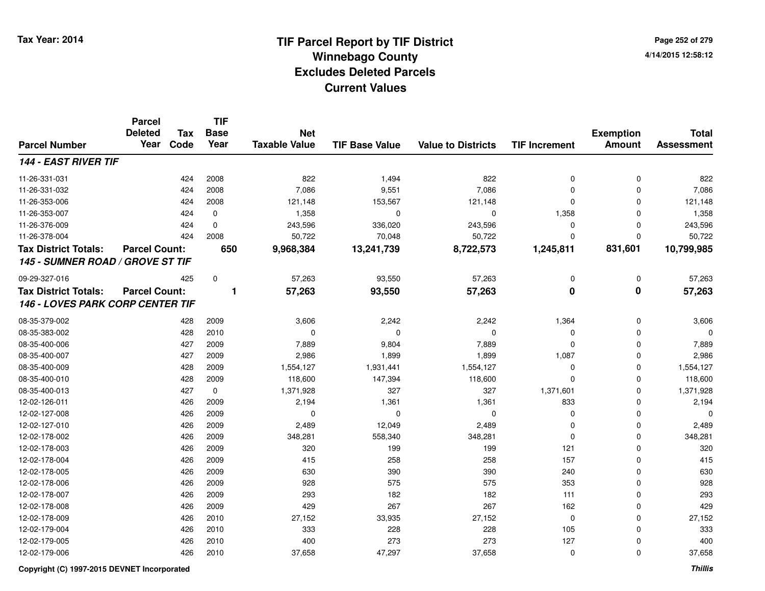# **TIF Parcel Report by TIF District Tax Year: 2014 Winnebago County04/14/2015 12:58:12** PM **Excludes Deleted ParcelsCurrent Values**

**Page 252 of 2794/14/2015 12:58:12**

|                                  | <b>Parcel</b>        |            | <b>TIF</b>              |                                    |                       |                           |                         |                                   |                                   |
|----------------------------------|----------------------|------------|-------------------------|------------------------------------|-----------------------|---------------------------|-------------------------|-----------------------------------|-----------------------------------|
|                                  | <b>Deleted</b>       | <b>Tax</b> | <b>Base</b>             | <b>Net</b><br><b>Taxable Value</b> | <b>TIF Base Value</b> | <b>Value to Districts</b> |                         | <b>Exemption</b><br><b>Amount</b> | <b>Total</b><br><b>Assessment</b> |
| <b>Parcel Number</b>             | Year                 | Code       | Year                    |                                    |                       |                           | <b>TIF Increment</b>    |                                   |                                   |
| 144 - EAST RIVER TIF             |                      |            |                         |                                    |                       |                           |                         |                                   |                                   |
| 11-26-331-031                    |                      | 424        | 2008                    | 822                                | 1,494                 | 822                       | 0                       | $\mathbf 0$                       | 822                               |
| 11-26-331-032                    |                      | 424        | 2008                    | 7,086                              | 9,551                 | 7,086                     | $\Omega$                | $\Omega$                          | 7,086                             |
| 11-26-353-006                    |                      | 424        | 2008                    | 121,148                            | 153,567               | 121,148                   | $\mathbf 0$             | $\Omega$                          | 121,148                           |
| 11-26-353-007                    |                      | 424        | 0                       | 1,358                              | $\mathbf 0$           | $\mathbf 0$               | 1,358                   | $\mathbf 0$                       | 1,358                             |
| 11-26-376-009                    |                      | 424        | $\mathbf 0$             | 243,596                            | 336,020               | 243,596                   | $\Omega$                | $\Omega$                          | 243,596                           |
| 11-26-378-004                    |                      | 424        | 2008                    | 50,722                             | 70,048                | 50,722                    | $\Omega$                | $\Omega$                          | 50,722                            |
| <b>Tax District Totals:</b>      | <b>Parcel Count:</b> |            | 650                     | 9,968,384                          | 13,241,739            | 8,722,573                 | 1,245,811               | 831,601                           | 10,799,985                        |
| 145 - SUMNER ROAD / GROVE ST TIF |                      |            |                         |                                    |                       |                           |                         |                                   |                                   |
| 09-29-327-016                    |                      | 425        | 0                       | 57,263                             | 93,550                | 57,263                    | $\mathbf 0$             | 0                                 | 57,263                            |
| <b>Tax District Totals:</b>      | <b>Parcel Count:</b> |            | $\overline{\mathbf{1}}$ | 57,263                             | 93,550                | 57,263                    | $\overline{\mathbf{0}}$ | $\overline{\mathbf{0}}$           | 57,263                            |
| 146 - LOVES PARK CORP CENTER TIF |                      |            |                         |                                    |                       |                           |                         |                                   |                                   |
| 08-35-379-002                    |                      | 428        | 2009                    | 3,606                              | 2,242                 | 2,242                     | 1,364                   | 0                                 | 3,606                             |
| 08-35-383-002                    |                      | 428        | 2010                    | 0                                  | $\Omega$              | $\mathbf 0$               | 0                       | 0                                 | $\Omega$                          |
| 08-35-400-006                    |                      | 427        | 2009                    | 7,889                              | 9,804                 | 7,889                     | $\Omega$                | 0                                 | 7,889                             |
| 08-35-400-007                    |                      | 427        | 2009                    | 2,986                              | 1,899                 | 1,899                     | 1,087                   | $\Omega$                          | 2,986                             |
| 08-35-400-009                    |                      | 428        | 2009                    | 1,554,127                          | 1,931,441             | 1,554,127                 | 0                       | $\mathbf 0$                       | 1,554,127                         |
| 08-35-400-010                    |                      | 428        | 2009                    | 118,600                            | 147,394               | 118,600                   | $\Omega$                | $\Omega$                          | 118,600                           |
| 08-35-400-013                    |                      | 427        | $\mathbf 0$             | 1,371,928                          | 327                   | 327                       | 1,371,601               | $\Omega$                          | 1,371,928                         |
| 12-02-126-011                    |                      | 426        | 2009                    | 2,194                              | 1,361                 | 1,361                     | 833                     | $\Omega$                          | 2,194                             |
| 12-02-127-008                    |                      | 426        | 2009                    | 0                                  | $\mathbf 0$           | $\mathbf 0$               | $\mathbf 0$             | $\mathbf 0$                       | 0                                 |
| 12-02-127-010                    |                      | 426        | 2009                    | 2,489                              | 12,049                | 2,489                     | $\Omega$                | $\mathbf 0$                       | 2,489                             |
| 12-02-178-002                    |                      | 426        | 2009                    | 348,281                            | 558,340               | 348,281                   | $\mathbf 0$             | $\mathbf 0$                       | 348,281                           |
| 12-02-178-003                    |                      | 426        | 2009                    | 320                                | 199                   | 199                       | 121                     | $\mathbf 0$                       | 320                               |
| 12-02-178-004                    |                      | 426        | 2009                    | 415                                | 258                   | 258                       | 157                     | $\mathbf 0$                       | 415                               |
| 12-02-178-005                    |                      | 426        | 2009                    | 630                                | 390                   | 390                       | 240                     | 0                                 | 630                               |
| 12-02-178-006                    |                      | 426        | 2009                    | 928                                | 575                   | 575                       | 353                     | $\mathbf 0$                       | 928                               |
| 12-02-178-007                    |                      | 426        | 2009                    | 293                                | 182                   | 182                       | 111                     | $\mathbf 0$                       | 293                               |
| 12-02-178-008                    |                      | 426        | 2009                    | 429                                | 267                   | 267                       | 162                     | $\mathbf 0$                       | 429                               |
| 12-02-178-009                    |                      | 426        | 2010                    | 27,152                             | 33,935                | 27,152                    | $\mathbf 0$             | $\mathbf 0$                       | 27,152                            |
| 12-02-179-004                    |                      | 426        | 2010                    | 333                                | 228                   | 228                       | 105                     | $\Omega$                          | 333                               |
| 12-02-179-005                    |                      | 426        | 2010                    | 400                                | 273                   | 273                       | 127                     | $\Omega$                          | 400                               |
| 12-02-179-006                    |                      | 426        | 2010                    | 37,658                             | 47,297                | 37,658                    | $\mathbf 0$             | $\Omega$                          | 37,658                            |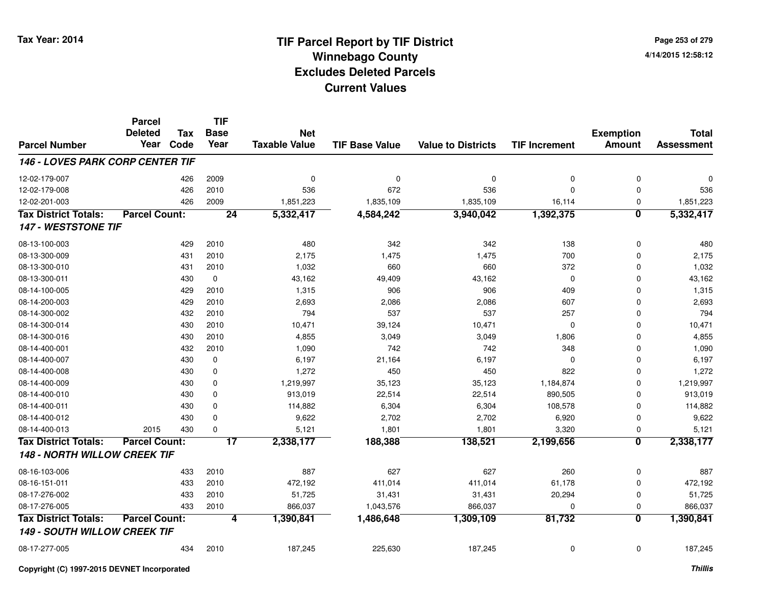| Page 253 of 279    |  |  |
|--------------------|--|--|
| 4/14/2015 12:58:12 |  |  |

#### **TIF Base ValueParcel NumberTotal AssessmentExemption Amount Value to Districts TIF IncrementTIF Base YearTax**Year Code **Parcel DeletedNet Taxable Value146 - LOVES PARK CORP CENTER TIF**12-02-179-007 <sup>426</sup> <sup>0</sup> <sup>2009</sup> <sup>0</sup> <sup>0</sup> <sup>0</sup> <sup>0</sup> <sup>0</sup> 12-02-179-008 <sup>426</sup> <sup>536</sup> <sup>2010</sup> <sup>672</sup> <sup>536</sup> <sup>0</sup> <sup>0</sup> <sup>536</sup> 12-02-201-0033 426 2009 1,851,223 1,835,109 1,835,109 16,114 0 1,851,223 **Tax District Totals: Parcel Count: <sup>24</sup> 5,332,417 4,584,242 3,940,042 1,392,375 <sup>0</sup> 5,332,417 147 - WESTSTONE TIF**08-13-100-0033 429 2010 480 342 342 138 0 480 08-13-300-009 <sup>431</sup> 2,175 <sup>2010</sup> 1,475 1,475 <sup>700</sup> <sup>0</sup> 2,175 08-13-300-0100 431 2010 1,032 660 660 372 0 1,032 08-13-300-0111 430 0 43,162 49,409 43,162 0 43,162 08-14-100-005 <sup>429</sup> 1,315 <sup>2010</sup> <sup>906</sup> <sup>906</sup> <sup>409</sup> <sup>0</sup> 1,315 08-14-200-0033 429 2010 2,693 2,086 2,086 607 0 2,693 08-14-300-002 <sup>432</sup> <sup>794</sup> <sup>2010</sup> <sup>537</sup> <sup>537</sup> <sup>257</sup> <sup>0</sup> <sup>794</sup> 08-14-300-0144 10,471 10,471 39,124 10,471 10,471 39,124 10,471 0 0 0 10,471 08-14-300-016 <sup>430</sup> 4,855 <sup>2010</sup> 3,049 3,049 1,806 <sup>0</sup> 4,855 08-14-400-0011 432 2010 1,090 742 742 348 0 1,090 08-14-400-0077 430 0 6,197 21,164 6,197 0 0 6,197 08-14-400-008 <sup>430</sup> 1,272 <sup>0</sup> <sup>450</sup> <sup>450</sup> <sup>822</sup> <sup>0</sup> 1,272 08-14-400-009 <sup>430</sup> 1,219,997 <sup>0</sup> 35,123 35,123 1,184,874 <sup>0</sup> 1,219,997 08-14-400-0100 430 0 913,019 22,514 22,514 890,505 0 913,019 08-14-400-0111 430 0 114,882 6,304 6,304 108,578 0 114,882 08-14-400-012 <sup>430</sup> 9,622 <sup>0</sup> 2,702 2,702 6,920 <sup>0</sup> 9,622 08-14-400-013 <sup>2015</sup> <sup>430</sup> <sup>0</sup> 5,121 1,801 1,801 3,320 <sup>0</sup> 5,121 **Tax District Totals: Parcel Count: <sup>17</sup> 2,338,177 188,388 138,521 2,199,656 <sup>0</sup> 2,338,177 148 - NORTH WILLOW CREEK TIF**08-16-103-0066 433 2010 887 627 627 260 0 887 08-16-151-0111 433 2010 472,192 411,014 411,014 61,178 0 472,192 08-17-276-0022 31,431 2010 31,431 31,431 31,431 20,294 0 51,725 08-17-276-0055 433 2010 866,037 1,043,576 866,037 0 866,037 **Tax District Totals: Parcel Count: <sup>4</sup> 1,390,841 1,486,648 1,309,109 81,732 <sup>0</sup> 1,390,841 149 - SOUTH WILLOW CREEK TIF**08-17-277-005<sup>434</sup> 187,245 <sup>2010</sup> 225,630 187,245 <sup>0</sup> <sup>0</sup> 187,245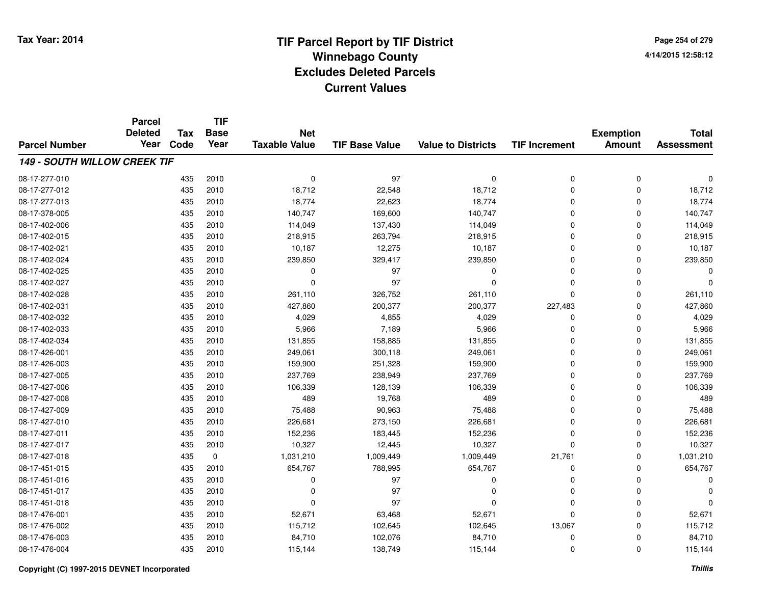**TIF**

**Parcel**

**Page 254 of 2794/14/2015 12:58:12**

| <b>Parcel Number</b>                | <b>Deleted</b><br>Year | <b>Tax</b><br>Code | <b>Base</b><br>Year | <b>Net</b><br><b>Taxable Value</b> | <b>TIF Base Value</b> | <b>Value to Districts</b> | <b>TIF Increment</b> | <b>Exemption</b><br><b>Amount</b> | <b>Total</b><br><b>Assessment</b> |
|-------------------------------------|------------------------|--------------------|---------------------|------------------------------------|-----------------------|---------------------------|----------------------|-----------------------------------|-----------------------------------|
| <b>149 - SOUTH WILLOW CREEK TIF</b> |                        |                    |                     |                                    |                       |                           |                      |                                   |                                   |
| 08-17-277-010                       |                        | 435                | 2010                | 0                                  | 97                    | $\mathbf 0$               | 0                    | 0                                 | 0                                 |
| 08-17-277-012                       |                        | 435                | 2010                | 18,712                             | 22,548                | 18,712                    | $\mathbf 0$          | 0                                 | 18,712                            |
| 08-17-277-013                       |                        | 435                | 2010                | 18,774                             | 22,623                | 18,774                    | 0                    | $\Omega$                          | 18,774                            |
| 08-17-378-005                       |                        | 435                | 2010                | 140,747                            | 169,600               | 140,747                   | 0                    | $\Omega$                          | 140,747                           |
| 08-17-402-006                       |                        | 435                | 2010                | 114,049                            | 137,430               | 114,049                   | 0                    | $\Omega$                          | 114,049                           |
| 08-17-402-015                       |                        | 435                | 2010                | 218,915                            | 263,794               | 218,915                   | 0                    | $\Omega$                          | 218,915                           |
| 08-17-402-021                       |                        | 435                | 2010                | 10,187                             | 12,275                | 10,187                    | 0                    | $\Omega$                          | 10,187                            |
| 08-17-402-024                       |                        | 435                | 2010                | 239,850                            | 329,417               | 239,850                   | 0                    | $\Omega$                          | 239,850                           |
| 08-17-402-025                       |                        | 435                | 2010                | 0                                  | 97                    | $\Omega$                  | 0                    | $\Omega$                          | $\Omega$                          |
| 08-17-402-027                       |                        | 435                | 2010                | 0                                  | 97                    | $\Omega$                  | 0                    | $\Omega$                          | 0                                 |
| 08-17-402-028                       |                        | 435                | 2010                | 261,110                            | 326,752               | 261,110                   | $\Omega$             | $\Omega$                          | 261,110                           |
| 08-17-402-031                       |                        | 435                | 2010                | 427,860                            | 200,377               | 200,377                   | 227,483              | $\Omega$                          | 427,860                           |
| 08-17-402-032                       |                        | 435                | 2010                | 4,029                              | 4,855                 | 4,029                     | 0                    | $\Omega$                          | 4,029                             |
| 08-17-402-033                       |                        | 435                | 2010                | 5,966                              | 7,189                 | 5,966                     | 0                    | 0                                 | 5,966                             |
| 08-17-402-034                       |                        | 435                | 2010                | 131,855                            | 158,885               | 131,855                   | 0                    | 0                                 | 131,855                           |
| 08-17-426-001                       |                        | 435                | 2010                | 249,061                            | 300,118               | 249,061                   | 0                    | 0                                 | 249,061                           |
| 08-17-426-003                       |                        | 435                | 2010                | 159,900                            | 251,328               | 159,900                   | 0                    | 0                                 | 159,900                           |
| 08-17-427-005                       |                        | 435                | 2010                | 237,769                            | 238,949               | 237,769                   | 0                    | 0                                 | 237,769                           |
| 08-17-427-006                       |                        | 435                | 2010                | 106,339                            | 128,139               | 106,339                   | 0                    | $\Omega$                          | 106,339                           |
| 08-17-427-008                       |                        | 435                | 2010                | 489                                | 19,768                | 489                       | 0                    | $\Omega$                          | 489                               |
| 08-17-427-009                       |                        | 435                | 2010                | 75,488                             | 90,963                | 75,488                    | 0                    | 0                                 | 75,488                            |
| 08-17-427-010                       |                        | 435                | 2010                | 226,681                            | 273,150               | 226,681                   | 0                    | $\Omega$                          | 226,681                           |
| 08-17-427-011                       |                        | 435                | 2010                | 152,236                            | 183,445               | 152,236                   | 0                    | $\Omega$                          | 152,236                           |
| 08-17-427-017                       |                        | 435                | 2010                | 10,327                             | 12,445                | 10,327                    | $\mathbf 0$          | $\Omega$                          | 10,327                            |
| 08-17-427-018                       |                        | 435                | 0                   | 1,031,210                          | 1,009,449             | 1,009,449                 | 21,761               | $\Omega$                          | 1,031,210                         |
| 08-17-451-015                       |                        | 435                | 2010                | 654,767                            | 788,995               | 654,767                   | 0                    | $\Omega$                          | 654,767                           |
| 08-17-451-016                       |                        | 435                | 2010                | $\Omega$                           | 97                    | $\Omega$                  | 0                    | 0                                 | O                                 |
| 08-17-451-017                       |                        | 435                | 2010                | O                                  | 97                    | $\Omega$                  | 0                    | $\Omega$                          | O                                 |
| 08-17-451-018                       |                        | 435                | 2010                | $\Omega$                           | 97                    | $\Omega$                  | 0                    | $\Omega$                          | 0                                 |
| 08-17-476-001                       |                        | 435                | 2010                | 52,671                             | 63,468                | 52,671                    | $\mathbf 0$          | $\Omega$                          | 52,671                            |
| 08-17-476-002                       |                        | 435                | 2010                | 115,712                            | 102,645               | 102,645                   | 13,067               | $\Omega$                          | 115,712                           |
| 08-17-476-003                       |                        | 435                | 2010                | 84,710                             | 102,076               | 84,710                    | 0                    | $\Omega$                          | 84,710                            |
| 08-17-476-004                       |                        | 435                | 2010                | 115,144                            | 138,749               | 115,144                   | 0                    | 0                                 | 115,144                           |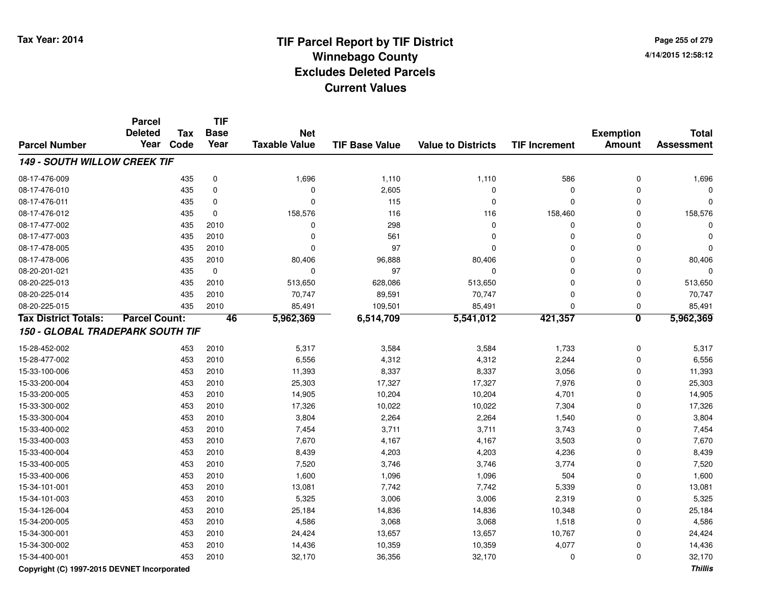**Page 255 of 2794/14/2015 12:58:12**

|                                     | <b>Parcel</b><br><b>Deleted</b> | <b>Tax</b> | <b>TIF</b><br><b>Base</b> | <b>Net</b>           |                       |                           |                      | <b>Exemption</b>        | <b>Total</b>      |
|-------------------------------------|---------------------------------|------------|---------------------------|----------------------|-----------------------|---------------------------|----------------------|-------------------------|-------------------|
| <b>Parcel Number</b>                | Year                            | Code       | Year                      | <b>Taxable Value</b> | <b>TIF Base Value</b> | <b>Value to Districts</b> | <b>TIF Increment</b> | <b>Amount</b>           | <b>Assessment</b> |
| <b>149 - SOUTH WILLOW CREEK TIF</b> |                                 |            |                           |                      |                       |                           |                      |                         |                   |
| 08-17-476-009                       |                                 | 435        | $\mathbf 0$               | 1,696                | 1,110                 | 1,110                     | 586                  | $\mathbf 0$             | 1,696             |
| 08-17-476-010                       |                                 | 435        | $\mathbf 0$               | $\Omega$             | 2,605                 | $\Omega$                  | $\mathbf 0$          | $\mathbf{0}$            |                   |
| 08-17-476-011                       |                                 | 435        | $\mathbf 0$               | $\Omega$             | 115                   | $\Omega$                  | $\Omega$             | $\Omega$                |                   |
| 08-17-476-012                       |                                 | 435        | $\mathbf 0$               | 158,576              | 116                   | 116                       | 158,460              | 0                       | 158,576           |
| 08-17-477-002                       |                                 | 435        | 2010                      | $\mathbf 0$          | 298                   | 0                         | 0                    | 0                       |                   |
| 08-17-477-003                       |                                 | 435        | 2010                      | $\mathbf 0$          | 561                   | 0                         | 0                    | 0                       |                   |
| 08-17-478-005                       |                                 | 435        | 2010                      | $\Omega$             | 97                    | $\Omega$                  | 0                    | $\Omega$                |                   |
| 08-17-478-006                       |                                 | 435        | 2010                      | 80,406               | 96,888                | 80,406                    | 0                    | 0                       | 80,406            |
| 08-20-201-021                       |                                 | 435        | $\mathbf 0$               | $\mathbf 0$          | 97                    | 0                         | 0                    | $\mathbf 0$             |                   |
| 08-20-225-013                       |                                 | 435        | 2010                      | 513,650              | 628,086               | 513,650                   | $\mathbf 0$          | $\mathbf 0$             | 513,650           |
| 08-20-225-014                       |                                 | 435        | 2010                      | 70,747               | 89,591                | 70,747                    | 0                    | $\mathbf 0$             | 70,747            |
| 08-20-225-015                       |                                 | 435        | 2010                      | 85,491               | 109,501               | 85,491                    | $\mathbf 0$          | $\mathbf 0$             | 85,491            |
| <b>Tax District Totals:</b>         | <b>Parcel Count:</b>            |            | 46                        | 5,962,369            | 6,514,709             | 5,541,012                 | 421,357              | $\overline{\mathbf{0}}$ | 5,962,369         |
| 150 - GLOBAL TRADEPARK SOUTH TIF    |                                 |            |                           |                      |                       |                           |                      |                         |                   |
| 15-28-452-002                       |                                 | 453        | 2010                      | 5,317                | 3,584                 | 3,584                     | 1,733                | $\mathbf 0$             | 5,317             |
| 15-28-477-002                       |                                 | 453        | 2010                      | 6,556                | 4,312                 | 4,312                     | 2,244                | $\mathbf 0$             | 6,556             |
| 15-33-100-006                       |                                 | 453        | 2010                      | 11,393               | 8,337                 | 8,337                     | 3,056                | $\mathbf 0$             | 11,393            |
| 15-33-200-004                       |                                 | 453        | 2010                      | 25,303               | 17,327                | 17,327                    | 7,976                | $\mathbf{0}$            | 25,303            |
| 15-33-200-005                       |                                 | 453        | 2010                      | 14,905               | 10,204                | 10,204                    | 4,701                | $\mathbf{0}$            | 14,905            |
| 15-33-300-002                       |                                 | 453        | 2010                      | 17,326               | 10,022                | 10,022                    | 7,304                | $\mathbf{0}$            | 17,326            |
| 15-33-300-004                       |                                 | 453        | 2010                      | 3,804                | 2,264                 | 2,264                     | 1,540                | $\mathbf{0}$            | 3,804             |
| 15-33-400-002                       |                                 | 453        | 2010                      | 7,454                | 3,711                 | 3,711                     | 3,743                | $\mathbf{0}$            | 7,454             |
| 15-33-400-003                       |                                 | 453        | 2010                      | 7,670                | 4,167                 | 4,167                     | 3,503                | $\mathbf{0}$            | 7,670             |
| 15-33-400-004                       |                                 | 453        | 2010                      | 8,439                | 4,203                 | 4,203                     | 4,236                | $\mathbf{0}$            | 8,439             |
| 15-33-400-005                       |                                 | 453        | 2010                      | 7,520                | 3,746                 | 3,746                     | 3,774                | $\mathbf 0$             | 7,520             |
| 15-33-400-006                       |                                 | 453        | 2010                      | 1,600                | 1,096                 | 1,096                     | 504                  | $\mathbf 0$             | 1,600             |
| 15-34-101-001                       |                                 | 453        | 2010                      | 13,081               | 7,742                 | 7,742                     | 5,339                | $\mathbf 0$             | 13,081            |
| 15-34-101-003                       |                                 | 453        | 2010                      | 5,325                | 3,006                 | 3,006                     | 2,319                | $\mathbf 0$             | 5,325             |
| 15-34-126-004                       |                                 | 453        | 2010                      | 25,184               | 14,836                | 14,836                    | 10,348               | $\mathbf 0$             | 25,184            |
| 15-34-200-005                       |                                 | 453        | 2010                      | 4,586                | 3,068                 | 3,068                     | 1,518                | $\mathbf 0$             | 4,586             |
| 15-34-300-001                       |                                 | 453        | 2010                      | 24,424               | 13,657                | 13,657                    | 10,767               | 0                       | 24,424            |
| 15-34-300-002                       |                                 | 453        | 2010                      | 14,436               | 10,359                | 10,359                    | 4,077                | 0                       | 14,436            |
| 15-34-400-001                       |                                 | 453        | 2010                      | 32,170               | 36,356                | 32,170                    | 0                    | $\mathbf 0$             | 32,170            |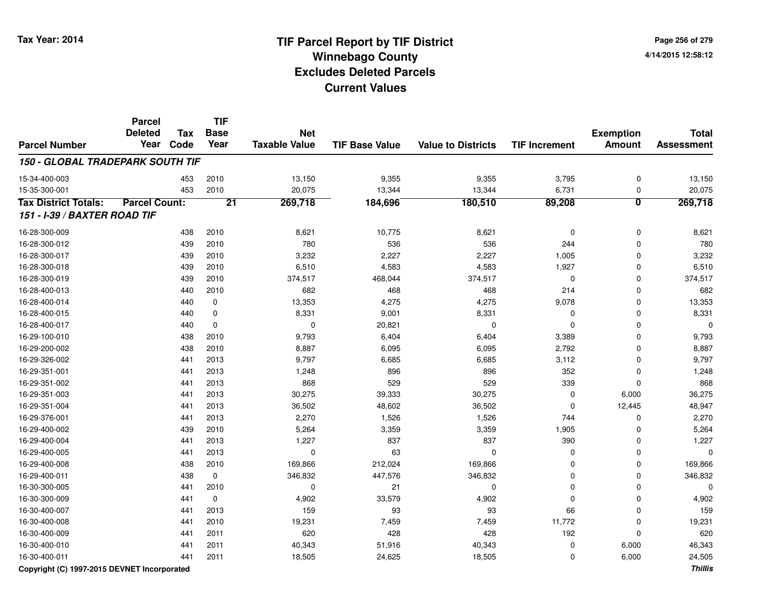**Page 256 of 2794/14/2015 12:58:12**

|                                  | <b>Parcel</b><br><b>Deleted</b> | <b>Tax</b> | <b>TIF</b><br><b>Base</b> | <b>Net</b>           |                       |                           |                      | <b>Exemption</b>        | <b>Total</b>      |
|----------------------------------|---------------------------------|------------|---------------------------|----------------------|-----------------------|---------------------------|----------------------|-------------------------|-------------------|
| <b>Parcel Number</b>             | Year                            | Code       | Year                      | <b>Taxable Value</b> | <b>TIF Base Value</b> | <b>Value to Districts</b> | <b>TIF Increment</b> | <b>Amount</b>           | <b>Assessment</b> |
| 150 - GLOBAL TRADEPARK SOUTH TIF |                                 |            |                           |                      |                       |                           |                      |                         |                   |
| 15-34-400-003                    |                                 | 453        | 2010                      | 13,150               | 9,355                 | 9,355                     | 3,795                | $\mathbf 0$             | 13,150            |
| 15-35-300-001                    |                                 | 453        | 2010                      | 20,075               | 13,344                | 13,344                    | 6,731                | $\mathbf 0$             | 20,075            |
| <b>Tax District Totals:</b>      | <b>Parcel Count:</b>            |            | $\overline{21}$           | 269,718              | 184,696               | 180,510                   | 89,208               | $\overline{\mathbf{0}}$ | 269,718           |
| 151 - I-39 / BAXTER ROAD TIF     |                                 |            |                           |                      |                       |                           |                      |                         |                   |
| 16-28-300-009                    |                                 | 438        | 2010                      | 8,621                | 10,775                | 8,621                     | $\mathbf 0$          | $\mathbf 0$             | 8,621             |
| 16-28-300-012                    |                                 | 439        | 2010                      | 780                  | 536                   | 536                       | 244                  | $\mathbf 0$             | 780               |
| 16-28-300-017                    |                                 | 439        | 2010                      | 3,232                | 2,227                 | 2,227                     | 1,005                | $\mathbf 0$             | 3,232             |
| 16-28-300-018                    |                                 | 439        | 2010                      | 6,510                | 4,583                 | 4,583                     | 1,927                | $\mathbf 0$             | 6,510             |
| 16-28-300-019                    |                                 | 439        | 2010                      | 374,517              | 468,044               | 374,517                   | 0                    | 0                       | 374,517           |
| 16-28-400-013                    |                                 | 440        | 2010                      | 682                  | 468                   | 468                       | 214                  | 0                       | 682               |
| 16-28-400-014                    |                                 | 440        | 0                         | 13,353               | 4,275                 | 4,275                     | 9,078                | 0                       | 13,353            |
| 16-28-400-015                    |                                 | 440        | $\mathbf 0$               | 8,331                | 9,001                 | 8,331                     | $\mathbf 0$          | $\mathbf 0$             | 8,331             |
| 16-28-400-017                    |                                 | 440        | $\Omega$                  | $\mathbf 0$          | 20,821                | $\mathbf 0$               | $\mathbf 0$          | $\mathbf 0$             | $\Omega$          |
| 16-29-100-010                    |                                 | 438        | 2010                      | 9,793                | 6,404                 | 6,404                     | 3,389                | $\mathbf 0$             | 9,793             |
| 16-29-200-002                    |                                 | 438        | 2010                      | 8,887                | 6,095                 | 6,095                     | 2,792                | $\mathbf 0$             | 8,887             |
| 16-29-326-002                    |                                 | 441        | 2013                      | 9,797                | 6,685                 | 6,685                     | 3,112                | $\mathbf 0$             | 9,797             |
| 16-29-351-001                    |                                 | 441        | 2013                      | 1,248                | 896                   | 896                       | 352                  | $\mathbf 0$             | 1,248             |
| 16-29-351-002                    |                                 | 441        | 2013                      | 868                  | 529                   | 529                       | 339                  | $\mathbf 0$             | 868               |
| 16-29-351-003                    |                                 | 441        | 2013                      | 30,275               | 39,333                | 30,275                    | $\mathbf 0$          | 6,000                   | 36,275            |
| 16-29-351-004                    |                                 | 441        | 2013                      | 36,502               | 48,602                | 36,502                    | $\mathbf 0$          | 12,445                  | 48,947            |
| 16-29-376-001                    |                                 | 441        | 2013                      | 2,270                | 1,526                 | 1,526                     | 744                  | 0                       | 2,270             |
| 16-29-400-002                    |                                 | 439        | 2010                      | 5,264                | 3,359                 | 3,359                     | 1,905                | $\mathbf{0}$            | 5,264             |
| 16-29-400-004                    |                                 | 441        | 2013                      | 1,227                | 837                   | 837                       | 390                  | $\mathbf{0}$            | 1,227             |
| 16-29-400-005                    |                                 | 441        | 2013                      | $\overline{0}$       | 63                    | $\Omega$                  | $\mathbf 0$          | 0                       | $\Omega$          |
| 16-29-400-008                    |                                 | 438        | 2010                      | 169,866              | 212,024               | 169,866                   | 0                    | 0                       | 169,866           |
| 16-29-400-011                    |                                 | 438        | 0                         | 346,832              | 447,576               | 346,832                   | $\mathbf 0$          | $\mathbf 0$             | 346,832           |
| 16-30-300-005                    |                                 | 441        | 2010                      | $\boldsymbol{0}$     | 21                    | 0                         | $\mathbf 0$          | $\mathbf 0$             | $\Omega$          |
| 16-30-300-009                    |                                 | 441        | $\mathbf 0$               | 4,902                | 33,579                | 4,902                     | $\mathbf 0$          | $\mathbf 0$             | 4,902             |
| 16-30-400-007                    |                                 | 441        | 2013                      | 159                  | 93                    | 93                        | 66                   | $\mathbf 0$             | 159               |
| 16-30-400-008                    |                                 | 441        | 2010                      | 19,231               | 7,459                 | 7,459                     | 11,772               | $\mathbf 0$             | 19,231            |
| 16-30-400-009                    |                                 | 441        | 2011                      | 620                  | 428                   | 428                       | 192                  | $\mathbf 0$             | 620               |
| 16-30-400-010                    |                                 | 441        | 2011                      | 40,343               | 51,916                | 40,343                    | $\mathbf 0$          | 6,000                   | 46,343            |
| 16-30-400-011                    |                                 | 441        | 2011                      | 18,505               | 24,625                | 18,505                    | $\mathbf 0$          | 6,000                   | 24,505            |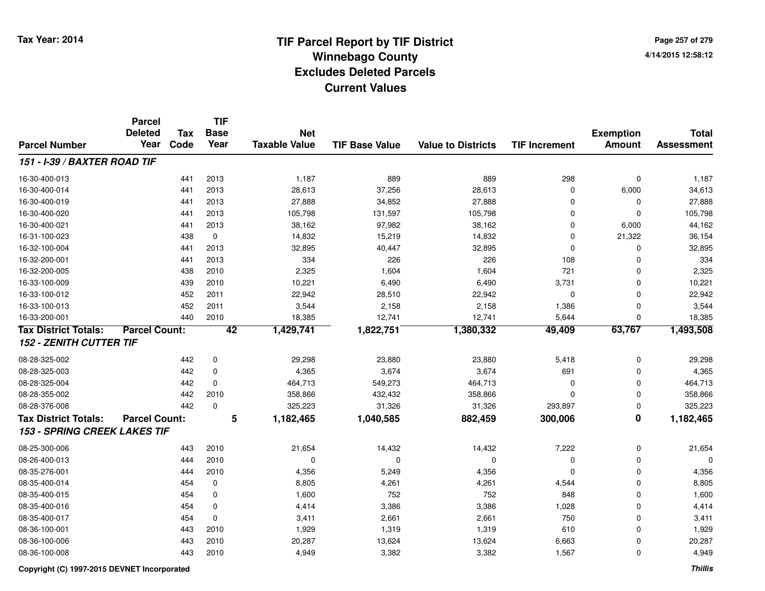**Page 257 of 2794/14/2015 12:58:12**

|                                     | <b>Parcel</b><br><b>Deleted</b> | <b>Tax</b> | <b>TIF</b><br><b>Base</b> | <b>Net</b>           |                       |                           |                      | <b>Exemption</b>        | <b>Total</b>      |
|-------------------------------------|---------------------------------|------------|---------------------------|----------------------|-----------------------|---------------------------|----------------------|-------------------------|-------------------|
| <b>Parcel Number</b>                | Year                            | Code       | Year                      | <b>Taxable Value</b> | <b>TIF Base Value</b> | <b>Value to Districts</b> | <b>TIF Increment</b> | <b>Amount</b>           | <b>Assessment</b> |
| 151 - I-39 / BAXTER ROAD TIF        |                                 |            |                           |                      |                       |                           |                      |                         |                   |
| 16-30-400-013                       |                                 | 441        | 2013                      | 1,187                | 889                   | 889                       | 298                  | $\mathbf 0$             | 1,187             |
| 16-30-400-014                       |                                 | 441        | 2013                      | 28,613               | 37,256                | 28,613                    | 0                    | 6,000                   | 34,613            |
| 16-30-400-019                       |                                 | 441        | 2013                      | 27,888               | 34,852                | 27,888                    | 0                    | 0                       | 27,888            |
| 16-30-400-020                       |                                 | 441        | 2013                      | 105,798              | 131,597               | 105,798                   | 0                    | $\Omega$                | 105,798           |
| 16-30-400-021                       |                                 | 441        | 2013                      | 38,162               | 97,982                | 38,162                    | 0                    | 6,000                   | 44,162            |
| 16-31-100-023                       |                                 | 438        | $\mathbf 0$               | 14,832               | 15,219                | 14,832                    | 0                    | 21,322                  | 36,154            |
| 16-32-100-004                       |                                 | 441        | 2013                      | 32,895               | 40,447                | 32,895                    | 0                    | 0                       | 32,895            |
| 16-32-200-001                       |                                 | 441        | 2013                      | 334                  | 226                   | 226                       | 108                  | $\Omega$                | 334               |
| 16-32-200-005                       |                                 | 438        | 2010                      | 2,325                | 1,604                 | 1,604                     | 721                  | $\Omega$                | 2,325             |
| 16-33-100-009                       |                                 | 439        | 2010                      | 10,221               | 6,490                 | 6,490                     | 3,731                | $\Omega$                | 10,221            |
| 16-33-100-012                       |                                 | 452        | 2011                      | 22,942               | 28,510                | 22,942                    | 0                    | 0                       | 22,942            |
| 16-33-100-013                       |                                 | 452        | 2011                      | 3,544                | 2,158                 | 2,158                     | 1,386                | $\mathbf 0$             | 3,544             |
| 16-33-200-001                       |                                 | 440        | 2010                      | 18,385               | 12,741                | 12,741                    | 5,644                | 0                       | 18,385            |
| <b>Tax District Totals:</b>         | <b>Parcel Count:</b>            |            | 42                        | 1,429,741            | 1,822,751             | 1,380,332                 | 49,409               | 63,767                  | 1,493,508         |
| <b>152 - ZENITH CUTTER TIF</b>      |                                 |            |                           |                      |                       |                           |                      |                         |                   |
| 08-28-325-002                       |                                 | 442        | $\mathbf 0$               | 29,298               | 23,880                | 23,880                    | 5,418                | $\mathbf 0$             | 29,298            |
| 08-28-325-003                       |                                 | 442        | $\mathbf 0$               | 4,365                | 3,674                 | 3,674                     | 691                  | 0                       | 4,365             |
| 08-28-325-004                       |                                 | 442        | $\mathbf 0$               | 464,713              | 549,273               | 464,713                   | 0                    | 0                       | 464,713           |
| 08-28-355-002                       |                                 | 442        | 2010                      | 358,866              | 432,432               | 358,866                   | 0                    | 0                       | 358,866           |
| 08-28-376-008                       |                                 | 442        | $\mathbf 0$               | 325,223              | 31,326                | 31,326                    | 293,897              | 0                       | 325,223           |
| <b>Tax District Totals:</b>         | <b>Parcel Count:</b>            |            | 5                         | 1,182,465            | 1,040,585             | 882,459                   | 300,006              | $\overline{\mathbf{0}}$ | 1,182,465         |
| <b>153 - SPRING CREEK LAKES TIF</b> |                                 |            |                           |                      |                       |                           |                      |                         |                   |
| 08-25-300-006                       |                                 | 443        | 2010                      | 21,654               | 14,432                | 14,432                    | 7,222                | 0                       | 21,654            |
| 08-26-400-013                       |                                 | 444        | 2010                      | 0                    | $\mathbf 0$           | 0                         | 0                    | 0                       | $\Omega$          |
| 08-35-276-001                       |                                 | 444        | 2010                      | 4,356                | 5,249                 | 4,356                     | 0                    | 0                       | 4,356             |
| 08-35-400-014                       |                                 | 454        | 0                         | 8,805                | 4,261                 | 4,261                     | 4,544                | 0                       | 8,805             |
| 08-35-400-015                       |                                 | 454        | $\mathbf 0$               | 1,600                | 752                   | 752                       | 848                  | $\mathbf 0$             | 1,600             |
| 08-35-400-016                       |                                 | 454        | $\mathbf 0$               | 4,414                | 3,386                 | 3,386                     | 1,028                | $\mathbf 0$             | 4,414             |
| 08-35-400-017                       |                                 | 454        | $\mathbf 0$               | 3,411                | 2,661                 | 2,661                     | 750                  | $\mathbf 0$             | 3,411             |
| 08-36-100-001                       |                                 | 443        | 2010                      | 1,929                | 1,319                 | 1,319                     | 610                  | $\Omega$                | 1,929             |
| 08-36-100-006                       |                                 | 443        | 2010                      | 20,287               | 13,624                | 13,624                    | 6,663                | $\Omega$                | 20,287            |
| 08-36-100-008                       |                                 | 443        | 2010                      | 4,949                | 3,382                 | 3,382                     | 1,567                | $\Omega$                | 4,949             |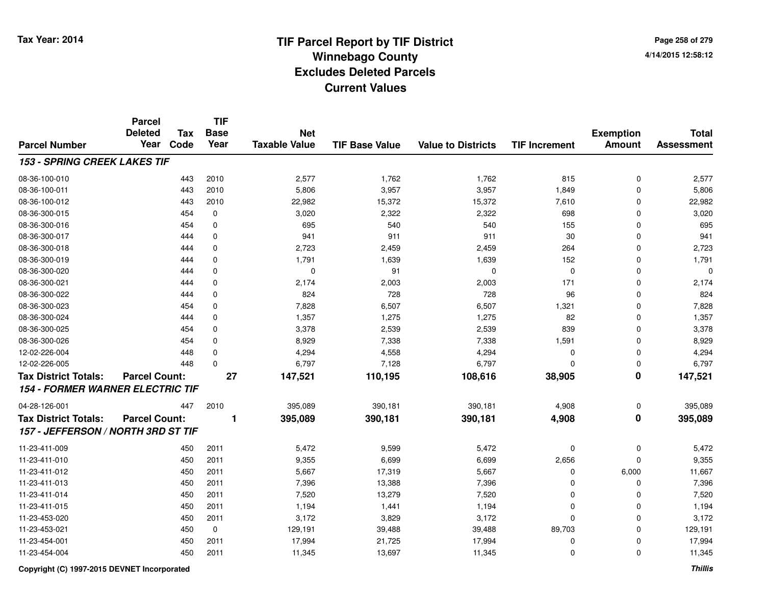**Page 258 of 2794/14/2015 12:58:12**

|                                         | <b>Parcel</b><br><b>Deleted</b> | <b>Tax</b> | <b>TIF</b><br><b>Base</b> | <b>Net</b>           |                       |                           |                      | <b>Exemption</b>        | <b>Total</b>      |
|-----------------------------------------|---------------------------------|------------|---------------------------|----------------------|-----------------------|---------------------------|----------------------|-------------------------|-------------------|
| <b>Parcel Number</b>                    | Year                            | Code       | Year                      | <b>Taxable Value</b> | <b>TIF Base Value</b> | <b>Value to Districts</b> | <b>TIF Increment</b> | <b>Amount</b>           | <b>Assessment</b> |
| <b>153 - SPRING CREEK LAKES TIF</b>     |                                 |            |                           |                      |                       |                           |                      |                         |                   |
| 08-36-100-010                           |                                 | 443        | 2010                      | 2,577                | 1,762                 | 1,762                     | 815                  | $\mathbf 0$             | 2,577             |
| 08-36-100-011                           |                                 | 443        | 2010                      | 5,806                | 3,957                 | 3,957                     | 1,849                | $\mathbf{0}$            | 5,806             |
| 08-36-100-012                           |                                 | 443        | 2010                      | 22,982               | 15,372                | 15,372                    | 7,610                | $\Omega$                | 22,982            |
| 08-36-300-015                           |                                 | 454        | 0                         | 3,020                | 2,322                 | 2,322                     | 698                  | $\Omega$                | 3,020             |
| 08-36-300-016                           |                                 | 454        | $\mathbf 0$               | 695                  | 540                   | 540                       | 155                  | $\Omega$                | 695               |
| 08-36-300-017                           |                                 | 444        | $\mathbf 0$               | 941                  | 911                   | 911                       | 30                   | $\mathbf{0}$            | 941               |
| 08-36-300-018                           |                                 | 444        | $\mathbf 0$               | 2,723                | 2,459                 | 2,459                     | 264                  | $\Omega$                | 2,723             |
| 08-36-300-019                           |                                 | 444        | $\mathbf 0$               | 1,791                | 1,639                 | 1,639                     | 152                  | $\Omega$                | 1,791             |
| 08-36-300-020                           |                                 | 444        | $\mathbf 0$               | $\mathbf 0$          | 91                    | $\mathbf 0$               | $\mathbf 0$          | 0                       | $\mathbf 0$       |
| 08-36-300-021                           |                                 | 444        | $\mathbf 0$               | 2,174                | 2,003                 | 2,003                     | 171                  | $\Omega$                | 2,174             |
| 08-36-300-022                           |                                 | 444        | $\mathbf 0$               | 824                  | 728                   | 728                       | 96                   | $\Omega$                | 824               |
| 08-36-300-023                           |                                 | 454        | $\mathbf 0$               | 7,828                | 6,507                 | 6,507                     | 1,321                | $\Omega$                | 7,828             |
| 08-36-300-024                           |                                 | 444        | $\mathbf 0$               | 1,357                | 1,275                 | 1,275                     | 82                   | $\mathbf 0$             | 1,357             |
| 08-36-300-025                           |                                 | 454        | 0                         | 3,378                | 2,539                 | 2,539                     | 839                  | $\mathbf 0$             | 3,378             |
| 08-36-300-026                           |                                 | 454        | $\mathbf 0$               | 8,929                | 7,338                 | 7,338                     | 1,591                | $\mathbf 0$             | 8,929             |
| 12-02-226-004                           |                                 | 448        | $\mathbf 0$               | 4,294                | 4,558                 | 4,294                     | $\mathbf 0$          | $\mathbf 0$             | 4,294             |
| 12-02-226-005                           |                                 | 448        | $\mathbf 0$               | 6,797                | 7,128                 | 6,797                     | $\Omega$             | $\mathbf 0$             | 6,797             |
| <b>Tax District Totals:</b>             | <b>Parcel Count:</b>            |            | $\overline{27}$           | 147,521              | 110,195               | 108,616                   | 38,905               | $\overline{\mathbf{0}}$ | 147,521           |
| <b>154 - FORMER WARNER ELECTRIC TIF</b> |                                 |            |                           |                      |                       |                           |                      |                         |                   |
| 04-28-126-001                           |                                 | 447        | 2010                      | 395,089              | 390,181               | 390,181                   | 4,908                | 0                       | 395,089           |
| <b>Tax District Totals:</b>             | <b>Parcel Count:</b>            |            |                           | 395,089              | 390,181               | 390,181                   | 4,908                | $\overline{\mathbf{0}}$ | 395,089           |
| 157 - JEFFERSON / NORTH 3RD ST TIF      |                                 |            |                           |                      |                       |                           |                      |                         |                   |
| 11-23-411-009                           |                                 | 450        | 2011                      | 5,472                | 9,599                 | 5,472                     | 0                    | $\mathbf 0$             | 5,472             |
| 11-23-411-010                           |                                 | 450        | 2011                      | 9,355                | 6,699                 | 6,699                     | 2,656                | $\mathbf 0$             | 9,355             |
| 11-23-411-012                           |                                 | 450        | 2011                      | 5,667                | 17,319                | 5,667                     | $\mathbf 0$          | 6,000                   | 11,667            |
| 11-23-411-013                           |                                 | 450        | 2011                      | 7,396                | 13,388                | 7,396                     | $\Omega$             | $\Omega$                | 7,396             |
| 11-23-411-014                           |                                 | 450        | 2011                      | 7,520                | 13,279                | 7,520                     | $\Omega$             | $\mathbf 0$             | 7,520             |
| 11-23-411-015                           |                                 | 450        | 2011                      | 1,194                | 1,441                 | 1,194                     | $\mathbf 0$          | $\mathbf 0$             | 1,194             |
| 11-23-453-020                           |                                 | 450        | 2011                      | 3,172                | 3,829                 | 3,172                     | $\Omega$             | $\mathbf 0$             | 3,172             |
| 11-23-453-021                           |                                 | 450        | $\pmb{0}$                 | 129,191              | 39,488                | 39,488                    | 89,703               | $\mathbf 0$             | 129,191           |
| 11-23-454-001                           |                                 | 450        | 2011                      | 17,994               | 21,725                | 17,994                    | $\Omega$             | $\Omega$                | 17,994            |
| 11-23-454-004                           |                                 | 450        | 2011                      | 11,345               | 13,697                | 11,345                    | $\Omega$             | $\Omega$                | 11,345            |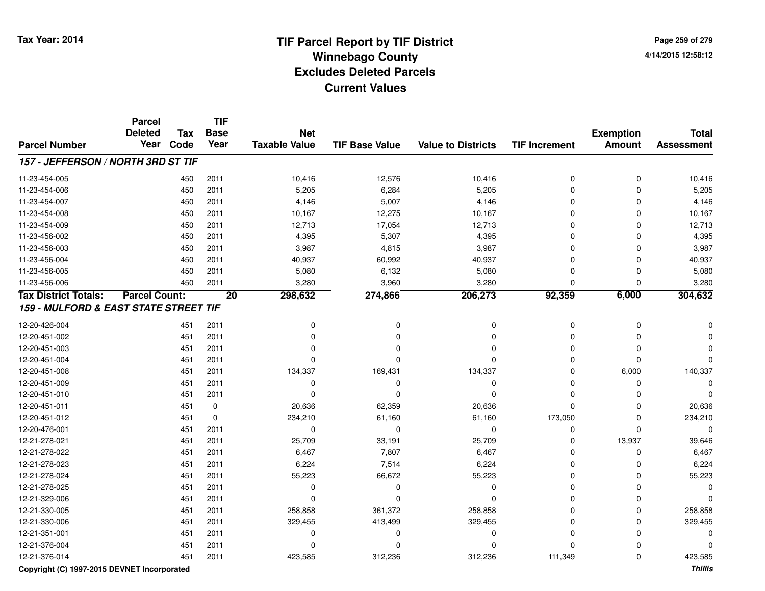**Page 259 of 2794/14/2015 12:58:12**

|                                       | <b>Parcel</b><br><b>Deleted</b> | <b>Tax</b> | <b>TIF</b><br><b>Base</b> | <b>Net</b>           |                       |                           |                      | <b>Exemption</b> | <b>Total</b>      |
|---------------------------------------|---------------------------------|------------|---------------------------|----------------------|-----------------------|---------------------------|----------------------|------------------|-------------------|
| <b>Parcel Number</b>                  | Year                            | Code       | Year                      | <b>Taxable Value</b> | <b>TIF Base Value</b> | <b>Value to Districts</b> | <b>TIF Increment</b> | <b>Amount</b>    | <b>Assessment</b> |
| 157 - JEFFERSON / NORTH 3RD ST TIF    |                                 |            |                           |                      |                       |                           |                      |                  |                   |
| 11-23-454-005                         |                                 | 450        | 2011                      | 10,416               | 12,576                | 10,416                    | 0                    | $\mathbf 0$      | 10,416            |
| 11-23-454-006                         |                                 | 450        | 2011                      | 5,205                | 6,284                 | 5,205                     | $\Omega$             | $\Omega$         | 5,205             |
| 11-23-454-007                         |                                 | 450        | 2011                      | 4,146                | 5,007                 | 4,146                     | $\Omega$             | $\Omega$         | 4,146             |
| 11-23-454-008                         |                                 | 450        | 2011                      | 10,167               | 12,275                | 10,167                    | $\Omega$             | $\Omega$         | 10,167            |
| 11-23-454-009                         |                                 | 450        | 2011                      | 12,713               | 17,054                | 12,713                    | $\Omega$             | $\Omega$         | 12,713            |
| 11-23-456-002                         |                                 | 450        | 2011                      | 4,395                | 5,307                 | 4,395                     | $\Omega$             | $\Omega$         | 4,395             |
| 11-23-456-003                         |                                 | 450        | 2011                      | 3,987                | 4,815                 | 3,987                     | $\Omega$             | $\Omega$         | 3,987             |
| 11-23-456-004                         |                                 | 450        | 2011                      | 40,937               | 60,992                | 40,937                    | 0                    | $\Omega$         | 40,937            |
| 11-23-456-005                         |                                 | 450        | 2011                      | 5,080                | 6,132                 | 5,080                     | $\Omega$             | 0                | 5,080             |
| 11-23-456-006                         |                                 | 450        | 2011                      | 3,280                | 3,960                 | 3,280                     | $\Omega$             | $\Omega$         | 3,280             |
| <b>Tax District Totals:</b>           | <b>Parcel Count:</b>            |            | $\overline{20}$           | 298,632              | 274,866               | 206,273                   | 92,359               | 6,000            | 304,632           |
| 159 - MULFORD & EAST STATE STREET TIF |                                 |            |                           |                      |                       |                           |                      |                  |                   |
| 12-20-426-004                         |                                 | 451        | 2011                      | 0                    | 0                     | 0                         | 0                    | 0                |                   |
| 12-20-451-002                         |                                 | 451        | 2011                      | 0                    | $\Omega$              | $\mathbf 0$               | $\Omega$             | 0                |                   |
| 12-20-451-003                         |                                 | 451        | 2011                      | $\Omega$             | $\Omega$              | 0                         | $\Omega$             | $\Omega$         |                   |
| 12-20-451-004                         |                                 | 451        | 2011                      | 0                    | $\Omega$              | 0                         | $\Omega$             | $\Omega$         |                   |
| 12-20-451-008                         |                                 | 451        | 2011                      | 134,337              | 169,431               | 134,337                   | $\Omega$             | 6,000            | 140,337           |
| 12-20-451-009                         |                                 | 451        | 2011                      | 0                    | $\mathbf 0$           | $\mathbf 0$               | $\Omega$             | $\Omega$         | $\Omega$          |
| 12-20-451-010                         |                                 | 451        | 2011                      | $\Omega$             | $\Omega$              | $\mathbf 0$               | $\Omega$             | $\Omega$         | $\Omega$          |
| 12-20-451-011                         |                                 | 451        | 0                         | 20,636               | 62,359                | 20,636                    | $\Omega$             | $\Omega$         | 20,636            |
| 12-20-451-012                         |                                 | 451        | $\mathbf 0$               | 234,210              | 61,160                | 61,160                    | 173,050              | $\Omega$         | 234,210           |
| 12-20-476-001                         |                                 | 451        | 2011                      | 0                    | $\mathbf 0$           | $\mathbf 0$               | $\mathbf 0$          | $\Omega$         | $\Omega$          |
| 12-21-278-021                         |                                 | 451        | 2011                      | 25,709               | 33,191                | 25,709                    | $\Omega$             | 13,937           | 39,646            |
| 12-21-278-022                         |                                 | 451        | 2011                      | 6,467                | 7,807                 | 6,467                     | $\Omega$             | $\Omega$         | 6,467             |
| 12-21-278-023                         |                                 | 451        | 2011                      | 6,224                | 7,514                 | 6,224                     | $\Omega$             | $\Omega$         | 6,224             |
| 12-21-278-024                         |                                 | 451        | 2011                      | 55,223               | 66,672                | 55,223                    | $\Omega$             | $\Omega$         | 55,223            |
| 12-21-278-025                         |                                 | 451        | 2011                      | 0                    | $\Omega$              | $\mathbf 0$               | $\Omega$             | $\Omega$         |                   |
| 12-21-329-006                         |                                 | 451        | 2011                      | 0                    | $\Omega$              | 0                         | $\Omega$             | $\Omega$         |                   |
| 12-21-330-005                         |                                 | 451        | 2011                      | 258,858              | 361,372               | 258,858                   | $\Omega$             | $\Omega$         | 258,858           |
| 12-21-330-006                         |                                 | 451        | 2011                      | 329,455              | 413,499               | 329,455                   | $\Omega$             | $\Omega$         | 329,455           |
| 12-21-351-001                         |                                 | 451        | 2011                      | 0                    | 0                     | $\mathbf 0$               | $\Omega$             | $\Omega$         |                   |
| 12-21-376-004                         |                                 | 451        | 2011                      | 0                    | ŋ                     | 0                         | $\Omega$             |                  |                   |
| 12-21-376-014                         |                                 | 451        | 2011                      | 423,585              | 312,236               | 312,236                   | 111,349              | $\Omega$         | 423,585           |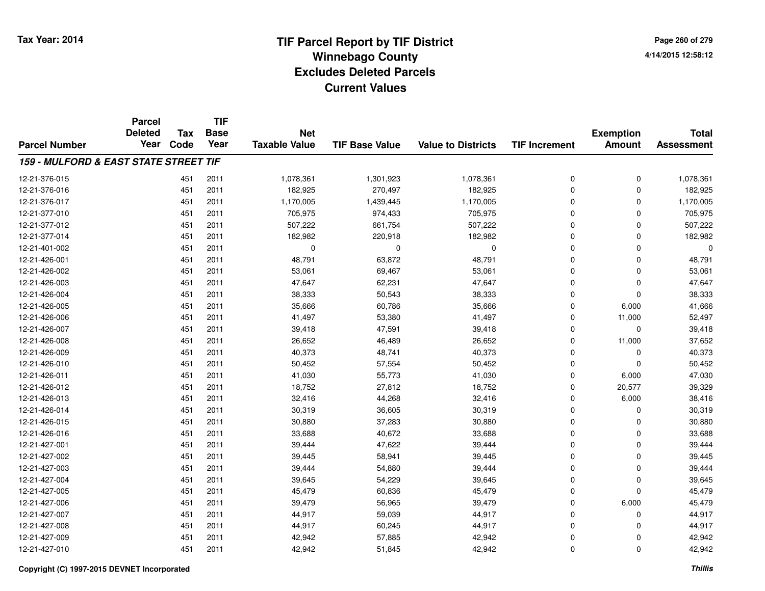|                                       | <b>Parcel</b><br><b>Deleted</b> | Tax  | <b>TIF</b><br><b>Base</b> | <b>Net</b>           |                       |                           |                      | <b>Exemption</b> | <b>Total</b>      |
|---------------------------------------|---------------------------------|------|---------------------------|----------------------|-----------------------|---------------------------|----------------------|------------------|-------------------|
| <b>Parcel Number</b>                  | Year                            | Code | Year                      | <b>Taxable Value</b> | <b>TIF Base Value</b> | <b>Value to Districts</b> | <b>TIF Increment</b> | <b>Amount</b>    | <b>Assessment</b> |
| 159 - MULFORD & EAST STATE STREET TIF |                                 |      |                           |                      |                       |                           |                      |                  |                   |
| 12-21-376-015                         |                                 | 451  | 2011                      | 1,078,361            | 1,301,923             | 1,078,361                 | 0                    | 0                | 1,078,361         |
| 12-21-376-016                         |                                 | 451  | 2011                      | 182,925              | 270,497               | 182,925                   | 0                    | 0                | 182,925           |
| 12-21-376-017                         |                                 | 451  | 2011                      | 1,170,005            | 1,439,445             | 1,170,005                 | 0                    | 0                | 1,170,005         |
| 12-21-377-010                         |                                 | 451  | 2011                      | 705,975              | 974,433               | 705,975                   | 0                    | 0                | 705,975           |
| 12-21-377-012                         |                                 | 451  | 2011                      | 507,222              | 661,754               | 507,222                   | 0                    | 0                | 507,222           |
| 12-21-377-014                         |                                 | 451  | 2011                      | 182,982              | 220,918               | 182,982                   | 0                    | 0                | 182,982           |
| 12-21-401-002                         |                                 | 451  | 2011                      | 0                    | 0                     | $\mathbf 0$               | 0                    | 0                | $\Omega$          |
| 12-21-426-001                         |                                 | 451  | 2011                      | 48,791               | 63,872                | 48,791                    | 0                    | 0                | 48,791            |
| 12-21-426-002                         |                                 | 451  | 2011                      | 53,061               | 69,467                | 53,061                    | 0                    | 0                | 53,061            |
| 12-21-426-003                         |                                 | 451  | 2011                      | 47,647               | 62,231                | 47,647                    | 0                    | 0                | 47,647            |
| 12-21-426-004                         |                                 | 451  | 2011                      | 38,333               | 50,543                | 38,333                    | $\overline{0}$       | 0                | 38,333            |
| 12-21-426-005                         |                                 | 451  | 2011                      | 35,666               | 60,786                | 35,666                    | 0                    | 6,000            | 41,666            |
| 12-21-426-006                         |                                 | 451  | 2011                      | 41,497               | 53,380                | 41,497                    | 0                    | 11,000           | 52,497            |
| 12-21-426-007                         |                                 | 451  | 2011                      | 39,418               | 47,591                | 39,418                    | 0                    | 0                | 39,418            |
| 12-21-426-008                         |                                 | 451  | 2011                      | 26,652               | 46,489                | 26,652                    | 0                    | 11,000           | 37,652            |
| 12-21-426-009                         |                                 | 451  | 2011                      | 40,373               | 48,741                | 40,373                    | 0                    | 0                | 40,373            |
| 12-21-426-010                         |                                 | 451  | 2011                      | 50,452               | 57,554                | 50,452                    | 0                    | 0                | 50,452            |
| 12-21-426-011                         |                                 | 451  | 2011                      | 41,030               | 55,773                | 41,030                    | 0                    | 6,000            | 47,030            |
| 12-21-426-012                         |                                 | 451  | 2011                      | 18,752               | 27,812                | 18,752                    | 0                    | 20,577           | 39,329            |
| 12-21-426-013                         |                                 | 451  | 2011                      | 32,416               | 44,268                | 32,416                    | 0                    | 6,000            | 38,416            |
| 12-21-426-014                         |                                 | 451  | 2011                      | 30,319               | 36,605                | 30,319                    | 0                    | 0                | 30,319            |
| 12-21-426-015                         |                                 | 451  | 2011                      | 30,880               | 37,283                | 30,880                    | 0                    | 0                | 30,880            |
| 12-21-426-016                         |                                 | 451  | 2011                      | 33,688               | 40,672                | 33,688                    | 0                    | 0                | 33,688            |
| 12-21-427-001                         |                                 | 451  | 2011                      | 39,444               | 47,622                | 39,444                    | 0                    | 0                | 39,444            |
| 12-21-427-002                         |                                 | 451  | 2011                      | 39,445               | 58,941                | 39,445                    | 0                    | 0                | 39,445            |
| 12-21-427-003                         |                                 | 451  | 2011                      | 39,444               | 54,880                | 39,444                    | $\overline{0}$       | 0                | 39,444            |
| 12-21-427-004                         |                                 | 451  | 2011                      | 39,645               | 54,229                | 39,645                    | 0                    | 0                | 39,645            |
| 12-21-427-005                         |                                 | 451  | 2011                      | 45,479               | 60,836                | 45,479                    | 0                    | 0                | 45,479            |
| 12-21-427-006                         |                                 | 451  | 2011                      | 39,479               | 56,965                | 39,479                    | 0                    | 6,000            | 45,479            |
| 12-21-427-007                         |                                 | 451  | 2011                      | 44,917               | 59,039                | 44,917                    | 0                    | 0                | 44,917            |
| 12-21-427-008                         |                                 | 451  | 2011                      | 44,917               | 60,245                | 44,917                    | 0                    | 0                | 44,917            |
| 12-21-427-009                         |                                 | 451  | 2011                      | 42,942               | 57,885                | 42,942                    | 0                    | 0                | 42,942            |
| 12-21-427-010                         |                                 | 451  | 2011                      | 42,942               | 51,845                | 42,942                    | $\overline{0}$       | 0                | 42,942            |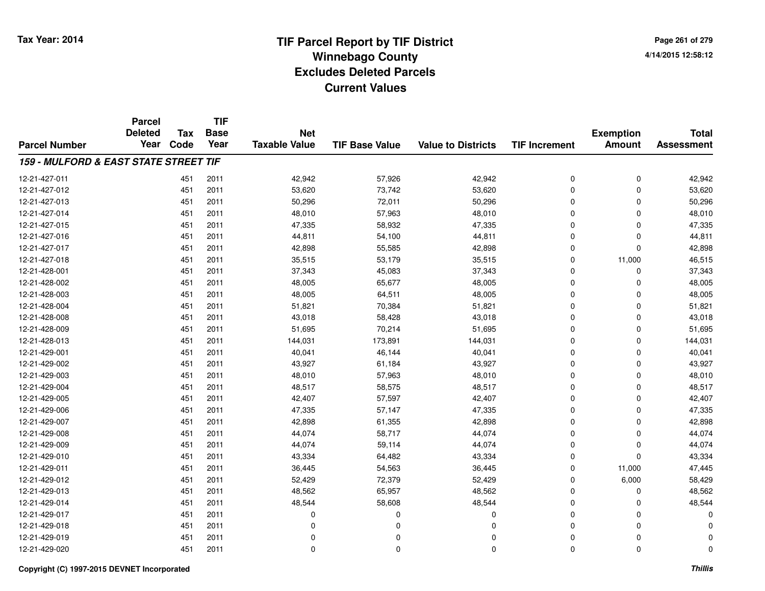**TIF**

**Parcel**

**Page 261 of 2794/14/2015 12:58:12**

| <b>Parcel Number</b>                  | <b>Deleted</b><br>Year | Tax<br>Code | <b>Base</b><br>Year | <b>Net</b><br><b>Taxable Value</b> | <b>TIF Base Value</b> | <b>Value to Districts</b> | <b>TIF Increment</b> | <b>Exemption</b><br><b>Amount</b> | <b>Total</b><br><b>Assessment</b> |
|---------------------------------------|------------------------|-------------|---------------------|------------------------------------|-----------------------|---------------------------|----------------------|-----------------------------------|-----------------------------------|
| 159 - MULFORD & EAST STATE STREET TIF |                        |             |                     |                                    |                       |                           |                      |                                   |                                   |
|                                       |                        |             |                     |                                    |                       |                           |                      |                                   |                                   |
| 12-21-427-011                         |                        | 451         | 2011                | 42,942                             | 57,926                | 42,942                    | 0                    | 0                                 | 42,942                            |
| 12-21-427-012                         |                        | 451         | 2011                | 53,620                             | 73,742                | 53,620                    | 0                    | 0                                 | 53,620                            |
| 12-21-427-013                         |                        | 451         | 2011                | 50,296                             | 72,011                | 50,296                    | 0                    | 0                                 | 50,296                            |
| 12-21-427-014                         |                        | 451         | 2011                | 48,010                             | 57,963                | 48,010                    | 0                    | 0                                 | 48,010                            |
| 12-21-427-015                         |                        | 451         | 2011                | 47,335                             | 58,932                | 47,335                    | 0                    | 0                                 | 47,335                            |
| 12-21-427-016                         |                        | 451         | 2011                | 44,811                             | 54,100                | 44,811                    | 0                    | 0                                 | 44,811                            |
| 12-21-427-017                         |                        | 451         | 2011                | 42,898                             | 55,585                | 42,898                    | 0                    | 0                                 | 42,898                            |
| 12-21-427-018                         |                        | 451         | 2011                | 35,515                             | 53,179                | 35,515                    | 0                    | 11,000                            | 46,515                            |
| 12-21-428-001                         |                        | 451         | 2011                | 37,343                             | 45,083                | 37,343                    | 0                    | 0                                 | 37,343                            |
| 12-21-428-002                         |                        | 451         | 2011                | 48,005                             | 65,677                | 48,005                    | 0                    | 0                                 | 48,005                            |
| 12-21-428-003                         |                        | 451         | 2011                | 48,005                             | 64,511                | 48,005                    | 0                    | 0                                 | 48,005                            |
| 12-21-428-004                         |                        | 451         | 2011                | 51,821                             | 70,384                | 51,821                    | 0                    | 0                                 | 51,821                            |
| 12-21-428-008                         |                        | 451         | 2011                | 43,018                             | 58,428                | 43,018                    | 0                    | 0                                 | 43,018                            |
| 12-21-428-009                         |                        | 451         | 2011                | 51,695                             | 70,214                | 51,695                    | 0                    | 0                                 | 51,695                            |
| 12-21-428-013                         |                        | 451         | 2011                | 144,031                            | 173,891               | 144,031                   | 0                    | 0                                 | 144,031                           |
| 12-21-429-001                         |                        | 451         | 2011                | 40,041                             | 46,144                | 40,041                    | 0                    | 0                                 | 40,041                            |
| 12-21-429-002                         |                        | 451         | 2011                | 43,927                             | 61,184                | 43,927                    | 0                    | 0                                 | 43,927                            |
| 12-21-429-003                         |                        | 451         | 2011                | 48,010                             | 57,963                | 48,010                    | 0                    | 0                                 | 48,010                            |
| 12-21-429-004                         |                        | 451         | 2011                | 48,517                             | 58,575                | 48,517                    | 0                    | 0                                 | 48,517                            |
| 12-21-429-005                         |                        | 451         | 2011                | 42,407                             | 57,597                | 42,407                    | 0                    | 0                                 | 42,407                            |
| 12-21-429-006                         |                        | 451         | 2011                | 47,335                             | 57,147                | 47,335                    | 0                    | 0                                 | 47,335                            |
| 12-21-429-007                         |                        | 451         | 2011                | 42,898                             | 61,355                | 42,898                    | 0                    | 0                                 | 42,898                            |
| 12-21-429-008                         |                        | 451         | 2011                | 44,074                             | 58,717                | 44,074                    | 0                    | 0                                 | 44,074                            |
| 12-21-429-009                         |                        | 451         | 2011                | 44,074                             | 59,114                | 44,074                    | 0                    | 0                                 | 44,074                            |
| 12-21-429-010                         |                        | 451         | 2011                | 43,334                             | 64,482                | 43,334                    | 0                    | 0                                 | 43,334                            |
| 12-21-429-011                         |                        | 451         | 2011                | 36,445                             | 54,563                | 36,445                    | 0                    | 11,000                            | 47,445                            |
| 12-21-429-012                         |                        | 451         | 2011                | 52,429                             | 72,379                | 52,429                    | 0                    | 6,000                             | 58,429                            |
| 12-21-429-013                         |                        | 451         | 2011                | 48,562                             | 65,957                | 48,562                    | 0                    | 0                                 | 48,562                            |
| 12-21-429-014                         |                        | 451         | 2011                | 48,544                             | 58,608                | 48,544                    | 0                    | 0                                 | 48,544                            |
| 12-21-429-017                         |                        | 451         | 2011                | 0                                  | $\Omega$              | 0                         | 0                    | 0                                 | $\Omega$                          |
| 12-21-429-018                         |                        | 451         | 2011                | 0                                  | $\Omega$              | $\Omega$                  | 0                    | 0                                 | ∩                                 |
| 12-21-429-019                         |                        | 451         | 2011                |                                    | $\Omega$              | $\Omega$                  | 0                    | 0                                 | $\Omega$                          |
| 12-21-429-020                         |                        | 451         | 2011                | 0                                  | $\Omega$              | $\Omega$                  | 0                    | 0                                 | 0                                 |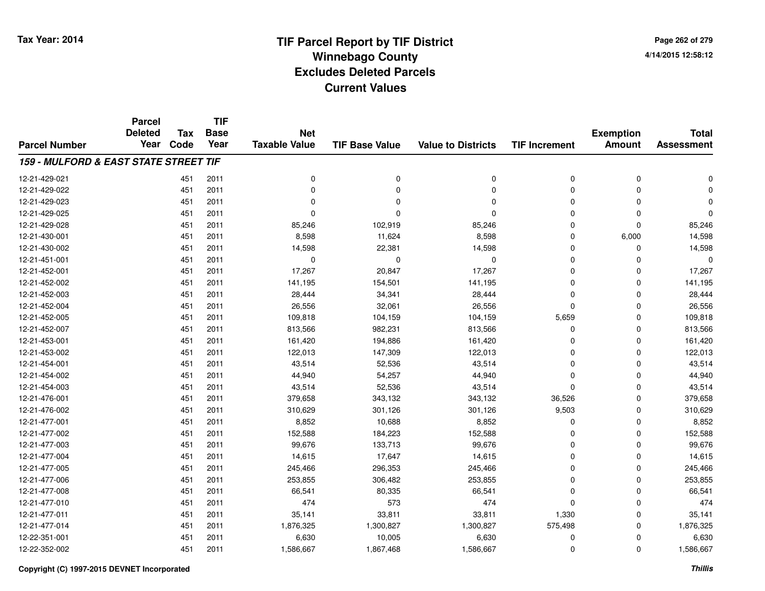**Page 262 of 2794/14/2015 12:58:12**

|                                       | <b>Parcel</b><br><b>Deleted</b> | <b>Tax</b> | <b>TIF</b><br><b>Base</b> | <b>Net</b>           |                       |                           |                      | <b>Exemption</b> | <b>Total</b>      |
|---------------------------------------|---------------------------------|------------|---------------------------|----------------------|-----------------------|---------------------------|----------------------|------------------|-------------------|
| <b>Parcel Number</b>                  | Year                            | Code       | Year                      | <b>Taxable Value</b> | <b>TIF Base Value</b> | <b>Value to Districts</b> | <b>TIF Increment</b> | <b>Amount</b>    | <b>Assessment</b> |
| 159 - MULFORD & EAST STATE STREET TIF |                                 |            |                           |                      |                       |                           |                      |                  |                   |
| 12-21-429-021                         |                                 | 451        | 2011                      | 0                    | 0                     | 0                         | 0                    | 0                | $\mathbf 0$       |
| 12-21-429-022                         |                                 | 451        | 2011                      | 0                    | $\Omega$              | $\mathbf 0$               | 0                    | 0                | $\Omega$          |
| 12-21-429-023                         |                                 | 451        | 2011                      | $\Omega$             | $\Omega$              | $\Omega$                  | 0                    | 0                | $\Omega$          |
| 12-21-429-025                         |                                 | 451        | 2011                      | $\Omega$             | $\Omega$              | 0                         | 0                    | 0                | $\Omega$          |
| 12-21-429-028                         |                                 | 451        | 2011                      | 85,246               | 102,919               | 85,246                    | 0                    | 0                | 85,246            |
| 12-21-430-001                         |                                 | 451        | 2011                      | 8,598                | 11,624                | 8,598                     | 0                    | 6,000            | 14,598            |
| 12-21-430-002                         |                                 | 451        | 2011                      | 14,598               | 22,381                | 14,598                    | 0                    | 0                | 14,598            |
| 12-21-451-001                         |                                 | 451        | 2011                      | 0                    | $\Omega$              | 0                         | 0                    | 0                | $\mathbf 0$       |
| 12-21-452-001                         |                                 | 451        | 2011                      | 17,267               | 20,847                | 17,267                    | 0                    | 0                | 17,267            |
| 12-21-452-002                         |                                 | 451        | 2011                      | 141,195              | 154,501               | 141,195                   | 0                    | 0                | 141,195           |
| 12-21-452-003                         |                                 | 451        | 2011                      | 28,444               | 34,341                | 28,444                    | 0                    | 0                | 28,444            |
| 12-21-452-004                         |                                 | 451        | 2011                      | 26,556               | 32,061                | 26,556                    | $\Omega$             | 0                | 26,556            |
| 12-21-452-005                         |                                 | 451        | 2011                      | 109,818              | 104,159               | 104,159                   | 5,659                | 0                | 109,818           |
| 12-21-452-007                         |                                 | 451        | 2011                      | 813,566              | 982,231               | 813,566                   | 0                    | 0                | 813,566           |
| 12-21-453-001                         |                                 | 451        | 2011                      | 161,420              | 194,886               | 161,420                   | 0                    | 0                | 161,420           |
| 12-21-453-002                         |                                 | 451        | 2011                      | 122,013              | 147,309               | 122,013                   | 0                    | 0                | 122,013           |
| 12-21-454-001                         |                                 | 451        | 2011                      | 43,514               | 52,536                | 43,514                    | $\Omega$             | 0                | 43,514            |
| 12-21-454-002                         |                                 | 451        | 2011                      | 44,940               | 54,257                | 44,940                    | 0                    | 0                | 44,940            |
| 12-21-454-003                         |                                 | 451        | 2011                      | 43,514               | 52,536                | 43,514                    | 0                    | 0                | 43,514            |
| 12-21-476-001                         |                                 | 451        | 2011                      | 379,658              | 343,132               | 343,132                   | 36,526               | 0                | 379,658           |
| 12-21-476-002                         |                                 | 451        | 2011                      | 310,629              | 301,126               | 301,126                   | 9,503                | 0                | 310,629           |
| 12-21-477-001                         |                                 | 451        | 2011                      | 8,852                | 10,688                | 8,852                     | 0                    | 0                | 8,852             |
| 12-21-477-002                         |                                 | 451        | 2011                      | 152,588              | 184,223               | 152,588                   | 0                    | 0                | 152,588           |
| 12-21-477-003                         |                                 | 451        | 2011                      | 99,676               | 133,713               | 99,676                    | 0                    | 0                | 99,676            |
| 12-21-477-004                         |                                 | 451        | 2011                      | 14,615               | 17,647                | 14,615                    | 0                    | 0                | 14,615            |
| 12-21-477-005                         |                                 | 451        | 2011                      | 245,466              | 296,353               | 245,466                   | 0                    | 0                | 245,466           |
| 12-21-477-006                         |                                 | 451        | 2011                      | 253,855              | 306,482               | 253,855                   | $\Omega$             | 0                | 253,855           |
| 12-21-477-008                         |                                 | 451        | 2011                      | 66,541               | 80,335                | 66,541                    | 0                    | 0                | 66,541            |
| 12-21-477-010                         |                                 | 451        | 2011                      | 474                  | 573                   | 474                       | 0                    | 0                | 474               |
| 12-21-477-011                         |                                 | 451        | 2011                      | 35,141               | 33,811                | 33,811                    | 1,330                | 0                | 35,141            |
| 12-21-477-014                         |                                 | 451        | 2011                      | 1,876,325            | 1,300,827             | 1,300,827                 | 575,498              | 0                | 1,876,325         |
| 12-22-351-001                         |                                 | 451        | 2011                      | 6,630                | 10,005                | 6,630                     | 0                    | 0                | 6,630             |
| 12-22-352-002                         |                                 | 451        | 2011                      | 1,586,667            | 1,867,468             | 1,586,667                 | 0                    | 0                | 1,586,667         |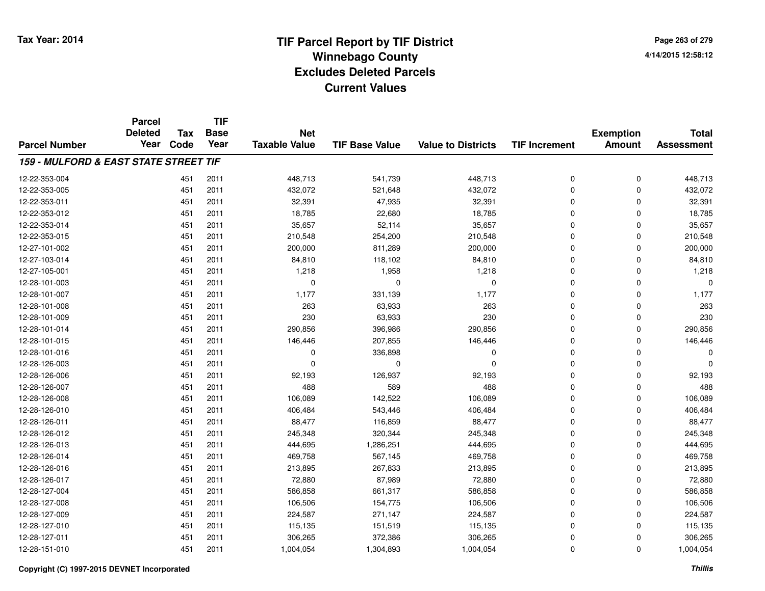|                                                  | <b>Parcel</b><br><b>Deleted</b> | Tax  | <b>TIF</b><br><b>Base</b> | <b>Net</b>           |                       |                           |                      | <b>Exemption</b> | <b>Total</b>      |
|--------------------------------------------------|---------------------------------|------|---------------------------|----------------------|-----------------------|---------------------------|----------------------|------------------|-------------------|
| <b>Parcel Number</b>                             | Year                            | Code | Year                      | <b>Taxable Value</b> | <b>TIF Base Value</b> | <b>Value to Districts</b> | <b>TIF Increment</b> | <b>Amount</b>    | <b>Assessment</b> |
| <b>159 - MULFORD &amp; EAST STATE STREET TIF</b> |                                 |      |                           |                      |                       |                           |                      |                  |                   |
| 12-22-353-004                                    |                                 | 451  | 2011                      | 448,713              | 541,739               | 448,713                   | 0                    | 0                | 448,713           |
| 12-22-353-005                                    |                                 | 451  | 2011                      | 432,072              | 521,648               | 432,072                   | 0                    | 0                | 432,072           |
| 12-22-353-011                                    |                                 | 451  | 2011                      | 32,391               | 47,935                | 32,391                    | 0                    | 0                | 32,391            |
| 12-22-353-012                                    |                                 | 451  | 2011                      | 18,785               | 22,680                | 18,785                    | 0                    | 0                | 18,785            |
| 12-22-353-014                                    |                                 | 451  | 2011                      | 35,657               | 52,114                | 35,657                    | 0                    | 0                | 35,657            |
| 12-22-353-015                                    |                                 | 451  | 2011                      | 210,548              | 254,200               | 210,548                   | 0                    | 0                | 210,548           |
| 12-27-101-002                                    |                                 | 451  | 2011                      | 200,000              | 811,289               | 200,000                   | 0                    | 0                | 200,000           |
| 12-27-103-014                                    |                                 | 451  | 2011                      | 84,810               | 118,102               | 84,810                    | 0                    | 0                | 84,810            |
| 12-27-105-001                                    |                                 | 451  | 2011                      | 1,218                | 1,958                 | 1,218                     | 0                    | 0                | 1,218             |
| 12-28-101-003                                    |                                 | 451  | 2011                      | 0                    | $\Omega$              | $\mathbf 0$               | 0                    | 0                | $\Omega$          |
| 12-28-101-007                                    |                                 | 451  | 2011                      | 1,177                | 331,139               | 1,177                     | 0                    | 0                | 1,177             |
| 12-28-101-008                                    |                                 | 451  | 2011                      | 263                  | 63,933                | 263                       | 0                    | 0                | 263               |
| 12-28-101-009                                    |                                 | 451  | 2011                      | 230                  | 63,933                | 230                       | 0                    | 0                | 230               |
| 12-28-101-014                                    |                                 | 451  | 2011                      | 290,856              | 396,986               | 290,856                   | 0                    | 0                | 290,856           |
| 12-28-101-015                                    |                                 | 451  | 2011                      | 146,446              | 207,855               | 146,446                   | 0                    | 0                | 146,446           |
| 12-28-101-016                                    |                                 | 451  | 2011                      | 0                    | 336,898               | 0                         | 0                    | 0                | O                 |
| 12-28-126-003                                    |                                 | 451  | 2011                      | $\Omega$             | $\Omega$              | 0                         | 0                    | 0                | $\Omega$          |
| 12-28-126-006                                    |                                 | 451  | 2011                      | 92,193               | 126,937               | 92,193                    | 0                    | 0                | 92,193            |
| 12-28-126-007                                    |                                 | 451  | 2011                      | 488                  | 589                   | 488                       | 0                    | 0                | 488               |
| 12-28-126-008                                    |                                 | 451  | 2011                      | 106,089              | 142,522               | 106,089                   | 0                    | 0                | 106,089           |
| 12-28-126-010                                    |                                 | 451  | 2011                      | 406,484              | 543,446               | 406,484                   | 0                    | 0                | 406,484           |
| 12-28-126-011                                    |                                 | 451  | 2011                      | 88,477               | 116,859               | 88,477                    | 0                    | 0                | 88,477            |
| 12-28-126-012                                    |                                 | 451  | 2011                      | 245,348              | 320,344               | 245,348                   | 0                    | 0                | 245,348           |
| 12-28-126-013                                    |                                 | 451  | 2011                      | 444,695              | 1,286,251             | 444,695                   | 0                    | 0                | 444,695           |
| 12-28-126-014                                    |                                 | 451  | 2011                      | 469,758              | 567,145               | 469,758                   | 0                    | 0                | 469,758           |
| 12-28-126-016                                    |                                 | 451  | 2011                      | 213,895              | 267,833               | 213,895                   | $\overline{0}$       | 0                | 213,895           |
| 12-28-126-017                                    |                                 | 451  | 2011                      | 72,880               | 87,989                | 72,880                    | 0                    | 0                | 72,880            |
| 12-28-127-004                                    |                                 | 451  | 2011                      | 586,858              | 661,317               | 586,858                   | 0                    | 0                | 586,858           |
| 12-28-127-008                                    |                                 | 451  | 2011                      | 106,506              | 154,775               | 106,506                   | 0                    | 0                | 106,506           |
| 12-28-127-009                                    |                                 | 451  | 2011                      | 224,587              | 271,147               | 224,587                   | 0                    | 0                | 224,587           |
| 12-28-127-010                                    |                                 | 451  | 2011                      | 115,135              | 151,519               | 115,135                   | 0                    | 0                | 115,135           |
| 12-28-127-011                                    |                                 | 451  | 2011                      | 306,265              | 372,386               | 306,265                   | 0                    | 0                | 306,265           |
| 12-28-151-010                                    |                                 | 451  | 2011                      | 1,004,054            | 1,304,893             | 1,004,054                 | 0                    | 0                | 1,004,054         |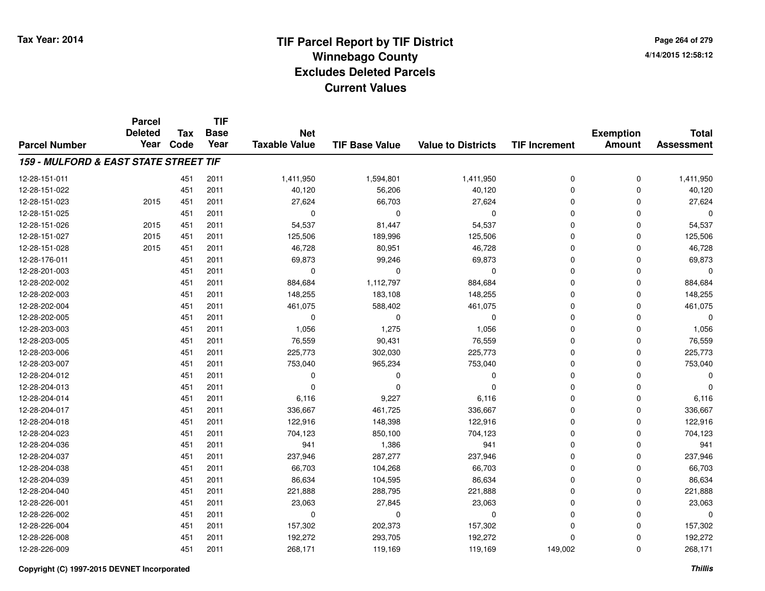|                                                  | <b>Parcel</b><br><b>Deleted</b> | <b>Tax</b> | <b>TIF</b><br><b>Base</b> | <b>Net</b>           |                       |                           |                      | <b>Exemption</b> | <b>Total</b>      |
|--------------------------------------------------|---------------------------------|------------|---------------------------|----------------------|-----------------------|---------------------------|----------------------|------------------|-------------------|
| <b>Parcel Number</b>                             | Year                            | Code       | Year                      | <b>Taxable Value</b> | <b>TIF Base Value</b> | <b>Value to Districts</b> | <b>TIF Increment</b> | <b>Amount</b>    | <b>Assessment</b> |
| <b>159 - MULFORD &amp; EAST STATE STREET TIF</b> |                                 |            |                           |                      |                       |                           |                      |                  |                   |
| 12-28-151-011                                    |                                 | 451        | 2011                      | 1,411,950            | 1,594,801             | 1,411,950                 | 0                    | 0                | 1,411,950         |
| 12-28-151-022                                    |                                 | 451        | 2011                      | 40,120               | 56,206                | 40,120                    | 0                    | 0                | 40,120            |
| 12-28-151-023                                    | 2015                            | 451        | 2011                      | 27,624               | 66,703                | 27,624                    | 0                    | 0                | 27,624            |
| 12-28-151-025                                    |                                 | 451        | 2011                      | $\mathbf 0$          | $\Omega$              | $\mathbf 0$               | 0                    | 0                | $\Omega$          |
| 12-28-151-026                                    | 2015                            | 451        | 2011                      | 54,537               | 81,447                | 54,537                    | 0                    | 0                | 54,537            |
| 12-28-151-027                                    | 2015                            | 451        | 2011                      | 125,506              | 189,996               | 125,506                   | 0                    | 0                | 125,506           |
| 12-28-151-028                                    | 2015                            | 451        | 2011                      | 46,728               | 80,951                | 46,728                    | 0                    | 0                | 46,728            |
| 12-28-176-011                                    |                                 | 451        | 2011                      | 69,873               | 99,246                | 69,873                    | 0                    | 0                | 69,873            |
| 12-28-201-003                                    |                                 | 451        | 2011                      | $\mathbf 0$          | 0                     | $\mathbf 0$               | 0                    | 0                | $\mathbf 0$       |
| 12-28-202-002                                    |                                 | 451        | 2011                      | 884,684              | 1,112,797             | 884,684                   | 0                    | 0                | 884,684           |
| 12-28-202-003                                    |                                 | 451        | 2011                      | 148,255              | 183,108               | 148,255                   | 0                    | 0                | 148,255           |
| 12-28-202-004                                    |                                 | 451        | 2011                      | 461,075              | 588,402               | 461,075                   | 0                    | 0                | 461,075           |
| 12-28-202-005                                    |                                 | 451        | 2011                      | $\mathbf 0$          | 0                     | $\mathbf 0$               | 0                    | $\Omega$         | $\Omega$          |
| 12-28-203-003                                    |                                 | 451        | 2011                      | 1,056                | 1,275                 | 1,056                     | 0                    | 0                | 1,056             |
| 12-28-203-005                                    |                                 | 451        | 2011                      | 76,559               | 90,431                | 76,559                    | 0                    | 0                | 76,559            |
| 12-28-203-006                                    |                                 | 451        | 2011                      | 225,773              | 302,030               | 225,773                   | 0                    | 0                | 225,773           |
| 12-28-203-007                                    |                                 | 451        | 2011                      | 753,040              | 965,234               | 753,040                   | 0                    | 0                | 753,040           |
| 12-28-204-012                                    |                                 | 451        | 2011                      | 0                    | $\Omega$              | 0                         | 0                    | 0                | $\Omega$          |
| 12-28-204-013                                    |                                 | 451        | 2011                      | $\mathbf 0$          | $\Omega$              | $\mathbf 0$               | 0                    | 0                | $\Omega$          |
| 12-28-204-014                                    |                                 | 451        | 2011                      | 6,116                | 9,227                 | 6,116                     | 0                    | 0                | 6,116             |
| 12-28-204-017                                    |                                 | 451        | 2011                      | 336,667              | 461,725               | 336,667                   | 0                    | 0                | 336,667           |
| 12-28-204-018                                    |                                 | 451        | 2011                      | 122,916              | 148,398               | 122,916                   | 0                    | 0                | 122,916           |
| 12-28-204-023                                    |                                 | 451        | 2011                      | 704,123              | 850,100               | 704,123                   | 0                    | 0                | 704,123           |
| 12-28-204-036                                    |                                 | 451        | 2011                      | 941                  | 1,386                 | 941                       | 0                    | 0                | 941               |
| 12-28-204-037                                    |                                 | 451        | 2011                      | 237,946              | 287,277               | 237,946                   | 0                    | 0                | 237,946           |
| 12-28-204-038                                    |                                 | 451        | 2011                      | 66,703               | 104,268               | 66,703                    | $\overline{0}$       | 0                | 66,703            |
| 12-28-204-039                                    |                                 | 451        | 2011                      | 86,634               | 104,595               | 86,634                    | 0                    | 0                | 86,634            |
| 12-28-204-040                                    |                                 | 451        | 2011                      | 221,888              | 288,795               | 221,888                   | 0                    | 0                | 221,888           |
| 12-28-226-001                                    |                                 | 451        | 2011                      | 23,063               | 27,845                | 23,063                    | 0                    | 0                | 23,063            |
| 12-28-226-002                                    |                                 | 451        | 2011                      | 0                    | 0                     | 0                         | 0                    | 0                | $\mathbf 0$       |
| 12-28-226-004                                    |                                 | 451        | 2011                      | 157,302              | 202,373               | 157,302                   | 0                    | 0                | 157,302           |
| 12-28-226-008                                    |                                 | 451        | 2011                      | 192,272              | 293,705               | 192,272                   | $\overline{0}$       | 0                | 192,272           |
| 12-28-226-009                                    |                                 | 451        | 2011                      | 268,171              | 119,169               | 119,169                   | 149,002              | 0                | 268,171           |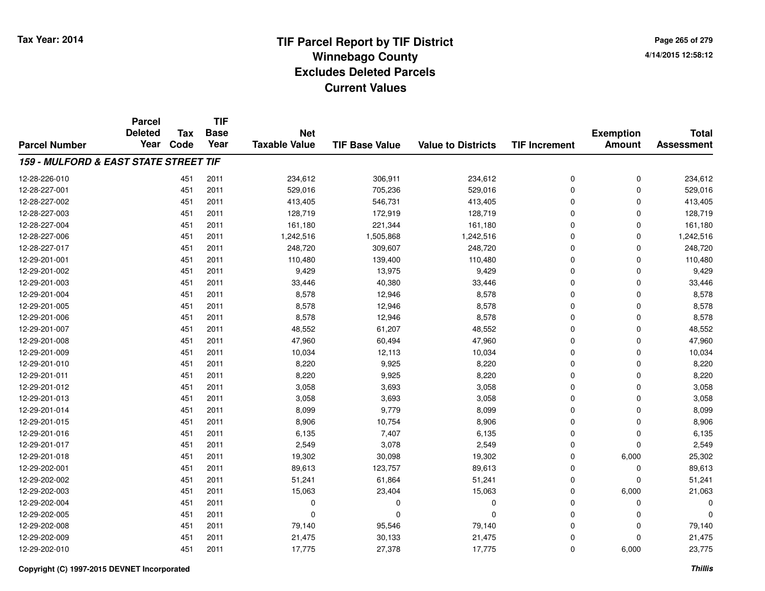**TIF**

**Parcel**

**Page 265 of 2794/14/2015 12:58:12**

|                                       | wu<br><b>Deleted</b> | Tax  | .<br><b>Base</b> | <b>Net</b>           |                       |                           |                      | <b>Exemption</b> | <b>Total</b>      |
|---------------------------------------|----------------------|------|------------------|----------------------|-----------------------|---------------------------|----------------------|------------------|-------------------|
| <b>Parcel Number</b>                  | Year                 | Code | Year             | <b>Taxable Value</b> | <b>TIF Base Value</b> | <b>Value to Districts</b> | <b>TIF Increment</b> | <b>Amount</b>    | <b>Assessment</b> |
| 159 - MULFORD & EAST STATE STREET TIF |                      |      |                  |                      |                       |                           |                      |                  |                   |
| 12-28-226-010                         |                      | 451  | 2011             | 234,612              | 306,911               | 234,612                   | 0                    | 0                | 234,612           |
| 12-28-227-001                         |                      | 451  | 2011             | 529,016              | 705,236               | 529,016                   | $\mathbf 0$          | 0                | 529,016           |
| 12-28-227-002                         |                      | 451  | 2011             | 413,405              | 546,731               | 413,405                   | 0                    | 0                | 413,405           |
| 12-28-227-003                         |                      | 451  | 2011             | 128,719              | 172,919               | 128,719                   | $\Omega$             | 0                | 128,719           |
| 12-28-227-004                         |                      | 451  | 2011             | 161,180              | 221,344               | 161,180                   | $\Omega$             | 0                | 161,180           |
| 12-28-227-006                         |                      | 451  | 2011             | 1,242,516            | 1,505,868             | 1,242,516                 | 0                    | 0                | 1,242,516         |
| 12-28-227-017                         |                      | 451  | 2011             | 248,720              | 309,607               | 248,720                   | $\Omega$             | 0                | 248,720           |
| 12-29-201-001                         |                      | 451  | 2011             | 110,480              | 139,400               | 110,480                   | $\Omega$             | 0                | 110,480           |
| 12-29-201-002                         |                      | 451  | 2011             | 9,429                | 13,975                | 9,429                     | $\Omega$             | 0                | 9,429             |
| 12-29-201-003                         |                      | 451  | 2011             | 33,446               | 40,380                | 33,446                    | $\Omega$             | 0                | 33,446            |
| 12-29-201-004                         |                      | 451  | 2011             | 8,578                | 12,946                | 8,578                     | $\Omega$             | 0                | 8,578             |
| 12-29-201-005                         |                      | 451  | 2011             | 8,578                | 12,946                | 8,578                     | $\Omega$             | 0                | 8,578             |
| 12-29-201-006                         |                      | 451  | 2011             | 8,578                | 12,946                | 8,578                     | $\Omega$             | 0                | 8,578             |
| 12-29-201-007                         |                      | 451  | 2011             | 48,552               | 61,207                | 48,552                    | $\Omega$             | 0                | 48,552            |
| 12-29-201-008                         |                      | 451  | 2011             | 47,960               | 60,494                | 47,960                    | $\Omega$             | 0                | 47,960            |
| 12-29-201-009                         |                      | 451  | 2011             | 10,034               | 12,113                | 10,034                    | $\Omega$             | 0                | 10,034            |
| 12-29-201-010                         |                      | 451  | 2011             | 8,220                | 9,925                 | 8,220                     | $\Omega$             | 0                | 8,220             |
| 12-29-201-011                         |                      | 451  | 2011             | 8,220                | 9,925                 | 8,220                     | $\Omega$             | 0                | 8,220             |
| 12-29-201-012                         |                      | 451  | 2011             | 3,058                | 3,693                 | 3,058                     | 0                    | 0                | 3,058             |
| 12-29-201-013                         |                      | 451  | 2011             | 3,058                | 3,693                 | 3,058                     | $\Omega$             | 0                | 3,058             |
| 12-29-201-014                         |                      | 451  | 2011             | 8,099                | 9,779                 | 8,099                     | $\Omega$             | 0                | 8,099             |
| 12-29-201-015                         |                      | 451  | 2011             | 8,906                | 10,754                | 8,906                     | $\Omega$             | 0                | 8,906             |
| 12-29-201-016                         |                      | 451  | 2011             | 6,135                | 7,407                 | 6,135                     | $\Omega$             | 0                | 6,135             |
| 12-29-201-017                         |                      | 451  | 2011             | 2,549                | 3,078                 | 2,549                     | $\Omega$             | 0                | 2,549             |
| 12-29-201-018                         |                      | 451  | 2011             | 19,302               | 30,098                | 19,302                    | $\Omega$             | 6,000            | 25,302            |
| 12-29-202-001                         |                      | 451  | 2011             | 89,613               | 123,757               | 89,613                    | $\Omega$             | 0                | 89,613            |
| 12-29-202-002                         |                      | 451  | 2011             | 51,241               | 61,864                | 51,241                    | $\Omega$             | 0                | 51,241            |
| 12-29-202-003                         |                      | 451  | 2011             | 15,063               | 23,404                | 15,063                    | $\Omega$             | 6,000            | 21,063            |
| 12-29-202-004                         |                      | 451  | 2011             | $\mathbf 0$          | 0                     | 0                         | 0                    | 0                | $\Omega$          |
| 12-29-202-005                         |                      | 451  | 2011             | $\mathbf 0$          | 0                     | 0                         | $\Omega$             | 0                | $\Omega$          |
| 12-29-202-008                         |                      | 451  | 2011             | 79,140               | 95,546                | 79,140                    | $\Omega$             | 0                | 79,140            |
| 12-29-202-009                         |                      | 451  | 2011             | 21,475               | 30,133                | 21,475                    | $\Omega$             | 0                | 21,475            |
| 12-29-202-010                         |                      | 451  | 2011             | 17,775               | 27,378                | 17,775                    | 0                    | 6,000            | 23,775            |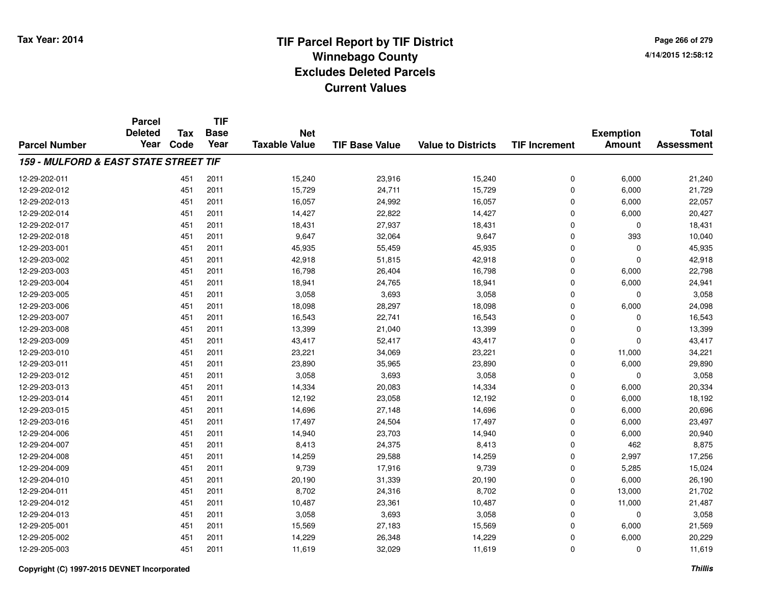|                                       | <b>Parcel</b><br><b>Deleted</b> | <b>Tax</b> | <b>TIF</b><br><b>Base</b> | <b>Net</b>           |                       |                           |                      |                                   | <b>Total</b>      |
|---------------------------------------|---------------------------------|------------|---------------------------|----------------------|-----------------------|---------------------------|----------------------|-----------------------------------|-------------------|
| <b>Parcel Number</b>                  | Year                            | Code       | Year                      | <b>Taxable Value</b> | <b>TIF Base Value</b> | <b>Value to Districts</b> | <b>TIF Increment</b> | <b>Exemption</b><br><b>Amount</b> | <b>Assessment</b> |
| 159 - MULFORD & EAST STATE STREET TIF |                                 |            |                           |                      |                       |                           |                      |                                   |                   |
| 12-29-202-011                         |                                 | 451        | 2011                      | 15,240               | 23,916                | 15,240                    | 0                    | 6,000                             | 21,240            |
| 12-29-202-012                         |                                 | 451        | 2011                      | 15,729               | 24,711                | 15,729                    | 0                    | 6,000                             | 21,729            |
| 12-29-202-013                         |                                 | 451        | 2011                      | 16,057               | 24,992                | 16,057                    | 0                    | 6,000                             | 22,057            |
| 12-29-202-014                         |                                 | 451        | 2011                      | 14,427               | 22,822                | 14,427                    | 0                    | 6,000                             | 20,427            |
| 12-29-202-017                         |                                 | 451        | 2011                      | 18,431               | 27,937                | 18,431                    | 0                    | $\mathbf 0$                       | 18,431            |
| 12-29-202-018                         |                                 | 451        | 2011                      | 9,647                | 32,064                | 9,647                     | 0                    | 393                               | 10,040            |
| 12-29-203-001                         |                                 | 451        | 2011                      | 45,935               | 55,459                | 45,935                    | 0                    | $\mathbf 0$                       | 45,935            |
| 12-29-203-002                         |                                 | 451        | 2011                      | 42,918               | 51,815                | 42,918                    | 0                    | $\mathbf 0$                       | 42,918            |
| 12-29-203-003                         |                                 | 451        | 2011                      | 16,798               | 26,404                | 16,798                    | 0                    | 6,000                             | 22,798            |
| 12-29-203-004                         |                                 | 451        | 2011                      | 18,941               | 24,765                | 18,941                    | 0                    | 6,000                             | 24,941            |
| 12-29-203-005                         |                                 | 451        | 2011                      | 3,058                | 3,693                 | 3,058                     | 0                    | $\mathbf 0$                       | 3,058             |
| 12-29-203-006                         |                                 | 451        | 2011                      | 18,098               | 28,297                | 18,098                    | 0                    | 6,000                             | 24,098            |
| 12-29-203-007                         |                                 | 451        | 2011                      | 16,543               | 22,741                | 16,543                    | 0                    | 0                                 | 16,543            |
| 12-29-203-008                         |                                 | 451        | 2011                      | 13,399               | 21,040                | 13,399                    | 0                    | $\mathbf 0$                       | 13,399            |
| 12-29-203-009                         |                                 | 451        | 2011                      | 43,417               | 52,417                | 43,417                    | 0                    | $\mathbf 0$                       | 43,417            |
| 12-29-203-010                         |                                 | 451        | 2011                      | 23,221               | 34,069                | 23,221                    | 0                    | 11,000                            | 34,221            |
| 12-29-203-011                         |                                 | 451        | 2011                      | 23,890               | 35,965                | 23,890                    | 0                    | 6,000                             | 29,890            |
| 12-29-203-012                         |                                 | 451        | 2011                      | 3,058                | 3,693                 | 3,058                     | 0                    | $\mathbf 0$                       | 3,058             |
| 12-29-203-013                         |                                 | 451        | 2011                      | 14,334               | 20,083                | 14,334                    | 0                    | 6,000                             | 20,334            |
| 12-29-203-014                         |                                 | 451        | 2011                      | 12,192               | 23,058                | 12,192                    | 0                    | 6,000                             | 18,192            |
| 12-29-203-015                         |                                 | 451        | 2011                      | 14,696               | 27,148                | 14,696                    | 0                    | 6,000                             | 20,696            |
| 12-29-203-016                         |                                 | 451        | 2011                      | 17,497               | 24,504                | 17,497                    | 0                    | 6,000                             | 23,497            |
| 12-29-204-006                         |                                 | 451        | 2011                      | 14,940               | 23,703                | 14,940                    | 0                    | 6,000                             | 20,940            |
| 12-29-204-007                         |                                 | 451        | 2011                      | 8,413                | 24,375                | 8,413                     | 0                    | 462                               | 8,875             |
| 12-29-204-008                         |                                 | 451        | 2011                      | 14,259               | 29,588                | 14,259                    | 0                    | 2,997                             | 17,256            |
| 12-29-204-009                         |                                 | 451        | 2011                      | 9,739                | 17,916                | 9,739                     | 0                    | 5,285                             | 15,024            |
| 12-29-204-010                         |                                 | 451        | 2011                      | 20,190               | 31,339                | 20,190                    | 0                    | 6,000                             | 26,190            |
| 12-29-204-011                         |                                 | 451        | 2011                      | 8,702                | 24,316                | 8,702                     | 0                    | 13,000                            | 21,702            |
| 12-29-204-012                         |                                 | 451        | 2011                      | 10,487               | 23,361                | 10,487                    | 0                    | 11,000                            | 21,487            |
| 12-29-204-013                         |                                 | 451        | 2011                      | 3,058                | 3,693                 | 3,058                     | 0                    | $\mathbf 0$                       | 3,058             |
| 12-29-205-001                         |                                 | 451        | 2011                      | 15,569               | 27,183                | 15,569                    | 0                    | 6,000                             | 21,569            |
| 12-29-205-002                         |                                 | 451        | 2011                      | 14,229               | 26,348                | 14,229                    | 0                    | 6,000                             | 20,229            |
| 12-29-205-003                         |                                 | 451        | 2011                      | 11,619               | 32,029                | 11,619                    | 0                    | $\Omega$                          | 11,619            |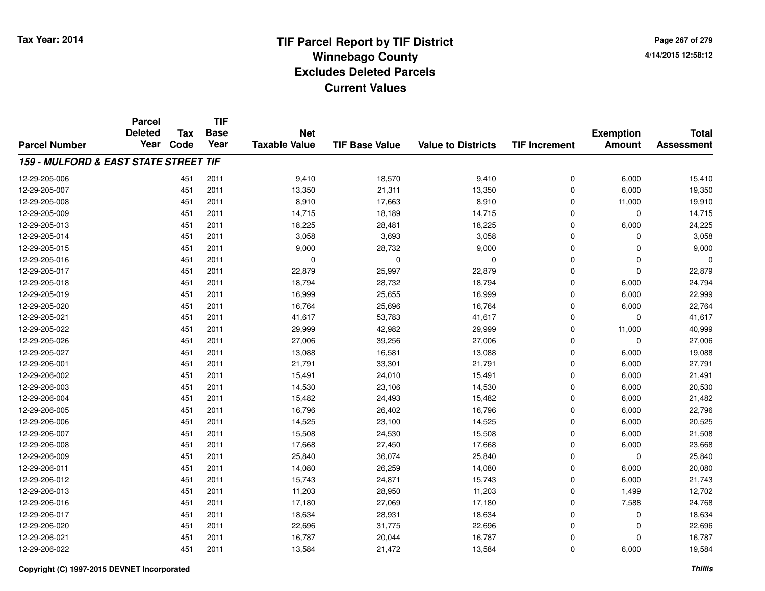**TIF**

**Parcel**

**Page 267 of 2794/14/2015 12:58:12**

| <b>Parcel Number</b>                  | <b>Deleted</b><br>Year | Tax<br>Code | <b>Base</b><br>Year | <b>Net</b><br><b>Taxable Value</b> | <b>TIF Base Value</b> | <b>Value to Districts</b> | <b>TIF Increment</b> | <b>Exemption</b><br><b>Amount</b> | <b>Total</b><br><b>Assessment</b> |
|---------------------------------------|------------------------|-------------|---------------------|------------------------------------|-----------------------|---------------------------|----------------------|-----------------------------------|-----------------------------------|
| 159 - MULFORD & EAST STATE STREET TIF |                        |             |                     |                                    |                       |                           |                      |                                   |                                   |
| 12-29-205-006                         |                        | 451         | 2011                | 9,410                              | 18,570                | 9,410                     | 0                    | 6,000                             | 15,410                            |
| 12-29-205-007                         |                        | 451         | 2011                | 13,350                             | 21,311                | 13,350                    | 0                    | 6,000                             | 19,350                            |
| 12-29-205-008                         |                        | 451         | 2011                | 8,910                              | 17,663                | 8,910                     | 0                    | 11,000                            | 19,910                            |
| 12-29-205-009                         |                        | 451         | 2011                | 14,715                             | 18,189                | 14,715                    | 0                    | $\mathbf 0$                       | 14,715                            |
| 12-29-205-013                         |                        | 451         | 2011                | 18,225                             | 28,481                | 18,225                    | 0                    | 6,000                             | 24,225                            |
| 12-29-205-014                         |                        | 451         | 2011                | 3,058                              | 3,693                 | 3,058                     | 0                    | $\Omega$                          | 3,058                             |
| 12-29-205-015                         |                        | 451         | 2011                | 9,000                              | 28,732                | 9,000                     | 0                    | $\Omega$                          | 9,000                             |
| 12-29-205-016                         |                        | 451         | 2011                | 0                                  | $\Omega$              | 0                         | 0                    | $\mathbf 0$                       | $\Omega$                          |
| 12-29-205-017                         |                        | 451         | 2011                | 22,879                             | 25,997                | 22,879                    | 0                    | $\mathbf 0$                       | 22,879                            |
| 12-29-205-018                         |                        | 451         | 2011                | 18,794                             | 28,732                | 18,794                    | 0                    | 6,000                             | 24,794                            |
| 12-29-205-019                         |                        | 451         | 2011                | 16,999                             | 25,655                | 16,999                    | 0                    | 6,000                             | 22,999                            |
| 12-29-205-020                         |                        | 451         | 2011                | 16,764                             | 25,696                | 16,764                    | $\Omega$             | 6,000                             | 22,764                            |
| 12-29-205-021                         |                        | 451         | 2011                | 41,617                             | 53,783                | 41,617                    | 0                    | $\mathbf 0$                       | 41,617                            |
| 12-29-205-022                         |                        | 451         | 2011                | 29,999                             | 42,982                | 29,999                    | 0                    | 11,000                            | 40,999                            |
| 12-29-205-026                         |                        | 451         | 2011                | 27,006                             | 39,256                | 27,006                    | 0                    | $\mathbf 0$                       | 27,006                            |
| 12-29-205-027                         |                        | 451         | 2011                | 13,088                             | 16,581                | 13,088                    | 0                    | 6,000                             | 19,088                            |
| 12-29-206-001                         |                        | 451         | 2011                | 21,791                             | 33,301                | 21,791                    | 0                    | 6,000                             | 27,791                            |
| 12-29-206-002                         |                        | 451         | 2011                | 15,491                             | 24,010                | 15,491                    | 0                    | 6,000                             | 21,491                            |
| 12-29-206-003                         |                        | 451         | 2011                | 14,530                             | 23,106                | 14,530                    | $\Omega$             | 6,000                             | 20,530                            |
| 12-29-206-004                         |                        | 451         | 2011                | 15,482                             | 24,493                | 15,482                    | $\Omega$             | 6,000                             | 21,482                            |
| 12-29-206-005                         |                        | 451         | 2011                | 16,796                             | 26,402                | 16,796                    | 0                    | 6,000                             | 22,796                            |
| 12-29-206-006                         |                        | 451         | 2011                | 14,525                             | 23,100                | 14,525                    | 0                    | 6,000                             | 20,525                            |
| 12-29-206-007                         |                        | 451         | 2011                | 15,508                             | 24,530                | 15,508                    | 0                    | 6,000                             | 21,508                            |
| 12-29-206-008                         |                        | 451         | 2011                | 17,668                             | 27,450                | 17,668                    | 0                    | 6,000                             | 23,668                            |
| 12-29-206-009                         |                        | 451         | 2011                | 25,840                             | 36,074                | 25,840                    | 0                    | 0                                 | 25,840                            |
| 12-29-206-011                         |                        | 451         | 2011                | 14,080                             | 26,259                | 14,080                    | 0                    | 6,000                             | 20,080                            |
| 12-29-206-012                         |                        | 451         | 2011                | 15,743                             | 24,871                | 15,743                    | 0                    | 6,000                             | 21,743                            |
| 12-29-206-013                         |                        | 451         | 2011                | 11,203                             | 28,950                | 11,203                    | 0                    | 1,499                             | 12,702                            |
| 12-29-206-016                         |                        | 451         | 2011                | 17,180                             | 27,069                | 17,180                    | 0                    | 7,588                             | 24,768                            |
| 12-29-206-017                         |                        | 451         | 2011                | 18,634                             | 28,931                | 18,634                    | 0                    | 0                                 | 18,634                            |
| 12-29-206-020                         |                        | 451         | 2011                | 22,696                             | 31,775                | 22,696                    | 0                    | $\Omega$                          | 22,696                            |
| 12-29-206-021                         |                        | 451         | 2011                | 16,787                             | 20,044                | 16,787                    | 0                    | $\mathbf 0$                       | 16,787                            |
| 12-29-206-022                         |                        | 451         | 2011                | 13,584                             | 21,472                | 13,584                    | 0                    | 6,000                             | 19,584                            |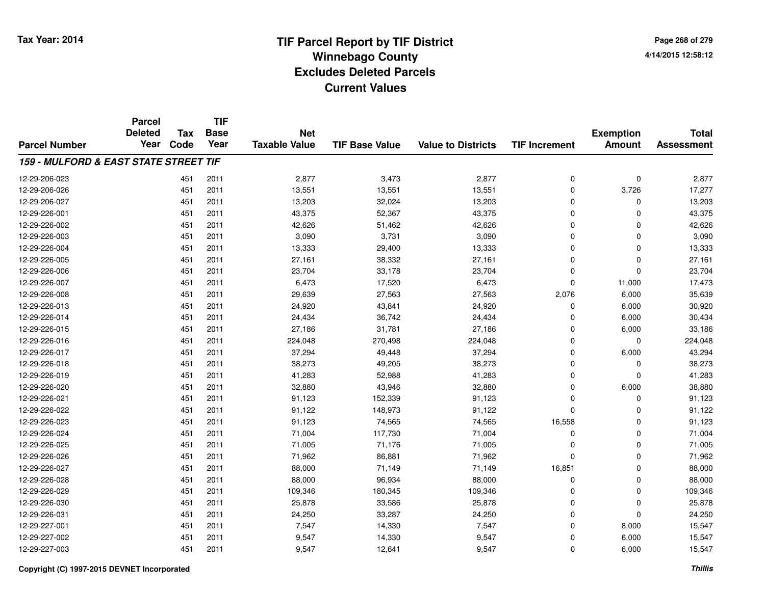|                                       | <b>Parcel</b><br><b>Deleted</b> | Tax  | <b>TIF</b><br><b>Base</b> | <b>Net</b>           |                       |                           |                      | <b>Exemption</b> | <b>Total</b>      |
|---------------------------------------|---------------------------------|------|---------------------------|----------------------|-----------------------|---------------------------|----------------------|------------------|-------------------|
| <b>Parcel Number</b>                  | Year                            | Code | Year                      | <b>Taxable Value</b> | <b>TIF Base Value</b> | <b>Value to Districts</b> | <b>TIF Increment</b> | <b>Amount</b>    | <b>Assessment</b> |
| 159 - MULFORD & EAST STATE STREET TIF |                                 |      |                           |                      |                       |                           |                      |                  |                   |
| 12-29-206-023                         |                                 | 451  | 2011                      | 2,877                | 3,473                 | 2,877                     | 0                    | $\mathbf 0$      | 2,877             |
| 12-29-206-026                         |                                 | 451  | 2011                      | 13,551               | 13,551                | 13,551                    | 0                    | 3,726            | 17,277            |
| 12-29-206-027                         |                                 | 451  | 2011                      | 13,203               | 32,024                | 13,203                    | 0                    | 0                | 13,203            |
| 12-29-226-001                         |                                 | 451  | 2011                      | 43,375               | 52,367                | 43,375                    | $\mathbf 0$          | $\Omega$         | 43,375            |
| 12-29-226-002                         |                                 | 451  | 2011                      | 42,626               | 51,462                | 42,626                    | 0                    | $\Omega$         | 42,626            |
| 12-29-226-003                         |                                 | 451  | 2011                      | 3,090                | 3,731                 | 3,090                     | $\mathbf 0$          | 0                | 3,090             |
| 12-29-226-004                         |                                 | 451  | 2011                      | 13,333               | 29,400                | 13,333                    | $\mathbf 0$          | 0                | 13,333            |
| 12-29-226-005                         |                                 | 451  | 2011                      | 27,161               | 38,332                | 27,161                    | 0                    | 0                | 27,161            |
| 12-29-226-006                         |                                 | 451  | 2011                      | 23,704               | 33,178                | 23,704                    | $\mathbf 0$          | $\Omega$         | 23,704            |
| 12-29-226-007                         |                                 | 451  | 2011                      | 6,473                | 17,520                | 6,473                     | 0                    | 11,000           | 17,473            |
| 12-29-226-008                         |                                 | 451  | 2011                      | 29,639               | 27,563                | 27,563                    | 2,076                | 6,000            | 35,639            |
| 12-29-226-013                         |                                 | 451  | 2011                      | 24,920               | 43,841                | 24,920                    | 0                    | 6,000            | 30,920            |
| 12-29-226-014                         |                                 | 451  | 2011                      | 24,434               | 36,742                | 24,434                    | $\mathbf 0$          | 6,000            | 30,434            |
| 12-29-226-015                         |                                 | 451  | 2011                      | 27,186               | 31,781                | 27,186                    | 0                    | 6,000            | 33,186            |
| 12-29-226-016                         |                                 | 451  | 2011                      | 224,048              | 270,498               | 224,048                   | $\mathbf 0$          | 0                | 224,048           |
| 12-29-226-017                         |                                 | 451  | 2011                      | 37,294               | 49,448                | 37,294                    | 0                    | 6,000            | 43,294            |
| 12-29-226-018                         |                                 | 451  | 2011                      | 38,273               | 49,205                | 38,273                    | 0                    | $\Omega$         | 38,273            |
| 12-29-226-019                         |                                 | 451  | 2011                      | 41,283               | 52,988                | 41,283                    | 0                    | $\Omega$         | 41,283            |
| 12-29-226-020                         |                                 | 451  | 2011                      | 32,880               | 43,946                | 32,880                    | 0                    | 6,000            | 38,880            |
| 12-29-226-021                         |                                 | 451  | 2011                      | 91,123               | 152,339               | 91,123                    | 0                    | $\mathbf 0$      | 91,123            |
| 12-29-226-022                         |                                 | 451  | 2011                      | 91,122               | 148,973               | 91,122                    | 0                    | $\mathbf 0$      | 91,122            |
| 12-29-226-023                         |                                 | 451  | 2011                      | 91,123               | 74,565                | 74,565                    | 16,558               | 0                | 91,123            |
| 12-29-226-024                         |                                 | 451  | 2011                      | 71,004               | 117,730               | 71,004                    | 0                    | 0                | 71,004            |
| 12-29-226-025                         |                                 | 451  | 2011                      | 71,005               | 71,176                | 71,005                    | $\mathbf 0$          | 0                | 71,005            |
| 12-29-226-026                         |                                 | 451  | 2011                      | 71,962               | 86,881                | 71,962                    | 0                    | $\mathbf 0$      | 71,962            |
| 12-29-226-027                         |                                 | 451  | 2011                      | 88,000               | 71,149                | 71,149                    | 16,851               | $\mathbf 0$      | 88,000            |
| 12-29-226-028                         |                                 | 451  | 2011                      | 88,000               | 96,934                | 88,000                    | 0                    | $\mathbf 0$      | 88,000            |
| 12-29-226-029                         |                                 | 451  | 2011                      | 109,346              | 180,345               | 109,346                   | 0                    | $\mathbf 0$      | 109,346           |
| 12-29-226-030                         |                                 | 451  | 2011                      | 25,878               | 33,586                | 25,878                    | 0                    | 0                | 25,878            |
| 12-29-226-031                         |                                 | 451  | 2011                      | 24,250               | 33,287                | 24,250                    | 0                    | $\Omega$         | 24,250            |
| 12-29-227-001                         |                                 | 451  | 2011                      | 7,547                | 14,330                | 7,547                     | $\mathbf 0$          | 8,000            | 15,547            |
| 12-29-227-002                         |                                 | 451  | 2011                      | 9,547                | 14,330                | 9,547                     | 0                    | 6,000            | 15,547            |
| 12-29-227-003                         |                                 | 451  | 2011                      | 9,547                | 12,641                | 9,547                     | 0                    | 6,000            | 15,547            |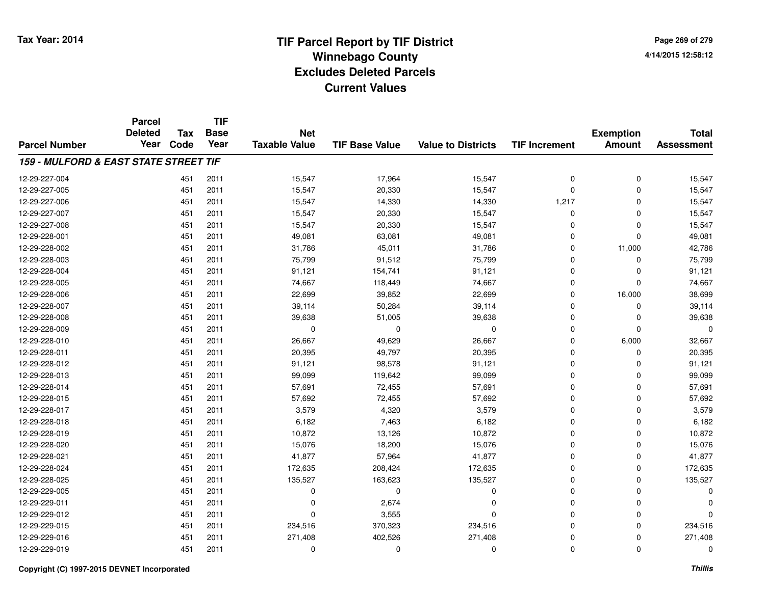**Page 269 of 2794/14/2015 12:58:12**

|                                       | <b>Parcel</b><br><b>Deleted</b> | <b>Tax</b> | <b>TIF</b><br><b>Base</b> | <b>Net</b>           |                       |                           |                      | <b>Exemption</b> | <b>Total</b>      |
|---------------------------------------|---------------------------------|------------|---------------------------|----------------------|-----------------------|---------------------------|----------------------|------------------|-------------------|
| <b>Parcel Number</b>                  | Year                            | Code       | Year                      | <b>Taxable Value</b> | <b>TIF Base Value</b> | <b>Value to Districts</b> | <b>TIF Increment</b> | <b>Amount</b>    | <b>Assessment</b> |
| 159 - MULFORD & EAST STATE STREET TIF |                                 |            |                           |                      |                       |                           |                      |                  |                   |
| 12-29-227-004                         |                                 | 451        | 2011                      | 15,547               | 17,964                | 15,547                    | 0                    | 0                | 15,547            |
| 12-29-227-005                         |                                 | 451        | 2011                      | 15,547               | 20,330                | 15,547                    | 0                    | 0                | 15,547            |
| 12-29-227-006                         |                                 | 451        | 2011                      | 15,547               | 14,330                | 14,330                    | 1,217                | 0                | 15,547            |
| 12-29-227-007                         |                                 | 451        | 2011                      | 15,547               | 20,330                | 15,547                    | 0                    | 0                | 15,547            |
| 12-29-227-008                         |                                 | 451        | 2011                      | 15,547               | 20,330                | 15,547                    | 0                    | 0                | 15,547            |
| 12-29-228-001                         |                                 | 451        | 2011                      | 49,081               | 63,081                | 49,081                    | 0                    | 0                | 49,081            |
| 12-29-228-002                         |                                 | 451        | 2011                      | 31,786               | 45,011                | 31,786                    | 0                    | 11,000           | 42,786            |
| 12-29-228-003                         |                                 | 451        | 2011                      | 75,799               | 91,512                | 75,799                    | 0                    | 0                | 75,799            |
| 12-29-228-004                         |                                 | 451        | 2011                      | 91,121               | 154,741               | 91,121                    | 0                    | 0                | 91,121            |
| 12-29-228-005                         |                                 | 451        | 2011                      | 74,667               | 118,449               | 74,667                    | 0                    | 0                | 74,667            |
| 12-29-228-006                         |                                 | 451        | 2011                      | 22,699               | 39,852                | 22,699                    | 0                    | 16,000           | 38,699            |
| 12-29-228-007                         |                                 | 451        | 2011                      | 39,114               | 50,284                | 39,114                    | 0                    | 0                | 39,114            |
| 12-29-228-008                         |                                 | 451        | 2011                      | 39,638               | 51,005                | 39,638                    | 0                    | 0                | 39,638            |
| 12-29-228-009                         |                                 | 451        | 2011                      | 0                    | 0                     | 0                         | 0                    | 0                | $\Omega$          |
| 12-29-228-010                         |                                 | 451        | 2011                      | 26,667               | 49,629                | 26,667                    | 0                    | 6,000            | 32,667            |
| 12-29-228-011                         |                                 | 451        | 2011                      | 20,395               | 49,797                | 20,395                    | 0                    | 0                | 20,395            |
| 12-29-228-012                         |                                 | 451        | 2011                      | 91,121               | 98,578                | 91,121                    | 0                    | 0                | 91,121            |
| 12-29-228-013                         |                                 | 451        | 2011                      | 99,099               | 119,642               | 99,099                    | 0                    | 0                | 99,099            |
| 12-29-228-014                         |                                 | 451        | 2011                      | 57,691               | 72,455                | 57,691                    | 0                    | 0                | 57,691            |
| 12-29-228-015                         |                                 | 451        | 2011                      | 57,692               | 72,455                | 57,692                    | 0                    | 0                | 57,692            |
| 12-29-228-017                         |                                 | 451        | 2011                      | 3,579                | 4,320                 | 3,579                     | 0                    | 0                | 3,579             |
| 12-29-228-018                         |                                 | 451        | 2011                      | 6,182                | 7,463                 | 6,182                     | 0                    | 0                | 6,182             |
| 12-29-228-019                         |                                 | 451        | 2011                      | 10,872               | 13,126                | 10,872                    | 0                    | 0                | 10,872            |
| 12-29-228-020                         |                                 | 451        | 2011                      | 15,076               | 18,200                | 15,076                    | 0                    | 0                | 15,076            |
| 12-29-228-021                         |                                 | 451        | 2011                      | 41,877               | 57,964                | 41,877                    | 0                    | 0                | 41,877            |
| 12-29-228-024                         |                                 | 451        | 2011                      | 172,635              | 208,424               | 172,635                   | 0                    | 0                | 172,635           |
| 12-29-228-025                         |                                 | 451        | 2011                      | 135,527              | 163,623               | 135,527                   | 0                    | 0                | 135,527           |
| 12-29-229-005                         |                                 | 451        | 2011                      | 0                    | 0                     | 0                         | 0                    | 0                | $\Omega$          |
| 12-29-229-011                         |                                 | 451        | 2011                      | 0                    | 2,674                 | 0                         | 0                    | 0                | $\Omega$          |
| 12-29-229-012                         |                                 | 451        | 2011                      | $\Omega$             | 3,555                 | $\mathbf 0$               | 0                    | 0                | $\Omega$          |
| 12-29-229-015                         |                                 | 451        | 2011                      | 234,516              | 370,323               | 234,516                   | 0                    | 0                | 234,516           |
| 12-29-229-016                         |                                 | 451        | 2011                      | 271,408              | 402,526               | 271,408                   | 0                    | 0                | 271,408           |
| 12-29-229-019                         |                                 | 451        | 2011                      | 0                    | $\Omega$              | $\Omega$                  | 0                    | 0                | $\Omega$          |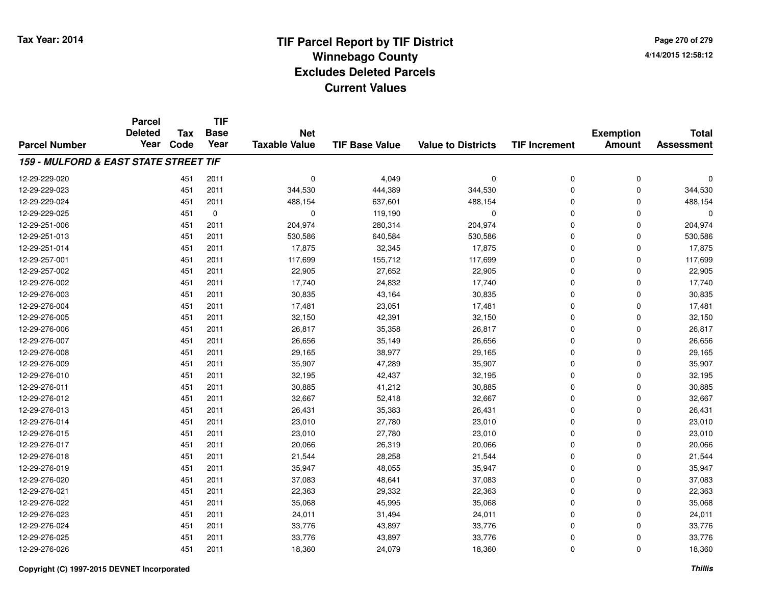**Page 270 of 2794/14/2015 12:58:12**

|                                       | <b>Parcel</b><br><b>Deleted</b> | <b>Tax</b> | <b>TIF</b><br><b>Base</b> | <b>Net</b>           |                       |                           |                      | <b>Exemption</b> | <b>Total</b>      |
|---------------------------------------|---------------------------------|------------|---------------------------|----------------------|-----------------------|---------------------------|----------------------|------------------|-------------------|
| <b>Parcel Number</b>                  | Year                            | Code       | Year                      | <b>Taxable Value</b> | <b>TIF Base Value</b> | <b>Value to Districts</b> | <b>TIF Increment</b> | <b>Amount</b>    | <b>Assessment</b> |
| 159 - MULFORD & EAST STATE STREET TIF |                                 |            |                           |                      |                       |                           |                      |                  |                   |
| 12-29-229-020                         |                                 | 451        | 2011                      | $\mathbf 0$          | 4,049                 | $\mathbf 0$               | 0                    | 0                | $\Omega$          |
| 12-29-229-023                         |                                 | 451        | 2011                      | 344,530              | 444,389               | 344,530                   | 0                    | 0                | 344,530           |
| 12-29-229-024                         |                                 | 451        | 2011                      | 488,154              | 637,601               | 488,154                   | 0                    | 0                | 488,154           |
| 12-29-229-025                         |                                 | 451        | 0                         | 0                    | 119,190               | 0                         | 0                    | 0                | $\Omega$          |
| 12-29-251-006                         |                                 | 451        | 2011                      | 204,974              | 280,314               | 204,974                   | 0                    | 0                | 204,974           |
| 12-29-251-013                         |                                 | 451        | 2011                      | 530,586              | 640,584               | 530,586                   | 0                    | 0                | 530,586           |
| 12-29-251-014                         |                                 | 451        | 2011                      | 17,875               | 32,345                | 17,875                    | 0                    | 0                | 17,875            |
| 12-29-257-001                         |                                 | 451        | 2011                      | 117,699              | 155,712               | 117,699                   | 0                    | 0                | 117,699           |
| 12-29-257-002                         |                                 | 451        | 2011                      | 22,905               | 27,652                | 22,905                    | 0                    | 0                | 22,905            |
| 12-29-276-002                         |                                 | 451        | 2011                      | 17,740               | 24,832                | 17,740                    | 0                    | 0                | 17,740            |
| 12-29-276-003                         |                                 | 451        | 2011                      | 30,835               | 43,164                | 30,835                    | 0                    | 0                | 30,835            |
| 12-29-276-004                         |                                 | 451        | 2011                      | 17,481               | 23,051                | 17,481                    | 0                    | 0                | 17,481            |
| 12-29-276-005                         |                                 | 451        | 2011                      | 32,150               | 42,391                | 32,150                    | 0                    | 0                | 32,150            |
| 12-29-276-006                         |                                 | 451        | 2011                      | 26,817               | 35,358                | 26,817                    | 0                    | 0                | 26,817            |
| 12-29-276-007                         |                                 | 451        | 2011                      | 26,656               | 35,149                | 26,656                    | 0                    | 0                | 26,656            |
| 12-29-276-008                         |                                 | 451        | 2011                      | 29,165               | 38,977                | 29,165                    | 0                    | 0                | 29,165            |
| 12-29-276-009                         |                                 | 451        | 2011                      | 35,907               | 47,289                | 35,907                    | 0                    | 0                | 35,907            |
| 12-29-276-010                         |                                 | 451        | 2011                      | 32,195               | 42,437                | 32,195                    | 0                    | 0                | 32,195            |
| 12-29-276-011                         |                                 | 451        | 2011                      | 30,885               | 41,212                | 30,885                    | 0                    | 0                | 30,885            |
| 12-29-276-012                         |                                 | 451        | 2011                      | 32,667               | 52,418                | 32,667                    | 0                    | 0                | 32,667            |
| 12-29-276-013                         |                                 | 451        | 2011                      | 26,431               | 35,383                | 26,431                    | 0                    | 0                | 26,431            |
| 12-29-276-014                         |                                 | 451        | 2011                      | 23,010               | 27,780                | 23,010                    | 0                    | 0                | 23,010            |
| 12-29-276-015                         |                                 | 451        | 2011                      | 23,010               | 27,780                | 23,010                    | 0                    | 0                | 23,010            |
| 12-29-276-017                         |                                 | 451        | 2011                      | 20,066               | 26,319                | 20,066                    | 0                    | 0                | 20,066            |
| 12-29-276-018                         |                                 | 451        | 2011                      | 21,544               | 28,258                | 21,544                    | 0                    | 0                | 21,544            |
| 12-29-276-019                         |                                 | 451        | 2011                      | 35,947               | 48,055                | 35,947                    | 0                    | 0                | 35,947            |
| 12-29-276-020                         |                                 | 451        | 2011                      | 37,083               | 48,641                | 37,083                    | 0                    | 0                | 37,083            |
| 12-29-276-021                         |                                 | 451        | 2011                      | 22,363               | 29,332                | 22,363                    | 0                    | 0                | 22,363            |
| 12-29-276-022                         |                                 | 451        | 2011                      | 35,068               | 45,995                | 35,068                    | 0                    | 0                | 35,068            |
| 12-29-276-023                         |                                 | 451        | 2011                      | 24,011               | 31,494                | 24,011                    | 0                    | 0                | 24,011            |
| 12-29-276-024                         |                                 | 451        | 2011                      | 33,776               | 43,897                | 33,776                    | 0                    | 0                | 33,776            |
| 12-29-276-025                         |                                 | 451        | 2011                      | 33,776               | 43,897                | 33,776                    | 0                    | 0                | 33,776            |
| 12-29-276-026                         |                                 | 451        | 2011                      | 18,360               | 24,079                | 18,360                    | 0                    | 0                | 18,360            |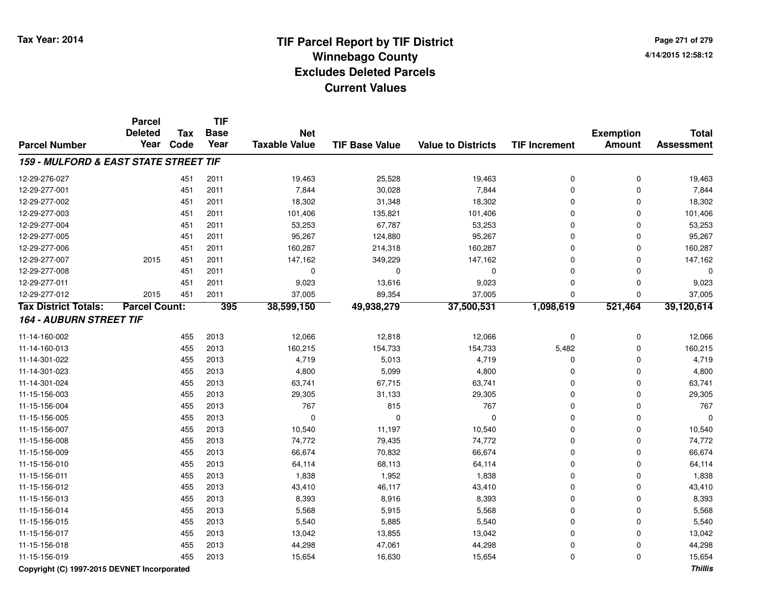# **TIF Parcel Report by TIF District Tax Year: 2014 Winnebago County04/14/2015 12:58:12** PM **Excludes Deleted ParcelsCurrent Values**

**Page 271 of 2794/14/2015 12:58:12**

|                                       | <b>Parcel</b>        |            | <b>TIF</b>  |                      |                       |                           |                      | <b>Exemption</b> | <b>Total</b><br><b>Assessment</b> |
|---------------------------------------|----------------------|------------|-------------|----------------------|-----------------------|---------------------------|----------------------|------------------|-----------------------------------|
|                                       | <b>Deleted</b>       | <b>Tax</b> | <b>Base</b> | <b>Net</b>           |                       |                           |                      |                  |                                   |
| <b>Parcel Number</b>                  | Year                 | Code       | Year        | <b>Taxable Value</b> | <b>TIF Base Value</b> | <b>Value to Districts</b> | <b>TIF Increment</b> | <b>Amount</b>    |                                   |
| 159 - MULFORD & EAST STATE STREET TIF |                      |            |             |                      |                       |                           |                      |                  |                                   |
| 12-29-276-027                         |                      | 451        | 2011        | 19,463               | 25,528                | 19,463                    | $\mathbf 0$          | $\mathbf 0$      | 19,463                            |
| 12-29-277-001                         |                      | 451        | 2011        | 7,844                | 30,028                | 7,844                     | $\Omega$             | $\Omega$         | 7,844                             |
| 12-29-277-002                         |                      | 451        | 2011        | 18,302               | 31,348                | 18,302                    | $\Omega$             | 0                | 18,302                            |
| 12-29-277-003                         |                      | 451        | 2011        | 101,406              | 135,821               | 101,406                   | $\Omega$             | 0                | 101,406                           |
| 12-29-277-004                         |                      | 451        | 2011        | 53,253               | 67,787                | 53,253                    | $\Omega$             | $\mathbf 0$      | 53,253                            |
| 12-29-277-005                         |                      | 451        | 2011        | 95,267               | 124,880               | 95,267                    | $\mathbf 0$          | $\mathbf 0$      | 95,267                            |
| 12-29-277-006                         |                      | 451        | 2011        | 160,287              | 214,318               | 160,287                   | $\mathbf 0$          | $\mathbf 0$      | 160,287                           |
| 12-29-277-007                         | 2015                 | 451        | 2011        | 147,162              | 349,229               | 147,162                   | $\mathbf 0$          | $\mathbf 0$      | 147,162                           |
| 12-29-277-008                         |                      | 451        | 2011        | 0                    | $\mathbf 0$           | $\mathbf 0$               | $\Omega$             | $\mathbf 0$      | $\Omega$                          |
| 12-29-277-011                         |                      | 451        | 2011        | 9,023                | 13,616                | 9,023                     | $\mathbf 0$          | $\mathbf 0$      | 9,023                             |
| 12-29-277-012                         | 2015                 | 451        | 2011        | 37,005               | 89,354                | 37,005                    | $\Omega$             | $\mathbf 0$      | 37,005                            |
| <b>Tax District Totals:</b>           | <b>Parcel Count:</b> |            | 395         | 38,599,150           | 49,938,279            | 37,500,531                | 1,098,619            | 521,464          | 39,120,614                        |
| <b>164 - AUBURN STREET TIF</b>        |                      |            |             |                      |                       |                           |                      |                  |                                   |
| 11-14-160-002                         |                      | 455        | 2013        | 12,066               | 12,818                | 12,066                    | $\mathbf 0$          | $\mathbf 0$      | 12,066                            |
| 11-14-160-013                         |                      | 455        | 2013        | 160,215              | 154,733               | 154,733                   | 5,482                | $\mathbf 0$      | 160,215                           |
| 11-14-301-022                         |                      | 455        | 2013        | 4,719                | 5,013                 | 4,719                     | $\Omega$             | 0                | 4,719                             |
| 11-14-301-023                         |                      | 455        | 2013        | 4,800                | 5,099                 | 4,800                     | $\Omega$             | $\mathbf 0$      | 4,800                             |
| 11-14-301-024                         |                      | 455        | 2013        | 63,741               | 67,715                | 63,741                    | $\Omega$             | $\Omega$         | 63,741                            |
| 11-15-156-003                         |                      | 455        | 2013        | 29,305               | 31,133                | 29,305                    | $\Omega$             | $\Omega$         | 29,305                            |
| 11-15-156-004                         |                      | 455        | 2013        | 767                  | 815                   | 767                       | $\Omega$             | 0                | 767                               |
| 11-15-156-005                         |                      | 455        | 2013        | $\mathbf 0$          | $\Omega$              | $\mathbf 0$               | $\Omega$             | $\mathbf 0$      |                                   |
| 11-15-156-007                         |                      | 455        | 2013        | 10,540               | 11,197                | 10,540                    | $\Omega$             | $\Omega$         | 10,540                            |
| 11-15-156-008                         |                      | 455        | 2013        | 74,772               | 79,435                | 74,772                    | $\Omega$             | $\Omega$         | 74,772                            |
| 11-15-156-009                         |                      | 455        | 2013        | 66,674               | 70,832                | 66,674                    | $\Omega$             | 0                | 66,674                            |
| 11-15-156-010                         |                      | 455        | 2013        | 64,114               | 68,113                | 64,114                    | $\Omega$             | 0                | 64,114                            |
| 11-15-156-011                         |                      | 455        | 2013        | 1,838                | 1,952                 | 1,838                     | $\Omega$             | 0                | 1,838                             |
| 11-15-156-012                         |                      | 455        | 2013        | 43,410               | 46,117                | 43,410                    | $\Omega$             | 0                | 43,410                            |
| 11-15-156-013                         |                      | 455        | 2013        | 8,393                | 8,916                 | 8,393                     | $\mathbf 0$          | $\mathbf 0$      | 8,393                             |
| 11-15-156-014                         |                      | 455        | 2013        | 5,568                | 5,915                 | 5,568                     | $\mathbf 0$          | $\mathbf 0$      | 5,568                             |
| 11-15-156-015                         |                      | 455        | 2013        | 5,540                | 5,885                 | 5,540                     | $\Omega$             | $\mathbf 0$      | 5,540                             |
| 11-15-156-017                         |                      | 455        | 2013        | 13,042               | 13,855                | 13,042                    | $\Omega$             | 0                | 13,042                            |
| 11-15-156-018                         |                      | 455        | 2013        | 44,298               | 47,061                | 44,298                    | 0                    | 0                | 44,298                            |
| 11-15-156-019                         |                      | 455        | 2013        | 15,654               | 16,630                | 15,654                    | $\Omega$             | $\mathbf 0$      | 15,654                            |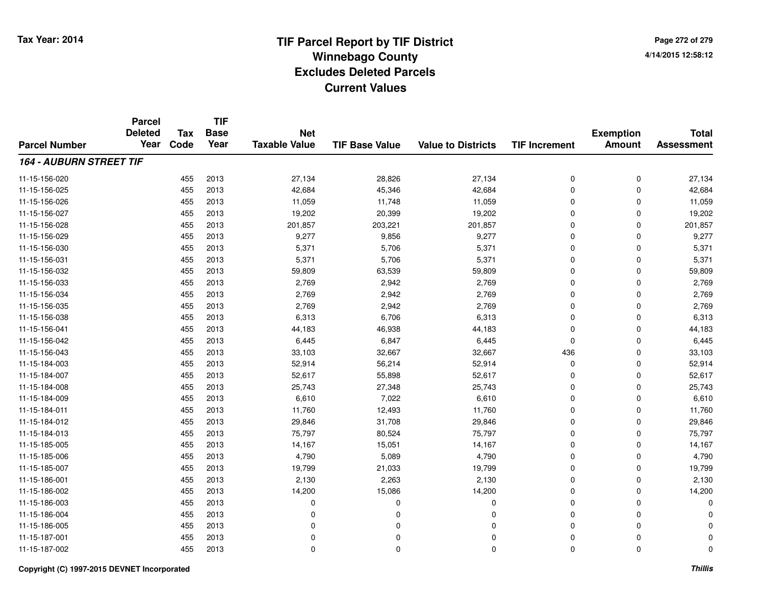**TIF**

**Parcel**

**Page 272 of 2794/14/2015 12:58:12**

|                                | <b>Deleted</b><br>Year | Tax<br>Code | <b>Base</b><br>Year | <b>Net</b><br><b>Taxable Value</b> | <b>TIF Base Value</b> |                           |                      | <b>Exemption</b><br><b>Amount</b> | <b>Total</b><br><b>Assessment</b> |
|--------------------------------|------------------------|-------------|---------------------|------------------------------------|-----------------------|---------------------------|----------------------|-----------------------------------|-----------------------------------|
| <b>Parcel Number</b>           |                        |             |                     |                                    |                       | <b>Value to Districts</b> | <b>TIF Increment</b> |                                   |                                   |
| <b>164 - AUBURN STREET TIF</b> |                        |             |                     |                                    |                       |                           |                      |                                   |                                   |
| 11-15-156-020                  |                        | 455         | 2013                | 27,134                             | 28,826                | 27,134                    | 0                    | 0                                 | 27,134                            |
| 11-15-156-025                  |                        | 455         | 2013                | 42,684                             | 45,346                | 42,684                    | 0                    | 0                                 | 42,684                            |
| 11-15-156-026                  |                        | 455         | 2013                | 11,059                             | 11,748                | 11,059                    | 0                    | 0                                 | 11,059                            |
| 11-15-156-027                  |                        | 455         | 2013                | 19,202                             | 20,399                | 19,202                    | 0                    | 0                                 | 19,202                            |
| 11-15-156-028                  |                        | 455         | 2013                | 201,857                            | 203,221               | 201,857                   | 0                    | 0                                 | 201,857                           |
| 11-15-156-029                  |                        | 455         | 2013                | 9,277                              | 9,856                 | 9,277                     | 0                    | 0                                 | 9,277                             |
| 11-15-156-030                  |                        | 455         | 2013                | 5,371                              | 5,706                 | 5,371                     | 0                    | 0                                 | 5,371                             |
| 11-15-156-031                  |                        | 455         | 2013                | 5,371                              | 5,706                 | 5,371                     | 0                    | 0                                 | 5,371                             |
| 11-15-156-032                  |                        | 455         | 2013                | 59,809                             | 63,539                | 59,809                    | 0                    | 0                                 | 59,809                            |
| 11-15-156-033                  |                        | 455         | 2013                | 2,769                              | 2,942                 | 2,769                     | 0                    | 0                                 | 2,769                             |
| 11-15-156-034                  |                        | 455         | 2013                | 2,769                              | 2,942                 | 2,769                     | 0                    | 0                                 | 2,769                             |
| 11-15-156-035                  |                        | 455         | 2013                | 2,769                              | 2,942                 | 2,769                     | 0                    | 0                                 | 2,769                             |
| 11-15-156-038                  |                        | 455         | 2013                | 6,313                              | 6,706                 | 6,313                     | 0                    | 0                                 | 6,313                             |
| 11-15-156-041                  |                        | 455         | 2013                | 44,183                             | 46,938                | 44,183                    | 0                    | 0                                 | 44,183                            |
| 11-15-156-042                  |                        | 455         | 2013                | 6,445                              | 6,847                 | 6,445                     | 0                    | 0                                 | 6,445                             |
| 11-15-156-043                  |                        | 455         | 2013                | 33,103                             | 32,667                | 32,667                    | 436                  | 0                                 | 33,103                            |
| 11-15-184-003                  |                        | 455         | 2013                | 52,914                             | 56,214                | 52,914                    | 0                    | 0                                 | 52,914                            |
| 11-15-184-007                  |                        | 455         | 2013                | 52,617                             | 55,898                | 52,617                    | 0                    | 0                                 | 52,617                            |
| 11-15-184-008                  |                        | 455         | 2013                | 25,743                             | 27,348                | 25,743                    | 0                    | 0                                 | 25,743                            |
| 11-15-184-009                  |                        | 455         | 2013                | 6,610                              | 7,022                 | 6,610                     | 0                    | 0                                 | 6,610                             |
| 11-15-184-011                  |                        | 455         | 2013                | 11,760                             | 12,493                | 11,760                    | 0                    | 0                                 | 11,760                            |
| 11-15-184-012                  |                        | 455         | 2013                | 29,846                             | 31,708                | 29,846                    | 0                    | 0                                 | 29,846                            |
| 11-15-184-013                  |                        | 455         | 2013                | 75,797                             | 80,524                | 75,797                    | 0                    | 0                                 | 75,797                            |
| 11-15-185-005                  |                        | 455         | 2013                | 14,167                             | 15,051                | 14,167                    | 0                    | 0                                 | 14,167                            |
| 11-15-185-006                  |                        | 455         | 2013                | 4,790                              | 5,089                 | 4,790                     | 0                    | 0                                 | 4,790                             |
| 11-15-185-007                  |                        | 455         | 2013                | 19,799                             | 21,033                | 19,799                    | 0                    | 0                                 | 19,799                            |
| 11-15-186-001                  |                        | 455         | 2013                | 2,130                              | 2,263                 | 2,130                     | 0                    | 0                                 | 2,130                             |
| 11-15-186-002                  |                        | 455         | 2013                | 14,200                             | 15,086                | 14,200                    | 0                    | 0                                 | 14,200                            |
| 11-15-186-003                  |                        | 455         | 2013                | 0                                  | 0                     | 0                         | 0                    | 0                                 | $\Omega$                          |
| 11-15-186-004                  |                        | 455         | 2013                | $\Omega$                           | 0                     | 0                         | 0                    | 0                                 | n                                 |
| 11-15-186-005                  |                        | 455         | 2013                | 0                                  | O                     | 0                         | 0                    | 0                                 |                                   |
| 11-15-187-001                  |                        | 455         | 2013                | 0                                  | O                     | 0                         | 0                    | 0                                 | $\Omega$                          |
| 11-15-187-002                  |                        | 455         | 2013                | 0                                  | $\Omega$              | 0                         | 0                    | 0                                 | 0                                 |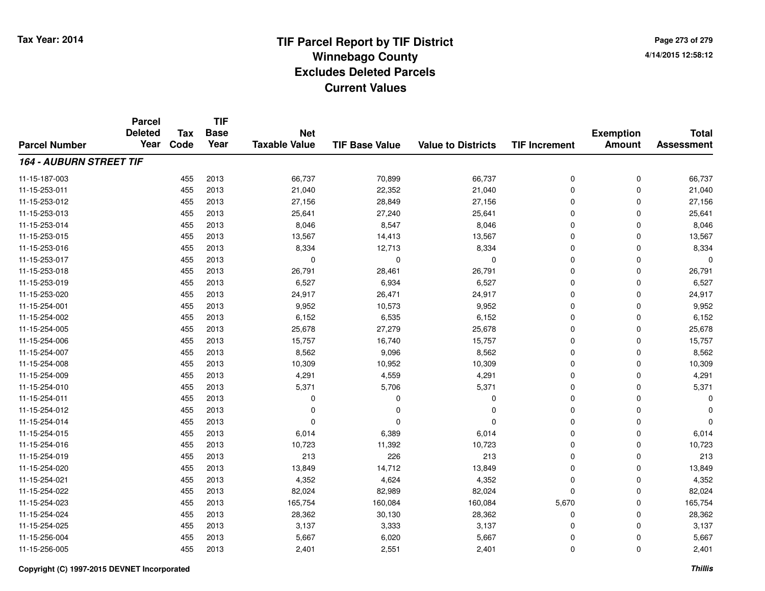**TIF**

**Parcel**

**Page 273 of 2794/14/2015 12:58:12**

| <b>Parcel Number</b>           | <b>Deleted</b><br>Year | Tax<br>Code | <b>Base</b><br>Year | <b>Net</b><br><b>Taxable Value</b> | <b>TIF Base Value</b> | <b>Value to Districts</b> | <b>TIF Increment</b> | <b>Exemption</b><br><b>Amount</b> | <b>Total</b><br><b>Assessment</b> |
|--------------------------------|------------------------|-------------|---------------------|------------------------------------|-----------------------|---------------------------|----------------------|-----------------------------------|-----------------------------------|
|                                |                        |             |                     |                                    |                       |                           |                      |                                   |                                   |
| <b>164 - AUBURN STREET TIF</b> |                        |             |                     |                                    |                       |                           |                      |                                   |                                   |
| 11-15-187-003                  |                        | 455         | 2013                | 66,737                             | 70,899                | 66,737                    | 0                    | 0                                 | 66,737                            |
| 11-15-253-011                  |                        | 455         | 2013                | 21,040                             | 22,352                | 21,040                    | 0                    | 0                                 | 21,040                            |
| 11-15-253-012                  |                        | 455         | 2013                | 27,156                             | 28,849                | 27,156                    | 0                    | 0                                 | 27,156                            |
| 11-15-253-013                  |                        | 455         | 2013                | 25,641                             | 27,240                | 25,641                    | 0                    | 0                                 | 25,641                            |
| 11-15-253-014                  |                        | 455         | 2013                | 8,046                              | 8,547                 | 8,046                     | 0                    | 0                                 | 8,046                             |
| 11-15-253-015                  |                        | 455         | 2013                | 13,567                             | 14,413                | 13,567                    | 0                    | 0                                 | 13,567                            |
| 11-15-253-016                  |                        | 455         | 2013                | 8,334                              | 12,713                | 8,334                     | 0                    | 0                                 | 8,334                             |
| 11-15-253-017                  |                        | 455         | 2013                | 0                                  | 0                     | $\mathbf 0$               | 0                    | 0                                 | $\Omega$                          |
| 11-15-253-018                  |                        | 455         | 2013                | 26,791                             | 28,461                | 26,791                    | 0                    | 0                                 | 26,791                            |
| 11-15-253-019                  |                        | 455         | 2013                | 6,527                              | 6,934                 | 6,527                     | 0                    | 0                                 | 6,527                             |
| 11-15-253-020                  |                        | 455         | 2013                | 24,917                             | 26,471                | 24,917                    | 0                    | 0                                 | 24,917                            |
| 11-15-254-001                  |                        | 455         | 2013                | 9,952                              | 10,573                | 9,952                     | 0                    | 0                                 | 9,952                             |
| 11-15-254-002                  |                        | 455         | 2013                | 6,152                              | 6,535                 | 6,152                     | 0                    | 0                                 | 6,152                             |
| 11-15-254-005                  |                        | 455         | 2013                | 25,678                             | 27,279                | 25,678                    | 0                    | 0                                 | 25,678                            |
| 11-15-254-006                  |                        | 455         | 2013                | 15,757                             | 16,740                | 15,757                    | 0                    | 0                                 | 15,757                            |
| 11-15-254-007                  |                        | 455         | 2013                | 8,562                              | 9,096                 | 8,562                     | 0                    | 0                                 | 8,562                             |
| 11-15-254-008                  |                        | 455         | 2013                | 10,309                             | 10,952                | 10,309                    | 0                    | 0                                 | 10,309                            |
| 11-15-254-009                  |                        | 455         | 2013                | 4,291                              | 4,559                 | 4,291                     | 0                    | 0                                 | 4,291                             |
| 11-15-254-010                  |                        | 455         | 2013                | 5,371                              | 5,706                 | 5,371                     | 0                    | 0                                 | 5,371                             |
| 11-15-254-011                  |                        | 455         | 2013                | $\Omega$                           | O                     | 0                         | 0                    | 0                                 | $\Omega$                          |
| 11-15-254-012                  |                        | 455         | 2013                | 0                                  | O                     | 0                         | 0                    | 0                                 | $\Omega$                          |
| 11-15-254-014                  |                        | 455         | 2013                | $\Omega$                           | O                     | 0                         | 0                    | 0                                 | $\Omega$                          |
| 11-15-254-015                  |                        | 455         | 2013                | 6,014                              | 6,389                 | 6,014                     | 0                    | 0                                 | 6,014                             |
| 11-15-254-016                  |                        | 455         | 2013                | 10,723                             | 11,392                | 10,723                    | 0                    | 0                                 | 10,723                            |
| 11-15-254-019                  |                        | 455         | 2013                | 213                                | 226                   | 213                       | 0                    | 0                                 | 213                               |
| 11-15-254-020                  |                        | 455         | 2013                | 13,849                             | 14,712                | 13,849                    | 0                    | 0                                 | 13,849                            |
| 11-15-254-021                  |                        | 455         | 2013                | 4,352                              | 4,624                 | 4,352                     | 0                    | 0                                 | 4,352                             |
| 11-15-254-022                  |                        | 455         | 2013                | 82,024                             | 82,989                | 82,024                    | 0                    | 0                                 | 82,024                            |
| 11-15-254-023                  |                        | 455         | 2013                | 165,754                            | 160,084               | 160,084                   | 5,670                | 0                                 | 165,754                           |
| 11-15-254-024                  |                        | 455         | 2013                | 28,362                             | 30,130                | 28,362                    | 0                    | 0                                 | 28,362                            |
| 11-15-254-025                  |                        | 455         | 2013                | 3,137                              | 3,333                 | 3,137                     | 0                    | 0                                 | 3,137                             |
| 11-15-256-004                  |                        | 455         | 2013                | 5,667                              | 6,020                 | 5,667                     | 0                    | 0                                 | 5,667                             |
| 11-15-256-005                  |                        | 455         | 2013                | 2,401                              | 2,551                 | 2,401                     | 0                    | 0                                 | 2,401                             |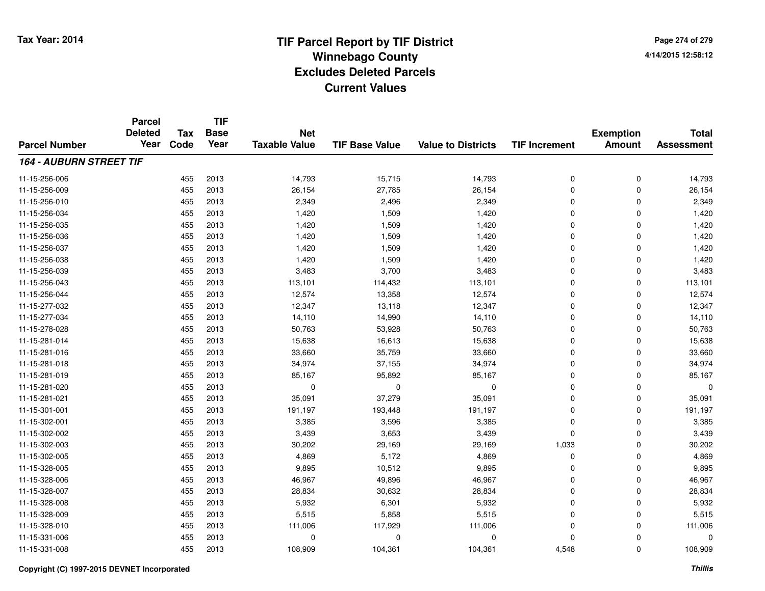**TIF**

**Parcel**

**Page 274 of 2794/14/2015 12:58:12**

| <b>Parcel Number</b>           | <b>Deleted</b><br>Year | <b>Tax</b><br>Code | .<br><b>Base</b><br>Year | <b>Net</b><br><b>Taxable Value</b> | <b>TIF Base Value</b> | <b>Value to Districts</b> | <b>TIF Increment</b> | <b>Exemption</b><br><b>Amount</b> | <b>Total</b><br><b>Assessment</b> |
|--------------------------------|------------------------|--------------------|--------------------------|------------------------------------|-----------------------|---------------------------|----------------------|-----------------------------------|-----------------------------------|
| <b>164 - AUBURN STREET TIF</b> |                        |                    |                          |                                    |                       |                           |                      |                                   |                                   |
| 11-15-256-006                  |                        | 455                | 2013                     | 14,793                             | 15,715                | 14,793                    | 0                    | 0                                 | 14,793                            |
| 11-15-256-009                  |                        | 455                | 2013                     | 26,154                             | 27,785                | 26,154                    | 0                    | 0                                 | 26,154                            |
| 11-15-256-010                  |                        | 455                | 2013                     | 2,349                              | 2,496                 | 2,349                     | 0                    | 0                                 | 2,349                             |
| 11-15-256-034                  |                        | 455                | 2013                     | 1,420                              | 1,509                 | 1,420                     | 0                    | 0                                 | 1,420                             |
| 11-15-256-035                  |                        | 455                | 2013                     | 1,420                              | 1,509                 | 1,420                     | 0                    | 0                                 | 1,420                             |
| 11-15-256-036                  |                        | 455                | 2013                     | 1,420                              | 1,509                 | 1,420                     | 0                    | 0                                 | 1,420                             |
| 11-15-256-037                  |                        | 455                | 2013                     | 1,420                              | 1,509                 | 1,420                     | 0                    | 0                                 | 1,420                             |
| 11-15-256-038                  |                        | 455                | 2013                     | 1,420                              | 1,509                 | 1,420                     | 0                    | 0                                 | 1,420                             |
| 11-15-256-039                  |                        | 455                | 2013                     | 3,483                              | 3,700                 | 3,483                     | 0                    | 0                                 | 3,483                             |
| 11-15-256-043                  |                        | 455                | 2013                     | 113,101                            | 114,432               | 113,101                   | 0                    | 0                                 | 113,101                           |
| 11-15-256-044                  |                        | 455                | 2013                     | 12,574                             | 13,358                | 12,574                    | 0                    | 0                                 | 12,574                            |
| 11-15-277-032                  |                        | 455                | 2013                     | 12,347                             | 13,118                | 12,347                    | 0                    | 0                                 | 12,347                            |
| 11-15-277-034                  |                        | 455                | 2013                     | 14,110                             | 14,990                | 14,110                    | 0                    | 0                                 | 14,110                            |
| 11-15-278-028                  |                        | 455                | 2013                     | 50,763                             | 53,928                | 50,763                    | 0                    | 0                                 | 50,763                            |
| 11-15-281-014                  |                        | 455                | 2013                     | 15,638                             | 16,613                | 15,638                    | 0                    | 0                                 | 15,638                            |
| 11-15-281-016                  |                        | 455                | 2013                     | 33,660                             | 35,759                | 33,660                    | 0                    | 0                                 | 33,660                            |
| 11-15-281-018                  |                        | 455                | 2013                     | 34,974                             | 37,155                | 34,974                    | 0                    | 0                                 | 34,974                            |
| 11-15-281-019                  |                        | 455                | 2013                     | 85,167                             | 95,892                | 85,167                    | 0                    | 0                                 | 85,167                            |
| 11-15-281-020                  |                        | 455                | 2013                     | 0                                  | 0                     | 0                         | 0                    | 0                                 | $\Omega$                          |
| 11-15-281-021                  |                        | 455                | 2013                     | 35,091                             | 37,279                | 35,091                    | 0                    | 0                                 | 35,091                            |
| 11-15-301-001                  |                        | 455                | 2013                     | 191,197                            | 193,448               | 191,197                   | 0                    | 0                                 | 191,197                           |
| 11-15-302-001                  |                        | 455                | 2013                     | 3,385                              | 3,596                 | 3,385                     | 0                    | 0                                 | 3,385                             |
| 11-15-302-002                  |                        | 455                | 2013                     | 3,439                              | 3,653                 | 3,439                     | 0                    | 0                                 | 3,439                             |
| 11-15-302-003                  |                        | 455                | 2013                     | 30,202                             | 29,169                | 29,169                    | 1,033                | 0                                 | 30,202                            |
| 11-15-302-005                  |                        | 455                | 2013                     | 4,869                              | 5,172                 | 4,869                     | 0                    | 0                                 | 4,869                             |
| 11-15-328-005                  |                        | 455                | 2013                     | 9,895                              | 10,512                | 9,895                     | 0                    | 0                                 | 9,895                             |
| 11-15-328-006                  |                        | 455                | 2013                     | 46,967                             | 49,896                | 46,967                    | 0                    | 0                                 | 46,967                            |
| 11-15-328-007                  |                        | 455                | 2013                     | 28,834                             | 30,632                | 28,834                    | 0                    | 0                                 | 28,834                            |
| 11-15-328-008                  |                        | 455                | 2013                     | 5,932                              | 6,301                 | 5,932                     | 0                    | 0                                 | 5,932                             |
| 11-15-328-009                  |                        | 455                | 2013                     | 5,515                              | 5,858                 | 5,515                     | 0                    | 0                                 | 5,515                             |
| 11-15-328-010                  |                        | 455                | 2013                     | 111,006                            | 117,929               | 111,006                   | 0                    | 0                                 | 111,006                           |
| 11-15-331-006                  |                        | 455                | 2013                     | 0                                  | $\Omega$              | $\mathbf 0$               | 0                    | 0                                 | $\Omega$                          |
| 11-15-331-008                  |                        | 455                | 2013                     | 108,909                            | 104,361               | 104,361                   | 4,548                | 0                                 | 108,909                           |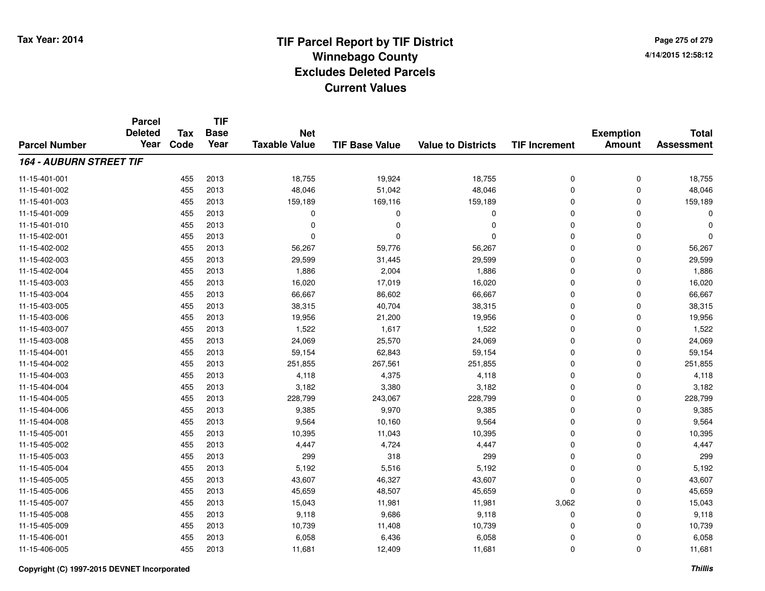**Page 275 of 2794/14/2015 12:58:12**

|                                | <b>Parcel</b>          |                    | <b>TIF</b>          |                                    |                       |                           |                      |                                   |                                   |
|--------------------------------|------------------------|--------------------|---------------------|------------------------------------|-----------------------|---------------------------|----------------------|-----------------------------------|-----------------------------------|
| <b>Parcel Number</b>           | <b>Deleted</b><br>Year | <b>Tax</b><br>Code | <b>Base</b><br>Year | <b>Net</b><br><b>Taxable Value</b> | <b>TIF Base Value</b> | <b>Value to Districts</b> | <b>TIF Increment</b> | <b>Exemption</b><br><b>Amount</b> | <b>Total</b><br><b>Assessment</b> |
|                                |                        |                    |                     |                                    |                       |                           |                      |                                   |                                   |
| <b>164 - AUBURN STREET TIF</b> |                        |                    |                     |                                    |                       |                           |                      |                                   |                                   |
| 11-15-401-001                  |                        | 455                | 2013                | 18,755                             | 19,924                | 18,755                    | 0                    | 0                                 | 18,755                            |
| 11-15-401-002                  |                        | 455                | 2013                | 48,046                             | 51,042                | 48,046                    | 0                    | 0                                 | 48,046                            |
| 11-15-401-003                  |                        | 455                | 2013                | 159,189                            | 169,116               | 159,189                   | 0                    | 0                                 | 159,189                           |
| 11-15-401-009                  |                        | 455                | 2013                | 0                                  | 0                     | 0                         | 0                    | 0                                 | $\Omega$                          |
| 11-15-401-010                  |                        | 455                | 2013                | $\Omega$                           | $\Omega$              | $\mathbf 0$               | 0                    | 0                                 | $\Omega$                          |
| 11-15-402-001                  |                        | 455                | 2013                | 0                                  | $\Omega$              | $\Omega$                  | 0                    | 0                                 | $\Omega$                          |
| 11-15-402-002                  |                        | 455                | 2013                | 56,267                             | 59,776                | 56,267                    | 0                    | 0                                 | 56,267                            |
| 11-15-402-003                  |                        | 455                | 2013                | 29,599                             | 31,445                | 29,599                    | 0                    | 0                                 | 29,599                            |
| 11-15-402-004                  |                        | 455                | 2013                | 1,886                              | 2,004                 | 1,886                     | 0                    | 0                                 | 1,886                             |
| 11-15-403-003                  |                        | 455                | 2013                | 16,020                             | 17,019                | 16,020                    | 0                    | 0                                 | 16,020                            |
| 11-15-403-004                  |                        | 455                | 2013                | 66,667                             | 86,602                | 66,667                    | 0                    | 0                                 | 66,667                            |
| 11-15-403-005                  |                        | 455                | 2013                | 38,315                             | 40,704                | 38,315                    | 0                    | 0                                 | 38,315                            |
| 11-15-403-006                  |                        | 455                | 2013                | 19,956                             | 21,200                | 19,956                    | 0                    | 0                                 | 19,956                            |
| 11-15-403-007                  |                        | 455                | 2013                | 1,522                              | 1,617                 | 1,522                     | 0                    | 0                                 | 1,522                             |
| 11-15-403-008                  |                        | 455                | 2013                | 24,069                             | 25,570                | 24,069                    | 0                    | 0                                 | 24,069                            |
| 11-15-404-001                  |                        | 455                | 2013                | 59,154                             | 62,843                | 59,154                    | 0                    | 0                                 | 59,154                            |
| 11-15-404-002                  |                        | 455                | 2013                | 251,855                            | 267,561               | 251,855                   | 0                    | 0                                 | 251,855                           |
| 11-15-404-003                  |                        | 455                | 2013                | 4,118                              | 4,375                 | 4,118                     | 0                    | 0                                 | 4,118                             |
| 11-15-404-004                  |                        | 455                | 2013                | 3,182                              | 3,380                 | 3,182                     | 0                    | 0                                 | 3,182                             |
| 11-15-404-005                  |                        | 455                | 2013                | 228,799                            | 243,067               | 228,799                   | 0                    | 0                                 | 228,799                           |
| 11-15-404-006                  |                        | 455                | 2013                | 9,385                              | 9,970                 | 9,385                     | 0                    | 0                                 | 9,385                             |
| 11-15-404-008                  |                        | 455                | 2013                | 9,564                              | 10,160                | 9,564                     | 0                    | 0                                 | 9,564                             |
| 11-15-405-001                  |                        | 455                | 2013                | 10,395                             | 11,043                | 10,395                    | 0                    | 0                                 | 10,395                            |
| 11-15-405-002                  |                        | 455                | 2013                | 4,447                              | 4,724                 | 4,447                     | 0                    | 0                                 | 4,447                             |
| 11-15-405-003                  |                        | 455                | 2013                | 299                                | 318                   | 299                       | 0                    | 0                                 | 299                               |
| 11-15-405-004                  |                        | 455                | 2013                | 5,192                              | 5,516                 | 5,192                     | 0                    | 0                                 | 5,192                             |
| 11-15-405-005                  |                        | 455                | 2013                | 43,607                             | 46,327                | 43,607                    | 0                    | 0                                 | 43,607                            |
| 11-15-405-006                  |                        | 455                | 2013                | 45,659                             | 48,507                | 45,659                    | 0                    | 0                                 | 45,659                            |
| 11-15-405-007                  |                        | 455                | 2013                | 15,043                             | 11,981                | 11,981                    | 3,062                | 0                                 | 15,043                            |
| 11-15-405-008                  |                        | 455                | 2013                | 9,118                              | 9,686                 | 9,118                     | 0                    | 0                                 | 9,118                             |
| 11-15-405-009                  |                        | 455                | 2013                | 10,739                             | 11,408                | 10,739                    | 0                    | 0                                 | 10,739                            |
| 11-15-406-001                  |                        | 455                | 2013                | 6,058                              | 6,436                 | 6,058                     | 0                    | 0                                 | 6,058                             |
| 11-15-406-005                  |                        | 455                | 2013                | 11,681                             | 12,409                | 11,681                    | 0                    | 0                                 | 11,681                            |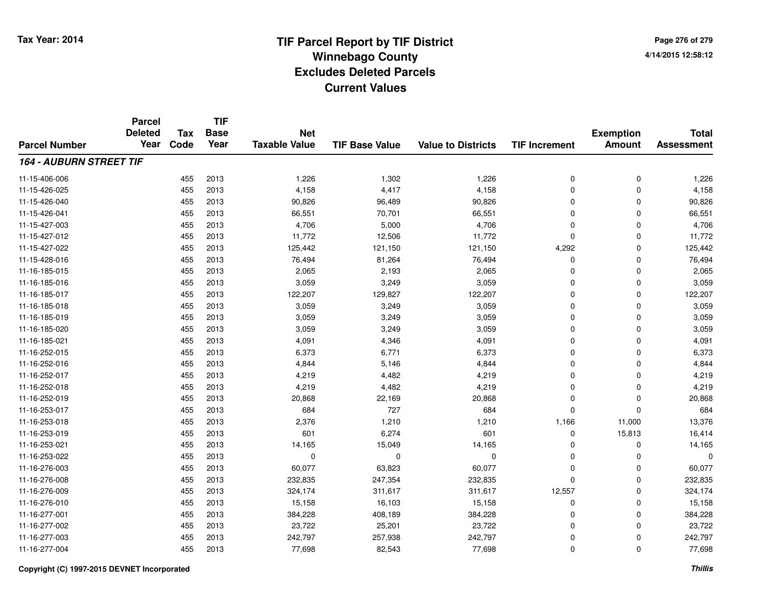**Page 276 of 2794/14/2015 12:58:12**

|                                | <b>Parcel</b><br><b>Deleted</b> | <b>Tax</b> | <b>TIF</b><br><b>Base</b> | <b>Net</b>           |                       |                           |                      |                                   | <b>Total</b>      |
|--------------------------------|---------------------------------|------------|---------------------------|----------------------|-----------------------|---------------------------|----------------------|-----------------------------------|-------------------|
| <b>Parcel Number</b>           | Year                            | Code       | Year                      | <b>Taxable Value</b> | <b>TIF Base Value</b> | <b>Value to Districts</b> | <b>TIF Increment</b> | <b>Exemption</b><br><b>Amount</b> | <b>Assessment</b> |
| <b>164 - AUBURN STREET TIF</b> |                                 |            |                           |                      |                       |                           |                      |                                   |                   |
| 11-15-406-006                  |                                 | 455        | 2013                      | 1,226                | 1,302                 | 1,226                     | 0                    | 0                                 | 1,226             |
| 11-15-426-025                  |                                 | 455        | 2013                      | 4,158                | 4,417                 | 4,158                     | 0                    | 0                                 | 4,158             |
| 11-15-426-040                  |                                 | 455        | 2013                      | 90,826               | 96,489                | 90,826                    | 0                    | 0                                 | 90,826            |
| 11-15-426-041                  |                                 | 455        | 2013                      | 66,551               | 70,701                | 66,551                    | 0                    | 0                                 | 66,551            |
| 11-15-427-003                  |                                 | 455        | 2013                      | 4,706                | 5,000                 | 4,706                     | 0                    | 0                                 | 4,706             |
| 11-15-427-012                  |                                 | 455        | 2013                      | 11,772               | 12,506                | 11,772                    | 0                    | 0                                 | 11,772            |
| 11-15-427-022                  |                                 | 455        | 2013                      | 125,442              | 121,150               | 121,150                   | 4,292                | 0                                 | 125,442           |
| 11-15-428-016                  |                                 | 455        | 2013                      | 76,494               | 81,264                | 76,494                    | 0                    | 0                                 | 76,494            |
| 11-16-185-015                  |                                 | 455        | 2013                      | 2,065                | 2,193                 | 2,065                     | 0                    | 0                                 | 2,065             |
| 11-16-185-016                  |                                 | 455        | 2013                      | 3,059                | 3,249                 | 3,059                     | 0                    | 0                                 | 3,059             |
| 11-16-185-017                  |                                 | 455        | 2013                      | 122,207              | 129,827               | 122,207                   | 0                    | 0                                 | 122,207           |
| 11-16-185-018                  |                                 | 455        | 2013                      | 3,059                | 3,249                 | 3,059                     | 0                    | 0                                 | 3,059             |
| 11-16-185-019                  |                                 | 455        | 2013                      | 3,059                | 3,249                 | 3,059                     | 0                    | 0                                 | 3,059             |
| 11-16-185-020                  |                                 | 455        | 2013                      | 3,059                | 3,249                 | 3,059                     | 0                    | 0                                 | 3,059             |
| 11-16-185-021                  |                                 | 455        | 2013                      | 4,091                | 4,346                 | 4,091                     | 0                    | 0                                 | 4,091             |
| 11-16-252-015                  |                                 | 455        | 2013                      | 6,373                | 6,771                 | 6,373                     | 0                    | 0                                 | 6,373             |
| 11-16-252-016                  |                                 | 455        | 2013                      | 4,844                | 5,146                 | 4,844                     | 0                    | 0                                 | 4,844             |
| 11-16-252-017                  |                                 | 455        | 2013                      | 4,219                | 4,482                 | 4,219                     | 0                    | 0                                 | 4,219             |
| 11-16-252-018                  |                                 | 455        | 2013                      | 4,219                | 4,482                 | 4,219                     | 0                    | 0                                 | 4,219             |
| 11-16-252-019                  |                                 | 455        | 2013                      | 20,868               | 22,169                | 20,868                    | 0                    | 0                                 | 20,868            |
| 11-16-253-017                  |                                 | 455        | 2013                      | 684                  | 727                   | 684                       | 0                    | 0                                 | 684               |
| 11-16-253-018                  |                                 | 455        | 2013                      | 2,376                | 1,210                 | 1,210                     | 1,166                | 11,000                            | 13,376            |
| 11-16-253-019                  |                                 | 455        | 2013                      | 601                  | 6,274                 | 601                       | 0                    | 15,813                            | 16,414            |
| 11-16-253-021                  |                                 | 455        | 2013                      | 14,165               | 15,049                | 14,165                    | 0                    | 0                                 | 14,165            |
| 11-16-253-022                  |                                 | 455        | 2013                      | $\mathbf 0$          | 0                     | 0                         | 0                    | 0                                 | $\Omega$          |
| 11-16-276-003                  |                                 | 455        | 2013                      | 60,077               | 63,823                | 60,077                    | 0                    | 0                                 | 60,077            |
| 11-16-276-008                  |                                 | 455        | 2013                      | 232,835              | 247,354               | 232,835                   | 0                    | 0                                 | 232,835           |
| 11-16-276-009                  |                                 | 455        | 2013                      | 324,174              | 311,617               | 311,617                   | 12,557               | 0                                 | 324,174           |
| 11-16-276-010                  |                                 | 455        | 2013                      | 15,158               | 16,103                | 15,158                    | 0                    | 0                                 | 15,158            |
| 11-16-277-001                  |                                 | 455        | 2013                      | 384,228              | 408,189               | 384,228                   | 0                    | 0                                 | 384,228           |
| 11-16-277-002                  |                                 | 455        | 2013                      | 23,722               | 25,201                | 23,722                    | 0                    | 0                                 | 23,722            |
| 11-16-277-003                  |                                 | 455        | 2013                      | 242,797              | 257,938               | 242,797                   | 0                    | 0                                 | 242,797           |
| 11-16-277-004                  |                                 | 455        | 2013                      | 77,698               | 82,543                | 77,698                    | $\overline{0}$       | 0                                 | 77,698            |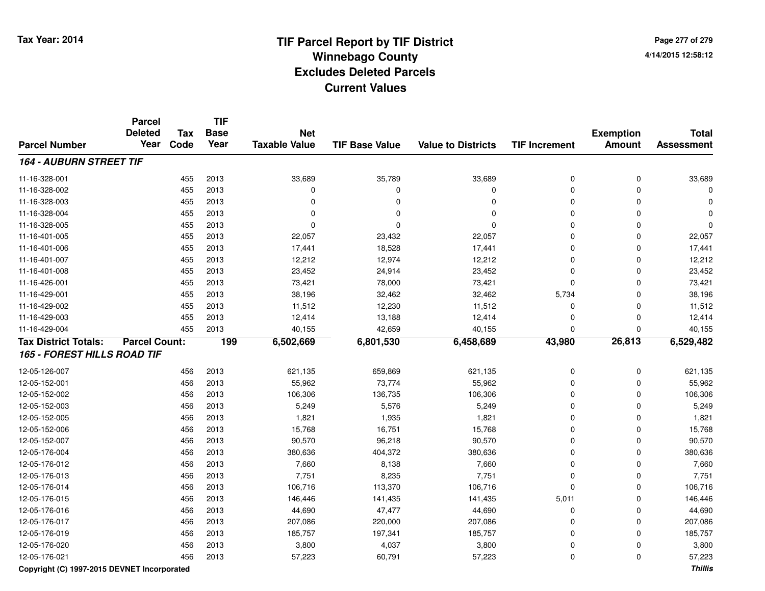**Page 277 of 2794/14/2015 12:58:12**

|                                    | <b>Parcel</b>        |            | <b>TIF</b>  |                      |                       |                           |                      |                  |                   |
|------------------------------------|----------------------|------------|-------------|----------------------|-----------------------|---------------------------|----------------------|------------------|-------------------|
|                                    | <b>Deleted</b>       | <b>Tax</b> | <b>Base</b> | <b>Net</b>           |                       |                           |                      | <b>Exemption</b> | <b>Total</b>      |
| <b>Parcel Number</b>               | Year                 | Code       | Year        | <b>Taxable Value</b> | <b>TIF Base Value</b> | <b>Value to Districts</b> | <b>TIF Increment</b> | <b>Amount</b>    | <b>Assessment</b> |
| <b>164 - AUBURN STREET TIF</b>     |                      |            |             |                      |                       |                           |                      |                  |                   |
| 11-16-328-001                      |                      | 455        | 2013        | 33,689               | 35,789                | 33,689                    | 0                    | 0                | 33,689            |
| 11-16-328-002                      |                      | 455        | 2013        | $\mathbf 0$          | $\Omega$              | $\mathbf 0$               | 0                    | 0                | 0                 |
| 11-16-328-003                      |                      | 455        | 2013        | $\Omega$             | $\Omega$              | $\Omega$                  | 0                    | $\Omega$         | $\Omega$          |
| 11-16-328-004                      |                      | 455        | 2013        | $\Omega$             | $\Omega$              | $\Omega$                  | 0                    | $\Omega$         | $\Omega$          |
| 11-16-328-005                      |                      | 455        | 2013        | $\mathbf 0$          | $\Omega$              | $\Omega$                  | 0                    | $\Omega$         | 0                 |
| 11-16-401-005                      |                      | 455        | 2013        | 22,057               | 23,432                | 22,057                    | 0                    | $\Omega$         | 22,057            |
| 11-16-401-006                      |                      | 455        | 2013        | 17,441               | 18,528                | 17,441                    | 0                    | $\Omega$         | 17,441            |
| 11-16-401-007                      |                      | 455        | 2013        | 12,212               | 12,974                | 12,212                    | 0                    | $\Omega$         | 12,212            |
| 11-16-401-008                      |                      | 455        | 2013        | 23,452               | 24,914                | 23,452                    | 0                    | $\Omega$         | 23,452            |
| 11-16-426-001                      |                      | 455        | 2013        | 73,421               | 78,000                | 73,421                    | $\Omega$             | $\Omega$         | 73,421            |
| 11-16-429-001                      |                      | 455        | 2013        | 38,196               | 32,462                | 32,462                    | 5,734                | $\mathbf 0$      | 38,196            |
| 11-16-429-002                      |                      | 455        | 2013        | 11,512               | 12,230                | 11,512                    | 0                    | $\mathbf 0$      | 11,512            |
| 11-16-429-003                      |                      | 455        | 2013        | 12,414               | 13,188                | 12,414                    | 0                    | $\mathbf 0$      | 12,414            |
| 11-16-429-004                      |                      | 455        | 2013        | 40,155               | 42,659                | 40,155                    | 0                    | $\Omega$         | 40,155            |
| <b>Tax District Totals:</b>        | <b>Parcel Count:</b> |            | 199         | 6,502,669            | 6,801,530             | 6,458,689                 | 43,980               | 26,813           | 6,529,482         |
| <b>165 - FOREST HILLS ROAD TIF</b> |                      |            |             |                      |                       |                           |                      |                  |                   |
| 12-05-126-007                      |                      | 456        | 2013        | 621,135              | 659,869               | 621,135                   | 0                    | 0                | 621,135           |
| 12-05-152-001                      |                      | 456        | 2013        | 55,962               | 73,774                | 55,962                    | 0                    | $\mathbf 0$      | 55,962            |
| 12-05-152-002                      |                      | 456        | 2013        | 106,306              | 136,735               | 106,306                   | 0                    | $\Omega$         | 106,306           |
| 12-05-152-003                      |                      | 456        | 2013        | 5,249                | 5,576                 | 5,249                     | 0                    | $\Omega$         | 5,249             |
| 12-05-152-005                      |                      | 456        | 2013        | 1,821                | 1,935                 | 1,821                     | 0                    | $\Omega$         | 1,821             |
| 12-05-152-006                      |                      | 456        | 2013        | 15,768               | 16,751                | 15,768                    | 0                    | $\Omega$         | 15,768            |
| 12-05-152-007                      |                      | 456        | 2013        | 90,570               | 96,218                | 90,570                    | 0                    | $\Omega$         | 90,570            |
| 12-05-176-004                      |                      | 456        | 2013        | 380,636              | 404,372               | 380,636                   | 0                    | $\Omega$         | 380,636           |
| 12-05-176-012                      |                      | 456        | 2013        | 7,660                | 8,138                 | 7,660                     | 0                    | $\Omega$         | 7,660             |
| 12-05-176-013                      |                      | 456        | 2013        | 7,751                | 8,235                 | 7,751                     | 0                    | 0                | 7,751             |
| 12-05-176-014                      |                      | 456        | 2013        | 106,716              | 113,370               | 106,716                   | 0                    | $\mathbf 0$      | 106,716           |
| 12-05-176-015                      |                      | 456        | 2013        | 146,446              | 141,435               | 141,435                   | 5,011                | 0                | 146,446           |
| 12-05-176-016                      |                      | 456        | 2013        | 44,690               | 47,477                | 44,690                    | 0                    | 0                | 44,690            |
| 12-05-176-017                      |                      | 456        | 2013        | 207,086              | 220,000               | 207,086                   | 0                    | $\mathbf 0$      | 207,086           |
| 12-05-176-019                      |                      | 456        | 2013        | 185,757              | 197,341               | 185,757                   | 0                    | $\mathbf 0$      | 185,757           |
| 12-05-176-020                      |                      | 456        | 2013        | 3,800                | 4,037                 | 3,800                     | 0                    | $\mathbf 0$      | 3,800             |
| 12-05-176-021                      |                      | 456        | 2013        | 57,223               | 60,791                | 57,223                    | 0                    | $\Omega$         | 57,223            |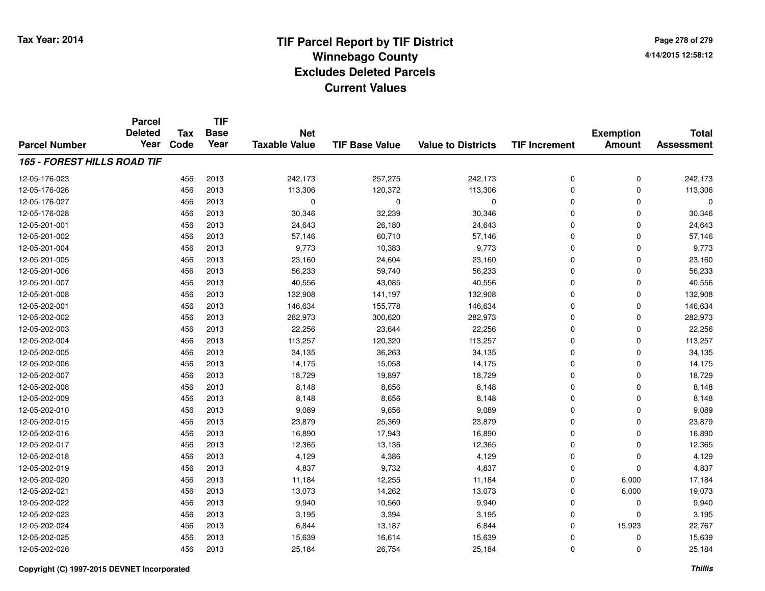**TIF**

**Parcel**

**Page 278 of 2794/14/2015 12:58:12**

|                                    | <b>Deleted</b><br>Year | Tax  | <b>Base</b><br>Year | <b>Net</b><br><b>Taxable Value</b> |                       |                           |                      | <b>Exemption</b> | <b>Total</b>      |
|------------------------------------|------------------------|------|---------------------|------------------------------------|-----------------------|---------------------------|----------------------|------------------|-------------------|
| <b>Parcel Number</b>               |                        | Code |                     |                                    | <b>TIF Base Value</b> | <b>Value to Districts</b> | <b>TIF Increment</b> | <b>Amount</b>    | <b>Assessment</b> |
| <b>165 - FOREST HILLS ROAD TIF</b> |                        |      |                     |                                    |                       |                           |                      |                  |                   |
| 12-05-176-023                      |                        | 456  | 2013                | 242,173                            | 257,275               | 242,173                   | 0                    | 0                | 242,173           |
| 12-05-176-026                      |                        | 456  | 2013                | 113,306                            | 120,372               | 113,306                   | 0                    | 0                | 113,306           |
| 12-05-176-027                      |                        | 456  | 2013                | 0                                  | 0                     | $\mathbf 0$               | 0                    | 0                | $\Omega$          |
| 12-05-176-028                      |                        | 456  | 2013                | 30,346                             | 32,239                | 30,346                    | 0                    | 0                | 30,346            |
| 12-05-201-001                      |                        | 456  | 2013                | 24,643                             | 26,180                | 24,643                    | 0                    | 0                | 24,643            |
| 12-05-201-002                      |                        | 456  | 2013                | 57,146                             | 60,710                | 57,146                    | 0                    | 0                | 57,146            |
| 12-05-201-004                      |                        | 456  | 2013                | 9,773                              | 10,383                | 9,773                     | 0                    | 0                | 9,773             |
| 12-05-201-005                      |                        | 456  | 2013                | 23,160                             | 24,604                | 23,160                    | 0                    | 0                | 23,160            |
| 12-05-201-006                      |                        | 456  | 2013                | 56,233                             | 59,740                | 56,233                    | 0                    | 0                | 56,233            |
| 12-05-201-007                      |                        | 456  | 2013                | 40,556                             | 43,085                | 40,556                    | 0                    | 0                | 40,556            |
| 12-05-201-008                      |                        | 456  | 2013                | 132,908                            | 141,197               | 132,908                   | 0                    | 0                | 132,908           |
| 12-05-202-001                      |                        | 456  | 2013                | 146,634                            | 155,778               | 146,634                   | 0                    | 0                | 146,634           |
| 12-05-202-002                      |                        | 456  | 2013                | 282,973                            | 300,620               | 282,973                   | 0                    | 0                | 282,973           |
| 12-05-202-003                      |                        | 456  | 2013                | 22,256                             | 23,644                | 22,256                    | 0                    | 0                | 22,256            |
| 12-05-202-004                      |                        | 456  | 2013                | 113,257                            | 120,320               | 113,257                   | 0                    | 0                | 113,257           |
| 12-05-202-005                      |                        | 456  | 2013                | 34,135                             | 36,263                | 34,135                    | 0                    | 0                | 34,135            |
| 12-05-202-006                      |                        | 456  | 2013                | 14,175                             | 15,058                | 14,175                    | 0                    | 0                | 14,175            |
| 12-05-202-007                      |                        | 456  | 2013                | 18,729                             | 19,897                | 18,729                    | 0                    | 0                | 18,729            |
| 12-05-202-008                      |                        | 456  | 2013                | 8,148                              | 8,656                 | 8,148                     | 0                    | 0                | 8,148             |
| 12-05-202-009                      |                        | 456  | 2013                | 8,148                              | 8,656                 | 8,148                     | 0                    | 0                | 8,148             |
| 12-05-202-010                      |                        | 456  | 2013                | 9,089                              | 9,656                 | 9,089                     | 0                    | 0                | 9,089             |
| 12-05-202-015                      |                        | 456  | 2013                | 23,879                             | 25,369                | 23,879                    | 0                    | 0                | 23,879            |
| 12-05-202-016                      |                        | 456  | 2013                | 16,890                             | 17,943                | 16,890                    | 0                    | 0                | 16,890            |
| 12-05-202-017                      |                        | 456  | 2013                | 12,365                             | 13,136                | 12,365                    | 0                    | 0                | 12,365            |
| 12-05-202-018                      |                        | 456  | 2013                | 4,129                              | 4,386                 | 4,129                     | 0                    | 0                | 4,129             |
| 12-05-202-019                      |                        | 456  | 2013                | 4,837                              | 9,732                 | 4,837                     | 0                    | 0                | 4,837             |
| 12-05-202-020                      |                        | 456  | 2013                | 11,184                             | 12,255                | 11,184                    | 0                    | 6,000            | 17,184            |
| 12-05-202-021                      |                        | 456  | 2013                | 13,073                             | 14,262                | 13,073                    | 0                    | 6,000            | 19,073            |
| 12-05-202-022                      |                        | 456  | 2013                | 9,940                              | 10,560                | 9,940                     | 0                    | 0                | 9,940             |
| 12-05-202-023                      |                        | 456  | 2013                | 3,195                              | 3,394                 | 3,195                     | 0                    | 0                | 3,195             |
| 12-05-202-024                      |                        | 456  | 2013                | 6,844                              | 13,187                | 6,844                     | 0                    | 15,923           | 22,767            |
| 12-05-202-025                      |                        | 456  | 2013                | 15,639                             | 16,614                | 15,639                    | 0                    | 0                | 15,639            |
| 12-05-202-026                      |                        | 456  | 2013                | 25,184                             | 26,754                | 25,184                    | 0                    | 0                | 25,184            |